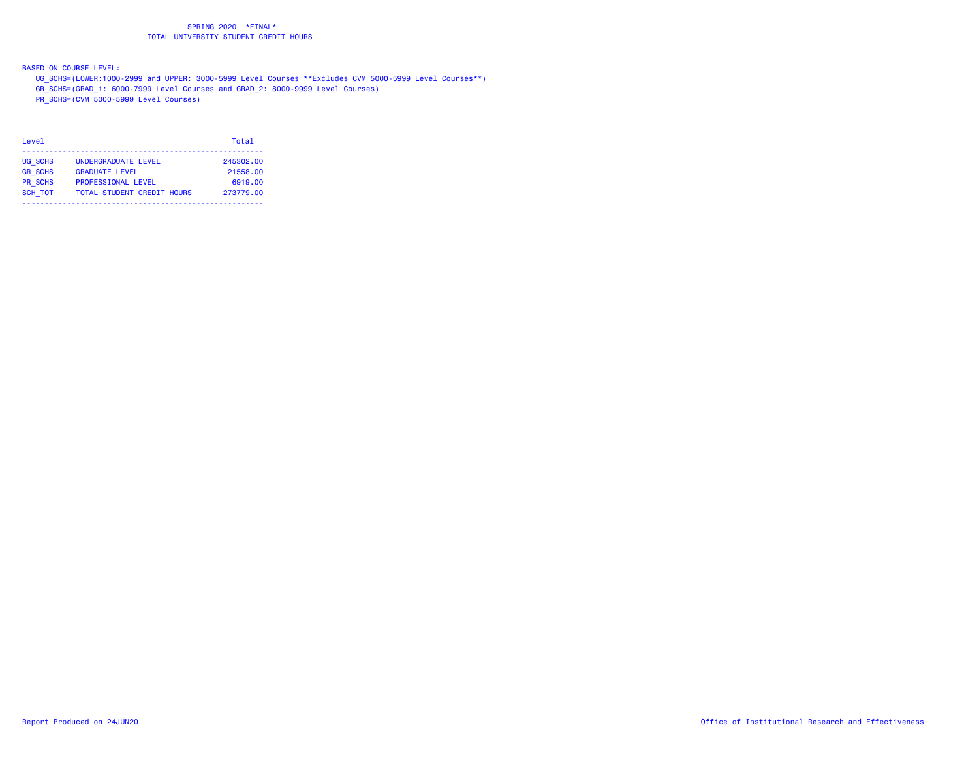BASED ON COURSE LEVEL:

- UG\_SCHS=(LOWER:1000-2999 and UPPER: 3000-5999 Level Courses \*\*Excludes CVM 5000-5999 Level Courses\*\*)
- GR\_SCHS=(GRAD\_1: 6000-7999 Level Courses and GRAD\_2: 8000-9999 Level Courses)
- PR\_SCHS=(CVM 5000-5999 Level Courses)

| Level          |                                   | Total     |
|----------------|-----------------------------------|-----------|
| UG SCHS        | UNDERGRADUATE LEVEL               | 245302.00 |
| <b>GR SCHS</b> | <b>GRADUATE LEVEL</b>             | 21558.00  |
| <b>PR SCHS</b> | <b>PROFESSIONAL LEVEL</b>         | 6919.00   |
| <b>SCH TOT</b> | <b>TOTAL STUDENT CREDIT HOURS</b> | 273779.00 |
|                |                                   |           |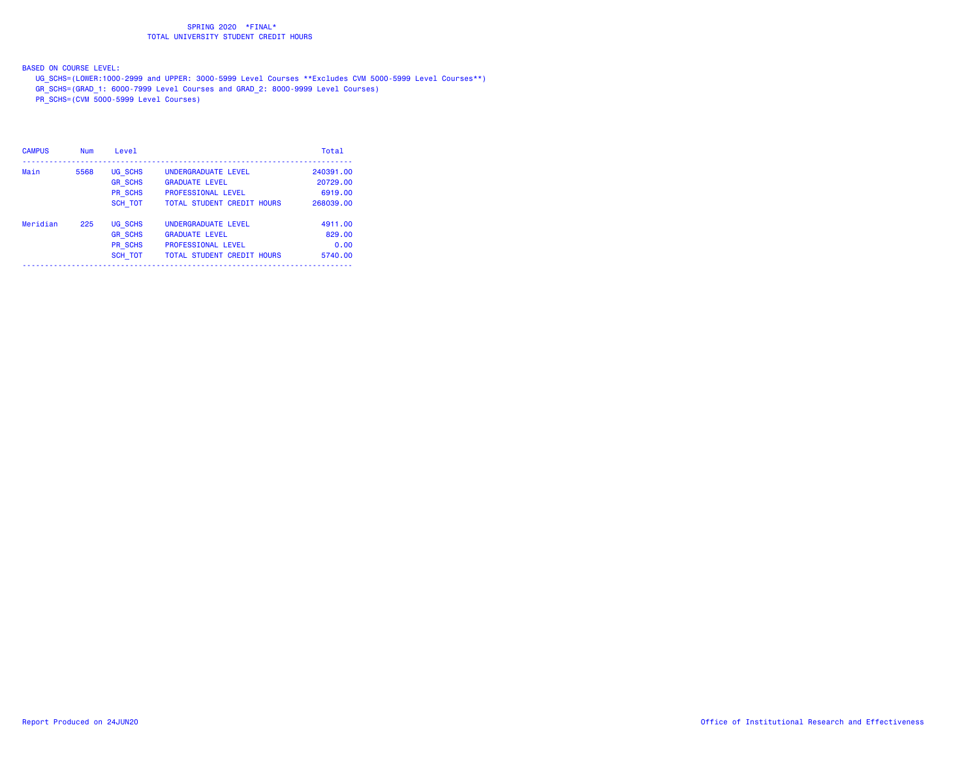BASED ON COURSE LEVEL:

- UG\_SCHS=(LOWER:1000-2999 and UPPER: 3000-5999 Level Courses \*\*Excludes CVM 5000-5999 Level Courses\*\*)
- GR\_SCHS=(GRAD\_1: 6000-7999 Level Courses and GRAD\_2: 8000-9999 Level Courses)
- PR\_SCHS=(CVM 5000-5999 Level Courses)

| <b>CAMPUS</b> | <b>Num</b> | Level          |                                   | Total     |
|---------------|------------|----------------|-----------------------------------|-----------|
| Main          | 5568       | UG SCHS        | UNDERGRADUATE LEVEL               | 240391.00 |
|               |            | <b>GR SCHS</b> | <b>GRADUATE LEVEL</b>             | 20729.00  |
|               |            | PR SCHS        | <b>PROFESSIONAL LEVEL</b>         | 6919.00   |
|               |            | <b>SCH TOT</b> | <b>TOTAL STUDENT CREDIT HOURS</b> | 268039.00 |
| Meridian      | 225        | UG SCHS        | UNDERGRADUATE LEVEL               | 4911.00   |
|               |            | <b>GR SCHS</b> | <b>GRADUATE LEVEL</b>             | 829,00    |
|               |            | PR SCHS        | <b>PROFESSIONAL LEVEL</b>         | 0.00      |
|               |            | <b>SCH TOT</b> | <b>TOTAL STUDENT CREDIT HOURS</b> | 5740.00   |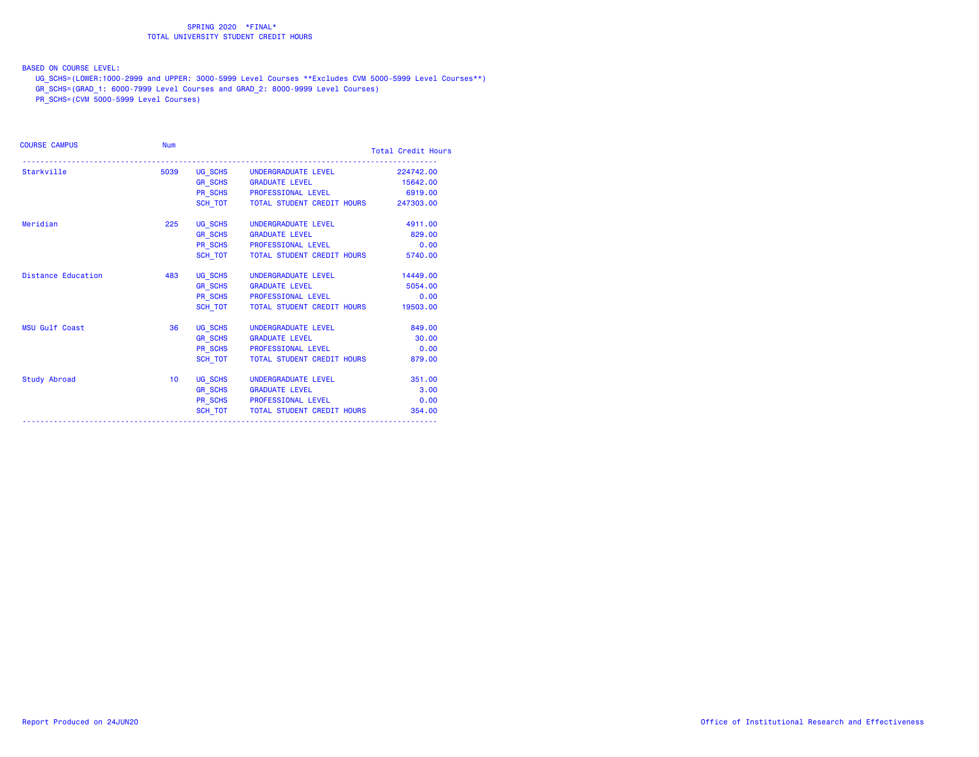BASED ON COURSE LEVEL:

UG\_SCHS=(LOWER:1000-2999 and UPPER: 3000-5999 Level Courses \*\*Excludes CVM 5000-5999 Level Courses\*\*)

GR\_SCHS=(GRAD\_1: 6000-7999 Level Courses and GRAD\_2: 8000-9999 Level Courses)

PR\_SCHS=(CVM 5000-5999 Level Courses)

| <b>COURSE CAMPUS</b>      | <b>Num</b>      |                |                                              | <b>Total Credit Hours</b> |  |
|---------------------------|-----------------|----------------|----------------------------------------------|---------------------------|--|
| Starkville                | 5039            |                | UG_SCHS UNDERGRADUATE LEVEL                  | 224742.00                 |  |
|                           |                 |                | GR_SCHS GRADUATE LEVEL                       | 15642.00                  |  |
|                           |                 |                | PR_SCHS PROFESSIONAL LEVEL                   | 6919.00                   |  |
|                           |                 |                | SCH TOT TOTAL STUDENT CREDIT HOURS 247303.00 |                           |  |
| Meridian                  | 225             |                | UG_SCHS UNDERGRADUATE LEVEL                  | 4911.00                   |  |
|                           |                 |                | GR_SCHS GRADUATE LEVEL                       | 829.00                    |  |
|                           |                 |                | PR_SCHS PROFESSIONAL LEVEL                   | 0.00                      |  |
|                           |                 | SCH TOT        | TOTAL STUDENT CREDIT HOURS                   | 5740.00                   |  |
| <b>Distance Education</b> | 483             |                | UG_SCHS UNDERGRADUATE LEVEL                  | 14449.00                  |  |
|                           |                 |                | GR_SCHS GRADUATE LEVEL                       | 5054.00                   |  |
|                           |                 |                | PR_SCHS PROFESSIONAL LEVEL                   | 0.00                      |  |
|                           |                 | SCH_TOT        | TOTAL STUDENT CREDIT HOURS                   | 19503.00                  |  |
| <b>MSU Gulf Coast</b>     | 36              |                | UG_SCHS UNDERGRADUATE LEVEL                  | 849,00                    |  |
|                           |                 | <b>GR_SCHS</b> | <b>GRADUATE LEVEL</b>                        | 30.00                     |  |
|                           |                 |                | PR_SCHS PROFESSIONAL LEVEL                   | 0.00                      |  |
|                           |                 | SCH_TOT        | TOTAL STUDENT CREDIT HOURS                   | 879.00                    |  |
| <b>Study Abroad</b>       | 10 <sup>°</sup> |                | UG_SCHS UNDERGRADUATE LEVEL                  | 351,00                    |  |
|                           |                 | <b>GR_SCHS</b> | <b>GRADUATE LEVEL</b>                        | 3.00                      |  |
|                           |                 |                | PR SCHS PROFESSIONAL LEVEL                   | 0.00                      |  |
|                           |                 |                | SCH TOT   TOTAL STUDENT CREDIT HOURS         | 354,00                    |  |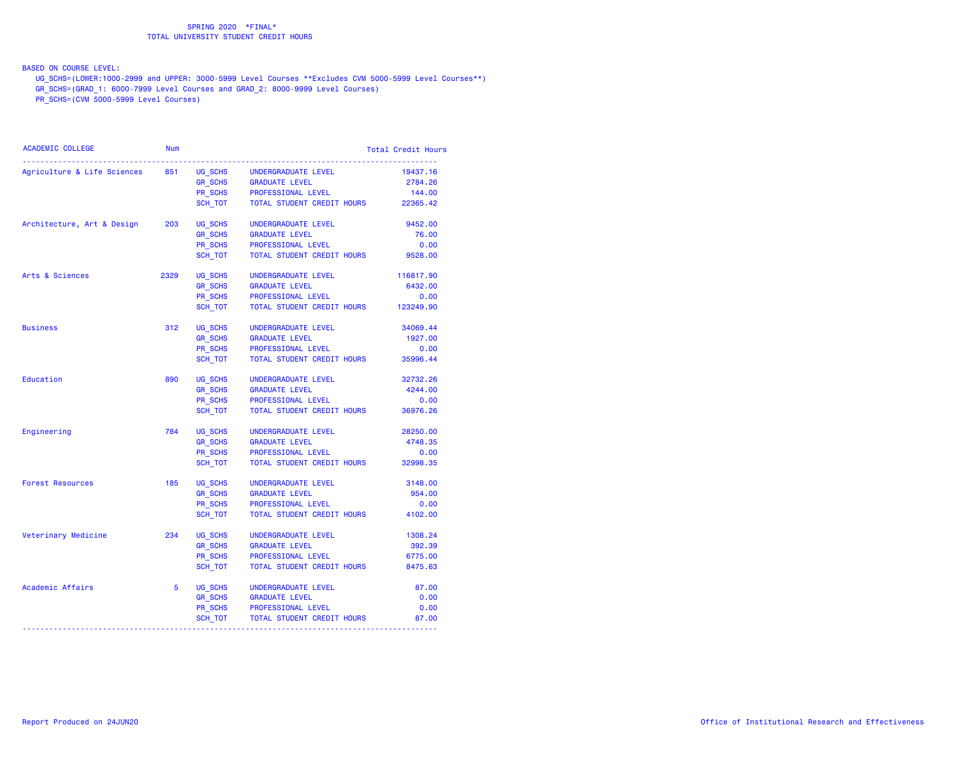BASED ON COURSE LEVEL:

UG\_SCHS=(LOWER:1000-2999 and UPPER: 3000-5999 Level Courses \*\*Excludes CVM 5000-5999 Level Courses\*\*)

GR\_SCHS=(GRAD\_1: 6000-7999 Level Courses and GRAD\_2: 8000-9999 Level Courses)

PR\_SCHS=(CVM 5000-5999 Level Courses)

| <b>ACADEMIC COLLEGE</b>             | <b>Num</b> |                               |                            | <b>Total Credit Hours</b> |
|-------------------------------------|------------|-------------------------------|----------------------------|---------------------------|
| Agriculture & Life Sciences         | 851        | UG SCHS                       | UNDERGRADUATE LEVEL        | 19437.16                  |
|                                     |            |                               | <b>GRADUATE LEVEL</b>      | 2784.26                   |
|                                     |            | GR_SCHS<br>PR_SCHS<br>PR_SCHS | PROFESSIONAL LEVEL         | 144.00                    |
|                                     |            | SCH TOT                       | TOTAL STUDENT CREDIT HOURS | 22365.42                  |
| Architecture, Art & Design          | 203        | UG_SCHS                       | UNDERGRADUATE LEVEL        | 9452.00                   |
|                                     |            | GR_SCHS                       | <b>GRADUATE LEVEL</b>      | 76.00                     |
|                                     |            | PR_SCHS                       | PROFESSIONAL LEVEL         | 0.00                      |
|                                     |            | SCH_TOT                       | TOTAL STUDENT CREDIT HOURS | 9528.00                   |
| Arts & Sciences                     | 2329       | UG SCHS                       | UNDERGRADUATE LEVEL        | 116817.90                 |
|                                     |            | GR_SCHS                       | <b>GRADUATE LEVEL</b>      | 6432.00                   |
|                                     |            | PR_SCHS                       | PROFESSIONAL LEVEL         | 0.00                      |
|                                     |            | SCH TOT                       | TOTAL STUDENT CREDIT HOURS | 123249.90                 |
| <b>Business</b>                     | 312        | UG SCHS                       | UNDERGRADUATE LEVEL        | 34069.44                  |
|                                     |            | <b>GR SCHS</b>                | <b>GRADUATE LEVEL</b>      | 1927.00                   |
|                                     |            | PR_SCHS                       | PROFESSIONAL LEVEL         | 0.00                      |
|                                     |            | SCH TOT                       | TOTAL STUDENT CREDIT HOURS | 35996.44                  |
| Education                           | 890        | UG SCHS                       | UNDERGRADUATE LEVEL        | 32732.26                  |
|                                     |            | <b>GR_SCHS</b>                | <b>GRADUATE LEVEL</b>      | 4244.00                   |
|                                     |            | PR_SCHS                       | PROFESSIONAL LEVEL         | 0.00                      |
|                                     |            | SCH TOT                       | TOTAL STUDENT CREDIT HOURS | 36976.26                  |
| Engineering                         | 784        | UG_SCHS                       | UNDERGRADUATE LEVEL        | 28250.00                  |
|                                     |            | <b>GR_SCHS</b>                | <b>GRADUATE LEVEL</b>      | 4748.35                   |
|                                     |            | PR_SCHS                       | PROFESSIONAL LEVEL         | 0.00                      |
|                                     |            | SCH_TOT                       | TOTAL STUDENT CREDIT HOURS | 32998.35                  |
| <b>Forest Resources</b>             | 185        | UG SCHS                       | UNDERGRADUATE LEVEL        | 3148.00                   |
|                                     |            | <b>GR SCHS</b>                | <b>GRADUATE LEVEL</b>      | 954.00                    |
|                                     |            | PR_SCHS                       | PROFESSIONAL LEVEL         | 0.00                      |
|                                     |            | SCH TOT                       | TOTAL STUDENT CREDIT HOURS | 4102.00                   |
| Veterinary Medicine                 | 234        | UG SCHS                       | UNDERGRADUATE LEVEL        | 1308.24                   |
|                                     |            | <b>GR_SCHS</b>                | <b>GRADUATE LEVEL</b>      | 392.39                    |
|                                     |            | PR SCHS                       | PROFESSIONAL LEVEL         | 6775.00                   |
|                                     |            | SCH TOT                       | TOTAL STUDENT CREDIT HOURS | 8475.63                   |
| Academic Affairs                    | 5          | UG_SCHS<br>GR_SCHS            | UNDERGRADUATE LEVEL        | 87.00                     |
|                                     |            |                               | <b>GRADUATE LEVEL</b>      | 0.00                      |
|                                     |            |                               | PR_SCHS PROFESSIONAL LEVEL | 0.00                      |
| ----------------------------------- |            | SCH_TOT                       | TOTAL STUDENT CREDIT HOURS | 87.00                     |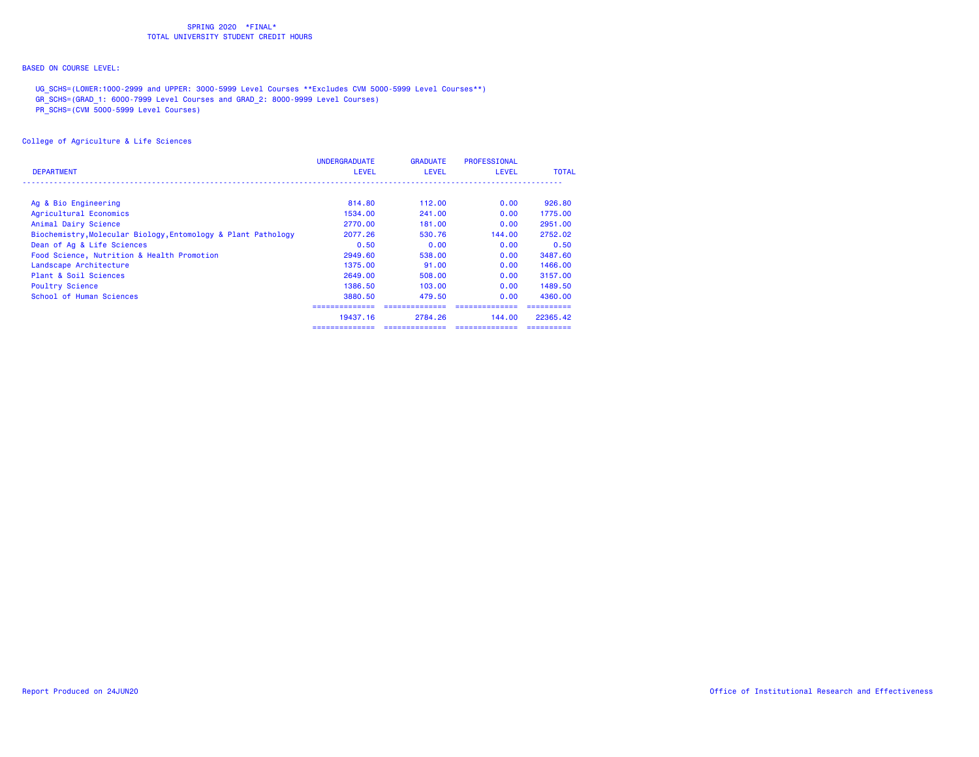# BASED ON COURSE LEVEL:

UG\_SCHS=(LOWER:1000-2999 and UPPER: 3000-5999 Level Courses \*\*Excludes CVM 5000-5999 Level Courses\*\*)

GR\_SCHS=(GRAD\_1: 6000-7999 Level Courses and GRAD\_2: 8000-9999 Level Courses)

PR\_SCHS=(CVM 5000-5999 Level Courses)

|                                                               | <b>UNDERGRADUATE</b> | <b>GRADUATE</b> | <b>PROFESSIONAL</b> |              |
|---------------------------------------------------------------|----------------------|-----------------|---------------------|--------------|
| <b>DEPARTMENT</b>                                             | <b>LEVEL</b>         | <b>LEVEL</b>    | LEVEL               | <b>TOTAL</b> |
| Ag & Bio Engineering                                          | 814,80               | 112,00          | 0.00                | 926,80       |
| Agricultural Economics                                        | 1534,00              | 241,00          | 0.00                | 1775.00      |
| Animal Dairy Science                                          | 2770.00              | 181,00          | 0.00                | 2951.00      |
| Biochemistry, Molecular Biology, Entomology & Plant Pathology | 2077.26              | 530.76          | 144.00              | 2752.02      |
| Dean of Ag & Life Sciences                                    | 0.50                 | 0.00            | 0.00                | 0.50         |
| Food Science, Nutrition & Health Promotion                    | 2949.60              | 538,00          | 0.00                | 3487.60      |
| Landscape Architecture                                        | 1375.00              | 91.00           | 0.00                | 1466.00      |
| Plant & Soil Sciences                                         | 2649.00              | 508,00          | 0.00                | 3157.00      |
| <b>Poultry Science</b>                                        | 1386.50              | 103,00          | 0.00                | 1489.50      |
| School of Human Sciences                                      | 3880.50              | 479.50          | 0.00                | 4360.00      |
|                                                               |                      |                 |                     | ----------   |
|                                                               | 19437.16             | 2784.26         | 144,00              | 22365.42     |
|                                                               | ==============       |                 | --------------      | ==========   |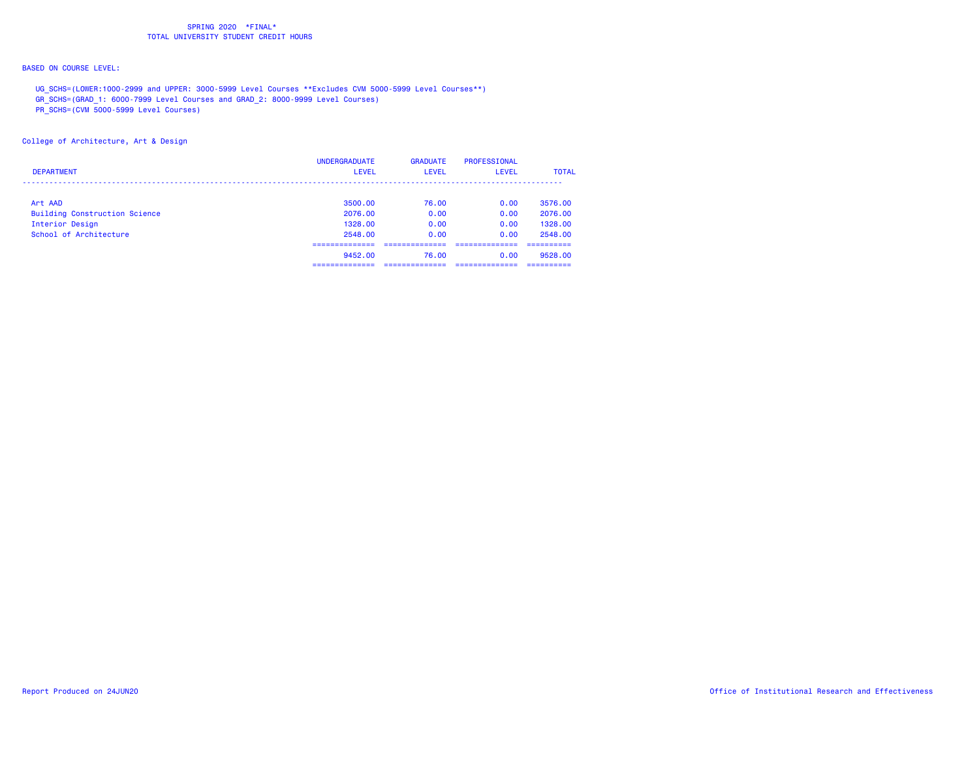# BASED ON COURSE LEVEL:

UG\_SCHS=(LOWER:1000-2999 and UPPER: 3000-5999 Level Courses \*\*Excludes CVM 5000-5999 Level Courses\*\*)

GR\_SCHS=(GRAD\_1: 6000-7999 Level Courses and GRAD\_2: 8000-9999 Level Courses)

PR\_SCHS=(CVM 5000-5999 Level Courses)

College of Architecture, Art & Design

| <b>DEPARTMENT</b>                    | <b>UNDERGRADUATE</b><br>LEVEL | <b>GRADUATE</b><br>LEVEL | <b>PROFESSIONAL</b><br><b>LEVEL</b> | <b>TOTAL</b> |
|--------------------------------------|-------------------------------|--------------------------|-------------------------------------|--------------|
|                                      |                               |                          |                                     |              |
| Art AAD                              | 3500.00                       | 76.00                    | 0.00                                | 3576.00      |
| <b>Building Construction Science</b> | 2076.00                       | 0.00                     | 0.00                                | 2076.00      |
| Interior Design                      | 1328.00                       | 0.00                     | 0.00                                | 1328.00      |
| School of Architecture               | 2548.00                       | 0.00                     | 0.00                                | 2548.00      |
|                                      | __________                    |                          |                                     | ---------    |
|                                      | 9452.00                       | 76.00                    | 0.00                                | 9528.00      |
|                                      | _________<br>-------------    | ----------               | ----------                          | ----------   |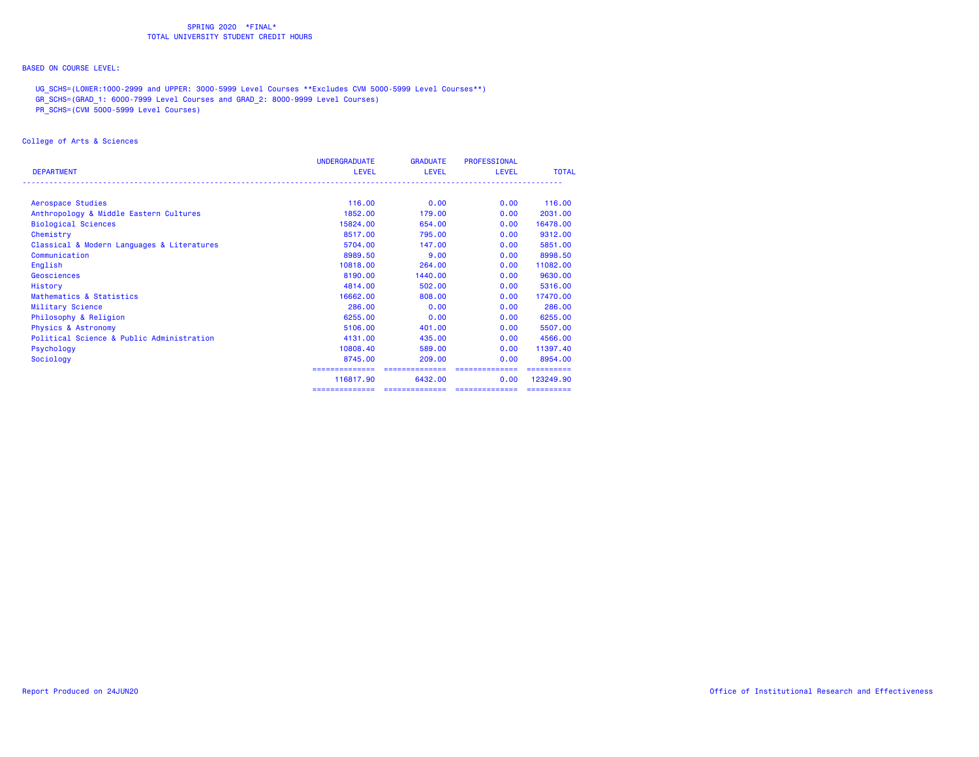# BASED ON COURSE LEVEL:

UG\_SCHS=(LOWER:1000-2999 and UPPER: 3000-5999 Level Courses \*\*Excludes CVM 5000-5999 Level Courses\*\*)

GR\_SCHS=(GRAD\_1: 6000-7999 Level Courses and GRAD\_2: 8000-9999 Level Courses)

PR\_SCHS=(CVM 5000-5999 Level Courses)

## College of Arts & Sciences

|                                            | <b>UNDERGRADUATE</b> | <b>GRADUATE</b> | <b>PROFESSIONAL</b> |              |
|--------------------------------------------|----------------------|-----------------|---------------------|--------------|
| <b>DEPARTMENT</b>                          | <b>LEVEL</b>         | <b>LEVEL</b>    | <b>LEVEL</b>        | <b>TOTAL</b> |
|                                            |                      |                 |                     |              |
| Aerospace Studies                          | 116,00               | 0.00            | 0.00                | 116,00       |
| Anthropology & Middle Eastern Cultures     | 1852.00              | 179.00          | 0.00                | 2031.00      |
| <b>Biological Sciences</b>                 | 15824.00             | 654,00          | 0.00                | 16478.00     |
| Chemistry                                  | 8517.00              | 795,00          | 0.00                | 9312.00      |
| Classical & Modern Languages & Literatures | 5704.00              | 147.00          | 0.00                | 5851.00      |
| Communication                              | 8989.50              | 9.00            | 0.00                | 8998.50      |
| English                                    | 10818.00             | 264,00          | 0.00                | 11082.00     |
| Geosciences                                | 8190.00              | 1440.00         | 0.00                | 9630.00      |
| History                                    | 4814.00              | 502.00          | 0.00                | 5316.00      |
| Mathematics & Statistics                   | 16662.00             | 808,00          | 0.00                | 17470.00     |
| Military Science                           | 286,00               | 0.00            | 0.00                | 286,00       |
| Philosophy & Religion                      | 6255.00              | 0.00            | 0.00                | 6255,00      |
| <b>Physics &amp; Astronomy</b>             | 5106.00              | 401.00          | 0.00                | 5507.00      |
| Political Science & Public Administration  | 4131.00              | 435,00          | 0.00                | 4566.00      |
| Psychology                                 | 10808.40             | 589.00          | 0.00                | 11397.40     |
| Sociology                                  | 8745.00              | 209,00          | 0.00                | 8954.00      |
|                                            |                      |                 |                     |              |
|                                            | 116817.90            | 6432.00         | 0.00                | 123249.90    |
|                                            | ==============       | ==============  | ==============      |              |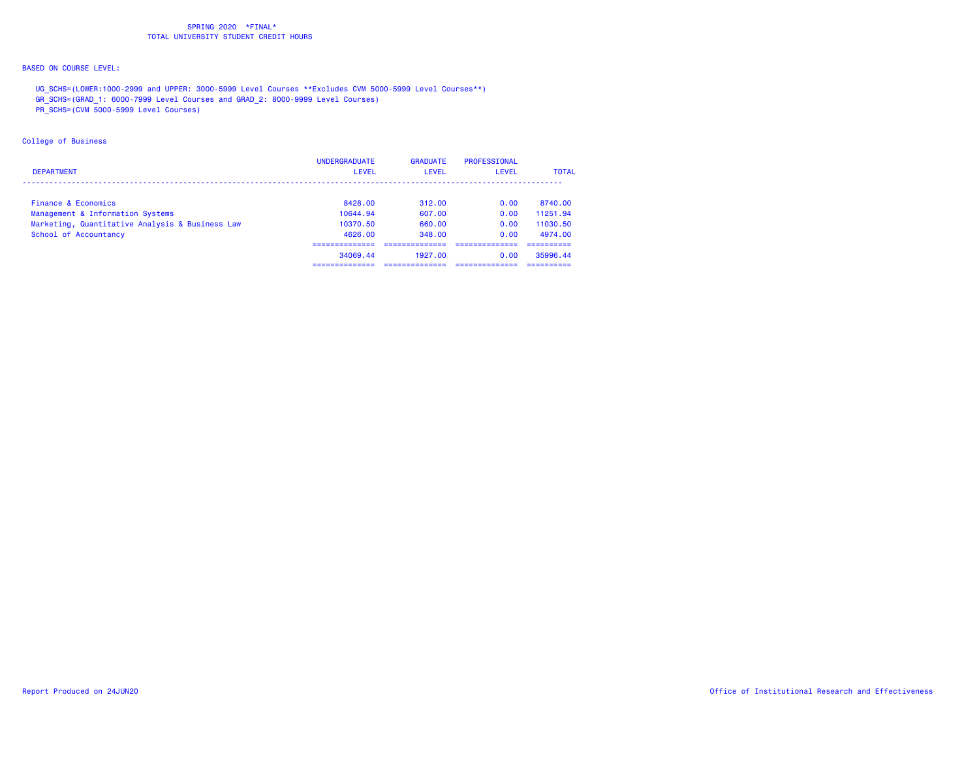# BASED ON COURSE LEVEL:

UG\_SCHS=(LOWER:1000-2999 and UPPER: 3000-5999 Level Courses \*\*Excludes CVM 5000-5999 Level Courses\*\*)

GR\_SCHS=(GRAD\_1: 6000-7999 Level Courses and GRAD\_2: 8000-9999 Level Courses)

PR\_SCHS=(CVM 5000-5999 Level Courses)

## College of Business

| <b>DEPARTMENT</b>                               | <b>UNDERGRADUATE</b><br><b>LEVEL</b> | <b>GRADUATE</b><br>LEVEL | PROFESSIONAL<br>LEVEL | <b>TOTAL</b> |
|-------------------------------------------------|--------------------------------------|--------------------------|-----------------------|--------------|
| Finance & Economics                             | 8428.00                              | 312.00                   | 0.00                  | 8740.00      |
| Management & Information Systems                | 10644.94                             | 607.00                   | 0.00                  | 11251.94     |
| Marketing, Quantitative Analysis & Business Law | 10370.50                             | 660.00                   | 0.00                  | 11030.50     |
| School of Accountancy                           | 4626.00                              | 348.00                   | 0.00                  | 4974.00      |
|                                                 |                                      |                          |                       |              |
|                                                 | 34069.44                             | 1927.00                  | 0.00                  | 35996.44     |
|                                                 | -----------                          |                          |                       | ----------   |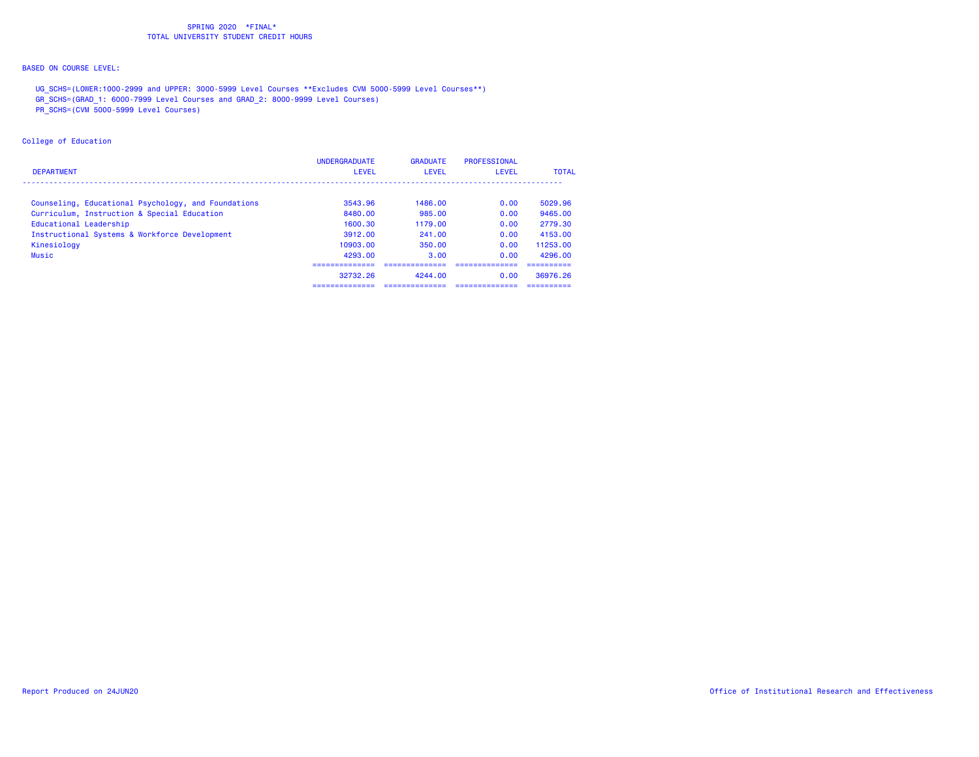# BASED ON COURSE LEVEL:

UG\_SCHS=(LOWER:1000-2999 and UPPER: 3000-5999 Level Courses \*\*Excludes CVM 5000-5999 Level Courses\*\*)

GR\_SCHS=(GRAD\_1: 6000-7999 Level Courses and GRAD\_2: 8000-9999 Level Courses)

PR\_SCHS=(CVM 5000-5999 Level Courses)

## College of Education

| <b>DEPARTMENT</b>                                   | <b>UNDERGRADUATE</b><br><b>LEVEL</b> | <b>GRADUATE</b><br><b>LEVEL</b> | <b>PROFESSIONAL</b><br>LEVEL | <b>TOTAL</b> |
|-----------------------------------------------------|--------------------------------------|---------------------------------|------------------------------|--------------|
| Counseling, Educational Psychology, and Foundations | 3543.96                              | 1486.00                         | 0.00                         | 5029.96      |
| Curriculum, Instruction & Special Education         | 8480.00                              | 985.00                          | 0.00                         | 9465.00      |
| Educational Leadership                              | 1600.30                              | 1179.00                         | 0.00                         | 2779.30      |
| Instructional Systems & Workforce Development       | 3912.00                              | 241,00                          | 0.00                         | 4153.00      |
| Kinesiology                                         | 10903.00                             | 350.00                          | 0.00                         | 11253.00     |
| Music                                               | 4293.00                              | 3.00                            | 0.00                         | 4296.00      |
|                                                     |                                      |                                 |                              |              |
|                                                     | 32732.26                             | 4244.00                         | 0.00                         | 36976.26     |
|                                                     |                                      |                                 |                              |              |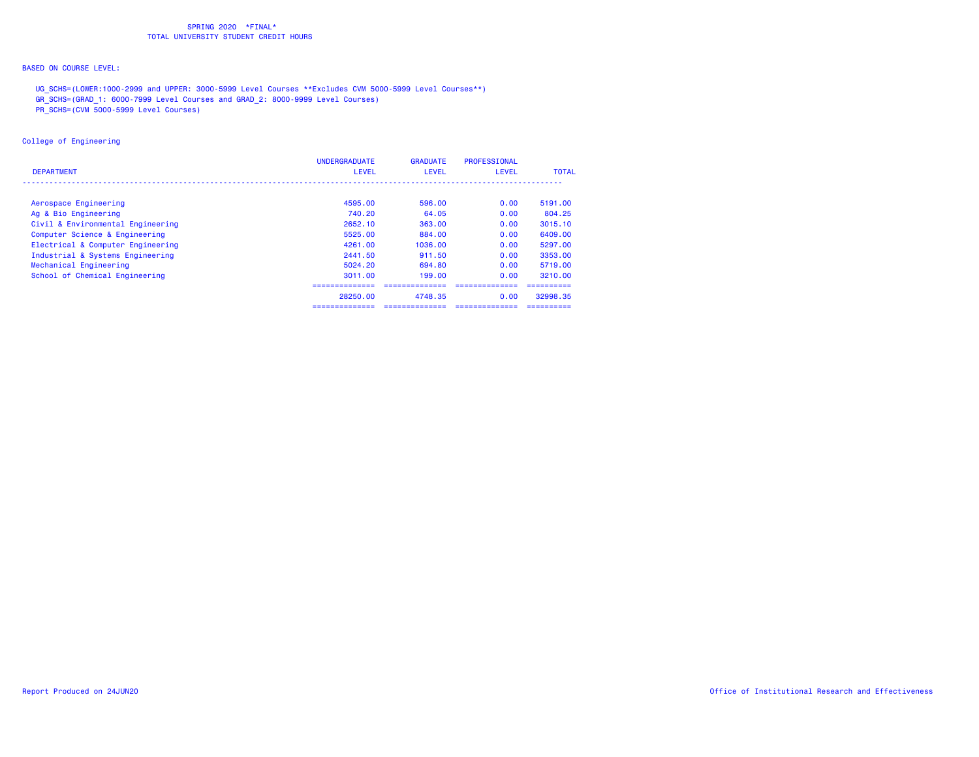# BASED ON COURSE LEVEL:

UG\_SCHS=(LOWER:1000-2999 and UPPER: 3000-5999 Level Courses \*\*Excludes CVM 5000-5999 Level Courses\*\*)

GR\_SCHS=(GRAD\_1: 6000-7999 Level Courses and GRAD\_2: 8000-9999 Level Courses)

PR\_SCHS=(CVM 5000-5999 Level Courses)

## College of Engineering

| <b>DEPARTMENT</b>                 | <b>UNDERGRADUATE</b><br><b>LEVEL</b> | <b>GRADUATE</b><br><b>LEVEL</b> | PROFESSIONAL<br><b>LEVEL</b> | <b>TOTAL</b> |
|-----------------------------------|--------------------------------------|---------------------------------|------------------------------|--------------|
|                                   |                                      |                                 |                              |              |
| Aerospace Engineering             | 4595.00                              | 596.00                          | 0.00                         | 5191.00      |
| Ag & Bio Engineering              | 740.20                               | 64.05                           | 0.00                         | 804.25       |
| Civil & Environmental Engineering | 2652.10                              | 363.00                          | 0.00                         | 3015.10      |
| Computer Science & Engineering    | 5525.00                              | 884.00                          | 0.00                         | 6409.00      |
| Electrical & Computer Engineering | 4261.00                              | 1036.00                         | 0.00                         | 5297.00      |
| Industrial & Systems Engineering  | 2441.50                              | 911.50                          | 0.00                         | 3353.00      |
| Mechanical Engineering            | 5024.20                              | 694.80                          | 0.00                         | 5719.00      |
| School of Chemical Engineering    | 3011.00                              | 199.00                          | 0.00                         | 3210.00      |
|                                   | ===============                      |                                 |                              |              |
|                                   | 28250.00                             | 4748.35                         | 0.00                         | 32998.35     |
|                                   | -----------                          |                                 |                              |              |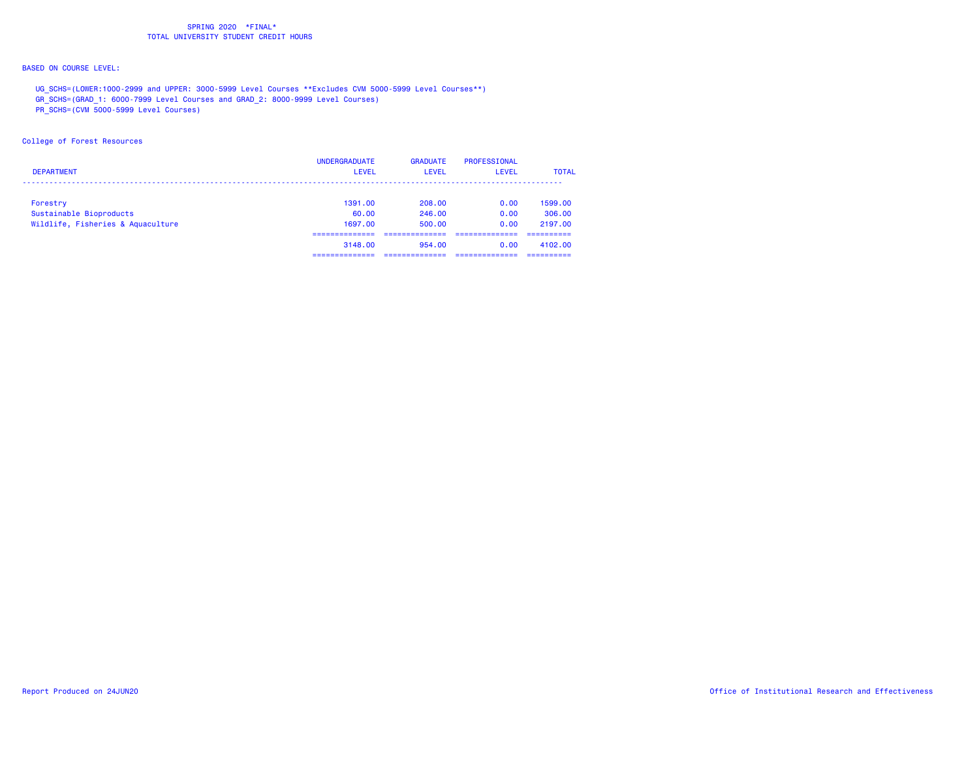# BASED ON COURSE LEVEL:

UG\_SCHS=(LOWER:1000-2999 and UPPER: 3000-5999 Level Courses \*\*Excludes CVM 5000-5999 Level Courses\*\*)

GR\_SCHS=(GRAD\_1: 6000-7999 Level Courses and GRAD\_2: 8000-9999 Level Courses)

PR\_SCHS=(CVM 5000-5999 Level Courses)

## College of Forest Resources

| <b>DEPARTMENT</b>                 | <b>UNDERGRADUATE</b><br><b>LEVEL</b> | <b>GRADUATE</b><br>LEVEL | PROFESSIONAL<br><b>LEVEL</b> | <b>TOTAL</b> |
|-----------------------------------|--------------------------------------|--------------------------|------------------------------|--------------|
| Forestry                          | 1391.00                              | 208,00                   | 0.00                         | 1599.00      |
| Sustainable Bioproducts           | 60.00                                | 246.00                   | 0.00                         | 306,00       |
| Wildlife, Fisheries & Aquaculture | 1697.00                              | 500.00                   | 0.00                         | 2197.00      |
|                                   | _________<br>3148.00                 | 954.00                   | 0.00                         | 4102.00      |
|                                   |                                      |                          |                              |              |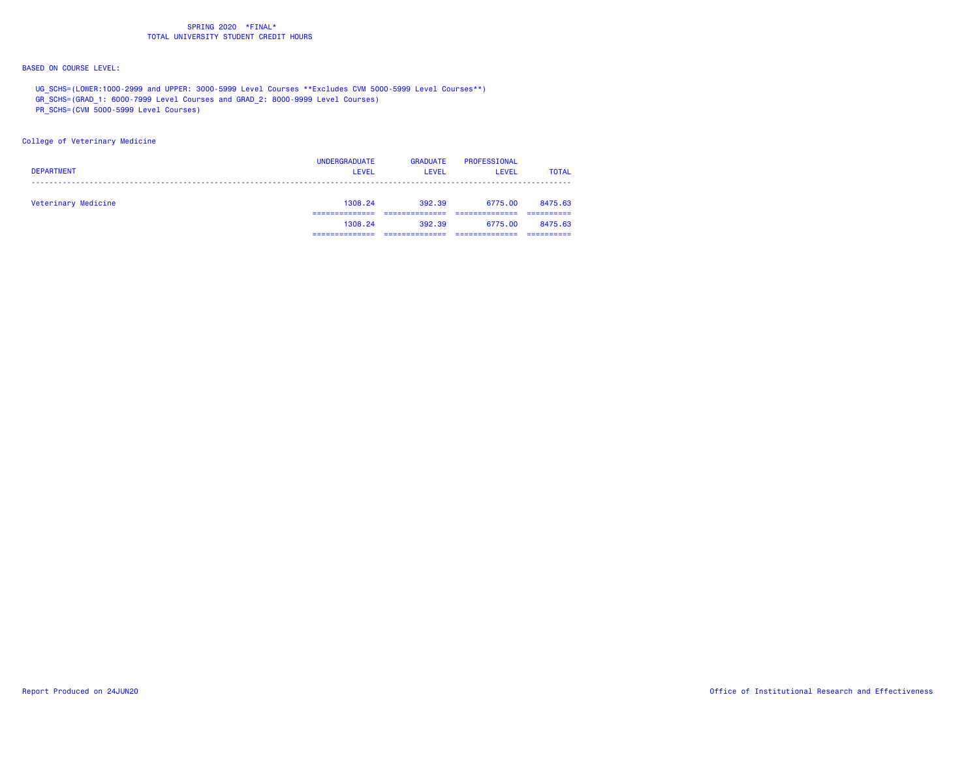# BASED ON COURSE LEVEL:

- UG\_SCHS=(LOWER:1000-2999 and UPPER: 3000-5999 Level Courses \*\*Excludes CVM 5000-5999 Level Courses\*\*)
- GR\_SCHS=(GRAD\_1: 6000-7999 Level Courses and GRAD\_2: 8000-9999 Level Courses)
- PR\_SCHS=(CVM 5000-5999 Level Courses)

## College of Veterinary Medicine

| <b>DEPARTMENT</b>   | <b>UNDERGRADUATE</b><br><b>LEVEL</b> | <b>GRADUATE</b><br><b>LEVEL</b> | <b>PROFESSIONAL</b><br>LEVEL | <b>TOTAL</b> |
|---------------------|--------------------------------------|---------------------------------|------------------------------|--------------|
| Veterinary Medicine | 1308.24                              | 392.39                          | 6775.00                      | 8475.63      |
|                     | 1308.24                              | 392.39                          | 6775.00                      | 8475.63      |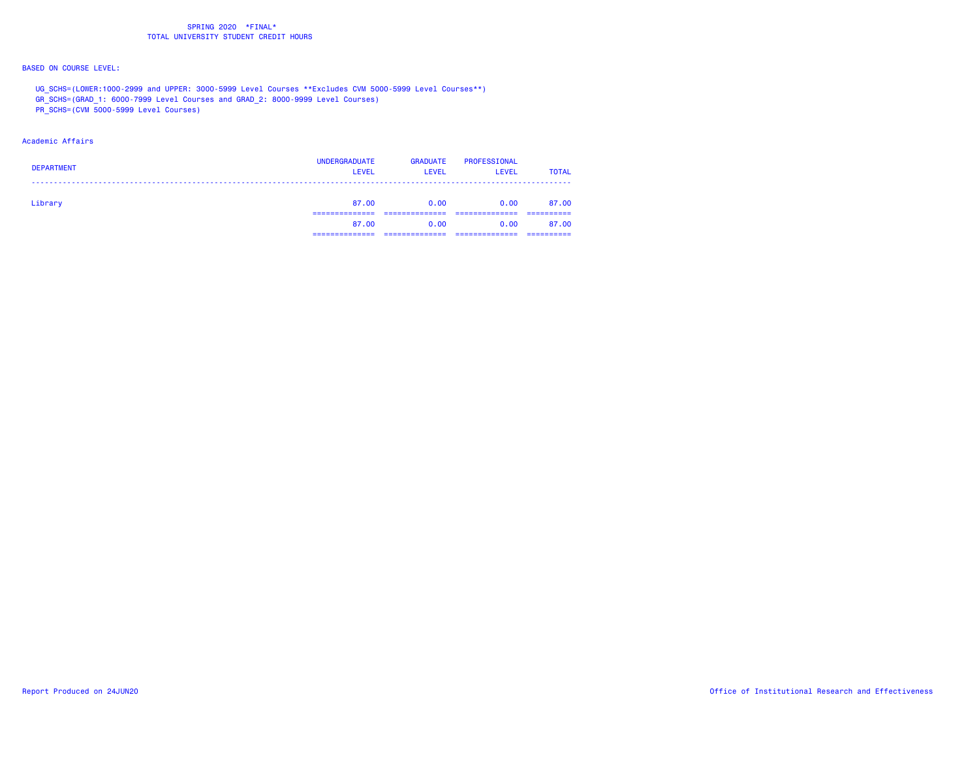# BASED ON COURSE LEVEL:

- UG\_SCHS=(LOWER:1000-2999 and UPPER: 3000-5999 Level Courses \*\*Excludes CVM 5000-5999 Level Courses\*\*)
- GR\_SCHS=(GRAD\_1: 6000-7999 Level Courses and GRAD\_2: 8000-9999 Level Courses)
- PR\_SCHS=(CVM 5000-5999 Level Courses)

## Academic Affairs

| <b>DEPARTMENT</b> | <b>UNDERGRADUATE</b><br><b>LEVEL</b> | <b>GRADUATE</b><br>LEVEL | <b>PROFESSIONAL</b><br><b>LEVEL</b> | <b>TOTAL</b> |
|-------------------|--------------------------------------|--------------------------|-------------------------------------|--------------|
| Library           | 87.00                                | 0.00                     | 0.00                                | 87.00        |
|                   | 87.00                                | 0.00                     | 0.00                                | 87.00        |
|                   |                                      |                          |                                     |              |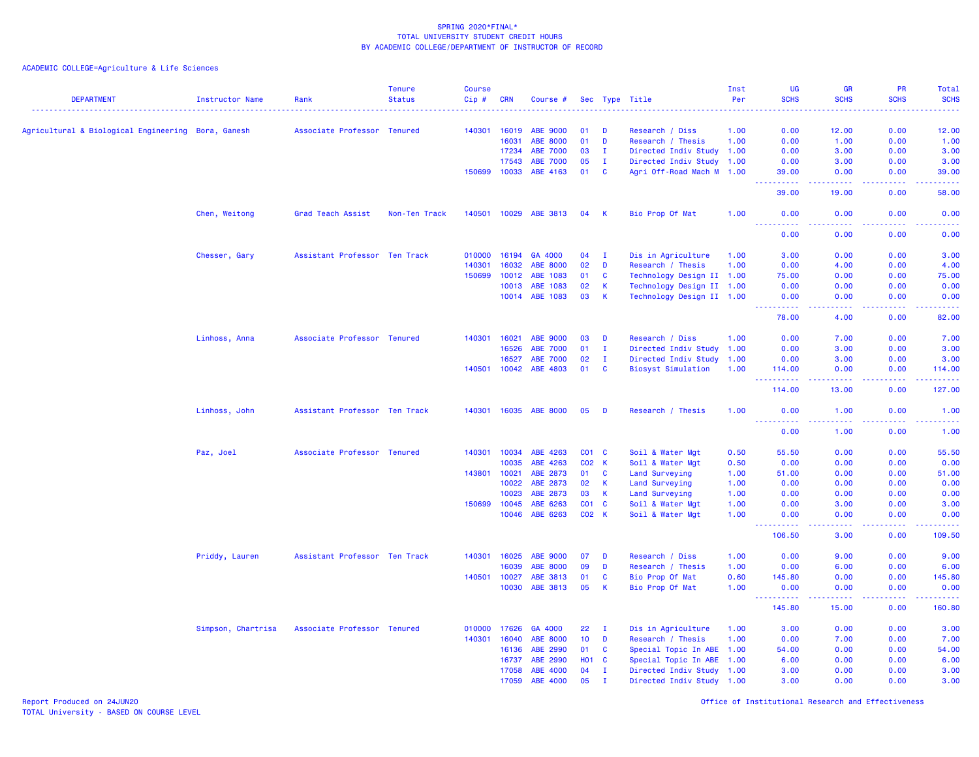ACADEMIC COLLEGE=Agriculture & Life Sciences

| <b>DEPARTMENT</b>                                  | Instructor Name    | Rank                          | <b>Tenure</b><br><b>Status</b> | <b>Course</b><br>Cip# | <b>CRN</b> | Course #        |            |              | Sec Type Title            | Inst<br>Per | <b>UG</b><br><b>SCHS</b>                                                                                                                                     | <b>GR</b><br><b>SCHS</b> | <b>PR</b><br><b>SCHS</b> | Total<br><b>SCHS</b>                                                                                                               |
|----------------------------------------------------|--------------------|-------------------------------|--------------------------------|-----------------------|------------|-----------------|------------|--------------|---------------------------|-------------|--------------------------------------------------------------------------------------------------------------------------------------------------------------|--------------------------|--------------------------|------------------------------------------------------------------------------------------------------------------------------------|
|                                                    |                    |                               |                                |                       |            |                 |            |              |                           |             | $\frac{1}{2} \left( \frac{1}{2} \right) \left( \frac{1}{2} \right) \left( \frac{1}{2} \right) \left( \frac{1}{2} \right) \left( \frac{1}{2} \right)$         |                          | .                        | .                                                                                                                                  |
| Agricultural & Biological Engineering Bora, Ganesh |                    | Associate Professor Tenured   |                                | 140301                | 16019      | <b>ABE 9000</b> | 01         | D            | Research / Diss           | 1.00        | 0.00                                                                                                                                                         | 12.00                    | 0.00                     | 12.00                                                                                                                              |
|                                                    |                    |                               |                                |                       | 16031      | ABE 8000        | 01         | D            | Research / Thesis         | 1.00        | 0.00                                                                                                                                                         | 1.00                     | 0.00                     | 1.00                                                                                                                               |
|                                                    |                    |                               |                                |                       | 17234      | <b>ABE 7000</b> | 03         | $\mathbf{I}$ | Directed Indiv Study 1.00 |             | 0.00                                                                                                                                                         | 3.00                     | 0.00                     | 3.00                                                                                                                               |
|                                                    |                    |                               |                                |                       | 17543      | <b>ABE 7000</b> | 05         | $\mathbf{I}$ | Directed Indiv Study      | 1.00        | 0.00                                                                                                                                                         | 3.00                     | 0.00                     | 3.00                                                                                                                               |
|                                                    |                    |                               |                                | 150699                | 10033      | ABE 4163        | 01         | <b>C</b>     | Agri Off-Road Mach M 1.00 |             | 39,00<br>.                                                                                                                                                   | 0.00<br>.                | 0.00                     | 39.00<br>$\frac{1}{2} \left( \frac{1}{2} \right) \left( \frac{1}{2} \right) \left( \frac{1}{2} \right) \left( \frac{1}{2} \right)$ |
|                                                    |                    |                               |                                |                       |            |                 |            |              |                           |             | 39.00                                                                                                                                                        | 19.00                    | 0.00                     | 58.00                                                                                                                              |
|                                                    | Chen, Weitong      | Grad Teach Assist             | Non-Ten Track                  | 140501                | 10029      | ABE 3813        | 04         | - K          | Bio Prop Of Mat           | 1.00        | 0.00<br>$\omega$ is a $\omega$<br>د د د د                                                                                                                    | 0.00<br>ولايات           | 0.00<br>.                | 0.00                                                                                                                               |
|                                                    |                    |                               |                                |                       |            |                 |            |              |                           |             | 0.00                                                                                                                                                         | 0.00                     | 0.00                     | 0.00                                                                                                                               |
|                                                    | Chesser, Gary      | Assistant Professor Ten Track |                                | 010000                | 16194      | GA 4000         | 04         | $\mathbf I$  | Dis in Agriculture        | 1.00        | 3.00                                                                                                                                                         | 0.00                     | 0.00                     | 3.00                                                                                                                               |
|                                                    |                    |                               |                                | 140301                | 16032      | <b>ABE 8000</b> | 02         | D            | Research / Thesis         | 1.00        | 0.00                                                                                                                                                         | 4.00                     | 0.00                     | 4.00                                                                                                                               |
|                                                    |                    |                               |                                | 150699                | 10012      | ABE 1083        | 01         | $\mathbf{C}$ | Technology Design II 1.00 |             | 75.00                                                                                                                                                        | 0.00                     | 0.00                     | 75.00                                                                                                                              |
|                                                    |                    |                               |                                |                       | 10013      | ABE 1083        | 02         | <b>K</b>     | Technology Design II 1.00 |             | 0.00                                                                                                                                                         | 0.00                     | 0.00                     | 0.00                                                                                                                               |
|                                                    |                    |                               |                                |                       | 10014      | ABE 1083        | 03         | <b>K</b>     | Technology Design II 1.00 |             | 0.00<br>$\frac{1}{2} \left( \frac{1}{2} \right) \left( \frac{1}{2} \right) \left( \frac{1}{2} \right) \left( \frac{1}{2} \right) \left( \frac{1}{2} \right)$ | 0.00<br>وبالمحام         | 0.00<br>.                | 0.00<br>$\frac{1}{2}$ , $\frac{1}{2}$ , $\frac{1}{2}$ , $\frac{1}{2}$                                                              |
|                                                    |                    |                               |                                |                       |            |                 |            |              |                           |             | 78.00                                                                                                                                                        | 4.00                     | 0.00                     | 82.00                                                                                                                              |
|                                                    | Linhoss, Anna      | Associate Professor Tenured   |                                | 140301                | 16021      | <b>ABE 9000</b> | 03         | D            | Research / Diss           | 1.00        | 0.00                                                                                                                                                         | 7.00                     | 0.00                     | 7.00                                                                                                                               |
|                                                    |                    |                               |                                |                       | 16526      | ABE 7000        | 01         | $\mathbf{I}$ | Directed Indiv Study 1.00 |             | 0.00                                                                                                                                                         | 3.00                     | 0.00                     | 3.00                                                                                                                               |
|                                                    |                    |                               |                                |                       | 16527      | <b>ABE 7000</b> | 02         | $\mathbf{I}$ | Directed Indiv Study      | 1.00        | 0.00                                                                                                                                                         | 3.00                     | 0.00                     | 3.00                                                                                                                               |
|                                                    |                    |                               |                                | 140501                | 10042      | ABE 4803        | 01         | $\mathbf c$  | <b>Biosyst Simulation</b> | 1.00        | 114.00                                                                                                                                                       | 0.00                     | 0.00                     | 114.00                                                                                                                             |
|                                                    |                    |                               |                                |                       |            |                 |            |              |                           |             | .<br>114.00                                                                                                                                                  | وبالمحام<br>13.00        | وبالمحامة<br>0.00        | .<br>127.00                                                                                                                        |
|                                                    | Linhoss, John      | Assistant Professor Ten Track |                                | 140301                | 16035      | <b>ABE 8000</b> | 05         | D            | Research / Thesis         | 1.00        | 0.00                                                                                                                                                         | 1.00                     | 0.00                     | 1.00                                                                                                                               |
|                                                    |                    |                               |                                |                       |            |                 |            |              |                           |             | <u>.</u><br>0.00                                                                                                                                             | د د د د<br>1.00          | 22222<br>0.00            | <u>.</u><br>1.00                                                                                                                   |
|                                                    | Paz, Joel          | Associate Professor Tenured   |                                | 140301                | 10034      | ABE 4263        | $CO1$ $C$  |              | Soil & Water Mgt          | 0.50        | 55.50                                                                                                                                                        | 0.00                     | 0.00                     | 55.50                                                                                                                              |
|                                                    |                    |                               |                                |                       | 10035      | ABE 4263        | C02 K      |              | Soil & Water Mgt          | 0.50        | 0.00                                                                                                                                                         | 0.00                     | 0.00                     | 0.00                                                                                                                               |
|                                                    |                    |                               |                                | 143801 10021          |            | ABE 2873        | 01 C       |              | Land Surveying            | 1.00        | 51.00                                                                                                                                                        | 0.00                     | 0.00                     | 51.00                                                                                                                              |
|                                                    |                    |                               |                                |                       | 10022      | ABE 2873        | 02         | $\mathsf{K}$ | Land Surveying            | 1.00        | 0.00                                                                                                                                                         | 0.00                     | 0.00                     | 0.00                                                                                                                               |
|                                                    |                    |                               |                                |                       | 10023      | ABE 2873        | 03         | $\mathsf{K}$ | Land Surveying            | 1.00        | 0.00                                                                                                                                                         | 0.00                     | 0.00                     | 0.00                                                                                                                               |
|                                                    |                    |                               |                                | 150699                | 10045      | ABE 6263        | CO1 C      |              | Soil & Water Mgt          | 1.00        | 0.00                                                                                                                                                         | 3.00                     | 0.00                     | 3.00                                                                                                                               |
|                                                    |                    |                               |                                |                       | 10046      | ABE 6263        | C02 K      |              | Soil & Water Mgt          | 1.00        | 0.00<br><u> - - - - - - - - - -</u>                                                                                                                          | 0.00<br>المتمالين        | 0.00<br>.                | 0.00<br>.                                                                                                                          |
|                                                    |                    |                               |                                |                       |            |                 |            |              |                           |             | 106.50                                                                                                                                                       | 3.00                     | 0.00                     | 109.50                                                                                                                             |
|                                                    | Priddy, Lauren     | Assistant Professor Ten Track |                                | 140301                | 16025      | <b>ABE 9000</b> | 07         | D            | Research / Diss           | 1.00        | 0.00                                                                                                                                                         | 9.00                     | 0.00                     | 9.00                                                                                                                               |
|                                                    |                    |                               |                                |                       | 16039      | <b>ABE 8000</b> | 09         | D            | Research / Thesis         | 1.00        | 0.00                                                                                                                                                         | 6.00                     | 0.00                     | 6.00                                                                                                                               |
|                                                    |                    |                               |                                | 140501                | 10027      | ABE 3813        | 01         | C            | Bio Prop Of Mat           | 0.60        | 145.80                                                                                                                                                       | 0.00                     | 0.00                     | 145.80                                                                                                                             |
|                                                    |                    |                               |                                |                       | 10030      | ABE 3813        | 05         | $\mathbf K$  | Bio Prop Of Mat           | 1.00        | 0.00<br>$\frac{1}{2} \left( \frac{1}{2} \right) \left( \frac{1}{2} \right) \left( \frac{1}{2} \right) \left( \frac{1}{2} \right) \left( \frac{1}{2} \right)$ | 0.00<br>.                | 0.00<br>22222            | 0.00<br>.                                                                                                                          |
|                                                    |                    |                               |                                |                       |            |                 |            |              |                           |             | 145.80                                                                                                                                                       | 15.00                    | 0.00                     | 160.80                                                                                                                             |
|                                                    | Simpson, Chartrisa | Associate Professor Tenured   |                                | 010000                | 17626      | GA 4000         | 22         | $\mathbf{I}$ | Dis in Agriculture        | 1.00        | 3.00                                                                                                                                                         | 0.00                     | 0.00                     | 3.00                                                                                                                               |
|                                                    |                    |                               |                                | 140301                | 16040      | ABE 8000        | 10         | D            | Research / Thesis         | 1.00        | 0.00                                                                                                                                                         | 7.00                     | 0.00                     | 7.00                                                                                                                               |
|                                                    |                    |                               |                                |                       | 16136      | ABE 2990        | 01         | $\mathbf{C}$ | Special Topic In ABE      | 1.00        | 54.00                                                                                                                                                        | 0.00                     | 0.00                     | 54.00                                                                                                                              |
|                                                    |                    |                               |                                |                       | 16737      | ABE 2990        | <b>HO1</b> | $\mathbf{C}$ | Special Topic In ABE      | 1.00        | 6.00                                                                                                                                                         | 0.00                     | 0.00                     | 6.00                                                                                                                               |
|                                                    |                    |                               |                                |                       | 17058      | ABE 4000        | 04         | $\mathbf{I}$ | Directed Indiv Study 1.00 |             | 3.00                                                                                                                                                         | 0.00                     | 0.00                     | 3.00                                                                                                                               |
|                                                    |                    |                               |                                |                       | 17059      | ABE 4000        | 05         | $\mathbf{I}$ | Directed Indiv Study 1.00 |             | 3.00                                                                                                                                                         | 0.00                     | 0.00                     | 3.00                                                                                                                               |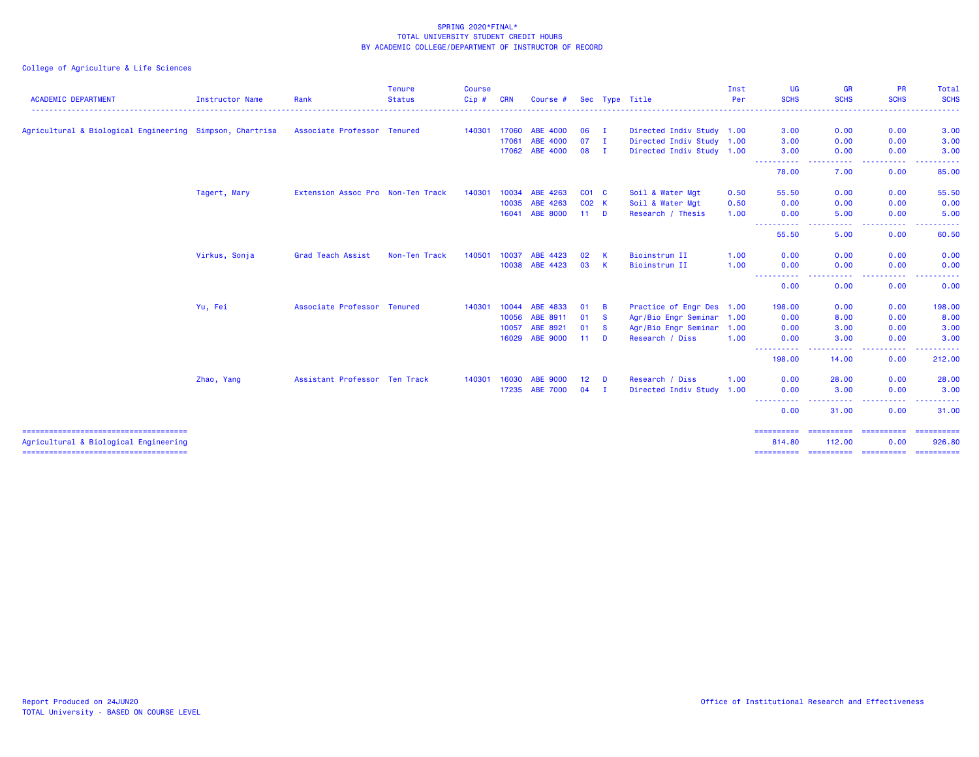|                                                          |                   | <b>Tenure</b> | <b>Course</b>                                                                                                                    |            |                 |                                  |     |                                                                                                                | Inst                                   | <b>UG</b>                                                                                                                                                                  | <b>GR</b>                                                                                                                                                                                                           | <b>PR</b>                   | Total                                                                                                                                                                                       |
|----------------------------------------------------------|-------------------|---------------|----------------------------------------------------------------------------------------------------------------------------------|------------|-----------------|----------------------------------|-----|----------------------------------------------------------------------------------------------------------------|----------------------------------------|----------------------------------------------------------------------------------------------------------------------------------------------------------------------------|---------------------------------------------------------------------------------------------------------------------------------------------------------------------------------------------------------------------|-----------------------------|---------------------------------------------------------------------------------------------------------------------------------------------------------------------------------------------|
| Instructor Name                                          | Rank              | <b>Status</b> | Cip#                                                                                                                             | <b>CRN</b> | Course #        |                                  |     |                                                                                                                | Per                                    | <b>SCHS</b>                                                                                                                                                                | <b>SCHS</b>                                                                                                                                                                                                         | <b>SCHS</b>                 | <b>SCHS</b>                                                                                                                                                                                 |
| Agricultural & Biological Engineering Simpson, Chartrisa |                   |               | 140301                                                                                                                           |            | ABE 4000        |                                  |     |                                                                                                                |                                        | 3.00                                                                                                                                                                       | 0.00                                                                                                                                                                                                                | 0.00                        | 3.00                                                                                                                                                                                        |
|                                                          |                   |               |                                                                                                                                  | 17061      | ABE 4000        | 07                               |     |                                                                                                                |                                        | 3.00                                                                                                                                                                       | 0.00                                                                                                                                                                                                                | 0.00                        | 3.00                                                                                                                                                                                        |
|                                                          |                   |               |                                                                                                                                  |            |                 | 08                               |     |                                                                                                                |                                        | 3.00                                                                                                                                                                       | 0.00                                                                                                                                                                                                                | 0.00                        | 3.00                                                                                                                                                                                        |
|                                                          |                   |               |                                                                                                                                  |            |                 |                                  |     |                                                                                                                |                                        | 78.00                                                                                                                                                                      | 7.00                                                                                                                                                                                                                | 0.00                        | 85.00                                                                                                                                                                                       |
| Tagert, Mary                                             |                   |               | 140301                                                                                                                           | 10034      | ABE 4263        |                                  |     | Soil & Water Mgt                                                                                               | 0.50                                   | 55.50                                                                                                                                                                      | 0.00                                                                                                                                                                                                                | 0.00                        | 55.50                                                                                                                                                                                       |
|                                                          |                   |               |                                                                                                                                  | 10035      | ABE 4263        |                                  |     | Soil & Water Mgt                                                                                               | 0.50                                   | 0.00                                                                                                                                                                       | 0.00                                                                                                                                                                                                                | 0.00                        | 0.00                                                                                                                                                                                        |
|                                                          |                   |               |                                                                                                                                  | 16041      | <b>ABE 8000</b> |                                  |     | Research / Thesis                                                                                              | 1.00                                   | 0.00                                                                                                                                                                       | 5.00                                                                                                                                                                                                                | 0.00                        | 5.00<br>.                                                                                                                                                                                   |
|                                                          |                   |               |                                                                                                                                  |            |                 |                                  |     |                                                                                                                |                                        | 55.50                                                                                                                                                                      | 5.00                                                                                                                                                                                                                | 0.00                        | 60.50                                                                                                                                                                                       |
| Virkus, Sonja                                            | Grad Teach Assist | Non-Ten Track | 140501                                                                                                                           | 10037      | ABE 4423        | 02                               | - K | Bioinstrum II                                                                                                  | 1.00                                   | 0.00                                                                                                                                                                       | 0.00                                                                                                                                                                                                                | 0.00                        | 0.00                                                                                                                                                                                        |
|                                                          |                   |               |                                                                                                                                  | 10038      | ABE 4423        | 03                               | K   | Bioinstrum II                                                                                                  | 1.00                                   | 0.00                                                                                                                                                                       | 0.00                                                                                                                                                                                                                | 0.00                        | 0.00                                                                                                                                                                                        |
|                                                          |                   |               |                                                                                                                                  |            |                 |                                  |     |                                                                                                                |                                        | 0.00                                                                                                                                                                       | 0.00                                                                                                                                                                                                                | 0.00                        | 0.00                                                                                                                                                                                        |
| Yu, Fei                                                  |                   |               | 140301                                                                                                                           | 10044      | ABE 4833        | 01                               | B   |                                                                                                                |                                        | 198.00                                                                                                                                                                     | 0.00                                                                                                                                                                                                                | 0.00                        | 198.00                                                                                                                                                                                      |
|                                                          |                   |               |                                                                                                                                  | 10056      | ABE 8911        | 01                               |     |                                                                                                                |                                        | 0.00                                                                                                                                                                       | 8.00                                                                                                                                                                                                                | 0.00                        | 8.00                                                                                                                                                                                        |
|                                                          |                   |               |                                                                                                                                  | 10057      | ABE 8921        | 01                               |     |                                                                                                                | 1.00                                   | 0.00                                                                                                                                                                       | 3.00                                                                                                                                                                                                                | 0.00                        | 3.00                                                                                                                                                                                        |
|                                                          |                   |               |                                                                                                                                  |            | <b>ABE 9000</b> |                                  |     | Research / Diss                                                                                                | 1.00                                   | 0.00                                                                                                                                                                       | 3.00                                                                                                                                                                                                                | 0.00                        | 3.00                                                                                                                                                                                        |
|                                                          |                   |               |                                                                                                                                  |            |                 |                                  |     |                                                                                                                |                                        | 198.00                                                                                                                                                                     | 14.00                                                                                                                                                                                                               | 0.00                        | 212.00                                                                                                                                                                                      |
| Zhao, Yang                                               |                   |               | 140301                                                                                                                           | 16030      | <b>ABE 9000</b> | 12 <sub>2</sub>                  | D   | Research / Diss                                                                                                | 1.00                                   | 0.00                                                                                                                                                                       | 28.00                                                                                                                                                                                                               | 0.00                        | 28.00                                                                                                                                                                                       |
|                                                          |                   |               |                                                                                                                                  |            |                 | 04                               |     |                                                                                                                |                                        | 0.00                                                                                                                                                                       | 3.00                                                                                                                                                                                                                | 0.00                        | 3.00<br>.                                                                                                                                                                                   |
|                                                          |                   |               |                                                                                                                                  |            |                 |                                  |     |                                                                                                                |                                        | 0.00                                                                                                                                                                       | 31.00                                                                                                                                                                                                               | 0.00                        | 31.00                                                                                                                                                                                       |
|                                                          |                   |               |                                                                                                                                  |            |                 |                                  |     |                                                                                                                |                                        |                                                                                                                                                                            |                                                                                                                                                                                                                     |                             | ==========<br>926.80                                                                                                                                                                        |
|                                                          |                   |               | Associate Professor Tenured<br>Extension Assoc Pro Non-Ten Track<br>Associate Professor Tenured<br>Assistant Professor Ten Track |            | 17060<br>16029  | 17062 ABE 4000<br>17235 ABE 7000 |     | 06 I<br>- I<br>- I<br>$CO1$ $C$<br>C02 K<br>$11$ D<br>$\mathbf{s}$<br>$\mathbf{s}$<br>$11$ D<br>$\blacksquare$ | Sec Type Title<br>Agr/Bio Engr Seminar | Directed Indiv Study 1.00<br>Directed Indiv Study 1.00<br>Directed Indiv Study 1.00<br>Practice of Engr Des 1.00<br>Agr/Bio Engr Seminar 1.00<br>Directed Indiv Study 1.00 | <b><i><u><u> - - - - - - - - - -</u></u></i></b><br>----------<br>$\frac{1}{2} \left( \frac{1}{2} \right) \left( \frac{1}{2} \right) \left( \frac{1}{2} \right) \left( \frac{1}{2} \right)$<br>==========<br>814,80 | .<br>. <u>. .</u><br>112.00 | .<br>$\frac{1}{2} \left( \frac{1}{2} \right) \left( \frac{1}{2} \right) \left( \frac{1}{2} \right) \left( \frac{1}{2} \right) \left( \frac{1}{2} \right)$<br>======================<br>0.00 |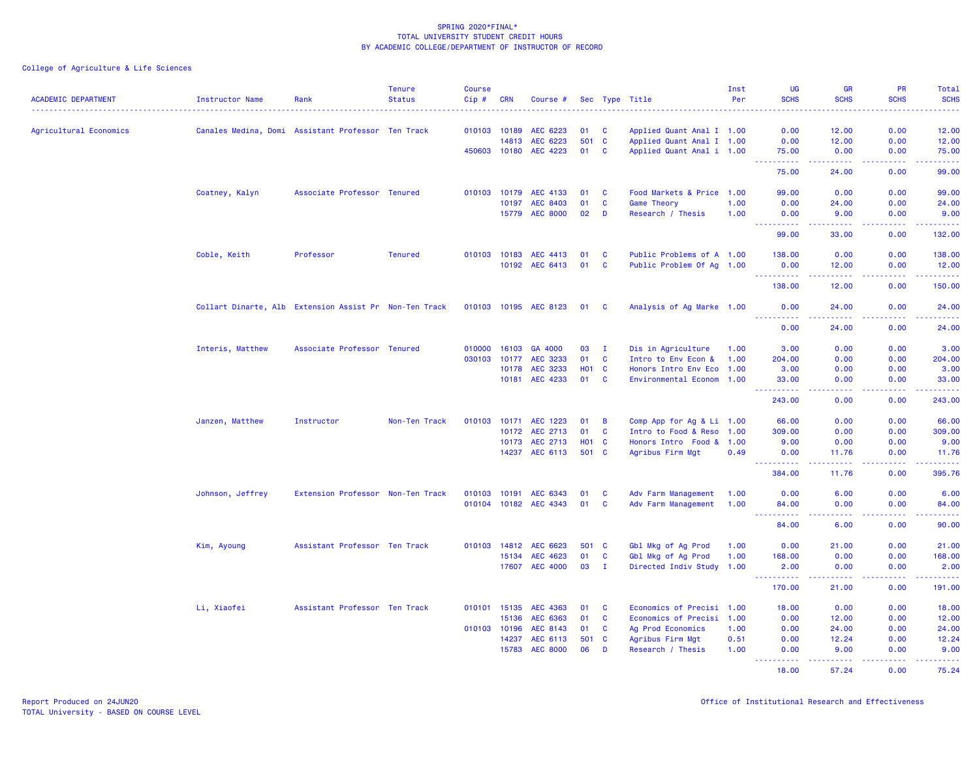| <b>ACADEMIC DEPARTMENT</b> | Instructor Name                                        | Rank                              | <b>Tenure</b><br><b>Status</b> | <b>Course</b><br>Cip# | <b>CRN</b> | Course #              |              |              | Sec Type Title            | Inst<br>Per | <b>UG</b><br><b>SCHS</b>             | <b>GR</b><br><b>SCHS</b>                                                                                                                                      | PR<br><b>SCHS</b> | <b>Total</b><br><b>SCHS</b>                                                                                                    |
|----------------------------|--------------------------------------------------------|-----------------------------------|--------------------------------|-----------------------|------------|-----------------------|--------------|--------------|---------------------------|-------------|--------------------------------------|---------------------------------------------------------------------------------------------------------------------------------------------------------------|-------------------|--------------------------------------------------------------------------------------------------------------------------------|
|                            |                                                        |                                   |                                | .                     |            |                       |              |              |                           |             |                                      |                                                                                                                                                               | .                 | .                                                                                                                              |
| Agricultural Economics     | Canales Medina, Domi Assistant Professor Ten Track     |                                   |                                | 010103 10189          |            | AEC 6223              | 01           | <b>C</b>     | Applied Quant Anal I 1.00 |             | 0.00                                 | 12.00                                                                                                                                                         | 0.00              | 12.00                                                                                                                          |
|                            |                                                        |                                   |                                |                       | 14813      | AEC 6223              | 501 C        |              | Applied Quant Anal I 1.00 |             | 0.00                                 | 12.00                                                                                                                                                         | 0.00              | 12.00                                                                                                                          |
|                            |                                                        |                                   |                                | 450603 10180          |            | AEC 4223              | 01           | C            | Applied Quant Anal i 1.00 |             | 75.00                                | 0.00                                                                                                                                                          | 0.00              | 75.00                                                                                                                          |
|                            |                                                        |                                   |                                |                       |            |                       |              |              |                           |             | <u> - - - - - - - - - -</u><br>75.00 | المتمالين<br>24.00                                                                                                                                            | .<br>0.00         | .<br>99.00                                                                                                                     |
|                            | Coatney, Kalyn                                         | Associate Professor Tenured       |                                | 010103                | 10179      | AEC 4133              | 01           | C            | Food Markets & Price 1.00 |             | 99.00                                | 0.00                                                                                                                                                          | 0.00              | 99.00                                                                                                                          |
|                            |                                                        |                                   |                                |                       | 10197      | AEC 8403              | 01           | $\mathbf c$  | Game Theory               | 1.00        | 0.00                                 | 24.00                                                                                                                                                         | 0.00              | 24.00                                                                                                                          |
|                            |                                                        |                                   |                                |                       |            | 15779 AEC 8000        | 02           | D            | Research / Thesis         | 1.00        | 0.00                                 | 9.00                                                                                                                                                          | 0.00              | 9.00                                                                                                                           |
|                            |                                                        |                                   |                                |                       |            |                       |              |              |                           |             | ----------<br>99.00                  | .<br>33.00                                                                                                                                                    | المستملة<br>0.00  | <u> - - - - - -</u><br>132.00                                                                                                  |
|                            | Coble, Keith                                           | Professor                         | <b>Tenured</b>                 | 010103                | 10183      | AEC 4413              | 01           | C            | Public Problems of A 1.00 |             | 138.00                               | 0.00                                                                                                                                                          | 0.00              | 138.00                                                                                                                         |
|                            |                                                        |                                   |                                |                       |            | 10192 AEC 6413        | 01 C         |              | Public Problem Of Ag 1.00 |             | 0.00                                 | 12.00                                                                                                                                                         | 0.00              | 12.00                                                                                                                          |
|                            |                                                        |                                   |                                |                       |            |                       |              |              |                           |             | <u>.</u>                             | .                                                                                                                                                             | .                 | .                                                                                                                              |
|                            |                                                        |                                   |                                |                       |            |                       |              |              |                           |             | 138.00                               | 12.00                                                                                                                                                         | 0.00              | 150.00                                                                                                                         |
|                            | Collart Dinarte, Alb Extension Assist Pr Non-Ten Track |                                   |                                |                       |            | 010103 10195 AEC 8123 | 01 C         |              | Analysis of Ag Marke 1.00 |             | 0.00<br><u>.</u>                     | 24.00<br>.                                                                                                                                                    | 0.00<br>22222     | 24.00<br>.                                                                                                                     |
|                            |                                                        |                                   |                                |                       |            |                       |              |              |                           |             | 0.00                                 | 24.00                                                                                                                                                         | 0.00              | 24.00                                                                                                                          |
|                            | Interis, Matthew                                       | Associate Professor Tenured       |                                | 010000                | 16103      | GA 4000               | 03           | $\mathbf{I}$ | Dis in Agriculture        | 1.00        | 3.00                                 | 0.00                                                                                                                                                          | 0.00              | 3.00                                                                                                                           |
|                            |                                                        |                                   |                                | 030103                | 10177      | AEC 3233              | 01           | $\mathbf{C}$ | Intro to Env Econ &       | 1.00        | 204.00                               | 0.00                                                                                                                                                          | 0.00              | 204.00                                                                                                                         |
|                            |                                                        |                                   |                                |                       | 10178      | AEC 3233              | <b>HO1 C</b> |              | Honors Intro Env Eco 1.00 |             | 3.00                                 | 0.00                                                                                                                                                          | 0.00              | 3.00                                                                                                                           |
|                            |                                                        |                                   |                                |                       | 10181      | AEC 4233              | 01           | <b>C</b>     | Environmental Econom 1.00 |             | 33.00                                | 0.00<br>.                                                                                                                                                     | 0.00<br>.         | 33.00<br>$\begin{array}{cccccccccc} \bullet & \bullet & \bullet & \bullet & \bullet & \bullet & \bullet & \bullet \end{array}$ |
|                            |                                                        |                                   |                                |                       |            |                       |              |              |                           |             | 243.00                               | 0.00                                                                                                                                                          | 0.00              | 243.00                                                                                                                         |
|                            | Janzen, Matthew                                        | Instructor                        | Non-Ten Track                  | 010103                | 10171      | <b>AEC 1223</b>       | 01           | B            | Comp App for Ag & Li 1.00 |             | 66.00                                | 0.00                                                                                                                                                          | 0.00              | 66.00                                                                                                                          |
|                            |                                                        |                                   |                                |                       | 10172      | AEC 2713              | 01           | $\mathbf{C}$ | Intro to Food & Reso 1.00 |             | 309.00                               | 0.00                                                                                                                                                          | 0.00              | 309.00                                                                                                                         |
|                            |                                                        |                                   |                                |                       |            | 10173 AEC 2713        | H01 C        |              | Honors Intro Food & 1.00  |             | 9.00                                 | 0.00                                                                                                                                                          | 0.00              | 9.00                                                                                                                           |
|                            |                                                        |                                   |                                |                       |            | 14237 AEC 6113        | 501 C        |              | Agribus Firm Mgt          | 0.49        | 0.00<br><u> - - - - - - - - - -</u>  | 11.76<br>$\frac{1}{2} \left( \frac{1}{2} \right) \left( \frac{1}{2} \right) \left( \frac{1}{2} \right) \left( \frac{1}{2} \right) \left( \frac{1}{2} \right)$ | 0.00<br>.         | 11.76<br>------                                                                                                                |
|                            |                                                        |                                   |                                |                       |            |                       |              |              |                           |             | 384.00                               | 11.76                                                                                                                                                         | 0.00              | 395.76                                                                                                                         |
|                            | Johnson, Jeffrey                                       | Extension Professor Non-Ten Track |                                | 010103                | 10191      | AEC 6343              | 01           | <b>C</b>     | Adv Farm Management       | 1.00        | 0.00                                 | 6.00                                                                                                                                                          | 0.00              | 6.00                                                                                                                           |
|                            |                                                        |                                   |                                |                       |            | 010104 10182 AEC 4343 | 01           | <b>C</b>     | Adv Farm Management       | 1.00        | 84.00<br>----------                  | 0.00<br>.                                                                                                                                                     | 0.00<br>22222     | 84.00<br>.                                                                                                                     |
|                            |                                                        |                                   |                                |                       |            |                       |              |              |                           |             | 84.00                                | 6.00                                                                                                                                                          | 0.00              | 90.00                                                                                                                          |
|                            | Kim, Ayoung                                            | Assistant Professor Ten Track     |                                | 010103                | 14812      | AEC 6623              | 501 C        |              | Gbl Mkg of Ag Prod        | 1.00        | 0.00                                 | 21.00                                                                                                                                                         | 0.00              | 21.00                                                                                                                          |
|                            |                                                        |                                   |                                |                       | 15134      | AEC 4623              | 01           | <b>C</b>     | Gbl Mkg of Ag Prod        | 1.00        | 168.00                               | 0.00                                                                                                                                                          | 0.00              | 168.00                                                                                                                         |
|                            |                                                        |                                   |                                |                       | 17607      | <b>AEC 4000</b>       | 03 I         |              | Directed Indiv Study 1.00 |             | 2.00<br>.                            | 0.00                                                                                                                                                          | 0.00<br>د د د د   | 2.00<br>.                                                                                                                      |
|                            |                                                        |                                   |                                |                       |            |                       |              |              |                           |             | 170.00                               | 21.00                                                                                                                                                         | 0.00              | 191.00                                                                                                                         |
|                            | Li, Xiaofei                                            | Assistant Professor Ten Track     |                                | 010101 15135          |            | AEC 4363              | 01           | <b>C</b>     | Economics of Precisi 1.00 |             | 18.00                                | 0.00                                                                                                                                                          | 0.00              | 18.00                                                                                                                          |
|                            |                                                        |                                   |                                |                       | 15136      | AEC 6363              | 01           | C            | Economics of Precisi      | 1.00        | 0.00                                 | 12.00                                                                                                                                                         | 0.00              | 12.00                                                                                                                          |
|                            |                                                        |                                   |                                | 010103 10196          |            | AEC 8143              | 01           | $\mathbf{C}$ | Ag Prod Economics         | 1.00        | 0.00                                 | 24.00                                                                                                                                                         | 0.00              | 24.00                                                                                                                          |
|                            |                                                        |                                   |                                |                       | 14237      | AEC 6113              | 501 C        |              | Agribus Firm Mgt          | 0.51        | 0.00                                 | 12.24                                                                                                                                                         | 0.00              | 12.24                                                                                                                          |
|                            |                                                        |                                   |                                |                       | 15783      | <b>AEC 8000</b>       | 06           | D            | Research / Thesis         | 1.00        | 0.00<br>.                            | 9.00                                                                                                                                                          | 0.00<br>.         | 9.00<br>.                                                                                                                      |
|                            |                                                        |                                   |                                |                       |            |                       |              |              |                           |             | 18.00                                | 57.24                                                                                                                                                         | 0.00              | 75.24                                                                                                                          |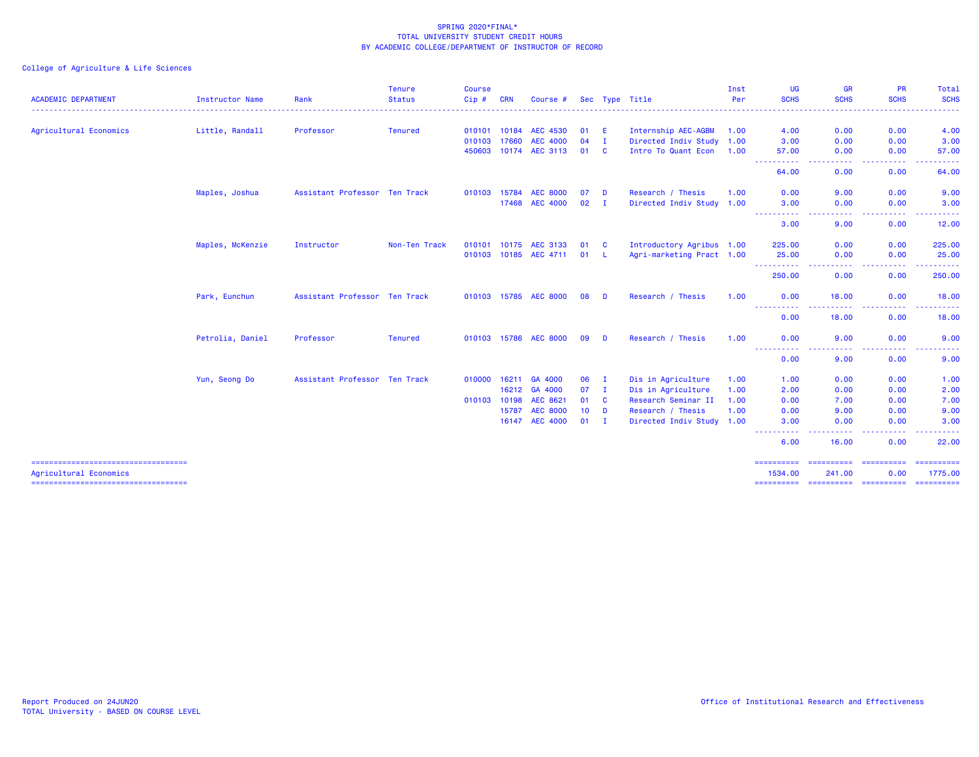|                                                                  |                  |                               | <b>Tenure</b>  | Course       |            |                       |        |              |                           | Inst | UG                                                                                                                                                                   | <b>GR</b>                                                                                                                         | <b>PR</b>                                                                                                                                                    | Total                                                                                                                                                        |
|------------------------------------------------------------------|------------------|-------------------------------|----------------|--------------|------------|-----------------------|--------|--------------|---------------------------|------|----------------------------------------------------------------------------------------------------------------------------------------------------------------------|-----------------------------------------------------------------------------------------------------------------------------------|--------------------------------------------------------------------------------------------------------------------------------------------------------------|--------------------------------------------------------------------------------------------------------------------------------------------------------------|
| <b>ACADEMIC DEPARTMENT</b>                                       | Instructor Name  | Rank                          | <b>Status</b>  | Cip#         | <b>CRN</b> | Course #              |        |              | Sec Type Title            | Per  | <b>SCHS</b>                                                                                                                                                          | <b>SCHS</b>                                                                                                                       | <b>SCHS</b>                                                                                                                                                  | <b>SCHS</b>                                                                                                                                                  |
| Agricultural Economics                                           | Little, Randall  | Professor                     | <b>Tenured</b> | 010101 10184 |            | <b>AEC 4530</b>       | 01 E   |              | Internship AEC-AGBM       | 1.00 | 4.00                                                                                                                                                                 | 0.00                                                                                                                              | 0.00                                                                                                                                                         | 4.00                                                                                                                                                         |
|                                                                  |                  |                               |                | 010103       | 17660      | <b>AEC 4000</b>       | 04     | $\mathbf{I}$ | Directed Indiv Study 1.00 |      | 3.00                                                                                                                                                                 | 0.00                                                                                                                              | 0.00                                                                                                                                                         | 3.00                                                                                                                                                         |
|                                                                  |                  |                               |                | 450603       | 10174      | AEC 3113              | 01     | <b>C</b>     | Intro To Quant Econ 1.00  |      | 57.00<br>-----------                                                                                                                                                 | 0.00<br>$\frac{1}{2} \left( \frac{1}{2} \right) \left( \frac{1}{2} \right) \left( \frac{1}{2} \right) \left( \frac{1}{2} \right)$ | 0.00<br>-----                                                                                                                                                | 57.00<br>. <u>.</u> .                                                                                                                                        |
|                                                                  |                  |                               |                |              |            |                       |        |              |                           |      | 64.00                                                                                                                                                                | 0.00                                                                                                                              | 0.00                                                                                                                                                         | 64.00                                                                                                                                                        |
|                                                                  | Maples, Joshua   | Assistant Professor Ten Track |                | 010103 15784 |            | <b>AEC 8000</b>       | 07     | D            | Research / Thesis         | 1.00 | 0.00                                                                                                                                                                 | 9.00                                                                                                                              | 0.00                                                                                                                                                         | 9.00                                                                                                                                                         |
|                                                                  |                  |                               |                |              | 17468      | <b>AEC 4000</b>       | 02     | $\mathbf{I}$ | Directed Indiv Study 1.00 |      | 3.00<br>.                                                                                                                                                            | 0.00<br>. <b>.</b> .                                                                                                              | 0.00<br>$\frac{1}{2} \left( \frac{1}{2} \right) \left( \frac{1}{2} \right) \left( \frac{1}{2} \right) \left( \frac{1}{2} \right) \left( \frac{1}{2} \right)$ | 3.00<br>$\frac{1}{2} \left( \frac{1}{2} \right) \left( \frac{1}{2} \right) \left( \frac{1}{2} \right) \left( \frac{1}{2} \right) \left( \frac{1}{2} \right)$ |
|                                                                  |                  |                               |                |              |            |                       |        |              |                           |      | 3.00                                                                                                                                                                 | 9.00                                                                                                                              | 0.00                                                                                                                                                         | 12.00                                                                                                                                                        |
|                                                                  | Maples, McKenzie | Instructor                    | Non-Ten Track  |              |            | 010101 10175 AEC 3133 | 01 C   |              | Introductory Agribus 1.00 |      | 225.00                                                                                                                                                               | 0.00                                                                                                                              | 0.00                                                                                                                                                         | 225.00                                                                                                                                                       |
|                                                                  |                  |                               |                |              |            | 010103 10185 AEC 4711 | 01 L   |              | Agri-marketing Pract 1.00 |      | 25.00<br>----------                                                                                                                                                  | 0.00<br>$\frac{1}{2} \left( \frac{1}{2} \right) \left( \frac{1}{2} \right) \left( \frac{1}{2} \right) \left( \frac{1}{2} \right)$ | 0.00<br>.                                                                                                                                                    | 25.00<br>.                                                                                                                                                   |
|                                                                  |                  |                               |                |              |            |                       |        |              |                           |      | 250.00                                                                                                                                                               | 0.00                                                                                                                              | 0.00                                                                                                                                                         | 250.00                                                                                                                                                       |
|                                                                  | Park, Eunchun    | Assistant Professor Ten Track |                |              |            | 010103 15785 AEC 8000 | 08     | <b>D</b>     | Research / Thesis         | 1.00 | 0.00<br>-----------                                                                                                                                                  | 18.00<br>. <u>. .</u>                                                                                                             | 0.00<br><b></b>                                                                                                                                              | 18.00<br>. <u>.</u> .                                                                                                                                        |
|                                                                  |                  |                               |                |              |            |                       |        |              |                           |      | 0.00                                                                                                                                                                 | 18.00                                                                                                                             | 0.00                                                                                                                                                         | 18.00                                                                                                                                                        |
|                                                                  | Petrolia, Daniel | Professor                     | <b>Tenured</b> |              |            | 010103 15786 AEC 8000 | 09     | - D          | Research / Thesis         | 1.00 | 0.00                                                                                                                                                                 | 9.00                                                                                                                              | 0.00                                                                                                                                                         | 9.00                                                                                                                                                         |
|                                                                  |                  |                               |                |              |            |                       |        |              |                           |      | ----------<br>0.00                                                                                                                                                   | 9.00                                                                                                                              | 0.00                                                                                                                                                         | 9.00                                                                                                                                                         |
|                                                                  | Yun, Seong Do    | Assistant Professor Ten Track |                | 010000       | 16211      | GA 4000               | 06     | - 1          | Dis in Agriculture        | 1.00 | 1.00                                                                                                                                                                 | 0.00                                                                                                                              | 0.00                                                                                                                                                         | 1.00                                                                                                                                                         |
|                                                                  |                  |                               |                |              | 16212      | GA 4000               | 07     | $\mathbf{I}$ | Dis in Agriculture        | 1.00 | 2.00                                                                                                                                                                 | 0.00                                                                                                                              | 0.00                                                                                                                                                         | 2.00                                                                                                                                                         |
|                                                                  |                  |                               |                | 010103       | 10198      | AEC 8621              | 01 C   |              | Research Seminar II       | 1.00 | 0.00                                                                                                                                                                 | 7.00                                                                                                                              | 0.00                                                                                                                                                         | 7.00                                                                                                                                                         |
|                                                                  |                  |                               |                |              | 15787      | <b>AEC 8000</b>       | $10$ D |              | Research / Thesis         | 1.00 | 0.00                                                                                                                                                                 | 9.00                                                                                                                              | 0.00                                                                                                                                                         | 9.00                                                                                                                                                         |
|                                                                  |                  |                               |                |              | 16147      | <b>AEC 4000</b>       | $01$ I |              | Directed Indiv Study 1.00 |      | 3.00<br>$\frac{1}{2} \left( \frac{1}{2} \right) \left( \frac{1}{2} \right) \left( \frac{1}{2} \right) \left( \frac{1}{2} \right) \left( \frac{1}{2} \right)$<br>---- | 0.00<br>$\frac{1}{2} \left( \frac{1}{2} \right) \left( \frac{1}{2} \right) \left( \frac{1}{2} \right)$                            | 0.00<br>.                                                                                                                                                    | 3.00                                                                                                                                                         |
|                                                                  |                  |                               |                |              |            |                       |        |              |                           |      | 6.00                                                                                                                                                                 | 16.00                                                                                                                             | 0.00                                                                                                                                                         | 22.00                                                                                                                                                        |
| ======================================<br>Agricultural Economics |                  |                               |                |              |            |                       |        |              |                           |      | ==========<br>1534.00                                                                                                                                                | ==========<br>241.00                                                                                                              | ==========<br>0.00                                                                                                                                           | ==========<br>1775.00                                                                                                                                        |
|                                                                  |                  |                               |                |              |            |                       |        |              |                           |      |                                                                                                                                                                      |                                                                                                                                   |                                                                                                                                                              | ==========                                                                                                                                                   |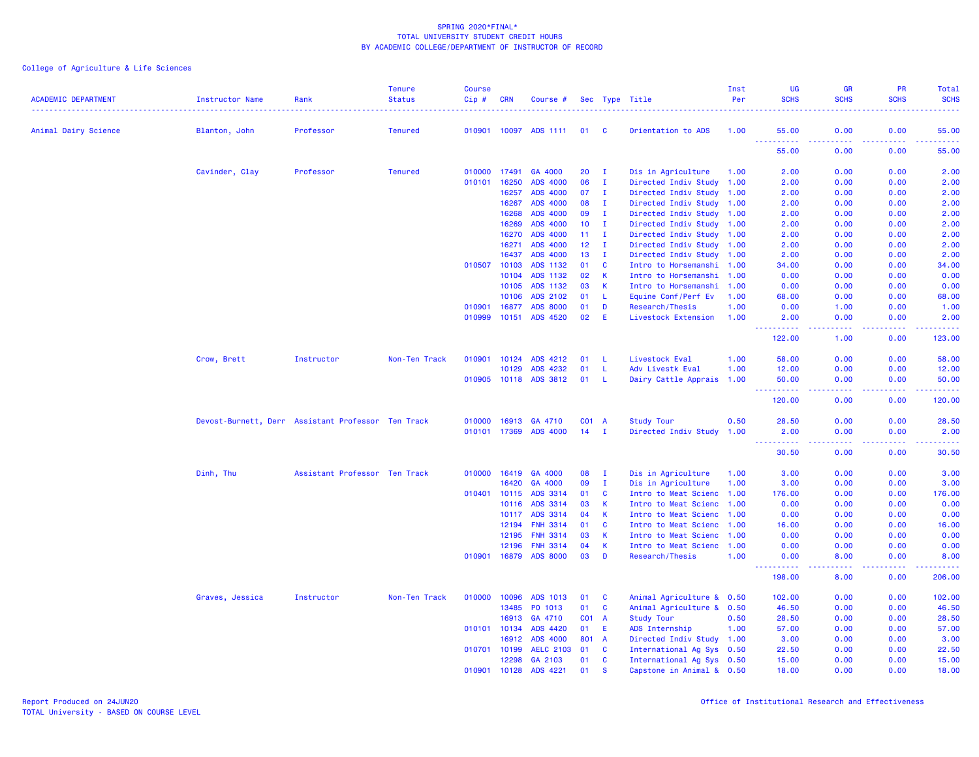|                            |                                                    |                               | <b>Tenure</b>  | <b>Course</b> |              |                       |       |                |                           | Inst | UG                    | <b>GR</b>                       | PR          | Total         |
|----------------------------|----------------------------------------------------|-------------------------------|----------------|---------------|--------------|-----------------------|-------|----------------|---------------------------|------|-----------------------|---------------------------------|-------------|---------------|
| <b>ACADEMIC DEPARTMENT</b> | Instructor Name                                    | Rank                          | <b>Status</b>  | Cip#          | <b>CRN</b>   | Course #              |       |                | Sec Type Title            | Per  | <b>SCHS</b>           | <b>SCHS</b>                     | <b>SCHS</b> | <b>SCHS</b>   |
| Animal Dairy Science       |                                                    | Professor                     | <b>Tenured</b> |               |              | 010901 10097 ADS 1111 | 01 C  |                | Orientation to ADS        | 1.00 | 55.00                 | 0.00                            | 0.00        | 55.00         |
|                            | Blanton, John                                      |                               |                |               |              |                       |       |                |                           |      | .                     | د د د د                         |             |               |
|                            |                                                    |                               |                |               |              |                       |       |                |                           |      | 55.00                 | 0.00                            | 0.00        | 55.00         |
|                            | Cavinder, Clay                                     | Professor                     | <b>Tenured</b> | 010000        | 17491        | GA 4000               | 20    | $\mathbf{I}$   | Dis in Agriculture        | 1.00 | 2.00                  | 0.00                            | 0.00        | 2.00          |
|                            |                                                    |                               |                | 010101        | 16250        | <b>ADS 4000</b>       | 06    | $\mathbf{I}$   | Directed Indiv Study 1.00 |      | 2.00                  | 0.00                            | 0.00        | 2.00          |
|                            |                                                    |                               |                |               | 16257        | ADS 4000              | 07    | I.             | Directed Indiv Study      | 1.00 | 2.00                  | 0.00                            | 0.00        | 2.00          |
|                            |                                                    |                               |                |               | 16267        | ADS 4000              | 08    | $\mathbf{I}$   | Directed Indiv Study 1.00 |      | 2.00                  | 0.00                            | 0.00        | 2.00          |
|                            |                                                    |                               |                |               | 16268        | ADS 4000              | 09    | $\mathbf{I}$   | Directed Indiv Study 1.00 |      | 2.00                  | 0.00                            | 0.00        | 2.00          |
|                            |                                                    |                               |                |               | 16269        | ADS 4000              | 10    | $\mathbf{I}$   | Directed Indiv Study      | 1.00 | 2.00                  | 0.00                            | 0.00        | 2.00          |
|                            |                                                    |                               |                |               | 16270        | ADS 4000              | 11    | <b>I</b>       | Directed Indiv Study 1.00 |      | 2.00                  | 0.00                            | 0.00        | 2.00          |
|                            |                                                    |                               |                |               | 16271        | ADS 4000              | 12    | $\mathbf{I}$   | Directed Indiv Study 1.00 |      | 2.00                  | 0.00                            | 0.00        | 2.00          |
|                            |                                                    |                               |                |               | 16437        | ADS 4000              | 13    | $\mathbf{I}$   | Directed Indiv Study 1.00 |      | 2.00                  | 0.00                            | 0.00        | 2.00          |
|                            |                                                    |                               |                | 010507        | 10103        | ADS 1132              | 01    | <b>C</b>       | Intro to Horsemanshi 1.00 |      | 34.00                 | 0.00                            | 0.00        | 34.00         |
|                            |                                                    |                               |                |               | 10104        | ADS 1132              | 02    | $\mathbf{K}$   | Intro to Horsemanshi 1.00 |      | 0.00                  | 0.00                            | 0.00        | 0.00          |
|                            |                                                    |                               |                |               | 10105        | ADS 1132              | 03    | - K            | Intro to Horsemanshi      | 1.00 | 0.00                  | 0.00                            | 0.00        | 0.00          |
|                            |                                                    |                               |                |               | 10106        | ADS 2102              | 01    | -L             | Equine Conf/Perf Ev       | 1.00 | 68.00                 | 0.00                            | 0.00        | 68.00         |
|                            |                                                    |                               |                | 010901        | 16877        | <b>ADS 8000</b>       | 01    | D              | Research/Thesis           | 1.00 | 0.00                  | 1.00                            | 0.00        | 1.00          |
|                            |                                                    |                               |                | 010999        | 10151        | ADS 4520              | 02    | E              | Livestock Extension       | 1.00 | 2.00<br>.             | 0.00<br>$\omega$ is $\omega$ in | 0.00<br>.   | 2.00<br>22222 |
|                            |                                                    |                               |                |               |              |                       |       |                |                           |      | 122.00                | 1.00                            | 0.00        | 123.00        |
|                            | Crow, Brett                                        | Instructor                    | Non-Ten Track  | 010901        | 10124        | ADS 4212              | 01    | - L            | Livestock Eval            | 1.00 | 58.00                 | 0.00                            | 0.00        | 58.00         |
|                            |                                                    |                               |                |               | 10129        | ADS 4232              | 01    | -L             | Adv Livestk Eval          | 1.00 | 12.00                 | 0.00                            | 0.00        | 12.00         |
|                            |                                                    |                               |                |               |              | 010905 10118 ADS 3812 | 01 L  |                | Dairy Cattle Apprais 1.00 |      | 50.00                 | 0.00                            | 0.00        | 50.00         |
|                            |                                                    |                               |                |               |              |                       |       |                |                           |      | .<br>120.00           | .<br>0.00                       | .<br>0.00   | .<br>120.00   |
|                            | Devost-Burnett, Derr Assistant Professor Ten Track |                               |                | 010000        | 16913        | GA 4710               | C01 A |                | <b>Study Tour</b>         | 0.50 | 28.50                 | 0.00                            | 0.00        | 28.50         |
|                            |                                                    |                               |                | 010101 17369  |              | ADS 4000              | 14    | $\mathbf{I}$   | Directed Indiv Study 1.00 |      | 2.00                  | 0.00                            | 0.00        | 2.00          |
|                            |                                                    |                               |                |               |              |                       |       |                |                           |      | $- - -$<br>.<br>30.50 | 0.00                            | 0.00        | 30.50         |
|                            | Dinh, Thu                                          | Assistant Professor Ten Track |                |               | 010000 16419 | GA 4000               | 08    | $\mathbf{I}$   | Dis in Agriculture        | 1.00 | 3.00                  | 0.00                            | 0.00        | 3.00          |
|                            |                                                    |                               |                |               | 16420        | GA 4000               | 09    | I.             | Dis in Agriculture        | 1.00 | 3.00                  | 0.00                            | 0.00        | 3.00          |
|                            |                                                    |                               |                | 010401        | 10115        | ADS 3314              | 01    | <b>C</b>       | Intro to Meat Scienc      | 1.00 | 176.00                | 0.00                            | 0.00        | 176.00        |
|                            |                                                    |                               |                |               | 10116        | ADS 3314              | 03    | $\mathsf{K}$   | Intro to Meat Scienc 1.00 |      | 0.00                  | 0.00                            | 0.00        | 0.00          |
|                            |                                                    |                               |                |               | 10117        | ADS 3314              | 04    | $\mathbf{K}$   | Intro to Meat Scienc 1.00 |      | 0.00                  | 0.00                            | 0.00        | 0.00          |
|                            |                                                    |                               |                |               | 12194        | <b>FNH 3314</b>       | 01    | <b>C</b>       | Intro to Meat Scienc 1.00 |      | 16.00                 | 0.00                            | 0.00        | 16.00         |
|                            |                                                    |                               |                |               | 12195        | <b>FNH 3314</b>       | 03    | $\mathsf{K}$   | Intro to Meat Scienc 1.00 |      | 0.00                  | 0.00                            | 0.00        | 0.00          |
|                            |                                                    |                               |                |               | 12196        | <b>FNH 3314</b>       | 04    | -K             | Intro to Meat Scienc 1.00 |      | 0.00                  | 0.00                            | 0.00        | 0.00          |
|                            |                                                    |                               |                | 010901        | 16879        | <b>ADS 8000</b>       | 03    | D              | Research/Thesis           | 1.00 | 0.00                  | 8.00                            | 0.00        | 8.00          |
|                            |                                                    |                               |                |               |              |                       |       |                |                           |      | 198.00                | 8.00                            | 0.00        | 206.00        |
|                            | Graves, Jessica                                    | Instructor                    | Non-Ten Track  | 010000        | 10096        | ADS 1013              | 01    | - C            | Animal Agriculture & 0.50 |      | 102.00                | 0.00                            | 0.00        | 102.00        |
|                            |                                                    |                               |                |               | 13485        | PO 1013               | 01    | <b>C</b>       | Animal Agriculture & 0.50 |      | 46.50                 | 0.00                            | 0.00        | 46.50         |
|                            |                                                    |                               |                |               | 16913        | GA 4710               | C01 A |                | <b>Study Tour</b>         | 0.50 | 28.50                 | 0.00                            | 0.00        | 28.50         |
|                            |                                                    |                               |                | 010101 10134  |              | ADS 4420              | 01    | E.             | ADS Internship            | 1.00 | 57.00                 | 0.00                            | 0.00        | 57.00         |
|                            |                                                    |                               |                |               | 16912        | ADS 4000              | 801   | $\overline{A}$ | Directed Indiv Study 1.00 |      | 3.00                  | 0.00                            | 0.00        | 3.00          |
|                            |                                                    |                               |                | 010701 10199  |              | <b>AELC 2103</b>      | 01    | <b>C</b>       | International Ag Sys 0.50 |      | 22.50                 | 0.00                            | 0.00        | 22.50         |
|                            |                                                    |                               |                |               | 12298        | GA 2103               | 01    | $\mathbf{C}$   | International Ag Sys 0.50 |      | 15.00                 | 0.00                            | 0.00        | 15.00         |
|                            |                                                    |                               |                | 010901        | 10128        | ADS 4221              | 01    | <b>S</b>       | Capstone in Animal & 0.50 |      | 18.00                 | 0.00                            | 0.00        | 18.00         |
|                            |                                                    |                               |                |               |              |                       |       |                |                           |      |                       |                                 |             |               |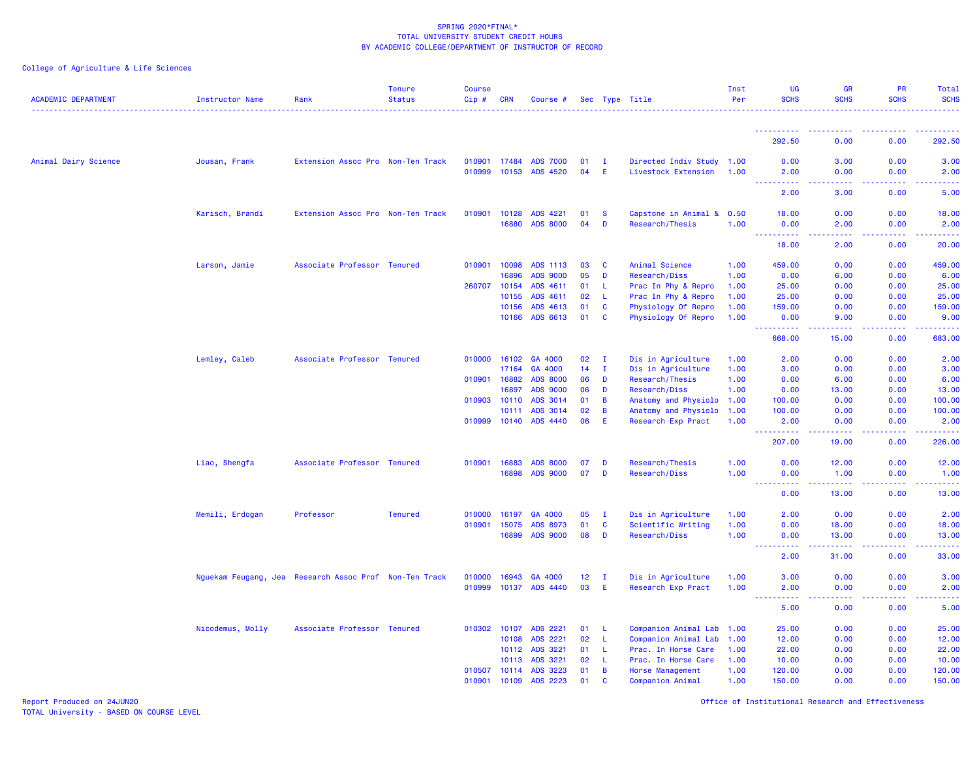# College of Agriculture & Life Sciences

| <b>ACADEMIC DEPARTMENT</b> | <b>Instructor Name</b>                                 | Rank                              | <b>Tenure</b><br><b>Status</b> | <b>Course</b><br>Cip# | <b>CRN</b> | Course #        |    |              | Sec Type Title                   | Inst<br>Per  | <b>UG</b><br><b>SCHS</b>          | <b>GR</b><br><b>SCHS</b>      | <b>PR</b><br><b>SCHS</b>                                                                                                                             | Total<br><b>SCHS</b>                                                                                                                                 |
|----------------------------|--------------------------------------------------------|-----------------------------------|--------------------------------|-----------------------|------------|-----------------|----|--------------|----------------------------------|--------------|-----------------------------------|-------------------------------|------------------------------------------------------------------------------------------------------------------------------------------------------|------------------------------------------------------------------------------------------------------------------------------------------------------|
|                            |                                                        |                                   |                                |                       |            |                 |    |              |                                  |              | <u>.</u>                          | $   -$                        | $\frac{1}{2} \left( \frac{1}{2} \right) \left( \frac{1}{2} \right) \left( \frac{1}{2} \right) \left( \frac{1}{2} \right) \left( \frac{1}{2} \right)$ | $\frac{1}{2} \left( \frac{1}{2} \right) \left( \frac{1}{2} \right) \left( \frac{1}{2} \right) \left( \frac{1}{2} \right) \left( \frac{1}{2} \right)$ |
|                            |                                                        |                                   |                                |                       |            |                 |    |              |                                  |              | 292.50                            | 0.00                          | 0.00                                                                                                                                                 | 292.50                                                                                                                                               |
| Animal Dairy Science       | Jousan, Frank                                          | Extension Assoc Pro Non-Ten Track |                                | 010901                | 17484      | <b>ADS 7000</b> | 01 | $\mathbf{I}$ | Directed Indiv Study 1.00        |              | 0.00                              | 3.00                          | 0.00                                                                                                                                                 | 3.00                                                                                                                                                 |
|                            |                                                        |                                   |                                | 010999                | 10153      | <b>ADS 4520</b> | 04 | E            | Livestock Extension              | 1.00         | 2.00<br>المتمامين                 | 0.00<br>.                     | 0.00                                                                                                                                                 | 2.00                                                                                                                                                 |
|                            |                                                        |                                   |                                |                       |            |                 |    |              |                                  |              | المنابذة<br>2.00                  | 3.00                          | .<br>0.00                                                                                                                                            | د د د د د<br>5.00                                                                                                                                    |
|                            | Karisch, Brandi                                        | Extension Assoc Pro Non-Ten Track |                                | 010901                | 10128      | ADS 4221        | 01 | <b>S</b>     | Capstone in Animal & 0.50        |              | 18.00                             | 0.00                          | 0.00                                                                                                                                                 | 18.00                                                                                                                                                |
|                            |                                                        |                                   |                                |                       | 16880      | <b>ADS 8000</b> | 04 | D            | Research/Thesis                  | 1.00         | 0.00                              | 2.00                          | 0.00                                                                                                                                                 | 2.00                                                                                                                                                 |
|                            |                                                        |                                   |                                |                       |            |                 |    |              |                                  |              | $\omega_{\rm{eff}}$<br>.<br>18.00 | وبالمحام<br>2.00              | المستمال<br>0.00                                                                                                                                     | المستمال<br>20.00                                                                                                                                    |
|                            |                                                        |                                   |                                |                       |            |                 |    |              |                                  |              |                                   |                               |                                                                                                                                                      |                                                                                                                                                      |
|                            | Larson, Jamie                                          | Associate Professor               | <b>Tenured</b>                 | 010901                | 10098      | ADS 1113        | 03 | <b>C</b>     | Animal Science                   | 1.00         | 459.00                            | 0.00                          | 0.00                                                                                                                                                 | 459.00                                                                                                                                               |
|                            |                                                        |                                   |                                |                       | 16896      | <b>ADS 9000</b> | 05 | D            | Research/Diss                    | 1.00         | 0.00                              | 6.00                          | 0.00                                                                                                                                                 | 6.00                                                                                                                                                 |
|                            |                                                        |                                   |                                | 260707                | 10154      | ADS 4611        | 01 | -L           | Prac In Phy & Repro              | 1.00         | 25.00                             | 0.00                          | 0.00                                                                                                                                                 | 25.00                                                                                                                                                |
|                            |                                                        |                                   |                                |                       | 10155      | ADS 4611        | 02 | L            | Prac In Phy & Repro              | 1.00         | 25.00                             | 0.00                          | 0.00                                                                                                                                                 | 25.00                                                                                                                                                |
|                            |                                                        |                                   |                                |                       | 10156      | ADS 4613        | 01 | C            | Physiology Of Repro              | 1.00         | 159.00                            | 0.00                          | 0.00                                                                                                                                                 | 159.00                                                                                                                                               |
|                            |                                                        |                                   |                                |                       | 10166      | ADS 6613        | 01 | <b>C</b>     | Physiology Of Repro              | 1.00         | 0.00<br>.                         | 9.00<br>22222                 | 0.00<br>22222                                                                                                                                        | 9.00<br>.                                                                                                                                            |
|                            |                                                        |                                   |                                |                       |            |                 |    |              |                                  |              | 668.00                            | 15.00                         | 0.00                                                                                                                                                 | 683.00                                                                                                                                               |
|                            | Lemley, Caleb                                          | Associate Professor Tenured       |                                | 010000                | 16102      | GA 4000         | 02 | $\mathbf{I}$ | Dis in Agriculture               | 1.00         | 2.00                              | 0.00                          | 0.00                                                                                                                                                 | 2.00                                                                                                                                                 |
|                            |                                                        |                                   |                                |                       | 17164      | GA 4000         | 14 | $\mathbf{I}$ | Dis in Agriculture               | 1.00         | 3.00                              | 0.00                          | 0.00                                                                                                                                                 | 3.00                                                                                                                                                 |
|                            |                                                        |                                   |                                | 010901                | 16882      | <b>ADS 8000</b> | 06 | D            | Research/Thesis                  | 1.00         | 0.00                              | 6.00                          | 0.00                                                                                                                                                 | 6.00                                                                                                                                                 |
|                            |                                                        |                                   |                                |                       | 16897      | <b>ADS 9000</b> | 06 | D            | Research/Diss                    | 1.00         | 0.00                              | 13.00                         | 0.00                                                                                                                                                 | 13.00                                                                                                                                                |
|                            |                                                        |                                   |                                | 010903 10110          |            | ADS 3014        | 01 | B            | Anatomy and Physiolo 1.00        |              | 100.00                            | 0.00                          | 0.00                                                                                                                                                 | 100.00                                                                                                                                               |
|                            |                                                        |                                   |                                |                       | 10111      | ADS 3014        | 02 | B            | Anatomy and Physiolo 1.00        |              | 100.00                            | 0.00                          | 0.00                                                                                                                                                 | 100.00                                                                                                                                               |
|                            |                                                        |                                   |                                | 010999                | 10140      | ADS 4440        | 06 | Ε            | Research Exp Pract               | 1.00         | 2.00                              | 0.00                          | 0.00                                                                                                                                                 | 2.00                                                                                                                                                 |
|                            |                                                        |                                   |                                |                       |            |                 |    |              |                                  |              | .<br>207.00                       | .<br>19.00                    | 0.00                                                                                                                                                 | .<br>226.00                                                                                                                                          |
|                            |                                                        | Associate Professor Tenured       |                                | 010901                | 16883      | <b>ADS 8000</b> | 07 | D            |                                  |              | 0.00                              | 12.00                         | 0.00                                                                                                                                                 | 12.00                                                                                                                                                |
|                            | Liao, Shengfa                                          |                                   |                                |                       | 16898      | <b>ADS 9000</b> | 07 | D            | Research/Thesis<br>Research/Diss | 1.00<br>1.00 | 0.00                              | 1.00                          | 0.00                                                                                                                                                 | 1.00                                                                                                                                                 |
|                            |                                                        |                                   |                                |                       |            |                 |    |              |                                  |              | <u> - - - - - - - - - -</u>       | <b><i><u><u>.</u></u></i></b> | 2.2.2.2.2                                                                                                                                            | .                                                                                                                                                    |
|                            |                                                        |                                   |                                |                       |            |                 |    |              |                                  |              | 0.00                              | 13.00                         | 0.00                                                                                                                                                 | 13.00                                                                                                                                                |
|                            | Memili, Erdogan                                        | Professor                         | <b>Tenured</b>                 | 010000                | 16197      | GA 4000         | 05 | $\mathbf{I}$ | Dis in Agriculture               | 1.00         | 2.00                              | 0.00                          | 0.00                                                                                                                                                 | 2.00                                                                                                                                                 |
|                            |                                                        |                                   |                                | 010901                | 15075      | ADS 8973        | 01 | <b>C</b>     | Scientific Writing               | 1.00         | 0.00                              | 18.00                         | 0.00                                                                                                                                                 | 18.00                                                                                                                                                |
|                            |                                                        |                                   |                                |                       | 16899      | <b>ADS 9000</b> | 08 | D            | Research/Diss                    | 1.00         | 0.00<br>22222                     | 13.00                         | 0.00                                                                                                                                                 | 13.00                                                                                                                                                |
|                            |                                                        |                                   |                                |                       |            |                 |    |              |                                  |              | $  -$<br>2.00                     | <b>.</b><br>31.00             | .<br>0.00                                                                                                                                            | .<br>33.00                                                                                                                                           |
|                            | Nguekam Feugang, Jea Research Assoc Prof Non-Ten Track |                                   |                                | 010000                | 16943      | GA 4000         | 12 | $\mathbf{I}$ | Dis in Agriculture               | 1.00         | 3.00                              | 0.00                          | 0.00                                                                                                                                                 | 3.00                                                                                                                                                 |
|                            |                                                        |                                   |                                | 010999                | 10137      | <b>ADS 4440</b> | 03 | E            | Research Exp Pract               | 1.00         | 2.00                              | 0.00                          | 0.00                                                                                                                                                 | 2.00                                                                                                                                                 |
|                            |                                                        |                                   |                                |                       |            |                 |    |              |                                  |              | $\sim$ $\sim$ $\sim$ $\sim$       | بالمحام                       | .                                                                                                                                                    | 2222                                                                                                                                                 |
|                            |                                                        |                                   |                                |                       |            |                 |    |              |                                  |              | 5.00                              | 0.00                          | 0.00                                                                                                                                                 | 5.00                                                                                                                                                 |
|                            | Nicodemus, Molly                                       | Associate Professor Tenured       |                                | 010302                | 10107      | ADS 2221        | 01 | -L           | Companion Animal Lab             | 1.00         | 25.00                             | 0.00                          | 0.00                                                                                                                                                 | 25.00                                                                                                                                                |
|                            |                                                        |                                   |                                |                       | 10108      | ADS 2221        | 02 | L            | Companion Animal Lab             | 1.00         | 12.00                             | 0.00                          | 0.00                                                                                                                                                 | 12.00                                                                                                                                                |
|                            |                                                        |                                   |                                |                       | 10112      | ADS 3221        | 01 | -L           | Prac. In Horse Care              | 1.00         | 22.00                             | 0.00                          | 0.00                                                                                                                                                 | 22.00                                                                                                                                                |
|                            |                                                        |                                   |                                |                       | 10113      | ADS 3221        | 02 | -L           | Prac. In Horse Care              | 1.00         | 10.00                             | 0.00                          | 0.00                                                                                                                                                 | 10.00                                                                                                                                                |
|                            |                                                        |                                   |                                | 010507                | 10114      | ADS 3223        | 01 | B            | Horse Management                 | 1.00         | 120.00                            | 0.00                          | 0.00                                                                                                                                                 | 120.00                                                                                                                                               |
|                            |                                                        |                                   |                                | 010901                | 10109      | ADS 2223        | 01 | <b>C</b>     | Companion Animal                 | 1.00         | 150.00                            | 0.00                          | 0.00                                                                                                                                                 | 150.00                                                                                                                                               |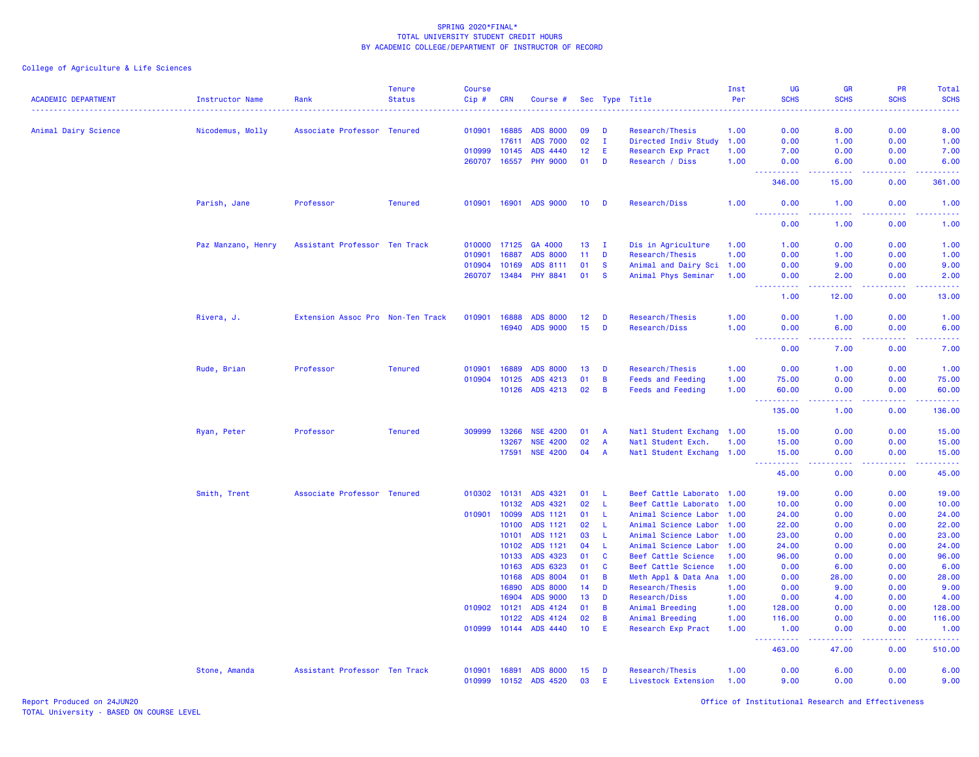|                            |                        |                                   | <b>Tenure</b>  | <b>Course</b> |                |                             |                 |                |                                    | Inst         | <b>UG</b>                                 | <b>GR</b>                                                                                              | PR               | Total               |
|----------------------------|------------------------|-----------------------------------|----------------|---------------|----------------|-----------------------------|-----------------|----------------|------------------------------------|--------------|-------------------------------------------|--------------------------------------------------------------------------------------------------------|------------------|---------------------|
| <b>ACADEMIC DEPARTMENT</b> | <b>Instructor Name</b> | Rank                              | <b>Status</b>  | Cip#          | <b>CRN</b>     | Course #                    |                 |                | Sec Type Title                     | Per          | <b>SCHS</b>                               | <b>SCHS</b>                                                                                            | <b>SCHS</b>      | <b>SCHS</b>         |
| Animal Dairy Science       | Nicodemus, Molly       | Associate Professor Tenured       |                | 010901        | 16885          | <b>ADS 8000</b>             | 09              | D              | Research/Thesis                    | 1.00         | 0.00                                      | 8.00                                                                                                   | 0.00             | 8.00                |
|                            |                        |                                   |                |               | 17611          | <b>ADS 7000</b>             | 02              | $\mathbf{I}$   | Directed Indiv Study               | 1.00         | 0.00                                      | 1.00                                                                                                   | 0.00             | 1.00                |
|                            |                        |                                   |                | 010999        | 10145          | ADS 4440                    | 12              | Ε              | Research Exp Pract                 | 1.00         | 7.00                                      | 0.00                                                                                                   | 0.00             | 7.00                |
|                            |                        |                                   |                | 260707        | 16557          | <b>PHY 9000</b>             | 01              | D              | Research / Diss                    | 1.00         | 0.00                                      | 6.00                                                                                                   | 0.00             | 6.00                |
|                            |                        |                                   |                |               |                |                             |                 |                |                                    |              | <u>.</u>                                  | $\omega$ $\omega$ $\omega$ $\omega$                                                                    | .                | .                   |
|                            |                        |                                   |                |               |                |                             |                 |                |                                    |              | 346.00                                    | 15.00                                                                                                  | 0.00             | 361.00              |
|                            | Parish, Jane           | Professor                         | <b>Tenured</b> | 010901        | 16901          | <b>ADS 9000</b>             | 10 <sup>°</sup> | D              | Research/Diss                      | 1.00         | 0.00<br>----------                        | 1.00<br>.                                                                                              | 0.00<br><u>.</u> | 1.00<br>.           |
|                            |                        |                                   |                |               |                |                             |                 |                |                                    |              | 0.00                                      | 1.00                                                                                                   | 0.00             | 1.00                |
|                            | Paz Manzano, Henry     | Assistant Professor Ten Track     |                | 010000        | 17125          | GA 4000                     | 13              | - I            | Dis in Agriculture                 | 1.00         | 1.00                                      | 0.00                                                                                                   | 0.00             | 1.00                |
|                            |                        |                                   |                | 010901        | 16887          | <b>ADS 8000</b>             | 11              | D              | Research/Thesis                    | 1.00         | 0.00                                      | 1.00                                                                                                   | 0.00             | 1.00                |
|                            |                        |                                   |                | 010904        | 10169          | ADS 8111                    | 01              | <b>S</b>       | Animal and Dairy Sci 1.00          |              | 0.00                                      | 9.00                                                                                                   | 0.00             | 9.00                |
|                            |                        |                                   |                | 260707        | 13484          | <b>PHY 8841</b>             | 01              | <b>S</b>       | Animal Phys Seminar                | 1.00         | 0.00<br><u>.</u>                          | 2.00<br>المتماد                                                                                        | 0.00             | 2.00                |
|                            |                        |                                   |                |               |                |                             |                 |                |                                    |              | 1.00                                      | 12.00                                                                                                  | 0.00             | 13.00               |
|                            | Rivera, J.             | Extension Assoc Pro Non-Ten Track |                | 010901        | 16888          | <b>ADS 8000</b>             | 12              | D              | Research/Thesis                    | 1.00         | 0.00                                      | 1.00                                                                                                   | 0.00             | 1.00                |
|                            |                        |                                   |                |               | 16940          | <b>ADS 9000</b>             | 15              | D              | Research/Diss                      | 1.00         | 0.00                                      | 6.00                                                                                                   | 0.00             | 6.00                |
|                            |                        |                                   |                |               |                |                             |                 |                |                                    |              | 0.00                                      | 7.00                                                                                                   | 0.00             | 7.00                |
|                            | Rude, Brian            | Professor                         | <b>Tenured</b> | 010901        | 16889          | <b>ADS 8000</b>             | 13              | D              | Research/Thesis                    | 1.00         | 0.00                                      | 1.00                                                                                                   | 0.00             | 1.00                |
|                            |                        |                                   |                | 010904        | 10125          | ADS 4213                    | 01              | B              | <b>Feeds and Feeding</b>           | 1.00         | 75.00                                     | 0.00                                                                                                   | 0.00             | 75.00               |
|                            |                        |                                   |                |               | 10126          | ADS 4213                    | 02              | B              | <b>Feeds and Feeding</b>           | 1.00         | 60.00                                     | 0.00<br>$\omega$ $\omega$ $\omega$ $\omega$                                                            | 0.00             | 60.00               |
|                            |                        |                                   |                |               |                |                             |                 |                |                                    |              | 222<br>.<br>135.00                        | 1.00                                                                                                   | 0.00             | 136.00              |
|                            | Ryan, Peter            | Professor                         | <b>Tenured</b> | 309999        | 13266          | <b>NSE 4200</b>             | 01              | $\overline{A}$ | Natl Student Exchang 1.00          |              | 15.00                                     | 0.00                                                                                                   | 0.00             | 15.00               |
|                            |                        |                                   |                |               | 13267          | <b>NSE 4200</b>             | 02              | $\overline{A}$ | Natl Student Exch.                 | 1.00         | 15.00                                     | 0.00                                                                                                   | 0.00             | 15.00               |
|                            |                        |                                   |                |               | 17591          | <b>NSE 4200</b>             | 04              | A              | Natl Student Exchang 1.00          |              | 15.00<br><u>.</u><br>$\sim$ $\sim$ $\sim$ | 0.00<br>$\frac{1}{2} \left( \frac{1}{2} \right) \left( \frac{1}{2} \right) \left( \frac{1}{2} \right)$ | 0.00<br>.        | 15.00<br>.          |
|                            |                        |                                   |                |               |                |                             |                 |                |                                    |              | 45.00                                     | 0.00                                                                                                   | 0.00             | 45.00               |
|                            | Smith, Trent           | Associate Professor               | <b>Tenured</b> | 010302        | 10131          | ADS 4321                    | 01              | -L             | Beef Cattle Laborato 1.00          |              | 19.00                                     | 0.00                                                                                                   | 0.00             | 19.00               |
|                            |                        |                                   |                |               | 10132          | ADS 4321                    | 02              | L              | Beef Cattle Laborato               | 1.00         | 10.00                                     | 0.00                                                                                                   | 0.00             | 10.00               |
|                            |                        |                                   |                | 010901        | 10099          | ADS 1121                    | 01              | <b>L</b>       | Animal Science Labor 1.00          |              | 24.00                                     | 0.00                                                                                                   | 0.00             | 24.00               |
|                            |                        |                                   |                |               | 10100          | ADS 1121                    | 02              | L.             | Animal Science Labor               | 1.00         | 22.00                                     | 0.00                                                                                                   | 0.00             | 22.00               |
|                            |                        |                                   |                |               | 10101          | ADS 1121                    | 03              | L              | Animal Science Labor               | 1.00         | 23.00                                     | 0.00                                                                                                   | 0.00             | 23.00               |
|                            |                        |                                   |                |               | 10102          | ADS 1121                    | 04              | -L             | Animal Science Labor               | 1.00         | 24.00                                     | 0.00                                                                                                   | 0.00             | 24.00               |
|                            |                        |                                   |                |               | 10133          | ADS 4323                    | 01              | C              | Beef Cattle Science                | 1.00         | 96.00                                     | 0.00                                                                                                   | 0.00             | 96.00               |
|                            |                        |                                   |                |               | 10163          | ADS 6323                    | 01              | C              | Beef Cattle Science                | 1.00         | 0.00                                      | 6.00                                                                                                   | 0.00             | 6.00                |
|                            |                        |                                   |                |               | 10168          | ADS 8004                    | 01              | B              | Meth Appl & Data Ana               | 1.00         | 0.00                                      | 28.00                                                                                                  | 0.00             | 28.00               |
|                            |                        |                                   |                |               | 16890          | <b>ADS 8000</b>             | 14              | D              | Research/Thesis                    | 1.00         | 0.00                                      | 9.00                                                                                                   | 0.00             | 9.00                |
|                            |                        |                                   |                | 010902        | 16904<br>10121 | <b>ADS 9000</b><br>ADS 4124 | 13<br>01        | D<br>B         | Research/Diss                      | 1.00<br>1.00 | 0.00<br>128.00                            | 4.00<br>0.00                                                                                           | 0.00<br>0.00     | 4.00<br>128.00      |
|                            |                        |                                   |                |               | 10122          | ADS 4124                    | 02              | B              | Animal Breeding<br>Animal Breeding | 1.00         | 116.00                                    | 0.00                                                                                                   | 0.00             | 116.00              |
|                            |                        |                                   |                | 010999        | 10144          | ADS 4440                    | 10              | Ε              | Research Exp Pract                 | 1.00         | 1.00                                      | 0.00                                                                                                   | 0.00             | 1.00                |
|                            |                        |                                   |                |               |                |                             |                 |                |                                    |              | .<br>444<br>463.00                        | د د د د<br>47.00                                                                                       | 22222<br>0.00    | المتمالين<br>510.00 |
|                            | Stone, Amanda          | Assistant Professor Ten Track     |                | 010901        | 16891          | <b>ADS 8000</b>             | 15              | D              | Research/Thesis                    | 1.00         | 0.00                                      | 6.00                                                                                                   | 0.00             | 6.00                |
|                            |                        |                                   |                | 010999        | 10152          | <b>ADS 4520</b>             | 03              | Ε              | Livestock Extension                | 1.00         | 9.00                                      | 0.00                                                                                                   | 0.00             | 9.00                |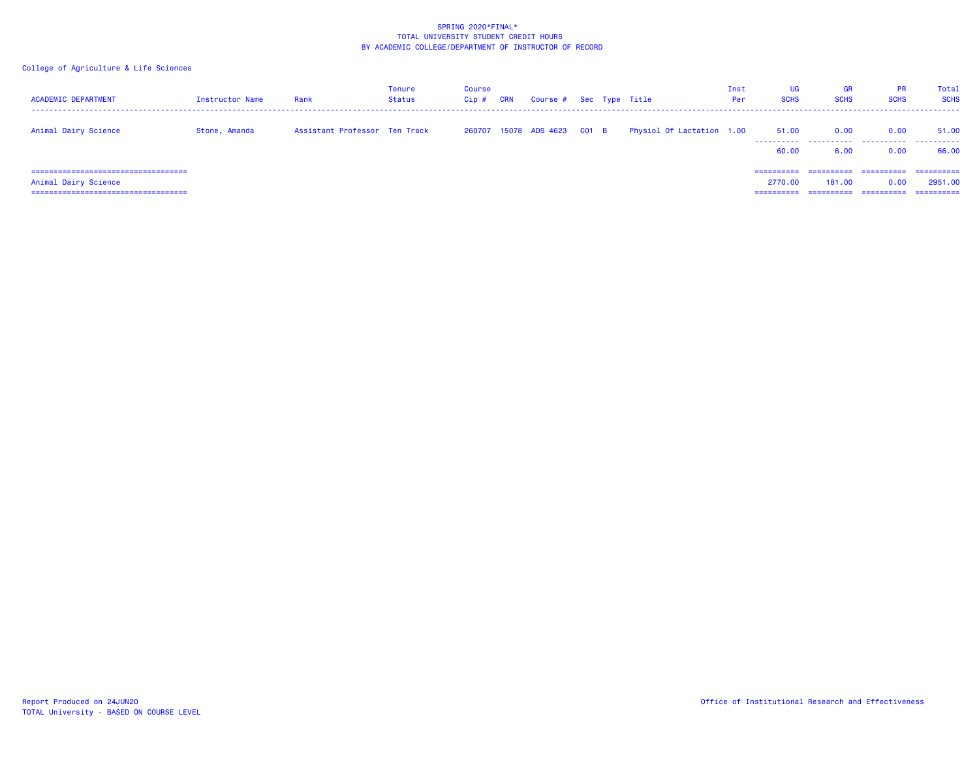| <b>ACADEMIC DEPARTMENT</b>             | Instructor Name | Rank                          | Tenure<br><b>Status</b> | Course<br>$Cip$ # | <b>CRN</b> | Course # Sec Type Title     |  |                           | Inst<br>Per | <b>UG</b><br><b>SCHS</b> | <b>GR</b><br><b>SCHS</b> | <b>PR</b><br><b>SCHS</b> | Total<br><b>SCHS</b> |
|----------------------------------------|-----------------|-------------------------------|-------------------------|-------------------|------------|-----------------------------|--|---------------------------|-------------|--------------------------|--------------------------|--------------------------|----------------------|
| Animal Dairy Science                   | Stone, Amanda   | Assistant Professor Ten Track |                         |                   |            | 260707 15078 ADS 4623 C01 B |  | Physiol Of Lactation 1.00 |             | 51.00<br>.               | 0.00                     | 0.00                     | 51.00<br>.           |
|                                        |                 |                               |                         |                   |            |                             |  |                           |             | 60.00                    | 6.00                     | 0.00                     | 66.00                |
| ====================================== |                 |                               |                         |                   |            |                             |  |                           |             | $= 2222222222$           | ==========               | ==========               | ==========           |
| Animal Dairy Science                   |                 |                               |                         |                   |            |                             |  |                           |             | 2770.00                  | 181.00                   | 0.00                     | 2951.00              |
| ====================================   |                 |                               |                         |                   |            |                             |  |                           |             | ==========               | ==========               | ==========               | -----------          |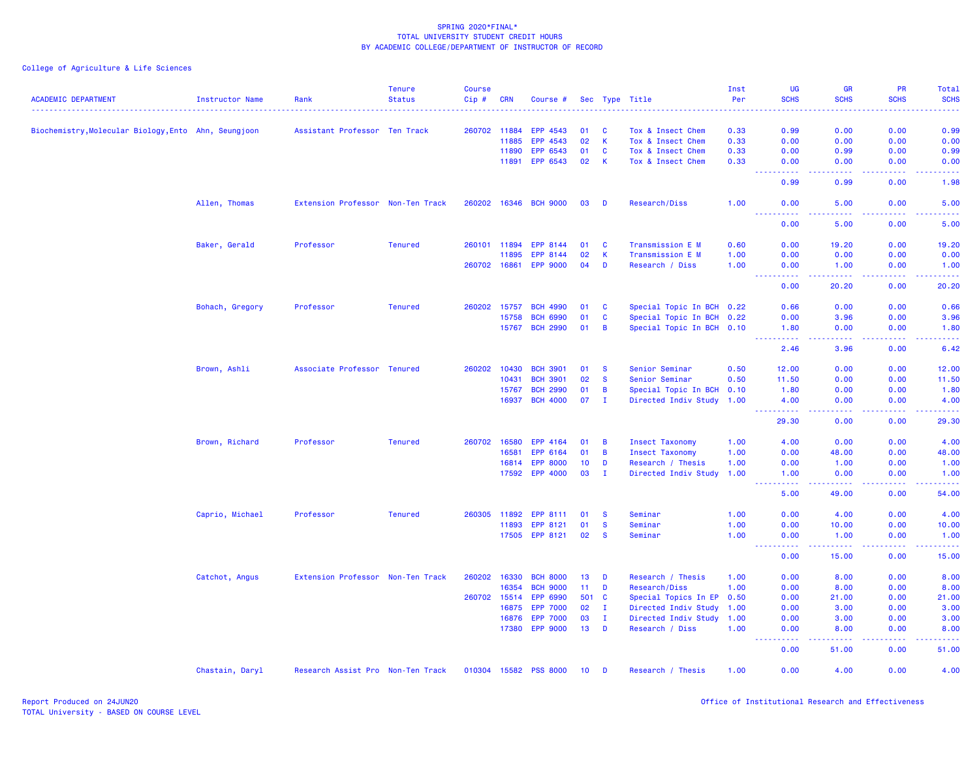| <b>ACADEMIC DEPARTMENT</b>                           | Instructor Name | Rank                              | <b>Tenure</b><br><b>Status</b> | <b>Course</b><br>Cip# | <b>CRN</b> | Course #              |       |                | Sec Type Title            | Inst<br>Per | UG<br><b>SCHS</b>                 | <b>GR</b><br><b>SCHS</b>                                                                                                                                     | <b>PR</b><br><b>SCHS</b>                                                                                                                                     | Total<br><b>SCHS</b>                                                                                                              |
|------------------------------------------------------|-----------------|-----------------------------------|--------------------------------|-----------------------|------------|-----------------------|-------|----------------|---------------------------|-------------|-----------------------------------|--------------------------------------------------------------------------------------------------------------------------------------------------------------|--------------------------------------------------------------------------------------------------------------------------------------------------------------|-----------------------------------------------------------------------------------------------------------------------------------|
|                                                      |                 |                                   |                                |                       |            |                       |       |                |                           |             |                                   |                                                                                                                                                              |                                                                                                                                                              |                                                                                                                                   |
| Biochemistry, Molecular Biology, Ento Ahn, Seungjoon |                 | Assistant Professor Ten Track     |                                | 260702 11884          |            | EPP 4543              | 01    | <b>C</b>       | Tox & Insect Chem         | 0.33        | 0.99                              | 0.00                                                                                                                                                         | 0.00                                                                                                                                                         | 0.99                                                                                                                              |
|                                                      |                 |                                   |                                |                       | 11885      | EPP 4543              | 02    | <b>K</b>       | Tox & Insect Chem         | 0.33        | 0.00                              | 0.00                                                                                                                                                         | 0.00                                                                                                                                                         | 0.00                                                                                                                              |
|                                                      |                 |                                   |                                |                       | 11890      | EPP 6543              | 01    | <b>C</b>       | Tox & Insect Chem         | 0.33        | 0.00                              | 0.99                                                                                                                                                         | 0.00                                                                                                                                                         | 0.99                                                                                                                              |
|                                                      |                 |                                   |                                |                       | 11891      | EPP 6543              | 02    | $\mathsf{K}$   | Tox & Insect Chem         | 0.33        | 0.00<br>.                         | 0.00<br>.                                                                                                                                                    | 0.00<br><u>.</u>                                                                                                                                             | 0.00<br>$\frac{1}{2} \left( \frac{1}{2} \right) \left( \frac{1}{2} \right) \left( \frac{1}{2} \right) \left( \frac{1}{2} \right)$ |
|                                                      |                 |                                   |                                |                       |            |                       |       |                |                           |             | 0.99                              | 0.99                                                                                                                                                         | 0.00                                                                                                                                                         | 1.98                                                                                                                              |
|                                                      | Allen, Thomas   | Extension Professor Non-Ten Track |                                |                       |            | 260202 16346 BCH 9000 | 03    | <b>D</b>       | Research/Diss             | 1.00        | 0.00<br>$\sim$ $\sim$ $\sim$<br>. | 5.00<br>.                                                                                                                                                    | 0.00<br>.                                                                                                                                                    | 5.00<br>$\frac{1}{2} \left( \frac{1}{2} \right) \left( \frac{1}{2} \right) \left( \frac{1}{2} \right) \left( \frac{1}{2} \right)$ |
|                                                      |                 |                                   |                                |                       |            |                       |       |                |                           |             | 0.00                              | 5.00                                                                                                                                                         | 0.00                                                                                                                                                         | 5.00                                                                                                                              |
|                                                      | Baker, Gerald   | Professor                         | <b>Tenured</b>                 | 260101 11894          |            | EPP 8144              | 01    | $\mathbf{C}$   | Transmission E M          | 0.60        | 0.00                              | 19.20                                                                                                                                                        | 0.00                                                                                                                                                         | 19.20                                                                                                                             |
|                                                      |                 |                                   |                                |                       | 11895      | EPP 8144              | 02    | -K             | Transmission E M          | 1.00        | 0.00                              | 0.00                                                                                                                                                         | 0.00                                                                                                                                                         | 0.00                                                                                                                              |
|                                                      |                 |                                   |                                | 260702 16861          |            | <b>EPP 9000</b>       | 04    | D              | Research / Diss           | 1.00        | 0.00<br>المتمامين                 | 1.00<br>$\frac{1}{2} \left( \frac{1}{2} \right) \left( \frac{1}{2} \right) \left( \frac{1}{2} \right) \left( \frac{1}{2} \right) \left( \frac{1}{2} \right)$ | 0.00<br>$\frac{1}{2} \left( \frac{1}{2} \right) \left( \frac{1}{2} \right) \left( \frac{1}{2} \right) \left( \frac{1}{2} \right) \left( \frac{1}{2} \right)$ | 1.00<br>.                                                                                                                         |
|                                                      |                 |                                   |                                |                       |            |                       |       |                |                           |             | 0.00                              | 20.20                                                                                                                                                        | 0.00                                                                                                                                                         | 20.20                                                                                                                             |
|                                                      | Bohach, Gregory | Professor                         | <b>Tenured</b>                 | 260202 15757          |            | <b>BCH 4990</b>       | 01    | <b>C</b>       | Special Topic In BCH 0.22 |             | 0.66                              | 0.00                                                                                                                                                         | 0.00                                                                                                                                                         | 0.66                                                                                                                              |
|                                                      |                 |                                   |                                |                       | 15758      | <b>BCH 6990</b>       | 01    | C              | Special Topic In BCH 0.22 |             | 0.00                              | 3.96                                                                                                                                                         | 0.00                                                                                                                                                         | 3.96                                                                                                                              |
|                                                      |                 |                                   |                                |                       | 15767      | <b>BCH 2990</b>       | 01    | B              | Special Topic In BCH 0.10 |             | 1.80<br>.                         | 0.00<br>.                                                                                                                                                    | 0.00<br>.                                                                                                                                                    | 1.80<br>$\omega$ is a set                                                                                                         |
|                                                      |                 |                                   |                                |                       |            |                       |       |                |                           |             | 2.46                              | 3.96                                                                                                                                                         | 0.00                                                                                                                                                         | 6.42                                                                                                                              |
|                                                      | Brown, Ashli    | Associate Professor Tenured       |                                | 260202                | 10430      | <b>BCH 3901</b>       | 01    | <b>S</b>       | Senior Seminar            | 0.50        | 12.00                             | 0.00                                                                                                                                                         | 0.00                                                                                                                                                         | 12.00                                                                                                                             |
|                                                      |                 |                                   |                                |                       | 10431      | <b>BCH 3901</b>       | 02    | <b>S</b>       | Senior Seminar            | 0.50        | 11.50                             | 0.00                                                                                                                                                         | 0.00                                                                                                                                                         | 11.50                                                                                                                             |
|                                                      |                 |                                   |                                |                       | 15767      | <b>BCH 2990</b>       | 01    | B              | Special Topic In BCH 0.10 |             | 1.80                              | 0.00                                                                                                                                                         | 0.00                                                                                                                                                         | 1.80                                                                                                                              |
|                                                      |                 |                                   |                                |                       | 16937      | <b>BCH 4000</b>       | 07    | $\mathbf{I}$   | Directed Indiv Study 1.00 |             | 4.00                              | 0.00<br>.                                                                                                                                                    | 0.00                                                                                                                                                         | 4.00<br>.                                                                                                                         |
|                                                      |                 |                                   |                                |                       |            |                       |       |                |                           |             | .<br>29.30                        | 0.00                                                                                                                                                         | $\frac{1}{2} \left( \frac{1}{2} \right) \left( \frac{1}{2} \right) \left( \frac{1}{2} \right) \left( \frac{1}{2} \right) \left( \frac{1}{2} \right)$<br>0.00 | 29.30                                                                                                                             |
|                                                      | Brown, Richard  | Professor                         | <b>Tenured</b>                 | 260702 16580          |            | EPP 4164              | 01    | $\overline{B}$ | <b>Insect Taxonomy</b>    | 1.00        | 4.00                              | 0.00                                                                                                                                                         | 0.00                                                                                                                                                         | 4.00                                                                                                                              |
|                                                      |                 |                                   |                                |                       | 16581      | EPP 6164              | 01    | $\overline{B}$ | <b>Insect Taxonomy</b>    | 1.00        | 0.00                              | 48.00                                                                                                                                                        | 0.00                                                                                                                                                         | 48.00                                                                                                                             |
|                                                      |                 |                                   |                                |                       | 16814      | <b>EPP 8000</b>       | 10    | D              | Research / Thesis         | 1.00        | 0.00                              | 1.00                                                                                                                                                         | 0.00                                                                                                                                                         | 1.00                                                                                                                              |
|                                                      |                 |                                   |                                |                       | 17592      | <b>EPP 4000</b>       | 03    | <b>I</b>       | Directed Indiv Study 1.00 |             | 1.00                              | 0.00                                                                                                                                                         | 0.00                                                                                                                                                         | 1.00                                                                                                                              |
|                                                      |                 |                                   |                                |                       |            |                       |       |                |                           |             | . <b>.</b><br>5.00                | $-1 - 1 - 1 = 0$<br>49.00                                                                                                                                    | . <b>.</b><br>0.00                                                                                                                                           | .<br>54.00                                                                                                                        |
|                                                      | Caprio, Michael | Professor                         | <b>Tenured</b>                 | 260305                | 11892      | EPP 8111              | 01    | - S            | Seminar                   | 1.00        | 0.00                              | 4.00                                                                                                                                                         | 0.00                                                                                                                                                         | 4.00                                                                                                                              |
|                                                      |                 |                                   |                                |                       | 11893      | <b>EPP 8121</b>       | 01    | <b>S</b>       | Seminar                   | 1.00        | 0.00                              | 10.00                                                                                                                                                        | 0.00                                                                                                                                                         | 10.00                                                                                                                             |
|                                                      |                 |                                   |                                |                       |            | 17505 EPP 8121        | 02    | <b>S</b>       | Seminar                   | 1.00        | 0.00<br>المالما ماليا             | 1.00<br>$\frac{1}{2} \left( \frac{1}{2} \right) \left( \frac{1}{2} \right) \left( \frac{1}{2} \right) \left( \frac{1}{2} \right) \left( \frac{1}{2} \right)$ | 0.00<br>$\frac{1}{2} \left( \frac{1}{2} \right) \left( \frac{1}{2} \right) \left( \frac{1}{2} \right) \left( \frac{1}{2} \right) \left( \frac{1}{2} \right)$ | 1.00<br>.                                                                                                                         |
|                                                      |                 |                                   |                                |                       |            |                       |       |                |                           |             | 0.00                              | 15.00                                                                                                                                                        | 0.00                                                                                                                                                         | 15.00                                                                                                                             |
|                                                      | Catchot, Angus  | Extension Professor Non-Ten Track |                                | 260202                | 16330      | <b>BCH 8000</b>       | 13    | D              | Research / Thesis         | 1.00        | 0.00                              | 8.00                                                                                                                                                         | 0.00                                                                                                                                                         | 8.00                                                                                                                              |
|                                                      |                 |                                   |                                |                       | 16354      | <b>BCH 9000</b>       | 11    | D              | Research/Diss             | 1.00        | 0.00                              | 8.00                                                                                                                                                         | 0.00                                                                                                                                                         | 8.00                                                                                                                              |
|                                                      |                 |                                   |                                | 260702                | 15514      | EPP 6990              | 501 C |                | Special Topics In EP      | 0.50        | 0.00                              | 21.00                                                                                                                                                        | 0.00                                                                                                                                                         | 21.00                                                                                                                             |
|                                                      |                 |                                   |                                |                       | 16875      | <b>EPP 7000</b>       | 02    | л.             | Directed Indiv Study      | 1.00        | 0.00                              | 3.00                                                                                                                                                         | 0.00                                                                                                                                                         | 3.00                                                                                                                              |
|                                                      |                 |                                   |                                |                       | 16876      | <b>EPP 7000</b>       | 03    | $\mathbf{I}$   | Directed Indiv Study      | 1.00        | 0.00                              | 3.00                                                                                                                                                         | 0.00                                                                                                                                                         | 3.00                                                                                                                              |
|                                                      |                 |                                   |                                |                       | 17380      | <b>EPP 9000</b>       | 13    | <b>D</b>       | Research / Diss           | 1.00        | 0.00                              | 8.00                                                                                                                                                         | 0.00                                                                                                                                                         | 8.00                                                                                                                              |
|                                                      |                 |                                   |                                |                       |            |                       |       |                |                           |             | 0.00                              | 51.00                                                                                                                                                        | 0.00                                                                                                                                                         | 51.00                                                                                                                             |
|                                                      | Chastain, Daryl | Research Assist Pro Non-Ten Track |                                |                       |            | 010304 15582 PSS 8000 | 10    | <b>D</b>       | Research / Thesis         | 1.00        | 0.00                              | 4.00                                                                                                                                                         | 0.00                                                                                                                                                         | 4.00                                                                                                                              |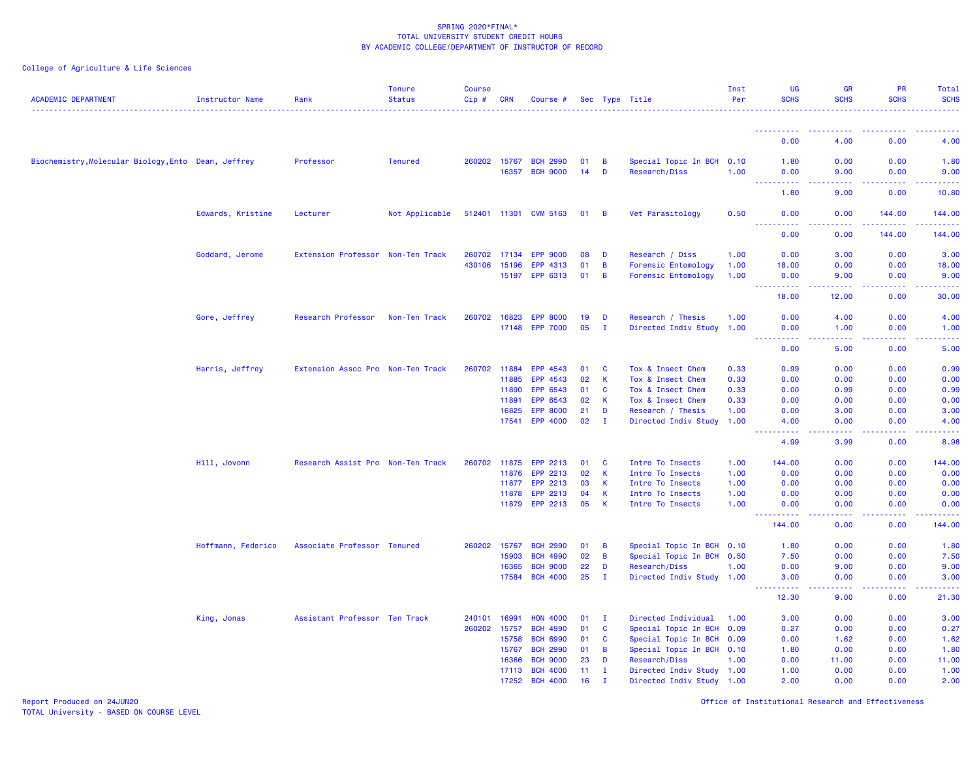# College of Agriculture & Life Sciences

| <b>ACADEMIC DEPARTMENT</b>                          | Instructor Name    | Rank                              | <b>Tenure</b><br><b>Status</b> | <b>Course</b><br>$Cip$ # | <b>CRN</b>   | Course #              |              |                | Sec Type Title            | Inst<br>Per | UG<br><b>SCHS</b>                                                                                                                 | <b>GR</b><br><b>SCHS</b> | PR<br><b>SCHS</b>                           | <b>Total</b><br><b>SCHS</b>                                                                                                       |
|-----------------------------------------------------|--------------------|-----------------------------------|--------------------------------|--------------------------|--------------|-----------------------|--------------|----------------|---------------------------|-------------|-----------------------------------------------------------------------------------------------------------------------------------|--------------------------|---------------------------------------------|-----------------------------------------------------------------------------------------------------------------------------------|
|                                                     |                    |                                   |                                |                          |              |                       |              |                |                           |             |                                                                                                                                   |                          |                                             |                                                                                                                                   |
|                                                     |                    |                                   |                                |                          |              |                       |              |                |                           |             | 0.00                                                                                                                              | 4.00                     | 0.00                                        | 4.00                                                                                                                              |
| Biochemistry, Molecular Biology, Ento Dean, Jeffrey |                    | Professor                         | <b>Tenured</b>                 | 260202 15767             |              | <b>BCH 2990</b>       | 01           | B              | Special Topic In BCH      | 0.10        | 1.80                                                                                                                              | 0.00                     | 0.00                                        | 1.80                                                                                                                              |
|                                                     |                    |                                   |                                |                          | 16357        | <b>BCH 9000</b>       | 14           | D              | Research/Diss             | 1.00        | 0.00                                                                                                                              | 9.00                     | 0.00                                        | 9.00                                                                                                                              |
|                                                     |                    |                                   |                                |                          |              |                       |              |                |                           |             | $\frac{1}{2} \left( \frac{1}{2} \right) \left( \frac{1}{2} \right) \left( \frac{1}{2} \right) \left( \frac{1}{2} \right)$<br>1.80 | 9.00                     | 0.00                                        | 10.80                                                                                                                             |
|                                                     | Edwards, Kristine  | Lecturer                          | Not Applicable                 |                          |              | 512401 11301 CVM 5163 | $01 \quad B$ |                | Vet Parasitology          | 0.50        | 0.00                                                                                                                              | 0.00                     | 144.00                                      | 144.00                                                                                                                            |
|                                                     |                    |                                   |                                |                          |              |                       |              |                |                           |             | $   -$<br>.<br>0.00                                                                                                               | .<br>0.00                | <b><i><u><u>AAAAA</u></u></i></b><br>144.00 | <b><i><u><u>AAAAA</u></u></i></b><br>144.00                                                                                       |
|                                                     | Goddard, Jerome    | Extension Professor Non-Ten Track |                                | 260702 17134             |              | <b>EPP 9000</b>       | 08           | D              | Research / Diss           | 1.00        | 0.00                                                                                                                              | 3.00                     | 0.00                                        | 3.00                                                                                                                              |
|                                                     |                    |                                   |                                | 430106                   | 15196        | EPP 4313              | 01           | $\overline{B}$ | Forensic Entomology       | 1.00        | 18.00                                                                                                                             | 0.00                     | 0.00                                        | 18.00                                                                                                                             |
|                                                     |                    |                                   |                                |                          | 15197        | EPP 6313              | 01           | $\overline{B}$ | Forensic Entomology       | 1.00        | 0.00                                                                                                                              | 9.00                     | 0.00                                        | 9.00                                                                                                                              |
|                                                     |                    |                                   |                                |                          |              |                       |              |                |                           |             | .<br>18.00                                                                                                                        | -----<br>12.00           | .<br>0.00                                   | .<br>30.00                                                                                                                        |
|                                                     | Gore, Jeffrey      | Research Professor                | Non-Ten Track                  | 260702                   | 16823        | <b>EPP 8000</b>       | 19           | D              | Research / Thesis         | 1.00        | 0.00                                                                                                                              | 4.00                     | 0.00                                        | 4.00                                                                                                                              |
|                                                     |                    |                                   |                                |                          |              | 17148 EPP 7000        | 05           | I.             | Directed Indiv Study 1.00 |             | 0.00                                                                                                                              | 1.00                     | 0.00                                        | 1.00                                                                                                                              |
|                                                     |                    |                                   |                                |                          |              |                       |              |                |                           |             | .<br>$\sim$ $\sim$ $\sim$<br>0.00                                                                                                 | ولايات<br>5.00           | .<br>0.00                                   | $\frac{1}{2} \left( \frac{1}{2} \right) \left( \frac{1}{2} \right) \left( \frac{1}{2} \right) \left( \frac{1}{2} \right)$<br>5.00 |
|                                                     | Harris, Jeffrey    | Extension Assoc Pro Non-Ten Track |                                | 260702 11884             |              | EPP 4543              | 01           | <b>C</b>       | Tox & Insect Chem         | 0.33        | 0.99                                                                                                                              | 0.00                     | 0.00                                        | 0.99                                                                                                                              |
|                                                     |                    |                                   |                                |                          | 11885        | EPP 4543              | 02           | $\mathsf{K}$   | Tox & Insect Chem         | 0.33        | 0.00                                                                                                                              | 0.00                     | 0.00                                        | 0.00                                                                                                                              |
|                                                     |                    |                                   |                                |                          | 11890        | EPP 6543              | 01           | <b>C</b>       | Tox & Insect Chem         | 0.33        | 0.00                                                                                                                              | 0.99                     | 0.00                                        | 0.99                                                                                                                              |
|                                                     |                    |                                   |                                |                          | 11891        | EPP 6543              | 02           | <b>K</b>       | Tox & Insect Chem         | 0.33        | 0.00                                                                                                                              | 0.00                     | 0.00                                        | 0.00                                                                                                                              |
|                                                     |                    |                                   |                                |                          | 16825        | <b>EPP 8000</b>       | 21           | D              | Research / Thesis         | 1.00        | 0.00                                                                                                                              | 3.00                     | 0.00                                        | 3.00                                                                                                                              |
|                                                     |                    |                                   |                                |                          | 17541        | <b>EPP 4000</b>       | 02           | $\mathbf{I}$   | Directed Indiv Study      | 1.00        | 4.00                                                                                                                              | 0.00                     | 0.00                                        | 4.00                                                                                                                              |
|                                                     |                    |                                   |                                |                          |              |                       |              |                |                           |             | .<br>4.99                                                                                                                         | .<br>3.99                | 0.00                                        | $\sim$ $\sim$ $\sim$ $\sim$ $\sim$<br>8.98                                                                                        |
|                                                     | Hill, Jovonn       | Research Assist Pro Non-Ten Track |                                | 260702                   | 11875        | <b>EPP 2213</b>       | 01           | <b>C</b>       | Intro To Insects          | 1.00        | 144.00                                                                                                                            | 0.00                     | 0.00                                        | 144.00                                                                                                                            |
|                                                     |                    |                                   |                                |                          | 11876        | EPP 2213              | 02           | <b>K</b>       | Intro To Insects          | 1.00        | 0.00                                                                                                                              | 0.00                     | 0.00                                        | 0.00                                                                                                                              |
|                                                     |                    |                                   |                                |                          | 11877        | EPP 2213              | 03           | <b>K</b>       | Intro To Insects          | 1.00        | 0.00                                                                                                                              | 0.00                     | 0.00                                        | 0.00                                                                                                                              |
|                                                     |                    |                                   |                                |                          | 11878        | <b>EPP 2213</b>       | 04           | $\mathsf{K}$   | Intro To Insects          | 1.00        | 0.00                                                                                                                              | 0.00                     | 0.00                                        | 0.00                                                                                                                              |
|                                                     |                    |                                   |                                |                          |              | 11879 EPP 2213        | 05           | $\mathsf{K}$   | Intro To Insects          | 1.00        | 0.00                                                                                                                              | 0.00                     | 0.00                                        | 0.00                                                                                                                              |
|                                                     |                    |                                   |                                |                          |              |                       |              |                |                           |             | $\sim 100$<br>22222<br>144.00                                                                                                     | د د د د .<br>0.00        | .<br>0.00                                   | .<br>144.00                                                                                                                       |
|                                                     | Hoffmann, Federico | Associate Professor Tenured       |                                |                          | 260202 15767 | <b>BCH 2990</b>       | 01           | $\overline{B}$ | Special Topic In BCH 0.10 |             | 1.80                                                                                                                              | 0.00                     | 0.00                                        | 1.80                                                                                                                              |
|                                                     |                    |                                   |                                |                          | 15903        | <b>BCH 4990</b>       | 02           | $\overline{B}$ | Special Topic In BCH      | 0.50        | 7.50                                                                                                                              | 0.00                     | 0.00                                        | 7.50                                                                                                                              |
|                                                     |                    |                                   |                                |                          | 16365        | <b>BCH 9000</b>       | 22           | D              | Research/Diss             | 1.00        | 0.00                                                                                                                              | 9.00                     | 0.00                                        | 9.00                                                                                                                              |
|                                                     |                    |                                   |                                |                          | 17584        | <b>BCH 4000</b>       | 25           | - I            | Directed Indiv Study 1.00 |             | 3.00                                                                                                                              | 0.00                     | 0.00                                        | 3.00                                                                                                                              |
|                                                     |                    |                                   |                                |                          |              |                       |              |                |                           |             | .<br>12.30                                                                                                                        | بالأباد<br>9.00          | .<br>0.00                                   | والمناصبات<br>21.30                                                                                                               |
|                                                     | King, Jonas        | Assistant Professor Ten Track     |                                | 240101                   | 16991        | <b>HON 4000</b>       | 01           | $\mathbf{I}$   | Directed Individual       | 1.00        | 3.00                                                                                                                              | 0.00                     | 0.00                                        | 3.00                                                                                                                              |
|                                                     |                    |                                   |                                | 260202                   | 15757        | <b>BCH 4990</b>       | 01           | $\mathbf{C}$   | Special Topic In BCH      | 0.09        | 0.27                                                                                                                              | 0.00                     | 0.00                                        | 0.27                                                                                                                              |
|                                                     |                    |                                   |                                |                          | 15758        | <b>BCH 6990</b>       | 01           | C              | Special Topic In BCH      | 0.09        | 0.00                                                                                                                              | 1.62                     | 0.00                                        | 1.62                                                                                                                              |
|                                                     |                    |                                   |                                |                          | 15767        | <b>BCH 2990</b>       | 01           | B              | Special Topic In BCH 0.10 |             | 1.80                                                                                                                              | 0.00                     | 0.00                                        | 1.80                                                                                                                              |
|                                                     |                    |                                   |                                |                          | 16366        | <b>BCH 9000</b>       | 23           | D              | Research/Diss             | 1.00        | 0.00                                                                                                                              | 11.00                    | 0.00                                        | 11.00                                                                                                                             |
|                                                     |                    |                                   |                                |                          | 17113        | <b>BCH 4000</b>       | 11           | T              | Directed Indiv Study 1.00 |             | 1.00                                                                                                                              | 0.00                     | 0.00                                        | 1.00                                                                                                                              |
|                                                     |                    |                                   |                                |                          | 17252        | <b>BCH 4000</b>       | 16           | $\mathbf I$    | Directed Indiv Study 1.00 |             | 2.00                                                                                                                              | 0.00                     | 0.00                                        | 2.00                                                                                                                              |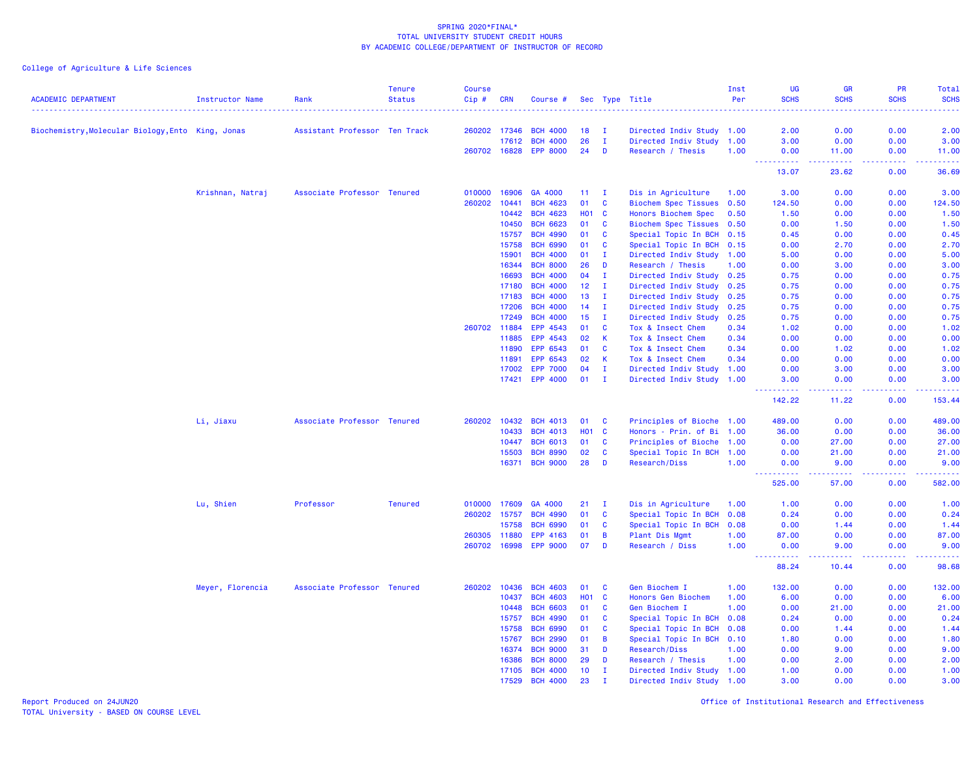College of Agriculture & Life Sciences

| <b>ACADEMIC DEPARTMENT</b>                        | <b>Instructor Name</b> | Rank                          | <b>Tenure</b><br><b>Status</b> | <b>Course</b><br>Cip# | <b>CRN</b>     | Course #             |            |              | Sec Type Title                         | Inst<br>Per  | <b>UG</b><br><b>SCHS</b> | <b>GR</b><br><b>SCHS</b>                                                                                                                                      | PR<br><b>SCHS</b><br>$\omega$ is $\omega$ in | <b>Total</b><br><b>SCHS</b><br>$\frac{1}{2} \left( \frac{1}{2} \right) \left( \frac{1}{2} \right) \left( \frac{1}{2} \right) \left( \frac{1}{2} \right)$ |
|---------------------------------------------------|------------------------|-------------------------------|--------------------------------|-----------------------|----------------|----------------------|------------|--------------|----------------------------------------|--------------|--------------------------|---------------------------------------------------------------------------------------------------------------------------------------------------------------|----------------------------------------------|----------------------------------------------------------------------------------------------------------------------------------------------------------|
| Biochemistry, Molecular Biology, Ento King, Jonas |                        | Assistant Professor Ten Track |                                | 260202                | 17346          | <b>BCH 4000</b>      | 18         | - 1          | Directed Indiv Study 1.00              |              | 2.00                     | 0.00                                                                                                                                                          | 0.00                                         | 2.00                                                                                                                                                     |
|                                                   |                        |                               |                                |                       | 17612          | <b>BCH 4000</b>      | 26         | $\mathbf{I}$ | Directed Indiv Study 1.00              |              | 3.00                     | 0.00                                                                                                                                                          | 0.00                                         | 3.00                                                                                                                                                     |
|                                                   |                        |                               |                                | 260702 16828          |                | <b>EPP 8000</b>      | 24         | D            | Research / Thesis                      | 1.00         | 0.00                     | 11.00                                                                                                                                                         | 0.00                                         | 11.00                                                                                                                                                    |
|                                                   |                        |                               |                                |                       |                |                      |            |              |                                        |              | .<br>13.07               | بالمتمام<br>23.62                                                                                                                                             | .<br>0.00                                    | .<br>36.69                                                                                                                                               |
|                                                   | Krishnan, Natraj       | Associate Professor Tenured   |                                | 010000                | 16906          | GA 4000              | 11         | $\mathbf{I}$ | Dis in Agriculture                     | 1.00         | 3.00                     | 0.00                                                                                                                                                          | 0.00                                         | 3.00                                                                                                                                                     |
|                                                   |                        |                               |                                | 260202                | 10441          | <b>BCH 4623</b>      | 01         | C            | <b>Biochem Spec Tissues</b>            | 0.50         | 124.50                   | 0.00                                                                                                                                                          | 0.00                                         | 124.50                                                                                                                                                   |
|                                                   |                        |                               |                                |                       | 10442          | <b>BCH 4623</b>      | <b>HO1</b> | $\mathbf{C}$ | Honors Biochem Spec                    | 0.50         | 1.50                     | 0.00                                                                                                                                                          | 0.00                                         | 1.50                                                                                                                                                     |
|                                                   |                        |                               |                                |                       | 10450          | <b>BCH 6623</b>      | 01         | C            | Biochem Spec Tissues 0.50              |              | 0.00                     | 1.50                                                                                                                                                          | 0.00                                         | 1.50                                                                                                                                                     |
|                                                   |                        |                               |                                |                       | 15757          | <b>BCH 4990</b>      | 01         | C            | Special Topic In BCH                   | 0.15         | 0.45                     | 0.00                                                                                                                                                          | 0.00                                         | 0.45                                                                                                                                                     |
|                                                   |                        |                               |                                |                       | 15758          | <b>BCH 6990</b>      | 01         | $\mathbf{C}$ | Special Topic In BCH 0.15              |              | 0.00                     | 2.70                                                                                                                                                          | 0.00                                         | 2.70                                                                                                                                                     |
|                                                   |                        |                               |                                |                       | 15901          | <b>BCH 4000</b>      | 01         | Ι.           | Directed Indiv Study 1.00              |              | 5.00                     | 0.00                                                                                                                                                          | 0.00                                         | 5.00                                                                                                                                                     |
|                                                   |                        |                               |                                |                       | 16344          | <b>BCH 8000</b>      | 26         | D            | Research / Thesis                      | 1.00         | 0.00                     | 3.00                                                                                                                                                          | 0.00                                         | 3.00                                                                                                                                                     |
|                                                   |                        |                               |                                |                       | 16693          | <b>BCH 4000</b>      | 04         | $\mathbf{I}$ | Directed Indiv Study 0.25              |              | 0.75                     | 0.00                                                                                                                                                          | 0.00                                         | 0.75                                                                                                                                                     |
|                                                   |                        |                               |                                |                       | 17180          | <b>BCH 4000</b>      | 12         | Ι.           | Directed Indiv Study 0.25              |              | 0.75                     | 0.00                                                                                                                                                          | 0.00                                         | 0.75                                                                                                                                                     |
|                                                   |                        |                               |                                |                       | 17183          | <b>BCH 4000</b>      | 13         | $\mathbf{I}$ | Directed Indiv Study 0.25              |              | 0.75                     | 0.00                                                                                                                                                          | 0.00                                         | 0.75                                                                                                                                                     |
|                                                   |                        |                               |                                |                       | 17206          | <b>BCH 4000</b>      | 14         | Ι.           | Directed Indiv Study                   | 0.25         | 0.75                     | 0.00                                                                                                                                                          | 0.00                                         | 0.75                                                                                                                                                     |
|                                                   |                        |                               |                                |                       | 17249          | <b>BCH 4000</b>      | 15         | п            | Directed Indiv Study                   | 0.25         | 0.75                     | 0.00                                                                                                                                                          | 0.00                                         | 0.75                                                                                                                                                     |
|                                                   |                        |                               |                                | 260702                | 11884<br>11885 | EPP 4543<br>EPP 4543 | 01<br>02   | C<br>K       | Tox & Insect Chem<br>Tox & Insect Chem | 0.34<br>0.34 | 1.02<br>0.00             | 0.00<br>0.00                                                                                                                                                  | 0.00<br>0.00                                 | 1.02<br>0.00                                                                                                                                             |
|                                                   |                        |                               |                                |                       | 11890          | EPP 6543             | 01         | $\mathbf{C}$ | Tox & Insect Chem                      | 0.34         | 0.00                     | 1.02                                                                                                                                                          | 0.00                                         | 1.02                                                                                                                                                     |
|                                                   |                        |                               |                                |                       | 11891          | EPP 6543             | 02         | K            | Tox & Insect Chem                      | 0.34         | 0.00                     | 0.00                                                                                                                                                          | 0.00                                         | 0.00                                                                                                                                                     |
|                                                   |                        |                               |                                |                       | 17002          | <b>EPP 7000</b>      | 04         | $\mathbf{I}$ | Directed Indiv Study                   | 1.00         | 0.00                     | 3.00                                                                                                                                                          | 0.00                                         | 3.00                                                                                                                                                     |
|                                                   |                        |                               |                                |                       | 17421          | <b>EPP 4000</b>      | 01         | Ι.           | Directed Indiv Study                   | 1.00         | 3.00                     | 0.00                                                                                                                                                          | 0.00                                         | 3.00                                                                                                                                                     |
|                                                   |                        |                               |                                |                       |                |                      |            |              |                                        |              | <b>.</b>                 | .                                                                                                                                                             | د د د د                                      | $\frac{1}{2} \left( \frac{1}{2} \right) \left( \frac{1}{2} \right) \left( \frac{1}{2} \right) \left( \frac{1}{2} \right)$                                |
|                                                   |                        |                               |                                |                       |                |                      |            |              |                                        |              | 142.22                   | 11.22                                                                                                                                                         | 0.00                                         | 153.44                                                                                                                                                   |
|                                                   | Li, Jiaxu              | Associate Professor Tenured   |                                | 260202                | 10432          | <b>BCH 4013</b>      | 01         | C            | Principles of Bioche 1.00              |              | 489.00                   | 0.00                                                                                                                                                          | 0.00                                         | 489.00                                                                                                                                                   |
|                                                   |                        |                               |                                |                       | 10433          | <b>BCH 4013</b>      | <b>HO1</b> | $\mathbf{C}$ | Honors - Prin. of Bi 1.00              |              | 36.00                    | 0.00                                                                                                                                                          | 0.00                                         | 36.00                                                                                                                                                    |
|                                                   |                        |                               |                                |                       | 10447          | <b>BCH 6013</b>      | 01         | C            | Principles of Bioche 1.00              |              | 0.00                     | 27.00                                                                                                                                                         | 0.00                                         | 27.00                                                                                                                                                    |
|                                                   |                        |                               |                                |                       | 15503          | <b>BCH 8990</b>      | 02         | C            | Special Topic In BCH                   | 1.00         | 0.00                     | 21.00                                                                                                                                                         | 0.00                                         | 21.00                                                                                                                                                    |
|                                                   |                        |                               |                                |                       | 16371          | <b>BCH 9000</b>      | 28         | D            | Research/Diss                          | 1.00         | 0.00                     | 9.00                                                                                                                                                          | 0.00<br>.                                    | 9.00<br>.                                                                                                                                                |
|                                                   |                        |                               |                                |                       |                |                      |            |              |                                        |              | .<br>525.00              | $\frac{1}{2} \left( \frac{1}{2} \right) \left( \frac{1}{2} \right) \left( \frac{1}{2} \right) \left( \frac{1}{2} \right) \left( \frac{1}{2} \right)$<br>57.00 | 0.00                                         | 582.00                                                                                                                                                   |
|                                                   | Lu, Shien              | Professor                     | <b>Tenured</b>                 | 010000                | 17609          | GA 4000              | 21         | $\mathbf{I}$ | Dis in Agriculture                     | 1.00         | 1.00                     | 0.00                                                                                                                                                          | 0.00                                         | 1.00                                                                                                                                                     |
|                                                   |                        |                               |                                | 260202                | 15757          | <b>BCH 4990</b>      | 01         | C            | Special Topic In BCH                   | 0.08         | 0.24                     | 0.00                                                                                                                                                          | 0.00                                         | 0.24                                                                                                                                                     |
|                                                   |                        |                               |                                |                       | 15758          | <b>BCH 6990</b>      | 01         | C            | Special Topic In BCH                   | 0.08         | 0.00                     | 1.44                                                                                                                                                          | 0.00                                         | 1.44                                                                                                                                                     |
|                                                   |                        |                               |                                | 260305                | 11880          | EPP 4163             | 01         | B            | Plant Dis Mgmt                         | 1.00         | 87.00                    | 0.00                                                                                                                                                          | 0.00                                         | 87.00                                                                                                                                                    |
|                                                   |                        |                               |                                | 260702                | 16998          | <b>EPP 9000</b>      | 07         | D            | Research / Diss                        | 1.00         | 0.00<br>.                | 9.00<br>-----                                                                                                                                                 | 0.00<br>.                                    | 9.00<br>.                                                                                                                                                |
|                                                   |                        |                               |                                |                       |                |                      |            |              |                                        |              | 88.24                    | 10.44                                                                                                                                                         | 0.00                                         | 98.68                                                                                                                                                    |
|                                                   | Meyer, Florencia       | Associate Professor Tenured   |                                | 260202                | 10436          | <b>BCH 4603</b>      | 01         | C            | Gen Biochem I                          | 1.00         | 132.00                   | 0.00                                                                                                                                                          | 0.00                                         | 132.00                                                                                                                                                   |
|                                                   |                        |                               |                                |                       | 10437          | <b>BCH 4603</b>      | <b>HO1</b> | C            | Honors Gen Biochem                     | 1.00         | 6.00                     | 0.00                                                                                                                                                          | 0.00                                         | 6.00                                                                                                                                                     |
|                                                   |                        |                               |                                |                       | 10448          | <b>BCH 6603</b>      | 01         | C            | Gen Biochem I                          | 1.00         | 0.00                     | 21.00                                                                                                                                                         | 0.00                                         | 21.00                                                                                                                                                    |
|                                                   |                        |                               |                                |                       | 15757          | <b>BCH 4990</b>      | 01         | C            | Special Topic In BCH                   | 0.08         | 0.24                     | 0.00                                                                                                                                                          | 0.00                                         | 0.24                                                                                                                                                     |
|                                                   |                        |                               |                                |                       | 15758          | <b>BCH 6990</b>      | 01         | $\mathbf{C}$ | Special Topic In BCH                   | 0.08         | 0.00                     | 1.44                                                                                                                                                          | 0.00                                         | 1.44                                                                                                                                                     |
|                                                   |                        |                               |                                |                       | 15767          | <b>BCH 2990</b>      | 01         | B            | Special Topic In BCH                   | 0.10         | 1.80                     | 0.00                                                                                                                                                          | 0.00                                         | 1.80                                                                                                                                                     |
|                                                   |                        |                               |                                |                       | 16374          | <b>BCH 9000</b>      | 31         | D            | Research/Diss                          | 1.00         | 0.00                     | 9.00                                                                                                                                                          | 0.00                                         | 9.00                                                                                                                                                     |
|                                                   |                        |                               |                                |                       | 16386          | <b>BCH 8000</b>      | 29         | D            | Research / Thesis                      | 1.00         | 0.00                     | 2.00                                                                                                                                                          | 0.00                                         | 2.00                                                                                                                                                     |
|                                                   |                        |                               |                                |                       | 17105          | <b>BCH 4000</b>      | 10         | T            | Directed Indiv Study 1.00              |              | 1.00                     | 0.00                                                                                                                                                          | 0.00                                         | 1.00                                                                                                                                                     |
|                                                   |                        |                               |                                |                       | 17529          | <b>BCH 4000</b>      | 23         | $\mathbf I$  | Directed Indiv Study 1.00              |              | 3.00                     | 0.00                                                                                                                                                          | 0.00                                         | 3.00                                                                                                                                                     |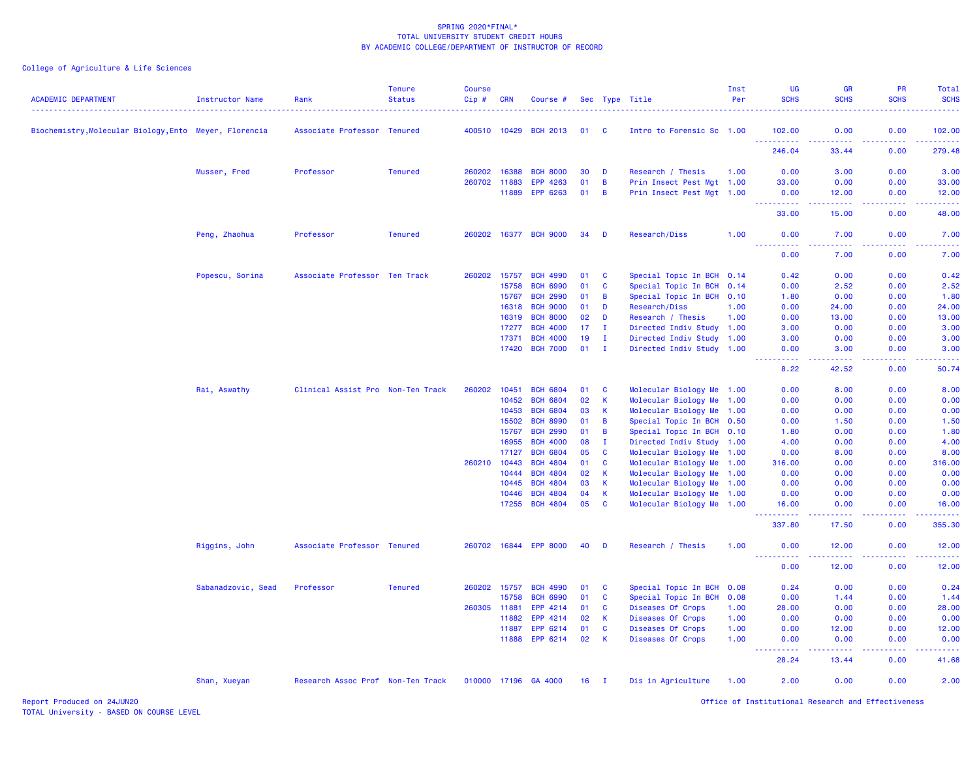## College of Agriculture & Life Sciences

| <b>ACADEMIC DEPARTMENT</b>                             | Instructor Name    | Rank                              | <b>Tenure</b><br><b>Status</b> | <b>Course</b><br>Cip# | <b>CRN</b> | Course #              |    |                | Sec Type Title            | Inst<br>Per | <b>UG</b><br><b>SCHS</b>                                                                                                                                     | GR<br><b>SCHS</b>                                                                                                                                             | <b>PR</b><br><b>SCHS</b> | Total<br><b>SCHS</b>      |
|--------------------------------------------------------|--------------------|-----------------------------------|--------------------------------|-----------------------|------------|-----------------------|----|----------------|---------------------------|-------------|--------------------------------------------------------------------------------------------------------------------------------------------------------------|---------------------------------------------------------------------------------------------------------------------------------------------------------------|--------------------------|---------------------------|
|                                                        |                    |                                   |                                |                       |            |                       |    |                |                           |             |                                                                                                                                                              |                                                                                                                                                               |                          | <u>.</u>                  |
| Biochemistry, Molecular Biology, Ento Meyer, Florencia |                    | Associate Professor Tenured       |                                | 400510 10429          |            | <b>BCH 2013</b>       | 01 | - C            | Intro to Forensic Sc 1.00 |             | 102.00                                                                                                                                                       | 0.00                                                                                                                                                          | 0.00<br>بالأباد          | 102.00<br>22222           |
|                                                        |                    |                                   |                                |                       |            |                       |    |                |                           |             | 246.04                                                                                                                                                       | 33.44                                                                                                                                                         | 0.00                     | 279.48                    |
|                                                        | Musser, Fred       | Professor                         | <b>Tenured</b>                 | 260202                | 16388      | <b>BCH 8000</b>       | 30 | D              | Research / Thesis         | 1.00        | 0.00                                                                                                                                                         | 3.00                                                                                                                                                          | 0.00                     | 3.00                      |
|                                                        |                    |                                   |                                | 260702 11883          |            | EPP 4263              | 01 | B              | Prin Insect Pest Mgt 1.00 |             | 33.00                                                                                                                                                        | 0.00                                                                                                                                                          | 0.00                     | 33.00                     |
|                                                        |                    |                                   |                                |                       | 11889      | EPP 6263              | 01 | $\overline{B}$ | Prin Insect Pest Mgt 1.00 |             | 0.00<br>.                                                                                                                                                    | 12.00<br>.                                                                                                                                                    | 0.00<br>.                | 12.00<br>.                |
|                                                        |                    |                                   |                                |                       |            |                       |    |                |                           |             | 33.00                                                                                                                                                        | 15.00                                                                                                                                                         | 0.00                     | 48.00                     |
|                                                        | Peng, Zhaohua      | Professor                         | <b>Tenured</b>                 |                       |            | 260202 16377 BCH 9000 | 34 | D              | Research/Diss             | 1.00        | 0.00<br>د د د د                                                                                                                                              | 7.00<br>د د د د                                                                                                                                               | 0.00<br>.                | 7.00<br>وبالاناداد        |
|                                                        |                    |                                   |                                |                       |            |                       |    |                |                           |             | 0.00                                                                                                                                                         | 7.00                                                                                                                                                          | 0.00                     | 7.00                      |
|                                                        | Popescu, Sorina    | Associate Professor Ten Track     |                                | 260202                | 15757      | <b>BCH 4990</b>       | 01 | $\mathbf{C}$   | Special Topic In BCH 0.14 |             | 0.42                                                                                                                                                         | 0.00                                                                                                                                                          | 0.00                     | 0.42                      |
|                                                        |                    |                                   |                                |                       | 15758      | <b>BCH 6990</b>       | 01 | C              | Special Topic In BCH 0.14 |             | 0.00                                                                                                                                                         | 2.52                                                                                                                                                          | 0.00                     | 2.52                      |
|                                                        |                    |                                   |                                |                       | 15767      | <b>BCH 2990</b>       | 01 | B              | Special Topic In BCH 0.10 |             | 1.80                                                                                                                                                         | 0.00                                                                                                                                                          | 0.00                     | 1.80                      |
|                                                        |                    |                                   |                                |                       | 16318      | <b>BCH 9000</b>       | 01 | D              | Research/Diss             | 1.00        | 0.00                                                                                                                                                         | 24.00                                                                                                                                                         | 0.00                     | 24.00                     |
|                                                        |                    |                                   |                                |                       | 16319      | <b>BCH 8000</b>       | 02 | D              | Research / Thesis         | 1.00        | 0.00                                                                                                                                                         | 13.00                                                                                                                                                         | 0.00                     | 13.00                     |
|                                                        |                    |                                   |                                |                       | 17277      | <b>BCH 4000</b>       | 17 | $\mathbf I$    | Directed Indiv Study 1.00 |             | 3.00                                                                                                                                                         | 0.00                                                                                                                                                          | 0.00                     | 3.00                      |
|                                                        |                    |                                   |                                |                       | 17371      | <b>BCH 4000</b>       | 19 | $\mathbf I$    | Directed Indiv Study 1.00 |             | 3.00                                                                                                                                                         | 0.00                                                                                                                                                          | 0.00                     | 3.00                      |
|                                                        |                    |                                   |                                |                       | 17420      | <b>BCH 7000</b>       | 01 | $\mathbf I$    | Directed Indiv Study 1.00 |             | 0.00                                                                                                                                                         | 3.00                                                                                                                                                          | 0.00                     | 3.00                      |
|                                                        |                    |                                   |                                |                       |            |                       |    |                |                           |             | $\mathbf{1} \cdot \mathbf{1} \cdot \mathbf{1} \cdot \mathbf{1} \cdot \mathbf{1}$<br>8.22                                                                     | $\frac{1}{2} \left( \frac{1}{2} \right) \left( \frac{1}{2} \right) \left( \frac{1}{2} \right) \left( \frac{1}{2} \right) \left( \frac{1}{2} \right)$<br>42.52 | -----<br>0.00            | وساعات<br>50.74           |
|                                                        | Rai, Aswathy       | Clinical Assist Pro Non-Ten Track |                                | 260202                | 10451      | <b>BCH 6804</b>       | 01 | C              | Molecular Biology Me 1.00 |             | 0.00                                                                                                                                                         | 8.00                                                                                                                                                          | 0.00                     | 8.00                      |
|                                                        |                    |                                   |                                |                       | 10452      | <b>BCH 6804</b>       | 02 | K              | Molecular Biology Me 1.00 |             | 0.00                                                                                                                                                         | 0.00                                                                                                                                                          | 0.00                     | 0.00                      |
|                                                        |                    |                                   |                                |                       | 10453      | <b>BCH 6804</b>       | 03 | $\mathsf K$    | Molecular Biology Me 1.00 |             | 0.00                                                                                                                                                         | 0.00                                                                                                                                                          | 0.00                     | 0.00                      |
|                                                        |                    |                                   |                                |                       | 15502      | <b>BCH 8990</b>       | 01 | B              | Special Topic In BCH 0.50 |             | 0.00                                                                                                                                                         | 1.50                                                                                                                                                          | 0.00                     | 1.50                      |
|                                                        |                    |                                   |                                |                       | 15767      | <b>BCH 2990</b>       | 01 | B              | Special Topic In BCH 0.10 |             | 1.80                                                                                                                                                         | 0.00                                                                                                                                                          | 0.00                     | 1.80                      |
|                                                        |                    |                                   |                                |                       | 16955      | <b>BCH 4000</b>       | 08 | $\mathbf I$    | Directed Indiv Study 1.00 |             | 4.00                                                                                                                                                         | 0.00                                                                                                                                                          | 0.00                     | 4.00                      |
|                                                        |                    |                                   |                                |                       | 17127      | <b>BCH 6804</b>       | 05 | $\mathbf{C}$   | Molecular Biology Me 1.00 |             | 0.00                                                                                                                                                         | 8.00                                                                                                                                                          | 0.00                     | 8.00                      |
|                                                        |                    |                                   |                                | 260210                | 10443      | <b>BCH 4804</b>       | 01 | C              | Molecular Biology Me 1.00 |             | 316.00                                                                                                                                                       | 0.00                                                                                                                                                          | 0.00                     | 316.00                    |
|                                                        |                    |                                   |                                |                       | 10444      | <b>BCH 4804</b>       | 02 | K              | Molecular Biology Me 1.00 |             | 0.00                                                                                                                                                         | 0.00                                                                                                                                                          | 0.00                     | 0.00                      |
|                                                        |                    |                                   |                                |                       | 10445      | <b>BCH 4804</b>       | 03 | $\mathsf K$    | Molecular Biology Me 1.00 |             | 0.00                                                                                                                                                         | 0.00                                                                                                                                                          | 0.00                     | 0.00                      |
|                                                        |                    |                                   |                                |                       | 10446      | <b>BCH 4804</b>       | 04 | K              | Molecular Biology Me 1.00 |             | 0.00                                                                                                                                                         | 0.00                                                                                                                                                          | 0.00                     | 0.00                      |
|                                                        |                    |                                   |                                |                       | 17255      | <b>BCH 4804</b>       | 05 | $\mathbf{C}$   | Molecular Biology Me 1.00 |             | 16.00                                                                                                                                                        | 0.00                                                                                                                                                          | 0.00                     | 16.00                     |
|                                                        |                    |                                   |                                |                       |            |                       |    |                |                           |             | 337.80                                                                                                                                                       | $\sim$ $\sim$ $\sim$ $\sim$<br>17.50                                                                                                                          | 0.00                     | والمرامين منابذ<br>355.30 |
|                                                        | Riggins, John      | Associate Professor Tenured       |                                |                       |            | 260702 16844 EPP 8000 | 40 | D              | Research / Thesis         | 1.00        | 0.00                                                                                                                                                         | 12.00                                                                                                                                                         | 0.00                     | 12.00                     |
|                                                        |                    |                                   |                                |                       |            |                       |    |                |                           |             | <u>.</u><br>0.00                                                                                                                                             | $-1 - 1 - 1$<br>12.00                                                                                                                                         | .<br>0.00                | .<br>12.00                |
|                                                        | Sabanadzovic, Sead | Professor                         | <b>Tenured</b>                 | 260202                | 15757      | <b>BCH 4990</b>       | 01 | C              | Special Topic In BCH 0.08 |             | 0.24                                                                                                                                                         | 0.00                                                                                                                                                          | 0.00                     | 0.24                      |
|                                                        |                    |                                   |                                |                       | 15758      | <b>BCH 6990</b>       | 01 | $\mathbf{C}$   | Special Topic In BCH 0.08 |             | 0.00                                                                                                                                                         | 1.44                                                                                                                                                          | 0.00                     | 1.44                      |
|                                                        |                    |                                   |                                | 260305                | 11881      | EPP 4214              | 01 | <b>C</b>       | Diseases Of Crops         | 1.00        | 28.00                                                                                                                                                        | 0.00                                                                                                                                                          | 0.00                     | 28,00                     |
|                                                        |                    |                                   |                                |                       | 11882      | EPP 4214              | 02 | $\mathsf{K}$   | Diseases Of Crops         | 1.00        | 0.00                                                                                                                                                         | 0.00                                                                                                                                                          | 0.00                     | 0.00                      |
|                                                        |                    |                                   |                                |                       | 11887      | EPP 6214              | 01 | $\mathbf{C}$   | Diseases Of Crops         | 1.00        | 0.00                                                                                                                                                         | 12.00                                                                                                                                                         | 0.00                     | 12.00                     |
|                                                        |                    |                                   |                                |                       | 11888      | EPP 6214              | 02 | K              | Diseases Of Crops         | 1.00        | 0.00<br>$\frac{1}{2} \left( \frac{1}{2} \right) \left( \frac{1}{2} \right) \left( \frac{1}{2} \right) \left( \frac{1}{2} \right) \left( \frac{1}{2} \right)$ | 0.00<br>$-1 - 1 - 1 = 1$                                                                                                                                      | 0.00<br>22222            | 0.00<br>.                 |
|                                                        |                    |                                   |                                |                       |            |                       |    |                |                           |             | 28.24                                                                                                                                                        | 13.44                                                                                                                                                         | 0.00                     | 41.68                     |
|                                                        | Shan, Xueyan       | Research Assoc Prof Non-Ten Track |                                |                       |            | 010000 17196 GA 4000  | 16 | $\mathbf{I}$   | Dis in Agriculture        | 1.00        | 2.00                                                                                                                                                         | 0.00                                                                                                                                                          | 0.00                     | 2.00                      |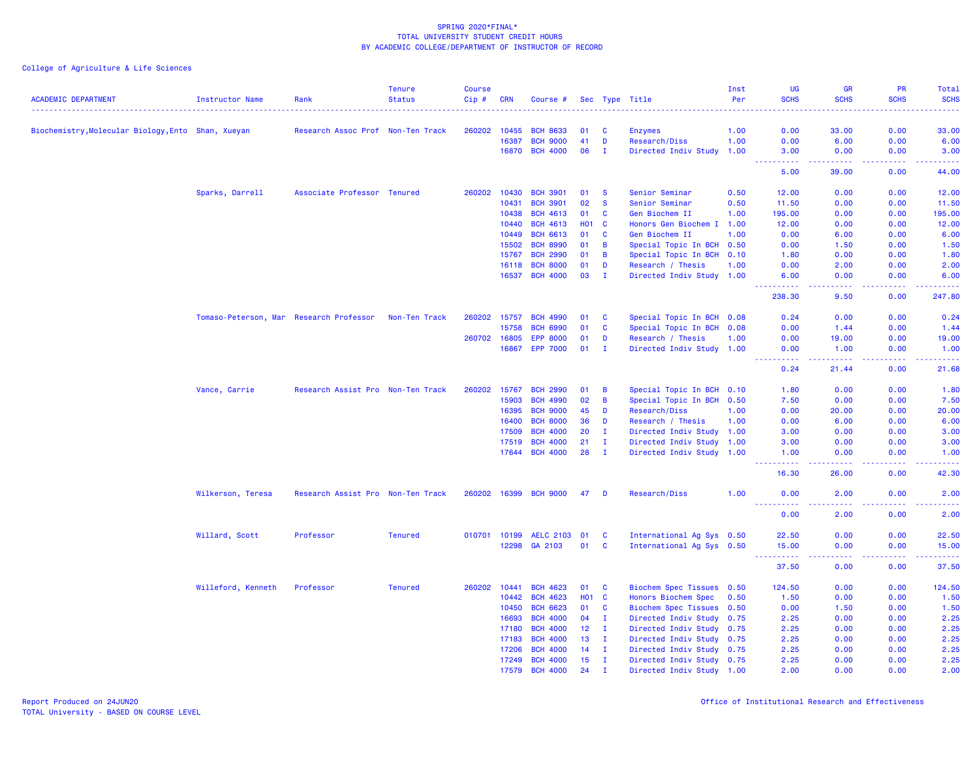| <b>ACADEMIC DEPARTMENT</b>                         | Instructor Name                         | Rank                              | <b>Tenure</b><br><b>Status</b> | <b>Course</b><br>Cip# | <b>CRN</b> | Course #         |                 |              | Sec Type Title            | Inst<br>Per | <b>UG</b><br><b>SCHS</b>                                                                                                                                     | <b>GR</b><br><b>SCHS</b> | <b>PR</b><br><b>SCHS</b>                                                                               | <b>Total</b><br><b>SCHS</b> |
|----------------------------------------------------|-----------------------------------------|-----------------------------------|--------------------------------|-----------------------|------------|------------------|-----------------|--------------|---------------------------|-------------|--------------------------------------------------------------------------------------------------------------------------------------------------------------|--------------------------|--------------------------------------------------------------------------------------------------------|-----------------------------|
|                                                    |                                         |                                   |                                |                       |            |                  |                 |              |                           | .           |                                                                                                                                                              |                          |                                                                                                        |                             |
| Biochemistry, Molecular Biology, Ento Shan, Xueyan |                                         | Research Assoc Prof Non-Ten Track |                                | 260202                | 10455      | <b>BCH 8633</b>  | 01              | <b>C</b>     | <b>Enzymes</b>            | 1.00        | 0.00                                                                                                                                                         | 33.00                    | 0.00                                                                                                   | 33.00                       |
|                                                    |                                         |                                   |                                |                       | 16387      | <b>BCH 9000</b>  | 41              | D            | Research/Diss             | 1.00        | 0.00                                                                                                                                                         | 6.00                     | 0.00                                                                                                   | 6.00                        |
|                                                    |                                         |                                   |                                |                       |            | 16870 BCH 4000   | 06              | T            | Directed Indiv Study 1.00 |             | 3.00<br><b>_________</b>                                                                                                                                     | 0.00<br>المتمامين        | 0.00<br>22222                                                                                          | 3.00<br>.                   |
|                                                    |                                         |                                   |                                |                       |            |                  |                 |              |                           |             | 5.00                                                                                                                                                         | 39.00                    | 0.00                                                                                                   | 44.00                       |
|                                                    | Sparks, Darrell                         | Associate Professor Tenured       |                                | 260202                | 10430      | <b>BCH 3901</b>  | 01              | -S           | Senior Seminar            | 0.50        | 12.00                                                                                                                                                        | 0.00                     | 0.00                                                                                                   | 12.00                       |
|                                                    |                                         |                                   |                                |                       | 10431      | <b>BCH 3901</b>  | 02              | <b>S</b>     | Senior Seminar            | 0.50        | 11.50                                                                                                                                                        | 0.00                     | 0.00                                                                                                   | 11.50                       |
|                                                    |                                         |                                   |                                |                       | 10438      | <b>BCH 4613</b>  | 01              | $\mathbf{C}$ | Gen Biochem II            | 1.00        | 195.00                                                                                                                                                       | 0.00                     | 0.00                                                                                                   | 195.00                      |
|                                                    |                                         |                                   |                                |                       | 10440      | <b>BCH 4613</b>  | <b>HO1</b>      | <b>C</b>     | Honors Gen Biochem I      | 1.00        | 12.00                                                                                                                                                        | 0.00                     | 0.00                                                                                                   | 12.00                       |
|                                                    |                                         |                                   |                                |                       | 10449      | <b>BCH 6613</b>  | 01              | C            | Gen Biochem II            | 1.00        | 0.00                                                                                                                                                         | 6.00                     | 0.00                                                                                                   | 6.00                        |
|                                                    |                                         |                                   |                                |                       | 15502      | <b>BCH 8990</b>  | 01              | B            | Special Topic In BCH      | 0.50        | 0.00                                                                                                                                                         | 1.50                     | 0.00                                                                                                   | 1.50                        |
|                                                    |                                         |                                   |                                |                       | 15767      | <b>BCH 2990</b>  | 01              | B            | Special Topic In BCH      | 0.10        | 1.80                                                                                                                                                         | 0.00                     | 0.00                                                                                                   | 1.80                        |
|                                                    |                                         |                                   |                                |                       | 16118      | <b>BCH 8000</b>  | 01              | D            | Research / Thesis         | 1.00        | 0.00                                                                                                                                                         | 2.00                     | 0.00                                                                                                   | 2.00                        |
|                                                    |                                         |                                   |                                |                       | 16537      | <b>BCH 4000</b>  | 03              | - 1          | Directed Indiv Study 1.00 |             | 6.00<br>$\frac{1}{2} \left( \frac{1}{2} \right) \left( \frac{1}{2} \right) \left( \frac{1}{2} \right) \left( \frac{1}{2} \right) \left( \frac{1}{2} \right)$ | 0.00<br>بالأباد          | 0.00<br>.                                                                                              | 6.00<br>المتمامين           |
|                                                    |                                         |                                   |                                |                       |            |                  |                 |              |                           |             | 238.30                                                                                                                                                       | 9.50                     | 0.00                                                                                                   | 247.80                      |
|                                                    | Tomaso-Peterson, Mar Research Professor |                                   | Non-Ten Track                  | 260202                | 15757      | <b>BCH 4990</b>  | 01              | <b>C</b>     | Special Topic In BCH 0.08 |             | 0.24                                                                                                                                                         | 0.00                     | 0.00                                                                                                   | 0.24                        |
|                                                    |                                         |                                   |                                |                       | 15758      | <b>BCH 6990</b>  | 01              | <b>C</b>     | Special Topic In BCH      | 0.08        | 0.00                                                                                                                                                         | 1.44                     | 0.00                                                                                                   | 1.44                        |
|                                                    |                                         |                                   |                                | 260702 16805          |            | <b>EPP 8000</b>  | 01              | D            | Research / Thesis         | 1.00        | 0.00                                                                                                                                                         | 19.00                    | 0.00                                                                                                   | 19.00                       |
|                                                    |                                         |                                   |                                |                       | 16867      | <b>EPP 7000</b>  | 01              | $\mathbf I$  | Directed Indiv Study 1.00 |             | 0.00                                                                                                                                                         | 1.00                     | 0.00                                                                                                   | 1.00                        |
|                                                    |                                         |                                   |                                |                       |            |                  |                 |              |                           |             | .<br>$\sim 100$<br>0.24                                                                                                                                      | .<br>21.44               | .<br>0.00                                                                                              | .<br>21.68                  |
|                                                    | Vance, Carrie                           | Research Assist Pro Non-Ten Track |                                | 260202                | 15767      | <b>BCH 2990</b>  | 01              | B            | Special Topic In BCH 0.10 |             | 1.80                                                                                                                                                         | 0.00                     | 0.00                                                                                                   | 1.80                        |
|                                                    |                                         |                                   |                                |                       | 15903      | <b>BCH 4990</b>  | 02              | B            | Special Topic In BCH 0.50 |             | 7.50                                                                                                                                                         | 0.00                     | 0.00                                                                                                   | 7.50                        |
|                                                    |                                         |                                   |                                |                       | 16395      | <b>BCH 9000</b>  | 45              | D            | Research/Diss             | 1.00        | 0.00                                                                                                                                                         | 20.00                    | 0.00                                                                                                   | 20.00                       |
|                                                    |                                         |                                   |                                |                       | 16400      | <b>BCH 8000</b>  | 36              | D            | Research / Thesis         | 1.00        | 0.00                                                                                                                                                         | 6.00                     | 0.00                                                                                                   | 6.00                        |
|                                                    |                                         |                                   |                                |                       | 17509      | <b>BCH 4000</b>  | 20              | $\mathbf{I}$ | Directed Indiv Study 1.00 |             | 3.00                                                                                                                                                         | 0.00                     | 0.00                                                                                                   | 3.00                        |
|                                                    |                                         |                                   |                                |                       | 17519      | <b>BCH 4000</b>  | 21              | $\mathbf{I}$ | Directed Indiv Study 1.00 |             | 3.00                                                                                                                                                         | 0.00                     | 0.00                                                                                                   | 3.00                        |
|                                                    |                                         |                                   |                                |                       | 17644      | <b>BCH 4000</b>  | 28              | $\mathbf{I}$ | Directed Indiv Study 1.00 |             | 1.00                                                                                                                                                         | 0.00                     | 0.00                                                                                                   | 1.00                        |
|                                                    |                                         |                                   |                                |                       |            |                  |                 |              |                           |             | .<br>16.30                                                                                                                                                   | د د د د .<br>26.00       | $\frac{1}{2} \left( \frac{1}{2} \right) \left( \frac{1}{2} \right) \left( \frac{1}{2} \right)$<br>0.00 | .<br>42.30                  |
|                                                    | Wilkerson, Teresa                       | Research Assist Pro Non-Ten Track |                                | 260202 16399          |            | <b>BCH 9000</b>  | 47              | D            | Research/Diss             | 1.00        | 0.00                                                                                                                                                         | 2.00                     | 0.00                                                                                                   | 2.00                        |
|                                                    |                                         |                                   |                                |                       |            |                  |                 |              |                           |             | 0.00                                                                                                                                                         | 2.00                     | 0.00                                                                                                   | 2.00                        |
|                                                    | Willard, Scott                          | Professor                         | <b>Tenured</b>                 | 010701 10199          |            | <b>AELC 2103</b> | 01              | <b>C</b>     | International Ag Sys 0.50 |             | 22.50                                                                                                                                                        | 0.00                     | 0.00                                                                                                   | 22.50                       |
|                                                    |                                         |                                   |                                |                       | 12298      | GA 2103          | 01              | $\mathbf{C}$ | International Ag Sys 0.50 |             | 15.00                                                                                                                                                        | 0.00                     | 0.00                                                                                                   | 15.00                       |
|                                                    |                                         |                                   |                                |                       |            |                  |                 |              |                           |             | .<br>$\sim$ $\sim$ $\sim$<br>37.50                                                                                                                           | المتمالين<br>0.00        | .<br>0.00                                                                                              | .<br>37.50                  |
|                                                    | Willeford, Kenneth                      | Professor                         | <b>Tenured</b>                 | 260202                | 10441      | <b>BCH 4623</b>  | 01              | <b>C</b>     | Biochem Spec Tissues 0.50 |             | 124.50                                                                                                                                                       | 0.00                     | 0.00                                                                                                   | 124.50                      |
|                                                    |                                         |                                   |                                |                       | 10442      | <b>BCH 4623</b>  | <b>HO1 C</b>    |              | Honors Biochem Spec       | 0.50        | 1.50                                                                                                                                                         | 0.00                     | 0.00                                                                                                   | 1.50                        |
|                                                    |                                         |                                   |                                |                       | 10450      | <b>BCH 6623</b>  | 01              | $\mathbf{C}$ | Biochem Spec Tissues 0.50 |             | 0.00                                                                                                                                                         | 1.50                     | 0.00                                                                                                   | 1.50                        |
|                                                    |                                         |                                   |                                |                       | 16693      | <b>BCH 4000</b>  | 04              | $\mathbf{I}$ | Directed Indiv Study      | 0.75        | 2.25                                                                                                                                                         | 0.00                     | 0.00                                                                                                   | 2.25                        |
|                                                    |                                         |                                   |                                |                       | 17180      | <b>BCH 4000</b>  | 12 <sup>2</sup> | $\mathbf{I}$ | Directed Indiv Study 0.75 |             | 2.25                                                                                                                                                         | 0.00                     | 0.00                                                                                                   | 2.25                        |
|                                                    |                                         |                                   |                                |                       | 17183      | <b>BCH 4000</b>  | 13              | $\mathbf{I}$ | Directed Indiv Study 0.75 |             | 2.25                                                                                                                                                         | 0.00                     | 0.00                                                                                                   | 2.25                        |
|                                                    |                                         |                                   |                                |                       | 17206      | <b>BCH 4000</b>  | 14              | $\mathbf{I}$ | Directed Indiv Study 0.75 |             | 2.25                                                                                                                                                         | 0.00                     | 0.00                                                                                                   | 2.25                        |
|                                                    |                                         |                                   |                                |                       | 17249      | <b>BCH 4000</b>  | 15              | $\mathbf{I}$ | Directed Indiv Study 0.75 |             | 2.25                                                                                                                                                         | 0.00                     | 0.00                                                                                                   | 2.25                        |
|                                                    |                                         |                                   |                                |                       | 17579      | <b>BCH 4000</b>  | 24              | $\mathbf I$  | Directed Indiv Study 1.00 |             | 2.00                                                                                                                                                         | 0.00                     | 0.00                                                                                                   | 2.00                        |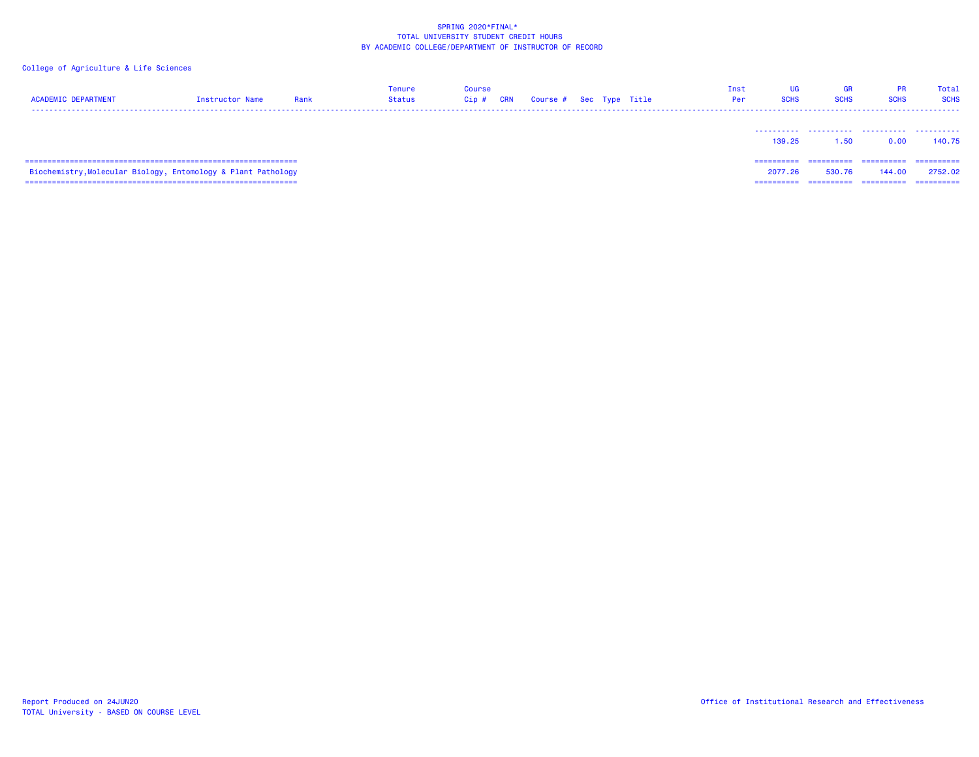| <b>ACADEMIC DEPARTMENT</b>                                    | Instructor Name | Rank | Tenure<br><b>Status</b> | Course<br>$Cip$ # | <b>CRN</b> | Course # Sec Type Title |  | Inst<br>Per | UG<br><b>SCHS</b>                  | <b>GR</b><br><b>SCHS</b> | <b>PR</b><br><b>SCHS</b>           | Total<br><b>SCHS</b>             |
|---------------------------------------------------------------|-----------------|------|-------------------------|-------------------|------------|-------------------------|--|-------------|------------------------------------|--------------------------|------------------------------------|----------------------------------|
|                                                               |                 |      |                         |                   |            |                         |  |             | .<br>139.25                        | 1.50                     | 0.00                               | 140.75                           |
| Biochemistry, Molecular Biology, Entomology & Plant Pathology |                 |      |                         |                   |            |                         |  |             | ==========<br>2077.26<br>========= | ==========<br>530.76     | ==========<br>144.00<br>========== | ------<br>2752.02<br>----------- |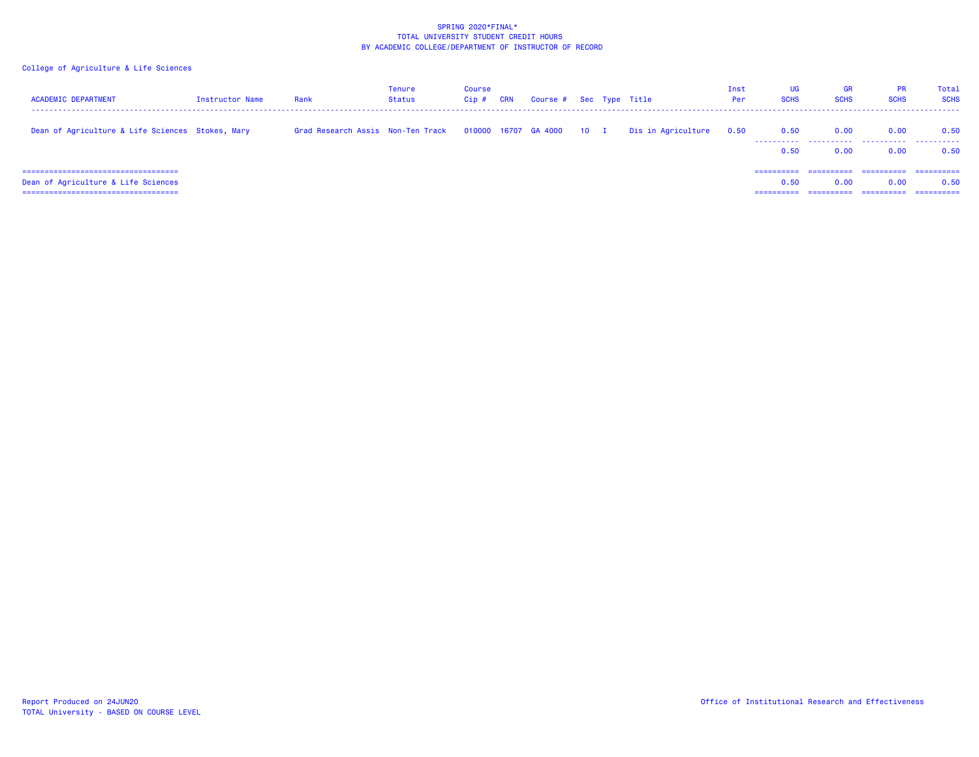| <b>ACADEMIC DEPARTMENT</b>                                                  | Instructor Name | Rank                               | Tenure<br>Status | <b>Course</b><br>$Cip$ # | <b>CRN</b> | Course # Sec Type Title   |  |                    | Inst<br>Per | UG<br><b>SCHS</b>  | <b>GR</b><br><b>SCHS</b> | <b>PR</b><br><b>SCHS</b>          | Total<br><b>SCHS</b>               |
|-----------------------------------------------------------------------------|-----------------|------------------------------------|------------------|--------------------------|------------|---------------------------|--|--------------------|-------------|--------------------|--------------------------|-----------------------------------|------------------------------------|
| Dean of Agriculture & Life Sciences Stokes, Mary                            |                 | Grad Research Assis  Non-Ten Track |                  |                          |            | 010000 16707 GA 4000 10 I |  | Dis in Agriculture | 0.50        | 0.50<br>.<br>0.50  | 0.00<br>0.00             | 0.00<br>0.00                      | 0.50<br>0.50                       |
| ====================================<br>Dean of Agriculture & Life Sciences |                 |                                    |                  |                          |            |                           |  |                    |             | ==========<br>0.50 | ==========<br>0.00       | -----------<br>0.00<br>========== | -----------<br>0.50<br>----------- |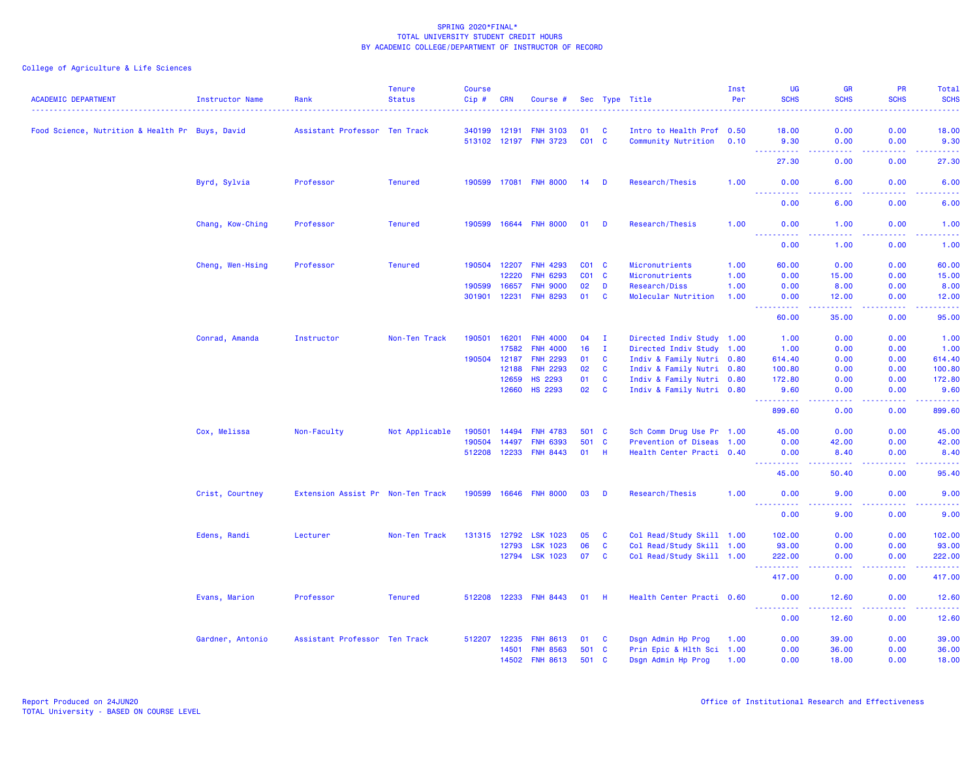| <b>ACADEMIC DEPARTMENT</b>                      | <b>Instructor Name</b> | Rank                              | <b>Tenure</b><br><b>Status</b> | <b>Course</b><br>$Cip$ # | <b>CRN</b> | Course #        |                 |                | Sec Type Title            | Inst<br>Per | <b>UG</b><br><b>SCHS</b>                                                                                                                                     | <b>GR</b><br><b>SCHS</b>                                                                                                                                      | PR<br><b>SCHS</b><br>$\frac{1}{2} \left( \frac{1}{2} \right) \left( \frac{1}{2} \right) \left( \frac{1}{2} \right) \left( \frac{1}{2} \right)$ | <b>Total</b><br><b>SCHS</b><br>$\frac{1}{2} \left( \frac{1}{2} \right) \left( \frac{1}{2} \right) \left( \frac{1}{2} \right) \left( \frac{1}{2} \right)$ |
|-------------------------------------------------|------------------------|-----------------------------------|--------------------------------|--------------------------|------------|-----------------|-----------------|----------------|---------------------------|-------------|--------------------------------------------------------------------------------------------------------------------------------------------------------------|---------------------------------------------------------------------------------------------------------------------------------------------------------------|------------------------------------------------------------------------------------------------------------------------------------------------|----------------------------------------------------------------------------------------------------------------------------------------------------------|
| Food Science, Nutrition & Health Pr Buys, David |                        | Assistant Professor Ten Track     |                                | 340199                   | 12191      | <b>FNH 3103</b> | 01              | C              | Intro to Health Prof 0.50 |             | 18.00                                                                                                                                                        | 0.00                                                                                                                                                          | 0.00                                                                                                                                           | 18.00                                                                                                                                                    |
|                                                 |                        |                                   |                                | 513102 12197             |            | <b>FNH 3723</b> | $CO1$ C         |                | Community Nutrition       | 0.10        | 9.30                                                                                                                                                         | 0.00                                                                                                                                                          | 0.00                                                                                                                                           | 9.30                                                                                                                                                     |
|                                                 |                        |                                   |                                |                          |            |                 |                 |                |                           |             | -----<br>27.30                                                                                                                                               | .<br>0.00                                                                                                                                                     | د د د د<br>0.00                                                                                                                                | $\frac{1}{2} \left( \frac{1}{2} \right) \left( \frac{1}{2} \right) \left( \frac{1}{2} \right) \left( \frac{1}{2} \right)$<br>27.30                       |
|                                                 | Byrd, Sylvia           | Professor                         | <b>Tenured</b>                 | 190599                   | 17081      | <b>FNH 8000</b> | 14              | D              | Research/Thesis           | 1.00        | 0.00                                                                                                                                                         | 6.00                                                                                                                                                          | 0.00                                                                                                                                           | 6.00                                                                                                                                                     |
|                                                 |                        |                                   |                                |                          |            |                 |                 |                |                           |             | 0.00                                                                                                                                                         | 6.00                                                                                                                                                          | 0.00                                                                                                                                           | 6.00                                                                                                                                                     |
|                                                 | Chang, Kow-Ching       | Professor                         | <b>Tenured</b>                 | 190599                   |            | 16644 FNH 8000  | 01              | <b>D</b>       | Research/Thesis           | 1.00        | 0.00                                                                                                                                                         | 1.00                                                                                                                                                          | 0.00                                                                                                                                           | 1.00                                                                                                                                                     |
|                                                 |                        |                                   |                                |                          |            |                 |                 |                |                           |             | <u>.</u><br>0.00                                                                                                                                             | .<br>1.00                                                                                                                                                     | .<br>0.00                                                                                                                                      | د د د د د<br>1.00                                                                                                                                        |
|                                                 | Cheng, Wen-Hsing       | Professor                         | <b>Tenured</b>                 | 190504                   | 12207      | <b>FNH 4293</b> | C01 C           |                | Micronutrients            | 1.00        | 60.00                                                                                                                                                        | 0.00                                                                                                                                                          | 0.00                                                                                                                                           | 60.00                                                                                                                                                    |
|                                                 |                        |                                   |                                |                          | 12220      | <b>FNH 6293</b> | CO <sub>1</sub> | C              | Micronutrients            | 1.00        | 0.00                                                                                                                                                         | 15.00                                                                                                                                                         | 0.00                                                                                                                                           | 15.00                                                                                                                                                    |
|                                                 |                        |                                   |                                | 190599                   | 16657      | <b>FNH 9000</b> | 02              | D              | Research/Diss             | 1.00        | 0.00                                                                                                                                                         | 8.00                                                                                                                                                          | 0.00                                                                                                                                           | 8.00                                                                                                                                                     |
|                                                 |                        |                                   |                                | 301901                   | 12231      | <b>FNH 8293</b> | 01              | $\mathbf{C}$   | Molecular Nutrition       | 1.00        | 0.00<br>$\frac{1}{2} \left( \frac{1}{2} \right) \left( \frac{1}{2} \right) \left( \frac{1}{2} \right) \left( \frac{1}{2} \right) \left( \frac{1}{2} \right)$ | 12.00<br>$-1 - 1 - 1 = 0$                                                                                                                                     | 0.00<br>.                                                                                                                                      | 12.00<br>.                                                                                                                                               |
|                                                 |                        |                                   |                                |                          |            |                 |                 |                |                           |             | 60.00                                                                                                                                                        | 35.00                                                                                                                                                         | 0.00                                                                                                                                           | 95.00                                                                                                                                                    |
|                                                 | Conrad, Amanda         | Instructor                        | Non-Ten Track                  | 190501                   | 16201      | <b>FNH 4000</b> | 04              | $\mathbf{I}$   | Directed Indiv Study 1.00 |             | 1.00                                                                                                                                                         | 0.00                                                                                                                                                          | 0.00                                                                                                                                           | 1.00                                                                                                                                                     |
|                                                 |                        |                                   |                                |                          | 17582      | <b>FNH 4000</b> | 16              | Ι.             | Directed Indiv Study 1.00 |             | 1.00                                                                                                                                                         | 0.00                                                                                                                                                          | 0.00                                                                                                                                           | 1.00                                                                                                                                                     |
|                                                 |                        |                                   |                                | 190504                   | 12187      | <b>FNH 2293</b> | 01              | $\mathbf{C}$   | Indiv & Family Nutri 0.80 |             | 614.40                                                                                                                                                       | 0.00                                                                                                                                                          | 0.00                                                                                                                                           | 614.40                                                                                                                                                   |
|                                                 |                        |                                   |                                |                          | 12188      | <b>FNH 2293</b> | 02              | C              | Indiv & Family Nutri 0.80 |             | 100.80                                                                                                                                                       | 0.00                                                                                                                                                          | 0.00                                                                                                                                           | 100.80                                                                                                                                                   |
|                                                 |                        |                                   |                                |                          | 12659      | <b>HS 2293</b>  | 01              | $\mathbf{C}$   | Indiv & Family Nutri 0.80 |             | 172.80                                                                                                                                                       | 0.00                                                                                                                                                          | 0.00                                                                                                                                           | 172.80                                                                                                                                                   |
|                                                 |                        |                                   |                                |                          | 12660      | <b>HS 2293</b>  | 02              | $\overline{c}$ | Indiv & Family Nutri 0.80 |             | 9.60<br>.                                                                                                                                                    | 0.00<br>د د د د                                                                                                                                               | 0.00<br>.                                                                                                                                      | 9.60<br>.                                                                                                                                                |
|                                                 |                        |                                   |                                |                          |            |                 |                 |                |                           |             | 899.60                                                                                                                                                       | 0.00                                                                                                                                                          | 0.00                                                                                                                                           | 899.60                                                                                                                                                   |
|                                                 | Cox, Melissa           | Non-Faculty                       | Not Applicable                 | 190501                   | 14494      | <b>FNH 4783</b> | 501 C           |                | Sch Comm Drug Use Pr 1.00 |             | 45.00                                                                                                                                                        | 0.00                                                                                                                                                          | 0.00                                                                                                                                           | 45.00                                                                                                                                                    |
|                                                 |                        |                                   |                                | 190504                   | 14497      | <b>FNH 6393</b> | 501 C           |                | Prevention of Diseas 1.00 |             | 0.00                                                                                                                                                         | 42.00                                                                                                                                                         | 0.00                                                                                                                                           | 42.00                                                                                                                                                    |
|                                                 |                        |                                   |                                | 512208                   | 12233      | <b>FNH 8443</b> | $01$ H          |                | Health Center Practi 0.40 |             | 0.00                                                                                                                                                         | 8.40<br>$\frac{1}{2} \left( \frac{1}{2} \right) \left( \frac{1}{2} \right) \left( \frac{1}{2} \right) \left( \frac{1}{2} \right) \left( \frac{1}{2} \right)$  | 0.00<br>.                                                                                                                                      | 8.40<br>.                                                                                                                                                |
|                                                 |                        |                                   |                                |                          |            |                 |                 |                |                           |             | 45.00                                                                                                                                                        | 50.40                                                                                                                                                         | 0.00                                                                                                                                           | 95.40                                                                                                                                                    |
|                                                 | Crist, Courtney        | Extension Assist Pr Non-Ten Track |                                | 190599                   |            | 16646 FNH 8000  | 03              | D              | Research/Thesis           | 1.00        | 0.00<br>----------                                                                                                                                           | 9.00<br>$\frac{1}{2} \left( \frac{1}{2} \right) \left( \frac{1}{2} \right) \left( \frac{1}{2} \right) \left( \frac{1}{2} \right)$                             | 0.00<br>د د د د                                                                                                                                | 9.00<br>.                                                                                                                                                |
|                                                 |                        |                                   |                                |                          |            |                 |                 |                |                           |             | 0.00                                                                                                                                                         | 9.00                                                                                                                                                          | 0.00                                                                                                                                           | 9.00                                                                                                                                                     |
|                                                 | Edens, Randi           | Lecturer                          | Non-Ten Track                  | 131315                   | 12792      | <b>LSK 1023</b> | 05              | C              | Col Read/Study Skill 1.00 |             | 102.00                                                                                                                                                       | 0.00                                                                                                                                                          | 0.00                                                                                                                                           | 102.00                                                                                                                                                   |
|                                                 |                        |                                   |                                |                          | 12793      | <b>LSK 1023</b> | 06              | C              | Col Read/Study Skill 1.00 |             | 93.00                                                                                                                                                        | 0.00                                                                                                                                                          | 0.00                                                                                                                                           | 93.00                                                                                                                                                    |
|                                                 |                        |                                   |                                |                          |            | 12794 LSK 1023  | 07              | C              | Col Read/Study Skill 1.00 |             | 222.00<br><u> - - - - - - - - - -</u>                                                                                                                        | 0.00<br>.                                                                                                                                                     | 0.00<br>.                                                                                                                                      | 222.00<br>$\begin{array}{cccccccccc} \bullet & \bullet & \bullet & \bullet & \bullet & \bullet & \bullet & \bullet \end{array}$                          |
|                                                 |                        |                                   |                                |                          |            |                 |                 |                |                           |             | 417.00                                                                                                                                                       | 0.00                                                                                                                                                          | 0.00                                                                                                                                           | 417.00                                                                                                                                                   |
|                                                 | Evans, Marion          | Professor                         | <b>Tenured</b>                 | 512208                   | 12233      | <b>FNH 8443</b> | 01              | -H             | Health Center Practi 0.60 |             | 0.00<br><b></b>                                                                                                                                              | 12.60<br>$\frac{1}{2} \left( \frac{1}{2} \right) \left( \frac{1}{2} \right) \left( \frac{1}{2} \right) \left( \frac{1}{2} \right) \left( \frac{1}{2} \right)$ | 0.00<br>.                                                                                                                                      | 12.60<br>.                                                                                                                                               |
|                                                 |                        |                                   |                                |                          |            |                 |                 |                |                           |             | 0.00                                                                                                                                                         | 12.60                                                                                                                                                         | 0.00                                                                                                                                           | 12.60                                                                                                                                                    |
|                                                 | Gardner, Antonio       | Assistant Professor Ten Track     |                                | 512207                   | 12235      | <b>FNH 8613</b> | 01              | <b>C</b>       | Dsgn Admin Hp Prog        | 1.00        | 0.00                                                                                                                                                         | 39.00                                                                                                                                                         | 0.00                                                                                                                                           | 39.00                                                                                                                                                    |
|                                                 |                        |                                   |                                |                          | 14501      | <b>FNH 8563</b> | 501             | <b>C</b>       | Prin Epic & Hlth Sci 1.00 |             | 0.00                                                                                                                                                         | 36.00                                                                                                                                                         | 0.00                                                                                                                                           | 36.00                                                                                                                                                    |
|                                                 |                        |                                   |                                |                          | 14502      | <b>FNH 8613</b> | 501             | <b>C</b>       | Dsgn Admin Hp Prog        | 1.00        | 0.00                                                                                                                                                         | 18.00                                                                                                                                                         | 0.00                                                                                                                                           | 18.00                                                                                                                                                    |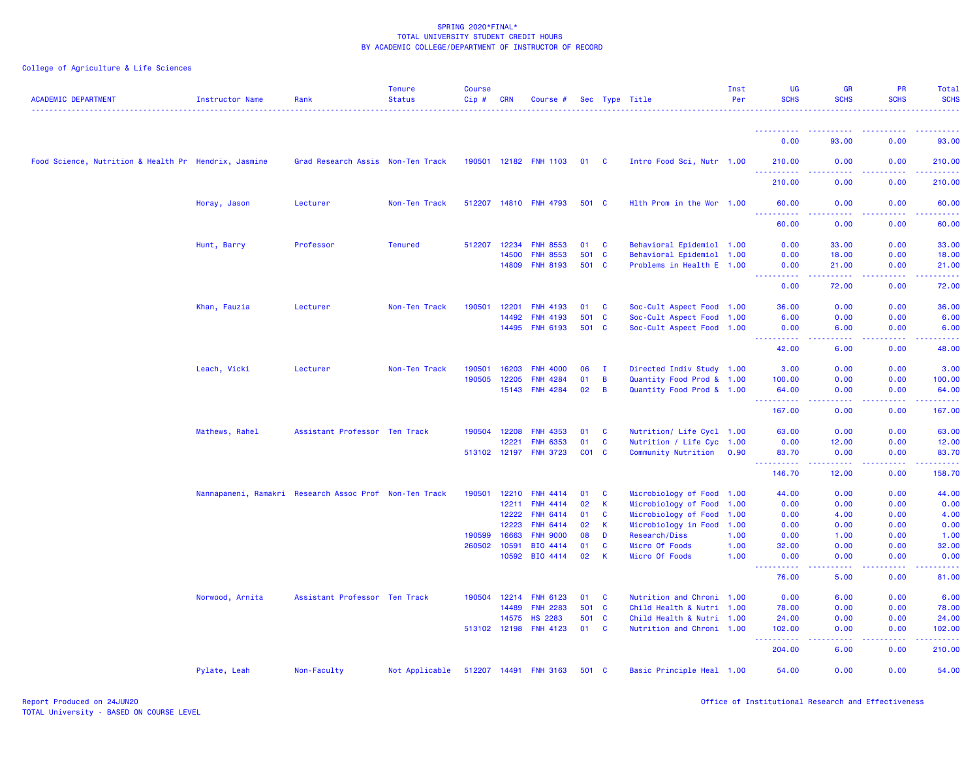| <b>ACADEMIC DEPARTMENT</b>                           | <b>Instructor Name</b> | Rank                                                   | <b>Tenure</b><br><b>Status</b> | <b>Course</b><br>Cip# | <b>CRN</b>     | Course #                    |          |              | Sec Type Title                  | Inst<br>Per  | UG<br><b>SCHS</b>                    | <b>GR</b><br><b>SCHS</b>            | PR<br><b>SCHS</b>                                                                                                                                            | Total<br><b>SCHS</b>                                                                                                           |
|------------------------------------------------------|------------------------|--------------------------------------------------------|--------------------------------|-----------------------|----------------|-----------------------------|----------|--------------|---------------------------------|--------------|--------------------------------------|-------------------------------------|--------------------------------------------------------------------------------------------------------------------------------------------------------------|--------------------------------------------------------------------------------------------------------------------------------|
|                                                      |                        |                                                        |                                |                       |                |                             |          |              |                                 |              | - - - - - - - - - - -                |                                     |                                                                                                                                                              | .                                                                                                                              |
|                                                      |                        |                                                        |                                |                       |                |                             |          |              |                                 |              | 0.00                                 | 93.00                               | 0.00                                                                                                                                                         | 93.00                                                                                                                          |
| Food Science, Nutrition & Health Pr Hendrix, Jasmine |                        | Grad Research Assis Non-Ten Track                      |                                |                       |                | 190501 12182 FNH 1103       | 01 C     |              | Intro Food Sci, Nutr 1.00       |              | 210,00                               | 0.00                                | 0.00                                                                                                                                                         | 210.00                                                                                                                         |
|                                                      |                        |                                                        |                                |                       |                |                             |          |              |                                 |              | 210.00                               | 0.00                                | 0.00                                                                                                                                                         | 210.00                                                                                                                         |
|                                                      | Horay, Jason           | Lecturer                                               | Non-Ten Track                  | 512207                |                | 14810 FNH 4793              | 501 C    |              | Hlth Prom in the Wor 1.00       |              | 60.00<br><u> - - - - - - - - - -</u> | 0.00<br>-----                       | 0.00<br>.                                                                                                                                                    | 60.00<br>.                                                                                                                     |
|                                                      |                        |                                                        |                                |                       |                |                             |          |              |                                 |              | 60.00                                | 0.00                                | 0.00                                                                                                                                                         | 60.00                                                                                                                          |
|                                                      | Hunt, Barry            | Professor                                              | <b>Tenured</b>                 | 512207                | 12234          | <b>FNH 8553</b>             | 01       | <b>C</b>     | Behavioral Epidemiol 1.00       |              | 0.00                                 | 33.00                               | 0.00                                                                                                                                                         | 33,00                                                                                                                          |
|                                                      |                        |                                                        |                                |                       | 14500          | <b>FNH 8553</b>             | 501 C    |              | Behavioral Epidemiol 1.00       |              | 0.00                                 | 18.00                               | 0.00                                                                                                                                                         | 18.00                                                                                                                          |
|                                                      |                        |                                                        |                                |                       | 14809          | <b>FNH 8193</b>             | 501 C    |              | Problems in Health E 1.00       |              | 0.00<br>المالمات                     | 21.00<br>22222                      | 0.00                                                                                                                                                         | 21.00                                                                                                                          |
|                                                      |                        |                                                        |                                |                       |                |                             |          |              |                                 |              | 0.00                                 | 72.00                               | 0.00                                                                                                                                                         | 72.00                                                                                                                          |
|                                                      | Khan, Fauzia           | Lecturer                                               | Non-Ten Track                  | 190501                | 12201          | <b>FNH 4193</b>             | 01       | <b>C</b>     | Soc-Cult Aspect Food 1.00       |              | 36.00                                | 0.00                                | 0.00                                                                                                                                                         | 36.00                                                                                                                          |
|                                                      |                        |                                                        |                                |                       | 14492          | <b>FNH 4193</b>             | 501 C    |              | Soc-Cult Aspect Food 1.00       |              | 6.00                                 | 0.00                                | 0.00                                                                                                                                                         | 6.00                                                                                                                           |
|                                                      |                        |                                                        |                                |                       |                | 14495 FNH 6193              | 501 C    |              | Soc-Cult Aspect Food 1.00       |              | 0.00                                 | 6.00<br>.                           | 0.00                                                                                                                                                         | 6.00                                                                                                                           |
|                                                      |                        |                                                        |                                |                       |                |                             |          |              |                                 |              | 42.00                                | 6.00                                | 0.00                                                                                                                                                         | 48.00                                                                                                                          |
|                                                      | Leach, Vicki           | Lecturer                                               | Non-Ten Track                  | 190501                | 16203          | <b>FNH 4000</b>             | 06       | <b>I</b>     | Directed Indiv Study 1.00       |              | 3.00                                 | 0.00                                | 0.00                                                                                                                                                         | 3.00                                                                                                                           |
|                                                      |                        |                                                        |                                | 190505                | 12205          | <b>FNH 4284</b>             | 01       | B            | Quantity Food Prod & 1.00       |              | 100.00                               | 0.00                                | 0.00                                                                                                                                                         | 100.00                                                                                                                         |
|                                                      |                        |                                                        |                                |                       | 15143          | <b>FNH 4284</b>             | 02       | B            | Quantity Food Prod & 1.00       |              | 64.00<br>.                           | 0.00<br>المتمالين                   | 0.00<br><b><i><u><u> - - - - -</u></u></i></b>                                                                                                               | 64.00<br>$\begin{array}{cccccccccc} \bullet & \bullet & \bullet & \bullet & \bullet & \bullet & \bullet & \bullet \end{array}$ |
|                                                      |                        |                                                        |                                |                       |                |                             |          |              |                                 |              | 167.00                               | 0.00                                | 0.00                                                                                                                                                         | 167.00                                                                                                                         |
|                                                      | Mathews, Rahel         | Assistant Professor Ten Track                          |                                | 190504                | 12208          | <b>FNH 4353</b>             | 01       | <b>C</b>     | Nutrition/ Life Cycl 1.00       |              | 63.00                                | 0.00                                | 0.00                                                                                                                                                         | 63.00                                                                                                                          |
|                                                      |                        |                                                        |                                |                       | 12221          | <b>FNH 6353</b>             | 01       | $\mathbf{C}$ | Nutrition / Life Cyc 1.00       |              | 0.00                                 | 12.00                               | 0.00                                                                                                                                                         | 12.00                                                                                                                          |
|                                                      |                        |                                                        |                                |                       |                | 513102 12197 FNH 3723       | CO1 C    |              | Community Nutrition 0.90        |              | 83.70<br>.<br>444                    | 0.00<br>22222                       | 0.00<br>$\frac{1}{2} \left( \frac{1}{2} \right) \left( \frac{1}{2} \right) \left( \frac{1}{2} \right) \left( \frac{1}{2} \right) \left( \frac{1}{2} \right)$ | 83.70<br>.                                                                                                                     |
|                                                      |                        |                                                        |                                |                       |                |                             |          |              |                                 |              | 146.70                               | 12.00                               | 0.00                                                                                                                                                         | 158.70                                                                                                                         |
|                                                      |                        | Nannapaneni, Ramakri Research Assoc Prof Non-Ten Track |                                | 190501                | 12210          | <b>FNH 4414</b>             | 01       | $\mathbf{C}$ | Microbiology of Food 1.00       |              | 44.00                                | 0.00                                | 0.00                                                                                                                                                         | 44.00                                                                                                                          |
|                                                      |                        |                                                        |                                |                       | 12211          | <b>FNH 4414</b>             | 02       | K            | Microbiology of Food 1.00       |              | 0.00                                 | 0.00                                | 0.00                                                                                                                                                         | 0.00                                                                                                                           |
|                                                      |                        |                                                        |                                |                       | 12222          | <b>FNH 6414</b>             | 01       | C            | Microbiology of Food 1.00       |              | 0.00                                 | 4.00                                | 0.00                                                                                                                                                         | 4.00                                                                                                                           |
|                                                      |                        |                                                        |                                |                       | 12223          | <b>FNH 6414</b>             | 02       | K.           | Microbiology in Food 1.00       |              | 0.00                                 | 0.00                                | 0.00                                                                                                                                                         | 0.00                                                                                                                           |
|                                                      |                        |                                                        |                                | 190599<br>260502      | 16663<br>10591 | <b>FNH 9000</b><br>BIO 4414 | 08<br>01 | D<br>C       | Research/Diss<br>Micro Of Foods | 1.00         | 0.00<br>32.00                        | 1.00<br>0.00                        | 0.00<br>0.00                                                                                                                                                 | 1.00<br>32.00                                                                                                                  |
|                                                      |                        |                                                        |                                |                       | 10592          | BIO 4414                    | 02       | K            | Micro Of Foods                  | 1.00<br>1.00 | 0.00                                 | 0.00                                | 0.00                                                                                                                                                         | 0.00                                                                                                                           |
|                                                      |                        |                                                        |                                |                       |                |                             |          |              |                                 |              | .<br>76.00                           | $\sim$ $\sim$ $\sim$ $\sim$<br>5.00 | .<br>0.00                                                                                                                                                    | الداعات الما<br>81.00                                                                                                          |
|                                                      | Norwood, Arnita        | Assistant Professor Ten Track                          |                                | 190504                | 12214          | <b>FNH 6123</b>             | 01       | $\mathbf{C}$ | Nutrition and Chroni 1.00       |              | 0.00                                 | 6.00                                | 0.00                                                                                                                                                         | 6.00                                                                                                                           |
|                                                      |                        |                                                        |                                |                       | 14489          | <b>FNH 2283</b>             | 501 C    |              | Child Health & Nutri 1.00       |              | 78.00                                | 0.00                                | 0.00                                                                                                                                                         | 78.00                                                                                                                          |
|                                                      |                        |                                                        |                                |                       | 14575          | <b>HS 2283</b>              | 501 C    |              | Child Health & Nutri 1.00       |              | 24.00                                | 0.00                                | 0.00                                                                                                                                                         | 24.00                                                                                                                          |
|                                                      |                        |                                                        |                                | 513102 12198          |                | <b>FNH 4123</b>             | 01       | $\mathbf{C}$ | Nutrition and Chroni 1.00       |              | 102.00<br>.                          | 0.00<br>.                           | 0.00<br><b><i><u><u>.</u></u></i></b>                                                                                                                        | 102.00<br>.                                                                                                                    |
|                                                      |                        |                                                        |                                |                       |                |                             |          |              |                                 |              | 204.00                               | 6.00                                | 0.00                                                                                                                                                         | 210.00                                                                                                                         |
|                                                      | Pylate, Leah           | Non-Faculty                                            | Not Applicable                 |                       |                | 512207 14491 FNH 3163       | 501 C    |              | Basic Principle Heal 1.00       |              | 54.00                                | 0.00                                | 0.00                                                                                                                                                         | 54.00                                                                                                                          |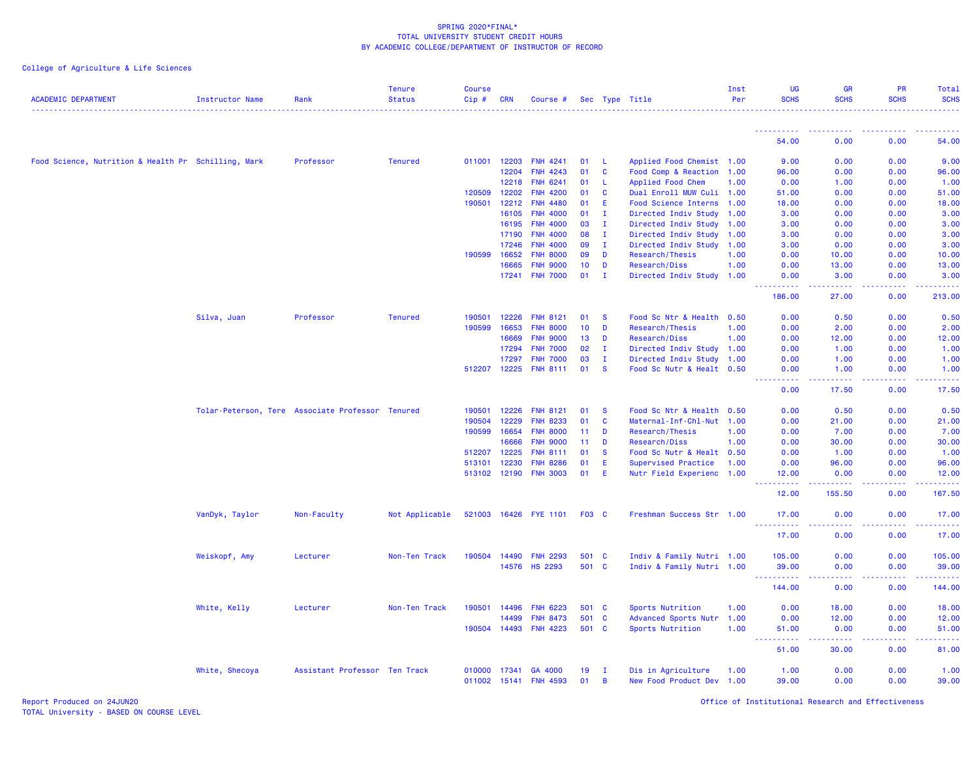# College of Agriculture & Life Sciences

| <b>ACADEMIC DEPARTMENT</b>                          | <b>Instructor Name</b>                           | Rank                          | <b>Tenure</b><br><b>Status</b> | <b>Course</b><br>Cip# | <b>CRN</b> | Course #              |                 |              | Sec Type Title              | Inst<br>Per | <b>UG</b><br><b>SCHS</b>                                                                                                          | <b>GR</b><br><b>SCHS</b> | PR<br><b>SCHS</b> | Total<br><b>SCHS</b> |
|-----------------------------------------------------|--------------------------------------------------|-------------------------------|--------------------------------|-----------------------|------------|-----------------------|-----------------|--------------|-----------------------------|-------------|-----------------------------------------------------------------------------------------------------------------------------------|--------------------------|-------------------|----------------------|
|                                                     |                                                  |                               |                                |                       |            |                       |                 |              |                             |             |                                                                                                                                   |                          |                   |                      |
|                                                     |                                                  |                               |                                |                       |            |                       |                 |              |                             |             | 54.00                                                                                                                             | 0.00                     | 0.00              | 54.00                |
| Food Science, Nutrition & Health Pr Schilling, Mark |                                                  | Professor                     | <b>Tenured</b>                 | 011001 12203          |            | <b>FNH 4241</b>       | 01              | -L.          | Applied Food Chemist 1.00   |             | 9.00                                                                                                                              | 0.00                     | 0.00              | 9.00                 |
|                                                     |                                                  |                               |                                |                       | 12204      | <b>FNH 4243</b>       | 01              | $\mathbf{C}$ | Food Comp & Reaction        | 1.00        | 96.00                                                                                                                             | 0.00                     | 0.00              | 96.00                |
|                                                     |                                                  |                               |                                |                       | 12218      | <b>FNH 6241</b>       | 01              | -L           | <b>Applied Food Chem</b>    | 1.00        | 0.00                                                                                                                              | 1.00                     | 0.00              | 1.00                 |
|                                                     |                                                  |                               |                                | 120509                | 12202      | <b>FNH 4200</b>       | 01              | $\mathbf{C}$ | Dual Enroll MUW Culi 1.00   |             | 51.00                                                                                                                             | 0.00                     | 0.00              | 51.00                |
|                                                     |                                                  |                               |                                | 190501                | 12212      | <b>FNH 4480</b>       | 01              | E            | <b>Food Science Interns</b> | 1.00        | 18.00                                                                                                                             | 0.00                     | 0.00              | 18.00                |
|                                                     |                                                  |                               |                                |                       | 16105      | <b>FNH 4000</b>       | 01              | $\mathbf{I}$ | Directed Indiv Study        | 1.00        | 3.00                                                                                                                              | 0.00                     | 0.00              | 3.00                 |
|                                                     |                                                  |                               |                                |                       | 16195      | <b>FNH 4000</b>       | 03              | $\mathbf{I}$ | Directed Indiv Study 1.00   |             | 3.00                                                                                                                              | 0.00                     | 0.00              | 3.00                 |
|                                                     |                                                  |                               |                                |                       | 17190      | <b>FNH 4000</b>       | 08              | Ι.           | Directed Indiv Study 1.00   |             | 3.00                                                                                                                              | 0.00                     | 0.00              | 3.00                 |
|                                                     |                                                  |                               |                                |                       | 17246      | <b>FNH 4000</b>       | 09              | $\mathbf{I}$ | Directed Indiv Study 1.00   |             | 3.00                                                                                                                              | 0.00                     | 0.00              | 3.00                 |
|                                                     |                                                  |                               |                                | 190599                | 16652      | <b>FNH 8000</b>       | 09              | D            | Research/Thesis             | 1.00        | 0.00                                                                                                                              | 10.00                    | 0.00              | 10.00                |
|                                                     |                                                  |                               |                                |                       | 16665      | <b>FNH 9000</b>       | 10 <sub>1</sub> | D            | <b>Research/Diss</b>        | 1.00        | 0.00                                                                                                                              | 13.00                    | 0.00              | 13.00                |
|                                                     |                                                  |                               |                                |                       | 17241      | <b>FNH 7000</b>       | 01              | п.           | Directed Indiv Study 1.00   |             | 0.00<br>بالأباب                                                                                                                   | 3.00<br>.                | 0.00              | 3.00                 |
|                                                     |                                                  |                               |                                |                       |            |                       |                 |              |                             |             | 186.00                                                                                                                            | 27.00                    | 0.00              | 213.00               |
|                                                     | Silva, Juan                                      | Professor                     | <b>Tenured</b>                 | 190501                | 12226      | <b>FNH 8121</b>       | 01              | <b>S</b>     | Food Sc Ntr & Health 0.50   |             | 0.00                                                                                                                              | 0.50                     | 0.00              | 0.50                 |
|                                                     |                                                  |                               |                                | 190599                | 16653      | <b>FNH 8000</b>       | 10 <sub>1</sub> | D            | Research/Thesis             | 1.00        | 0.00                                                                                                                              | 2.00                     | 0.00              | 2.00                 |
|                                                     |                                                  |                               |                                |                       | 16669      | <b>FNH 9000</b>       | 13 <sup>°</sup> | D            | Research/Diss               | 1.00        | 0.00                                                                                                                              | 12.00                    | 0.00              | 12.00                |
|                                                     |                                                  |                               |                                |                       | 17294      | <b>FNH 7000</b>       | 02              | Ι.           | Directed Indiv Study 1.00   |             | 0.00                                                                                                                              | 1.00                     | 0.00              | 1.00                 |
|                                                     |                                                  |                               |                                |                       | 17297      | <b>FNH 7000</b>       | 03              | I.           | Directed Indiv Study 1.00   |             | 0.00                                                                                                                              | 1.00                     | 0.00              | 1.00                 |
|                                                     |                                                  |                               |                                | 512207 12225          |            | <b>FNH 8111</b>       | 01              | <b>S</b>     | Food Sc Nutr & Healt 0.50   |             | 0.00                                                                                                                              | 1.00                     | 0.00              | 1.00                 |
|                                                     |                                                  |                               |                                |                       |            |                       |                 |              |                             |             | $\frac{1}{2} \left( \frac{1}{2} \right) \left( \frac{1}{2} \right) \left( \frac{1}{2} \right) \left( \frac{1}{2} \right)$<br>0.00 | .<br>17.50               | .<br>0.00         | .<br>17.50           |
|                                                     | Tolar-Peterson, Tere Associate Professor Tenured |                               |                                | 190501                | 12226      | <b>FNH 8121</b>       | 01              | <b>S</b>     | Food Sc Ntr & Health 0.50   |             | 0.00                                                                                                                              | 0.50                     | 0.00              | 0.50                 |
|                                                     |                                                  |                               |                                | 190504                | 12229      | <b>FNH 8233</b>       | 01              | C            | Maternal-Inf-Chl-Nut 1.00   |             | 0.00                                                                                                                              | 21.00                    | 0.00              | 21.00                |
|                                                     |                                                  |                               |                                | 190599                | 16654      | <b>FNH 8000</b>       | 11              | D            | Research/Thesis             | 1.00        | 0.00                                                                                                                              | 7.00                     | 0.00              | 7.00                 |
|                                                     |                                                  |                               |                                |                       | 16666      | <b>FNH 9000</b>       | 11              | D            | <b>Research/Diss</b>        | 1.00        | 0.00                                                                                                                              | 30.00                    | 0.00              | 30.00                |
|                                                     |                                                  |                               |                                | 512207 12225          |            | <b>FNH 8111</b>       | 01              | <b>S</b>     | Food Sc Nutr & Healt 0.50   |             | 0.00                                                                                                                              | 1.00                     | 0.00              | 1.00                 |
|                                                     |                                                  |                               |                                | 513101 12230          |            | <b>FNH 8286</b>       | 01              | Ε            | <b>Supervised Practice</b>  | 1.00        | 0.00                                                                                                                              | 96.00                    | 0.00              | 96.00                |
|                                                     |                                                  |                               |                                | 513102 12190          |            | <b>FNH 3003</b>       | 01              | E            | Nutr Field Experienc 1.00   |             | 12.00                                                                                                                             | 0.00                     | 0.00              | 12.00                |
|                                                     |                                                  |                               |                                |                       |            |                       |                 |              |                             |             | <u>.</u><br>12.00                                                                                                                 | 155.50                   | 0.00              | .<br>167.50          |
|                                                     | VanDyk, Taylor                                   | Non-Faculty                   | Not Applicable                 |                       |            | 521003 16426 FYE 1101 | F03 C           |              | Freshman Success Str 1.00   |             | 17.00                                                                                                                             | 0.00                     | 0.00              | 17.00                |
|                                                     |                                                  |                               |                                |                       |            |                       |                 |              |                             |             | .<br>17.00                                                                                                                        | .<br>0.00                | .<br>0.00         | 17.00                |
|                                                     | Weiskopf, Amy                                    | Lecturer                      | Non-Ten Track                  | 190504 14490          |            | <b>FNH 2293</b>       | 501 C           |              | Indiv & Family Nutri 1.00   |             | 105.00                                                                                                                            | 0.00                     | 0.00              | 105.00               |
|                                                     |                                                  |                               |                                |                       | 14576      | <b>HS 2293</b>        | 501 C           |              | Indiv & Family Nutri 1.00   |             | 39.00                                                                                                                             | 0.00                     | 0.00              | 39.00                |
|                                                     |                                                  |                               |                                |                       |            |                       |                 |              |                             |             | .<br>144.00                                                                                                                       | $\sim 100$<br>0.00       | 0.00              | 144.00               |
|                                                     | White, Kelly                                     | Lecturer                      | Non-Ten Track                  | 190501                | 14496      | <b>FNH 6223</b>       | 501 C           |              | Sports Nutrition            | 1.00        | 0.00                                                                                                                              | 18.00                    | 0.00              | 18.00                |
|                                                     |                                                  |                               |                                |                       | 14499      | <b>FNH 8473</b>       | 501 C           |              | Advanced Sports Nutr 1.00   |             | 0.00                                                                                                                              | 12.00                    | 0.00              | 12.00                |
|                                                     |                                                  |                               |                                | 190504 14493          |            | <b>FNH 4223</b>       | 501 C           |              | Sports Nutrition            | 1.00        | 51.00                                                                                                                             | 0.00                     | 0.00              | 51.00                |
|                                                     |                                                  |                               |                                |                       |            |                       |                 |              |                             |             | .<br>51.00                                                                                                                        | .<br>30.00               | .<br>0.00         | .<br>81.00           |
|                                                     | White, Shecoya                                   | Assistant Professor Ten Track |                                | 010000 17341          |            | GA 4000               | 19              | I.           | Dis in Agriculture          | 1.00        | 1.00                                                                                                                              | 0.00                     | 0.00              | 1.00                 |
|                                                     |                                                  |                               |                                | 011002 15141          |            | <b>FNH 4593</b>       | 01              | B            | New Food Product Dev 1.00   |             | 39.00                                                                                                                             | 0.00                     | 0.00              | 39.00                |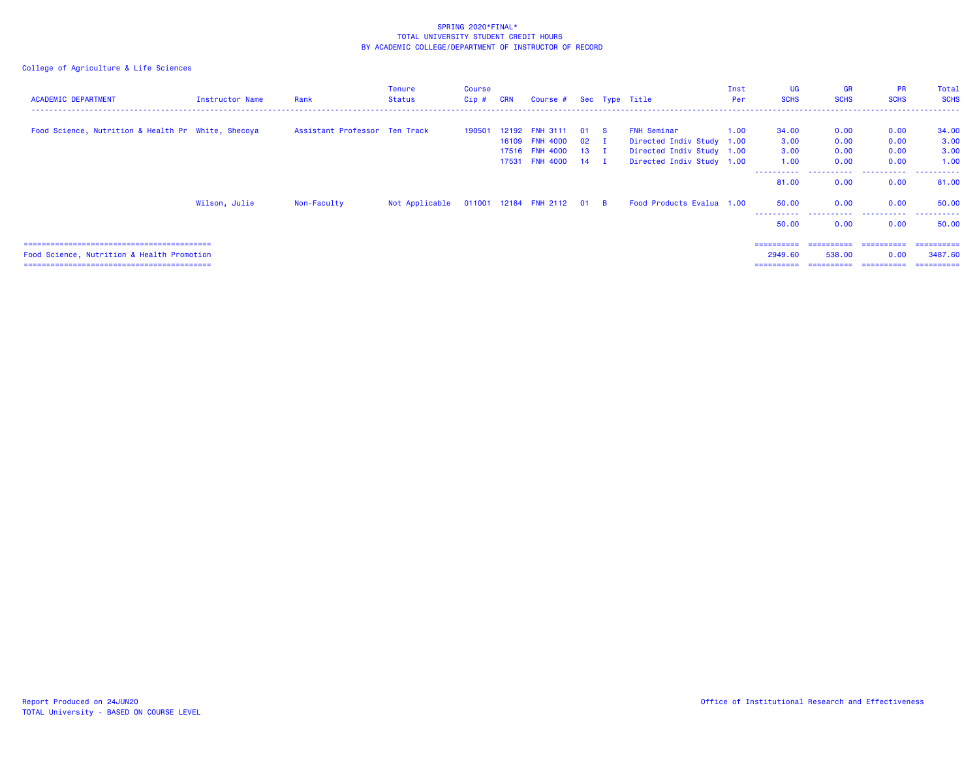| <b>ACADEMIC DEPARTMENT</b>                         | Instructor Name | Rank                          | Tenure<br><b>Status</b>                   | Course<br>Cip # | <b>CRN</b> | Course # Sec Type Title           |                      |                                                 | Inst<br>Per | <b>UG</b><br><b>SCHS</b> | <b>GR</b><br><b>SCHS</b> | <b>PR</b><br><b>SCHS</b> | Total<br><b>SCHS</b> |
|----------------------------------------------------|-----------------|-------------------------------|-------------------------------------------|-----------------|------------|-----------------------------------|----------------------|-------------------------------------------------|-------------|--------------------------|--------------------------|--------------------------|----------------------|
| Food Science, Nutrition & Health Pr White, Shecoya |                 | Assistant Professor Ten Track |                                           | 190501          | 12192      | <b>FNH 3111</b><br>16109 FNH 4000 | 01 S<br>$02 \quad I$ | <b>FNH Seminar</b><br>Directed Indiv Study 1.00 | 1.00        | 34.00<br>3.00            | 0.00<br>0.00             | 0.00<br>0.00             | 34.00<br>3.00        |
|                                                    |                 |                               |                                           |                 |            | 17516 FNH 4000                    | $13 \quad I$         | Directed Indiv Study 1.00                       |             | 3.00                     | 0.00                     | 0.00                     | 3.00                 |
|                                                    |                 |                               |                                           |                 |            | 17531 FNH 4000 14 I               |                      | Directed Indiv Study 1.00                       |             | 1.00<br>----------       | 0.00<br>.                | 0.00<br>.                | 1.00<br>.            |
|                                                    |                 |                               |                                           |                 |            |                                   |                      |                                                 |             | 81.00                    | 0.00                     | 0.00                     | 81.00                |
|                                                    | Wilson, Julie   | Non-Faculty                   | Not Applicable 011001 12184 FNH 2112 01 B |                 |            |                                   |                      | Food Products Evalua 1.00                       |             | 50.00<br>.               | 0.00<br>.                | 0.00<br>.                | 50.00<br>.           |
|                                                    |                 |                               |                                           |                 |            |                                   |                      |                                                 |             | 50.00                    | 0.00                     | 0.00                     | 50.00                |
|                                                    |                 |                               |                                           |                 |            |                                   |                      |                                                 |             | ==========               | ==========               | -----------              | ==========           |
| Food Science, Nutrition & Health Promotion         |                 |                               |                                           |                 |            |                                   |                      |                                                 |             | 2949.60                  | 538.00                   | 0.00                     | 3487.60              |
|                                                    |                 |                               |                                           |                 |            |                                   |                      |                                                 |             | ==========               | ==========               | -----------              | -----------          |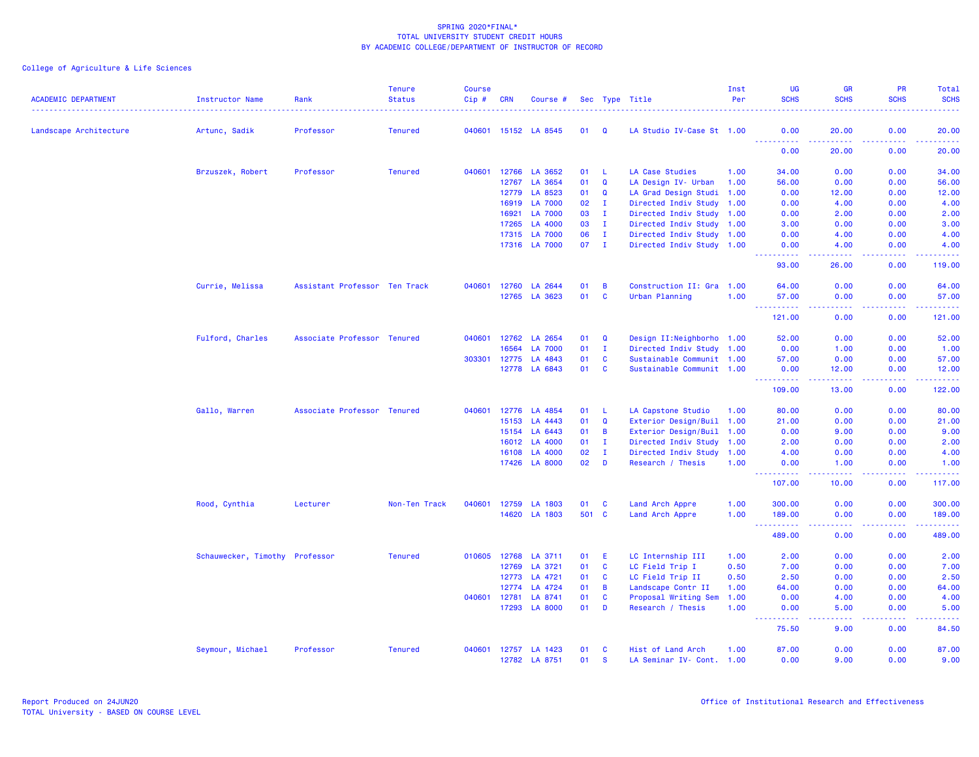| <b>ACADEMIC DEPARTMENT</b> | <b>Instructor Name</b>         | Rank                          | <b>Tenure</b><br><b>Status</b> | <b>Course</b><br>Cip# | <b>CRN</b> | Course #             |       |              | Sec Type Title            | Inst<br>Per | UG<br><b>SCHS</b>                                                                                                                                            | <b>GR</b><br><b>SCHS</b>                                                                                                           | PR<br><b>SCHS</b>                   | Total<br><b>SCHS</b><br>. |
|----------------------------|--------------------------------|-------------------------------|--------------------------------|-----------------------|------------|----------------------|-------|--------------|---------------------------|-------------|--------------------------------------------------------------------------------------------------------------------------------------------------------------|------------------------------------------------------------------------------------------------------------------------------------|-------------------------------------|---------------------------|
| Landscape Architecture     | Artunc, Sadik                  | Professor                     | <b>Tenured</b>                 |                       |            | 040601 15152 LA 8545 | 01    | Q            | LA Studio IV-Case St 1.00 |             | 0.00                                                                                                                                                         | 20.00                                                                                                                              | 0.00                                | 20.00                     |
|                            |                                |                               |                                |                       |            |                      |       |              |                           |             | <u>.</u><br>0.00                                                                                                                                             | $\frac{1}{2} \left( \frac{1}{2} \right) \left( \frac{1}{2} \right) \left( \frac{1}{2} \right) \left( \frac{1}{2} \right)$<br>20.00 | .<br>0.00                           | .<br>20.00                |
|                            | Brzuszek, Robert               | Professor                     | <b>Tenured</b>                 | 040601                |            | 12766 LA 3652        | 01    | -L           | LA Case Studies           | 1.00        | 34.00                                                                                                                                                        | 0.00                                                                                                                               | 0.00                                | 34.00                     |
|                            |                                |                               |                                |                       | 12767      | LA 3654              | 01    | $\Omega$     | LA Design IV- Urban       | 1.00        | 56.00                                                                                                                                                        | 0.00                                                                                                                               | 0.00                                | 56.00                     |
|                            |                                |                               |                                |                       | 12779      | LA 8523              | 01    | $\Omega$     | LA Grad Design Studi      | 1.00        | 0.00                                                                                                                                                         | 12.00                                                                                                                              | 0.00                                | 12.00                     |
|                            |                                |                               |                                |                       | 16919      | <b>LA 7000</b>       | 02    | $\mathbf{I}$ | Directed Indiv Study 1.00 |             | 0.00                                                                                                                                                         | 4.00                                                                                                                               | 0.00                                | 4.00                      |
|                            |                                |                               |                                |                       | 16921      | <b>LA 7000</b>       | 03    | $\mathbf I$  | Directed Indiv Study      | 1.00        | 0.00                                                                                                                                                         | 2.00                                                                                                                               | 0.00                                | 2.00                      |
|                            |                                |                               |                                |                       | 17265      | LA 4000              | 03    | $\mathbf I$  | Directed Indiv Study      | 1.00        | 3.00                                                                                                                                                         | 0.00                                                                                                                               | 0.00                                | 3.00                      |
|                            |                                |                               |                                |                       | 17315      | <b>LA 7000</b>       | 06    | $\mathbf I$  | Directed Indiv Study 1.00 |             | 0.00                                                                                                                                                         | 4.00                                                                                                                               | 0.00                                | 4.00                      |
|                            |                                |                               |                                |                       |            | 17316 LA 7000        | 07    | $\mathbf{I}$ | Directed Indiv Study 1.00 |             | 0.00<br>بالأبالات                                                                                                                                            | 4.00<br>بالأباد                                                                                                                    | 0.00<br>$\sim$ $\sim$ $\sim$ $\sim$ | 4.00<br>بالأبالات         |
|                            |                                |                               |                                |                       |            |                      |       |              |                           |             | 93.00                                                                                                                                                        | 26.00                                                                                                                              | 0.00                                | 119.00                    |
|                            | Currie, Melissa                | Assistant Professor Ten Track |                                | 040601                | 12760      | LA 2644              | 01    | B            | Construction II: Gra 1.00 |             | 64.00                                                                                                                                                        | 0.00                                                                                                                               | 0.00                                | 64.00                     |
|                            |                                |                               |                                |                       |            | 12765 LA 3623        | 01    | C            | Urban Planning            | 1.00        | 57.00                                                                                                                                                        | 0.00                                                                                                                               | 0.00                                | 57.00                     |
|                            |                                |                               |                                |                       |            |                      |       |              |                           |             | .<br>$\frac{1}{2} \left( \frac{1}{2} \right) \frac{1}{2} \left( \frac{1}{2} \right)$                                                                         | .                                                                                                                                  | .                                   | .                         |
|                            |                                |                               |                                |                       |            |                      |       |              |                           |             | 121.00                                                                                                                                                       | 0.00                                                                                                                               | 0.00                                | 121.00                    |
|                            | Fulford, Charles               | Associate Professor Tenured   |                                | 040601                | 12762      | LA 2654              | 01    | Q            | Design II:Neighborho 1.00 |             | 52.00                                                                                                                                                        | 0.00                                                                                                                               | 0.00                                | 52.00                     |
|                            |                                |                               |                                |                       | 16564      | LA 7000              | 01    | $\mathbf I$  | Directed Indiv Study 1.00 |             | 0.00                                                                                                                                                         | 1.00                                                                                                                               | 0.00                                | 1.00                      |
|                            |                                |                               |                                | 303301                | 12775      | LA 4843              | 01    | $\mathbf c$  | Sustainable Communit 1.00 |             | 57.00                                                                                                                                                        | 0.00                                                                                                                               | 0.00                                | 57.00                     |
|                            |                                |                               |                                |                       | 12778      | LA 6843              | 01    | $\mathbf{C}$ | Sustainable Communit 1.00 |             | 0.00                                                                                                                                                         | 12.00                                                                                                                              | 0.00                                | 12.00                     |
|                            |                                |                               |                                |                       |            |                      |       |              |                           |             | د د د د د<br>109.00                                                                                                                                          | 13.00                                                                                                                              | 0.00                                | وساعات<br>122.00          |
|                            | Gallo, Warren                  | Associate Professor Tenured   |                                | 040601                | 12776      | LA 4854              | 01    | -L           | LA Capstone Studio        | 1.00        | 80.00                                                                                                                                                        | 0.00                                                                                                                               | 0.00                                | 80.00                     |
|                            |                                |                               |                                |                       | 15153      | LA 4443              | 01    | $\Omega$     | Exterior Design/Buil 1.00 |             | 21.00                                                                                                                                                        | 0.00                                                                                                                               | 0.00                                | 21.00                     |
|                            |                                |                               |                                |                       | 15154      | LA 6443              | 01    | B            | Exterior Design/Buil      | 1.00        | 0.00                                                                                                                                                         | 9.00                                                                                                                               | 0.00                                | 9.00                      |
|                            |                                |                               |                                |                       | 16012      | <b>LA 4000</b>       | 01    | $\mathbf I$  | Directed Indiv Study      | 1.00        | 2.00                                                                                                                                                         | 0.00                                                                                                                               | 0.00                                | 2.00                      |
|                            |                                |                               |                                |                       | 16108      | LA 4000              | 02    | $\mathbf{I}$ | Directed Indiv Study      | 1.00        | 4.00                                                                                                                                                         | 0.00                                                                                                                               | 0.00                                | 4.00                      |
|                            |                                |                               |                                |                       | 17426      | <b>LA 8000</b>       | 02    | D            | Research / Thesis         | 1.00        | 0.00<br>$\begin{array}{cccccccccc} \bullet & \bullet & \bullet & \bullet & \bullet & \bullet & \bullet & \bullet \end{array}$                                | 1.00                                                                                                                               | 0.00<br>$\sim$ $\sim$ $\sim$ $\sim$ | 1.00<br>.                 |
|                            |                                |                               |                                |                       |            |                      |       |              |                           |             | 107.00                                                                                                                                                       | 10.00                                                                                                                              | 0.00                                | 117.00                    |
|                            | Rood, Cynthia                  | Lecturer                      | Non-Ten Track                  | 040601                | 12759      | LA 1803              | 01    | C            | Land Arch Appre           | 1.00        | 300.00                                                                                                                                                       | 0.00                                                                                                                               | 0.00                                | 300.00                    |
|                            |                                |                               |                                |                       |            | 14620 LA 1803        | 501 C |              | Land Arch Appre           | 1.00        | 189.00<br>----------                                                                                                                                         | 0.00<br>.                                                                                                                          | 0.00<br>-----                       | 189.00<br>.               |
|                            |                                |                               |                                |                       |            |                      |       |              |                           |             | 489.00                                                                                                                                                       | 0.00                                                                                                                               | 0.00                                | 489.00                    |
|                            | Schauwecker, Timothy Professor |                               | <b>Tenured</b>                 | 010605                | 12768      | LA 3711              | 01    | E            | LC Internship III         | 1.00        | 2.00                                                                                                                                                         | 0.00                                                                                                                               | 0.00                                | 2.00                      |
|                            |                                |                               |                                |                       | 12769      | LA 3721              | 01    | C            | LC Field Trip I           | 0.50        | 7.00                                                                                                                                                         | 0.00                                                                                                                               | 0.00                                | 7.00                      |
|                            |                                |                               |                                |                       | 12773      | LA 4721              | 01    | C            | LC Field Trip II          | 0.50        | 2.50                                                                                                                                                         | 0.00                                                                                                                               | 0.00                                | 2.50                      |
|                            |                                |                               |                                |                       | 12774      | LA 4724              | 01    | B            | Landscape Contr II        | 1.00        | 64.00                                                                                                                                                        | 0.00                                                                                                                               | 0.00                                | 64.00                     |
|                            |                                |                               |                                | 040601                | 12781      | LA 8741              | 01    | C            | Proposal Writing Sem      | 1.00        | 0.00                                                                                                                                                         | 4.00                                                                                                                               | 0.00                                | 4.00                      |
|                            |                                |                               |                                |                       |            | 17293 LA 8000        | 01    | D            | Research / Thesis         | 1.00        | 0.00<br>$\frac{1}{2} \left( \frac{1}{2} \right) \left( \frac{1}{2} \right) \left( \frac{1}{2} \right) \left( \frac{1}{2} \right) \left( \frac{1}{2} \right)$ | 5.00<br>د د د د                                                                                                                    | 0.00<br>.                           | 5.00<br>وعاماما           |
|                            |                                |                               |                                |                       |            |                      |       |              |                           |             | 75.50                                                                                                                                                        | 9.00                                                                                                                               | 0.00                                | 84.50                     |
|                            | Seymour, Michael               | Professor                     | <b>Tenured</b>                 | 040601                | 12757      | LA 1423              | 01    | C            | Hist of Land Arch         | 1.00        | 87.00                                                                                                                                                        | 0.00                                                                                                                               | 0.00                                | 87.00                     |
|                            |                                |                               |                                |                       |            | 12782 LA 8751        | 01    | <b>S</b>     | LA Seminar IV- Cont. 1.00 |             | 0.00                                                                                                                                                         | 9.00                                                                                                                               | 0.00                                | 9.00                      |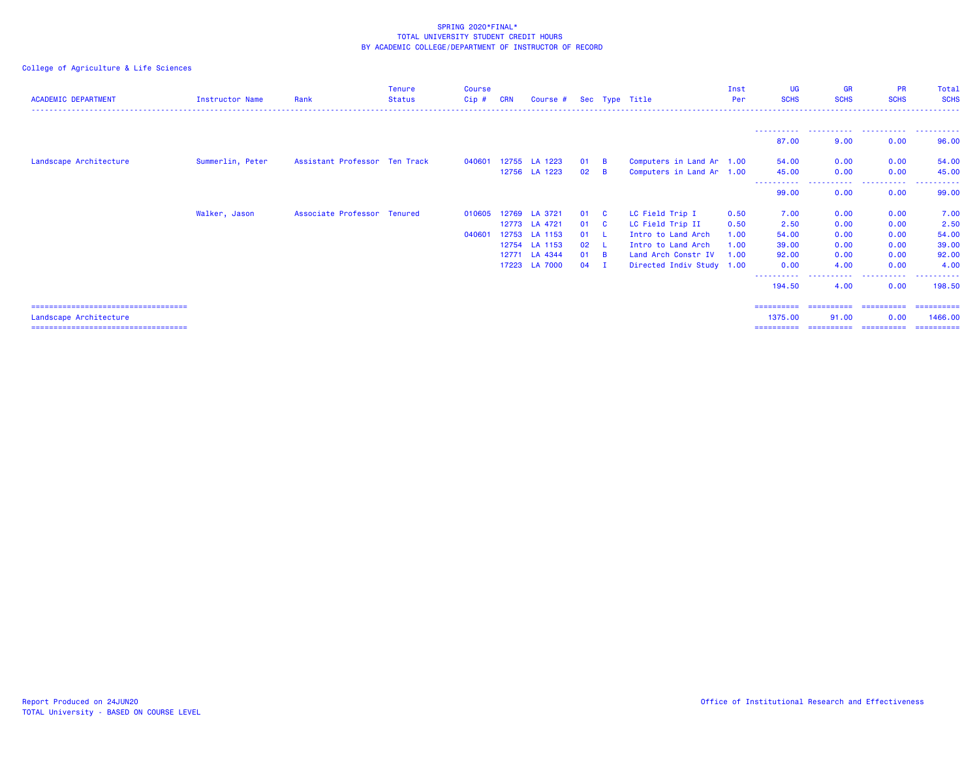| <b>ACADEMIC DEPARTMENT</b>                                       | <b>Instructor Name</b> | Rank                          | <b>Tenure</b><br><b>Status</b> | <b>Course</b><br>Cip# | <b>CRN</b> | Course #      |    |          | Sec Type Title            | Inst<br>Per | UG<br><b>SCHS</b>     | <b>GR</b><br><b>SCHS</b> | <b>PR</b><br><b>SCHS</b> | Total<br><b>SCHS</b>  |
|------------------------------------------------------------------|------------------------|-------------------------------|--------------------------------|-----------------------|------------|---------------|----|----------|---------------------------|-------------|-----------------------|--------------------------|--------------------------|-----------------------|
|                                                                  |                        |                               |                                |                       |            |               |    |          |                           |             |                       |                          |                          |                       |
|                                                                  |                        |                               |                                |                       |            |               |    |          |                           |             | 87.00                 | 9.00                     | 0.00                     | 96.00                 |
| Landscape Architecture                                           | Summerlin, Peter       | Assistant Professor Ten Track |                                | 040601                |            | 12755 LA 1223 | 01 | <b>B</b> | Computers in Land Ar 1.00 |             | 54.00                 | 0.00                     | 0.00                     | 54.00                 |
|                                                                  |                        |                               |                                |                       |            | 12756 LA 1223 | 02 | <b>B</b> | Computers in Land Ar 1.00 |             | 45.00                 | 0.00                     | 0.00<br>. <u>.</u> .     | 45.00                 |
|                                                                  |                        |                               |                                |                       |            |               |    |          |                           |             | 99.00                 | 0.00                     | 0.00                     | 99.00                 |
|                                                                  | Walker, Jason          | Associate Professor Tenured   |                                | 010605                | 12769      | LA 3721       | 01 | - C      | LC Field Trip I           | 0.50        | 7.00                  | 0.00                     | 0.00                     | 7.00                  |
|                                                                  |                        |                               |                                |                       | 12773      | LA 4721       | 01 | - C      | LC Field Trip II          | 0.50        | 2.50                  | 0.00                     | 0.00                     | 2.50                  |
|                                                                  |                        |                               |                                | 040601                | 12753      | LA 1153       | 01 |          | Intro to Land Arch        | 1.00        | 54.00                 | 0.00                     | 0.00                     | 54.00                 |
|                                                                  |                        |                               |                                |                       |            | 12754 LA 1153 | 02 |          | Intro to Land Arch        | 1.00        | 39,00                 | 0.00                     | 0.00                     | 39.00                 |
|                                                                  |                        |                               |                                |                       | 12771      | LA 4344       | 01 | <b>B</b> | Land Arch Constr IV       | 1.00        | 92.00                 | 0.00                     | 0.00                     | 92.00                 |
|                                                                  |                        |                               |                                |                       |            | 17223 LA 7000 | 04 | <b>I</b> | Directed Indiv Study 1.00 |             | 0.00                  | 4.00                     | 0.00                     | 4.00                  |
|                                                                  |                        |                               |                                |                       |            |               |    |          |                           |             | ----------<br>194.50  | .<br>4.00                | .<br>0.00                | .<br>198.50           |
| ======================================                           |                        |                               |                                |                       |            |               |    |          |                           |             | ==========            | ==========               | ==========               | ==========            |
| Landscape Architecture<br>====================================== |                        |                               |                                |                       |            |               |    |          |                           |             | 1375.00<br>========== | 91.00<br>-----------     | 0.00<br>-----------      | 1466.00<br>========== |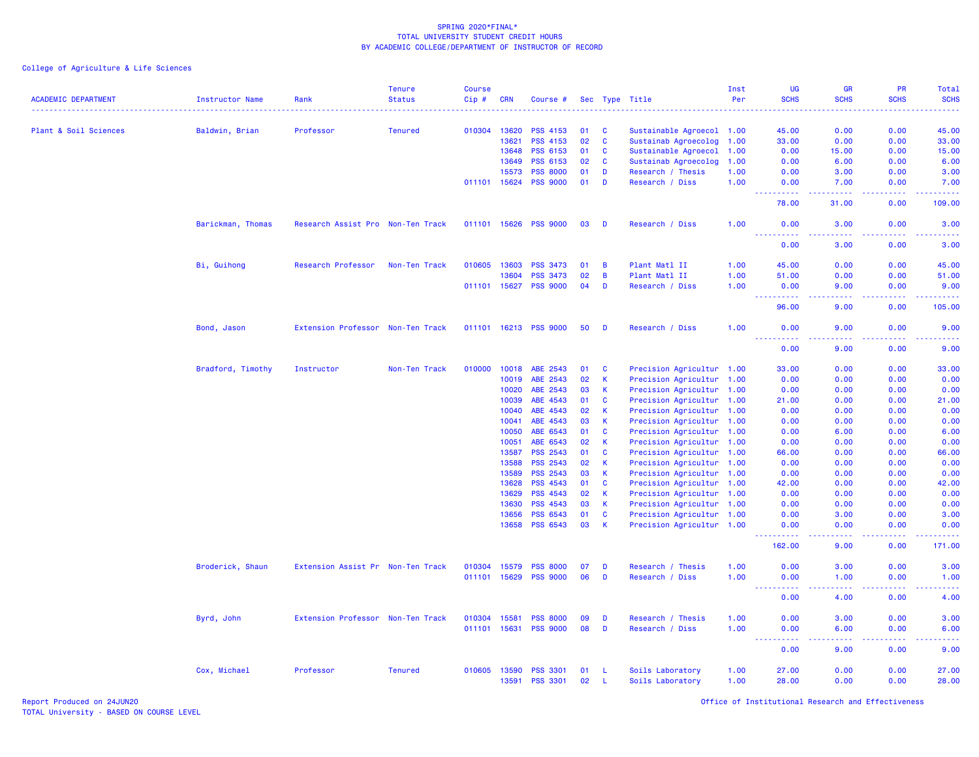| <b>ACADEMIC DEPARTMENT</b> | <b>Instructor Name</b> | Rank                              | <b>Tenure</b><br><b>Status</b> | <b>Course</b><br>Cip# | <b>CRN</b>   | Course #        |    |          | Sec Type Title            | Inst<br>Per | <b>UG</b><br><b>SCHS</b>                                                                                                                                                             | GR<br><b>SCHS</b>  | PR<br><b>SCHS</b>                            | Total<br><b>SCHS</b>                                                                                                                                         |
|----------------------------|------------------------|-----------------------------------|--------------------------------|-----------------------|--------------|-----------------|----|----------|---------------------------|-------------|--------------------------------------------------------------------------------------------------------------------------------------------------------------------------------------|--------------------|----------------------------------------------|--------------------------------------------------------------------------------------------------------------------------------------------------------------|
|                            |                        |                                   |                                |                       |              |                 |    |          |                           |             |                                                                                                                                                                                      |                    |                                              |                                                                                                                                                              |
| Plant & Soil Sciences      | Baldwin, Brian         | Professor                         | <b>Tenured</b>                 | 010304                | 13620        | <b>PSS 4153</b> | 01 | C        | Sustainable Agroecol 1.00 |             | 45.00                                                                                                                                                                                | 0.00               | 0.00                                         | 45.00                                                                                                                                                        |
|                            |                        |                                   |                                |                       | 13621        | PSS 4153        | 02 | C        | Sustainab Agroecolog      | 1.00        | 33.00                                                                                                                                                                                | 0.00               | 0.00                                         | 33.00                                                                                                                                                        |
|                            |                        |                                   |                                |                       | 13648        | <b>PSS 6153</b> | 01 | C        | Sustainable Agroecol 1.00 |             | 0.00                                                                                                                                                                                 | 15.00              | 0.00                                         | 15.00                                                                                                                                                        |
|                            |                        |                                   |                                |                       | 13649        | PSS 6153        | 02 | C        | Sustainab Agroecolog      | 1.00        | 0.00                                                                                                                                                                                 | 6.00               | 0.00                                         | 6.00                                                                                                                                                         |
|                            |                        |                                   |                                |                       | 15573        | <b>PSS 8000</b> | 01 | D        | Research / Thesis         | 1.00        | 0.00                                                                                                                                                                                 | 3.00               | 0.00                                         | 3.00                                                                                                                                                         |
|                            |                        |                                   |                                |                       | 011101 15624 | <b>PSS 9000</b> | 01 | D        | Research / Diss           | 1.00        | 0.00                                                                                                                                                                                 | 7.00               | 0.00                                         | 7.00                                                                                                                                                         |
|                            |                        |                                   |                                |                       |              |                 |    |          |                           |             | 78.00                                                                                                                                                                                | 31.00              | 0.00                                         | 109.00                                                                                                                                                       |
|                            | Barickman, Thomas      | Research Assist Pro Non-Ten Track |                                | 011101 15626          |              | <b>PSS 9000</b> | 03 | D        | Research / Diss           | 1.00        | 0.00<br>$\frac{1}{2} \left( \frac{1}{2} \right) \left( \frac{1}{2} \right) \left( \frac{1}{2} \right) \left( \frac{1}{2} \right)$                                                    | 3.00<br>وعاعات     | 0.00<br>.                                    | 3.00                                                                                                                                                         |
|                            |                        |                                   |                                |                       |              |                 |    |          |                           |             | 0.00                                                                                                                                                                                 | 3.00               | 0.00                                         | 3.00                                                                                                                                                         |
|                            | Bi, Guihong            | Research Professor                | Non-Ten Track                  | 010605                | 13603        | <b>PSS 3473</b> | 01 | B        | Plant Matl II             | 1.00        | 45.00                                                                                                                                                                                | 0.00               | 0.00                                         | 45.00                                                                                                                                                        |
|                            |                        |                                   |                                |                       | 13604        | <b>PSS 3473</b> | 02 | B        | Plant Matl II             | 1.00        | 51.00                                                                                                                                                                                | 0.00               | 0.00                                         | 51.00                                                                                                                                                        |
|                            |                        |                                   |                                | 011101                | 15627        | <b>PSS 9000</b> | 04 | D        | Research / Diss           | 1.00        | 0.00<br>$\sim$ $\sim$ $\sim$<br>$\frac{1}{2} \left( \frac{1}{2} \right) \left( \frac{1}{2} \right) \left( \frac{1}{2} \right) \left( \frac{1}{2} \right) \left( \frac{1}{2} \right)$ | 9.00<br>$\sim 100$ | 0.00                                         | 9.00<br>$\frac{1}{2} \left( \frac{1}{2} \right) \left( \frac{1}{2} \right) \left( \frac{1}{2} \right) \left( \frac{1}{2} \right) \left( \frac{1}{2} \right)$ |
|                            |                        |                                   |                                |                       |              |                 |    |          |                           |             | 96.00                                                                                                                                                                                | 9.00               | 0.00                                         | 105.00                                                                                                                                                       |
|                            | Bond, Jason            | Extension Professor Non-Ten Track |                                | 011101                | 16213        | <b>PSS 9000</b> | 50 | D        | Research / Diss           | 1.00        | 0.00                                                                                                                                                                                 | 9.00               | 0.00                                         | 9.00                                                                                                                                                         |
|                            |                        |                                   |                                |                       |              |                 |    |          |                           |             | 0.00                                                                                                                                                                                 | 9.00               | 0.00                                         | 9.00                                                                                                                                                         |
|                            | Bradford, Timothy      | Instructor                        | Non-Ten Track                  | 010000                | 10018        | ABE 2543        | 01 | C        | Precision Agricultur 1.00 |             | 33.00                                                                                                                                                                                | 0.00               | 0.00                                         | 33.00                                                                                                                                                        |
|                            |                        |                                   |                                |                       | 10019        | ABE 2543        | 02 | К        | Precision Agricultur 1.00 |             | 0.00                                                                                                                                                                                 | 0.00               | 0.00                                         | 0.00                                                                                                                                                         |
|                            |                        |                                   |                                |                       | 10020        | ABE 2543        | 03 | К        | Precision Agricultur 1.00 |             | 0.00                                                                                                                                                                                 | 0.00               | 0.00                                         | 0.00                                                                                                                                                         |
|                            |                        |                                   |                                |                       | 10039        | ABE 4543        | 01 | C        | Precision Agricultur 1.00 |             | 21.00                                                                                                                                                                                | 0.00               | 0.00                                         | 21.00                                                                                                                                                        |
|                            |                        |                                   |                                |                       | 10040        | ABE 4543        | 02 | K        | Precision Agricultur 1.00 |             | 0.00                                                                                                                                                                                 | 0.00               | 0.00                                         | 0.00                                                                                                                                                         |
|                            |                        |                                   |                                |                       | 10041        | ABE 4543        | 03 | К        | Precision Agricultur 1.00 |             | 0.00                                                                                                                                                                                 | 0.00               | 0.00                                         | 0.00                                                                                                                                                         |
|                            |                        |                                   |                                |                       | 10050        | ABE 6543        | 01 | C        | Precision Agricultur 1.00 |             | 0.00                                                                                                                                                                                 | 6.00               | 0.00                                         | 6.00                                                                                                                                                         |
|                            |                        |                                   |                                |                       | 10051        | ABE 6543        | 02 | К        | Precision Agricultur 1.00 |             | 0.00                                                                                                                                                                                 | 0.00               | 0.00                                         | 0.00                                                                                                                                                         |
|                            |                        |                                   |                                |                       | 13587        | <b>PSS 2543</b> | 01 | C        | Precision Agricultur 1.00 |             | 66.00                                                                                                                                                                                | 0.00               | 0.00                                         | 66.00                                                                                                                                                        |
|                            |                        |                                   |                                |                       | 13588        | <b>PSS 2543</b> | 02 | К        | Precision Agricultur 1.00 |             | 0.00                                                                                                                                                                                 | 0.00               | 0.00                                         | 0.00                                                                                                                                                         |
|                            |                        |                                   |                                |                       | 13589        | <b>PSS 2543</b> | 03 | К        | Precision Agricultur 1.00 |             | 0.00                                                                                                                                                                                 | 0.00               | 0.00                                         | 0.00                                                                                                                                                         |
|                            |                        |                                   |                                |                       | 13628        | <b>PSS 4543</b> | 01 | C        | Precision Agricultur 1.00 |             | 42.00                                                                                                                                                                                | 0.00               | 0.00                                         | 42.00                                                                                                                                                        |
|                            |                        |                                   |                                |                       | 13629        | <b>PSS 4543</b> | 02 | К        | Precision Agricultur 1.00 |             | 0.00                                                                                                                                                                                 | 0.00               | 0.00                                         | 0.00                                                                                                                                                         |
|                            |                        |                                   |                                |                       | 13630        | <b>PSS 4543</b> | 03 | К        | Precision Agricultur 1.00 |             | 0.00                                                                                                                                                                                 | 0.00               | 0.00                                         | 0.00                                                                                                                                                         |
|                            |                        |                                   |                                |                       | 13656        | <b>PSS 6543</b> | 01 | <b>C</b> | Precision Agricultur 1.00 |             | 0.00                                                                                                                                                                                 | 3.00               | 0.00                                         | 3.00                                                                                                                                                         |
|                            |                        |                                   |                                |                       | 13658        | <b>PSS 6543</b> | 03 | K        | Precision Agricultur 1.00 |             | 0.00                                                                                                                                                                                 | 0.00               | 0.00                                         | 0.00                                                                                                                                                         |
|                            |                        |                                   |                                |                       |              |                 |    |          |                           |             | .<br>$\sim$ $\sim$ $\sim$<br>162.00                                                                                                                                                  | د د د د<br>9.00    | 22222<br>0.00                                | 22222<br>171.00                                                                                                                                              |
|                            | Broderick, Shaun       | Extension Assist Pr Non-Ten Track |                                | 010304                | 15579        | <b>PSS 8000</b> | 07 | D        | Research / Thesis         | 1.00        | 0.00                                                                                                                                                                                 | 3.00               | 0.00                                         | 3.00                                                                                                                                                         |
|                            |                        |                                   |                                | 011101                | 15629        | <b>PSS 9000</b> | 06 | D        | Research / Diss           | 1.00        | 0.00                                                                                                                                                                                 | 1.00               | 0.00                                         | 1.00                                                                                                                                                         |
|                            |                        |                                   |                                |                       |              |                 |    |          |                           |             | .<br>----<br>0.00                                                                                                                                                                    | ولايات<br>4.00     | <b><i><u><u> - - - -</u></u></i></b><br>0.00 | المتمالين<br>4.00                                                                                                                                            |
|                            | Byrd, John             | Extension Professor Non-Ten Track |                                | 010304                | 15581        | <b>PSS 8000</b> | 09 | D        | Research / Thesis         | 1.00        | 0.00                                                                                                                                                                                 | 3.00               | 0.00                                         | 3.00                                                                                                                                                         |
|                            |                        |                                   |                                | 011101                | 15631        | <b>PSS 9000</b> | 08 | D        | Research / Diss           | 1.00        | 0.00                                                                                                                                                                                 | 6.00               | 0.00                                         | 6.00                                                                                                                                                         |
|                            |                        |                                   |                                |                       |              |                 |    |          |                           |             | 0.00                                                                                                                                                                                 | .<br>9.00          | 0.00                                         | 9.00                                                                                                                                                         |
|                            | Cox, Michael           | Professor                         | <b>Tenured</b>                 | 010605                | 13590        | <b>PSS 3301</b> | 01 | -L       | Soils Laboratory          | 1.00        | 27.00                                                                                                                                                                                | 0.00               | 0.00                                         | 27.00                                                                                                                                                        |
|                            |                        |                                   |                                |                       | 13591        | <b>PSS 3301</b> | 02 | -L       | Soils Laboratory          | 1.00        | 28.00                                                                                                                                                                                | 0.00               | 0.00                                         | 28.00                                                                                                                                                        |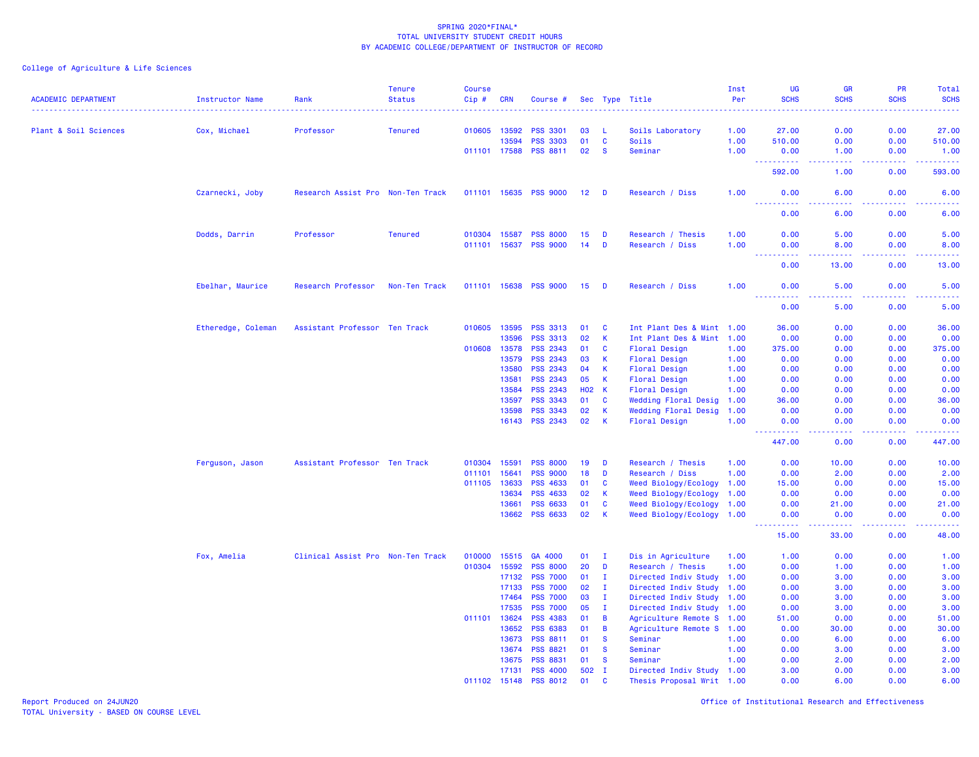| <b>ACADEMIC DEPARTMENT</b> | <b>Instructor Name</b> | Rank                              | <b>Tenure</b><br><b>Status</b> | <b>Course</b><br>Cip# | <b>CRN</b> | Course #        |                 |              | Sec Type Title              | Inst<br>Per<br>. | <b>UG</b><br><b>SCHS</b>                  | <b>GR</b><br><b>SCHS</b> | PR<br><b>SCHS</b><br>$\omega_{\rm c}$ and $\omega_{\rm c}$ | Total<br><b>SCHS</b><br>. |
|----------------------------|------------------------|-----------------------------------|--------------------------------|-----------------------|------------|-----------------|-----------------|--------------|-----------------------------|------------------|-------------------------------------------|--------------------------|------------------------------------------------------------|---------------------------|
| Plant & Soil Sciences      | Cox, Michael           | Professor                         | <b>Tenured</b>                 | 010605                | 13592      | <b>PSS 3301</b> | 03              | - L          | Soils Laboratory            | 1.00             | 27.00                                     | 0.00                     | 0.00                                                       | 27.00                     |
|                            |                        |                                   |                                |                       | 13594      | <b>PSS 3303</b> | 01              | $\mathbf{C}$ | Soils                       | 1.00             | 510.00                                    | 0.00                     | 0.00                                                       | 510.00                    |
|                            |                        |                                   |                                | 011101 17588          |            | <b>PSS 8811</b> | 02              | <b>S</b>     | Seminar                     | 1.00             | 0.00                                      | 1.00                     | 0.00                                                       | 1.00                      |
|                            |                        |                                   |                                |                       |            |                 |                 |              |                             |                  | $\omega_{\rm{eff}}$<br>بالمستنا<br>592.00 | بالأباء<br>1.00          | الأعامات<br>0.00                                           | ------<br>593.00          |
|                            | Czarnecki, Joby        | Research Assist Pro Non-Ten Track |                                | 011101 15635          |            | <b>PSS 9000</b> | 12 <sub>1</sub> | <b>D</b>     | Research / Diss             | 1.00             | 0.00<br>2.2.2.2.2                         | 6.00<br>.                | 0.00                                                       | 6.00<br><b>.</b>          |
|                            |                        |                                   |                                |                       |            |                 |                 |              |                             |                  | 0.00                                      | 6.00                     | .<br>0.00                                                  | 6.00                      |
|                            | Dodds, Darrin          | Professor                         | <b>Tenured</b>                 | 010304                | 15587      | <b>PSS 8000</b> | 15              | D            | Research / Thesis           | 1.00             | 0.00                                      | 5.00                     | 0.00                                                       | 5.00                      |
|                            |                        |                                   |                                | 011101                | 15637      | <b>PSS 9000</b> | 14              | D            | Research / Diss             | 1.00             | 0.00                                      | 8.00                     | 0.00                                                       | 8.00                      |
|                            |                        |                                   |                                |                       |            |                 |                 |              |                             |                  | .<br>0.00                                 | 13.00                    | 0.00                                                       | .<br>13.00                |
|                            | Ebelhar, Maurice       | Research Professor                | Non-Ten Track                  | 011101 15638          |            | <b>PSS 9000</b> | 15 <sub>1</sub> | D            | Research / Diss             | 1.00             | 0.00                                      | 5.00                     | 0.00                                                       | 5.00                      |
|                            |                        |                                   |                                |                       |            |                 |                 |              |                             |                  | 0.00                                      | 5.00                     | 0.00                                                       | 5.00                      |
|                            | Etheredge, Coleman     | Assistant Professor Ten Track     |                                | 010605                | 13595      | <b>PSS 3313</b> | 01              | C            | Int Plant Des & Mint 1.00   |                  | 36.00                                     | 0.00                     | 0.00                                                       | 36.00                     |
|                            |                        |                                   |                                |                       | 13596      | PSS 3313        | 02              | К            | Int Plant Des & Mint        | 1.00             | 0.00                                      | 0.00                     | 0.00                                                       | 0.00                      |
|                            |                        |                                   |                                | 010608                | 13578      | <b>PSS 2343</b> | 01              | <b>C</b>     | <b>Floral Design</b>        | 1.00             | 375.00                                    | 0.00                     | 0.00                                                       | 375.00                    |
|                            |                        |                                   |                                |                       | 13579      | <b>PSS 2343</b> | 03              | K            | Floral Design               | 1.00             | 0.00                                      | 0.00                     | 0.00                                                       | 0.00                      |
|                            |                        |                                   |                                |                       | 13580      | <b>PSS 2343</b> | 04              | K            | <b>Floral Design</b>        | 1.00             | 0.00                                      | 0.00                     | 0.00                                                       | 0.00                      |
|                            |                        |                                   |                                |                       | 13581      | <b>PSS 2343</b> | 05              | К            | Floral Design               | 1.00             | 0.00                                      | 0.00                     | 0.00                                                       | 0.00                      |
|                            |                        |                                   |                                |                       | 13584      | <b>PSS 2343</b> | <b>HO2 K</b>    |              | Floral Design               | 1.00             | 0.00                                      | 0.00                     | 0.00                                                       | 0.00                      |
|                            |                        |                                   |                                |                       | 13597      | <b>PSS 3343</b> | 01              | <b>C</b>     | <b>Wedding Floral Desig</b> | 1.00             | 36.00                                     | 0.00                     | 0.00                                                       | 36.00                     |
|                            |                        |                                   |                                |                       | 13598      | <b>PSS 3343</b> | 02              | $\mathsf K$  | Wedding Floral Desig        | 1.00             | 0.00                                      | 0.00                     | 0.00                                                       | 0.00                      |
|                            |                        |                                   |                                |                       | 16143      | <b>PSS 2343</b> | 02              | K            | Floral Design               | 1.00             | 0.00<br>.                                 | 0.00<br>$  -$            | 0.00<br>.                                                  | 0.00<br>22222             |
|                            |                        |                                   |                                |                       |            |                 |                 |              |                             |                  | 447.00                                    | 0.00                     | 0.00                                                       | 447.00                    |
|                            | Ferguson, Jason        | Assistant Professor Ten Track     |                                | 010304                | 15591      | <b>PSS 8000</b> | 19              | D            | Research / Thesis           | 1.00             | 0.00                                      | 10.00                    | 0.00                                                       | 10.00                     |
|                            |                        |                                   |                                | 011101                | 15641      | <b>PSS 9000</b> | 18              | D            | Research / Diss             | 1.00             | 0.00                                      | 2.00                     | 0.00                                                       | 2.00                      |
|                            |                        |                                   |                                | 011105                | 13633      | <b>PSS 4633</b> | 01              | C            | Weed Biology/Ecology        | 1.00             | 15.00                                     | 0.00                     | 0.00                                                       | 15.00                     |
|                            |                        |                                   |                                |                       | 13634      | <b>PSS 4633</b> | 02              | $\mathsf K$  | Weed Biology/Ecology        | 1.00             | 0.00                                      | 0.00                     | 0.00                                                       | 0.00                      |
|                            |                        |                                   |                                |                       | 13661      | <b>PSS 6633</b> | 01              | $\mathbf c$  | Weed Biology/Ecology        | 1.00             | 0.00                                      | 21.00                    | 0.00                                                       | 21.00                     |
|                            |                        |                                   |                                |                       | 13662      | <b>PSS 6633</b> | 02              | $\mathsf{K}$ | Weed Biology/Ecology        | 1.00             | 0.00<br>.                                 | 0.00<br>المتمامين        | 0.00<br>المستبدة                                           | 0.00<br>بالأبالات         |
|                            |                        |                                   |                                |                       |            |                 |                 |              |                             |                  | 15.00                                     | 33.00                    | 0.00                                                       | 48.00                     |
|                            | Fox, Amelia            | Clinical Assist Pro Non-Ten Track |                                | 010000                | 15515      | GA 4000         | 01              | п.           | Dis in Agriculture          | 1.00             | 1.00                                      | 0.00                     | 0.00                                                       | 1.00                      |
|                            |                        |                                   |                                | 010304                | 15592      | <b>PSS 8000</b> | 20              | D            | Research / Thesis           | 1.00             | 0.00                                      | 1.00                     | 0.00                                                       | 1.00                      |
|                            |                        |                                   |                                |                       | 17132      | <b>PSS 7000</b> | 01              | I.           | Directed Indiv Study        | 1.00             | 0.00                                      | 3.00                     | 0.00                                                       | 3.00                      |
|                            |                        |                                   |                                |                       | 17133      | <b>PSS 7000</b> | 02              | $\mathbf I$  | Directed Indiv Study        | 1.00             | 0.00                                      | 3.00                     | 0.00                                                       | 3.00                      |
|                            |                        |                                   |                                |                       | 17464      | <b>PSS 7000</b> | 03              | $\mathbf I$  | Directed Indiv Study        | 1.00             | 0.00                                      | 3.00                     | 0.00                                                       | 3.00                      |
|                            |                        |                                   |                                |                       | 17535      | <b>PSS 7000</b> | 05              | $\mathbf{I}$ | Directed Indiv Study 1.00   |                  | 0.00                                      | 3.00                     | 0.00                                                       | 3.00                      |
|                            |                        |                                   |                                | 011101                | 13624      | <b>PSS 4383</b> | 01              | B            | Agriculture Remote S 1.00   |                  | 51.00                                     | 0.00                     | 0.00                                                       | 51.00                     |
|                            |                        |                                   |                                |                       | 13652      | <b>PSS 6383</b> | 01              | B            | Agriculture Remote S        | 1.00             | 0.00                                      | 30.00                    | 0.00                                                       | 30.00                     |
|                            |                        |                                   |                                |                       | 13673      | <b>PSS 8811</b> | 01              | <b>S</b>     | Seminar                     | 1.00             | 0.00                                      | 6.00                     | 0.00                                                       | 6.00                      |
|                            |                        |                                   |                                |                       | 13674      | <b>PSS 8821</b> | 01              | <b>S</b>     | Seminar                     | 1.00             | 0.00                                      | 3.00                     | 0.00                                                       | 3.00                      |
|                            |                        |                                   |                                |                       | 13675      | <b>PSS 8831</b> | 01              | <b>S</b>     | Seminar                     | 1.00             | 0.00                                      | 2.00                     | 0.00                                                       | 2.00                      |
|                            |                        |                                   |                                |                       | 17131      | <b>PSS 4000</b> | 502             | $\mathbf I$  | Directed Indiv Study 1.00   |                  | 3.00                                      | 0.00                     | 0.00                                                       | 3.00                      |
|                            |                        |                                   |                                | 011102                | 15148      | <b>PSS 8012</b> | 01              | <b>C</b>     | Thesis Proposal Writ 1.00   |                  | 0.00                                      | 6.00                     | 0.00                                                       | 6.00                      |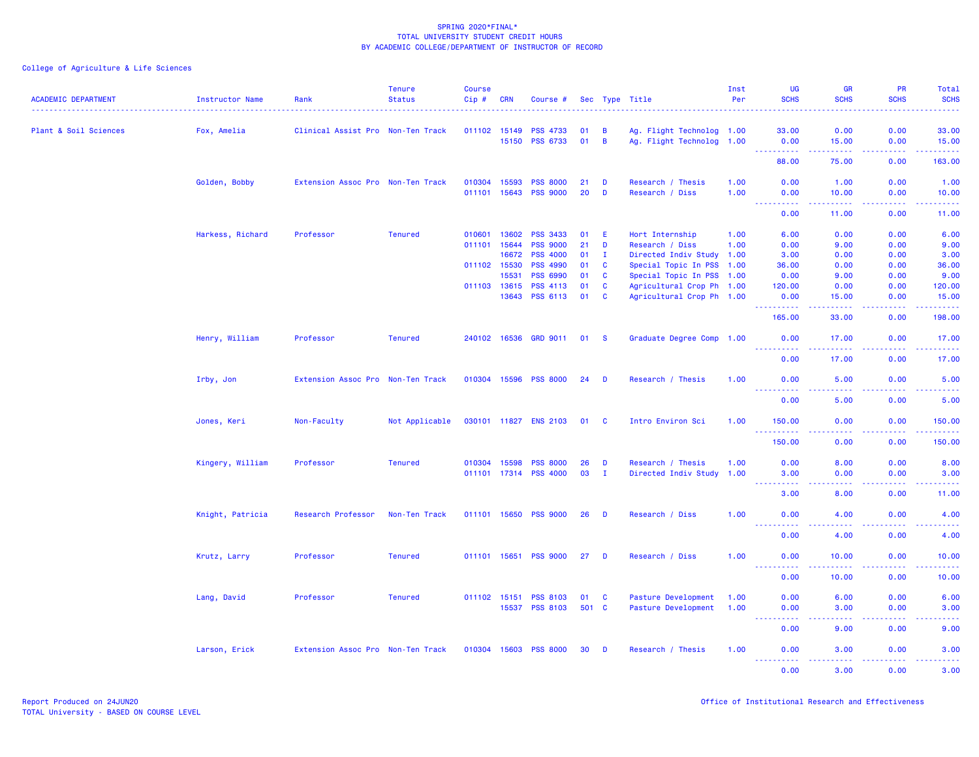| <b>ACADEMIC DEPARTMENT</b> | Instructor Name  | Rank                              | <b>Tenure</b><br><b>Status</b> | <b>Course</b><br>$Cip \#$ | <b>CRN</b>   | Course #                    |          |                | Sec Type Title                                         | Inst<br>Per | <b>UG</b><br><b>SCHS</b>            | <b>GR</b><br><b>SCHS</b>                                                                                                                                     | PR<br><b>SCHS</b>                                                                               | Total<br><b>SCHS</b>                                                                                                                                           |
|----------------------------|------------------|-----------------------------------|--------------------------------|---------------------------|--------------|-----------------------------|----------|----------------|--------------------------------------------------------|-------------|-------------------------------------|--------------------------------------------------------------------------------------------------------------------------------------------------------------|-------------------------------------------------------------------------------------------------|----------------------------------------------------------------------------------------------------------------------------------------------------------------|
| Plant & Soil Sciences      | Fox, Amelia      | Clinical Assist Pro Non-Ten Track |                                | 011102 15149              |              | <b>PSS 4733</b>             | 01       | $\overline{B}$ | Ag. Flight Technolog 1.00                              |             | 33.00                               | 0.00                                                                                                                                                         | 0.00                                                                                            | 33.00                                                                                                                                                          |
|                            |                  |                                   |                                |                           | 15150        | <b>PSS 6733</b>             | 01       | $\overline{B}$ | Ag. Flight Technolog 1.00                              |             | 0.00                                | 15.00                                                                                                                                                        | 0.00                                                                                            | 15.00                                                                                                                                                          |
|                            |                  |                                   |                                |                           |              |                             |          |                |                                                        |             | <b>.</b><br>444<br>88.00            | .<br>75.00                                                                                                                                                   | 22222<br>0.00                                                                                   | .<br>163.00                                                                                                                                                    |
|                            | Golden, Bobby    | Extension Assoc Pro Non-Ten Track |                                | 010304                    | 15593        | <b>PSS 8000</b>             | 21       | D              | Research / Thesis                                      | 1.00        | 0.00                                | 1.00                                                                                                                                                         | 0.00                                                                                            | 1.00                                                                                                                                                           |
|                            |                  |                                   |                                | 011101 15643              |              | <b>PSS 9000</b>             | 20       | D              | Research / Diss                                        | 1.00        | 0.00<br>المستملة<br>المالمات        | 10.00<br>وبالاناب                                                                                                                                            | 0.00<br>22222                                                                                   | 10.00<br>المتمامين                                                                                                                                             |
|                            |                  |                                   |                                |                           |              |                             |          |                |                                                        |             | 0.00                                | 11.00                                                                                                                                                        | 0.00                                                                                            | 11.00                                                                                                                                                          |
|                            | Harkess, Richard | Professor                         | <b>Tenured</b>                 | 010601                    | 13602        | <b>PSS 3433</b>             | 01       | -E             | Hort Internship                                        | 1.00        | 6.00                                | 0.00                                                                                                                                                         | 0.00                                                                                            | 6.00                                                                                                                                                           |
|                            |                  |                                   |                                | 011101                    | 15644        | <b>PSS 9000</b>             | 21       | D              | Research / Diss                                        | 1.00        | 0.00                                | 9.00                                                                                                                                                         | 0.00                                                                                            | 9.00                                                                                                                                                           |
|                            |                  |                                   |                                |                           | 16672        | <b>PSS 4000</b>             | 01       | $\mathbf{I}$   | Directed Indiv Study 1.00                              |             | 3.00                                | 0.00                                                                                                                                                         | 0.00                                                                                            | 3.00                                                                                                                                                           |
|                            |                  |                                   |                                | 011102 15530              |              | <b>PSS 4990</b>             | 01       | $\mathbf{C}$   | Special Topic In PSS 1.00                              |             | 36.00                               | 0.00                                                                                                                                                         | 0.00                                                                                            | 36.00                                                                                                                                                          |
|                            |                  |                                   |                                |                           | 15531        | <b>PSS 6990</b>             | 01       | $\mathbf{C}$   | Special Topic In PSS 1.00                              |             | 0.00                                | 9.00                                                                                                                                                         | 0.00                                                                                            | 9.00                                                                                                                                                           |
|                            |                  |                                   |                                | 011103 13615              | 13643        | <b>PSS 4113</b><br>PSS 6113 | 01<br>01 | C<br><b>C</b>  | Agricultural Crop Ph 1.00<br>Agricultural Crop Ph 1.00 |             | 120.00<br>0.00                      | 0.00<br>15.00                                                                                                                                                | 0.00<br>0.00                                                                                    | 120.00<br>15.00                                                                                                                                                |
|                            |                  |                                   |                                |                           |              |                             |          |                |                                                        |             | .<br>165.00                         | $- - - - -$<br>33.00                                                                                                                                         | 22222<br>0.00                                                                                   | $\frac{1}{2} \left( \frac{1}{2} \right) \left( \frac{1}{2} \right) \left( \frac{1}{2} \right) \left( \frac{1}{2} \right) \left( \frac{1}{2} \right)$<br>198.00 |
|                            | Henry, William   | Professor                         | <b>Tenured</b>                 |                           |              | 240102 16536 GRD 9011       | 01 S     |                | Graduate Degree Comp 1.00                              |             | 0.00                                | 17.00                                                                                                                                                        | 0.00                                                                                            | 17.00                                                                                                                                                          |
|                            |                  |                                   |                                |                           |              |                             |          |                |                                                        |             | <u>.</u><br>0.00                    | $\frac{1}{2} \left( \frac{1}{2} \right) \left( \frac{1}{2} \right) \left( \frac{1}{2} \right) \left( \frac{1}{2} \right)$<br>17.00                           | .<br>0.00                                                                                       | .<br>17.00                                                                                                                                                     |
|                            | Irby, Jon        | Extension Assoc Pro Non-Ten Track |                                | 010304 15596              |              | <b>PSS 8000</b>             | 24       | D              | Research / Thesis                                      | 1.00        | 0.00                                | 5.00                                                                                                                                                         | 0.00                                                                                            | 5.00                                                                                                                                                           |
|                            |                  |                                   |                                |                           |              |                             |          |                |                                                        |             | .<br>0.00                           | 22222<br>5.00                                                                                                                                                | 22222<br>0.00                                                                                   | وعاماما<br>5.00                                                                                                                                                |
|                            | Jones, Keri      | Non-Faculty                       | Not Applicable                 |                           |              | 030101 11827 ENS 2103       | 01 C     |                | Intro Environ Sci                                      | 1.00        | 150.00                              | 0.00                                                                                                                                                         | 0.00                                                                                            | 150.00                                                                                                                                                         |
|                            |                  |                                   |                                |                           |              |                             |          |                |                                                        |             | .<br>$\sim$ $\sim$ $\sim$<br>150.00 | 0.00                                                                                                                                                         | .<br>0.00                                                                                       | 150.00                                                                                                                                                         |
|                            | Kingery, William | Professor                         | <b>Tenured</b>                 | 010304 15598              |              | <b>PSS 8000</b>             | 26       | D              | Research / Thesis                                      | 1.00        | 0.00                                | 8.00                                                                                                                                                         | 0.00                                                                                            | 8.00                                                                                                                                                           |
|                            |                  |                                   |                                |                           |              | 011101 17314 PSS 4000       | 03       | $\mathbf{I}$   | Directed Indiv Study 1.00                              |             | 3.00                                | 0.00                                                                                                                                                         | 0.00                                                                                            | 3.00                                                                                                                                                           |
|                            |                  |                                   |                                |                           |              |                             |          |                |                                                        |             | <u>.</u><br>3.00                    | .<br>8.00                                                                                                                                                    | .<br>0.00                                                                                       | .<br>11.00                                                                                                                                                     |
|                            | Knight, Patricia | Research Professor                | Non-Ten Track                  | 011101 15650              |              | <b>PSS 9000</b>             | 26       | <b>D</b>       | Research / Diss                                        | 1.00        | 0.00                                | 4.00                                                                                                                                                         | 0.00                                                                                            | 4.00                                                                                                                                                           |
|                            |                  |                                   |                                |                           |              |                             |          |                |                                                        |             | .<br>0.00                           | المتمامين<br>4.00                                                                                                                                            | 22222<br>0.00                                                                                   | .<br>4.00                                                                                                                                                      |
|                            | Krutz, Larry     | Professor                         | <b>Tenured</b>                 |                           |              | 011101 15651 PSS 9000       | 27       | D              | Research / Diss                                        | 1.00        | 0.00                                | 10.00                                                                                                                                                        | 0.00                                                                                            | 10.00                                                                                                                                                          |
|                            |                  |                                   |                                |                           |              |                             |          |                |                                                        |             | <u> - - - - - - - - - -</u><br>0.00 | 10.00                                                                                                                                                        | 0.00                                                                                            | 10.00                                                                                                                                                          |
|                            | Lang, David      | Professor                         | <b>Tenured</b>                 |                           | 011102 15151 | <b>PSS 8103</b>             | 01       | <b>C</b>       | Pasture Development                                    | 1.00        | 0.00                                | 6.00                                                                                                                                                         | 0.00                                                                                            | 6.00                                                                                                                                                           |
|                            |                  |                                   |                                |                           |              | 15537 PSS 8103              | 501 C    |                | Pasture Development                                    | 1.00        | 0.00<br>$\sim$ $\sim$ $\sim$<br>.   | 3.00<br>.                                                                                                                                                    | 0.00<br>22222                                                                                   | 3.00<br>$\frac{1}{2} \left( \frac{1}{2} \right) \left( \frac{1}{2} \right) \left( \frac{1}{2} \right) \left( \frac{1}{2} \right)$                              |
|                            |                  |                                   |                                |                           |              |                             |          |                |                                                        |             | 0.00                                | 9.00                                                                                                                                                         | 0.00                                                                                            | 9.00                                                                                                                                                           |
|                            | Larson, Erick    | Extension Assoc Pro Non-Ten Track |                                | 010304 15603              |              | <b>PSS 8000</b>             | 30       | - D            | Research / Thesis                                      | 1.00        | 0.00<br><u>.</u>                    | 3.00<br>$\frac{1}{2} \left( \frac{1}{2} \right) \left( \frac{1}{2} \right) \left( \frac{1}{2} \right) \left( \frac{1}{2} \right) \left( \frac{1}{2} \right)$ | 0.00<br>$\mathbf{L}^{\prime} = \mathbf{L}^{\prime} + \mathbf{L}^{\prime} + \mathbf{L}^{\prime}$ | 3.00<br>.                                                                                                                                                      |
|                            |                  |                                   |                                |                           |              |                             |          |                |                                                        |             | 0.00                                | 3.00                                                                                                                                                         | 0.00                                                                                            | 3.00                                                                                                                                                           |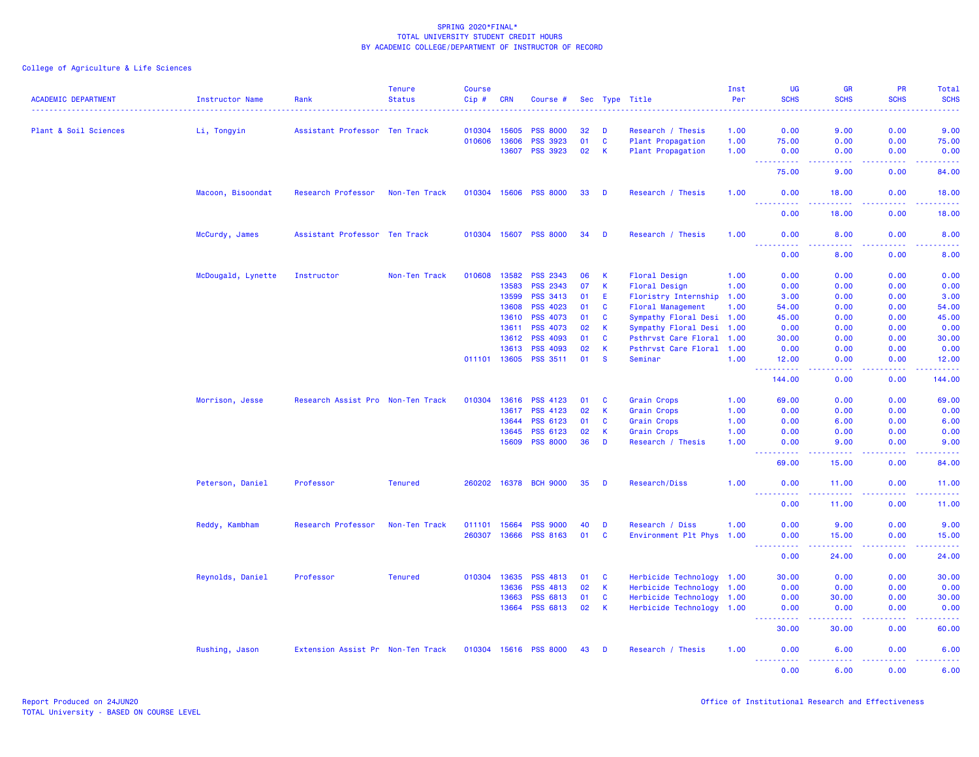| <b>ACADEMIC DEPARTMENT</b> | <b>Instructor Name</b> | Rank                              | <b>Tenure</b><br><b>Status</b> | <b>Course</b><br>Cip# | <b>CRN</b> | Course #                           |          |              | Sec Type Title                  | Inst<br>Per  | <b>UG</b><br><b>SCHS</b>                                                                                                       | <b>GR</b><br><b>SCHS</b>                                                                                                                                      | <b>PR</b><br><b>SCHS</b>     | Total<br><b>SCHS</b> |
|----------------------------|------------------------|-----------------------------------|--------------------------------|-----------------------|------------|------------------------------------|----------|--------------|---------------------------------|--------------|--------------------------------------------------------------------------------------------------------------------------------|---------------------------------------------------------------------------------------------------------------------------------------------------------------|------------------------------|----------------------|
| Plant & Soil Sciences      | Li, Tongyin            | Assistant Professor Ten Track     |                                | 010304                | 15605      | <b>PSS 8000</b>                    | 32       | D            | Research / Thesis               | 1.00         | 0.00                                                                                                                           | 9.00                                                                                                                                                          | 0.00                         | 9.00                 |
|                            |                        |                                   |                                | 010606                | 13606      | <b>PSS 3923</b>                    | 01       | $\mathbf{C}$ | Plant Propagation               | 1.00         | 75.00                                                                                                                          | 0.00                                                                                                                                                          | 0.00                         | 75.00                |
|                            |                        |                                   |                                |                       | 13607      | <b>PSS 3923</b>                    | 02       | <b>K</b>     | Plant Propagation               | 1.00         | 0.00                                                                                                                           | 0.00                                                                                                                                                          | 0.00                         | 0.00                 |
|                            |                        |                                   |                                |                       |            |                                    |          |              |                                 |              | <u> - - - - - - - - - -</u><br>75.00                                                                                           | .<br>9.00                                                                                                                                                     | .<br>0.00                    | .<br>84.00           |
|                            | Macoon, Bisoondat      | Research Professor                | Non-Ten Track                  | 010304 15606          |            | <b>PSS 8000</b>                    | 33       | D            | Research / Thesis               | 1.00         | 0.00<br><u> - - - - - - - - - -</u>                                                                                            | 18.00<br>$\frac{1}{2} \left( \frac{1}{2} \right) \left( \frac{1}{2} \right) \left( \frac{1}{2} \right) \left( \frac{1}{2} \right) \left( \frac{1}{2} \right)$ | 0.00<br>.                    | 18.00<br>.           |
|                            |                        |                                   |                                |                       |            |                                    |          |              |                                 |              | 0.00                                                                                                                           | 18.00                                                                                                                                                         | 0.00                         | 18.00                |
|                            | McCurdy, James         | Assistant Professor Ten Track     |                                | 010304 15607          |            | <b>PSS 8000</b>                    | 34       | D            | Research / Thesis               | 1.00         | 0.00<br>المالم عامات<br>$- - -$                                                                                                | 8.00<br>.                                                                                                                                                     | 0.00<br>.                    | 8.00<br>$- - - -$    |
|                            |                        |                                   |                                |                       |            |                                    |          |              |                                 |              | 0.00                                                                                                                           | 8.00                                                                                                                                                          | 0.00                         | 8.00                 |
|                            | McDougald, Lynette     | Instructor                        | Non-Ten Track                  | 010608                | 13582      | <b>PSS 2343</b>                    | 06       | K            | Floral Design                   | 1.00         | 0.00                                                                                                                           | 0.00                                                                                                                                                          | 0.00                         | 0.00                 |
|                            |                        |                                   |                                |                       | 13583      | <b>PSS 2343</b>                    | 07       | K            | Floral Design                   | 1.00         | 0.00                                                                                                                           | 0.00                                                                                                                                                          | 0.00                         | 0.00                 |
|                            |                        |                                   |                                |                       | 13599      | <b>PSS 3413</b>                    | 01       | E            | Floristry Internship            | 1.00         | 3.00                                                                                                                           | 0.00                                                                                                                                                          | 0.00                         | 3.00                 |
|                            |                        |                                   |                                |                       | 13608      | <b>PSS 4023</b>                    | 01       | <b>C</b>     | <b>Floral Management</b>        | 1.00         | 54.00                                                                                                                          | 0.00                                                                                                                                                          | 0.00                         | 54.00                |
|                            |                        |                                   |                                |                       | 13610      | <b>PSS 4073</b>                    | 01       | C            | Sympathy Floral Desi 1.00       |              | 45.00                                                                                                                          | 0.00                                                                                                                                                          | 0.00                         | 45.00                |
|                            |                        |                                   |                                |                       | 13611      | <b>PSS 4073</b>                    | 02       | К            | Sympathy Floral Desi 1.00       |              | 0.00                                                                                                                           | 0.00                                                                                                                                                          | 0.00                         | 0.00                 |
|                            |                        |                                   |                                |                       | 13612      | <b>PSS 4093</b>                    | 01       | C            | Psthrvst Care Floral            | 1.00         | 30.00                                                                                                                          | 0.00                                                                                                                                                          | 0.00                         | 30.00                |
|                            |                        |                                   |                                | 011101 13605          | 13613      | <b>PSS 4093</b><br><b>PSS 3511</b> | 02<br>01 | K<br>-S      | Psthrvst Care Floral<br>Seminar | 1.00<br>1.00 | 0.00<br>12.00                                                                                                                  | 0.00<br>0.00                                                                                                                                                  | 0.00<br>0.00                 | 0.00<br>12.00        |
|                            |                        |                                   |                                |                       |            |                                    |          |              |                                 |              | .<br>$\frac{1}{2} \left( \frac{1}{2} \right) \left( \frac{1}{2} \right) \left( \frac{1}{2} \right)$<br>144.00                  | الداليات الداري<br>0.00                                                                                                                                       | 22222<br>0.00                | <u>.</u><br>144.00   |
|                            | Morrison, Jesse        | Research Assist Pro Non-Ten Track |                                | 010304                | 13616      | <b>PSS 4123</b>                    | 01       | C            | Grain Crops                     | 1.00         | 69.00                                                                                                                          | 0.00                                                                                                                                                          | 0.00                         | 69.00                |
|                            |                        |                                   |                                |                       | 13617      | <b>PSS 4123</b>                    | 02       | $\mathsf K$  | Grain Crops                     | 1.00         | 0.00                                                                                                                           | 0.00                                                                                                                                                          | 0.00                         | 0.00                 |
|                            |                        |                                   |                                |                       | 13644      | PSS 6123                           | 01       | C            | Grain Crops                     | 1.00         | 0.00                                                                                                                           | 6.00                                                                                                                                                          | 0.00                         | 6.00                 |
|                            |                        |                                   |                                |                       | 13645      | <b>PSS 6123</b>                    | 02       | <b>K</b>     | <b>Grain Crops</b>              | 1.00         | 0.00                                                                                                                           | 0.00                                                                                                                                                          | 0.00                         | 0.00                 |
|                            |                        |                                   |                                |                       | 15609      | <b>PSS 8000</b>                    | 36       | D            | Research / Thesis               | 1.00         | 0.00                                                                                                                           | 9.00                                                                                                                                                          | 0.00                         | 9.00                 |
|                            |                        |                                   |                                |                       |            |                                    |          |              |                                 |              | $\begin{array}{cccccccccc} \bullet & \bullet & \bullet & \bullet & \bullet & \bullet & \bullet & \bullet \end{array}$<br>69.00 | بالأباب<br>15.00                                                                                                                                              | بالأساب<br>0.00              | .<br>84.00           |
|                            | Peterson, Daniel       | Professor                         | <b>Tenured</b>                 | 260202                | 16378      | <b>BCH 9000</b>                    | 35       | D            | Research/Diss                   | 1.00         | 0.00<br>.                                                                                                                      | 11.00<br>.                                                                                                                                                    | 0.00<br>22222                | 11.00<br>.           |
|                            |                        |                                   |                                |                       |            |                                    |          |              |                                 |              | 0.00                                                                                                                           | 11.00                                                                                                                                                         | 0.00                         | 11.00                |
|                            | Reddy, Kambham         | Research Professor                | Non-Ten Track                  | 011101                | 15664      | <b>PSS 9000</b>                    | 40       | D            | Research / Diss                 | 1.00         | 0.00                                                                                                                           | 9.00                                                                                                                                                          | 0.00                         | 9.00                 |
|                            |                        |                                   |                                | 260307                | 13666      | <b>PSS 8163</b>                    | 01       | $\mathbf{C}$ | Environment Plt Phys 1.00       |              | 0.00                                                                                                                           | 15.00                                                                                                                                                         | 0.00                         | 15.00                |
|                            |                        |                                   |                                |                       |            |                                    |          |              |                                 |              | 0.00                                                                                                                           | 24.00                                                                                                                                                         | $\sim$ $\sim$ $\sim$<br>0.00 | 24.00                |
|                            | Reynolds, Daniel       | Professor                         | <b>Tenured</b>                 | 010304                | 13635      | <b>PSS 4813</b>                    | 01       | <b>C</b>     | Herbicide Technology 1.00       |              | 30.00                                                                                                                          | 0.00                                                                                                                                                          | 0.00                         | 30.00                |
|                            |                        |                                   |                                |                       | 13636      | <b>PSS 4813</b>                    | 02       | <b>K</b>     | Herbicide Technology 1.00       |              | 0.00                                                                                                                           | 0.00                                                                                                                                                          | 0.00                         | 0.00                 |
|                            |                        |                                   |                                |                       | 13663      | PSS 6813                           | 01       | $\mathbf C$  | Herbicide Technology 1.00       |              | 0.00                                                                                                                           | 30.00                                                                                                                                                         | 0.00                         | 30.00                |
|                            |                        |                                   |                                |                       | 13664      | PSS 6813                           | 02       | $\mathsf{K}$ | Herbicide Technology 1.00       |              | 0.00                                                                                                                           | 0.00                                                                                                                                                          | 0.00                         | 0.00                 |
|                            |                        |                                   |                                |                       |            |                                    |          |              |                                 |              | 2.2.2.2<br>30.00                                                                                                               | <u>.</u><br>30.00                                                                                                                                             | .<br>0.00                    | .<br>60.00           |
|                            | Rushing, Jason         | Extension Assist Pr Non-Ten Track |                                | 010304                | 15616      | <b>PSS 8000</b>                    | 43       | D            | Research / Thesis               | 1.00         | 0.00<br><u>.</u>                                                                                                               | 6.00<br>.                                                                                                                                                     | 0.00<br>.                    | 6.00                 |
|                            |                        |                                   |                                |                       |            |                                    |          |              |                                 |              | 0.00                                                                                                                           | 6.00                                                                                                                                                          | 0.00                         | 6.00                 |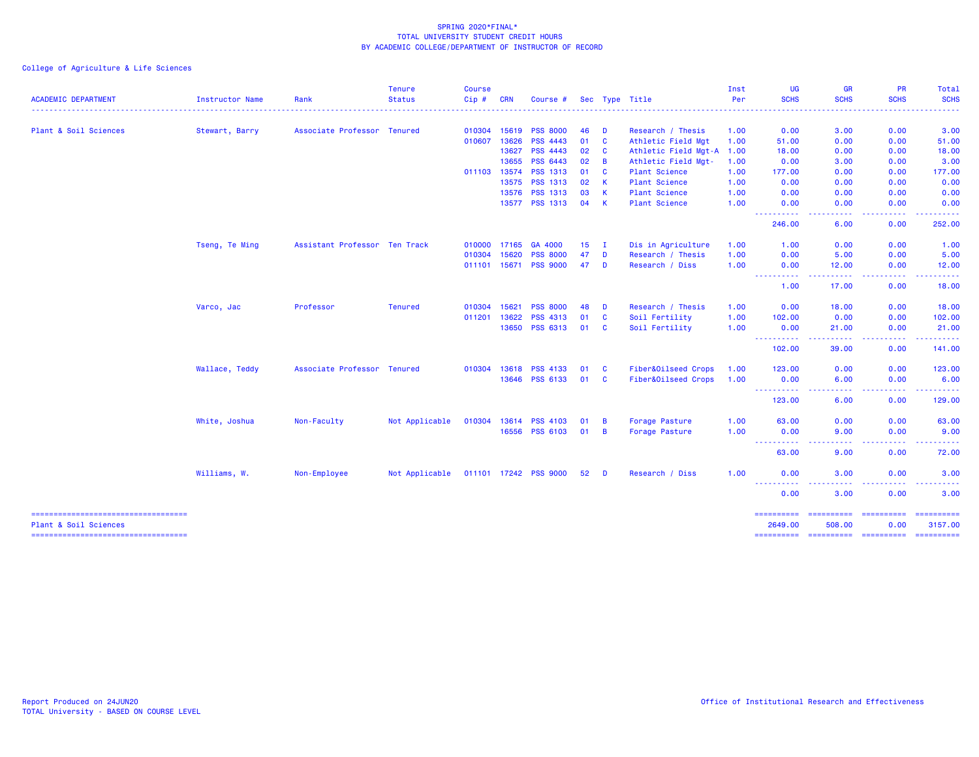|                                                                |                 |                               | <b>Tenure</b>  | <b>Course</b> |            |                       |           |              |                           | Inst | UG                                  | <b>GR</b>                                                                                          | <b>PR</b>                                    | <b>Total</b>                                                                                                                                                                                                                                                                                                                                                                                                                                                                           |
|----------------------------------------------------------------|-----------------|-------------------------------|----------------|---------------|------------|-----------------------|-----------|--------------|---------------------------|------|-------------------------------------|----------------------------------------------------------------------------------------------------|----------------------------------------------|----------------------------------------------------------------------------------------------------------------------------------------------------------------------------------------------------------------------------------------------------------------------------------------------------------------------------------------------------------------------------------------------------------------------------------------------------------------------------------------|
| <b>ACADEMIC DEPARTMENT</b>                                     | Instructor Name | Rank                          | <b>Status</b>  | Cip#          | <b>CRN</b> | Course #              |           |              | Sec Type Title            | Per  | <b>SCHS</b>                         | <b>SCHS</b>                                                                                        | <b>SCHS</b>                                  | <b>SCHS</b>                                                                                                                                                                                                                                                                                                                                                                                                                                                                            |
| Plant & Soil Sciences                                          | Stewart, Barry  | Associate Professor Tenured   |                | 010304        | 15619      | <b>PSS 8000</b>       | 46        | - D          | Research / Thesis         | 1.00 | 0.00                                | 3.00                                                                                               | 0.00                                         | 3.00                                                                                                                                                                                                                                                                                                                                                                                                                                                                                   |
|                                                                |                 |                               |                | 010607        | 13626      | <b>PSS 4443</b>       | 01        | <b>C</b>     | Athletic Field Mgt        | 1.00 | 51.00                               | 0.00                                                                                               | 0.00                                         | 51.00                                                                                                                                                                                                                                                                                                                                                                                                                                                                                  |
|                                                                |                 |                               |                |               | 13627      | <b>PSS 4443</b>       | 02        | $\mathbf{C}$ | Athletic Field Mgt-A 1.00 |      | 18.00                               | 0.00                                                                                               | 0.00                                         | 18.00                                                                                                                                                                                                                                                                                                                                                                                                                                                                                  |
|                                                                |                 |                               |                |               | 13655      | PSS 6443              | 02        | B            | Athletic Field Mgt-       | 1.00 | 0.00                                | 3.00                                                                                               | 0.00                                         | 3.00                                                                                                                                                                                                                                                                                                                                                                                                                                                                                   |
|                                                                |                 |                               |                | 011103 13574  |            | <b>PSS 1313</b>       | 01        | <b>C</b>     | <b>Plant Science</b>      | 1.00 | 177,00                              | 0.00                                                                                               | 0.00                                         | 177.00                                                                                                                                                                                                                                                                                                                                                                                                                                                                                 |
|                                                                |                 |                               |                |               | 13575      | <b>PSS 1313</b>       | 02        | K            | <b>Plant Science</b>      | 1.00 | 0.00                                | 0.00                                                                                               | 0.00                                         | 0.00                                                                                                                                                                                                                                                                                                                                                                                                                                                                                   |
|                                                                |                 |                               |                |               | 13576      | <b>PSS 1313</b>       | 03        | K            | <b>Plant Science</b>      | 1.00 | 0.00                                | 0.00                                                                                               | 0.00                                         | 0.00                                                                                                                                                                                                                                                                                                                                                                                                                                                                                   |
|                                                                |                 |                               |                |               |            | 13577 PSS 1313        | 04        | K            | <b>Plant Science</b>      | 1.00 | 0.00                                | 0.00                                                                                               | 0.00                                         | 0.00<br><u>.</u>                                                                                                                                                                                                                                                                                                                                                                                                                                                                       |
|                                                                |                 |                               |                |               |            |                       |           |              |                           |      | ----------<br>246.00                | د د د د<br>$\frac{1}{2} \left( \frac{1}{2} \right) \frac{1}{2} \left( \frac{1}{2} \right)$<br>6.00 | <b><i><u><u> - - - -</u></u></i></b><br>0.00 | 252.00                                                                                                                                                                                                                                                                                                                                                                                                                                                                                 |
|                                                                | Tseng, Te Ming  | Assistant Professor Ten Track |                | 010000        | 17165      | GA 4000               | 15        | $\mathbf{I}$ | Dis in Agriculture        | 1.00 | 1.00                                | 0.00                                                                                               | 0.00                                         | 1.00                                                                                                                                                                                                                                                                                                                                                                                                                                                                                   |
|                                                                |                 |                               |                | 010304        | 15620      | <b>PSS 8000</b>       | 47        | D            | Research / Thesis         | 1.00 | 0.00                                | 5.00                                                                                               | 0.00                                         | 5.00                                                                                                                                                                                                                                                                                                                                                                                                                                                                                   |
|                                                                |                 |                               |                | 011101 15671  |            | <b>PSS 9000</b>       | 47        | D            | Research / Diss           | 1.00 | 0.00<br><u> - - - - - - - - - -</u> | 12.00<br><b><i><u><u>.</u></u></i></b>                                                             | 0.00<br>.                                    | 12.00<br>.                                                                                                                                                                                                                                                                                                                                                                                                                                                                             |
|                                                                |                 |                               |                |               |            |                       |           |              |                           |      | 1.00                                | 17.00                                                                                              | 0.00                                         | 18.00                                                                                                                                                                                                                                                                                                                                                                                                                                                                                  |
|                                                                | Varco, Jac      | Professor                     | <b>Tenured</b> | 010304        | 15621      | <b>PSS 8000</b>       | 48        | D            | Research / Thesis         | 1.00 | 0.00                                | 18.00                                                                                              | 0.00                                         | 18.00                                                                                                                                                                                                                                                                                                                                                                                                                                                                                  |
|                                                                |                 |                               |                | 011201        | 13622      | PSS 4313              | 01        | $\mathbf{C}$ | Soil Fertility            | 1.00 | 102.00                              | 0.00                                                                                               | 0.00                                         | 102.00                                                                                                                                                                                                                                                                                                                                                                                                                                                                                 |
|                                                                |                 |                               |                |               | 13650      | PSS 6313              | 01        | <b>C</b>     | Soil Fertility            | 1.00 | 0.00<br>-----------                 | 21.00                                                                                              | 0.00<br>.                                    | 21.00<br>.                                                                                                                                                                                                                                                                                                                                                                                                                                                                             |
|                                                                |                 |                               |                |               |            |                       |           |              |                           |      | 102.00                              | 39.00                                                                                              | 0.00                                         | 141.00                                                                                                                                                                                                                                                                                                                                                                                                                                                                                 |
|                                                                | Wallace, Teddy  | Associate Professor Tenured   |                | 010304        | 13618      | <b>PSS 4133</b>       | 01        | C            | Fiber&Oilseed Crops       | 1.00 | 123.00                              | 0.00                                                                                               | 0.00                                         | 123.00                                                                                                                                                                                                                                                                                                                                                                                                                                                                                 |
|                                                                |                 |                               |                |               | 13646      | <b>PSS 6133</b>       | 01        | C            | Fiber&Oilseed Crops       | 1.00 | 0.00<br>----------                  | 6.00<br>.                                                                                          | 0.00<br>-----                                | 6.00<br>.                                                                                                                                                                                                                                                                                                                                                                                                                                                                              |
|                                                                |                 |                               |                |               |            |                       |           |              |                           |      | 123.00                              | 6.00                                                                                               | 0.00                                         | 129.00                                                                                                                                                                                                                                                                                                                                                                                                                                                                                 |
|                                                                | White, Joshua   | Non-Faculty                   | Not Applicable | 010304        | 13614      | <b>PSS 4103</b>       | <b>O1</b> | B            | Forage Pasture            | 1.00 | 63.00                               | 0.00                                                                                               | 0.00                                         | 63.00                                                                                                                                                                                                                                                                                                                                                                                                                                                                                  |
|                                                                |                 |                               |                |               | 16556      | <b>PSS 6103</b>       | 01        | B            | Forage Pasture            | 1.00 | 0.00<br><b>.</b>                    | 9.00<br><b>.</b>                                                                                   | 0.00<br>.                                    | 9.00<br>وساعت                                                                                                                                                                                                                                                                                                                                                                                                                                                                          |
|                                                                |                 |                               |                |               |            |                       |           |              |                           |      | 63.00                               | 9.00                                                                                               | 0.00                                         | 72.00                                                                                                                                                                                                                                                                                                                                                                                                                                                                                  |
|                                                                | Williams, W.    | Non-Employee                  | Not Applicable |               |            | 011101 17242 PSS 9000 | 52 D      |              | Research / Diss           | 1.00 | 0.00                                | 3.00                                                                                               | 0.00                                         | 3.00                                                                                                                                                                                                                                                                                                                                                                                                                                                                                   |
|                                                                |                 |                               |                |               |            |                       |           |              |                           |      | ----------<br>0.00                  | 3.00                                                                                               | 0.00                                         | 3.00                                                                                                                                                                                                                                                                                                                                                                                                                                                                                   |
| =====================================                          |                 |                               |                |               |            |                       |           |              |                           |      | ==========                          | =======================                                                                            |                                              | $\begin{array}{cccccccccc} \multicolumn{2}{c}{} & \multicolumn{2}{c}{} & \multicolumn{2}{c}{} & \multicolumn{2}{c}{} & \multicolumn{2}{c}{} & \multicolumn{2}{c}{} & \multicolumn{2}{c}{} & \multicolumn{2}{c}{} & \multicolumn{2}{c}{} & \multicolumn{2}{c}{} & \multicolumn{2}{c}{} & \multicolumn{2}{c}{} & \multicolumn{2}{c}{} & \multicolumn{2}{c}{} & \multicolumn{2}{c}{} & \multicolumn{2}{c}{} & \multicolumn{2}{c}{} & \multicolumn{2}{c}{} & \multicolumn{2}{c}{} & \mult$ |
| Plant & Soil Sciences<br>===================================== |                 |                               |                |               |            |                       |           |              |                           |      | 2649.00<br>==========               | 508.00<br>----------- ---------- ---------                                                         | 0.00                                         | 3157.00                                                                                                                                                                                                                                                                                                                                                                                                                                                                                |
|                                                                |                 |                               |                |               |            |                       |           |              |                           |      |                                     |                                                                                                    |                                              |                                                                                                                                                                                                                                                                                                                                                                                                                                                                                        |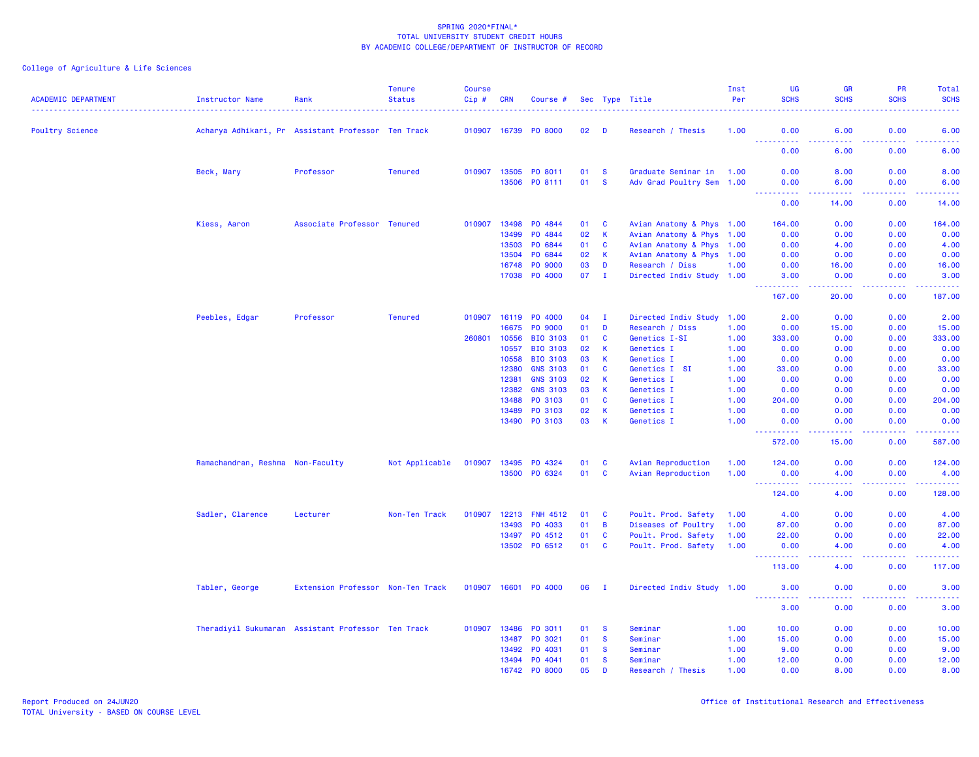| <b>Poultry Science</b><br>Acharya Adhikari, Pr Assistant Professor Ten Track<br>010907 16739<br><b>PO 8000</b><br>02<br>D<br>Research / Thesis<br>1.00<br>0.00<br>6.00<br>0.00<br>6.00<br><b></b><br>22222<br>.<br>وبالاناب<br>0.00<br>6.00<br>0.00<br>6.00<br>010907 13505<br>Graduate Seminar in 1.00<br>8.00<br>Beck, Mary<br>Professor<br><b>Tenured</b><br>PO 8011<br>01<br><b>S</b><br>0.00<br>8.00<br>0.00<br><b>S</b><br>13506<br>PO 8111<br>01<br>Adv Grad Poultry Sem 1.00<br>0.00<br>6.00<br>0.00<br>6.00<br><b>_________</b><br>المتمامين<br>. <b>.</b><br>.<br>0.00<br>14.00<br>0.00<br>14.00<br>Kiess, Aaron<br>Associate Professor Tenured<br>010907<br>13498<br>PO 4844<br>01<br>C<br>Avian Anatomy & Phys 1.00<br>164.00<br>0.00<br>0.00<br>164.00<br>$\mathsf K$<br>13499<br>PO 4844<br>02<br>0.00<br>0.00<br>Avian Anatomy & Phys 1.00<br>0.00<br>0.00<br>13503<br>PO 6844<br>$\mathbf{C}$<br>0.00<br>01<br>Avian Anatomy & Phys 1.00<br>0.00<br>4.00<br>4.00<br>13504<br>PO 6844<br>$\mathsf K$<br>02<br>Avian Anatomy & Phys 1.00<br>0.00<br>0.00<br>0.00<br>0.00<br>D<br>16748<br>PO 9000<br>03<br>Research / Diss<br>1.00<br>0.00<br>16.00<br>0.00<br>16.00<br>17038<br>PO 4000<br>07<br>$\mathbf{I}$<br>Directed Indiv Study 1.00<br>0.00<br>3.00<br>0.00<br>3.00<br>.<br>$\frac{1}{2} \left( \frac{1}{2} \right) \left( \frac{1}{2} \right) \left( \frac{1}{2} \right) \left( \frac{1}{2} \right)$<br>.<br>.<br>187.00<br>167.00<br>20.00<br>0.00<br>Peebles, Edgar<br>Professor<br><b>Tenured</b><br>010907<br>16119 PO 4000<br>04<br>$\mathbf{I}$<br>Directed Indiv Study<br>1.00<br>2.00<br>0.00<br>0.00<br>2.00<br>16675<br>PO 9000<br>01<br>D<br>Research / Diss<br>1.00<br>0.00<br>15.00<br>0.00<br>15.00<br>260801<br>10556<br><b>BIO 3103</b><br>C<br>0.00<br>333.00<br>01<br>Genetics I-SI<br>1.00<br>333.00<br>0.00<br><b>BIO 3103</b><br>10557<br>02<br>K<br>Genetics I<br>1.00<br>0.00<br>0.00<br>0.00<br>0.00<br>10558<br><b>BIO 3103</b><br>03<br>K.<br>Genetics I<br>1.00<br>0.00<br>0.00<br>0.00<br>0.00<br><b>GNS 3103</b><br>$\mathbf{C}$<br>12380<br>01<br>Genetics I SI<br>1.00<br>33.00<br>0.00<br>0.00<br>33.00<br>12381<br><b>GNS 3103</b><br>02<br>К<br>1.00<br>0.00<br>0.00<br>0.00<br>Genetics I<br>0.00<br><b>GNS 3103</b><br>12382<br>К<br>0.00<br>03<br>Genetics I<br>1.00<br>0.00<br>0.00<br>0.00<br>$\mathbf c$<br>PO 3103<br>204.00<br>13488<br>01<br>Genetics I<br>1.00<br>204.00<br>0.00<br>0.00<br>13489<br>PO 3103<br>02<br>K<br>Genetics I<br>1.00<br>0.00<br>0.00<br>0.00<br>0.00<br>13490<br>PO 3103<br>03<br>K<br>Genetics I<br>1.00<br>0.00<br>0.00<br>0.00<br>0.00<br><u> - - - - - - - - - -</u><br>22222<br>.<br>$\begin{array}{cccccccccc} \bullet & \bullet & \bullet & \bullet & \bullet & \bullet & \bullet & \bullet \end{array}$<br>587.00<br>572.00<br>15.00<br>0.00<br>Ramachandran, Reshma Non-Faculty<br>Not Applicable<br>010907<br>13495<br>PO 4324<br>01<br>C<br>Avian Reproduction<br>1.00<br>124.00<br>0.00<br>0.00<br>124.00<br>$\mathbf{C}$<br>13500<br>PO 6324<br>01<br>Avian Reproduction<br>0.00<br>1.00<br>0.00<br>4.00<br>4.00<br>----------<br>.<br>.<br>.<br>124.00<br>4.00<br>0.00<br>128.00<br>Sadler, Clarence<br>Non-Ten Track<br>010907<br>12213 FNH 4512<br>Poult. Prod. Safety<br>0.00<br>0.00<br>4.00<br>Lecturer<br>01<br>C<br>1.00<br>4.00<br>13493<br>PO 4033<br>01<br>B<br>Diseases of Poultry<br>1.00<br>87.00<br>0.00<br>0.00<br>87.00<br>C<br>13497 PO 4512<br>01<br>Poult. Prod. Safety<br>1.00<br>22.00<br>0.00<br>0.00<br>22.00<br>13502 PO 6512<br>01<br><b>C</b><br>Poult. Prod. Safety<br>1.00<br>4.00<br>0.00<br>4.00<br>0.00<br>.<br>.<br>د د د د<br>.<br>113.00<br>4.00<br>0.00<br>117.00<br>Tabler, George<br>Extension Professor Non-Ten Track<br>010907 16601 P0 4000<br>06<br>Directed Indiv Study 1.00<br>3.00<br>0.00<br>0.00<br>- I<br>3.00<br><u>.</u><br>بابات باب<br>-----<br>بالأباليات<br>3.00<br>0.00<br>0.00<br>3.00<br>Theradiyil Sukumaran Assistant Professor Ten Track<br>010907<br>13486<br>PO 3011<br>01<br>Seminar<br>1.00<br>0.00<br>0.00<br>10.00<br><b>S</b><br>10.00<br>13487<br>PO 3021<br>01<br><b>S</b><br>Seminar<br>1.00<br>15.00<br>0.00<br>0.00<br>15.00<br>13492<br>PO 4031<br>01<br><b>S</b><br>1.00<br>9.00<br>0.00<br>0.00<br>9.00<br>Seminar<br>13494<br>PO 4041<br>01<br><b>S</b><br>Seminar<br>1.00<br>12.00<br>0.00<br>0.00<br>12.00<br>05<br>D<br>16742 PO 8000<br>1.00<br>0.00<br>8.00<br>0.00<br>8.00<br>Research / Thesis | <b>ACADEMIC DEPARTMENT</b> | <b>Instructor Name</b> | Rank | <b>Tenure</b><br><b>Status</b> | <b>Course</b><br>Cip# | <b>CRN</b> | Course # |  | Sec Type Title | Inst<br>Per | <b>UG</b><br><b>SCHS</b> | <b>GR</b><br><b>SCHS</b> | <b>PR</b><br><b>SCHS</b> | Total<br><b>SCHS</b> |
|--------------------------------------------------------------------------------------------------------------------------------------------------------------------------------------------------------------------------------------------------------------------------------------------------------------------------------------------------------------------------------------------------------------------------------------------------------------------------------------------------------------------------------------------------------------------------------------------------------------------------------------------------------------------------------------------------------------------------------------------------------------------------------------------------------------------------------------------------------------------------------------------------------------------------------------------------------------------------------------------------------------------------------------------------------------------------------------------------------------------------------------------------------------------------------------------------------------------------------------------------------------------------------------------------------------------------------------------------------------------------------------------------------------------------------------------------------------------------------------------------------------------------------------------------------------------------------------------------------------------------------------------------------------------------------------------------------------------------------------------------------------------------------------------------------------------------------------------------------------------------------------------------------------------------------------------------------------------------------------------------------------------------------------------------------------------------------------------------------------------------------------------------------------------------------------------------------------------------------------------------------------------------------------------------------------------------------------------------------------------------------------------------------------------------------------------------------------------------------------------------------------------------------------------------------------------------------------------------------------------------------------------------------------------------------------------------------------------------------------------------------------------------------------------------------------------------------------------------------------------------------------------------------------------------------------------------------------------------------------------------------------------------------------------------------------------------------------------------------------------------------------------------------------------------------------------------------------------------------------------------------------------------------------------------------------------------------------------------------------------------------------------------------------------------------------------------------------------------------------------------------------------------------------------------------------------------------------------------------------------------------------------------------------------------------------------------------------------------------------------------------------------------------------------------------------------------------------------------------------------------------------------------------------------------------------------------------------------------------------------------------------------------------------------------------------------------------------------------------------------------------------------------------------------------------------------------------------------------------------------------------------------------------------------------------------------------------------------------------------------------------------------------------------------------------------------------------------------------------------------|----------------------------|------------------------|------|--------------------------------|-----------------------|------------|----------|--|----------------|-------------|--------------------------|--------------------------|--------------------------|----------------------|
|                                                                                                                                                                                                                                                                                                                                                                                                                                                                                                                                                                                                                                                                                                                                                                                                                                                                                                                                                                                                                                                                                                                                                                                                                                                                                                                                                                                                                                                                                                                                                                                                                                                                                                                                                                                                                                                                                                                                                                                                                                                                                                                                                                                                                                                                                                                                                                                                                                                                                                                                                                                                                                                                                                                                                                                                                                                                                                                                                                                                                                                                                                                                                                                                                                                                                                                                                                                                                                                                                                                                                                                                                                                                                                                                                                                                                                                                                                                                                                                                                                                                                                                                                                                                                                                                                                                                                                                                                                                                                            |                            |                        |      |                                |                       |            |          |  |                |             |                          |                          |                          |                      |
|                                                                                                                                                                                                                                                                                                                                                                                                                                                                                                                                                                                                                                                                                                                                                                                                                                                                                                                                                                                                                                                                                                                                                                                                                                                                                                                                                                                                                                                                                                                                                                                                                                                                                                                                                                                                                                                                                                                                                                                                                                                                                                                                                                                                                                                                                                                                                                                                                                                                                                                                                                                                                                                                                                                                                                                                                                                                                                                                                                                                                                                                                                                                                                                                                                                                                                                                                                                                                                                                                                                                                                                                                                                                                                                                                                                                                                                                                                                                                                                                                                                                                                                                                                                                                                                                                                                                                                                                                                                                                            |                            |                        |      |                                |                       |            |          |  |                |             |                          |                          |                          |                      |
|                                                                                                                                                                                                                                                                                                                                                                                                                                                                                                                                                                                                                                                                                                                                                                                                                                                                                                                                                                                                                                                                                                                                                                                                                                                                                                                                                                                                                                                                                                                                                                                                                                                                                                                                                                                                                                                                                                                                                                                                                                                                                                                                                                                                                                                                                                                                                                                                                                                                                                                                                                                                                                                                                                                                                                                                                                                                                                                                                                                                                                                                                                                                                                                                                                                                                                                                                                                                                                                                                                                                                                                                                                                                                                                                                                                                                                                                                                                                                                                                                                                                                                                                                                                                                                                                                                                                                                                                                                                                                            |                            |                        |      |                                |                       |            |          |  |                |             |                          |                          |                          |                      |
|                                                                                                                                                                                                                                                                                                                                                                                                                                                                                                                                                                                                                                                                                                                                                                                                                                                                                                                                                                                                                                                                                                                                                                                                                                                                                                                                                                                                                                                                                                                                                                                                                                                                                                                                                                                                                                                                                                                                                                                                                                                                                                                                                                                                                                                                                                                                                                                                                                                                                                                                                                                                                                                                                                                                                                                                                                                                                                                                                                                                                                                                                                                                                                                                                                                                                                                                                                                                                                                                                                                                                                                                                                                                                                                                                                                                                                                                                                                                                                                                                                                                                                                                                                                                                                                                                                                                                                                                                                                                                            |                            |                        |      |                                |                       |            |          |  |                |             |                          |                          |                          |                      |
|                                                                                                                                                                                                                                                                                                                                                                                                                                                                                                                                                                                                                                                                                                                                                                                                                                                                                                                                                                                                                                                                                                                                                                                                                                                                                                                                                                                                                                                                                                                                                                                                                                                                                                                                                                                                                                                                                                                                                                                                                                                                                                                                                                                                                                                                                                                                                                                                                                                                                                                                                                                                                                                                                                                                                                                                                                                                                                                                                                                                                                                                                                                                                                                                                                                                                                                                                                                                                                                                                                                                                                                                                                                                                                                                                                                                                                                                                                                                                                                                                                                                                                                                                                                                                                                                                                                                                                                                                                                                                            |                            |                        |      |                                |                       |            |          |  |                |             |                          |                          |                          |                      |
|                                                                                                                                                                                                                                                                                                                                                                                                                                                                                                                                                                                                                                                                                                                                                                                                                                                                                                                                                                                                                                                                                                                                                                                                                                                                                                                                                                                                                                                                                                                                                                                                                                                                                                                                                                                                                                                                                                                                                                                                                                                                                                                                                                                                                                                                                                                                                                                                                                                                                                                                                                                                                                                                                                                                                                                                                                                                                                                                                                                                                                                                                                                                                                                                                                                                                                                                                                                                                                                                                                                                                                                                                                                                                                                                                                                                                                                                                                                                                                                                                                                                                                                                                                                                                                                                                                                                                                                                                                                                                            |                            |                        |      |                                |                       |            |          |  |                |             |                          |                          |                          |                      |
|                                                                                                                                                                                                                                                                                                                                                                                                                                                                                                                                                                                                                                                                                                                                                                                                                                                                                                                                                                                                                                                                                                                                                                                                                                                                                                                                                                                                                                                                                                                                                                                                                                                                                                                                                                                                                                                                                                                                                                                                                                                                                                                                                                                                                                                                                                                                                                                                                                                                                                                                                                                                                                                                                                                                                                                                                                                                                                                                                                                                                                                                                                                                                                                                                                                                                                                                                                                                                                                                                                                                                                                                                                                                                                                                                                                                                                                                                                                                                                                                                                                                                                                                                                                                                                                                                                                                                                                                                                                                                            |                            |                        |      |                                |                       |            |          |  |                |             |                          |                          |                          |                      |
|                                                                                                                                                                                                                                                                                                                                                                                                                                                                                                                                                                                                                                                                                                                                                                                                                                                                                                                                                                                                                                                                                                                                                                                                                                                                                                                                                                                                                                                                                                                                                                                                                                                                                                                                                                                                                                                                                                                                                                                                                                                                                                                                                                                                                                                                                                                                                                                                                                                                                                                                                                                                                                                                                                                                                                                                                                                                                                                                                                                                                                                                                                                                                                                                                                                                                                                                                                                                                                                                                                                                                                                                                                                                                                                                                                                                                                                                                                                                                                                                                                                                                                                                                                                                                                                                                                                                                                                                                                                                                            |                            |                        |      |                                |                       |            |          |  |                |             |                          |                          |                          |                      |
|                                                                                                                                                                                                                                                                                                                                                                                                                                                                                                                                                                                                                                                                                                                                                                                                                                                                                                                                                                                                                                                                                                                                                                                                                                                                                                                                                                                                                                                                                                                                                                                                                                                                                                                                                                                                                                                                                                                                                                                                                                                                                                                                                                                                                                                                                                                                                                                                                                                                                                                                                                                                                                                                                                                                                                                                                                                                                                                                                                                                                                                                                                                                                                                                                                                                                                                                                                                                                                                                                                                                                                                                                                                                                                                                                                                                                                                                                                                                                                                                                                                                                                                                                                                                                                                                                                                                                                                                                                                                                            |                            |                        |      |                                |                       |            |          |  |                |             |                          |                          |                          |                      |
|                                                                                                                                                                                                                                                                                                                                                                                                                                                                                                                                                                                                                                                                                                                                                                                                                                                                                                                                                                                                                                                                                                                                                                                                                                                                                                                                                                                                                                                                                                                                                                                                                                                                                                                                                                                                                                                                                                                                                                                                                                                                                                                                                                                                                                                                                                                                                                                                                                                                                                                                                                                                                                                                                                                                                                                                                                                                                                                                                                                                                                                                                                                                                                                                                                                                                                                                                                                                                                                                                                                                                                                                                                                                                                                                                                                                                                                                                                                                                                                                                                                                                                                                                                                                                                                                                                                                                                                                                                                                                            |                            |                        |      |                                |                       |            |          |  |                |             |                          |                          |                          |                      |
|                                                                                                                                                                                                                                                                                                                                                                                                                                                                                                                                                                                                                                                                                                                                                                                                                                                                                                                                                                                                                                                                                                                                                                                                                                                                                                                                                                                                                                                                                                                                                                                                                                                                                                                                                                                                                                                                                                                                                                                                                                                                                                                                                                                                                                                                                                                                                                                                                                                                                                                                                                                                                                                                                                                                                                                                                                                                                                                                                                                                                                                                                                                                                                                                                                                                                                                                                                                                                                                                                                                                                                                                                                                                                                                                                                                                                                                                                                                                                                                                                                                                                                                                                                                                                                                                                                                                                                                                                                                                                            |                            |                        |      |                                |                       |            |          |  |                |             |                          |                          |                          |                      |
|                                                                                                                                                                                                                                                                                                                                                                                                                                                                                                                                                                                                                                                                                                                                                                                                                                                                                                                                                                                                                                                                                                                                                                                                                                                                                                                                                                                                                                                                                                                                                                                                                                                                                                                                                                                                                                                                                                                                                                                                                                                                                                                                                                                                                                                                                                                                                                                                                                                                                                                                                                                                                                                                                                                                                                                                                                                                                                                                                                                                                                                                                                                                                                                                                                                                                                                                                                                                                                                                                                                                                                                                                                                                                                                                                                                                                                                                                                                                                                                                                                                                                                                                                                                                                                                                                                                                                                                                                                                                                            |                            |                        |      |                                |                       |            |          |  |                |             |                          |                          |                          |                      |
|                                                                                                                                                                                                                                                                                                                                                                                                                                                                                                                                                                                                                                                                                                                                                                                                                                                                                                                                                                                                                                                                                                                                                                                                                                                                                                                                                                                                                                                                                                                                                                                                                                                                                                                                                                                                                                                                                                                                                                                                                                                                                                                                                                                                                                                                                                                                                                                                                                                                                                                                                                                                                                                                                                                                                                                                                                                                                                                                                                                                                                                                                                                                                                                                                                                                                                                                                                                                                                                                                                                                                                                                                                                                                                                                                                                                                                                                                                                                                                                                                                                                                                                                                                                                                                                                                                                                                                                                                                                                                            |                            |                        |      |                                |                       |            |          |  |                |             |                          |                          |                          |                      |
|                                                                                                                                                                                                                                                                                                                                                                                                                                                                                                                                                                                                                                                                                                                                                                                                                                                                                                                                                                                                                                                                                                                                                                                                                                                                                                                                                                                                                                                                                                                                                                                                                                                                                                                                                                                                                                                                                                                                                                                                                                                                                                                                                                                                                                                                                                                                                                                                                                                                                                                                                                                                                                                                                                                                                                                                                                                                                                                                                                                                                                                                                                                                                                                                                                                                                                                                                                                                                                                                                                                                                                                                                                                                                                                                                                                                                                                                                                                                                                                                                                                                                                                                                                                                                                                                                                                                                                                                                                                                                            |                            |                        |      |                                |                       |            |          |  |                |             |                          |                          |                          |                      |
|                                                                                                                                                                                                                                                                                                                                                                                                                                                                                                                                                                                                                                                                                                                                                                                                                                                                                                                                                                                                                                                                                                                                                                                                                                                                                                                                                                                                                                                                                                                                                                                                                                                                                                                                                                                                                                                                                                                                                                                                                                                                                                                                                                                                                                                                                                                                                                                                                                                                                                                                                                                                                                                                                                                                                                                                                                                                                                                                                                                                                                                                                                                                                                                                                                                                                                                                                                                                                                                                                                                                                                                                                                                                                                                                                                                                                                                                                                                                                                                                                                                                                                                                                                                                                                                                                                                                                                                                                                                                                            |                            |                        |      |                                |                       |            |          |  |                |             |                          |                          |                          |                      |
|                                                                                                                                                                                                                                                                                                                                                                                                                                                                                                                                                                                                                                                                                                                                                                                                                                                                                                                                                                                                                                                                                                                                                                                                                                                                                                                                                                                                                                                                                                                                                                                                                                                                                                                                                                                                                                                                                                                                                                                                                                                                                                                                                                                                                                                                                                                                                                                                                                                                                                                                                                                                                                                                                                                                                                                                                                                                                                                                                                                                                                                                                                                                                                                                                                                                                                                                                                                                                                                                                                                                                                                                                                                                                                                                                                                                                                                                                                                                                                                                                                                                                                                                                                                                                                                                                                                                                                                                                                                                                            |                            |                        |      |                                |                       |            |          |  |                |             |                          |                          |                          |                      |
|                                                                                                                                                                                                                                                                                                                                                                                                                                                                                                                                                                                                                                                                                                                                                                                                                                                                                                                                                                                                                                                                                                                                                                                                                                                                                                                                                                                                                                                                                                                                                                                                                                                                                                                                                                                                                                                                                                                                                                                                                                                                                                                                                                                                                                                                                                                                                                                                                                                                                                                                                                                                                                                                                                                                                                                                                                                                                                                                                                                                                                                                                                                                                                                                                                                                                                                                                                                                                                                                                                                                                                                                                                                                                                                                                                                                                                                                                                                                                                                                                                                                                                                                                                                                                                                                                                                                                                                                                                                                                            |                            |                        |      |                                |                       |            |          |  |                |             |                          |                          |                          |                      |
|                                                                                                                                                                                                                                                                                                                                                                                                                                                                                                                                                                                                                                                                                                                                                                                                                                                                                                                                                                                                                                                                                                                                                                                                                                                                                                                                                                                                                                                                                                                                                                                                                                                                                                                                                                                                                                                                                                                                                                                                                                                                                                                                                                                                                                                                                                                                                                                                                                                                                                                                                                                                                                                                                                                                                                                                                                                                                                                                                                                                                                                                                                                                                                                                                                                                                                                                                                                                                                                                                                                                                                                                                                                                                                                                                                                                                                                                                                                                                                                                                                                                                                                                                                                                                                                                                                                                                                                                                                                                                            |                            |                        |      |                                |                       |            |          |  |                |             |                          |                          |                          |                      |
|                                                                                                                                                                                                                                                                                                                                                                                                                                                                                                                                                                                                                                                                                                                                                                                                                                                                                                                                                                                                                                                                                                                                                                                                                                                                                                                                                                                                                                                                                                                                                                                                                                                                                                                                                                                                                                                                                                                                                                                                                                                                                                                                                                                                                                                                                                                                                                                                                                                                                                                                                                                                                                                                                                                                                                                                                                                                                                                                                                                                                                                                                                                                                                                                                                                                                                                                                                                                                                                                                                                                                                                                                                                                                                                                                                                                                                                                                                                                                                                                                                                                                                                                                                                                                                                                                                                                                                                                                                                                                            |                            |                        |      |                                |                       |            |          |  |                |             |                          |                          |                          |                      |
|                                                                                                                                                                                                                                                                                                                                                                                                                                                                                                                                                                                                                                                                                                                                                                                                                                                                                                                                                                                                                                                                                                                                                                                                                                                                                                                                                                                                                                                                                                                                                                                                                                                                                                                                                                                                                                                                                                                                                                                                                                                                                                                                                                                                                                                                                                                                                                                                                                                                                                                                                                                                                                                                                                                                                                                                                                                                                                                                                                                                                                                                                                                                                                                                                                                                                                                                                                                                                                                                                                                                                                                                                                                                                                                                                                                                                                                                                                                                                                                                                                                                                                                                                                                                                                                                                                                                                                                                                                                                                            |                            |                        |      |                                |                       |            |          |  |                |             |                          |                          |                          |                      |
|                                                                                                                                                                                                                                                                                                                                                                                                                                                                                                                                                                                                                                                                                                                                                                                                                                                                                                                                                                                                                                                                                                                                                                                                                                                                                                                                                                                                                                                                                                                                                                                                                                                                                                                                                                                                                                                                                                                                                                                                                                                                                                                                                                                                                                                                                                                                                                                                                                                                                                                                                                                                                                                                                                                                                                                                                                                                                                                                                                                                                                                                                                                                                                                                                                                                                                                                                                                                                                                                                                                                                                                                                                                                                                                                                                                                                                                                                                                                                                                                                                                                                                                                                                                                                                                                                                                                                                                                                                                                                            |                            |                        |      |                                |                       |            |          |  |                |             |                          |                          |                          |                      |
|                                                                                                                                                                                                                                                                                                                                                                                                                                                                                                                                                                                                                                                                                                                                                                                                                                                                                                                                                                                                                                                                                                                                                                                                                                                                                                                                                                                                                                                                                                                                                                                                                                                                                                                                                                                                                                                                                                                                                                                                                                                                                                                                                                                                                                                                                                                                                                                                                                                                                                                                                                                                                                                                                                                                                                                                                                                                                                                                                                                                                                                                                                                                                                                                                                                                                                                                                                                                                                                                                                                                                                                                                                                                                                                                                                                                                                                                                                                                                                                                                                                                                                                                                                                                                                                                                                                                                                                                                                                                                            |                            |                        |      |                                |                       |            |          |  |                |             |                          |                          |                          |                      |
|                                                                                                                                                                                                                                                                                                                                                                                                                                                                                                                                                                                                                                                                                                                                                                                                                                                                                                                                                                                                                                                                                                                                                                                                                                                                                                                                                                                                                                                                                                                                                                                                                                                                                                                                                                                                                                                                                                                                                                                                                                                                                                                                                                                                                                                                                                                                                                                                                                                                                                                                                                                                                                                                                                                                                                                                                                                                                                                                                                                                                                                                                                                                                                                                                                                                                                                                                                                                                                                                                                                                                                                                                                                                                                                                                                                                                                                                                                                                                                                                                                                                                                                                                                                                                                                                                                                                                                                                                                                                                            |                            |                        |      |                                |                       |            |          |  |                |             |                          |                          |                          |                      |
|                                                                                                                                                                                                                                                                                                                                                                                                                                                                                                                                                                                                                                                                                                                                                                                                                                                                                                                                                                                                                                                                                                                                                                                                                                                                                                                                                                                                                                                                                                                                                                                                                                                                                                                                                                                                                                                                                                                                                                                                                                                                                                                                                                                                                                                                                                                                                                                                                                                                                                                                                                                                                                                                                                                                                                                                                                                                                                                                                                                                                                                                                                                                                                                                                                                                                                                                                                                                                                                                                                                                                                                                                                                                                                                                                                                                                                                                                                                                                                                                                                                                                                                                                                                                                                                                                                                                                                                                                                                                                            |                            |                        |      |                                |                       |            |          |  |                |             |                          |                          |                          |                      |
|                                                                                                                                                                                                                                                                                                                                                                                                                                                                                                                                                                                                                                                                                                                                                                                                                                                                                                                                                                                                                                                                                                                                                                                                                                                                                                                                                                                                                                                                                                                                                                                                                                                                                                                                                                                                                                                                                                                                                                                                                                                                                                                                                                                                                                                                                                                                                                                                                                                                                                                                                                                                                                                                                                                                                                                                                                                                                                                                                                                                                                                                                                                                                                                                                                                                                                                                                                                                                                                                                                                                                                                                                                                                                                                                                                                                                                                                                                                                                                                                                                                                                                                                                                                                                                                                                                                                                                                                                                                                                            |                            |                        |      |                                |                       |            |          |  |                |             |                          |                          |                          |                      |
|                                                                                                                                                                                                                                                                                                                                                                                                                                                                                                                                                                                                                                                                                                                                                                                                                                                                                                                                                                                                                                                                                                                                                                                                                                                                                                                                                                                                                                                                                                                                                                                                                                                                                                                                                                                                                                                                                                                                                                                                                                                                                                                                                                                                                                                                                                                                                                                                                                                                                                                                                                                                                                                                                                                                                                                                                                                                                                                                                                                                                                                                                                                                                                                                                                                                                                                                                                                                                                                                                                                                                                                                                                                                                                                                                                                                                                                                                                                                                                                                                                                                                                                                                                                                                                                                                                                                                                                                                                                                                            |                            |                        |      |                                |                       |            |          |  |                |             |                          |                          |                          |                      |
|                                                                                                                                                                                                                                                                                                                                                                                                                                                                                                                                                                                                                                                                                                                                                                                                                                                                                                                                                                                                                                                                                                                                                                                                                                                                                                                                                                                                                                                                                                                                                                                                                                                                                                                                                                                                                                                                                                                                                                                                                                                                                                                                                                                                                                                                                                                                                                                                                                                                                                                                                                                                                                                                                                                                                                                                                                                                                                                                                                                                                                                                                                                                                                                                                                                                                                                                                                                                                                                                                                                                                                                                                                                                                                                                                                                                                                                                                                                                                                                                                                                                                                                                                                                                                                                                                                                                                                                                                                                                                            |                            |                        |      |                                |                       |            |          |  |                |             |                          |                          |                          |                      |
|                                                                                                                                                                                                                                                                                                                                                                                                                                                                                                                                                                                                                                                                                                                                                                                                                                                                                                                                                                                                                                                                                                                                                                                                                                                                                                                                                                                                                                                                                                                                                                                                                                                                                                                                                                                                                                                                                                                                                                                                                                                                                                                                                                                                                                                                                                                                                                                                                                                                                                                                                                                                                                                                                                                                                                                                                                                                                                                                                                                                                                                                                                                                                                                                                                                                                                                                                                                                                                                                                                                                                                                                                                                                                                                                                                                                                                                                                                                                                                                                                                                                                                                                                                                                                                                                                                                                                                                                                                                                                            |                            |                        |      |                                |                       |            |          |  |                |             |                          |                          |                          |                      |
|                                                                                                                                                                                                                                                                                                                                                                                                                                                                                                                                                                                                                                                                                                                                                                                                                                                                                                                                                                                                                                                                                                                                                                                                                                                                                                                                                                                                                                                                                                                                                                                                                                                                                                                                                                                                                                                                                                                                                                                                                                                                                                                                                                                                                                                                                                                                                                                                                                                                                                                                                                                                                                                                                                                                                                                                                                                                                                                                                                                                                                                                                                                                                                                                                                                                                                                                                                                                                                                                                                                                                                                                                                                                                                                                                                                                                                                                                                                                                                                                                                                                                                                                                                                                                                                                                                                                                                                                                                                                                            |                            |                        |      |                                |                       |            |          |  |                |             |                          |                          |                          |                      |
|                                                                                                                                                                                                                                                                                                                                                                                                                                                                                                                                                                                                                                                                                                                                                                                                                                                                                                                                                                                                                                                                                                                                                                                                                                                                                                                                                                                                                                                                                                                                                                                                                                                                                                                                                                                                                                                                                                                                                                                                                                                                                                                                                                                                                                                                                                                                                                                                                                                                                                                                                                                                                                                                                                                                                                                                                                                                                                                                                                                                                                                                                                                                                                                                                                                                                                                                                                                                                                                                                                                                                                                                                                                                                                                                                                                                                                                                                                                                                                                                                                                                                                                                                                                                                                                                                                                                                                                                                                                                                            |                            |                        |      |                                |                       |            |          |  |                |             |                          |                          |                          |                      |
|                                                                                                                                                                                                                                                                                                                                                                                                                                                                                                                                                                                                                                                                                                                                                                                                                                                                                                                                                                                                                                                                                                                                                                                                                                                                                                                                                                                                                                                                                                                                                                                                                                                                                                                                                                                                                                                                                                                                                                                                                                                                                                                                                                                                                                                                                                                                                                                                                                                                                                                                                                                                                                                                                                                                                                                                                                                                                                                                                                                                                                                                                                                                                                                                                                                                                                                                                                                                                                                                                                                                                                                                                                                                                                                                                                                                                                                                                                                                                                                                                                                                                                                                                                                                                                                                                                                                                                                                                                                                                            |                            |                        |      |                                |                       |            |          |  |                |             |                          |                          |                          |                      |
|                                                                                                                                                                                                                                                                                                                                                                                                                                                                                                                                                                                                                                                                                                                                                                                                                                                                                                                                                                                                                                                                                                                                                                                                                                                                                                                                                                                                                                                                                                                                                                                                                                                                                                                                                                                                                                                                                                                                                                                                                                                                                                                                                                                                                                                                                                                                                                                                                                                                                                                                                                                                                                                                                                                                                                                                                                                                                                                                                                                                                                                                                                                                                                                                                                                                                                                                                                                                                                                                                                                                                                                                                                                                                                                                                                                                                                                                                                                                                                                                                                                                                                                                                                                                                                                                                                                                                                                                                                                                                            |                            |                        |      |                                |                       |            |          |  |                |             |                          |                          |                          |                      |
|                                                                                                                                                                                                                                                                                                                                                                                                                                                                                                                                                                                                                                                                                                                                                                                                                                                                                                                                                                                                                                                                                                                                                                                                                                                                                                                                                                                                                                                                                                                                                                                                                                                                                                                                                                                                                                                                                                                                                                                                                                                                                                                                                                                                                                                                                                                                                                                                                                                                                                                                                                                                                                                                                                                                                                                                                                                                                                                                                                                                                                                                                                                                                                                                                                                                                                                                                                                                                                                                                                                                                                                                                                                                                                                                                                                                                                                                                                                                                                                                                                                                                                                                                                                                                                                                                                                                                                                                                                                                                            |                            |                        |      |                                |                       |            |          |  |                |             |                          |                          |                          |                      |
|                                                                                                                                                                                                                                                                                                                                                                                                                                                                                                                                                                                                                                                                                                                                                                                                                                                                                                                                                                                                                                                                                                                                                                                                                                                                                                                                                                                                                                                                                                                                                                                                                                                                                                                                                                                                                                                                                                                                                                                                                                                                                                                                                                                                                                                                                                                                                                                                                                                                                                                                                                                                                                                                                                                                                                                                                                                                                                                                                                                                                                                                                                                                                                                                                                                                                                                                                                                                                                                                                                                                                                                                                                                                                                                                                                                                                                                                                                                                                                                                                                                                                                                                                                                                                                                                                                                                                                                                                                                                                            |                            |                        |      |                                |                       |            |          |  |                |             |                          |                          |                          |                      |
|                                                                                                                                                                                                                                                                                                                                                                                                                                                                                                                                                                                                                                                                                                                                                                                                                                                                                                                                                                                                                                                                                                                                                                                                                                                                                                                                                                                                                                                                                                                                                                                                                                                                                                                                                                                                                                                                                                                                                                                                                                                                                                                                                                                                                                                                                                                                                                                                                                                                                                                                                                                                                                                                                                                                                                                                                                                                                                                                                                                                                                                                                                                                                                                                                                                                                                                                                                                                                                                                                                                                                                                                                                                                                                                                                                                                                                                                                                                                                                                                                                                                                                                                                                                                                                                                                                                                                                                                                                                                                            |                            |                        |      |                                |                       |            |          |  |                |             |                          |                          |                          |                      |
|                                                                                                                                                                                                                                                                                                                                                                                                                                                                                                                                                                                                                                                                                                                                                                                                                                                                                                                                                                                                                                                                                                                                                                                                                                                                                                                                                                                                                                                                                                                                                                                                                                                                                                                                                                                                                                                                                                                                                                                                                                                                                                                                                                                                                                                                                                                                                                                                                                                                                                                                                                                                                                                                                                                                                                                                                                                                                                                                                                                                                                                                                                                                                                                                                                                                                                                                                                                                                                                                                                                                                                                                                                                                                                                                                                                                                                                                                                                                                                                                                                                                                                                                                                                                                                                                                                                                                                                                                                                                                            |                            |                        |      |                                |                       |            |          |  |                |             |                          |                          |                          |                      |
|                                                                                                                                                                                                                                                                                                                                                                                                                                                                                                                                                                                                                                                                                                                                                                                                                                                                                                                                                                                                                                                                                                                                                                                                                                                                                                                                                                                                                                                                                                                                                                                                                                                                                                                                                                                                                                                                                                                                                                                                                                                                                                                                                                                                                                                                                                                                                                                                                                                                                                                                                                                                                                                                                                                                                                                                                                                                                                                                                                                                                                                                                                                                                                                                                                                                                                                                                                                                                                                                                                                                                                                                                                                                                                                                                                                                                                                                                                                                                                                                                                                                                                                                                                                                                                                                                                                                                                                                                                                                                            |                            |                        |      |                                |                       |            |          |  |                |             |                          |                          |                          |                      |
|                                                                                                                                                                                                                                                                                                                                                                                                                                                                                                                                                                                                                                                                                                                                                                                                                                                                                                                                                                                                                                                                                                                                                                                                                                                                                                                                                                                                                                                                                                                                                                                                                                                                                                                                                                                                                                                                                                                                                                                                                                                                                                                                                                                                                                                                                                                                                                                                                                                                                                                                                                                                                                                                                                                                                                                                                                                                                                                                                                                                                                                                                                                                                                                                                                                                                                                                                                                                                                                                                                                                                                                                                                                                                                                                                                                                                                                                                                                                                                                                                                                                                                                                                                                                                                                                                                                                                                                                                                                                                            |                            |                        |      |                                |                       |            |          |  |                |             |                          |                          |                          |                      |
|                                                                                                                                                                                                                                                                                                                                                                                                                                                                                                                                                                                                                                                                                                                                                                                                                                                                                                                                                                                                                                                                                                                                                                                                                                                                                                                                                                                                                                                                                                                                                                                                                                                                                                                                                                                                                                                                                                                                                                                                                                                                                                                                                                                                                                                                                                                                                                                                                                                                                                                                                                                                                                                                                                                                                                                                                                                                                                                                                                                                                                                                                                                                                                                                                                                                                                                                                                                                                                                                                                                                                                                                                                                                                                                                                                                                                                                                                                                                                                                                                                                                                                                                                                                                                                                                                                                                                                                                                                                                                            |                            |                        |      |                                |                       |            |          |  |                |             |                          |                          |                          |                      |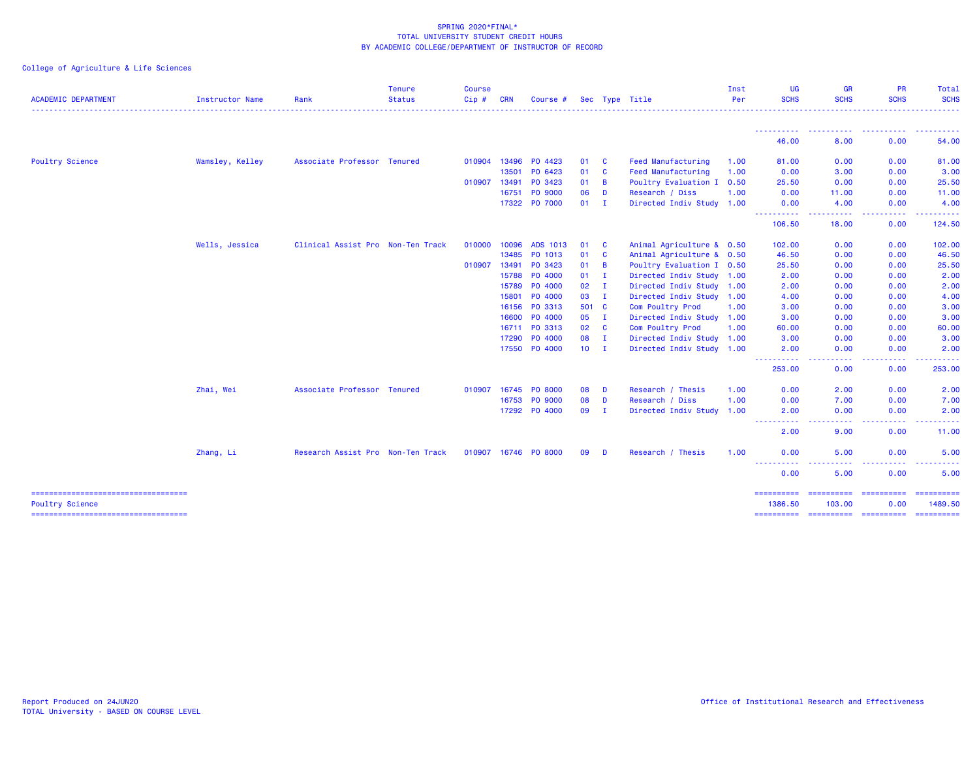| <b>ACADEMIC DEPARTMENT</b> | <b>Instructor Name</b> | Rank                              | <b>Tenure</b><br><b>Status</b> | Course<br>Cip# | <b>CRN</b> | Course #             |        |                | Sec Type Title            | Inst<br>Per | <b>UG</b><br><b>SCHS</b>                                                                                                                      | <b>GR</b><br><b>SCHS</b>                                                                                                                                                                                                                                                                                                                                                                                                                                                               | PR<br><b>SCHS</b>                                                                             | Total<br><b>SCHS</b>                                                                                                                                                                                                                                                                                                                                                                                                                                                                   |
|----------------------------|------------------------|-----------------------------------|--------------------------------|----------------|------------|----------------------|--------|----------------|---------------------------|-------------|-----------------------------------------------------------------------------------------------------------------------------------------------|----------------------------------------------------------------------------------------------------------------------------------------------------------------------------------------------------------------------------------------------------------------------------------------------------------------------------------------------------------------------------------------------------------------------------------------------------------------------------------------|-----------------------------------------------------------------------------------------------|----------------------------------------------------------------------------------------------------------------------------------------------------------------------------------------------------------------------------------------------------------------------------------------------------------------------------------------------------------------------------------------------------------------------------------------------------------------------------------------|
|                            |                        |                                   |                                |                |            |                      |        |                |                           |             |                                                                                                                                               |                                                                                                                                                                                                                                                                                                                                                                                                                                                                                        |                                                                                               |                                                                                                                                                                                                                                                                                                                                                                                                                                                                                        |
|                            |                        |                                   |                                |                |            |                      |        |                |                           |             | -----------<br>46.00                                                                                                                          | . <b>.</b> .<br>8.00                                                                                                                                                                                                                                                                                                                                                                                                                                                                   | .<br>0.00                                                                                     | <b></b><br>54.00                                                                                                                                                                                                                                                                                                                                                                                                                                                                       |
| <b>Poultry Science</b>     | Wamsley, Kelley        | Associate Professor Tenured       |                                | 010904         | 13496      | PO 4423              | 01     | $\mathbf{C}$   | Feed Manufacturing        | 1.00        | 81.00                                                                                                                                         | 0.00                                                                                                                                                                                                                                                                                                                                                                                                                                                                                   | 0.00                                                                                          | 81.00                                                                                                                                                                                                                                                                                                                                                                                                                                                                                  |
|                            |                        |                                   |                                |                | 13501      | PO 6423              | 01     | $\mathbf{C}$   | <b>Feed Manufacturing</b> | 1.00        | 0.00                                                                                                                                          | 3.00                                                                                                                                                                                                                                                                                                                                                                                                                                                                                   | 0.00                                                                                          | 3.00                                                                                                                                                                                                                                                                                                                                                                                                                                                                                   |
|                            |                        |                                   |                                | 010907         | 13491      | PO 3423              | 01     | $\overline{B}$ | Poultry Evaluation I 0.50 |             | 25.50                                                                                                                                         | 0.00                                                                                                                                                                                                                                                                                                                                                                                                                                                                                   | 0.00                                                                                          | 25.50                                                                                                                                                                                                                                                                                                                                                                                                                                                                                  |
|                            |                        |                                   |                                |                | 16751      | PO 9000              | 06     | D              | Research / Diss           | 1.00        | 0.00                                                                                                                                          | 11.00                                                                                                                                                                                                                                                                                                                                                                                                                                                                                  | 0.00                                                                                          | 11.00                                                                                                                                                                                                                                                                                                                                                                                                                                                                                  |
|                            |                        |                                   |                                |                | 17322      | PO 7000              | 01     | $\mathbf{I}$   | Directed Indiv Study 1.00 |             | 0.00                                                                                                                                          | 4.00                                                                                                                                                                                                                                                                                                                                                                                                                                                                                   | 0.00                                                                                          | 4.00                                                                                                                                                                                                                                                                                                                                                                                                                                                                                   |
|                            |                        |                                   |                                |                |            |                      |        |                |                           |             | 106.50                                                                                                                                        | .<br>18.00                                                                                                                                                                                                                                                                                                                                                                                                                                                                             | <b></b><br>0.00                                                                               | 124.50                                                                                                                                                                                                                                                                                                                                                                                                                                                                                 |
|                            | Wells, Jessica         | Clinical Assist Pro Non-Ten Track |                                | 010000         | 10096      | ADS 1013             | 01     | <b>C</b>       | Animal Agriculture & 0.50 |             | 102.00                                                                                                                                        | 0.00                                                                                                                                                                                                                                                                                                                                                                                                                                                                                   | 0.00                                                                                          | 102.00                                                                                                                                                                                                                                                                                                                                                                                                                                                                                 |
|                            |                        |                                   |                                |                | 13485      | PO 1013              | 01     | $\mathbf{C}$   | Animal Agriculture & 0.50 |             | 46.50                                                                                                                                         | 0.00                                                                                                                                                                                                                                                                                                                                                                                                                                                                                   | 0.00                                                                                          | 46.50                                                                                                                                                                                                                                                                                                                                                                                                                                                                                  |
|                            |                        |                                   |                                | 010907 13491   |            | PO 3423              | 01     | B              | Poultry Evaluation I 0.50 |             | 25.50                                                                                                                                         | 0.00                                                                                                                                                                                                                                                                                                                                                                                                                                                                                   | 0.00                                                                                          | 25.50                                                                                                                                                                                                                                                                                                                                                                                                                                                                                  |
|                            |                        |                                   |                                |                | 15788      | PO 4000              | 01     | $\mathbf{I}$   | Directed Indiv Study 1.00 |             | 2.00                                                                                                                                          | 0.00                                                                                                                                                                                                                                                                                                                                                                                                                                                                                   | 0.00                                                                                          | 2.00                                                                                                                                                                                                                                                                                                                                                                                                                                                                                   |
|                            |                        |                                   |                                |                | 15789      | PO 4000              | 02     | $\mathbf{I}$   | Directed Indiv Study 1.00 |             | 2.00                                                                                                                                          | 0.00                                                                                                                                                                                                                                                                                                                                                                                                                                                                                   | 0.00                                                                                          | 2.00                                                                                                                                                                                                                                                                                                                                                                                                                                                                                   |
|                            |                        |                                   |                                |                | 15801      | PO 4000              | 03     | $\mathbf{I}$   | Directed Indiv Study 1.00 |             | 4.00                                                                                                                                          | 0.00                                                                                                                                                                                                                                                                                                                                                                                                                                                                                   | 0.00                                                                                          | 4.00                                                                                                                                                                                                                                                                                                                                                                                                                                                                                   |
|                            |                        |                                   |                                |                |            | 16156 PO 3313        | 501 C  |                | Com Poultry Prod          | 1.00        | 3.00                                                                                                                                          | 0.00                                                                                                                                                                                                                                                                                                                                                                                                                                                                                   | 0.00                                                                                          | 3.00                                                                                                                                                                                                                                                                                                                                                                                                                                                                                   |
|                            |                        |                                   |                                |                | 16600      | PO 4000              | 05     | $\mathbf{I}$   | Directed Indiv Study 1.00 |             | 3.00                                                                                                                                          | 0.00                                                                                                                                                                                                                                                                                                                                                                                                                                                                                   | 0.00                                                                                          | 3.00                                                                                                                                                                                                                                                                                                                                                                                                                                                                                   |
|                            |                        |                                   |                                |                | 16711      | PO 3313              | 02 C   |                | Com Poultry Prod          | 1.00        | 60.00                                                                                                                                         | 0.00                                                                                                                                                                                                                                                                                                                                                                                                                                                                                   | 0.00                                                                                          | 60.00                                                                                                                                                                                                                                                                                                                                                                                                                                                                                  |
|                            |                        |                                   |                                |                | 17290      | PO 4000              | 08     | $\mathbf{I}$   | Directed Indiv Study 1.00 |             | 3.00                                                                                                                                          | 0.00                                                                                                                                                                                                                                                                                                                                                                                                                                                                                   | 0.00                                                                                          | 3.00                                                                                                                                                                                                                                                                                                                                                                                                                                                                                   |
|                            |                        |                                   |                                |                |            | 17550 PO 4000        | $10$ I |                | Directed Indiv Study 1.00 |             | 2.00<br>$\sim$ $\sim$ $\sim$ $\sim$<br>----                                                                                                   | 0.00                                                                                                                                                                                                                                                                                                                                                                                                                                                                                   | 0.00                                                                                          | 2.00                                                                                                                                                                                                                                                                                                                                                                                                                                                                                   |
|                            |                        |                                   |                                |                |            |                      |        |                |                           |             | 253.00                                                                                                                                        | 0.00                                                                                                                                                                                                                                                                                                                                                                                                                                                                                   | 0.00                                                                                          | 253.00                                                                                                                                                                                                                                                                                                                                                                                                                                                                                 |
|                            | Zhai, Wei              | Associate Professor Tenured       |                                | 010907         |            | 16745 PO 8000        | 08     | D              | Research / Thesis         | 1.00        | 0.00                                                                                                                                          | 2.00                                                                                                                                                                                                                                                                                                                                                                                                                                                                                   | 0.00                                                                                          | 2.00                                                                                                                                                                                                                                                                                                                                                                                                                                                                                   |
|                            |                        |                                   |                                |                |            | 16753 PO 9000        | 08     | D              | Research / Diss           | 1.00        | 0.00                                                                                                                                          | 7.00                                                                                                                                                                                                                                                                                                                                                                                                                                                                                   | 0.00                                                                                          | 7.00                                                                                                                                                                                                                                                                                                                                                                                                                                                                                   |
|                            |                        |                                   |                                |                |            | 17292 PO 4000        | 09     | $\mathbf{I}$   | Directed Indiv Study 1.00 |             | 2.00<br>.                                                                                                                                     | 0.00<br>.                                                                                                                                                                                                                                                                                                                                                                                                                                                                              | 0.00<br><b></b>                                                                               | 2.00<br><u>.</u>                                                                                                                                                                                                                                                                                                                                                                                                                                                                       |
|                            |                        |                                   |                                |                |            |                      |        |                |                           |             | -----<br>2.00                                                                                                                                 | 9.00                                                                                                                                                                                                                                                                                                                                                                                                                                                                                   | 0.00                                                                                          | 11.00                                                                                                                                                                                                                                                                                                                                                                                                                                                                                  |
|                            | Zhang, Li              | Research Assist Pro Non-Ten Track |                                |                |            | 010907 16746 PO 8000 | 09     | D              | Research / Thesis         | 1.00        | 0.00                                                                                                                                          | 5.00                                                                                                                                                                                                                                                                                                                                                                                                                                                                                   | 0.00                                                                                          | 5.00                                                                                                                                                                                                                                                                                                                                                                                                                                                                                   |
|                            |                        |                                   |                                |                |            |                      |        |                |                           |             | <u>.</u><br>$\frac{1}{2} \left( \frac{1}{2} \right) \left( \frac{1}{2} \right) \left( \frac{1}{2} \right) \left( \frac{1}{2} \right)$<br>0.00 | 5.00                                                                                                                                                                                                                                                                                                                                                                                                                                                                                   | 0.00                                                                                          | 5.00                                                                                                                                                                                                                                                                                                                                                                                                                                                                                   |
|                            |                        |                                   |                                |                |            |                      |        |                |                           |             | ==========                                                                                                                                    | $\begin{array}{cccccccccc} \multicolumn{2}{c}{} & \multicolumn{2}{c}{} & \multicolumn{2}{c}{} & \multicolumn{2}{c}{} & \multicolumn{2}{c}{} & \multicolumn{2}{c}{} & \multicolumn{2}{c}{} & \multicolumn{2}{c}{} & \multicolumn{2}{c}{} & \multicolumn{2}{c}{} & \multicolumn{2}{c}{} & \multicolumn{2}{c}{} & \multicolumn{2}{c}{} & \multicolumn{2}{c}{} & \multicolumn{2}{c}{} & \multicolumn{2}{c}{} & \multicolumn{2}{c}{} & \multicolumn{2}{c}{} & \multicolumn{2}{c}{} & \mult$ | $\begin{array}{c} \texttt{m} = \texttt{m} = \texttt{m} = \texttt{m} = \texttt{m} \end{array}$ | $\begin{array}{cccccccccc} \multicolumn{2}{c}{} & \multicolumn{2}{c}{} & \multicolumn{2}{c}{} & \multicolumn{2}{c}{} & \multicolumn{2}{c}{} & \multicolumn{2}{c}{} & \multicolumn{2}{c}{} & \multicolumn{2}{c}{} & \multicolumn{2}{c}{} & \multicolumn{2}{c}{} & \multicolumn{2}{c}{} & \multicolumn{2}{c}{} & \multicolumn{2}{c}{} & \multicolumn{2}{c}{} & \multicolumn{2}{c}{} & \multicolumn{2}{c}{} & \multicolumn{2}{c}{} & \multicolumn{2}{c}{} & \multicolumn{2}{c}{} & \mult$ |
| <b>Poultry Science</b>     |                        |                                   |                                |                |            |                      |        |                |                           |             | 1386.50                                                                                                                                       | 103,00                                                                                                                                                                                                                                                                                                                                                                                                                                                                                 | 0.00                                                                                          | 1489.50<br>-==========                                                                                                                                                                                                                                                                                                                                                                                                                                                                 |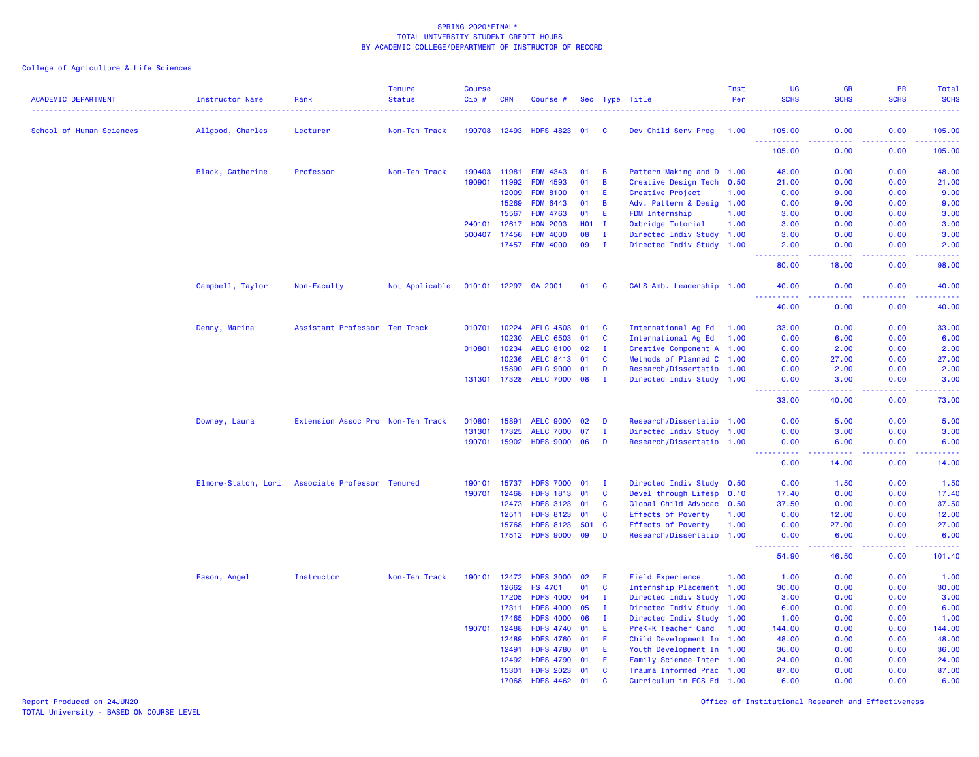# College of Agriculture & Life Sciences

| <b>ACADEMIC DEPARTMENT</b> | <b>Instructor Name</b> | Rank                              | <b>Tenure</b><br><b>Status</b> | <b>Course</b><br>Cip# | <b>CRN</b>     | Course #                             |            |              | Sec Type Title                                         | Inst<br>Per | <b>UG</b><br><b>SCHS</b>                                                                                                                                     | GR<br><b>SCHS</b>                                                                                                                 | <b>PR</b><br><b>SCHS</b> | Total<br><b>SCHS</b>                                                                                                                                           |
|----------------------------|------------------------|-----------------------------------|--------------------------------|-----------------------|----------------|--------------------------------------|------------|--------------|--------------------------------------------------------|-------------|--------------------------------------------------------------------------------------------------------------------------------------------------------------|-----------------------------------------------------------------------------------------------------------------------------------|--------------------------|----------------------------------------------------------------------------------------------------------------------------------------------------------------|
| School of Human Sciences   | Allgood, Charles       | Lecturer                          | Non-Ten Track                  | 190708 12493          |                | <b>HDFS 4823</b>                     | 01         | - C          | Dev Child Serv Prog                                    | 1.00        | 105,00<br><b></b>                                                                                                                                            | 0.00<br>.                                                                                                                         | 0.00<br>.                | 105.00<br>$\frac{1}{2} \left( \frac{1}{2} \right) \left( \frac{1}{2} \right) \left( \frac{1}{2} \right) \left( \frac{1}{2} \right) \left( \frac{1}{2} \right)$ |
|                            |                        |                                   |                                |                       |                |                                      |            |              |                                                        |             | 105.00                                                                                                                                                       | 0.00                                                                                                                              | 0.00                     | 105.00                                                                                                                                                         |
|                            | Black, Catherine       | Professor                         | Non-Ten Track                  | 190403                | 11981          | <b>FDM 4343</b>                      | 01         | B            | Pattern Making and D 1.00                              |             | 48.00                                                                                                                                                        | 0.00                                                                                                                              | 0.00                     | 48.00                                                                                                                                                          |
|                            |                        |                                   |                                | 190901                | 11992          | <b>FDM 4593</b>                      | 01         | B            | Creative Design Tech 0.50                              |             | 21.00                                                                                                                                                        | 0.00                                                                                                                              | 0.00                     | 21.00                                                                                                                                                          |
|                            |                        |                                   |                                |                       | 12009          | <b>FDM 8100</b>                      | 01         | E.           | Creative Project                                       | 1.00        | 0.00                                                                                                                                                         | 9.00                                                                                                                              | 0.00                     | 9.00                                                                                                                                                           |
|                            |                        |                                   |                                |                       | 15269          | <b>FDM 6443</b>                      | 01         | B            | Adv. Pattern & Desig 1.00                              |             | 0.00                                                                                                                                                         | 9.00                                                                                                                              | 0.00                     | 9.00                                                                                                                                                           |
|                            |                        |                                   |                                |                       | 15567          | <b>FDM 4763</b>                      | 01         | E.           | FDM Internship                                         | 1.00        | 3.00                                                                                                                                                         | 0.00                                                                                                                              | 0.00                     | 3.00                                                                                                                                                           |
|                            |                        |                                   |                                | 240101                | 12617          | <b>HON 2003</b>                      | <b>HO1</b> | $\mathbf{I}$ | Oxbridge Tutorial                                      | 1.00        | 3.00                                                                                                                                                         | 0.00                                                                                                                              | 0.00                     | 3.00                                                                                                                                                           |
|                            |                        |                                   |                                | 500407                | 17456          | <b>FDM 4000</b>                      | 08         | $\mathbf{I}$ | Directed Indiv Study 1.00                              |             | 3.00                                                                                                                                                         | 0.00                                                                                                                              | 0.00                     | 3.00                                                                                                                                                           |
|                            |                        |                                   |                                |                       | 17457          | <b>FDM 4000</b>                      | 09         | $\mathbf I$  | Directed Indiv Study 1.00                              |             | 2.00<br>المستملة                                                                                                                                             | 0.00<br>بالأباد                                                                                                                   | 0.00<br>.                | 2.00<br>وساعات                                                                                                                                                 |
|                            |                        |                                   |                                |                       |                |                                      |            |              |                                                        |             | 80.00                                                                                                                                                        | 18.00                                                                                                                             | 0.00                     | 98.00                                                                                                                                                          |
|                            | Campbell, Taylor       | Non-Faculty                       | Not Applicable                 | 010101 12297          |                | GA 2001                              | 01         | <b>C</b>     | CALS Amb. Leadership 1.00                              |             | 40.00<br>.                                                                                                                                                   | 0.00<br>د د د د                                                                                                                   | 0.00<br>.                | 40.00<br>.                                                                                                                                                     |
|                            |                        |                                   |                                |                       |                |                                      |            |              |                                                        |             | 40.00                                                                                                                                                        | 0.00                                                                                                                              | 0.00                     | 40.00                                                                                                                                                          |
|                            | Denny, Marina          | Assistant Professor Ten Track     |                                | 010701                | 10224          | <b>AELC 4503</b>                     | 01         | C            | International Ag Ed                                    | 1.00        | 33.00                                                                                                                                                        | 0.00                                                                                                                              | 0.00                     | 33.00                                                                                                                                                          |
|                            |                        |                                   |                                |                       | 10230          | <b>AELC 6503</b>                     | 01         | C            | International Ag Ed                                    | 1.00        | 0.00                                                                                                                                                         | 6.00                                                                                                                              | 0.00                     | 6.00                                                                                                                                                           |
|                            |                        |                                   |                                | 010801                | 10234          | <b>AELC 8100</b>                     | 02         | - 1          | Creative Component A 1.00                              |             | 0.00                                                                                                                                                         | 2.00                                                                                                                              | 0.00                     | 2.00                                                                                                                                                           |
|                            |                        |                                   |                                |                       | 10236          | <b>AELC 8413</b>                     | 01         | $\mathbf{C}$ | Methods of Planned C 1.00                              |             | 0.00                                                                                                                                                         | 27.00                                                                                                                             | 0.00                     | 27.00                                                                                                                                                          |
|                            |                        |                                   |                                |                       | 15890          | <b>AELC 9000</b>                     | 01         | D            | Research/Dissertatio 1.00                              |             | 0.00                                                                                                                                                         | 2.00                                                                                                                              | 0.00                     | 2.00                                                                                                                                                           |
|                            |                        |                                   |                                | 131301 17328          |                | <b>AELC 7000</b>                     | 08         | $\mathbf I$  | Directed Indiv Study 1.00                              |             | 0.00                                                                                                                                                         | 3.00                                                                                                                              | 0.00                     | 3.00                                                                                                                                                           |
|                            |                        |                                   |                                |                       |                |                                      |            |              |                                                        |             | .<br>33.00                                                                                                                                                   | .<br>40.00                                                                                                                        | .<br>0.00                | .<br>73.00                                                                                                                                                     |
|                            | Downey, Laura          | Extension Assoc Pro Non-Ten Track |                                | 010801                | 15891          | <b>AELC 9000</b>                     | 02         | D            | Research/Dissertatio 1.00                              |             | 0.00                                                                                                                                                         | 5.00                                                                                                                              | 0.00                     | 5.00                                                                                                                                                           |
|                            |                        |                                   |                                | 131301                | 17325          | <b>AELC 7000</b>                     | 07         | п            | Directed Indiv Study 1.00                              |             | 0.00                                                                                                                                                         | 3.00                                                                                                                              | 0.00                     | 3.00                                                                                                                                                           |
|                            |                        |                                   |                                | 190701                | 15902          | <b>HDFS 9000</b>                     | 06         | D            | Research/Dissertatio 1.00                              |             | 0.00                                                                                                                                                         | 6.00                                                                                                                              | 0.00                     | 6.00                                                                                                                                                           |
|                            |                        |                                   |                                |                       |                |                                      |            |              |                                                        |             | .<br>0.00                                                                                                                                                    | .<br>14.00                                                                                                                        | .<br>0.00                | د د د د د<br>14.00                                                                                                                                             |
|                            | Elmore-Staton, Lori    | Associate Professor Tenured       |                                | 190101                | 15737          | <b>HDFS 7000</b>                     | 01         | $\mathbf I$  | Directed Indiv Study 0.50                              |             | 0.00                                                                                                                                                         | 1.50                                                                                                                              | 0.00                     | 1.50                                                                                                                                                           |
|                            |                        |                                   |                                | 190701                | 12468          | <b>HDFS 1813</b>                     | 01         | $\mathbf{C}$ | Devel through Lifesp 0.10                              |             | 17.40                                                                                                                                                        | 0.00                                                                                                                              | 0.00                     | 17.40                                                                                                                                                          |
|                            |                        |                                   |                                |                       | 12473          | <b>HDFS 3123</b>                     | 01         | $\mathbf{C}$ | Global Child Advocac 0.50                              |             | 37.50                                                                                                                                                        | 0.00                                                                                                                              | 0.00                     | 37.50                                                                                                                                                          |
|                            |                        |                                   |                                |                       | 12511          | <b>HDFS 8123</b>                     | 01         | C            | <b>Effects of Poverty</b>                              | 1.00        | 0.00                                                                                                                                                         | 12.00                                                                                                                             | 0.00                     | 12.00                                                                                                                                                          |
|                            |                        |                                   |                                |                       | 15768          | <b>HDFS 8123</b>                     | 501        | C            | <b>Effects of Poverty</b>                              | 1.00        | 0.00                                                                                                                                                         | 27.00                                                                                                                             | 0.00                     | 27.00                                                                                                                                                          |
|                            |                        |                                   |                                |                       |                | 17512 HDFS 9000                      | 09         | D            | Research/Dissertatio 1.00                              |             | 0.00<br>$\frac{1}{2} \left( \frac{1}{2} \right) \left( \frac{1}{2} \right) \left( \frac{1}{2} \right) \left( \frac{1}{2} \right) \left( \frac{1}{2} \right)$ | 6.00<br>$\frac{1}{2} \left( \frac{1}{2} \right) \left( \frac{1}{2} \right) \left( \frac{1}{2} \right) \left( \frac{1}{2} \right)$ | 0.00<br>.                | 6.00<br>.                                                                                                                                                      |
|                            |                        |                                   |                                |                       |                |                                      |            |              |                                                        |             | 54.90                                                                                                                                                        | 46.50                                                                                                                             | 0.00                     | 101.40                                                                                                                                                         |
|                            | Fason, Angel           | Instructor                        | Non-Ten Track                  | 190101                | 12472          | <b>HDFS 3000</b>                     | 02         | E            | <b>Field Experience</b>                                | 1.00        | 1.00                                                                                                                                                         | 0.00                                                                                                                              | 0.00                     | 1.00                                                                                                                                                           |
|                            |                        |                                   |                                |                       | 12662          | <b>HS 4701</b>                       | 01         | C            | Internship Placement 1.00                              |             | 30.00                                                                                                                                                        | 0.00                                                                                                                              | 0.00                     | 30.00                                                                                                                                                          |
|                            |                        |                                   |                                |                       | 17205          | <b>HDFS 4000</b>                     | 04         | T            | Directed Indiv Study 1.00                              |             | 3.00                                                                                                                                                         | 0.00                                                                                                                              | 0.00                     | 3.00                                                                                                                                                           |
|                            |                        |                                   |                                |                       | 17311          | <b>HDFS 4000</b>                     | 05         | $\mathbf I$  | Directed Indiv Study 1.00                              |             | 6.00                                                                                                                                                         | 0.00                                                                                                                              | 0.00                     | 6.00                                                                                                                                                           |
|                            |                        |                                   |                                |                       | 17465          | <b>HDFS 4000</b>                     | 06         | $\mathbf{I}$ | Directed Indiv Study 1.00                              |             | 1.00                                                                                                                                                         | 0.00                                                                                                                              | 0.00                     | 1.00                                                                                                                                                           |
|                            |                        |                                   |                                | 190701                | 12488          | <b>HDFS 4740</b>                     | 01         | E            | PreK-K Teacher Cand                                    | 1.00        | 144.00                                                                                                                                                       | 0.00                                                                                                                              | 0.00                     | 144.00                                                                                                                                                         |
|                            |                        |                                   |                                |                       | 12489          | <b>HDFS 4760</b><br><b>HDFS 4780</b> | 01         | E            | Child Development In 1.00                              |             | 48.00                                                                                                                                                        | 0.00                                                                                                                              | 0.00                     | 48.00                                                                                                                                                          |
|                            |                        |                                   |                                |                       | 12491          | <b>HDFS 4790</b>                     | 01<br>01   | E.<br>E.     | Youth Development In 1.00<br>Family Science Inter 1.00 |             | 36.00                                                                                                                                                        | 0.00<br>0.00                                                                                                                      | 0.00<br>0.00             | 36.00                                                                                                                                                          |
|                            |                        |                                   |                                |                       | 12492<br>15301 | <b>HDFS 2023</b>                     | 01         | C            | Trauma Informed Prac 1.00                              |             | 24.00<br>87.00                                                                                                                                               | 0.00                                                                                                                              | 0.00                     | 24.00<br>87.00                                                                                                                                                 |
|                            |                        |                                   |                                |                       | 17068          | <b>HDFS 4462</b>                     | 01         | $\mathbf{c}$ | Curriculum in FCS Ed 1.00                              |             | 6.00                                                                                                                                                         | 0.00                                                                                                                              | 0.00                     | 6.00                                                                                                                                                           |
|                            |                        |                                   |                                |                       |                |                                      |            |              |                                                        |             |                                                                                                                                                              |                                                                                                                                   |                          |                                                                                                                                                                |

Report Produced on 24JUN20 Office of Institutional Research and Effectiveness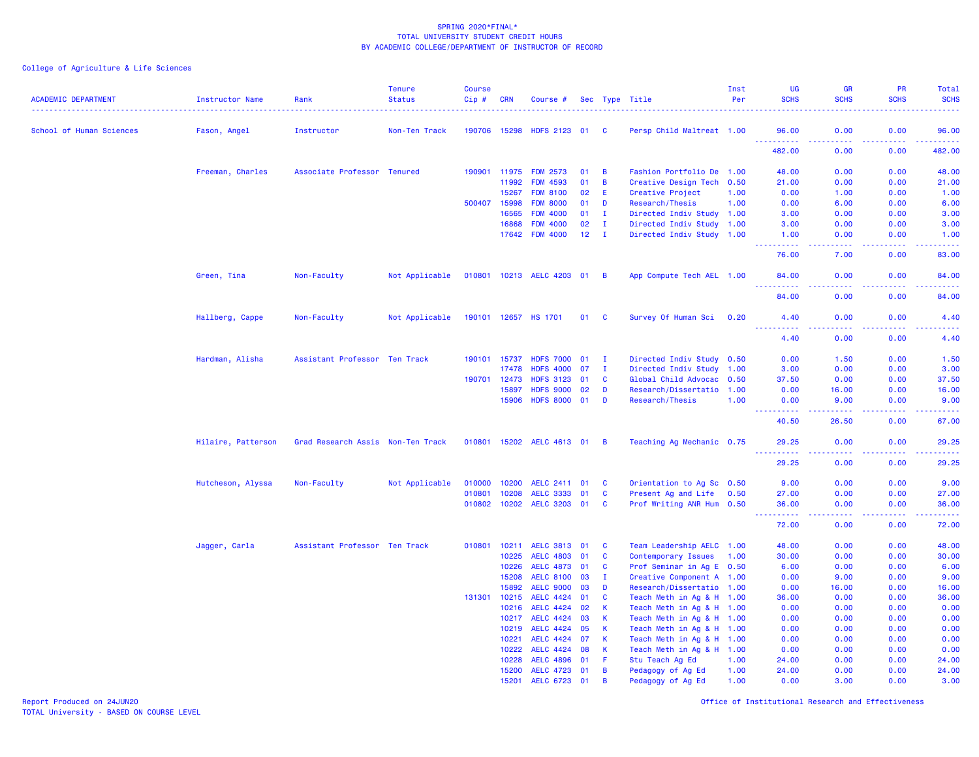| <b>ACADEMIC DEPARTMENT</b> | Instructor Name    | Rank                              | <b>Tenure</b><br><b>Status</b> | <b>Course</b><br>Cip# | <b>CRN</b> | Course #                  |                 |                | Sec Type Title            | Inst<br>Per | <b>UG</b><br><b>SCHS</b>                                                | GR<br><b>SCHS</b>                                                                                                                 | <b>PR</b><br><b>SCHS</b> | Total<br><b>SCHS</b><br>وتوتون                                                                                                    |
|----------------------------|--------------------|-----------------------------------|--------------------------------|-----------------------|------------|---------------------------|-----------------|----------------|---------------------------|-------------|-------------------------------------------------------------------------|-----------------------------------------------------------------------------------------------------------------------------------|--------------------------|-----------------------------------------------------------------------------------------------------------------------------------|
| School of Human Sciences   | Fason, Angel       | Instructor                        | Non-Ten Track                  | 190706 15298          |            | HDFS 2123 01              |                 | <b>C</b>       | Persp Child Maltreat 1.00 |             | 96.00<br>.                                                              | 0.00<br>د د د د .                                                                                                                 | 0.00<br>.                | 96.00<br>.                                                                                                                        |
|                            |                    |                                   |                                |                       |            |                           |                 |                |                           |             | 482.00                                                                  | 0.00                                                                                                                              | 0.00                     | 482.00                                                                                                                            |
|                            | Freeman, Charles   | Associate Professor Tenured       |                                |                       |            | 190901 11975 FDM 2573     | 01              | B              | Fashion Portfolio De 1.00 |             | 48.00                                                                   | 0.00                                                                                                                              | 0.00                     | 48.00                                                                                                                             |
|                            |                    |                                   |                                |                       | 11992      | <b>FDM 4593</b>           | 01              | B              | Creative Design Tech 0.50 |             | 21.00                                                                   | 0.00                                                                                                                              | 0.00                     | 21.00                                                                                                                             |
|                            |                    |                                   |                                |                       | 15267      | <b>FDM 8100</b>           | 02              | Ε              | Creative Project          | 1.00        | 0.00                                                                    | 1.00                                                                                                                              | 0.00                     | 1.00                                                                                                                              |
|                            |                    |                                   |                                | 500407                | 15998      | <b>FDM 8000</b>           | 01              | D              | Research/Thesis           | 1.00        | 0.00                                                                    | 6.00                                                                                                                              | 0.00                     | 6.00                                                                                                                              |
|                            |                    |                                   |                                |                       | 16565      | <b>FDM 4000</b>           | 01              | $\mathbf{I}$   | Directed Indiv Study      | 1.00        | 3.00                                                                    | 0.00                                                                                                                              | 0.00                     | 3.00                                                                                                                              |
|                            |                    |                                   |                                |                       | 16868      | <b>FDM 4000</b>           | 02              | $\mathbf I$    | Directed Indiv Study 1.00 |             | 3.00                                                                    | 0.00                                                                                                                              | 0.00                     | 3.00                                                                                                                              |
|                            |                    |                                   |                                |                       |            | 17642 FDM 4000            | 12 <sub>2</sub> | - I            | Directed Indiv Study 1.00 |             | 1.00<br>2.2.2.2.2                                                       | 0.00<br>$\frac{1}{2} \left( \frac{1}{2} \right) \left( \frac{1}{2} \right) \left( \frac{1}{2} \right) \left( \frac{1}{2} \right)$ | 0.00<br>.                | 1.00<br>$\frac{1}{2} \left( \frac{1}{2} \right) \left( \frac{1}{2} \right) \left( \frac{1}{2} \right) \left( \frac{1}{2} \right)$ |
|                            |                    |                                   |                                |                       |            |                           |                 |                |                           |             | 76.00                                                                   | 7.00                                                                                                                              | 0.00                     | 83.00                                                                                                                             |
|                            | Green, Tina        | Non-Faculty                       | Not Applicable                 |                       |            | 010801 10213 AELC 4203 01 |                 | B              | App Compute Tech AEL 1.00 |             | 84.00<br><u>.</u>                                                       | 0.00                                                                                                                              | 0.00                     | 84.00<br>.                                                                                                                        |
|                            |                    |                                   |                                |                       |            |                           |                 |                |                           |             | 84.00                                                                   | 0.00                                                                                                                              | 0.00                     | 84.00                                                                                                                             |
|                            | Hallberg, Cappe    | Non-Faculty                       | Not Applicable                 |                       |            | 190101 12657 HS 1701      | 01              | C              | Survey Of Human Sci       | 0.20        | 4.40                                                                    | 0.00                                                                                                                              | 0.00                     | 4.40                                                                                                                              |
|                            |                    |                                   |                                |                       |            |                           |                 |                |                           |             | .<br>4.40                                                               | .<br>0.00                                                                                                                         | .<br>0.00                | $\frac{1}{2} \left( \frac{1}{2} \right) \left( \frac{1}{2} \right) \left( \frac{1}{2} \right) \left( \frac{1}{2} \right)$<br>4.40 |
|                            | Hardman, Alisha    | Assistant Professor Ten Track     |                                | 190101                | 15737      | <b>HDFS 7000</b>          | $01$ I          |                | Directed Indiv Study 0.50 |             | 0.00                                                                    | 1.50                                                                                                                              | 0.00                     | 1.50                                                                                                                              |
|                            |                    |                                   |                                |                       | 17478      | <b>HDFS 4000</b>          | 07              | $\mathbf{I}$   | Directed Indiv Study 1.00 |             | 3.00                                                                    | 0.00                                                                                                                              | 0.00                     | 3.00                                                                                                                              |
|                            |                    |                                   |                                | 190701                | 12473      | <b>HDFS 3123</b>          | 01              | C              | Global Child Advocac 0.50 |             | 37.50                                                                   | 0.00                                                                                                                              | 0.00                     | 37.50                                                                                                                             |
|                            |                    |                                   |                                |                       | 15897      | <b>HDFS 9000</b>          | 02              | D              | Research/Dissertatio 1.00 |             | 0.00                                                                    | 16.00                                                                                                                             | 0.00                     | 16.00                                                                                                                             |
|                            |                    |                                   |                                |                       | 15906      | <b>HDFS 8000</b>          | 01              | D              | Research/Thesis           | 1.00        | 0.00<br>.                                                               | 9.00<br><u>.</u>                                                                                                                  | 0.00<br>.                | 9.00<br>.                                                                                                                         |
|                            |                    |                                   |                                |                       |            |                           |                 |                |                           |             | 40.50                                                                   | 26.50                                                                                                                             | 0.00                     | 67.00                                                                                                                             |
|                            | Hilaire, Patterson | Grad Research Assis Non-Ten Track |                                |                       |            | 010801 15202 AELC 4613 01 |                 | $\overline{B}$ | Teaching Ag Mechanic 0.75 |             | 29.25                                                                   | 0.00                                                                                                                              | 0.00                     | 29.25                                                                                                                             |
|                            |                    |                                   |                                |                       |            |                           |                 |                |                           |             | <u>.</u><br>29.25                                                       | .<br>0.00                                                                                                                         | .<br>0.00                | .<br>29.25                                                                                                                        |
|                            | Hutcheson, Alyssa  | Non-Faculty                       | Not Applicable                 | 010000                | 10200      | <b>AELC 2411</b>          | 01              | C              | Orientation to Ag Sc 0.50 |             | 9.00                                                                    | 0.00                                                                                                                              | 0.00                     | 9.00                                                                                                                              |
|                            |                    |                                   |                                | 010801                | 10208      | <b>AELC 3333</b>          | 01              | C              | Present Ag and Life 0.50  |             | 27.00                                                                   | 0.00                                                                                                                              | 0.00                     | 27.00                                                                                                                             |
|                            |                    |                                   |                                |                       |            | 010802 10202 AELC 3203 01 |                 | <b>C</b>       | Prof Writing ANR Hum 0.50 |             | 36.00<br><b><i><u><u> - - - - -</u></u></i></b><br>$\sim$ $\sim$ $\sim$ | 0.00<br>.                                                                                                                         | 0.00<br>.                | 36.00<br>.                                                                                                                        |
|                            |                    |                                   |                                |                       |            |                           |                 |                |                           |             | 72.00                                                                   | 0.00                                                                                                                              | 0.00                     | 72.00                                                                                                                             |
|                            | Jagger, Carla      | Assistant Professor Ten Track     |                                | 010801                |            | 10211 AELC 3813 01        |                 | - C            | Team Leadership AELC 1.00 |             | 48.00                                                                   | 0.00                                                                                                                              | 0.00                     | 48.00                                                                                                                             |
|                            |                    |                                   |                                |                       | 10225      | <b>AELC 4803</b>          | 01              | C              | Contemporary Issues 1.00  |             | 30.00                                                                   | 0.00                                                                                                                              | 0.00                     | 30.00                                                                                                                             |
|                            |                    |                                   |                                |                       | 10226      | <b>AELC 4873</b>          | 01              | C              | Prof Seminar in Ag E 0.50 |             | 6.00                                                                    | 0.00                                                                                                                              | 0.00                     | 6.00                                                                                                                              |
|                            |                    |                                   |                                |                       | 15208      | <b>AELC 8100</b>          | 03              | $\mathbf I$    | Creative Component A 1.00 |             | 0.00                                                                    | 9.00                                                                                                                              | 0.00                     | 9.00                                                                                                                              |
|                            |                    |                                   |                                |                       | 15892      | <b>AELC 9000</b>          | 03              | D              | Research/Dissertatio 1.00 |             | 0.00                                                                    | 16.00                                                                                                                             | 0.00                     | 16.00                                                                                                                             |
|                            |                    |                                   |                                | 131301                | 10215      | <b>AELC 4424</b>          | 01              | C              | Teach Meth in Ag & H 1.00 |             | 36.00                                                                   | 0.00                                                                                                                              | 0.00                     | 36.00                                                                                                                             |
|                            |                    |                                   |                                |                       | 10216      | <b>AELC 4424</b>          | 02              | K              | Teach Meth in Ag & H 1.00 |             | 0.00                                                                    | 0.00                                                                                                                              | 0.00                     | 0.00                                                                                                                              |
|                            |                    |                                   |                                |                       | 10217      | <b>AELC 4424</b>          | 03              | <b>K</b>       | Teach Meth in Ag & H 1.00 |             | 0.00                                                                    | 0.00                                                                                                                              | 0.00                     | 0.00                                                                                                                              |
|                            |                    |                                   |                                |                       | 10219      | <b>AELC 4424</b>          | 05              | K              | Teach Meth in Ag & H 1.00 |             | 0.00                                                                    | 0.00                                                                                                                              | 0.00                     | 0.00                                                                                                                              |
|                            |                    |                                   |                                |                       | 10221      | <b>AELC 4424</b>          | 07              | $\mathsf K$    | Teach Meth in Ag & H 1.00 |             | 0.00                                                                    | 0.00                                                                                                                              | 0.00                     | 0.00                                                                                                                              |
|                            |                    |                                   |                                |                       | 10222      | <b>AELC 4424</b>          | 08              | K              | Teach Meth in Ag & H 1.00 |             | 0.00                                                                    | 0.00                                                                                                                              | 0.00                     | 0.00                                                                                                                              |
|                            |                    |                                   |                                |                       | 10228      | <b>AELC 4896</b>          | 01              | Æ              | Stu Teach Ag Ed           | 1.00        | 24.00                                                                   | 0.00                                                                                                                              | 0.00                     | 24.00                                                                                                                             |
|                            |                    |                                   |                                |                       | 15200      | <b>AELC 4723</b>          | 01              | B              | Pedagogy of Ag Ed         | 1.00        | 24.00                                                                   | 0.00                                                                                                                              | 0.00                     | 24.00                                                                                                                             |
|                            |                    |                                   |                                |                       | 15201      | <b>AELC 6723</b>          | 01              | B              | Pedagogy of Ag Ed         | 1.00        | 0.00                                                                    | 3.00                                                                                                                              | 0.00                     | 3.00                                                                                                                              |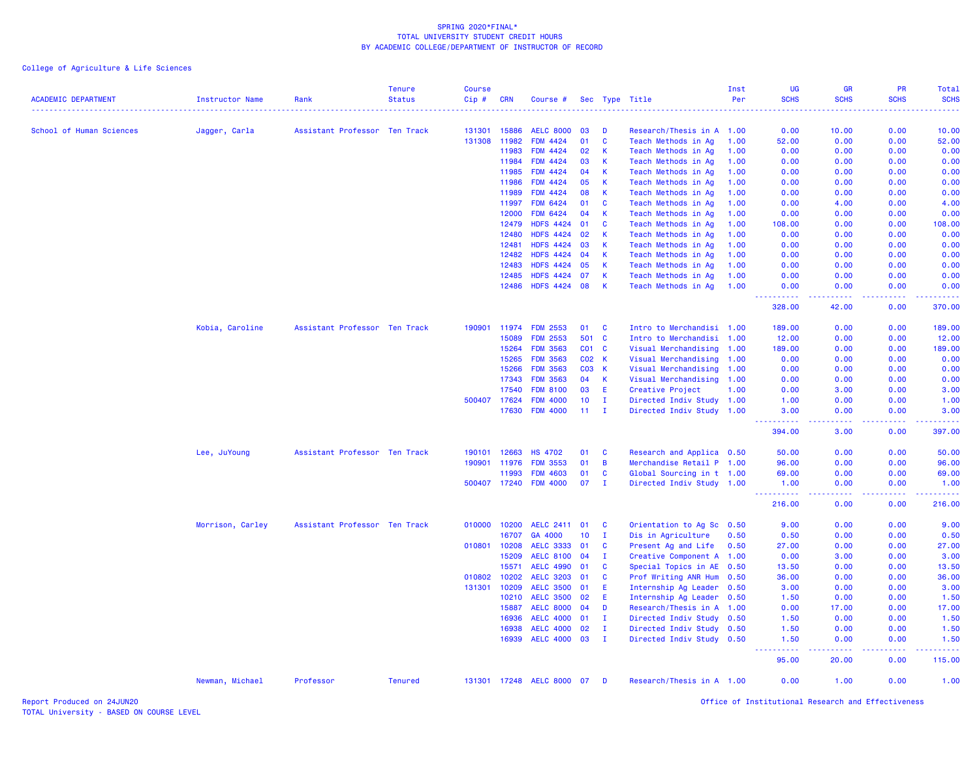College of Agriculture & Life Sciences

| <b>ACADEMIC DEPARTMENT</b> | <b>Instructor Name</b> | Rank                          | <b>Tenure</b><br><b>Status</b> | <b>Course</b><br>$Cip \#$ | <b>CRN</b>     | Course #                           |                 |              | Sec Type Title                             | Inst<br>Per  | UG<br><b>SCHS</b>    | <b>GR</b><br><b>SCHS</b>                                                                                                          | PR<br><b>SCHS</b>                            | <b>Total</b><br><b>SCHS</b>                                                                                                                                                                           |
|----------------------------|------------------------|-------------------------------|--------------------------------|---------------------------|----------------|------------------------------------|-----------------|--------------|--------------------------------------------|--------------|----------------------|-----------------------------------------------------------------------------------------------------------------------------------|----------------------------------------------|-------------------------------------------------------------------------------------------------------------------------------------------------------------------------------------------------------|
|                            |                        |                               |                                |                           |                |                                    |                 |              |                                            |              |                      |                                                                                                                                   |                                              |                                                                                                                                                                                                       |
| School of Human Sciences   | Jagger, Carla          | Assistant Professor Ten Track |                                | 131301                    | 15886          | <b>AELC 8000</b>                   | 03              | D            | Research/Thesis in A 1.00                  |              | 0.00                 | 10.00                                                                                                                             | 0.00                                         | 10.00                                                                                                                                                                                                 |
|                            |                        |                               |                                | 131308                    | 11982          | <b>FDM 4424</b>                    | 01              | C            | Teach Methods in Ag                        | 1.00         | 52.00                | 0.00                                                                                                                              | 0.00                                         | 52.00                                                                                                                                                                                                 |
|                            |                        |                               |                                |                           | 11983          | <b>FDM 4424</b>                    | 02              | К            | Teach Methods in Ag                        | 1.00         | 0.00                 | 0.00                                                                                                                              | 0.00                                         | 0.00                                                                                                                                                                                                  |
|                            |                        |                               |                                |                           | 11984<br>11985 | <b>FDM 4424</b><br><b>FDM 4424</b> | 03<br>04        | К<br>К       | Teach Methods in Ag                        | 1.00<br>1.00 | 0.00<br>0.00         | 0.00<br>0.00                                                                                                                      | 0.00<br>0.00                                 | 0.00<br>0.00                                                                                                                                                                                          |
|                            |                        |                               |                                |                           | 11986          | <b>FDM 4424</b>                    | 05              | К            | Teach Methods in Ag<br>Teach Methods in Ag | 1.00         | 0.00                 | 0.00                                                                                                                              | 0.00                                         | 0.00                                                                                                                                                                                                  |
|                            |                        |                               |                                |                           | 11989          | <b>FDM 4424</b>                    | 08              | K            | Teach Methods in Ag                        | 1.00         | 0.00                 | 0.00                                                                                                                              | 0.00                                         | 0.00                                                                                                                                                                                                  |
|                            |                        |                               |                                |                           | 11997          | <b>FDM 6424</b>                    | 01              | C            | Teach Methods in Ag                        | 1.00         | 0.00                 | 4.00                                                                                                                              | 0.00                                         | 4.00                                                                                                                                                                                                  |
|                            |                        |                               |                                |                           | 12000          | <b>FDM 6424</b>                    | 04              | К            | Teach Methods in Ag                        | 1.00         | 0.00                 | 0.00                                                                                                                              | 0.00                                         | 0.00                                                                                                                                                                                                  |
|                            |                        |                               |                                |                           | 12479          | <b>HDFS 4424</b>                   | 01              | C            | Teach Methods in Ag                        | 1.00         | 108.00               | 0.00                                                                                                                              | 0.00                                         | 108.00                                                                                                                                                                                                |
|                            |                        |                               |                                |                           | 12480          | <b>HDFS 4424</b>                   | 02              | К            | Teach Methods in Ag                        | 1.00         | 0.00                 | 0.00                                                                                                                              | 0.00                                         | 0.00                                                                                                                                                                                                  |
|                            |                        |                               |                                |                           | 12481          | <b>HDFS 4424</b>                   | 03              | К            | Teach Methods in Ag                        | 1.00         | 0.00                 | 0.00                                                                                                                              | 0.00                                         | 0.00                                                                                                                                                                                                  |
|                            |                        |                               |                                |                           | 12482          | <b>HDFS 4424</b>                   | 04              | К            | Teach Methods in Ag                        | 1.00         | 0.00                 | 0.00                                                                                                                              | 0.00                                         | 0.00                                                                                                                                                                                                  |
|                            |                        |                               |                                |                           | 12483          | <b>HDFS 4424</b>                   | 05              | K            | Teach Methods in Ag                        | 1.00         | 0.00                 | 0.00                                                                                                                              | 0.00                                         | 0.00                                                                                                                                                                                                  |
|                            |                        |                               |                                |                           | 12485          | <b>HDFS 4424</b>                   | 07              | K            | Teach Methods in Ag                        | 1.00         | 0.00                 | 0.00                                                                                                                              | 0.00                                         | 0.00                                                                                                                                                                                                  |
|                            |                        |                               |                                |                           | 12486          | <b>HDFS 4424</b>                   | 08              | K            | Teach Methods in Ag                        | 1.00         | 0.00                 | 0.00                                                                                                                              | 0.00                                         | 0.00                                                                                                                                                                                                  |
|                            |                        |                               |                                |                           |                |                                    |                 |              |                                            |              | ----------<br>328.00 | -----<br>42.00                                                                                                                    | <b><i><u><u> - - - -</u></u></i></b><br>0.00 | .<br>370.00                                                                                                                                                                                           |
|                            | Kobia, Caroline        | Assistant Professor Ten Track |                                | 190901                    | 11974          | <b>FDM 2553</b>                    | 01              | <b>C</b>     | Intro to Merchandisi 1.00                  |              | 189.00               | 0.00                                                                                                                              | 0.00                                         | 189.00                                                                                                                                                                                                |
|                            |                        |                               |                                |                           | 15089          | <b>FDM 2553</b>                    | 501             | $\mathbf{C}$ | Intro to Merchandisi 1.00                  |              | 12.00                | 0.00                                                                                                                              | 0.00                                         | 12.00                                                                                                                                                                                                 |
|                            |                        |                               |                                |                           | 15264          | <b>FDM 3563</b>                    | C01 C           |              | Visual Merchandising                       | 1.00         | 189.00               | 0.00                                                                                                                              | 0.00                                         | 189.00                                                                                                                                                                                                |
|                            |                        |                               |                                |                           | 15265          | <b>FDM 3563</b>                    | C02 K           |              | Visual Merchandising                       | 1.00         | 0.00                 | 0.00                                                                                                                              | 0.00                                         | 0.00                                                                                                                                                                                                  |
|                            |                        |                               |                                |                           | 15266          | <b>FDM 3563</b>                    | C03 K           |              | Visual Merchandising                       | 1.00         | 0.00                 | 0.00                                                                                                                              | 0.00                                         | 0.00                                                                                                                                                                                                  |
|                            |                        |                               |                                |                           | 17343          | <b>FDM 3563</b>                    | 04              | <b>K</b>     | Visual Merchandising                       | 1.00         | 0.00                 | 0.00                                                                                                                              | 0.00                                         | 0.00                                                                                                                                                                                                  |
|                            |                        |                               |                                |                           | 17540          | <b>FDM 8100</b>                    | 03              | E            | Creative Project                           | 1.00         | 0.00                 | 3.00                                                                                                                              | 0.00                                         | 3.00                                                                                                                                                                                                  |
|                            |                        |                               |                                |                           | 500407 17624   | <b>FDM 4000</b>                    | 10 <sup>°</sup> | $\mathbf I$  | Directed Indiv Study 1.00                  |              | 1.00                 | 0.00                                                                                                                              | 0.00                                         | 1.00                                                                                                                                                                                                  |
|                            |                        |                               |                                |                           | 17630          | <b>FDM 4000</b>                    | 11              | $\mathbf{I}$ | Directed Indiv Study 1.00                  |              | 3.00                 | 0.00                                                                                                                              | 0.00                                         | 3.00                                                                                                                                                                                                  |
|                            |                        |                               |                                |                           |                |                                    |                 |              |                                            |              | <u>.</u><br>394.00   | .<br>3.00                                                                                                                         | .<br>0.00                                    | <b><i><u><u>.</u></u></i></b><br>397.00                                                                                                                                                               |
|                            | Lee, JuYoung           | Assistant Professor Ten Track |                                | 190101                    | 12663          | <b>HS 4702</b>                     | 01              | C            | Research and Applica 0.50                  |              | 50.00                | 0.00                                                                                                                              | 0.00                                         | 50.00                                                                                                                                                                                                 |
|                            |                        |                               |                                | 190901                    | 11976          | <b>FDM 3553</b>                    | 01              | B            | Merchandise Retail P 1.00                  |              | 96.00                | 0.00                                                                                                                              | 0.00                                         | 96.00                                                                                                                                                                                                 |
|                            |                        |                               |                                |                           | 11993          | <b>FDM 4603</b>                    | 01              | C            | Global Sourcing in t 1.00                  |              | 69.00                | 0.00                                                                                                                              | 0.00                                         | 69.00                                                                                                                                                                                                 |
|                            |                        |                               |                                |                           | 500407 17240   | <b>FDM 4000</b>                    | 07              | п.           | Directed Indiv Study 1.00                  |              | 1.00                 | 0.00                                                                                                                              | 0.00                                         | 1.00                                                                                                                                                                                                  |
|                            |                        |                               |                                |                           |                |                                    |                 |              |                                            |              | 22222<br>216.00      | 0.00                                                                                                                              | 0.00                                         | 216.00                                                                                                                                                                                                |
|                            | Morrison, Carley       | Assistant Professor Ten Track |                                |                           | 010000 10200   | <b>AELC 2411</b>                   | 01              | <b>C</b>     | Orientation to Ag Sc 0.50                  |              | 9.00                 | 0.00                                                                                                                              | 0.00                                         | 9.00                                                                                                                                                                                                  |
|                            |                        |                               |                                |                           | 16707          | GA 4000                            | 10 <sub>1</sub> | $\mathbf{I}$ | Dis in Agriculture                         | 0.50         | 0.50                 | 0.00                                                                                                                              | 0.00                                         | 0.50                                                                                                                                                                                                  |
|                            |                        |                               |                                | 010801                    | 10208          | <b>AELC 3333</b>                   | 01              | C            | Present Ag and Life                        | 0.50         | 27.00                | 0.00                                                                                                                              | 0.00                                         | 27.00                                                                                                                                                                                                 |
|                            |                        |                               |                                |                           | 15209          | <b>AELC 8100</b>                   | 04              | Ι.           | Creative Component A 1.00                  |              | 0.00                 | 3.00                                                                                                                              | 0.00                                         | 3.00                                                                                                                                                                                                  |
|                            |                        |                               |                                |                           | 15571          | <b>AELC 4990</b>                   | 01              | C            | Special Topics in AE 0.50                  |              | 13.50                | 0.00                                                                                                                              | 0.00                                         | 13.50                                                                                                                                                                                                 |
|                            |                        |                               |                                | 010802                    | 10202          | <b>AELC 3203</b>                   | 01              | $\mathbf{C}$ | Prof Writing ANR Hum 0.50                  |              | 36.00                | 0.00                                                                                                                              | 0.00                                         | 36.00                                                                                                                                                                                                 |
|                            |                        |                               |                                | 131301                    | 10209          | <b>AELC 3500</b>                   | 01              | Ε            | Internship Ag Leader                       | 0.50         | 3.00                 | 0.00                                                                                                                              | 0.00                                         | 3.00                                                                                                                                                                                                  |
|                            |                        |                               |                                |                           | 10210          | <b>AELC 3500</b>                   | 02              | Ε            | Internship Ag Leader 0.50                  |              | 1.50                 | 0.00                                                                                                                              | 0.00                                         | 1.50                                                                                                                                                                                                  |
|                            |                        |                               |                                |                           | 15887          | <b>AELC 8000</b>                   | 04              | D            | Research/Thesis in A 1.00                  |              | 0.00                 | 17.00                                                                                                                             | 0.00                                         | 17.00                                                                                                                                                                                                 |
|                            |                        |                               |                                |                           | 16936          | <b>AELC 4000</b>                   | 01              | п.           | Directed Indiv Study 0.50                  |              | 1.50                 | 0.00                                                                                                                              | 0.00                                         | 1.50                                                                                                                                                                                                  |
|                            |                        |                               |                                |                           | 16938          | <b>AELC 4000</b>                   | 02              | $\mathbf{I}$ | Directed Indiv Study 0.50                  |              | 1.50                 | 0.00                                                                                                                              | 0.00                                         | 1.50                                                                                                                                                                                                  |
|                            |                        |                               |                                |                           | 16939          | <b>AELC 4000</b>                   | 03              | $\mathbf{I}$ | Directed Indiv Study 0.50                  |              | 1.50<br>.            | 0.00<br>$\frac{1}{2} \left( \frac{1}{2} \right) \left( \frac{1}{2} \right) \left( \frac{1}{2} \right) \left( \frac{1}{2} \right)$ | 0.00<br>.                                    | 1.50<br>$\frac{1}{2} \left( \frac{1}{2} \left( \frac{1}{2} \left( \frac{1}{2} \left( \frac{1}{2} \right) \right) + \frac{1}{2} \left( \frac{1}{2} \left( \frac{1}{2} \right) \right) \right) \right)$ |
|                            |                        |                               |                                |                           |                |                                    |                 |              |                                            |              | 95.00                | 20.00                                                                                                                             | 0.00                                         | 115.00                                                                                                                                                                                                |
|                            | Newman, Michael        | Professor                     | <b>Tenured</b>                 |                           |                | 131301 17248 AELC 8000             | 07              | D            | Research/Thesis in A 1.00                  |              | 0.00                 | 1.00                                                                                                                              | 0.00                                         | 1.00                                                                                                                                                                                                  |

Report Produced on 24JUN20 Office of Institutional Research and Effectiveness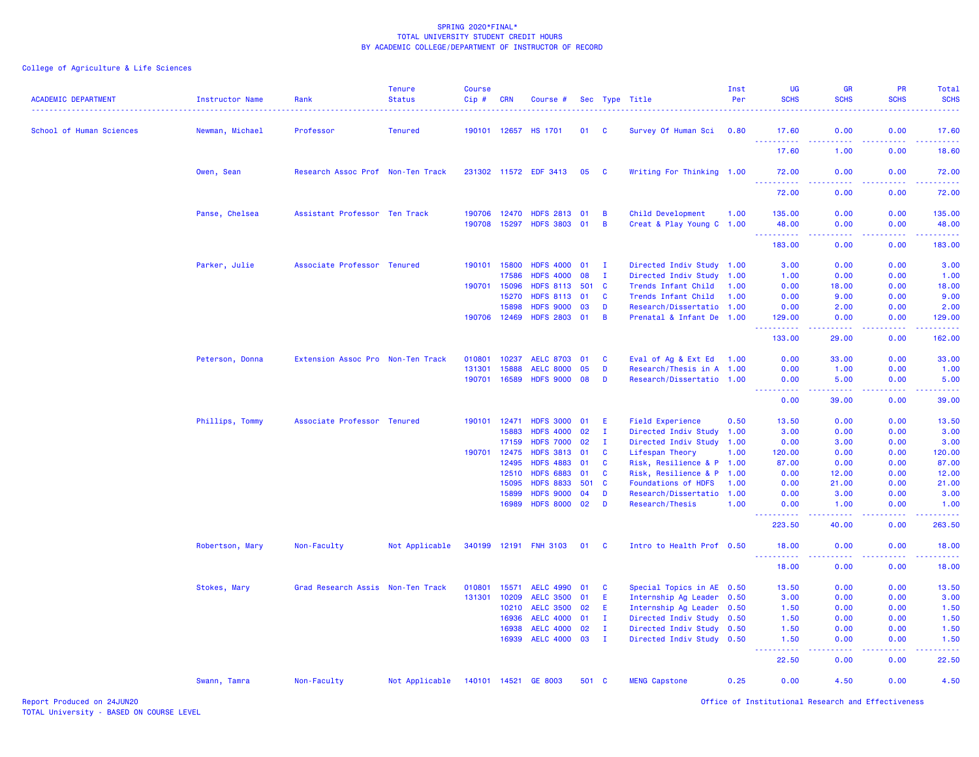| <b>ACADEMIC DEPARTMENT</b> | <b>Instructor Name</b><br>. | Rank                              | <b>Tenure</b><br><b>Status</b> | <b>Course</b><br>Cip# | <b>CRN</b>   | Course #              |       |                | Sec Type Title            | Inst<br>Per | <b>UG</b><br><b>SCHS</b>             | <b>GR</b><br><b>SCHS</b> | <b>PR</b><br><b>SCHS</b> | Total<br><b>SCHS</b> |
|----------------------------|-----------------------------|-----------------------------------|--------------------------------|-----------------------|--------------|-----------------------|-------|----------------|---------------------------|-------------|--------------------------------------|--------------------------|--------------------------|----------------------|
| School of Human Sciences   | Newman, Michael             | Professor                         | <b>Tenured</b>                 |                       | 190101 12657 | <b>HS 1701</b>        | 01    | - C            | Survey Of Human Sci 0.80  |             | 17.60                                | 0.00                     | 0.00                     | 17.60                |
|                            |                             |                                   |                                |                       |              |                       |       |                |                           |             | <u> - - - - - - - - - -</u><br>17.60 | -----<br>1.00            | <u>.</u><br>0.00         | 222223<br>18.60      |
|                            | Owen, Sean                  | Research Assoc Prof Non-Ten Track |                                |                       |              | 231302 11572 EDF 3413 | 05    | C              | Writing For Thinking 1.00 |             | 72.00                                | 0.00                     | 0.00                     | 72.00                |
|                            |                             |                                   |                                |                       |              |                       |       |                |                           |             | 72.00                                | 0.00                     | 0.00                     | 72.00                |
|                            | Panse, Chelsea              | Assistant Professor Ten Track     |                                | 190706                | 12470        | <b>HDFS 2813</b>      | 01    | B              | Child Development         | 1.00        | 135.00                               | 0.00                     | 0.00                     | 135.00               |
|                            |                             |                                   |                                |                       | 190708 15297 | <b>HDFS 3803</b>      | 01    | $\overline{B}$ | Creat & Play Young C 1.00 |             | 48.00<br>.                           | 0.00<br>.                | 0.00<br>22222            | 48.00<br><u>.</u>    |
|                            |                             |                                   |                                |                       |              |                       |       |                |                           |             | 183.00                               | 0.00                     | 0.00                     | 183.00               |
|                            | Parker, Julie               | Associate Professor Tenured       |                                | 190101                | 15800        | <b>HDFS 4000</b>      | 01    | - 1            | Directed Indiv Study 1.00 |             | 3.00                                 | 0.00                     | 0.00                     | 3.00                 |
|                            |                             |                                   |                                |                       | 17586        | <b>HDFS 4000</b>      | 08    | $\mathbf I$    | Directed Indiv Study      | 1.00        | 1.00                                 | 0.00                     | 0.00                     | 1.00                 |
|                            |                             |                                   |                                | 190701                | 15096        | <b>HDFS 8113</b>      | 501   | - C            | Trends Infant Child       | 1.00        | 0.00                                 | 18.00                    | 0.00                     | 18.00                |
|                            |                             |                                   |                                |                       | 15270        | <b>HDFS 8113</b>      | 01    | <b>C</b>       | Trends Infant Child       | 1.00        | 0.00                                 | 9.00                     | 0.00                     | 9.00                 |
|                            |                             |                                   |                                |                       | 15898        | <b>HDFS 9000</b>      | 03    | D              | Research/Dissertatio 1.00 |             | 0.00                                 | 2.00                     | 0.00                     | 2.00                 |
|                            |                             |                                   |                                |                       | 190706 12469 | <b>HDFS 2803</b>      | 01    | $\overline{B}$ | Prenatal & Infant De 1.00 |             | 129.00<br>.                          | 0.00<br>-----            | 0.00<br>22222            | 129.00<br>22222)     |
|                            |                             |                                   |                                |                       |              |                       |       |                |                           |             | 133.00                               | 29.00                    | 0.00                     | 162.00               |
|                            | Peterson, Donna             | Extension Assoc Pro Non-Ten Track |                                | 010801                | 10237        | <b>AELC 8703</b>      | 01    | C              | Eval of Ag & Ext Ed 1.00  |             | 0.00                                 | 33.00                    | 0.00                     | 33.00                |
|                            |                             |                                   |                                | 131301                | 15888        | <b>AELC 8000</b>      | 05    | D              | Research/Thesis in A 1.00 |             | 0.00                                 | 1.00                     | 0.00                     | 1.00                 |
|                            |                             |                                   |                                | 190701                | 16589        | <b>HDFS 9000</b>      | 08    | D              | Research/Dissertatio 1.00 |             | 0.00<br>22222                        | 5.00<br>22222            | 0.00<br>22222            | 5.00<br>وساعات       |
|                            |                             |                                   |                                |                       |              |                       |       |                |                           |             | 0.00                                 | 39,00                    | 0.00                     | 39.00                |
|                            | Phillips, Tommy             | Associate Professor Tenured       |                                | 190101                | 12471        | <b>HDFS 3000</b>      | 01    | E              | <b>Field Experience</b>   | 0.50        | 13.50                                | 0.00                     | 0.00                     | 13.50                |
|                            |                             |                                   |                                |                       | 15883        | <b>HDFS 4000</b>      | 02    | $\mathbf I$    | Directed Indiv Study 1.00 |             | 3.00                                 | 0.00                     | 0.00                     | 3.00                 |
|                            |                             |                                   |                                |                       | 17159        | <b>HDFS 7000</b>      | 02    | I.             | Directed Indiv Study 1.00 |             | 0.00                                 | 3.00                     | 0.00                     | 3.00                 |
|                            |                             |                                   |                                | 190701 12475          |              | <b>HDFS 3813</b>      | 01    | $\mathbf{C}$   | Lifespan Theory           | 1.00        | 120.00                               | 0.00                     | 0.00                     | 120.00               |
|                            |                             |                                   |                                |                       | 12495        | <b>HDFS 4883</b>      | 01    | $\mathbf{C}$   | Risk, Resilience & P 1.00 |             | 87.00                                | 0.00                     | 0.00                     | 87.00                |
|                            |                             |                                   |                                |                       | 12510        | <b>HDFS 6883</b>      | 01    | C              | Risk, Resilience & P      | 1.00        | 0.00                                 | 12.00                    | 0.00                     | 12.00                |
|                            |                             |                                   |                                |                       | 15095        | <b>HDFS 8833</b>      | 501   | C              | Foundations of HDFS       | 1.00        | 0.00                                 | 21.00                    | 0.00                     | 21.00                |
|                            |                             |                                   |                                |                       | 15899        | <b>HDFS 9000</b>      | 04    | D              | Research/Dissertatio 1.00 |             | 0.00                                 | 3.00                     | 0.00                     | 3.00                 |
|                            |                             |                                   |                                |                       | 16989        | <b>HDFS 8000</b>      | 02    | D              | Research/Thesis           | 1.00        | 0.00                                 | 1.00                     | 0.00                     | 1.00<br>وعاعات       |
|                            |                             |                                   |                                |                       |              |                       |       |                |                           |             | 223.50                               | 40.00                    | 0.00                     | 263.50               |
|                            | Robertson, Mary             | Non-Faculty                       | Not Applicable                 | 340199 12191          |              | <b>FNH 3103</b>       | 01    | - C            | Intro to Health Prof 0.50 |             | 18.00<br>.                           | 0.00                     | 0.00<br>.                | 18.00<br>.           |
|                            |                             |                                   |                                |                       |              |                       |       |                |                           |             | 18.00                                | 0.00                     | 0.00                     | 18.00                |
|                            | Stokes, Mary                | Grad Research Assis Non-Ten Track |                                | 010801                | 15571        | <b>AELC 4990</b>      | 01    | C              | Special Topics in AE 0.50 |             | 13.50                                | 0.00                     | 0.00                     | 13.50                |
|                            |                             |                                   |                                | 131301                | 10209        | <b>AELC 3500</b>      | 01    | E.             | Internship Ag Leader 0.50 |             | 3.00                                 | 0.00                     | 0.00                     | 3.00                 |
|                            |                             |                                   |                                |                       | 10210        | <b>AELC 3500</b>      | 02    | E.             | Internship Ag Leader 0.50 |             | 1.50                                 | 0.00                     | 0.00                     | 1.50                 |
|                            |                             |                                   |                                |                       | 16936        | <b>AELC 4000</b>      | 01    | $\mathbf I$    | Directed Indiv Study      | 0.50        | 1.50                                 | 0.00                     | 0.00                     | 1.50                 |
|                            |                             |                                   |                                |                       | 16938        | <b>AELC 4000</b>      | 02    | $\mathbf I$    | Directed Indiv Study      | 0.50        | 1.50                                 | 0.00                     | 0.00                     | 1.50                 |
|                            |                             |                                   |                                |                       | 16939        | <b>AELC 4000</b>      | 03    | $\mathbf I$    | Directed Indiv Study 0.50 |             | 1.50<br>.                            | 0.00                     | 0.00                     | 1.50                 |
|                            |                             |                                   |                                |                       |              |                       |       |                |                           |             | 22.50                                | .<br>0.00                | .<br>0.00                | .<br>22.50           |
|                            | Swann, Tamra                | Non-Faculty                       | Not Applicable                 |                       |              | 140101 14521 GE 8003  | 501 C |                | <b>MENG Capstone</b>      | 0.25        | 0.00                                 | 4.50                     | 0.00                     | 4.50                 |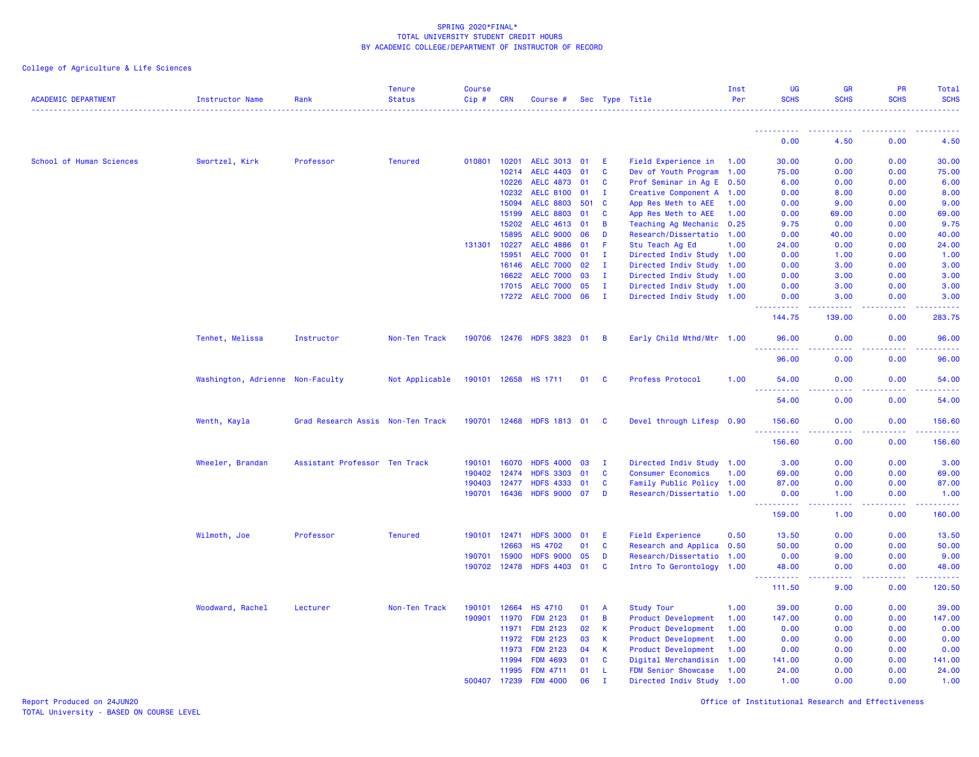# College of Agriculture & Life Sciences

| <b>ACADEMIC DEPARTMENT</b> | <b>Instructor Name</b>           | Rank                              | <b>Tenure</b><br><b>Status</b> | Course<br>Cip# | <b>CRN</b>   | Course #         |     |                | Sec Type Title            | Inst<br>Per | <b>UG</b><br><b>SCHS</b>            | <b>GR</b><br><b>SCHS</b> | PR<br><b>SCHS</b> | Total<br><b>SCHS</b> |
|----------------------------|----------------------------------|-----------------------------------|--------------------------------|----------------|--------------|------------------|-----|----------------|---------------------------|-------------|-------------------------------------|--------------------------|-------------------|----------------------|
|                            |                                  |                                   |                                |                |              |                  |     |                |                           |             |                                     |                          |                   |                      |
|                            |                                  |                                   |                                |                |              |                  |     |                |                           |             | 0.00                                | 4.50                     | 0.00              | 4.50                 |
| School of Human Sciences   | Swortzel, Kirk                   | Professor                         | <b>Tenured</b>                 | 010801         | 10201        | AELC 3013 01     |     | E              | Field Experience in 1.00  |             | 30.00                               | 0.00                     | 0.00              | 30.00                |
|                            |                                  |                                   |                                |                | 10214        | <b>AELC 4403</b> | 01  | C              | Dev of Youth Program 1.00 |             | 75.00                               | 0.00                     | 0.00              | 75.00                |
|                            |                                  |                                   |                                |                | 10226        | <b>AELC 4873</b> | 01  | <b>C</b>       | Prof Seminar in Ag E 0.50 |             | 6.00                                | 0.00                     | 0.00              | 6.00                 |
|                            |                                  |                                   |                                |                | 10232        | <b>AELC 8100</b> | 01  | $\mathbf{I}$   | Creative Component A 1.00 |             | 0.00                                | 8.00                     | 0.00              | 8.00                 |
|                            |                                  |                                   |                                |                | 15094        | <b>AELC 8803</b> | 501 | <b>C</b>       | App Res Meth to AEE       | 1.00        | 0.00                                | 9.00                     | 0.00              | 9.00                 |
|                            |                                  |                                   |                                |                | 15199        | <b>AELC 8803</b> | 01  | C              | App Res Meth to AEE       | 1.00        | 0.00                                | 69.00                    | 0.00              | 69.00                |
|                            |                                  |                                   |                                |                | 15202        | <b>AELC 4613</b> | 01  | В              | Teaching Ag Mechanic 0.25 |             | 9.75                                | 0.00                     | 0.00              | 9.75                 |
|                            |                                  |                                   |                                |                | 15895        | <b>AELC 9000</b> | 06  | D              | Research/Dissertatio 1.00 |             | 0.00                                | 40.00                    | 0.00              | 40.00                |
|                            |                                  |                                   |                                | 131301         | 10227        | <b>AELC 4886</b> | 01  | F              | Stu Teach Ag Ed           | 1.00        | 24.00                               | 0.00                     | 0.00              | 24.00                |
|                            |                                  |                                   |                                |                | 15951        | <b>AELC 7000</b> | 01  | $\mathbf{I}$   | Directed Indiv Study 1.00 |             | 0.00                                | 1.00                     | 0.00              | 1.00                 |
|                            |                                  |                                   |                                |                | 16146        | <b>AELC 7000</b> | 02  | - 1            | Directed Indiv Study 1.00 |             | 0.00                                | 3.00                     | 0.00              | 3.00                 |
|                            |                                  |                                   |                                |                | 16622        | <b>AELC 7000</b> | 03  | л.             | Directed Indiv Study 1.00 |             | 0.00                                | 3.00                     | 0.00              | 3.00                 |
|                            |                                  |                                   |                                |                | 17015        | <b>AELC 7000</b> | 05  | $\mathbf{I}$   | Directed Indiv Study 1.00 |             | 0.00                                | 3.00                     | 0.00              | 3.00                 |
|                            |                                  |                                   |                                |                |              | 17272 AELC 7000  | 06  | $\mathbf{I}$   | Directed Indiv Study 1.00 |             | 0.00<br>.                           | 3.00<br>.                | 0.00<br>22222     | 3.00<br>.            |
|                            |                                  |                                   |                                |                |              |                  |     |                |                           |             | 144.75                              | 139.00                   | 0.00              | 283.75               |
|                            | Tenhet, Melissa                  | Instructor                        | Non-Ten Track                  | 190706         | 12476        | HDFS 3823 01     |     | B              | Early Child Mthd/Mtr 1.00 |             | 96.00<br>222222                     | 0.00<br>وبالأباد         | 0.00<br>.         | 96.00<br>.           |
|                            |                                  |                                   |                                |                |              |                  |     |                |                           |             | 96.00                               | 0.00                     | 0.00              | 96.00                |
|                            | Washington, Adrienne Non-Faculty |                                   | Not Applicable                 | 190101         | 12658        | HS 1711          | 01  | <b>C</b>       | Profess Protocol          | 1.00        | 54.00                               | 0.00                     | 0.00              | 54.00                |
|                            |                                  |                                   |                                |                |              |                  |     |                |                           |             | 54.00                               | 0.00                     | 0.00              | 54.00                |
|                            | Wenth, Kayla                     | Grad Research Assis Non-Ten Track |                                | 190701 12468   |              | HDFS 1813 01     |     | - C            | Devel through Lifesp 0.90 |             | 156.60<br>$  -$<br>.                | 0.00                     | 0.00              | 156.60<br><u>.</u>   |
|                            |                                  |                                   |                                |                |              |                  |     |                |                           |             | 156.60                              | 0.00                     | 0.00              | 156.60               |
|                            | Wheeler, Brandan                 | Assistant Professor Ten Track     |                                | 190101         | 16070        | <b>HDFS 4000</b> | 03  | T              | Directed Indiv Study 1.00 |             | 3.00                                | 0.00                     | 0.00              | 3.00                 |
|                            |                                  |                                   |                                | 190402         | 12474        | <b>HDFS 3303</b> | 01  | C              | <b>Consumer Economics</b> | 1.00        | 69.00                               | 0.00                     | 0.00              | 69.00                |
|                            |                                  |                                   |                                | 190403         | 12477        | <b>HDFS 4333</b> | 01  | C              | Family Public Policy 1.00 |             | 87.00                               | 0.00                     | 0.00              | 87.00                |
|                            |                                  |                                   |                                |                | 190701 16436 | HDFS 9000 07     |     | D              | Research/Dissertatio 1.00 |             | 0.00<br><u> - - - - - - - - - -</u> | 1.00<br>.                | 0.00<br>2.2.2.2.2 | 1.00<br>.            |
|                            |                                  |                                   |                                |                |              |                  |     |                |                           |             | 159.00                              | 1.00                     | 0.00              | 160.00               |
|                            | Wilmoth, Joe                     | Professor                         | <b>Tenured</b>                 | 190101         | 12471        | <b>HDFS 3000</b> | 01  | Ε              | <b>Field Experience</b>   | 0.50        | 13.50                               | 0.00                     | 0.00              | 13.50                |
|                            |                                  |                                   |                                |                | 12663        | <b>HS 4702</b>   | 01  | C              | Research and Applica 0.50 |             | 50.00                               | 0.00                     | 0.00              | 50.00                |
|                            |                                  |                                   |                                | 190701         | 15900        | <b>HDFS 9000</b> | 05  | D              | Research/Dissertatio 1.00 |             | 0.00                                | 9.00                     | 0.00              | 9.00                 |
|                            |                                  |                                   |                                |                | 190702 12478 | <b>HDFS 4403</b> | 01  | C              | Intro To Gerontology 1.00 |             | 48.00<br>.                          | 0.00                     | 0.00              | 48.00<br>.           |
|                            |                                  |                                   |                                |                |              |                  |     |                |                           |             | 111.50                              | 9.00                     | 0.00              | 120.50               |
|                            | Woodward, Rachel                 | Lecturer                          | Non-Ten Track                  | 190101         | 12664        | <b>HS 4710</b>   | 01  | $\overline{A}$ | <b>Study Tour</b>         | 1.00        | 39.00                               | 0.00                     | 0.00              | 39,00                |
|                            |                                  |                                   |                                | 190901         | 11970        | <b>FDM 2123</b>  | 01  | B              | Product Development       | 1.00        | 147.00                              | 0.00                     | 0.00              | 147.00               |
|                            |                                  |                                   |                                |                | 11971        | <b>FDM 2123</b>  | 02  | К              | Product Development       | 1.00        | 0.00                                | 0.00                     | 0.00              | 0.00                 |
|                            |                                  |                                   |                                |                | 11972        | <b>FDM 2123</b>  | 03  | К              | Product Development       | 1.00        | 0.00                                | 0.00                     | 0.00              | 0.00                 |
|                            |                                  |                                   |                                |                | 11973        | <b>FDM 2123</b>  | 04  | К              | Product Development       | 1.00        | 0.00                                | 0.00                     | 0.00              | 0.00                 |
|                            |                                  |                                   |                                |                | 11994        | <b>FDM 4693</b>  | 01  | $\mathbf{C}$   | Digital Merchandisin 1.00 |             | 141.00                              | 0.00                     | 0.00              | 141.00               |
|                            |                                  |                                   |                                |                | 11995        | <b>FDM 4711</b>  | 01  | L              | FDM Senior Showcase       | 1.00        | 24.00                               | 0.00                     | 0.00              | 24.00                |
|                            |                                  |                                   |                                |                | 500407 17239 | <b>FDM 4000</b>  | 06  | $\mathbf{I}$   | Directed Indiv Study 1.00 |             | 1.00                                | 0.00                     | 0.00              | 1.00                 |

Report Produced on 24JUN20 Office of Institutional Research and Effectiveness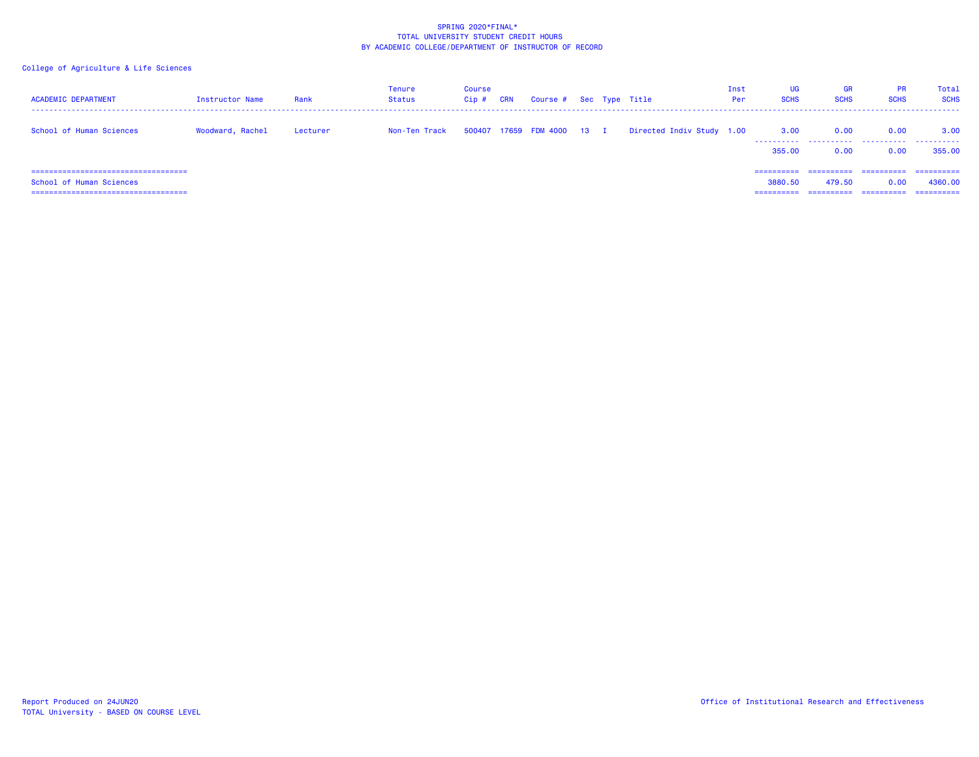| <b>ACADEMIC DEPARTMENT</b>                                        | Instructor Name  | Rank     | Tenure<br>Status | Course<br>Cip# | CRN | Course # Sec Type Title    |  |                           | Inst<br>Per | UG<br><b>SCHS</b>                   | <b>GR</b><br><b>SCHS</b>           | <b>PR</b><br><b>SCHS</b>         | Total<br><b>SCHS</b>                 |
|-------------------------------------------------------------------|------------------|----------|------------------|----------------|-----|----------------------------|--|---------------------------|-------------|-------------------------------------|------------------------------------|----------------------------------|--------------------------------------|
| School of Human Sciences                                          | Woodward, Rachel | Lecturer | Non-Ten Track    |                |     | 500407 17659 FDM 4000 13 I |  | Directed Indiv Study 1.00 |             | 3.00<br>----------<br>355,00        | 0.00<br>0.00                       | 0.00<br>0.00                     | 3.00<br>.<br>355,00                  |
| School of Human Sciences<br>===================================== |                  |          |                  |                |     |                            |  |                           |             | ==========<br>3880.50<br>========== | ==========<br>479.50<br>========== | ==========<br>0.00<br>========== | -----------<br>4360,00<br>========== |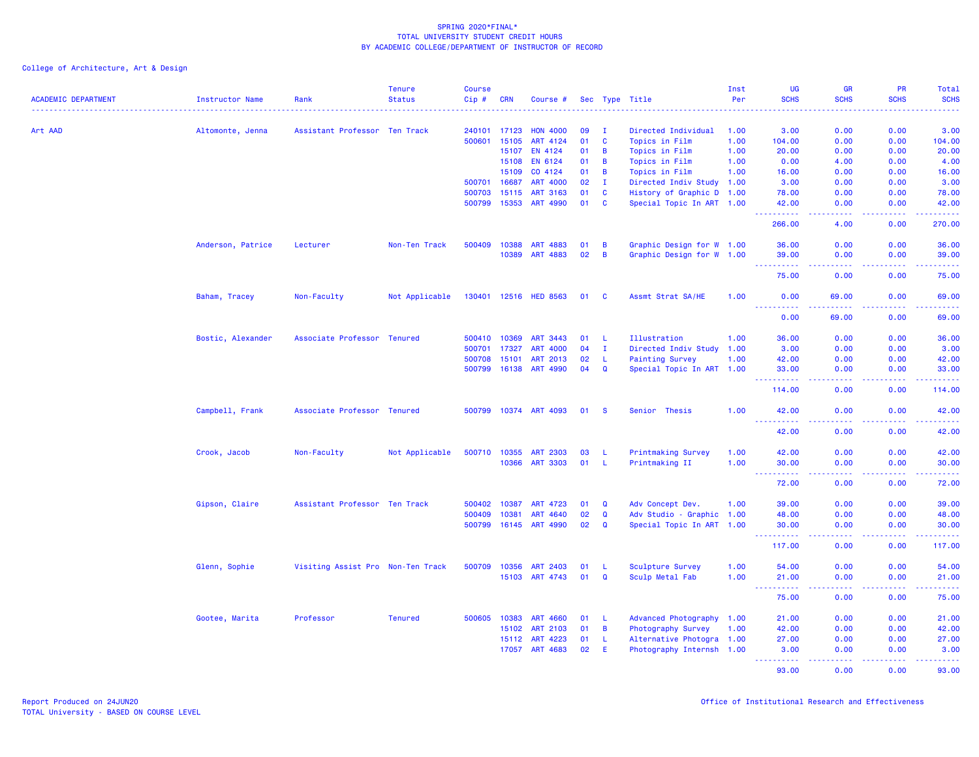| <b>ACADEMIC DEPARTMENT</b> | Instructor Name   | Rank                              | <b>Tenure</b><br><b>Status</b> | <b>Course</b><br>Cip# | <b>CRN</b>   | Course #              |    |                | Sec Type Title            | Inst<br>Per | UG<br><b>SCHS</b>                        | <b>GR</b><br><b>SCHS</b>            | PR<br><b>SCHS</b> | Total<br><b>SCHS</b> |
|----------------------------|-------------------|-----------------------------------|--------------------------------|-----------------------|--------------|-----------------------|----|----------------|---------------------------|-------------|------------------------------------------|-------------------------------------|-------------------|----------------------|
| Art AAD                    | Altomonte, Jenna  | Assistant Professor Ten Track     |                                | 240101                | 17123        | <b>HON 4000</b>       | 09 | л.             | Directed Individual       | 1.00        | 3.00                                     | 0.00                                | 0.00              | 3.00                 |
|                            |                   |                                   |                                | 500601                | 15105        | ART 4124              | 01 | $\mathbf{C}$   | Topics in Film            | 1.00        | 104.00                                   | 0.00                                | 0.00              | 104.00               |
|                            |                   |                                   |                                |                       | 15107        | EN 4124               | 01 | $\overline{B}$ | Topics in Film            | 1.00        | 20.00                                    | 0.00                                | 0.00              | 20.00                |
|                            |                   |                                   |                                |                       | 15108        | <b>EN 6124</b>        | 01 | B              | Topics in Film            | 1.00        | 0.00                                     | 4.00                                | 0.00              | 4.00                 |
|                            |                   |                                   |                                |                       | 15109        | CO 4124               | 01 | $\overline{B}$ | Topics in Film            | 1.00        | 16.00                                    | 0.00                                | 0.00              | 16.00                |
|                            |                   |                                   |                                | 500701                | 16687        | <b>ART 4000</b>       | 02 | I.             | Directed Indiv Study 1.00 |             | 3.00                                     | 0.00                                | 0.00              | 3.00                 |
|                            |                   |                                   |                                | 500703                | 15115        | <b>ART 3163</b>       | 01 | C              | History of Graphic D 1.00 |             | 78.00                                    | 0.00                                | 0.00              | 78.00                |
|                            |                   |                                   |                                | 500799                | 15353        | ART 4990              | 01 | $\mathbf{C}$   | Special Topic In ART 1.00 |             | 42.00                                    | 0.00                                | 0.00              | 42.00                |
|                            |                   |                                   |                                |                       |              |                       |    |                |                           |             | د د د د د                                | والمالمات                           | بالمحامي          | .                    |
|                            |                   |                                   |                                |                       |              |                       |    |                |                           |             | 266.00                                   | 4.00                                | 0.00              | 270.00               |
|                            | Anderson, Patrice | Lecturer                          | Non-Ten Track                  | 500409                | 10388        | <b>ART 4883</b>       | 01 | $\overline{B}$ | Graphic Design for W 1.00 |             | 36.00                                    | 0.00                                | 0.00              | 36.00                |
|                            |                   |                                   |                                |                       | 10389        | <b>ART 4883</b>       | 02 | $\overline{B}$ | Graphic Design for W 1.00 |             | 39.00<br>$\omega_{\rm{max}}$<br><b>.</b> | 0.00<br>$\sim$ $\sim$ $\sim$ $\sim$ | 0.00<br>.         | 39.00<br>.           |
|                            |                   |                                   |                                |                       |              |                       |    |                |                           |             | 75.00                                    | 0.00                                | 0.00              | 75.00                |
|                            | Baham, Tracey     | Non-Faculty                       | Not Applicable                 |                       | 130401 12516 | <b>HED 8563</b>       | 01 | <b>C</b>       | Assmt Strat SA/HE         | 1.00        | 0.00                                     | 69.00                               | 0.00              | 69.00                |
|                            |                   |                                   |                                |                       |              |                       |    |                |                           |             | -----<br>0.00                            | 69.00                               | 0.00              | 69.00                |
|                            | Bostic, Alexander | Associate Professor Tenured       |                                | 500410                | 10369        | ART 3443              | 01 | -L             | Illustration              | 1.00        | 36.00                                    | 0.00                                | 0.00              | 36.00                |
|                            |                   |                                   |                                | 500701                | 17327        | <b>ART 4000</b>       | 04 | $\mathbf{I}$   | Directed Indiv Study 1.00 |             | 3.00                                     | 0.00                                | 0.00              | 3.00                 |
|                            |                   |                                   |                                | 500708                | 15101        | ART 2013              | 02 | $\mathsf{L}$   | <b>Painting Survey</b>    | 1.00        | 42.00                                    | 0.00                                | 0.00              | 42.00                |
|                            |                   |                                   |                                | 500799                | 16138        | ART 4990              | 04 | $\mathbf{Q}$   | Special Topic In ART 1.00 |             | 33.00                                    | 0.00                                | 0.00              | 33.00                |
|                            |                   |                                   |                                |                       |              |                       |    |                |                           |             | 114.00                                   | 0.00                                | 0.00              | 114.00               |
|                            |                   |                                   |                                |                       |              |                       |    |                |                           |             |                                          |                                     |                   |                      |
|                            | Campbell, Frank   | Associate Professor Tenured       |                                |                       |              | 500799 10374 ART 4093 | 01 | - S            | Senior Thesis             | 1.00        | 42.00<br>.                               | 0.00<br>د د د د                     | 0.00<br>.         | 42.00<br>.           |
|                            |                   |                                   |                                |                       |              |                       |    |                |                           |             | 42.00                                    | 0.00                                | 0.00              | 42.00                |
|                            | Crook, Jacob      | Non-Faculty                       | Not Applicable                 | 500710                | 10355        | <b>ART 2303</b>       | 03 | -L             | <b>Printmaking Survey</b> | 1.00        | 42.00                                    | 0.00                                | 0.00              | 42.00                |
|                            |                   |                                   |                                |                       | 10366        | <b>ART 3303</b>       | 01 | -L.            | Printmaking II            | 1.00        | 30.00                                    | 0.00                                | 0.00              | 30.00                |
|                            |                   |                                   |                                |                       |              |                       |    |                |                           |             | .<br>$\sim 100$<br>72.00                 | .<br>0.00                           | .<br>0.00         | .<br>72.00           |
|                            | Gipson, Claire    | Assistant Professor Ten Track     |                                | 500402                | 10387        | ART 4723              | 01 | Q              | Adv Concept Dev.          | 1.00        | 39.00                                    | 0.00                                | 0.00              | 39.00                |
|                            |                   |                                   |                                | 500409                | 10381        | ART 4640              | 02 | $\mathbf Q$    | Adv Studio - Graphic 1.00 |             | 48.00                                    | 0.00                                | 0.00              | 48.00                |
|                            |                   |                                   |                                | 500799                | 16145        | ART 4990              | 02 | Q              | Special Topic In ART 1.00 |             | 30.00<br>د د د د د د                     | 0.00<br>$\omega$ is $\omega$ .      | 0.00              | 30.00<br>المتمام     |
|                            |                   |                                   |                                |                       |              |                       |    |                |                           |             | 117.00                                   | 0.00                                | 0.00              | 117.00               |
|                            | Glenn, Sophie     | Visiting Assist Pro Non-Ten Track |                                | 500709                | 10356        | <b>ART 2403</b>       | 01 | -L             | Sculpture Survey          | 1.00        | 54.00                                    | 0.00                                | 0.00              | 54.00                |
|                            |                   |                                   |                                |                       | 15103        | ART 4743              | 01 | Q              | Sculp Metal Fab           | 1.00        | 21.00                                    | 0.00                                | 0.00              | 21.00                |
|                            |                   |                                   |                                |                       |              |                       |    |                |                           |             | الداعات عامات<br>75.00                   | الداعات عا<br>0.00                  | 22222<br>0.00     | .<br>75.00           |
|                            | Gootee, Marita    | Professor                         | <b>Tenured</b>                 | 500605                | 10383        | <b>ART 4660</b>       | 01 | - L            | Advanced Photography 1.00 |             | 21.00                                    | 0.00                                | 0.00              | 21.00                |
|                            |                   |                                   |                                |                       | 15102        | ART 2103              | 01 | $\overline{B}$ | Photography Survey        | 1.00        | 42.00                                    | 0.00                                | 0.00              | 42.00                |
|                            |                   |                                   |                                |                       | 15112        | ART 4223              | 01 | - L            | Alternative Photogra 1.00 |             | 27.00                                    | 0.00                                | 0.00              | 27.00                |
|                            |                   |                                   |                                |                       | 17057        | ART 4683              | 02 | E.             | Photography Internsh 1.00 |             | 3.00<br>.                                | 0.00<br>والأمالية                   | 0.00              | 3.00<br>.            |
|                            |                   |                                   |                                |                       |              |                       |    |                |                           |             | 93.00                                    | 0.00                                | 0.00              | 93.00                |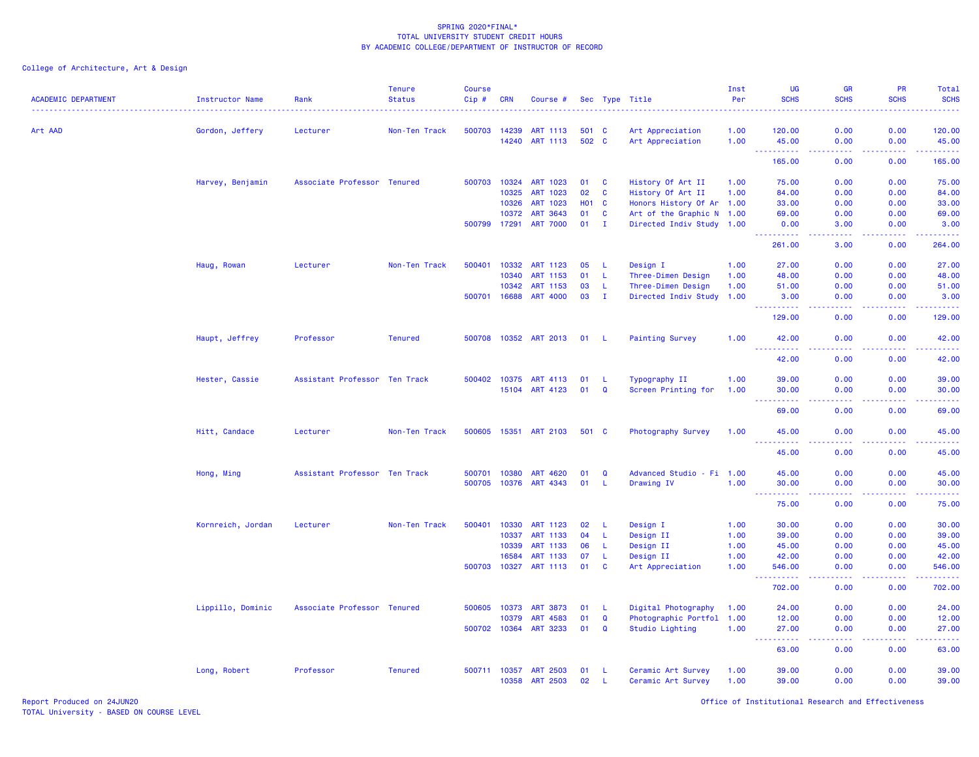| <b>ACADEMIC DEPARTMENT</b> | <b>Instructor Name</b> | Rank                          | <b>Tenure</b><br><b>Status</b> | <b>Course</b><br>Cip# | <b>CRN</b>   | Course #              |            |              | Sec Type Title            | Inst<br>Per<br><u>.</u> | UG<br><b>SCHS</b>                                                                    | <b>GR</b><br><b>SCHS</b>            | PR<br><b>SCHS</b>  | Total<br><b>SCHS</b> |
|----------------------------|------------------------|-------------------------------|--------------------------------|-----------------------|--------------|-----------------------|------------|--------------|---------------------------|-------------------------|--------------------------------------------------------------------------------------|-------------------------------------|--------------------|----------------------|
| Art AAD                    | Gordon, Jeffery        | Lecturer                      | Non-Ten Track                  |                       | 500703 14239 | ART 1113              | 501 C      |              | Art Appreciation          | 1.00                    | 120.00                                                                               | 0.00                                | 0.00               | 120.00               |
|                            |                        |                               |                                |                       | 14240        | ART 1113              | 502 C      |              | Art Appreciation          | 1.00                    | 45.00                                                                                | 0.00                                | 0.00               | 45.00                |
|                            |                        |                               |                                |                       |              |                       |            |              |                           |                         | $\sim$ $\sim$ $\sim$<br>.<br>165.00                                                  | .<br>0.00                           | .<br>0.00          | 165.00               |
|                            | Harvey, Benjamin       | Associate Professor Tenured   |                                |                       | 500703 10324 | ART 1023              | 01         | C            | History Of Art II         | 1.00                    | 75.00                                                                                | 0.00                                | 0.00               | 75.00                |
|                            |                        |                               |                                |                       | 10325        | ART 1023              | 02         | C            | History Of Art II         | 1.00                    | 84.00                                                                                | 0.00                                | 0.00               | 84.00                |
|                            |                        |                               |                                |                       | 10326        | ART 1023              | <b>HO1</b> | $\mathbf{C}$ | Honors History Of Ar 1.00 |                         | 33.00                                                                                | 0.00                                | 0.00               | 33.00                |
|                            |                        |                               |                                |                       | 10372        | ART 3643              | 01         | C            | Art of the Graphic N 1.00 |                         | 69.00                                                                                | 0.00                                | 0.00               | 69.00                |
|                            |                        |                               |                                |                       | 500799 17291 | <b>ART 7000</b>       | 01         | $\mathbf{I}$ | Directed Indiv Study 1.00 |                         | 0.00                                                                                 | 3.00                                | 0.00               | 3.00                 |
|                            |                        |                               |                                |                       |              |                       |            |              |                           |                         | .<br>261.00                                                                          | .<br>3.00                           | .<br>0.00          | .<br>264.00          |
|                            | Haug, Rowan            | Lecturer                      | Non-Ten Track                  | 500401                | 10332        | <b>ART 1123</b>       | 05         | -L           | Design I                  | 1.00                    | 27.00                                                                                | 0.00                                | 0.00               | 27.00                |
|                            |                        |                               |                                |                       | 10340        | ART 1153              | 01         | L.           | Three-Dimen Design        | 1.00                    | 48.00                                                                                | 0.00                                | 0.00               | 48.00                |
|                            |                        |                               |                                |                       | 10342        | ART 1153              | 03         | -L           | Three-Dimen Design        | 1.00                    | 51.00                                                                                | 0.00                                | 0.00               | 51.00                |
|                            |                        |                               |                                |                       | 500701 16688 | <b>ART 4000</b>       | 03         | $\mathbf{I}$ | Directed Indiv Study 1.00 |                         | 3.00<br>.                                                                            | 0.00<br>$\sim$ $\sim$ $\sim$ $\sim$ | 0.00               | 3.00                 |
|                            |                        |                               |                                |                       |              |                       |            |              |                           |                         | 129.00                                                                               | 0.00                                | 0.00               | 129.00               |
|                            | Haupt, Jeffrey         | Professor                     | <b>Tenured</b>                 |                       |              | 500708 10352 ART 2013 | 01 L       |              | <b>Painting Survey</b>    | 1.00                    | 42.00                                                                                | 0.00                                | 0.00               | 42.00                |
|                            |                        |                               |                                |                       |              |                       |            |              |                           |                         | <u>.</u><br>42.00                                                                    | .<br>0.00                           | .<br>0.00          | .<br>42.00           |
|                            | Hester, Cassie         | Assistant Professor Ten Track |                                |                       | 500402 10375 | ART 4113              | 01         | -L.          | Typography II             | 1.00                    | 39.00                                                                                | 0.00                                | 0.00               | 39.00                |
|                            |                        |                               |                                |                       | 15104        | ART 4123              | 01         | $\mathbf Q$  | Screen Printing for       | 1.00                    | 30.00<br>----------                                                                  | 0.00<br>.                           | 0.00               | 30.00                |
|                            |                        |                               |                                |                       |              |                       |            |              |                           |                         | 69.00                                                                                | 0.00                                | 0.00               | 69.00                |
|                            | Hitt, Candace          | Lecturer                      | Non-Ten Track                  | 500605                | 15351        | <b>ART 2103</b>       | 501 C      |              | Photography Survey        | 1.00                    | 45.00<br>$\sim$ $\sim$ $\sim$<br>.                                                   | 0.00                                | 0.00               | 45.00                |
|                            |                        |                               |                                |                       |              |                       |            |              |                           |                         | 45.00                                                                                | 0.00                                | 0.00               | 45.00                |
|                            | Hong, Ming             | Assistant Professor Ten Track |                                | 500701                | 10380        | <b>ART 4620</b>       | 01         | Q            | Advanced Studio - Fi 1.00 |                         | 45.00                                                                                | 0.00                                | 0.00               | 45.00                |
|                            |                        |                               |                                |                       |              | 500705 10376 ART 4343 | 01         | L.           | Drawing IV                | 1.00                    | 30.00                                                                                | 0.00                                | 0.00               | 30.00                |
|                            |                        |                               |                                |                       |              |                       |            |              |                           |                         | $\frac{1}{2} \left( \frac{1}{2} \right) \frac{1}{2} \left( \frac{1}{2} \right)$<br>. | .                                   | .                  | .                    |
|                            |                        |                               |                                |                       |              |                       |            |              |                           |                         | 75.00                                                                                | 0.00                                | 0.00               | 75.00                |
|                            | Kornreich, Jordan      | Lecturer                      | Non-Ten Track                  | 500401                | 10330        | ART 1123              | 02         | L.           | Design I                  | 1.00                    | 30.00                                                                                | 0.00                                | 0.00               | 30.00                |
|                            |                        |                               |                                |                       | 10337        | ART 1133              | 04         | L.           | Design II                 | 1.00                    | 39.00                                                                                | 0.00                                | 0.00               | 39.00                |
|                            |                        |                               |                                |                       | 10339        | ART 1133              | 06         | L.           | Design II                 | 1.00                    | 45.00                                                                                | 0.00                                | 0.00               | 45.00                |
|                            |                        |                               |                                |                       | 16584        | ART 1133              | 07         | L.           | Design II                 | 1.00                    | 42.00                                                                                | 0.00                                | 0.00               | 42.00                |
|                            |                        |                               |                                | 500703                | 10327        | ART 1113              | 01         | C            | Art Appreciation          | 1.00                    | 546.00<br>.                                                                          | 0.00<br>د د د د                     | 0.00<br>. <b>.</b> | 546.00<br>.          |
|                            |                        |                               |                                |                       |              |                       |            |              |                           |                         | 702.00                                                                               | 0.00                                | 0.00               | 702.00               |
|                            | Lippillo, Dominic      | Associate Professor Tenured   |                                | 500605                | 10373        | <b>ART 3873</b>       | 01         | <b>L</b>     | Digital Photography       | 1.00                    | 24.00                                                                                | 0.00                                | 0.00               | 24.00                |
|                            |                        |                               |                                |                       | 10379        | <b>ART 4583</b>       | 01         | Q            | Photographic Portfol 1.00 |                         | 12.00                                                                                | 0.00                                | 0.00               | 12.00                |
|                            |                        |                               |                                |                       | 500702 10364 | ART 3233              | 01         | Q            | Studio Lighting           | 1.00                    | 27.00<br>$\sim$ $\sim$<br>.                                                          | 0.00<br>.                           | 0.00<br>.          | 27.00                |
|                            |                        |                               |                                |                       |              |                       |            |              |                           |                         | 63.00                                                                                | 0.00                                | 0.00               | 63.00                |
|                            | Long, Robert           | Professor                     | <b>Tenured</b>                 |                       | 500711 10357 | <b>ART 2503</b>       | 01         | -L.          | Ceramic Art Survey        | 1.00                    | 39.00                                                                                | 0.00                                | 0.00               | 39.00                |
|                            |                        |                               |                                |                       | 10358        | ART 2503              | 02         | L.           | Ceramic Art Survey        | 1.00                    | 39.00                                                                                | 0.00                                | 0.00               | 39.00                |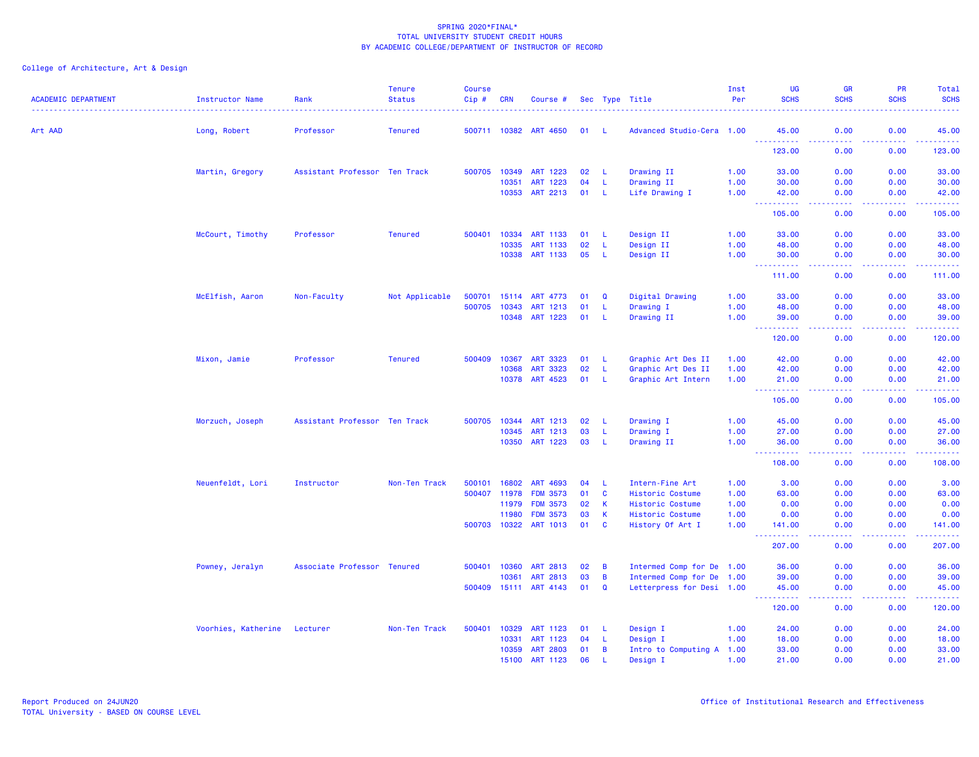| <b>ACADEMIC DEPARTMENT</b> | <b>Instructor Name</b> | Rank                          | <b>Tenure</b><br><b>Status</b> | <b>Course</b><br>$Cip$ # | <b>CRN</b> | Course #           |    |                | Sec Type Title<br>.       | Inst<br>Per | <b>UG</b><br><b>SCHS</b>                                                                                                                                                                 | <b>GR</b><br><b>SCHS</b>                                                                                                          | PR<br><b>SCHS</b>    | <b>Total</b><br><b>SCHS</b><br>$\frac{1}{2} \left( \frac{1}{2} \right) \left( \frac{1}{2} \right) \left( \frac{1}{2} \right) \left( \frac{1}{2} \right)$ |
|----------------------------|------------------------|-------------------------------|--------------------------------|--------------------------|------------|--------------------|----|----------------|---------------------------|-------------|------------------------------------------------------------------------------------------------------------------------------------------------------------------------------------------|-----------------------------------------------------------------------------------------------------------------------------------|----------------------|----------------------------------------------------------------------------------------------------------------------------------------------------------|
| Art AAD                    | Long, Robert           | Professor                     | <b>Tenured</b>                 | 500711 10382             |            | <b>ART 4650</b>    | 01 | - L            | Advanced Studio-Cera 1.00 |             | 45.00                                                                                                                                                                                    | 0.00                                                                                                                              | 0.00                 | 45.00                                                                                                                                                    |
|                            |                        |                               |                                |                          |            |                    |    |                |                           |             | .<br>123.00                                                                                                                                                                              | $- - - -$<br>0.00                                                                                                                 | .<br>0.00            | .<br>123.00                                                                                                                                              |
|                            | Martin, Gregory        | Assistant Professor Ten Track |                                | 500705                   | 10349      | ART 1223           | 02 | -L             | Drawing II                | 1.00        | 33.00                                                                                                                                                                                    | 0.00                                                                                                                              | 0.00                 | 33.00                                                                                                                                                    |
|                            |                        |                               |                                |                          | 10351      | ART 1223           | 04 | -L             | Drawing II                | 1.00        | 30.00                                                                                                                                                                                    | 0.00                                                                                                                              | 0.00                 | 30.00                                                                                                                                                    |
|                            |                        |                               |                                |                          | 10353      | ART 2213           | 01 | -L             | Life Drawing I            | 1.00        | 42.00<br>-----                                                                                                                                                                           | 0.00<br>المتمامين                                                                                                                 | 0.00<br>.            | 42.00<br>.                                                                                                                                               |
|                            |                        |                               |                                |                          |            |                    |    |                |                           |             | 105.00                                                                                                                                                                                   | 0.00                                                                                                                              | 0.00                 | 105.00                                                                                                                                                   |
|                            | McCourt, Timothy       | Professor                     | <b>Tenured</b>                 | 500401                   | 10334      | ART 1133           | 01 | -L             | Design II                 | 1.00        | 33.00                                                                                                                                                                                    | 0.00                                                                                                                              | 0.00                 | 33.00                                                                                                                                                    |
|                            |                        |                               |                                |                          | 10335      | ART 1133           | 02 | <b>L</b>       | Design II                 | 1.00        | 48.00                                                                                                                                                                                    | 0.00                                                                                                                              | 0.00                 | 48.00                                                                                                                                                    |
|                            |                        |                               |                                |                          | 10338      | ART 1133           | 05 | -L             | Design II                 | 1.00        | 30.00<br><u> - - - - - - - - - -</u>                                                                                                                                                     | 0.00<br>.                                                                                                                         | 0.00<br>.            | 30.00<br>.                                                                                                                                               |
|                            |                        |                               |                                |                          |            |                    |    |                |                           |             | 111.00                                                                                                                                                                                   | 0.00                                                                                                                              | 0.00                 | 111.00                                                                                                                                                   |
|                            | McElfish, Aaron        | Non-Faculty                   | Not Applicable                 | 500701                   |            | 15114 ART 4773     | 01 | Q              | Digital Drawing           | 1.00        | 33.00                                                                                                                                                                                    | 0.00                                                                                                                              | 0.00                 | 33.00                                                                                                                                                    |
|                            |                        |                               |                                | 500705                   | 10343      | ART 1213           | 01 | L.             | Drawing I                 | 1.00        | 48.00                                                                                                                                                                                    | 0.00                                                                                                                              | 0.00                 | 48.00                                                                                                                                                    |
|                            |                        |                               |                                |                          |            | 10348 ART 1223     | 01 | L.             | Drawing II                | 1.00        | 39.00<br><b></b>                                                                                                                                                                         | 0.00<br>.                                                                                                                         | 0.00<br>.            | 39.00<br>222222                                                                                                                                          |
|                            |                        |                               |                                |                          |            |                    |    |                |                           |             | 120.00                                                                                                                                                                                   | 0.00                                                                                                                              | 0.00                 | 120.00                                                                                                                                                   |
|                            | Mixon, Jamie           | Professor                     | <b>Tenured</b>                 | 500409                   | 10367      | ART 3323           | 01 | -L             | Graphic Art Des II        | 1.00        | 42.00                                                                                                                                                                                    | 0.00                                                                                                                              | 0.00                 | 42.00                                                                                                                                                    |
|                            |                        |                               |                                |                          | 10368      | 3323<br><b>ART</b> | 02 | -L             | Graphic Art Des II        | 1.00        | 42.00                                                                                                                                                                                    | 0.00                                                                                                                              | 0.00                 | 42.00                                                                                                                                                    |
|                            |                        |                               |                                |                          | 10378      | ART 4523           | 01 | -L             | Graphic Art Intern        | 1.00        | 21.00<br><b></b>                                                                                                                                                                         | 0.00<br>.                                                                                                                         | 0.00<br>.            | 21.00<br>المستشفات                                                                                                                                       |
|                            |                        |                               |                                |                          |            |                    |    |                |                           |             | 105.00                                                                                                                                                                                   | 0.00                                                                                                                              | 0.00                 | 105.00                                                                                                                                                   |
|                            | Morzuch, Joseph        | Assistant Professor Ten Track |                                | 500705                   | 10344      | ART 1213           | 02 | -L             | Drawing I                 | 1.00        | 45.00                                                                                                                                                                                    | 0.00                                                                                                                              | 0.00                 | 45.00                                                                                                                                                    |
|                            |                        |                               |                                |                          | 10345      | ART 1213           | 03 | L              | Drawing I                 | 1.00        | 27.00                                                                                                                                                                                    | 0.00                                                                                                                              | 0.00                 | 27.00                                                                                                                                                    |
|                            |                        |                               |                                |                          | 10350      | ART 1223           | 03 | <b>L</b>       | Drawing II                | 1.00        | 36.00<br>----                                                                                                                                                                            | 0.00<br>----                                                                                                                      | 0.00<br>. <b>.</b> . | 36.00<br>.                                                                                                                                               |
|                            |                        |                               |                                |                          |            |                    |    |                |                           |             | 108.00                                                                                                                                                                                   | 0.00                                                                                                                              | 0.00                 | 108.00                                                                                                                                                   |
|                            | Neuenfeldt, Lori       | Instructor                    | Non-Ten Track                  | 500101                   | 16802      | ART 4693           | 04 | -L             | Intern-Fine Art           | 1.00        | 3.00                                                                                                                                                                                     | 0.00                                                                                                                              | 0.00                 | 3.00                                                                                                                                                     |
|                            |                        |                               |                                | 500407                   | 11978      | <b>FDM 3573</b>    | 01 | C              | Historic Costume          | 1.00        | 63.00                                                                                                                                                                                    | 0.00                                                                                                                              | 0.00                 | 63.00                                                                                                                                                    |
|                            |                        |                               |                                |                          | 11979      | <b>FDM 3573</b>    | 02 | $\mathsf K$    | Historic Costume          | 1.00        | 0.00                                                                                                                                                                                     | 0.00                                                                                                                              | 0.00                 | 0.00                                                                                                                                                     |
|                            |                        |                               |                                |                          | 11980      | <b>FDM 3573</b>    | 03 | K              | Historic Costume          | 1.00        | 0.00                                                                                                                                                                                     | 0.00                                                                                                                              | 0.00                 | 0.00                                                                                                                                                     |
|                            |                        |                               |                                | 500703                   | 10322      | ART 1013           | 01 | C              | History Of Art I          | 1.00        | 141.00<br>.                                                                                                                                                                              | 0.00                                                                                                                              | 0.00<br>بالأباد      | 141.00<br>.                                                                                                                                              |
|                            |                        |                               |                                |                          |            |                    |    |                |                           |             | 207.00                                                                                                                                                                                   | 0.00                                                                                                                              | 0.00                 | 207.00                                                                                                                                                   |
|                            | Powney, Jeralyn        | Associate Professor Tenured   |                                | 500401                   | 10360      | <b>ART 2813</b>    | 02 | B              | Intermed Comp for De 1.00 |             | 36.00                                                                                                                                                                                    | 0.00                                                                                                                              | 0.00                 | 36.00                                                                                                                                                    |
|                            |                        |                               |                                |                          | 10361      | ART 2813           | 03 | $\overline{B}$ | Intermed Comp for De 1.00 |             | 39.00                                                                                                                                                                                    | 0.00                                                                                                                              | 0.00                 | 39.00                                                                                                                                                    |
|                            |                        |                               |                                | 500409                   |            | 15111 ART 4143     | 01 | Q              | Letterpress for Desi 1.00 |             | 45.00<br>$\frac{1}{2} \left( \frac{1}{2} \right) \left( \frac{1}{2} \right) \left( \frac{1}{2} \right) \left( \frac{1}{2} \right) \left( \frac{1}{2} \right) \left( \frac{1}{2} \right)$ | 0.00<br>$\frac{1}{2} \left( \frac{1}{2} \right) \left( \frac{1}{2} \right) \left( \frac{1}{2} \right) \left( \frac{1}{2} \right)$ | 0.00<br>.            | 45.00<br>.                                                                                                                                               |
|                            |                        |                               |                                |                          |            |                    |    |                |                           |             | 120.00                                                                                                                                                                                   | 0.00                                                                                                                              | 0.00                 | 120.00                                                                                                                                                   |
|                            | Voorhies, Katherine    | Lecturer                      | Non-Ten Track                  | 500401                   | 10329      | ART 1123           | 01 | L              | Design I                  | 1.00        | 24.00                                                                                                                                                                                    | 0.00                                                                                                                              | 0.00                 | 24.00                                                                                                                                                    |
|                            |                        |                               |                                |                          | 10331      | ART 1123           | 04 | <b>L</b>       | Design I                  | 1.00        | 18.00                                                                                                                                                                                    | 0.00                                                                                                                              | 0.00                 | 18.00                                                                                                                                                    |
|                            |                        |                               |                                |                          | 10359      | <b>ART 2803</b>    | 01 | B              | Intro to Computing A 1.00 |             | 33.00                                                                                                                                                                                    | 0.00                                                                                                                              | 0.00                 | 33.00                                                                                                                                                    |
|                            |                        |                               |                                |                          | 15100      | ART 1123           | 06 | $\mathbf{I}$   | Design I                  | 1.00        | 21.00                                                                                                                                                                                    | 0.00                                                                                                                              | 0.00                 | 21.00                                                                                                                                                    |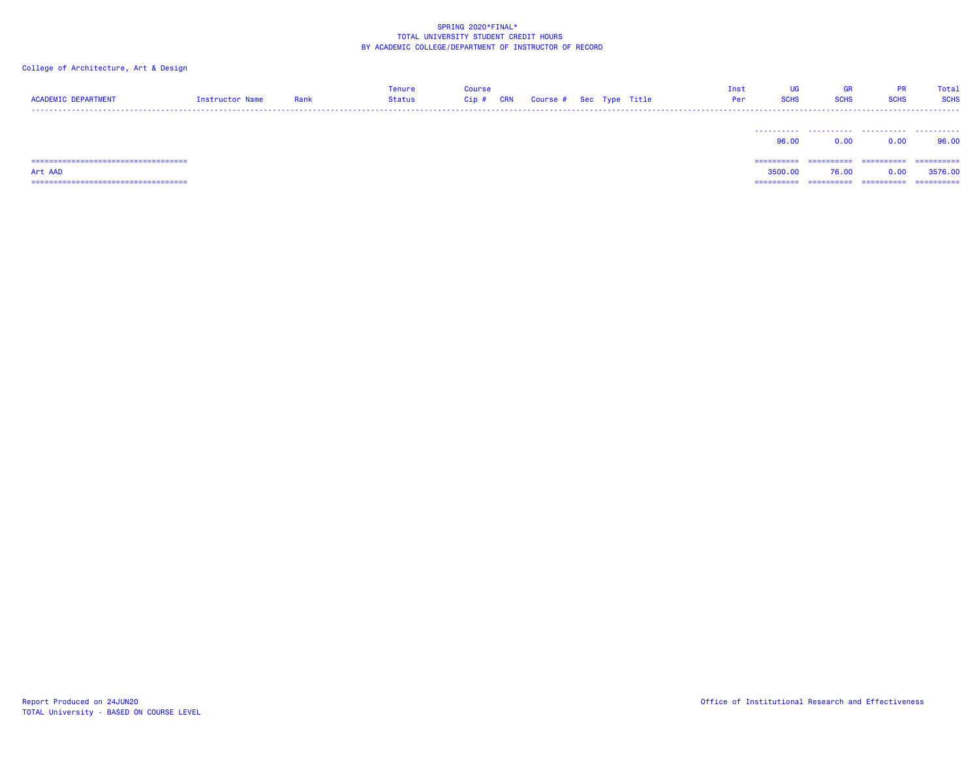| <b>ACADEMIC DEPARTMENT</b>            | Instructor Name | Rank | <b>Tenure</b><br>Status | Course<br>Cip# | <b>CRN</b> | Course # Sec Type Title |  | Inst<br>Per | UG<br><b>SCHS</b> | <b>GR</b><br><b>SCHS</b> | <b>PR</b><br><b>SCHS</b> | Total<br><b>SCHS</b> |
|---------------------------------------|-----------------|------|-------------------------|----------------|------------|-------------------------|--|-------------|-------------------|--------------------------|--------------------------|----------------------|
|                                       |                 |      |                         |                |            |                         |  |             | 96.00             | 0.00                     | 0.00                     | .<br>96.00           |
|                                       |                 |      |                         |                |            |                         |  |             | ==========        | ==========               | ==========               | -----------          |
| Art AAD                               |                 |      |                         |                |            |                         |  |             | 3500.00           | 76.00                    | 0.00                     | 3576.00              |
| ===================================== |                 |      |                         |                |            |                         |  |             | =========         |                          | ==========               | ==========           |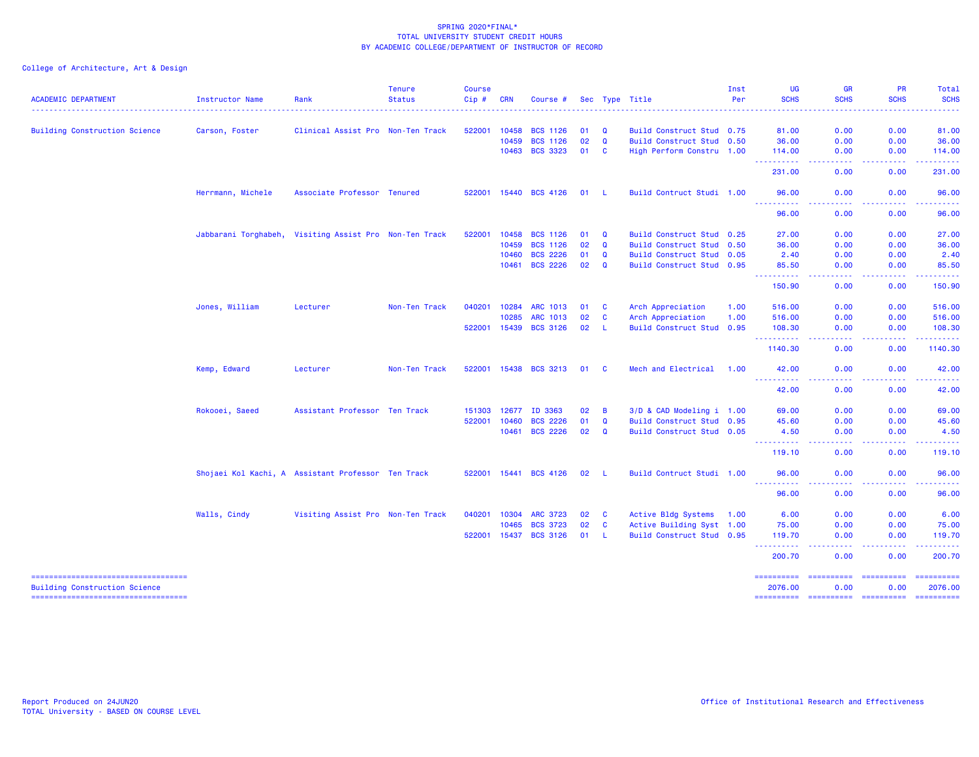| <b>ACADEMIC DEPARTMENT</b>                                                  | <b>Instructor Name</b> | Rank                                               | <b>Tenure</b><br><b>Status</b> | <b>Course</b><br>Cip# | <b>CRN</b> | Course #              |    |              | Sec Type Title            | Inst<br>Per | <b>UG</b><br><b>SCHS</b>             | <b>GR</b><br><b>SCHS</b>             | <b>PR</b><br><b>SCHS</b>                                                                                                                                     | Total<br><b>SCHS</b>                                                                                                                                                                                                                                                                                                                                                                                                                                                                              |
|-----------------------------------------------------------------------------|------------------------|----------------------------------------------------|--------------------------------|-----------------------|------------|-----------------------|----|--------------|---------------------------|-------------|--------------------------------------|--------------------------------------|--------------------------------------------------------------------------------------------------------------------------------------------------------------|---------------------------------------------------------------------------------------------------------------------------------------------------------------------------------------------------------------------------------------------------------------------------------------------------------------------------------------------------------------------------------------------------------------------------------------------------------------------------------------------------|
|                                                                             |                        |                                                    |                                |                       |            |                       |    |              |                           |             |                                      | <b><i><u><u> - - - -</u></u></i></b> |                                                                                                                                                              |                                                                                                                                                                                                                                                                                                                                                                                                                                                                                                   |
| <b>Building Construction Science</b>                                        | Carson, Foster         | Clinical Assist Pro Non-Ten Track                  |                                | 522001                | 10458      | <b>BCS 1126</b>       | 01 | $\mathbf Q$  | Build Construct Stud 0.75 |             | 81.00                                | 0.00                                 | 0.00                                                                                                                                                         | 81.00                                                                                                                                                                                                                                                                                                                                                                                                                                                                                             |
|                                                                             |                        |                                                    |                                |                       | 10459      | <b>BCS 1126</b>       | 02 | $\mathbf Q$  | Build Construct Stud 0.50 |             | 36.00                                | 0.00                                 | 0.00                                                                                                                                                         | 36.00                                                                                                                                                                                                                                                                                                                                                                                                                                                                                             |
|                                                                             |                        |                                                    |                                |                       | 10463      | <b>BCS 3323</b>       | 01 | <b>C</b>     | High Perform Constru 1.00 |             | 114,00<br>.                          | 0.00<br>وبالأباد                     | 0.00<br>.                                                                                                                                                    | 114.00<br>$\begin{array}{cccccccccc} \bullet & \bullet & \bullet & \bullet & \bullet & \bullet & \bullet \end{array}$                                                                                                                                                                                                                                                                                                                                                                             |
|                                                                             |                        |                                                    |                                |                       |            |                       |    |              |                           |             | 231.00                               | 0.00                                 | 0.00                                                                                                                                                         | 231.00                                                                                                                                                                                                                                                                                                                                                                                                                                                                                            |
|                                                                             | Herrmann, Michele      | Associate Professor Tenured                        |                                | 522001                | 15440      | <b>BCS 4126</b>       | 01 | - L          | Build Contruct Studi 1.00 |             | 96.00<br><u>.</u>                    | 0.00                                 | 0.00                                                                                                                                                         | 96.00                                                                                                                                                                                                                                                                                                                                                                                                                                                                                             |
|                                                                             |                        |                                                    |                                |                       |            |                       |    |              |                           |             | 96.00                                | 0.00                                 | 0.00                                                                                                                                                         | 96.00                                                                                                                                                                                                                                                                                                                                                                                                                                                                                             |
|                                                                             | Jabbarani Torghabeh,   | Visiting Assist Pro Non-Ten Track                  |                                | 522001                | 10458      | <b>BCS 1126</b>       | 01 | Q            | Build Construct Stud 0.25 |             | 27.00                                | 0.00                                 | 0.00                                                                                                                                                         | 27.00                                                                                                                                                                                                                                                                                                                                                                                                                                                                                             |
|                                                                             |                        |                                                    |                                |                       | 10459      | <b>BCS 1126</b>       | 02 | Q            | Build Construct Stud 0.50 |             | 36.00                                | 0.00                                 | 0.00                                                                                                                                                         | 36.00                                                                                                                                                                                                                                                                                                                                                                                                                                                                                             |
|                                                                             |                        |                                                    |                                |                       | 10460      | <b>BCS 2226</b>       | 01 | $\mathbf Q$  | Build Construct Stud 0.05 |             | 2.40                                 | 0.00                                 | 0.00                                                                                                                                                         | 2.40                                                                                                                                                                                                                                                                                                                                                                                                                                                                                              |
|                                                                             |                        |                                                    |                                |                       | 10461      | <b>BCS 2226</b>       | 02 | $\mathbf{Q}$ | Build Construct Stud 0.95 |             | 85.50<br>------                      | 0.00<br><b>.</b>                     | 0.00<br>.                                                                                                                                                    | 85.50<br>.                                                                                                                                                                                                                                                                                                                                                                                                                                                                                        |
|                                                                             |                        |                                                    |                                |                       |            |                       |    |              |                           |             | 150.90                               | 0.00                                 | 0.00                                                                                                                                                         | 150.90                                                                                                                                                                                                                                                                                                                                                                                                                                                                                            |
|                                                                             | Jones, William         | Lecturer                                           | Non-Ten Track                  | 040201                | 10284      | <b>ARC 1013</b>       | 01 | <b>C</b>     | Arch Appreciation         | 1.00        | 516.00                               | 0.00                                 | 0.00                                                                                                                                                         | 516.00                                                                                                                                                                                                                                                                                                                                                                                                                                                                                            |
|                                                                             |                        |                                                    |                                |                       | 10285      | ARC 1013              | 02 | <b>C</b>     | Arch Appreciation         | 1.00        | 516.00                               | 0.00                                 | 0.00                                                                                                                                                         | 516.00                                                                                                                                                                                                                                                                                                                                                                                                                                                                                            |
|                                                                             |                        |                                                    |                                | 522001                | 15439      | <b>BCS 3126</b>       | 02 | - L          | Build Construct Stud 0.95 |             | 108.30                               | 0.00                                 | 0.00                                                                                                                                                         | 108.30                                                                                                                                                                                                                                                                                                                                                                                                                                                                                            |
|                                                                             |                        |                                                    |                                |                       |            |                       |    |              |                           |             | ----------<br>1140.30                | د د د د<br>0.00                      | <b><i><u><u> - - - -</u></u></i></b><br>0.00                                                                                                                 | <u>.</u><br>1140.30                                                                                                                                                                                                                                                                                                                                                                                                                                                                               |
|                                                                             | Kemp, Edward           | Lecturer                                           | Non-Ten Track                  | 522001                |            | 15438 BCS 3213        | 01 | <b>C</b>     | Mech and Electrical       | 1.00        | 42.00                                | 0.00                                 | 0.00                                                                                                                                                         | 42.00                                                                                                                                                                                                                                                                                                                                                                                                                                                                                             |
|                                                                             |                        |                                                    |                                |                       |            |                       |    |              |                           |             | <u> - - - - - - - - - -</u><br>42.00 | $\omega$ is a $\omega$<br>0.00       | .<br>0.00                                                                                                                                                    | .<br>42.00                                                                                                                                                                                                                                                                                                                                                                                                                                                                                        |
|                                                                             | Rokooei, Saeed         | Assistant Professor Ten Track                      |                                | 151303                | 12677      | ID 3363               | 02 | B            | 3/D & CAD Modeling i 1.00 |             | 69.00                                | 0.00                                 | 0.00                                                                                                                                                         | 69.00                                                                                                                                                                                                                                                                                                                                                                                                                                                                                             |
|                                                                             |                        |                                                    |                                | 522001                | 10460      | <b>BCS 2226</b>       | 01 | $\mathbf{Q}$ | Build Construct Stud 0.95 |             | 45.60                                | 0.00                                 | 0.00                                                                                                                                                         | 45.60                                                                                                                                                                                                                                                                                                                                                                                                                                                                                             |
|                                                                             |                        |                                                    |                                |                       | 10461      | <b>BCS 2226</b>       | 02 | $\alpha$     | Build Construct Stud 0.05 |             | 4.50<br>.                            | 0.00<br>.                            | 0.00<br>.                                                                                                                                                    | 4.50<br>.                                                                                                                                                                                                                                                                                                                                                                                                                                                                                         |
|                                                                             |                        |                                                    |                                |                       |            |                       |    |              |                           |             | 119.10                               | 0.00                                 | 0.00                                                                                                                                                         | 119.10                                                                                                                                                                                                                                                                                                                                                                                                                                                                                            |
|                                                                             |                        | Shojaei Kol Kachi, A Assistant Professor Ten Track |                                |                       |            | 522001 15441 BCS 4126 | 02 | - 1.         | Build Contruct Studi 1.00 |             | 96.00<br>.<br>444                    | 0.00<br>$\omega$ is a $\omega$       | 0.00<br>$\frac{1}{2} \left( \frac{1}{2} \right) \left( \frac{1}{2} \right) \left( \frac{1}{2} \right) \left( \frac{1}{2} \right) \left( \frac{1}{2} \right)$ | 96.00<br>.                                                                                                                                                                                                                                                                                                                                                                                                                                                                                        |
|                                                                             |                        |                                                    |                                |                       |            |                       |    |              |                           |             | 96.00                                | 0.00                                 | 0.00                                                                                                                                                         | 96.00                                                                                                                                                                                                                                                                                                                                                                                                                                                                                             |
|                                                                             | Walls, Cindy           | Visiting Assist Pro Non-Ten Track                  |                                | 040201                | 10304      | <b>ARC 3723</b>       | 02 | <b>C</b>     | Active Bldg Systems       | 1.00        | 6.00                                 | 0.00                                 | 0.00                                                                                                                                                         | 6.00                                                                                                                                                                                                                                                                                                                                                                                                                                                                                              |
|                                                                             |                        |                                                    |                                |                       | 10465      | <b>BCS 3723</b>       | 02 | <b>C</b>     | Active Building Syst 1.00 |             | 75.00                                | 0.00                                 | 0.00                                                                                                                                                         | 75.00                                                                                                                                                                                                                                                                                                                                                                                                                                                                                             |
|                                                                             |                        |                                                    |                                | 522001                | 15437      | <b>BCS 3126</b>       | 01 | - L          | Build Construct Stud 0.95 |             | 119.70<br><b>.</b> .                 | 0.00<br>د د د د                      | 0.00<br>$\frac{1}{2} \left( \frac{1}{2} \right) \left( \frac{1}{2} \right) \left( \frac{1}{2} \right) \left( \frac{1}{2} \right) \left( \frac{1}{2} \right)$ | 119.70<br>.                                                                                                                                                                                                                                                                                                                                                                                                                                                                                       |
|                                                                             |                        |                                                    |                                |                       |            |                       |    |              |                           |             | 200.70                               | 0.00                                 | 0.00                                                                                                                                                         | 200.70                                                                                                                                                                                                                                                                                                                                                                                                                                                                                            |
| -----------------------------------<br><b>Building Construction Science</b> |                        |                                                    |                                |                       |            |                       |    |              |                           |             | ==========<br>2076.00                | ==========<br>0.00                   | ==========<br>0.00                                                                                                                                           | $\begin{array}{cccccccccc} \multicolumn{2}{c}{} & \multicolumn{2}{c}{} & \multicolumn{2}{c}{} & \multicolumn{2}{c}{} & \multicolumn{2}{c}{} & \multicolumn{2}{c}{} & \multicolumn{2}{c}{} & \multicolumn{2}{c}{} & \multicolumn{2}{c}{} & \multicolumn{2}{c}{} & \multicolumn{2}{c}{} & \multicolumn{2}{c}{} & \multicolumn{2}{c}{} & \multicolumn{2}{c}{} & \multicolumn{2}{c}{} & \multicolumn{2}{c}{} & \multicolumn{2}{c}{} & \multicolumn{2}{c}{} & \multicolumn{2}{c}{} & \mult$<br>2076.00 |
| ------------------------------------                                        |                        |                                                    |                                |                       |            |                       |    |              |                           |             | ==========                           | ==========                           | ==========                                                                                                                                                   | ==========                                                                                                                                                                                                                                                                                                                                                                                                                                                                                        |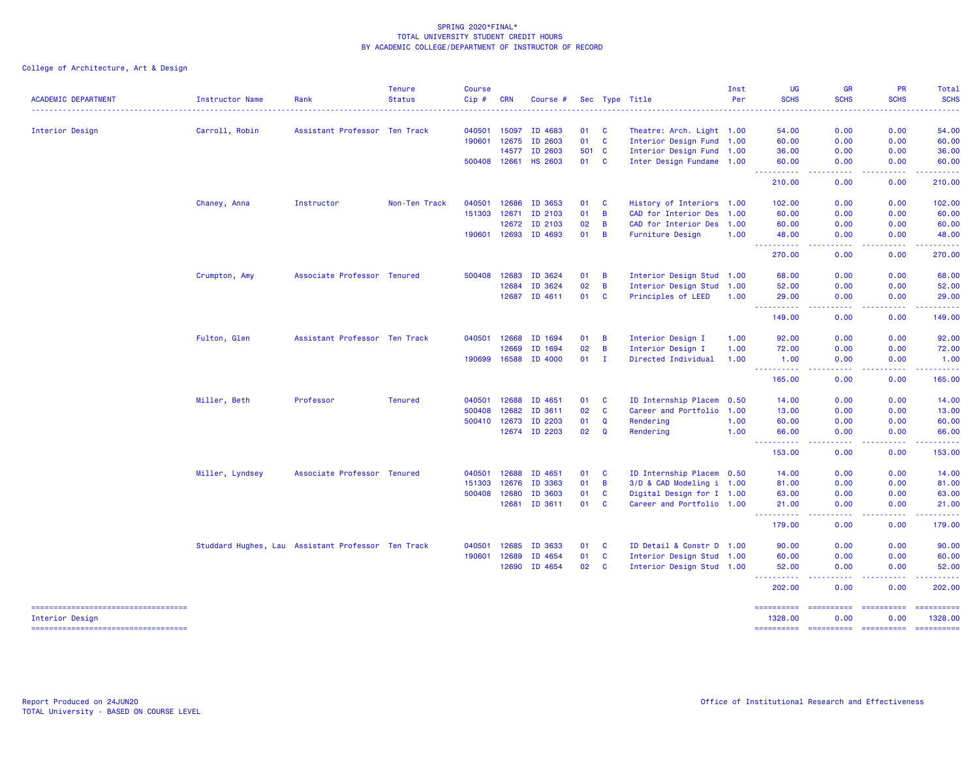College of Architecture, Art & Design

| <b>ACADEMIC DEPARTMENT</b>             | Instructor Name                                    | Rank                          | <b>Tenure</b><br><b>Status</b> | <b>Course</b><br>Cip# | CRN          | Course #             |              |                | Sec Type Title            | Inst<br>Per | <b>UG</b><br><b>SCHS</b>              | <b>GR</b><br><b>SCHS</b> | PR<br><b>SCHS</b>                                                                                                                                            | Total<br><b>SCHS</b>                                                                                                  |
|----------------------------------------|----------------------------------------------------|-------------------------------|--------------------------------|-----------------------|--------------|----------------------|--------------|----------------|---------------------------|-------------|---------------------------------------|--------------------------|--------------------------------------------------------------------------------------------------------------------------------------------------------------|-----------------------------------------------------------------------------------------------------------------------|
|                                        |                                                    |                               |                                | --------------        |              |                      |              |                |                           |             | .                                     | .                        | - - - - - - - - - -                                                                                                                                          | $\begin{array}{cccccccccc} \bullet & \bullet & \bullet & \bullet & \bullet & \bullet & \bullet & \bullet \end{array}$ |
| Interior Design                        | Carroll, Robin                                     | Assistant Professor Ten Track |                                | 040501                | 15097        | ID 4683              | 01           | $\mathbf{C}$   | Theatre: Arch. Light 1.00 |             | 54.00                                 | 0.00                     | 0.00                                                                                                                                                         | 54.00                                                                                                                 |
|                                        |                                                    |                               |                                |                       | 190601 12675 | ID 2603              | 01 C         |                | Interior Design Fund 1.00 |             | 60.00                                 | 0.00                     | 0.00                                                                                                                                                         | 60.00                                                                                                                 |
|                                        |                                                    |                               |                                |                       | 14577        | ID 2603              | 501 C        |                | Interior Design Fund 1.00 |             | 36.00                                 | 0.00                     | 0.00                                                                                                                                                         | 36.00                                                                                                                 |
|                                        |                                                    |                               |                                |                       | 500408 12661 | <b>HS 2603</b>       | 01 C         |                | Inter Design Fundame 1.00 |             | 60.00                                 | 0.00                     | 0.00                                                                                                                                                         | 60.00                                                                                                                 |
|                                        |                                                    |                               |                                |                       |              |                      |              |                |                           |             | .<br>210,00                           | .<br>0.00                | .<br>0.00                                                                                                                                                    | .<br>210.00                                                                                                           |
|                                        | Chaney, Anna                                       | Instructor                    | Non-Ten Track                  | 040501                |              | 12686 ID 3653        | 01           | <b>C</b>       | History of Interiors 1.00 |             | 102.00                                | 0.00                     | 0.00                                                                                                                                                         | 102.00                                                                                                                |
|                                        |                                                    |                               |                                | 151303 12671          |              | ID 2103              | 01           | $\overline{B}$ | CAD for Interior Des 1.00 |             | 60.00                                 | 0.00                     | 0.00                                                                                                                                                         | 60.00                                                                                                                 |
|                                        |                                                    |                               |                                |                       |              | 12672 ID 2103        | 02           | B              | CAD for Interior Des 1.00 |             | 60.00                                 | 0.00                     | 0.00                                                                                                                                                         | 60.00                                                                                                                 |
|                                        |                                                    |                               |                                |                       |              | 190601 12693 ID 4693 | $01 \quad B$ |                | <b>Furniture Design</b>   | 1.00        | 48.00                                 | 0.00                     | 0.00                                                                                                                                                         | 48.00                                                                                                                 |
|                                        |                                                    |                               |                                |                       |              |                      |              |                |                           |             | ----------<br>270.00                  | .<br>0.00                | $\frac{1}{2} \left( \frac{1}{2} \right) \left( \frac{1}{2} \right) \left( \frac{1}{2} \right) \left( \frac{1}{2} \right) \left( \frac{1}{2} \right)$<br>0.00 | المستملك<br>270.00                                                                                                    |
|                                        | Crumpton, Amy                                      | Associate Professor Tenured   |                                | 500408 12683          |              | ID 3624              | 01           | $\overline{B}$ | Interior Design Stud 1.00 |             | 68.00                                 | 0.00                     | 0.00                                                                                                                                                         | 68.00                                                                                                                 |
|                                        |                                                    |                               |                                |                       | 12684        | ID 3624              | 02           | B              | Interior Design Stud 1.00 |             | 52.00                                 | 0.00                     | 0.00                                                                                                                                                         | 52.00                                                                                                                 |
|                                        |                                                    |                               |                                |                       |              | 12687 ID 4611        | 01 C         |                | Principles of LEED        | 1.00        | 29.00<br><u>.</u>                     | 0.00                     | 0.00                                                                                                                                                         | 29.00                                                                                                                 |
|                                        |                                                    |                               |                                |                       |              |                      |              |                |                           |             | 149.00                                | .<br>0.00                | .<br>0.00                                                                                                                                                    | .<br>149.00                                                                                                           |
|                                        | Fulton, Glen                                       | Assistant Professor Ten Track |                                | 040501 12668          |              | ID 1694              | 01           | <b>B</b>       | Interior Design I         | 1.00        | 92.00                                 | 0.00                     | 0.00                                                                                                                                                         | 92.00                                                                                                                 |
|                                        |                                                    |                               |                                |                       | 12669        | ID 1694              | 02           | $\overline{B}$ | Interior Design I         | 1.00        | 72.00                                 | 0.00                     | 0.00                                                                                                                                                         | 72.00                                                                                                                 |
|                                        |                                                    |                               |                                |                       |              | 190699 16588 ID 4000 | 01           | $\mathbf{I}$   | Directed Individual       | 1.00        | 1.00                                  | 0.00                     | 0.00                                                                                                                                                         | 1.00                                                                                                                  |
|                                        |                                                    |                               |                                |                       |              |                      |              |                |                           |             | ----------<br>165.00                  | <u>.</u><br>0.00         | . <b>.</b><br>0.00                                                                                                                                           | . <b>.</b><br>165.00                                                                                                  |
|                                        | Miller, Beth                                       | Professor                     | <b>Tenured</b>                 | 040501                | 12688        | ID 4651              | 01           | - C            | ID Internship Placem 0.50 |             | 14.00                                 | 0.00                     | 0.00                                                                                                                                                         | 14.00                                                                                                                 |
|                                        |                                                    |                               |                                | 500408                | 12682        | ID 3611              | 02           | C              | Career and Portfolio 1.00 |             | 13.00                                 | 0.00                     | 0.00                                                                                                                                                         | 13.00                                                                                                                 |
|                                        |                                                    |                               |                                | 500410 12673          |              | ID 2203              | 01           | Q              | Rendering                 | 1.00        | 60.00                                 | 0.00                     | 0.00                                                                                                                                                         | 60.00                                                                                                                 |
|                                        |                                                    |                               |                                |                       |              | 12674 ID 2203        | 02           | Q              | Rendering                 | 1.00        | 66.00<br><u>.</u>                     | 0.00<br>.                | 0.00<br>.                                                                                                                                                    | 66.00<br>.                                                                                                            |
|                                        |                                                    |                               |                                |                       |              |                      |              |                |                           |             | 153.00                                | 0.00                     | 0.00                                                                                                                                                         | 153.00                                                                                                                |
|                                        | Miller, Lyndsey                                    | Associate Professor Tenured   |                                | 040501 12688          |              | ID 4651              | 01           | <b>C</b>       | ID Internship Placem 0.50 |             | 14.00                                 | 0.00                     | 0.00                                                                                                                                                         | 14.00                                                                                                                 |
|                                        |                                                    |                               |                                | 151303                | 12676        | ID 3363              | 01           | B              | 3/D & CAD Modeling i 1.00 |             | 81.00                                 | 0.00                     | 0.00                                                                                                                                                         | 81.00                                                                                                                 |
|                                        |                                                    |                               |                                | 500408 12680          |              | ID 3603              | 01           | <b>C</b>       | Digital Design for I 1.00 |             | 63.00                                 | 0.00                     | 0.00                                                                                                                                                         | 63.00                                                                                                                 |
|                                        |                                                    |                               |                                |                       | 12681        | ID 3611              | 01 C         |                | Career and Portfolio 1.00 |             | 21.00<br><u>.</u>                     | 0.00<br>.                | 0.00<br>. <b>.</b> .                                                                                                                                         | 21.00<br>.                                                                                                            |
|                                        |                                                    |                               |                                |                       |              |                      |              |                |                           |             | 179.00                                | 0.00                     | 0.00                                                                                                                                                         | 179.00                                                                                                                |
|                                        | Studdard Hughes, Lau Assistant Professor Ten Track |                               |                                | 040501                | 12685        | ID 3633              | 01           | <b>C</b>       | ID Detail & Constr D 1.00 |             | 90.00                                 | 0.00                     | 0.00                                                                                                                                                         | 90.00                                                                                                                 |
|                                        |                                                    |                               |                                | 190601 12689          |              | ID 4654              | 01           | $\mathbf{C}$   | Interior Design Stud 1.00 |             | 60.00                                 | 0.00                     | 0.00                                                                                                                                                         | 60.00                                                                                                                 |
|                                        |                                                    |                               |                                |                       | 12690        | ID 4654              | 02 C         |                | Interior Design Stud 1.00 |             | 52.00                                 | 0.00                     | 0.00                                                                                                                                                         | 52.00                                                                                                                 |
|                                        |                                                    |                               |                                |                       |              |                      |              |                |                           |             | <u> - - - - - - - - - -</u><br>202.00 | <u>.</u><br>0.00         | .<br>0.00                                                                                                                                                    | .<br>202.00                                                                                                           |
| ====================================== |                                                    |                               |                                |                       |              |                      |              |                |                           |             |                                       |                          | ---------- ---------- ---------                                                                                                                              | ==========                                                                                                            |

 Interior Design 1328.00 0.00 0.00 1328.00 ========== ========== ========== ==========

===================================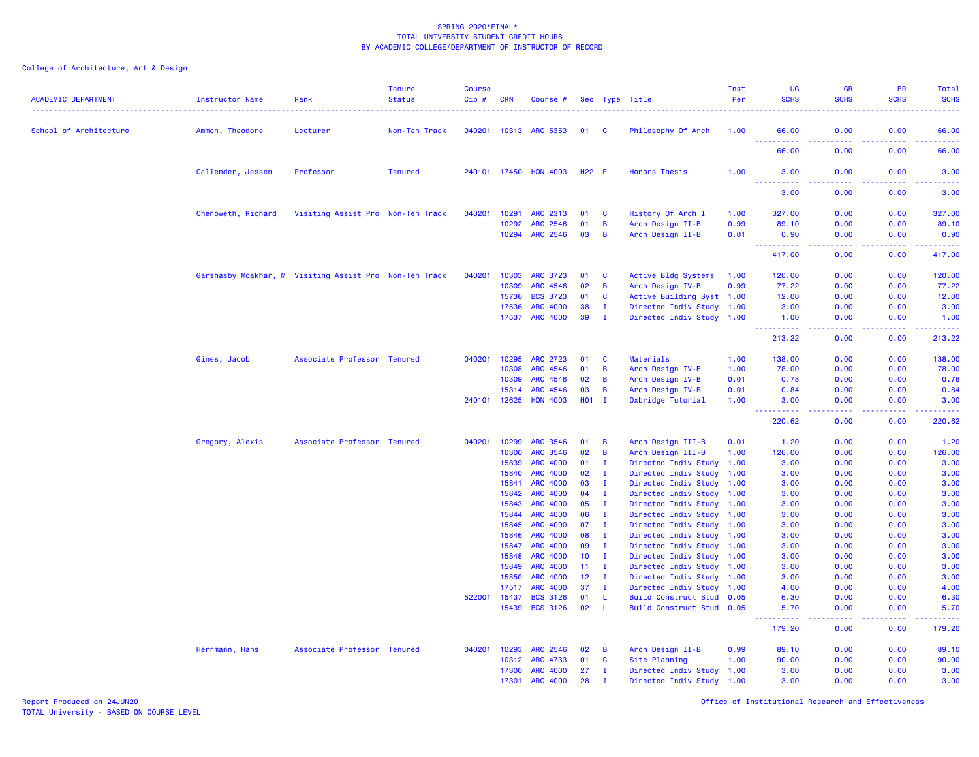| <b>ACADEMIC DEPARTMENT</b> | Instructor Name                                        | Rank                              | <b>Tenure</b><br><b>Status</b> | <b>Course</b><br>Cip# | <b>CRN</b>     | Course #                           |                   |                    | Sec Type Title                                         | Inst<br>Per | <b>UG</b><br><b>SCHS</b> | GR<br><b>SCHS</b> | PR<br><b>SCHS</b> | Total<br><b>SCHS</b>                                                                                                |
|----------------------------|--------------------------------------------------------|-----------------------------------|--------------------------------|-----------------------|----------------|------------------------------------|-------------------|--------------------|--------------------------------------------------------|-------------|--------------------------|-------------------|-------------------|---------------------------------------------------------------------------------------------------------------------|
| School of Architecture     | Ammon, Theodore                                        | Lecturer                          | Non-Ten Track                  |                       |                | 040201 10313 ARC 5353              | 01 C              |                    | Philosophy Of Arch                                     | 1.00        | 66.00                    | 0.00              | 0.00              | 66.00                                                                                                               |
|                            |                                                        |                                   |                                |                       |                |                                    |                   |                    |                                                        |             | .<br>66.00               | .<br>0.00         | 0.00              | .<br>66.00                                                                                                          |
|                            | Callender, Jassen                                      | Professor                         | <b>Tenured</b>                 |                       | 240101 17450   | <b>HON 4093</b>                    | H <sub>22</sub> E |                    | <b>Honors Thesis</b>                                   | 1.00        | 3.00<br>.                | 0.00              | 0.00              | 3.00<br>المستما                                                                                                     |
|                            |                                                        |                                   |                                |                       |                |                                    |                   |                    |                                                        |             | 3.00                     | 0.00              | 0.00              | 3.00                                                                                                                |
|                            | Chenoweth, Richard                                     | Visiting Assist Pro Non-Ten Track |                                | 040201                | 10291          | ARC 2313                           | 01                | <b>C</b>           | History Of Arch I                                      | 1.00        | 327.00                   | 0.00              | 0.00              | 327.00                                                                                                              |
|                            |                                                        |                                   |                                |                       | 10292          | ARC 2546                           | 01                | B                  | Arch Design II-B                                       | 0.99        | 89.10                    | 0.00              | 0.00              | 89.10                                                                                                               |
|                            |                                                        |                                   |                                |                       | 10294          | <b>ARC 2546</b>                    | 03                | B                  | Arch Design II-B                                       | 0.01        | 0.90<br><b></b>          | 0.00              | 0.00<br>.         | 0.90<br>المستملة                                                                                                    |
|                            |                                                        |                                   |                                |                       |                |                                    |                   |                    |                                                        |             | 417.00                   | 0.00              | 0.00              | 417.00                                                                                                              |
|                            | Garshasby Moakhar, M Visiting Assist Pro Non-Ten Track |                                   |                                | 040201                | 10303          | <b>ARC 3723</b>                    | 01                | <b>C</b>           | Active Bldg Systems                                    | 1.00        | 120.00                   | 0.00              | 0.00              | 120.00                                                                                                              |
|                            |                                                        |                                   |                                |                       | 10309          | ARC 4546                           | 02                | $\overline{B}$     | Arch Design IV-B                                       | 0.99        | 77.22                    | 0.00              | 0.00              | 77.22                                                                                                               |
|                            |                                                        |                                   |                                |                       | 15736          | <b>BCS 3723</b>                    | 01                | C                  | Active Building Syst 1.00                              |             | 12.00                    | 0.00              | 0.00              | 12.00                                                                                                               |
|                            |                                                        |                                   |                                |                       | 17536          | <b>ARC 4000</b>                    | 38                | $\mathbf{I}$       | Directed Indiv Study                                   | 1.00        | 3.00                     | 0.00              | 0.00              | 3.00                                                                                                                |
|                            |                                                        |                                   |                                |                       | 17537          | <b>ARC 4000</b>                    | 39                | $\mathbf{I}$       | Directed Indiv Study 1.00                              |             | 1.00<br>.                | 0.00              | 0.00              | 1.00<br>$\begin{array}{cccccccccc} \bullet & \bullet & \bullet & \bullet & \bullet & \bullet & \bullet \end{array}$ |
|                            |                                                        |                                   |                                |                       |                |                                    |                   |                    |                                                        |             | 213.22                   | 0.00              | 0.00              | 213.22                                                                                                              |
|                            | Gines, Jacob                                           | Associate Professor Tenured       |                                | 040201                | 10295          | <b>ARC 2723</b>                    | 01                | <b>C</b>           | Materials                                              | 1.00        | 138.00                   | 0.00              | 0.00              | 138.00                                                                                                              |
|                            |                                                        |                                   |                                |                       | 10308          | ARC 4546                           | 01                | $\overline{B}$     | Arch Design IV-B                                       | 1.00        | 78.00                    | 0.00              | 0.00              | 78.00                                                                                                               |
|                            |                                                        |                                   |                                |                       | 10309          | <b>ARC 4546</b>                    | 02                | B                  | Arch Design IV-B                                       | 0.01        | 0.78                     | 0.00              | 0.00              | 0.78                                                                                                                |
|                            |                                                        |                                   |                                |                       | 15314          | ARC 4546                           | 03                | $\overline{B}$     | Arch Design IV-B                                       | 0.01        | 0.84                     | 0.00              | 0.00              | 0.84                                                                                                                |
|                            |                                                        |                                   |                                |                       | 240101 12625   | <b>HON 4003</b>                    | $H01$ I           |                    | Oxbridge Tutorial                                      | 1.00        | 3.00                     | 0.00              | 0.00<br>.         | 3.00                                                                                                                |
|                            |                                                        |                                   |                                |                       |                |                                    |                   |                    |                                                        |             | 220.62                   | 0.00              | 0.00              | 220.62                                                                                                              |
|                            | Gregory, Alexis                                        | Associate Professor Tenured       |                                | 040201                | 10299          | <b>ARC 3546</b>                    | 01                | B                  | Arch Design III-B                                      | 0.01        | 1.20                     | 0.00              | 0.00              | 1.20                                                                                                                |
|                            |                                                        |                                   |                                |                       | 10300          | <b>ARC 3546</b>                    | 02                | B                  | Arch Design III-B                                      | 1.00        | 126.00                   | 0.00              | 0.00              | 126.00                                                                                                              |
|                            |                                                        |                                   |                                |                       | 15839          | <b>ARC 4000</b>                    | 01                | л.                 | Directed Indiv Study 1.00                              |             | 3.00                     | 0.00              | 0.00              | 3.00                                                                                                                |
|                            |                                                        |                                   |                                |                       | 15840          | <b>ARC 4000</b>                    | 02                | $\mathbf{I}$       | Directed Indiv Study 1.00                              |             | 3.00                     | 0.00              | 0.00              | 3.00                                                                                                                |
|                            |                                                        |                                   |                                |                       | 15841          | <b>ARC 4000</b>                    | 03                | $\mathbf{I}$       | Directed Indiv Study                                   | 1.00        | 3.00                     | 0.00              | 0.00              | 3.00                                                                                                                |
|                            |                                                        |                                   |                                |                       | 15842          | <b>ARC 4000</b>                    | 04                | $\mathbf{I}$       | Directed Indiv Study 1.00                              |             | 3.00                     | 0.00              | 0.00              | 3.00                                                                                                                |
|                            |                                                        |                                   |                                |                       | 15843          | <b>ARC 4000</b>                    | 05                | $\mathbf{I}$       | Directed Indiv Study 1.00                              |             | 3.00                     | 0.00              | 0.00              | 3.00                                                                                                                |
|                            |                                                        |                                   |                                |                       | 15844          | <b>ARC 4000</b>                    | 06                | $\mathbf{I}$       | Directed Indiv Study 1.00                              |             | 3.00                     | 0.00              | 0.00              | 3.00                                                                                                                |
|                            |                                                        |                                   |                                |                       | 15845          | <b>ARC 4000</b>                    | 07                | $\mathbf{I}$       | Directed Indiv Study                                   | 1.00        | 3.00                     | 0.00              | 0.00              | 3.00                                                                                                                |
|                            |                                                        |                                   |                                |                       | 15846<br>15847 | <b>ARC 4000</b><br><b>ARC 4000</b> | 08<br>09          | л.<br>$\mathbf{I}$ | Directed Indiv Study 1.00<br>Directed Indiv Study 1.00 |             | 3.00<br>3.00             | 0.00<br>0.00      | 0.00<br>0.00      | 3.00<br>3.00                                                                                                        |
|                            |                                                        |                                   |                                |                       | 15848          | <b>ARC 4000</b>                    | 10                | $\mathbf{I}$       | Directed Indiv Study 1.00                              |             | 3.00                     | 0.00              | 0.00              | 3.00                                                                                                                |
|                            |                                                        |                                   |                                |                       | 15849          | <b>ARC 4000</b>                    | 11                | $\mathbf{I}$       | Directed Indiv Study 1.00                              |             | 3.00                     | 0.00              | 0.00              | 3.00                                                                                                                |
|                            |                                                        |                                   |                                |                       | 15850          | <b>ARC 4000</b>                    | 12                | $\mathbf{I}$       | Directed Indiv Study 1.00                              |             | 3.00                     | 0.00              | 0.00              | 3.00                                                                                                                |
|                            |                                                        |                                   |                                |                       | 17517          | <b>ARC 4000</b>                    | 37                | $\mathbf{I}$       | Directed Indiv Study 1.00                              |             | 4.00                     | 0.00              | 0.00              | 4.00                                                                                                                |
|                            |                                                        |                                   |                                | 522001                | 15437          | <b>BCS 3126</b>                    | 01                | -L                 | Build Construct Stud 0.05                              |             | 6.30                     | 0.00              | 0.00              | 6.30                                                                                                                |
|                            |                                                        |                                   |                                |                       | 15439          | <b>BCS 3126</b>                    | 02                | - L                | Build Construct Stud 0.05                              |             | 5.70                     | 0.00              | 0.00              | 5.70                                                                                                                |
|                            |                                                        |                                   |                                |                       |                |                                    |                   |                    |                                                        |             | بالأباليات<br>179.20     | وعامات<br>0.00    | -----<br>0.00     | المستملة<br>179.20                                                                                                  |
|                            | Herrmann, Hans                                         | Associate Professor Tenured       |                                | 040201                | 10293          | <b>ARC 2546</b>                    | 02                | $\overline{B}$     | Arch Design II-B                                       | 0.99        | 89.10                    | 0.00              | 0.00              | 89.10                                                                                                               |
|                            |                                                        |                                   |                                |                       | 10312          | <b>ARC 4733</b>                    | 01                | C                  | Site Planning                                          | 1.00        | 90.00                    | 0.00              | 0.00              | 90.00                                                                                                               |
|                            |                                                        |                                   |                                |                       | 17300          | <b>ARC 4000</b>                    | 27                | $\mathbf{I}$       | Directed Indiv Study 1.00                              |             | 3.00                     | 0.00              | 0.00              | 3.00                                                                                                                |
|                            |                                                        |                                   |                                |                       | 17301          | <b>ARC 4000</b>                    | 28                | $\mathbf{I}$       | Directed Indiv Study 1.00                              |             | 3.00                     | 0.00              | 0.00              | 3.00                                                                                                                |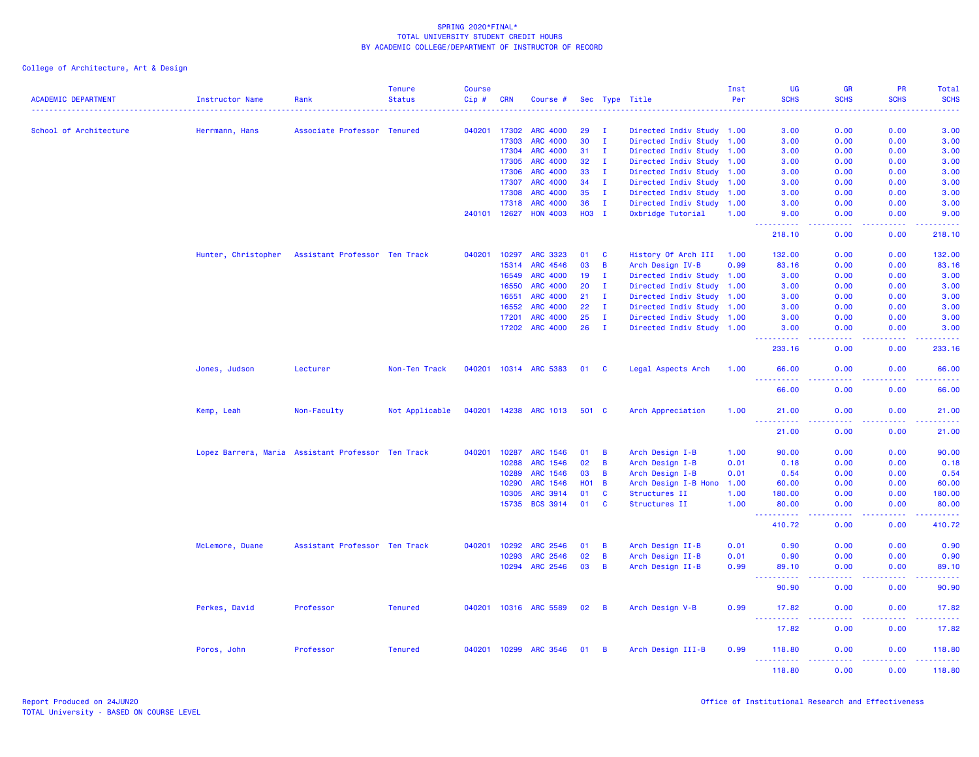|                            |                                                    |                               | <b>Tenure</b>  | <b>Course</b> |              |                       |            |                |                           | Inst | UG                                          | <b>GR</b>                                                                                              | PR            | Total                                                                                                                                                         |
|----------------------------|----------------------------------------------------|-------------------------------|----------------|---------------|--------------|-----------------------|------------|----------------|---------------------------|------|---------------------------------------------|--------------------------------------------------------------------------------------------------------|---------------|---------------------------------------------------------------------------------------------------------------------------------------------------------------|
| <b>ACADEMIC DEPARTMENT</b> | Instructor Name                                    | Rank                          | <b>Status</b>  | $Cip$ #       | <b>CRN</b>   | Course #              |            |                | Sec Type Title            | Per  | <b>SCHS</b>                                 | <b>SCHS</b>                                                                                            | <b>SCHS</b>   | <b>SCHS</b>                                                                                                                                                   |
| School of Architecture     | Herrmann, Hans                                     | Associate Professor Tenured   |                |               | 040201 17302 | <b>ARC 4000</b>       | 29         | <b>I</b>       | Directed Indiv Study 1.00 |      | 3.00                                        | 0.00                                                                                                   | 0.00          | 3.00                                                                                                                                                          |
|                            |                                                    |                               |                |               | 17303        | <b>ARC 4000</b>       | 30         | $\mathbf{I}$   | Directed Indiv Study 1.00 |      | 3.00                                        | 0.00                                                                                                   | 0.00          | 3.00                                                                                                                                                          |
|                            |                                                    |                               |                |               | 17304        | <b>ARC 4000</b>       | 31         | $\mathbf{I}$   | Directed Indiv Study 1.00 |      | 3.00                                        | 0.00                                                                                                   | 0.00          | 3.00                                                                                                                                                          |
|                            |                                                    |                               |                |               | 17305        | <b>ARC 4000</b>       | 32         | л.             | Directed Indiv Study 1.00 |      | 3.00                                        | 0.00                                                                                                   | 0.00          | 3.00                                                                                                                                                          |
|                            |                                                    |                               |                |               | 17306        | <b>ARC 4000</b>       | 33         | $\mathbf{I}$   | Directed Indiv Study 1.00 |      | 3.00                                        | 0.00                                                                                                   | 0.00          | 3.00                                                                                                                                                          |
|                            |                                                    |                               |                |               | 17307        | <b>ARC 4000</b>       | 34         | $\mathbf{I}$   | Directed Indiv Study 1.00 |      | 3.00                                        | 0.00                                                                                                   | 0.00          | 3.00                                                                                                                                                          |
|                            |                                                    |                               |                |               | 17308        | <b>ARC 4000</b>       | 35         | $\mathbf{I}$   | Directed Indiv Study 1.00 |      | 3.00                                        | 0.00                                                                                                   | 0.00          | 3.00                                                                                                                                                          |
|                            |                                                    |                               |                |               | 17318        | <b>ARC 4000</b>       | 36         | $\mathbf{I}$   | Directed Indiv Study 1.00 |      | 3.00                                        | 0.00                                                                                                   | 0.00          | 3.00                                                                                                                                                          |
|                            |                                                    |                               |                |               | 240101 12627 | <b>HON 4003</b>       | H03 I      |                | Oxbridge Tutorial         | 1.00 | 9.00<br>.                                   | 0.00<br>$\sim$ $\sim$ $\sim$ $\sim$                                                                    | 0.00<br>.     | 9.00<br>.                                                                                                                                                     |
|                            |                                                    |                               |                |               |              |                       |            |                |                           |      | 218.10                                      | 0.00                                                                                                   | 0.00          | 218.10                                                                                                                                                        |
|                            | Hunter, Christopher                                | Assistant Professor Ten Track |                | 040201        | 10297        | <b>ARC 3323</b>       | 01         | <b>C</b>       | History Of Arch III       | 1.00 | 132.00                                      | 0.00                                                                                                   | 0.00          | 132.00                                                                                                                                                        |
|                            |                                                    |                               |                |               | 15314        | ARC 4546              | 03         | $\overline{B}$ | Arch Design IV-B          | 0.99 | 83.16                                       | 0.00                                                                                                   | 0.00          | 83.16                                                                                                                                                         |
|                            |                                                    |                               |                |               | 16549        | <b>ARC 4000</b>       | 19         | $\mathbf{I}$   | Directed Indiv Study 1.00 |      | 3.00                                        | 0.00                                                                                                   | 0.00          | 3.00                                                                                                                                                          |
|                            |                                                    |                               |                |               | 16550        | <b>ARC 4000</b>       | 20         | $\mathbf{I}$   | Directed Indiv Study 1.00 |      | 3.00                                        | 0.00                                                                                                   | 0.00          | 3.00                                                                                                                                                          |
|                            |                                                    |                               |                |               | 16551        | ARC 4000              | 21         | $\mathbf{I}$   | Directed Indiv Study 1.00 |      | 3.00                                        | 0.00                                                                                                   | 0.00          | 3.00                                                                                                                                                          |
|                            |                                                    |                               |                |               | 16552        | ARC 4000              | 22         | $\mathbf{I}$   | Directed Indiv Study 1.00 |      | 3.00                                        | 0.00                                                                                                   | 0.00          | 3.00                                                                                                                                                          |
|                            |                                                    |                               |                |               | 17201        | <b>ARC 4000</b>       | 25         | $\mathbf{I}$   | Directed Indiv Study 1.00 |      | 3.00                                        | 0.00                                                                                                   | 0.00          | 3.00                                                                                                                                                          |
|                            |                                                    |                               |                |               | 17202        | <b>ARC 4000</b>       | 26         | $\mathbf{I}$   | Directed Indiv Study 1.00 |      | 3.00<br>.                                   | 0.00<br>د د د د                                                                                        | 0.00<br>.     | 3.00<br>.                                                                                                                                                     |
|                            |                                                    |                               |                |               |              |                       |            |                |                           |      | 233.16                                      | 0.00                                                                                                   | 0.00          | 233.16                                                                                                                                                        |
|                            | Jones, Judson                                      | Lecturer                      | Non-Ten Track  |               |              | 040201 10314 ARC 5383 | 01         | <b>C</b>       | Legal Aspects Arch        | 1.00 | 66.00<br>$\sim 100$<br>.                    | 0.00<br>$\sim$ $\sim$ $\sim$ $\sim$                                                                    | 0.00<br>.     | 66.00<br>.                                                                                                                                                    |
|                            |                                                    |                               |                |               |              |                       |            |                |                           |      | 66.00                                       | 0.00                                                                                                   | 0.00          | 66.00                                                                                                                                                         |
|                            | Kemp, Leah                                         | Non-Faculty                   | Not Applicable |               |              | 040201 14238 ARC 1013 | 501 C      |                | Arch Appreciation         | 1.00 | 21.00                                       | 0.00                                                                                                   | 0.00          | 21.00                                                                                                                                                         |
|                            |                                                    |                               |                |               |              |                       |            |                |                           |      | 22,<br>.<br>21.00                           | $  -$<br>0.00                                                                                          | .<br>0.00     | المستمات<br>21.00                                                                                                                                             |
|                            | Lopez Barrera, Maria Assistant Professor Ten Track |                               |                | 040201        | 10287        | ARC 1546              | 01         | B              | Arch Design I-B           | 1.00 | 90.00                                       | 0.00                                                                                                   | 0.00          | 90.00                                                                                                                                                         |
|                            |                                                    |                               |                |               | 10288        | <b>ARC 1546</b>       | 02         | B              | Arch Design I-B           | 0.01 | 0.18                                        | 0.00                                                                                                   | 0.00          | 0.18                                                                                                                                                          |
|                            |                                                    |                               |                |               | 10289        | ARC 1546              | 03         | $\overline{B}$ | Arch Design I-B           | 0.01 | 0.54                                        | 0.00                                                                                                   | 0.00          | 0.54                                                                                                                                                          |
|                            |                                                    |                               |                |               | 10290        | ARC 1546              | <b>HO1</b> | $\overline{B}$ | Arch Design I-B Hono      | 1.00 | 60.00                                       | 0.00                                                                                                   | 0.00          | 60.00                                                                                                                                                         |
|                            |                                                    |                               |                |               | 10305        | <b>ARC 3914</b>       | 01         | <b>C</b>       | Structures II             | 1.00 | 180.00                                      | 0.00                                                                                                   | 0.00          | 180.00                                                                                                                                                        |
|                            |                                                    |                               |                |               | 15735        | <b>BCS 3914</b>       | 01         | C              | Structures II             | 1.00 | 80.00<br>$\sim$ $\sim$ $\sim$<br>.          | 0.00<br>وعاعات                                                                                         | 0.00<br>22222 | 80.00<br>$\frac{1}{2} \left( \frac{1}{2} \right) \left( \frac{1}{2} \right) \left( \frac{1}{2} \right) \left( \frac{1}{2} \right) \left( \frac{1}{2} \right)$ |
|                            |                                                    |                               |                |               |              |                       |            |                |                           |      | 410.72                                      | 0.00                                                                                                   | 0.00          | 410.72                                                                                                                                                        |
|                            | McLemore, Duane                                    | Assistant Professor Ten Track |                | 040201        | 10292        | ARC 2546              | 01         | $\overline{B}$ | Arch Design II-B          | 0.01 | 0.90                                        | 0.00                                                                                                   | 0.00          | 0.90                                                                                                                                                          |
|                            |                                                    |                               |                |               | 10293        | ARC 2546              | 02         | $\overline{B}$ | Arch Design II-B          | 0.01 | 0.90                                        | 0.00                                                                                                   | 0.00          | 0.90                                                                                                                                                          |
|                            |                                                    |                               |                |               | 10294        | <b>ARC 2546</b>       | 03         | $\overline{B}$ | Arch Design II-B          | 0.99 | 89.10<br>444<br>المتمام المتمار             | 0.00<br><b>.</b>                                                                                       | 0.00<br>.     | 89.10<br>.                                                                                                                                                    |
|                            |                                                    |                               |                |               |              |                       |            |                |                           |      | 90.90                                       | 0.00                                                                                                   | 0.00          | 90.90                                                                                                                                                         |
|                            | Perkes, David                                      | Professor                     | <b>Tenured</b> |               |              | 040201 10316 ARC 5589 | 02         | $\overline{B}$ | Arch Design V-B           | 0.99 | 17.82<br>$\sim$ $\sim$ $\sim$<br>. <u>.</u> | 0.00<br>$  -$                                                                                          | 0.00<br>.     | 17.82<br>.                                                                                                                                                    |
|                            |                                                    |                               |                |               |              |                       |            |                |                           |      | 17.82                                       | 0.00                                                                                                   | 0.00          | 17.82                                                                                                                                                         |
|                            | Poros, John                                        | Professor                     | <b>Tenured</b> |               | 040201 10299 | <b>ARC 3546</b>       | 01         | B              | Arch Design III-B         | 0.99 | 118.80<br>.                                 | 0.00<br>$\frac{1}{2} \left( \frac{1}{2} \right) \left( \frac{1}{2} \right) \left( \frac{1}{2} \right)$ | 0.00          | 118.80                                                                                                                                                        |
|                            |                                                    |                               |                |               |              |                       |            |                |                           |      | 118,80                                      | 0.00                                                                                                   | 0.00          | 118,80                                                                                                                                                        |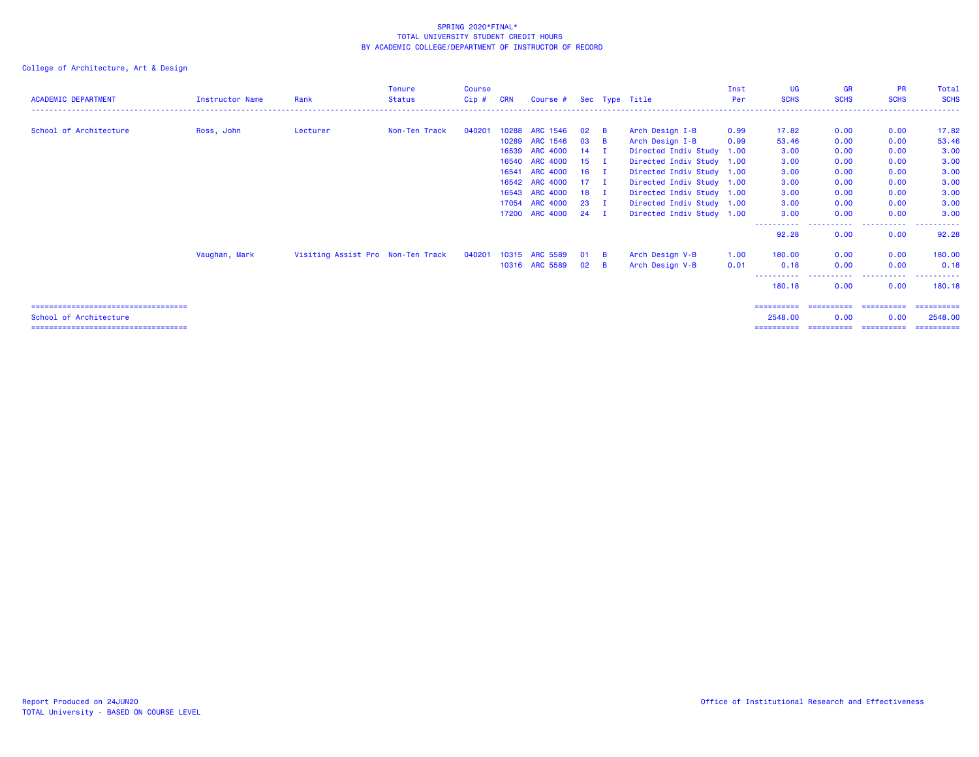| <b>ACADEMIC DEPARTMENT</b>            | <b>Instructor Name</b> | Rank                              | <b>Tenure</b><br><b>Status</b> | <b>Course</b><br>Cip# | <b>CRN</b> | Course #        |                 |                | Sec Type Title            | Inst<br>Per | <b>UG</b><br><b>SCHS</b> | <b>GR</b><br><b>SCHS</b> | <b>PR</b><br><b>SCHS</b> | Total<br><b>SCHS</b> |
|---------------------------------------|------------------------|-----------------------------------|--------------------------------|-----------------------|------------|-----------------|-----------------|----------------|---------------------------|-------------|--------------------------|--------------------------|--------------------------|----------------------|
| School of Architecture                | Ross, John             | Lecturer                          | Non-Ten Track                  | 040201                | 10288      | ARC 1546        | 02              | <b>B</b>       | Arch Design I-B           | 0.99        | 17.82                    | 0.00                     | 0.00                     | 17.82                |
|                                       |                        |                                   |                                |                       | 10289      | ARC 1546        | 03              | <b>B</b>       | Arch Design I-B           | 0.99        | 53.46                    | 0.00                     | 0.00                     | 53.46                |
|                                       |                        |                                   |                                |                       | 16539      | <b>ARC 4000</b> | 14              |                | Directed Indiv Study 1.00 |             | 3.00                     | 0.00                     | 0.00                     | 3.00                 |
|                                       |                        |                                   |                                |                       | 16540      | <b>ARC 4000</b> | 15 <sub>1</sub> | л.             | Directed Indiv Study 1.00 |             | 3.00                     | 0.00                     | 0.00                     | 3.00                 |
|                                       |                        |                                   |                                |                       | 16541      | <b>ARC 4000</b> | 16              | - 1            | Directed Indiv Study 1.00 |             | 3.00                     | 0.00                     | 0.00                     | 3.00                 |
|                                       |                        |                                   |                                |                       |            | 16542 ARC 4000  | 17              | л.             | Directed Indiv Study 1.00 |             | 3.00                     | 0.00                     | 0.00                     | 3.00                 |
|                                       |                        |                                   |                                |                       |            | 16543 ARC 4000  | 18              |                | Directed Indiv Study 1.00 |             | 3.00                     | 0.00                     | 0.00                     | 3.00                 |
|                                       |                        |                                   |                                |                       |            | 17054 ARC 4000  | 23              |                | Directed Indiv Study 1.00 |             | 3.00                     | 0.00                     | 0.00                     | 3.00                 |
|                                       |                        |                                   |                                |                       | 17200      | <b>ARC 4000</b> | 24              | - I            | Directed Indiv Study 1.00 |             | 3.00                     | 0.00                     | 0.00                     | 3.00                 |
|                                       |                        |                                   |                                |                       |            |                 |                 |                |                           |             | -----------<br>92.28     | -----------<br>0.00      | .<br>0.00                | 92.28                |
|                                       | Vaughan, Mark          | Visiting Assist Pro Non-Ten Track |                                | 040201                |            | 10315 ARC 5589  | 01              | $\overline{B}$ | Arch Design V-B           | 1.00        | 180,00                   | 0.00                     | 0.00                     | 180.00               |
|                                       |                        |                                   |                                |                       |            | 10316 ARC 5589  | 02              | $\overline{B}$ | Arch Design V-B           | 0.01        | 0.18                     | 0.00                     | 0.00                     | 0.18                 |
|                                       |                        |                                   |                                |                       |            |                 |                 |                |                           |             | 180.18                   | ----------<br>0.00       | .<br>0.00                | ----------<br>180.18 |
| ===================================== |                        |                                   |                                |                       |            |                 |                 |                |                           |             | ==========               | ==========               | -----------              | ==========           |
| School of Architecture                |                        |                                   |                                |                       |            |                 |                 |                |                           |             | 2548.00                  | 0.00                     | 0.00                     | 2548.00              |
| ===================================== |                        |                                   |                                |                       |            |                 |                 |                |                           |             | ==========               | ==========               | -----------              | -----------          |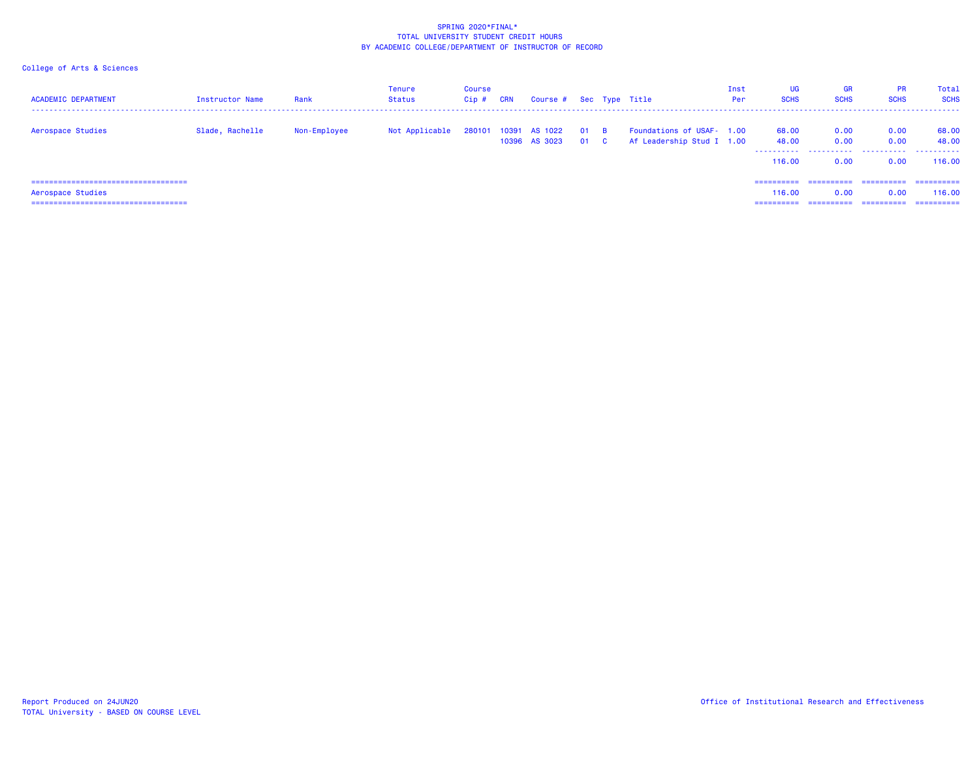| <b>ACADEMIC DEPARTMENT</b>            | Instructor Name | Rank         | Tenure<br>Status | Course<br>$Cip$ # | <b>CRN</b> | Course # Sec Type Title        |          |                            |                                                        | Inst<br>Per | UG<br><b>SCHS</b>   | <b>GR</b><br><b>SCHS</b> | <b>PR</b><br><b>SCHS</b> | Total<br><b>SCHS</b> |
|---------------------------------------|-----------------|--------------|------------------|-------------------|------------|--------------------------------|----------|----------------------------|--------------------------------------------------------|-------------|---------------------|--------------------------|--------------------------|----------------------|
| Aerospace Studies                     | Slade, Rachelle | Non-Employee | Not Applicable   | 280101            |            | 10391 AS 1022<br>10396 AS 3023 | 01<br>01 | $\overline{B}$<br><b>C</b> | Foundations of USAF- 1.00<br>Af Leadership Stud I 1.00 |             | 68.00<br>48.00<br>. | 0.00<br>0.00             | 0.00<br>0.00             | 68.00<br>48.00<br>.  |
|                                       |                 |              |                  |                   |            |                                |          |                            |                                                        |             | 116.00              | 0.00                     | 0.00                     | 116.00               |
| ===================================== |                 |              |                  |                   |            |                                |          |                            |                                                        |             | ==========          | ==========               | ==========               | ==========           |
| Aerospace Studies                     |                 |              |                  |                   |            |                                |          |                            |                                                        |             | 116.00              | 0.00                     | 0.00                     | 116,00               |
| ===================================== |                 |              |                  |                   |            |                                |          |                            |                                                        |             | ==========          | ==========               | ==========               | -----------          |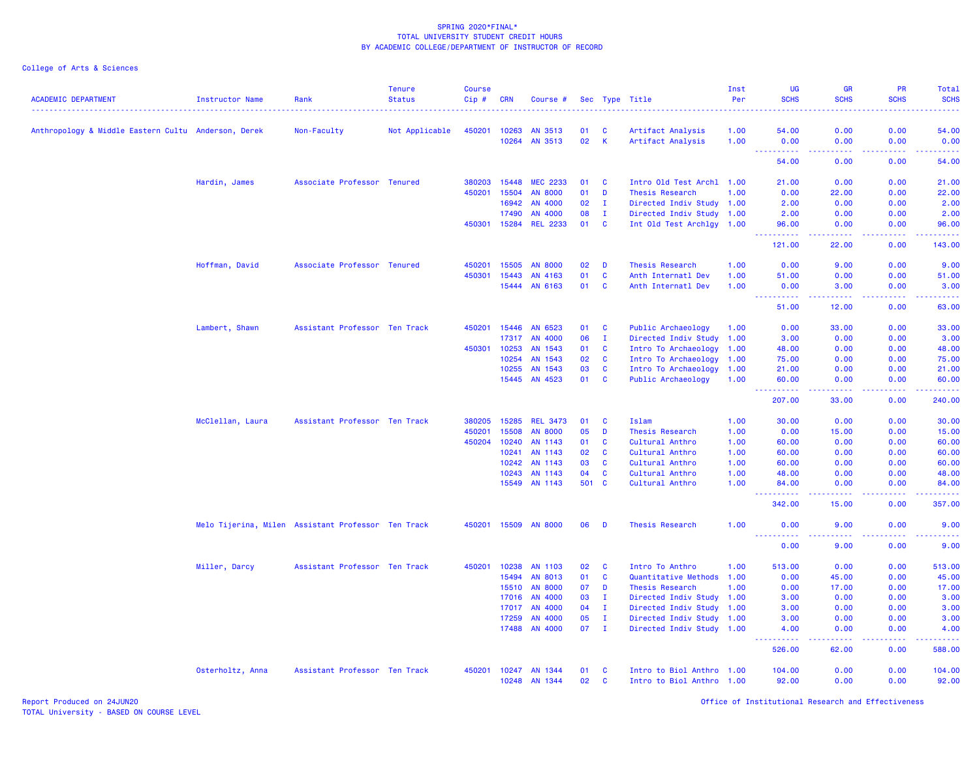| <b>ACADEMIC DEPARTMENT</b>                          | <b>Instructor Name</b>                             | Rank                          | <b>Tenure</b><br><b>Status</b> | <b>Course</b><br>Cip# | <b>CRN</b>   | Course #        |       |              | Sec Type Title            | Inst<br>Per | <b>UG</b><br><b>SCHS</b>                                                                       | <b>GR</b><br><b>SCHS</b>                                                                                                                                      | PR<br><b>SCHS</b>                                                                               | Total<br><b>SCHS</b>                                                                                                                                                                    |
|-----------------------------------------------------|----------------------------------------------------|-------------------------------|--------------------------------|-----------------------|--------------|-----------------|-------|--------------|---------------------------|-------------|------------------------------------------------------------------------------------------------|---------------------------------------------------------------------------------------------------------------------------------------------------------------|-------------------------------------------------------------------------------------------------|-----------------------------------------------------------------------------------------------------------------------------------------------------------------------------------------|
| Anthropology & Middle Eastern Cultu Anderson, Derek |                                                    | Non-Faculty                   | Not Applicable                 |                       | 450201 10263 | AN 3513         | 01    | <b>C</b>     | Artifact Analysis         | 1.00        | 54.00                                                                                          | 0.00                                                                                                                                                          | 0.00                                                                                            | 54.00                                                                                                                                                                                   |
|                                                     |                                                    |                               |                                |                       | 10264        | AN 3513         | 02    | K            | Artifact Analysis         | 1.00        | 0.00                                                                                           | 0.00                                                                                                                                                          | 0.00                                                                                            | 0.00                                                                                                                                                                                    |
|                                                     |                                                    |                               |                                |                       |              |                 |       |              |                           |             | .<br>54.00                                                                                     | .<br>0.00                                                                                                                                                     | .<br>0.00                                                                                       | .<br>54.00                                                                                                                                                                              |
|                                                     | Hardin, James                                      | Associate Professor Tenured   |                                | 380203                | 15448        | <b>MEC 2233</b> | 01    | <b>C</b>     | Intro Old Test Archl 1.00 |             | 21.00                                                                                          | 0.00                                                                                                                                                          | 0.00                                                                                            | 21.00                                                                                                                                                                                   |
|                                                     |                                                    |                               |                                | 450201                | 15504        | <b>AN 8000</b>  | 01    | D            | Thesis Research           | 1.00        | 0.00                                                                                           | 22.00                                                                                                                                                         | 0.00                                                                                            | 22.00                                                                                                                                                                                   |
|                                                     |                                                    |                               |                                |                       | 16942        | AN 4000         | 02    | Ι.           | Directed Indiv Study 1.00 |             | 2.00                                                                                           | 0.00                                                                                                                                                          | 0.00                                                                                            | 2.00                                                                                                                                                                                    |
|                                                     |                                                    |                               |                                |                       | 17490        | AN 4000         | 08    | $\mathbf{I}$ | Directed Indiv Study 1.00 |             | 2.00                                                                                           | 0.00                                                                                                                                                          | 0.00                                                                                            | 2.00                                                                                                                                                                                    |
|                                                     |                                                    |                               |                                |                       | 450301 15284 | <b>REL 2233</b> | 01    | $\mathbf{C}$ | Int Old Test Archlgy 1.00 |             | 96.00                                                                                          | 0.00                                                                                                                                                          | 0.00                                                                                            | 96.00                                                                                                                                                                                   |
|                                                     |                                                    |                               |                                |                       |              |                 |       |              |                           |             | <u>.</u><br>121.00                                                                             | -----<br>22.00                                                                                                                                                | <b></b><br>0.00                                                                                 | <b></b><br>143.00                                                                                                                                                                       |
|                                                     |                                                    |                               |                                |                       |              |                 |       |              |                           |             |                                                                                                |                                                                                                                                                               |                                                                                                 |                                                                                                                                                                                         |
|                                                     | Hoffman, David                                     | Associate Professor Tenured   |                                | 450201                | 15505        | <b>AN 8000</b>  | 02    | D            | Thesis Research           | 1.00        | 0.00                                                                                           | 9.00                                                                                                                                                          | 0.00                                                                                            | 9.00                                                                                                                                                                                    |
|                                                     |                                                    |                               |                                | 450301                | 15443        | AN 4163         | 01    | <b>C</b>     | Anth Internatl Dev        | 1.00        | 51.00                                                                                          | 0.00                                                                                                                                                          | 0.00                                                                                            | 51.00                                                                                                                                                                                   |
|                                                     |                                                    |                               |                                |                       | 15444        | AN 6163         | 01    | <b>C</b>     | Anth Internatl Dev        | 1.00        | 0.00<br><u> - - - - - - - - - -</u>                                                            | 3.00<br><u> - - - - - - - - - -</u>                                                                                                                           | 0.00<br>$\mathbf{L}^{\prime} = \mathbf{L}^{\prime} + \mathbf{L}^{\prime} + \mathbf{L}^{\prime}$ | 3.00<br>$\frac{1}{2} \left( \frac{1}{2} \right) \left( \frac{1}{2} \right) \left( \frac{1}{2} \right) \left( \frac{1}{2} \right) \left( \frac{1}{2} \right) \left( \frac{1}{2} \right)$ |
|                                                     |                                                    |                               |                                |                       |              |                 |       |              |                           |             | 51.00                                                                                          | 12.00                                                                                                                                                         | 0.00                                                                                            | 63.00                                                                                                                                                                                   |
|                                                     | Lambert, Shawn                                     | Assistant Professor Ten Track |                                | 450201                | 15446        | AN 6523         | 01    | C            | Public Archaeology        | 1.00        | 0.00                                                                                           | 33.00                                                                                                                                                         | 0.00                                                                                            | 33.00                                                                                                                                                                                   |
|                                                     |                                                    |                               |                                |                       | 17317        | AN 4000         | 06    | T            | Directed Indiv Study 1.00 |             | 3.00                                                                                           | 0.00                                                                                                                                                          | 0.00                                                                                            | 3.00                                                                                                                                                                                    |
|                                                     |                                                    |                               |                                | 450301                | 10253        | AN 1543         | 01    | <b>C</b>     | Intro To Archaeology      | 1.00        | 48.00                                                                                          | 0.00                                                                                                                                                          | 0.00                                                                                            | 48.00                                                                                                                                                                                   |
|                                                     |                                                    |                               |                                |                       | 10254        | AN 1543         | 02    | C            | Intro To Archaeology      | 1.00        | 75.00                                                                                          | 0.00                                                                                                                                                          | 0.00                                                                                            | 75.00                                                                                                                                                                                   |
|                                                     |                                                    |                               |                                |                       | 10255        | AN 1543         | 03    | $\mathbf{C}$ | Intro To Archaeology      | 1.00        | 21.00                                                                                          | 0.00                                                                                                                                                          | 0.00                                                                                            | 21.00                                                                                                                                                                                   |
|                                                     |                                                    |                               |                                |                       | 15445        | AN 4523         | 01    | C            | Public Archaeology        | 1.00        | 60.00                                                                                          | 0.00                                                                                                                                                          | 0.00                                                                                            | 60.00                                                                                                                                                                                   |
|                                                     |                                                    |                               |                                |                       |              |                 |       |              |                           |             | .<br>$\frac{1}{2} \left( \frac{1}{2} \right) \frac{1}{2} \left( \frac{1}{2} \right)$<br>207.00 | $\frac{1}{2} \left( \frac{1}{2} \right) \left( \frac{1}{2} \right) \left( \frac{1}{2} \right) \left( \frac{1}{2} \right) \left( \frac{1}{2} \right)$<br>33.00 | $\mathbf{L}^{\prime} = \mathbf{L}^{\prime} + \mathbf{L}^{\prime} + \mathbf{L}^{\prime}$<br>0.00 | .<br>240.00                                                                                                                                                                             |
|                                                     | McClellan, Laura                                   | Assistant Professor Ten Track |                                | 380205                | 15285        | <b>REL 3473</b> | 01    | C            | Islam                     | 1.00        | 30.00                                                                                          | 0.00                                                                                                                                                          | 0.00                                                                                            | 30.00                                                                                                                                                                                   |
|                                                     |                                                    |                               |                                | 450201                | 15508        | <b>AN 8000</b>  | 05    | D            | <b>Thesis Research</b>    | 1.00        | 0.00                                                                                           | 15.00                                                                                                                                                         | 0.00                                                                                            | 15.00                                                                                                                                                                                   |
|                                                     |                                                    |                               |                                | 450204                | 10240        | AN 1143         | 01    | C            | Cultural Anthro           | 1.00        | 60.00                                                                                          | 0.00                                                                                                                                                          | 0.00                                                                                            | 60.00                                                                                                                                                                                   |
|                                                     |                                                    |                               |                                |                       | 10241        | AN 1143         | 02    | <b>C</b>     | Cultural Anthro           | 1.00        | 60.00                                                                                          | 0.00                                                                                                                                                          | 0.00                                                                                            | 60.00                                                                                                                                                                                   |
|                                                     |                                                    |                               |                                |                       | 10242        | AN 1143         | 03    | C            | Cultural Anthro           | 1.00        | 60.00                                                                                          | 0.00                                                                                                                                                          | 0.00                                                                                            | 60.00                                                                                                                                                                                   |
|                                                     |                                                    |                               |                                |                       | 10243        | AN 1143         | 04    | C            | Cultural Anthro           | 1.00        | 48.00                                                                                          | 0.00                                                                                                                                                          | 0.00                                                                                            | 48.00                                                                                                                                                                                   |
|                                                     |                                                    |                               |                                |                       | 15549        | AN 1143         | 501 C |              | Cultural Anthro           | 1.00        | 84.00                                                                                          | 0.00                                                                                                                                                          | 0.00                                                                                            | 84.00                                                                                                                                                                                   |
|                                                     |                                                    |                               |                                |                       |              |                 |       |              |                           |             | <u>.</u><br>342.00                                                                             | .<br>15.00                                                                                                                                                    | .<br>0.00                                                                                       | <b></b><br>357.00                                                                                                                                                                       |
|                                                     | Melo Tijerina, Milen Assistant Professor Ten Track |                               |                                | 450201                | 15509        | <b>AN 8000</b>  | 06    | D            | Thesis Research           | 1.00        | 0.00                                                                                           | 9.00                                                                                                                                                          | 0.00                                                                                            | 9.00                                                                                                                                                                                    |
|                                                     |                                                    |                               |                                |                       |              |                 |       |              |                           |             | .<br>0.00                                                                                      | د د د د<br>9.00                                                                                                                                               | 22222<br>0.00                                                                                   | .<br>9.00                                                                                                                                                                               |
|                                                     | Miller, Darcy                                      | Assistant Professor Ten Track |                                | 450201                | 10238        | AN 1103         | 02    | $\mathbf{C}$ | Intro To Anthro           | 1.00        | 513.00                                                                                         | 0.00                                                                                                                                                          | 0.00                                                                                            | 513.00                                                                                                                                                                                  |
|                                                     |                                                    |                               |                                |                       | 15494        | AN 8013         | 01    | C            | Quantitative Methods 1.00 |             | 0.00                                                                                           | 45.00                                                                                                                                                         | 0.00                                                                                            | 45.00                                                                                                                                                                                   |
|                                                     |                                                    |                               |                                |                       | 15510        | <b>AN 8000</b>  | 07    | D            | Thesis Research           | 1.00        | 0.00                                                                                           | 17.00                                                                                                                                                         | 0.00                                                                                            | 17.00                                                                                                                                                                                   |
|                                                     |                                                    |                               |                                |                       | 17016        | AN 4000         | 03    | $\mathbf{I}$ | Directed Indiv Study 1.00 |             | 3.00                                                                                           | 0.00                                                                                                                                                          | 0.00                                                                                            | 3.00                                                                                                                                                                                    |
|                                                     |                                                    |                               |                                |                       | 17017        | <b>AN 4000</b>  | 04    | $\mathbf I$  | Directed Indiv Study      | 1.00        | 3.00                                                                                           | 0.00                                                                                                                                                          | 0.00                                                                                            | 3.00                                                                                                                                                                                    |
|                                                     |                                                    |                               |                                |                       | 17259        | <b>AN 4000</b>  | 05    | I.           | Directed Indiv Study 1.00 |             | 3.00                                                                                           | 0.00                                                                                                                                                          | 0.00                                                                                            | 3.00                                                                                                                                                                                    |
|                                                     |                                                    |                               |                                |                       | 17488        | AN 4000         | 07    | $\mathbf{I}$ | Directed Indiv Study 1.00 |             | 4.00                                                                                           | 0.00                                                                                                                                                          | 0.00                                                                                            | 4.00                                                                                                                                                                                    |
|                                                     |                                                    |                               |                                |                       |              |                 |       |              |                           |             |                                                                                                | .                                                                                                                                                             | .                                                                                               | $\frac{1}{2} \left( \frac{1}{2} \right) \left( \frac{1}{2} \right) \left( \frac{1}{2} \right) \left( \frac{1}{2} \right) \left( \frac{1}{2} \right)$                                    |
|                                                     |                                                    |                               |                                |                       |              |                 |       |              |                           |             | 526.00                                                                                         | 62.00                                                                                                                                                         | 0.00                                                                                            | 588.00                                                                                                                                                                                  |
|                                                     | Osterholtz, Anna                                   | Assistant Professor Ten Track |                                | 450201                | 10247        | AN 1344         | 01    | C            | Intro to Biol Anthro 1.00 |             | 104.00                                                                                         | 0.00                                                                                                                                                          | 0.00                                                                                            | 104.00                                                                                                                                                                                  |
|                                                     |                                                    |                               |                                |                       | 10248        | AN 1344         | 02    | C            | Intro to Biol Anthro 1.00 |             | 92.00                                                                                          | 0.00                                                                                                                                                          | 0.00                                                                                            | 92.00                                                                                                                                                                                   |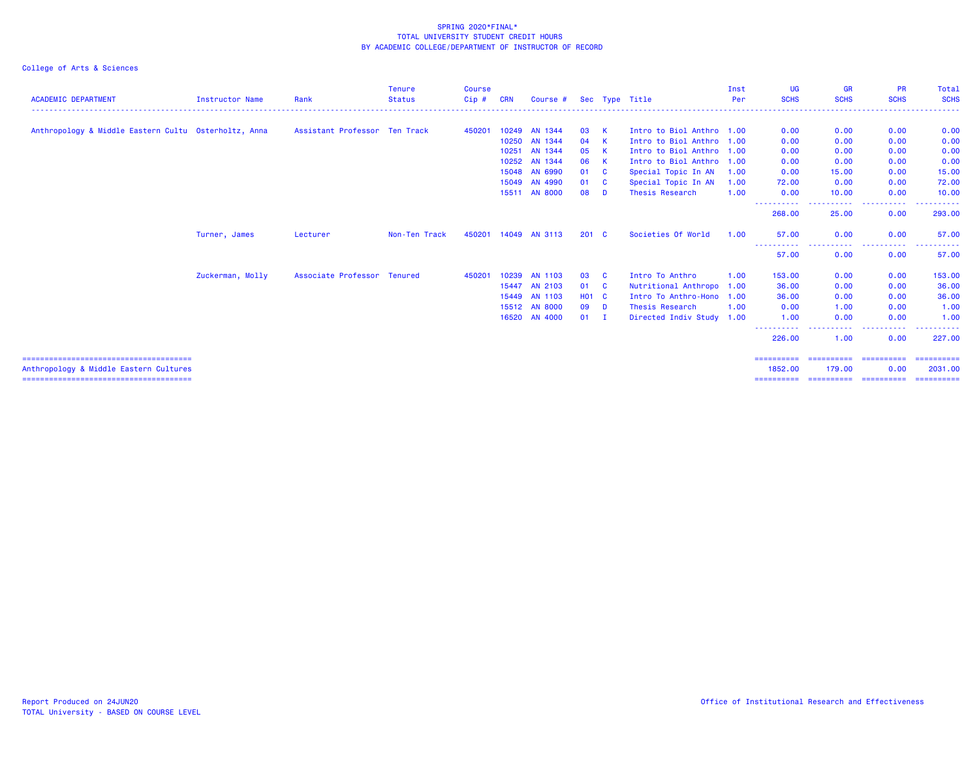| <b>ACADEMIC DEPARTMENT</b>                           | Instructor Name  | Rank                          | <b>Tenure</b><br><b>Status</b> | <b>Course</b><br>Cip# | <b>CRN</b> | Course #       |               |              | Sec Type Title            | Inst<br>Per | UG<br><b>SCHS</b>     | <b>GR</b><br><b>SCHS</b>            | <b>PR</b><br><b>SCHS</b> | Total<br><b>SCHS</b> |
|------------------------------------------------------|------------------|-------------------------------|--------------------------------|-----------------------|------------|----------------|---------------|--------------|---------------------------|-------------|-----------------------|-------------------------------------|--------------------------|----------------------|
| Anthropology & Middle Eastern Cultu Osterholtz, Anna |                  | Assistant Professor Ten Track |                                | 450201                |            | 10249 AN 1344  | 03            | K            | Intro to Biol Anthro 1.00 |             | 0.00                  | 0.00                                | 0.00                     | 0.00                 |
|                                                      |                  |                               |                                |                       |            | 10250 AN 1344  | 04            | K            | Intro to Biol Anthro 1.00 |             | 0.00                  | 0.00                                | 0.00                     | 0.00                 |
|                                                      |                  |                               |                                |                       | 10251      | AN 1344        | 05            | K            | Intro to Biol Anthro 1.00 |             | 0.00                  | 0.00                                | 0.00                     | 0.00                 |
|                                                      |                  |                               |                                |                       |            | 10252 AN 1344  | 06            | K            | Intro to Biol Anthro 1.00 |             | 0.00                  | 0.00                                | 0.00                     | 0.00                 |
|                                                      |                  |                               |                                |                       |            | 15048 AN 6990  | 01            | $\mathbf{C}$ | Special Topic In AN       | 1.00        | 0.00                  | 15.00                               | 0.00                     | 15.00                |
|                                                      |                  |                               |                                |                       |            | 15049 AN 4990  | 01            | - C          | Special Topic In AN       | 1.00        | 72.00                 | 0.00                                | 0.00                     | 72.00                |
|                                                      |                  |                               |                                |                       |            | 15511 AN 8000  | 08            | D            | Thesis Research           | 1.00        | 0.00                  | 10.00                               | 0.00                     | 10.00                |
|                                                      |                  |                               |                                |                       |            |                |               |              |                           |             | -----------<br>268.00 | .<br>$ -$<br>25.00                  | .<br>0.00                | .<br>293.00          |
|                                                      | Turner, James    | Lecturer                      | Non-Ten Track                  | 450201                |            | 14049 AN 3113  | $201 \quad C$ |              | Societies Of World        | 1.00        | 57.00                 | 0.00                                | 0.00                     | 57.00                |
|                                                      |                  |                               |                                |                       |            |                |               |              |                           |             | -----------<br>57.00  | $\sim$ $\sim$<br>. <b>.</b><br>0.00 | .<br>0.00                | . <b>.</b><br>57.00  |
|                                                      | Zuckerman, Molly | Associate Professor Tenured   |                                | 450201                |            | 10239 AN 1103  | 03            | - C          | Intro To Anthro           | 1.00        | 153.00                | 0.00                                | 0.00                     | 153.00               |
|                                                      |                  |                               |                                |                       | 15447      | <b>AN 2103</b> | 01            | - C          | Nutritional Anthropo      | 1.00        | 36.00                 | 0.00                                | 0.00                     | 36.00                |
|                                                      |                  |                               |                                |                       |            | 15449 AN 1103  | <b>HO1 C</b>  |              | Intro To Anthro-Hono      | 1.00        | 36.00                 | 0.00                                | 0.00                     | 36.00                |
|                                                      |                  |                               |                                |                       |            | 15512 AN 8000  | 09            | <b>D</b>     | Thesis Research           | 1.00        | 0.00                  | 1.00                                | 0.00                     | 1.00                 |
|                                                      |                  |                               |                                |                       |            | 16520 AN 4000  | 01            | - I          | Directed Indiv Study 1.00 |             | 1.00                  | 0.00                                | 0.00                     | 1.00                 |
|                                                      |                  |                               |                                |                       |            |                |               |              |                           |             | .<br>226.00           | <b></b><br>1.00                     | .<br>0.00                | -------<br>227.00    |
|                                                      |                  |                               |                                |                       |            |                |               |              |                           |             | ==========            | ==========                          | ==========               | ==========           |
| Anthropology & Middle Eastern Cultures               |                  |                               |                                |                       |            |                |               |              |                           |             | 1852.00               | 179.00                              | 0.00                     | 2031.00              |
|                                                      |                  |                               |                                |                       |            |                |               |              |                           |             | ==========            | ==========                          | ==========               | ==========           |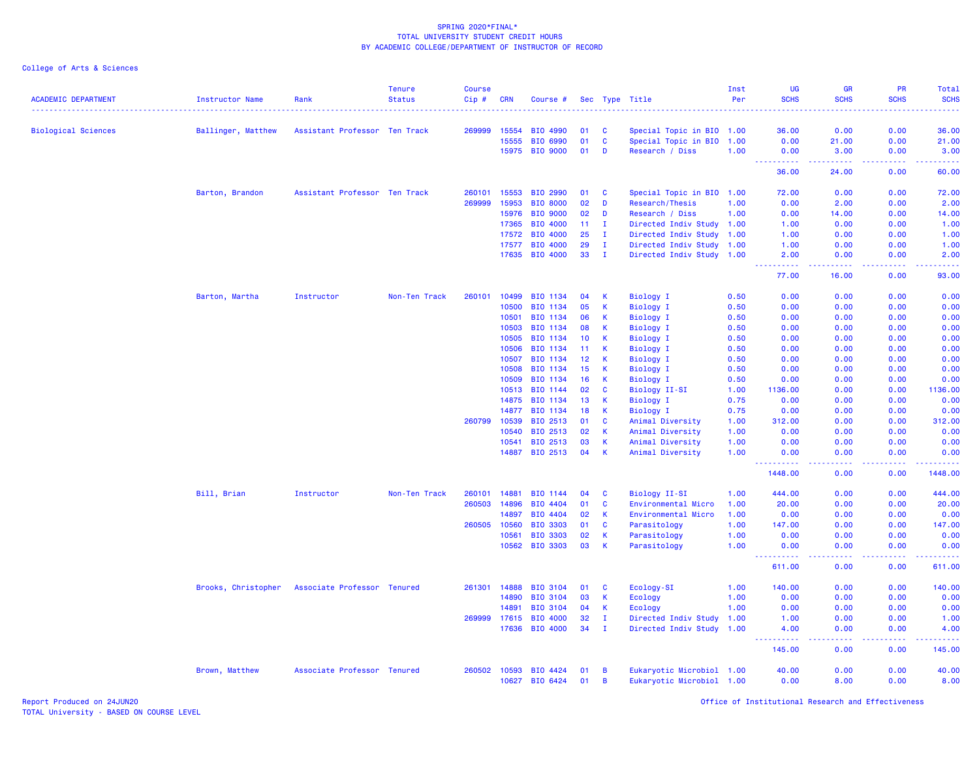| <b>ACADEMIC DEPARTMENT</b> | <b>Instructor Name</b> | Rank                          | <b>Tenure</b><br><b>Status</b> | Course<br>$Cip$ # | <b>CRN</b>     | Course #        |          |              | Sec Type Title                                         | Inst<br>Per | UG<br><b>SCHS</b>                                                                                                                                              | <b>GR</b><br><b>SCHS</b><br>$-1 - 1$                                                                                                                 | <b>PR</b><br><b>SCHS</b>                                                                                                                                     | Total<br><b>SCHS</b> |
|----------------------------|------------------------|-------------------------------|--------------------------------|-------------------|----------------|-----------------|----------|--------------|--------------------------------------------------------|-------------|----------------------------------------------------------------------------------------------------------------------------------------------------------------|------------------------------------------------------------------------------------------------------------------------------------------------------|--------------------------------------------------------------------------------------------------------------------------------------------------------------|----------------------|
|                            |                        |                               |                                |                   |                | BIO 4990        |          | <b>C</b>     |                                                        |             | . <u>.</u>                                                                                                                                                     | 0.00                                                                                                                                                 | 0.00                                                                                                                                                         | .<br>36.00           |
| <b>Biological Sciences</b> | Ballinger, Matthew     | Assistant Professor Ten Track |                                | 269999            | 15554<br>15555 | BIO 6990        | 01<br>01 | C            | Special Topic in BIO 1.00<br>Special Topic in BIO 1.00 |             | 36.00<br>0.00                                                                                                                                                  | 21.00                                                                                                                                                | 0.00                                                                                                                                                         | 21.00                |
|                            |                        |                               |                                |                   | 15975          | <b>BIO 9000</b> | 01       | D            | Research / Diss                                        | 1.00        | 0.00                                                                                                                                                           | 3.00                                                                                                                                                 | 0.00                                                                                                                                                         | 3.00                 |
|                            |                        |                               |                                |                   |                |                 |          |              |                                                        |             | .                                                                                                                                                              | $\frac{1}{2} \left( \frac{1}{2} \right) \left( \frac{1}{2} \right) \left( \frac{1}{2} \right) \left( \frac{1}{2} \right) \left( \frac{1}{2} \right)$ | .                                                                                                                                                            | .                    |
|                            |                        |                               |                                |                   |                |                 |          |              |                                                        |             | 36.00                                                                                                                                                          | 24.00                                                                                                                                                | 0.00                                                                                                                                                         | 60.00                |
|                            | Barton, Brandon        | Assistant Professor Ten Track |                                | 260101            | 15553          | BIO 2990        | 01       | C            | Special Topic in BIO 1.00                              |             | 72.00                                                                                                                                                          | 0.00                                                                                                                                                 | 0.00                                                                                                                                                         | 72.00                |
|                            |                        |                               |                                | 269999            | 15953          | <b>BIO 8000</b> | 02       | D            | Research/Thesis                                        | 1.00        | 0.00                                                                                                                                                           | 2.00                                                                                                                                                 | 0.00                                                                                                                                                         | 2.00                 |
|                            |                        |                               |                                |                   | 15976          | <b>BIO 9000</b> | 02       | D            | Research / Diss                                        | 1.00        | 0.00                                                                                                                                                           | 14.00                                                                                                                                                | 0.00                                                                                                                                                         | 14.00                |
|                            |                        |                               |                                |                   | 17365          | <b>BIO 4000</b> | 11       | $\mathbf I$  | Directed Indiv Study 1.00                              |             | 1.00                                                                                                                                                           | 0.00                                                                                                                                                 | 0.00                                                                                                                                                         | 1.00                 |
|                            |                        |                               |                                |                   | 17572          | <b>BIO 4000</b> | 25       | $\mathbf I$  | Directed Indiv Study                                   | 1.00        | 1.00                                                                                                                                                           | 0.00                                                                                                                                                 | 0.00                                                                                                                                                         | 1.00                 |
|                            |                        |                               |                                |                   | 17577          | <b>BIO 4000</b> | 29       | $\mathbf{I}$ | Directed Indiv Study 1.00                              |             | 1.00                                                                                                                                                           | 0.00                                                                                                                                                 | 0.00                                                                                                                                                         | 1.00                 |
|                            |                        |                               |                                |                   |                | 17635 BIO 4000  | 33       | $\mathbf{I}$ | Directed Indiv Study 1.00                              |             | 2.00<br>المتمام المتمار<br>- - -                                                                                                                               | 0.00<br>.                                                                                                                                            | 0.00<br>$\frac{1}{2} \left( \frac{1}{2} \right) \left( \frac{1}{2} \right) \left( \frac{1}{2} \right) \left( \frac{1}{2} \right) \left( \frac{1}{2} \right)$ | 2.00<br>.            |
|                            |                        |                               |                                |                   |                |                 |          |              |                                                        |             | 77.00                                                                                                                                                          | 16.00                                                                                                                                                | 0.00                                                                                                                                                         | 93.00                |
|                            | Barton, Martha         | Instructor                    | Non-Ten Track                  | 260101            | 10499          | BIO 1134        | 04       | K            | <b>Biology I</b>                                       | 0.50        | 0.00                                                                                                                                                           | 0.00                                                                                                                                                 | 0.00                                                                                                                                                         | 0.00                 |
|                            |                        |                               |                                |                   | 10500          | <b>BIO 1134</b> | 05       | К            | <b>Biology I</b>                                       | 0.50        | 0.00                                                                                                                                                           | 0.00                                                                                                                                                 | 0.00                                                                                                                                                         | 0.00                 |
|                            |                        |                               |                                |                   | 10501          | <b>BIO 1134</b> | 06       | К            | <b>Biology I</b>                                       | 0.50        | 0.00                                                                                                                                                           | 0.00                                                                                                                                                 | 0.00                                                                                                                                                         | 0.00                 |
|                            |                        |                               |                                |                   | 10503          | BIO 1134        | 08       | K            | <b>Biology I</b>                                       | 0.50        | 0.00                                                                                                                                                           | 0.00                                                                                                                                                 | 0.00                                                                                                                                                         | 0.00                 |
|                            |                        |                               |                                |                   | 10505          | BIO 1134        | 10       | К            | <b>Biology I</b>                                       | 0.50        | 0.00                                                                                                                                                           | 0.00                                                                                                                                                 | 0.00                                                                                                                                                         | 0.00                 |
|                            |                        |                               |                                |                   | 10506          | <b>BIO 1134</b> | 11       | К            | <b>Biology I</b>                                       | 0.50        | 0.00                                                                                                                                                           | 0.00                                                                                                                                                 | 0.00                                                                                                                                                         | 0.00                 |
|                            |                        |                               |                                |                   | 10507          | BIO 1134        | 12       | К            | <b>Biology I</b>                                       | 0.50        | 0.00                                                                                                                                                           | 0.00                                                                                                                                                 | 0.00                                                                                                                                                         | 0.00                 |
|                            |                        |                               |                                |                   | 10508          | <b>BIO 1134</b> | 15       | К            | <b>Biology I</b>                                       | 0.50        | 0.00                                                                                                                                                           | 0.00                                                                                                                                                 | 0.00                                                                                                                                                         | 0.00                 |
|                            |                        |                               |                                |                   | 10509          | BIO 1134        | 16       | К            | <b>Biology I</b>                                       | 0.50        | 0.00                                                                                                                                                           | 0.00                                                                                                                                                 | 0.00                                                                                                                                                         | 0.00                 |
|                            |                        |                               |                                |                   | 10513          | BIO 1144        | 02       | $\mathbf{C}$ | Biology II-SI                                          | 1.00        | 1136.00                                                                                                                                                        | 0.00                                                                                                                                                 | 0.00                                                                                                                                                         | 1136.00              |
|                            |                        |                               |                                |                   | 14875          | BIO 1134        | 13       | K            | <b>Biology I</b>                                       | 0.75        | 0.00                                                                                                                                                           | 0.00                                                                                                                                                 | 0.00                                                                                                                                                         | 0.00                 |
|                            |                        |                               |                                |                   | 14877          | <b>BIO 1134</b> | 18       | К            | <b>Biology I</b>                                       | 0.75        | 0.00                                                                                                                                                           | 0.00                                                                                                                                                 | 0.00                                                                                                                                                         | 0.00                 |
|                            |                        |                               |                                | 260799            | 10539          | BIO 2513        | 01       | C            | Animal Diversity                                       | 1.00        | 312.00                                                                                                                                                         | 0.00                                                                                                                                                 | 0.00                                                                                                                                                         | 312.00               |
|                            |                        |                               |                                |                   | 10540          | BIO 2513        | 02       | К            | Animal Diversity                                       | 1.00        | 0.00                                                                                                                                                           | 0.00                                                                                                                                                 | 0.00                                                                                                                                                         | 0.00                 |
|                            |                        |                               |                                |                   | 10541          | BIO 2513        | 03       | К            | Animal Diversity                                       | 1.00        | 0.00                                                                                                                                                           | 0.00                                                                                                                                                 | 0.00                                                                                                                                                         | 0.00                 |
|                            |                        |                               |                                |                   | 14887          | BIO 2513        | 04       | К            | Animal Diversity                                       | 1.00        | 0.00<br><u> - - - - - - - - - -</u>                                                                                                                            | 0.00<br>د د د د                                                                                                                                      | 0.00<br>$\frac{1}{2} \left( \frac{1}{2} \right) \left( \frac{1}{2} \right) \left( \frac{1}{2} \right) \left( \frac{1}{2} \right) \left( \frac{1}{2} \right)$ | 0.00<br><u>.</u>     |
|                            |                        |                               |                                |                   |                |                 |          |              |                                                        |             | 1448.00                                                                                                                                                        | 0.00                                                                                                                                                 | 0.00                                                                                                                                                         | 1448.00              |
|                            | Bill, Brian            | Instructor                    | Non-Ten Track                  | 260101            | 14881          | BIO 1144        | 04       | C            | Biology II-SI                                          | 1.00        | 444.00                                                                                                                                                         | 0.00                                                                                                                                                 | 0.00                                                                                                                                                         | 444.00               |
|                            |                        |                               |                                | 260503            | 14896          | BIO 4404        | 01       | C            | Environmental Micro                                    | 1.00        | 20.00                                                                                                                                                          | 0.00                                                                                                                                                 | 0.00                                                                                                                                                         | 20.00                |
|                            |                        |                               |                                |                   | 14897          | BIO 4404        | 02       | К            | Environmental Micro                                    | 1.00        | 0.00                                                                                                                                                           | 0.00                                                                                                                                                 | 0.00                                                                                                                                                         | 0.00                 |
|                            |                        |                               |                                | 260505            | 10560          | <b>BIO 3303</b> | 01       | C            | Parasitology                                           | 1.00        | 147.00                                                                                                                                                         | 0.00                                                                                                                                                 | 0.00                                                                                                                                                         | 147.00               |
|                            |                        |                               |                                |                   | 10561          | BIO 3303        | 02       | К            | Parasitology                                           | 1.00        | 0.00                                                                                                                                                           | 0.00                                                                                                                                                 | 0.00                                                                                                                                                         | 0.00                 |
|                            |                        |                               |                                |                   | 10562          | <b>BIO 3303</b> | 03       | К            | Parasitology                                           | 1.00        | 0.00                                                                                                                                                           | 0.00<br>.                                                                                                                                            | 0.00                                                                                                                                                         | 0.00                 |
|                            |                        |                               |                                |                   |                |                 |          |              |                                                        |             | 611.00                                                                                                                                                         | 0.00                                                                                                                                                 | 0.00                                                                                                                                                         | 611.00               |
|                            | Brooks, Christopher    | Associate Professor Tenured   |                                | 261301            | 14888          | <b>BIO 3104</b> | 01       | C            | Ecology-SI                                             | 1.00        | 140.00                                                                                                                                                         | 0.00                                                                                                                                                 | 0.00                                                                                                                                                         | 140.00               |
|                            |                        |                               |                                |                   | 14890          | BIO 3104        | 03       | К            | Ecology                                                | 1.00        | 0.00                                                                                                                                                           | 0.00                                                                                                                                                 | 0.00                                                                                                                                                         | 0.00                 |
|                            |                        |                               |                                |                   | 14891          | BIO 3104        | 04       | К            | Ecology                                                | 1.00        | 0.00                                                                                                                                                           | 0.00                                                                                                                                                 | 0.00                                                                                                                                                         | 0.00                 |
|                            |                        |                               |                                | 269999            | 17615          | BIO 4000        | 32       | $\mathbf{I}$ | Directed Indiv Study                                   | 1.00        | 1.00                                                                                                                                                           | 0.00                                                                                                                                                 | 0.00                                                                                                                                                         | 1.00                 |
|                            |                        |                               |                                |                   | 17636          | <b>BIO 4000</b> | 34       | $\mathbf I$  | Directed Indiv Study 1.00                              |             | 4.00                                                                                                                                                           | 0.00                                                                                                                                                 | 0.00                                                                                                                                                         | 4.00                 |
|                            |                        |                               |                                |                   |                |                 |          |              |                                                        |             | $\frac{1}{2} \left( \frac{1}{2} \right) \left( \frac{1}{2} \right) \left( \frac{1}{2} \right) \left( \frac{1}{2} \right) \left( \frac{1}{2} \right)$<br>145.00 | $\sim$ $\sim$ $\sim$ $\sim$<br>0.00                                                                                                                  | .<br>0.00                                                                                                                                                    | .<br>145.00          |
|                            | Brown, Matthew         | Associate Professor Tenured   |                                | 260502            | 10593          | BIO 4424        | 01       | В            | Eukaryotic Microbiol 1.00                              |             | 40.00                                                                                                                                                          | 0.00                                                                                                                                                 | 0.00                                                                                                                                                         | 40.00                |
|                            |                        |                               |                                |                   | 10627          | BIO 6424        | 01       | В            | Eukaryotic Microbiol 1.00                              |             | 0.00                                                                                                                                                           | 8.00                                                                                                                                                 | 0.00                                                                                                                                                         | 8.00                 |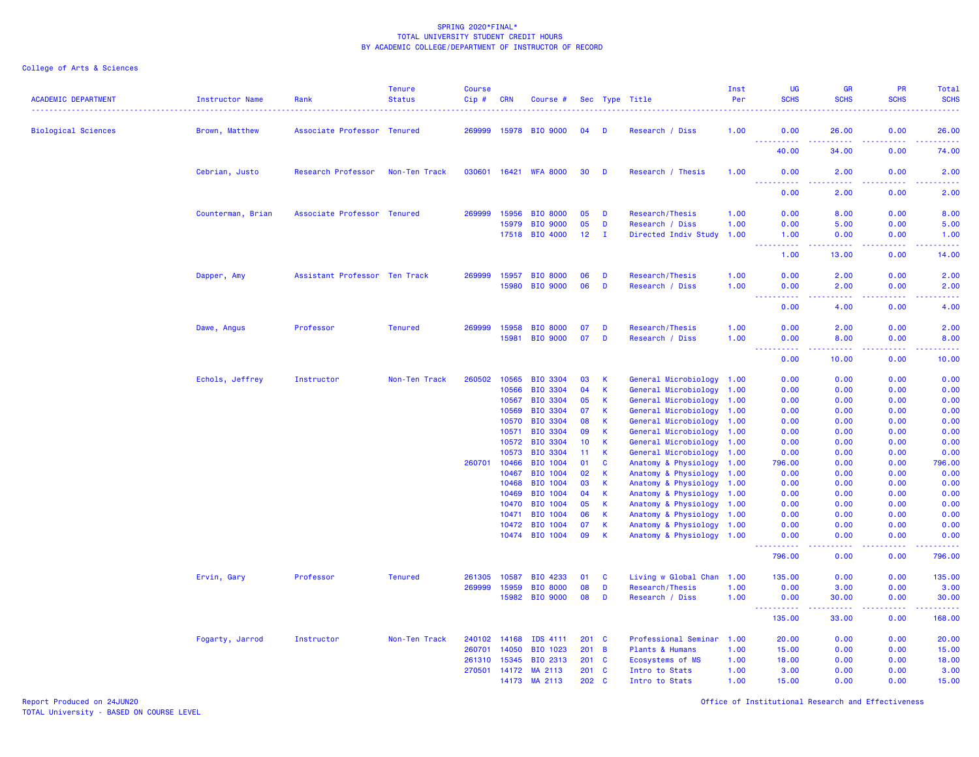# College of Arts & Sciences

| <b>ACADEMIC DEPARTMENT</b> | <b>Instructor Name</b> | Rank                          | <b>Tenure</b><br><b>Status</b> | <b>Course</b><br>Cip# | <b>CRN</b>     | Course #                   |               |                              | Sec Type Title                                         | Inst<br>Per | UG<br><b>SCHS</b>                                                                                                                                              | <b>GR</b><br><b>SCHS</b>                                                                               | <b>PR</b><br><b>SCHS</b> | Total<br><b>SCHS</b> |
|----------------------------|------------------------|-------------------------------|--------------------------------|-----------------------|----------------|----------------------------|---------------|------------------------------|--------------------------------------------------------|-------------|----------------------------------------------------------------------------------------------------------------------------------------------------------------|--------------------------------------------------------------------------------------------------------|--------------------------|----------------------|
| <b>Biological Sciences</b> | Brown, Matthew         | Associate Professor Tenured   |                                | 269999                | 15978          | <b>BIO 9000</b>            | 04            | D                            | Research / Diss                                        | 1.00        | 0.00                                                                                                                                                           | 26.00                                                                                                  | 0.00                     | 26.00                |
|                            |                        |                               |                                |                       |                |                            |               |                              |                                                        |             | <u>.</u><br>40.00                                                                                                                                              | .<br>34.00                                                                                             | .<br>0.00                | .<br>74.00           |
|                            | Cebrian, Justo         | Research Professor            | Non-Ten Track                  |                       |                | 030601 16421 WFA 8000      | 30            | D                            | Research / Thesis                                      | 1.00        | 0.00                                                                                                                                                           | 2.00                                                                                                   | 0.00                     | 2.00                 |
|                            |                        |                               |                                |                       |                |                            |               |                              |                                                        |             | 0.00                                                                                                                                                           | 2.00                                                                                                   | 0.00                     | 2.00                 |
|                            | Counterman, Brian      | Associate Professor Tenured   |                                | 269999                | 15956          | <b>BIO 8000</b>            | 05            | D                            | Research/Thesis                                        | 1.00        | 0.00                                                                                                                                                           | 8.00                                                                                                   | 0.00                     | 8.00                 |
|                            |                        |                               |                                |                       | 15979          | <b>BIO 9000</b>            | 05            | D                            | Research / Diss                                        | 1.00        | 0.00                                                                                                                                                           | 5.00                                                                                                   | 0.00                     | 5.00                 |
|                            |                        |                               |                                |                       | 17518          | <b>BIO 4000</b>            | 12            | $\mathbf{I}$                 | Directed Indiv Study                                   | 1.00        | 1.00<br>$\sim$ $\sim$ $\sim$ $\sim$                                                                                                                            | 0.00<br>.                                                                                              | 0.00                     | 1.00<br>الدامات      |
|                            |                        |                               |                                |                       |                |                            |               |                              |                                                        |             | 1.00                                                                                                                                                           | 13.00                                                                                                  | 0.00                     | 14.00                |
|                            | Dapper, Amy            | Assistant Professor Ten Track |                                | 269999                | 15957          | <b>BIO 8000</b>            | 06            | D                            | Research/Thesis                                        | 1.00        | 0.00                                                                                                                                                           | 2.00                                                                                                   | 0.00                     | 2.00                 |
|                            |                        |                               |                                |                       | 15980          | <b>BIO 9000</b>            | 06            | D                            | Research / Diss                                        | 1.00        | 0.00<br>.                                                                                                                                                      | 2.00<br>$\frac{1}{2} \left( \frac{1}{2} \right) \left( \frac{1}{2} \right) \left( \frac{1}{2} \right)$ | 0.00<br>.                | 2.00                 |
|                            |                        |                               |                                |                       |                |                            |               |                              |                                                        |             | 0.00                                                                                                                                                           | 4.00                                                                                                   | 0.00                     | 4.00                 |
|                            | Dawe, Angus            | Professor                     | <b>Tenured</b>                 | 269999                | 15958          | <b>BIO 8000</b>            | 07            | D                            | Research/Thesis                                        | 1.00        | 0.00                                                                                                                                                           | 2.00                                                                                                   | 0.00                     | 2.00                 |
|                            |                        |                               |                                |                       | 15981          | <b>BIO 9000</b>            | 07            | D                            | Research / Diss                                        | 1.00        | 0.00<br>2222                                                                                                                                                   | 8.00<br>.                                                                                              | 0.00                     | 8.00<br>$- - - -$    |
|                            |                        |                               |                                |                       |                |                            |               |                              |                                                        |             | 0.00                                                                                                                                                           | 10.00                                                                                                  | 0.00                     | 10.00                |
|                            | Echols, Jeffrey        | Instructor                    | Non-Ten Track                  | 260502                | 10565          | <b>BIO 3304</b>            | 03            | K                            | General Microbiology 1.00                              |             | 0.00                                                                                                                                                           | 0.00                                                                                                   | 0.00                     | 0.00                 |
|                            |                        |                               |                                |                       | 10566          | <b>BIO 3304</b>            | 04            | <b>K</b>                     | General Microbiology 1.00                              |             | 0.00                                                                                                                                                           | 0.00                                                                                                   | 0.00                     | 0.00                 |
|                            |                        |                               |                                |                       | 10567          | BIO 3304                   | 05            | <b>K</b>                     | General Microbiology                                   | 1.00        | 0.00                                                                                                                                                           | 0.00                                                                                                   | 0.00                     | 0.00                 |
|                            |                        |                               |                                |                       | 10569          | BIO 3304                   | 07            | <b>K</b>                     | General Microbiology 1.00                              |             | 0.00                                                                                                                                                           | 0.00                                                                                                   | 0.00                     | 0.00                 |
|                            |                        |                               |                                |                       | 10570<br>10571 | BIO 3304<br>BIO 3304       | 08<br>09      | $\mathsf{K}$<br>$\mathsf{K}$ | General Microbiology 1.00<br>General Microbiology 1.00 |             | 0.00<br>0.00                                                                                                                                                   | 0.00<br>0.00                                                                                           | 0.00<br>0.00             | 0.00<br>0.00         |
|                            |                        |                               |                                |                       | 10572          | BIO 3304                   | 10            | $\mathsf{K}$                 | General Microbiology                                   | 1.00        | 0.00                                                                                                                                                           | 0.00                                                                                                   | 0.00                     | 0.00                 |
|                            |                        |                               |                                |                       | 10573          | <b>BIO 3304</b>            | 11            | $\mathsf{K}$                 | General Microbiology 1.00                              |             | 0.00                                                                                                                                                           | 0.00                                                                                                   | 0.00                     | 0.00                 |
|                            |                        |                               |                                | 260701                | 10466          | BIO 1004                   | 01            | $\mathbf{C}$                 | Anatomy & Physiology 1.00                              |             | 796.00                                                                                                                                                         | 0.00                                                                                                   | 0.00                     | 796.00               |
|                            |                        |                               |                                |                       | 10467          | BIO 1004                   | 02            | $\mathsf{K}$                 | Anatomy & Physiology                                   | 1.00        | 0.00                                                                                                                                                           | 0.00                                                                                                   | 0.00                     | 0.00                 |
|                            |                        |                               |                                |                       | 10468          | BIO 1004                   | 03            | K                            | Anatomy & Physiology                                   | 1.00        | 0.00                                                                                                                                                           | 0.00                                                                                                   | 0.00                     | 0.00                 |
|                            |                        |                               |                                |                       | 10469          | BIO 1004                   | 04            | $\mathsf{K}$                 | Anatomy & Physiology 1.00                              |             | 0.00                                                                                                                                                           | 0.00                                                                                                   | 0.00                     | 0.00                 |
|                            |                        |                               |                                |                       | 10470          | <b>BIO 1004</b>            | 05            | $\mathsf{K}$                 | Anatomy & Physiology 1.00                              |             | 0.00                                                                                                                                                           | 0.00                                                                                                   | 0.00                     | 0.00                 |
|                            |                        |                               |                                |                       | 10471          | BIO 1004                   | 06            | $\mathsf K$                  | Anatomy & Physiology 1.00                              |             | 0.00                                                                                                                                                           | 0.00                                                                                                   | 0.00                     | 0.00                 |
|                            |                        |                               |                                |                       | 10472          | BIO 1004<br>10474 BIO 1004 | 07<br>09      | $\mathsf{K}$<br>$\mathsf{K}$ | Anatomy & Physiology 1.00<br>Anatomy & Physiology 1.00 |             | 0.00<br>0.00                                                                                                                                                   | 0.00<br>0.00                                                                                           | 0.00<br>0.00             | 0.00<br>0.00         |
|                            |                        |                               |                                |                       |                |                            |               |                              |                                                        |             | -----<br>796.00                                                                                                                                                | $\sim$ $\sim$ $\sim$ $\sim$<br>0.00                                                                    | .<br>0.00                | 796.00               |
|                            | Ervin, Gary            | Professor                     | <b>Tenured</b>                 | 261305                | 10587          | BIO 4233                   | 01            | <b>C</b>                     | Living w Global Chan 1.00                              |             | 135.00                                                                                                                                                         | 0.00                                                                                                   | 0.00                     | 135.00               |
|                            |                        |                               |                                | 269999                | 15959          | <b>BIO 8000</b>            | 08            | D                            | Research/Thesis                                        | 1.00        | 0.00                                                                                                                                                           | 3.00                                                                                                   | 0.00                     | 3.00                 |
|                            |                        |                               |                                |                       | 15982          | <b>BIO 9000</b>            | 08            | D                            | Research / Diss                                        | 1.00        | 0.00                                                                                                                                                           | 30.00                                                                                                  | 0.00                     | 30.00                |
|                            |                        |                               |                                |                       |                |                            |               |                              |                                                        |             | $\frac{1}{2} \left( \frac{1}{2} \right) \left( \frac{1}{2} \right) \left( \frac{1}{2} \right) \left( \frac{1}{2} \right) \left( \frac{1}{2} \right)$<br>135.00 | $\sim$ $\sim$ $\sim$ $\sim$<br>33.00                                                                   | 0.00                     | .<br>168.00          |
|                            | Fogarty, Jarrod        | Instructor                    | Non-Ten Track                  | 240102                | 14168          | IDS 4111                   | $201 \quad C$ |                              | Professional Seminar 1.00                              |             | 20.00                                                                                                                                                          | 0.00                                                                                                   | 0.00                     | 20.00                |
|                            |                        |                               |                                | 260701                | 14050          | BIO 1023                   | 201 B         |                              | Plants & Humans                                        | 1.00        | 15.00                                                                                                                                                          | 0.00                                                                                                   | 0.00                     | 15.00                |
|                            |                        |                               |                                | 261310                | 15345          | BIO 2313                   | $201 \quad C$ |                              | <b>Ecosystems of MS</b>                                | 1.00        | 18.00                                                                                                                                                          | 0.00                                                                                                   | 0.00                     | 18.00                |
|                            |                        |                               |                                | 270501 14172          |                | MA 2113                    | $201 \quad C$ |                              | Intro to Stats                                         | 1.00        | 3.00                                                                                                                                                           | 0.00                                                                                                   | 0.00                     | 3.00                 |
|                            |                        |                               |                                |                       | 14173          | MA 2113                    | 202           | <b>C</b>                     | Intro to Stats                                         | 1.00        | 15.00                                                                                                                                                          | 0.00                                                                                                   | 0.00                     | 15.00                |

Report Produced on 24JUN20 Office of Institutional Research and Effectiveness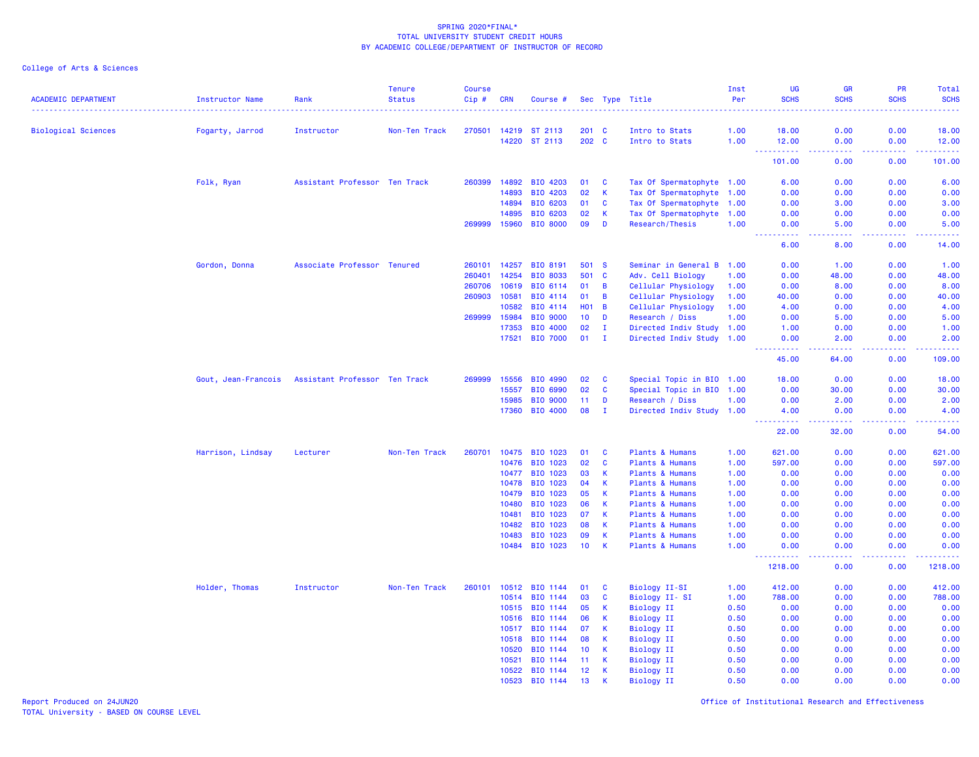College of Arts & Sciences

| <b>ACADEMIC DEPARTMENT</b> | <b>Instructor Name</b> | Rank                          | <b>Tenure</b><br><b>Status</b> | Course<br>Cip# | <b>CRN</b>     | Course #             |               |              | Sec Type Title                     | Inst<br>Per  | <b>UG</b><br><b>SCHS</b> | <b>GR</b><br><b>SCHS</b>       | PR<br><b>SCHS</b> | Total<br><b>SCHS</b><br>$\frac{1}{2} \left( \frac{1}{2} \right) \left( \frac{1}{2} \right) \left( \frac{1}{2} \right) \left( \frac{1}{2} \right)$ |
|----------------------------|------------------------|-------------------------------|--------------------------------|----------------|----------------|----------------------|---------------|--------------|------------------------------------|--------------|--------------------------|--------------------------------|-------------------|---------------------------------------------------------------------------------------------------------------------------------------------------|
| <b>Biological Sciences</b> | Fogarty, Jarrod        | Instructor                    | Non-Ten Track                  | 270501         | 14219          | ST 2113              | $201 \quad C$ |              | Intro to Stats                     | 1.00         | 18.00                    | 0.00                           | 0.00              | 18.00                                                                                                                                             |
|                            |                        |                               |                                |                | 14220          | ST 2113              | 202 C         |              | Intro to Stats                     | 1.00         | 12.00                    | 0.00                           | 0.00              | 12.00                                                                                                                                             |
|                            |                        |                               |                                |                |                |                      |               |              |                                    |              | 22222<br>101.00          | $\omega$ is $\omega$ .<br>0.00 | .<br>0.00         | 101.00                                                                                                                                            |
|                            | Folk, Ryan             | Assistant Professor Ten Track |                                | 260399         | 14892          | BIO 4203             | 01            | <b>C</b>     | Tax Of Spermatophyte 1.00          |              | 6.00                     | 0.00                           | 0.00              | 6.00                                                                                                                                              |
|                            |                        |                               |                                |                | 14893          | BIO 4203             | 02            | $\mathsf K$  | Tax Of Spermatophyte 1.00          |              | 0.00                     | 0.00                           | 0.00              | 0.00                                                                                                                                              |
|                            |                        |                               |                                |                | 14894          | BIO 6203             | 01            | C            | Tax Of Spermatophyte 1.00          |              | 0.00                     | 3.00                           | 0.00              | 3.00                                                                                                                                              |
|                            |                        |                               |                                |                | 14895          | BIO 6203             | 02            | К            | Tax Of Spermatophyte 1.00          |              | 0.00                     | 0.00                           | 0.00              | 0.00                                                                                                                                              |
|                            |                        |                               |                                | 269999         | 15960          | <b>BIO 8000</b>      | 09            | D            | <b>Research/Thesis</b>             | 1.00         | 0.00<br>المستما<br>- - - | 5.00<br>وبالمحام               | 0.00<br>المستما   | 5.00<br>بالأباد                                                                                                                                   |
|                            |                        |                               |                                |                |                |                      |               |              |                                    |              | 6.00                     | 8.00                           | 0.00              | 14.00                                                                                                                                             |
|                            | Gordon, Donna          | Associate Professor Tenured   |                                | 260101         | 14257          | <b>BIO 8191</b>      | 501           | <b>S</b>     | Seminar in General B 1.00          |              | 0.00                     | 1.00                           | 0.00              | 1.00                                                                                                                                              |
|                            |                        |                               |                                | 260401         | 14254          | <b>BIO 8033</b>      | 501           | $\mathbf{C}$ | Adv. Cell Biology                  | 1.00         | 0.00                     | 48.00                          | 0.00              | 48.00                                                                                                                                             |
|                            |                        |                               |                                | 260706         | 10619          | BIO 6114             | 01            | В            | Cellular Physiology                | 1.00         | 0.00                     | 8.00                           | 0.00              | 8.00                                                                                                                                              |
|                            |                        |                               |                                | 260903         | 10581          | BIO 4114             | 01            | B            | Cellular Physiology                | 1.00         | 40.00                    | 0.00                           | 0.00              | 40.00                                                                                                                                             |
|                            |                        |                               |                                |                | 10582          | BIO 4114             | <b>HO1</b>    | B            | Cellular Physiology                | 1.00         | 4.00                     | 0.00                           | 0.00              | 4.00                                                                                                                                              |
|                            |                        |                               |                                | 269999         | 15984          | <b>BIO 9000</b>      | 10            | D            | Research / Diss                    | 1.00         | 0.00                     | 5.00                           | 0.00              | 5.00                                                                                                                                              |
|                            |                        |                               |                                |                | 17353          | BIO 4000             | 02            | $\mathbf{I}$ | Directed Indiv Study 1.00          |              | 1.00                     | 0.00                           | 0.00              | 1.00                                                                                                                                              |
|                            |                        |                               |                                |                | 17521          | <b>BIO 7000</b>      | 01            | $\mathbf{I}$ | Directed Indiv Study 1.00          |              | 0.00<br><u>.</u>         | 2.00<br>.                      | 0.00<br>.         | 2.00<br>22222                                                                                                                                     |
|                            |                        |                               |                                |                |                |                      |               |              |                                    |              | 45.00                    | 64.00                          | 0.00              | 109.00                                                                                                                                            |
|                            | Gout, Jean-Francois    | Assistant Professor Ten Track |                                | 269999         | 15556          | BIO 4990             | 02            | <b>C</b>     | Special Topic in BIO 1.00          |              | 18.00                    | 0.00                           | 0.00              | 18.00                                                                                                                                             |
|                            |                        |                               |                                |                | 15557          | BIO 6990             | 02            | C            | Special Topic in BIO 1.00          |              | 0.00                     | 30.00                          | 0.00              | 30.00                                                                                                                                             |
|                            |                        |                               |                                |                | 15985          | BIO 9000             | 11            | D            | Research / Diss                    | 1.00         | 0.00                     | 2.00                           | 0.00              | 2.00                                                                                                                                              |
|                            |                        |                               |                                |                | 17360          | <b>BIO 4000</b>      | 08            | $\mathbf{I}$ | Directed Indiv Study 1.00          |              | 4.00<br><u>.</u><br>---- | 0.00<br>.                      | 0.00<br>22222     | 4.00<br>.                                                                                                                                         |
|                            |                        |                               |                                |                |                |                      |               |              |                                    |              | 22.00                    | 32.00                          | 0.00              | 54.00                                                                                                                                             |
|                            | Harrison, Lindsay      | Lecturer                      | Non-Ten Track                  | 260701         | 10475          | BIO 1023             | 01            | <b>C</b>     | Plants & Humans                    | 1.00         | 621.00                   | 0.00                           | 0.00              | 621.00                                                                                                                                            |
|                            |                        |                               |                                |                | 10476          | BIO 1023             | 02            | C            | Plants & Humans                    | 1.00         | 597.00                   | 0.00                           | 0.00              | 597.00                                                                                                                                            |
|                            |                        |                               |                                |                | 10477          | BIO 1023             | 03            | К            | Plants & Humans                    | 1.00         | 0.00                     | 0.00                           | 0.00              | 0.00                                                                                                                                              |
|                            |                        |                               |                                |                | 10478          | BIO 1023             | 04            | К            | Plants & Humans                    | 1.00         | 0.00                     | 0.00                           | 0.00              | 0.00                                                                                                                                              |
|                            |                        |                               |                                |                | 10479          | BIO 1023             | 05            | К            | Plants & Humans                    | 1.00         | 0.00                     | 0.00                           | 0.00              | 0.00                                                                                                                                              |
|                            |                        |                               |                                |                | 10480          | BIO 1023             | 06            | K            | Plants & Humans                    | 1.00         | 0.00                     | 0.00                           | 0.00              | 0.00                                                                                                                                              |
|                            |                        |                               |                                |                | 10481          | BIO 1023             | 07            | К            | Plants & Humans                    | 1.00         | 0.00                     | 0.00                           | 0.00              | 0.00                                                                                                                                              |
|                            |                        |                               |                                |                | 10482<br>10483 | BIO 1023<br>BIO 1023 | 08<br>09      | K<br>К       | Plants & Humans<br>Plants & Humans | 1.00<br>1.00 | 0.00<br>0.00             | 0.00<br>0.00                   | 0.00<br>0.00      | 0.00<br>0.00                                                                                                                                      |
|                            |                        |                               |                                |                |                | 10484 BIO 1023       | 10            | K            | Plants & Humans                    | 1.00         | 0.00                     | 0.00                           | 0.00              | 0.00                                                                                                                                              |
|                            |                        |                               |                                |                |                |                      |               |              |                                    |              | <u>.</u><br>1218.00      | وبالأباد<br>0.00               | 22222<br>0.00     | .<br>1218.00                                                                                                                                      |
|                            | Holder, Thomas         | Instructor                    | Non-Ten Track                  | 260101         | 10512          | BIO 1144             | 01            | C            | Biology II-SI                      | 1.00         | 412.00                   | 0.00                           | 0.00              | 412.00                                                                                                                                            |
|                            |                        |                               |                                |                | 10514          | BIO 1144             | 03            | C            | Biology II-SI                      | 1.00         | 788.00                   | 0.00                           | 0.00              | 788.00                                                                                                                                            |
|                            |                        |                               |                                |                | 10515          | BIO 1144             | 05            | К            | <b>Biology II</b>                  | 0.50         | 0.00                     | 0.00                           | 0.00              | 0.00                                                                                                                                              |
|                            |                        |                               |                                |                | 10516          | BIO 1144             | 06            | К            | <b>Biology II</b>                  | 0.50         | 0.00                     | 0.00                           | 0.00              | 0.00                                                                                                                                              |
|                            |                        |                               |                                |                | 10517          | BIO 1144             | 07            | К            | <b>Biology II</b>                  | 0.50         | 0.00                     | 0.00                           | 0.00              | 0.00                                                                                                                                              |
|                            |                        |                               |                                |                | 10518          | BIO 1144             | 08            | К            | <b>Biology II</b>                  | 0.50         | 0.00                     | 0.00                           | 0.00              | 0.00                                                                                                                                              |
|                            |                        |                               |                                |                | 10520          | BIO 1144             | 10            | К            | <b>Biology II</b>                  | 0.50         | 0.00                     | 0.00                           | 0.00              | 0.00                                                                                                                                              |
|                            |                        |                               |                                |                | 10521          | BIO 1144             | 11            | К            | <b>Biology II</b>                  | 0.50         | 0.00                     | 0.00                           | 0.00              | 0.00                                                                                                                                              |
|                            |                        |                               |                                |                | 10522          | BIO 1144             | 12            | К            | <b>Biology II</b>                  | 0.50         | 0.00                     | 0.00                           | 0.00              | 0.00                                                                                                                                              |
|                            |                        |                               |                                |                | 10523          | BIO 1144             | 13            | K            | <b>Biology II</b>                  | 0.50         | 0.00                     | 0.00                           | 0.00              | 0.00                                                                                                                                              |

Report Produced on 24JUN20 Office of Institutional Research and Effectiveness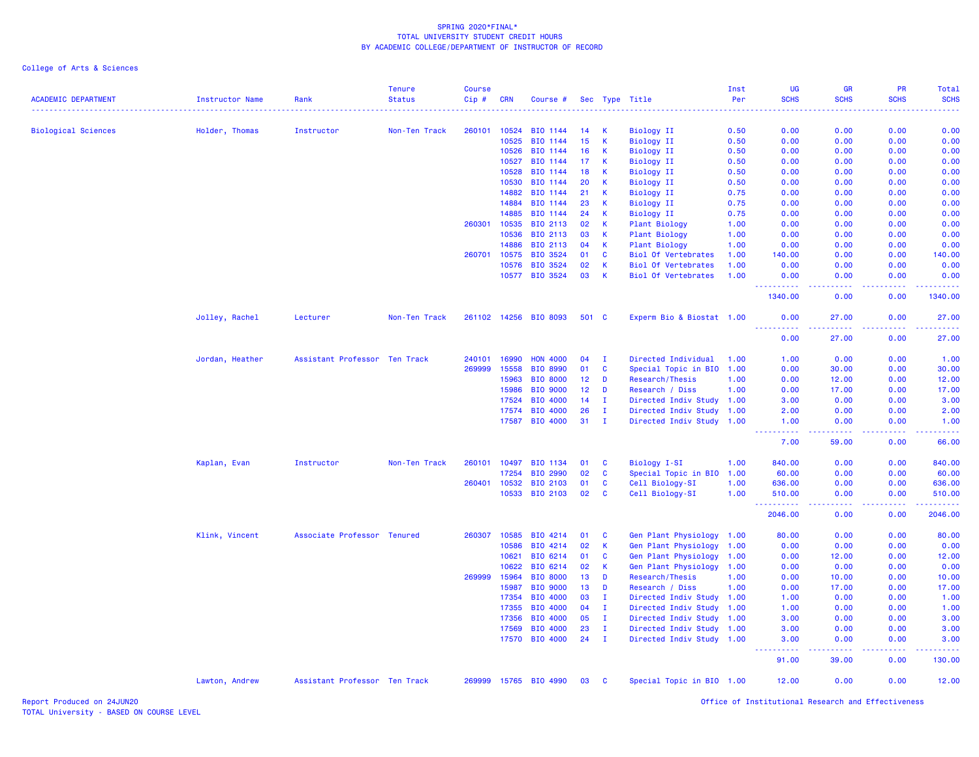| <b>ACADEMIC DEPARTMENT</b> | <b>Instructor Name</b> | Rank                          | <b>Tenure</b><br><b>Status</b> | <b>Course</b><br>Cip# | <b>CRN</b>   | Course #              |       |              | Sec Type Title             | Inst<br>Per | <b>UG</b><br><b>SCHS</b> | <b>GR</b><br><b>SCHS</b> | PR<br><b>SCHS</b> | Total<br><b>SCHS</b>    |
|----------------------------|------------------------|-------------------------------|--------------------------------|-----------------------|--------------|-----------------------|-------|--------------|----------------------------|-------------|--------------------------|--------------------------|-------------------|-------------------------|
|                            |                        |                               |                                |                       |              |                       |       |              |                            |             |                          |                          |                   |                         |
| <b>Biological Sciences</b> | Holder, Thomas         | Instructor                    | Non-Ten Track                  | 260101                | 10524        | BIO 1144              | 14    | к            | Biology II                 | 0.50        | 0.00                     | 0.00                     | 0.00              | 0.00                    |
|                            |                        |                               |                                |                       | 10525        | BIO 1144              | 15    | К            | <b>Biology II</b>          | 0.50        | 0.00                     | 0.00                     | 0.00              | 0.00                    |
|                            |                        |                               |                                |                       | 10526        | BIO 1144              | 16    | К            | <b>Biology II</b>          | 0.50        | 0.00                     | 0.00                     | 0.00              | 0.00                    |
|                            |                        |                               |                                |                       | 10527        | BIO 1144              | 17    | К            | <b>Biology II</b>          | 0.50        | 0.00                     | 0.00                     | 0.00              | 0.00                    |
|                            |                        |                               |                                |                       | 10528        | BIO 1144              | 18    | К            | <b>Biology II</b>          | 0.50        | 0.00                     | 0.00                     | 0.00              | 0.00                    |
|                            |                        |                               |                                |                       | 10530        | BIO 1144              | 20    | К            | <b>Biology II</b>          | 0.50        | 0.00                     | 0.00                     | 0.00              | 0.00                    |
|                            |                        |                               |                                |                       | 14882        | BIO 1144              | 21    | К            | <b>Biology II</b>          | 0.75        | 0.00                     | 0.00                     | 0.00              | 0.00                    |
|                            |                        |                               |                                |                       | 14884        | BIO 1144              | 23    | К            | Biology II                 | 0.75        | 0.00                     | 0.00                     | 0.00              | 0.00                    |
|                            |                        |                               |                                |                       | 14885        | BIO 1144              | 24    | K            | <b>Biology II</b>          | 0.75        | 0.00                     | 0.00                     | 0.00              | 0.00                    |
|                            |                        |                               |                                | 260301                | 10535        | BIO 2113              | 02    | K            | <b>Plant Biology</b>       | 1.00        | 0.00                     | 0.00                     | 0.00              | 0.00                    |
|                            |                        |                               |                                |                       | 10536        | BIO 2113              | 03    | К            | Plant Biology              | 1.00        | 0.00                     | 0.00                     | 0.00              | 0.00                    |
|                            |                        |                               |                                |                       | 14886        | BIO 2113              | 04    | К            | <b>Plant Biology</b>       | 1.00        | 0.00                     | 0.00                     | 0.00              | 0.00                    |
|                            |                        |                               |                                | 260701                | 10575        | BIO 3524              | 01    | <b>C</b>     | <b>Biol Of Vertebrates</b> | 1.00        | 140.00                   | 0.00                     | 0.00              | 140.00                  |
|                            |                        |                               |                                |                       | 10576        | BIO 3524              | 02    | К            | <b>Biol Of Vertebrates</b> | 1.00        | 0.00                     | 0.00                     | 0.00              | 0.00                    |
|                            |                        |                               |                                |                       | 10577        | BIO 3524              | 03    | К            | <b>Biol Of Vertebrates</b> | 1.00        | 0.00<br><u>.</u>         | 0.00<br>.                | 0.00<br>.         | 0.00<br><u>.</u>        |
|                            |                        |                               |                                |                       |              |                       |       |              |                            |             | 1340.00                  | 0.00                     | 0.00              | 1340.00                 |
|                            | Jolley, Rachel         | Lecturer                      | Non-Ten Track                  |                       |              | 261102 14256 BIO 8093 | 501 C |              | Experm Bio & Biostat 1.00  |             | 0.00                     | 27.00                    | 0.00              | 27.00                   |
|                            |                        |                               |                                |                       |              |                       |       |              |                            |             | 0.00                     | 27.00                    | 0.00              | 27.00                   |
|                            | Jordan, Heather        | Assistant Professor Ten Track |                                | 240101                | 16990        | <b>HON 4000</b>       | 04    | - 1          | Directed Individual        | 1.00        | 1.00                     | 0.00                     | 0.00              | 1.00                    |
|                            |                        |                               |                                | 269999                | 15558        | BIO 8990              | 01    | $\mathbf{C}$ | Special Topic in BIO       | 1.00        | 0.00                     | 30.00                    | 0.00              | 30.00                   |
|                            |                        |                               |                                |                       | 15963        | <b>BIO 8000</b>       | 12    | D            | Research/Thesis            | 1.00        | 0.00                     | 12.00                    | 0.00              | 12.00                   |
|                            |                        |                               |                                |                       | 15986        | <b>BIO 9000</b>       | 12    | D            | Research / Diss            | 1.00        | 0.00                     | 17.00                    | 0.00              | 17.00                   |
|                            |                        |                               |                                |                       | 17524        | BIO 4000              | 14    | л.           | Directed Indiv Study 1.00  |             | 3.00                     | 0.00                     | 0.00              | 3.00                    |
|                            |                        |                               |                                |                       | 17574        | BIO 4000              | 26    | $\mathbf I$  | Directed Indiv Study 1.00  |             | 2.00                     | 0.00                     | 0.00              | 2.00                    |
|                            |                        |                               |                                |                       | 17587        | BIO 4000              | 31    | $\mathbf{I}$ | Directed Indiv Study 1.00  |             | 1.00                     | 0.00                     | 0.00              | 1.00                    |
|                            |                        |                               |                                |                       |              |                       |       |              |                            |             | .<br>7.00                | .<br>59.00               | .<br>0.00         | .<br>66.00              |
|                            | Kaplan, Evan           | Instructor                    | Non-Ten Track                  | 260101                | 10497        | BIO 1134              | 01    | C            | <b>Biology I-SI</b>        | 1.00        | 840.00                   | 0.00                     | 0.00              | 840.00                  |
|                            |                        |                               |                                |                       | 17254        | BIO 2990              | 02    | <b>C</b>     | Special Topic in BIO       | 1.00        | 60.00                    | 0.00                     | 0.00              | 60.00                   |
|                            |                        |                               |                                | 260401                | 10532        | BIO 2103              | 01    | $\mathbf{C}$ | Cell Biology-SI            | 1.00        | 636.00                   | 0.00                     | 0.00              | 636.00                  |
|                            |                        |                               |                                |                       |              | 10533 BIO 2103        | 02    | C            | Cell Biology-SI            | 1.00        | 510.00                   | 0.00                     | 0.00              | 510.00                  |
|                            |                        |                               |                                |                       |              |                       |       |              |                            |             | .<br>2046.00             | .<br>0.00                | -----<br>0.00     | . <u>.</u> .<br>2046.00 |
|                            | Klink, Vincent         | Associate Professor Tenured   |                                |                       | 260307 10585 | BIO 4214              | 01    | C            | Gen Plant Physiology 1.00  |             | 80.00                    | 0.00                     | 0.00              | 80.00                   |
|                            |                        |                               |                                |                       | 10586        | BIO 4214              | 02    | К            | Gen Plant Physiology       | 1.00        | 0.00                     | 0.00                     | 0.00              | 0.00                    |
|                            |                        |                               |                                |                       | 10621        | BIO 6214              | 01    | C            | Gen Plant Physiology       | 1.00        | 0.00                     | 12.00                    | 0.00              | 12.00                   |
|                            |                        |                               |                                |                       | 10622        | BIO 6214              | 02    | К            | Gen Plant Physiology       | 1.00        | 0.00                     | 0.00                     | 0.00              | 0.00                    |
|                            |                        |                               |                                |                       | 269999 15964 | <b>BIO 8000</b>       | 13    | D            | Research/Thesis            | 1.00        | 0.00                     | 10.00                    | 0.00              | 10.00                   |
|                            |                        |                               |                                |                       | 15987        | <b>BIO 9000</b>       | 13    | D            | Research / Diss            | 1.00        | 0.00                     | 17.00                    | 0.00              | 17.00                   |
|                            |                        |                               |                                |                       | 17354        | <b>BIO 4000</b>       | 03    | $\mathbf I$  | Directed Indiv Study 1.00  |             | 1.00                     | 0.00                     | 0.00              | 1.00                    |
|                            |                        |                               |                                |                       | 17355        | <b>BIO 4000</b>       | 04    | п            | Directed Indiv Study       | 1.00        | 1.00                     | 0.00                     | 0.00              | 1.00                    |
|                            |                        |                               |                                |                       | 17356        | <b>BIO 4000</b>       | 05    | $\mathbf{I}$ | Directed Indiv Study 1.00  |             | 3.00                     | 0.00                     | 0.00              | 3.00                    |
|                            |                        |                               |                                |                       | 17569        | <b>BIO 4000</b>       | 23    | п.           | Directed Indiv Study 1.00  |             | 3.00                     | 0.00                     | 0.00              | 3.00                    |
|                            |                        |                               |                                |                       |              | 17570 BIO 4000        | 24    | $\mathbf{I}$ | Directed Indiv Study 1.00  |             | 3.00<br>.                | 0.00                     | 0.00              | 3.00                    |
|                            |                        |                               |                                |                       |              |                       |       |              |                            |             | 91.00                    | 39.00                    | 0.00              | 130.00                  |
|                            | Lawton, Andrew         | Assistant Professor Ten Track |                                |                       |              | 269999 15765 BIO 4990 | 03    | <b>C</b>     | Special Topic in BIO 1.00  |             | 12.00                    | 0.00                     | 0.00              | 12.00                   |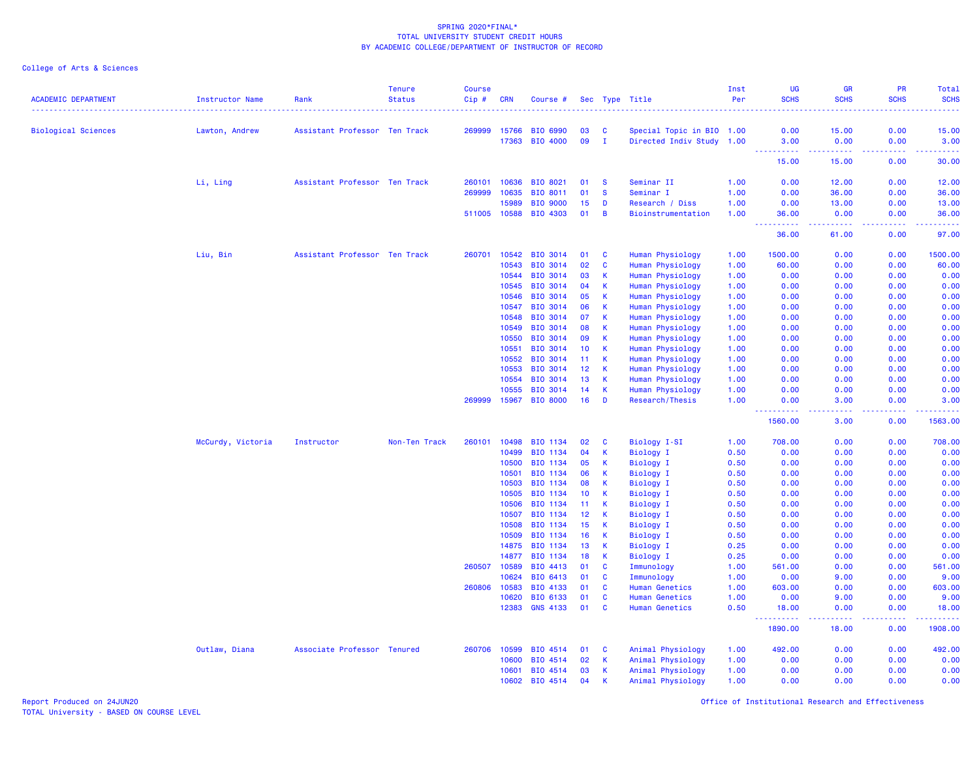| <b>ACADEMIC DEPARTMENT</b> | <b>Instructor Name</b> | Rank                          | <b>Tenure</b><br><b>Status</b> | <b>Course</b><br>Cip# | <b>CRN</b>     | Course #                    |                 |               | Sec Type Title                                 | Inst<br>Per  | <b>UG</b><br><b>SCHS</b>                                                                                                                                     | <b>GR</b><br><b>SCHS</b> | PR<br><b>SCHS</b> | <b>Total</b><br><b>SCHS</b> |
|----------------------------|------------------------|-------------------------------|--------------------------------|-----------------------|----------------|-----------------------------|-----------------|---------------|------------------------------------------------|--------------|--------------------------------------------------------------------------------------------------------------------------------------------------------------|--------------------------|-------------------|-----------------------------|
|                            |                        |                               |                                |                       |                |                             |                 |               |                                                |              |                                                                                                                                                              |                          |                   |                             |
| <b>Biological Sciences</b> | Lawton, Andrew         | Assistant Professor Ten Track |                                | 269999                | 15766          | <b>BIO 6990</b>             | 03              | <b>C</b>      | Special Topic in BIO 1.00                      |              | 0.00                                                                                                                                                         | 15.00                    | 0.00              | 15.00                       |
|                            |                        |                               |                                |                       | 17363          | BIO 4000                    | 09              | Ι.            | Directed Indiv Study 1.00                      |              | 3.00<br>.                                                                                                                                                    | 0.00<br>.                | 0.00<br>.         | 3.00<br>.                   |
|                            |                        |                               |                                |                       |                |                             |                 |               |                                                |              | 15.00                                                                                                                                                        | 15.00                    | 0.00              | 30.00                       |
|                            | Li, Ling               | Assistant Professor Ten Track |                                | 260101                | 10636          | BIO 8021                    | 01              | <b>S</b>      | Seminar II                                     | 1.00         | 0.00                                                                                                                                                         | 12.00                    | 0.00              | 12.00                       |
|                            |                        |                               |                                | 269999                | 10635          | BIO 8011                    | 01              | <b>S</b>      | Seminar I                                      | 1.00         | 0.00                                                                                                                                                         | 36.00                    | 0.00              | 36.00                       |
|                            |                        |                               |                                |                       | 15989          | <b>BIO 9000</b>             | 15              | D             | Research / Diss                                | 1.00         | 0.00                                                                                                                                                         | 13.00                    | 0.00              | 13.00                       |
|                            |                        |                               |                                |                       | 511005 10588   | BIO 4303                    | 01              | B             | Bioinstrumentation                             | 1.00         | 36.00<br>$\sim$ $\sim$ $\sim$<br>د د د د د                                                                                                                   | 0.00<br>والمرامين مرابط  | 0.00<br>.         | 36.00                       |
|                            |                        |                               |                                |                       |                |                             |                 |               |                                                |              | 36.00                                                                                                                                                        | 61.00                    | 0.00              | 97.00                       |
|                            | Liu, Bin               | Assistant Professor Ten Track |                                | 260701                | 10542          | BIO 3014                    | 01              | <b>C</b>      | Human Physiology                               | 1.00         | 1500.00                                                                                                                                                      | 0.00                     | 0.00              | 1500.00                     |
|                            |                        |                               |                                |                       | 10543          | <b>BIO 3014</b>             | 02              | $\mathbf{C}$  | Human Physiology                               | 1.00         | 60.00                                                                                                                                                        | 0.00                     | 0.00              | 60.00                       |
|                            |                        |                               |                                |                       | 10544          | BIO 3014                    | 03              | К             | Human Physiology                               | 1.00         | 0.00                                                                                                                                                         | 0.00                     | 0.00              | 0.00                        |
|                            |                        |                               |                                |                       | 10545          | <b>BIO 3014</b>             | 04              | К             | Human Physiology                               | 1.00         | 0.00                                                                                                                                                         | 0.00                     | 0.00              | 0.00                        |
|                            |                        |                               |                                |                       | 10546          | BIO 3014                    | 05              | K             | Human Physiology                               | 1.00         | 0.00                                                                                                                                                         | 0.00                     | 0.00              | 0.00                        |
|                            |                        |                               |                                |                       | 10547          | <b>BIO 3014</b>             | 06              | K             | Human Physiology                               | 1.00         | 0.00                                                                                                                                                         | 0.00                     | 0.00              | 0.00                        |
|                            |                        |                               |                                |                       | 10548          | BIO 3014                    | 07              | K             | Human Physiology                               | 1.00         | 0.00                                                                                                                                                         | 0.00                     | 0.00              | 0.00                        |
|                            |                        |                               |                                |                       | 10549          | BIO 3014                    | 08              | K             | Human Physiology                               | 1.00         | 0.00                                                                                                                                                         | 0.00                     | 0.00              | 0.00                        |
|                            |                        |                               |                                |                       | 10550          | BIO 3014                    | 09              | К             | Human Physiology                               | 1.00         | 0.00                                                                                                                                                         | 0.00                     | 0.00              | 0.00                        |
|                            |                        |                               |                                |                       | 10551          | BIO 3014                    | 10              | К             | Human Physiology                               | 1.00         | 0.00                                                                                                                                                         | 0.00                     | 0.00              | 0.00                        |
|                            |                        |                               |                                |                       | 10552          | <b>BIO 3014</b>             | 11              | К             | Human Physiology                               | 1.00         | 0.00                                                                                                                                                         | 0.00                     | 0.00              | 0.00                        |
|                            |                        |                               |                                |                       | 10553          | BIO 3014                    | 12 <sub>2</sub> | K             | Human Physiology                               | 1.00         | 0.00                                                                                                                                                         | 0.00                     | 0.00              | 0.00                        |
|                            |                        |                               |                                |                       | 10554          | <b>BIO 3014</b>             | 13              | K             | Human Physiology                               | 1.00         | 0.00                                                                                                                                                         | 0.00                     | 0.00              | 0.00                        |
|                            |                        |                               |                                |                       | 10555          | <b>BIO 3014</b>             | 14              | К             | Human Physiology                               | 1.00         | 0.00                                                                                                                                                         | 0.00                     | 0.00              | 0.00                        |
|                            |                        |                               |                                | 269999                | 15967          | <b>BIO 8000</b>             | 16              | D             | Research/Thesis                                | 1.00         | 0.00<br>$\frac{1}{2} \left( \frac{1}{2} \right) \left( \frac{1}{2} \right) \left( \frac{1}{2} \right) \left( \frac{1}{2} \right) \left( \frac{1}{2} \right)$ | 3.00<br>.                | 0.00<br>-----     | 3.00<br>.                   |
|                            |                        |                               |                                |                       |                |                             |                 |               |                                                |              | 1560.00                                                                                                                                                      | 3.00                     | 0.00              | 1563.00                     |
|                            | McCurdy, Victoria      | Instructor                    | Non-Ten Track                  | 260101                | 10498          | BIO 1134                    | 02              | C             | <b>Biology I-SI</b>                            | 1.00         | 708.00                                                                                                                                                       | 0.00                     | 0.00              | 708.00                      |
|                            |                        |                               |                                |                       | 10499          | BIO 1134                    | 04              | К             | <b>Biology I</b>                               | 0.50         | 0.00                                                                                                                                                         | 0.00                     | 0.00              | 0.00                        |
|                            |                        |                               |                                |                       | 10500          | BIO 1134                    | 05              | К             | <b>Biology I</b>                               | 0.50         | 0.00                                                                                                                                                         | 0.00                     | 0.00              | 0.00                        |
|                            |                        |                               |                                |                       | 10501          | BIO 1134                    | 06              | К             | <b>Biology I</b>                               | 0.50         | 0.00                                                                                                                                                         | 0.00                     | 0.00              | 0.00                        |
|                            |                        |                               |                                |                       | 10503          | BIO 1134                    | 08              | К             | Biology I                                      | 0.50         | 0.00                                                                                                                                                         | 0.00                     | 0.00              | 0.00                        |
|                            |                        |                               |                                |                       | 10505          | BIO 1134                    | 10              | К             | Biology I                                      | 0.50         | 0.00                                                                                                                                                         | 0.00                     | 0.00              | 0.00                        |
|                            |                        |                               |                                |                       | 10506          | BIO 1134                    | 11              | K             | <b>Biology I</b>                               | 0.50         | 0.00                                                                                                                                                         | 0.00                     | 0.00              | 0.00                        |
|                            |                        |                               |                                |                       | 10507          | <b>BIO 1134</b>             | 12 <sup>2</sup> | К             | <b>Biology I</b>                               | 0.50         | 0.00                                                                                                                                                         | 0.00                     | 0.00              | 0.00                        |
|                            |                        |                               |                                |                       | 10508          | BIO 1134                    | 15              | К             | <b>Biology I</b>                               | 0.50         | 0.00                                                                                                                                                         | 0.00                     | 0.00              | 0.00                        |
|                            |                        |                               |                                |                       | 10509          | BIO 1134                    | 16              | К             | <b>Biology I</b>                               | 0.50         | 0.00                                                                                                                                                         | 0.00                     | 0.00              | 0.00                        |
|                            |                        |                               |                                |                       | 14875          | BIO 1134                    | 13              | К             | <b>Biology I</b>                               | 0.25         | 0.00                                                                                                                                                         | 0.00                     | 0.00              | 0.00                        |
|                            |                        |                               |                                |                       | 14877          | BIO 1134                    | 18              | К             | Biology I                                      | 0.25         | 0.00                                                                                                                                                         | 0.00                     | 0.00              | 0.00                        |
|                            |                        |                               |                                | 260507                | 10589          | BIO 4413                    | 01              | C             | Immunology                                     | 1.00         | 561.00                                                                                                                                                       | 0.00                     | 0.00              | 561.00                      |
|                            |                        |                               |                                |                       | 10624          | BIO 6413                    | 01              | $\mathbf{C}$  | Immunology                                     | 1.00         | 0.00                                                                                                                                                         | 9.00                     | 0.00              | 9.00                        |
|                            |                        |                               |                                | 260806                | 10583          | BIO 4133                    | 01              | $\mathbf{C}$  | <b>Human Genetics</b>                          | 1.00         | 603.00                                                                                                                                                       | 0.00                     | 0.00              | 603.00                      |
|                            |                        |                               |                                |                       | 10620<br>12383 | BIO 6133<br><b>GNS 4133</b> | 01<br>01        | C<br><b>C</b> | <b>Human Genetics</b><br><b>Human Genetics</b> | 1.00<br>0.50 | 0.00<br>18.00                                                                                                                                                | 9.00<br>0.00             | 0.00<br>0.00      | 9.00<br>18.00               |
|                            |                        |                               |                                |                       |                |                             |                 |               |                                                |              | <u>.</u><br>1890.00                                                                                                                                          | .<br>18.00               | .<br>0.00         | .<br>1908.00                |
|                            | Outlaw, Diana          | Associate Professor Tenured   |                                | 260706                | 10599          | BIO 4514                    | 01              | C             | Animal Physiology                              | 1.00         | 492.00                                                                                                                                                       | 0.00                     | 0.00              | 492.00                      |
|                            |                        |                               |                                |                       | 10600          | BIO 4514                    | 02              | K             | Animal Physiology                              | 1.00         | 0.00                                                                                                                                                         | 0.00                     | 0.00              | 0.00                        |
|                            |                        |                               |                                |                       | 10601          | BIO 4514                    | 03              | К             | Animal Physiology                              | 1.00         | 0.00                                                                                                                                                         | 0.00                     | 0.00              | 0.00                        |
|                            |                        |                               |                                |                       | 10602          | BIO 4514                    | 04              | K             | Animal Physiology                              | 1.00         | 0.00                                                                                                                                                         | 0.00                     | 0.00              | 0.00                        |
|                            |                        |                               |                                |                       |                |                             |                 |               |                                                |              |                                                                                                                                                              |                          |                   |                             |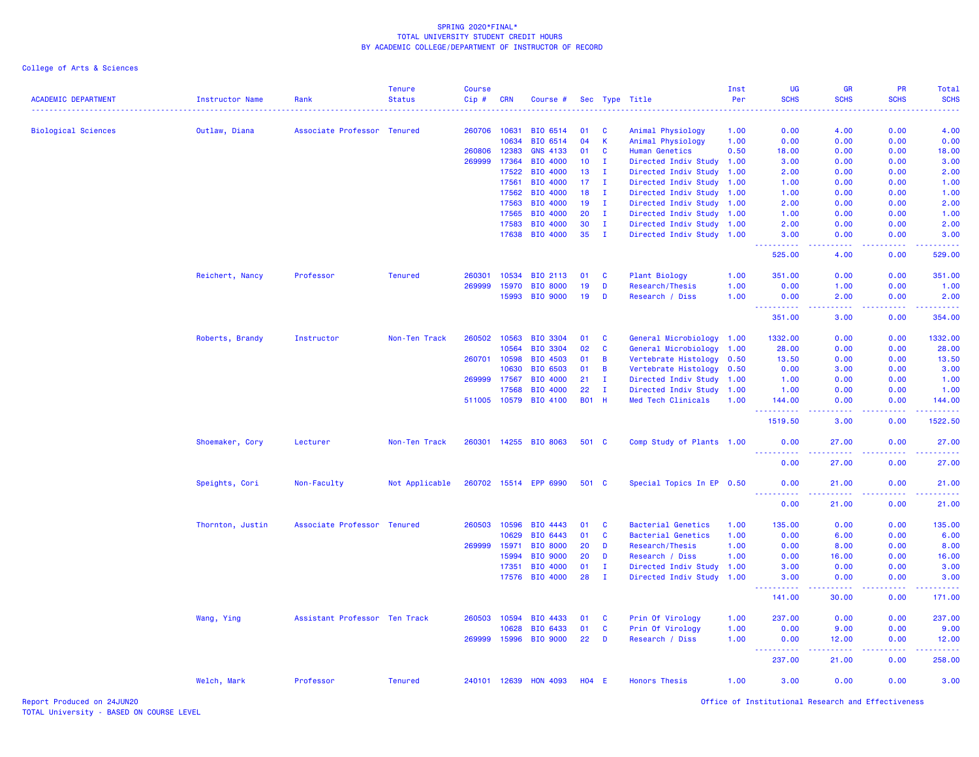| <b>ACADEMIC DEPARTMENT</b> | <b>Instructor Name</b> | Rank                          | <b>Tenure</b><br><b>Status</b> | <b>Course</b><br>Cip# | CRN          | Course #              |              |              | Sec Type Title            | Inst<br>Per | UG<br><b>SCHS</b>                   | <b>GR</b><br><b>SCHS</b>                                                                                                           | <b>PR</b><br><b>SCHS</b> | Total<br><b>SCHS</b>         |
|----------------------------|------------------------|-------------------------------|--------------------------------|-----------------------|--------------|-----------------------|--------------|--------------|---------------------------|-------------|-------------------------------------|------------------------------------------------------------------------------------------------------------------------------------|--------------------------|------------------------------|
|                            |                        |                               |                                |                       |              |                       |              |              |                           |             |                                     |                                                                                                                                    |                          |                              |
| <b>Biological Sciences</b> | Outlaw, Diana          | Associate Professor Tenured   |                                |                       | 260706 10631 | BIO 6514              | 01           | <b>C</b>     | Animal Physiology         | 1.00        | 0.00                                | 4.00                                                                                                                               | 0.00                     | 4.00                         |
|                            |                        |                               |                                |                       | 10634        | BIO 6514              | 04           | K            | Animal Physiology         | 1.00        | 0.00                                | 0.00                                                                                                                               | 0.00                     | 0.00                         |
|                            |                        |                               |                                | 260806                | 12383        | <b>GNS 4133</b>       | 01           | C            | <b>Human Genetics</b>     | 0.50        | 18.00                               | 0.00                                                                                                                               | 0.00                     | 18.00                        |
|                            |                        |                               |                                | 269999                | 17364        | BIO 4000              | 10           | T            | Directed Indiv Study 1.00 |             | 3.00                                | 0.00                                                                                                                               | 0.00                     | 3.00                         |
|                            |                        |                               |                                |                       | 17522        | BIO 4000              | 13           | I.           | Directed Indiv Study 1.00 |             | 2.00                                | 0.00                                                                                                                               | 0.00                     | 2.00                         |
|                            |                        |                               |                                |                       | 17561        | BIO 4000              | 17           | $\mathbf{I}$ | Directed Indiv Study      | 1.00        | 1.00                                | 0.00                                                                                                                               | 0.00                     | 1.00                         |
|                            |                        |                               |                                |                       | 17562        | BIO 4000              | 18           | $\mathbf{I}$ | Directed Indiv Study      | 1.00        | 1.00                                | 0.00                                                                                                                               | 0.00                     | 1.00                         |
|                            |                        |                               |                                |                       | 17563        | BIO 4000              | 19           | I.           | Directed Indiv Study      | 1.00        | 2.00                                | 0.00                                                                                                                               | 0.00                     | 2.00                         |
|                            |                        |                               |                                |                       | 17565        | BIO 4000              | 20           | $\mathbf{I}$ | Directed Indiv Study 1.00 |             | 1.00                                | 0.00                                                                                                                               | 0.00                     | 1.00                         |
|                            |                        |                               |                                |                       | 17583        | BIO 4000              | 30           | $\mathbf{I}$ | Directed Indiv Study 1.00 |             | 2.00                                | 0.00                                                                                                                               | 0.00                     | 2.00                         |
|                            |                        |                               |                                |                       | 17638        | <b>BIO 4000</b>       | 35           | $\mathbf{I}$ | Directed Indiv Study 1.00 |             | 3.00                                | 0.00                                                                                                                               | 0.00                     | 3.00                         |
|                            |                        |                               |                                |                       |              |                       |              |              |                           |             | .<br>525.00                         | وبالاناء<br>4.00                                                                                                                   | -----<br>0.00            | والمواطنات المواطن<br>529.00 |
|                            | Reichert, Nancy        | Professor                     | <b>Tenured</b>                 | 260301                | 10534        | BIO 2113              | 01           | <b>C</b>     | Plant Biology             | 1.00        | 351.00                              | 0.00                                                                                                                               | 0.00                     | 351.00                       |
|                            |                        |                               |                                | 269999                | 15970        | <b>BIO 8000</b>       | 19           | D            | <b>Research/Thesis</b>    | 1.00        | 0.00                                | 1.00                                                                                                                               | 0.00                     | 1.00                         |
|                            |                        |                               |                                |                       | 15993        | <b>BIO 9000</b>       | 19           | D            | Research / Diss           | 1.00        | 0.00<br>.                           | 2.00<br>.                                                                                                                          | 0.00<br>.                | 2.00<br>.                    |
|                            |                        |                               |                                |                       |              |                       |              |              |                           |             | 351.00                              | 3.00                                                                                                                               | 0.00                     | 354.00                       |
|                            | Roberts, Brandy        | Instructor                    | Non-Ten Track                  | 260502                | 10563        | BIO 3304              | 01           | C            | General Microbiology 1.00 |             | 1332.00                             | 0.00                                                                                                                               | 0.00                     | 1332.00                      |
|                            |                        |                               |                                |                       | 10564        | <b>BIO 3304</b>       | 02           | $\mathbf{C}$ | General Microbiology      | 1.00        | 28.00                               | 0.00                                                                                                                               | 0.00                     | 28.00                        |
|                            |                        |                               |                                | 260701                | 10598        | BIO 4503              | 01           | B            | Vertebrate Histology      | 0.50        | 13.50                               | 0.00                                                                                                                               | 0.00                     | 13.50                        |
|                            |                        |                               |                                |                       | 10630        | <b>BIO 6503</b>       | 01           | B            | Vertebrate Histology      | 0.50        | 0.00                                | 3.00                                                                                                                               | 0.00                     | 3.00                         |
|                            |                        |                               |                                | 269999                | 17567        | <b>BIO 4000</b>       | 21           | $\mathbf{I}$ | Directed Indiv Study 1.00 |             | 1.00                                | 0.00                                                                                                                               | 0.00                     | 1.00                         |
|                            |                        |                               |                                |                       | 17568        | BIO 4000              | 22           | $\mathbf{I}$ | Directed Indiv Study 1.00 |             | 1.00                                | 0.00                                                                                                                               | 0.00                     | 1.00                         |
|                            |                        |                               |                                |                       |              | 511005 10579 BIO 4100 | <b>B01 H</b> |              | Med Tech Clinicals        | 1.00        | 144.00                              | 0.00                                                                                                                               | 0.00                     | 144.00                       |
|                            |                        |                               |                                |                       |              |                       |              |              |                           |             | د د د د د د<br>1519.50              | وعاجات<br>3.00                                                                                                                     | بالابات<br>0.00          | 1522.50                      |
|                            | Shoemaker, Cory        | Lecturer                      | Non-Ten Track                  |                       |              | 260301 14255 BIO 8063 | 501 C        |              | Comp Study of Plants 1.00 |             | 0.00                                | 27.00                                                                                                                              | 0.00                     | 27.00                        |
|                            |                        |                               |                                |                       |              |                       |              |              |                           |             | <u> - - - - - - - - - -</u><br>0.00 | 27.00                                                                                                                              | 0.00                     | 27.00                        |
|                            | Speights, Cori         | Non-Faculty                   | Not Applicable                 |                       |              | 260702 15514 EPP 6990 | 501 C        |              | Special Topics In EP 0.50 |             | 0.00                                | 21.00                                                                                                                              | 0.00                     | 21.00                        |
|                            |                        |                               |                                |                       |              |                       |              |              |                           |             | <u> - - - - - - - - - -</u><br>0.00 | $\frac{1}{2} \left( \frac{1}{2} \right) \left( \frac{1}{2} \right) \left( \frac{1}{2} \right) \left( \frac{1}{2} \right)$<br>21.00 | 0.00                     | 21.00                        |
|                            | Thornton, Justin       | Associate Professor           | <b>Tenured</b>                 | 260503                | 10596        | BIO 4443              | 01           | C            | <b>Bacterial Genetics</b> | 1.00        | 135.00                              | 0.00                                                                                                                               | 0.00                     | 135.00                       |
|                            |                        |                               |                                |                       | 10629        | BIO 6443              | 01           | C            | <b>Bacterial Genetics</b> | 1.00        | 0.00                                | 6.00                                                                                                                               | 0.00                     | 6.00                         |
|                            |                        |                               |                                | 269999                | 15971        | <b>BIO 8000</b>       | 20           | D            | Research/Thesis           | 1.00        | 0.00                                | 8.00                                                                                                                               | 0.00                     | 8.00                         |
|                            |                        |                               |                                |                       | 15994        | <b>BIO 9000</b>       | 20           | D            | Research / Diss           | 1.00        | 0.00                                | 16.00                                                                                                                              | 0.00                     | 16.00                        |
|                            |                        |                               |                                |                       | 17351        | BIO 4000              | 01           | $\mathbf{I}$ | Directed Indiv Study 1.00 |             | 3.00                                | 0.00                                                                                                                               | 0.00                     | 3.00                         |
|                            |                        |                               |                                |                       |              | 17576 BIO 4000        | 28           | $\mathbf{I}$ | Directed Indiv Study 1.00 |             | 3.00                                | 0.00                                                                                                                               | 0.00                     | 3.00                         |
|                            |                        |                               |                                |                       |              |                       |              |              |                           |             | 141.00                              | 30.00                                                                                                                              | 0.00                     | 171.00                       |
|                            | Wang, Ying             | Assistant Professor Ten Track |                                |                       | 260503 10594 | BIO 4433              | 01           | <b>C</b>     | Prin Of Virology          | 1.00        | 237.00                              | 0.00                                                                                                                               | 0.00                     | 237.00                       |
|                            |                        |                               |                                |                       | 10628        | BIO 6433              | 01           | C            | Prin Of Virology          | 1.00        | 0.00                                | 9.00                                                                                                                               | 0.00                     | 9.00                         |
|                            |                        |                               |                                | 269999                | 15996        | <b>BIO 9000</b>       | 22           | D            | Research / Diss           | 1.00        | 0.00                                | 12.00<br>.                                                                                                                         | 0.00                     | 12.00                        |
|                            |                        |                               |                                |                       |              |                       |              |              |                           |             | ----------<br>237.00                | 21.00                                                                                                                              | 0.00                     | 258.00                       |
|                            | Welch, Mark            | Professor                     | <b>Tenured</b>                 |                       | 240101 12639 | <b>HON 4093</b>       | $H04$ E      |              | <b>Honors Thesis</b>      | 1.00        | 3.00                                | 0.00                                                                                                                               | 0.00                     | 3.00                         |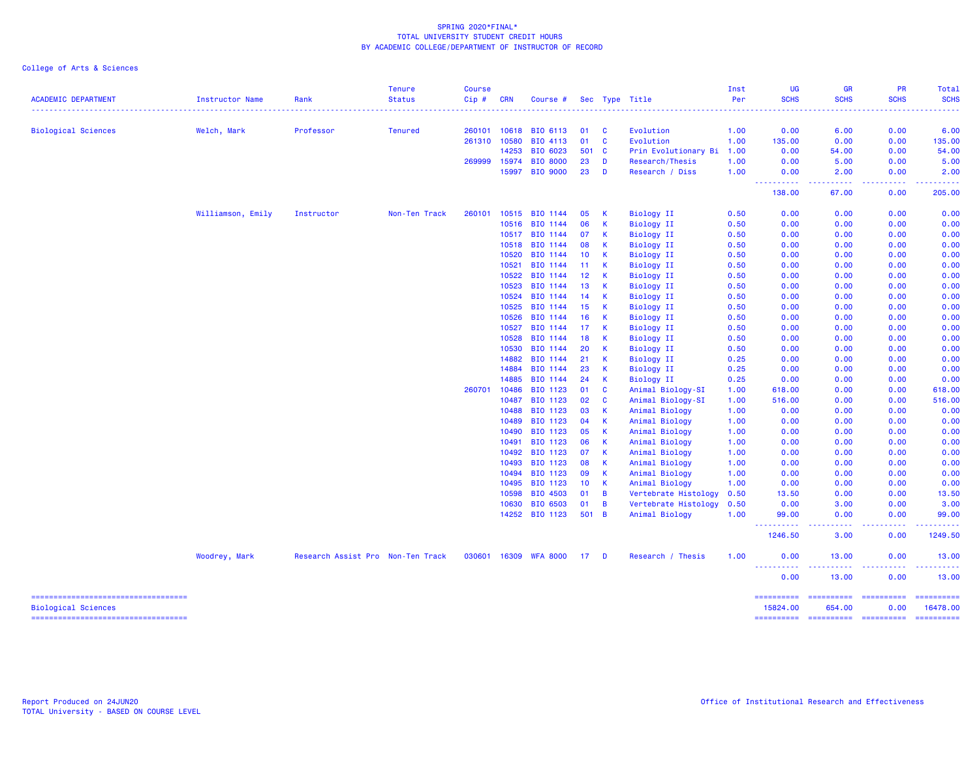| <b>ACADEMIC DEPARTMENT</b>                                                                         | Instructor Name   | Rank                              | <b>Tenure</b><br><b>Status</b> | <b>Course</b><br>Cip# | <b>CRN</b> | Course #        |                 |              | Sec Type Title       | Inst<br>Per | <b>UG</b><br><b>SCHS</b>                                                                                                                                                  | GR<br><b>SCHS</b>                   | <b>PR</b><br><b>SCHS</b>         | <b>Total</b><br><b>SCHS</b>          |
|----------------------------------------------------------------------------------------------------|-------------------|-----------------------------------|--------------------------------|-----------------------|------------|-----------------|-----------------|--------------|----------------------|-------------|---------------------------------------------------------------------------------------------------------------------------------------------------------------------------|-------------------------------------|----------------------------------|--------------------------------------|
|                                                                                                    |                   |                                   |                                |                       |            |                 |                 |              |                      |             |                                                                                                                                                                           |                                     |                                  |                                      |
| <b>Biological Sciences</b>                                                                         | Welch, Mark       | Professor                         | <b>Tenured</b>                 | 260101                | 10618      | <b>BIO 6113</b> | 01              | <b>C</b>     | Evolution            | 1.00        | 0.00                                                                                                                                                                      | 6.00                                | 0.00                             | 6.00                                 |
|                                                                                                    |                   |                                   |                                | 261310                | 10580      | BIO 4113        | 01              | C            | Evolution            | 1.00        | 135.00                                                                                                                                                                    | 0.00                                | 0.00                             | 135.00                               |
|                                                                                                    |                   |                                   |                                |                       | 14253      | BIO 6023        | 501             | $\mathbf{C}$ | Prin Evolutionary Bi | 1.00        | 0.00                                                                                                                                                                      | 54.00                               | 0.00                             | 54.00                                |
|                                                                                                    |                   |                                   |                                | 269999                | 15974      | <b>BIO 8000</b> | 23              | D            | Research/Thesis      | 1.00        | 0.00                                                                                                                                                                      | 5.00                                | 0.00                             | 5.00                                 |
|                                                                                                    |                   |                                   |                                |                       | 15997      | <b>BIO 9000</b> | 23              | D            | Research / Diss      | 1.00        | 0.00<br>د د د د د<br>$\frac{1}{2} \left( \frac{1}{2} \right) \left( \frac{1}{2} \right) \left( \frac{1}{2} \right) \left( \frac{1}{2} \right) \left( \frac{1}{2} \right)$ | 2.00<br>.                           | 0.00<br>.                        | 2.00<br>.                            |
|                                                                                                    |                   |                                   |                                |                       |            |                 |                 |              |                      |             | 138.00                                                                                                                                                                    | 67.00                               | 0.00                             | 205.00                               |
|                                                                                                    | Williamson, Emily | Instructor                        | Non-Ten Track                  | 260101                | 10515      | BIO 1144        | 05              | К            | Biology II           | 0.50        | 0.00                                                                                                                                                                      | 0.00                                | 0.00                             | 0.00                                 |
|                                                                                                    |                   |                                   |                                |                       | 10516      | BIO 1144        | 06              | K            | <b>Biology II</b>    | 0.50        | 0.00                                                                                                                                                                      | 0.00                                | 0.00                             | 0.00                                 |
|                                                                                                    |                   |                                   |                                |                       | 10517      | BIO 1144        | 07              | к            | <b>Biology II</b>    | 0.50        | 0.00                                                                                                                                                                      | 0.00                                | 0.00                             | 0.00                                 |
|                                                                                                    |                   |                                   |                                |                       | 10518      | BIO 1144        | 08              | К            | <b>Biology II</b>    | 0.50        | 0.00                                                                                                                                                                      | 0.00                                | 0.00                             | 0.00                                 |
|                                                                                                    |                   |                                   |                                |                       | 10520      | BIO 1144        | 10              | K            | <b>Biology II</b>    | 0.50        | 0.00                                                                                                                                                                      | 0.00                                | 0.00                             | 0.00                                 |
|                                                                                                    |                   |                                   |                                |                       | 10521      | BIO 1144        | 11              | K            | <b>Biology II</b>    | 0.50        | 0.00                                                                                                                                                                      | 0.00                                | 0.00                             | 0.00                                 |
|                                                                                                    |                   |                                   |                                |                       | 10522      | BIO 1144        | 12 <sub>2</sub> | К            | <b>Biology II</b>    | 0.50        | 0.00                                                                                                                                                                      | 0.00                                | 0.00                             | 0.00                                 |
|                                                                                                    |                   |                                   |                                |                       | 10523      | BIO 1144        | 13              | к            | <b>Biology II</b>    | 0.50        | 0.00                                                                                                                                                                      | 0.00                                | 0.00                             | 0.00                                 |
|                                                                                                    |                   |                                   |                                |                       | 10524      | BIO 1144        | 14              | К            | Biology II           | 0.50        | 0.00                                                                                                                                                                      | 0.00                                | 0.00                             | 0.00                                 |
|                                                                                                    |                   |                                   |                                |                       | 10525      | BIO 1144        | 15              | К            | <b>Biology II</b>    | 0.50        | 0.00                                                                                                                                                                      | 0.00                                | 0.00                             | 0.00                                 |
|                                                                                                    |                   |                                   |                                |                       | 10526      | BIO 1144        | 16              | К            | <b>Biology II</b>    | 0.50        | 0.00                                                                                                                                                                      | 0.00                                | 0.00                             | 0.00                                 |
|                                                                                                    |                   |                                   |                                |                       | 10527      | BIO 1144        | 17              | к            | <b>Biology II</b>    | 0.50        | 0.00                                                                                                                                                                      | 0.00                                | 0.00                             | 0.00                                 |
|                                                                                                    |                   |                                   |                                |                       | 10528      | BIO 1144        | 18              | K            | <b>Biology II</b>    | 0.50        | 0.00                                                                                                                                                                      | 0.00                                | 0.00                             | 0.00                                 |
|                                                                                                    |                   |                                   |                                |                       | 10530      | BIO 1144        | 20              | к            | Biology II           | 0.50        | 0.00                                                                                                                                                                      | 0.00                                | 0.00                             | 0.00                                 |
|                                                                                                    |                   |                                   |                                |                       | 14882      | BIO 1144        | 21              | К            | <b>Biology II</b>    | 0.25        | 0.00                                                                                                                                                                      | 0.00                                | 0.00                             | 0.00                                 |
|                                                                                                    |                   |                                   |                                |                       | 14884      | BIO 1144        | 23              | к            | Biology II           | 0.25        | 0.00                                                                                                                                                                      | 0.00                                | 0.00                             | 0.00                                 |
|                                                                                                    |                   |                                   |                                |                       | 14885      | BIO 1144        | 24              | К            | Biology II           | 0.25        | 0.00                                                                                                                                                                      | 0.00                                | 0.00                             | 0.00                                 |
|                                                                                                    |                   |                                   |                                | 260701                | 10486      | BIO 1123        | 01              | C            | Animal Biology-SI    | 1.00        | 618.00                                                                                                                                                                    | 0.00                                | 0.00                             | 618.00                               |
|                                                                                                    |                   |                                   |                                |                       | 10487      | BIO 1123        | 02              | <b>C</b>     | Animal Biology-SI    | 1.00        | 516.00                                                                                                                                                                    | 0.00                                | 0.00                             | 516.00                               |
|                                                                                                    |                   |                                   |                                |                       | 10488      | BIO 1123        | 03              | K            | Animal Biology       | 1.00        | 0.00                                                                                                                                                                      | 0.00                                | 0.00                             | 0.00                                 |
|                                                                                                    |                   |                                   |                                |                       | 10489      | BIO 1123        | 04              | к            | Animal Biology       | 1.00        | 0.00                                                                                                                                                                      | 0.00                                | 0.00                             | 0.00                                 |
|                                                                                                    |                   |                                   |                                |                       | 10490      | BIO 1123        | 05              | K            | Animal Biology       | 1.00        | 0.00                                                                                                                                                                      | 0.00                                | 0.00                             | 0.00                                 |
|                                                                                                    |                   |                                   |                                |                       | 10491      | BIO 1123        | 06              | К            | Animal Biology       | 1.00        | 0.00                                                                                                                                                                      | 0.00                                | 0.00                             | 0.00                                 |
|                                                                                                    |                   |                                   |                                |                       | 10492      | BIO 1123        | 07              | K            | Animal Biology       | 1.00        | 0.00                                                                                                                                                                      | 0.00                                | 0.00                             | 0.00                                 |
|                                                                                                    |                   |                                   |                                |                       | 10493      | BIO 1123        | 08              | К            | Animal Biology       | 1.00        | 0.00                                                                                                                                                                      | 0.00                                | 0.00                             | 0.00                                 |
|                                                                                                    |                   |                                   |                                |                       | 10494      | BIO 1123        | 09              | К            | Animal Biology       | 1.00        | 0.00                                                                                                                                                                      | 0.00                                | 0.00                             | 0.00                                 |
|                                                                                                    |                   |                                   |                                |                       | 10495      | BIO 1123        | 10 <sub>1</sub> | K            | Animal Biology       | 1.00        | 0.00                                                                                                                                                                      | 0.00                                | 0.00                             | 0.00                                 |
|                                                                                                    |                   |                                   |                                |                       | 10598      | BIO 4503        | 01              | B            | Vertebrate Histology | 0.50        | 13.50                                                                                                                                                                     | 0.00                                | 0.00                             | 13.50                                |
|                                                                                                    |                   |                                   |                                |                       | 10630      | BIO 6503        | 01              | B            | Vertebrate Histology | 0.50        | 0.00                                                                                                                                                                      | 3.00                                | 0.00                             | 3.00                                 |
|                                                                                                    |                   |                                   |                                |                       | 14252      | BIO 1123        | 501 B           |              | Animal Biology       | 1.00        | 99.00                                                                                                                                                                     | 0.00                                | 0.00                             | 99.00                                |
|                                                                                                    |                   |                                   |                                |                       |            |                 |                 |              |                      |             | 1246.50                                                                                                                                                                   | 3.00                                | 0.00                             | 1249.50                              |
|                                                                                                    | Woodrey, Mark     | Research Assist Pro Non-Ten Track |                                | 030601                | 16309      | <b>WFA 8000</b> | 17 D            |              | Research / Thesis    | 1.00        | 0.00<br><u>.</u>                                                                                                                                                          | 13.00                               | 0.00                             | 13.00<br>.                           |
|                                                                                                    |                   |                                   |                                |                       |            |                 |                 |              |                      |             | 0.00                                                                                                                                                                      | 13.00                               | 0.00                             | 13.00                                |
| =====================================<br>Biological Sciences<br>---------------------------------- |                   |                                   |                                |                       |            |                 |                 |              |                      |             | ==========<br>15824.00<br>==========                                                                                                                                      | ==========<br>654.00<br>----------- | ==========<br>0.00<br>========== | ==========<br>16478.00<br>========== |
|                                                                                                    |                   |                                   |                                |                       |            |                 |                 |              |                      |             |                                                                                                                                                                           |                                     |                                  |                                      |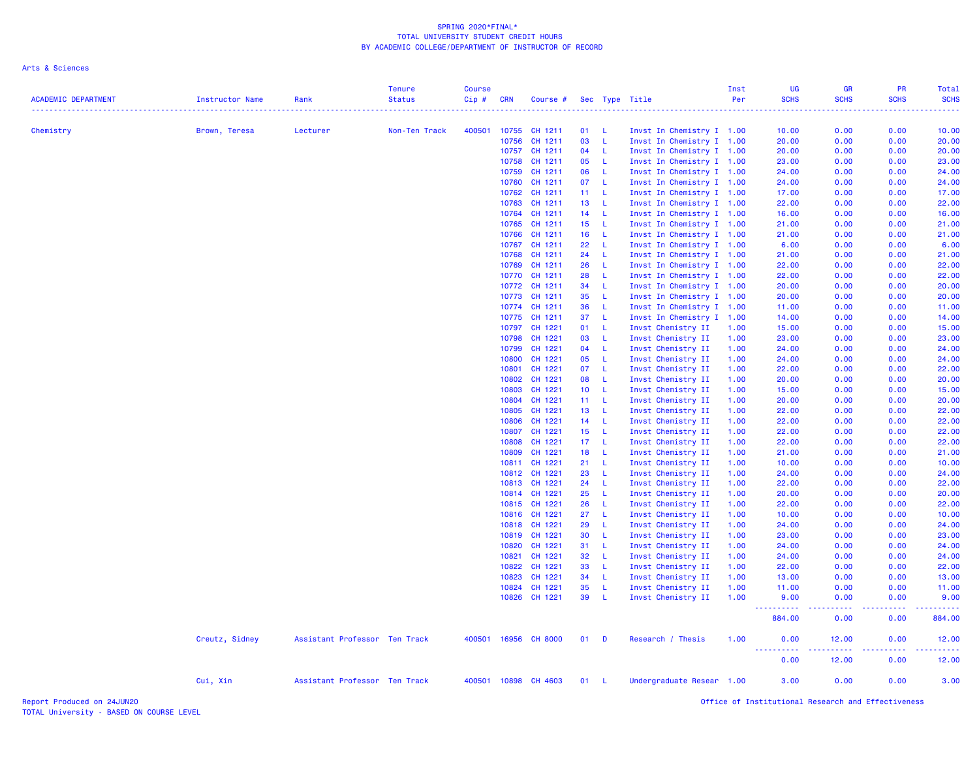Arts & Sciences

| <b>ACADEMIC DEPARTMENT</b> | <b>Instructor Name</b> | Rank                          | <b>Tenure</b><br><b>Status</b> | <b>Course</b><br>Cip# | <b>CRN</b> | Course #                 |                 |                     | Sec Type Title                                  | Inst<br>Per | <b>UG</b><br><b>SCHS</b> | <b>GR</b><br><b>SCHS</b><br>---- | PR<br><b>SCHS</b> | Total<br><b>SCHS</b><br>. |
|----------------------------|------------------------|-------------------------------|--------------------------------|-----------------------|------------|--------------------------|-----------------|---------------------|-------------------------------------------------|-------------|--------------------------|----------------------------------|-------------------|---------------------------|
| Chemistry                  | Brown, Teresa          | Lecturer                      | Non-Ten Track                  | 400501                | 10755      | CH 1211                  | 01              | L.                  | Invst In Chemistry I 1.00                       |             | 10.00                    | 0.00                             | 0.00              | 10.00                     |
|                            |                        |                               |                                |                       | 10756      | CH 1211                  | 03              | <b>L</b>            | Invst In Chemistry I 1.00                       |             | 20.00                    | 0.00                             | 0.00              | 20.00                     |
|                            |                        |                               |                                |                       | 10757      | CH 1211                  | 04              | L.                  | Invst In Chemistry I 1.00                       |             | 20.00                    | 0.00                             | 0.00              | 20.00                     |
|                            |                        |                               |                                |                       | 10758      | CH 1211                  | 05              | $\mathsf{L}$        | Invst In Chemistry I 1.00                       |             | 23.00                    | 0.00                             | 0.00              | 23.00                     |
|                            |                        |                               |                                |                       | 10759      | CH 1211                  | 06              | $\mathsf{L}$        | Invst In Chemistry I 1.00                       |             | 24,00                    | 0.00                             | 0.00              | 24.00                     |
|                            |                        |                               |                                |                       | 10760      | CH 1211                  | 07              | - L                 | Invst In Chemistry I 1.00                       |             | 24.00                    | 0.00                             | 0.00              | 24.00                     |
|                            |                        |                               |                                |                       | 10762      | CH 1211                  | 11              | $\mathsf{L}$        | Invst In Chemistry I 1.00                       |             | 17.00                    | 0.00                             | 0.00              | 17.00                     |
|                            |                        |                               |                                |                       | 10763      | CH 1211                  | 13              | L.                  | Invst In Chemistry I 1.00                       |             | 22.00                    | 0.00                             | 0.00              | 22.00                     |
|                            |                        |                               |                                |                       | 10764      | CH 1211                  | 14              | -L                  | Invst In Chemistry I 1.00                       |             | 16.00                    | 0.00                             | 0.00              | 16.00                     |
|                            |                        |                               |                                |                       | 10765      | CH 1211                  | 15 <sub>1</sub> | $\mathsf{L}$        | Invst In Chemistry I 1.00                       |             | 21.00                    | 0.00                             | 0.00              | 21.00                     |
|                            |                        |                               |                                |                       | 10766      | CH 1211                  | 16              | L.                  | Invst In Chemistry I 1.00                       |             | 21.00                    | 0.00                             | 0.00              | 21.00                     |
|                            |                        |                               |                                |                       | 10767      | CH 1211                  | 22              | L.                  | Invst In Chemistry I 1.00                       |             | 6.00                     | 0.00                             | 0.00              | 6.00                      |
|                            |                        |                               |                                |                       | 10768      | CH 1211                  | 24              | L.                  | Invst In Chemistry I 1.00                       |             | 21.00                    | 0.00                             | 0.00              | 21.00                     |
|                            |                        |                               |                                |                       | 10769      | CH 1211                  | 26              | L.                  | Invst In Chemistry I 1.00                       |             | 22.00                    | 0.00                             | 0.00              | 22.00                     |
|                            |                        |                               |                                |                       | 10770      | CH 1211                  | 28              | L.                  | Invst In Chemistry I 1.00                       |             | 22.00                    | 0.00                             | 0.00              | 22.00                     |
|                            |                        |                               |                                |                       |            | 10772 CH 1211            | 34              | L.                  | Invst In Chemistry I 1.00                       |             | 20.00                    | 0.00                             | 0.00              | 20.00                     |
|                            |                        |                               |                                |                       | 10773      | CH 1211                  | 35              | $\mathsf{L}$<br>-L. | Invst In Chemistry I 1.00                       |             | 20.00                    | 0.00                             | 0.00              | 20.00                     |
|                            |                        |                               |                                |                       | 10774      | CH 1211<br>10775 CH 1211 | 36<br>37        | -L.                 | Invst In Chemistry I 1.00                       |             | 11.00<br>14.00           | 0.00<br>0.00                     | 0.00<br>0.00      | 11.00<br>14.00            |
|                            |                        |                               |                                |                       | 10797      | CH 1221                  | 01              | -L.                 | Invst In Chemistry I 1.00<br>Invst Chemistry II | 1.00        | 15.00                    | 0.00                             | 0.00              | 15.00                     |
|                            |                        |                               |                                |                       | 10798      | CH 1221                  | 03              | -L.                 | Invst Chemistry II                              | 1.00        | 23.00                    | 0.00                             | 0.00              | 23.00                     |
|                            |                        |                               |                                |                       | 10799      | CH 1221                  | 04              | L.                  | Invst Chemistry II                              | 1.00        | 24.00                    | 0.00                             | 0.00              | 24.00                     |
|                            |                        |                               |                                |                       | 10800      | CH 1221                  | 05              | L.                  | Invst Chemistry II                              | 1.00        | 24.00                    | 0.00                             | 0.00              | 24.00                     |
|                            |                        |                               |                                |                       | 10801      | CH 1221                  | 07              | $\mathsf{L}$        | Invst Chemistry II                              | 1.00        | 22.00                    | 0.00                             | 0.00              | 22.00                     |
|                            |                        |                               |                                |                       | 10802      | CH 1221                  | 08              | -L                  | Invst Chemistry II                              | 1.00        | 20.00                    | 0.00                             | 0.00              | 20.00                     |
|                            |                        |                               |                                |                       | 10803      | CH 1221                  | 10 <sub>1</sub> | -L                  | Invst Chemistry II                              | 1.00        | 15.00                    | 0.00                             | 0.00              | 15.00                     |
|                            |                        |                               |                                |                       | 10804      | CH 1221                  | 11              | -L.                 | Invst Chemistry II                              | 1.00        | 20.00                    | 0.00                             | 0.00              | 20.00                     |
|                            |                        |                               |                                |                       | 10805      | CH 1221                  | 13              | -L                  | Invst Chemistry II                              | 1.00        | 22.00                    | 0.00                             | 0.00              | 22.00                     |
|                            |                        |                               |                                |                       | 10806      | CH 1221                  | 14              | - Li                | Invst Chemistry II                              | 1.00        | 22.00                    | 0.00                             | 0.00              | 22.00                     |
|                            |                        |                               |                                |                       | 10807      | CH 1221                  | 15 <sub>1</sub> | -L.                 | Invst Chemistry II                              | 1.00        | 22.00                    | 0.00                             | 0.00              | 22.00                     |
|                            |                        |                               |                                |                       | 10808      | CH 1221                  | 17 <sub>1</sub> | - L                 | Invst Chemistry II                              | 1.00        | 22.00                    | 0.00                             | 0.00              | 22.00                     |
|                            |                        |                               |                                |                       | 10809      | CH 1221                  | 18              | - L                 | Invst Chemistry II                              | 1.00        | 21.00                    | 0.00                             | 0.00              | 21.00                     |
|                            |                        |                               |                                |                       | 10811      | CH 1221                  | 21              | -L                  | Invst Chemistry II                              | 1.00        | 10.00                    | 0.00                             | 0.00              | 10.00                     |
|                            |                        |                               |                                |                       |            | 10812 CH 1221            | 23              | $\mathsf{L}$        | Invst Chemistry II                              | 1.00        | 24.00                    | 0.00                             | 0.00              | 24.00                     |
|                            |                        |                               |                                |                       | 10813      | CH 1221                  | 24              | $\mathsf{L}$        | Invst Chemistry II                              | 1.00        | 22.00                    | 0.00                             | 0.00              | 22.00                     |
|                            |                        |                               |                                |                       |            | 10814 CH 1221            | 25              | - L                 | Invst Chemistry II                              | 1.00        | 20.00                    | 0.00                             | 0.00              | 20.00                     |
|                            |                        |                               |                                |                       | 10815      | CH 1221                  | 26              | L.                  | Invst Chemistry II                              | 1.00        | 22.00                    | 0.00                             | 0.00              | 22.00                     |
|                            |                        |                               |                                |                       | 10816      | CH 1221                  | 27              | L.                  | Invst Chemistry II                              | 1.00        | 10.00                    | 0.00                             | 0.00              | 10.00                     |
|                            |                        |                               |                                |                       | 10818      | CH 1221                  | 29              | $\mathsf L$         | Invst Chemistry II                              | 1.00        | 24.00                    | 0.00                             | 0.00              | 24.00                     |
|                            |                        |                               |                                |                       | 10819      | CH 1221                  | 30              | -L                  | Invst Chemistry II                              | 1.00        | 23.00                    | 0.00                             | 0.00              | 23.00                     |
|                            |                        |                               |                                |                       | 10820      | CH 1221                  | 31              | -L                  | Invst Chemistry II                              | 1.00        | 24.00                    | 0.00                             | 0.00              | 24.00                     |
|                            |                        |                               |                                |                       | 10821      | CH 1221                  | 32              | - Li                | Invst Chemistry II                              | 1.00        | 24.00                    | 0.00                             | 0.00              | 24.00                     |
|                            |                        |                               |                                |                       | 10822      | CH 1221                  | 33              | -L.                 | Invst Chemistry II                              | 1.00        | 22.00                    | 0.00                             | 0.00              | 22.00                     |
|                            |                        |                               |                                |                       | 10823      | CH 1221                  | 34              | L.                  | Invst Chemistry II                              | 1.00        | 13.00                    | 0.00                             | 0.00              | 13.00                     |
|                            |                        |                               |                                |                       | 10824      | CH 1221                  | 35<br>39        | -L<br>-L            | Invst Chemistry II                              | 1.00        | 11.00                    | 0.00<br>0.00                     | 0.00              | 11.00                     |
|                            |                        |                               |                                |                       |            | 10826 CH 1221            |                 |                     | Invst Chemistry II                              | 1.00        | 9.00<br><u>.</u>         | .                                | 0.00<br>.         | 9.00<br><u>.</u>          |
|                            |                        |                               |                                |                       |            |                          |                 |                     |                                                 |             | 884.00                   | 0.00                             | 0.00              | 884.00                    |
|                            | Creutz, Sidney         | Assistant Professor Ten Track |                                |                       |            | 400501 16956 CH 8000     | $01$ D          |                     | Research / Thesis                               | 1.00        | 0.00<br>.                | 12.00                            | 0.00              | 12.00                     |
|                            |                        |                               |                                |                       |            |                          |                 |                     |                                                 |             | 0.00                     | 12.00                            | 0.00              | 12.00                     |
|                            | Cui, Xin               | Assistant Professor Ten Track |                                |                       |            | 400501 10898 CH 4603     | 01 L            |                     | Undergraduate Resear 1.00                       |             | 3.00                     | 0.00                             | 0.00              | 3.00                      |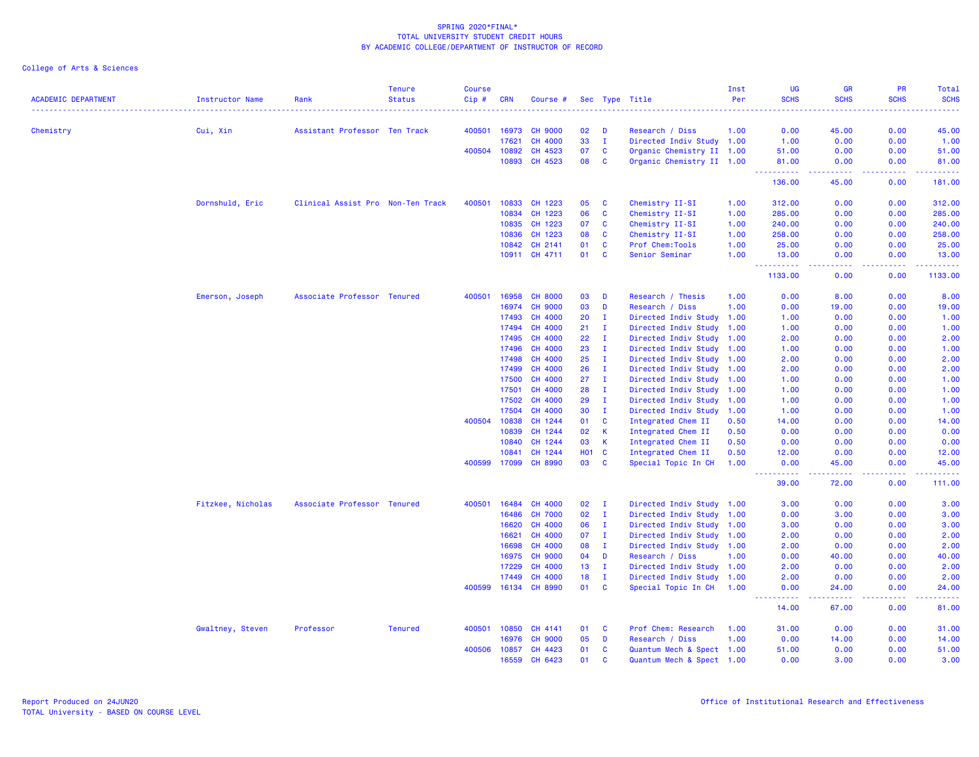|                            |                        |                                   | <b>Tenure</b>  | <b>Course</b> |                |                           |                  |                              |                                           | Inst         | UG                                                                                                                                                                   | <b>GR</b>                                                                                                                                                     | PR                                    | <b>Total</b>      |
|----------------------------|------------------------|-----------------------------------|----------------|---------------|----------------|---------------------------|------------------|------------------------------|-------------------------------------------|--------------|----------------------------------------------------------------------------------------------------------------------------------------------------------------------|---------------------------------------------------------------------------------------------------------------------------------------------------------------|---------------------------------------|-------------------|
| <b>ACADEMIC DEPARTMENT</b> | <b>Instructor Name</b> | Rank                              | <b>Status</b>  | Cip#          | CRN            | Course #                  |                  |                              | Sec Type Title                            | Per          | <b>SCHS</b>                                                                                                                                                          | <b>SCHS</b>                                                                                                                                                   | <b>SCHS</b>                           | <b>SCHS</b><br>.  |
| Chemistry                  | Cui, Xin               | Assistant Professor Ten Track     |                | 400501        | 16973          | <b>CH 9000</b>            | 02               | D                            | Research / Diss                           | 1.00         | 0.00                                                                                                                                                                 | 45.00                                                                                                                                                         | 0.00                                  | 45.00             |
|                            |                        |                                   |                |               | 17621          | CH 4000                   | 33               | $\mathbf{I}$                 | Directed Indiv Study 1.00                 |              | 1.00                                                                                                                                                                 | 0.00                                                                                                                                                          | 0.00                                  | 1.00              |
|                            |                        |                                   |                | 400504        | 10892          | CH 4523                   | 07               | <b>C</b>                     | Organic Chemistry II 1.00                 |              | 51.00                                                                                                                                                                | 0.00                                                                                                                                                          | 0.00                                  | 51.00             |
|                            |                        |                                   |                |               | 10893          | CH 4523                   | 08               | $\mathbf{C}$                 | Organic Chemistry II 1.00                 |              | 81.00                                                                                                                                                                | 0.00                                                                                                                                                          | 0.00                                  | 81.00             |
|                            |                        |                                   |                |               |                |                           |                  |                              |                                           |              | .<br>136.00                                                                                                                                                          | 22222<br>45.00                                                                                                                                                | 0.00                                  | .<br>181.00       |
|                            | Dornshuld, Eric        | Clinical Assist Pro Non-Ten Track |                | 400501        | 10833          | CH 1223                   | 05               | <b>C</b>                     | Chemistry II-SI                           | 1.00         | 312.00                                                                                                                                                               | 0.00                                                                                                                                                          | 0.00                                  | 312.00            |
|                            |                        |                                   |                |               | 10834          | CH 1223                   | 06               | <b>C</b>                     | Chemistry II-SI                           | 1.00         | 285.00                                                                                                                                                               | 0.00                                                                                                                                                          | 0.00                                  | 285.00            |
|                            |                        |                                   |                |               | 10835          | CH 1223                   | 07               | $\mathbf{C}$                 | Chemistry II-SI                           | 1.00         | 240.00                                                                                                                                                               | 0.00                                                                                                                                                          | 0.00                                  | 240.00            |
|                            |                        |                                   |                |               | 10836          | CH 1223                   | 08               | C                            | Chemistry II-SI                           | 1.00         | 258.00                                                                                                                                                               | 0.00                                                                                                                                                          | 0.00                                  | 258.00            |
|                            |                        |                                   |                |               | 10842          | CH 2141                   | 01               | $\mathbf{C}$                 | Prof Chem: Tools                          | 1.00         | 25.00                                                                                                                                                                | 0.00                                                                                                                                                          | 0.00                                  | 25.00             |
|                            |                        |                                   |                |               |                | 10911 CH 4711             | 01               | $\mathbf{C}$                 | Senior Seminar                            | 1.00         | 13.00                                                                                                                                                                | 0.00                                                                                                                                                          | 0.00                                  | 13.00             |
|                            |                        |                                   |                |               |                |                           |                  |                              |                                           |              | .<br>$\frac{1}{2} \left( \frac{1}{2} \right) \left( \frac{1}{2} \right) \left( \frac{1}{2} \right) \left( \frac{1}{2} \right) \left( \frac{1}{2} \right)$<br>1133.00 | وبالأباد<br>0.00                                                                                                                                              | 0.00                                  | .<br>1133.00      |
|                            |                        |                                   |                |               |                |                           |                  |                              |                                           |              |                                                                                                                                                                      |                                                                                                                                                               |                                       |                   |
|                            | Emerson, Joseph        | Associate Professor Tenured       |                | 400501        | 16958          | <b>CH 8000</b>            | 03<br>03         | D<br>D                       | Research / Thesis                         | 1.00         | 0.00                                                                                                                                                                 | 8.00                                                                                                                                                          | 0.00                                  | 8.00              |
|                            |                        |                                   |                |               | 16974          | <b>CH 9000</b>            |                  |                              | Research / Diss                           | 1.00         | 0.00                                                                                                                                                                 | 19.00                                                                                                                                                         | 0.00                                  | 19.00             |
|                            |                        |                                   |                |               | 17493          | CH 4000                   | 20               | Ι.                           | Directed Indiv Study 1.00                 |              | 1.00                                                                                                                                                                 | 0.00                                                                                                                                                          | 0.00                                  | 1.00              |
|                            |                        |                                   |                |               | 17494          | CH 4000                   | 21               | I.                           | Directed Indiv Study 1.00                 |              | 1.00                                                                                                                                                                 | 0.00                                                                                                                                                          | 0.00                                  | 1.00              |
|                            |                        |                                   |                |               | 17495          | CH 4000                   | 22               | Ι.                           | Directed Indiv Study                      | 1.00         | 2.00                                                                                                                                                                 | 0.00                                                                                                                                                          | 0.00                                  | 2.00              |
|                            |                        |                                   |                |               | 17496          | CH 4000                   | 23               | Ι.                           | Directed Indiv Study 1.00                 |              | 1.00                                                                                                                                                                 | 0.00                                                                                                                                                          | 0.00                                  | 1.00              |
|                            |                        |                                   |                |               | 17498          | CH 4000                   | 25               | $\mathbf{I}$                 | Directed Indiv Study 1.00                 |              | 2.00                                                                                                                                                                 | 0.00                                                                                                                                                          | 0.00                                  | 2.00              |
|                            |                        |                                   |                |               | 17499          | <b>CH 4000</b>            | 26               | $\mathbf{I}$                 | Directed Indiv Study 1.00                 |              | 2.00                                                                                                                                                                 | 0.00                                                                                                                                                          | 0.00                                  | 2.00              |
|                            |                        |                                   |                |               | 17500          | <b>CH 4000</b>            | 27               | $\mathbf{I}$                 | Directed Indiv Study 1.00                 |              | 1.00                                                                                                                                                                 | 0.00                                                                                                                                                          | 0.00                                  | 1.00              |
|                            |                        |                                   |                |               | 17501          | <b>CH 4000</b>            | 28               | $\mathbf{I}$                 | Directed Indiv Study 1.00                 |              | 1.00                                                                                                                                                                 | 0.00                                                                                                                                                          | 0.00                                  | 1.00              |
|                            |                        |                                   |                |               | 17502          | <b>CH 4000</b>            | 29               | Ι.                           | Directed Indiv Study 1.00                 |              | 1.00                                                                                                                                                                 | 0.00                                                                                                                                                          | 0.00                                  | 1.00              |
|                            |                        |                                   |                |               | 17504          | <b>CH 4000</b>            | 30               | $\mathbf{I}$                 | Directed Indiv Study                      | 1.00         | 1.00                                                                                                                                                                 | 0.00                                                                                                                                                          | 0.00                                  | 1.00              |
|                            |                        |                                   |                | 400504        | 10838          | CH 1244                   | 01               | $\mathbf{C}$                 | Integrated Chem II                        | 0.50         | 14.00                                                                                                                                                                | 0.00                                                                                                                                                          | 0.00                                  | 14.00             |
|                            |                        |                                   |                |               | 10839          | CH 1244                   | 02               | $\mathsf{K}$                 | Integrated Chem II                        | 0.50         | 0.00                                                                                                                                                                 | 0.00                                                                                                                                                          | 0.00                                  | 0.00              |
|                            |                        |                                   |                |               | 10840          | CH 1244                   | 03               | <b>K</b>                     | Integrated Chem II                        | 0.50         | 0.00                                                                                                                                                                 | 0.00                                                                                                                                                          | 0.00                                  | 0.00              |
|                            |                        |                                   |                | 400599        | 10841<br>17099 | CH 1244<br><b>CH 8990</b> | <b>HO1</b><br>03 | $\mathbf{C}$<br>$\mathbf{C}$ | Integrated Chem II<br>Special Topic In CH | 0.50<br>1.00 | 12.00<br>0.00                                                                                                                                                        | 0.00<br>45.00                                                                                                                                                 | 0.00<br>0.00                          | 12.00<br>45.00    |
|                            |                        |                                   |                |               |                |                           |                  |                              |                                           |              | $\frac{1}{2} \left( \frac{1}{2} \right) \left( \frac{1}{2} \right) \left( \frac{1}{2} \right) \left( \frac{1}{2} \right) \left( \frac{1}{2} \right)$                 | 22222                                                                                                                                                         | 22222                                 | والمناسبات        |
|                            |                        |                                   |                |               |                |                           |                  |                              |                                           |              | 39.00                                                                                                                                                                | 72.00                                                                                                                                                         | 0.00                                  | 111.00            |
|                            | Fitzkee, Nicholas      | Associate Professor Tenured       |                | 400501        | 16484          | CH 4000                   | 02               | $\mathbf I$                  | Directed Indiv Study 1.00                 |              | 3.00                                                                                                                                                                 | 0.00                                                                                                                                                          | 0.00                                  | 3.00              |
|                            |                        |                                   |                |               | 16486          | <b>CH 7000</b>            | 02               | $\mathbf{I}$                 | Directed Indiv Study 1.00                 |              | 0.00                                                                                                                                                                 | 3.00                                                                                                                                                          | 0.00                                  | 3.00              |
|                            |                        |                                   |                |               | 16620          | <b>CH 4000</b>            | 06               | Ι.                           | Directed Indiv Study 1.00                 |              | 3.00                                                                                                                                                                 | 0.00                                                                                                                                                          | 0.00                                  | 3.00              |
|                            |                        |                                   |                |               | 16621          | CH 4000                   | 07               | $\mathbf{I}$                 | Directed Indiv Study                      | 1.00         | 2.00                                                                                                                                                                 | 0.00                                                                                                                                                          | 0.00                                  | 2.00              |
|                            |                        |                                   |                |               | 16698          | CH 4000                   | 08               | $\mathbf{I}$                 | Directed Indiv Study 1.00                 |              | 2.00                                                                                                                                                                 | 0.00                                                                                                                                                          | 0.00                                  | 2.00              |
|                            |                        |                                   |                |               | 16975          | <b>CH 9000</b>            | 04               | D                            | Research / Diss                           | 1.00         | 0.00                                                                                                                                                                 | 40.00                                                                                                                                                         | 0.00                                  | 40.00             |
|                            |                        |                                   |                |               | 17229          | CH 4000                   | 13               | $\mathbf{I}$                 | Directed Indiv Study 1.00                 |              | 2.00                                                                                                                                                                 | 0.00                                                                                                                                                          | 0.00                                  | 2.00              |
|                            |                        |                                   |                |               | 17449          | <b>CH 4000</b>            | 18               | $\mathbf{I}$                 | Directed Indiv Study 1.00                 |              | 2.00                                                                                                                                                                 | 0.00                                                                                                                                                          | 0.00                                  | 2.00              |
|                            |                        |                                   |                | 400599        |                | 16134 CH 8990             | 01               | $\mathbf{C}$                 | Special Topic In CH 1.00                  |              | 0.00                                                                                                                                                                 | 24.00                                                                                                                                                         | 0.00<br><b><i><u><u>.</u></u></i></b> | 24.00<br><u>.</u> |
|                            |                        |                                   |                |               |                |                           |                  |                              |                                           |              | $\frac{1}{2} \left( \frac{1}{2} \right) \left( \frac{1}{2} \right) \left( \frac{1}{2} \right) \left( \frac{1}{2} \right) \left( \frac{1}{2} \right)$<br>14.00        | $\frac{1}{2} \left( \frac{1}{2} \right) \left( \frac{1}{2} \right) \left( \frac{1}{2} \right) \left( \frac{1}{2} \right) \left( \frac{1}{2} \right)$<br>67.00 | 0.00                                  | 81.00             |
|                            | Gwaltney, Steven       | Professor                         | <b>Tenured</b> | 400501        | 10850          | CH 4141                   | 01               | <b>C</b>                     | Prof Chem: Research                       | 1.00         | 31.00                                                                                                                                                                | 0.00                                                                                                                                                          | 0.00                                  | 31.00             |
|                            |                        |                                   |                |               | 16976          | <b>CH 9000</b>            | 05               | D                            | Research / Diss                           | 1.00         | 0.00                                                                                                                                                                 | 14.00                                                                                                                                                         | 0.00                                  | 14.00             |
|                            |                        |                                   |                | 400506        | 10857          | CH 4423                   | 01               | C                            | Quantum Mech & Spect 1.00                 |              | 51.00                                                                                                                                                                | 0.00                                                                                                                                                          | 0.00                                  | 51.00             |
|                            |                        |                                   |                |               | 16559          | CH 6423                   | 01               | $\mathbf{C}$                 | Quantum Mech & Spect 1.00                 |              | 0.00                                                                                                                                                                 | 3.00                                                                                                                                                          | 0.00                                  | 3.00              |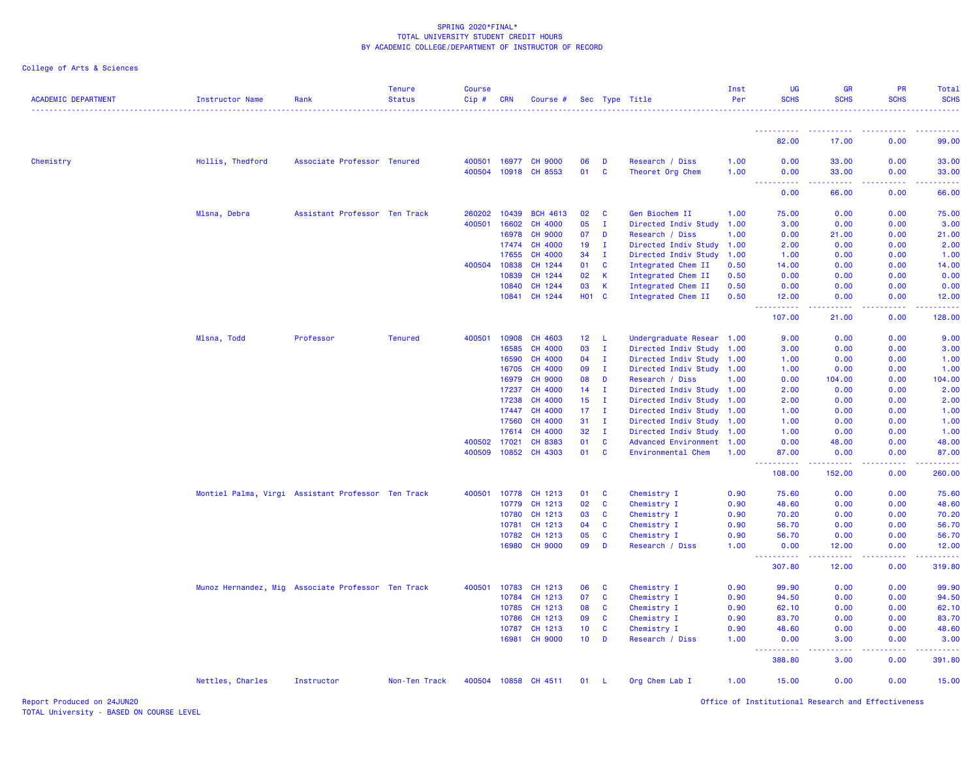College of Arts & Sciences

| <b>ACADEMIC DEPARTMENT</b> | <b>Instructor Name</b>                             | Rank                          | <b>Tenure</b><br><b>Status</b> | <b>Course</b><br>Cip# | <b>CRN</b> | Course #        |                 |              | Sec Type Title            | Inst<br>Per | <b>UG</b><br><b>SCHS</b>            | <b>GR</b><br><b>SCHS</b>                                                                                                                                      | PR<br><b>SCHS</b> | Total<br><b>SCHS</b>                                                                                                           |
|----------------------------|----------------------------------------------------|-------------------------------|--------------------------------|-----------------------|------------|-----------------|-----------------|--------------|---------------------------|-------------|-------------------------------------|---------------------------------------------------------------------------------------------------------------------------------------------------------------|-------------------|--------------------------------------------------------------------------------------------------------------------------------|
|                            |                                                    |                               |                                |                       |            |                 |                 |              |                           |             |                                     |                                                                                                                                                               |                   |                                                                                                                                |
|                            |                                                    |                               |                                |                       |            |                 |                 |              |                           |             | 82.00                               | 17.00                                                                                                                                                         | 0.00              | 99.00                                                                                                                          |
| Chemistry                  | Hollis, Thedford                                   | Associate Professor Tenured   |                                | 400501                |            | 16977 CH 9000   | 06              | D            | Research / Diss           | 1.00        | 0.00                                | 33.00                                                                                                                                                         | 0.00              | 33.00                                                                                                                          |
|                            |                                                    |                               |                                | 400504                |            | 10918 CH 8553   | 01              | $\mathbf{C}$ | Theoret Org Chem          | 1.00        | 0.00<br>$- - - - -$<br>----         | 33.00<br>.                                                                                                                                                    | 0.00<br>2.2.2.2.2 | 33.00<br>.                                                                                                                     |
|                            |                                                    |                               |                                |                       |            |                 |                 |              |                           |             | 0.00                                | 66.00                                                                                                                                                         | 0.00              | 66.00                                                                                                                          |
|                            | Mlsna, Debra                                       | Assistant Professor Ten Track |                                | 260202                | 10439      | <b>BCH 4613</b> | 02              | C            | Gen Biochem II            | 1.00        | 75.00                               | 0.00                                                                                                                                                          | 0.00              | 75.00                                                                                                                          |
|                            |                                                    |                               |                                | 400501                | 16602      | CH 4000         | 05              | - I          | Directed Indiv Study      | 1.00        | 3.00                                | 0.00                                                                                                                                                          | 0.00              | 3.00                                                                                                                           |
|                            |                                                    |                               |                                |                       | 16978      | <b>CH 9000</b>  | 07              | D            | Research / Diss           | 1.00        | 0.00                                | 21.00                                                                                                                                                         | 0.00              | 21.00                                                                                                                          |
|                            |                                                    |                               |                                |                       | 17474      | CH 4000         | 19              | $\mathbf I$  | Directed Indiv Study      | 1.00        | 2.00                                | 0.00                                                                                                                                                          | 0.00              | 2.00                                                                                                                           |
|                            |                                                    |                               |                                |                       | 17655      | CH 4000         | 34              | $\mathbf{I}$ | Directed Indiv Study      | 1.00        | 1.00                                | 0.00                                                                                                                                                          | 0.00              | 1.00                                                                                                                           |
|                            |                                                    |                               |                                | 400504                | 10838      | CH 1244         | 01              | $\mathbf{C}$ | Integrated Chem II        | 0.50        | 14.00                               | 0.00                                                                                                                                                          | 0.00              | 14.00                                                                                                                          |
|                            |                                                    |                               |                                |                       | 10839      | CH 1244         | 02              | $\mathsf{K}$ | Integrated Chem II        | 0.50        | 0.00                                | 0.00                                                                                                                                                          | 0.00              | 0.00                                                                                                                           |
|                            |                                                    |                               |                                |                       | 10840      | CH 1244         | 03              | <b>K</b>     | Integrated Chem II        | 0.50        | 0.00                                | 0.00                                                                                                                                                          | 0.00              | 0.00                                                                                                                           |
|                            |                                                    |                               |                                |                       | 10841      | CH 1244         | <b>HO1 C</b>    |              | Integrated Chem II        | 0.50        | 12.00<br>.                          | 0.00<br>22222                                                                                                                                                 | 0.00<br>22222     | 12.00<br><u>.</u>                                                                                                              |
|                            |                                                    |                               |                                |                       |            |                 |                 |              |                           |             | 107.00                              | 21.00                                                                                                                                                         | 0.00              | 128.00                                                                                                                         |
|                            | Mlsna, Todd                                        | Professor                     | <b>Tenured</b>                 | 400501                | 10908      | CH 4603         | 12 L            |              | Undergraduate Resear 1.00 |             | 9.00                                | 0.00                                                                                                                                                          | 0.00              | 9.00                                                                                                                           |
|                            |                                                    |                               |                                |                       | 16585      | CH 4000         | 03              | $\mathbf I$  | Directed Indiv Study      | 1.00        | 3.00                                | 0.00                                                                                                                                                          | 0.00              | 3.00                                                                                                                           |
|                            |                                                    |                               |                                |                       | 16590      | CH 4000         | 04              | $\mathbf I$  | Directed Indiv Study 1.00 |             | 1.00                                | 0.00                                                                                                                                                          | 0.00              | 1.00                                                                                                                           |
|                            |                                                    |                               |                                |                       | 16705      | CH 4000         | 09              | $\mathbf I$  | Directed Indiv Study 1.00 |             | 1.00                                | 0.00                                                                                                                                                          | 0.00              | 1.00                                                                                                                           |
|                            |                                                    |                               |                                |                       | 16979      | <b>CH 9000</b>  | 08              | D            | Research / Diss           | 1.00        | 0.00                                | 104.00                                                                                                                                                        | 0.00              | 104.00                                                                                                                         |
|                            |                                                    |                               |                                |                       | 17237      | CH 4000         | 14              | I.           | Directed Indiv Study      | 1.00        | 2.00                                | 0.00                                                                                                                                                          | 0.00              | 2.00                                                                                                                           |
|                            |                                                    |                               |                                |                       | 17238      | CH 4000         | 15              | $\mathbf I$  | Directed Indiv Study      | 1.00        | 2.00                                | 0.00                                                                                                                                                          | 0.00              | 2.00                                                                                                                           |
|                            |                                                    |                               |                                |                       | 17447      | CH 4000         | 17              | $\mathbf I$  | Directed Indiv Study      | 1.00        | 1.00                                | 0.00                                                                                                                                                          | 0.00              | 1.00                                                                                                                           |
|                            |                                                    |                               |                                |                       | 17560      | CH 4000         | 31              | $\mathbf{I}$ | Directed Indiv Study      | 1.00        | 1.00                                | 0.00                                                                                                                                                          | 0.00              | 1.00                                                                                                                           |
|                            |                                                    |                               |                                |                       | 17614      | CH 4000         | 32              | $\mathbf{I}$ | Directed Indiv Study      | 1.00        | 1.00                                | 0.00                                                                                                                                                          | 0.00              | 1.00                                                                                                                           |
|                            |                                                    |                               |                                | 400502                | 17021      | CH 8383         | 01              | C            | Advanced Environment 1.00 |             | 0.00                                | 48.00                                                                                                                                                         | 0.00              | 48.00                                                                                                                          |
|                            |                                                    |                               |                                | 400509                | 10852      | CH 4303         | 01              | $\mathbf{C}$ | Environmental Chem        | 1.00        | 87.00<br>------                     | 0.00<br>$\frac{1}{2} \left( \frac{1}{2} \right) \left( \frac{1}{2} \right) \left( \frac{1}{2} \right) \left( \frac{1}{2} \right) \left( \frac{1}{2} \right)$  | 0.00<br>بالأباب   | 87.00<br>$\begin{array}{cccccccccc} \bullet & \bullet & \bullet & \bullet & \bullet & \bullet & \bullet & \bullet \end{array}$ |
|                            |                                                    |                               |                                |                       |            |                 |                 |              |                           |             | 108.00                              | 152.00                                                                                                                                                        | 0.00              | 260.00                                                                                                                         |
|                            | Montiel Palma, Virgi Assistant Professor Ten Track |                               |                                | 400501                | 10778      | CH 1213         | 01              | $\mathbf{C}$ | Chemistry I               | 0.90        | 75.60                               | 0.00                                                                                                                                                          | 0.00              | 75.60                                                                                                                          |
|                            |                                                    |                               |                                |                       | 10779      | CH 1213         | 02              | <b>C</b>     | Chemistry I               | 0.90        | 48.60                               | 0.00                                                                                                                                                          | 0.00              | 48.60                                                                                                                          |
|                            |                                                    |                               |                                |                       | 10780      | CH 1213         | 03              | C            | Chemistry I               | 0.90        | 70.20                               | 0.00                                                                                                                                                          | 0.00              | 70.20                                                                                                                          |
|                            |                                                    |                               |                                |                       | 10781      | CH 1213         | 04              | $\mathbf{C}$ | Chemistry I               | 0.90        | 56.70                               | 0.00                                                                                                                                                          | 0.00              | 56.70                                                                                                                          |
|                            |                                                    |                               |                                |                       | 10782      | CH 1213         | 05              | $\mathbf{C}$ | Chemistry I               | 0.90        | 56.70                               | 0.00                                                                                                                                                          | 0.00              | 56.70                                                                                                                          |
|                            |                                                    |                               |                                |                       | 16980      | <b>CH 9000</b>  | 09              | D            | Research / Diss           | 1.00        | 0.00<br>.                           | 12.00<br>$\frac{1}{2} \left( \frac{1}{2} \right) \left( \frac{1}{2} \right) \left( \frac{1}{2} \right) \left( \frac{1}{2} \right) \left( \frac{1}{2} \right)$ | 0.00<br>المستمد   | 12.00<br>.                                                                                                                     |
|                            |                                                    |                               |                                |                       |            |                 |                 |              |                           |             | 307.80                              | 12.00                                                                                                                                                         | 0.00              | 319.80                                                                                                                         |
|                            | Munoz Hernandez, Mig Associate Professor Ten Track |                               |                                | 400501                | 10783      | CH 1213         | 06              | C            | Chemistry I               | 0.90        | 99.90                               | 0.00                                                                                                                                                          | 0.00              | 99.90                                                                                                                          |
|                            |                                                    |                               |                                |                       | 10784      | CH 1213         | 07              | C            | Chemistry I               | 0.90        | 94.50                               | 0.00                                                                                                                                                          | 0.00              | 94.50                                                                                                                          |
|                            |                                                    |                               |                                |                       | 10785      | CH 1213         | 08              | $\mathbf{C}$ | Chemistry I               | 0.90        | 62.10                               | 0.00                                                                                                                                                          | 0.00              | 62.10                                                                                                                          |
|                            |                                                    |                               |                                |                       | 10786      | CH 1213         | 09              | $\mathbf{C}$ | Chemistry I               | 0.90        | 83.70                               | 0.00                                                                                                                                                          | 0.00              | 83.70                                                                                                                          |
|                            |                                                    |                               |                                |                       | 10787      | CH 1213         | 10 <sub>1</sub> | C            | Chemistry I               | 0.90        | 48.60                               | 0.00                                                                                                                                                          | 0.00              | 48.60                                                                                                                          |
|                            |                                                    |                               |                                |                       | 16981      | <b>CH 9000</b>  | 10 <sub>1</sub> | D            | Research / Diss           | 1.00        | 0.00<br><u> - - - - - - - - - -</u> | 3.00<br>. <b>.</b>                                                                                                                                            | 0.00<br><u>.</u>  | 3.00                                                                                                                           |
|                            |                                                    |                               |                                |                       |            |                 |                 |              |                           |             | 388.80                              | 3.00                                                                                                                                                          | 0.00              | 391.80                                                                                                                         |
|                            | Nettles, Charles                                   | Instructor                    | Non-Ten Track                  | 400504                |            | 10858 CH 4511   | 01              | - L          | Org Chem Lab I            | 1.00        | 15.00                               | 0.00                                                                                                                                                          | 0.00              | 15.00                                                                                                                          |

Report Produced on 24JUN20 Office of Institutional Research and Effectiveness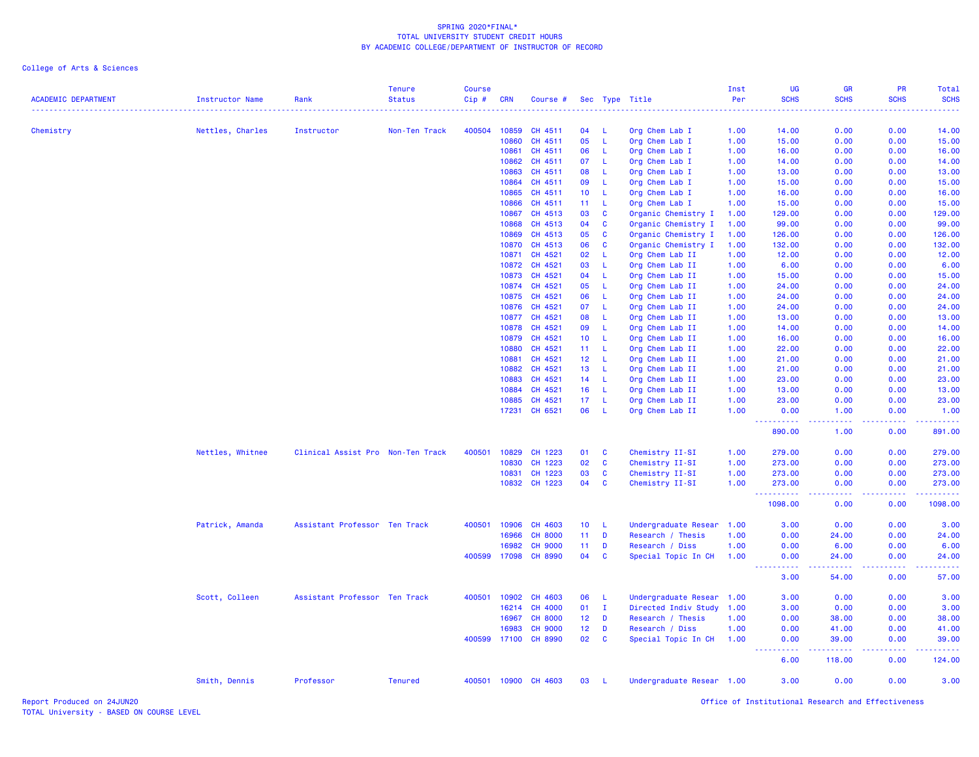| <b>ACADEMIC DEPARTMENT</b> | <b>Instructor Name</b> | Rank                              | <b>Tenure</b><br><b>Status</b> | <b>Course</b><br>Cip# | <b>CRN</b>     | Course #             |                 |                | Sec Type Title                   | Inst<br>Per  | <b>UG</b><br><b>SCHS</b>              | GR<br><b>SCHS</b> | <b>PR</b><br><b>SCHS</b> | Total<br><b>SCHS</b>                                                                                                      |
|----------------------------|------------------------|-----------------------------------|--------------------------------|-----------------------|----------------|----------------------|-----------------|----------------|----------------------------------|--------------|---------------------------------------|-------------------|--------------------------|---------------------------------------------------------------------------------------------------------------------------|
|                            |                        |                                   | .                              |                       |                |                      |                 |                | .                                | .            |                                       | ----              |                          | $\frac{1}{2} \left( \frac{1}{2} \right) \left( \frac{1}{2} \right) \left( \frac{1}{2} \right) \left( \frac{1}{2} \right)$ |
| Chemistry                  | Nettles, Charles       | Instructor                        | Non-Ten Track                  | 400504                | 10859          | CH 4511              | 04              | -L             | Org Chem Lab I                   | 1.00         | 14.00                                 | 0.00              | 0.00                     | 14.00                                                                                                                     |
|                            |                        |                                   |                                |                       | 10860          | CH 4511              | 05              | L              | Org Chem Lab I                   | 1.00         | 15.00                                 | 0.00              | 0.00                     | 15.00                                                                                                                     |
|                            |                        |                                   |                                |                       | 10861          | CH 4511              | 06              | L              | Org Chem Lab I                   | 1.00         | 16.00                                 | 0.00              | 0.00                     | 16.00                                                                                                                     |
|                            |                        |                                   |                                |                       | 10862<br>10863 | CH 4511<br>CH 4511   | 07<br>08        | L.<br>L        | Org Chem Lab I                   | 1.00<br>1.00 | 14.00<br>13.00                        | 0.00<br>0.00      | 0.00<br>0.00             | 14.00<br>13.00                                                                                                            |
|                            |                        |                                   |                                |                       | 10864          | CH 4511              | 09              | L.             | Org Chem Lab I                   | 1.00         | 15.00                                 | 0.00              | 0.00                     | 15.00                                                                                                                     |
|                            |                        |                                   |                                |                       | 10865          | CH 4511              | 10 <sup>°</sup> | -L.            | Org Chem Lab I<br>Org Chem Lab I | 1.00         | 16.00                                 | 0.00              | 0.00                     | 16.00                                                                                                                     |
|                            |                        |                                   |                                |                       | 10866          | CH 4511              | 11              | -L.            | Org Chem Lab I                   | 1.00         | 15.00                                 | 0.00              | 0.00                     | 15.00                                                                                                                     |
|                            |                        |                                   |                                |                       | 10867          | CH 4513              | 03              | <b>C</b>       | Organic Chemistry I              | 1.00         | 129.00                                | 0.00              | 0.00                     | 129.00                                                                                                                    |
|                            |                        |                                   |                                |                       | 10868          | CH 4513              | 04              | $\mathbf{C}$   | Organic Chemistry I              | 1.00         | 99.00                                 | 0.00              | 0.00                     | 99.00                                                                                                                     |
|                            |                        |                                   |                                |                       | 10869          | CH 4513              | 05              | C              | Organic Chemistry I              | 1.00         | 126.00                                | 0.00              | 0.00                     | 126.00                                                                                                                    |
|                            |                        |                                   |                                |                       | 10870          | CH 4513              | 06              | $\mathbf{C}$   |                                  |              | 132.00                                | 0.00              | 0.00                     | 132.00                                                                                                                    |
|                            |                        |                                   |                                |                       | 10871          | CH 4521              |                 | L.             | Organic Chemistry I              | 1.00         |                                       | 0.00              | 0.00                     | 12.00                                                                                                                     |
|                            |                        |                                   |                                |                       |                |                      | 02              |                | Org Chem Lab II                  | 1.00         | 12.00                                 |                   |                          |                                                                                                                           |
|                            |                        |                                   |                                |                       | 10872          | CH 4521              | 03              | L.             | Org Chem Lab II                  | 1.00         | 6.00                                  | 0.00              | 0.00                     | 6.00                                                                                                                      |
|                            |                        |                                   |                                |                       | 10873          | CH 4521              | 04              | L.<br><b>L</b> | Org Chem Lab II                  | 1.00         | 15.00                                 | 0.00              | 0.00                     | 15.00                                                                                                                     |
|                            |                        |                                   |                                |                       | 10874          | CH 4521              | 05              |                | Org Chem Lab II                  | 1.00         | 24.00                                 | 0.00              | 0.00                     | 24.00                                                                                                                     |
|                            |                        |                                   |                                |                       | 10875          | CH 4521              | 06              | L              | Org Chem Lab II                  | 1.00         | 24.00                                 | 0.00              | 0.00                     | 24.00                                                                                                                     |
|                            |                        |                                   |                                |                       | 10876          | CH 4521              | 07              | L.             | Org Chem Lab II                  | 1.00         | 24.00                                 | 0.00              | 0.00                     | 24.00                                                                                                                     |
|                            |                        |                                   |                                |                       | 10877          | CH 4521              | 08              | L.             | Org Chem Lab II                  | 1.00         | 13.00                                 | 0.00              | 0.00                     | 13.00                                                                                                                     |
|                            |                        |                                   |                                |                       | 10878          | CH 4521              | 09              | L              | Org Chem Lab II                  | 1.00         | 14.00                                 | 0.00              | 0.00                     | 14.00                                                                                                                     |
|                            |                        |                                   |                                |                       | 10879          | CH 4521              | 10 <sub>1</sub> | L.             | Org Chem Lab II                  | 1.00         | 16.00                                 | 0.00              | 0.00                     | 16.00                                                                                                                     |
|                            |                        |                                   |                                |                       | 10880          | CH 4521              | 11              | -L.            | Org Chem Lab II                  | 1.00         | 22.00                                 | 0.00              | 0.00                     | 22.00                                                                                                                     |
|                            |                        |                                   |                                |                       | 10881          | CH 4521              | 12 <sub>2</sub> | -L.            | Org Chem Lab II                  | 1.00         | 21.00                                 | 0.00              | 0.00                     | 21.00                                                                                                                     |
|                            |                        |                                   |                                |                       | 10882          | CH 4521              | 13              | -L.            | Org Chem Lab II                  | 1.00         | 21.00                                 | 0.00              | 0.00                     | 21.00                                                                                                                     |
|                            |                        |                                   |                                |                       | 10883          | CH 4521              | 14              | -L             | Org Chem Lab II                  | 1.00         | 23.00                                 | 0.00              | 0.00                     | 23.00                                                                                                                     |
|                            |                        |                                   |                                |                       | 10884          | CH 4521              | 16              | -L             | Org Chem Lab II                  | 1.00         | 13.00                                 | 0.00              | 0.00                     | 13.00                                                                                                                     |
|                            |                        |                                   |                                |                       | 10885          | CH 4521              | 17              | -L             | Org Chem Lab II                  | 1.00         | 23.00                                 | 0.00              | 0.00                     | 23.00                                                                                                                     |
|                            |                        |                                   |                                |                       | 17231          | CH 6521              | 06              | L.             | Org Chem Lab II                  | 1.00         | 0.00<br>$\sim$ $\sim$ $\sim$<br>22222 | 1.00<br>.         | 0.00                     | 1.00<br>. <b>.</b>                                                                                                        |
|                            |                        |                                   |                                |                       |                |                      |                 |                |                                  |              | 890.00                                | 1.00              | 0.00                     | 891.00                                                                                                                    |
|                            | Nettles, Whitnee       | Clinical Assist Pro Non-Ten Track |                                | 400501                | 10829          | CH 1223              | 01              | $\mathbf{C}$   | Chemistry II-SI                  | 1.00         | 279.00                                | 0.00              | 0.00                     | 279.00                                                                                                                    |
|                            |                        |                                   |                                |                       | 10830          | CH 1223              | 02              | $\mathbf{C}$   | Chemistry II-SI                  | 1.00         | 273.00                                | 0.00              | 0.00                     | 273.00                                                                                                                    |
|                            |                        |                                   |                                |                       | 10831          | CH 1223              | 03              | C              | Chemistry II-SI                  | 1.00         | 273.00                                | 0.00              | 0.00                     | 273.00                                                                                                                    |
|                            |                        |                                   |                                |                       |                | 10832 CH 1223        | 04              | $\mathbf{C}$   | Chemistry II-SI                  | 1.00         | 273.00                                | 0.00              | 0.00                     | 273.00                                                                                                                    |
|                            |                        |                                   |                                |                       |                |                      |                 |                |                                  |              | ----------<br>1098.00                 | .<br>0.00         | .<br>0.00                | .<br>1098.00                                                                                                              |
|                            | Patrick, Amanda        | Assistant Professor Ten Track     |                                | 400501                | 10906          | CH 4603              | 10 <sub>1</sub> | -L             | Undergraduate Resear             | 1.00         | 3.00                                  | 0.00              | 0.00                     | 3.00                                                                                                                      |
|                            |                        |                                   |                                |                       | 16966          | <b>CH 8000</b>       | 11              | D              | Research / Thesis                | 1.00         | 0.00                                  | 24.00             | 0.00                     | 24.00                                                                                                                     |
|                            |                        |                                   |                                |                       | 16982          | <b>CH 9000</b>       | 11              | D              | Research / Diss                  | 1.00         | 0.00                                  | 6.00              | 0.00                     | 6.00                                                                                                                      |
|                            |                        |                                   |                                | 400599                | 17098          | CH 8990              | 04              | $\mathbf{C}$   | Special Topic In CH              | 1.00         | 0.00                                  | 24.00             | 0.00                     | 24.00                                                                                                                     |
|                            |                        |                                   |                                |                       |                |                      |                 |                |                                  |              | ----------<br>3.00                    | 54.00             | 0.00                     | 57.00                                                                                                                     |
|                            | Scott, Colleen         | Assistant Professor Ten Track     |                                | 400501                | 10902          | CH 4603              | 06              | L.             | Undergraduate Resear 1.00        |              | 3.00                                  | 0.00              | 0.00                     | 3.00                                                                                                                      |
|                            |                        |                                   |                                |                       | 16214          | CH 4000              | 01              | $\mathbf I$    | Directed Indiv Study             | 1.00         | 3.00                                  | 0.00              | 0.00                     | 3.00                                                                                                                      |
|                            |                        |                                   |                                |                       | 16967          | <b>CH 8000</b>       | 12 <sub>2</sub> | D              | Research / Thesis                | 1.00         | 0.00                                  | 38.00             | 0.00                     | 38.00                                                                                                                     |
|                            |                        |                                   |                                |                       | 16983          | <b>CH 9000</b>       | 12 <sup>7</sup> | D              | Research / Diss                  | 1.00         | 0.00                                  | 41.00             | 0.00                     | 41.00                                                                                                                     |
|                            |                        |                                   |                                | 400599                | 17100          | <b>CH 8990</b>       | 02              | C              | Special Topic In CH              | 1.00         | 0.00                                  | 39.00             | 0.00                     | 39.00                                                                                                                     |
|                            |                        |                                   |                                |                       |                |                      |                 |                |                                  |              | .                                     |                   |                          |                                                                                                                           |
|                            |                        |                                   |                                |                       |                |                      |                 |                |                                  |              | 6.00                                  | 118.00            | 0.00                     | 124.00                                                                                                                    |
|                            | Smith, Dennis          | Professor                         | <b>Tenured</b>                 |                       |                | 400501 10900 CH 4603 | 03              | -L.            | Undergraduate Resear 1.00        |              | 3.00                                  | 0.00              | 0.00                     | 3.00                                                                                                                      |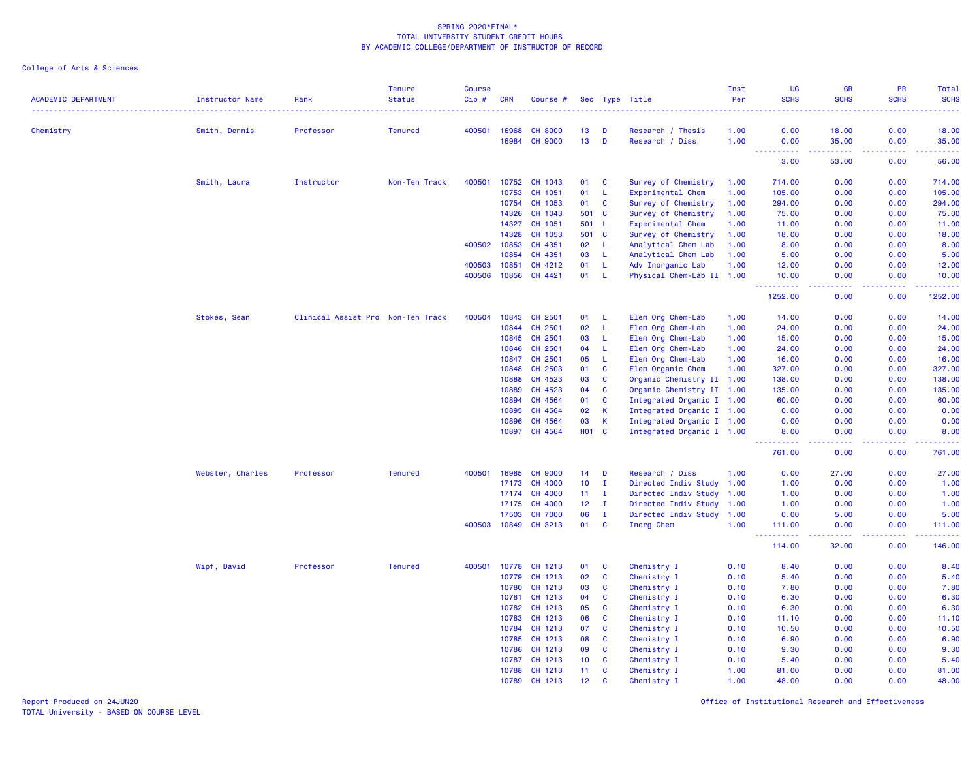College of Arts & Sciences

| <b>ACADEMIC DEPARTMENT</b> | <b>Instructor Name</b> | Rank                              | <b>Tenure</b><br><b>Status</b> | <b>Course</b><br>Cip# | <b>CRN</b>     | Course #           |                 |                   | Sec Type Title            | Inst<br>Per  | <b>UG</b><br><b>SCHS</b>              | <b>GR</b><br><b>SCHS</b> | PR<br><b>SCHS</b> | Total<br><b>SCHS</b>                                                                                                                                         |
|----------------------------|------------------------|-----------------------------------|--------------------------------|-----------------------|----------------|--------------------|-----------------|-------------------|---------------------------|--------------|---------------------------------------|--------------------------|-------------------|--------------------------------------------------------------------------------------------------------------------------------------------------------------|
| Chemistry                  | Smith, Dennis          | Professor                         | <b>Tenured</b>                 | 400501                | 16968          | <b>CH 8000</b>     | 13              | D                 | Research / Thesis         | 1.00         | 0.00                                  | 18.00                    | 0.00              | 18.00                                                                                                                                                        |
|                            |                        |                                   |                                |                       | 16984          | <b>CH 9000</b>     | 13              | D                 | Research / Diss           | 1.00         | 0.00<br><b><i><u><u>.</u></u></i></b> | 35.00<br>.               | 0.00<br>.         | 35.00<br>.                                                                                                                                                   |
|                            |                        |                                   |                                |                       |                |                    |                 |                   |                           |              | 3.00                                  | 53.00                    | 0.00              | 56.00                                                                                                                                                        |
|                            | Smith, Laura           | Instructor                        | Non-Ten Track                  | 400501                | 10752          | CH 1043            | 01              | C                 | Survey of Chemistry       | 1.00         | 714.00                                | 0.00                     | 0.00              | 714.00                                                                                                                                                       |
|                            |                        |                                   |                                |                       | 10753          | CH 1051            | 01              | L                 | Experimental Chem         | 1.00         | 105.00                                | 0.00                     | 0.00              | 105.00                                                                                                                                                       |
|                            |                        |                                   |                                |                       | 10754          | CH 1053            | 01              | C                 | Survey of Chemistry       | 1.00         | 294.00                                | 0.00                     | 0.00              | 294.00                                                                                                                                                       |
|                            |                        |                                   |                                |                       | 14326          | CH 1043            | 501             | <b>C</b>          | Survey of Chemistry       | 1.00         | 75.00                                 | 0.00                     | 0.00              | 75.00                                                                                                                                                        |
|                            |                        |                                   |                                |                       | 14327          | CH 1051            | 501             | - L               | Experimental Chem         | 1.00         | 11.00                                 | 0.00                     | 0.00              | 11.00                                                                                                                                                        |
|                            |                        |                                   |                                |                       | 14328          | CH 1053            | 501             | $\mathbf{C}$      | Survey of Chemistry       | 1.00         | 18.00                                 | 0.00                     | 0.00              | 18.00                                                                                                                                                        |
|                            |                        |                                   |                                | 400502                | 10853          | CH 4351            | 02              | L                 | Analytical Chem Lab       | 1.00         | 8.00                                  | 0.00                     | 0.00              | 8.00                                                                                                                                                         |
|                            |                        |                                   |                                |                       | 10854          | CH 4351            | 03              | L                 | Analytical Chem Lab       | 1.00         | 5.00                                  | 0.00                     | 0.00              | 5.00                                                                                                                                                         |
|                            |                        |                                   |                                | 400503                | 10851          | CH 4212            | 01              | L                 | Adv Inorganic Lab         | 1.00         | 12.00                                 | 0.00                     | 0.00              | 12.00                                                                                                                                                        |
|                            |                        |                                   |                                | 400506                | 10856          | CH 4421            | 01              | L                 | Physical Chem-Lab II 1.00 |              | 10.00<br>----------                   | 0.00                     | 0.00              | 10.00<br>. <b>.</b>                                                                                                                                          |
|                            |                        |                                   |                                |                       |                |                    |                 |                   |                           |              | 1252.00                               | 0.00                     | 0.00              | 1252.00                                                                                                                                                      |
|                            | Stokes, Sean           | Clinical Assist Pro Non-Ten Track |                                | 400504                | 10843          | CH 2501            | 01              | L                 | Elem Org Chem-Lab         | 1.00         | 14.00                                 | 0.00                     | 0.00              | 14.00                                                                                                                                                        |
|                            |                        |                                   |                                |                       | 10844          | CH 2501            | 02              | L                 | Elem Org Chem-Lab         | 1.00         | 24.00                                 | 0.00                     | 0.00              | 24.00                                                                                                                                                        |
|                            |                        |                                   |                                |                       | 10845          | CH 2501            | 03              | L                 | Elem Org Chem-Lab         | 1.00         | 15.00                                 | 0.00                     | 0.00              | 15.00                                                                                                                                                        |
|                            |                        |                                   |                                |                       | 10846          | CH 2501            | 04              | L                 | Elem Org Chem-Lab         | 1.00         | 24.00                                 | 0.00                     | 0.00              | 24.00                                                                                                                                                        |
|                            |                        |                                   |                                |                       | 10847          | CH 2501            | 05              | L                 | Elem Org Chem-Lab         | 1.00         | 16.00                                 | 0.00                     | 0.00              | 16.00                                                                                                                                                        |
|                            |                        |                                   |                                |                       | 10848          | CH 2503            | 01              | C                 | Elem Organic Chem         | 1.00         | 327.00                                | 0.00                     | 0.00              | 327.00                                                                                                                                                       |
|                            |                        |                                   |                                |                       | 10888          | CH 4523            | 03              | C                 | Organic Chemistry II 1.00 |              | 138.00                                | 0.00                     | 0.00              | 138.00                                                                                                                                                       |
|                            |                        |                                   |                                |                       | 10889          | CH 4523            | 04              | C                 | Organic Chemistry II 1.00 |              | 135.00                                | 0.00                     | 0.00              | 135.00                                                                                                                                                       |
|                            |                        |                                   |                                |                       | 10894          | CH 4564            | 01              | C                 | Integrated Organic I 1.00 |              | 60.00                                 | 0.00                     | 0.00              | 60.00                                                                                                                                                        |
|                            |                        |                                   |                                |                       | 10895          | CH 4564            | 02              | К                 | Integrated Organic I 1.00 |              | 0.00                                  | 0.00                     | 0.00              | 0.00                                                                                                                                                         |
|                            |                        |                                   |                                |                       | 10896          | CH 4564            | 03              | К                 | Integrated Organic I 1.00 |              | 0.00                                  | 0.00                     | 0.00              | 0.00                                                                                                                                                         |
|                            |                        |                                   |                                |                       | 10897          | CH 4564            | <b>HO1 C</b>    |                   | Integrated Organic I 1.00 |              | 8.00<br>.                             | 0.00<br>.                | 0.00<br>.         | 8.00<br>$\frac{1}{2} \left( \frac{1}{2} \right) \left( \frac{1}{2} \right) \left( \frac{1}{2} \right) \left( \frac{1}{2} \right) \left( \frac{1}{2} \right)$ |
|                            |                        |                                   |                                |                       |                |                    |                 |                   |                           |              | 761.00                                | 0.00                     | 0.00              | 761.00                                                                                                                                                       |
|                            | Webster, Charles       | Professor                         | <b>Tenured</b>                 | 400501                | 16985          | <b>CH 9000</b>     | 14              | D                 | Research / Diss           | 1.00         | 0.00                                  | 27.00                    | 0.00              | 27.00                                                                                                                                                        |
|                            |                        |                                   |                                |                       | 17173          | CH 4000            | 10 <sup>°</sup> | $\mathbf{I}$      | Directed Indiv Study 1.00 |              | 1.00                                  | 0.00                     | 0.00              | 1.00                                                                                                                                                         |
|                            |                        |                                   |                                |                       | 17174          | <b>CH 4000</b>     | 11              | $\mathbf{I}$      | Directed Indiv Study      | 1.00         | 1.00                                  | 0.00                     | 0.00              | 1.00                                                                                                                                                         |
|                            |                        |                                   |                                |                       | 17175          | <b>CH 4000</b>     | 12 <sub>2</sub> | $\mathbf{I}$      | Directed Indiv Study      | 1.00         | 1.00                                  | 0.00                     | 0.00              | 1.00                                                                                                                                                         |
|                            |                        |                                   |                                |                       | 17503          | <b>CH 7000</b>     | 06              | $\mathbf I$       | Directed Indiv Study      | 1.00         | 0.00                                  | 5.00                     | 0.00              | 5.00                                                                                                                                                         |
|                            |                        |                                   |                                | 400503                | 10849          | CH 3213            | 01              | <b>C</b>          | Inorg Chem                | 1.00         | 111.00<br><u>.</u>                    | 0.00<br>.                | 0.00<br>.         | 111.00                                                                                                                                                       |
|                            |                        |                                   |                                |                       |                |                    |                 |                   |                           |              | 114.00                                | 32.00                    | 0.00              | 146.00                                                                                                                                                       |
|                            | Wipf, David            | Professor                         | <b>Tenured</b>                 | 400501                | 10778          | CH 1213            | 01              | C                 | Chemistry I               | 0.10         | 8.40                                  | 0.00                     | 0.00              | 8.40                                                                                                                                                         |
|                            |                        |                                   |                                |                       | 10779          | CH 1213            | 02              | C                 | Chemistry I               | 0.10         | 5.40                                  | 0.00                     | 0.00              | 5.40                                                                                                                                                         |
|                            |                        |                                   |                                |                       | 10780          | CH 1213            | 03              | C                 | Chemistry I               | 0.10         | 7.80                                  | 0.00                     | 0.00              | 7.80                                                                                                                                                         |
|                            |                        |                                   |                                |                       | 10781          | CH 1213            | 04              | C                 | Chemistry I               | 0.10         | 6.30                                  | 0.00                     | 0.00              | 6.30                                                                                                                                                         |
|                            |                        |                                   |                                |                       | 10782          | CH 1213            | 05              | C                 | Chemistry I               | 0.10         | 6.30                                  | 0.00                     | 0.00              | 6.30                                                                                                                                                         |
|                            |                        |                                   |                                |                       | 10783          | CH 1213            | 06              | C                 | Chemistry I               | 0.10         | 11.10                                 | 0.00                     | 0.00              | 11.10                                                                                                                                                        |
|                            |                        |                                   |                                |                       | 10784          | CH 1213            | 07              | C                 | Chemistry I               | 0.10         | 10.50                                 | 0.00                     | 0.00              | 10.50                                                                                                                                                        |
|                            |                        |                                   |                                |                       | 10785          | CH 1213            | 08              | $\mathbf{C}$      | Chemistry I               | 0.10         | 6.90                                  | 0.00                     | 0.00              | 6.90                                                                                                                                                         |
|                            |                        |                                   |                                |                       | 10786          | CH 1213            | 09              | C                 | Chemistry I               | 0.10         | 9.30                                  | 0.00                     | 0.00              | 9.30                                                                                                                                                         |
|                            |                        |                                   |                                |                       | 10787          | CH 1213<br>CH 1213 | 10<br>11        | $\mathbf{C}$<br>C | Chemistry I               | 0.10         | 5.40<br>81.00                         | 0.00<br>0.00             | 0.00<br>0.00      | 5.40                                                                                                                                                         |
|                            |                        |                                   |                                |                       | 10788<br>10789 | CH 1213            | 12              | $\mathbf{C}$      | Chemistry I               | 1.00<br>1.00 | 48.00                                 | 0.00                     | 0.00              | 81.00<br>48.00                                                                                                                                               |
|                            |                        |                                   |                                |                       |                |                    |                 |                   | Chemistry I               |              |                                       |                          |                   |                                                                                                                                                              |

Report Produced on 24JUN20 Office of Institutional Research and Effectiveness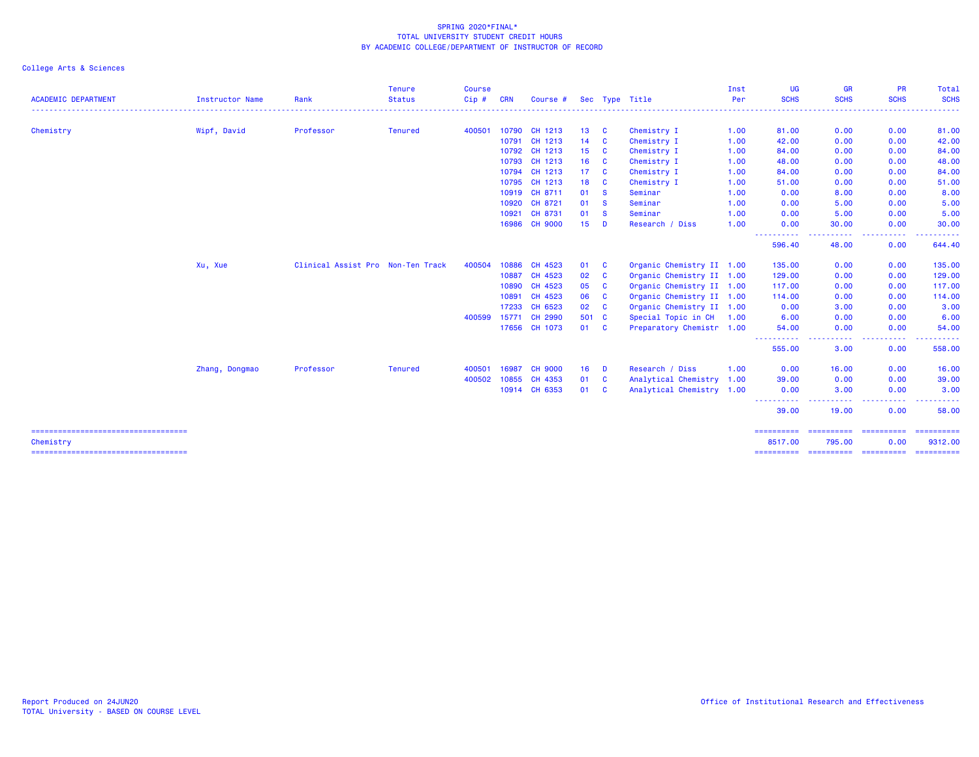| <b>ACADEMIC DEPARTMENT</b>                          | Instructor Name | Rank                              | <b>Tenure</b><br><b>Status</b> | <b>Course</b><br>Cip# | <b>CRN</b> | Course #       |                 |              | Sec Type Title            | Inst<br>Per | <b>UG</b><br><b>SCHS</b>                                                                                                           | <b>GR</b><br><b>SCHS</b>  | <b>PR</b><br><b>SCHS</b> | Total<br><b>SCHS</b>  |
|-----------------------------------------------------|-----------------|-----------------------------------|--------------------------------|-----------------------|------------|----------------|-----------------|--------------|---------------------------|-------------|------------------------------------------------------------------------------------------------------------------------------------|---------------------------|--------------------------|-----------------------|
|                                                     |                 |                                   |                                |                       |            |                |                 |              |                           |             |                                                                                                                                    | <u> - - - - - - - - -</u> | .                        | .                     |
| Chemistry                                           | Wipf, David     | Professor                         | <b>Tenured</b>                 | 400501                |            | 10790 CH 1213  | 13 <sup>°</sup> | <b>C</b>     | Chemistry I               | 1.00        | 81.00                                                                                                                              | 0.00                      | 0.00                     | 81.00                 |
|                                                     |                 |                                   |                                |                       | 10791      | CH 1213        | 14              | <b>C</b>     | Chemistry I               | 1.00        | 42.00                                                                                                                              | 0.00                      | 0.00                     | 42.00                 |
|                                                     |                 |                                   |                                |                       | 10792      | CH 1213        | 15              | <b>C</b>     | Chemistry I               | 1.00        | 84.00                                                                                                                              | 0.00                      | 0.00                     | 84.00                 |
|                                                     |                 |                                   |                                |                       | 10793      | CH 1213        | 16              | <b>C</b>     | Chemistry I               | 1.00        | 48.00                                                                                                                              | 0.00                      | 0.00                     | 48.00                 |
|                                                     |                 |                                   |                                |                       | 10794      | CH 1213        | 17              | <b>C</b>     | Chemistry I               | 1.00        | 84.00                                                                                                                              | 0.00                      | 0.00                     | 84.00                 |
|                                                     |                 |                                   |                                |                       | 10795      | CH 1213        | 18              | $\mathbf{C}$ | Chemistry I               | 1.00        | 51.00                                                                                                                              | 0.00                      | 0.00                     | 51.00                 |
|                                                     |                 |                                   |                                |                       | 10919      | CH 8711        | 01              | <b>S</b>     | Seminar                   | 1.00        | 0.00                                                                                                                               | 8.00                      | 0.00                     | 8.00                  |
|                                                     |                 |                                   |                                |                       | 10920      | CH 8721        | 01              | <b>S</b>     | Seminar                   | 1.00        | 0.00                                                                                                                               | 5.00                      | 0.00                     | 5.00                  |
|                                                     |                 |                                   |                                |                       | 10921      | CH 8731        | 01              | <b>S</b>     | Seminar                   | 1.00        | 0.00                                                                                                                               | 5.00                      | 0.00                     | 5.00                  |
|                                                     |                 |                                   |                                |                       |            | 16986 CH 9000  | 15 <sub>1</sub> | D            | Research / Diss           | 1.00        | 0.00<br>-----                                                                                                                      | 30.00<br>.                | 0.00<br>-----            | 30.00<br>. <u>.</u> . |
|                                                     |                 |                                   |                                |                       |            |                |                 |              |                           |             | 596.40                                                                                                                             | 48.00                     | 0.00                     | 644.40                |
|                                                     | Xu, Xue         | Clinical Assist Pro Non-Ten Track |                                | 400504                | 10886      | CH 4523        | 01              | <b>C</b>     | Organic Chemistry II 1.00 |             | 135.00                                                                                                                             | 0.00                      | 0.00                     | 135.00                |
|                                                     |                 |                                   |                                |                       | 10887      | CH 4523        | 02              | <b>C</b>     | Organic Chemistry II 1.00 |             | 129.00                                                                                                                             | 0.00                      | 0.00                     | 129.00                |
|                                                     |                 |                                   |                                |                       | 10890      | CH 4523        | 05              | $\mathbf{C}$ | Organic Chemistry II 1.00 |             | 117.00                                                                                                                             | 0.00                      | 0.00                     | 117.00                |
|                                                     |                 |                                   |                                |                       | 10891      | CH 4523        | 06              | <b>C</b>     | Organic Chemistry II 1.00 |             | 114.00                                                                                                                             | 0.00                      | 0.00                     | 114.00                |
|                                                     |                 |                                   |                                |                       | 17233      | CH 6523        | 02              | $\mathbf{C}$ | Organic Chemistry II 1.00 |             | 0.00                                                                                                                               | 3.00                      | 0.00                     | 3.00                  |
|                                                     |                 |                                   |                                | 400599                | 15771      | CH 2990        | 501 C           |              | Special Topic in CH 1.00  |             | 6.00                                                                                                                               | 0.00                      | 0.00                     | 6.00                  |
|                                                     |                 |                                   |                                |                       |            | 17656 CH 1073  | 01              | <b>C</b>     | Preparatory Chemistr 1.00 |             | 54.00                                                                                                                              | 0.00                      | 0.00                     | 54.00                 |
|                                                     |                 |                                   |                                |                       |            |                |                 |              |                           |             | $\frac{1}{2}$<br>555.00                                                                                                            | 3.00                      | 0.00                     | 558.00                |
|                                                     | Zhang, Dongmao  | Professor                         | <b>Tenured</b>                 | 400501                | 16987      | <b>CH 9000</b> | 16              | D            | Research / Diss           | 1.00        | 0.00                                                                                                                               | 16.00                     | 0.00                     | 16.00                 |
|                                                     |                 |                                   |                                | 400502                | 10855      | CH 4353        | 01              | C            | Analytical Chemistry 1.00 |             | 39.00                                                                                                                              | 0.00                      | 0.00                     | 39.00                 |
|                                                     |                 |                                   |                                |                       |            | 10914 CH 6353  | 01              | C            | Analytical Chemistry 1.00 |             | 0.00                                                                                                                               | 3.00                      | 0.00                     | 3.00                  |
|                                                     |                 |                                   |                                |                       |            |                |                 |              |                           |             | $\frac{1}{2} \left( \frac{1}{2} \right) \left( \frac{1}{2} \right) \left( \frac{1}{2} \right) \left( \frac{1}{2} \right)$<br>39.00 | .<br>19.00                | $  -$<br>0.00            | 58.00                 |
| ======================================<br>Chemistry |                 |                                   |                                |                       |            |                |                 |              |                           |             | ==========<br>8517.00                                                                                                              | ==========<br>795.00      | ==========<br>0.00       | ==========<br>9312.00 |
| ======================================              |                 |                                   |                                |                       |            |                |                 |              |                           |             | ==========                                                                                                                         | ==========                | ==========               | ==========            |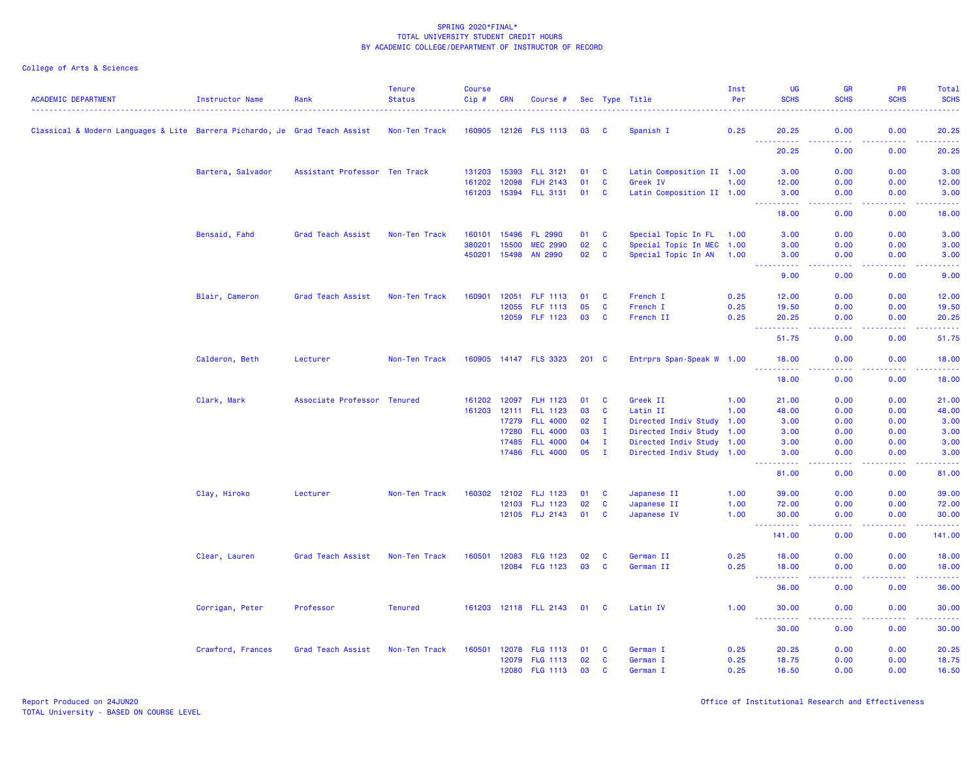| <b>ACADEMIC DEPARTMENT</b>                                                 | Instructor Name   | Rank                          | <b>Tenure</b><br><b>Status</b> | <b>Course</b><br>Cip# | <b>CRN</b> | Course #                   |               |              | Sec Type Title            | Inst<br>Per | <b>UG</b><br><b>SCHS</b>                                                                                                                                      | <b>GR</b><br><b>SCHS</b>            | PR<br><b>SCHS</b>                                                                                                                                            | Total<br><b>SCHS</b>                                                                                                                                         |
|----------------------------------------------------------------------------|-------------------|-------------------------------|--------------------------------|-----------------------|------------|----------------------------|---------------|--------------|---------------------------|-------------|---------------------------------------------------------------------------------------------------------------------------------------------------------------|-------------------------------------|--------------------------------------------------------------------------------------------------------------------------------------------------------------|--------------------------------------------------------------------------------------------------------------------------------------------------------------|
| Classical & Modern Languages & Lite Barrera Pichardo, Je Grad Teach Assist |                   |                               | Non-Ten Track                  |                       |            | 160905 12126 FLS 1113      | 03            | C            | Spanish I                 | 0.25        | 20.25                                                                                                                                                         | 0.00                                | 0.00                                                                                                                                                         | 20.25                                                                                                                                                        |
|                                                                            |                   |                               |                                |                       |            |                            |               |              |                           |             | .<br>20.25                                                                                                                                                    | $\omega$ is $\omega$ in<br>0.00     | .<br>0.00                                                                                                                                                    | 20.25                                                                                                                                                        |
|                                                                            | Bartera, Salvador | Assistant Professor Ten Track |                                | 131203                | 15393      | <b>FLL 3121</b>            | 01            | <b>C</b>     | Latin Composition II 1.00 |             | 3.00                                                                                                                                                          | 0.00                                | 0.00                                                                                                                                                         | 3.00                                                                                                                                                         |
|                                                                            |                   |                               |                                | 161202                | 12098      | <b>FLH 2143</b>            | 01            | C            | Greek IV                  | 1.00        | 12.00                                                                                                                                                         | 0.00                                | 0.00                                                                                                                                                         | 12.00                                                                                                                                                        |
|                                                                            |                   |                               |                                | 161203                |            | 15394 FLL 3131             | 01            | C            | Latin Composition II 1.00 |             | 3.00<br><u> - - - - - - - - - -</u>                                                                                                                           | 0.00<br>.                           | 0.00<br>.                                                                                                                                                    | 3.00<br>وعاماما                                                                                                                                              |
|                                                                            |                   |                               |                                |                       |            |                            |               |              |                           |             | 18.00                                                                                                                                                         | 0.00                                | 0.00                                                                                                                                                         | 18.00                                                                                                                                                        |
|                                                                            | Bensaid, Fahd     | Grad Teach Assist             | Non-Ten Track                  | 160101                | 15496      | FL 2990                    | 01            | <b>C</b>     | Special Topic In FL 1.00  |             | 3.00                                                                                                                                                          | 0.00                                | 0.00                                                                                                                                                         | 3.00                                                                                                                                                         |
|                                                                            |                   |                               |                                | 380201                | 15500      | <b>MEC 2990</b>            | 02            | C            | Special Topic In MEC 1.00 |             | 3.00                                                                                                                                                          | 0.00                                | 0.00                                                                                                                                                         | 3.00                                                                                                                                                         |
|                                                                            |                   |                               |                                | 450201                | 15498      | AN 2990                    | 02            | <b>C</b>     | Special Topic In AN 1.00  |             | 3.00                                                                                                                                                          | 0.00                                | 0.00                                                                                                                                                         | 3.00                                                                                                                                                         |
|                                                                            |                   |                               |                                |                       |            |                            |               |              |                           |             | ----------<br>9.00                                                                                                                                            | .<br>0.00                           | <b></b><br>0.00                                                                                                                                              | .<br>9.00                                                                                                                                                    |
|                                                                            | Blair, Cameron    | Grad Teach Assist             | Non-Ten Track                  | 160901                | 12051      | FLF 1113                   | 01            | <b>C</b>     | French I                  | 0.25        | 12.00                                                                                                                                                         | 0.00                                | 0.00                                                                                                                                                         | 12.00                                                                                                                                                        |
|                                                                            |                   |                               |                                |                       | 12055      | FLF 1113                   | 05            | C            | French I                  | 0.25        | 19.50                                                                                                                                                         | 0.00                                | 0.00                                                                                                                                                         | 19.50                                                                                                                                                        |
|                                                                            |                   |                               |                                |                       | 12059      | FLF 1123                   | 03            | C            | French II                 | 0.25        | 20.25<br><u>.</u><br>$\sim$ $\sim$ $\sim$                                                                                                                     | 0.00<br>د د د د                     | 0.00<br>22222                                                                                                                                                | 20.25<br>.                                                                                                                                                   |
|                                                                            |                   |                               |                                |                       |            |                            |               |              |                           |             | 51.75                                                                                                                                                         | 0.00                                | 0.00                                                                                                                                                         | 51.75                                                                                                                                                        |
|                                                                            | Calderon, Beth    | Lecturer                      | Non-Ten Track                  |                       |            | 160905 14147 FLS 3323      | $201 \quad C$ |              | Entrprs Span-Speak W 1.00 |             | 18.00                                                                                                                                                         | 0.00                                | 0.00                                                                                                                                                         | 18.00                                                                                                                                                        |
|                                                                            |                   |                               |                                |                       |            |                            |               |              |                           |             | .<br>18.00                                                                                                                                                    | $\sim$ $\sim$ $\sim$ $\sim$<br>0.00 | 0.00                                                                                                                                                         | 18.00                                                                                                                                                        |
|                                                                            | Clark, Mark       | Associate Professor Tenured   |                                | 161202                | 12097      | <b>FLH 1123</b>            | 01            | C            | Greek II                  | 1.00        | 21.00                                                                                                                                                         | 0.00                                | 0.00                                                                                                                                                         | 21.00                                                                                                                                                        |
|                                                                            |                   |                               |                                | 161203                |            | 12111 FLL 1123             | 03            | $\mathbf{C}$ | Latin II                  | 1.00        | 48.00                                                                                                                                                         | 0.00                                | 0.00                                                                                                                                                         | 48.00                                                                                                                                                        |
|                                                                            |                   |                               |                                |                       | 17279      | <b>FLL 4000</b>            | 02            | $\mathbf{I}$ | Directed Indiv Study 1.00 |             | 3.00                                                                                                                                                          | 0.00                                | 0.00                                                                                                                                                         | 3.00                                                                                                                                                         |
|                                                                            |                   |                               |                                |                       | 17280      | <b>FLL 4000</b>            | 03            | $\mathbf{I}$ | Directed Indiv Study 1.00 |             | 3.00                                                                                                                                                          | 0.00                                | 0.00                                                                                                                                                         | 3.00                                                                                                                                                         |
|                                                                            |                   |                               |                                |                       | 17485      | <b>FLL 4000</b>            | 04            | $\mathbf{I}$ | Directed Indiv Study 1.00 |             | 3.00                                                                                                                                                          | 0.00                                | 0.00                                                                                                                                                         | 3.00                                                                                                                                                         |
|                                                                            |                   |                               |                                |                       |            | 17486 FLL 4000             | 05            | $\mathbf{I}$ | Directed Indiv Study 1.00 |             | 3.00<br><u>.</u>                                                                                                                                              | 0.00<br>.                           | 0.00<br>$\mathbf{L}^{\prime} = \mathbf{L}^{\prime} + \mathbf{L}^{\prime} + \mathbf{L}^{\prime}$                                                              | 3.00<br>$\frac{1}{2} \left( \frac{1}{2} \right) \left( \frac{1}{2} \right) \left( \frac{1}{2} \right) \left( \frac{1}{2} \right) \left( \frac{1}{2} \right)$ |
|                                                                            |                   |                               |                                |                       |            |                            |               |              |                           |             | 81.00                                                                                                                                                         | 0.00                                | 0.00                                                                                                                                                         | 81.00                                                                                                                                                        |
|                                                                            | Clay, Hiroko      | Lecturer                      | Non-Ten Track                  | 160302                |            | 12102 FLJ 1123             | 01            | <b>C</b>     | Japanese II               | 1.00        | 39.00                                                                                                                                                         | 0.00                                | 0.00                                                                                                                                                         | 39.00                                                                                                                                                        |
|                                                                            |                   |                               |                                |                       |            | 12103 FLJ 1123             | 02            | <b>C</b>     | Japanese II               | 1.00        | 72.00                                                                                                                                                         | 0.00                                | 0.00                                                                                                                                                         | 72.00                                                                                                                                                        |
|                                                                            |                   |                               |                                |                       |            | 12105 FLJ 2143             | 01            | C            | Japanese IV               | 1.00        | 30.00<br>$\omega_{\rm{eff}}$                                                                                                                                  | 0.00<br>د د د د                     | 0.00<br>22222                                                                                                                                                | 30.00<br>.                                                                                                                                                   |
|                                                                            |                   |                               |                                |                       |            |                            |               |              |                           |             | 141.00                                                                                                                                                        | 0.00                                | 0.00                                                                                                                                                         | 141.00                                                                                                                                                       |
|                                                                            | Clear, Lauren     | Grad Teach Assist             | Non-Ten Track                  | 160501                | 12083      | <b>FLG 1123</b>            | 02            | C            | German II                 | 0.25        | 18.00                                                                                                                                                         | 0.00                                | 0.00                                                                                                                                                         | 18.00                                                                                                                                                        |
|                                                                            |                   |                               |                                |                       |            | 12084 FLG 1123             | 03            | <b>C</b>     | German II                 | 0.25        | 18.00                                                                                                                                                         | 0.00                                | 0.00                                                                                                                                                         | 18.00                                                                                                                                                        |
|                                                                            |                   |                               |                                |                       |            |                            |               |              |                           |             | $\frac{1}{2} \left( \frac{1}{2} \right) \left( \frac{1}{2} \right) \left( \frac{1}{2} \right) \left( \frac{1}{2} \right) \left( \frac{1}{2} \right)$<br>36.00 | $\omega$ is a $\omega$<br>0.00      | 0.00                                                                                                                                                         | 36.00                                                                                                                                                        |
|                                                                            | Corrigan, Peter   | Professor                     | <b>Tenured</b>                 |                       |            | 161203 12118 FLL 2143 01 C |               |              | Latin IV                  | 1.00        | 30.00                                                                                                                                                         | 0.00                                | 0.00                                                                                                                                                         | 30.00                                                                                                                                                        |
|                                                                            |                   |                               |                                |                       |            |                            |               |              |                           |             | <u> - - - - - - - - - -</u><br>30.00                                                                                                                          | .<br>0.00                           | $\frac{1}{2} \left( \frac{1}{2} \right) \left( \frac{1}{2} \right) \left( \frac{1}{2} \right) \left( \frac{1}{2} \right) \left( \frac{1}{2} \right)$<br>0.00 | .<br>30.00                                                                                                                                                   |
|                                                                            | Crawford, Frances | Grad Teach Assist             | Non-Ten Track                  | 160501                | 12078      | <b>FLG 1113</b>            | 01            | <b>C</b>     | German I                  | 0.25        | 20.25                                                                                                                                                         | 0.00                                | 0.00                                                                                                                                                         | 20.25                                                                                                                                                        |
|                                                                            |                   |                               |                                |                       | 12079      | <b>FLG 1113</b>            | 02            | C            | German I                  | 0.25        | 18.75                                                                                                                                                         | 0.00                                | 0.00                                                                                                                                                         | 18.75                                                                                                                                                        |
|                                                                            |                   |                               |                                |                       |            | 12080 FLG 1113             | 03            | C            | German I                  | 0.25        | 16.50                                                                                                                                                         | 0.00                                | 0.00                                                                                                                                                         | 16.50                                                                                                                                                        |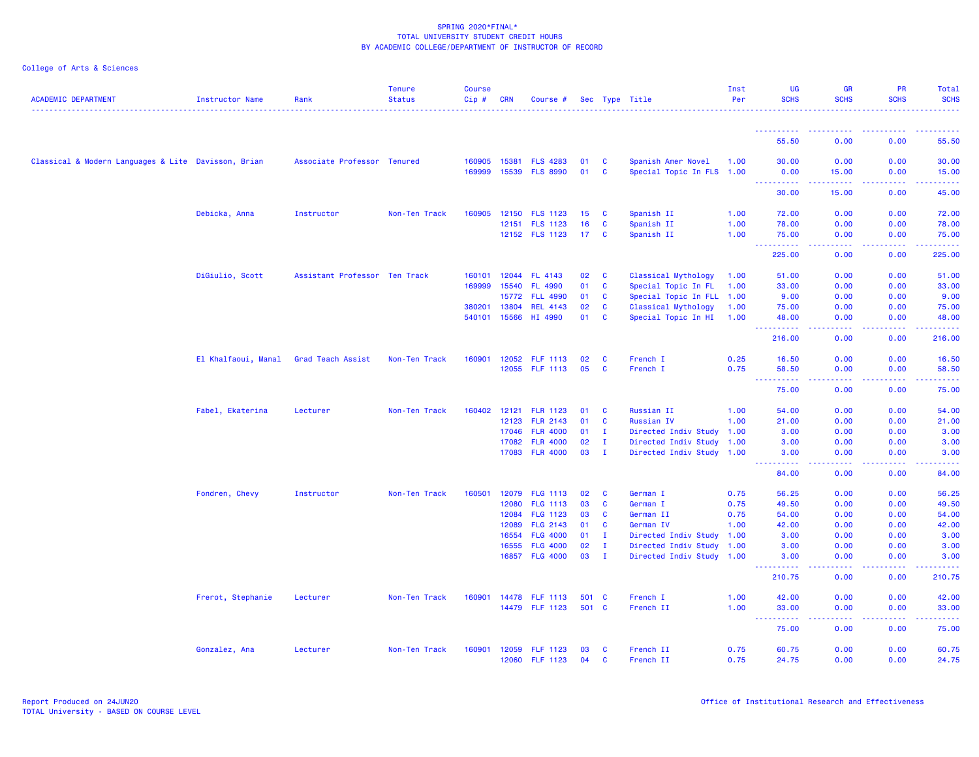| <b>ACADEMIC DEPARTMENT</b>                          | <b>Instructor Name</b>                | Rank                          | <b>Tenure</b><br><b>Status</b> | Course<br>Cip# | <b>CRN</b>     | Course #                           |          |               | Sec Type Title            | Inst<br>Per  | UG<br><b>SCHS</b>        | <b>GR</b><br><b>SCHS</b>                  | PR<br><b>SCHS</b> | Total<br><b>SCHS</b>                                                                                                                                 |
|-----------------------------------------------------|---------------------------------------|-------------------------------|--------------------------------|----------------|----------------|------------------------------------|----------|---------------|---------------------------|--------------|--------------------------|-------------------------------------------|-------------------|------------------------------------------------------------------------------------------------------------------------------------------------------|
|                                                     |                                       |                               |                                |                |                |                                    |          |               |                           |              |                          |                                           |                   |                                                                                                                                                      |
|                                                     |                                       |                               |                                |                |                |                                    |          |               |                           |              | 55.50                    | 0.00                                      | 0.00              | 55.50                                                                                                                                                |
| Classical & Modern Languages & Lite Davisson, Brian |                                       | Associate Professor Tenured   |                                | 160905         | 15381          | <b>FLS 4283</b>                    | 01       | C             | Spanish Amer Novel        | 1.00         | 30.00                    | 0.00                                      | 0.00              | 30.00                                                                                                                                                |
|                                                     |                                       |                               |                                | 169999         | 15539          | <b>FLS 8990</b>                    | 01       | C             | Special Topic In FLS 1.00 |              | 0.00                     | 15.00                                     | 0.00              | 15.00                                                                                                                                                |
|                                                     |                                       |                               |                                |                |                |                                    |          |               |                           |              | <u>.</u><br>30.00        | $\omega$ is $\omega$ in $\omega$<br>15.00 | 22222<br>0.00     | ------<br>45.00                                                                                                                                      |
|                                                     |                                       |                               |                                |                |                |                                    |          |               |                           |              |                          |                                           |                   |                                                                                                                                                      |
|                                                     | Debicka, Anna                         | Instructor                    | Non-Ten Track                  | 160905         | 12150<br>12151 | <b>FLS 1123</b><br><b>FLS 1123</b> | 15<br>16 | <b>C</b><br>C | Spanish II<br>Spanish II  | 1.00<br>1.00 | 72.00<br>78.00           | 0.00<br>0.00                              | 0.00<br>0.00      | 72.00<br>78.00                                                                                                                                       |
|                                                     |                                       |                               |                                |                |                | 12152 FLS 1123                     | 17       | $\mathbf{C}$  | Spanish II                | 1.00         | 75.00                    | 0.00                                      | 0.00              | 75.00                                                                                                                                                |
|                                                     |                                       |                               |                                |                |                |                                    |          |               |                           |              | .<br>$\sim 100$          | المتمامين                                 | .                 | $\frac{1}{2} \left( \frac{1}{2} \right) \left( \frac{1}{2} \right) \left( \frac{1}{2} \right) \left( \frac{1}{2} \right) \left( \frac{1}{2} \right)$ |
|                                                     |                                       |                               |                                |                |                |                                    |          |               |                           |              | 225.00                   | 0.00                                      | 0.00              | 225.00                                                                                                                                               |
|                                                     | DiGiulio, Scott                       | Assistant Professor Ten Track |                                | 160101         | 12044          | FL 4143                            | 02       | <b>C</b>      | Classical Mythology       | 1.00         | 51.00                    | 0.00                                      | 0.00              | 51.00                                                                                                                                                |
|                                                     |                                       |                               |                                | 169999         | 15540          | FL 4990                            | 01       | <b>C</b>      | Special Topic In FL       | 1.00         | 33.00                    | 0.00                                      | 0.00              | 33.00                                                                                                                                                |
|                                                     |                                       |                               |                                |                | 15772          | <b>FLL 4990</b>                    | 01       | C             | Special Topic In FLL 1.00 |              | 9.00                     | 0.00                                      | 0.00              | 9.00                                                                                                                                                 |
|                                                     |                                       |                               |                                | 380201         | 13804          | <b>REL 4143</b>                    | 02       | C             | Classical Mythology       | 1.00         | 75.00                    | 0.00                                      | 0.00              | 75.00                                                                                                                                                |
|                                                     |                                       |                               |                                | 540101         | 15566          | HI 4990                            | 01       | C             | Special Topic In HI       | 1.00         | 48.00<br>224<br><u>.</u> | 0.00<br>.                                 | 0.00<br>.         | 48.00<br>.                                                                                                                                           |
|                                                     |                                       |                               |                                |                |                |                                    |          |               |                           |              | 216.00                   | 0.00                                      | 0.00              | 216.00                                                                                                                                               |
|                                                     | El Khalfaoui, Manal Grad Teach Assist |                               | Non-Ten Track                  | 160901         | 12052          | <b>FLF 1113</b>                    | 02       | C             | French I                  | 0.25         | 16.50                    | 0.00                                      | 0.00              | 16.50                                                                                                                                                |
|                                                     |                                       |                               |                                |                | 12055          | <b>FLF 1113</b>                    | 05       | C             | French I                  | 0.75         | 58.50                    | 0.00                                      | 0.00              | 58.50                                                                                                                                                |
|                                                     |                                       |                               |                                |                |                |                                    |          |               |                           |              | .<br>الماليات<br>75.00   | د د د د<br>0.00                           | 22222<br>0.00     | .<br>75.00                                                                                                                                           |
|                                                     |                                       |                               |                                |                |                |                                    |          |               |                           |              |                          |                                           |                   |                                                                                                                                                      |
|                                                     | Fabel, Ekaterina                      | Lecturer                      | Non-Ten Track                  | 160402         | 12121          | <b>FLR 1123</b>                    | 01       | C             | Russian II                | 1.00         | 54.00                    | 0.00                                      | 0.00              | 54.00                                                                                                                                                |
|                                                     |                                       |                               |                                |                | 12123          | <b>FLR 2143</b>                    | 01       | <b>C</b>      | Russian IV                | 1.00         | 21.00                    | 0.00                                      | 0.00              | 21.00                                                                                                                                                |
|                                                     |                                       |                               |                                |                | 17046          | <b>FLR 4000</b>                    | 01       | $\mathbf{I}$  | Directed Indiv Study 1.00 |              | 3.00                     | 0.00                                      | 0.00              | 3.00                                                                                                                                                 |
|                                                     |                                       |                               |                                |                | 17082          | <b>FLR 4000</b>                    | 02       | $\mathbf{I}$  | Directed Indiv Study 1.00 |              | 3.00                     | 0.00                                      | 0.00              | 3.00                                                                                                                                                 |
|                                                     |                                       |                               |                                |                | 17083          | <b>FLR 4000</b>                    | 03       | $\mathbf{I}$  | Directed Indiv Study 1.00 |              | 3.00<br>-----            | 0.00<br>وعاعات                            | 0.00<br>.         | 3.00<br>د د د د                                                                                                                                      |
|                                                     |                                       |                               |                                |                |                |                                    |          |               |                           |              | 84.00                    | 0.00                                      | 0.00              | 84.00                                                                                                                                                |
|                                                     | Fondren, Chevy                        | Instructor                    | Non-Ten Track                  | 160501         | 12079          | <b>FLG 1113</b>                    | 02       | C             | German I                  | 0.75         | 56.25                    | 0.00                                      | 0.00              | 56.25                                                                                                                                                |
|                                                     |                                       |                               |                                |                | 12080          | <b>FLG 1113</b>                    | 03       | C             | German I                  | 0.75         | 49.50                    | 0.00                                      | 0.00              | 49.50                                                                                                                                                |
|                                                     |                                       |                               |                                |                | 12084          | <b>FLG 1123</b>                    | 03       | C             | German II                 | 0.75         | 54.00                    | 0.00                                      | 0.00              | 54.00                                                                                                                                                |
|                                                     |                                       |                               |                                |                | 12089          | FLG 2143                           | 01       | C             | German IV                 | 1.00         | 42.00                    | 0.00                                      | 0.00              | 42.00                                                                                                                                                |
|                                                     |                                       |                               |                                |                | 16554          | <b>FLG 4000</b>                    | 01       | $\mathbf{I}$  | Directed Indiv Study 1.00 |              | 3.00                     | 0.00                                      | 0.00              | 3.00                                                                                                                                                 |
|                                                     |                                       |                               |                                |                | 16555          | <b>FLG 4000</b>                    | 02       | $\mathbf{I}$  | Directed Indiv Study 1.00 |              | 3.00                     | 0.00                                      | 0.00              | 3.00                                                                                                                                                 |
|                                                     |                                       |                               |                                |                | 16857          | <b>FLG 4000</b>                    | 03       | $\mathbf{I}$  | Directed Indiv Study 1.00 |              | 3.00<br>د د د د د د      | 0.00<br>$  -$                             | 0.00<br>المستما   | 3.00<br>بالأبابات                                                                                                                                    |
|                                                     |                                       |                               |                                |                |                |                                    |          |               |                           |              | 210.75                   | 0.00                                      | 0.00              | 210.75                                                                                                                                               |
|                                                     | Frerot, Stephanie                     | Lecturer                      | Non-Ten Track                  | 160901         | 14478          | <b>FLF 1113</b>                    | 501      | - C           | French I                  | 1.00         | 42.00                    | 0.00                                      | 0.00              | 42.00                                                                                                                                                |
|                                                     |                                       |                               |                                |                |                | 14479 FLF 1123                     | 501 C    |               | French II                 | 1.00         | 33.00<br>222222<br>- - - | 0.00                                      | 0.00<br>.         | 33.00                                                                                                                                                |
|                                                     |                                       |                               |                                |                |                |                                    |          |               |                           |              | 75.00                    | د د د د<br>0.00                           | 0.00              | .<br>75.00                                                                                                                                           |
|                                                     |                                       |                               |                                |                |                |                                    |          |               |                           |              |                          |                                           |                   |                                                                                                                                                      |
|                                                     | Gonzalez, Ana                         | Lecturer                      | Non-Ten Track                  | 160901         | 12059          | <b>FLF 1123</b>                    | 03       | C             | French II                 | 0.75         | 60.75                    | 0.00                                      | 0.00              | 60.75                                                                                                                                                |
|                                                     |                                       |                               |                                |                | 12060          | <b>FLF 1123</b>                    | 04       | C             | French II                 | 0.75         | 24.75                    | 0.00                                      | 0.00              | 24.75                                                                                                                                                |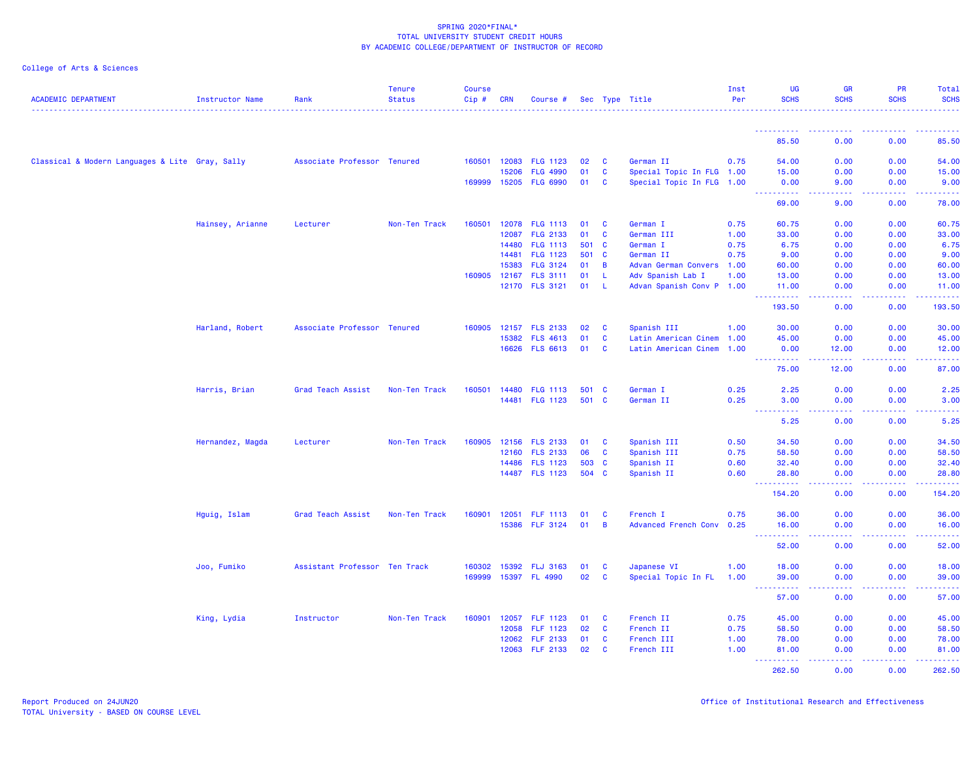| <b>ACADEMIC DEPARTMENT</b>                      | Instructor Name  | Rank                          | <b>Tenure</b><br><b>Status</b> | <b>Course</b><br>Cip# | <b>CRN</b>   | Course #                          |          |              | Sec Type Title                                 | Inst<br>Per | <b>UG</b><br><b>SCHS</b>              | <b>GR</b><br><b>SCHS</b>                                                                                                                                      | PR<br><b>SCHS</b>                                                                                                                                            | Total<br><b>SCHS</b>                                                                                                            |
|-------------------------------------------------|------------------|-------------------------------|--------------------------------|-----------------------|--------------|-----------------------------------|----------|--------------|------------------------------------------------|-------------|---------------------------------------|---------------------------------------------------------------------------------------------------------------------------------------------------------------|--------------------------------------------------------------------------------------------------------------------------------------------------------------|---------------------------------------------------------------------------------------------------------------------------------|
|                                                 |                  |                               |                                |                       |              |                                   |          |              |                                                |             | ----------                            |                                                                                                                                                               |                                                                                                                                                              |                                                                                                                                 |
|                                                 |                  |                               |                                |                       |              |                                   |          |              |                                                |             | 85.50                                 | 0.00                                                                                                                                                          | 0.00                                                                                                                                                         | 85.50                                                                                                                           |
| Classical & Modern Languages & Lite Gray, Sally |                  | Associate Professor Tenured   |                                | 160501                | 12083        | <b>FLG 1123</b>                   | 02       | <b>C</b>     | German II                                      | 0.75        | 54.00                                 | 0.00                                                                                                                                                          | 0.00                                                                                                                                                         | 54.00                                                                                                                           |
|                                                 |                  |                               |                                |                       | 15206        | <b>FLG 4990</b>                   | 01       | <b>C</b>     | Special Topic In FLG 1.00                      |             | 15.00                                 | 0.00                                                                                                                                                          | 0.00                                                                                                                                                         | 15.00                                                                                                                           |
|                                                 |                  |                               |                                |                       | 169999 15205 | <b>FLG 6990</b>                   | 01       | C            | Special Topic In FLG 1.00                      |             | 0.00<br>.                             | 9.00<br>$\omega$ is $\omega$ in                                                                                                                               | 0.00<br>$\frac{1}{2} \left( \frac{1}{2} \right) \left( \frac{1}{2} \right) \left( \frac{1}{2} \right) \left( \frac{1}{2} \right)$                            | 9.00<br>.                                                                                                                       |
|                                                 |                  |                               |                                |                       |              |                                   |          |              |                                                |             | 69.00                                 | 9.00                                                                                                                                                          | 0.00                                                                                                                                                         | 78.00                                                                                                                           |
|                                                 | Hainsey, Arianne | Lecturer                      | Non-Ten Track                  | 160501                |              | 12078 FLG 1113                    | 01       | <b>C</b>     | German I                                       | 0.75        | 60.75                                 | 0.00                                                                                                                                                          | 0.00                                                                                                                                                         | 60.75                                                                                                                           |
|                                                 |                  |                               |                                |                       | 12087        | <b>FLG 2133</b>                   | 01       | C            | German III                                     | 1.00        | 33.00                                 | 0.00                                                                                                                                                          | 0.00                                                                                                                                                         | 33.00                                                                                                                           |
|                                                 |                  |                               |                                |                       | 14480        | <b>FLG 1113</b>                   | 501 C    |              | German I                                       | 0.75        | 6.75                                  | 0.00                                                                                                                                                          | 0.00                                                                                                                                                         | 6.75                                                                                                                            |
|                                                 |                  |                               |                                |                       | 14481        | <b>FLG 1123</b>                   | 501      | <b>C</b>     | German II                                      | 0.75        | 9.00                                  | 0.00                                                                                                                                                          | 0.00                                                                                                                                                         | 9.00                                                                                                                            |
|                                                 |                  |                               |                                |                       | 15383        | <b>FLG 3124</b>                   | 01       | B            | Advan German Convers 1.00                      |             | 60.00                                 | 0.00                                                                                                                                                          | 0.00                                                                                                                                                         | 60.00                                                                                                                           |
|                                                 |                  |                               |                                | 160905                | 12167        | <b>FLS 3111</b><br>12170 FLS 3121 | 01<br>01 | L<br>-L      | Adv Spanish Lab I<br>Advan Spanish Conv P 1.00 | 1.00        | 13.00<br>11.00                        | 0.00<br>0.00                                                                                                                                                  | 0.00<br>0.00                                                                                                                                                 | 13.00<br>11.00                                                                                                                  |
|                                                 |                  |                               |                                |                       |              |                                   |          |              |                                                |             | - - -<br>.<br>193.50                  | .<br>0.00                                                                                                                                                     | .<br>0.00                                                                                                                                                    | .<br>193.50                                                                                                                     |
|                                                 |                  |                               |                                |                       |              |                                   |          |              |                                                |             |                                       |                                                                                                                                                               |                                                                                                                                                              |                                                                                                                                 |
|                                                 | Harland, Robert  | Associate Professor Tenured   |                                | 160905                | 12157        | <b>FLS 2133</b>                   | 02       | C            | Spanish III                                    | 1.00        | 30.00                                 | 0.00                                                                                                                                                          | 0.00                                                                                                                                                         | 30.00                                                                                                                           |
|                                                 |                  |                               |                                |                       | 15382        | <b>FLS 4613</b>                   | 01       | <b>C</b>     | Latin American Cinem 1.00                      |             | 45.00                                 | 0.00                                                                                                                                                          | 0.00                                                                                                                                                         | 45.00                                                                                                                           |
|                                                 |                  |                               |                                |                       | 16626        | <b>FLS 6613</b>                   | 01       | <b>C</b>     | Latin American Cinem 1.00                      |             | 0.00<br>----------                    | 12.00<br>$\frac{1}{2} \left( \frac{1}{2} \right) \left( \frac{1}{2} \right) \left( \frac{1}{2} \right) \left( \frac{1}{2} \right) \left( \frac{1}{2} \right)$ | 0.00<br>$\frac{1}{2} \left( \frac{1}{2} \right) \left( \frac{1}{2} \right) \left( \frac{1}{2} \right) \left( \frac{1}{2} \right) \left( \frac{1}{2} \right)$ | 12.00<br>.                                                                                                                      |
|                                                 |                  |                               |                                |                       |              |                                   |          |              |                                                |             | 75.00                                 | 12.00                                                                                                                                                         | 0.00                                                                                                                                                         | 87.00                                                                                                                           |
|                                                 | Harris, Brian    | Grad Teach Assist             | Non-Ten Track                  | 160501                | 14480        | <b>FLG 1113</b>                   | 501 C    |              | German I                                       | 0.25        | 2.25                                  | 0.00                                                                                                                                                          | 0.00                                                                                                                                                         | 2.25                                                                                                                            |
|                                                 |                  |                               |                                |                       |              | 14481 FLG 1123                    | 501 C    |              | German II                                      | 0.25        | 3.00                                  | 0.00                                                                                                                                                          | 0.00                                                                                                                                                         | 3.00                                                                                                                            |
|                                                 |                  |                               |                                |                       |              |                                   |          |              |                                                |             | $\sim$ $\sim$ $\sim$<br>22222<br>5.25 | $\omega$ and $\omega$<br>0.00                                                                                                                                 | 0.00                                                                                                                                                         | 5.25                                                                                                                            |
|                                                 | Hernandez, Magda | Lecturer                      | Non-Ten Track                  | 160905                |              | 12156 FLS 2133                    | 01       | <b>C</b>     | Spanish III                                    | 0.50        | 34.50                                 | 0.00                                                                                                                                                          | 0.00                                                                                                                                                         | 34.50                                                                                                                           |
|                                                 |                  |                               |                                |                       | 12160        | <b>FLS 2133</b>                   | 06       | C            | Spanish III                                    | 0.75        | 58.50                                 | 0.00                                                                                                                                                          | 0.00                                                                                                                                                         | 58.50                                                                                                                           |
|                                                 |                  |                               |                                |                       |              | 14486 FLS 1123                    | 503      | <b>C</b>     | Spanish II                                     | 0.60        | 32.40                                 | 0.00                                                                                                                                                          | 0.00                                                                                                                                                         | 32.40                                                                                                                           |
|                                                 |                  |                               |                                |                       |              | 14487 FLS 1123                    | 504 C    |              | Spanish II                                     | 0.60        | 28.80                                 | 0.00                                                                                                                                                          | 0.00                                                                                                                                                         | 28.80                                                                                                                           |
|                                                 |                  |                               |                                |                       |              |                                   |          |              |                                                |             | .<br>154.20                           | د د د د<br>0.00                                                                                                                                               | $\frac{1}{2} \left( \frac{1}{2} \right) \left( \frac{1}{2} \right) \left( \frac{1}{2} \right) \left( \frac{1}{2} \right) \left( \frac{1}{2} \right)$<br>0.00 | $\begin{array}{cccccccccc} \bullet & \bullet & \bullet & \bullet & \bullet & \bullet & \bullet & \bullet \end{array}$<br>154.20 |
|                                                 | Hguig, Islam     | Grad Teach Assist             | Non-Ten Track                  | 160901                | 12051        | FLF 1113                          | 01       | $\mathbf{C}$ | French I                                       | 0.75        | 36.00                                 | 0.00                                                                                                                                                          | 0.00                                                                                                                                                         | 36.00                                                                                                                           |
|                                                 |                  |                               |                                |                       | 15386        | <b>FLF 3124</b>                   | 01       | B            | Advanced French Conv 0.25                      |             | 16.00                                 | 0.00                                                                                                                                                          | 0.00                                                                                                                                                         | 16.00                                                                                                                           |
|                                                 |                  |                               |                                |                       |              |                                   |          |              |                                                |             | 52.00                                 | 0.00                                                                                                                                                          | 0.00                                                                                                                                                         | 52.00                                                                                                                           |
|                                                 | Joo, Fumiko      | Assistant Professor Ten Track |                                | 160302                | 15392        | <b>FLJ 3163</b>                   | 01       | <b>C</b>     | Japanese VI                                    | 1.00        | 18.00                                 | 0.00                                                                                                                                                          | 0.00                                                                                                                                                         | 18.00                                                                                                                           |
|                                                 |                  |                               |                                | 169999                |              | 15397 FL 4990                     | 02       | C            | Special Topic In FL                            | 1.00        | 39.00                                 | 0.00                                                                                                                                                          | 0.00                                                                                                                                                         | 39.00                                                                                                                           |
|                                                 |                  |                               |                                |                       |              |                                   |          |              |                                                |             | $\sim$ $\sim$ $\sim$<br>.             | الأمال الأما                                                                                                                                                  | 22222                                                                                                                                                        | .                                                                                                                               |
|                                                 |                  |                               |                                |                       |              |                                   |          |              |                                                |             | 57.00                                 | 0.00                                                                                                                                                          | 0.00                                                                                                                                                         | 57.00                                                                                                                           |
|                                                 | King, Lydia      | Instructor                    | Non-Ten Track                  | 160901                | 12057        | <b>FLF 1123</b>                   | 01       | C            | French II                                      | 0.75        | 45.00                                 | 0.00                                                                                                                                                          | 0.00                                                                                                                                                         | 45.00                                                                                                                           |
|                                                 |                  |                               |                                |                       | 12058        | <b>FLF 1123</b>                   | 02       | C            | French II                                      | 0.75        | 58.50                                 | 0.00                                                                                                                                                          | 0.00                                                                                                                                                         | 58.50                                                                                                                           |
|                                                 |                  |                               |                                |                       | 12062        | <b>FLF 2133</b>                   | 01       | C            | French III                                     | 1.00        | 78.00                                 | 0.00                                                                                                                                                          | 0.00                                                                                                                                                         | 78.00                                                                                                                           |
|                                                 |                  |                               |                                |                       | 12063        | <b>FLF 2133</b>                   | 02       | C            | French III                                     | 1.00        | 81.00<br>2.2.2.2.2.2                  | 0.00<br>.                                                                                                                                                     | 0.00<br>.                                                                                                                                                    | 81.00<br>.                                                                                                                      |
|                                                 |                  |                               |                                |                       |              |                                   |          |              |                                                |             | 262.50                                | 0.00                                                                                                                                                          | 0.00                                                                                                                                                         | 262.50                                                                                                                          |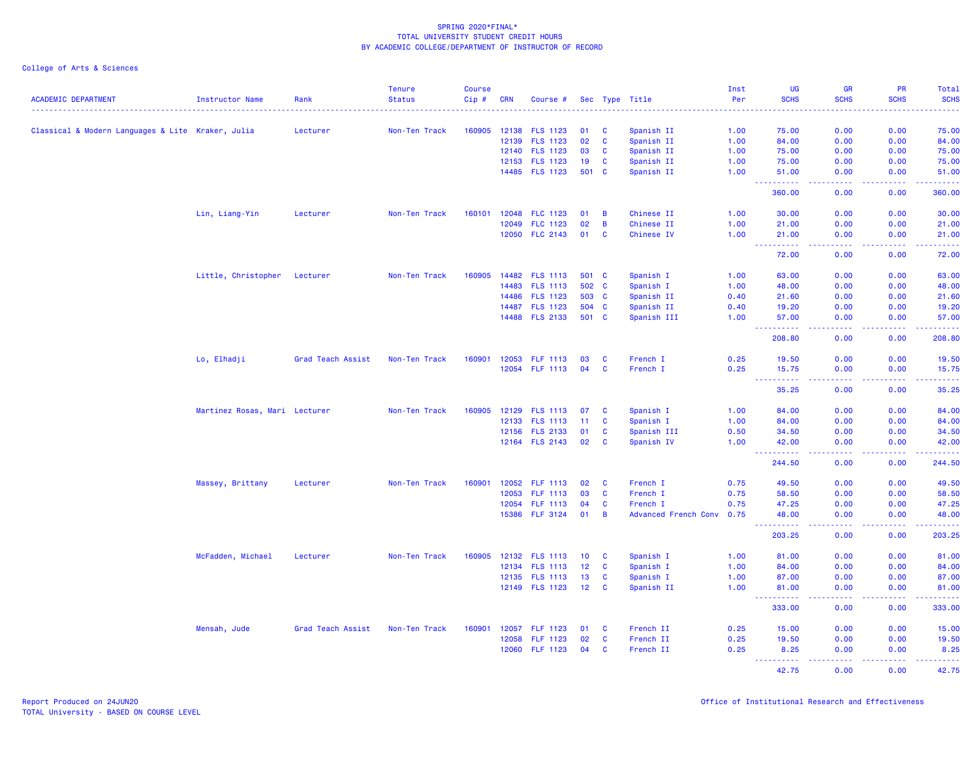|                                                   |                               |                   | <b>Tenure</b>                                                                                                                                                                                                                                                                                                                                                                                                                                                                                                                                                                                                                                                                                                                                                                                                                                                                                                                                                                                                                                                                                                                                                                                                                                                                                                                                                                                                                                                                                                                                                                                                                                                                                                                                                                                                                                                                                                                                                                                                                                                                                                                                                                                                                                                                                                           | <b>Course</b> |            |                 |    |          |             | Inst | <b>UG</b>            | <b>GR</b>                           | <b>PR</b>         | Total               |
|---------------------------------------------------|-------------------------------|-------------------|-------------------------------------------------------------------------------------------------------------------------------------------------------------------------------------------------------------------------------------------------------------------------------------------------------------------------------------------------------------------------------------------------------------------------------------------------------------------------------------------------------------------------------------------------------------------------------------------------------------------------------------------------------------------------------------------------------------------------------------------------------------------------------------------------------------------------------------------------------------------------------------------------------------------------------------------------------------------------------------------------------------------------------------------------------------------------------------------------------------------------------------------------------------------------------------------------------------------------------------------------------------------------------------------------------------------------------------------------------------------------------------------------------------------------------------------------------------------------------------------------------------------------------------------------------------------------------------------------------------------------------------------------------------------------------------------------------------------------------------------------------------------------------------------------------------------------------------------------------------------------------------------------------------------------------------------------------------------------------------------------------------------------------------------------------------------------------------------------------------------------------------------------------------------------------------------------------------------------------------------------------------------------------------------------------------------------|---------------|------------|-----------------|----|----------|-------------|------|----------------------|-------------------------------------|-------------------|---------------------|
| <b>ACADEMIC DEPARTMENT</b>                        | Instructor Name               | Rank              | <b>Status</b>                                                                                                                                                                                                                                                                                                                                                                                                                                                                                                                                                                                                                                                                                                                                                                                                                                                                                                                                                                                                                                                                                                                                                                                                                                                                                                                                                                                                                                                                                                                                                                                                                                                                                                                                                                                                                                                                                                                                                                                                                                                                                                                                                                                                                                                                                                           | $Cip \#$      | <b>CRN</b> | Course #        |    |          |             | Per  |                      | <b>SCHS</b>                         | <b>SCHS</b>       | <b>SCHS</b>         |
|                                                   |                               | Lecturer          |                                                                                                                                                                                                                                                                                                                                                                                                                                                                                                                                                                                                                                                                                                                                                                                                                                                                                                                                                                                                                                                                                                                                                                                                                                                                                                                                                                                                                                                                                                                                                                                                                                                                                                                                                                                                                                                                                                                                                                                                                                                                                                                                                                                                                                                                                                                         |               |            |                 |    |          |             |      |                      |                                     | 0.00              | 75.00               |
| Classical & Modern Languages & Lite Kraker, Julia |                               |                   |                                                                                                                                                                                                                                                                                                                                                                                                                                                                                                                                                                                                                                                                                                                                                                                                                                                                                                                                                                                                                                                                                                                                                                                                                                                                                                                                                                                                                                                                                                                                                                                                                                                                                                                                                                                                                                                                                                                                                                                                                                                                                                                                                                                                                                                                                                                         |               |            |                 |    |          |             |      |                      |                                     | 0.00              | 84.00               |
|                                                   |                               |                   |                                                                                                                                                                                                                                                                                                                                                                                                                                                                                                                                                                                                                                                                                                                                                                                                                                                                                                                                                                                                                                                                                                                                                                                                                                                                                                                                                                                                                                                                                                                                                                                                                                                                                                                                                                                                                                                                                                                                                                                                                                                                                                                                                                                                                                                                                                                         |               |            |                 |    |          |             |      |                      |                                     | 0.00              | 75.00               |
|                                                   |                               |                   |                                                                                                                                                                                                                                                                                                                                                                                                                                                                                                                                                                                                                                                                                                                                                                                                                                                                                                                                                                                                                                                                                                                                                                                                                                                                                                                                                                                                                                                                                                                                                                                                                                                                                                                                                                                                                                                                                                                                                                                                                                                                                                                                                                                                                                                                                                                         |               |            |                 |    |          |             |      |                      |                                     | 0.00              | 75.00               |
|                                                   |                               |                   |                                                                                                                                                                                                                                                                                                                                                                                                                                                                                                                                                                                                                                                                                                                                                                                                                                                                                                                                                                                                                                                                                                                                                                                                                                                                                                                                                                                                                                                                                                                                                                                                                                                                                                                                                                                                                                                                                                                                                                                                                                                                                                                                                                                                                                                                                                                         |               |            |                 |    |          | Spanish II  | 1.00 | 51.00                | 0.00                                | 0.00              | 51.00               |
|                                                   |                               |                   |                                                                                                                                                                                                                                                                                                                                                                                                                                                                                                                                                                                                                                                                                                                                                                                                                                                                                                                                                                                                                                                                                                                                                                                                                                                                                                                                                                                                                                                                                                                                                                                                                                                                                                                                                                                                                                                                                                                                                                                                                                                                                                                                                                                                                                                                                                                         |               |            |                 |    |          |             |      | .<br>360.00          | والمسامين<br>0.00                   | .<br>0.00         | .<br>360.00         |
|                                                   | Lin, Liang-Yin                | Lecturer          |                                                                                                                                                                                                                                                                                                                                                                                                                                                                                                                                                                                                                                                                                                                                                                                                                                                                                                                                                                                                                                                                                                                                                                                                                                                                                                                                                                                                                                                                                                                                                                                                                                                                                                                                                                                                                                                                                                                                                                                                                                                                                                                                                                                                                                                                                                                         |               |            |                 |    |          |             |      |                      |                                     | 0.00              | 30.00               |
|                                                   |                               |                   |                                                                                                                                                                                                                                                                                                                                                                                                                                                                                                                                                                                                                                                                                                                                                                                                                                                                                                                                                                                                                                                                                                                                                                                                                                                                                                                                                                                                                                                                                                                                                                                                                                                                                                                                                                                                                                                                                                                                                                                                                                                                                                                                                                                                                                                                                                                         |               |            |                 |    |          |             |      |                      |                                     | 0.00              | 21.00               |
|                                                   |                               |                   |                                                                                                                                                                                                                                                                                                                                                                                                                                                                                                                                                                                                                                                                                                                                                                                                                                                                                                                                                                                                                                                                                                                                                                                                                                                                                                                                                                                                                                                                                                                                                                                                                                                                                                                                                                                                                                                                                                                                                                                                                                                                                                                                                                                                                                                                                                                         |               |            |                 |    | <b>C</b> | Chinese IV  | 1.00 | 21.00                | 0.00                                | 0.00              | 21.00               |
|                                                   |                               |                   |                                                                                                                                                                                                                                                                                                                                                                                                                                                                                                                                                                                                                                                                                                                                                                                                                                                                                                                                                                                                                                                                                                                                                                                                                                                                                                                                                                                                                                                                                                                                                                                                                                                                                                                                                                                                                                                                                                                                                                                                                                                                                                                                                                                                                                                                                                                         |               |            |                 |    |          |             |      | .<br>72.00           | $\sim$ $\sim$ $\sim$ $\sim$<br>0.00 | .<br>0.00         | المستما<br>72.00    |
|                                                   | Little, Christopher Lecturer  |                   |                                                                                                                                                                                                                                                                                                                                                                                                                                                                                                                                                                                                                                                                                                                                                                                                                                                                                                                                                                                                                                                                                                                                                                                                                                                                                                                                                                                                                                                                                                                                                                                                                                                                                                                                                                                                                                                                                                                                                                                                                                                                                                                                                                                                                                                                                                                         |               |            |                 |    |          |             |      |                      |                                     | 0.00              | 63.00               |
|                                                   |                               |                   |                                                                                                                                                                                                                                                                                                                                                                                                                                                                                                                                                                                                                                                                                                                                                                                                                                                                                                                                                                                                                                                                                                                                                                                                                                                                                                                                                                                                                                                                                                                                                                                                                                                                                                                                                                                                                                                                                                                                                                                                                                                                                                                                                                                                                                                                                                                         |               |            |                 |    |          |             |      |                      |                                     | 0.00              | 48.00               |
|                                                   |                               |                   |                                                                                                                                                                                                                                                                                                                                                                                                                                                                                                                                                                                                                                                                                                                                                                                                                                                                                                                                                                                                                                                                                                                                                                                                                                                                                                                                                                                                                                                                                                                                                                                                                                                                                                                                                                                                                                                                                                                                                                                                                                                                                                                                                                                                                                                                                                                         |               |            |                 |    |          |             |      |                      |                                     | 0.00              | 21.60               |
|                                                   |                               |                   |                                                                                                                                                                                                                                                                                                                                                                                                                                                                                                                                                                                                                                                                                                                                                                                                                                                                                                                                                                                                                                                                                                                                                                                                                                                                                                                                                                                                                                                                                                                                                                                                                                                                                                                                                                                                                                                                                                                                                                                                                                                                                                                                                                                                                                                                                                                         |               |            |                 |    |          |             |      |                      |                                     | 0.00              | 19.20               |
|                                                   |                               |                   |                                                                                                                                                                                                                                                                                                                                                                                                                                                                                                                                                                                                                                                                                                                                                                                                                                                                                                                                                                                                                                                                                                                                                                                                                                                                                                                                                                                                                                                                                                                                                                                                                                                                                                                                                                                                                                                                                                                                                                                                                                                                                                                                                                                                                                                                                                                         |               |            | <b>FLS 2133</b> |    |          | Spanish III | 1.00 | 57.00                | 0.00                                | 0.00              | 57.00               |
|                                                   |                               |                   |                                                                                                                                                                                                                                                                                                                                                                                                                                                                                                                                                                                                                                                                                                                                                                                                                                                                                                                                                                                                                                                                                                                                                                                                                                                                                                                                                                                                                                                                                                                                                                                                                                                                                                                                                                                                                                                                                                                                                                                                                                                                                                                                                                                                                                                                                                                         |               |            |                 |    |          |             |      | 444<br>208.80        | $\omega$ is a $\omega$<br>0.00      | .<br>0.00         | .<br>208.80         |
|                                                   | Lo, Elhadji                   | Grad Teach Assist |                                                                                                                                                                                                                                                                                                                                                                                                                                                                                                                                                                                                                                                                                                                                                                                                                                                                                                                                                                                                                                                                                                                                                                                                                                                                                                                                                                                                                                                                                                                                                                                                                                                                                                                                                                                                                                                                                                                                                                                                                                                                                                                                                                                                                                                                                                                         |               |            |                 |    |          |             |      |                      |                                     | 0.00              | 19.50               |
|                                                   |                               |                   |                                                                                                                                                                                                                                                                                                                                                                                                                                                                                                                                                                                                                                                                                                                                                                                                                                                                                                                                                                                                                                                                                                                                                                                                                                                                                                                                                                                                                                                                                                                                                                                                                                                                                                                                                                                                                                                                                                                                                                                                                                                                                                                                                                                                                                                                                                                         |               |            |                 | 04 | <b>C</b> | French I    | 0.25 | 15.75                | 0.00                                | 0.00              | 15.75               |
|                                                   |                               |                   |                                                                                                                                                                                                                                                                                                                                                                                                                                                                                                                                                                                                                                                                                                                                                                                                                                                                                                                                                                                                                                                                                                                                                                                                                                                                                                                                                                                                                                                                                                                                                                                                                                                                                                                                                                                                                                                                                                                                                                                                                                                                                                                                                                                                                                                                                                                         |               |            |                 |    |          |             |      | د د د د د د<br>35.25 | وعامات<br>0.00                      | بابات باب<br>0.00 | المستمات<br>35.25   |
|                                                   | Martinez Rosas, Mari Lecturer |                   |                                                                                                                                                                                                                                                                                                                                                                                                                                                                                                                                                                                                                                                                                                                                                                                                                                                                                                                                                                                                                                                                                                                                                                                                                                                                                                                                                                                                                                                                                                                                                                                                                                                                                                                                                                                                                                                                                                                                                                                                                                                                                                                                                                                                                                                                                                                         |               |            |                 |    |          |             |      |                      |                                     | 0.00              | 84.00               |
|                                                   |                               |                   | <b>SCHS</b><br>Sec Type Title<br>Non-Ten Track<br>160905<br>12138 FLS 1123<br>01<br><b>C</b><br>Spanish II<br>1.00<br>75.00<br><b>FLS 1123</b><br>02<br>12139<br>C<br>Spanish II<br>1.00<br>84.00<br>12140<br><b>FLS 1123</b><br>03<br>C<br>Spanish II<br>1.00<br>75.00<br>12153 FLS 1123<br>19<br><b>C</b><br>Spanish II<br>1.00<br>75.00<br>14485 FLS 1123<br>501 C<br>Chinese II<br>Non-Ten Track<br>160101<br>12048<br><b>FLC 1123</b><br>01<br>$\overline{B}$<br>1.00<br>30.00<br>12049<br><b>FLC 1123</b><br>02<br>B<br>Chinese II<br>1.00<br>21.00<br>12050 FLC 2143<br>01<br>$\sim 10$<br>160905<br>14482 FLS 1113<br>501 C<br>Spanish I<br>1.00<br>63.00<br>Non-Ten Track<br>14483<br><b>FLS 1113</b><br>502 C<br>Spanish I<br>1.00<br>48.00<br>14486 FLS 1123<br>503 C<br>Spanish II<br>0.40<br>21.60<br>14487 FLS 1123<br>504 C<br>Spanish II<br>0.40<br>19.20<br>14488<br>501 C<br>160901<br>12053 FLF 1113<br>French I<br>0.25<br>Non-Ten Track<br>03<br><b>C</b><br>19.50<br>12054 FLF 1113<br>$\sim$ $\sim$ $\sim$<br>160905<br>12129 FLS 1113<br>Spanish I<br>84.00<br>Non-Ten Track<br>07<br><b>C</b><br>1.00<br>Spanish I<br>12133<br><b>FLS 1113</b><br>11<br>C<br>1.00<br>84.00<br>12156 FLS 2133<br>01<br>Spanish III<br>34.50<br>C<br>0.50<br>12164 FLS 2143<br>02<br><b>C</b><br>Spanish IV<br>1.00<br>42.00<br>ولايات<br>244.50<br>Non-Ten Track<br>160901<br>12052 FLF 1113<br>02<br>$\mathbf{C}$<br>French I<br>0.75<br>49.50<br>12053<br>03<br>French I<br><b>FLF 1113</b><br>C<br>0.75<br>58.50<br>$\mathbf{C}$<br>12054<br>FLF 1113<br>04<br>French I<br>0.75<br>47.25<br>15386 FLF 3124<br>01<br>$\overline{B}$<br>Advanced French Conv 0.75<br>48.00<br>.<br>$\sim$ $\sim$ $\sim$<br>203.25<br>Non-Ten Track<br>160905<br>12132 FLS 1113<br>10<br>Spanish I<br>1.00<br>81.00<br>- C<br>12<br>Spanish I<br>12134 FLS 1113<br>C<br>1.00<br>84.00<br>12135 FLS 1113<br>13<br>$\mathbf{C}$<br>Spanish I<br>1.00<br>87.00<br>12149 FLS 1123<br>12<br><b>C</b><br>Spanish II<br>1.00<br>81.00<br>333.00<br>French II<br>0.25<br>Non-Ten Track<br>160901<br>12057<br><b>FLF 1123</b><br>01<br><b>C</b><br>15.00<br>02<br>12058<br><b>FLF 1123</b><br><b>C</b><br>French II<br>0.25<br>19.50<br>12060<br><b>FLF 1123</b><br>04<br>$\mathbf{C}$<br>French II<br>0.25<br>8.25<br><u>.</u><br>42.75 |               | 0.00       | 84.00           |    |          |             |      |                      |                                     |                   |                     |
|                                                   |                               |                   |                                                                                                                                                                                                                                                                                                                                                                                                                                                                                                                                                                                                                                                                                                                                                                                                                                                                                                                                                                                                                                                                                                                                                                                                                                                                                                                                                                                                                                                                                                                                                                                                                                                                                                                                                                                                                                                                                                                                                                                                                                                                                                                                                                                                                                                                                                                         |               | 0.00       | 34.50           |    |          |             |      |                      |                                     |                   |                     |
|                                                   |                               |                   |                                                                                                                                                                                                                                                                                                                                                                                                                                                                                                                                                                                                                                                                                                                                                                                                                                                                                                                                                                                                                                                                                                                                                                                                                                                                                                                                                                                                                                                                                                                                                                                                                                                                                                                                                                                                                                                                                                                                                                                                                                                                                                                                                                                                                                                                                                                         |               |            |                 |    |          |             |      |                      | 0.00                                | 0.00              | 42.00               |
|                                                   |                               |                   |                                                                                                                                                                                                                                                                                                                                                                                                                                                                                                                                                                                                                                                                                                                                                                                                                                                                                                                                                                                                                                                                                                                                                                                                                                                                                                                                                                                                                                                                                                                                                                                                                                                                                                                                                                                                                                                                                                                                                                                                                                                                                                                                                                                                                                                                                                                         |               |            |                 |    |          |             |      |                      | 0.00                                | بالأبابات<br>0.00 | .<br>244.50         |
|                                                   | Massey, Brittany              | Lecturer          |                                                                                                                                                                                                                                                                                                                                                                                                                                                                                                                                                                                                                                                                                                                                                                                                                                                                                                                                                                                                                                                                                                                                                                                                                                                                                                                                                                                                                                                                                                                                                                                                                                                                                                                                                                                                                                                                                                                                                                                                                                                                                                                                                                                                                                                                                                                         |               |            |                 |    |          |             |      |                      |                                     | 0.00              | 49.50               |
|                                                   |                               |                   | 0.00<br>0.00<br>0.00<br>0.00<br>0.00<br>0.00<br>0.00<br>0.00<br>0.00<br>0.00<br>0.00<br>0.00<br>0.00<br>0.00<br>0.00<br>0.00<br>0.00<br>0.00<br>0.00<br>0.00<br>0.00<br>0.00<br>0.00<br>0.00<br>0.00<br>0.00<br>0.00<br>22222<br>0.00                                                                                                                                                                                                                                                                                                                                                                                                                                                                                                                                                                                                                                                                                                                                                                                                                                                                                                                                                                                                                                                                                                                                                                                                                                                                                                                                                                                                                                                                                                                                                                                                                                                                                                                                                                                                                                                                                                                                                                                                                                                                                   | 0.00          | 58.50      |                 |    |          |             |      |                      |                                     |                   |                     |
|                                                   |                               |                   |                                                                                                                                                                                                                                                                                                                                                                                                                                                                                                                                                                                                                                                                                                                                                                                                                                                                                                                                                                                                                                                                                                                                                                                                                                                                                                                                                                                                                                                                                                                                                                                                                                                                                                                                                                                                                                                                                                                                                                                                                                                                                                                                                                                                                                                                                                                         |               |            |                 |    |          |             |      |                      |                                     | 0.00              | 47.25               |
|                                                   |                               |                   |                                                                                                                                                                                                                                                                                                                                                                                                                                                                                                                                                                                                                                                                                                                                                                                                                                                                                                                                                                                                                                                                                                                                                                                                                                                                                                                                                                                                                                                                                                                                                                                                                                                                                                                                                                                                                                                                                                                                                                                                                                                                                                                                                                                                                                                                                                                         |               |            |                 |    |          |             |      |                      |                                     | 0.00              | 48.00               |
|                                                   |                               |                   |                                                                                                                                                                                                                                                                                                                                                                                                                                                                                                                                                                                                                                                                                                                                                                                                                                                                                                                                                                                                                                                                                                                                                                                                                                                                                                                                                                                                                                                                                                                                                                                                                                                                                                                                                                                                                                                                                                                                                                                                                                                                                                                                                                                                                                                                                                                         |               |            |                 |    |          |             |      |                      |                                     | 22222<br>0.00     | .<br>203.25         |
|                                                   | McFadden, Michael             | Lecturer          |                                                                                                                                                                                                                                                                                                                                                                                                                                                                                                                                                                                                                                                                                                                                                                                                                                                                                                                                                                                                                                                                                                                                                                                                                                                                                                                                                                                                                                                                                                                                                                                                                                                                                                                                                                                                                                                                                                                                                                                                                                                                                                                                                                                                                                                                                                                         |               |            |                 |    |          |             |      |                      |                                     | 0.00              | 81.00               |
|                                                   |                               |                   |                                                                                                                                                                                                                                                                                                                                                                                                                                                                                                                                                                                                                                                                                                                                                                                                                                                                                                                                                                                                                                                                                                                                                                                                                                                                                                                                                                                                                                                                                                                                                                                                                                                                                                                                                                                                                                                                                                                                                                                                                                                                                                                                                                                                                                                                                                                         |               |            |                 |    |          |             |      |                      |                                     | 0.00              | 84.00               |
|                                                   |                               |                   |                                                                                                                                                                                                                                                                                                                                                                                                                                                                                                                                                                                                                                                                                                                                                                                                                                                                                                                                                                                                                                                                                                                                                                                                                                                                                                                                                                                                                                                                                                                                                                                                                                                                                                                                                                                                                                                                                                                                                                                                                                                                                                                                                                                                                                                                                                                         |               |            |                 |    |          |             |      |                      |                                     | 0.00              | 87.00               |
|                                                   |                               |                   |                                                                                                                                                                                                                                                                                                                                                                                                                                                                                                                                                                                                                                                                                                                                                                                                                                                                                                                                                                                                                                                                                                                                                                                                                                                                                                                                                                                                                                                                                                                                                                                                                                                                                                                                                                                                                                                                                                                                                                                                                                                                                                                                                                                                                                                                                                                         |               |            |                 |    |          |             |      |                      |                                     | 0.00              | 81.00               |
|                                                   |                               |                   |                                                                                                                                                                                                                                                                                                                                                                                                                                                                                                                                                                                                                                                                                                                                                                                                                                                                                                                                                                                                                                                                                                                                                                                                                                                                                                                                                                                                                                                                                                                                                                                                                                                                                                                                                                                                                                                                                                                                                                                                                                                                                                                                                                                                                                                                                                                         |               |            |                 |    |          |             |      |                      |                                     | 0.00              | د د د د د<br>333.00 |
|                                                   | Mensah, Jude                  | Grad Teach Assist |                                                                                                                                                                                                                                                                                                                                                                                                                                                                                                                                                                                                                                                                                                                                                                                                                                                                                                                                                                                                                                                                                                                                                                                                                                                                                                                                                                                                                                                                                                                                                                                                                                                                                                                                                                                                                                                                                                                                                                                                                                                                                                                                                                                                                                                                                                                         |               |            |                 |    |          |             |      |                      |                                     | 0.00              | 15.00               |
|                                                   |                               |                   |                                                                                                                                                                                                                                                                                                                                                                                                                                                                                                                                                                                                                                                                                                                                                                                                                                                                                                                                                                                                                                                                                                                                                                                                                                                                                                                                                                                                                                                                                                                                                                                                                                                                                                                                                                                                                                                                                                                                                                                                                                                                                                                                                                                                                                                                                                                         |               |            |                 |    |          |             |      |                      |                                     | 0.00              | 19.50               |
|                                                   |                               |                   |                                                                                                                                                                                                                                                                                                                                                                                                                                                                                                                                                                                                                                                                                                                                                                                                                                                                                                                                                                                                                                                                                                                                                                                                                                                                                                                                                                                                                                                                                                                                                                                                                                                                                                                                                                                                                                                                                                                                                                                                                                                                                                                                                                                                                                                                                                                         |               |            |                 |    |          |             |      |                      |                                     | 0.00              | 8.25                |
|                                                   |                               |                   |                                                                                                                                                                                                                                                                                                                                                                                                                                                                                                                                                                                                                                                                                                                                                                                                                                                                                                                                                                                                                                                                                                                                                                                                                                                                                                                                                                                                                                                                                                                                                                                                                                                                                                                                                                                                                                                                                                                                                                                                                                                                                                                                                                                                                                                                                                                         |               |            |                 |    |          |             |      |                      |                                     | 22222<br>0.00     | .<br>42.75          |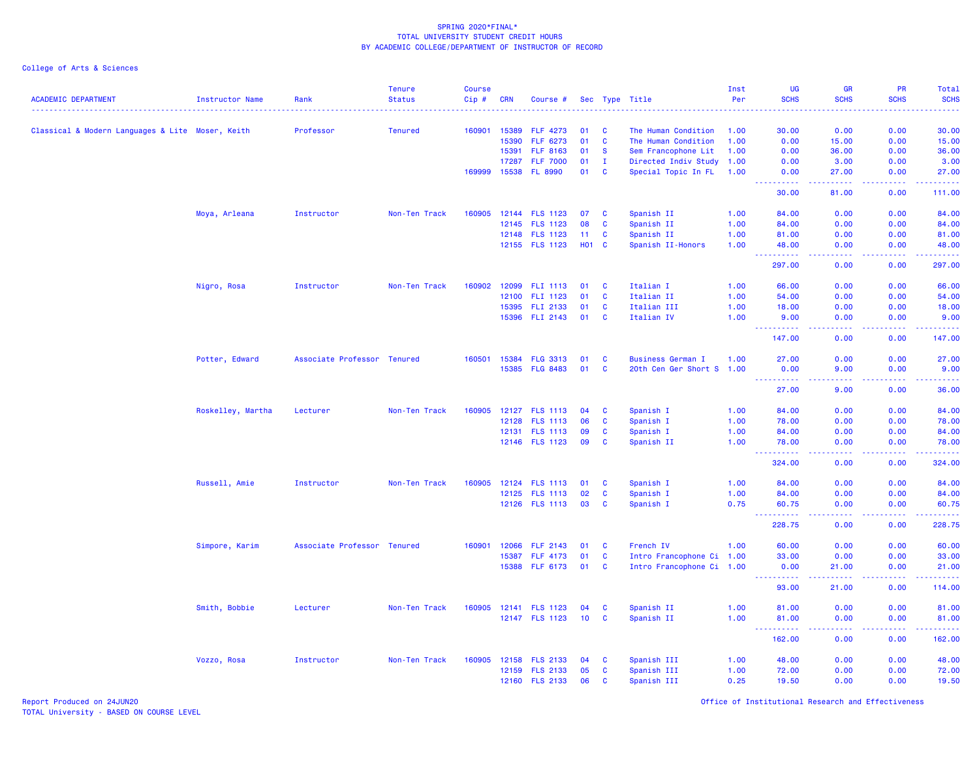| <b>ACADEMIC DEPARTMENT</b>                       | <b>Instructor Name</b> | Rank                        | <b>Tenure</b><br><b>Status</b> | <b>Course</b><br>$Cip$ # | <b>CRN</b> | Course #              |            |              | Sec Type Title            | Inst<br>Per | <b>UG</b><br><b>SCHS</b>             | <b>GR</b><br><b>SCHS</b>                                                                                                           | <b>PR</b><br><b>SCHS</b> | Total<br><b>SCHS</b>                                                                                                           |
|--------------------------------------------------|------------------------|-----------------------------|--------------------------------|--------------------------|------------|-----------------------|------------|--------------|---------------------------|-------------|--------------------------------------|------------------------------------------------------------------------------------------------------------------------------------|--------------------------|--------------------------------------------------------------------------------------------------------------------------------|
|                                                  |                        |                             |                                |                          |            |                       |            |              |                           |             |                                      |                                                                                                                                    |                          | .                                                                                                                              |
| Classical & Modern Languages & Lite Moser, Keith |                        | Professor                   | <b>Tenured</b>                 | 160901                   | 15389      | <b>FLF 4273</b>       | 01         | <b>C</b>     | The Human Condition       | 1.00        | 30.00                                | 0.00                                                                                                                               | 0.00                     | 30.00                                                                                                                          |
|                                                  |                        |                             |                                |                          | 15390      | <b>FLF 6273</b>       | 01         | C            | The Human Condition       | 1.00        | 0.00                                 | 15.00                                                                                                                              | 0.00                     | 15.00                                                                                                                          |
|                                                  |                        |                             |                                |                          | 15391      | <b>FLF 8163</b>       | 01         | <b>S</b>     | Sem Francophone Lit       | 1.00        | 0.00                                 | 36.00                                                                                                                              | 0.00                     | 36.00                                                                                                                          |
|                                                  |                        |                             |                                |                          | 17287      | <b>FLF 7000</b>       | 01         | $\mathbf{I}$ | Directed Indiv Study      | 1.00        | 0.00                                 | 3.00                                                                                                                               | 0.00                     | 3.00                                                                                                                           |
|                                                  |                        |                             |                                | 169999                   | 15538      | <b>FL 8990</b>        | 01         | <b>C</b>     | Special Topic In FL       | 1.00        | 0.00<br>المتمامين                    | 27.00<br>$\frac{1}{2} \left( \frac{1}{2} \right) \left( \frac{1}{2} \right) \left( \frac{1}{2} \right) \left( \frac{1}{2} \right)$ | 0.00<br>.                | 27.00<br>22222.                                                                                                                |
|                                                  |                        |                             |                                |                          |            |                       |            |              |                           |             | 30.00                                | 81.00                                                                                                                              | 0.00                     | 111.00                                                                                                                         |
|                                                  | Moya, Arleana          | Instructor                  | Non-Ten Track                  |                          |            | 160905 12144 FLS 1123 | 07         | C            | Spanish II                | 1.00        | 84.00                                | 0.00                                                                                                                               | 0.00                     | 84.00                                                                                                                          |
|                                                  |                        |                             |                                |                          |            | 12145 FLS 1123        | 08         | C            | Spanish II                | 1.00        | 84.00                                | 0.00                                                                                                                               | 0.00                     | 84.00                                                                                                                          |
|                                                  |                        |                             |                                |                          | 12148      | <b>FLS 1123</b>       | 11         | C            | Spanish II                | 1.00        | 81.00                                | 0.00                                                                                                                               | 0.00                     | 81.00                                                                                                                          |
|                                                  |                        |                             |                                |                          |            | 12155 FLS 1123        | <b>HO1</b> | <b>C</b>     | Spanish II-Honors         | 1.00        | 48.00                                | 0.00                                                                                                                               | 0.00                     | 48.00<br>وساعات                                                                                                                |
|                                                  |                        |                             |                                |                          |            |                       |            |              |                           |             | 297.00                               | 0.00                                                                                                                               | 0.00                     | 297.00                                                                                                                         |
|                                                  | Nigro, Rosa            | Instructor                  | Non-Ten Track                  | 160902                   |            | 12099 FLI 1113        | 01         | C            | Italian I                 | 1.00        | 66.00                                | 0.00                                                                                                                               | 0.00                     | 66.00                                                                                                                          |
|                                                  |                        |                             |                                |                          | 12100      | FLI 1123              | 01         | <b>C</b>     | Italian II                | 1.00        | 54.00                                | 0.00                                                                                                                               | 0.00                     | 54.00                                                                                                                          |
|                                                  |                        |                             |                                |                          | 15395      | FLI 2133              | 01         | C            | Italian III               | 1.00        | 18.00                                | 0.00                                                                                                                               | 0.00                     | 18.00                                                                                                                          |
|                                                  |                        |                             |                                |                          |            | 15396 FLI 2143        | 01         | C            | Italian IV                | 1.00        | 9.00<br>الداعات عامان                | 0.00<br>$\sim$ $\sim$ $\sim$ $\sim$                                                                                                | 0.00                     | 9.00<br>.                                                                                                                      |
|                                                  |                        |                             |                                |                          |            |                       |            |              |                           |             | 147.00                               | 0.00                                                                                                                               | 0.00                     | 147.00                                                                                                                         |
|                                                  | Potter, Edward         | Associate Professor Tenured |                                | 160501                   | 15384      | <b>FLG 3313</b>       | 01         | <b>C</b>     | <b>Business German I</b>  | 1.00        | 27.00                                | 0.00                                                                                                                               | 0.00                     | 27.00                                                                                                                          |
|                                                  |                        |                             |                                |                          |            | 15385 FLG 8483        | 01         | <b>C</b>     | 20th Cen Ger Short S 1.00 |             | 0.00<br>.                            | 9.00<br>.                                                                                                                          | 0.00<br>.                | 9.00<br>.                                                                                                                      |
|                                                  |                        |                             |                                |                          |            |                       |            |              |                           |             | 27.00                                | 9.00                                                                                                                               | 0.00                     | 36.00                                                                                                                          |
|                                                  | Roskelley, Martha      | Lecturer                    | Non-Ten Track                  | 160905                   |            | 12127 FLS 1113        | 04         | <b>C</b>     | Spanish I                 | 1.00        | 84.00                                | 0.00                                                                                                                               | 0.00                     | 84.00                                                                                                                          |
|                                                  |                        |                             |                                |                          | 12128      | <b>FLS 1113</b>       | 06         | C            | Spanish I                 | 1.00        | 78.00                                | 0.00                                                                                                                               | 0.00                     | 78.00                                                                                                                          |
|                                                  |                        |                             |                                |                          | 12131      | <b>FLS 1113</b>       | 09         | C            | Spanish I                 | 1.00        | 84.00                                | 0.00                                                                                                                               | 0.00                     | 84.00                                                                                                                          |
|                                                  |                        |                             |                                |                          |            | 12146 FLS 1123        | 09         | <b>C</b>     | Spanish II                | 1.00        | 78.00<br>.                           | 0.00<br>$\omega$ and $\omega$                                                                                                      | 0.00<br>.                | 78.00                                                                                                                          |
|                                                  |                        |                             |                                |                          |            |                       |            |              |                           |             | 324.00                               | 0.00                                                                                                                               | 0.00                     | 324.00                                                                                                                         |
|                                                  | Russell, Amie          | Instructor                  | Non-Ten Track                  | 160905                   |            | 12124 FLS 1113        | 01         | <b>C</b>     | Spanish I                 | 1.00        | 84.00                                | 0.00                                                                                                                               | 0.00                     | 84.00                                                                                                                          |
|                                                  |                        |                             |                                |                          | 12125      | <b>FLS 1113</b>       | 02         | C            | Spanish I                 | 1.00        | 84.00                                | 0.00                                                                                                                               | 0.00                     | 84.00                                                                                                                          |
|                                                  |                        |                             |                                |                          |            | 12126 FLS 1113        | 03         | <b>C</b>     | Spanish I                 | 0.75        | 60.75<br><u> - - - - - - - - - -</u> | 0.00<br>د د د د                                                                                                                    | 0.00                     | 60.75<br>.                                                                                                                     |
|                                                  |                        |                             |                                |                          |            |                       |            |              |                           |             | 228.75                               | 0.00                                                                                                                               | 0.00                     | 228.75                                                                                                                         |
|                                                  | Simpore, Karim         | Associate Professor Tenured |                                | 160901                   | 12066      | <b>FLF 2143</b>       | 01         | C            | French IV                 | 1.00        | 60.00                                | 0.00                                                                                                                               | 0.00                     | 60.00                                                                                                                          |
|                                                  |                        |                             |                                |                          | 15387      | <b>FLF 4173</b>       | 01         | C            | Intro Francophone Ci 1.00 |             | 33.00                                | 0.00                                                                                                                               | 0.00                     | 33.00                                                                                                                          |
|                                                  |                        |                             |                                |                          | 15388      | <b>FLF 6173</b>       | 01         | C            | Intro Francophone Ci 1.00 |             | 0.00<br><u>.</u>                     | 21.00<br>$\frac{1}{2} \left( \frac{1}{2} \right) \left( \frac{1}{2} \right) \left( \frac{1}{2} \right) \left( \frac{1}{2} \right)$ | 0.00<br>a a a a an       | 21.00<br>$\begin{array}{cccccccccc} \bullet & \bullet & \bullet & \bullet & \bullet & \bullet & \bullet & \bullet \end{array}$ |
|                                                  |                        |                             |                                |                          |            |                       |            |              |                           |             | 93.00                                | 21.00                                                                                                                              | 0.00                     | 114.00                                                                                                                         |
|                                                  | Smith, Bobbie          | Lecturer                    | Non-Ten Track                  | 160905                   | 12141      | <b>FLS 1123</b>       | 04         | <b>C</b>     | Spanish II                | 1.00        | 81.00                                | 0.00                                                                                                                               | 0.00                     | 81.00                                                                                                                          |
|                                                  |                        |                             |                                |                          |            | 12147 FLS 1123        | 10         | C            | Spanish II                | 1.00        | 81.00<br><u> - - - - - - - - - -</u> | 0.00<br>.                                                                                                                          | 0.00<br>.                | 81.00<br>$\begin{array}{cccccccccc} \bullet & \bullet & \bullet & \bullet & \bullet & \bullet & \bullet & \bullet \end{array}$ |
|                                                  |                        |                             |                                |                          |            |                       |            |              |                           |             | 162.00                               | 0.00                                                                                                                               | 0.00                     | 162.00                                                                                                                         |
|                                                  | Vozzo, Rosa            | Instructor                  | Non-Ten Track                  |                          |            | 160905 12158 FLS 2133 | 04         | <b>C</b>     | Spanish III               | 1.00        | 48.00                                | 0.00                                                                                                                               | 0.00                     | 48.00                                                                                                                          |
|                                                  |                        |                             |                                |                          |            | 12159 FLS 2133        | 05         | <b>C</b>     | Spanish III               | 1.00        | 72.00                                | 0.00                                                                                                                               | 0.00                     | 72.00                                                                                                                          |
|                                                  |                        |                             |                                |                          |            | 12160 FLS 2133        | 06         | C            | Spanish III               | 0.25        | 19.50                                | 0.00                                                                                                                               | 0.00                     | 19.50                                                                                                                          |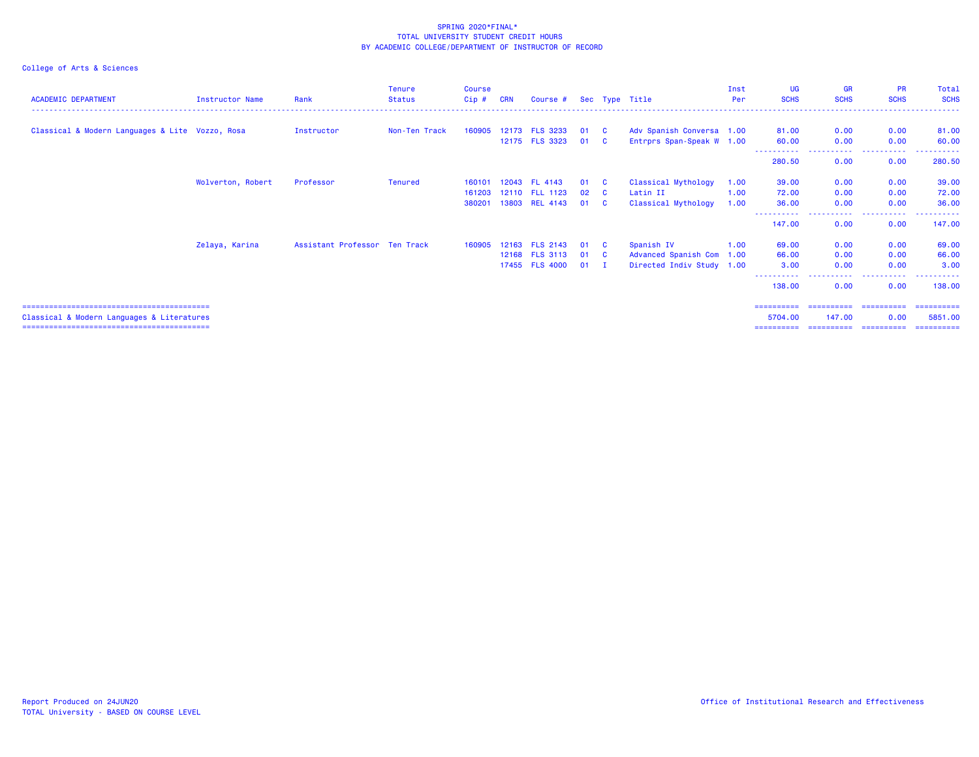College of Arts & Sciences

| <b>ACADEMIC DEPARTMENT</b>                      | Instructor Name   | Rank                          | <b>Tenure</b><br><b>Status</b> | <b>Course</b><br>$Cip$ # | <b>CRN</b> | Course #       |      |                         | Sec Type Title            | Inst<br>Per | <b>UG</b><br><b>SCHS</b> | <b>GR</b><br><b>SCHS</b> | <b>PR</b><br><b>SCHS</b> | Total<br><b>SCHS</b> |
|-------------------------------------------------|-------------------|-------------------------------|--------------------------------|--------------------------|------------|----------------|------|-------------------------|---------------------------|-------------|--------------------------|--------------------------|--------------------------|----------------------|
|                                                 |                   |                               |                                |                          |            |                |      |                         |                           |             |                          |                          |                          |                      |
| Classical & Modern Languages & Lite Vozzo, Rosa |                   | Instructor                    | Non-Ten Track                  | 160905                   |            | 12173 FLS 3233 | 01   | - C                     | Adv Spanish Conversa 1.00 |             | 81.00                    | 0.00                     | 0.00                     | 81.00                |
|                                                 |                   |                               |                                |                          |            | 12175 FLS 3323 | 01   | $\overline{\mathbf{C}}$ | Entrprs Span-Speak W 1.00 |             | 60.00                    | 0.00                     | 0.00                     | 60.00                |
|                                                 |                   |                               |                                |                          |            |                |      |                         |                           |             | 280.50                   | 0.00                     | 0.00                     | 280.50               |
|                                                 | Wolverton, Robert | Professor                     | <b>Tenured</b>                 | 160101                   |            | 12043 FL 4143  | 01   | - C                     | Classical Mythology       | 1.00        | 39.00                    | 0.00                     | 0.00                     | 39.00                |
|                                                 |                   |                               |                                | 161203                   |            | 12110 FLL 1123 | 02   | - C                     | Latin II                  | 1.00        | 72.00                    | 0.00                     | 0.00                     | 72.00                |
|                                                 |                   |                               |                                | 380201                   |            | 13803 REL 4143 | 01   | <b>C</b>                | Classical Mythology       | 1.00        | 36.00                    | 0.00                     | 0.00                     | 36.00                |
|                                                 |                   |                               |                                |                          |            |                |      |                         |                           |             | 147.00                   | 0.00                     | 0.00                     | 147.00               |
|                                                 | Zelaya, Karina    | Assistant Professor Ten Track |                                | 160905                   |            | 12163 FLS 2143 | 01   | $\mathbf{C}$            | Spanish IV                | 1.00        | 69.00                    | 0.00                     | 0.00                     | 69.00                |
|                                                 |                   |                               |                                |                          |            | 12168 FLS 3113 | 01 C |                         | Advanced Spanish Com 1.00 |             | 66.00                    | 0.00                     | 0.00                     | 66.00                |
|                                                 |                   |                               |                                |                          |            | 17455 FLS 4000 | 01   | $\mathbf{I}$            | Directed Indiv Study 1.00 |             | 3.00                     | 0.00                     | 0.00                     | 3.00                 |
|                                                 |                   |                               |                                |                          |            |                |      |                         |                           |             | 138,00                   | 0.00                     | 0.00                     | 138,00               |
|                                                 |                   |                               |                                |                          |            |                |      |                         |                           |             | ==========               |                          | ======================   | ==========           |
| Classical & Modern Languages & Literatures      |                   |                               |                                |                          |            |                |      |                         |                           |             | 5704.00                  | 147,00                   | 0.00                     | 5851.00              |
|                                                 |                   |                               |                                |                          |            |                |      |                         |                           |             | ==========               |                          | ======================   | ==========           |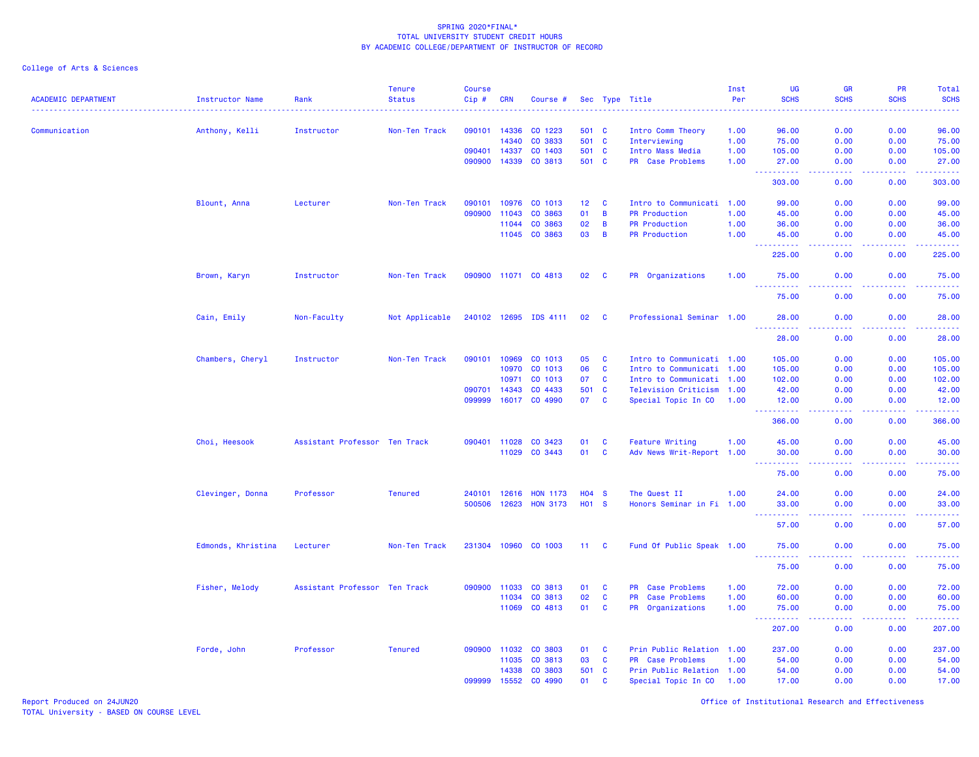| 090101<br>0.00<br>0.00<br>96.00<br>Communication<br>Anthony, Kelli<br>Instructor<br>14336<br>CO 1223<br>501 C<br>Intro Comm Theory<br>1.00<br>96.00<br>Non-Ten Track<br>14340<br>CO 3833<br>501 C<br>0.00<br>0.00<br>75.00<br>Interviewing<br>1.00<br>75.00<br>090401<br>501 C<br>14337<br>CO 1403<br>Intro Mass Media<br>1.00<br>105.00<br>0.00<br>0.00<br>105.00<br>090900<br>14339<br>CO 3813<br>501 C<br>PR Case Problems<br>1.00<br>27.00<br>0.00<br>0.00<br>27.00<br>.<br>$\sim$ $\sim$ $\sim$ $\sim$<br>بالأبابات<br>44<br>303.00<br>0.00<br>0.00<br>303.00<br>Blount, Anna<br>Non-Ten Track<br>090101<br>10976<br>CO 1013<br>12 <sub>2</sub><br>$\mathbf{C}$<br>Intro to Communicati 1.00<br>99.00<br>0.00<br>0.00<br>99.00<br>Lecturer<br>090900<br>11043<br>CO 3863<br>01<br>B<br><b>PR Production</b><br>45.00<br>0.00<br>0.00<br>45.00<br>1.00<br>02<br>B<br>0.00<br>0.00<br>36.00<br>11044<br>CO 3863<br><b>PR Production</b><br>1.00<br>36.00<br>11045<br>CO 3863<br>03<br>B<br><b>PR Production</b><br>1.00<br>45.00<br>0.00<br>0.00<br>45.00<br>225.00<br>225.00<br>0.00<br>0.00<br>Brown, Karyn<br>Instructor<br>Non-Ten Track<br>090900 11071 CO 4813<br>02<br>$\mathbf{C}$<br>PR Organizations<br>1.00<br>75.00<br>0.00<br>0.00<br>75.00<br>0.00<br>75.00<br>0.00<br>75.00<br>240102 12695 IDS 4111<br>28.00<br>Cain, Emily<br>Non-Faculty<br>Not Applicable<br>02<br><b>C</b><br>Professional Seminar 1.00<br>28.00<br>0.00<br>0.00<br>28.00<br>0.00<br>0.00<br>28.00<br>0.00<br>Chambers, Cheryl<br>Instructor<br>Non-Ten Track<br>090101<br>10969<br>CO 1013<br>05<br>C<br>Intro to Communicati 1.00<br>105.00<br>0.00<br>105.00<br>10970<br>CO 1013<br>06<br>$\mathbf{C}$<br>Intro to Communicati 1.00<br>0.00<br>0.00<br>105.00<br>105.00<br>CO 1013<br>10971<br>07<br>C<br>Intro to Communicati 1.00<br>102.00<br>0.00<br>0.00<br>102.00<br>CO 4433<br>501<br>42.00<br>090701<br>14343<br>$\mathbf{C}$<br>Television Criticism 1.00<br>42.00<br>0.00<br>0.00<br>16017<br>CO 4990<br>07<br>099999<br><b>C</b><br>Special Topic In CO<br>0.00<br>12.00<br>1.00<br>12.00<br>0.00<br>0.00<br>366.00<br>366.00<br>0.00<br>Choi, Heesook<br>Assistant Professor Ten Track<br>090401<br>CO 3423<br>01<br><b>Feature Writing</b><br>0.00<br>45.00<br>11028<br>C<br>1.00<br>45.00<br>0.00<br>11029<br>CO 3443<br>01<br><b>C</b><br>Adv News Writ-Report 1.00<br>30.00<br>0.00<br>0.00<br>30.00<br>.<br>د د د د<br>.<br>.<br>75.00<br>0.00<br>0.00<br>75.00<br>12616<br><b>HO4</b><br>$\mathbf{s}$<br>0.00<br>0.00<br>24.00<br>Clevinger, Donna<br>Professor<br><b>Tenured</b><br>240101<br><b>HON 1173</b><br>The Quest II<br>1.00<br>24.00<br>500506<br>12623<br><b>HON 3173</b><br><b>HO1</b><br><b>S</b><br>Honors Seminar in Fi 1.00<br>0.00<br>0.00<br>33.00<br>33,00<br>$\omega_{\rm c}$ and $\omega_{\rm c}$<br>57.00<br>0.00<br>0.00<br>57.00<br>Edmonds, Khristina<br>231304<br>10960<br>CO 1003<br>Fund Of Public Speak 1.00<br>0.00<br>0.00<br>Lecturer<br>Non-Ten Track<br>11 C<br>75.00<br>75.00<br>----<br>. <u>.</u><br>$   -$<br>.<br>.<br>0.00<br>0.00<br>75.00<br>75.00<br>Fisher, Melody<br>Assistant Professor Ten Track<br>090900<br>11033<br>CO 3813<br>01<br><b>C</b><br>PR Case Problems<br>1.00<br>72.00<br>0.00<br>0.00<br>72.00<br>11034<br>CO 3813<br>02<br><b>C</b><br><b>PR</b><br><b>Case Problems</b><br>1.00<br>60.00<br>0.00<br>0.00<br>60.00<br>11069<br>CO 4813<br>01<br>$\mathbf{C}$<br>PR Organizations<br>0.00<br>0.00<br>75.00<br>1.00<br>75.00<br>$\sim$ $\sim$ $\sim$<br><b><i><u><u> - - - - -</u></u></i></b><br>.<br>.<br>207.00<br>0.00<br>0.00<br>207.00<br>Prin Public Relation<br>237.00<br>Forde, John<br>Professor<br><b>Tenured</b><br>090900<br>11032<br>CO 3803<br>01<br>C<br>237.00<br>0.00<br>0.00<br>1.00<br>03<br>11035<br>CO 3813<br><b>C</b><br>PR Case Problems<br>1.00<br>54.00<br>0.00<br>0.00<br>54.00<br>14338<br>CO 3803<br>501<br>$\mathbf{C}$<br>Prin Public Relation 1.00<br>54.00<br>0.00<br>0.00<br>54.00<br>099999<br>15552<br>CO 4990<br>01<br>C<br>Special Topic In CO<br>1.00<br>17.00<br>0.00<br>0.00<br>17.00 | <b>ACADEMIC DEPARTMENT</b> | <b>Instructor Name</b> | Rank | <b>Tenure</b><br><b>Status</b> | Course<br>Cip# | <b>CRN</b> | Course # |  | Sec Type Title | Inst<br>Per | UG<br><b>SCHS</b> | <b>GR</b><br><b>SCHS</b> | PR<br><b>SCHS</b> | Total<br><b>SCHS</b> |
|------------------------------------------------------------------------------------------------------------------------------------------------------------------------------------------------------------------------------------------------------------------------------------------------------------------------------------------------------------------------------------------------------------------------------------------------------------------------------------------------------------------------------------------------------------------------------------------------------------------------------------------------------------------------------------------------------------------------------------------------------------------------------------------------------------------------------------------------------------------------------------------------------------------------------------------------------------------------------------------------------------------------------------------------------------------------------------------------------------------------------------------------------------------------------------------------------------------------------------------------------------------------------------------------------------------------------------------------------------------------------------------------------------------------------------------------------------------------------------------------------------------------------------------------------------------------------------------------------------------------------------------------------------------------------------------------------------------------------------------------------------------------------------------------------------------------------------------------------------------------------------------------------------------------------------------------------------------------------------------------------------------------------------------------------------------------------------------------------------------------------------------------------------------------------------------------------------------------------------------------------------------------------------------------------------------------------------------------------------------------------------------------------------------------------------------------------------------------------------------------------------------------------------------------------------------------------------------------------------------------------------------------------------------------------------------------------------------------------------------------------------------------------------------------------------------------------------------------------------------------------------------------------------------------------------------------------------------------------------------------------------------------------------------------------------------------------------------------------------------------------------------------------------------------------------------------------------------------------------------------------------------------------------------------------------------------------------------------------------------------------------------------------------------------------------------------------------------------------------------------------------------------------------------------------------------------------------------------------------------------------------------------------------------------------------------------------------------------------------------------------------------------------------------------------------------------------------------------------------------------------------------------------------------------------------------------------------------------------------------------------------------------------------------------------------------------------------------------------------|----------------------------|------------------------|------|--------------------------------|----------------|------------|----------|--|----------------|-------------|-------------------|--------------------------|-------------------|----------------------|
|                                                                                                                                                                                                                                                                                                                                                                                                                                                                                                                                                                                                                                                                                                                                                                                                                                                                                                                                                                                                                                                                                                                                                                                                                                                                                                                                                                                                                                                                                                                                                                                                                                                                                                                                                                                                                                                                                                                                                                                                                                                                                                                                                                                                                                                                                                                                                                                                                                                                                                                                                                                                                                                                                                                                                                                                                                                                                                                                                                                                                                                                                                                                                                                                                                                                                                                                                                                                                                                                                                                                                                                                                                                                                                                                                                                                                                                                                                                                                                                                                                                                                                            |                            |                        |      |                                |                |            |          |  |                |             |                   |                          |                   |                      |
|                                                                                                                                                                                                                                                                                                                                                                                                                                                                                                                                                                                                                                                                                                                                                                                                                                                                                                                                                                                                                                                                                                                                                                                                                                                                                                                                                                                                                                                                                                                                                                                                                                                                                                                                                                                                                                                                                                                                                                                                                                                                                                                                                                                                                                                                                                                                                                                                                                                                                                                                                                                                                                                                                                                                                                                                                                                                                                                                                                                                                                                                                                                                                                                                                                                                                                                                                                                                                                                                                                                                                                                                                                                                                                                                                                                                                                                                                                                                                                                                                                                                                                            |                            |                        |      |                                |                |            |          |  |                |             |                   |                          |                   |                      |
|                                                                                                                                                                                                                                                                                                                                                                                                                                                                                                                                                                                                                                                                                                                                                                                                                                                                                                                                                                                                                                                                                                                                                                                                                                                                                                                                                                                                                                                                                                                                                                                                                                                                                                                                                                                                                                                                                                                                                                                                                                                                                                                                                                                                                                                                                                                                                                                                                                                                                                                                                                                                                                                                                                                                                                                                                                                                                                                                                                                                                                                                                                                                                                                                                                                                                                                                                                                                                                                                                                                                                                                                                                                                                                                                                                                                                                                                                                                                                                                                                                                                                                            |                            |                        |      |                                |                |            |          |  |                |             |                   |                          |                   |                      |
|                                                                                                                                                                                                                                                                                                                                                                                                                                                                                                                                                                                                                                                                                                                                                                                                                                                                                                                                                                                                                                                                                                                                                                                                                                                                                                                                                                                                                                                                                                                                                                                                                                                                                                                                                                                                                                                                                                                                                                                                                                                                                                                                                                                                                                                                                                                                                                                                                                                                                                                                                                                                                                                                                                                                                                                                                                                                                                                                                                                                                                                                                                                                                                                                                                                                                                                                                                                                                                                                                                                                                                                                                                                                                                                                                                                                                                                                                                                                                                                                                                                                                                            |                            |                        |      |                                |                |            |          |  |                |             |                   |                          |                   |                      |
|                                                                                                                                                                                                                                                                                                                                                                                                                                                                                                                                                                                                                                                                                                                                                                                                                                                                                                                                                                                                                                                                                                                                                                                                                                                                                                                                                                                                                                                                                                                                                                                                                                                                                                                                                                                                                                                                                                                                                                                                                                                                                                                                                                                                                                                                                                                                                                                                                                                                                                                                                                                                                                                                                                                                                                                                                                                                                                                                                                                                                                                                                                                                                                                                                                                                                                                                                                                                                                                                                                                                                                                                                                                                                                                                                                                                                                                                                                                                                                                                                                                                                                            |                            |                        |      |                                |                |            |          |  |                |             |                   |                          |                   |                      |
|                                                                                                                                                                                                                                                                                                                                                                                                                                                                                                                                                                                                                                                                                                                                                                                                                                                                                                                                                                                                                                                                                                                                                                                                                                                                                                                                                                                                                                                                                                                                                                                                                                                                                                                                                                                                                                                                                                                                                                                                                                                                                                                                                                                                                                                                                                                                                                                                                                                                                                                                                                                                                                                                                                                                                                                                                                                                                                                                                                                                                                                                                                                                                                                                                                                                                                                                                                                                                                                                                                                                                                                                                                                                                                                                                                                                                                                                                                                                                                                                                                                                                                            |                            |                        |      |                                |                |            |          |  |                |             |                   |                          |                   |                      |
|                                                                                                                                                                                                                                                                                                                                                                                                                                                                                                                                                                                                                                                                                                                                                                                                                                                                                                                                                                                                                                                                                                                                                                                                                                                                                                                                                                                                                                                                                                                                                                                                                                                                                                                                                                                                                                                                                                                                                                                                                                                                                                                                                                                                                                                                                                                                                                                                                                                                                                                                                                                                                                                                                                                                                                                                                                                                                                                                                                                                                                                                                                                                                                                                                                                                                                                                                                                                                                                                                                                                                                                                                                                                                                                                                                                                                                                                                                                                                                                                                                                                                                            |                            |                        |      |                                |                |            |          |  |                |             |                   |                          |                   |                      |
|                                                                                                                                                                                                                                                                                                                                                                                                                                                                                                                                                                                                                                                                                                                                                                                                                                                                                                                                                                                                                                                                                                                                                                                                                                                                                                                                                                                                                                                                                                                                                                                                                                                                                                                                                                                                                                                                                                                                                                                                                                                                                                                                                                                                                                                                                                                                                                                                                                                                                                                                                                                                                                                                                                                                                                                                                                                                                                                                                                                                                                                                                                                                                                                                                                                                                                                                                                                                                                                                                                                                                                                                                                                                                                                                                                                                                                                                                                                                                                                                                                                                                                            |                            |                        |      |                                |                |            |          |  |                |             |                   |                          |                   |                      |
|                                                                                                                                                                                                                                                                                                                                                                                                                                                                                                                                                                                                                                                                                                                                                                                                                                                                                                                                                                                                                                                                                                                                                                                                                                                                                                                                                                                                                                                                                                                                                                                                                                                                                                                                                                                                                                                                                                                                                                                                                                                                                                                                                                                                                                                                                                                                                                                                                                                                                                                                                                                                                                                                                                                                                                                                                                                                                                                                                                                                                                                                                                                                                                                                                                                                                                                                                                                                                                                                                                                                                                                                                                                                                                                                                                                                                                                                                                                                                                                                                                                                                                            |                            |                        |      |                                |                |            |          |  |                |             |                   |                          |                   |                      |
|                                                                                                                                                                                                                                                                                                                                                                                                                                                                                                                                                                                                                                                                                                                                                                                                                                                                                                                                                                                                                                                                                                                                                                                                                                                                                                                                                                                                                                                                                                                                                                                                                                                                                                                                                                                                                                                                                                                                                                                                                                                                                                                                                                                                                                                                                                                                                                                                                                                                                                                                                                                                                                                                                                                                                                                                                                                                                                                                                                                                                                                                                                                                                                                                                                                                                                                                                                                                                                                                                                                                                                                                                                                                                                                                                                                                                                                                                                                                                                                                                                                                                                            |                            |                        |      |                                |                |            |          |  |                |             |                   |                          |                   |                      |
|                                                                                                                                                                                                                                                                                                                                                                                                                                                                                                                                                                                                                                                                                                                                                                                                                                                                                                                                                                                                                                                                                                                                                                                                                                                                                                                                                                                                                                                                                                                                                                                                                                                                                                                                                                                                                                                                                                                                                                                                                                                                                                                                                                                                                                                                                                                                                                                                                                                                                                                                                                                                                                                                                                                                                                                                                                                                                                                                                                                                                                                                                                                                                                                                                                                                                                                                                                                                                                                                                                                                                                                                                                                                                                                                                                                                                                                                                                                                                                                                                                                                                                            |                            |                        |      |                                |                |            |          |  |                |             |                   |                          |                   |                      |
|                                                                                                                                                                                                                                                                                                                                                                                                                                                                                                                                                                                                                                                                                                                                                                                                                                                                                                                                                                                                                                                                                                                                                                                                                                                                                                                                                                                                                                                                                                                                                                                                                                                                                                                                                                                                                                                                                                                                                                                                                                                                                                                                                                                                                                                                                                                                                                                                                                                                                                                                                                                                                                                                                                                                                                                                                                                                                                                                                                                                                                                                                                                                                                                                                                                                                                                                                                                                                                                                                                                                                                                                                                                                                                                                                                                                                                                                                                                                                                                                                                                                                                            |                            |                        |      |                                |                |            |          |  |                |             |                   |                          |                   |                      |
|                                                                                                                                                                                                                                                                                                                                                                                                                                                                                                                                                                                                                                                                                                                                                                                                                                                                                                                                                                                                                                                                                                                                                                                                                                                                                                                                                                                                                                                                                                                                                                                                                                                                                                                                                                                                                                                                                                                                                                                                                                                                                                                                                                                                                                                                                                                                                                                                                                                                                                                                                                                                                                                                                                                                                                                                                                                                                                                                                                                                                                                                                                                                                                                                                                                                                                                                                                                                                                                                                                                                                                                                                                                                                                                                                                                                                                                                                                                                                                                                                                                                                                            |                            |                        |      |                                |                |            |          |  |                |             |                   |                          |                   |                      |
|                                                                                                                                                                                                                                                                                                                                                                                                                                                                                                                                                                                                                                                                                                                                                                                                                                                                                                                                                                                                                                                                                                                                                                                                                                                                                                                                                                                                                                                                                                                                                                                                                                                                                                                                                                                                                                                                                                                                                                                                                                                                                                                                                                                                                                                                                                                                                                                                                                                                                                                                                                                                                                                                                                                                                                                                                                                                                                                                                                                                                                                                                                                                                                                                                                                                                                                                                                                                                                                                                                                                                                                                                                                                                                                                                                                                                                                                                                                                                                                                                                                                                                            |                            |                        |      |                                |                |            |          |  |                |             |                   |                          |                   |                      |
|                                                                                                                                                                                                                                                                                                                                                                                                                                                                                                                                                                                                                                                                                                                                                                                                                                                                                                                                                                                                                                                                                                                                                                                                                                                                                                                                                                                                                                                                                                                                                                                                                                                                                                                                                                                                                                                                                                                                                                                                                                                                                                                                                                                                                                                                                                                                                                                                                                                                                                                                                                                                                                                                                                                                                                                                                                                                                                                                                                                                                                                                                                                                                                                                                                                                                                                                                                                                                                                                                                                                                                                                                                                                                                                                                                                                                                                                                                                                                                                                                                                                                                            |                            |                        |      |                                |                |            |          |  |                |             |                   |                          |                   |                      |
|                                                                                                                                                                                                                                                                                                                                                                                                                                                                                                                                                                                                                                                                                                                                                                                                                                                                                                                                                                                                                                                                                                                                                                                                                                                                                                                                                                                                                                                                                                                                                                                                                                                                                                                                                                                                                                                                                                                                                                                                                                                                                                                                                                                                                                                                                                                                                                                                                                                                                                                                                                                                                                                                                                                                                                                                                                                                                                                                                                                                                                                                                                                                                                                                                                                                                                                                                                                                                                                                                                                                                                                                                                                                                                                                                                                                                                                                                                                                                                                                                                                                                                            |                            |                        |      |                                |                |            |          |  |                |             |                   |                          |                   |                      |
|                                                                                                                                                                                                                                                                                                                                                                                                                                                                                                                                                                                                                                                                                                                                                                                                                                                                                                                                                                                                                                                                                                                                                                                                                                                                                                                                                                                                                                                                                                                                                                                                                                                                                                                                                                                                                                                                                                                                                                                                                                                                                                                                                                                                                                                                                                                                                                                                                                                                                                                                                                                                                                                                                                                                                                                                                                                                                                                                                                                                                                                                                                                                                                                                                                                                                                                                                                                                                                                                                                                                                                                                                                                                                                                                                                                                                                                                                                                                                                                                                                                                                                            |                            |                        |      |                                |                |            |          |  |                |             |                   |                          |                   |                      |
|                                                                                                                                                                                                                                                                                                                                                                                                                                                                                                                                                                                                                                                                                                                                                                                                                                                                                                                                                                                                                                                                                                                                                                                                                                                                                                                                                                                                                                                                                                                                                                                                                                                                                                                                                                                                                                                                                                                                                                                                                                                                                                                                                                                                                                                                                                                                                                                                                                                                                                                                                                                                                                                                                                                                                                                                                                                                                                                                                                                                                                                                                                                                                                                                                                                                                                                                                                                                                                                                                                                                                                                                                                                                                                                                                                                                                                                                                                                                                                                                                                                                                                            |                            |                        |      |                                |                |            |          |  |                |             |                   |                          |                   |                      |
|                                                                                                                                                                                                                                                                                                                                                                                                                                                                                                                                                                                                                                                                                                                                                                                                                                                                                                                                                                                                                                                                                                                                                                                                                                                                                                                                                                                                                                                                                                                                                                                                                                                                                                                                                                                                                                                                                                                                                                                                                                                                                                                                                                                                                                                                                                                                                                                                                                                                                                                                                                                                                                                                                                                                                                                                                                                                                                                                                                                                                                                                                                                                                                                                                                                                                                                                                                                                                                                                                                                                                                                                                                                                                                                                                                                                                                                                                                                                                                                                                                                                                                            |                            |                        |      |                                |                |            |          |  |                |             |                   |                          |                   |                      |
|                                                                                                                                                                                                                                                                                                                                                                                                                                                                                                                                                                                                                                                                                                                                                                                                                                                                                                                                                                                                                                                                                                                                                                                                                                                                                                                                                                                                                                                                                                                                                                                                                                                                                                                                                                                                                                                                                                                                                                                                                                                                                                                                                                                                                                                                                                                                                                                                                                                                                                                                                                                                                                                                                                                                                                                                                                                                                                                                                                                                                                                                                                                                                                                                                                                                                                                                                                                                                                                                                                                                                                                                                                                                                                                                                                                                                                                                                                                                                                                                                                                                                                            |                            |                        |      |                                |                |            |          |  |                |             |                   |                          |                   |                      |
|                                                                                                                                                                                                                                                                                                                                                                                                                                                                                                                                                                                                                                                                                                                                                                                                                                                                                                                                                                                                                                                                                                                                                                                                                                                                                                                                                                                                                                                                                                                                                                                                                                                                                                                                                                                                                                                                                                                                                                                                                                                                                                                                                                                                                                                                                                                                                                                                                                                                                                                                                                                                                                                                                                                                                                                                                                                                                                                                                                                                                                                                                                                                                                                                                                                                                                                                                                                                                                                                                                                                                                                                                                                                                                                                                                                                                                                                                                                                                                                                                                                                                                            |                            |                        |      |                                |                |            |          |  |                |             |                   |                          |                   |                      |
|                                                                                                                                                                                                                                                                                                                                                                                                                                                                                                                                                                                                                                                                                                                                                                                                                                                                                                                                                                                                                                                                                                                                                                                                                                                                                                                                                                                                                                                                                                                                                                                                                                                                                                                                                                                                                                                                                                                                                                                                                                                                                                                                                                                                                                                                                                                                                                                                                                                                                                                                                                                                                                                                                                                                                                                                                                                                                                                                                                                                                                                                                                                                                                                                                                                                                                                                                                                                                                                                                                                                                                                                                                                                                                                                                                                                                                                                                                                                                                                                                                                                                                            |                            |                        |      |                                |                |            |          |  |                |             |                   |                          |                   |                      |
|                                                                                                                                                                                                                                                                                                                                                                                                                                                                                                                                                                                                                                                                                                                                                                                                                                                                                                                                                                                                                                                                                                                                                                                                                                                                                                                                                                                                                                                                                                                                                                                                                                                                                                                                                                                                                                                                                                                                                                                                                                                                                                                                                                                                                                                                                                                                                                                                                                                                                                                                                                                                                                                                                                                                                                                                                                                                                                                                                                                                                                                                                                                                                                                                                                                                                                                                                                                                                                                                                                                                                                                                                                                                                                                                                                                                                                                                                                                                                                                                                                                                                                            |                            |                        |      |                                |                |            |          |  |                |             |                   |                          |                   |                      |
|                                                                                                                                                                                                                                                                                                                                                                                                                                                                                                                                                                                                                                                                                                                                                                                                                                                                                                                                                                                                                                                                                                                                                                                                                                                                                                                                                                                                                                                                                                                                                                                                                                                                                                                                                                                                                                                                                                                                                                                                                                                                                                                                                                                                                                                                                                                                                                                                                                                                                                                                                                                                                                                                                                                                                                                                                                                                                                                                                                                                                                                                                                                                                                                                                                                                                                                                                                                                                                                                                                                                                                                                                                                                                                                                                                                                                                                                                                                                                                                                                                                                                                            |                            |                        |      |                                |                |            |          |  |                |             |                   |                          |                   |                      |
|                                                                                                                                                                                                                                                                                                                                                                                                                                                                                                                                                                                                                                                                                                                                                                                                                                                                                                                                                                                                                                                                                                                                                                                                                                                                                                                                                                                                                                                                                                                                                                                                                                                                                                                                                                                                                                                                                                                                                                                                                                                                                                                                                                                                                                                                                                                                                                                                                                                                                                                                                                                                                                                                                                                                                                                                                                                                                                                                                                                                                                                                                                                                                                                                                                                                                                                                                                                                                                                                                                                                                                                                                                                                                                                                                                                                                                                                                                                                                                                                                                                                                                            |                            |                        |      |                                |                |            |          |  |                |             |                   |                          |                   |                      |
|                                                                                                                                                                                                                                                                                                                                                                                                                                                                                                                                                                                                                                                                                                                                                                                                                                                                                                                                                                                                                                                                                                                                                                                                                                                                                                                                                                                                                                                                                                                                                                                                                                                                                                                                                                                                                                                                                                                                                                                                                                                                                                                                                                                                                                                                                                                                                                                                                                                                                                                                                                                                                                                                                                                                                                                                                                                                                                                                                                                                                                                                                                                                                                                                                                                                                                                                                                                                                                                                                                                                                                                                                                                                                                                                                                                                                                                                                                                                                                                                                                                                                                            |                            |                        |      |                                |                |            |          |  |                |             |                   |                          |                   |                      |
|                                                                                                                                                                                                                                                                                                                                                                                                                                                                                                                                                                                                                                                                                                                                                                                                                                                                                                                                                                                                                                                                                                                                                                                                                                                                                                                                                                                                                                                                                                                                                                                                                                                                                                                                                                                                                                                                                                                                                                                                                                                                                                                                                                                                                                                                                                                                                                                                                                                                                                                                                                                                                                                                                                                                                                                                                                                                                                                                                                                                                                                                                                                                                                                                                                                                                                                                                                                                                                                                                                                                                                                                                                                                                                                                                                                                                                                                                                                                                                                                                                                                                                            |                            |                        |      |                                |                |            |          |  |                |             |                   |                          |                   |                      |
|                                                                                                                                                                                                                                                                                                                                                                                                                                                                                                                                                                                                                                                                                                                                                                                                                                                                                                                                                                                                                                                                                                                                                                                                                                                                                                                                                                                                                                                                                                                                                                                                                                                                                                                                                                                                                                                                                                                                                                                                                                                                                                                                                                                                                                                                                                                                                                                                                                                                                                                                                                                                                                                                                                                                                                                                                                                                                                                                                                                                                                                                                                                                                                                                                                                                                                                                                                                                                                                                                                                                                                                                                                                                                                                                                                                                                                                                                                                                                                                                                                                                                                            |                            |                        |      |                                |                |            |          |  |                |             |                   |                          |                   |                      |
|                                                                                                                                                                                                                                                                                                                                                                                                                                                                                                                                                                                                                                                                                                                                                                                                                                                                                                                                                                                                                                                                                                                                                                                                                                                                                                                                                                                                                                                                                                                                                                                                                                                                                                                                                                                                                                                                                                                                                                                                                                                                                                                                                                                                                                                                                                                                                                                                                                                                                                                                                                                                                                                                                                                                                                                                                                                                                                                                                                                                                                                                                                                                                                                                                                                                                                                                                                                                                                                                                                                                                                                                                                                                                                                                                                                                                                                                                                                                                                                                                                                                                                            |                            |                        |      |                                |                |            |          |  |                |             |                   |                          |                   |                      |
|                                                                                                                                                                                                                                                                                                                                                                                                                                                                                                                                                                                                                                                                                                                                                                                                                                                                                                                                                                                                                                                                                                                                                                                                                                                                                                                                                                                                                                                                                                                                                                                                                                                                                                                                                                                                                                                                                                                                                                                                                                                                                                                                                                                                                                                                                                                                                                                                                                                                                                                                                                                                                                                                                                                                                                                                                                                                                                                                                                                                                                                                                                                                                                                                                                                                                                                                                                                                                                                                                                                                                                                                                                                                                                                                                                                                                                                                                                                                                                                                                                                                                                            |                            |                        |      |                                |                |            |          |  |                |             |                   |                          |                   |                      |
|                                                                                                                                                                                                                                                                                                                                                                                                                                                                                                                                                                                                                                                                                                                                                                                                                                                                                                                                                                                                                                                                                                                                                                                                                                                                                                                                                                                                                                                                                                                                                                                                                                                                                                                                                                                                                                                                                                                                                                                                                                                                                                                                                                                                                                                                                                                                                                                                                                                                                                                                                                                                                                                                                                                                                                                                                                                                                                                                                                                                                                                                                                                                                                                                                                                                                                                                                                                                                                                                                                                                                                                                                                                                                                                                                                                                                                                                                                                                                                                                                                                                                                            |                            |                        |      |                                |                |            |          |  |                |             |                   |                          |                   |                      |
|                                                                                                                                                                                                                                                                                                                                                                                                                                                                                                                                                                                                                                                                                                                                                                                                                                                                                                                                                                                                                                                                                                                                                                                                                                                                                                                                                                                                                                                                                                                                                                                                                                                                                                                                                                                                                                                                                                                                                                                                                                                                                                                                                                                                                                                                                                                                                                                                                                                                                                                                                                                                                                                                                                                                                                                                                                                                                                                                                                                                                                                                                                                                                                                                                                                                                                                                                                                                                                                                                                                                                                                                                                                                                                                                                                                                                                                                                                                                                                                                                                                                                                            |                            |                        |      |                                |                |            |          |  |                |             |                   |                          |                   |                      |
|                                                                                                                                                                                                                                                                                                                                                                                                                                                                                                                                                                                                                                                                                                                                                                                                                                                                                                                                                                                                                                                                                                                                                                                                                                                                                                                                                                                                                                                                                                                                                                                                                                                                                                                                                                                                                                                                                                                                                                                                                                                                                                                                                                                                                                                                                                                                                                                                                                                                                                                                                                                                                                                                                                                                                                                                                                                                                                                                                                                                                                                                                                                                                                                                                                                                                                                                                                                                                                                                                                                                                                                                                                                                                                                                                                                                                                                                                                                                                                                                                                                                                                            |                            |                        |      |                                |                |            |          |  |                |             |                   |                          |                   |                      |
|                                                                                                                                                                                                                                                                                                                                                                                                                                                                                                                                                                                                                                                                                                                                                                                                                                                                                                                                                                                                                                                                                                                                                                                                                                                                                                                                                                                                                                                                                                                                                                                                                                                                                                                                                                                                                                                                                                                                                                                                                                                                                                                                                                                                                                                                                                                                                                                                                                                                                                                                                                                                                                                                                                                                                                                                                                                                                                                                                                                                                                                                                                                                                                                                                                                                                                                                                                                                                                                                                                                                                                                                                                                                                                                                                                                                                                                                                                                                                                                                                                                                                                            |                            |                        |      |                                |                |            |          |  |                |             |                   |                          |                   |                      |
|                                                                                                                                                                                                                                                                                                                                                                                                                                                                                                                                                                                                                                                                                                                                                                                                                                                                                                                                                                                                                                                                                                                                                                                                                                                                                                                                                                                                                                                                                                                                                                                                                                                                                                                                                                                                                                                                                                                                                                                                                                                                                                                                                                                                                                                                                                                                                                                                                                                                                                                                                                                                                                                                                                                                                                                                                                                                                                                                                                                                                                                                                                                                                                                                                                                                                                                                                                                                                                                                                                                                                                                                                                                                                                                                                                                                                                                                                                                                                                                                                                                                                                            |                            |                        |      |                                |                |            |          |  |                |             |                   |                          |                   |                      |
|                                                                                                                                                                                                                                                                                                                                                                                                                                                                                                                                                                                                                                                                                                                                                                                                                                                                                                                                                                                                                                                                                                                                                                                                                                                                                                                                                                                                                                                                                                                                                                                                                                                                                                                                                                                                                                                                                                                                                                                                                                                                                                                                                                                                                                                                                                                                                                                                                                                                                                                                                                                                                                                                                                                                                                                                                                                                                                                                                                                                                                                                                                                                                                                                                                                                                                                                                                                                                                                                                                                                                                                                                                                                                                                                                                                                                                                                                                                                                                                                                                                                                                            |                            |                        |      |                                |                |            |          |  |                |             |                   |                          |                   |                      |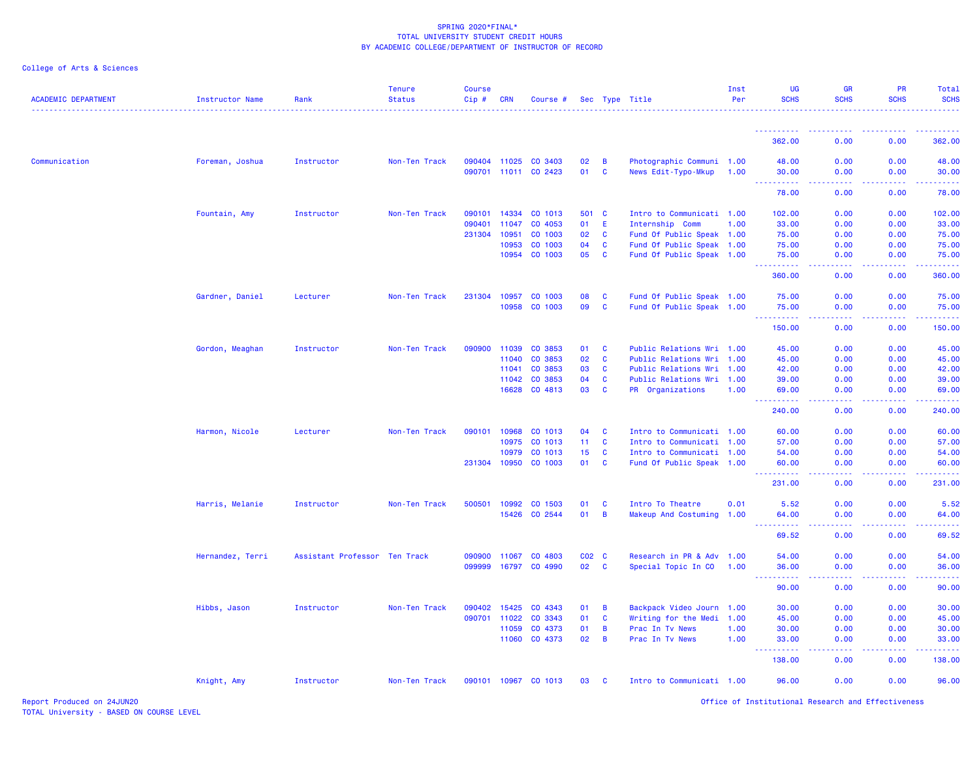| <b>ACADEMIC DEPARTMENT</b> | Instructor Name  | Rank                          | <b>Tenure</b><br><b>Status</b> | <b>Course</b><br>Cip# | CRN          | Course #             |                 |          | Sec Type Title            | Inst<br>Per | <b>UG</b><br><b>SCHS</b>                                         | <b>GR</b><br><b>SCHS</b>                | <b>PR</b><br><b>SCHS</b>                                                                                                          | Total<br><b>SCHS</b> |
|----------------------------|------------------|-------------------------------|--------------------------------|-----------------------|--------------|----------------------|-----------------|----------|---------------------------|-------------|------------------------------------------------------------------|-----------------------------------------|-----------------------------------------------------------------------------------------------------------------------------------|----------------------|
|                            |                  |                               |                                |                       |              |                      |                 |          |                           |             | <u>.</u>                                                         | $\sim$ $\sim$ $\sim$ $\sim$<br><u>.</u> | <u>.</u>                                                                                                                          | <u>.</u>             |
|                            |                  |                               |                                |                       |              |                      |                 |          |                           |             | 362.00                                                           | 0.00                                    | 0.00                                                                                                                              | 362.00               |
| Communication              | Foreman, Joshua  | Instructor                    | Non-Ten Track                  |                       |              | 090404 11025 CO 3403 | 02              | B        | Photographic Communi 1.00 |             | 48.00                                                            | 0.00                                    | 0.00                                                                                                                              | 48.00                |
|                            |                  |                               |                                |                       |              | 090701 11011 CO 2423 | 01              | C        | News Edit-Typo-Mkup       | 1.00        | 30.00<br>.                                                       | 0.00                                    | 0.00                                                                                                                              | 30.00                |
|                            |                  |                               |                                |                       |              |                      |                 |          |                           |             | 78.00                                                            | 0.00                                    | 0.00                                                                                                                              | 78.00                |
|                            | Fountain, Amy    | Instructor                    | Non-Ten Track                  | 090101                | 14334        | CO 1013              | 501 C           |          | Intro to Communicati 1.00 |             | 102.00                                                           | 0.00                                    | 0.00                                                                                                                              | 102.00               |
|                            |                  |                               |                                | 090401                | 11047        | CO 4053              | 01              | E        | Internship Comm           | 1.00        | 33.00                                                            | 0.00                                    | 0.00                                                                                                                              | 33.00                |
|                            |                  |                               |                                | 231304 10951          |              | CO 1003              | 02              | C        | Fund Of Public Speak 1.00 |             | 75.00                                                            | 0.00                                    | 0.00                                                                                                                              | 75.00                |
|                            |                  |                               |                                |                       | 10953        | CO 1003              | 04              | C        | Fund Of Public Speak 1.00 |             | 75.00                                                            | 0.00                                    | 0.00                                                                                                                              | 75.00                |
|                            |                  |                               |                                |                       | 10954        | CO 1003              | 05              | <b>C</b> | Fund Of Public Speak 1.00 |             | 75.00<br>.                                                       | 0.00<br>.                               | 0.00<br>.                                                                                                                         | 75.00                |
|                            |                  |                               |                                |                       |              |                      |                 |          |                           |             | 360.00                                                           | 0.00                                    | 0.00                                                                                                                              | 360.00               |
|                            | Gardner, Daniel  | Lecturer                      | Non-Ten Track                  | 231304 10957          |              | CO 1003              | 08              | C        | Fund Of Public Speak 1.00 |             | 75.00                                                            | 0.00                                    | 0.00                                                                                                                              | 75.00                |
|                            |                  |                               |                                |                       | 10958        | CO 1003              | 09              | C        | Fund Of Public Speak 1.00 |             | 75.00<br>222222                                                  | 0.00<br>د د د د                         | 0.00<br>22222                                                                                                                     | 75.00<br>.           |
|                            |                  |                               |                                |                       |              |                      |                 |          |                           |             | 150.00                                                           | 0.00                                    | 0.00                                                                                                                              | 150.00               |
|                            | Gordon, Meaghan  | Instructor                    | Non-Ten Track                  | 090900                | 11039        | CO 3853              | 01              | C        | Public Relations Wri 1.00 |             | 45.00                                                            | 0.00                                    | 0.00                                                                                                                              | 45.00                |
|                            |                  |                               |                                |                       | 11040        | CO 3853              | 02              | C        | Public Relations Wri      | 1.00        | 45.00                                                            | 0.00                                    | 0.00                                                                                                                              | 45.00                |
|                            |                  |                               |                                |                       | 11041        | CO 3853              | 03              | C        | Public Relations Wri 1.00 |             | 42.00                                                            | 0.00                                    | 0.00                                                                                                                              | 42.00                |
|                            |                  |                               |                                |                       | 11042        | CO 3853              | 04              | <b>C</b> | Public Relations Wri 1.00 |             | 39.00                                                            | 0.00                                    | 0.00                                                                                                                              | 39.00                |
|                            |                  |                               |                                |                       | 16628        | CO 4813              | 03              | <b>C</b> | PR Organizations          | 1.00        | 69.00<br><b><i><u>AAAAAAAAA</u></i></b>                          | 0.00<br>.                               | 0.00<br>2.2.2.2.2                                                                                                                 | 69.00<br><u>.</u>    |
|                            |                  |                               |                                |                       |              |                      |                 |          |                           |             | 240.00                                                           | 0.00                                    | 0.00                                                                                                                              | 240.00               |
|                            | Harmon, Nicole   | Lecturer                      | Non-Ten Track                  | 090101                | 10968        | CO 1013              | 04              | C        | Intro to Communicati 1.00 |             | 60.00                                                            | 0.00                                    | 0.00                                                                                                                              | 60.00                |
|                            |                  |                               |                                |                       | 10975        | CO 1013              | 11              | C        | Intro to Communicati 1.00 |             | 57.00                                                            | 0.00                                    | 0.00                                                                                                                              | 57.00                |
|                            |                  |                               |                                |                       | 10979        | CO 1013              | 15 <sub>1</sub> | C        | Intro to Communicati 1.00 |             | 54.00                                                            | 0.00                                    | 0.00                                                                                                                              | 54.00                |
|                            |                  |                               |                                | 231304 10950          |              | CO 1003              | 01              | C        | Fund Of Public Speak 1.00 |             | 60.00<br><b><i><u><u><b>Little Little Little</b></u></u></i></b> | 0.00<br>.                               | 0.00<br>$\frac{1}{2} \left( \frac{1}{2} \right) \left( \frac{1}{2} \right) \left( \frac{1}{2} \right) \left( \frac{1}{2} \right)$ | 60.00<br>2.2.2.2.2   |
|                            |                  |                               |                                |                       |              |                      |                 |          |                           |             | 231.00                                                           | 0.00                                    | 0.00                                                                                                                              | 231.00               |
|                            | Harris, Melanie  | Instructor                    | Non-Ten Track                  | 500501                | 10992        | CO 1503              | 01              | C        | Intro To Theatre          | 0.01        | 5.52                                                             | 0.00                                    | 0.00                                                                                                                              | 5.52                 |
|                            |                  |                               |                                |                       | 15426        | CO 2544              | 01              | B        | Makeup And Costuming 1.00 |             | 64.00                                                            | 0.00                                    | 0.00                                                                                                                              | 64.00                |
|                            |                  |                               |                                |                       |              |                      |                 |          |                           |             | .<br>69.52                                                       | .<br>0.00                               | 0.00                                                                                                                              | 69.52                |
|                            | Hernandez, Terri | Assistant Professor Ten Track |                                | 090900                | 11067        | CO 4803              | $CO2$ $C$       |          | Research in PR & Adv 1.00 |             | 54.00                                                            | 0.00                                    | 0.00                                                                                                                              | 54.00                |
|                            |                  |                               |                                | 099999                | 16797        | CO 4990              | 02 C            |          | Special Topic In CO       | 1.00        | 36.00                                                            | 0.00                                    | 0.00                                                                                                                              | 36.00                |
|                            |                  |                               |                                |                       |              |                      |                 |          |                           |             | <b>.</b> .<br>90.00                                              | بالأباد<br>0.00                         | 0.00                                                                                                                              | 90.00                |
|                            | Hibbs, Jason     | Instructor                    | Non-Ten Track                  |                       | 090402 15425 | CO 4343              | 01              | B        | Backpack Video Journ 1.00 |             | 30.00                                                            | 0.00                                    | 0.00                                                                                                                              | 30.00                |
|                            |                  |                               |                                | 090701                | 11022        | CO 3343              | 01              | <b>C</b> | Writing for the Medi 1.00 |             | 45.00                                                            | 0.00                                    | 0.00                                                                                                                              | 45.00                |
|                            |                  |                               |                                |                       | 11059        | CO 4373              | 01              | B        | Prac In Tv News           | 1.00        | 30.00                                                            | 0.00                                    | 0.00                                                                                                                              | 30.00                |
|                            |                  |                               |                                |                       | 11060        | CO 4373              | 02              | B        | Prac In Tv News           | 1.00        | 33.00<br>.                                                       | 0.00                                    | 0.00                                                                                                                              | 33.00                |
|                            |                  |                               |                                |                       |              |                      |                 |          |                           |             | 138.00                                                           | 0.00                                    | 0.00                                                                                                                              | 138.00               |
|                            | Knight, Amy      | Instructor                    | Non-Ten Track                  |                       |              | 090101 10967 CO 1013 | 03              | C        | Intro to Communicati 1.00 |             | 96.00                                                            | 0.00                                    | 0.00                                                                                                                              | 96.00                |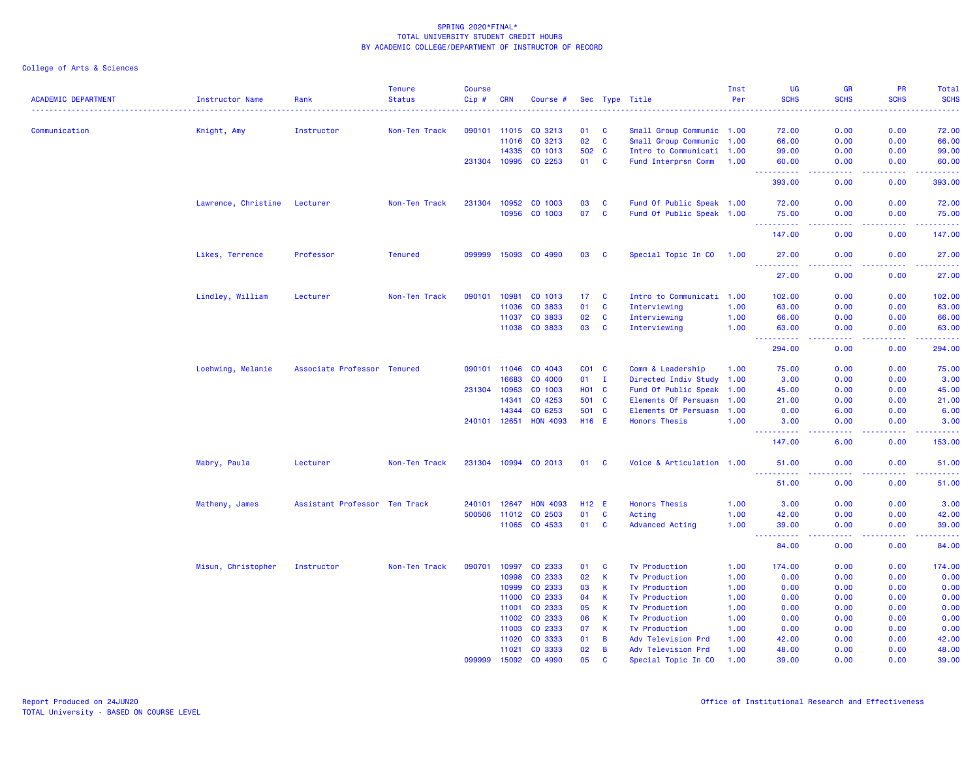| <b>ACADEMIC DEPARTMENT</b> | Instructor Name     | Rank                          | <b>Tenure</b><br><b>Status</b> | <b>Course</b><br>Cip# | <b>CRN</b>   | Course #             |                   |                | Sec Type Title            | Inst<br>Per | UG<br><b>SCHS</b>                                                                                 | <b>GR</b><br><b>SCHS</b>            | PR<br><b>SCHS</b>                                                                                                                                            | Total<br><b>SCHS</b> |
|----------------------------|---------------------|-------------------------------|--------------------------------|-----------------------|--------------|----------------------|-------------------|----------------|---------------------------|-------------|---------------------------------------------------------------------------------------------------|-------------------------------------|--------------------------------------------------------------------------------------------------------------------------------------------------------------|----------------------|
|                            |                     |                               |                                |                       |              |                      |                   |                |                           |             |                                                                                                   |                                     |                                                                                                                                                              |                      |
| Communication              | Knight, Amy         | Instructor                    | Non-Ten Track                  |                       | 090101 11015 | CO 3213              | 01                | <b>C</b>       | Small Group Communic 1.00 |             | 72.00                                                                                             | 0.00                                | 0.00                                                                                                                                                         | 72.00                |
|                            |                     |                               |                                |                       | 11016        | CO 3213              | 02                | $\mathbf{C}$   | Small Group Communic 1.00 |             | 66.00                                                                                             | 0.00                                | 0.00                                                                                                                                                         | 66.00                |
|                            |                     |                               |                                |                       | 14335        | CO 1013              | 502 C             |                | Intro to Communicati 1.00 |             | 99.00                                                                                             | 0.00                                | 0.00                                                                                                                                                         | 99.00                |
|                            |                     |                               |                                |                       | 231304 10995 | CO 2253              | 01 C              |                | Fund Interprsn Comm 1.00  |             | 60.00                                                                                             | 0.00                                | 0.00                                                                                                                                                         | 60.00                |
|                            |                     |                               |                                |                       |              |                      |                   |                |                           |             | $\sim$ $\sim$ $\sim$<br>.<br>393.00                                                               | والمستناء<br>0.00                   | .<br>0.00                                                                                                                                                    | .<br>393.00          |
|                            |                     |                               |                                |                       |              |                      |                   |                |                           |             |                                                                                                   |                                     |                                                                                                                                                              |                      |
|                            | Lawrence, Christine | Lecturer                      | Non-Ten Track                  |                       | 231304 10952 | CO 1003              | 03                | <b>C</b>       | Fund Of Public Speak 1.00 |             | 72.00                                                                                             | 0.00                                | 0.00                                                                                                                                                         | 72.00                |
|                            |                     |                               |                                |                       |              | 10956 CO 1003        | 07                | $\mathbf{C}$   | Fund Of Public Speak 1.00 |             | 75.00<br>.                                                                                        | 0.00<br>.                           | 0.00<br>$\frac{1}{2} \left( \frac{1}{2} \right) \left( \frac{1}{2} \right) \left( \frac{1}{2} \right) \left( \frac{1}{2} \right) \left( \frac{1}{2} \right)$ | 75.00<br><u>.</u>    |
|                            |                     |                               |                                |                       |              |                      |                   |                |                           |             | 147.00                                                                                            | 0.00                                | 0.00                                                                                                                                                         | 147.00               |
|                            | Likes, Terrence     | Professor                     | <b>Tenured</b>                 |                       |              | 099999 15093 CO 4990 | 03                | <b>C</b>       | Special Topic In CO       | 1.00        | 27.00<br><u> - - - - - - - - - -</u>                                                              | 0.00<br>$\sim$ $\sim$ $\sim$ $\sim$ | 0.00                                                                                                                                                         | 27.00<br>.           |
|                            |                     |                               |                                |                       |              |                      |                   |                |                           |             | 27.00                                                                                             | 0.00                                | 0.00                                                                                                                                                         | 27.00                |
|                            | Lindley, William    | Lecturer                      | Non-Ten Track                  | 090101                | 10981        | CO 1013              | 17                | <b>C</b>       | Intro to Communicati 1.00 |             | 102.00                                                                                            | 0.00                                | 0.00                                                                                                                                                         | 102.00               |
|                            |                     |                               |                                |                       | 11036        | CO 3833              | 01                | <b>C</b>       | Interviewing              | 1.00        | 63.00                                                                                             | 0.00                                | 0.00                                                                                                                                                         | 63.00                |
|                            |                     |                               |                                |                       | 11037        | CO 3833              | 02                | C              | Interviewing              | 1.00        | 66.00                                                                                             | 0.00                                | 0.00                                                                                                                                                         | 66.00                |
|                            |                     |                               |                                |                       | 11038        | CO 3833              | 03                | C              | Interviewing              | 1.00        | 63.00                                                                                             | 0.00                                | 0.00                                                                                                                                                         | 63.00                |
|                            |                     |                               |                                |                       |              |                      |                   |                |                           |             | .<br>294.00                                                                                       | والأمام<br>0.00                     | بالأبابات<br>0.00                                                                                                                                            | .<br>294.00          |
|                            | Loehwing, Melanie   | Associate Professor Tenured   |                                |                       | 090101 11046 | CO 4043              | C01 C             |                | Comm & Leadership         | 1.00        | 75.00                                                                                             | 0.00                                | 0.00                                                                                                                                                         | 75.00                |
|                            |                     |                               |                                |                       | 16683        | CO 4000              | 01                | $\mathbf{I}$   | Directed Indiv Study 1.00 |             | 3.00                                                                                              | 0.00                                | 0.00                                                                                                                                                         | 3.00                 |
|                            |                     |                               |                                |                       |              |                      |                   |                |                           |             |                                                                                                   |                                     |                                                                                                                                                              |                      |
|                            |                     |                               |                                |                       | 231304 10963 | CO 1003              | <b>HO1 C</b>      |                | Fund Of Public Speak 1.00 |             | 45.00                                                                                             | 0.00                                | 0.00                                                                                                                                                         | 45.00                |
|                            |                     |                               |                                |                       | 14341        | CO 4253              | 501 C             |                | Elements Of Persuasn      | 1.00        | 21.00                                                                                             | 0.00                                | 0.00                                                                                                                                                         | 21.00                |
|                            |                     |                               |                                |                       | 14344        | CO 6253              | 501 C             |                | Elements Of Persuasn 1.00 |             | 0.00                                                                                              | 6.00                                | 0.00                                                                                                                                                         | 6.00                 |
|                            |                     |                               |                                | 240101 12651          |              | <b>HON 4093</b>      | H <sub>16</sub> E |                | <b>Honors Thesis</b>      | 1.00        | 3.00<br>.                                                                                         | 0.00<br>$\sim$ $\sim$ $\sim$ $\sim$ | 0.00<br>.                                                                                                                                                    | 3.00<br>.            |
|                            |                     |                               |                                |                       |              |                      |                   |                |                           |             | 147.00                                                                                            | 6.00                                | 0.00                                                                                                                                                         | 153.00               |
|                            | Mabry, Paula        | Lecturer                      | Non-Ten Track                  |                       |              | 231304 10994 CO 2013 | 01 C              |                | Voice & Articulation 1.00 |             | 51.00<br>المتمام المتحدة                                                                          | 0.00<br>د عام عام                   | 0.00                                                                                                                                                         | 51.00                |
|                            |                     |                               |                                |                       |              |                      |                   |                |                           |             | 51.00                                                                                             | 0.00                                | 0.00                                                                                                                                                         | 51.00                |
|                            | Matheny, James      | Assistant Professor Ten Track |                                | 240101                | 12647        | <b>HON 4093</b>      | H12 E             |                | <b>Honors Thesis</b>      | 1.00        | 3.00                                                                                              | 0.00                                | 0.00                                                                                                                                                         | 3.00                 |
|                            |                     |                               |                                |                       | 500506 11012 | CO 2503              | 01                | $\mathbf{C}$   | Acting                    | 1.00        | 42.00                                                                                             | 0.00                                | 0.00                                                                                                                                                         | 42.00                |
|                            |                     |                               |                                |                       |              | 11065 CO 4533        | 01                | <b>C</b>       | <b>Advanced Acting</b>    | 1.00        | 39.00                                                                                             | 0.00                                | 0.00                                                                                                                                                         | 39.00                |
|                            |                     |                               |                                |                       |              |                      |                   |                |                           |             | $\frac{1}{2} \left( \frac{1}{2} \right) \frac{1}{2} \left( \frac{1}{2} \right)$<br>-----<br>84.00 | .<br>0.00                           | <u>.</u><br>0.00                                                                                                                                             | .<br>84.00           |
|                            | Misun, Christopher  | Instructor                    | Non-Ten Track                  | 090701                | 10997        | CO 2333              | 01                | <b>C</b>       | <b>Tv Production</b>      | 1.00        | 174.00                                                                                            | 0.00                                | 0.00                                                                                                                                                         | 174.00               |
|                            |                     |                               |                                |                       | 10998        | CO 2333              | 02                | K              | <b>Tv Production</b>      | 1.00        | 0.00                                                                                              | 0.00                                | 0.00                                                                                                                                                         | 0.00                 |
|                            |                     |                               |                                |                       | 10999        | CO 2333              | 03                | К              | <b>Tv Production</b>      | 1.00        | 0.00                                                                                              | 0.00                                | 0.00                                                                                                                                                         | 0.00                 |
|                            |                     |                               |                                |                       | 11000        | CO 2333              | 04                | К              | <b>Tv Production</b>      | 1.00        | 0.00                                                                                              | 0.00                                | 0.00                                                                                                                                                         | 0.00                 |
|                            |                     |                               |                                |                       | 11001        |                      | 05                | K              |                           |             | 0.00                                                                                              | 0.00                                | 0.00                                                                                                                                                         |                      |
|                            |                     |                               |                                |                       |              | CO 2333              |                   |                | <b>Tv Production</b>      | 1.00        |                                                                                                   |                                     |                                                                                                                                                              | 0.00                 |
|                            |                     |                               |                                |                       | 11002        | CO 2333              | 06                | К              | <b>Tv Production</b>      | 1.00        | 0.00                                                                                              | 0.00                                | 0.00                                                                                                                                                         | 0.00                 |
|                            |                     |                               |                                |                       | 11003        | CO 2333              | 07                | K              | <b>Tv Production</b>      | 1.00        | 0.00                                                                                              | 0.00                                | 0.00                                                                                                                                                         | 0.00                 |
|                            |                     |                               |                                |                       | 11020        | CO 3333              | 01                | $\overline{B}$ | Adv Television Prd        | 1.00        | 42.00                                                                                             | 0.00                                | 0.00                                                                                                                                                         | 42.00                |
|                            |                     |                               |                                |                       | 11021        | CO 3333              | 02                | В              | Adv Television Prd        | 1.00        | 48.00                                                                                             | 0.00                                | 0.00                                                                                                                                                         | 48.00                |
|                            |                     |                               |                                | 099999                | 15092        | CO 4990              | 05                | <b>C</b>       | Special Topic In CO       | 1.00        | 39.00                                                                                             | 0.00                                | 0.00                                                                                                                                                         | 39.00                |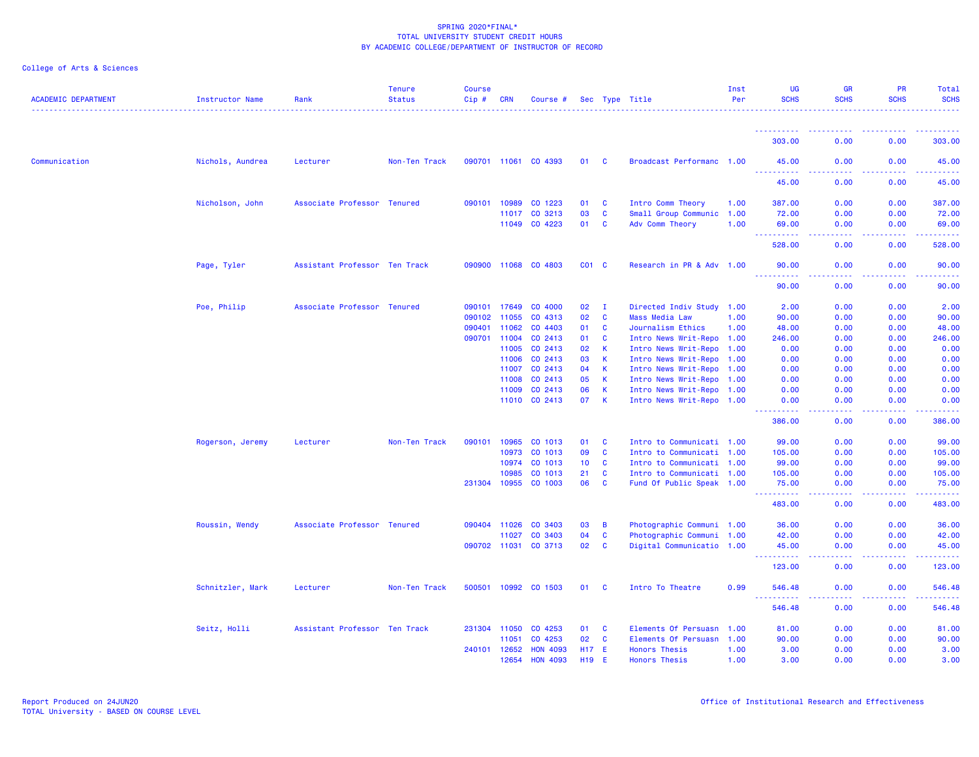|  |  | College of Arts & Sciences |
|--|--|----------------------------|
|  |  |                            |

| <b>ACADEMIC DEPARTMENT</b> | Instructor Name  | Rank                          | <b>Tenure</b><br><b>Status</b> | <b>Course</b><br>Cip# | <b>CRN</b>   | Course #             |                 |              | Sec Type Title            | Inst<br>Per | UG<br><b>SCHS</b>                                          | <b>GR</b><br><b>SCHS</b> | <b>PR</b><br><b>SCHS</b>                     | Total<br><b>SCHS</b> |
|----------------------------|------------------|-------------------------------|--------------------------------|-----------------------|--------------|----------------------|-----------------|--------------|---------------------------|-------------|------------------------------------------------------------|--------------------------|----------------------------------------------|----------------------|
|                            |                  |                               |                                |                       |              |                      |                 |              |                           |             |                                                            |                          |                                              |                      |
|                            |                  |                               |                                |                       |              |                      |                 |              |                           |             | ----------<br>303.00                                       | 0.00                     | 0.00                                         | .<br>303.00          |
| Communication              | Nichols, Aundrea | Lecturer                      | Non-Ten Track                  |                       |              | 090701 11061 CO 4393 | 01 C            |              | Broadcast Performanc 1.00 |             | 45.00                                                      | 0.00                     | 0.00                                         | 45.00                |
|                            |                  |                               |                                |                       |              |                      |                 |              |                           |             | <b>.</b><br>45.00                                          | 0.00                     | 0.00                                         | 45.00                |
|                            | Nicholson, John  | Associate Professor Tenured   |                                |                       | 090101 10989 | CO 1223              | 01              | <b>C</b>     | Intro Comm Theory         | 1.00        | 387.00                                                     | 0.00                     | 0.00                                         | 387.00               |
|                            |                  |                               |                                |                       | 11017        | CO 3213              | 03              | <b>C</b>     | Small Group Communic      | 1.00        | 72.00                                                      | 0.00                     | 0.00                                         | 72.00                |
|                            |                  |                               |                                |                       |              | 11049 CO 4223        | 01              | <b>C</b>     | Adv Comm Theory           | 1.00        | 69.00<br>2.2.2.2<br>$\sim$ $\sim$ $\sim$                   | 0.00                     | 0.00                                         | 69.00<br>.           |
|                            |                  |                               |                                |                       |              |                      |                 |              |                           |             | 528.00                                                     | 0.00                     | 0.00                                         | 528.00               |
|                            | Page, Tyler      | Assistant Professor Ten Track |                                |                       |              | 090900 11068 CO 4803 | $CO1$ C         |              | Research in PR & Adv 1.00 |             | 90.00<br>22222                                             | 0.00<br>د د د د          | 0.00<br>.                                    | 90.00<br>.           |
|                            |                  |                               |                                |                       |              |                      |                 |              |                           |             | 90.00                                                      | 0.00                     | 0.00                                         | 90.00                |
|                            | Poe, Philip      | Associate Professor Tenured   |                                | 090101                | 17649        | CO 4000              | 02              | $\mathbf{I}$ | Directed Indiv Study      | 1.00        | 2.00                                                       | 0.00                     | 0.00                                         | 2.00                 |
|                            |                  |                               |                                |                       | 090102 11055 | CO 4313              | 02              | C            | <b>Mass Media Law</b>     | 1.00        | 90.00                                                      | 0.00                     | 0.00                                         | 90.00                |
|                            |                  |                               |                                | 090401                | 11062        | CO 4403              | 01              | C            | Journalism Ethics         | 1.00        | 48.00                                                      | 0.00                     | 0.00                                         | 48.00                |
|                            |                  |                               |                                |                       | 090701 11004 | CO 2413              | 01              | C            | Intro News Writ-Repo 1.00 |             | 246.00                                                     | 0.00                     | 0.00                                         | 246.00               |
|                            |                  |                               |                                |                       | 11005        | CO 2413              | 02              | К            | Intro News Writ-Repo      | 1.00        | 0.00                                                       | 0.00                     | 0.00                                         | 0.00                 |
|                            |                  |                               |                                |                       | 11006        | CO 2413              | 03              | K            | Intro News Writ-Repo      | 1.00        | 0.00                                                       | 0.00                     | 0.00                                         | 0.00                 |
|                            |                  |                               |                                |                       | 11007        | CO 2413              | 04              | К            | Intro News Writ-Repo      | 1.00        | 0.00                                                       | 0.00                     | 0.00                                         | 0.00                 |
|                            |                  |                               |                                |                       | 11008        | CO 2413              | 05              | К            | Intro News Writ-Repo 1.00 |             | 0.00                                                       | 0.00                     | 0.00                                         | 0.00                 |
|                            |                  |                               |                                |                       | 11009        | CO 2413              | 06              | K            | Intro News Writ-Repo 1.00 |             | 0.00                                                       | 0.00                     | 0.00                                         | 0.00                 |
|                            |                  |                               |                                |                       |              | 11010 CO 2413        | 07              | K            | Intro News Writ-Repo 1.00 |             | 0.00<br>.                                                  | 0.00                     | 0.00                                         | 0.00                 |
|                            |                  |                               |                                |                       |              |                      |                 |              |                           |             | 386.00                                                     | 0.00                     | 0.00                                         | 386.00               |
|                            | Rogerson, Jeremy | Lecturer                      | Non-Ten Track                  | 090101                | 10965        | CO 1013              | 01              | C            | Intro to Communicati 1.00 |             | 99.00                                                      | 0.00                     | 0.00                                         | 99.00                |
|                            |                  |                               |                                |                       | 10973        | CO 1013              | 09              | <b>C</b>     | Intro to Communicati 1.00 |             | 105.00                                                     | 0.00                     | 0.00                                         | 105.00               |
|                            |                  |                               |                                |                       | 10974        | CO 1013              | 10 <sub>1</sub> | $\mathbf{C}$ | Intro to Communicati 1.00 |             | 99.00                                                      | 0.00                     | 0.00                                         | 99.00                |
|                            |                  |                               |                                |                       | 10985        | CO 1013              | 21              | <b>C</b>     | Intro to Communicati 1.00 |             | 105.00                                                     | 0.00                     | 0.00                                         | 105.00               |
|                            |                  |                               |                                |                       |              | 231304 10955 CO 1003 | 06              | <b>C</b>     | Fund Of Public Speak 1.00 |             | 75.00<br>.                                                 | 0.00<br>.                | 0.00<br>-----                                | 75.00                |
|                            |                  |                               |                                |                       |              |                      |                 |              |                           |             | 483.00                                                     | 0.00                     | 0.00                                         | 483.00               |
|                            | Roussin, Wendy   | Associate Professor Tenured   |                                |                       | 090404 11026 | CO 3403              | 03              | B            | Photographic Communi 1.00 |             | 36.00                                                      | 0.00                     | 0.00                                         | 36.00                |
|                            |                  |                               |                                |                       | 11027        | CO 3403              | 04              | C            | Photographic Communi 1.00 |             | 42.00                                                      | 0.00                     | 0.00                                         | 42.00                |
|                            |                  |                               |                                |                       | 090702 11031 | CO 3713              | 02              | $\mathbf{C}$ | Digital Communicatio 1.00 |             | 45.00                                                      | 0.00<br>.                | 0.00<br>.                                    | 45.00                |
|                            |                  |                               |                                |                       |              |                      |                 |              |                           |             | 123.00                                                     | 0.00                     | 0.00                                         | 123.00               |
|                            | Schnitzler, Mark | Lecturer                      | Non-Ten Track                  |                       |              | 500501 10992 CO 1503 | 01              | <b>C</b>     | Intro To Theatre          | 0.99        | 546.48<br><b><i><u><u> - - - - - - - - - -</u></u></i></b> | 0.00<br>.                | 0.00                                         | 546.48<br>.          |
|                            |                  |                               |                                |                       |              |                      |                 |              |                           |             | 546.48                                                     | 0.00                     | <b><i><u><u> - - - -</u></u></i></b><br>0.00 | 546.48               |
|                            | Seitz, Holli     | Assistant Professor Ten Track |                                |                       | 231304 11050 | CO 4253              | 01              | <b>C</b>     | Elements Of Persuasn      | 1.00        | 81.00                                                      | 0.00                     | 0.00                                         | 81.00                |
|                            |                  |                               |                                |                       | 11051        | CO 4253              | 02 <sub>o</sub> | $\mathbf{C}$ | Elements Of Persuasn 1.00 |             | 90.00                                                      | 0.00                     | 0.00                                         | 90.00                |
|                            |                  |                               |                                |                       | 240101 12652 | <b>HON 4093</b>      | H17 E           |              | <b>Honors Thesis</b>      | 1.00        | 3.00                                                       | 0.00                     | 0.00                                         | 3.00                 |
|                            |                  |                               |                                |                       | 12654        | <b>HON 4093</b>      | H19 E           |              | <b>Honors Thesis</b>      | 1.00        | 3.00                                                       | 0.00                     | 0.00                                         | 3.00                 |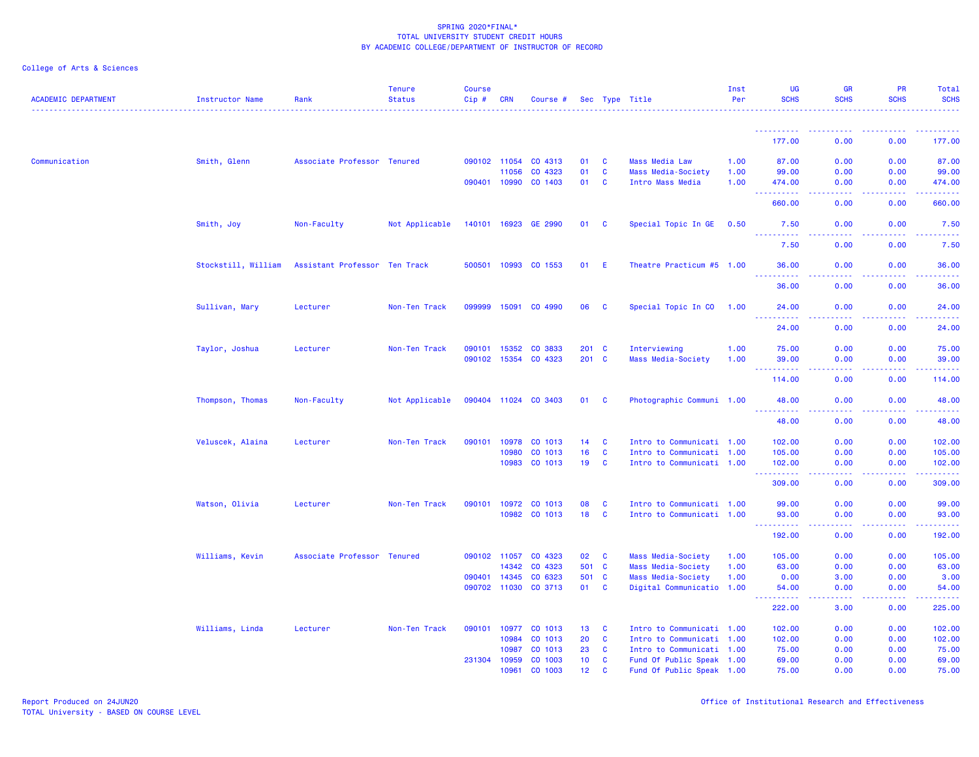| <b>ACADEMIC DEPARTMENT</b> | <b>Instructor Name</b> | Rank                          | <b>Tenure</b><br><b>Status</b> | <b>Course</b><br>Cip# | CRN          | Course #             |                 |                         | Sec Type Title            | Inst<br>Per | <b>UG</b><br><b>SCHS</b>              | <b>GR</b><br><b>SCHS</b>            | PR<br><b>SCHS</b>                     | Total<br><b>SCHS</b>                                                                                                               |
|----------------------------|------------------------|-------------------------------|--------------------------------|-----------------------|--------------|----------------------|-----------------|-------------------------|---------------------------|-------------|---------------------------------------|-------------------------------------|---------------------------------------|------------------------------------------------------------------------------------------------------------------------------------|
|                            |                        |                               |                                |                       |              |                      |                 |                         |                           |             |                                       |                                     |                                       |                                                                                                                                    |
|                            |                        |                               |                                |                       |              |                      |                 |                         |                           |             | 177.00                                | 0.00                                | 0.00                                  | 177.00                                                                                                                             |
| Communication              | Smith, Glenn           | Associate Professor Tenured   |                                |                       | 090102 11054 | CO 4313              | 01              | C                       | <b>Mass Media Law</b>     | 1.00        | 87.00                                 | 0.00                                | 0.00                                  | 87.00                                                                                                                              |
|                            |                        |                               |                                |                       | 11056        | CO 4323              | 01              | $\mathbf{C}$            | Mass Media-Society        | 1.00        | 99.00                                 | 0.00                                | 0.00                                  | 99.00                                                                                                                              |
|                            |                        |                               |                                |                       | 090401 10990 | CO 1403              | 01              | C                       | Intro Mass Media          | 1.00        | 474.00                                | 0.00                                | 0.00                                  | 474.00                                                                                                                             |
|                            |                        |                               |                                |                       |              |                      |                 |                         |                           |             | 660.00                                | 0.00                                | 0.00                                  | 660.00                                                                                                                             |
|                            | Smith, Joy             | Non-Faculty                   | Not Applicable                 |                       | 140101 16923 | GE 2990              | 01 C            |                         | Special Topic In GE       | 0.50        | 7.50<br><u>.</u>                      | 0.00                                | 0.00                                  | 7.50                                                                                                                               |
|                            |                        |                               |                                |                       |              |                      |                 |                         |                           |             | 7.50                                  | 0.00                                | 0.00                                  | 7.50                                                                                                                               |
|                            | Stockstill, William    | Assistant Professor Ten Track |                                |                       | 500501 10993 | CO 1553              | 01              | - E                     | Theatre Practicum #5 1.00 |             | 36.00                                 | 0.00                                | 0.00                                  | 36.00                                                                                                                              |
|                            |                        |                               |                                |                       |              |                      |                 |                         |                           |             | 36.00                                 | 0.00                                | 0.00                                  | 36.00                                                                                                                              |
|                            | Sullivan, Mary         | Lecturer                      | Non-Ten Track                  |                       | 099999 15091 | CO 4990              | 06              | $\mathbf{C}$            | Special Topic In CO       | 1.00        | 24.00                                 | 0.00                                | 0.00                                  | 24.00                                                                                                                              |
|                            |                        |                               |                                |                       |              |                      |                 |                         |                           |             | .<br>24.00                            | $\sim$ $\sim$ $\sim$ $\sim$<br>0.00 | .<br>0.00                             | د د د د د د<br>24.00                                                                                                               |
|                            | Taylor, Joshua         | Lecturer                      | Non-Ten Track                  |                       | 090101 15352 | CO 3833              | $201$ C         |                         | Interviewing              | 1.00        | 75.00                                 | 0.00                                | 0.00                                  | 75.00                                                                                                                              |
|                            |                        |                               |                                |                       | 090102 15354 | CO 4323              | $201$ C         |                         | Mass Media-Society        | 1.00        | 39.00<br><u> - - - - - - - - - -</u>  | 0.00<br>.                           | 0.00<br>.                             | 39.00<br>.                                                                                                                         |
|                            |                        |                               |                                |                       |              |                      |                 |                         |                           |             | 114.00                                | 0.00                                | 0.00                                  | 114.00                                                                                                                             |
|                            | Thompson, Thomas       | Non-Faculty                   | Not Applicable                 |                       |              | 090404 11024 CO 3403 | 01 C            |                         | Photographic Communi 1.00 |             | 48.00<br><u> - - - - - - - - - -</u>  | 0.00                                | 0.00                                  | 48.00<br>$\frac{1}{2} \left( \frac{1}{2} \right) \left( \frac{1}{2} \right) \left( \frac{1}{2} \right) \left( \frac{1}{2} \right)$ |
|                            |                        |                               |                                |                       |              |                      |                 |                         |                           |             | 48.00                                 | 0.00                                | 0.00                                  | 48.00                                                                                                                              |
|                            | Veluscek, Alaina       | Lecturer                      | Non-Ten Track                  |                       |              | 090101 10978 CO 1013 | $14$ C          |                         | Intro to Communicati 1.00 |             | 102.00                                | 0.00                                | 0.00                                  | 102.00                                                                                                                             |
|                            |                        |                               |                                |                       | 10980        | CO 1013              | 16              | C                       | Intro to Communicati 1.00 |             | 105.00                                | 0.00                                | 0.00                                  | 105.00                                                                                                                             |
|                            |                        |                               |                                |                       | 10983        | CO 1013              | 19              | $\mathbf{C}$            | Intro to Communicati 1.00 |             | 102.00<br><u> - - - - - - - - - -</u> | 0.00<br>.                           | 0.00<br>.                             | 102.00<br>.                                                                                                                        |
|                            |                        |                               |                                |                       |              |                      |                 |                         |                           |             | 309.00                                | 0.00                                | 0.00                                  | 309.00                                                                                                                             |
|                            | Watson, Olivia         | Lecturer                      | Non-Ten Track                  |                       |              | 090101 10972 CO 1013 | 08              | C                       | Intro to Communicati 1.00 |             | 99.00                                 | 0.00                                | 0.00                                  | 99.00                                                                                                                              |
|                            |                        |                               |                                |                       | 10982        | CO 1013              | 18              | $\mathbf{C}$            | Intro to Communicati 1.00 |             | 93.00<br><u>.</u> .                   | 0.00<br>.                           | 0.00<br><b><i><u><u>.</u></u></i></b> | 93.00<br>.                                                                                                                         |
|                            |                        |                               |                                |                       |              |                      |                 |                         |                           |             | 192.00                                | 0.00                                | 0.00                                  | 192.00                                                                                                                             |
|                            | Williams, Kevin        | Associate Professor Tenured   |                                |                       | 090102 11057 | CO 4323              | 02 <sub>o</sub> | $\overline{\mathbf{C}}$ | Mass Media-Society        | 1.00        | 105.00                                | 0.00                                | 0.00                                  | 105.00                                                                                                                             |
|                            |                        |                               |                                |                       | 14342        | CO 4323              | 501 C           |                         | Mass Media-Society        | 1.00        | 63.00                                 | 0.00                                | 0.00                                  | 63.00                                                                                                                              |
|                            |                        |                               |                                |                       | 090401 14345 | CO 6323              | 501 C           |                         | Mass Media-Society        | 1.00        | 0.00                                  | 3.00                                | 0.00                                  | 3.00                                                                                                                               |
|                            |                        |                               |                                |                       | 090702 11030 | CO 3713              | 01              | <b>C</b>                | Digital Communicatio 1.00 |             | 54.00                                 | 0.00                                | 0.00                                  | 54.00                                                                                                                              |
|                            |                        |                               |                                |                       |              |                      |                 |                         |                           |             | 222.00                                | 3.00                                | 0.00                                  | 225.00                                                                                                                             |
|                            | Williams, Linda        | Lecturer                      | Non-Ten Track                  | 090101                | 10977        | CO 1013              | 13              | $\mathbf{C}$            | Intro to Communicati 1.00 |             | 102.00                                | 0.00                                | 0.00                                  | 102.00                                                                                                                             |
|                            |                        |                               |                                |                       | 10984        | CO 1013              | 20              | C                       | Intro to Communicati 1.00 |             | 102.00                                | 0.00                                | 0.00                                  | 102.00                                                                                                                             |
|                            |                        |                               |                                |                       | 10987        | CO 1013              | 23              | $\mathbf{C}$            | Intro to Communicati 1.00 |             | 75.00                                 | 0.00                                | 0.00                                  | 75.00                                                                                                                              |
|                            |                        |                               |                                |                       | 231304 10959 | CO 1003              | 10 <sub>1</sub> | $\mathbf{C}$            | Fund Of Public Speak 1.00 |             | 69.00                                 | 0.00                                | 0.00                                  | 69.00                                                                                                                              |
|                            |                        |                               |                                |                       | 10961        | CO 1003              | 12 <sup>7</sup> | <b>C</b>                | Fund Of Public Speak 1.00 |             | 75.00                                 | 0.00                                | 0.00                                  | 75.00                                                                                                                              |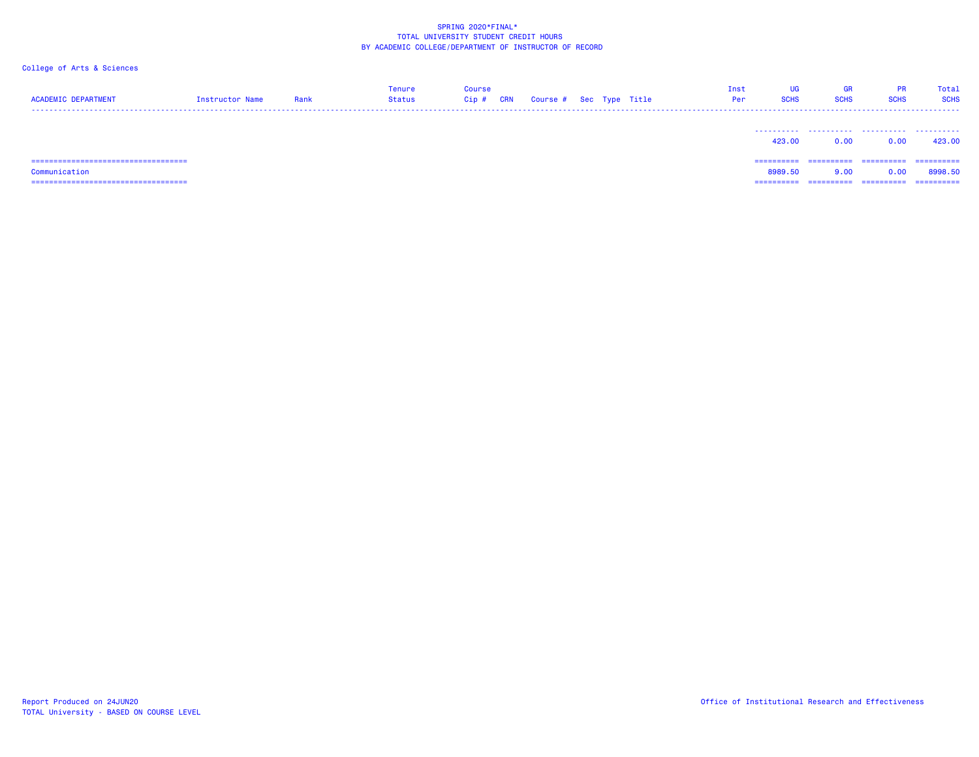| <b>ACADEMIC DEPARTMENT</b>            | Instructor Name | Rank | Tenure<br>Status | Course<br>Cip# | <b>CRN</b> | Course # Sec Type Title |  | Inst<br>Per | UG<br><b>SCHS</b> | <b>GR</b><br><b>SCHS</b> | <b>PR</b><br><b>SCHS</b> | Total<br><b>SCHS</b> |
|---------------------------------------|-----------------|------|------------------|----------------|------------|-------------------------|--|-------------|-------------------|--------------------------|--------------------------|----------------------|
|                                       |                 |      |                  |                |            |                         |  |             | 423,00            | 0.00                     | 0.00                     | 423.00               |
| ===================================== |                 |      |                  |                |            |                         |  |             | ==========        | ==========               | ==========               | ==========           |
| Communication                         |                 |      |                  |                |            |                         |  |             | 8989.50           | 9.00                     | 0.00                     | 8998.50              |
|                                       |                 |      |                  |                |            |                         |  |             |                   |                          |                          | ==========           |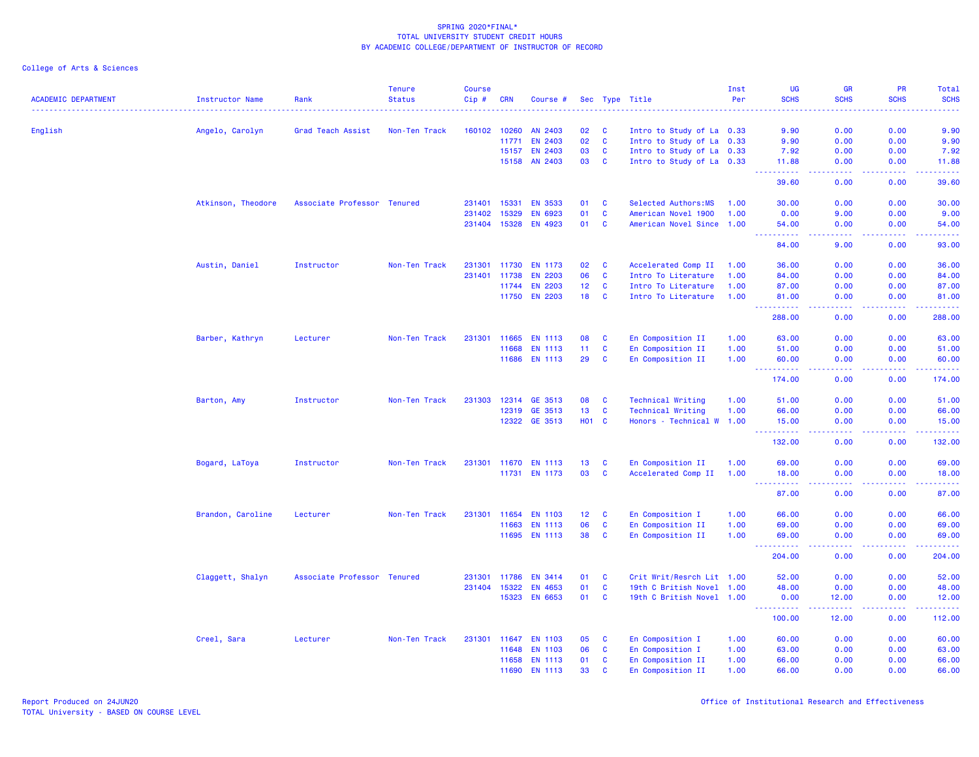| <b>ACADEMIC DEPARTMENT</b> | <b>Instructor Name</b> | Rank                        | <b>Tenure</b><br><b>Status</b> | <b>Course</b><br>$Cip \#$ | <b>CRN</b>     | Course #                  |                 |                   | Sec Type Title                                         | Inst<br>Per | <b>UG</b><br><b>SCHS</b>                                                                                                                                       | <b>GR</b><br><b>SCHS</b> | PR<br><b>SCHS</b>                            | Total<br><b>SCHS</b>                                                                                                  |
|----------------------------|------------------------|-----------------------------|--------------------------------|---------------------------|----------------|---------------------------|-----------------|-------------------|--------------------------------------------------------|-------------|----------------------------------------------------------------------------------------------------------------------------------------------------------------|--------------------------|----------------------------------------------|-----------------------------------------------------------------------------------------------------------------------|
|                            |                        |                             |                                |                           |                |                           |                 |                   |                                                        |             |                                                                                                                                                                |                          |                                              |                                                                                                                       |
| English                    | Angelo, Carolyn        | Grad Teach Assist           | Non-Ten Track                  | 160102 10260              |                | AN 2403<br><b>EN 2403</b> | 02<br>02        | C<br>$\mathbf{C}$ | Intro to Study of La 0.33                              |             | 9.90                                                                                                                                                           | 0.00<br>0.00             | 0.00<br>0.00                                 | 9.90<br>9.90                                                                                                          |
|                            |                        |                             |                                |                           | 11771<br>15157 | <b>EN 2403</b>            | 03              | <b>C</b>          | Intro to Study of La 0.33<br>Intro to Study of La 0.33 |             | 9.90<br>7.92                                                                                                                                                   | 0.00                     | 0.00                                         | 7.92                                                                                                                  |
|                            |                        |                             |                                |                           | 15158          | AN 2403                   | 03              | $\mathbf{C}$      | Intro to Study of La 0.33                              |             | 11.88                                                                                                                                                          | 0.00                     | 0.00                                         | 11.88                                                                                                                 |
|                            |                        |                             |                                |                           |                |                           |                 |                   |                                                        |             | .<br>39.60                                                                                                                                                     | .<br>0.00                | .<br>0.00                                    | د د د د د<br>39.60                                                                                                    |
|                            | Atkinson, Theodore     | Associate Professor Tenured |                                | 231401 15331              |                | <b>EN 3533</b>            | 01              | $\mathbf{C}$      | Selected Authors:MS                                    | 1.00        | 30.00                                                                                                                                                          | 0.00                     | 0.00                                         | 30.00                                                                                                                 |
|                            |                        |                             |                                | 231402                    | 15329          | EN 6923                   | 01              | $\mathbf{C}$      | American Novel 1900                                    | 1.00        | 0.00                                                                                                                                                           | 9.00                     | 0.00                                         | 9.00                                                                                                                  |
|                            |                        |                             |                                |                           | 231404 15328   | EN 4923                   | 01              | <b>C</b>          | American Novel Since 1.00                              |             | 54.00                                                                                                                                                          | 0.00                     | 0.00                                         | 54.00                                                                                                                 |
|                            |                        |                             |                                |                           |                |                           |                 |                   |                                                        |             | 84.00                                                                                                                                                          | 9.00                     | 0.00                                         | 93.00                                                                                                                 |
|                            |                        |                             |                                |                           |                |                           |                 |                   |                                                        |             |                                                                                                                                                                |                          |                                              |                                                                                                                       |
|                            | Austin, Daniel         | Instructor                  | Non-Ten Track                  |                           | 231301 11730   | <b>EN 1173</b>            | 02              | C                 | Accelerated Comp II                                    | 1.00        | 36.00                                                                                                                                                          | 0.00                     | 0.00                                         | 36.00                                                                                                                 |
|                            |                        |                             |                                |                           | 231401 11738   | <b>EN 2203</b>            | 06              | <b>C</b>          | Intro To Literature                                    | 1.00        | 84.00                                                                                                                                                          | 0.00                     | 0.00                                         | 84.00                                                                                                                 |
|                            |                        |                             |                                |                           | 11744          | <b>EN 2203</b>            | 12 <sub>2</sub> | $\mathbf{C}$      | Intro To Literature                                    | 1.00        | 87.00                                                                                                                                                          | 0.00                     | 0.00                                         | 87.00                                                                                                                 |
|                            |                        |                             |                                |                           |                | 11750 EN 2203             | 18              | $\mathbf{C}$      | Intro To Literature                                    | 1.00        | 81.00<br>.                                                                                                                                                     | 0.00                     | 0.00                                         | 81.00<br>.                                                                                                            |
|                            |                        |                             |                                |                           |                |                           |                 |                   |                                                        |             | 288.00                                                                                                                                                         | 0.00                     | 0.00                                         | 288.00                                                                                                                |
|                            | Barber, Kathryn        | Lecturer                    | Non-Ten Track                  |                           | 231301 11665   | <b>EN 1113</b>            | 08              | <b>C</b>          | En Composition II                                      | 1.00        | 63.00                                                                                                                                                          | 0.00                     | 0.00                                         | 63.00                                                                                                                 |
|                            |                        |                             |                                |                           | 11668          | <b>EN 1113</b>            | 11              | <b>C</b>          | En Composition II                                      | 1.00        | 51.00                                                                                                                                                          | 0.00                     | 0.00                                         | 51.00                                                                                                                 |
|                            |                        |                             |                                |                           | 11686          | <b>EN 1113</b>            | 29              | <b>C</b>          | En Composition II                                      | 1.00        | 60.00                                                                                                                                                          | 0.00                     | 0.00                                         | 60.00                                                                                                                 |
|                            |                        |                             |                                |                           |                |                           |                 |                   |                                                        |             | $\frac{1}{2} \left( \frac{1}{2} \right) \left( \frac{1}{2} \right) \left( \frac{1}{2} \right) \left( \frac{1}{2} \right) \left( \frac{1}{2} \right)$<br>174.00 | ولالات<br>0.00           | .<br>0.00                                    | 174.00                                                                                                                |
|                            | Barton, Amy            | Instructor                  | Non-Ten Track                  | 231303                    | 12314          | GE 3513                   | 08              | C                 | <b>Technical Writing</b>                               | 1.00        | 51.00                                                                                                                                                          | 0.00                     | 0.00                                         | 51.00                                                                                                                 |
|                            |                        |                             |                                |                           | 12319          | GE 3513                   | 13 <sub>1</sub> | $\mathbf{C}$      | <b>Technical Writing</b>                               | 1.00        | 66.00                                                                                                                                                          | 0.00                     | 0.00                                         | 66.00                                                                                                                 |
|                            |                        |                             |                                |                           |                | 12322 GE 3513             | <b>HO1 C</b>    |                   | Honors - Technical W 1.00                              |             | 15.00                                                                                                                                                          | 0.00                     | 0.00                                         | 15.00                                                                                                                 |
|                            |                        |                             |                                |                           |                |                           |                 |                   |                                                        |             | <u>.</u><br>132.00                                                                                                                                             | المتمامين<br>0.00        | a a a a an<br>0.00                           | $\begin{array}{cccccccccc} \bullet & \bullet & \bullet & \bullet & \bullet & \bullet & \bullet \end{array}$<br>132.00 |
|                            |                        |                             |                                |                           |                |                           |                 |                   |                                                        |             |                                                                                                                                                                |                          |                                              |                                                                                                                       |
|                            | Bogard, LaToya         | Instructor                  | Non-Ten Track                  |                           |                | 231301 11670 EN 1113      | 13 <sup>7</sup> | $\mathbf{C}$      | En Composition II                                      | 1.00        | 69.00                                                                                                                                                          | 0.00                     | 0.00                                         | 69.00                                                                                                                 |
|                            |                        |                             |                                |                           |                | 11731 EN 1173             | 03              | $\mathbf{C}$      | Accelerated Comp II                                    | 1.00        | 18.00<br><u>.</u>                                                                                                                                              | 0.00<br>.                | 0.00<br>.                                    | 18.00<br>.                                                                                                            |
|                            |                        |                             |                                |                           |                |                           |                 |                   |                                                        |             | 87.00                                                                                                                                                          | 0.00                     | 0.00                                         | 87.00                                                                                                                 |
|                            | Brandon, Caroline      | Lecturer                    | Non-Ten Track                  |                           | 231301 11654   | <b>EN 1103</b>            | 12 <sup>7</sup> | $\mathbf{C}$      | En Composition I                                       | 1.00        | 66.00                                                                                                                                                          | 0.00                     | 0.00                                         | 66.00                                                                                                                 |
|                            |                        |                             |                                |                           | 11663          | <b>EN 1113</b>            | 06              | <b>C</b>          | En Composition II                                      | 1.00        | 69.00                                                                                                                                                          | 0.00                     | 0.00                                         | 69.00                                                                                                                 |
|                            |                        |                             |                                |                           |                | 11695 EN 1113             | 38              | $\mathbf{C}$      | En Composition II                                      | 1.00        | 69.00<br>$\sim$ $\sim$ $\sim$ $\sim$                                                                                                                           | 0.00<br>.                | 0.00<br>.                                    | 69.00<br>.                                                                                                            |
|                            |                        |                             |                                |                           |                |                           |                 |                   |                                                        |             | 204.00                                                                                                                                                         | 0.00                     | 0.00                                         | 204.00                                                                                                                |
|                            | Claggett, Shalyn       | Associate Professor Tenured |                                |                           | 231301 11786   | <b>EN 3414</b>            | 01              | $\mathbf{C}$      | Crit Writ/Resrch Lit 1.00                              |             | 52.00                                                                                                                                                          | 0.00                     | 0.00                                         | 52.00                                                                                                                 |
|                            |                        |                             |                                |                           | 231404 15322   | <b>EN 4653</b>            | 01              | <b>C</b>          | 19th C British Novel 1.00                              |             | 48.00                                                                                                                                                          | 0.00                     | 0.00                                         | 48.00                                                                                                                 |
|                            |                        |                             |                                |                           | 15323          | EN 6653                   | 01              | $\mathbf{C}$      | 19th C British Novel 1.00                              |             | 0.00                                                                                                                                                           | 12.00                    | 0.00                                         | 12.00                                                                                                                 |
|                            |                        |                             |                                |                           |                |                           |                 |                   |                                                        |             | ----------<br>100.00                                                                                                                                           | -----<br>12.00           | <b><i><u><u> - - - -</u></u></i></b><br>0.00 | .<br>112.00                                                                                                           |
|                            | Creel, Sara            | Lecturer                    | Non-Ten Track                  |                           | 231301 11647   | <b>EN 1103</b>            | 05              | <b>C</b>          | En Composition I                                       | 1.00        | 60.00                                                                                                                                                          | 0.00                     | 0.00                                         | 60.00                                                                                                                 |
|                            |                        |                             |                                |                           | 11648          | <b>EN 1103</b>            | 06              | <b>C</b>          | En Composition I                                       | 1.00        | 63.00                                                                                                                                                          | 0.00                     | 0.00                                         | 63.00                                                                                                                 |
|                            |                        |                             |                                |                           | 11658          | <b>EN 1113</b>            | 01              | <b>C</b>          | En Composition II                                      | 1.00        | 66.00                                                                                                                                                          | 0.00                     | 0.00                                         | 66.00                                                                                                                 |
|                            |                        |                             |                                |                           | 11690          | <b>EN 1113</b>            | 33              | <b>C</b>          | En Composition II                                      | 1.00        | 66.00                                                                                                                                                          | 0.00                     | 0.00                                         | 66.00                                                                                                                 |
|                            |                        |                             |                                |                           |                |                           |                 |                   |                                                        |             |                                                                                                                                                                |                          |                                              |                                                                                                                       |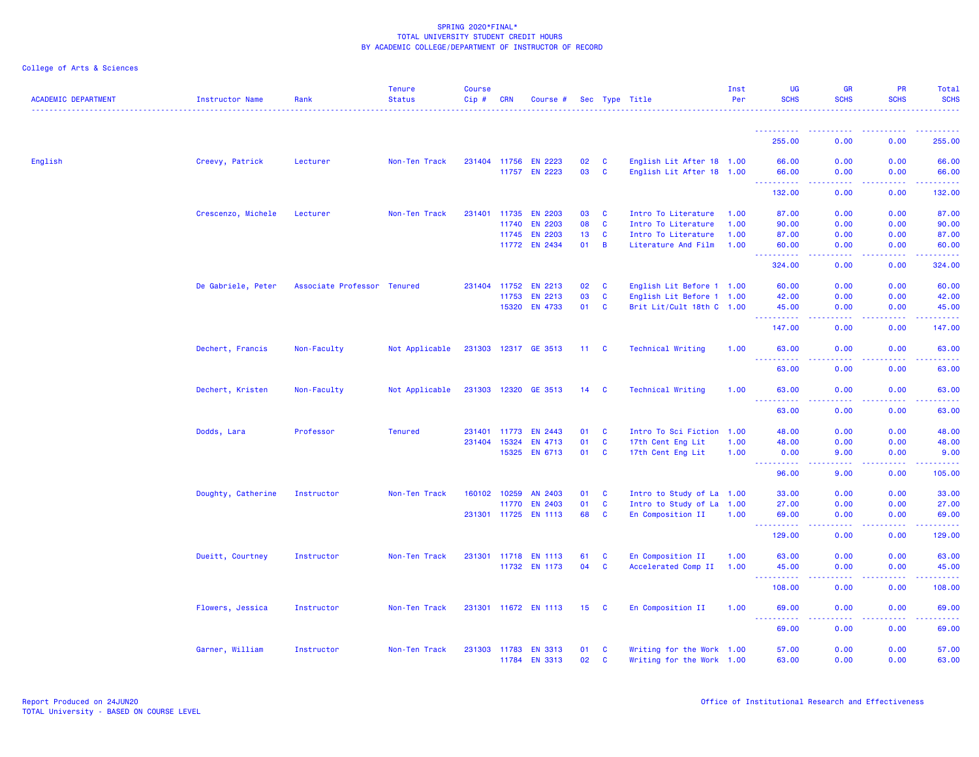| <b>ACADEMIC DEPARTMENT</b> | Instructor Name    | Rank                        | <b>Tenure</b><br><b>Status</b> | <b>Course</b><br>Cip# | <b>CRN</b>   | Course #             |              |                | Sec Type Title            | Inst<br>Per | UG<br><b>SCHS</b>                    | <b>GR</b><br><b>SCHS</b> | PR<br><b>SCHS</b> | Total<br><b>SCHS</b> |
|----------------------------|--------------------|-----------------------------|--------------------------------|-----------------------|--------------|----------------------|--------------|----------------|---------------------------|-------------|--------------------------------------|--------------------------|-------------------|----------------------|
|                            |                    |                             |                                |                       |              |                      |              |                |                           |             |                                      |                          |                   |                      |
|                            |                    |                             |                                |                       |              |                      |              |                |                           |             | 255.00                               | 0.00                     | 0.00              | 255.00               |
| English                    | Creevy, Patrick    | Lecturer                    | Non-Ten Track                  | 231404 11756          |              | <b>EN 2223</b>       | 02           | <b>C</b>       | English Lit After 18 1.00 |             | 66.00                                | 0.00                     | 0.00              | 66.00                |
|                            |                    |                             |                                |                       | 11757        | <b>EN 2223</b>       | 03           | <b>C</b>       | English Lit After 18 1.00 |             | 66,00<br>.                           | 0.00<br>المتمامين        | 0.00<br>-----     | 66.00<br>222222      |
|                            |                    |                             |                                |                       |              |                      |              |                |                           |             | 132.00                               | 0.00                     | 0.00              | 132.00               |
|                            | Crescenzo, Michele | Lecturer                    | Non-Ten Track                  |                       | 231401 11735 | <b>EN 2203</b>       | 03           | <b>C</b>       | Intro To Literature       | 1.00        | 87.00                                | 0.00                     | 0.00              | 87.00                |
|                            |                    |                             |                                |                       | 11740        | <b>EN 2203</b>       | 08           | C              | Intro To Literature       | 1.00        | 90.00                                | 0.00                     | 0.00              | 90.00                |
|                            |                    |                             |                                |                       | 11745        | <b>EN 2203</b>       | 13           | <b>C</b>       | Intro To Literature       | 1.00        | 87.00                                | 0.00                     | 0.00              | 87.00                |
|                            |                    |                             |                                |                       |              | 11772 EN 2434        | 01           | $\overline{B}$ | Literature And Film       | 1.00        | 60.00<br>.                           | 0.00                     | 0.00              | 60.00<br>.           |
|                            |                    |                             |                                |                       |              |                      |              |                |                           |             | 324.00                               | 0.00                     | 0.00              | 324.00               |
|                            | De Gabriele, Peter | Associate Professor Tenured |                                | 231404 11752          |              | EN 2213              | 02           | C              | English Lit Before 1 1.00 |             | 60.00                                | 0.00                     | 0.00              | 60.00                |
|                            |                    |                             |                                |                       | 11753        | EN 2213              | 03           | $\mathbf{C}$   | English Lit Before 1 1.00 |             | 42.00                                | 0.00                     | 0.00              | 42.00                |
|                            |                    |                             |                                |                       |              | 15320 EN 4733        | 01           | $\mathbf{C}$   | Brit Lit/Cult 18th C 1.00 |             | 45.00<br><u> - - - - - - - - - -</u> | 0.00                     | 0.00              | 45.00                |
|                            |                    |                             |                                |                       |              |                      |              |                |                           |             | 147.00                               | 0.00                     | 0.00              | 147.00               |
|                            | Dechert, Francis   | Non-Faculty                 | Not Applicable                 |                       |              | 231303 12317 GE 3513 | $11 \quad C$ |                | <b>Technical Writing</b>  | 1.00        | 63.00<br><b>.</b>                    | 0.00<br>. <b>. .</b>     | 0.00<br>.         | 63.00<br>. <b>.</b>  |
|                            |                    |                             |                                |                       |              |                      |              |                |                           |             | 63.00                                | 0.00                     | 0.00              | 63.00                |
|                            | Dechert, Kristen   | Non-Faculty                 | Not Applicable                 |                       |              | 231303 12320 GE 3513 | $14\quad C$  |                | <b>Technical Writing</b>  | 1.00        | 63.00<br>.                           | 0.00<br>د د د د .        | 0.00<br>.         | 63.00<br>.           |
|                            |                    |                             |                                |                       |              |                      |              |                |                           |             | 63.00                                | 0.00                     | 0.00              | 63.00                |
|                            | Dodds, Lara        | Professor                   | <b>Tenured</b>                 | 231401 11773          |              | EN 2443              | 01           | C              | Intro To Sci Fiction 1.00 |             | 48.00                                | 0.00                     | 0.00              | 48.00                |
|                            |                    |                             |                                | 231404 15324          |              | EN 4713              | 01           | C              | 17th Cent Eng Lit         | 1.00        | 48.00                                | 0.00                     | 0.00              | 48.00                |
|                            |                    |                             |                                |                       |              | 15325 EN 6713        | 01 C         |                | 17th Cent Eng Lit         | 1.00        | 0.00<br>. <u>.</u> .                 | 9.00<br>. <b>. .</b>     | 0.00<br>.         | 9.00<br><u>.</u>     |
|                            |                    |                             |                                |                       |              |                      |              |                |                           |             | 96.00                                | 9.00                     | 0.00              | 105.00               |
|                            | Doughty, Catherine | Instructor                  | Non-Ten Track                  | 160102 10259          |              | AN 2403              | 01           | $\mathbf{C}$   | Intro to Study of La 1.00 |             | 33.00                                | 0.00                     | 0.00              | 33.00                |
|                            |                    |                             |                                |                       | 11770        | <b>EN 2403</b>       | 01           | <b>C</b>       | Intro to Study of La 1.00 |             | 27.00                                | 0.00                     | 0.00              | 27.00                |
|                            |                    |                             |                                |                       |              | 231301 11725 EN 1113 | 68           | <b>C</b>       | En Composition II         | 1.00        | 69.00<br><u>.</u>                    | 0.00<br>. <b>. .</b>     | 0.00<br>.         | 69.00                |
|                            |                    |                             |                                |                       |              |                      |              |                |                           |             | 129.00                               | 0.00                     | 0.00              | 129.00               |
|                            | Dueitt, Courtney   | Instructor                  | Non-Ten Track                  |                       |              | 231301 11718 EN 1113 | 61           | $\mathbf{C}$   | En Composition II         | 1.00        | 63.00                                | 0.00                     | 0.00              | 63.00                |
|                            |                    |                             |                                |                       |              | 11732 EN 1173        | 04           | <b>C</b>       | Accelerated Comp II       | 1.00        | 45.00                                | 0.00                     | 0.00              | 45.00                |
|                            |                    |                             |                                |                       |              |                      |              |                |                           |             | ----------<br>108.00                 | 0.00                     | 0.00              | 108.00               |
|                            |                    |                             |                                |                       |              |                      |              |                |                           |             |                                      |                          |                   |                      |
|                            | Flowers, Jessica   | Instructor                  | Non-Ten Track                  |                       |              | 231301 11672 EN 1113 | $15$ C       |                | En Composition II         | 1.00        | 69.00                                | 0.00                     | 0.00              | 69.00                |
|                            |                    |                             |                                |                       |              |                      |              |                |                           |             | 69.00                                | 0.00                     | 0.00              | 69.00                |
|                            | Garner, William    | Instructor                  | Non-Ten Track                  | 231303 11783          |              | <b>EN 3313</b>       | 01           | C              | Writing for the Work 1.00 |             | 57.00                                | 0.00                     | 0.00              | 57.00                |
|                            |                    |                             |                                |                       |              | 11784 EN 3313        | 02           | $\mathbf{C}$   | Writing for the Work 1.00 |             | 63.00                                | 0.00                     | 0.00              | 63.00                |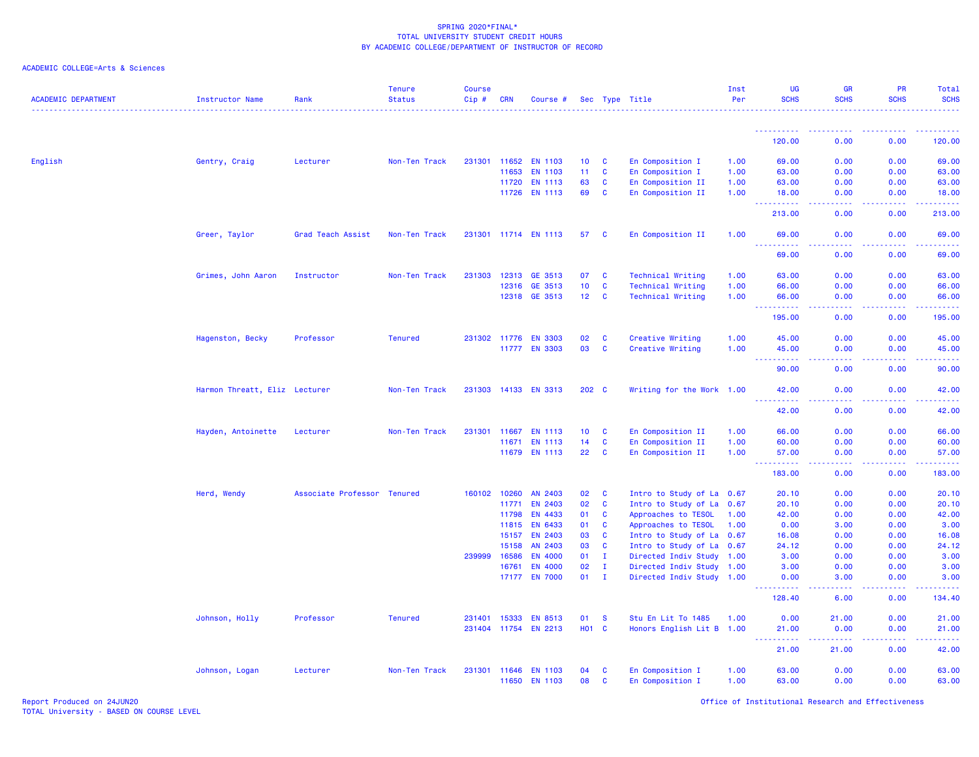| ACADEMIC COLLEGE=Arts & Sciences |  |
|----------------------------------|--|
|                                  |  |

| <b>ACADEMIC DEPARTMENT</b> | Instructor Name               | Rank                        | <b>Tenure</b><br><b>Status</b> | <b>Course</b><br>$Cip \#$ | CRN          | Course #             |                 |              | Sec Type Title                       | Inst<br>Per | <b>UG</b><br><b>SCHS</b>                                                    | <b>GR</b><br><b>SCHS</b>                                                                                                                                                                                                                                                                                                                                                                                                                                                                       | PR<br><b>SCHS</b> | Total<br><b>SCHS</b> |
|----------------------------|-------------------------------|-----------------------------|--------------------------------|---------------------------|--------------|----------------------|-----------------|--------------|--------------------------------------|-------------|-----------------------------------------------------------------------------|------------------------------------------------------------------------------------------------------------------------------------------------------------------------------------------------------------------------------------------------------------------------------------------------------------------------------------------------------------------------------------------------------------------------------------------------------------------------------------------------|-------------------|----------------------|
|                            |                               |                             |                                |                           |              |                      |                 |              |                                      |             | <u>.</u>                                                                    |                                                                                                                                                                                                                                                                                                                                                                                                                                                                                                |                   |                      |
|                            |                               |                             |                                |                           |              |                      |                 |              |                                      |             | 120.00                                                                      | 0.00                                                                                                                                                                                                                                                                                                                                                                                                                                                                                           | 0.00              | 120.00               |
| English                    | Gentry, Craig                 | Lecturer                    | Non-Ten Track                  |                           |              | 231301 11652 EN 1103 | 10 <sup>1</sup> | $\mathbf{C}$ | En Composition I                     | 1.00        | 69.00                                                                       | 0.00                                                                                                                                                                                                                                                                                                                                                                                                                                                                                           | 0.00              | 69.00                |
|                            |                               |                             |                                |                           | 11653        | <b>EN 1103</b>       | 11              | <b>C</b>     | En Composition I                     | 1.00        | 63.00                                                                       | 0.00                                                                                                                                                                                                                                                                                                                                                                                                                                                                                           | 0.00              | 63.00                |
|                            |                               |                             |                                |                           | 11720        | <b>EN 1113</b>       | 63              | C            | En Composition II                    | 1.00        | 63.00                                                                       | 0.00                                                                                                                                                                                                                                                                                                                                                                                                                                                                                           | 0.00              | 63.00                |
|                            |                               |                             |                                |                           | 11726        | <b>EN 1113</b>       | 69              | C            | En Composition II                    | 1.00        | 18.00<br><u> - - - - - - - - - -</u>                                        | 0.00<br>د د د د                                                                                                                                                                                                                                                                                                                                                                                                                                                                                | 0.00<br>.         | 18.00<br><u>.</u>    |
|                            |                               |                             |                                |                           |              |                      |                 |              |                                      |             | 213.00                                                                      | 0.00                                                                                                                                                                                                                                                                                                                                                                                                                                                                                           | 0.00              | 213.00               |
|                            | Greer, Taylor                 | Grad Teach Assist           | Non-Ten Track                  |                           |              | 231301 11714 EN 1113 | 57 C            |              | En Composition II                    | 1.00        | 69.00                                                                       | 0.00                                                                                                                                                                                                                                                                                                                                                                                                                                                                                           | 0.00              | 69.00                |
|                            |                               |                             |                                |                           |              |                      |                 |              |                                      |             | ------<br>69.00                                                             | 0.00                                                                                                                                                                                                                                                                                                                                                                                                                                                                                           | 0.00              | 69.00                |
|                            | Grimes, John Aaron            | Instructor                  | Non-Ten Track                  |                           |              | 231303 12313 GE 3513 | 07              | <b>C</b>     | <b>Technical Writing</b>             | 1.00        | 63.00                                                                       | 0.00                                                                                                                                                                                                                                                                                                                                                                                                                                                                                           | 0.00              | 63.00                |
|                            |                               |                             |                                |                           | 12316        | GE 3513              | 10 <sub>1</sub> | $\mathbf{C}$ | <b>Technical Writing</b>             | 1.00        | 66.00                                                                       | 0.00                                                                                                                                                                                                                                                                                                                                                                                                                                                                                           | 0.00              | 66.00                |
|                            |                               |                             |                                |                           |              | 12318 GE 3513        | 12 <sub>c</sub> |              | <b>Technical Writing</b>             | 1.00        | 66.00<br>.                                                                  | 0.00<br>.                                                                                                                                                                                                                                                                                                                                                                                                                                                                                      | 0.00<br>.         | 66.00<br>.           |
|                            |                               |                             |                                |                           |              |                      |                 |              |                                      |             | 195.00                                                                      | 0.00                                                                                                                                                                                                                                                                                                                                                                                                                                                                                           | 0.00              | 195.00               |
|                            |                               | Professor                   | <b>Tenured</b>                 |                           |              | 231302 11776 EN 3303 | 02              | $\mathbf{C}$ |                                      | 1.00        | 45.00                                                                       | 0.00                                                                                                                                                                                                                                                                                                                                                                                                                                                                                           | 0.00              | 45.00                |
|                            | Hagenston, Becky              |                             |                                |                           |              | 11777 EN 3303        | 03              | $\mathbf{C}$ | Creative Writing<br>Creative Writing | 1.00        | 45.00                                                                       | 0.00                                                                                                                                                                                                                                                                                                                                                                                                                                                                                           | 0.00              | 45.00                |
|                            |                               |                             |                                |                           |              |                      |                 |              |                                      |             | $\sim 100$<br>.<br>90.00                                                    | .<br>0.00                                                                                                                                                                                                                                                                                                                                                                                                                                                                                      | 0.00              | .<br>90.00           |
|                            | Harmon Threatt, Eliz Lecturer |                             | Non-Ten Track                  |                           |              | 231303 14133 EN 3313 | 202 C           |              | Writing for the Work 1.00            |             | 42.00                                                                       | 0.00                                                                                                                                                                                                                                                                                                                                                                                                                                                                                           | 0.00              | 42.00                |
|                            |                               |                             |                                |                           |              |                      |                 |              |                                      |             | . <b>.</b>                                                                  |                                                                                                                                                                                                                                                                                                                                                                                                                                                                                                |                   | .                    |
|                            |                               |                             |                                |                           |              |                      |                 |              |                                      |             | 42.00                                                                       | 0.00                                                                                                                                                                                                                                                                                                                                                                                                                                                                                           | 0.00              | 42.00                |
|                            | Hayden, Antoinette            | Lecturer                    | Non-Ten Track                  |                           | 231301 11667 | <b>EN 1113</b>       | 10 <sup>°</sup> | <b>C</b>     | En Composition II                    | 1.00        | 66.00                                                                       | 0.00                                                                                                                                                                                                                                                                                                                                                                                                                                                                                           | 0.00              | 66.00                |
|                            |                               |                             |                                |                           | 11671        | <b>EN 1113</b>       | 14              | <b>C</b>     | En Composition II                    | 1.00        | 60.00                                                                       | 0.00                                                                                                                                                                                                                                                                                                                                                                                                                                                                                           | 0.00              | 60.00                |
|                            |                               |                             |                                |                           | 11679        | <b>EN 1113</b>       | 22              | C            | En Composition II                    | 1.00        | 57.00<br>.                                                                  | 0.00<br>.                                                                                                                                                                                                                                                                                                                                                                                                                                                                                      | 0.00<br>.         | 57.00<br><u>.</u>    |
|                            |                               |                             |                                |                           |              |                      |                 |              |                                      |             | 183.00                                                                      | 0.00                                                                                                                                                                                                                                                                                                                                                                                                                                                                                           | 0.00              | 183.00               |
|                            | Herd, Wendy                   | Associate Professor Tenured |                                | 160102                    | 10260        | AN 2403              | 02              | C            | Intro to Study of La 0.67            |             | 20.10                                                                       | 0.00                                                                                                                                                                                                                                                                                                                                                                                                                                                                                           | 0.00              | 20.10                |
|                            |                               |                             |                                |                           | 11771        | <b>EN 2403</b>       | 02              | $\mathbf{C}$ | Intro to Study of La 0.67            |             | 20.10                                                                       | 0.00                                                                                                                                                                                                                                                                                                                                                                                                                                                                                           | 0.00              | 20.10                |
|                            |                               |                             |                                |                           | 11798        | <b>EN 4433</b>       | 01              | <b>C</b>     | Approaches to TESOL                  | 1.00        | 42.00                                                                       | 0.00                                                                                                                                                                                                                                                                                                                                                                                                                                                                                           | 0.00              | 42.00                |
|                            |                               |                             |                                |                           | 11815        | <b>EN 6433</b>       | 01              | <b>C</b>     | Approaches to TESOL                  | 1.00        | 0.00                                                                        | 3.00                                                                                                                                                                                                                                                                                                                                                                                                                                                                                           | 0.00              | 3.00                 |
|                            |                               |                             |                                |                           | 15157        | <b>EN 2403</b>       | 03              | <b>C</b>     | Intro to Study of La 0.67            |             | 16.08                                                                       | 0.00                                                                                                                                                                                                                                                                                                                                                                                                                                                                                           | 0.00              | 16.08                |
|                            |                               |                             |                                |                           | 15158        | AN 2403              | 03              | <b>C</b>     | Intro to Study of La 0.67            |             | 24.12                                                                       | 0.00                                                                                                                                                                                                                                                                                                                                                                                                                                                                                           | 0.00              | 24.12                |
|                            |                               |                             |                                | 239999                    | 16586        | <b>EN 4000</b>       | 01              | $\mathbf{I}$ | Directed Indiv Study 1.00            |             | 3.00                                                                        | 0.00                                                                                                                                                                                                                                                                                                                                                                                                                                                                                           | 0.00              | 3.00                 |
|                            |                               |                             |                                |                           | 16761        | <b>EN 4000</b>       | 02              | $\mathbf{I}$ | Directed Indiv Study 1.00            |             | 3.00                                                                        | 0.00                                                                                                                                                                                                                                                                                                                                                                                                                                                                                           | 0.00              | 3.00                 |
|                            |                               |                             |                                |                           |              | 17177 EN 7000        | 01              | $\mathbf{I}$ | Directed Indiv Study 1.00            |             | 0.00                                                                        | 3.00                                                                                                                                                                                                                                                                                                                                                                                                                                                                                           | 0.00              | 3.00                 |
|                            |                               |                             |                                |                           |              |                      |                 |              |                                      |             | 128.40                                                                      | 6.00                                                                                                                                                                                                                                                                                                                                                                                                                                                                                           | 0.00              | 134.40               |
|                            | Johnson, Holly                | Professor                   | <b>Tenured</b>                 |                           | 231401 15333 | <b>EN 8513</b>       | 01              | <b>S</b>     | Stu En Lit To 1485                   | 1.00        | 0.00                                                                        | 21.00                                                                                                                                                                                                                                                                                                                                                                                                                                                                                          | 0.00              | 21.00                |
|                            |                               |                             |                                |                           |              | 231404 11754 EN 2213 | <b>HO1 C</b>    |              | Honors English Lit B 1.00            |             | 21.00<br><u>.</u><br>$\frac{1}{2} \left( \frac{1}{2} + \frac{1}{2} \right)$ | 0.00<br>$\begin{array}{cccccccccccccc} \multicolumn{2}{c}{} & \multicolumn{2}{c}{} & \multicolumn{2}{c}{} & \multicolumn{2}{c}{} & \multicolumn{2}{c}{} & \multicolumn{2}{c}{} & \multicolumn{2}{c}{} & \multicolumn{2}{c}{} & \multicolumn{2}{c}{} & \multicolumn{2}{c}{} & \multicolumn{2}{c}{} & \multicolumn{2}{c}{} & \multicolumn{2}{c}{} & \multicolumn{2}{c}{} & \multicolumn{2}{c}{} & \multicolumn{2}{c}{} & \multicolumn{2}{c}{} & \multicolumn{2}{c}{} & \multicolumn{2}{c}{} & \$ | 0.00<br><b></b>   | 21.00<br>.           |
|                            |                               |                             |                                |                           |              |                      |                 |              |                                      |             | 21.00                                                                       | 21.00                                                                                                                                                                                                                                                                                                                                                                                                                                                                                          | 0.00              | 42.00                |
|                            | Johnson, Logan                | Lecturer                    | Non-Ten Track                  |                           | 231301 11646 | <b>EN 1103</b>       | 04              | <b>C</b>     | En Composition I                     | 1.00        | 63.00                                                                       | 0.00                                                                                                                                                                                                                                                                                                                                                                                                                                                                                           | 0.00              | 63.00                |
|                            |                               |                             |                                |                           |              | 11650 EN 1103        | 08              | <b>C</b>     | En Composition I                     | 1.00        | 63.00                                                                       | 0.00                                                                                                                                                                                                                                                                                                                                                                                                                                                                                           | 0.00              | 63.00                |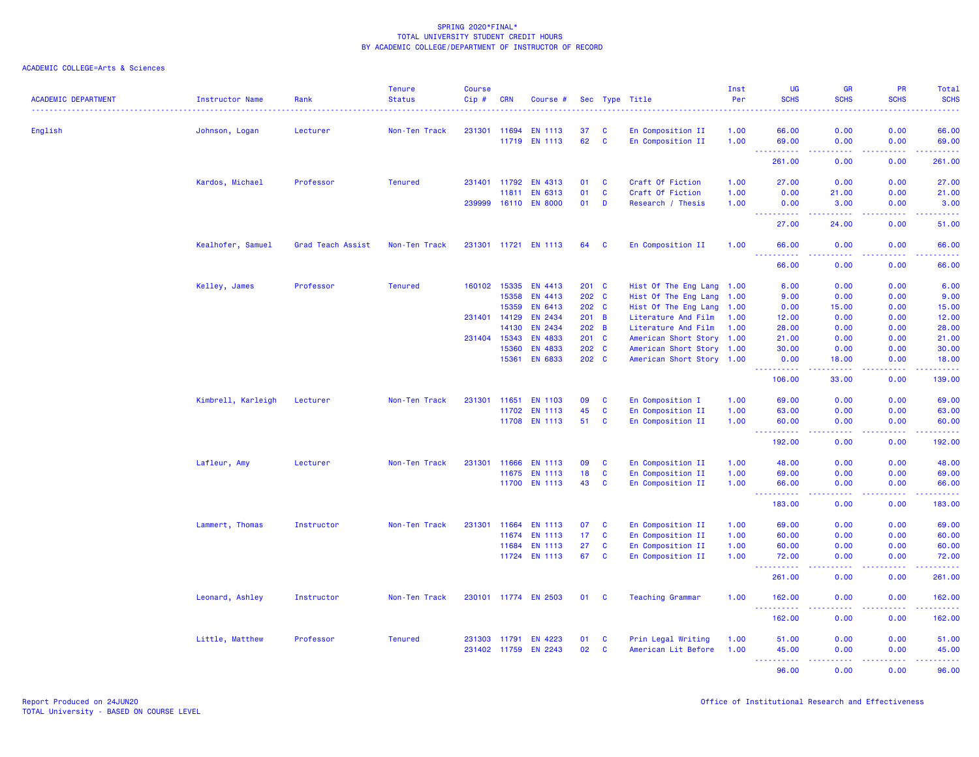| <b>ACADEMIC DEPARTMENT</b> | <b>Instructor Name</b> | Rank              | <b>Tenure</b><br><b>Status</b> | <b>Course</b><br>$Cip$ # | <b>CRN</b>   | Course #                        |                 |                   | Sec Type Title                         | Inst<br>Per  | <b>UG</b><br><b>SCHS</b>                                                                                                                                                        | <b>GR</b><br><b>SCHS</b> | <b>PR</b><br><b>SCHS</b> | <b>Total</b><br><b>SCHS</b>                                                                                          |
|----------------------------|------------------------|-------------------|--------------------------------|--------------------------|--------------|---------------------------------|-----------------|-------------------|----------------------------------------|--------------|---------------------------------------------------------------------------------------------------------------------------------------------------------------------------------|--------------------------|--------------------------|----------------------------------------------------------------------------------------------------------------------|
|                            |                        |                   |                                |                          |              |                                 |                 |                   |                                        |              |                                                                                                                                                                                 |                          |                          |                                                                                                                      |
| English                    | Johnson, Logan         | Lecturer          | Non-Ten Track                  |                          | 231301 11694 | <b>EN 1113</b><br>11719 EN 1113 | 37<br>62        | C<br>$\mathbf{C}$ | En Composition II<br>En Composition II | 1.00<br>1.00 | 66.00<br>69.00                                                                                                                                                                  | 0.00<br>0.00             | 0.00<br>0.00             | 66.00<br>69.00                                                                                                       |
|                            |                        |                   |                                |                          |              |                                 |                 |                   |                                        |              | $\sim$ $\sim$ $\sim$<br><b><i><u><u><b>A</b></u></u></i></b>                                                                                                                    | .                        | .                        | <u>.</u>                                                                                                             |
|                            |                        |                   |                                |                          |              |                                 |                 |                   |                                        |              | 261.00                                                                                                                                                                          | 0.00                     | 0.00                     | 261.00                                                                                                               |
|                            | Kardos, Michael        | Professor         | <b>Tenured</b>                 |                          | 231401 11792 | EN 4313                         | 01              | $\mathbf{C}$      | Craft Of Fiction                       | 1.00         | 27.00                                                                                                                                                                           | 0.00                     | 0.00                     | 27.00                                                                                                                |
|                            |                        |                   |                                |                          | 11811        | EN 6313                         | 01              | $\mathbf{C}$      | Craft Of Fiction                       | 1.00         | 0.00                                                                                                                                                                            | 21.00                    | 0.00                     | 21.00                                                                                                                |
|                            |                        |                   |                                | 239999                   |              | 16110 EN 8000                   | 01              | D                 | Research / Thesis                      | 1.00         | 0.00<br>$\sim$ $\sim$ .<br>$\frac{1}{2} \left( \frac{1}{2} \right) \left( \frac{1}{2} \right) \left( \frac{1}{2} \right) \left( \frac{1}{2} \right) \left( \frac{1}{2} \right)$ | 3.00<br>-----            | 0.00<br>.                | 3.00<br>.                                                                                                            |
|                            |                        |                   |                                |                          |              |                                 |                 |                   |                                        |              | 27.00                                                                                                                                                                           | 24.00                    | 0.00                     | 51.00                                                                                                                |
|                            | Kealhofer, Samuel      | Grad Teach Assist | Non-Ten Track                  |                          |              | 231301 11721 EN 1113            | 64              | <b>C</b>          | En Composition II                      | 1.00         | 66.00                                                                                                                                                                           | 0.00                     | 0.00                     | 66.00                                                                                                                |
|                            |                        |                   |                                |                          |              |                                 |                 |                   |                                        |              | .<br>66.00                                                                                                                                                                      | بالأباد<br>0.00          | .<br>0.00                | وعاماما<br>66.00                                                                                                     |
|                            | Kelley, James          | Professor         | <b>Tenured</b>                 | 160102                   | 15335        | EN 4413                         | 201 C           |                   | Hist Of The Eng Lang 1.00              |              | 6.00                                                                                                                                                                            | 0.00                     | 0.00                     | 6.00                                                                                                                 |
|                            |                        |                   |                                |                          | 15358        | EN 4413                         | 202 C           |                   | Hist Of The Eng Lang 1.00              |              | 9.00                                                                                                                                                                            | 0.00                     | 0.00                     | 9.00                                                                                                                 |
|                            |                        |                   |                                |                          | 15359        | EN 6413                         | 202 C           |                   | Hist Of The Eng Lang 1.00              |              | 0.00                                                                                                                                                                            | 15.00                    | 0.00                     | 15.00                                                                                                                |
|                            |                        |                   |                                | 231401 14129             |              | EN 2434                         | 201 B           |                   | Literature And Film                    | 1.00         | 12.00                                                                                                                                                                           | 0.00                     | 0.00                     | 12.00                                                                                                                |
|                            |                        |                   |                                |                          | 14130        | EN 2434                         | 202 B           |                   | Literature And Film                    | 1.00         | 28.00                                                                                                                                                                           | 0.00                     | 0.00                     | 28.00                                                                                                                |
|                            |                        |                   |                                | 231404                   | 15343        | <b>EN 4833</b>                  | $201$ C         |                   | American Short Story 1.00              |              | 21.00                                                                                                                                                                           | 0.00                     | 0.00                     | 21.00                                                                                                                |
|                            |                        |                   |                                |                          | 15360        | <b>EN 4833</b>                  | 202 C           |                   | American Short Story 1.00              |              | 30.00                                                                                                                                                                           | 0.00                     | 0.00                     | 30.00                                                                                                                |
|                            |                        |                   |                                |                          | 15361        | <b>EN 6833</b>                  | 202 C           |                   | American Short Story 1.00              |              | 0.00                                                                                                                                                                            | 18.00                    | 0.00                     | 18.00                                                                                                                |
|                            |                        |                   |                                |                          |              |                                 |                 |                   |                                        |              | .<br>106.00                                                                                                                                                                     | .<br>33.00               | .<br>0.00                | .<br>139.00                                                                                                          |
|                            | Kimbrell, Karleigh     | Lecturer          | Non-Ten Track                  | 231301 11651             |              | EN 1103                         | 09              | <b>C</b>          | En Composition I                       | 1.00         | 69.00                                                                                                                                                                           | 0.00                     | 0.00                     | 69.00                                                                                                                |
|                            |                        |                   |                                |                          | 11702        | <b>EN 1113</b>                  | 45              | <b>C</b>          | En Composition II                      | 1.00         | 63.00                                                                                                                                                                           | 0.00                     | 0.00                     | 63.00                                                                                                                |
|                            |                        |                   |                                |                          |              | 11708 EN 1113                   | 51              | $\mathbf{C}$      | En Composition II                      | 1.00         | 60.00                                                                                                                                                                           | 0.00                     | 0.00                     | 60.00<br>المتمامين                                                                                                   |
|                            |                        |                   |                                |                          |              |                                 |                 |                   |                                        |              | 192.00                                                                                                                                                                          | 0.00                     | 0.00                     | 192.00                                                                                                               |
|                            | Lafleur, Amy           | Lecturer          | Non-Ten Track                  | 231301                   | 11666        | <b>EN 1113</b>                  | 09              | C                 | En Composition II                      | 1.00         | 48.00                                                                                                                                                                           | 0.00                     | 0.00                     | 48.00                                                                                                                |
|                            |                        |                   |                                |                          | 11675        | <b>EN 1113</b>                  | 18              | $\mathbf{C}$      | En Composition II                      | 1.00         | 69.00                                                                                                                                                                           | 0.00                     | 0.00                     | 69.00                                                                                                                |
|                            |                        |                   |                                |                          |              | 11700 EN 1113                   | 43              | <b>C</b>          | En Composition II                      | 1.00         | 66.00                                                                                                                                                                           | 0.00                     | 0.00                     | 66.00                                                                                                                |
|                            |                        |                   |                                |                          |              |                                 |                 |                   |                                        |              | $\sim$ $\sim$ $\sim$<br>.<br>183.00                                                                                                                                             | .<br>0.00                | . <b>.</b><br>0.00       | .<br>183.00                                                                                                          |
|                            | Lammert, Thomas        | Instructor        | Non-Ten Track                  | 231301                   | 11664        | <b>EN 1113</b>                  | 07              | $\mathbf{C}$      | En Composition II                      | 1.00         | 69.00                                                                                                                                                                           | 0.00                     | 0.00                     | 69.00                                                                                                                |
|                            |                        |                   |                                |                          | 11674        | EN 1113                         | 17 <sub>1</sub> | $\mathbf{C}$      | En Composition II                      | 1.00         | 60.00                                                                                                                                                                           | 0.00                     | 0.00                     | 60.00                                                                                                                |
|                            |                        |                   |                                |                          | 11684        | <b>EN 1113</b>                  | 27              | <b>C</b>          | En Composition II                      | 1.00         | 60.00                                                                                                                                                                           | 0.00                     | 0.00                     | 60.00                                                                                                                |
|                            |                        |                   |                                |                          | 11724        | EN 1113                         | 67              | <b>C</b>          | En Composition II                      | 1.00         | 72.00                                                                                                                                                                           | 0.00                     | 0.00                     | 72.00                                                                                                                |
|                            |                        |                   |                                |                          |              |                                 |                 |                   |                                        |              | $\sim$ $\sim$ $\sim$<br>261.00                                                                                                                                                  | 0.00                     | 0.00                     | .<br>261.00                                                                                                          |
|                            | Leonard, Ashley        | Instructor        | Non-Ten Track                  |                          |              | 230101 11774 EN 2503            | 01              | $\mathbf{C}$      | <b>Teaching Grammar</b>                | 1.00         | 162.00                                                                                                                                                                          | 0.00                     | 0.00                     | 162.00                                                                                                               |
|                            |                        |                   |                                |                          |              |                                 |                 |                   |                                        |              | <u>.</u><br>162.00                                                                                                                                                              | 0.00                     | 0.00                     | 2.2.2.2.2.4<br>162.00                                                                                                |
|                            | Little, Matthew        | Professor         | <b>Tenured</b>                 |                          | 231303 11791 | EN 4223                         | 01              | <b>C</b>          | Prin Legal Writing                     | 1.00         | 51.00                                                                                                                                                                           | 0.00                     | 0.00                     | 51.00                                                                                                                |
|                            |                        |                   |                                |                          | 231402 11759 | <b>EN 2243</b>                  | 02              | <b>C</b>          | American Lit Before                    | 1.00         | 45.00                                                                                                                                                                           | 0.00                     | 0.00                     | 45.00                                                                                                                |
|                            |                        |                   |                                |                          |              |                                 |                 |                   |                                        |              | المتمام والمتمار<br>$\frac{1}{2} \left( \frac{1}{2} \right) \left( \frac{1}{2} \right) \left( \frac{1}{2} \right)$<br>96.00                                                     | 22222<br>0.00            | 22222<br>0.00            | $\begin{array}{cccccccccc} \bullet & \bullet & \bullet & \bullet & \bullet & \bullet & \bullet \end{array}$<br>96.00 |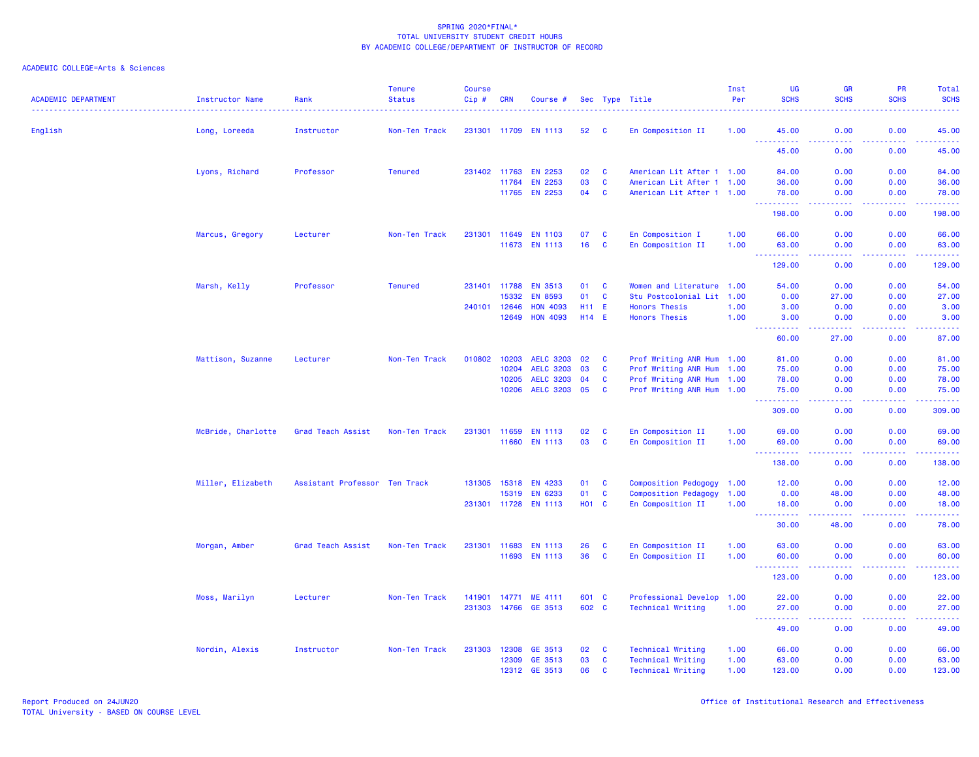| <b>ACADEMIC DEPARTMENT</b> | <b>Instructor Name</b><br>. | Rank                          | <b>Tenure</b><br><b>Status</b> | <b>Course</b><br>Cip# | <b>CRN</b>   | Course #             |              |              | Sec Type Title              | Inst<br>Per | <b>UG</b><br><b>SCHS</b>           | <b>GR</b><br><b>SCHS</b>                     | <b>PR</b><br><b>SCHS</b> | Total<br><b>SCHS</b> |
|----------------------------|-----------------------------|-------------------------------|--------------------------------|-----------------------|--------------|----------------------|--------------|--------------|-----------------------------|-------------|------------------------------------|----------------------------------------------|--------------------------|----------------------|
| English                    | Long, Loreeda               | Instructor                    | Non-Ten Track                  | 231301 11709          |              | <b>EN 1113</b>       | 52           | C            | En Composition II           | 1.00        | 45.00                              | 0.00                                         | 0.00                     | 45.00                |
|                            |                             |                               |                                |                       |              |                      |              |              |                             |             | <b>.</b> .<br>45.00                | .<br>0.00                                    | 22222<br>0.00            | .<br>45.00           |
|                            | Lyons, Richard              | Professor                     | <b>Tenured</b>                 |                       | 231402 11763 | <b>EN 2253</b>       | 02           | $\mathbf{C}$ | American Lit After 1 1.00   |             | 84.00                              | 0.00                                         | 0.00                     | 84.00                |
|                            |                             |                               |                                |                       | 11764        | <b>EN 2253</b>       | 03           | $\mathbf{C}$ | American Lit After 1 1.00   |             | 36.00                              | 0.00                                         | 0.00                     | 36.00                |
|                            |                             |                               |                                |                       | 11765        | <b>EN 2253</b>       | 04           | $\mathbf{C}$ | American Lit After 1 1.00   |             | 78.00<br><b></b>                   | 0.00<br>.                                    | 0.00<br>22222            | 78.00<br><u>.</u>    |
|                            |                             |                               |                                |                       |              |                      |              |              |                             |             | 198.00                             | 0.00                                         | 0.00                     | 198.00               |
|                            | Marcus, Gregory             | Lecturer                      | Non-Ten Track                  |                       | 231301 11649 | <b>EN 1103</b>       | 07           | $\mathbf{C}$ | En Composition I            | 1.00        | 66.00                              | 0.00                                         | 0.00                     | 66.00                |
|                            |                             |                               |                                |                       |              | 11673 EN 1113        | 16           | $\mathbf{C}$ | En Composition II           | 1.00        | 63.00                              | 0.00<br>$\omega$ is $\omega$ in              | 0.00<br>22222            | 63.00                |
|                            |                             |                               |                                |                       |              |                      |              |              |                             |             | .<br>129.00                        | 0.00                                         | 0.00                     | .<br>129.00          |
|                            | Marsh, Kelly                | Professor                     | <b>Tenured</b>                 |                       | 231401 11788 | <b>EN 3513</b>       | 01           | $\mathbf{C}$ | Women and Literature 1.00   |             | 54.00                              | 0.00                                         | 0.00                     | 54.00                |
|                            |                             |                               |                                |                       | 15332        | <b>EN 8593</b>       | 01           | C            | Stu Postcolonial Lit        | 1.00        | 0.00                               | 27.00                                        | 0.00                     | 27.00                |
|                            |                             |                               |                                | 240101 12646          |              | <b>HON 4093</b>      | H11 E        |              | <b>Honors Thesis</b>        | 1.00        | 3.00                               | 0.00                                         | 0.00                     | 3.00                 |
|                            |                             |                               |                                |                       | 12649        | <b>HON 4093</b>      | $H14$ E      |              | <b>Honors Thesis</b>        | 1.00        | 3.00<br><u>.</u>                   | 0.00<br><b><i><u><u> - - - -</u></u></i></b> | 0.00<br>. <b>.</b>       | 3.00<br>. <u>.</u>   |
|                            |                             |                               |                                |                       |              |                      |              |              |                             |             | 60.00                              | 27.00                                        | 0.00                     | 87.00                |
|                            | Mattison, Suzanne           | Lecturer                      | Non-Ten Track                  | 010802                | 10203        | <b>AELC 3203</b>     | 02           | C            | Prof Writing ANR Hum 1.00   |             | 81.00                              | 0.00                                         | 0.00                     | 81.00                |
|                            |                             |                               |                                |                       | 10204        | <b>AELC 3203</b>     | 03           | C            | Prof Writing ANR Hum 1.00   |             | 75.00                              | 0.00                                         | 0.00                     | 75.00                |
|                            |                             |                               |                                |                       | 10205        | <b>AELC 3203</b>     | 04           | C            | Prof Writing ANR Hum 1.00   |             | 78.00                              | 0.00                                         | 0.00                     | 78.00                |
|                            |                             |                               |                                |                       | 10206        | <b>AELC 3203</b>     | 05           | $\mathbf{C}$ | Prof Writing ANR Hum 1.00   |             | 75.00                              | 0.00                                         | 0.00<br>.                | 75.00<br>.           |
|                            |                             |                               |                                |                       |              |                      |              |              |                             |             | 309.00                             | 0.00                                         | 0.00                     | 309.00               |
|                            | McBride, Charlotte          | Grad Teach Assist             | Non-Ten Track                  | 231301                | 11659        | <b>EN 1113</b>       | 02           | C            | En Composition II           | 1.00        | 69.00                              | 0.00                                         | 0.00                     | 69.00                |
|                            |                             |                               |                                |                       |              | 11660 EN 1113        | 03           | $\mathbf{C}$ | En Composition II           | 1.00        | 69.00<br>.                         | 0.00<br>$\sim$ $\sim$ $\sim$ $\sim$          | 0.00<br>-----            | 69.00<br>.           |
|                            |                             |                               |                                |                       |              |                      |              |              |                             |             | 138.00                             | 0.00                                         | 0.00                     | 138.00               |
|                            | Miller, Elizabeth           | Assistant Professor Ten Track |                                | 131305                | 15318        | EN 4233              | 01           | $\mathbf{C}$ | Composition Pedogogy 1.00   |             | 12.00                              | 0.00                                         | 0.00                     | 12.00                |
|                            |                             |                               |                                |                       | 15319        | <b>EN 6233</b>       | 01           | $\mathbf{C}$ | <b>Composition Pedagogy</b> | 1.00        | 0.00                               | 48.00                                        | 0.00                     | 48.00                |
|                            |                             |                               |                                |                       |              | 231301 11728 EN 1113 | <b>HO1 C</b> |              | En Composition II           | 1.00        | 18.00<br>.                         | 0.00                                         | 0.00<br>$  -$            | 18.00<br>.           |
|                            |                             |                               |                                |                       |              |                      |              |              |                             |             | 30.00                              | 48.00                                        | 0.00                     | 78.00                |
|                            | Morgan, Amber               | Grad Teach Assist             | Non-Ten Track                  | 231301 11683          |              | <b>EN 1113</b>       | 26           | C            | En Composition II           | 1.00        | 63.00                              | 0.00                                         | 0.00                     | 63.00                |
|                            |                             |                               |                                |                       | 11693        | <b>EN 1113</b>       | 36           | $\mathbf{C}$ | En Composition II           | 1.00        | 60.00                              | 0.00                                         | 0.00                     | 60.00<br>والمحاميات  |
|                            |                             |                               |                                |                       |              |                      |              |              |                             |             | 123.00                             | 0.00                                         | 0.00                     | 123.00               |
|                            | Moss, Marilyn               | Lecturer                      | Non-Ten Track                  | 141901 14771          |              | ME 4111              | 601 C        |              | Professional Develop 1.00   |             | 22.00                              | 0.00                                         | 0.00                     | 22.00                |
|                            |                             |                               |                                |                       |              | 231303 14766 GE 3513 | 602 C        |              | <b>Technical Writing</b>    | 1.00        | 27.00<br>$\sim$ $\sim$ $\sim$<br>. | 0.00<br>د د د د                              | 0.00<br>.                | 27.00<br>.           |
|                            |                             |                               |                                |                       |              |                      |              |              |                             |             | 49.00                              | 0.00                                         | 0.00                     | 49.00                |
|                            | Nordin, Alexis              | Instructor                    | Non-Ten Track                  | 231303                | 12308        | GE 3513              | 02           | C            | Technical Writing           | 1.00        | 66.00                              | 0.00                                         | 0.00                     | 66.00                |
|                            |                             |                               |                                |                       | 12309        | GE 3513              | 03           | $\mathbf{C}$ | <b>Technical Writing</b>    | 1.00        | 63.00                              | 0.00                                         | 0.00                     | 63.00                |
|                            |                             |                               |                                |                       | 12312        | GE 3513              | 06           | $\mathbf{C}$ | <b>Technical Writing</b>    | 1.00        | 123.00                             | 0.00                                         | 0.00                     | 123.00               |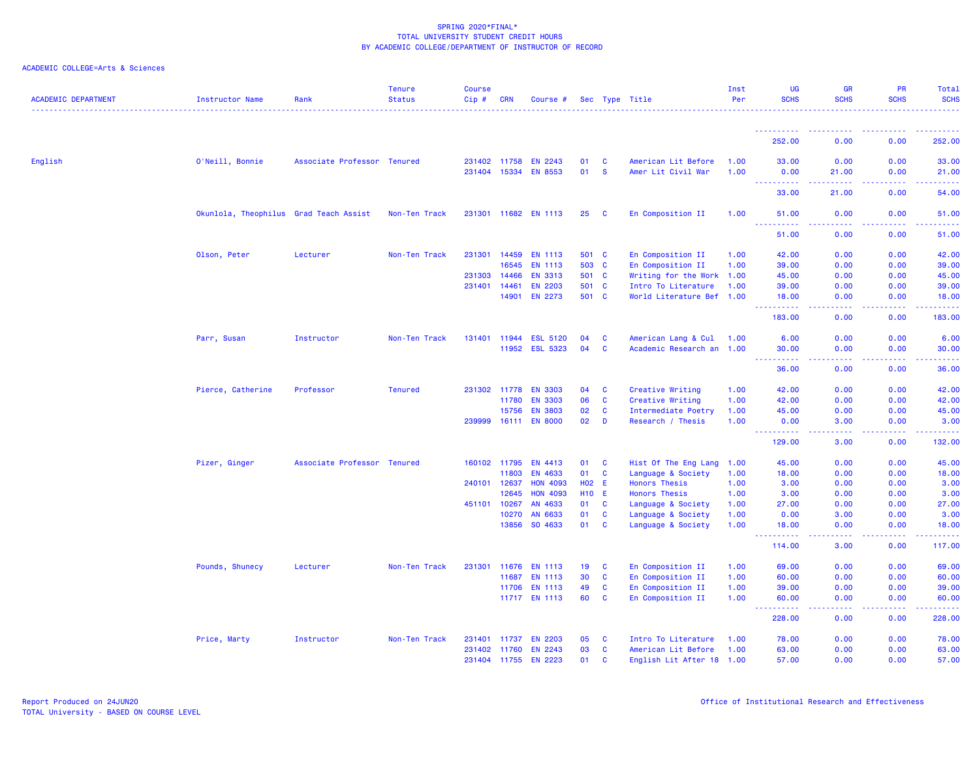| <b>ACADEMIC DEPARTMENT</b> | <b>Instructor Name</b>                 | Rank                        | <b>Tenure</b><br><b>Status</b> | <b>Course</b><br>Cip# | <b>CRN</b>     | Course #             |              |                   | Sec Type Title                           | Inst<br>Per  | <b>UG</b><br><b>SCHS</b>              | <b>GR</b><br><b>SCHS</b> | PR<br><b>SCHS</b> | <b>Total</b><br><b>SCHS</b>          |
|----------------------------|----------------------------------------|-----------------------------|--------------------------------|-----------------------|----------------|----------------------|--------------|-------------------|------------------------------------------|--------------|---------------------------------------|--------------------------|-------------------|--------------------------------------|
|                            |                                        |                             |                                |                       |                |                      |              |                   |                                          |              |                                       |                          |                   |                                      |
|                            |                                        |                             |                                |                       |                |                      |              |                   |                                          |              | 252.00                                | 0.00                     | 0.00              | 252.00                               |
| English                    | O'Neill, Bonnie                        | Associate Professor Tenured |                                |                       | 231402 11758   | <b>EN 2243</b>       | 01           | <b>C</b>          | American Lit Before                      | 1.00         | 33.00                                 | 0.00                     | 0.00              | 33.00                                |
|                            |                                        |                             |                                | 231404 15334          |                | <b>EN 8553</b>       | 01           | <b>S</b>          | Amer Lit Civil War                       | 1.00         | 0.00                                  | 21.00                    | 0.00              | 21.00                                |
|                            |                                        |                             |                                |                       |                |                      |              |                   |                                          |              | <u>.</u><br>33,00                     | .<br>21.00               | .<br>0.00         | .<br>54.00                           |
|                            | Okunlola, Theophilus Grad Teach Assist |                             | Non-Ten Track                  |                       | 231301 11682   | <b>EN 1113</b>       | 25           | <b>C</b>          | En Composition II                        | 1.00         | 51.00                                 | 0.00                     | 0.00              | 51.00                                |
|                            |                                        |                             |                                |                       |                |                      |              |                   |                                          |              | المستمات<br>51.00                     | 0.00                     | 0.00              | 51.00                                |
|                            | Olson, Peter                           | Lecturer                    | Non-Ten Track                  | 231301                | 14459          | <b>EN 1113</b>       | 501 C        |                   | En Composition II                        | 1.00         | 42.00                                 | 0.00                     | 0.00              | 42.00                                |
|                            |                                        |                             |                                |                       | 16545          | <b>EN 1113</b>       | 503          | $\mathbf{C}$      | En Composition II                        | 1.00         | 39.00                                 | 0.00                     | 0.00              | 39.00                                |
|                            |                                        |                             |                                | 231303                | 14466          | <b>EN 3313</b>       | 501 C        |                   | Writing for the Work 1.00                |              | 45.00                                 | 0.00                     | 0.00              | 45.00                                |
|                            |                                        |                             |                                | 231401                | 14461          | <b>EN 2203</b>       | 501 C        |                   | Intro To Literature                      | 1.00         | 39.00                                 | 0.00                     | 0.00              | 39.00                                |
|                            |                                        |                             |                                |                       | 14901          | <b>EN 2273</b>       | 501 C        |                   | World Literature Bef 1.00                |              | 18.00<br>المتمام والمتمار             | 0.00<br>المتمام المالية  | 0.00<br>.         | 18.00<br>.                           |
|                            |                                        |                             |                                |                       |                |                      |              |                   |                                          |              | 183.00                                | 0.00                     | 0.00              | 183.00                               |
|                            | Parr, Susan                            | Instructor                  | Non-Ten Track                  |                       | 131401 11944   | <b>ESL 5120</b>      | 04           | $\mathbf{C}$      | American Lang & Cul 1.00                 |              | 6.00                                  | 0.00                     | 0.00              | 6.00                                 |
|                            |                                        |                             |                                |                       | 11952          | <b>ESL 5323</b>      | 04           | <b>C</b>          | Academic Research an 1.00                |              | 30.00<br>$\sim$ $\sim$ .<br>د د د د د | 0.00<br>وعاعاها          | 0.00              | 30.00<br>$\sim$ $\sim$ $\sim$ $\sim$ |
|                            |                                        |                             |                                |                       |                |                      |              |                   |                                          |              | 36.00                                 | 0.00                     | 0.00              | 36.00                                |
|                            | Pierce, Catherine                      | Professor                   | <b>Tenured</b>                 |                       | 231302 11778   | <b>EN 3303</b>       | 04           | <b>C</b>          | Creative Writing                         | 1.00         | 42.00                                 | 0.00                     | 0.00              | 42.00                                |
|                            |                                        |                             |                                |                       | 11780          | <b>EN 3303</b>       | 06           | $\mathbf{C}$      | Creative Writing                         | 1.00         | 42.00                                 | 0.00                     | 0.00              | 42.00                                |
|                            |                                        |                             |                                |                       | 15756          | <b>EN 3803</b>       | 02           | $\mathbf{C}$      | Intermediate Poetry                      | 1.00         | 45.00                                 | 0.00                     | 0.00              | 45.00                                |
|                            |                                        |                             |                                | 239999                | 16111          | <b>EN 8000</b>       | 02           | D                 | Research / Thesis                        | 1.00         | 0.00<br>. <b>.</b>                    | 3.00<br>د د د د          | 0.00<br>.         | 3.00<br>.                            |
|                            |                                        |                             |                                |                       |                |                      |              |                   |                                          |              | 129.00                                | 3.00                     | 0.00              | 132.00                               |
|                            | Pizer, Ginger                          | Associate Professor Tenured |                                |                       | 160102 11795   | EN 4413              | 01           | $\mathbf{C}$      | Hist Of The Eng Lang 1.00                |              | 45.00                                 | 0.00                     | 0.00              | 45.00                                |
|                            |                                        |                             |                                |                       | 11803          | EN 4633              | 01           | <b>C</b>          | Language & Society                       | 1.00         | 18.00                                 | 0.00                     | 0.00              | 18.00                                |
|                            |                                        |                             |                                | 240101                | 12637          | <b>HON 4093</b>      | <b>HO2</b>   | -E                | <b>Honors Thesis</b>                     | 1.00         | 3.00                                  | 0.00                     | 0.00              | 3.00                                 |
|                            |                                        |                             |                                |                       | 12645          | <b>HON 4093</b>      | <b>H10 E</b> |                   | <b>Honors Thesis</b>                     | 1.00         | 3.00                                  | 0.00                     | 0.00              | 3.00                                 |
|                            |                                        |                             |                                | 451101                | 10267          | AN 4633              | 01           | <b>C</b>          | Language & Society                       | 1.00         | 27.00                                 | 0.00                     | 0.00              | 27.00                                |
|                            |                                        |                             |                                |                       | 10270<br>13856 | AN 6633<br>SO 4633   | 01<br>01     | C<br>$\mathbf{C}$ | Language & Society<br>Language & Society | 1.00<br>1.00 | 0.00<br>18.00                         | 3.00<br>0.00             | 0.00<br>0.00      | 3.00<br>18.00                        |
|                            |                                        |                             |                                |                       |                |                      |              |                   |                                          |              | $\sim$ $\sim$ $\sim$<br>.<br>114.00   | .<br>3.00                | .<br>0.00         | .<br>117.00                          |
|                            | Pounds, Shunecy                        | Lecturer                    | Non-Ten Track                  | 231301                | 11676          | <b>EN 1113</b>       | 19           | $\mathbf{C}$      | En Composition II                        | 1.00         | 69.00                                 | 0.00                     | 0.00              | 69.00                                |
|                            |                                        |                             |                                |                       | 11687          | <b>EN 1113</b>       | 30           | <b>C</b>          | En Composition II                        | 1.00         | 60.00                                 | 0.00                     | 0.00              | 60.00                                |
|                            |                                        |                             |                                |                       |                | 11706 EN 1113        | 49           | <b>C</b>          | En Composition II                        | 1.00         | 39.00                                 | 0.00                     | 0.00              | 39.00                                |
|                            |                                        |                             |                                |                       |                | 11717 EN 1113        | 60           | <b>C</b>          | En Composition II                        | 1.00         | 60.00<br>$\sim$ $\sim$ $\sim$<br>.    | 0.00<br>$  -$            | 0.00              | 60.00<br>.                           |
|                            |                                        |                             |                                |                       |                |                      |              |                   |                                          |              | 228.00                                | 0.00                     | 0.00              | 228.00                               |
|                            | Price, Marty                           | Instructor                  | Non-Ten Track                  |                       | 231401 11737   | <b>EN 2203</b>       | 05           | <b>C</b>          | Intro To Literature                      | 1.00         | 78.00                                 | 0.00                     | 0.00              | 78.00                                |
|                            |                                        |                             |                                |                       | 231402 11760   | <b>EN 2243</b>       | 03           | $\mathbf{C}$      | American Lit Before                      | 1.00         | 63.00                                 | 0.00                     | 0.00              | 63.00                                |
|                            |                                        |                             |                                |                       |                | 231404 11755 EN 2223 | 01           | <b>C</b>          | English Lit After 18 1.00                |              | 57.00                                 | 0.00                     | 0.00              | 57.00                                |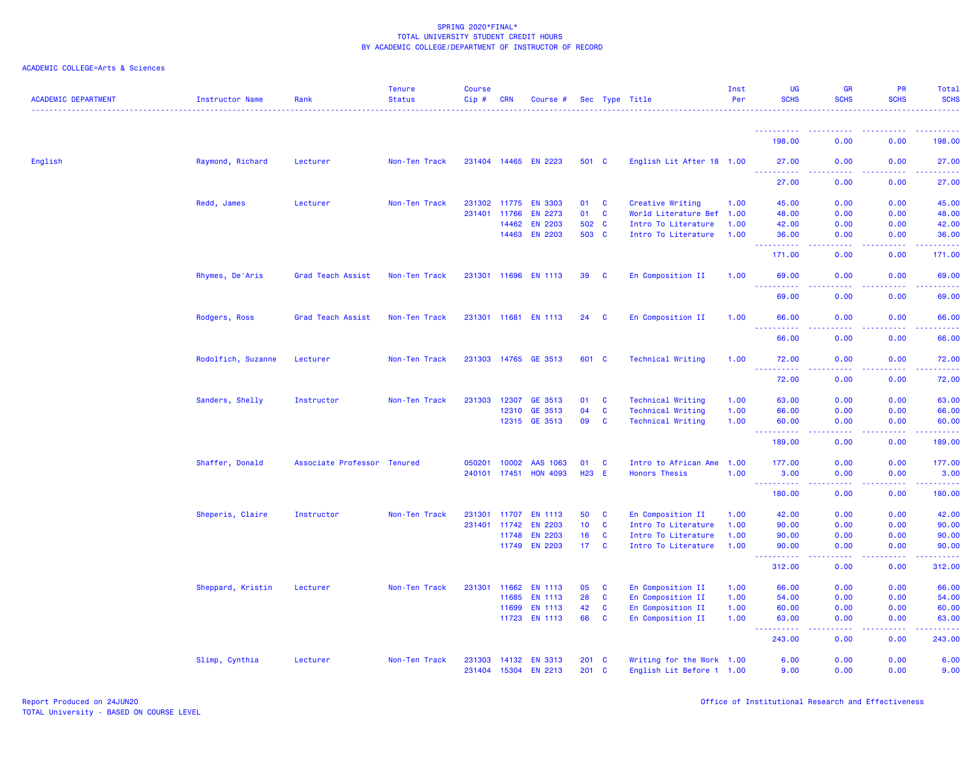| <b>ACADEMIC DEPARTMENT</b> | <b>Instructor Name</b> | Rank                        | <b>Tenure</b><br><b>Status</b> | <b>Course</b><br>$Cip \#$ | CRN   | Course #             |                 |              | Sec Type Title            | Inst<br>Per | <b>UG</b><br><b>SCHS</b>                                             | <b>GR</b><br><b>SCHS</b>            | PR<br><b>SCHS</b> | Total<br><b>SCHS</b>                            |
|----------------------------|------------------------|-----------------------------|--------------------------------|---------------------------|-------|----------------------|-----------------|--------------|---------------------------|-------------|----------------------------------------------------------------------|-------------------------------------|-------------------|-------------------------------------------------|
|                            |                        |                             |                                |                           |       |                      |                 |              |                           |             |                                                                      |                                     |                   |                                                 |
|                            |                        |                             |                                |                           |       |                      |                 |              |                           |             | 198.00                                                               | 0.00                                | 0.00              | 198.00                                          |
| English                    | Raymond, Richard       | Lecturer                    | Non-Ten Track                  |                           |       | 231404 14465 EN 2223 | 501 C           |              | English Lit After 18 1.00 |             | 27.00<br>. <b>.</b>                                                  | 0.00                                | 0.00              | 27.00                                           |
|                            |                        |                             |                                |                           |       |                      |                 |              |                           |             | 27.00                                                                | 0.00                                | 0.00              | 27.00                                           |
|                            | Redd, James            | Lecturer                    | Non-Ten Track                  |                           |       | 231302 11775 EN 3303 | 01              | $\mathbf{C}$ | Creative Writing          | 1.00        | 45.00                                                                | 0.00                                | 0.00              | 45.00                                           |
|                            |                        |                             |                                | 231401                    | 11766 | <b>EN 2273</b>       | 01              | $\mathbf{C}$ | World Literature Bef 1.00 |             | 48.00                                                                | 0.00                                | 0.00              | 48.00                                           |
|                            |                        |                             |                                |                           | 14462 | <b>EN 2203</b>       | 502 C           |              | Intro To Literature       | 1.00        | 42.00                                                                | 0.00                                | 0.00              | 42.00                                           |
|                            |                        |                             |                                |                           |       | 14463 EN 2203        | 503 C           |              | Intro To Literature       | 1.00        | 36.00<br><u>.</u>                                                    | 0.00<br>.                           | 0.00<br>.         | 36.00<br><b><i><u><u>.</u></u></i></b>          |
|                            |                        |                             |                                |                           |       |                      |                 |              |                           |             | 171.00                                                               | 0.00                                | 0.00              | 171.00                                          |
|                            | Rhymes, De'Aris        | Grad Teach Assist           | Non-Ten Track                  |                           |       | 231301 11696 EN 1113 | 39              | $\mathbf{C}$ | En Composition II         | 1.00        | 69.00                                                                | 0.00<br>. <u>. .</u>                | 0.00<br>.         | 69.00<br>.                                      |
|                            |                        |                             |                                |                           |       |                      |                 |              |                           |             | 69.00                                                                | 0.00                                | 0.00              | 69.00                                           |
|                            | Rodgers, Ross          | Grad Teach Assist           | Non-Ten Track                  |                           |       | 231301 11681 EN 1113 | 24              | $\mathbf{C}$ | En Composition II         | 1.00        | 66.00<br>222222                                                      | 0.00<br>.                           | 0.00<br>.         | 66.00<br>.                                      |
|                            |                        |                             |                                |                           |       |                      |                 |              |                           |             | 66.00                                                                | 0.00                                | 0.00              | 66.00                                           |
|                            | Rodolfich, Suzanne     | Lecturer                    | Non-Ten Track                  |                           |       | 231303 14765 GE 3513 | 601 C           |              | <b>Technical Writing</b>  | 1.00        | 72.00<br>----------                                                  | 0.00<br>. <b>. .</b>                | 0.00<br>.         | 72.00<br>.                                      |
|                            |                        |                             |                                |                           |       |                      |                 |              |                           |             | 72.00                                                                | 0.00                                | 0.00              | 72.00                                           |
|                            | Sanders, Shelly        | Instructor                  | Non-Ten Track                  | 231303                    | 12307 | GE 3513              | 01              | C            | <b>Technical Writing</b>  | 1.00        | 63.00                                                                | 0.00                                | 0.00              | 63.00                                           |
|                            |                        |                             |                                |                           | 12310 | GE 3513              | 04              | <b>C</b>     | <b>Technical Writing</b>  | 1.00        | 66.00                                                                | 0.00                                | 0.00              | 66.00                                           |
|                            |                        |                             |                                |                           |       | 12315 GE 3513        | 09              | $\mathbf{C}$ | <b>Technical Writing</b>  | 1.00        | 60.00<br>.<br>$\frac{1}{2} \left( \frac{1}{2} + \frac{1}{2} \right)$ | 0.00<br>.                           | 0.00<br><b></b>   | 60.00<br><b><i><u><u> - - - - -</u></u></i></b> |
|                            |                        |                             |                                |                           |       |                      |                 |              |                           |             | 189.00                                                               | 0.00                                | 0.00              | 189.00                                          |
|                            | Shaffer, Donald        | Associate Professor Tenured |                                | 050201                    | 10002 | AAS 1063             | 01              | $\mathbf{C}$ | Intro to African Ame      | 1.00        | 177.00                                                               | 0.00                                | 0.00              | 177.00                                          |
|                            |                        |                             |                                | 240101 17451              |       | <b>HON 4093</b>      | H23 E           |              | <b>Honors Thesis</b>      | 1.00        | 3.00                                                                 | 0.00                                | 0.00              | 3.00                                            |
|                            |                        |                             |                                |                           |       |                      |                 |              |                           |             | <u>.</u><br>180.00                                                   | .<br>0.00                           | .<br>0.00         | .<br>180.00                                     |
|                            | Sheperis, Claire       | Instructor                  | Non-Ten Track                  | 231301 11707              |       | <b>EN 1113</b>       | 50              | <b>C</b>     | En Composition II         | 1.00        | 42.00                                                                | 0.00                                | 0.00              | 42.00                                           |
|                            |                        |                             |                                | 231401                    | 11742 | <b>EN 2203</b>       | 10 <sub>1</sub> | <b>C</b>     | Intro To Literature       | 1.00        | 90.00                                                                | 0.00                                | 0.00              | 90.00                                           |
|                            |                        |                             |                                |                           | 11748 | <b>EN 2203</b>       | 16              | <b>C</b>     | Intro To Literature       | 1.00        | 90.00                                                                | 0.00                                | 0.00              | 90.00                                           |
|                            |                        |                             |                                |                           |       | 11749 EN 2203        | 17C             |              | Intro To Literature       | 1.00        | 90.00                                                                | 0.00                                | 0.00              | 90.00                                           |
|                            |                        |                             |                                |                           |       |                      |                 |              |                           |             | .<br>312.00                                                          | .<br>0.00                           | .<br>0.00         | 312.00                                          |
|                            | Sheppard, Kristin      | Lecturer                    | Non-Ten Track                  | 231301                    | 11662 | <b>EN 1113</b>       | 05              | <b>C</b>     | En Composition II         | 1.00        | 66.00                                                                | 0.00                                | 0.00              | 66.00                                           |
|                            |                        |                             |                                |                           | 11685 | <b>EN 1113</b>       | 28              | <b>C</b>     | En Composition II         | 1.00        | 54.00                                                                | 0.00                                | 0.00              | 54.00                                           |
|                            |                        |                             |                                |                           | 11699 | <b>EN 1113</b>       | 42              | $\mathbf{C}$ | En Composition II         | 1.00        | 60.00                                                                | 0.00                                | 0.00              | 60.00                                           |
|                            |                        |                             |                                |                           | 11723 | <b>EN 1113</b>       | 66              | <b>C</b>     | En Composition II         | 1.00        | 63.00<br>22222                                                       | 0.00<br>$\sim$ $\sim$ $\sim$ $\sim$ | 0.00<br>المستبد   | 63.00<br>.                                      |
|                            |                        |                             |                                |                           |       |                      |                 |              |                           |             | 243.00                                                               | 0.00                                | 0.00              | 243.00                                          |
|                            | Slimp, Cynthia         | Lecturer                    | Non-Ten Track                  |                           |       | 231303 14132 EN 3313 | $201$ C         |              | Writing for the Work 1.00 |             | 6.00                                                                 | 0.00                                | 0.00              | 6.00                                            |
|                            |                        |                             |                                |                           |       | 231404 15304 EN 2213 | 201 C           |              | English Lit Before 1 1.00 |             | 9.00                                                                 | 0.00                                | 0.00              | 9.00                                            |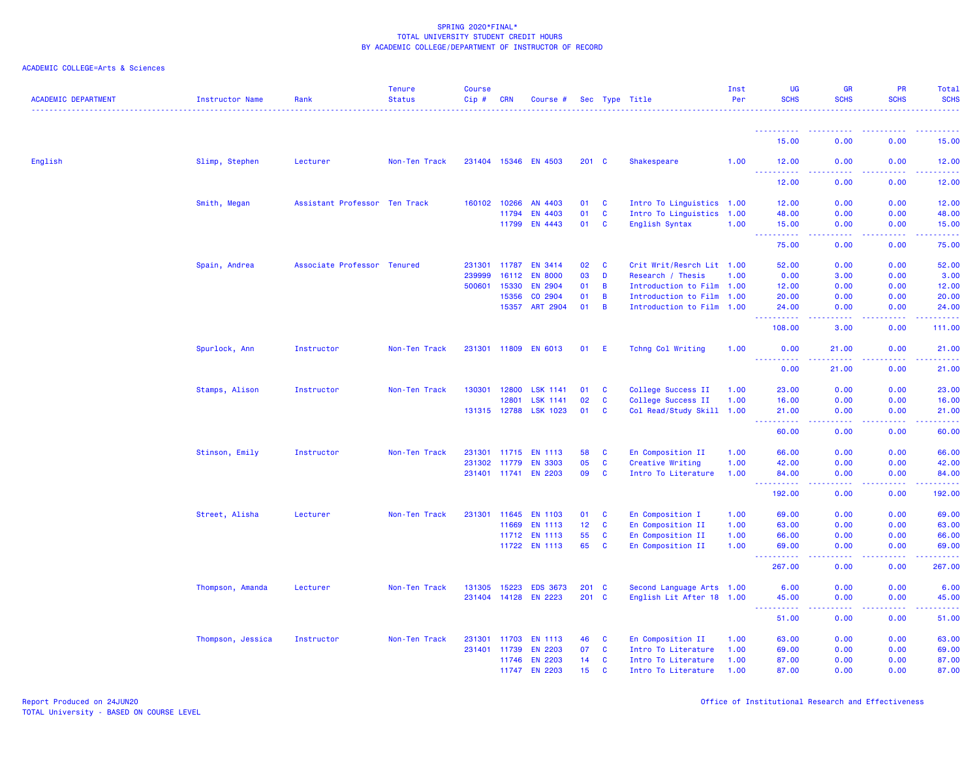| 15.00<br>0.00<br>0.00<br>15.00<br>English<br>Slimp, Stephen<br>Lecturer<br>Non-Ten Track<br>231404 15346 EN 4503<br>201 C<br><b>Shakespeare</b><br>1.00<br>12.00<br>0.00<br>0.00<br>12.00<br>$\sim$ $\sim$ $\sim$<br>.<br>د د د د<br>.<br>.<br>12.00<br>0.00<br>12.00<br>0.00<br>Smith, Megan<br>Assistant Professor Ten Track<br>160102 10266<br>AN 4403<br>01<br>$\mathbf{C}$<br>Intro To Linguistics 1.00<br>12.00<br>0.00<br>0.00<br>12.00<br>EN 4403<br>01<br>C<br>Intro To Linguistics<br>1.00<br>48.00<br>0.00<br>0.00<br>48.00<br>11794<br>EN 4443<br>01<br>$\mathbf{C}$<br>11799<br>English Syntax<br>1.00<br>15.00<br>0.00<br>0.00<br>15.00<br>$\omega_{\rm{max}}$<br><b>.</b><br>د د د د<br>وعاماما<br>75.00<br>0.00<br>0.00<br>75.00<br>Spain, Andrea<br>Associate Professor Tenured<br>231301<br>EN 3414<br>02<br>$\mathbf{C}$<br>Crit Writ/Resrch Lit 1.00<br>52.00<br>0.00<br>0.00<br>52.00<br>11787<br>03<br>D<br>239999<br>16112<br><b>EN 8000</b><br>Research / Thesis<br>1.00<br>0.00<br>3.00<br>0.00<br>3.00<br>500601<br>EN 2904<br>12.00<br>15330<br>01<br>B<br>Introduction to Film 1.00<br>12.00<br>0.00<br>0.00<br>CO 2904<br>15356<br>01<br>B<br>Introduction to Film 1.00<br>20.00<br>0.00<br>0.00<br>20.00<br>15357<br><b>ART 2904</b><br>01<br>B<br>Introduction to Film 1.00<br>0.00<br>24.00<br>0.00<br>24.00<br>.<br>.<br><b></b><br>.<br>108.00<br>3.00<br>0.00<br>111.00<br>Spurlock, Ann<br>Instructor<br>Non-Ten Track<br><b>EN 6013</b><br>Tchng Col Writing<br>0.00<br>21.00<br>231301 11809<br>01<br>E<br>1.00<br>0.00<br>21.00<br><u>.</u><br>.<br><b><i><u><u>.</u></u></i></b><br>.<br>0.00<br>0.00<br>21.00<br>21.00<br>130301<br>12800<br><b>LSK 1141</b><br>College Success II<br>23.00<br>0.00<br>0.00<br>23.00<br>Stamps, Alison<br>Instructor<br>Non-Ten Track<br>01<br>C<br>1.00<br>02<br>College Success II<br>0.00<br>0.00<br>16.00<br>12801<br><b>LSK 1141</b><br>C<br>1.00<br>16.00<br><b>LSK 1023</b><br>131315 12788<br>01<br>C<br>Col Read/Study Skill 1.00<br>21.00<br>0.00<br>0.00<br>21.00<br>.<br>د د د د<br>22222<br>.<br>0.00<br>60.00<br>60.00<br>0.00<br>En Composition II<br>0.00<br>0.00<br>66.00<br>Stinson, Emily<br>Instructor<br>Non-Ten Track<br>231301<br>11715<br><b>EN 1113</b><br>58<br>C<br>1.00<br>66.00<br>05<br>231302<br><b>EN 3303</b><br><b>C</b><br>Creative Writing<br>1.00<br>42.00<br>0.00<br>0.00<br>42.00<br>11779<br>231401 11741<br><b>EN 2203</b><br>09<br><b>C</b><br>Intro To Literature<br>1.00<br>84.00<br>0.00<br>0.00<br>84.00<br>44<br>والمالمات<br>.<br>.<br>192.00<br>0.00<br>0.00<br>192.00<br>Street, Alisha<br>Non-Ten Track<br>231301<br>11645<br><b>EN 1103</b><br>En Composition I<br>1.00<br>69.00<br>0.00<br>0.00<br>69.00<br>Lecturer<br>01<br><b>C</b><br>12<br>11669<br><b>EN 1113</b><br><b>C</b><br>En Composition II<br>1.00<br>63.00<br>0.00<br>0.00<br>63.00<br>55<br>C<br>66.00<br>11712<br><b>EN 1113</b><br>En Composition II<br>1.00<br>66.00<br>0.00<br>0.00<br>65<br>11722 EN 1113<br>C<br>En Composition II<br>1.00<br>69.00<br>0.00<br>0.00<br>69.00<br>$\sim$ $\sim$ .<br>.<br>والمسامين<br>.<br>.<br>267.00<br>0.00<br>0.00<br>267.00<br>0.00<br>Thompson, Amanda<br>Lecturer<br>Non-Ten Track<br>131305<br>15223<br><b>EDS 3673</b><br>$201 \quad C$<br>Second Language Arts 1.00<br>6.00<br>0.00<br>6.00<br>231404<br>14128<br><b>EN 2223</b><br>201 C<br>English Lit After 18 1.00<br>45.00<br>0.00<br>0.00<br>45.00<br><b>.</b><br>.<br>.<br><b></b><br>.<br>0.00<br>51.00<br>51.00<br>0.00<br>Thompson, Jessica<br>Instructor<br>Non-Ten Track<br>231301<br>11703<br><b>EN 1113</b><br>46<br>C<br>En Composition II<br>63.00<br>0.00<br>0.00<br>63.00<br>1.00<br>231401 11739<br><b>EN 2203</b><br>07<br>$\mathbf{C}$<br>Intro To Literature<br>69.00<br>0.00<br>0.00<br>69.00<br>1.00<br><b>EN 2203</b><br>0.00<br>87.00<br>11746<br>14<br>C<br>Intro To Literature<br>1.00<br>87.00<br>0.00<br><b>EN 2203</b><br>15<br>11747<br>C<br>1.00<br>87.00<br>0.00<br>0.00<br>87.00<br>Intro To Literature | <b>ACADEMIC DEPARTMENT</b> | Instructor Name | Rank | <b>Tenure</b><br><b>Status</b> | <b>Course</b><br>$Cip \#$ | <b>CRN</b> | Course # |  | Sec Type Title | Inst<br>Per | <b>UG</b><br><b>SCHS</b> | <b>GR</b><br><b>SCHS</b> | PR<br><b>SCHS</b> | Total<br><b>SCHS</b> |
|-----------------------------------------------------------------------------------------------------------------------------------------------------------------------------------------------------------------------------------------------------------------------------------------------------------------------------------------------------------------------------------------------------------------------------------------------------------------------------------------------------------------------------------------------------------------------------------------------------------------------------------------------------------------------------------------------------------------------------------------------------------------------------------------------------------------------------------------------------------------------------------------------------------------------------------------------------------------------------------------------------------------------------------------------------------------------------------------------------------------------------------------------------------------------------------------------------------------------------------------------------------------------------------------------------------------------------------------------------------------------------------------------------------------------------------------------------------------------------------------------------------------------------------------------------------------------------------------------------------------------------------------------------------------------------------------------------------------------------------------------------------------------------------------------------------------------------------------------------------------------------------------------------------------------------------------------------------------------------------------------------------------------------------------------------------------------------------------------------------------------------------------------------------------------------------------------------------------------------------------------------------------------------------------------------------------------------------------------------------------------------------------------------------------------------------------------------------------------------------------------------------------------------------------------------------------------------------------------------------------------------------------------------------------------------------------------------------------------------------------------------------------------------------------------------------------------------------------------------------------------------------------------------------------------------------------------------------------------------------------------------------------------------------------------------------------------------------------------------------------------------------------------------------------------------------------------------------------------------------------------------------------------------------------------------------------------------------------------------------------------------------------------------------------------------------------------------------------------------------------------------------------------------------------------------------------------------------------------------------------------------------------------------------------------------------------------------------------------------------------------------------------------------------------------------------------------------------------------------------------------------------------------------------------------------------------------------------------------------------------------------------------------------------------|----------------------------|-----------------|------|--------------------------------|---------------------------|------------|----------|--|----------------|-------------|--------------------------|--------------------------|-------------------|----------------------|
|                                                                                                                                                                                                                                                                                                                                                                                                                                                                                                                                                                                                                                                                                                                                                                                                                                                                                                                                                                                                                                                                                                                                                                                                                                                                                                                                                                                                                                                                                                                                                                                                                                                                                                                                                                                                                                                                                                                                                                                                                                                                                                                                                                                                                                                                                                                                                                                                                                                                                                                                                                                                                                                                                                                                                                                                                                                                                                                                                                                                                                                                                                                                                                                                                                                                                                                                                                                                                                                                                                                                                                                                                                                                                                                                                                                                                                                                                                                                                                                                                                         |                            |                 |      |                                |                           |            |          |  |                |             |                          |                          |                   |                      |
|                                                                                                                                                                                                                                                                                                                                                                                                                                                                                                                                                                                                                                                                                                                                                                                                                                                                                                                                                                                                                                                                                                                                                                                                                                                                                                                                                                                                                                                                                                                                                                                                                                                                                                                                                                                                                                                                                                                                                                                                                                                                                                                                                                                                                                                                                                                                                                                                                                                                                                                                                                                                                                                                                                                                                                                                                                                                                                                                                                                                                                                                                                                                                                                                                                                                                                                                                                                                                                                                                                                                                                                                                                                                                                                                                                                                                                                                                                                                                                                                                                         |                            |                 |      |                                |                           |            |          |  |                |             |                          |                          |                   |                      |
|                                                                                                                                                                                                                                                                                                                                                                                                                                                                                                                                                                                                                                                                                                                                                                                                                                                                                                                                                                                                                                                                                                                                                                                                                                                                                                                                                                                                                                                                                                                                                                                                                                                                                                                                                                                                                                                                                                                                                                                                                                                                                                                                                                                                                                                                                                                                                                                                                                                                                                                                                                                                                                                                                                                                                                                                                                                                                                                                                                                                                                                                                                                                                                                                                                                                                                                                                                                                                                                                                                                                                                                                                                                                                                                                                                                                                                                                                                                                                                                                                                         |                            |                 |      |                                |                           |            |          |  |                |             |                          |                          |                   |                      |
|                                                                                                                                                                                                                                                                                                                                                                                                                                                                                                                                                                                                                                                                                                                                                                                                                                                                                                                                                                                                                                                                                                                                                                                                                                                                                                                                                                                                                                                                                                                                                                                                                                                                                                                                                                                                                                                                                                                                                                                                                                                                                                                                                                                                                                                                                                                                                                                                                                                                                                                                                                                                                                                                                                                                                                                                                                                                                                                                                                                                                                                                                                                                                                                                                                                                                                                                                                                                                                                                                                                                                                                                                                                                                                                                                                                                                                                                                                                                                                                                                                         |                            |                 |      |                                |                           |            |          |  |                |             |                          |                          |                   |                      |
|                                                                                                                                                                                                                                                                                                                                                                                                                                                                                                                                                                                                                                                                                                                                                                                                                                                                                                                                                                                                                                                                                                                                                                                                                                                                                                                                                                                                                                                                                                                                                                                                                                                                                                                                                                                                                                                                                                                                                                                                                                                                                                                                                                                                                                                                                                                                                                                                                                                                                                                                                                                                                                                                                                                                                                                                                                                                                                                                                                                                                                                                                                                                                                                                                                                                                                                                                                                                                                                                                                                                                                                                                                                                                                                                                                                                                                                                                                                                                                                                                                         |                            |                 |      |                                |                           |            |          |  |                |             |                          |                          |                   |                      |
|                                                                                                                                                                                                                                                                                                                                                                                                                                                                                                                                                                                                                                                                                                                                                                                                                                                                                                                                                                                                                                                                                                                                                                                                                                                                                                                                                                                                                                                                                                                                                                                                                                                                                                                                                                                                                                                                                                                                                                                                                                                                                                                                                                                                                                                                                                                                                                                                                                                                                                                                                                                                                                                                                                                                                                                                                                                                                                                                                                                                                                                                                                                                                                                                                                                                                                                                                                                                                                                                                                                                                                                                                                                                                                                                                                                                                                                                                                                                                                                                                                         |                            |                 |      |                                |                           |            |          |  |                |             |                          |                          |                   |                      |
|                                                                                                                                                                                                                                                                                                                                                                                                                                                                                                                                                                                                                                                                                                                                                                                                                                                                                                                                                                                                                                                                                                                                                                                                                                                                                                                                                                                                                                                                                                                                                                                                                                                                                                                                                                                                                                                                                                                                                                                                                                                                                                                                                                                                                                                                                                                                                                                                                                                                                                                                                                                                                                                                                                                                                                                                                                                                                                                                                                                                                                                                                                                                                                                                                                                                                                                                                                                                                                                                                                                                                                                                                                                                                                                                                                                                                                                                                                                                                                                                                                         |                            |                 |      |                                |                           |            |          |  |                |             |                          |                          |                   |                      |
|                                                                                                                                                                                                                                                                                                                                                                                                                                                                                                                                                                                                                                                                                                                                                                                                                                                                                                                                                                                                                                                                                                                                                                                                                                                                                                                                                                                                                                                                                                                                                                                                                                                                                                                                                                                                                                                                                                                                                                                                                                                                                                                                                                                                                                                                                                                                                                                                                                                                                                                                                                                                                                                                                                                                                                                                                                                                                                                                                                                                                                                                                                                                                                                                                                                                                                                                                                                                                                                                                                                                                                                                                                                                                                                                                                                                                                                                                                                                                                                                                                         |                            |                 |      |                                |                           |            |          |  |                |             |                          |                          |                   |                      |
|                                                                                                                                                                                                                                                                                                                                                                                                                                                                                                                                                                                                                                                                                                                                                                                                                                                                                                                                                                                                                                                                                                                                                                                                                                                                                                                                                                                                                                                                                                                                                                                                                                                                                                                                                                                                                                                                                                                                                                                                                                                                                                                                                                                                                                                                                                                                                                                                                                                                                                                                                                                                                                                                                                                                                                                                                                                                                                                                                                                                                                                                                                                                                                                                                                                                                                                                                                                                                                                                                                                                                                                                                                                                                                                                                                                                                                                                                                                                                                                                                                         |                            |                 |      |                                |                           |            |          |  |                |             |                          |                          |                   |                      |
|                                                                                                                                                                                                                                                                                                                                                                                                                                                                                                                                                                                                                                                                                                                                                                                                                                                                                                                                                                                                                                                                                                                                                                                                                                                                                                                                                                                                                                                                                                                                                                                                                                                                                                                                                                                                                                                                                                                                                                                                                                                                                                                                                                                                                                                                                                                                                                                                                                                                                                                                                                                                                                                                                                                                                                                                                                                                                                                                                                                                                                                                                                                                                                                                                                                                                                                                                                                                                                                                                                                                                                                                                                                                                                                                                                                                                                                                                                                                                                                                                                         |                            |                 |      |                                |                           |            |          |  |                |             |                          |                          |                   |                      |
|                                                                                                                                                                                                                                                                                                                                                                                                                                                                                                                                                                                                                                                                                                                                                                                                                                                                                                                                                                                                                                                                                                                                                                                                                                                                                                                                                                                                                                                                                                                                                                                                                                                                                                                                                                                                                                                                                                                                                                                                                                                                                                                                                                                                                                                                                                                                                                                                                                                                                                                                                                                                                                                                                                                                                                                                                                                                                                                                                                                                                                                                                                                                                                                                                                                                                                                                                                                                                                                                                                                                                                                                                                                                                                                                                                                                                                                                                                                                                                                                                                         |                            |                 |      |                                |                           |            |          |  |                |             |                          |                          |                   |                      |
|                                                                                                                                                                                                                                                                                                                                                                                                                                                                                                                                                                                                                                                                                                                                                                                                                                                                                                                                                                                                                                                                                                                                                                                                                                                                                                                                                                                                                                                                                                                                                                                                                                                                                                                                                                                                                                                                                                                                                                                                                                                                                                                                                                                                                                                                                                                                                                                                                                                                                                                                                                                                                                                                                                                                                                                                                                                                                                                                                                                                                                                                                                                                                                                                                                                                                                                                                                                                                                                                                                                                                                                                                                                                                                                                                                                                                                                                                                                                                                                                                                         |                            |                 |      |                                |                           |            |          |  |                |             |                          |                          |                   |                      |
|                                                                                                                                                                                                                                                                                                                                                                                                                                                                                                                                                                                                                                                                                                                                                                                                                                                                                                                                                                                                                                                                                                                                                                                                                                                                                                                                                                                                                                                                                                                                                                                                                                                                                                                                                                                                                                                                                                                                                                                                                                                                                                                                                                                                                                                                                                                                                                                                                                                                                                                                                                                                                                                                                                                                                                                                                                                                                                                                                                                                                                                                                                                                                                                                                                                                                                                                                                                                                                                                                                                                                                                                                                                                                                                                                                                                                                                                                                                                                                                                                                         |                            |                 |      |                                |                           |            |          |  |                |             |                          |                          |                   |                      |
|                                                                                                                                                                                                                                                                                                                                                                                                                                                                                                                                                                                                                                                                                                                                                                                                                                                                                                                                                                                                                                                                                                                                                                                                                                                                                                                                                                                                                                                                                                                                                                                                                                                                                                                                                                                                                                                                                                                                                                                                                                                                                                                                                                                                                                                                                                                                                                                                                                                                                                                                                                                                                                                                                                                                                                                                                                                                                                                                                                                                                                                                                                                                                                                                                                                                                                                                                                                                                                                                                                                                                                                                                                                                                                                                                                                                                                                                                                                                                                                                                                         |                            |                 |      |                                |                           |            |          |  |                |             |                          |                          |                   |                      |
|                                                                                                                                                                                                                                                                                                                                                                                                                                                                                                                                                                                                                                                                                                                                                                                                                                                                                                                                                                                                                                                                                                                                                                                                                                                                                                                                                                                                                                                                                                                                                                                                                                                                                                                                                                                                                                                                                                                                                                                                                                                                                                                                                                                                                                                                                                                                                                                                                                                                                                                                                                                                                                                                                                                                                                                                                                                                                                                                                                                                                                                                                                                                                                                                                                                                                                                                                                                                                                                                                                                                                                                                                                                                                                                                                                                                                                                                                                                                                                                                                                         |                            |                 |      |                                |                           |            |          |  |                |             |                          |                          |                   |                      |
|                                                                                                                                                                                                                                                                                                                                                                                                                                                                                                                                                                                                                                                                                                                                                                                                                                                                                                                                                                                                                                                                                                                                                                                                                                                                                                                                                                                                                                                                                                                                                                                                                                                                                                                                                                                                                                                                                                                                                                                                                                                                                                                                                                                                                                                                                                                                                                                                                                                                                                                                                                                                                                                                                                                                                                                                                                                                                                                                                                                                                                                                                                                                                                                                                                                                                                                                                                                                                                                                                                                                                                                                                                                                                                                                                                                                                                                                                                                                                                                                                                         |                            |                 |      |                                |                           |            |          |  |                |             |                          |                          |                   |                      |
|                                                                                                                                                                                                                                                                                                                                                                                                                                                                                                                                                                                                                                                                                                                                                                                                                                                                                                                                                                                                                                                                                                                                                                                                                                                                                                                                                                                                                                                                                                                                                                                                                                                                                                                                                                                                                                                                                                                                                                                                                                                                                                                                                                                                                                                                                                                                                                                                                                                                                                                                                                                                                                                                                                                                                                                                                                                                                                                                                                                                                                                                                                                                                                                                                                                                                                                                                                                                                                                                                                                                                                                                                                                                                                                                                                                                                                                                                                                                                                                                                                         |                            |                 |      |                                |                           |            |          |  |                |             |                          |                          |                   |                      |
|                                                                                                                                                                                                                                                                                                                                                                                                                                                                                                                                                                                                                                                                                                                                                                                                                                                                                                                                                                                                                                                                                                                                                                                                                                                                                                                                                                                                                                                                                                                                                                                                                                                                                                                                                                                                                                                                                                                                                                                                                                                                                                                                                                                                                                                                                                                                                                                                                                                                                                                                                                                                                                                                                                                                                                                                                                                                                                                                                                                                                                                                                                                                                                                                                                                                                                                                                                                                                                                                                                                                                                                                                                                                                                                                                                                                                                                                                                                                                                                                                                         |                            |                 |      |                                |                           |            |          |  |                |             |                          |                          |                   |                      |
|                                                                                                                                                                                                                                                                                                                                                                                                                                                                                                                                                                                                                                                                                                                                                                                                                                                                                                                                                                                                                                                                                                                                                                                                                                                                                                                                                                                                                                                                                                                                                                                                                                                                                                                                                                                                                                                                                                                                                                                                                                                                                                                                                                                                                                                                                                                                                                                                                                                                                                                                                                                                                                                                                                                                                                                                                                                                                                                                                                                                                                                                                                                                                                                                                                                                                                                                                                                                                                                                                                                                                                                                                                                                                                                                                                                                                                                                                                                                                                                                                                         |                            |                 |      |                                |                           |            |          |  |                |             |                          |                          |                   |                      |
|                                                                                                                                                                                                                                                                                                                                                                                                                                                                                                                                                                                                                                                                                                                                                                                                                                                                                                                                                                                                                                                                                                                                                                                                                                                                                                                                                                                                                                                                                                                                                                                                                                                                                                                                                                                                                                                                                                                                                                                                                                                                                                                                                                                                                                                                                                                                                                                                                                                                                                                                                                                                                                                                                                                                                                                                                                                                                                                                                                                                                                                                                                                                                                                                                                                                                                                                                                                                                                                                                                                                                                                                                                                                                                                                                                                                                                                                                                                                                                                                                                         |                            |                 |      |                                |                           |            |          |  |                |             |                          |                          |                   |                      |
|                                                                                                                                                                                                                                                                                                                                                                                                                                                                                                                                                                                                                                                                                                                                                                                                                                                                                                                                                                                                                                                                                                                                                                                                                                                                                                                                                                                                                                                                                                                                                                                                                                                                                                                                                                                                                                                                                                                                                                                                                                                                                                                                                                                                                                                                                                                                                                                                                                                                                                                                                                                                                                                                                                                                                                                                                                                                                                                                                                                                                                                                                                                                                                                                                                                                                                                                                                                                                                                                                                                                                                                                                                                                                                                                                                                                                                                                                                                                                                                                                                         |                            |                 |      |                                |                           |            |          |  |                |             |                          |                          |                   |                      |
|                                                                                                                                                                                                                                                                                                                                                                                                                                                                                                                                                                                                                                                                                                                                                                                                                                                                                                                                                                                                                                                                                                                                                                                                                                                                                                                                                                                                                                                                                                                                                                                                                                                                                                                                                                                                                                                                                                                                                                                                                                                                                                                                                                                                                                                                                                                                                                                                                                                                                                                                                                                                                                                                                                                                                                                                                                                                                                                                                                                                                                                                                                                                                                                                                                                                                                                                                                                                                                                                                                                                                                                                                                                                                                                                                                                                                                                                                                                                                                                                                                         |                            |                 |      |                                |                           |            |          |  |                |             |                          |                          |                   |                      |
|                                                                                                                                                                                                                                                                                                                                                                                                                                                                                                                                                                                                                                                                                                                                                                                                                                                                                                                                                                                                                                                                                                                                                                                                                                                                                                                                                                                                                                                                                                                                                                                                                                                                                                                                                                                                                                                                                                                                                                                                                                                                                                                                                                                                                                                                                                                                                                                                                                                                                                                                                                                                                                                                                                                                                                                                                                                                                                                                                                                                                                                                                                                                                                                                                                                                                                                                                                                                                                                                                                                                                                                                                                                                                                                                                                                                                                                                                                                                                                                                                                         |                            |                 |      |                                |                           |            |          |  |                |             |                          |                          |                   |                      |
|                                                                                                                                                                                                                                                                                                                                                                                                                                                                                                                                                                                                                                                                                                                                                                                                                                                                                                                                                                                                                                                                                                                                                                                                                                                                                                                                                                                                                                                                                                                                                                                                                                                                                                                                                                                                                                                                                                                                                                                                                                                                                                                                                                                                                                                                                                                                                                                                                                                                                                                                                                                                                                                                                                                                                                                                                                                                                                                                                                                                                                                                                                                                                                                                                                                                                                                                                                                                                                                                                                                                                                                                                                                                                                                                                                                                                                                                                                                                                                                                                                         |                            |                 |      |                                |                           |            |          |  |                |             |                          |                          |                   |                      |
|                                                                                                                                                                                                                                                                                                                                                                                                                                                                                                                                                                                                                                                                                                                                                                                                                                                                                                                                                                                                                                                                                                                                                                                                                                                                                                                                                                                                                                                                                                                                                                                                                                                                                                                                                                                                                                                                                                                                                                                                                                                                                                                                                                                                                                                                                                                                                                                                                                                                                                                                                                                                                                                                                                                                                                                                                                                                                                                                                                                                                                                                                                                                                                                                                                                                                                                                                                                                                                                                                                                                                                                                                                                                                                                                                                                                                                                                                                                                                                                                                                         |                            |                 |      |                                |                           |            |          |  |                |             |                          |                          |                   |                      |
|                                                                                                                                                                                                                                                                                                                                                                                                                                                                                                                                                                                                                                                                                                                                                                                                                                                                                                                                                                                                                                                                                                                                                                                                                                                                                                                                                                                                                                                                                                                                                                                                                                                                                                                                                                                                                                                                                                                                                                                                                                                                                                                                                                                                                                                                                                                                                                                                                                                                                                                                                                                                                                                                                                                                                                                                                                                                                                                                                                                                                                                                                                                                                                                                                                                                                                                                                                                                                                                                                                                                                                                                                                                                                                                                                                                                                                                                                                                                                                                                                                         |                            |                 |      |                                |                           |            |          |  |                |             |                          |                          |                   |                      |
|                                                                                                                                                                                                                                                                                                                                                                                                                                                                                                                                                                                                                                                                                                                                                                                                                                                                                                                                                                                                                                                                                                                                                                                                                                                                                                                                                                                                                                                                                                                                                                                                                                                                                                                                                                                                                                                                                                                                                                                                                                                                                                                                                                                                                                                                                                                                                                                                                                                                                                                                                                                                                                                                                                                                                                                                                                                                                                                                                                                                                                                                                                                                                                                                                                                                                                                                                                                                                                                                                                                                                                                                                                                                                                                                                                                                                                                                                                                                                                                                                                         |                            |                 |      |                                |                           |            |          |  |                |             |                          |                          |                   |                      |
|                                                                                                                                                                                                                                                                                                                                                                                                                                                                                                                                                                                                                                                                                                                                                                                                                                                                                                                                                                                                                                                                                                                                                                                                                                                                                                                                                                                                                                                                                                                                                                                                                                                                                                                                                                                                                                                                                                                                                                                                                                                                                                                                                                                                                                                                                                                                                                                                                                                                                                                                                                                                                                                                                                                                                                                                                                                                                                                                                                                                                                                                                                                                                                                                                                                                                                                                                                                                                                                                                                                                                                                                                                                                                                                                                                                                                                                                                                                                                                                                                                         |                            |                 |      |                                |                           |            |          |  |                |             |                          |                          |                   |                      |
|                                                                                                                                                                                                                                                                                                                                                                                                                                                                                                                                                                                                                                                                                                                                                                                                                                                                                                                                                                                                                                                                                                                                                                                                                                                                                                                                                                                                                                                                                                                                                                                                                                                                                                                                                                                                                                                                                                                                                                                                                                                                                                                                                                                                                                                                                                                                                                                                                                                                                                                                                                                                                                                                                                                                                                                                                                                                                                                                                                                                                                                                                                                                                                                                                                                                                                                                                                                                                                                                                                                                                                                                                                                                                                                                                                                                                                                                                                                                                                                                                                         |                            |                 |      |                                |                           |            |          |  |                |             |                          |                          |                   |                      |
|                                                                                                                                                                                                                                                                                                                                                                                                                                                                                                                                                                                                                                                                                                                                                                                                                                                                                                                                                                                                                                                                                                                                                                                                                                                                                                                                                                                                                                                                                                                                                                                                                                                                                                                                                                                                                                                                                                                                                                                                                                                                                                                                                                                                                                                                                                                                                                                                                                                                                                                                                                                                                                                                                                                                                                                                                                                                                                                                                                                                                                                                                                                                                                                                                                                                                                                                                                                                                                                                                                                                                                                                                                                                                                                                                                                                                                                                                                                                                                                                                                         |                            |                 |      |                                |                           |            |          |  |                |             |                          |                          |                   |                      |
|                                                                                                                                                                                                                                                                                                                                                                                                                                                                                                                                                                                                                                                                                                                                                                                                                                                                                                                                                                                                                                                                                                                                                                                                                                                                                                                                                                                                                                                                                                                                                                                                                                                                                                                                                                                                                                                                                                                                                                                                                                                                                                                                                                                                                                                                                                                                                                                                                                                                                                                                                                                                                                                                                                                                                                                                                                                                                                                                                                                                                                                                                                                                                                                                                                                                                                                                                                                                                                                                                                                                                                                                                                                                                                                                                                                                                                                                                                                                                                                                                                         |                            |                 |      |                                |                           |            |          |  |                |             |                          |                          |                   |                      |
|                                                                                                                                                                                                                                                                                                                                                                                                                                                                                                                                                                                                                                                                                                                                                                                                                                                                                                                                                                                                                                                                                                                                                                                                                                                                                                                                                                                                                                                                                                                                                                                                                                                                                                                                                                                                                                                                                                                                                                                                                                                                                                                                                                                                                                                                                                                                                                                                                                                                                                                                                                                                                                                                                                                                                                                                                                                                                                                                                                                                                                                                                                                                                                                                                                                                                                                                                                                                                                                                                                                                                                                                                                                                                                                                                                                                                                                                                                                                                                                                                                         |                            |                 |      |                                |                           |            |          |  |                |             |                          |                          |                   |                      |
|                                                                                                                                                                                                                                                                                                                                                                                                                                                                                                                                                                                                                                                                                                                                                                                                                                                                                                                                                                                                                                                                                                                                                                                                                                                                                                                                                                                                                                                                                                                                                                                                                                                                                                                                                                                                                                                                                                                                                                                                                                                                                                                                                                                                                                                                                                                                                                                                                                                                                                                                                                                                                                                                                                                                                                                                                                                                                                                                                                                                                                                                                                                                                                                                                                                                                                                                                                                                                                                                                                                                                                                                                                                                                                                                                                                                                                                                                                                                                                                                                                         |                            |                 |      |                                |                           |            |          |  |                |             |                          |                          |                   |                      |
|                                                                                                                                                                                                                                                                                                                                                                                                                                                                                                                                                                                                                                                                                                                                                                                                                                                                                                                                                                                                                                                                                                                                                                                                                                                                                                                                                                                                                                                                                                                                                                                                                                                                                                                                                                                                                                                                                                                                                                                                                                                                                                                                                                                                                                                                                                                                                                                                                                                                                                                                                                                                                                                                                                                                                                                                                                                                                                                                                                                                                                                                                                                                                                                                                                                                                                                                                                                                                                                                                                                                                                                                                                                                                                                                                                                                                                                                                                                                                                                                                                         |                            |                 |      |                                |                           |            |          |  |                |             |                          |                          |                   |                      |
|                                                                                                                                                                                                                                                                                                                                                                                                                                                                                                                                                                                                                                                                                                                                                                                                                                                                                                                                                                                                                                                                                                                                                                                                                                                                                                                                                                                                                                                                                                                                                                                                                                                                                                                                                                                                                                                                                                                                                                                                                                                                                                                                                                                                                                                                                                                                                                                                                                                                                                                                                                                                                                                                                                                                                                                                                                                                                                                                                                                                                                                                                                                                                                                                                                                                                                                                                                                                                                                                                                                                                                                                                                                                                                                                                                                                                                                                                                                                                                                                                                         |                            |                 |      |                                |                           |            |          |  |                |             |                          |                          |                   |                      |
|                                                                                                                                                                                                                                                                                                                                                                                                                                                                                                                                                                                                                                                                                                                                                                                                                                                                                                                                                                                                                                                                                                                                                                                                                                                                                                                                                                                                                                                                                                                                                                                                                                                                                                                                                                                                                                                                                                                                                                                                                                                                                                                                                                                                                                                                                                                                                                                                                                                                                                                                                                                                                                                                                                                                                                                                                                                                                                                                                                                                                                                                                                                                                                                                                                                                                                                                                                                                                                                                                                                                                                                                                                                                                                                                                                                                                                                                                                                                                                                                                                         |                            |                 |      |                                |                           |            |          |  |                |             |                          |                          |                   |                      |
|                                                                                                                                                                                                                                                                                                                                                                                                                                                                                                                                                                                                                                                                                                                                                                                                                                                                                                                                                                                                                                                                                                                                                                                                                                                                                                                                                                                                                                                                                                                                                                                                                                                                                                                                                                                                                                                                                                                                                                                                                                                                                                                                                                                                                                                                                                                                                                                                                                                                                                                                                                                                                                                                                                                                                                                                                                                                                                                                                                                                                                                                                                                                                                                                                                                                                                                                                                                                                                                                                                                                                                                                                                                                                                                                                                                                                                                                                                                                                                                                                                         |                            |                 |      |                                |                           |            |          |  |                |             |                          |                          |                   |                      |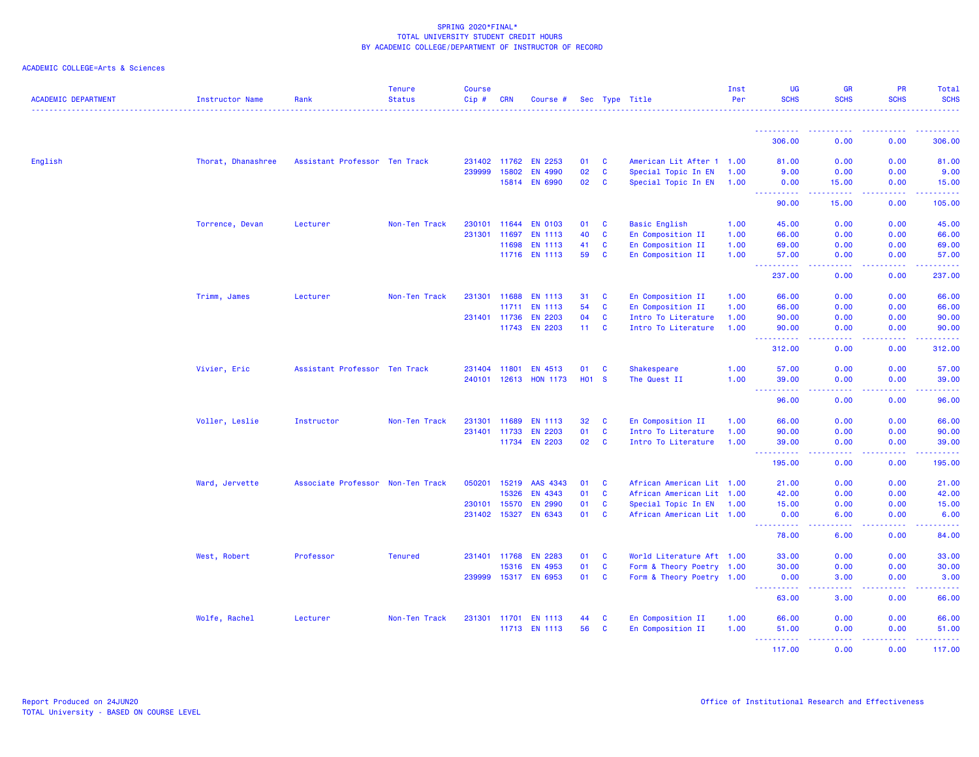| <b>ACADEMIC DEPARTMENT</b> | Instructor Name    | Rank                              | <b>Tenure</b><br><b>Status</b> | <b>Course</b><br>Cip # | <b>CRN</b>   | Course #        |                   |                              | Sec Type Title            | Inst<br>Per  | UG<br><b>SCHS</b>                                                                                                                                            | <b>GR</b><br><b>SCHS</b>                                                                                                          | <b>PR</b><br><b>SCHS</b> | Total<br><b>SCHS</b>      |
|----------------------------|--------------------|-----------------------------------|--------------------------------|------------------------|--------------|-----------------|-------------------|------------------------------|---------------------------|--------------|--------------------------------------------------------------------------------------------------------------------------------------------------------------|-----------------------------------------------------------------------------------------------------------------------------------|--------------------------|---------------------------|
|                            |                    |                                   |                                |                        |              |                 |                   |                              |                           |              |                                                                                                                                                              |                                                                                                                                   |                          |                           |
|                            |                    |                                   |                                |                        |              |                 |                   |                              |                           |              | 306.00                                                                                                                                                       | 0.00                                                                                                                              | 0.00                     | 306.00                    |
| English                    | Thorat, Dhanashree | Assistant Professor Ten Track     |                                | 231402                 | 11762        | <b>EN 2253</b>  | 01                | C                            | American Lit After 1 1.00 |              | 81.00                                                                                                                                                        | 0.00                                                                                                                              | 0.00                     | 81.00                     |
|                            |                    |                                   |                                | 239999                 | 15802        | <b>EN 4990</b>  | 02                | $\mathbf{C}$                 | Special Topic In EN       | 1.00         | 9.00                                                                                                                                                         | 0.00                                                                                                                              | 0.00                     | 9.00                      |
|                            |                    |                                   |                                |                        |              | 15814 EN 6990   | 02                | $\mathbf{C}$                 | Special Topic In EN 1.00  |              | 0.00                                                                                                                                                         | 15.00                                                                                                                             | 0.00                     | 15.00                     |
|                            |                    |                                   |                                |                        |              |                 |                   |                              |                           |              | 90.00                                                                                                                                                        | 15.00                                                                                                                             | 0.00                     | 105.00                    |
|                            | Torrence, Devan    | Lecturer                          | Non-Ten Track                  | 230101                 |              | 11644 EN 0103   | 01                | C                            | <b>Basic English</b>      | 1.00         | 45.00                                                                                                                                                        | 0.00                                                                                                                              | 0.00                     | 45.00                     |
|                            |                    |                                   |                                | 231301                 | 11697        | <b>EN 1113</b>  | 40                | $\mathbf{C}$                 | En Composition II         | 1.00         | 66.00                                                                                                                                                        | 0.00                                                                                                                              | 0.00                     | 66.00                     |
|                            |                    |                                   |                                |                        | 11698        | <b>EN 1113</b>  | 41                | $\mathbf{C}$<br>$\mathbf{c}$ | En Composition II         | 1.00<br>1.00 | 69.00                                                                                                                                                        | 0.00                                                                                                                              | 0.00<br>0.00             | 69.00                     |
|                            |                    |                                   |                                |                        |              | 11716 EN 1113   | 59                |                              | En Composition II         |              | 57.00<br>.<br>$\sim 100$                                                                                                                                     | 0.00<br>الداعات عا                                                                                                                | 22222                    | 57.00<br>.                |
|                            |                    |                                   |                                |                        |              |                 |                   |                              |                           |              | 237.00                                                                                                                                                       | 0.00                                                                                                                              | 0.00                     | 237.00                    |
|                            | Trimm, James       | Lecturer                          | Non-Ten Track                  | 231301 11688           |              | <b>EN 1113</b>  | 31                | C                            | En Composition II         | 1.00         | 66.00                                                                                                                                                        | 0.00                                                                                                                              | 0.00                     | 66.00                     |
|                            |                    |                                   |                                |                        | 11711        | <b>EN 1113</b>  | 54                | $\mathbf{C}$                 | En Composition II         | 1.00         | 66.00                                                                                                                                                        | 0.00                                                                                                                              | 0.00                     | 66.00                     |
|                            |                    |                                   |                                | 231401 11736           |              | <b>EN 2203</b>  | 04                | C                            | Intro To Literature       | 1.00         | 90.00                                                                                                                                                        | 0.00                                                                                                                              | 0.00                     | 90.00                     |
|                            |                    |                                   |                                |                        | 11743        | <b>EN 2203</b>  | 11 <sub>1</sub>   | $\mathbf{C}$                 | Intro To Literature       | 1.00         | 90.00<br><b></b>                                                                                                                                             | 0.00<br>د د د د                                                                                                                   | 0.00<br>.                | 90.00<br><u>.</u>         |
|                            |                    |                                   |                                |                        |              |                 |                   |                              |                           |              | 312.00                                                                                                                                                       | 0.00                                                                                                                              | 0.00                     | 312.00                    |
|                            | Vivier, Eric       | Assistant Professor Ten Track     |                                | 231404 11801           |              | EN 4513         | 01                | C                            | Shakespeare               | 1.00         | 57.00                                                                                                                                                        | 0.00                                                                                                                              | 0.00                     | 57.00                     |
|                            |                    |                                   |                                |                        | 240101 12613 | <b>HON 1173</b> | H <sub>01</sub> S |                              | The Quest II              | 1.00         | 39.00                                                                                                                                                        | 0.00                                                                                                                              | 0.00                     | 39.00                     |
|                            |                    |                                   |                                |                        |              |                 |                   |                              |                           |              | $\frac{1}{2} \left( \frac{1}{2} \right) \left( \frac{1}{2} \right) \left( \frac{1}{2} \right)$<br>.<br>96.00                                                 | .<br>0.00                                                                                                                         | .<br>0.00                | .<br>96.00                |
|                            | Voller, Leslie     | Instructor                        | Non-Ten Track                  | 231301                 | 11689        | EN 1113         | 32                | C                            | En Composition II         | 1.00         | 66.00                                                                                                                                                        | 0.00                                                                                                                              | 0.00                     | 66.00                     |
|                            |                    |                                   |                                | 231401 11733           |              | <b>EN 2203</b>  | 01                | $\mathbf{C}$                 | Intro To Literature       | 1.00         | 90.00                                                                                                                                                        | 0.00                                                                                                                              | 0.00                     | 90.00                     |
|                            |                    |                                   |                                |                        |              | 11734 EN 2203   | 02                | <b>C</b>                     | Intro To Literature       | 1.00         | 39.00                                                                                                                                                        | 0.00<br>.                                                                                                                         | 0.00<br>22222            | 39.00                     |
|                            |                    |                                   |                                |                        |              |                 |                   |                              |                           |              | ----------<br>195.00                                                                                                                                         | 0.00                                                                                                                              | 0.00                     | بالمستعب<br>195.00        |
|                            | Ward, Jervette     | Associate Professor Non-Ten Track |                                | 050201                 | 15219        | AAS 4343        | 01                | C                            | African American Lit 1.00 |              | 21.00                                                                                                                                                        | 0.00                                                                                                                              | 0.00                     | 21.00                     |
|                            |                    |                                   |                                |                        | 15326        | EN 4343         | 01                | $\mathbf{C}$                 | African American Lit 1.00 |              | 42.00                                                                                                                                                        | 0.00                                                                                                                              | 0.00                     | 42.00                     |
|                            |                    |                                   |                                | 230101                 | 15570        | <b>EN 2990</b>  | 01                | $\mathbf{C}$                 | Special Topic In EN 1.00  |              | 15.00                                                                                                                                                        | 0.00                                                                                                                              | 0.00                     | 15.00                     |
|                            |                    |                                   |                                | 231402 15327           |              | EN 6343         | 01                | $\mathbf{C}$                 | African American Lit 1.00 |              | 0.00<br>$\frac{1}{2} \left( \frac{1}{2} \right) \left( \frac{1}{2} \right) \left( \frac{1}{2} \right) \left( \frac{1}{2} \right) \left( \frac{1}{2} \right)$ | 6.00<br>بالمحام                                                                                                                   | 0.00<br>المتمالين        | 6.00<br>والمستمرين        |
|                            |                    |                                   |                                |                        |              |                 |                   |                              |                           |              | 78.00                                                                                                                                                        | 6.00                                                                                                                              | 0.00                     | 84.00                     |
|                            | West, Robert       | Professor                         | <b>Tenured</b>                 | 231401                 | 11768        | <b>EN 2283</b>  | 01                | C                            | World Literature Aft 1.00 |              | 33.00                                                                                                                                                        | 0.00                                                                                                                              | 0.00                     | 33.00                     |
|                            |                    |                                   |                                |                        | 15316        | EN 4953         | 01                | $\mathbf{C}$                 | Form & Theory Poetry 1.00 |              | 30.00                                                                                                                                                        | 0.00                                                                                                                              | 0.00                     | 30.00                     |
|                            |                    |                                   |                                | 239999                 |              | 15317 EN 6953   | 01                | $\mathbf{C}$                 | Form & Theory Poetry 1.00 |              | 0.00<br>$\sim$ $\sim$ $\sim$<br>.                                                                                                                            | 3.00<br>المتمامين                                                                                                                 | 0.00<br>. <b>.</b>       | 3.00<br>.                 |
|                            |                    |                                   |                                |                        |              |                 |                   |                              |                           |              | 63.00                                                                                                                                                        | 3.00                                                                                                                              | 0.00                     | 66.00                     |
|                            | Wolfe, Rachel      | Lecturer                          | Non-Ten Track                  | 231301 11701           |              | <b>EN 1113</b>  | 44                | C                            | En Composition II         | 1.00         | 66.00                                                                                                                                                        | 0.00                                                                                                                              | 0.00                     | 66.00                     |
|                            |                    |                                   |                                |                        |              | 11713 EN 1113   | 56                | C                            | En Composition II         | 1.00         | 51.00                                                                                                                                                        | 0.00                                                                                                                              | 0.00                     | 51.00                     |
|                            |                    |                                   |                                |                        |              |                 |                   |                              |                           |              | <u>.</u><br>117.00                                                                                                                                           | $\frac{1}{2} \left( \frac{1}{2} \right) \left( \frac{1}{2} \right) \left( \frac{1}{2} \right) \left( \frac{1}{2} \right)$<br>0.00 | .<br>0.00                | $- - - - - - -$<br>117.00 |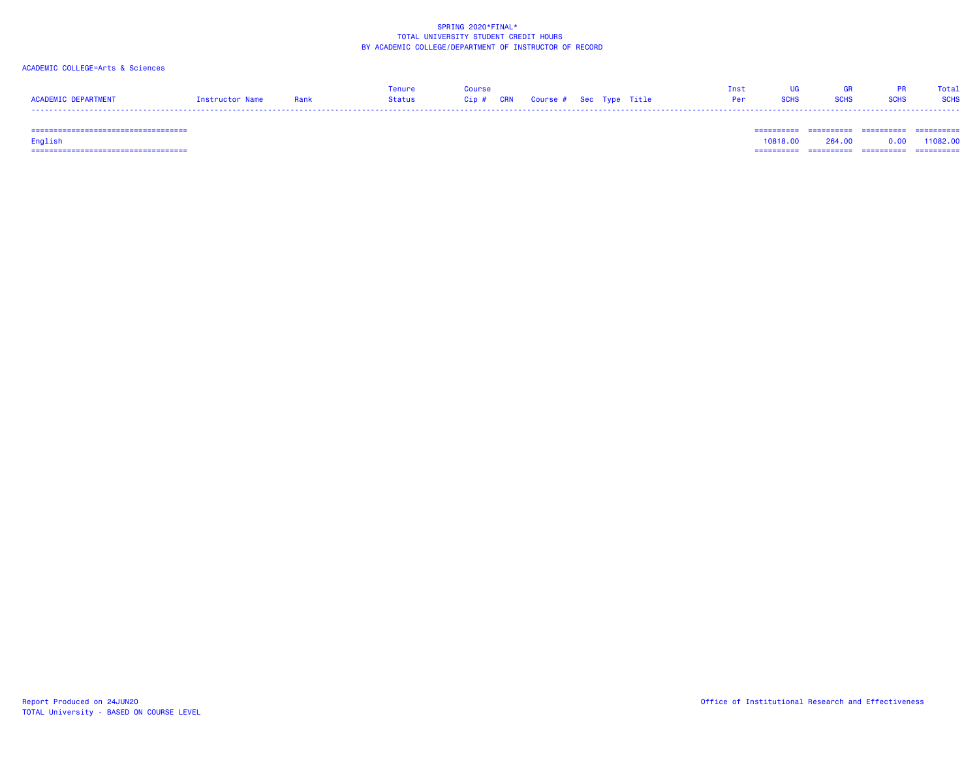# ACADEMIC COLLEGE=Arts & Sciences

|                     |                 |      | enure  | Course                            |  |  | Tnst       |             | GR          |             | Total       |
|---------------------|-----------------|------|--------|-----------------------------------|--|--|------------|-------------|-------------|-------------|-------------|
| ACADEMIC DEPARTMENT | Instructor Name | Rank | Status | Cip # CRN Course # Sec Type Title |  |  | <b>Per</b> | <b>SCHS</b> | <b>SCHS</b> | <b>SCHS</b> | <b>SCHS</b> |
| -----               |                 |      |        |                                   |  |  |            |             |             |             | ------      |

=================================== ========== ========== ========== ==========

English 10818.00 264.00 0.00 11082.00 =================================== ========== ========== ========== ==========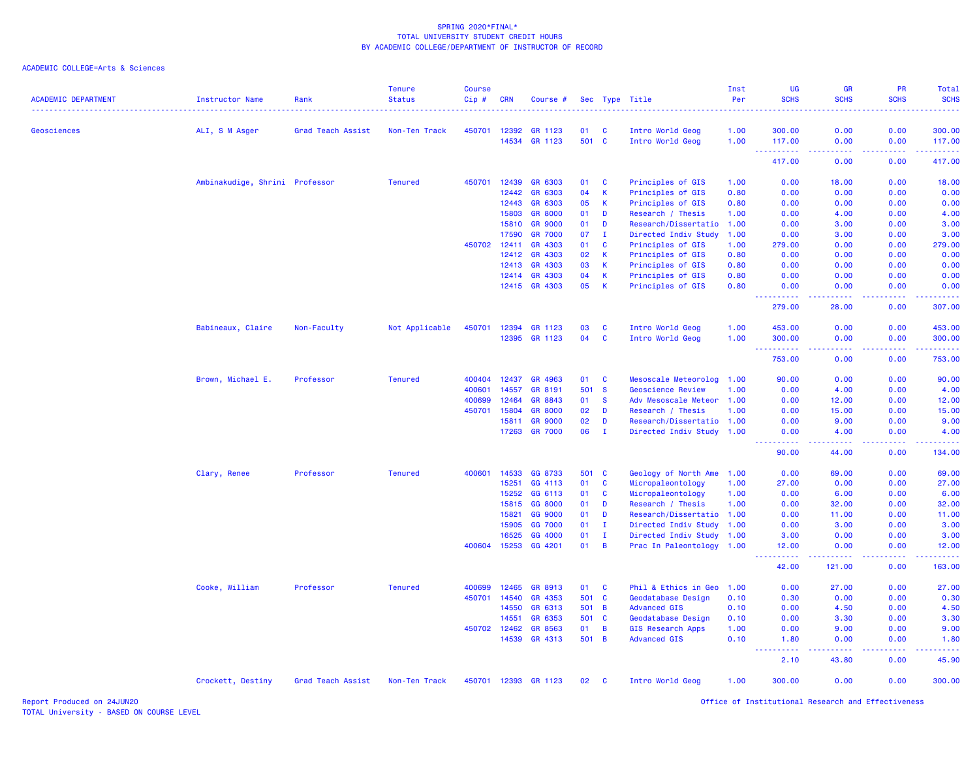### ACADEMIC COLLEGE=Arts & Sciences

| <b>ACADEMIC DEPARTMENT</b> | Instructor Name                | Rank              | <b>Tenure</b><br><b>Status</b> | <b>Course</b><br>Cip# | <b>CRN</b>     | Course #                         |             |                   | Sec Type Title                                         | Inst<br>Per  | UG<br><b>SCHS</b>                                                                                                         | GR<br><b>SCHS</b> | <b>PR</b><br><b>SCHS</b> | Total<br><b>SCHS</b><br>$\frac{1}{2} \left( \frac{1}{2} \right) \left( \frac{1}{2} \right) \left( \frac{1}{2} \right) \left( \frac{1}{2} \right)$ |
|----------------------------|--------------------------------|-------------------|--------------------------------|-----------------------|----------------|----------------------------------|-------------|-------------------|--------------------------------------------------------|--------------|---------------------------------------------------------------------------------------------------------------------------|-------------------|--------------------------|---------------------------------------------------------------------------------------------------------------------------------------------------|
| Geosciences                | ALI, S M Asger                 | Grad Teach Assist | Non-Ten Track                  | 450701                | 12392          | GR 1123                          | 01          | <b>C</b>          | Intro World Geog                                       | 1.00         | 300.00                                                                                                                    | 0.00              | 0.00                     | 300.00                                                                                                                                            |
|                            |                                |                   |                                |                       | 14534          | GR 1123                          | 501 C       |                   | Intro World Geog                                       | 1.00         | 117.00<br><u> - - - - - - - - - -</u>                                                                                     | 0.00<br>.         | 0.00<br>. <b>.</b>       | 117.00<br>.                                                                                                                                       |
|                            |                                |                   |                                |                       |                |                                  |             |                   |                                                        |              | 417.00                                                                                                                    | 0.00              | 0.00                     | 417.00                                                                                                                                            |
|                            | Ambinakudige, Shrini Professor |                   | <b>Tenured</b>                 | 450701                | 12439          | GR 6303                          | 01          | C                 | Principles of GIS                                      | 1.00         | 0.00                                                                                                                      | 18.00             | 0.00                     | 18.00                                                                                                                                             |
|                            |                                |                   |                                |                       | 12442          | GR 6303                          | 04          | $\mathbf{K}$      | Principles of GIS                                      | 0.80         | 0.00                                                                                                                      | 0.00              | 0.00                     | 0.00                                                                                                                                              |
|                            |                                |                   |                                |                       | 12443          | GR 6303                          | 05          | K                 | Principles of GIS                                      | 0.80         | 0.00                                                                                                                      | 0.00              | 0.00                     | 0.00                                                                                                                                              |
|                            |                                |                   |                                |                       | 15803          | <b>GR 8000</b>                   | 01          | D                 | Research / Thesis                                      | 1.00         | 0.00                                                                                                                      | 4.00              | 0.00                     | 4.00                                                                                                                                              |
|                            |                                |                   |                                |                       | 15810          | <b>GR 9000</b>                   | 01          | D                 | Research/Dissertatio 1.00                              |              | 0.00                                                                                                                      | 3.00              | 0.00                     | 3.00                                                                                                                                              |
|                            |                                |                   |                                |                       | 17590          | <b>GR 7000</b>                   | 07          | $\mathbf{I}$      | Directed Indiv Study                                   | 1.00         | 0.00                                                                                                                      | 3.00              | 0.00                     | 3.00                                                                                                                                              |
|                            |                                |                   |                                | 450702                | 12411          | GR 4303                          | 01          | $\mathbf{C}$      | Principles of GIS                                      | 1.00         | 279.00                                                                                                                    | 0.00              | 0.00                     | 279.00                                                                                                                                            |
|                            |                                |                   |                                |                       | 12412          | GR 4303                          | 02          | $\mathsf K$       | Principles of GIS                                      | 0.80         | 0.00                                                                                                                      | 0.00              | 0.00                     | 0.00                                                                                                                                              |
|                            |                                |                   |                                |                       | 12413          | GR 4303                          | 03          | $\mathbf k$       | Principles of GIS                                      | 0.80         | 0.00                                                                                                                      | 0.00              | 0.00                     | 0.00                                                                                                                                              |
|                            |                                |                   |                                |                       | 12414          | GR 4303                          | 04          | $\mathsf K$       | Principles of GIS                                      | 0.80         | 0.00                                                                                                                      | 0.00              | 0.00                     | 0.00                                                                                                                                              |
|                            |                                |                   |                                |                       | 12415          | GR 4303                          | 05          | $\mathsf{K}$      | Principles of GIS                                      | 0.80         | 0.00<br>22222                                                                                                             | 0.00              | 0.00                     | 0.00<br>22222                                                                                                                                     |
|                            |                                |                   |                                |                       |                |                                  |             |                   |                                                        |              | 279.00                                                                                                                    | 28.00             | 0.00                     | 307.00                                                                                                                                            |
|                            | Babineaux, Claire              | Non-Faculty       | Not Applicable                 | 450701                | 12394          | GR 1123                          | 03          | <b>C</b>          | Intro World Geog                                       | 1.00         | 453.00                                                                                                                    | 0.00              | 0.00                     | 453.00                                                                                                                                            |
|                            |                                |                   |                                |                       | 12395          | GR 1123                          | 04          | <b>C</b>          | Intro World Geog                                       | 1.00         | 300.00<br>.<br>$\sim 100$                                                                                                 | 0.00<br>د د د د   | 0.00<br>22222            | 300.00<br>2.22222                                                                                                                                 |
|                            |                                |                   |                                |                       |                |                                  |             |                   |                                                        |              | 753.00                                                                                                                    | 0.00              | 0.00                     | 753.00                                                                                                                                            |
|                            | Brown, Michael E.              | Professor         | <b>Tenured</b>                 | 400404                | 12437          | GR 4963                          | 01          | <b>C</b>          | Mesoscale Meteorolog                                   | 1.00         | 90.00                                                                                                                     | 0.00              | 0.00                     | 90.00                                                                                                                                             |
|                            |                                |                   |                                | 400601                | 14557          | GR 8191                          | 501         | <b>S</b>          | <b>Geoscience Review</b>                               | 1.00         | 0.00                                                                                                                      | 4.00              | 0.00                     | 4.00                                                                                                                                              |
|                            |                                |                   |                                | 400699                | 12464          | GR 8843                          | 01          | <b>S</b>          | Adv Mesoscale Meteor 1.00                              |              | 0.00                                                                                                                      | 12.00             | 0.00                     | 12.00                                                                                                                                             |
|                            |                                |                   |                                | 450701                | 15804          | <b>GR 8000</b>                   | 02          | D                 | Research / Thesis                                      | 1.00         | 0.00                                                                                                                      | 15.00             | 0.00                     | 15.00                                                                                                                                             |
|                            |                                |                   |                                |                       | 15811<br>17263 | <b>GR 9000</b><br><b>GR 7000</b> | 02<br>06    | D<br>$\mathbf{I}$ | Research/Dissertatio 1.00<br>Directed Indiv Study 1.00 |              | 0.00<br>0.00                                                                                                              | 9.00<br>4.00      | 0.00<br>0.00             | 9.00<br>4.00                                                                                                                                      |
|                            |                                |                   |                                |                       |                |                                  |             |                   |                                                        |              | $\frac{1}{2} \left( \frac{1}{2} \right) \left( \frac{1}{2} \right) \left( \frac{1}{2} \right) \left( \frac{1}{2} \right)$ |                   |                          | .                                                                                                                                                 |
|                            |                                |                   |                                |                       |                |                                  |             |                   |                                                        |              | 90.00                                                                                                                     | 44.00             | 0.00                     | 134.00                                                                                                                                            |
|                            | Clary, Renee                   | Professor         | <b>Tenured</b>                 | 400601                | 14533          | GG 8733                          | 501         | <b>C</b>          | Geology of North Ame                                   | 1.00         | 0.00                                                                                                                      | 69.00             | 0.00                     | 69.00                                                                                                                                             |
|                            |                                |                   |                                |                       | 15251          | GG 4113                          | 01          | $\mathbf{C}$      | Micropaleontology                                      | 1.00         | 27.00                                                                                                                     | 0.00              | 0.00                     | 27.00                                                                                                                                             |
|                            |                                |                   |                                |                       | 15252          | GG 6113                          | 01          | C                 | Micropaleontology                                      | 1.00         | 0.00                                                                                                                      | 6.00              | 0.00                     | 6.00                                                                                                                                              |
|                            |                                |                   |                                |                       | 15815          | GG 8000                          | 01          | D                 | Research / Thesis                                      | 1.00         | 0.00                                                                                                                      | 32.00             | 0.00                     | 32.00                                                                                                                                             |
|                            |                                |                   |                                |                       | 15821          | GG 9000                          | 01          | D                 | Research/Dissertatio 1.00                              |              | 0.00                                                                                                                      | 11.00             | 0.00                     | 11.00                                                                                                                                             |
|                            |                                |                   |                                |                       | 15905          | GG 7000                          | 01          | л.                | Directed Indiv Study 1.00                              |              | 0.00                                                                                                                      | 3.00              | 0.00                     | 3.00                                                                                                                                              |
|                            |                                |                   |                                |                       | 16525          | GG 4000                          | 01          | $\mathbf{I}$      | Directed Indiv Study                                   | 1.00         | 3.00                                                                                                                      | 0.00              | 0.00                     | 3.00                                                                                                                                              |
|                            |                                |                   |                                | 400604                | 15253          | GG 4201                          | 01          | $\overline{B}$    | Prac In Paleontology 1.00                              |              | 12.00<br>$\frac{1}{2} \left( \frac{1}{2} \right) \left( \frac{1}{2} \right) \left( \frac{1}{2} \right)$                   | 0.00<br>.         | 0.00<br>.                | 12.00<br>.                                                                                                                                        |
|                            |                                |                   |                                |                       |                |                                  |             |                   |                                                        |              | 42.00                                                                                                                     | 121.00            | 0.00                     | 163.00                                                                                                                                            |
|                            | Cooke, William                 | Professor         | <b>Tenured</b>                 | 400699                | 12465          | GR 8913                          | 01          | <b>C</b>          | Phil & Ethics in Geo                                   | 1.00         | 0.00                                                                                                                      | 27.00             | 0.00                     | 27.00                                                                                                                                             |
|                            |                                |                   |                                | 450701                | 14540          | GR 4353                          | 501 C       |                   | Geodatabase Design                                     | 0.10         | 0.30                                                                                                                      | 0.00              | 0.00                     | 0.30                                                                                                                                              |
|                            |                                |                   |                                |                       | 14550          | GR 6313                          | 501         | $\overline{B}$    | <b>Advanced GIS</b>                                    | 0.10         | 0.00                                                                                                                      | 4.50              | 0.00                     | 4.50                                                                                                                                              |
|                            |                                |                   |                                |                       | 14551          | GR 6353                          | 501         | $\mathbf{C}$      | Geodatabase Design                                     | 0.10         | 0.00                                                                                                                      | 3.30              | 0.00                     | 3.30                                                                                                                                              |
|                            |                                |                   |                                | 450702                | 12462<br>14539 | GR 8563<br>GR 4313               | 01<br>501 B | B                 | <b>GIS Research Apps</b><br><b>Advanced GIS</b>        | 1.00<br>0.10 | 0.00<br>1.80                                                                                                              | 9.00<br>0.00      | 0.00<br>0.00             | 9.00<br>1.80                                                                                                                                      |
|                            |                                |                   |                                |                       |                |                                  |             |                   |                                                        |              | $\sim$ $\sim$ $\sim$<br>.                                                                                                 | .                 | .                        | .                                                                                                                                                 |
|                            |                                |                   |                                |                       |                |                                  |             |                   |                                                        |              | 2.10                                                                                                                      | 43.80             | 0.00                     | 45.90                                                                                                                                             |
|                            | Crockett, Destiny              | Grad Teach Assist | Non-Ten Track                  |                       |                | 450701 12393 GR 1123             | 02          | <b>C</b>          | Intro World Geog                                       | 1.00         | 300.00                                                                                                                    | 0.00              | 0.00                     | 300.00                                                                                                                                            |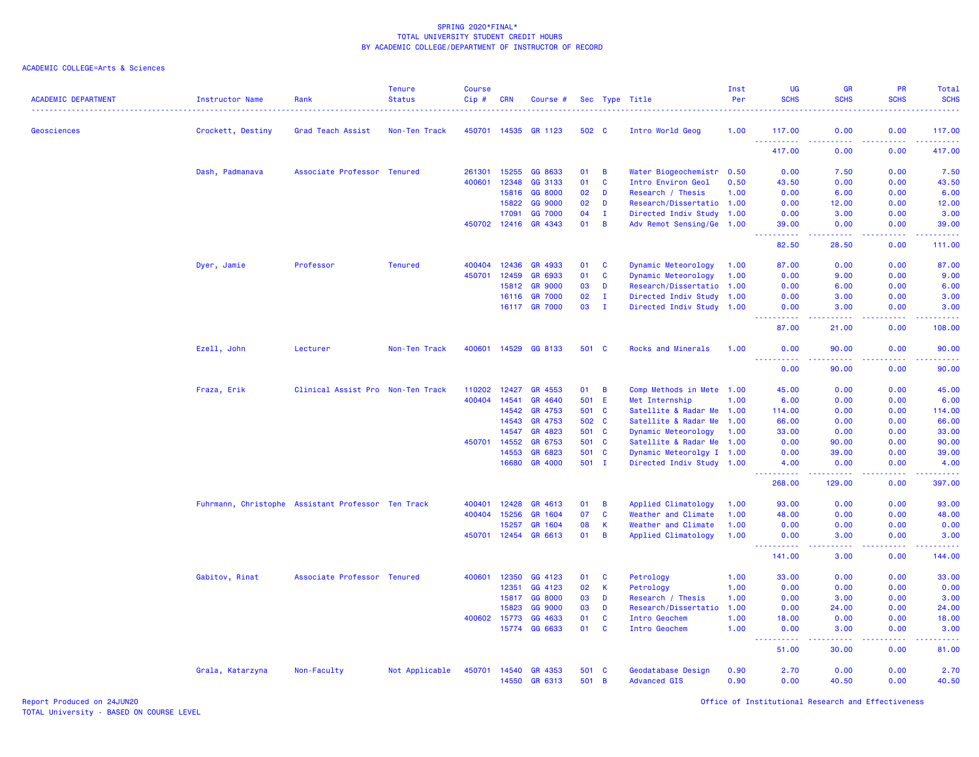## ACADEMIC COLLEGE=Arts & Sciences

| <b>ACADEMIC DEPARTMENT</b> | <b>Instructor Name</b> | Rank                                               | <b>Tenure</b><br><b>Status</b> | <b>Course</b><br>Cip# | <b>CRN</b>     | Course #           |              |                | Sec Type Title                            | Inst<br>Per  | <b>UG</b><br><b>SCHS</b><br>. <u>.</u> . | <b>GR</b><br><b>SCHS</b>                                                                                                          | <b>PR</b><br><b>SCHS</b> | <b>Total</b><br><b>SCHS</b> |
|----------------------------|------------------------|----------------------------------------------------|--------------------------------|-----------------------|----------------|--------------------|--------------|----------------|-------------------------------------------|--------------|------------------------------------------|-----------------------------------------------------------------------------------------------------------------------------------|--------------------------|-----------------------------|
| Geosciences                | Crockett, Destiny      | Grad Teach Assist                                  | Non-Ten Track                  | 450701 14535          |                | GR 1123            | 502 C        |                | Intro World Geog                          | 1.00         | 117.00                                   | 0.00                                                                                                                              | 0.00                     | 117.00                      |
|                            |                        |                                                    |                                |                       |                |                    |              |                |                                           |              | <u>.</u><br>417.00                       | .<br>0.00                                                                                                                         | .<br>0.00                | 2.2.2.2.2.<br>417.00        |
|                            | Dash, Padmanava        | Associate Professor Tenured                        |                                | 261301                | 15255          | GG 8633            | 01           | B              | Water Biogeochemistr                      | 0.50         | 0.00                                     | 7.50                                                                                                                              | 0.00                     | 7.50                        |
|                            |                        |                                                    |                                | 400601                | 12348          | GG 3133            | 01           | <b>C</b>       | Intro Environ Geol                        | 0.50         | 43.50                                    | 0.00                                                                                                                              | 0.00                     | 43.50                       |
|                            |                        |                                                    |                                |                       | 15816          | GG 8000            | 02           | D              | Research / Thesis                         | 1.00         | 0.00                                     | 6.00                                                                                                                              | 0.00                     | 6.00                        |
|                            |                        |                                                    |                                |                       | 15822          | GG 9000            | 02           | D              | Research/Dissertatio 1.00                 |              | 0.00                                     | 12.00                                                                                                                             | 0.00                     | 12.00                       |
|                            |                        |                                                    |                                |                       | 17091          | GG 7000            | 04           | $\mathbf{I}$   | Directed Indiv Study 1.00                 |              | 0.00                                     | 3.00                                                                                                                              | 0.00                     | 3.00                        |
|                            |                        |                                                    |                                | 450702 12416          |                | GR 4343            | 01           | B              | Adv Remot Sensing/Ge 1.00                 |              | 39.00<br>222222                          | 0.00<br>$\frac{1}{2} \left( \frac{1}{2} \right) \left( \frac{1}{2} \right) \left( \frac{1}{2} \right) \left( \frac{1}{2} \right)$ | 0.00<br>22222            | 39.00<br><u>.</u>           |
|                            |                        |                                                    |                                |                       |                |                    |              |                |                                           |              | 82.50                                    | 28.50                                                                                                                             | 0.00                     | 111.00                      |
|                            | Dyer, Jamie            | Professor                                          | <b>Tenured</b>                 | 400404                | 12436          | GR 4933            | 01           | $\mathbf{C}$   | Dynamic Meteorology                       | 1.00         | 87.00                                    | 0.00                                                                                                                              | 0.00                     | 87.00                       |
|                            |                        |                                                    |                                | 450701                | 12459          | GR 6933            | 01           | <b>C</b>       | Dynamic Meteorology                       | 1.00         | 0.00                                     | 9.00                                                                                                                              | 0.00                     | 9.00                        |
|                            |                        |                                                    |                                |                       | 15812          | <b>GR 9000</b>     | 03           | D              | Research/Dissertatio 1.00                 |              | 0.00                                     | 6.00                                                                                                                              | 0.00                     | 6.00                        |
|                            |                        |                                                    |                                |                       | 16116          | <b>GR 7000</b>     | 02           | $\mathbf{I}$   | Directed Indiv Study 1.00                 |              | 0.00                                     | 3.00                                                                                                                              | 0.00                     | 3.00                        |
|                            |                        |                                                    |                                |                       | 16117          | <b>GR 7000</b>     | 03           | $\mathbf{I}$   | Directed Indiv Study 1.00                 |              | 0.00                                     | 3.00                                                                                                                              | 0.00                     | 3.00                        |
|                            |                        |                                                    |                                |                       |                |                    |              |                |                                           |              | 87.00                                    | 2222<br>21.00                                                                                                                     | 0.00                     | 108.00                      |
|                            | Ezell, John            | Lecturer                                           | Non-Ten Track                  | 400601                | 14529          | GG 8133            | 501 C        |                | <b>Rocks and Minerals</b>                 | 1.00         | 0.00                                     | 90.00                                                                                                                             | 0.00                     | 90.00                       |
|                            |                        |                                                    |                                |                       |                |                    |              |                |                                           |              | -----------<br>0.00                      | .<br>90.00                                                                                                                        | 0.00                     | .<br>90.00                  |
|                            | Fraza, Erik            | Clinical Assist Pro Non-Ten Track                  |                                | 110202                | 12427          | GR 4553            | 01           | B              | Comp Methods in Mete 1.00                 |              | 45.00                                    | 0.00                                                                                                                              | 0.00                     | 45.00                       |
|                            |                        |                                                    |                                | 400404                | 14541          | GR 4640            | 501 E        |                | Met Internship                            | 1.00         | 6.00                                     | 0.00                                                                                                                              | 0.00                     | 6.00                        |
|                            |                        |                                                    |                                |                       | 14542          | GR 4753            | 501          | $\mathbf{C}$   | Satellite & Radar Me 1.00                 |              | 114.00                                   | 0.00                                                                                                                              | 0.00                     | 114.00                      |
|                            |                        |                                                    |                                |                       | 14543          | GR 4753            | 502 C        |                | Satellite & Radar Me 1.00                 |              | 66.00                                    | 0.00                                                                                                                              | 0.00                     | 66.00                       |
|                            |                        |                                                    |                                |                       | 14547          | GR 4823            | 501 C        |                | Dynamic Meteorology                       | 1.00         | 33,00                                    | 0.00                                                                                                                              | 0.00                     | 33.00                       |
|                            |                        |                                                    |                                | 450701                | 14552          | GR 6753            | 501 C        |                | Satellite & Radar Me 1.00                 |              | 0.00                                     | 90.00                                                                                                                             | 0.00                     | 90.00                       |
|                            |                        |                                                    |                                |                       | 14553          | GR 6823            | 501          | $\mathbf{C}$   | Dynamic Meteorolgy I 1.00                 |              | 0.00                                     | 39.00                                                                                                                             | 0.00                     | 39.00                       |
|                            |                        |                                                    |                                |                       | 16680          | GR 4000            | 501 I        |                | Directed Indiv Study 1.00                 |              | 4.00<br>-----                            | 0.00<br>وعاويات                                                                                                                   | 0.00                     | 4.00<br>.                   |
|                            |                        |                                                    |                                |                       |                |                    |              |                |                                           |              | 268.00                                   | 129.00                                                                                                                            | 0.00                     | 397.00                      |
|                            |                        | Fuhrmann, Christophe Assistant Professor Ten Track |                                | 400401                | 12428          | GR 4613            | 01           | B              | Applied Climatology                       | 1.00         | 93.00                                    | 0.00                                                                                                                              | 0.00                     | 93.00                       |
|                            |                        |                                                    |                                | 400404                | 15256          | GR 1604            | 07           | <b>C</b>       | Weather and Climate                       | 1.00         | 48.00                                    | 0.00                                                                                                                              | 0.00                     | 48.00                       |
|                            |                        |                                                    |                                |                       | 15257          | GR 1604            | 08           | $\mathsf K$    | Weather and Climate                       | 1.00         | 0.00                                     | 0.00                                                                                                                              | 0.00                     | 0.00                        |
|                            |                        |                                                    |                                | 450701                | 12454          | GR 6613            | 01           | B              | Applied Climatology                       | 1.00         | 0.00<br>$- - -$<br>.                     | 3.00<br>.                                                                                                                         | 0.00                     | 3.00                        |
|                            |                        |                                                    |                                |                       |                |                    |              |                |                                           |              | 141.00                                   | 3.00                                                                                                                              | 0.00                     | 144.00                      |
|                            | Gabitov, Rinat         | Associate Professor Tenured                        |                                | 400601                | 12350          | GG 4123            | 01           | C              | Petrology                                 | 1.00         | 33.00                                    | 0.00                                                                                                                              | 0.00                     | 33.00                       |
|                            |                        |                                                    |                                |                       | 12351          | GG 4123            | 02           | <b>K</b>       | Petrology                                 | 1.00         | 0.00                                     | 0.00                                                                                                                              | 0.00                     | 0.00                        |
|                            |                        |                                                    |                                |                       | 15817          | GG 8000            | 03           | D              | Research / Thesis                         | 1.00         | 0.00                                     | 3.00                                                                                                                              | 0.00                     | 3.00                        |
|                            |                        |                                                    |                                |                       | 15823          | GG 9000            | 03           | D              | Research/Dissertatio                      | 1.00         | 0.00                                     | 24.00                                                                                                                             | 0.00                     | 24.00                       |
|                            |                        |                                                    |                                | 400602                | 15773          | GG 4633            | 01           | <b>C</b>       | Intro Geochem                             | 1.00         | 18.00                                    | 0.00                                                                                                                              | 0.00                     | 18.00                       |
|                            |                        |                                                    |                                |                       | 15774          | GG 6633            | 01           | $\mathbf{C}$   | Intro Geochem                             | 1.00         | 0.00<br>.<br>$\sim$ $\sim$ $\sim$        | 3.00<br>المتمالين                                                                                                                 | 0.00<br>. <b>.</b>       | 3.00<br>.                   |
|                            |                        |                                                    |                                |                       |                |                    |              |                |                                           |              | 51.00                                    | 30.00                                                                                                                             | 0.00                     | 81.00                       |
|                            | Grala, Katarzyna       | Non-Faculty                                        | Not Applicable                 | 450701                | 14540<br>14550 | GR 4353<br>GR 6313 | 501 C<br>501 | $\overline{B}$ | Geodatabase Design<br><b>Advanced GIS</b> | 0.90<br>0.90 | 2.70<br>0.00                             | 0.00<br>40.50                                                                                                                     | 0.00<br>0.00             | 2.70<br>40.50               |
|                            |                        |                                                    |                                |                       |                |                    |              |                |                                           |              |                                          |                                                                                                                                   |                          |                             |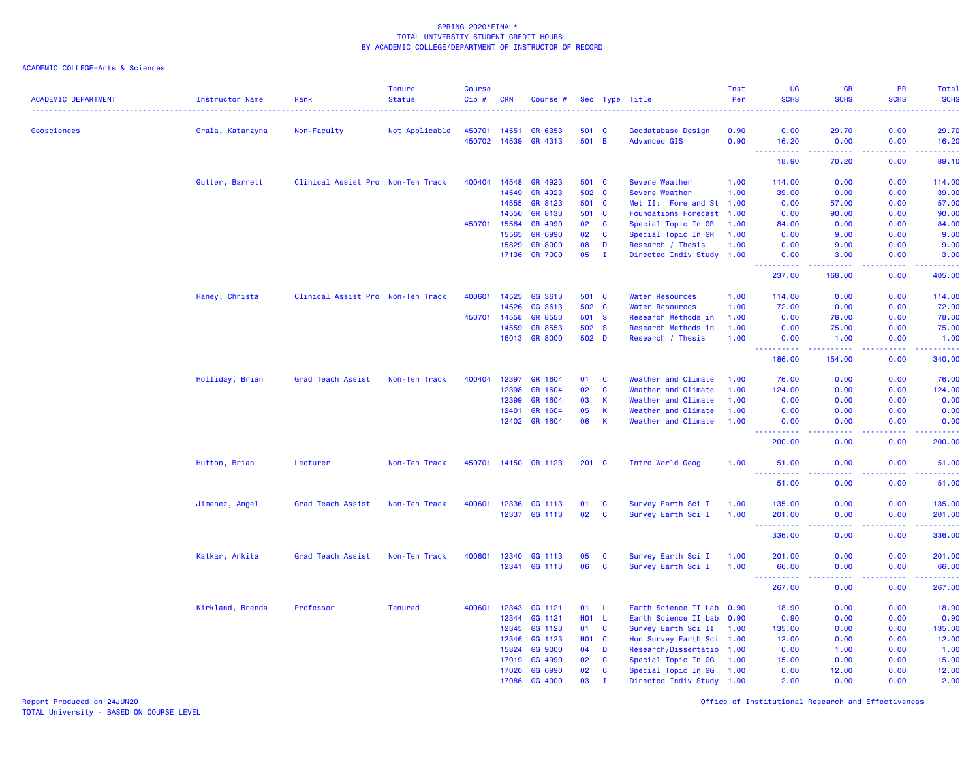# ACADEMIC COLLEGE=Arts & Sciences

| <b>ACADEMIC DEPARTMENT</b> | <b>Instructor Name</b><br>. | Rank                              | <b>Tenure</b><br><b>Status</b> | <b>Course</b><br>Cip # | <b>CRN</b> | Course #       |                  |              | Sec Type Title            | Inst<br>Per | <b>UG</b><br><b>SCHS</b>                                                                                                                                                                  | <b>GR</b><br><b>SCHS</b>                                                                                                                                       | PR<br><b>SCHS</b> | Total<br><b>SCHS</b><br><u>.</u>                                                                                                |
|----------------------------|-----------------------------|-----------------------------------|--------------------------------|------------------------|------------|----------------|------------------|--------------|---------------------------|-------------|-------------------------------------------------------------------------------------------------------------------------------------------------------------------------------------------|----------------------------------------------------------------------------------------------------------------------------------------------------------------|-------------------|---------------------------------------------------------------------------------------------------------------------------------|
| Geosciences                | Grala, Katarzyna            | Non-Faculty                       | Not Applicable                 | 450701                 | 14551      | GR 6353        | 501 C            |              | Geodatabase Design        | 0.90        | 0.00                                                                                                                                                                                      | 29.70                                                                                                                                                          | 0.00              | 29.70                                                                                                                           |
|                            |                             |                                   |                                | 450702                 | 14539      | GR 4313        | 501 B            |              | <b>Advanced GIS</b>       | 0.90        | 16.20                                                                                                                                                                                     | 0.00                                                                                                                                                           | 0.00              | 16.20                                                                                                                           |
|                            |                             |                                   |                                |                        |            |                |                  |              |                           |             | -----<br>18.90                                                                                                                                                                            | 70.20                                                                                                                                                          | بالأباد<br>0.00   | والمستناب<br>89.10                                                                                                              |
|                            | Gutter, Barrett             | Clinical Assist Pro Non-Ten Track |                                | 400404                 | 14548      | GR 4923        | 501 C            |              | Severe Weather            | 1.00        | 114.00                                                                                                                                                                                    | 0.00                                                                                                                                                           | 0.00              | 114.00                                                                                                                          |
|                            |                             |                                   |                                |                        | 14549      | GR 4923        | 502              | $\mathbf{C}$ | Severe Weather            | 1.00        | 39.00                                                                                                                                                                                     | 0.00                                                                                                                                                           | 0.00              | 39.00                                                                                                                           |
|                            |                             |                                   |                                |                        | 14555      | GR 8123        | 501              | $\mathbf{C}$ | Met II: Fore and St       | 1.00        | 0.00                                                                                                                                                                                      | 57.00                                                                                                                                                          | 0.00              | 57.00                                                                                                                           |
|                            |                             |                                   |                                |                        | 14556      | GR 8133        | 501 C            |              | Foundations Forecast 1.00 |             | 0.00                                                                                                                                                                                      | 90.00                                                                                                                                                          | 0.00              | 90.00                                                                                                                           |
|                            |                             |                                   |                                | 450701                 | 15564      | GR 4990        | 02               | C            | Special Topic In GR       | 1.00        | 84.00                                                                                                                                                                                     | 0.00                                                                                                                                                           | 0.00              | 84.00                                                                                                                           |
|                            |                             |                                   |                                |                        | 15565      | GR 6990        | 02               | C            | Special Topic In GR       | 1.00        | 0.00                                                                                                                                                                                      | 9.00                                                                                                                                                           | 0.00              | 9.00                                                                                                                            |
|                            |                             |                                   |                                |                        | 15829      | <b>GR 8000</b> | 08               | D            | Research / Thesis         | 1.00        | 0.00                                                                                                                                                                                      | 9.00                                                                                                                                                           | 0.00              | 9.00                                                                                                                            |
|                            |                             |                                   |                                |                        | 17136      | <b>GR 7000</b> | 05               | $\mathbf{I}$ | Directed Indiv Study 1.00 |             | 0.00                                                                                                                                                                                      | 3.00                                                                                                                                                           | 0.00              | 3.00                                                                                                                            |
|                            |                             |                                   |                                |                        |            |                |                  |              |                           |             | $\frac{1}{2} \left( \frac{1}{2} \right) \left( \frac{1}{2} \right) \left( \frac{1}{2} \right) \left( \frac{1}{2} \right) \left( \frac{1}{2} \right) \left( \frac{1}{2} \right)$<br>237.00 | $\frac{1}{2} \left( \frac{1}{2} \right) \left( \frac{1}{2} \right) \left( \frac{1}{2} \right) \left( \frac{1}{2} \right) \left( \frac{1}{2} \right)$<br>168.00 | .<br>0.00         | .<br>405.00                                                                                                                     |
|                            | Haney, Christa              | Clinical Assist Pro Non-Ten Track |                                | 400601                 | 14525      | GG 3613        | 501 C            |              | <b>Water Resources</b>    | 1.00        | 114.00                                                                                                                                                                                    | 0.00                                                                                                                                                           | 0.00              | 114.00                                                                                                                          |
|                            |                             |                                   |                                |                        | 14526      | GG 3613        | 502 C            |              | <b>Water Resources</b>    | 1.00        | 72.00                                                                                                                                                                                     | 0.00                                                                                                                                                           | 0.00              | 72.00                                                                                                                           |
|                            |                             |                                   |                                | 450701                 | 14558      | GR 8553        | 501 S            |              | Research Methods in       | 1.00        | 0.00                                                                                                                                                                                      | 78.00                                                                                                                                                          | 0.00              | 78.00                                                                                                                           |
|                            |                             |                                   |                                |                        | 14559      | GR 8553        | 502 S            |              | Research Methods in       | 1.00        | 0.00                                                                                                                                                                                      | 75.00                                                                                                                                                          | 0.00              | 75.00                                                                                                                           |
|                            |                             |                                   |                                |                        | 16013      | <b>GR 8000</b> | 502 D            |              | Research / Thesis         | 1.00        | 0.00                                                                                                                                                                                      | 1.00                                                                                                                                                           | 0.00              | 1.00                                                                                                                            |
|                            |                             |                                   |                                |                        |            |                |                  |              |                           |             | <u>.</u><br>186.00                                                                                                                                                                        | .<br>154.00                                                                                                                                                    | .<br>0.00         | .<br>340.00                                                                                                                     |
|                            | Holliday, Brian             | Grad Teach Assist                 | Non-Ten Track                  | 400404                 | 12397      | GR 1604        | 01               | C            | Weather and Climate       | 1.00        | 76.00                                                                                                                                                                                     | 0.00                                                                                                                                                           | 0.00              | 76.00                                                                                                                           |
|                            |                             |                                   |                                |                        | 12398      | GR 1604        | 02               | $\mathbf{C}$ | Weather and Climate       | 1.00        | 124.00                                                                                                                                                                                    | 0.00                                                                                                                                                           | 0.00              | 124.00                                                                                                                          |
|                            |                             |                                   |                                |                        | 12399      | GR 1604        | 03               | K            | Weather and Climate       | 1.00        | 0.00                                                                                                                                                                                      | 0.00                                                                                                                                                           | 0.00              | 0.00                                                                                                                            |
|                            |                             |                                   |                                |                        | 12401      | GR 1604        | 05               | K            | Weather and Climate       | 1.00        | 0.00                                                                                                                                                                                      | 0.00                                                                                                                                                           | 0.00              | 0.00                                                                                                                            |
|                            |                             |                                   |                                |                        | 12402      | GR 1604        | 06               | K            | Weather and Climate       | 1.00        | 0.00                                                                                                                                                                                      | 0.00                                                                                                                                                           | 0.00              | 0.00                                                                                                                            |
|                            |                             |                                   |                                |                        |            |                |                  |              |                           |             | ----------<br>200.00                                                                                                                                                                      | $\sim$ $\sim$ $\sim$ $\sim$<br>0.00                                                                                                                            | .<br>0.00         | .<br>200.00                                                                                                                     |
|                            | Hutton, Brian               | Lecturer                          | Non-Ten Track                  | 450701                 |            | 14150 GR 1123  | 201 C            |              | Intro World Geog          | 1.00        | 51.00                                                                                                                                                                                     | 0.00                                                                                                                                                           | 0.00              | 51.00<br>.                                                                                                                      |
|                            |                             |                                   |                                |                        |            |                |                  |              |                           |             | .<br>51.00                                                                                                                                                                                | 0.00                                                                                                                                                           | 0.00              | 51.00                                                                                                                           |
|                            | Jimenez, Angel              | Grad Teach Assist                 | Non-Ten Track                  | 400601                 | 12336      | GG 1113        | 01               | C            | Survey Earth Sci I        | 1.00        | 135.00                                                                                                                                                                                    | 0.00                                                                                                                                                           | 0.00              | 135.00                                                                                                                          |
|                            |                             |                                   |                                |                        |            | 12337 GG 1113  | 02               | C            | Survey Earth Sci I        | 1.00        | 201.00                                                                                                                                                                                    | 0.00                                                                                                                                                           | 0.00              | 201.00                                                                                                                          |
|                            |                             |                                   |                                |                        |            |                |                  |              |                           |             | .<br>336.00                                                                                                                                                                               | $\frac{1}{2} \left( \frac{1}{2} \right) \left( \frac{1}{2} \right) \left( \frac{1}{2} \right) \left( \frac{1}{2} \right)$<br>0.00                              | .<br>0.00         | $\begin{array}{cccccccccc} \bullet & \bullet & \bullet & \bullet & \bullet & \bullet & \bullet & \bullet \end{array}$<br>336.00 |
|                            | Katkar, Ankita              | Grad Teach Assist                 | Non-Ten Track                  | 400601                 | 12340      | GG 1113        | 05               | C            | Survey Earth Sci I        | 1.00        | 201.00                                                                                                                                                                                    | 0.00                                                                                                                                                           | 0.00              | 201.00                                                                                                                          |
|                            |                             |                                   |                                |                        | 12341      | GG 1113        | 06               | C            | Survey Earth Sci I        | 1.00        | 66.00                                                                                                                                                                                     | 0.00                                                                                                                                                           | 0.00              | 66.00                                                                                                                           |
|                            |                             |                                   |                                |                        |            |                |                  |              |                           |             | 267.00                                                                                                                                                                                    | 0.00                                                                                                                                                           | 0.00              | .<br>267.00                                                                                                                     |
|                            | Kirkland, Brenda            | Professor                         | <b>Tenured</b>                 | 400601                 | 12343      | GG 1121        | 01               | -L           | Earth Science II Lab 0.90 |             | 18.90                                                                                                                                                                                     | 0.00                                                                                                                                                           | 0.00              | 18.90                                                                                                                           |
|                            |                             |                                   |                                |                        | 12344      | GG 1121        | <b>HO1</b>       | L.           | Earth Science II Lab 0.90 |             | 0.90                                                                                                                                                                                      | 0.00                                                                                                                                                           | 0.00              | 0.90                                                                                                                            |
|                            |                             |                                   |                                |                        | 12345      | GG 1123        | 01               | C            | Survey Earth Sci II       | 1.00        | 135.00                                                                                                                                                                                    | 0.00                                                                                                                                                           | 0.00              | 135.00                                                                                                                          |
|                            |                             |                                   |                                |                        | 12346      | GG 1123        | H <sub>0</sub> 1 | C            | Hon Survey Earth Sci 1.00 |             | 12.00                                                                                                                                                                                     | 0.00                                                                                                                                                           | 0.00              | 12.00                                                                                                                           |
|                            |                             |                                   |                                |                        | 15824      | GG 9000        | 04               | D            | Research/Dissertatio 1.00 |             | 0.00                                                                                                                                                                                      | 1.00                                                                                                                                                           | 0.00              | 1.00                                                                                                                            |
|                            |                             |                                   |                                |                        | 17019      | GG 4990        | 02               | C            | Special Topic In GG       | 1.00        | 15.00                                                                                                                                                                                     | 0.00                                                                                                                                                           | 0.00              | 15.00                                                                                                                           |
|                            |                             |                                   |                                |                        | 17020      | GG 6990        | 02               | C            | Special Topic In GG       | 1.00        | 0.00                                                                                                                                                                                      | 12.00                                                                                                                                                          | 0.00              | 12.00                                                                                                                           |
|                            |                             |                                   |                                |                        | 17086      | GG 4000        | 03               | $\mathbf{I}$ | Directed Indiv Study 1.00 |             | 2.00                                                                                                                                                                                      | 0.00                                                                                                                                                           | 0.00              | 2.00                                                                                                                            |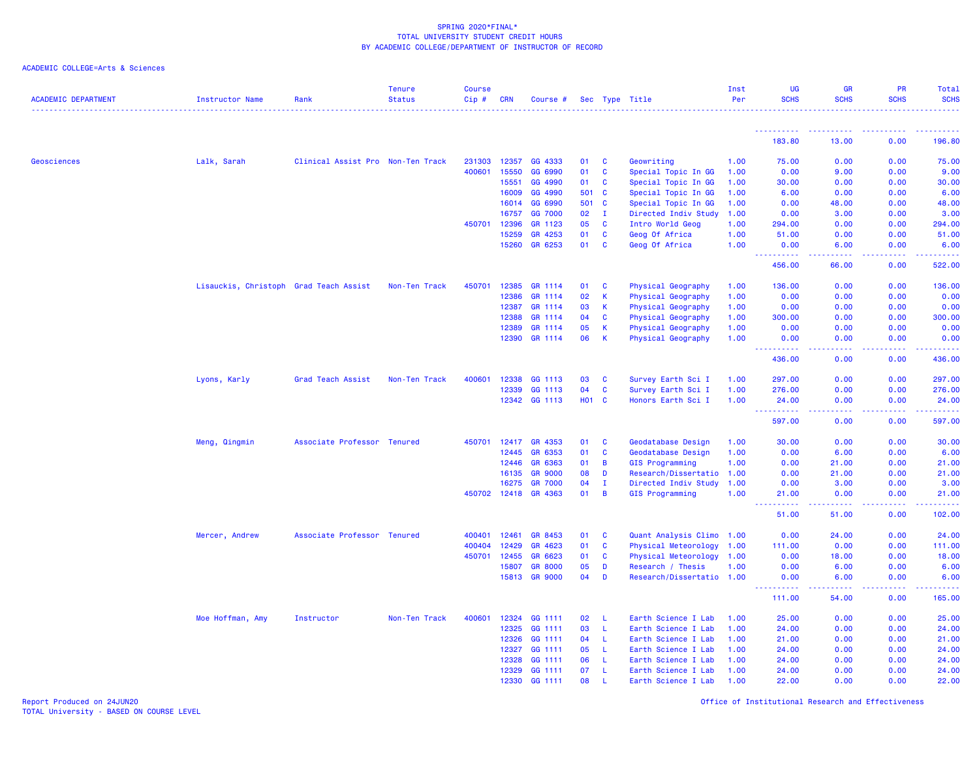## ACADEMIC COLLEGE=Arts & Sciences

| <b>ACADEMIC DEPARTMENT</b> | <b>Instructor Name</b>                 | Rank                              | <b>Tenure</b><br><b>Status</b> | <b>Course</b><br>Cip# | <b>CRN</b> | Course #       |       |              | Sec Type Title            | Inst<br>Per | UG<br><b>SCHS</b>   | <b>GR</b><br><b>SCHS</b>        | PR<br><b>SCHS</b> | Total<br><b>SCHS</b> |
|----------------------------|----------------------------------------|-----------------------------------|--------------------------------|-----------------------|------------|----------------|-------|--------------|---------------------------|-------------|---------------------|---------------------------------|-------------------|----------------------|
|                            |                                        |                                   |                                |                       |            |                |       |              |                           |             |                     |                                 |                   |                      |
|                            |                                        |                                   |                                |                       |            |                |       |              |                           |             | <u>.</u><br>183.80  | .<br>13.00                      | 0.00              | 196.80               |
| Geosciences                | Lalk, Sarah                            | Clinical Assist Pro Non-Ten Track |                                | 231303                | 12357      | GG 4333        | 01    | <b>C</b>     | Geowriting                | 1.00        | 75.00               | 0.00                            | 0.00              | 75.00                |
|                            |                                        |                                   |                                | 400601                | 15550      | GG 6990        | 01    | C            | Special Topic In GG       | 1.00        | 0.00                | 9.00                            | 0.00              | 9.00                 |
|                            |                                        |                                   |                                |                       | 15551      | GG 4990        | 01    | C            | Special Topic In GG       | 1.00        | 30.00               | 0.00                            | 0.00              | 30.00                |
|                            |                                        |                                   |                                |                       | 16009      | GG 4990        | 501   | <b>C</b>     | Special Topic In GG       | 1.00        | 6.00                | 0.00                            | 0.00              | 6.00                 |
|                            |                                        |                                   |                                |                       | 16014      | GG 6990        | 501   | <b>C</b>     | Special Topic In GG       | 1.00        | 0.00                | 48.00                           | 0.00              | 48.00                |
|                            |                                        |                                   |                                |                       | 16757      | GG 7000        | 02    | $\mathbf I$  | Directed Indiv Study      | 1.00        | 0.00                | 3.00                            | 0.00              | 3.00                 |
|                            |                                        |                                   |                                | 450701                | 12396      | GR 1123        | 05    | <b>C</b>     | Intro World Geog          | 1.00        | 294.00              | 0.00                            | 0.00              | 294.00               |
|                            |                                        |                                   |                                |                       | 15259      | GR 4253        | 01    | C            | Geog Of Africa            | 1.00        | 51.00               | 0.00                            | 0.00              | 51.00                |
|                            |                                        |                                   |                                |                       | 15260      | GR 6253        | 01    | C            | Geog Of Africa            | 1.00        | 0.00<br><u>.</u>    | 6.00<br>-----                   | 0.00<br>.         | 6.00<br><u>.</u>     |
|                            |                                        |                                   |                                |                       |            |                |       |              |                           |             | 456.00              | 66.00                           | 0.00              | 522.00               |
|                            | Lisauckis, Christoph Grad Teach Assist |                                   | Non-Ten Track                  | 450701                | 12385      | GR 1114        | 01    | <b>C</b>     | Physical Geography        | 1.00        | 136.00              | 0.00                            | 0.00              | 136.00               |
|                            |                                        |                                   |                                |                       | 12386      | GR 1114        | 02    | K            | Physical Geography        | 1.00        | 0.00                | 0.00                            | 0.00              | 0.00                 |
|                            |                                        |                                   |                                |                       | 12387      | GR 1114        | 03    | К            | Physical Geography        | 1.00        | 0.00                | 0.00                            | 0.00              | 0.00                 |
|                            |                                        |                                   |                                |                       | 12388      | GR 1114        | 04    | C            | Physical Geography        | 1.00        | 300.00              | 0.00                            | 0.00              | 300.00               |
|                            |                                        |                                   |                                |                       | 12389      | GR 1114        | 05    | К            | Physical Geography        | 1.00        | 0.00                | 0.00                            | 0.00              | 0.00                 |
|                            |                                        |                                   |                                |                       | 12390      | GR 1114        | 06    | К            | Physical Geography        | 1.00        | 0.00<br>.           | 0.00<br>$\omega$ is $\omega$ in | 0.00<br>.         | 0.00<br>.            |
|                            |                                        |                                   |                                |                       |            |                |       |              |                           |             | 436.00              | 0.00                            | 0.00              | 436.00               |
|                            | Lyons, Karly                           | Grad Teach Assist                 | Non-Ten Track                  | 400601                | 12338      | GG 1113        | 03    | $\mathbf{C}$ | Survey Earth Sci I        | 1.00        | 297.00              | 0.00                            | 0.00              | 297.00               |
|                            |                                        |                                   |                                |                       | 12339      | GG 1113        | 04    | C            | Survey Earth Sci I        | 1.00        | 276.00              | 0.00                            | 0.00              | 276.00               |
|                            |                                        |                                   |                                |                       | 12342      | GG 1113        | H01 C |              | Honors Earth Sci I        | 1.00        | 24.00<br>.<br>- - - | 0.00<br>.                       | 0.00<br>22222     | 24.00<br>2.2.2.2.2.2 |
|                            |                                        |                                   |                                |                       |            |                |       |              |                           |             | 597.00              | 0.00                            | 0.00              | 597.00               |
|                            | Meng, Qingmin                          | Associate Professor Tenured       |                                | 450701                | 12417      | GR 4353        | 01    | C            | Geodatabase Design        | 1.00        | 30.00               | 0.00                            | 0.00              | 30.00                |
|                            |                                        |                                   |                                |                       | 12445      | GR 6353        | 01    | C            | Geodatabase Design        | 1.00        | 0.00                | 6.00                            | 0.00              | 6.00                 |
|                            |                                        |                                   |                                |                       | 12446      | GR 6363        | 01    | B            | <b>GIS Programming</b>    | 1.00        | 0.00                | 21.00                           | 0.00              | 21.00                |
|                            |                                        |                                   |                                |                       | 16135      | <b>GR 9000</b> | 08    | D            | Research/Dissertatio 1.00 |             | 0.00                | 21.00                           | 0.00              | 21.00                |
|                            |                                        |                                   |                                |                       | 16275      | <b>GR 7000</b> | 04    | $\mathbf I$  | Directed Indiv Study      | 1.00        | 0.00                | 3.00                            | 0.00              | 3.00                 |
|                            |                                        |                                   |                                | 450702                | 12418      | GR 4363        | 01    | $\mathbf B$  | GIS Programming           | 1.00        | 21.00<br>.          | 0.00<br>ولايات                  | 0.00              | 21.00<br>.           |
|                            |                                        |                                   |                                |                       |            |                |       |              |                           |             | 51.00               | 51.00                           | 0.00              | 102.00               |
|                            | Mercer, Andrew                         | Associate Professor Tenured       |                                | 400401                | 12461      | GR 8453        | 01    | C            | Quant Analysis Climo 1.00 |             | 0.00                | 24.00                           | 0.00              | 24.00                |
|                            |                                        |                                   |                                | 400404                | 12429      | GR 4623        | 01    | C            | Physical Meteorology 1.00 |             | 111.00              | 0.00                            | 0.00              | 111.00               |
|                            |                                        |                                   |                                | 450701                | 12455      | GR 6623        | 01    | C            | Physical Meteorology 1.00 |             | 0.00                | 18.00                           | 0.00              | 18.00                |
|                            |                                        |                                   |                                |                       | 15807      | <b>GR 8000</b> | 05    | D            | Research / Thesis         | 1.00        | 0.00                | 6.00                            | 0.00              | 6.00                 |
|                            |                                        |                                   |                                |                       | 15813      | <b>GR 9000</b> | 04    | D            | Research/Dissertatio 1.00 |             | 0.00                | 6.00                            | 0.00              | 6.00                 |
|                            |                                        |                                   |                                |                       |            |                |       |              |                           |             | 111.00              | 54.00                           | 0.00              | 165.00               |
|                            | Moe Hoffman, Amy                       | Instructor                        | Non-Ten Track                  | 400601                | 12324      | GG 1111        | 02    | - L          | Earth Science I Lab       | 1.00        | 25.00               | 0.00                            | 0.00              | 25.00                |
|                            |                                        |                                   |                                |                       | 12325      | GG 1111        | 03    | L.           | Earth Science I Lab       | 1.00        | 24.00               | 0.00                            | 0.00              | 24.00                |
|                            |                                        |                                   |                                |                       | 12326      | GG 1111        | 04    | -L           | Earth Science I Lab       | 1.00        | 21.00               | 0.00                            | 0.00              | 21.00                |
|                            |                                        |                                   |                                |                       | 12327      | GG 1111        | 05    | -L           | Earth Science I Lab       | 1.00        | 24.00               | 0.00                            | 0.00              | 24.00                |
|                            |                                        |                                   |                                |                       | 12328      | GG 1111        | 06    | -L.          | Earth Science I Lab       | 1.00        | 24.00               | 0.00                            | 0.00              | 24.00                |
|                            |                                        |                                   |                                |                       | 12329      | GG 1111        | 07    | -L.          | Earth Science I Lab       | 1.00        | 24.00               | 0.00                            | 0.00              | 24.00                |
|                            |                                        |                                   |                                |                       | 12330      | GG 1111        | 08    | $\mathbf{L}$ | Earth Science I Lab       | 1.00        | 22.00               | 0.00                            | 0.00              | 22.00                |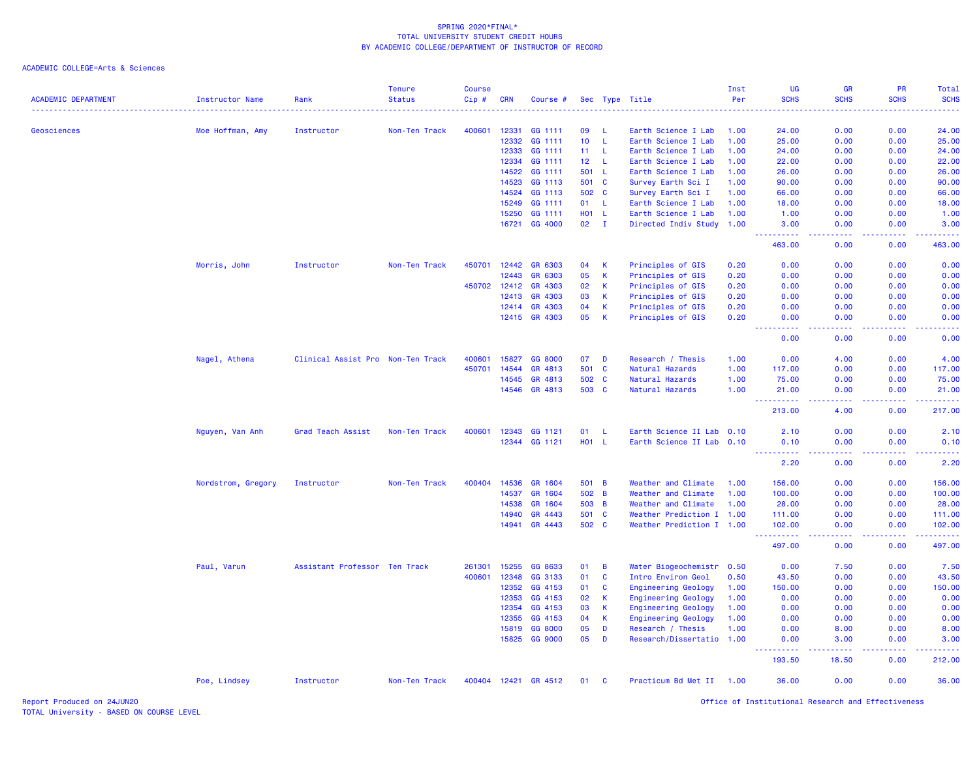| <b>ACADEMIC DEPARTMENT</b> | <b>Instructor Name</b> | Rank                              | <b>Tenure</b><br><b>Status</b> | Course<br>Cip# | <b>CRN</b> | Course #             |                 |              | Sec Type Title             | Inst<br>Per | UG<br><b>SCHS</b>                                                                                                                                            | <b>GR</b><br><b>SCHS</b>                            | <b>PR</b><br><b>SCHS</b> | Total<br><b>SCHS</b> |
|----------------------------|------------------------|-----------------------------------|--------------------------------|----------------|------------|----------------------|-----------------|--------------|----------------------------|-------------|--------------------------------------------------------------------------------------------------------------------------------------------------------------|-----------------------------------------------------|--------------------------|----------------------|
| Geosciences                | Moe Hoffman, Amy       | Instructor                        | Non-Ten Track                  | 400601         | 12331      | GG 1111              | 09              | - L          | Earth Science I Lab        | 1.00        | 24.00                                                                                                                                                        | 0.00                                                | 0.00                     | 24.00                |
|                            |                        |                                   |                                |                | 12332      | GG 1111              | 10 <sub>1</sub> | -L           | Earth Science I Lab        | 1.00        | 25.00                                                                                                                                                        | 0.00                                                | 0.00                     | 25.00                |
|                            |                        |                                   |                                |                | 12333      | GG 1111              | 11 <sub>1</sub> | - L          | Earth Science I Lab        | 1.00        | 24.00                                                                                                                                                        | 0.00                                                | 0.00                     | 24.00                |
|                            |                        |                                   |                                |                | 12334      | GG 1111              | 12 <sub>2</sub> | -L           | Earth Science I Lab        | 1.00        | 22.00                                                                                                                                                        | 0.00                                                | 0.00                     | 22.00                |
|                            |                        |                                   |                                |                | 14522      | GG 1111              | 501             | - L          | Earth Science I Lab        | 1.00        | 26.00                                                                                                                                                        | 0.00                                                | 0.00                     | 26.00                |
|                            |                        |                                   |                                |                | 14523      | GG 1113              | 501 C           |              | Survey Earth Sci I         | 1.00        | 90.00                                                                                                                                                        | 0.00                                                | 0.00                     | 90.00                |
|                            |                        |                                   |                                |                | 14524      | GG 1113              | 502 C           |              | Survey Earth Sci I         | 1.00        | 66.00                                                                                                                                                        | 0.00                                                | 0.00                     | 66.00                |
|                            |                        |                                   |                                |                | 15249      | GG 1111              | 01              | -L           | Earth Science I Lab        | 1.00        | 18.00                                                                                                                                                        | 0.00                                                | 0.00                     | 18.00                |
|                            |                        |                                   |                                |                | 15250      | GG 1111              | H01 L           |              | Earth Science I Lab        | 1.00        | 1.00                                                                                                                                                         | 0.00                                                | 0.00                     | 1.00                 |
|                            |                        |                                   |                                |                | 16721      | GG 4000              | 02              | $\mathbf{I}$ | Directed Indiv Study 1.00  |             | 3.00<br>$\frac{1}{2} \left( \frac{1}{2} \right) \left( \frac{1}{2} \right) \left( \frac{1}{2} \right) \left( \frac{1}{2} \right) \left( \frac{1}{2} \right)$ | 0.00<br>ولالات                                      | 0.00<br>.                | 3.00                 |
|                            |                        |                                   |                                |                |            |                      |                 |              |                            |             | 463.00                                                                                                                                                       | 0.00                                                | 0.00                     | 463.00               |
|                            | Morris, John           | Instructor                        | Non-Ten Track                  | 450701         | 12442      | GR 6303              | 04              | K            | Principles of GIS          | 0.20        | 0.00                                                                                                                                                         | 0.00                                                | 0.00                     | 0.00                 |
|                            |                        |                                   |                                |                | 12443      | GR 6303              | 05              | K            | Principles of GIS          | 0.20        | 0.00                                                                                                                                                         | 0.00                                                | 0.00                     | 0.00                 |
|                            |                        |                                   |                                | 450702         | 12412      | GR 4303              | 02              | K            | Principles of GIS          | 0.20        | 0.00                                                                                                                                                         | 0.00                                                | 0.00                     | 0.00                 |
|                            |                        |                                   |                                |                | 12413      | GR 4303              | 03              | $\mathsf K$  | Principles of GIS          | 0.20        | 0.00                                                                                                                                                         | 0.00                                                | 0.00                     | 0.00                 |
|                            |                        |                                   |                                |                | 12414      | GR 4303              | 04              | К            | Principles of GIS          | 0.20        | 0.00                                                                                                                                                         | 0.00                                                | 0.00                     | 0.00                 |
|                            |                        |                                   |                                |                | 12415      | GR 4303              | 05              | K            | Principles of GIS          | 0.20        | 0.00<br>.                                                                                                                                                    | 0.00                                                | 0.00                     | 0.00                 |
|                            |                        |                                   |                                |                |            |                      |                 |              |                            |             | 0.00                                                                                                                                                         | 0.00                                                | 0.00                     | 0.00                 |
|                            | Nagel, Athena          | Clinical Assist Pro Non-Ten Track |                                | 400601         | 15827      | GG 8000              | 07              | D            | Research / Thesis          | 1.00        | 0.00                                                                                                                                                         | 4.00                                                | 0.00                     | 4.00                 |
|                            |                        |                                   |                                | 450701         | 14544      | GR 4813              | 501 C           |              | Natural Hazards            | 1.00        | 117.00                                                                                                                                                       | 0.00                                                | 0.00                     | 117.00               |
|                            |                        |                                   |                                |                | 14545      | GR 4813              | 502 C           |              | Natural Hazards            | 1.00        | 75.00                                                                                                                                                        | 0.00                                                | 0.00                     | 75.00                |
|                            |                        |                                   |                                |                | 14546      | GR 4813              | 503 C           |              | Natural Hazards            | 1.00        | 21.00<br>$\sim$ $\sim$ $\sim$ $\sim$                                                                                                                         | 0.00<br>$- - -$                                     | 0.00                     | 21.00<br>.           |
|                            |                        |                                   |                                |                |            |                      |                 |              |                            |             | 213.00                                                                                                                                                       | 4.00                                                | 0.00                     | 217.00               |
|                            | Nguyen, Van Anh        | Grad Teach Assist                 | Non-Ten Track                  | 400601         | 12343      | GG 1121              | 01              | L            | Earth Science II Lab 0.10  |             | 2.10                                                                                                                                                         | 0.00                                                | 0.00                     | 2.10                 |
|                            |                        |                                   |                                |                | 12344      | GG 1121              | H01 L           |              | Earth Science II Lab 0.10  |             | 0.10<br>.                                                                                                                                                    | 0.00<br>.                                           | 0.00                     | 0.10<br>والمستناط    |
|                            |                        |                                   |                                |                |            |                      |                 |              |                            |             | 2.20                                                                                                                                                         | 0.00                                                | 0.00                     | 2.20                 |
|                            | Nordstrom, Gregory     | Instructor                        | Non-Ten Track                  | 400404         | 14536      | GR 1604              | 501 B           |              | Weather and Climate        | 1.00        | 156.00                                                                                                                                                       | 0.00                                                | 0.00                     | 156.00               |
|                            |                        |                                   |                                |                | 14537      | GR 1604              | 502 B           |              | Weather and Climate        | 1.00        | 100.00                                                                                                                                                       | 0.00                                                | 0.00                     | 100.00               |
|                            |                        |                                   |                                |                | 14538      | GR 1604              | 503 B           |              | Weather and Climate        | 1.00        | 28.00                                                                                                                                                        | 0.00                                                | 0.00                     | 28.00                |
|                            |                        |                                   |                                |                | 14940      | GR 4443              | 501 C           |              | Weather Prediction I 1.00  |             | 111.00                                                                                                                                                       | 0.00                                                | 0.00                     | 111.00               |
|                            |                        |                                   |                                |                | 14941      | GR 4443              | 502 C           |              | Weather Prediction I 1.00  |             | 102.00<br>د د د د د                                                                                                                                          | 0.00<br>$\omega_{\rm{eff}}$ and $\omega_{\rm{eff}}$ | 0.00                     | 102.00               |
|                            |                        |                                   |                                |                |            |                      |                 |              |                            |             | 497.00                                                                                                                                                       | 0.00                                                | 0.00                     | 497.00               |
|                            | Paul, Varun            | Assistant Professor Ten Track     |                                | 261301         | 15255      | GG 8633              | 01              | B            | Water Biogeochemistr 0.50  |             | 0.00                                                                                                                                                         | 7.50                                                | 0.00                     | 7.50                 |
|                            |                        |                                   |                                | 400601         | 12348      | GG 3133              | 01              | C            | Intro Environ Geol         | 0.50        | 43.50                                                                                                                                                        | 0.00                                                | 0.00                     | 43.50                |
|                            |                        |                                   |                                |                | 12352      | GG 4153              | 01              | C            | Engineering Geology        | 1.00        | 150.00                                                                                                                                                       | 0.00                                                | 0.00                     | 150.00               |
|                            |                        |                                   |                                |                | 12353      | GG 4153              | 02              | К            | <b>Engineering Geology</b> | 1.00        | 0.00                                                                                                                                                         | 0.00                                                | 0.00                     | 0.00                 |
|                            |                        |                                   |                                |                | 12354      | GG 4153              | 03              | K            | <b>Engineering Geology</b> | 1.00        | 0.00                                                                                                                                                         | 0.00                                                | 0.00                     | 0.00                 |
|                            |                        |                                   |                                |                | 12355      | GG 4153              | 04              | K            | <b>Engineering Geology</b> | 1.00        | 0.00                                                                                                                                                         | 0.00                                                | 0.00                     | 0.00                 |
|                            |                        |                                   |                                |                | 15819      | GG 8000              | 05              | D            | Research / Thesis          | 1.00        | 0.00                                                                                                                                                         | 8.00                                                | 0.00                     | 8.00                 |
|                            |                        |                                   |                                |                | 15825      | GG 9000              | 05              | D            | Research/Dissertatio 1.00  |             | 0.00                                                                                                                                                         | 3.00                                                | 0.00                     | 3.00                 |
|                            |                        |                                   |                                |                |            |                      |                 |              |                            |             | 193.50                                                                                                                                                       | 18.50                                               | 0.00                     | 212.00               |
|                            | Poe, Lindsey           | Instructor                        | Non-Ten Track                  |                |            | 400404 12421 GR 4512 | 01              | <b>C</b>     | Practicum Bd Met II 1.00   |             | 36.00                                                                                                                                                        | 0.00                                                | 0.00                     | 36.00                |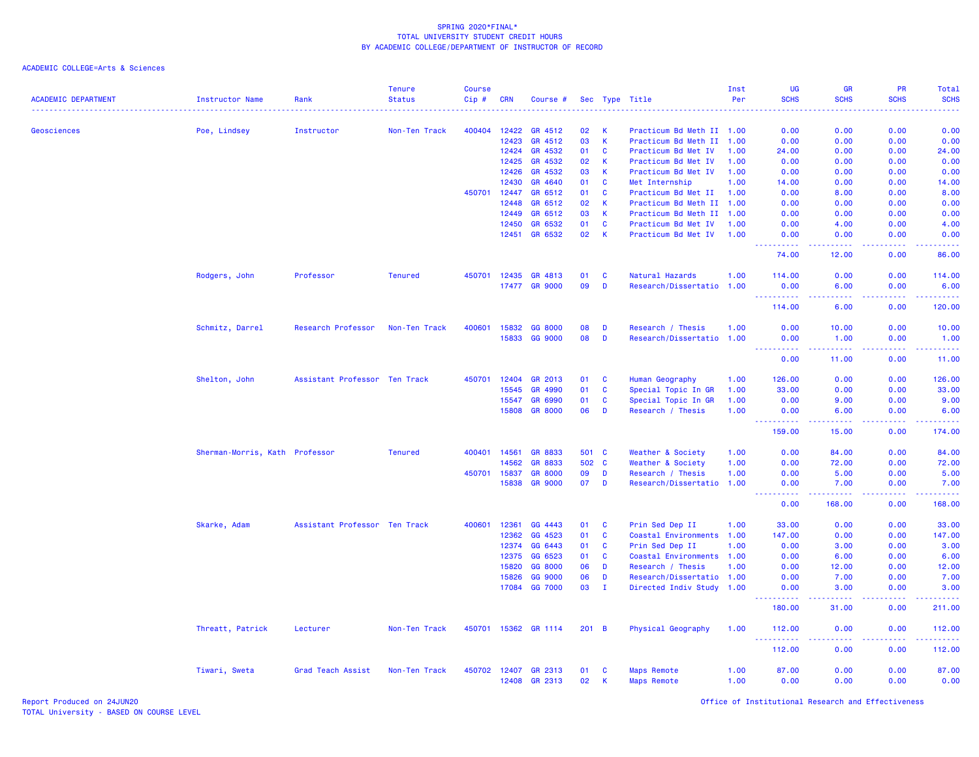| <b>ACADEMIC DEPARTMENT</b> | <b>Instructor Name</b>         | Rank                          | <b>Tenure</b><br><b>Status</b> | <b>Course</b><br>Cip# | <b>CRN</b>   | Course #       |       |              | Sec Type Title            | Inst<br>Per | <b>UG</b><br><b>SCHS</b>           | GR<br><b>SCHS</b><br>الأنابات | PR<br><b>SCHS</b>                     | Total<br><b>SCHS</b><br>$\frac{1}{2} \left( \frac{1}{2} \right) \left( \frac{1}{2} \right) \left( \frac{1}{2} \right) \left( \frac{1}{2} \right)$ |
|----------------------------|--------------------------------|-------------------------------|--------------------------------|-----------------------|--------------|----------------|-------|--------------|---------------------------|-------------|------------------------------------|-------------------------------|---------------------------------------|---------------------------------------------------------------------------------------------------------------------------------------------------|
| Geosciences                | Poe, Lindsey                   | Instructor                    | Non-Ten Track                  | 400404                | 12422        | GR 4512        | 02    | K            | Practicum Bd Meth II 1.00 |             | 0.00                               | 0.00                          | 0.00                                  | 0.00                                                                                                                                              |
|                            |                                |                               |                                |                       | 12423        | GR 4512        | 03    | К            | Practicum Bd Meth II 1.00 |             | 0.00                               | 0.00                          | 0.00                                  | 0.00                                                                                                                                              |
|                            |                                |                               |                                |                       | 12424        | GR 4532        | 01    | C            | Practicum Bd Met IV       | 1.00        | 24.00                              | 0.00                          | 0.00                                  | 24.00                                                                                                                                             |
|                            |                                |                               |                                |                       | 12425        | GR 4532        | 02    | К            | Practicum Bd Met IV       | 1.00        | 0.00                               | 0.00                          | 0.00                                  | 0.00                                                                                                                                              |
|                            |                                |                               |                                |                       | 12426        | GR 4532        | 03    | К            | Practicum Bd Met IV       | 1.00        | 0.00                               | 0.00                          | 0.00                                  | 0.00                                                                                                                                              |
|                            |                                |                               |                                |                       | 12430        | GR 4640        | 01    | C            | Met Internship            | 1.00        | 14.00                              | 0.00                          | 0.00                                  | 14.00                                                                                                                                             |
|                            |                                |                               |                                | 450701                | 12447        | GR 6512        | 01    | C            | Practicum Bd Met II       | 1.00        | 0.00                               | 8.00                          | 0.00                                  | 8.00                                                                                                                                              |
|                            |                                |                               |                                |                       | 12448        | GR 6512        | 02    | К            | Practicum Bd Meth II      | 1.00        | 0.00                               | 0.00                          | 0.00                                  | 0.00                                                                                                                                              |
|                            |                                |                               |                                |                       | 12449        | GR 6512        | 03    | K            | Practicum Bd Meth II 1.00 |             | 0.00                               | 0.00                          | 0.00                                  | 0.00                                                                                                                                              |
|                            |                                |                               |                                |                       | 12450        | GR 6532        | 01    | <b>C</b>     | Practicum Bd Met IV       | 1.00        | 0.00                               | 4.00                          | 0.00                                  | 4.00                                                                                                                                              |
|                            |                                |                               |                                |                       | 12451        | GR 6532        | 02    | К            | Practicum Bd Met IV       | 1.00        | 0.00<br><u>.</u>                   | 0.00<br>.                     | 0.00<br><b><i><u><u>.</u></u></i></b> | 0.00<br>.                                                                                                                                         |
|                            |                                |                               |                                |                       |              |                |       |              |                           |             | 74.00                              | 12.00                         | 0.00                                  | 86.00                                                                                                                                             |
|                            | Rodgers, John                  | Professor                     | <b>Tenured</b>                 | 450701                | 12435        | GR 4813        | 01    | C            | Natural Hazards           | 1.00        | 114.00                             | 0.00                          | 0.00                                  | 114.00                                                                                                                                            |
|                            |                                |                               |                                |                       | 17477        | <b>GR 9000</b> | 09    | D            | Research/Dissertatio 1.00 |             | 0.00<br>.                          | 6.00<br>.                     | 0.00<br>.                             | 6.00<br>$\begin{array}{cccccccccc} \bullet & \bullet & \bullet & \bullet & \bullet & \bullet & \bullet \end{array}$                               |
|                            |                                |                               |                                |                       |              |                |       |              |                           |             | 114,00                             | 6.00                          | 0.00                                  | 120.00                                                                                                                                            |
|                            | Schmitz, Darrel                | Research Professor            | Non-Ten Track                  | 400601                | 15832        | GG 8000        | 08    | D            | Research / Thesis         | 1.00        | 0.00                               | 10.00                         | 0.00                                  | 10.00                                                                                                                                             |
|                            |                                |                               |                                |                       | 15833        | GG 9000        | 08    | D            | Research/Dissertatio 1.00 |             | 0.00<br>.                          | 1.00<br>.                     | 0.00<br>22222                         | 1.00<br>.                                                                                                                                         |
|                            |                                |                               |                                |                       |              |                |       |              |                           |             | 0.00                               | 11.00                         | 0.00                                  | 11.00                                                                                                                                             |
|                            | Shelton, John                  | Assistant Professor Ten Track |                                | 450701                | 12404        | GR 2013        | 01    | C            | Human Geography           | 1.00        | 126.00                             | 0.00                          | 0.00                                  | 126.00                                                                                                                                            |
|                            |                                |                               |                                |                       | 15545        | GR 4990        | 01    | C            | Special Topic In GR       | 1.00        | 33.00                              | 0.00                          | 0.00                                  | 33.00                                                                                                                                             |
|                            |                                |                               |                                |                       | 15547        | GR 6990        | 01    | C            | Special Topic In GR       | 1.00        | 0.00                               | 9.00                          | 0.00                                  | 9.00                                                                                                                                              |
|                            |                                |                               |                                |                       | 15808        | <b>GR 8000</b> | 06    | D            | Research / Thesis         | 1.00        | 0.00<br>$- - - - - - -$<br>$- - -$ | 6.00<br>.                     | 0.00<br><b></b>                       | 6.00<br>$\frac{1}{2} \left( \frac{1}{2} \right) \left( \frac{1}{2} \right) \left( \frac{1}{2} \right) \left( \frac{1}{2} \right)$                 |
|                            |                                |                               |                                |                       |              |                |       |              |                           |             | 159.00                             | 15.00                         | 0.00                                  | 174.00                                                                                                                                            |
|                            | Sherman-Morris, Kath Professor |                               | <b>Tenured</b>                 | 400401                | 14561        | GR 8833        |       | 501 C        | Weather & Society         | 1.00        | 0.00                               | 84.00                         | 0.00                                  | 84.00                                                                                                                                             |
|                            |                                |                               |                                |                       | 14562        | GR 8833        | 502   | $\mathbf{C}$ | Weather & Society         | 1.00        | 0.00                               | 72.00                         | 0.00                                  | 72.00                                                                                                                                             |
|                            |                                |                               |                                | 450701                | 15837        | <b>GR 8000</b> | 09    | D            | Research / Thesis         | 1.00        | 0.00                               | 5.00                          | 0.00                                  | 5.00                                                                                                                                              |
|                            |                                |                               |                                |                       | 15838        | <b>GR 9000</b> | 07    | D            | Research/Dissertatio 1.00 |             | 0.00                               | 7.00                          | 0.00<br>.                             | 7.00                                                                                                                                              |
|                            |                                |                               |                                |                       |              |                |       |              |                           |             | 0.00                               | 168.00                        | 0.00                                  | 168.00                                                                                                                                            |
|                            | Skarke, Adam                   | Assistant Professor Ten Track |                                | 400601                | 12361        | GG 4443        | 01    | C            | Prin Sed Dep II           | 1.00        | 33.00                              | 0.00                          | 0.00                                  | 33.00                                                                                                                                             |
|                            |                                |                               |                                |                       | 12362        | GG 4523        | 01    | C            | Coastal Environments      | 1.00        | 147.00                             | 0.00                          | 0.00                                  | 147.00                                                                                                                                            |
|                            |                                |                               |                                |                       | 12374        | GG 6443        | 01    | C            | Prin Sed Dep II           | 1.00        | 0.00                               | 3.00                          | 0.00                                  | 3.00                                                                                                                                              |
|                            |                                |                               |                                |                       | 12375        | GG 6523        | 01    | C            | Coastal Environments 1.00 |             | 0.00                               | 6.00                          | 0.00                                  | 6.00                                                                                                                                              |
|                            |                                |                               |                                |                       | 15820        | GG 8000        | 06    | D            | Research / Thesis         | 1.00        | 0.00                               | 12.00                         | 0.00                                  | 12.00                                                                                                                                             |
|                            |                                |                               |                                |                       | 15826        | GG 9000        | 06    | D            | Research/Dissertatio 1.00 |             | 0.00                               | 7.00                          | 0.00                                  | 7.00                                                                                                                                              |
|                            |                                |                               |                                |                       | 17084        | GG 7000        | 03    | $\mathbf{I}$ | Directed Indiv Study 1.00 |             | 0.00<br>.                          | 3.00<br>.                     | 0.00<br>.                             | 3.00<br>.                                                                                                                                         |
|                            |                                |                               |                                |                       |              |                |       |              |                           |             | 180.00                             | 31.00                         | 0.00                                  | 211.00                                                                                                                                            |
|                            | Threatt, Patrick               | Lecturer                      | Non-Ten Track                  | 450701                |              | 15362 GR 1114  | 201 B |              | Physical Geography        | 1.00        | 112.00                             | 0.00                          | 0.00                                  | 112.00                                                                                                                                            |
|                            |                                |                               |                                |                       |              |                |       |              |                           |             | 112.00                             | 0.00                          | 0.00                                  | 112.00                                                                                                                                            |
|                            | Tiwari, Sweta                  | Grad Teach Assist             | Non-Ten Track                  |                       | 450702 12407 | GR 2313        | 01    | C            | <b>Maps Remote</b>        | 1.00        | 87.00                              | 0.00                          | 0.00                                  | 87.00                                                                                                                                             |
|                            |                                |                               |                                |                       | 12408        | GR 2313        | 02    | К            | <b>Maps Remote</b>        | 1.00        | 0.00                               | 0.00                          | 0.00                                  | 0.00                                                                                                                                              |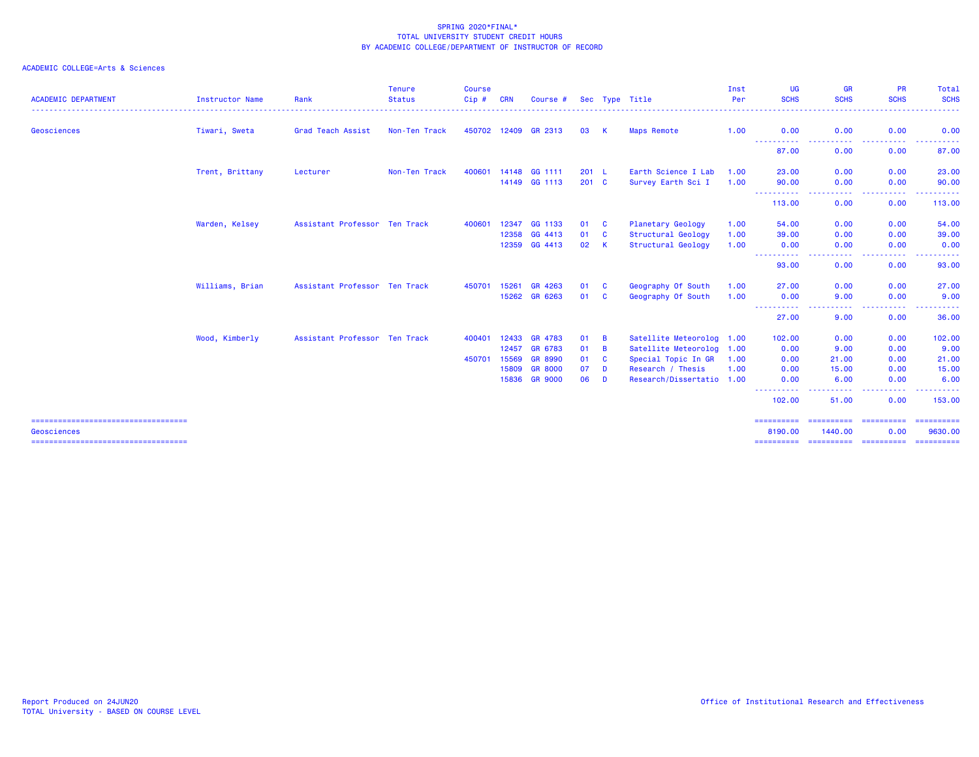| <b>ACADEMIC DEPARTMENT</b>                          | Instructor Name | Rank                          | <b>Tenure</b><br><b>Status</b> | <b>Course</b><br>Cip# | <b>CRN</b> | Course #       |               |                | Sec Type Title            | Inst<br>Per | UG<br><b>SCHS</b>      | <b>GR</b><br><b>SCHS</b>                                                                                                          | <b>PR</b><br><b>SCHS</b> | Total<br><b>SCHS</b>  |
|-----------------------------------------------------|-----------------|-------------------------------|--------------------------------|-----------------------|------------|----------------|---------------|----------------|---------------------------|-------------|------------------------|-----------------------------------------------------------------------------------------------------------------------------------|--------------------------|-----------------------|
| Geosciences                                         | Tiwari, Sweta   | Grad Teach Assist             | Non-Ten Track                  | 450702 12409          |            | GR 2313        | 03            | <b>K</b>       | <b>Maps Remote</b>        | 1.00        | 0.00<br>-----------    | 0.00<br>$\frac{1}{2} \left( \frac{1}{2} \right) \left( \frac{1}{2} \right) \left( \frac{1}{2} \right) \left( \frac{1}{2} \right)$ | 0.00<br>.                | 0.00<br><u>.</u>      |
|                                                     |                 |                               |                                |                       |            |                |               |                |                           |             | 87.00                  | 0.00                                                                                                                              | 0.00                     | 87.00                 |
|                                                     | Trent, Brittany | Lecturer                      | Non-Ten Track                  | 400601                |            | 14148 GG 1111  | 201 L         |                | Earth Science I Lab       | 1.00        | 23.00                  | 0.00                                                                                                                              | 0.00                     | 23.00                 |
|                                                     |                 |                               |                                |                       |            | 14149 GG 1113  | $201 \quad C$ |                | Survey Earth Sci I        | 1.00        | 90.00                  | 0.00                                                                                                                              | 0.00                     | 90.00                 |
|                                                     |                 |                               |                                |                       |            |                |               |                |                           |             | . <b>.</b> .<br>113.00 | $\frac{1}{2} \left( \frac{1}{2} \right) \left( \frac{1}{2} \right) \left( \frac{1}{2} \right) \left( \frac{1}{2} \right)$<br>0.00 | -----<br>0.00            | ------<br>113.00      |
|                                                     | Warden, Kelsey  | Assistant Professor Ten Track |                                | 400601                |            | 12347 GG 1133  | 01            | <b>C</b>       | Planetary Geology         | 1.00        | 54.00                  | 0.00                                                                                                                              | 0.00                     | 54.00                 |
|                                                     |                 |                               |                                |                       | 12358      | GG 4413        | 01            | <b>C</b>       | Structural Geology        | 1.00        | 39.00                  | 0.00                                                                                                                              | 0.00                     | 39.00                 |
|                                                     |                 |                               |                                |                       | 12359      | GG 4413        | 02            | <b>K</b>       | Structural Geology        | 1.00        | 0.00                   | 0.00                                                                                                                              | 0.00                     | 0.00                  |
|                                                     |                 |                               |                                |                       |            |                |               |                |                           |             | . <b>.</b> .<br>93.00  | ----<br>0.00                                                                                                                      | .<br>0.00                | . <u>.</u> .<br>93.00 |
|                                                     | Williams, Brian | Assistant Professor Ten Track |                                | 450701                | 15261      | GR 4263        | 01            | <b>C</b>       | Geography Of South        | 1.00        | 27,00                  | 0.00                                                                                                                              | 0.00                     | 27.00                 |
|                                                     |                 |                               |                                |                       | 15262      | GR 6263        | 01            | C              | Geography Of South        | 1.00        | 0.00                   | 9.00                                                                                                                              | 0.00                     | 9.00                  |
|                                                     |                 |                               |                                |                       |            |                |               |                |                           |             | .<br>27.00             | 9.00                                                                                                                              | 0.00                     | 36.00                 |
|                                                     | Wood, Kimberly  | Assistant Professor Ten Track |                                | 400401                | 12433      | GR 4783        | 01            | $\overline{B}$ | Satellite Meteorolog 1.00 |             | 102.00                 | 0.00                                                                                                                              | 0.00                     | 102.00                |
|                                                     |                 |                               |                                |                       | 12457      | GR 6783        | 01            | $\overline{B}$ | Satellite Meteorolog 1.00 |             | 0.00                   | 9.00                                                                                                                              | 0.00                     | 9.00                  |
|                                                     |                 |                               |                                | 450701                | 15569      | <b>GR 8990</b> | 01            | C              | Special Topic In GR       | 1.00        | 0.00                   | 21.00                                                                                                                             | 0.00                     | 21.00                 |
|                                                     |                 |                               |                                |                       | 15809      | <b>GR 8000</b> | 07            | D              | Research / Thesis         | 1.00        | 0.00                   | 15.00                                                                                                                             | 0.00                     | 15.00                 |
|                                                     |                 |                               |                                |                       | 15836      | <b>GR 9000</b> | 06            | D              | Research/Dissertatio 1.00 |             | 0.00                   | 6.00                                                                                                                              | 0.00                     | 6.00                  |
|                                                     |                 |                               |                                |                       |            |                |               |                |                           |             | ----------<br>102.00   | -----<br>51.00                                                                                                                    | -----<br>0.00            | --------<br>153.00    |
| ====================================<br>Geosciences |                 |                               |                                |                       |            |                |               |                |                           |             | 8190.00                | 1440.00                                                                                                                           | ==========<br>0.00       | ==========<br>9630,00 |
| =====================================               |                 |                               |                                |                       |            |                |               |                |                           |             | ==========             | ==========                                                                                                                        | ==========               | ==========            |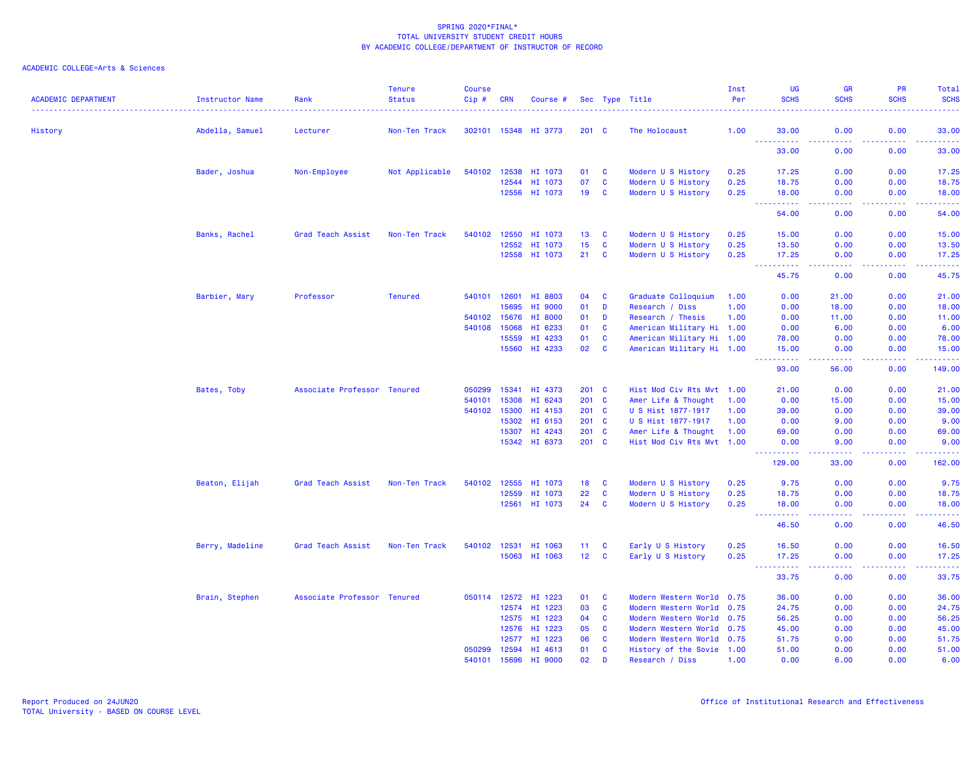| <b>ACADEMIC DEPARTMENT</b> | Instructor Name | Rank                        | <b>Tenure</b><br><b>Status</b> | <b>Course</b><br>Cip# | <b>CRN</b> | Course #             |                 |                         | Sec Type Title            | Inst<br>Per | <b>UG</b><br><b>SCHS</b>                                                                                     | <b>GR</b><br><b>SCHS</b>                                                                                                          | PR<br><b>SCHS</b> | Total<br><b>SCHS</b>                                                                                                               |
|----------------------------|-----------------|-----------------------------|--------------------------------|-----------------------|------------|----------------------|-----------------|-------------------------|---------------------------|-------------|--------------------------------------------------------------------------------------------------------------|-----------------------------------------------------------------------------------------------------------------------------------|-------------------|------------------------------------------------------------------------------------------------------------------------------------|
| History                    | Abdella, Samuel | Lecturer                    | Non-Ten Track                  |                       |            | 302101 15348 HI 3773 | $201 \quad C$   |                         | The Holocaust             | 1.00        | 33.00                                                                                                        | 0.00                                                                                                                              | 0.00              | 33.00                                                                                                                              |
|                            |                 |                             |                                |                       |            |                      |                 |                         |                           |             | $\frac{1}{2} \left( \frac{1}{2} \right) \left( \frac{1}{2} \right) \left( \frac{1}{2} \right)$<br>.<br>33.00 | $\frac{1}{2} \left( \frac{1}{2} \right) \left( \frac{1}{2} \right) \left( \frac{1}{2} \right) \left( \frac{1}{2} \right)$<br>0.00 | .<br>0.00         | .<br>33.00                                                                                                                         |
|                            | Bader, Joshua   | Non-Employee                | Not Applicable                 | 540102                |            | 12538 HI 1073        | 01              | C                       | Modern U S History        | 0.25        | 17.25                                                                                                        | 0.00                                                                                                                              | 0.00              | 17.25                                                                                                                              |
|                            |                 |                             |                                |                       | 12544      | HI 1073              | 07              | C                       | Modern U S History        | 0.25        | 18.75                                                                                                        | 0.00                                                                                                                              | 0.00              | 18.75                                                                                                                              |
|                            |                 |                             |                                |                       |            | 12556 HI 1073        | 19              | $\overline{\mathbf{C}}$ | Modern U S History        | 0.25        | 18.00<br>$\omega$ $\omega$ $\omega$<br>د د د د د                                                             | 0.00<br>$\sim$ $\sim$ $\sim$ $\sim$                                                                                               | 0.00<br>.         | 18.00<br>والانتاب                                                                                                                  |
|                            |                 |                             |                                |                       |            |                      |                 |                         |                           |             | 54.00                                                                                                        | 0.00                                                                                                                              | 0.00              | 54.00                                                                                                                              |
|                            | Banks, Rachel   | Grad Teach Assist           | Non-Ten Track                  | 540102                | 12550      | HI 1073              | 13              | C                       | Modern U S History        | 0.25        | 15.00                                                                                                        | 0.00                                                                                                                              | 0.00              | 15.00                                                                                                                              |
|                            |                 |                             |                                |                       | 12552      | HI 1073              | 15              | C                       | Modern U S History        | 0.25        | 13.50                                                                                                        | 0.00                                                                                                                              | 0.00              | 13.50                                                                                                                              |
|                            |                 |                             |                                |                       |            | 12558 HI 1073        | 21              | C                       | Modern U S History        | 0.25        | 17.25<br>$\omega_{\rm{max}}$                                                                                 | 0.00<br>.                                                                                                                         | 0.00<br>.         | 17.25<br>.                                                                                                                         |
|                            |                 |                             |                                |                       |            |                      |                 |                         |                           |             | 45.75                                                                                                        | 0.00                                                                                                                              | 0.00              | 45.75                                                                                                                              |
|                            | Barbier, Mary   | Professor                   | <b>Tenured</b>                 | 540101 12601          |            | HI 8803              | 04              | C                       | Graduate Colloquium       | 1.00        | 0.00                                                                                                         | 21.00                                                                                                                             | 0.00              | 21.00                                                                                                                              |
|                            |                 |                             |                                |                       | 15695      | HI 9000              | 01              | D                       | Research / Diss           | 1.00        | 0.00                                                                                                         | 18.00                                                                                                                             | 0.00              | 18.00                                                                                                                              |
|                            |                 |                             |                                | 540102                | 15676      | HI 8000              | 01              | D                       | Research / Thesis         | 1.00        | 0.00                                                                                                         | 11.00                                                                                                                             | 0.00              | 11.00                                                                                                                              |
|                            |                 |                             |                                | 540108                | 15068      | HI 6233              | 01              | C                       | American Military Hi 1.00 |             | 0.00                                                                                                         | 6.00                                                                                                                              | 0.00              | 6.00                                                                                                                               |
|                            |                 |                             |                                |                       | 15559      | HI 4233              | 01              | C                       | American Military Hi 1.00 |             | 78.00                                                                                                        | 0.00                                                                                                                              | 0.00              | 78.00                                                                                                                              |
|                            |                 |                             |                                |                       | 15560      | HI 4233              | 02              | $\mathbf{C}$            | American Military Hi 1.00 |             | 15.00                                                                                                        | 0.00                                                                                                                              | 0.00              | 15.00<br>$\frac{1}{2} \left( \frac{1}{2} \right) \left( \frac{1}{2} \right) \left( \frac{1}{2} \right) \left( \frac{1}{2} \right)$ |
|                            |                 |                             |                                |                       |            |                      |                 |                         |                           |             | 93.00                                                                                                        | 56.00                                                                                                                             | 0.00              | 149.00                                                                                                                             |
|                            | Bates, Toby     | Associate Professor Tenured |                                | 050299                | 15341      | HI 4373              | $201 \quad C$   |                         | Hist Mod Civ Rts Mvt 1.00 |             | 21.00                                                                                                        | 0.00                                                                                                                              | 0.00              | 21.00                                                                                                                              |
|                            |                 |                             |                                | 540101                | 15308      | HI 6243              | $201$ C         |                         | Amer Life & Thought       | 1.00        | 0.00                                                                                                         | 15.00                                                                                                                             | 0.00              | 15.00                                                                                                                              |
|                            |                 |                             |                                | 540102                | 15300      | HI 4153              | $201$ C         |                         | U S Hist 1877-1917        | 1.00        | 39.00                                                                                                        | 0.00                                                                                                                              | 0.00              | 39.00                                                                                                                              |
|                            |                 |                             |                                |                       | 15302      | HI 6153              | 201             | <b>C</b>                | U S Hist 1877-1917        | 1.00        | 0.00                                                                                                         | 9.00                                                                                                                              | 0.00              | 9.00                                                                                                                               |
|                            |                 |                             |                                |                       | 15307      | HI 4243              | $201$ C         |                         | Amer Life & Thought       | 1.00        | 69.00                                                                                                        | 0.00                                                                                                                              | 0.00              | 69.00                                                                                                                              |
|                            |                 |                             |                                |                       |            | 15342 HI 6373        | $201$ C         |                         | Hist Mod Civ Rts Mvt 1.00 |             | 0.00                                                                                                         | 9.00                                                                                                                              | 0.00              | 9.00<br>.                                                                                                                          |
|                            |                 |                             |                                |                       |            |                      |                 |                         |                           |             | 129.00                                                                                                       | 33.00                                                                                                                             | 0.00              | 162.00                                                                                                                             |
|                            | Beaton, Elijah  | Grad Teach Assist           | Non-Ten Track                  | 540102                | 12555      | HI 1073              | 18              | <b>C</b>                | Modern U S History        | 0.25        | 9.75                                                                                                         | 0.00                                                                                                                              | 0.00              | 9.75                                                                                                                               |
|                            |                 |                             |                                |                       | 12559      | HI 1073              | 22              | C                       | Modern U S History        | 0.25        | 18.75                                                                                                        | 0.00                                                                                                                              | 0.00              | 18.75                                                                                                                              |
|                            |                 |                             |                                |                       |            | 12561 HI 1073        | 24              | $\mathbf{C}$            | Modern U S History        | 0.25        | 18.00<br>$  -$<br><u>.</u>                                                                                   | 0.00<br>$  -$                                                                                                                     | 0.00<br>$  -$     | 18.00<br>$\frac{1}{2} \left( \frac{1}{2} \right) \left( \frac{1}{2} \right) \left( \frac{1}{2} \right) \left( \frac{1}{2} \right)$ |
|                            |                 |                             |                                |                       |            |                      |                 |                         |                           |             | 46.50                                                                                                        | 0.00                                                                                                                              | 0.00              | 46.50                                                                                                                              |
|                            | Berry, Madeline | Grad Teach Assist           | Non-Ten Track                  | 540102                | 12531      | HI 1063              | 11              | C                       | Early U S History         | 0.25        | 16.50                                                                                                        | 0.00                                                                                                                              | 0.00              | 16.50                                                                                                                              |
|                            |                 |                             |                                |                       |            | 15063 HI 1063        | 12 <sup>2</sup> | <b>C</b>                | Early U S History         | 0.25        | 17.25<br>$\frac{1}{2} \left( \frac{1}{2} \right) \left( \frac{1}{2} \right)$<br>.                            | 0.00                                                                                                                              | 0.00<br>.         | 17.25<br>.                                                                                                                         |
|                            |                 |                             |                                |                       |            |                      |                 |                         |                           |             | 33.75                                                                                                        | 0.00                                                                                                                              | 0.00              | 33.75                                                                                                                              |
|                            | Brain, Stephen  | Associate Professor Tenured |                                |                       |            | 050114 12572 HI 1223 | 01              | C                       | Modern Western World 0.75 |             | 36.00                                                                                                        | 0.00                                                                                                                              | 0.00              | 36.00                                                                                                                              |
|                            |                 |                             |                                |                       |            | 12574 HI 1223        | 03              | C                       | Modern Western World 0.75 |             | 24.75                                                                                                        | 0.00                                                                                                                              | 0.00              | 24.75                                                                                                                              |
|                            |                 |                             |                                |                       | 12575      | HI 1223              | 04              | C                       | Modern Western World 0.75 |             | 56.25                                                                                                        | 0.00                                                                                                                              | 0.00              | 56.25                                                                                                                              |
|                            |                 |                             |                                |                       | 12576      | HI 1223              | 05              | $\mathbf{C}$            | Modern Western World 0.75 |             | 45.00                                                                                                        | 0.00                                                                                                                              | 0.00              | 45.00                                                                                                                              |
|                            |                 |                             |                                |                       | 12577      | HI 1223              | 06              | C                       | Modern Western World 0.75 |             | 51.75                                                                                                        | 0.00                                                                                                                              | 0.00              | 51.75                                                                                                                              |
|                            |                 |                             |                                | 050299                | 12594      | HI 4613              | 01              | C                       | History of the Sovie 1.00 |             | 51.00                                                                                                        | 0.00                                                                                                                              | 0.00              | 51.00                                                                                                                              |
|                            |                 |                             |                                | 540101                | 15696      | HI 9000              | 02              | D                       | Research / Diss           | 1.00        | 0.00                                                                                                         | 6.00                                                                                                                              | 0.00              | 6.00                                                                                                                               |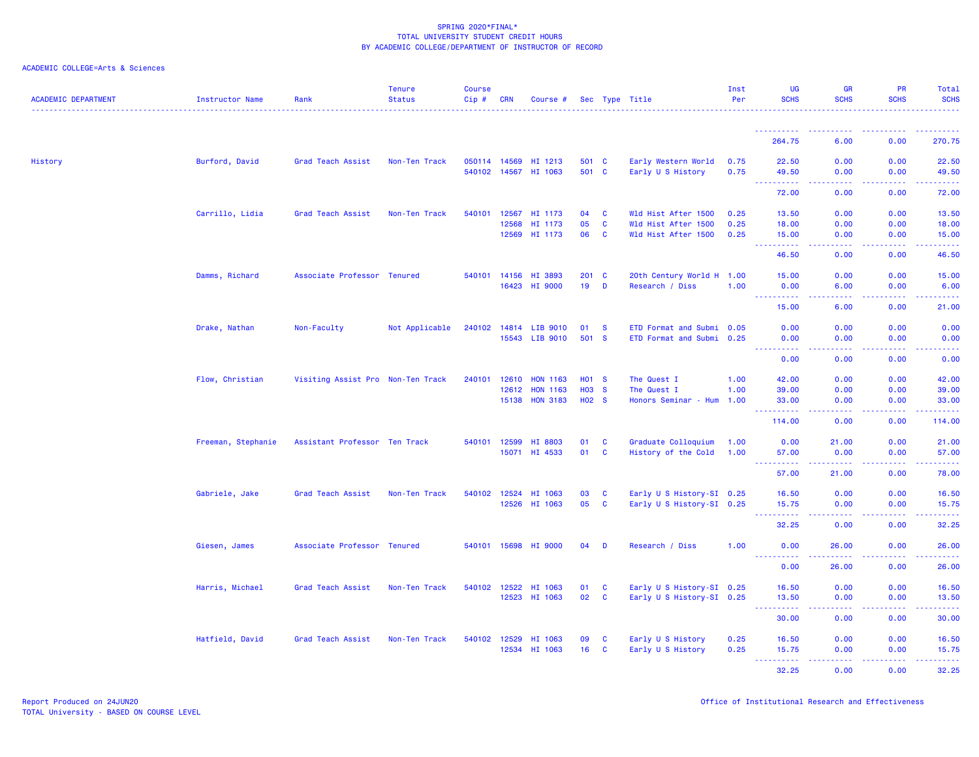|  | ACADEMIC COLLEGE=Arts & Sciences |  |
|--|----------------------------------|--|
|  |                                  |  |

| <u>.</u><br>0.00<br>270.75<br>264.75<br>6.00<br>0.00<br>History<br>Burford, David<br>Grad Teach Assist<br>Non-Ten Track<br>050114 14569<br>HI 1213<br>501 C<br>Early Western World<br>22.50<br>0.00<br>22.50<br>0.75<br>540102 14567<br>HI 1063<br>501 C<br>Early U S History<br>0.75<br>49.50<br>0.00<br>0.00<br>49.50<br>بالمستما<br>بالأباء<br>المستمال<br>المتمامين<br>72.00<br>0.00<br>0.00<br>72.00<br>Carrillo, Lidia<br>540101<br>$\mathbf{C}$<br>Wld Hist After 1500<br>0.00<br>0.00<br>13.50<br>Grad Teach Assist<br>Non-Ten Track<br>12567<br>HI 1173<br>04<br>0.25<br>13.50<br>05<br>$\mathbf{C}$<br>12568<br>HI 1173<br>Wld Hist After 1500<br>0.25<br>0.00<br>0.00<br>18.00<br>18.00<br>12569 HI 1173<br>06<br>C<br>Wld Hist After 1500<br>0.25<br>15.00<br>0.00<br>0.00<br>15.00<br>.<br><b><i><u><u> - - - -</u></u></i></b><br>$\sim$ $\sim$ $\sim$<br>.<br>------<br>0.00<br>46.50<br>0.00<br>46.50<br>Associate Professor Tenured<br>0.00<br>Damms, Richard<br>540101<br>14156<br>HI 3893<br>$201 \quad C$<br>20th Century World H 1.00<br>15.00<br>0.00<br>15.00<br>16423<br>HI 9000<br>$19-19$<br>D<br>Research / Diss<br>1.00<br>0.00<br>6.00<br>0.00<br>6.00<br><u> - - - - - - - - - -</u><br>.<br>.<br>.<br>15.00<br>6.00<br>0.00<br>21.00<br>Drake, Nathan<br>Non-Faculty<br>Not Applicable<br>240102 14814 LIB 9010<br>01<br><b>S</b><br>ETD Format and Submi 0.05<br>0.00<br>0.00<br>0.00<br>0.00<br>15543 LIB 9010<br>501 S<br>ETD Format and Submi 0.25<br>0.00<br>0.00<br>0.00<br>0.00<br>.<br><u>.</u><br><b><i><u><u>.</u></u></i></b><br>.<br>0.00<br>0.00<br>0.00<br>0.00<br>Flow, Christian<br>Visiting Assist Pro Non-Ten Track<br>240101<br>12610<br><b>HON 1163</b><br><b>HO1 S</b><br>The Quest I<br>1.00<br>42.00<br>0.00<br>0.00<br>42.00<br><b>HON 1163</b><br><b>HO3 S</b><br>The Quest I<br>39.00<br>0.00<br>0.00<br>39.00<br>12612<br>1.00<br>H <sub>02</sub> S<br><b>HON 3183</b><br>33.00<br>0.00<br>0.00<br>33.00<br>15138<br>Honors Seminar - Hum 1.00<br><b></b><br>22222<br>22222<br>.<br>114,00<br>0.00<br>0.00<br>114.00<br>Graduate Colloquium<br>0.00<br>Freeman, Stephanie<br>Assistant Professor Ten Track<br>540101 12599<br>HI 8803<br>01<br><b>C</b><br>1.00<br>0.00<br>21.00<br>21.00<br>HI 4533<br>15071<br>01<br>$\mathbf{C}$<br>History of the Cold<br>0.00<br>0.00<br>57.00<br>1.00<br>57.00<br>$\frac{1}{2} \left( \frac{1}{2} \right) \left( \frac{1}{2} \right) \left( \frac{1}{2} \right) \left( \frac{1}{2} \right) \left( \frac{1}{2} \right)$<br>.<br><b><i><u><u><b>A</b></u></u></i></b><br>.<br>0.00<br>78.00<br>57.00<br>21.00<br>Gabriele, Jake<br>Grad Teach Assist<br>Non-Ten Track<br>540102 12524<br>HI 1063<br>03<br>$\mathbf{C}$<br>Early U S History-SI 0.25<br>0.00<br>0.00<br>16.50<br>16.50<br>05<br>12526 HI 1063<br>$\mathbf{C}$<br>Early U S History-SI 0.25<br>0.00<br>0.00<br>15.75<br>15.75<br>ولايات<br>32.25<br>0.00<br>0.00<br>32.25<br>Associate Professor Tenured<br>540101 15698 HI 9000<br>1.00<br>Giesen, James<br>04<br>D<br>Research / Diss<br>0.00<br>26.00<br>0.00<br>26.00<br><u>.</u><br>22222<br>.<br>.<br>0.00<br>26.00<br>0.00<br>26.00<br>Harris, Michael<br>540102 12522<br>HI 1063<br>$\mathbf{C}$<br>Early U S History-SI 0.25<br>0.00<br>0.00<br>16.50<br>Grad Teach Assist<br>Non-Ten Track<br>01<br>16.50<br>HI 1063<br>02<br><b>C</b><br>Early U S History-SI 0.25<br>12523<br>13.50<br>0.00<br>0.00<br>13.50<br>.<br>----------<br>المستملة<br>بالمستمات<br>30.00<br>0.00<br>0.00<br>30.00<br>Hatfield, David<br>540102 12529<br>Early U S History<br>0.00<br>0.00<br>Grad Teach Assist<br>HI 1063<br>09<br>C<br>0.25<br>16.50<br>16.50<br>Non-Ten Track<br>16<br>12534<br>HI 1063<br>$\mathbf{C}$<br>Early U S History<br>0.25<br>0.00<br>15.75<br>0.00<br>15.75<br>.<br>المتمالين<br>22222<br>. | <b>ACADEMIC DEPARTMENT</b> | Instructor Name | Rank | <b>Tenure</b><br><b>Status</b><br>. | <b>Course</b><br>Cip# | <b>CRN</b> | Course # |  | Sec Type Title | Inst<br>Per | <b>UG</b><br><b>SCHS</b> | <b>GR</b><br><b>SCHS</b> | <b>PR</b><br><b>SCHS</b> | Total<br><b>SCHS</b><br>. <u>.</u> . |
|---------------------------------------------------------------------------------------------------------------------------------------------------------------------------------------------------------------------------------------------------------------------------------------------------------------------------------------------------------------------------------------------------------------------------------------------------------------------------------------------------------------------------------------------------------------------------------------------------------------------------------------------------------------------------------------------------------------------------------------------------------------------------------------------------------------------------------------------------------------------------------------------------------------------------------------------------------------------------------------------------------------------------------------------------------------------------------------------------------------------------------------------------------------------------------------------------------------------------------------------------------------------------------------------------------------------------------------------------------------------------------------------------------------------------------------------------------------------------------------------------------------------------------------------------------------------------------------------------------------------------------------------------------------------------------------------------------------------------------------------------------------------------------------------------------------------------------------------------------------------------------------------------------------------------------------------------------------------------------------------------------------------------------------------------------------------------------------------------------------------------------------------------------------------------------------------------------------------------------------------------------------------------------------------------------------------------------------------------------------------------------------------------------------------------------------------------------------------------------------------------------------------------------------------------------------------------------------------------------------------------------------------------------------------------------------------------------------------------------------------------------------------------------------------------------------------------------------------------------------------------------------------------------------------------------------------------------------------------------------------------------------------------------------------------------------------------------------------------------------------------------------------------------------------------------------------------------------------------------------------------------------------------------------------------------------------------------------------------------------------------------------------------------------------------------------------------------------------------------------------------------------------------------------------------------------------------------------------------------------------------------------------------------------------------------------------------------------------------------------------------------------------------------------------------------------------------|----------------------------|-----------------|------|-------------------------------------|-----------------------|------------|----------|--|----------------|-------------|--------------------------|--------------------------|--------------------------|--------------------------------------|
|                                                                                                                                                                                                                                                                                                                                                                                                                                                                                                                                                                                                                                                                                                                                                                                                                                                                                                                                                                                                                                                                                                                                                                                                                                                                                                                                                                                                                                                                                                                                                                                                                                                                                                                                                                                                                                                                                                                                                                                                                                                                                                                                                                                                                                                                                                                                                                                                                                                                                                                                                                                                                                                                                                                                                                                                                                                                                                                                                                                                                                                                                                                                                                                                                                                                                                                                                                                                                                                                                                                                                                                                                                                                                                                                                                                                                           |                            |                 |      |                                     |                       |            |          |  |                |             |                          |                          |                          |                                      |
|                                                                                                                                                                                                                                                                                                                                                                                                                                                                                                                                                                                                                                                                                                                                                                                                                                                                                                                                                                                                                                                                                                                                                                                                                                                                                                                                                                                                                                                                                                                                                                                                                                                                                                                                                                                                                                                                                                                                                                                                                                                                                                                                                                                                                                                                                                                                                                                                                                                                                                                                                                                                                                                                                                                                                                                                                                                                                                                                                                                                                                                                                                                                                                                                                                                                                                                                                                                                                                                                                                                                                                                                                                                                                                                                                                                                                           |                            |                 |      |                                     |                       |            |          |  |                |             |                          |                          |                          |                                      |
|                                                                                                                                                                                                                                                                                                                                                                                                                                                                                                                                                                                                                                                                                                                                                                                                                                                                                                                                                                                                                                                                                                                                                                                                                                                                                                                                                                                                                                                                                                                                                                                                                                                                                                                                                                                                                                                                                                                                                                                                                                                                                                                                                                                                                                                                                                                                                                                                                                                                                                                                                                                                                                                                                                                                                                                                                                                                                                                                                                                                                                                                                                                                                                                                                                                                                                                                                                                                                                                                                                                                                                                                                                                                                                                                                                                                                           |                            |                 |      |                                     |                       |            |          |  |                |             |                          |                          |                          |                                      |
|                                                                                                                                                                                                                                                                                                                                                                                                                                                                                                                                                                                                                                                                                                                                                                                                                                                                                                                                                                                                                                                                                                                                                                                                                                                                                                                                                                                                                                                                                                                                                                                                                                                                                                                                                                                                                                                                                                                                                                                                                                                                                                                                                                                                                                                                                                                                                                                                                                                                                                                                                                                                                                                                                                                                                                                                                                                                                                                                                                                                                                                                                                                                                                                                                                                                                                                                                                                                                                                                                                                                                                                                                                                                                                                                                                                                                           |                            |                 |      |                                     |                       |            |          |  |                |             |                          |                          |                          |                                      |
|                                                                                                                                                                                                                                                                                                                                                                                                                                                                                                                                                                                                                                                                                                                                                                                                                                                                                                                                                                                                                                                                                                                                                                                                                                                                                                                                                                                                                                                                                                                                                                                                                                                                                                                                                                                                                                                                                                                                                                                                                                                                                                                                                                                                                                                                                                                                                                                                                                                                                                                                                                                                                                                                                                                                                                                                                                                                                                                                                                                                                                                                                                                                                                                                                                                                                                                                                                                                                                                                                                                                                                                                                                                                                                                                                                                                                           |                            |                 |      |                                     |                       |            |          |  |                |             |                          |                          |                          |                                      |
|                                                                                                                                                                                                                                                                                                                                                                                                                                                                                                                                                                                                                                                                                                                                                                                                                                                                                                                                                                                                                                                                                                                                                                                                                                                                                                                                                                                                                                                                                                                                                                                                                                                                                                                                                                                                                                                                                                                                                                                                                                                                                                                                                                                                                                                                                                                                                                                                                                                                                                                                                                                                                                                                                                                                                                                                                                                                                                                                                                                                                                                                                                                                                                                                                                                                                                                                                                                                                                                                                                                                                                                                                                                                                                                                                                                                                           |                            |                 |      |                                     |                       |            |          |  |                |             |                          |                          |                          |                                      |
|                                                                                                                                                                                                                                                                                                                                                                                                                                                                                                                                                                                                                                                                                                                                                                                                                                                                                                                                                                                                                                                                                                                                                                                                                                                                                                                                                                                                                                                                                                                                                                                                                                                                                                                                                                                                                                                                                                                                                                                                                                                                                                                                                                                                                                                                                                                                                                                                                                                                                                                                                                                                                                                                                                                                                                                                                                                                                                                                                                                                                                                                                                                                                                                                                                                                                                                                                                                                                                                                                                                                                                                                                                                                                                                                                                                                                           |                            |                 |      |                                     |                       |            |          |  |                |             |                          |                          |                          |                                      |
|                                                                                                                                                                                                                                                                                                                                                                                                                                                                                                                                                                                                                                                                                                                                                                                                                                                                                                                                                                                                                                                                                                                                                                                                                                                                                                                                                                                                                                                                                                                                                                                                                                                                                                                                                                                                                                                                                                                                                                                                                                                                                                                                                                                                                                                                                                                                                                                                                                                                                                                                                                                                                                                                                                                                                                                                                                                                                                                                                                                                                                                                                                                                                                                                                                                                                                                                                                                                                                                                                                                                                                                                                                                                                                                                                                                                                           |                            |                 |      |                                     |                       |            |          |  |                |             |                          |                          |                          |                                      |
|                                                                                                                                                                                                                                                                                                                                                                                                                                                                                                                                                                                                                                                                                                                                                                                                                                                                                                                                                                                                                                                                                                                                                                                                                                                                                                                                                                                                                                                                                                                                                                                                                                                                                                                                                                                                                                                                                                                                                                                                                                                                                                                                                                                                                                                                                                                                                                                                                                                                                                                                                                                                                                                                                                                                                                                                                                                                                                                                                                                                                                                                                                                                                                                                                                                                                                                                                                                                                                                                                                                                                                                                                                                                                                                                                                                                                           |                            |                 |      |                                     |                       |            |          |  |                |             |                          |                          |                          |                                      |
|                                                                                                                                                                                                                                                                                                                                                                                                                                                                                                                                                                                                                                                                                                                                                                                                                                                                                                                                                                                                                                                                                                                                                                                                                                                                                                                                                                                                                                                                                                                                                                                                                                                                                                                                                                                                                                                                                                                                                                                                                                                                                                                                                                                                                                                                                                                                                                                                                                                                                                                                                                                                                                                                                                                                                                                                                                                                                                                                                                                                                                                                                                                                                                                                                                                                                                                                                                                                                                                                                                                                                                                                                                                                                                                                                                                                                           |                            |                 |      |                                     |                       |            |          |  |                |             |                          |                          |                          |                                      |
|                                                                                                                                                                                                                                                                                                                                                                                                                                                                                                                                                                                                                                                                                                                                                                                                                                                                                                                                                                                                                                                                                                                                                                                                                                                                                                                                                                                                                                                                                                                                                                                                                                                                                                                                                                                                                                                                                                                                                                                                                                                                                                                                                                                                                                                                                                                                                                                                                                                                                                                                                                                                                                                                                                                                                                                                                                                                                                                                                                                                                                                                                                                                                                                                                                                                                                                                                                                                                                                                                                                                                                                                                                                                                                                                                                                                                           |                            |                 |      |                                     |                       |            |          |  |                |             |                          |                          |                          |                                      |
|                                                                                                                                                                                                                                                                                                                                                                                                                                                                                                                                                                                                                                                                                                                                                                                                                                                                                                                                                                                                                                                                                                                                                                                                                                                                                                                                                                                                                                                                                                                                                                                                                                                                                                                                                                                                                                                                                                                                                                                                                                                                                                                                                                                                                                                                                                                                                                                                                                                                                                                                                                                                                                                                                                                                                                                                                                                                                                                                                                                                                                                                                                                                                                                                                                                                                                                                                                                                                                                                                                                                                                                                                                                                                                                                                                                                                           |                            |                 |      |                                     |                       |            |          |  |                |             |                          |                          |                          |                                      |
|                                                                                                                                                                                                                                                                                                                                                                                                                                                                                                                                                                                                                                                                                                                                                                                                                                                                                                                                                                                                                                                                                                                                                                                                                                                                                                                                                                                                                                                                                                                                                                                                                                                                                                                                                                                                                                                                                                                                                                                                                                                                                                                                                                                                                                                                                                                                                                                                                                                                                                                                                                                                                                                                                                                                                                                                                                                                                                                                                                                                                                                                                                                                                                                                                                                                                                                                                                                                                                                                                                                                                                                                                                                                                                                                                                                                                           |                            |                 |      |                                     |                       |            |          |  |                |             |                          |                          |                          |                                      |
|                                                                                                                                                                                                                                                                                                                                                                                                                                                                                                                                                                                                                                                                                                                                                                                                                                                                                                                                                                                                                                                                                                                                                                                                                                                                                                                                                                                                                                                                                                                                                                                                                                                                                                                                                                                                                                                                                                                                                                                                                                                                                                                                                                                                                                                                                                                                                                                                                                                                                                                                                                                                                                                                                                                                                                                                                                                                                                                                                                                                                                                                                                                                                                                                                                                                                                                                                                                                                                                                                                                                                                                                                                                                                                                                                                                                                           |                            |                 |      |                                     |                       |            |          |  |                |             |                          |                          |                          |                                      |
|                                                                                                                                                                                                                                                                                                                                                                                                                                                                                                                                                                                                                                                                                                                                                                                                                                                                                                                                                                                                                                                                                                                                                                                                                                                                                                                                                                                                                                                                                                                                                                                                                                                                                                                                                                                                                                                                                                                                                                                                                                                                                                                                                                                                                                                                                                                                                                                                                                                                                                                                                                                                                                                                                                                                                                                                                                                                                                                                                                                                                                                                                                                                                                                                                                                                                                                                                                                                                                                                                                                                                                                                                                                                                                                                                                                                                           |                            |                 |      |                                     |                       |            |          |  |                |             |                          |                          |                          |                                      |
|                                                                                                                                                                                                                                                                                                                                                                                                                                                                                                                                                                                                                                                                                                                                                                                                                                                                                                                                                                                                                                                                                                                                                                                                                                                                                                                                                                                                                                                                                                                                                                                                                                                                                                                                                                                                                                                                                                                                                                                                                                                                                                                                                                                                                                                                                                                                                                                                                                                                                                                                                                                                                                                                                                                                                                                                                                                                                                                                                                                                                                                                                                                                                                                                                                                                                                                                                                                                                                                                                                                                                                                                                                                                                                                                                                                                                           |                            |                 |      |                                     |                       |            |          |  |                |             |                          |                          |                          |                                      |
|                                                                                                                                                                                                                                                                                                                                                                                                                                                                                                                                                                                                                                                                                                                                                                                                                                                                                                                                                                                                                                                                                                                                                                                                                                                                                                                                                                                                                                                                                                                                                                                                                                                                                                                                                                                                                                                                                                                                                                                                                                                                                                                                                                                                                                                                                                                                                                                                                                                                                                                                                                                                                                                                                                                                                                                                                                                                                                                                                                                                                                                                                                                                                                                                                                                                                                                                                                                                                                                                                                                                                                                                                                                                                                                                                                                                                           |                            |                 |      |                                     |                       |            |          |  |                |             |                          |                          |                          |                                      |
|                                                                                                                                                                                                                                                                                                                                                                                                                                                                                                                                                                                                                                                                                                                                                                                                                                                                                                                                                                                                                                                                                                                                                                                                                                                                                                                                                                                                                                                                                                                                                                                                                                                                                                                                                                                                                                                                                                                                                                                                                                                                                                                                                                                                                                                                                                                                                                                                                                                                                                                                                                                                                                                                                                                                                                                                                                                                                                                                                                                                                                                                                                                                                                                                                                                                                                                                                                                                                                                                                                                                                                                                                                                                                                                                                                                                                           |                            |                 |      |                                     |                       |            |          |  |                |             |                          |                          |                          |                                      |
|                                                                                                                                                                                                                                                                                                                                                                                                                                                                                                                                                                                                                                                                                                                                                                                                                                                                                                                                                                                                                                                                                                                                                                                                                                                                                                                                                                                                                                                                                                                                                                                                                                                                                                                                                                                                                                                                                                                                                                                                                                                                                                                                                                                                                                                                                                                                                                                                                                                                                                                                                                                                                                                                                                                                                                                                                                                                                                                                                                                                                                                                                                                                                                                                                                                                                                                                                                                                                                                                                                                                                                                                                                                                                                                                                                                                                           |                            |                 |      |                                     |                       |            |          |  |                |             |                          |                          |                          |                                      |
|                                                                                                                                                                                                                                                                                                                                                                                                                                                                                                                                                                                                                                                                                                                                                                                                                                                                                                                                                                                                                                                                                                                                                                                                                                                                                                                                                                                                                                                                                                                                                                                                                                                                                                                                                                                                                                                                                                                                                                                                                                                                                                                                                                                                                                                                                                                                                                                                                                                                                                                                                                                                                                                                                                                                                                                                                                                                                                                                                                                                                                                                                                                                                                                                                                                                                                                                                                                                                                                                                                                                                                                                                                                                                                                                                                                                                           |                            |                 |      |                                     |                       |            |          |  |                |             |                          |                          |                          |                                      |
|                                                                                                                                                                                                                                                                                                                                                                                                                                                                                                                                                                                                                                                                                                                                                                                                                                                                                                                                                                                                                                                                                                                                                                                                                                                                                                                                                                                                                                                                                                                                                                                                                                                                                                                                                                                                                                                                                                                                                                                                                                                                                                                                                                                                                                                                                                                                                                                                                                                                                                                                                                                                                                                                                                                                                                                                                                                                                                                                                                                                                                                                                                                                                                                                                                                                                                                                                                                                                                                                                                                                                                                                                                                                                                                                                                                                                           |                            |                 |      |                                     |                       |            |          |  |                |             |                          |                          |                          |                                      |
|                                                                                                                                                                                                                                                                                                                                                                                                                                                                                                                                                                                                                                                                                                                                                                                                                                                                                                                                                                                                                                                                                                                                                                                                                                                                                                                                                                                                                                                                                                                                                                                                                                                                                                                                                                                                                                                                                                                                                                                                                                                                                                                                                                                                                                                                                                                                                                                                                                                                                                                                                                                                                                                                                                                                                                                                                                                                                                                                                                                                                                                                                                                                                                                                                                                                                                                                                                                                                                                                                                                                                                                                                                                                                                                                                                                                                           |                            |                 |      |                                     |                       |            |          |  |                |             |                          |                          |                          |                                      |
|                                                                                                                                                                                                                                                                                                                                                                                                                                                                                                                                                                                                                                                                                                                                                                                                                                                                                                                                                                                                                                                                                                                                                                                                                                                                                                                                                                                                                                                                                                                                                                                                                                                                                                                                                                                                                                                                                                                                                                                                                                                                                                                                                                                                                                                                                                                                                                                                                                                                                                                                                                                                                                                                                                                                                                                                                                                                                                                                                                                                                                                                                                                                                                                                                                                                                                                                                                                                                                                                                                                                                                                                                                                                                                                                                                                                                           |                            |                 |      |                                     |                       |            |          |  |                |             |                          |                          |                          |                                      |
|                                                                                                                                                                                                                                                                                                                                                                                                                                                                                                                                                                                                                                                                                                                                                                                                                                                                                                                                                                                                                                                                                                                                                                                                                                                                                                                                                                                                                                                                                                                                                                                                                                                                                                                                                                                                                                                                                                                                                                                                                                                                                                                                                                                                                                                                                                                                                                                                                                                                                                                                                                                                                                                                                                                                                                                                                                                                                                                                                                                                                                                                                                                                                                                                                                                                                                                                                                                                                                                                                                                                                                                                                                                                                                                                                                                                                           |                            |                 |      |                                     |                       |            |          |  |                |             |                          |                          |                          |                                      |
|                                                                                                                                                                                                                                                                                                                                                                                                                                                                                                                                                                                                                                                                                                                                                                                                                                                                                                                                                                                                                                                                                                                                                                                                                                                                                                                                                                                                                                                                                                                                                                                                                                                                                                                                                                                                                                                                                                                                                                                                                                                                                                                                                                                                                                                                                                                                                                                                                                                                                                                                                                                                                                                                                                                                                                                                                                                                                                                                                                                                                                                                                                                                                                                                                                                                                                                                                                                                                                                                                                                                                                                                                                                                                                                                                                                                                           |                            |                 |      |                                     |                       |            |          |  |                |             |                          |                          |                          |                                      |
|                                                                                                                                                                                                                                                                                                                                                                                                                                                                                                                                                                                                                                                                                                                                                                                                                                                                                                                                                                                                                                                                                                                                                                                                                                                                                                                                                                                                                                                                                                                                                                                                                                                                                                                                                                                                                                                                                                                                                                                                                                                                                                                                                                                                                                                                                                                                                                                                                                                                                                                                                                                                                                                                                                                                                                                                                                                                                                                                                                                                                                                                                                                                                                                                                                                                                                                                                                                                                                                                                                                                                                                                                                                                                                                                                                                                                           |                            |                 |      |                                     |                       |            |          |  |                |             |                          |                          |                          |                                      |
|                                                                                                                                                                                                                                                                                                                                                                                                                                                                                                                                                                                                                                                                                                                                                                                                                                                                                                                                                                                                                                                                                                                                                                                                                                                                                                                                                                                                                                                                                                                                                                                                                                                                                                                                                                                                                                                                                                                                                                                                                                                                                                                                                                                                                                                                                                                                                                                                                                                                                                                                                                                                                                                                                                                                                                                                                                                                                                                                                                                                                                                                                                                                                                                                                                                                                                                                                                                                                                                                                                                                                                                                                                                                                                                                                                                                                           |                            |                 |      |                                     |                       |            |          |  |                |             |                          |                          |                          |                                      |
|                                                                                                                                                                                                                                                                                                                                                                                                                                                                                                                                                                                                                                                                                                                                                                                                                                                                                                                                                                                                                                                                                                                                                                                                                                                                                                                                                                                                                                                                                                                                                                                                                                                                                                                                                                                                                                                                                                                                                                                                                                                                                                                                                                                                                                                                                                                                                                                                                                                                                                                                                                                                                                                                                                                                                                                                                                                                                                                                                                                                                                                                                                                                                                                                                                                                                                                                                                                                                                                                                                                                                                                                                                                                                                                                                                                                                           |                            |                 |      |                                     |                       |            |          |  |                |             |                          |                          |                          |                                      |
|                                                                                                                                                                                                                                                                                                                                                                                                                                                                                                                                                                                                                                                                                                                                                                                                                                                                                                                                                                                                                                                                                                                                                                                                                                                                                                                                                                                                                                                                                                                                                                                                                                                                                                                                                                                                                                                                                                                                                                                                                                                                                                                                                                                                                                                                                                                                                                                                                                                                                                                                                                                                                                                                                                                                                                                                                                                                                                                                                                                                                                                                                                                                                                                                                                                                                                                                                                                                                                                                                                                                                                                                                                                                                                                                                                                                                           |                            |                 |      |                                     |                       |            |          |  |                |             |                          |                          |                          |                                      |
|                                                                                                                                                                                                                                                                                                                                                                                                                                                                                                                                                                                                                                                                                                                                                                                                                                                                                                                                                                                                                                                                                                                                                                                                                                                                                                                                                                                                                                                                                                                                                                                                                                                                                                                                                                                                                                                                                                                                                                                                                                                                                                                                                                                                                                                                                                                                                                                                                                                                                                                                                                                                                                                                                                                                                                                                                                                                                                                                                                                                                                                                                                                                                                                                                                                                                                                                                                                                                                                                                                                                                                                                                                                                                                                                                                                                                           |                            |                 |      |                                     |                       |            |          |  |                |             |                          |                          |                          |                                      |
|                                                                                                                                                                                                                                                                                                                                                                                                                                                                                                                                                                                                                                                                                                                                                                                                                                                                                                                                                                                                                                                                                                                                                                                                                                                                                                                                                                                                                                                                                                                                                                                                                                                                                                                                                                                                                                                                                                                                                                                                                                                                                                                                                                                                                                                                                                                                                                                                                                                                                                                                                                                                                                                                                                                                                                                                                                                                                                                                                                                                                                                                                                                                                                                                                                                                                                                                                                                                                                                                                                                                                                                                                                                                                                                                                                                                                           |                            |                 |      |                                     |                       |            |          |  |                |             |                          |                          |                          |                                      |
|                                                                                                                                                                                                                                                                                                                                                                                                                                                                                                                                                                                                                                                                                                                                                                                                                                                                                                                                                                                                                                                                                                                                                                                                                                                                                                                                                                                                                                                                                                                                                                                                                                                                                                                                                                                                                                                                                                                                                                                                                                                                                                                                                                                                                                                                                                                                                                                                                                                                                                                                                                                                                                                                                                                                                                                                                                                                                                                                                                                                                                                                                                                                                                                                                                                                                                                                                                                                                                                                                                                                                                                                                                                                                                                                                                                                                           |                            |                 |      |                                     |                       |            |          |  |                |             |                          |                          |                          |                                      |
|                                                                                                                                                                                                                                                                                                                                                                                                                                                                                                                                                                                                                                                                                                                                                                                                                                                                                                                                                                                                                                                                                                                                                                                                                                                                                                                                                                                                                                                                                                                                                                                                                                                                                                                                                                                                                                                                                                                                                                                                                                                                                                                                                                                                                                                                                                                                                                                                                                                                                                                                                                                                                                                                                                                                                                                                                                                                                                                                                                                                                                                                                                                                                                                                                                                                                                                                                                                                                                                                                                                                                                                                                                                                                                                                                                                                                           |                            |                 |      |                                     |                       |            |          |  |                |             | 32.25                    | 0.00                     | 0.00                     | 32.25                                |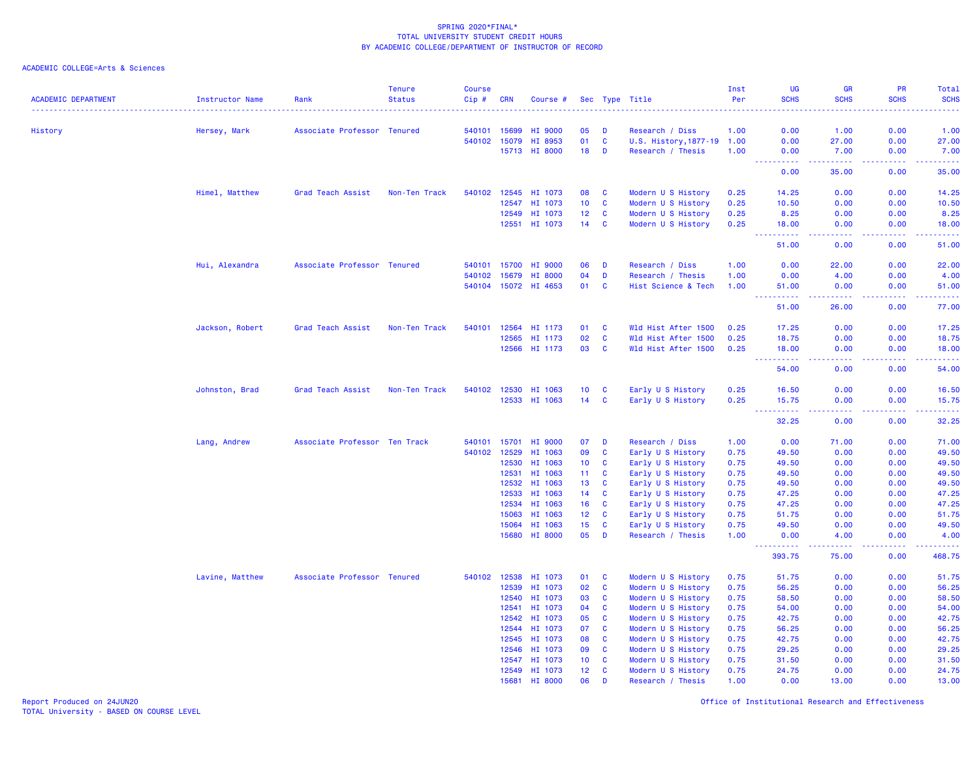ACADEMIC COLLEGE=Arts & Sciences

| <b>ACADEMIC DEPARTMENT</b> | <b>Instructor Name</b> | Rank                          | <b>Tenure</b><br><b>Status</b> | <b>Course</b><br>Cip# | <b>CRN</b>     | Course #                  |                 |               | Sec Type Title                         | Inst<br>Per  | UG<br><b>SCHS</b>   | <b>GR</b><br><b>SCHS</b> | PR<br><b>SCHS</b> | Total<br><b>SCHS</b> |
|----------------------------|------------------------|-------------------------------|--------------------------------|-----------------------|----------------|---------------------------|-----------------|---------------|----------------------------------------|--------------|---------------------|--------------------------|-------------------|----------------------|
|                            |                        |                               |                                |                       |                |                           |                 |               |                                        |              |                     |                          |                   |                      |
| History                    | Hersey, Mark           | Associate Professor Tenured   |                                | 540101                | 15699          | <b>HI 9000</b>            | 05              | D             | Research / Diss                        | 1.00         | 0.00                | 1.00                     | 0.00              | 1.00                 |
|                            |                        |                               |                                |                       | 540102 15079   | HI 8953                   | 01              | <b>C</b>      | U.S. History, 1877-19 1.00             |              | 0.00                | 27.00                    | 0.00              | 27.00                |
|                            |                        |                               |                                |                       | 15713          | <b>HI 8000</b>            | 18              | D             | Research / Thesis                      | 1.00         | 0.00<br><u>.</u>    | 7.00<br>.                | 0.00<br>2.2.2.2.1 | 7.00<br>2.2.2.2.2.4  |
|                            |                        |                               |                                |                       |                |                           |                 |               |                                        |              | 0.00                | 35.00                    | 0.00              | 35.00                |
|                            | Himel, Matthew         | Grad Teach Assist             | Non-Ten Track                  | 540102                | 12545          | HI 1073                   | 08              | C             | Modern U S History                     | 0.25         | 14.25               | 0.00                     | 0.00              | 14.25                |
|                            |                        |                               |                                |                       | 12547          | HI 1073                   | 10 <sub>1</sub> | C             | Modern U S History                     | 0.25         | 10.50               | 0.00                     | 0.00              | 10.50                |
|                            |                        |                               |                                |                       | 12549          | HI 1073                   | 12 <sub>2</sub> | <b>C</b>      | Modern U S History                     | 0.25         | 8.25                | 0.00                     | 0.00              | 8.25                 |
|                            |                        |                               |                                |                       | 12551          | HI 1073                   | 14              | C             | Modern U S History                     | 0.25         | 18.00<br><u>.</u>   | 0.00<br>المستما          | 0.00<br>المستملة  | 18.00<br>.           |
|                            |                        |                               |                                |                       |                |                           |                 |               |                                        |              | 51.00               | 0.00                     | 0.00              | 51.00                |
|                            | Hui, Alexandra         | Associate Professor Tenured   |                                | 540101                | 15700          | <b>HI 9000</b>            | 06              | D             | Research / Diss                        | 1.00         | 0.00                | 22.00                    | 0.00              | 22.00                |
|                            |                        |                               |                                | 540102                | 15679          | <b>HI 8000</b>            | 04              | D             | Research / Thesis                      | 1.00         | 0.00                | 4.00                     | 0.00              | 4.00                 |
|                            |                        |                               |                                |                       |                | 540104 15072 HI 4653      | 01              | C             | Hist Science & Tech                    | 1.00         | 51.00<br>.          | 0.00<br>-----            | 0.00<br>22222     | 51.00<br><b>.</b>    |
|                            |                        |                               |                                |                       |                |                           |                 |               |                                        |              | $  -$<br>51.00      | 26.00                    | 0.00              | 77.00                |
|                            | Jackson, Robert        | Grad Teach Assist             | Non-Ten Track                  | 540101                | 12564          | HI 1173                   | 01              | <b>C</b>      | Wld Hist After 1500                    | 0.25         | 17.25               | 0.00                     | 0.00              | 17.25                |
|                            |                        |                               |                                |                       | 12565          | HI 1173                   | 02              | <b>C</b>      | Wld Hist After 1500                    | 0.25         | 18.75               | 0.00                     | 0.00              | 18.75                |
|                            |                        |                               |                                |                       | 12566          | HI 1173                   | 03              | <b>C</b>      | Wld Hist After 1500                    | 0.25         | 18.00               | 0.00                     | 0.00              | 18.00                |
|                            |                        |                               |                                |                       |                |                           |                 |               |                                        |              | 22222<br>54.00      | د د د د<br>0.00          | 0.00              | 54.00                |
|                            | Johnston, Brad         | Grad Teach Assist             | Non-Ten Track                  |                       | 540102 12530   | HI 1063                   | 10 <sup>°</sup> | C             | Early U S History                      | 0.25         | 16.50               | 0.00                     | 0.00              | 16.50                |
|                            |                        |                               |                                |                       | 12533          | HI 1063                   | 14              | $\mathbf{C}$  | Early U S History                      | 0.25         | 15.75               | 0.00                     | 0.00              | 15.75                |
|                            |                        |                               |                                |                       |                |                           |                 |               |                                        |              | .<br>$  -$<br>32.25 | .<br>0.00                | <b></b><br>0.00   | .<br>32.25           |
|                            | Lang, Andrew           | Associate Professor Ten Track |                                | 540101                | 15701          | HI 9000                   | 07              | D             | Research / Diss                        | 1.00         | 0.00                | 71.00                    | 0.00              | 71.00                |
|                            |                        |                               |                                | 540102                | 12529          | HI 1063                   | 09              | C             | Early U S History                      | 0.75         | 49.50               | 0.00                     | 0.00              | 49.50                |
|                            |                        |                               |                                |                       | 12530          | HI 1063                   | 10 <sub>1</sub> | C             | Early U S History                      | 0.75         | 49.50               | 0.00                     | 0.00              | 49.50                |
|                            |                        |                               |                                |                       | 12531          | HI 1063                   | 11              | C             | Early U S History                      | 0.75         | 49.50               | 0.00                     | 0.00              | 49.50                |
|                            |                        |                               |                                |                       | 12532          | HI 1063                   | 13              | C             | Early U S History                      | 0.75         | 49.50               | 0.00                     | 0.00              | 49.50                |
|                            |                        |                               |                                |                       | 12533          | HI 1063                   | 14              | C             | Early U S History                      | 0.75         | 47.25               | 0.00                     | 0.00              | 47.25                |
|                            |                        |                               |                                |                       | 12534          | HI 1063                   | 16              | C             | Early U S History                      | 0.75         | 47.25               | 0.00                     | 0.00              | 47.25                |
|                            |                        |                               |                                |                       | 15063          | HI 1063                   | 12              | C             | Early U S History                      | 0.75         | 51.75               | 0.00                     | 0.00              | 51.75                |
|                            |                        |                               |                                |                       | 15064<br>15680 | HI 1063<br><b>HI 8000</b> | 15<br>05        | <b>C</b><br>D | Early U S History<br>Research / Thesis | 0.75<br>1.00 | 49.50<br>0.00       | 0.00<br>4.00             | 0.00<br>0.00      | 49.50<br>4.00        |
|                            |                        |                               |                                |                       |                |                           |                 |               |                                        |              | <u>.</u><br>393.75  | -----<br>75.00           | .<br>0.00         | <u>.</u><br>468.75   |
|                            | Lavine, Matthew        | Associate Professor Tenured   |                                |                       | 540102 12538   | HI 1073                   | 01              | C             | Modern U S History                     | 0.75         | 51.75               | 0.00                     | 0.00              | 51.75                |
|                            |                        |                               |                                |                       | 12539          | HI 1073                   | 02              | C             | Modern U S History                     | 0.75         | 56.25               | 0.00                     | 0.00              | 56.25                |
|                            |                        |                               |                                |                       | 12540          | HI 1073                   | 03              | C             | Modern U S History                     | 0.75         | 58.50               | 0.00                     | 0.00              | 58.50                |
|                            |                        |                               |                                |                       | 12541          | HI 1073                   | 04              | C             | Modern U S History                     | 0.75         | 54.00               | 0.00                     | 0.00              | 54.00                |
|                            |                        |                               |                                |                       | 12542          | HI 1073                   | 05              | C             | Modern U S History                     | 0.75         | 42.75               | 0.00                     | 0.00              | 42.75                |
|                            |                        |                               |                                |                       | 12544          | HI 1073                   | 07              | C             | Modern U S History                     | 0.75         | 56.25               | 0.00                     | 0.00              | 56.25                |
|                            |                        |                               |                                |                       | 12545          | HI 1073                   | 08              | C             | Modern U S History                     | 0.75         | 42.75               | 0.00                     | 0.00              | 42.75                |
|                            |                        |                               |                                |                       | 12546          | HI 1073                   | 09              | <b>C</b>      | Modern U S History                     | 0.75         | 29.25               | 0.00                     | 0.00              | 29.25                |
|                            |                        |                               |                                |                       | 12547          | HI 1073                   | 10              | C             | Modern U S History                     | 0.75         | 31.50               | 0.00                     | 0.00              | 31.50                |
|                            |                        |                               |                                |                       | 12549          | HI 1073                   | 12<br>06        | C<br>D        | Modern U S History                     | 0.75<br>1.00 | 24.75<br>0.00       | 0.00<br>13.00            | 0.00<br>0.00      | 24.75<br>13.00       |
|                            |                        |                               |                                |                       | 15681          | <b>HI 8000</b>            |                 |               | Research / Thesis                      |              |                     |                          |                   |                      |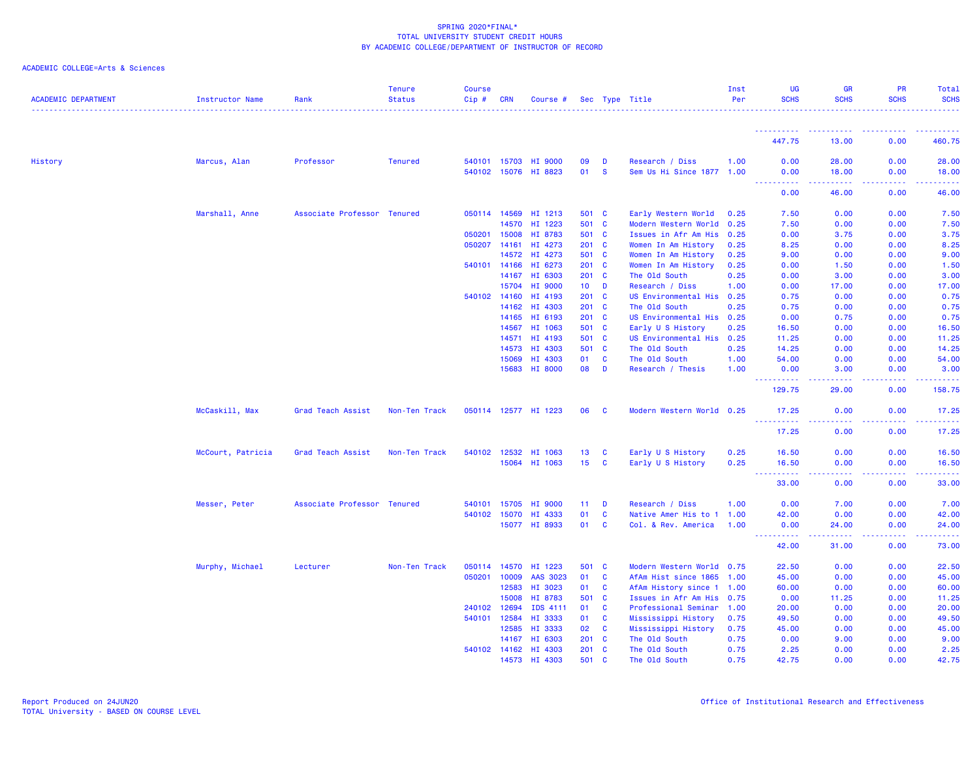| <b>ACADEMIC DEPARTMENT</b> | Instructor Name   | Rank                        | <b>Tenure</b><br><b>Status</b> | <b>Course</b><br>Cip# | CRN   | Course #             |                 |              | Sec Type Title            | Inst<br>Per | <b>UG</b><br><b>SCHS</b>                                                                                                                                                                                                                                                                   | <b>GR</b><br><b>SCHS</b> | <b>PR</b><br><b>SCHS</b> | Total<br><b>SCHS</b> |
|----------------------------|-------------------|-----------------------------|--------------------------------|-----------------------|-------|----------------------|-----------------|--------------|---------------------------|-------------|--------------------------------------------------------------------------------------------------------------------------------------------------------------------------------------------------------------------------------------------------------------------------------------------|--------------------------|--------------------------|----------------------|
|                            |                   |                             |                                |                       |       |                      |                 |              |                           |             | -----------                                                                                                                                                                                                                                                                                | . <b>.</b> .             | <b>.</b>                 | .                    |
|                            |                   |                             |                                |                       |       |                      |                 |              |                           |             | 447.75                                                                                                                                                                                                                                                                                     | 13.00                    | 0.00                     | 460.75               |
| History                    | Marcus, Alan      | Professor                   | <b>Tenured</b>                 | 540101 15703          |       | HI 9000              | 09              | D            | Research / Diss           | 1.00        | 0.00                                                                                                                                                                                                                                                                                       | 28.00                    | 0.00                     | 28.00                |
|                            |                   |                             |                                |                       |       | 540102 15076 HI 8823 | 01              | <b>S</b>     | Sem Us Hi Since 1877 1.00 |             | 0.00                                                                                                                                                                                                                                                                                       | 18.00                    | 0.00                     | 18.00                |
|                            |                   |                             |                                |                       |       |                      |                 |              |                           |             | <b>_________</b><br>0.00                                                                                                                                                                                                                                                                   | لالالالالا<br>46.00      | .<br>0.00                | .<br>46.00           |
|                            | Marshall, Anne    | Associate Professor Tenured |                                | 050114 14569          |       | HI 1213              | 501 C           |              | Early Western World       | 0.25        | 7.50                                                                                                                                                                                                                                                                                       | 0.00                     | 0.00                     | 7.50                 |
|                            |                   |                             |                                |                       | 14570 | HI 1223              | 501 C           |              | Modern Western World      | 0.25        | 7.50                                                                                                                                                                                                                                                                                       | 0.00                     | 0.00                     | 7.50                 |
|                            |                   |                             |                                | 050201                | 15008 | HI 8783              | 501             | <b>C</b>     | Issues in Afr Am His      | 0.25        | 0.00                                                                                                                                                                                                                                                                                       | 3.75                     | 0.00                     | 3.75                 |
|                            |                   |                             |                                | 050207                | 14161 | HI 4273              | 201 C           |              | Women In Am History       | 0.25        | 8.25                                                                                                                                                                                                                                                                                       | 0.00                     | 0.00                     | 8.25                 |
|                            |                   |                             |                                |                       |       | 14572 HI 4273        | 501             | <b>C</b>     | Women In Am History       | 0.25        | 9.00                                                                                                                                                                                                                                                                                       | 0.00                     | 0.00                     | 9.00                 |
|                            |                   |                             |                                | 540101 14166          |       | HI 6273              | 201             | <b>C</b>     | Women In Am History       | 0.25        | 0.00                                                                                                                                                                                                                                                                                       | 1.50                     | 0.00                     | 1.50                 |
|                            |                   |                             |                                |                       | 14167 | HI 6303              | 201 C           |              | The Old South             | 0.25        | 0.00                                                                                                                                                                                                                                                                                       | 3.00                     | 0.00                     | 3.00                 |
|                            |                   |                             |                                |                       | 15704 | HI 9000              | 10 <sub>1</sub> | D            | Research / Diss           | 1.00        | 0.00                                                                                                                                                                                                                                                                                       | 17.00                    | 0.00                     | 17.00                |
|                            |                   |                             |                                | 540102                | 14160 | HI 4193              | 201             | $\mathbf{C}$ | US Environmental His      | 0.25        | 0.75                                                                                                                                                                                                                                                                                       | 0.00                     | 0.00                     | 0.75                 |
|                            |                   |                             |                                |                       |       | 14162 HI 4303        | 201             | <b>C</b>     | The Old South             | 0.25        | 0.75                                                                                                                                                                                                                                                                                       | 0.00                     | 0.00                     | 0.75                 |
|                            |                   |                             |                                |                       | 14165 | HI 6193              | 201 C           |              | US Environmental His 0.25 |             | 0.00                                                                                                                                                                                                                                                                                       | 0.75                     | 0.00                     | 0.75                 |
|                            |                   |                             |                                |                       | 14567 | HI 1063              | 501             | C            | Early U S History         | 0.25        | 16.50                                                                                                                                                                                                                                                                                      | 0.00                     | 0.00                     | 16.50                |
|                            |                   |                             |                                |                       |       | 14571 HI 4193        | 501             | <b>C</b>     | US Environmental His 0.25 |             | 11.25                                                                                                                                                                                                                                                                                      | 0.00                     | 0.00                     | 11.25                |
|                            |                   |                             |                                |                       | 14573 | HI 4303              | 501 C           |              | The Old South             | 0.25        | 14.25                                                                                                                                                                                                                                                                                      | 0.00                     | 0.00                     | 14.25                |
|                            |                   |                             |                                |                       | 15069 | HI 4303              | 01              | C            | The Old South             | 1.00        | 54.00                                                                                                                                                                                                                                                                                      | 0.00                     | 0.00                     | 54.00                |
|                            |                   |                             |                                |                       |       | 15683 HI 8000        | 08              | D            | Research / Thesis         | 1.00        | 0.00<br><b>.</b>                                                                                                                                                                                                                                                                           | 3.00                     | 0.00                     | 3.00<br>.            |
|                            |                   |                             |                                |                       |       |                      |                 |              |                           |             | 129.75                                                                                                                                                                                                                                                                                     | 29.00                    | 0.00                     | 158.75               |
|                            | McCaskill, Max    | Grad Teach Assist           | Non-Ten Track                  |                       |       | 050114 12577 HI 1223 | 06              | <b>C</b>     | Modern Western World 0.25 |             | 17.25                                                                                                                                                                                                                                                                                      | 0.00                     | 0.00                     | 17.25                |
|                            |                   |                             |                                |                       |       |                      |                 |              |                           |             | <u> - - - - - - - - - -</u><br>17.25                                                                                                                                                                                                                                                       | .<br>0.00                | .<br>0.00                | .<br>17.25           |
|                            | McCourt, Patricia | Grad Teach Assist           | Non-Ten Track                  | 540102                |       | 12532 HI 1063        | 13              | C            | Early U S History         | 0.25        | 16.50                                                                                                                                                                                                                                                                                      | 0.00                     | 0.00                     | 16.50                |
|                            |                   |                             |                                |                       |       | 15064 HI 1063        | 15 <sub>1</sub> | C            | Early U S History         | 0.25        | 16.50                                                                                                                                                                                                                                                                                      | 0.00<br>.                | 0.00                     | 16.50                |
|                            |                   |                             |                                |                       |       |                      |                 |              |                           |             | $\frac{1}{2} \left( \frac{1}{2} \right) \left( \frac{1}{2} \right) \left( \frac{1}{2} \right)$<br>$\frac{1}{2} \left( \frac{1}{2} \right) \left( \frac{1}{2} \right) \left( \frac{1}{2} \right) \left( \frac{1}{2} \right) \left( \frac{1}{2} \right) \left( \frac{1}{2} \right)$<br>33.00 | 0.00                     | .<br>0.00                | .<br>33.00           |
|                            | Messer, Peter     | Associate Professor Tenured |                                | 540101 15705          |       | HI 9000              | 11              | D            | Research / Diss           | 1.00        | 0.00                                                                                                                                                                                                                                                                                       | 7.00                     | 0.00                     | 7.00                 |
|                            |                   |                             |                                | 540102                | 15070 | HI 4333              | 01              | $\mathbf c$  | Native Amer His to 1      | 1.00        | 42.00                                                                                                                                                                                                                                                                                      | 0.00                     | 0.00                     | 42.00                |
|                            |                   |                             |                                |                       |       | 15077 HI 8933        | 01              | $\mathbf{C}$ | Col. & Rev. America       | 1.00        | 0.00<br>.                                                                                                                                                                                                                                                                                  | 24.00<br>المستمرين       | 0.00<br>.                | 24.00<br>.           |
|                            |                   |                             |                                |                       |       |                      |                 |              |                           |             | 42.00                                                                                                                                                                                                                                                                                      | 31.00                    | 0.00                     | 73.00                |
|                            | Murphy, Michael   | Lecturer                    | Non-Ten Track                  |                       |       | 050114 14570 HI 1223 | 501 C           |              | Modern Western World 0.75 |             | 22.50                                                                                                                                                                                                                                                                                      | 0.00                     | 0.00                     | 22.50                |
|                            |                   |                             |                                | 050201                | 10009 | AAS 3023             | 01              | C            | AfAm Hist since 1865 1.00 |             | 45.00                                                                                                                                                                                                                                                                                      | 0.00                     | 0.00                     | 45.00                |
|                            |                   |                             |                                |                       | 12583 | HI 3023              | 01              | C            | AfAm History since 1 1.00 |             | 60.00                                                                                                                                                                                                                                                                                      | 0.00                     | 0.00                     | 60.00                |
|                            |                   |                             |                                |                       | 15008 | HI 8783              | 501             | <b>C</b>     | Issues in Afr Am His 0.75 |             | 0.00                                                                                                                                                                                                                                                                                       | 11.25                    | 0.00                     | 11.25                |
|                            |                   |                             |                                | 240102                | 12694 | IDS 4111             | 01              | C            | Professional Seminar      | 1.00        | 20.00                                                                                                                                                                                                                                                                                      | 0.00                     | 0.00                     | 20.00                |
|                            |                   |                             |                                | 540101 12584          |       | HI 3333              | 01              | C            | Mississippi History       | 0.75        | 49.50                                                                                                                                                                                                                                                                                      | 0.00                     | 0.00                     | 49.50                |
|                            |                   |                             |                                |                       | 12585 | HI 3333              | 02              | C            | Mississippi History       | 0.75        | 45.00                                                                                                                                                                                                                                                                                      | 0.00                     | 0.00                     | 45.00                |
|                            |                   |                             |                                |                       | 14167 | HI 6303              | 201             | C            | The Old South             | 0.75        | 0.00                                                                                                                                                                                                                                                                                       | 9.00                     | 0.00                     | 9.00                 |
|                            |                   |                             |                                |                       |       | 540102 14162 HI 4303 | 201             | C            | The Old South             | 0.75        | 2.25                                                                                                                                                                                                                                                                                       | 0.00                     | 0.00                     | 2.25                 |
|                            |                   |                             |                                |                       | 14573 | HT 4303              | 501             | $\mathbf{c}$ | The Old South             | 0.75        | 42.75                                                                                                                                                                                                                                                                                      | 0.00                     | 0.00                     | 42.75                |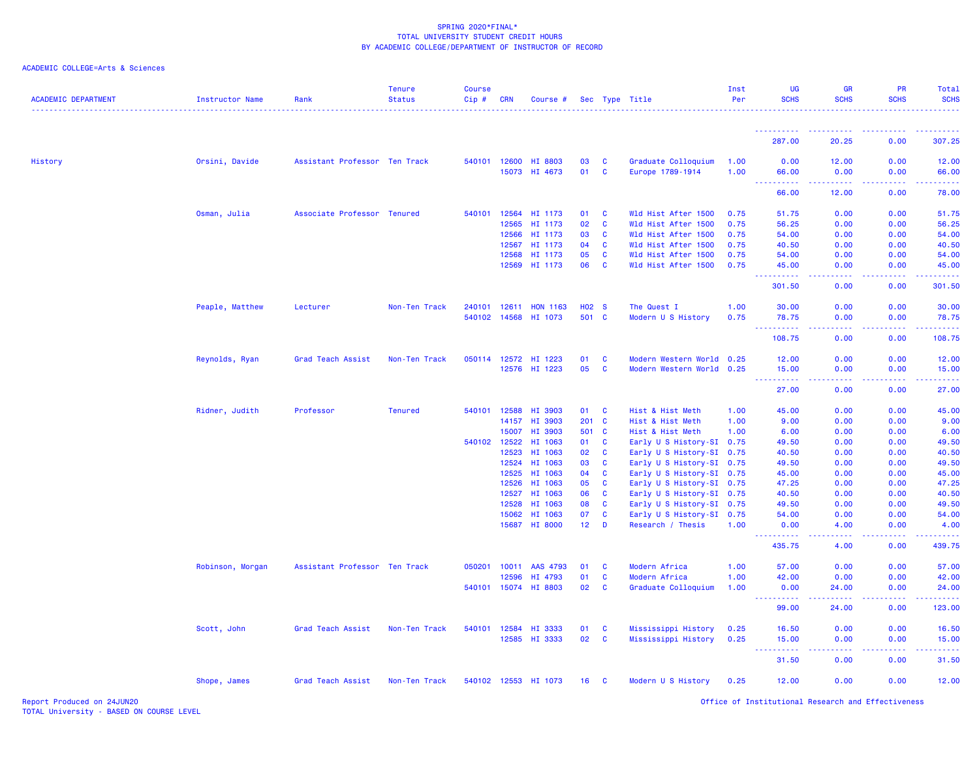| ACADEMIC COLLEGE=Arts & Sciences |  |
|----------------------------------|--|
|                                  |  |

| <b>ACADEMIC DEPARTMENT</b> | <b>Instructor Name</b> | Rank                          | <b>Tenure</b><br><b>Status</b> | <b>Course</b><br>Cip# | <b>CRN</b>   | Course #             |                 |              | Sec Type Title            | Inst<br>Per | <b>UG</b><br><b>SCHS</b>                                  | <b>GR</b><br><b>SCHS</b>                                                                                                                                      | <b>PR</b><br><b>SCHS</b>                                                                                                                                     | Total<br><b>SCHS</b>                            |
|----------------------------|------------------------|-------------------------------|--------------------------------|-----------------------|--------------|----------------------|-----------------|--------------|---------------------------|-------------|-----------------------------------------------------------|---------------------------------------------------------------------------------------------------------------------------------------------------------------|--------------------------------------------------------------------------------------------------------------------------------------------------------------|-------------------------------------------------|
|                            |                        |                               |                                |                       |              |                      |                 |              |                           |             | <b>.</b>                                                  |                                                                                                                                                               |                                                                                                                                                              |                                                 |
|                            |                        |                               |                                |                       |              |                      |                 |              |                           |             | 287.00                                                    | 20.25                                                                                                                                                         | 0.00                                                                                                                                                         | 307.25                                          |
| History                    | Orsini, Davide         | Assistant Professor Ten Track |                                |                       | 540101 12600 | HI 8803              | 03              | <b>C</b>     | Graduate Colloquium       | 1.00        | 0.00                                                      | 12.00                                                                                                                                                         | 0.00                                                                                                                                                         | 12.00                                           |
|                            |                        |                               |                                |                       | 15073        | HI 4673              | 01              | <b>C</b>     | Europe 1789-1914          | 1.00        | 66.00<br><b><i><u><u> - - - - - - - - - -</u></u></i></b> | 0.00<br>.                                                                                                                                                     | 0.00<br>$\frac{1}{2} \left( \frac{1}{2} \right) \left( \frac{1}{2} \right) \left( \frac{1}{2} \right) \left( \frac{1}{2} \right) \left( \frac{1}{2} \right)$ | 66.00<br><b><i><u><u> - - - - -</u></u></i></b> |
|                            |                        |                               |                                |                       |              |                      |                 |              |                           |             | 66.00                                                     | 12.00                                                                                                                                                         | 0.00                                                                                                                                                         | 78.00                                           |
|                            | Osman, Julia           | Associate Professor Tenured   |                                | 540101 12564          |              | HI 1173              | 01              | C            | Wld Hist After 1500       | 0.75        | 51.75                                                     | 0.00                                                                                                                                                          | 0.00                                                                                                                                                         | 51.75                                           |
|                            |                        |                               |                                |                       | 12565        | HI 1173              | 02              | <b>C</b>     | Wld Hist After 1500       | 0.75        | 56.25                                                     | 0.00                                                                                                                                                          | 0.00                                                                                                                                                         | 56.25                                           |
|                            |                        |                               |                                |                       | 12566        | HI 1173              | 03              | C            | Wld Hist After 1500       | 0.75        | 54.00                                                     | 0.00                                                                                                                                                          | 0.00                                                                                                                                                         | 54.00                                           |
|                            |                        |                               |                                |                       | 12567        | HI 1173              | 04              | <b>C</b>     | Wld Hist After 1500       | 0.75        | 40.50                                                     | 0.00                                                                                                                                                          | 0.00                                                                                                                                                         | 40.50                                           |
|                            |                        |                               |                                |                       | 12568        | HI 1173              | 05              | C            | Wld Hist After 1500       | 0.75        | 54.00                                                     | 0.00                                                                                                                                                          | 0.00                                                                                                                                                         | 54.00                                           |
|                            |                        |                               |                                |                       | 12569        | HI 1173              | 06              | C            | Wld Hist After 1500       | 0.75        | 45.00<br>د د د د د د                                      | 0.00<br>وبالاناد                                                                                                                                              | 0.00<br>-----                                                                                                                                                | 45.00<br>.                                      |
|                            |                        |                               |                                |                       |              |                      |                 |              |                           |             | 301.50                                                    | 0.00                                                                                                                                                          | 0.00                                                                                                                                                         | 301.50                                          |
|                            | Peaple, Matthew        | Lecturer                      | Non-Ten Track                  | 240101 12611          |              | <b>HON 1163</b>      | <b>HO2 S</b>    |              | The Quest I               | 1.00        | 30.00                                                     | 0.00                                                                                                                                                          | 0.00                                                                                                                                                         | 30.00                                           |
|                            |                        |                               |                                |                       | 540102 14568 | HI 1073              | 501 C           |              | Modern U S History        | 0.75        | 78.75<br><b>.</b>                                         | 0.00<br>.                                                                                                                                                     | 0.00<br>. <b>.</b>                                                                                                                                           | 78.75<br><b></b>                                |
|                            |                        |                               |                                |                       |              |                      |                 |              |                           |             | 108.75                                                    | 0.00                                                                                                                                                          | 0.00                                                                                                                                                         | 108.75                                          |
|                            | Reynolds, Ryan         | Grad Teach Assist             | Non-Ten Track                  |                       | 050114 12572 | HI 1223              | 01              | <b>C</b>     | Modern Western World      | 0.25        | 12.00                                                     | 0.00                                                                                                                                                          | 0.00                                                                                                                                                         | 12.00                                           |
|                            |                        |                               |                                |                       | 12576        | HI 1223              | 05              | $\mathbf{C}$ | Modern Western World 0.25 |             | 15.00                                                     | 0.00                                                                                                                                                          | 0.00                                                                                                                                                         | 15.00                                           |
|                            |                        |                               |                                |                       |              |                      |                 |              |                           |             | .<br>27.00                                                | .<br>0.00                                                                                                                                                     | .<br>0.00                                                                                                                                                    | .<br>27.00                                      |
|                            | Ridner, Judith         | Professor                     | <b>Tenured</b>                 | 540101                | 12588        | HI 3903              | 01              | <b>C</b>     | Hist & Hist Meth          | 1.00        | 45.00                                                     | 0.00                                                                                                                                                          | 0.00                                                                                                                                                         | 45.00                                           |
|                            |                        |                               |                                |                       | 14157        | HI 3903              | 201 C           |              | Hist & Hist Meth          | 1.00        | 9.00                                                      | 0.00                                                                                                                                                          | 0.00                                                                                                                                                         | 9.00                                            |
|                            |                        |                               |                                |                       | 15007        | HI 3903              | 501             | $\mathbf{C}$ | Hist & Hist Meth          | 1.00        | 6.00                                                      | 0.00                                                                                                                                                          | 0.00                                                                                                                                                         | 6.00                                            |
|                            |                        |                               |                                | 540102 12522          |              | HI 1063              | 01              | C            | Early U S History-SI 0.75 |             | 49.50                                                     | 0.00                                                                                                                                                          | 0.00                                                                                                                                                         | 49.50                                           |
|                            |                        |                               |                                |                       | 12523        | HI 1063              | 02              | C            | Early U S History-SI 0.75 |             | 40.50                                                     | 0.00                                                                                                                                                          | 0.00                                                                                                                                                         | 40.50                                           |
|                            |                        |                               |                                |                       | 12524        | HI 1063              | 03              | C            | Early U S History-SI 0.75 |             | 49.50                                                     | 0.00                                                                                                                                                          | 0.00                                                                                                                                                         | 49.50                                           |
|                            |                        |                               |                                |                       | 12525        | HI 1063              | 04              | <b>C</b>     | Early U S History-SI 0.75 |             | 45.00                                                     | 0.00                                                                                                                                                          | 0.00                                                                                                                                                         | 45.00                                           |
|                            |                        |                               |                                |                       | 12526        | HI 1063              | 05              | C            | Early U S History-SI 0.75 |             | 47.25                                                     | 0.00                                                                                                                                                          | 0.00                                                                                                                                                         | 47.25                                           |
|                            |                        |                               |                                |                       | 12527        | HI 1063              | 06              | C            | Early U S History-SI 0.75 |             | 40.50                                                     | 0.00                                                                                                                                                          | 0.00                                                                                                                                                         | 40.50                                           |
|                            |                        |                               |                                |                       | 12528        | HI 1063              | 08              | <b>C</b>     | Early U S History-SI 0.75 |             | 49.50                                                     | 0.00                                                                                                                                                          | 0.00                                                                                                                                                         | 49.50                                           |
|                            |                        |                               |                                |                       | 15062        | HI 1063              | 07              | <b>C</b>     | Early U S History-SI 0.75 |             | 54.00                                                     | 0.00                                                                                                                                                          | 0.00                                                                                                                                                         | 54.00                                           |
|                            |                        |                               |                                |                       | 15687        | HI 8000              | $12$ D          |              | Research / Thesis         | 1.00        | 0.00<br><u>.</u>                                          | 4.00                                                                                                                                                          | 0.00<br>.                                                                                                                                                    | 4.00<br>.                                       |
|                            |                        |                               |                                |                       |              |                      |                 |              |                           |             | 435.75                                                    | 4.00                                                                                                                                                          | 0.00                                                                                                                                                         | 439.75                                          |
|                            | Robinson, Morgan       | Assistant Professor Ten Track |                                | 050201                | 10011        | AAS 4793             | 01              | C            | Modern Africa             | 1.00        | 57.00                                                     | 0.00                                                                                                                                                          | 0.00                                                                                                                                                         | 57.00                                           |
|                            |                        |                               |                                |                       | 12596        | HI 4793              | 01              | C            | Modern Africa             | 1.00        | 42.00                                                     | 0.00                                                                                                                                                          | 0.00                                                                                                                                                         | 42.00                                           |
|                            |                        |                               |                                | 540101                | 15074        | HI 8803              | 02              | C            | Graduate Colloquium       | 1.00        | 0.00<br><b><i><u><u> - - - - - - - - - -</u></u></i></b>  | 24.00<br>$\frac{1}{2} \left( \frac{1}{2} \right) \left( \frac{1}{2} \right) \left( \frac{1}{2} \right) \left( \frac{1}{2} \right) \left( \frac{1}{2} \right)$ | 0.00<br>22222                                                                                                                                                | 24.00<br>2.2.2.2.2.2                            |
|                            |                        |                               |                                |                       |              |                      |                 |              |                           |             | 99.00                                                     | 24.00                                                                                                                                                         | 0.00                                                                                                                                                         | 123.00                                          |
|                            | Scott, John            | Grad Teach Assist             | Non-Ten Track                  | 540101                | 12584        | HI 3333              | 01              | C            | Mississippi History       | 0.25        | 16.50                                                     | 0.00                                                                                                                                                          | 0.00                                                                                                                                                         | 16.50                                           |
|                            |                        |                               |                                |                       | 12585        | HI 3333              | 02              | <b>C</b>     | Mississippi History       | 0.25        | 15.00<br>.                                                | 0.00                                                                                                                                                          | 0.00                                                                                                                                                         | 15.00                                           |
|                            |                        |                               |                                |                       |              |                      |                 |              |                           |             | 31.50                                                     | 0.00                                                                                                                                                          | 0.00                                                                                                                                                         | 31.50                                           |
|                            | Shope, James           | Grad Teach Assist             | Non-Ten Track                  |                       |              | 540102 12553 HI 1073 | 16 <sub>c</sub> |              | Modern U S History        | 0.25        | 12.00                                                     | 0.00                                                                                                                                                          | 0.00                                                                                                                                                         | 12.00                                           |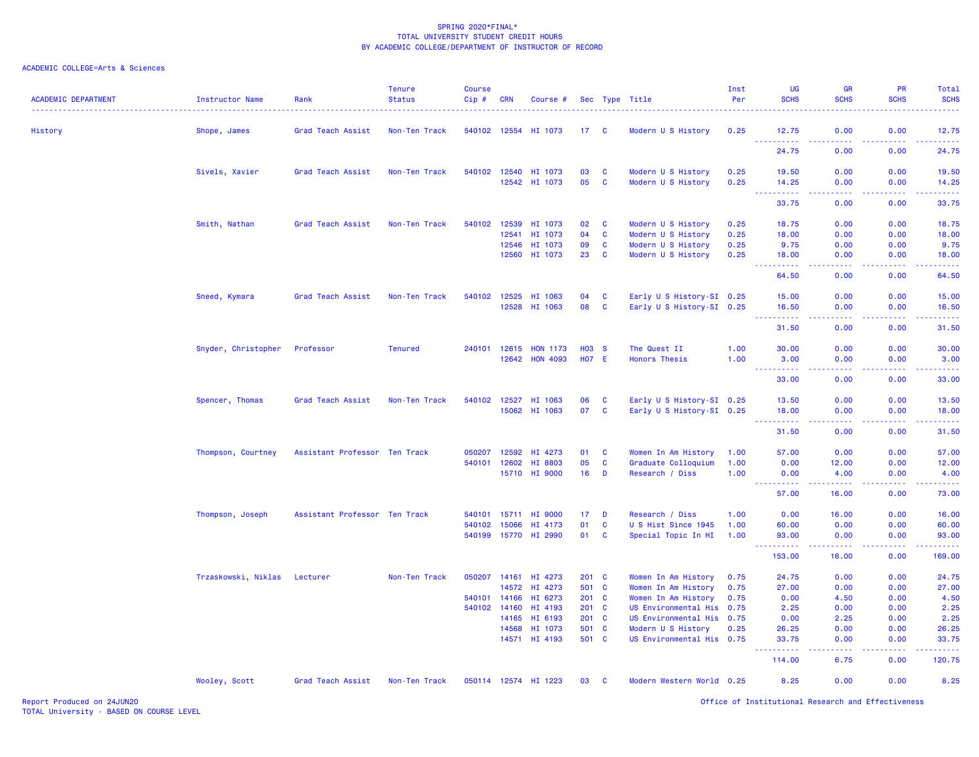## ACADEMIC COLLEGE=Arts & Sciences

| <b>ACADEMIC DEPARTMENT</b>             | Instructor Name     | Rank                          | <b>Tenure</b><br><b>Status</b> | <b>Course</b><br>Cip# | <b>CRN</b>   | Course #                              |               |                      | Sec Type Title                                         | Inst<br>Per | UG<br><b>SCHS</b>                | <b>GR</b><br><b>SCHS</b> | PR<br><b>SCHS</b>                                                                                                                                            | Total<br><b>SCHS</b> |
|----------------------------------------|---------------------|-------------------------------|--------------------------------|-----------------------|--------------|---------------------------------------|---------------|----------------------|--------------------------------------------------------|-------------|----------------------------------|--------------------------|--------------------------------------------------------------------------------------------------------------------------------------------------------------|----------------------|
| History                                | Shope, James        | Grad Teach Assist             | Non-Ten Track                  |                       |              | 540102 12554 HI 1073                  | 17 C          |                      | Modern U S History                                     | 0.25        | 12.75                            | 0.00                     | 0.00                                                                                                                                                         | 12.75                |
|                                        |                     |                               |                                |                       |              |                                       |               |                      |                                                        |             | .<br>24.75                       | 22222<br>0.00            | .<br>0.00                                                                                                                                                    | المتمامية<br>24.75   |
|                                        | Sivels, Xavier      | Grad Teach Assist             | Non-Ten Track                  |                       |              | 540102 12540 HI 1073                  | 03            | C                    | Modern U S History                                     | 0.25        | 19.50                            | 0.00                     | 0.00                                                                                                                                                         | 19.50                |
|                                        |                     |                               |                                |                       |              | 12542 HI 1073                         | 05            | <b>C</b>             | Modern U S History                                     | 0.25        | 14.25<br><b></b>                 | 0.00<br>.                | 0.00<br>. <b>.</b>                                                                                                                                           | 14.25<br>.           |
|                                        |                     |                               |                                |                       |              |                                       |               |                      |                                                        |             | 33.75                            | 0.00                     | 0.00                                                                                                                                                         | 33.75                |
|                                        | Smith, Nathan       | Grad Teach Assist             | Non-Ten Track                  |                       | 540102 12539 | HI 1073                               | 02            | <b>C</b>             | Modern U S History                                     | 0.25        | 18.75                            | 0.00                     | 0.00                                                                                                                                                         | 18.75                |
|                                        |                     |                               |                                |                       | 12541        | HI 1073                               | 04            | $\mathbf{C}$         | Modern U S History                                     | 0.25        | 18.00                            | 0.00                     | 0.00                                                                                                                                                         | 18.00                |
|                                        |                     |                               |                                |                       | 12546        | HI 1073                               | 09            | $\mathbf{C}$         | Modern U S History                                     | 0.25        | 9.75                             | 0.00                     | 0.00                                                                                                                                                         | 9.75                 |
|                                        |                     |                               |                                |                       |              | 12560 HI 1073                         | 23            | $\mathbf{C}$         | Modern U S History                                     | 0.25        | 18.00<br>.                       | 0.00<br>ولايات           | 0.00                                                                                                                                                         | 18.00                |
|                                        |                     |                               |                                |                       |              |                                       |               |                      |                                                        |             | 64.50                            | 0.00                     | 0.00                                                                                                                                                         | 64.50                |
|                                        | Sneed, Kymara       | <b>Grad Teach Assist</b>      | Non-Ten Track                  |                       | 540102 12525 | HI 1063                               | 04            | $\mathbf{C}$         | Early U S History-SI 0.25                              |             | 15.00                            | 0.00                     | 0.00                                                                                                                                                         | 15.00                |
|                                        |                     |                               |                                |                       | 12528        | HI 1063                               | 08            | $\mathbf{C}$         | Early U S History-SI 0.25                              |             | 16.50                            | 0.00                     | 0.00                                                                                                                                                         | 16.50                |
| Snyder, Christopher<br>Spencer, Thomas |                     |                               |                                |                       |              |                                       |               |                      |                                                        |             | <u>.</u><br>31.50                | الداعات عاما<br>0.00     | 22222<br>0.00                                                                                                                                                | .<br>31.50           |
|                                        |                     | Professor                     | <b>Tenured</b>                 | 240101                | 12615        | <b>HON 1173</b>                       | <b>HO3 S</b>  |                      | The Quest II                                           | 1.00        | 30.00                            | 0.00                     | 0.00                                                                                                                                                         | 30.00                |
|                                        |                     |                               |                                |                       | 12642        | <b>HON 4093</b>                       | <b>HO7 E</b>  |                      | <b>Honors Thesis</b>                                   | 1.00        | 3.00                             | 0.00                     | 0.00                                                                                                                                                         | 3.00                 |
|                                        |                     |                               |                                |                       |              |                                       |               |                      |                                                        | .<br>33,00  | 22222<br>0.00                    | . <b>.</b><br>0.00       | .<br>33.00                                                                                                                                                   |                      |
|                                        |                     |                               |                                |                       |              |                                       |               |                      |                                                        |             |                                  |                          |                                                                                                                                                              |                      |
|                                        |                     | Grad Teach Assist             | Non-Ten Track                  |                       |              | 540102 12527 HI 1063<br>15062 HI 1063 | 06<br>07      | <b>C</b><br><b>C</b> | Early U S History-SI 0.25<br>Early U S History-SI 0.25 |             | 13.50<br>18.00                   | 0.00<br>0.00             | 0.00<br>0.00                                                                                                                                                 | 13.50<br>18.00       |
|                                        |                     |                               |                                |                       |              |                                       |               |                      |                                                        |             | <u> - - - - - - - - - -</u>      | .                        | <b></b>                                                                                                                                                      | <u>.</u>             |
|                                        |                     |                               |                                |                       |              |                                       |               |                      |                                                        |             | 31.50                            | 0.00                     | 0.00                                                                                                                                                         | 31.50                |
|                                        | Thompson, Courtney  | Assistant Professor Ten Track |                                | 050207                | 12592        | HI 4273                               | 01            | <b>C</b>             | Women In Am History                                    | 1.00        | 57.00                            | 0.00                     | 0.00                                                                                                                                                         | 57.00                |
|                                        |                     |                               |                                | 540101                | 12602        | HI 8803                               | 05            | $\mathbf{C}$         | Graduate Colloquium                                    | 1.00        | 0.00                             | 12.00                    | 0.00                                                                                                                                                         | 12.00                |
|                                        |                     |                               |                                |                       |              | 15710 HI 9000                         | 16            | $\mathbf{D}$         | Research / Diss                                        | 1.00        | 0.00<br>.                        | 4.00<br>22222            | 0.00                                                                                                                                                         | 4.00<br>.            |
|                                        |                     |                               |                                |                       |              |                                       |               |                      |                                                        |             | 57.00                            | 16.00                    | 0.00                                                                                                                                                         | 73.00                |
|                                        | Thompson, Joseph    | Assistant Professor Ten Track |                                |                       | 540101 15711 | HI 9000                               | 17            | D                    | Research / Diss                                        | 1.00        | 0.00                             | 16.00                    | 0.00                                                                                                                                                         | 16.00                |
|                                        |                     |                               |                                | 540102                | 15066        | HI 4173                               | 01            | $\mathbf{C}$         | U S Hist Since 1945                                    | 1.00        | 60.00                            | 0.00                     | 0.00                                                                                                                                                         | 60.00                |
|                                        |                     |                               |                                |                       | 540199 15770 | HI 2990                               | 01            | C                    | Special Topic In HI                                    | 1.00        | 93.00<br>. <u>.</u> .<br>$- - -$ | 0.00<br>الداعات عامان    | 0.00<br><b><i><u><u> - - - - -</u></u></i></b>                                                                                                               | 93.00<br><u>.</u>    |
|                                        |                     |                               |                                |                       |              |                                       |               |                      |                                                        |             | 153.00                           | 16.00                    | 0.00                                                                                                                                                         | 169.00               |
|                                        | Trzaskowski, Niklas | Lecturer                      | Non-Ten Track                  | 050207                |              | 14161 HI 4273                         | $201 \quad C$ |                      | Women In Am History                                    | 0.75        | 24.75                            | 0.00                     | 0.00                                                                                                                                                         | 24.75                |
|                                        |                     |                               |                                |                       | 14572        | HI 4273                               | 501 C         |                      | Women In Am History                                    | 0.75        | 27.00                            | 0.00                     | 0.00                                                                                                                                                         | 27.00                |
|                                        |                     |                               |                                |                       | 540101 14166 | HI 6273                               | $201 \quad C$ |                      | Women In Am History                                    | 0.75        | 0.00                             | 4.50                     | 0.00                                                                                                                                                         | 4.50                 |
|                                        |                     |                               |                                |                       | 540102 14160 | HI 4193                               | $201 \quad C$ |                      | US Environmental His 0.75                              |             | 2.25                             | 0.00                     | 0.00                                                                                                                                                         | 2.25                 |
|                                        |                     |                               |                                |                       | 14165        | HI 6193                               | $201 \quad C$ |                      | US Environmental His 0.75                              |             | 0.00                             | 2.25                     | 0.00                                                                                                                                                         | 2.25                 |
|                                        |                     |                               |                                |                       | 14568        | HI 1073                               | 501 C         |                      | Modern U S History                                     | 0.25        | 26.25                            | 0.00                     | 0.00                                                                                                                                                         | 26.25                |
|                                        |                     |                               |                                |                       |              | 14571 HI 4193                         | 501 C         |                      | US Environmental His 0.75                              |             | 33.75<br>.                       | 0.00<br>.                | 0.00<br>$\frac{1}{2} \left( \frac{1}{2} \right) \left( \frac{1}{2} \right) \left( \frac{1}{2} \right) \left( \frac{1}{2} \right) \left( \frac{1}{2} \right)$ | 33.75<br>.           |
|                                        |                     |                               |                                |                       |              |                                       |               |                      |                                                        |             | 114.00                           | 6.75                     | 0.00                                                                                                                                                         | 120.75               |
|                                        | Wooley, Scott       | Grad Teach Assist             | Non-Ten Track                  |                       |              | 050114 12574 HI 1223                  | 03 C          |                      | Modern Western World 0.25                              |             | 8.25                             | 0.00                     | 0.00                                                                                                                                                         | 8.25                 |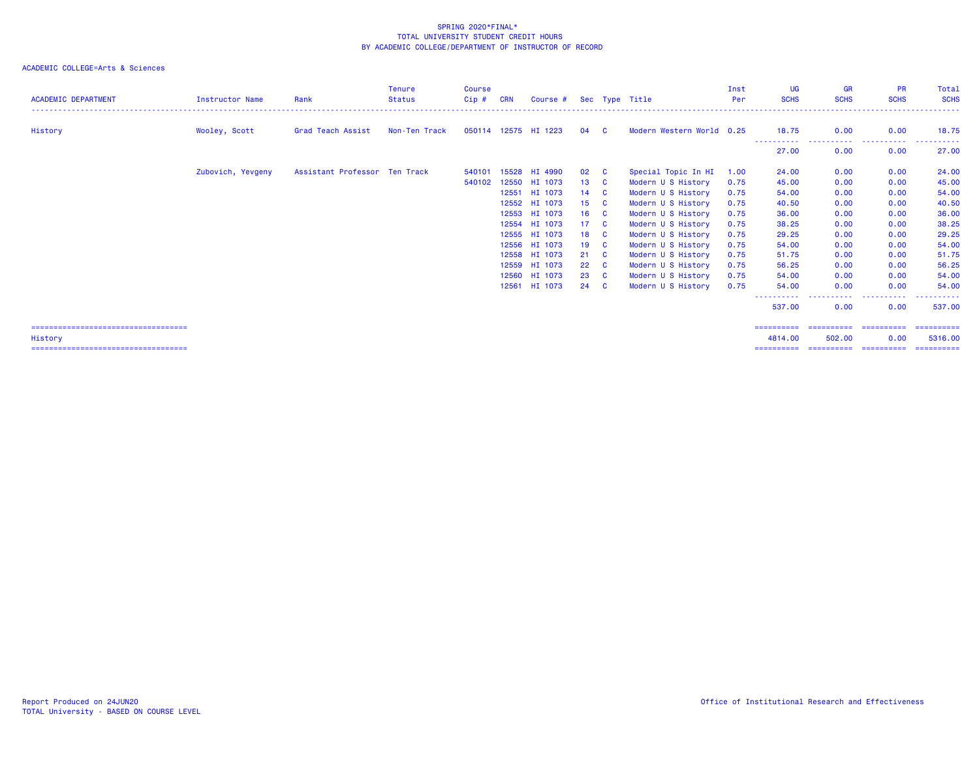| <b>ACADEMIC DEPARTMENT</b>             | <b>Instructor Name</b> | Rank                          | <b>Tenure</b><br><b>Status</b> | <b>Course</b><br>Cip# | <b>CRN</b> | Course #             |                 |              | Sec Type Title            | Inst<br>Per | UG<br><b>SCHS</b>    | <b>GR</b><br><b>SCHS</b> | <b>PR</b><br><b>SCHS</b> | Total<br><b>SCHS</b> |
|----------------------------------------|------------------------|-------------------------------|--------------------------------|-----------------------|------------|----------------------|-----------------|--------------|---------------------------|-------------|----------------------|--------------------------|--------------------------|----------------------|
| History                                | Wooley, Scott          | Grad Teach Assist             | Non-Ten Track                  |                       |            | 050114 12575 HI 1223 | 04              | - C          | Modern Western World 0.25 |             | 18.75                | 0.00                     | 0.00                     | 18.75                |
|                                        |                        |                               |                                |                       |            |                      |                 |              |                           |             | -----------<br>27,00 | -----------<br>0.00      | ----------<br>0.00       | 27.00                |
|                                        | Zubovich, Yevgeny      | Assistant Professor Ten Track |                                | 540101                | 15528      | HI 4990              | 02              | <b>C</b>     | Special Topic In HI       | 1.00        | 24.00                | 0.00                     | 0.00                     | 24.00                |
|                                        |                        |                               |                                | 540102                | 12550      | HI 1073              | 13              | <b>C</b>     | Modern U S History        | 0.75        | 45.00                | 0.00                     | 0.00                     | 45.00                |
|                                        |                        |                               |                                |                       | 12551      | HI 1073              | 14              | $\mathbf{c}$ | Modern U S History        | 0.75        | 54.00                | 0.00                     | 0.00                     | 54.00                |
|                                        |                        |                               |                                |                       | 12552      | HI 1073              | 15              | <b>C</b>     | Modern U S History        | 0.75        | 40.50                | 0.00                     | 0.00                     | 40.50                |
|                                        |                        |                               |                                |                       |            | 12553 HI 1073        | 16              | <b>C</b>     | Modern U S History        | 0.75        | 36.00                | 0.00                     | 0.00                     | 36.00                |
|                                        |                        |                               |                                |                       |            | 12554 HI 1073        | 17 <sup>2</sup> | $\mathbf{C}$ | Modern U S History        | 0.75        | 38.25                | 0.00                     | 0.00                     | 38.25                |
|                                        |                        |                               |                                |                       |            | 12555 HI 1073        | 18              | $\mathbf{C}$ | Modern U S History        | 0.75        | 29.25                | 0.00                     | 0.00                     | 29.25                |
|                                        |                        |                               |                                |                       |            | 12556 HI 1073        | 19              | $\mathbf{C}$ | Modern U S History        | 0.75        | 54.00                | 0.00                     | 0.00                     | 54.00                |
|                                        |                        |                               |                                |                       |            | 12558 HI 1073        | 21              | <b>C</b>     | Modern U S History        | 0.75        | 51.75                | 0.00                     | 0.00                     | 51.75                |
|                                        |                        |                               |                                |                       |            | 12559 HI 1073        | 22              | <b>C</b>     | Modern U S History        | 0.75        | 56.25                | 0.00                     | 0.00                     | 56.25                |
|                                        |                        |                               |                                |                       | 12560      | HI 1073              | 23              | <b>C</b>     | Modern U S History        | 0.75        | 54.00                | 0.00                     | 0.00                     | 54.00                |
|                                        |                        |                               |                                |                       | 12561      | HI 1073              | 24              | <b>C</b>     | Modern U S History        | 0.75        | 54.00                | 0.00                     | 0.00                     | 54,00                |
|                                        |                        |                               |                                |                       |            |                      |                 |              |                           |             | 537.00               | ----<br>0.00             | . <b>.</b><br>0.00       | 537.00               |
| ====================================== |                        |                               |                                |                       |            |                      |                 |              |                           |             | ==========           | ==========               | ==========               | ==========           |
| History                                |                        |                               |                                |                       |            |                      |                 |              |                           |             | 4814.00              | 502,00                   | 0.00                     | 5316,00              |
| ====================================== |                        |                               |                                |                       |            |                      |                 |              |                           |             |                      |                          |                          |                      |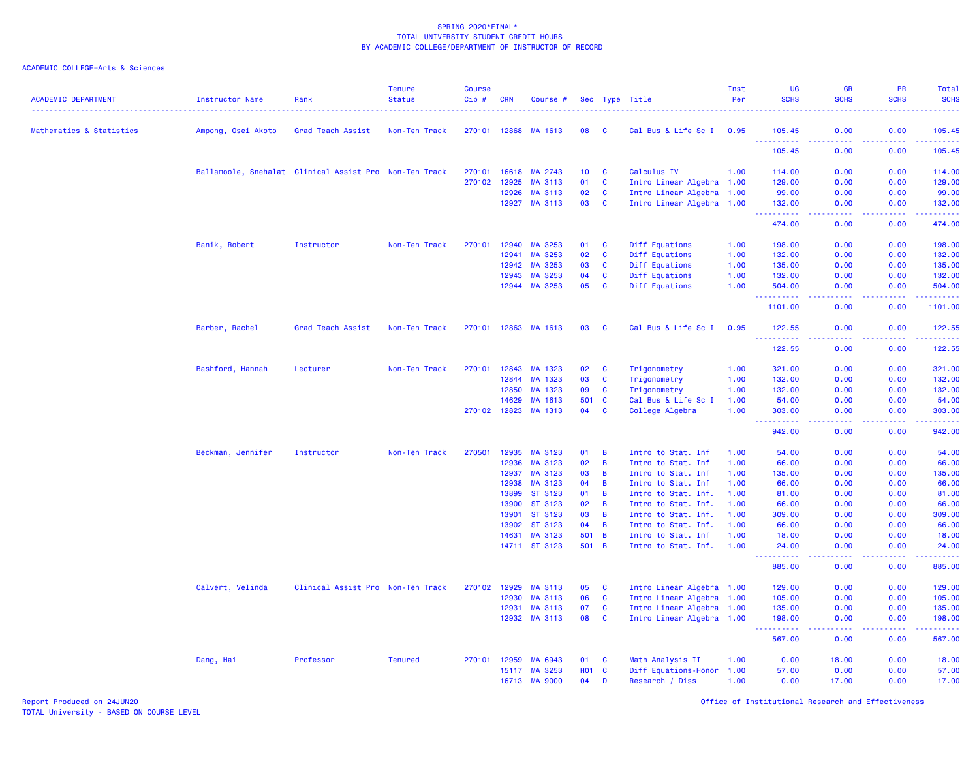| <b>ACADEMIC DEPARTMENT</b> | <b>Instructor Name</b>                                 | Rank                              | <b>Tenure</b><br><b>Status</b> | <b>Course</b><br>Cip# | <b>CRN</b>     | Course #           |                 |                | Sec Type Title                             | Inst<br>Per  | <b>UG</b><br><b>SCHS</b>              | <b>GR</b><br><b>SCHS</b>                                                                                                          | <b>PR</b><br><b>SCHS</b> | Total<br><b>SCHS</b><br><u>.</u>                                                                                      |
|----------------------------|--------------------------------------------------------|-----------------------------------|--------------------------------|-----------------------|----------------|--------------------|-----------------|----------------|--------------------------------------------|--------------|---------------------------------------|-----------------------------------------------------------------------------------------------------------------------------------|--------------------------|-----------------------------------------------------------------------------------------------------------------------|
| Mathematics & Statistics   | Ampong, Osei Akoto                                     | Grad Teach Assist                 | Non-Ten Track                  | 270101 12868          |                | MA 1613            | 08              | - C            | Cal Bus & Life Sc I 0.95                   |              | 105.45                                | 0.00                                                                                                                              | 0.00                     | 105.45                                                                                                                |
|                            |                                                        |                                   |                                |                       |                |                    |                 |                |                                            |              | . <b>.</b><br>105.45                  | 0.00                                                                                                                              | 0.00                     | وعاعاته عاجات<br>105.45                                                                                               |
|                            | Ballamoole, Snehalat Clinical Assist Pro Non-Ten Track |                                   |                                | 270101                | 16618          | MA 2743            | 10 <sub>1</sub> | C              | Calculus IV                                | 1.00         | 114.00                                | 0.00                                                                                                                              | 0.00                     | 114.00                                                                                                                |
|                            |                                                        |                                   |                                | 270102                | 12925          | MA 3113            | 01              | $\mathbf{C}$   | Intro Linear Algebra 1.00                  |              | 129.00                                | 0.00                                                                                                                              | 0.00                     | 129.00                                                                                                                |
|                            |                                                        |                                   |                                |                       | 12926          | MA 3113            | 02              | $\mathbf{C}$   | Intro Linear Algebra 1.00                  |              | 99.00                                 | 0.00                                                                                                                              | 0.00                     | 99.00                                                                                                                 |
|                            |                                                        |                                   |                                |                       | 12927          | MA 3113            | 03              | $\mathbf{C}$   | Intro Linear Algebra 1.00                  |              | 132.00<br>.                           | 0.00                                                                                                                              | 0.00                     | 132.00<br>وساعاه سأساط                                                                                                |
|                            |                                                        |                                   |                                |                       |                |                    |                 |                |                                            |              | 474.00                                | 0.00                                                                                                                              | 0.00                     | 474.00                                                                                                                |
|                            | Banik, Robert                                          | Instructor                        | Non-Ten Track                  | 270101                | 12940          | MA 3253            | 01              | C              | Diff Equations                             | 1.00         | 198.00                                | 0.00                                                                                                                              | 0.00                     | 198.00                                                                                                                |
|                            |                                                        |                                   |                                |                       | 12941          | MA 3253            | 02              | C              | Diff Equations                             | 1.00         | 132.00                                | 0.00                                                                                                                              | 0.00                     | 132.00                                                                                                                |
|                            |                                                        |                                   |                                |                       | 12942          | MA 3253            | 03              | $\mathbf{C}$   | Diff Equations                             | 1.00         | 135.00                                | 0.00                                                                                                                              | 0.00                     | 135.00                                                                                                                |
|                            |                                                        |                                   |                                |                       | 12943          | MA 3253            | 04              | $\mathbf{C}$   | Diff Equations                             | 1.00         | 132.00                                | 0.00                                                                                                                              | 0.00                     | 132.00                                                                                                                |
|                            |                                                        |                                   |                                |                       | 12944          | MA 3253            | 05              | C              | Diff Equations                             | 1.00         | 504.00<br><u> - - - - - - - - - -</u> | 0.00<br>$\frac{1}{2} \left( \frac{1}{2} \right) \left( \frac{1}{2} \right) \left( \frac{1}{2} \right) \left( \frac{1}{2} \right)$ | 0.00<br>.                | 504.00<br>.                                                                                                           |
|                            |                                                        |                                   |                                |                       |                |                    |                 |                |                                            |              | 1101.00                               | 0.00                                                                                                                              | 0.00                     | 1101.00                                                                                                               |
|                            | Barber, Rachel                                         | Grad Teach Assist                 | Non-Ten Track                  | 270101 12863          |                | MA 1613            | 03              | <b>C</b>       | Cal Bus & Life Sc I                        | 0.95         | 122.55<br>----------                  | 0.00<br>.                                                                                                                         | 0.00<br><u>.</u>         | 122.55<br>.                                                                                                           |
|                            |                                                        |                                   |                                |                       |                |                    |                 |                |                                            |              | 122.55                                | 0.00                                                                                                                              | 0.00                     | 122.55                                                                                                                |
|                            | Bashford, Hannah                                       | Lecturer                          | Non-Ten Track                  | 270101                | 12843          | MA 1323            | 02              | C              | Trigonometry                               | 1.00         | 321.00                                | 0.00                                                                                                                              | 0.00                     | 321.00                                                                                                                |
|                            |                                                        |                                   |                                |                       | 12844          | MA 1323            | 03              | $\mathbf{C}$   | Trigonometry                               | 1.00         | 132.00                                | 0.00                                                                                                                              | 0.00                     | 132.00                                                                                                                |
|                            |                                                        |                                   |                                |                       | 12850          | MA 1323            | 09              | $\mathbf c$    | Trigonometry                               | 1.00         | 132.00                                | 0.00                                                                                                                              | 0.00                     | 132.00                                                                                                                |
|                            |                                                        |                                   |                                |                       | 14629          | MA 1613            | 501             | C              | Cal Bus & Life Sc I                        | 1.00         | 54.00                                 | 0.00                                                                                                                              | 0.00                     | 54.00                                                                                                                 |
|                            |                                                        |                                   |                                | 270102 12823          |                | MA 1313            | 04              | C              | College Algebra                            | 1.00         | 303.00<br>.<br>$\sim 100$             | 0.00<br>$\sim$ $\sim$ $\sim$ $\sim$                                                                                               | 0.00<br>.                | 303.00<br><u>.</u>                                                                                                    |
|                            |                                                        |                                   |                                |                       |                |                    |                 |                |                                            |              | 942.00                                | 0.00                                                                                                                              | 0.00                     | 942.00                                                                                                                |
|                            | Beckman, Jennifer                                      | Instructor                        | Non-Ten Track                  | 270501                | 12935          | MA 3123            | 01              | B              | Intro to Stat. Inf                         | 1.00         | 54.00                                 | 0.00                                                                                                                              | 0.00                     | 54.00                                                                                                                 |
|                            |                                                        |                                   |                                |                       | 12936          | MA 3123            | 02              | B              | Intro to Stat. Inf                         | 1.00         | 66.00                                 | 0.00                                                                                                                              | 0.00                     | 66.00                                                                                                                 |
|                            |                                                        |                                   |                                |                       | 12937          | MA 3123            | 03              | B              | Intro to Stat. Inf                         | 1.00         | 135.00                                | 0.00                                                                                                                              | 0.00                     | 135.00                                                                                                                |
|                            |                                                        |                                   |                                |                       | 12938          | MA 3123            | 04              | B              | Intro to Stat. Inf                         | 1.00         | 66.00                                 | 0.00                                                                                                                              | 0.00                     | 66.00                                                                                                                 |
|                            |                                                        |                                   |                                |                       | 13899          | ST 3123            | 01              | B              | Intro to Stat. Inf.                        | 1.00         | 81.00                                 | 0.00                                                                                                                              | 0.00                     | 81.00                                                                                                                 |
|                            |                                                        |                                   |                                |                       | 13900<br>13901 | ST 3123<br>ST 3123 | 02<br>03        | B<br>B         | Intro to Stat. Inf.<br>Intro to Stat. Inf. | 1.00<br>1.00 | 66.00<br>309.00                       | 0.00<br>0.00                                                                                                                      | 0.00<br>0.00             | 66.00<br>309.00                                                                                                       |
|                            |                                                        |                                   |                                |                       | 13902          | ST 3123            | 04              | B              | Intro to Stat. Inf.                        | 1.00         | 66.00                                 | 0.00                                                                                                                              | 0.00                     | 66.00                                                                                                                 |
|                            |                                                        |                                   |                                |                       | 14631          | MA 3123            | 501             | $\overline{B}$ | Intro to Stat. Inf                         | 1.00         | 18.00                                 | 0.00                                                                                                                              | 0.00                     | 18.00                                                                                                                 |
|                            |                                                        |                                   |                                |                       |                | 14711 ST 3123      | 501 B           |                | Intro to Stat. Inf.                        | 1.00         | 24.00                                 | 0.00                                                                                                                              | 0.00                     | 24.00                                                                                                                 |
|                            |                                                        |                                   |                                |                       |                |                    |                 |                |                                            |              | .<br>885.00                           | $\sim$ $\sim$ $\sim$ $\sim$<br>0.00                                                                                               | -----<br>0.00            | .<br>885.00                                                                                                           |
|                            | Calvert, Velinda                                       | Clinical Assist Pro Non-Ten Track |                                | 270102                | 12929          | MA 3113            | 05              | C              | Intro Linear Algebra 1.00                  |              | 129.00                                | 0.00                                                                                                                              | 0.00                     | 129.00                                                                                                                |
|                            |                                                        |                                   |                                |                       | 12930          | MA 3113            | 06              | C              | Intro Linear Algebra 1.00                  |              | 105.00                                | 0.00                                                                                                                              | 0.00                     | 105.00                                                                                                                |
|                            |                                                        |                                   |                                |                       | 12931          | MA 3113            | 07              | $\mathbf{C}$   | Intro Linear Algebra 1.00                  |              | 135.00                                | 0.00                                                                                                                              | 0.00                     | 135.00                                                                                                                |
|                            |                                                        |                                   |                                |                       |                | 12932 MA 3113      | 80              | <b>C</b>       | Intro Linear Algebra 1.00                  |              | 198.00                                | 0.00                                                                                                                              | 0.00                     | 198.00                                                                                                                |
|                            |                                                        |                                   |                                |                       |                |                    |                 |                |                                            |              | .<br>567.00                           | .<br>0.00                                                                                                                         | -----<br>0.00            | $\begin{array}{cccccccccc} \bullet & \bullet & \bullet & \bullet & \bullet & \bullet & \bullet \end{array}$<br>567.00 |
|                            | Dang, Hai                                              | Professor                         | <b>Tenured</b>                 | 270101                | 12959          | MA 6943            | 01              | C              | Math Analysis II                           | 1.00         | 0.00                                  | 18.00                                                                                                                             | 0.00                     | 18.00                                                                                                                 |
|                            |                                                        |                                   |                                |                       | 15117          | MA 3253            | <b>HO1</b>      | $\mathbf{C}$   | Diff Equations-Honor                       | 1.00         | 57.00                                 | 0.00                                                                                                                              | 0.00                     | 57.00                                                                                                                 |
|                            |                                                        |                                   |                                |                       | 16713          | <b>MA 9000</b>     | 04              | D              | Research / Diss                            | 1.00         | 0.00                                  | 17.00                                                                                                                             | 0.00                     | 17.00                                                                                                                 |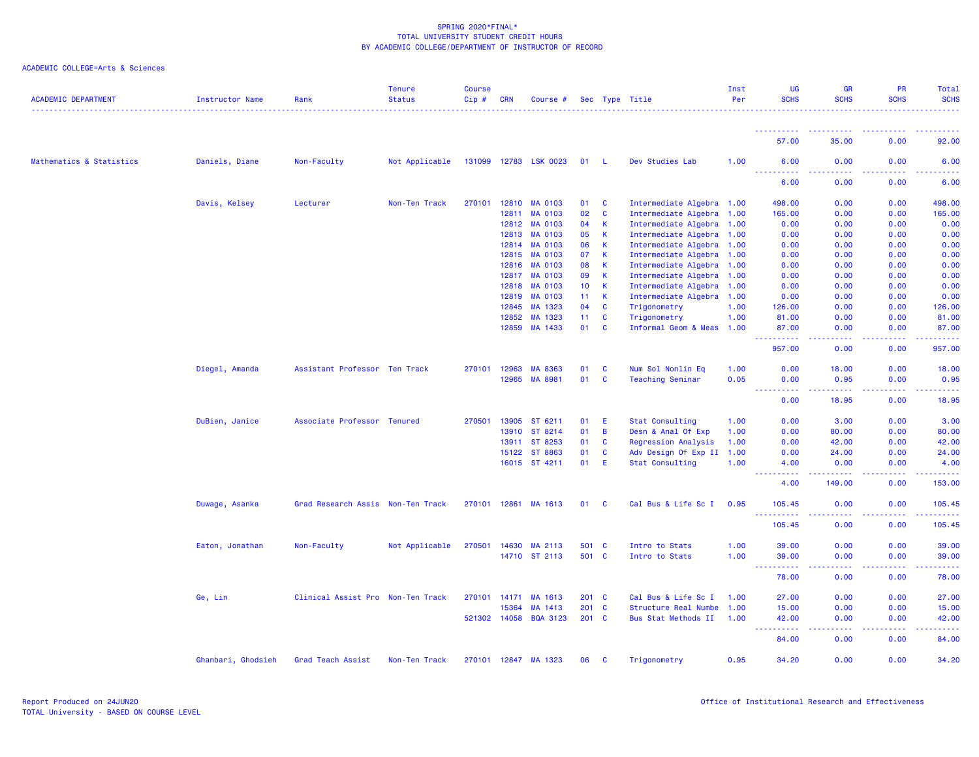| <b>ACADEMIC DEPARTMENT</b> | <b>Instructor Name</b> | Rank                              | <b>Tenure</b><br><b>Status</b> | <b>Course</b><br>Cip# | <b>CRN</b>   | Course #              |       |                | Sec Type Title             | Inst<br>Per | UG<br><b>SCHS</b>             | <b>GR</b><br><b>SCHS</b>       | <b>PR</b><br><b>SCHS</b> | Total<br><b>SCHS</b> |
|----------------------------|------------------------|-----------------------------------|--------------------------------|-----------------------|--------------|-----------------------|-------|----------------|----------------------------|-------------|-------------------------------|--------------------------------|--------------------------|----------------------|
|                            |                        |                                   |                                |                       |              |                       |       |                |                            |             |                               |                                |                          |                      |
|                            |                        |                                   |                                |                       |              |                       |       |                |                            |             | 57.00                         | 35.00                          | 0.00                     | 92.00                |
| Mathematics & Statistics   | Daniels, Diane         | Non-Faculty                       | Not Applicable                 |                       |              | 131099 12783 LSK 0023 | 01 L  |                | Dev Studies Lab            | 1.00        | 6.00<br><u>.</u>              | 0.00<br>.                      | 0.00<br>.                | 6.00<br><u>.</u>     |
|                            |                        |                                   |                                |                       |              |                       |       |                |                            |             | 6.00                          | 0.00                           | 0.00                     | 6.00                 |
|                            | Davis, Kelsey          | Lecturer                          | Non-Ten Track                  |                       |              | 270101 12810 MA 0103  | 01 C  |                | Intermediate Algebra 1.00  |             | 498.00                        | 0.00                           | 0.00                     | 498.00               |
|                            |                        |                                   |                                |                       | 12811        | <b>MA 0103</b>        | 02    | $\mathbf{C}$   | Intermediate Algebra 1.00  |             | 165.00                        | 0.00                           | 0.00                     | 165.00               |
|                            |                        |                                   |                                |                       | 12812        | <b>MA 0103</b>        | 04    | $\mathsf{K}$   | Intermediate Algebra 1.00  |             | 0.00                          | 0.00                           | 0.00                     | 0.00                 |
|                            |                        |                                   |                                |                       | 12813        | <b>MA 0103</b>        | 05    | $\mathsf{K}$   | Intermediate Algebra 1.00  |             | 0.00                          | 0.00                           | 0.00                     | 0.00                 |
|                            |                        |                                   |                                |                       | 12814        | <b>MA 0103</b>        | 06    | $\mathbf{K}$   | Intermediate Algebra 1.00  |             | 0.00                          | 0.00                           | 0.00                     | 0.00                 |
|                            |                        |                                   |                                |                       | 12815        | <b>MA 0103</b>        | 07    | K              | Intermediate Algebra 1.00  |             | 0.00                          | 0.00                           | 0.00                     | 0.00                 |
|                            |                        |                                   |                                |                       | 12816        | <b>MA 0103</b>        | 08    | $\mathsf{K}$   | Intermediate Algebra 1.00  |             | 0.00                          | 0.00                           | 0.00                     | 0.00                 |
|                            |                        |                                   |                                |                       | 12817        | <b>MA 0103</b>        | 09    | $\mathsf K$    | Intermediate Algebra 1.00  |             | 0.00                          | 0.00                           | 0.00                     | 0.00                 |
|                            |                        |                                   |                                |                       | 12818        | <b>MA 0103</b>        | 10    | $\mathbf{K}$   | Intermediate Algebra 1.00  |             | 0.00                          | 0.00                           | 0.00                     | 0.00                 |
|                            |                        |                                   |                                |                       | 12819        | <b>MA 0103</b>        | 11    | $\mathbf{K}$   | Intermediate Algebra 1.00  |             | 0.00                          | 0.00                           | 0.00                     | 0.00                 |
|                            |                        |                                   |                                |                       | 12845        | MA 1323               | 04    | $\mathbf{C}$   | Trigonometry               | 1.00        | 126.00                        | 0.00                           | 0.00                     | 126.00               |
|                            |                        |                                   |                                |                       | 12852        | MA 1323               | 11    | $\mathbf{C}$   | Trigonometry               | 1.00        | 81.00                         | 0.00                           | 0.00                     | 81.00                |
|                            |                        |                                   |                                |                       | 12859        | MA 1433               | 01    | $\mathbf{C}$   | Informal Geom & Meas 1.00  |             | 87.00                         | 0.00                           | 0.00                     | 87.00                |
|                            |                        |                                   |                                |                       |              |                       |       |                |                            |             | 957.00                        | $\omega$ is $\omega$ .<br>0.00 | .<br>0.00                | 957.00               |
|                            | Diegel, Amanda         | Assistant Professor Ten Track     |                                | 270101                | 12963        | MA 8363               | 01    | $\mathbf{C}$   | Num Sol Nonlin Eq          | 1.00        | 0.00                          | 18.00                          | 0.00                     | 18.00                |
|                            |                        |                                   |                                |                       | 12965        | MA 8981               | 01    | $\mathbf{C}$   | <b>Teaching Seminar</b>    | 0.05        | 0.00<br>ш.<br>الداعات عاد     | 0.95                           | 0.00                     | 0.95<br>الداعات عاد  |
|                            |                        |                                   |                                |                       |              |                       |       |                |                            |             | 0.00                          | 18.95                          | 0.00                     | 18.95                |
|                            | DuBien, Janice         | Associate Professor Tenured       |                                | 270501                | 13905        | ST 6211               | 01    | E              | <b>Stat Consulting</b>     | 1.00        | 0.00                          | 3.00                           | 0.00                     | 3.00                 |
|                            |                        |                                   |                                |                       | 13910        | ST 8214               | 01    | $\overline{B}$ | Desn & Anal Of Exp         | 1.00        | 0.00                          | 80.00                          | 0.00                     | 80.00                |
|                            |                        |                                   |                                |                       |              | 13911 ST 8253         | 01    | $\mathbf{C}$   | <b>Regression Analysis</b> | 1.00        | 0.00                          | 42.00                          | 0.00                     | 42.00                |
|                            |                        |                                   |                                |                       | 15122        | ST 8863               | 01    | $\mathbf{C}$   | Adv Design Of Exp II 1.00  |             | 0.00                          | 24.00                          | 0.00                     | 24.00                |
|                            |                        |                                   |                                |                       |              | 16015 ST 4211         | 01    | E.             | Stat Consulting            | 1.00        | 4.00<br>.                     | 0.00<br>.                      | 0.00<br>22222            | 4.00<br>------       |
|                            |                        |                                   |                                |                       |              |                       |       |                |                            |             | 4.00                          | 149.00                         | 0.00                     | 153.00               |
|                            | Duwage, Asanka         | Grad Research Assis Non-Ten Track |                                |                       | 270101 12861 | MA 1613               | 01    | <b>C</b>       | Cal Bus & Life Sc I        | 0.95        | 105.45                        | 0.00                           | 0.00                     | 105.45               |
|                            |                        |                                   |                                |                       |              |                       |       |                |                            |             | 105.45                        | 0.00                           | 0.00                     | 105.45               |
|                            | Eaton, Jonathan        | Non-Faculty                       | Not Applicable                 | 270501                | 14630        | MA 2113               | 501 C |                | Intro to Stats             | 1.00        | 39.00                         | 0.00                           | 0.00                     | 39.00                |
|                            |                        |                                   |                                |                       |              | 14710 ST 2113         | 501 C |                | Intro to Stats             | 1.00        | 39.00<br>222222               | 0.00<br>د د د د                | 0.00<br>22222            | 39.00<br>.           |
|                            |                        |                                   |                                |                       |              |                       |       |                |                            |             | $\sim$ $\sim$ $\sim$<br>78.00 | 0.00                           | 0.00                     | 78.00                |
|                            | Ge, Lin                | Clinical Assist Pro Non-Ten Track |                                | 270101                | 14171        | MA 1613               | 201 C |                | Cal Bus & Life Sc I        | 1.00        | 27.00                         | 0.00                           | 0.00                     | 27.00                |
|                            |                        |                                   |                                |                       | 15364        | MA 1413               | 201 C |                | Structure Real Numbe       | 1.00        | 15.00                         | 0.00                           | 0.00                     | 15.00                |
|                            |                        |                                   |                                |                       | 521302 14058 | <b>BQA 3123</b>       | 201 C |                | Bus Stat Methods II 1.00   |             | 42.00                         | 0.00                           | 0.00                     | 42.00                |
|                            |                        |                                   |                                |                       |              |                       |       |                |                            |             | .<br>84.00                    | .<br>0.00                      | .<br>0.00                | .<br>84.00           |
|                            | Ghanbari, Ghodsieh     | Grad Teach Assist                 | Non-Ten Track                  |                       | 270101 12847 | MA 1323               | 06    | <b>C</b>       | Trigonometry               | 0.95        | 34.20                         | 0.00                           | 0.00                     | 34.20                |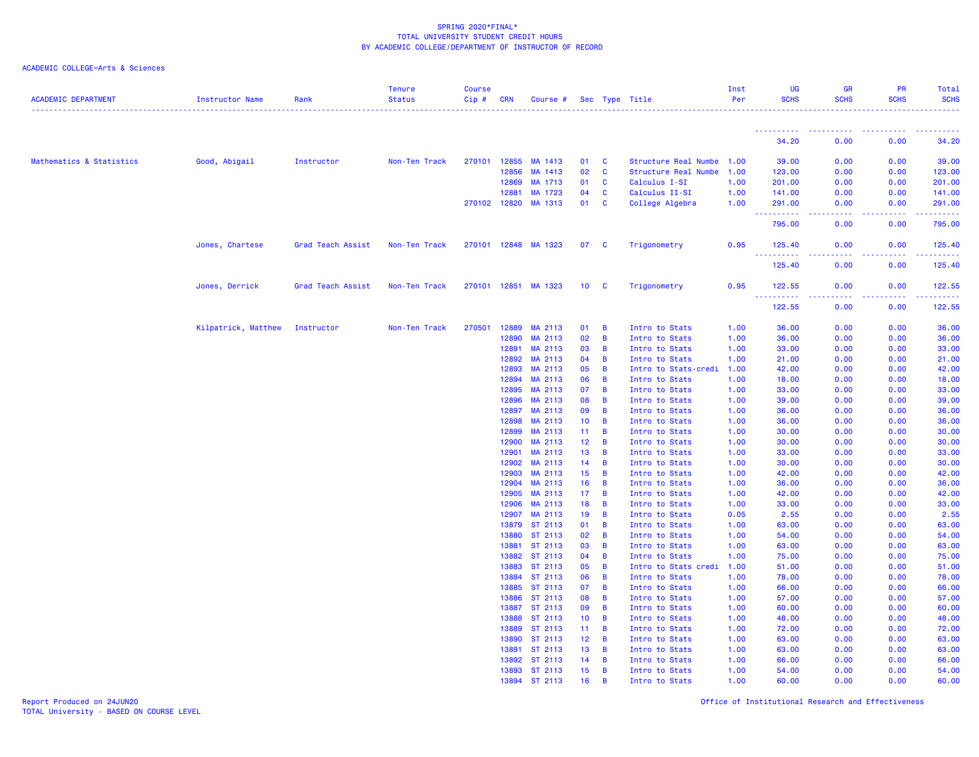## ACADEMIC COLLEGE=Arts & Sciences

| <b>ACADEMIC DEPARTMENT</b> | Instructor Name     | Rank              | <b>Tenure</b><br><b>Status</b> | <b>Course</b><br>$Cip \#$ | <b>CRN</b>     | Course #             |                 |                | Sec Type Title                   | Inst<br>Per  | <b>UG</b><br><b>SCHS</b>              | <b>GR</b><br><b>SCHS</b>                                                                               | PR<br><b>SCHS</b> | Total<br><b>SCHS</b>                                                                                                                                           |
|----------------------------|---------------------|-------------------|--------------------------------|---------------------------|----------------|----------------------|-----------------|----------------|----------------------------------|--------------|---------------------------------------|--------------------------------------------------------------------------------------------------------|-------------------|----------------------------------------------------------------------------------------------------------------------------------------------------------------|
|                            |                     |                   |                                |                           |                |                      |                 |                |                                  |              |                                       |                                                                                                        |                   |                                                                                                                                                                |
|                            |                     |                   |                                |                           |                |                      |                 |                |                                  |              | 34.20                                 | 0.00                                                                                                   | 0.00              | 34.20                                                                                                                                                          |
| Mathematics & Statistics   | Good, Abigail       | Instructor        | Non-Ten Track                  | 270101                    | 12855          | MA 1413              | 01              | C              | Structure Real Numbe             | 1.00         | 39.00                                 | 0.00                                                                                                   | 0.00              | 39.00                                                                                                                                                          |
|                            |                     |                   |                                |                           | 12856          | MA 1413              | 02              | C              | Structure Real Numbe             | 1.00         | 123.00                                | 0.00                                                                                                   | 0.00              | 123.00                                                                                                                                                         |
|                            |                     |                   |                                |                           | 12869          | MA 1713              | 01              | C              | Calculus I-SI                    | 1.00         | 201.00                                | 0.00                                                                                                   | 0.00              | 201.00                                                                                                                                                         |
|                            |                     |                   |                                |                           | 12881          | MA 1723              | 04              | C              | Calculus II-SI                   | 1.00         | 141.00                                | 0.00                                                                                                   | 0.00              | 141.00                                                                                                                                                         |
|                            |                     |                   |                                |                           | 270102 12820   | MA 1313              | 01              | $\mathbf{C}$   | College Algebra                  | 1.00         | 291.00                                | 0.00                                                                                                   | 0.00              | 291.00<br>.                                                                                                                                                    |
|                            |                     |                   |                                |                           |                |                      |                 |                |                                  |              | <u> - - - - - - - - - -</u><br>795.00 | .<br>0.00                                                                                              | .<br>0.00         | 795.00                                                                                                                                                         |
|                            | Jones, Chartese     | Grad Teach Assist | Non-Ten Track                  |                           |                | 270101 12848 MA 1323 | 07              | C              | Trigonometry                     | 0.95         | 125.40                                | 0.00                                                                                                   | 0.00              | 125.40                                                                                                                                                         |
|                            |                     |                   |                                |                           |                |                      |                 |                |                                  |              | 125.40                                | 0.00                                                                                                   | 0.00              | .<br>125.40                                                                                                                                                    |
|                            | Jones, Derrick      | Grad Teach Assist | Non-Ten Track                  |                           |                | 270101 12851 MA 1323 | 10 <sub>1</sub> | <b>C</b>       | Trigonometry                     | 0.95         | 122.55                                | 0.00                                                                                                   | 0.00              | 122.55                                                                                                                                                         |
|                            |                     |                   |                                |                           |                |                      |                 |                |                                  |              | .<br>122.55                           | $\frac{1}{2} \left( \frac{1}{2} \right) \left( \frac{1}{2} \right) \left( \frac{1}{2} \right)$<br>0.00 | .<br>0.00         | $\frac{1}{2} \left( \frac{1}{2} \right) \left( \frac{1}{2} \right) \left( \frac{1}{2} \right) \left( \frac{1}{2} \right) \left( \frac{1}{2} \right)$<br>122.55 |
|                            | Kilpatrick, Matthew | Instructor        | Non-Ten Track                  | 270501                    | 12889          | MA 2113              | 01              | B              | Intro to Stats                   | 1.00         | 36.00                                 | 0.00                                                                                                   | 0.00              | 36.00                                                                                                                                                          |
|                            |                     |                   |                                |                           | 12890          | MA 2113              | 02              | B              | Intro to Stats                   | 1.00         | 36.00                                 | 0.00                                                                                                   | 0.00              | 36.00                                                                                                                                                          |
|                            |                     |                   |                                |                           | 12891          | MA 2113              | 03              | B              | Intro to Stats                   | 1.00         | 33.00                                 | 0.00                                                                                                   | 0.00              | 33.00                                                                                                                                                          |
|                            |                     |                   |                                |                           | 12892          | MA 2113              | 04              | B              | Intro to Stats                   | 1.00         | 21.00                                 | 0.00                                                                                                   | 0.00              | 21.00                                                                                                                                                          |
|                            |                     |                   |                                |                           | 12893          | MA 2113              | 05              | B              | Intro to Stats-credi             | 1.00         | 42.00                                 | 0.00                                                                                                   | 0.00              | 42.00                                                                                                                                                          |
|                            |                     |                   |                                |                           | 12894          | MA 2113              | 06              | B              | Intro to Stats                   | 1.00         | 18.00                                 | 0.00                                                                                                   | 0.00              | 18.00                                                                                                                                                          |
|                            |                     |                   |                                |                           | 12895          | MA 2113              | 07              | B              | Intro to Stats                   | 1.00         | 33.00                                 | 0.00                                                                                                   | 0.00              | 33.00                                                                                                                                                          |
|                            |                     |                   |                                |                           | 12896          | MA 2113              | 08              | B              | Intro to Stats                   | 1.00         | 39.00                                 | 0.00                                                                                                   | 0.00              | 39.00                                                                                                                                                          |
|                            |                     |                   |                                |                           | 12897          | MA 2113              | 09              | B              | Intro to Stats                   | 1.00         | 36.00                                 | 0.00                                                                                                   | 0.00              | 36.00                                                                                                                                                          |
|                            |                     |                   |                                |                           | 12898          | MA 2113              | 10 <sub>1</sub> | B              | Intro to Stats                   | 1.00         | 36.00                                 | 0.00                                                                                                   | 0.00              | 36.00                                                                                                                                                          |
|                            |                     |                   |                                |                           | 12899          | MA 2113              | 11              | B              | Intro to Stats                   | 1.00         | 30.00                                 | 0.00                                                                                                   | 0.00              | 30.00                                                                                                                                                          |
|                            |                     |                   |                                |                           | 12900          | MA 2113              | 12 <sub>2</sub> | B              | Intro to Stats                   | 1.00         | 30.00                                 | 0.00                                                                                                   | 0.00              | 30.00                                                                                                                                                          |
|                            |                     |                   |                                |                           | 12901          | MA 2113              | 13              | B              | Intro to Stats                   | 1.00         | 33.00                                 | 0.00                                                                                                   | 0.00              | 33.00                                                                                                                                                          |
|                            |                     |                   |                                |                           | 12902          | MA 2113              | 14              | B              | Intro to Stats                   | 1.00         | 30.00<br>42.00                        | 0.00                                                                                                   | 0.00              | 30.00                                                                                                                                                          |
|                            |                     |                   |                                |                           | 12903<br>12904 | MA 2113<br>MA 2113   | 15<br>16        | B<br>B         | Intro to Stats<br>Intro to Stats | 1.00<br>1.00 | 36.00                                 | 0.00<br>0.00                                                                                           | 0.00<br>0.00      | 42.00<br>36.00                                                                                                                                                 |
|                            |                     |                   |                                |                           | 12905          | MA 2113              | 17 <sub>2</sub> | B              | Intro to Stats                   | 1.00         | 42.00                                 | 0.00                                                                                                   | 0.00              | 42.00                                                                                                                                                          |
|                            |                     |                   |                                |                           | 12906          | MA 2113              | 18              | B              | Intro to Stats                   | 1.00         | 33.00                                 | 0.00                                                                                                   | 0.00              | 33.00                                                                                                                                                          |
|                            |                     |                   |                                |                           | 12907          | MA 2113              | 19              | B              | Intro to Stats                   | 0.05         | 2.55                                  | 0.00                                                                                                   | 0.00              | 2.55                                                                                                                                                           |
|                            |                     |                   |                                |                           | 13879          | ST 2113              | 01              | B              | Intro to Stats                   | 1.00         | 63.00                                 | 0.00                                                                                                   | 0.00              | 63.00                                                                                                                                                          |
|                            |                     |                   |                                |                           | 13880          | ST 2113              | 02              | B              | Intro to Stats                   | 1.00         | 54.00                                 | 0.00                                                                                                   | 0.00              | 54.00                                                                                                                                                          |
|                            |                     |                   |                                |                           | 13881          | ST 2113              | 03              | B              | Intro to Stats                   | 1.00         | 63.00                                 | 0.00                                                                                                   | 0.00              | 63.00                                                                                                                                                          |
|                            |                     |                   |                                |                           | 13882          | ST 2113              | 04              | B              | Intro to Stats                   | 1.00         | 75.00                                 | 0.00                                                                                                   | 0.00              | 75.00                                                                                                                                                          |
|                            |                     |                   |                                |                           | 13883          | ST 2113              | 05              | B              | Intro to Stats credi             | 1.00         | 51.00                                 | 0.00                                                                                                   | 0.00              | 51.00                                                                                                                                                          |
|                            |                     |                   |                                |                           | 13884          | ST 2113              | 06              | B              | Intro to Stats                   | 1.00         | 78.00                                 | 0.00                                                                                                   | 0.00              | 78.00                                                                                                                                                          |
|                            |                     |                   |                                |                           | 13885          | ST 2113              | 07              | B              | Intro to Stats                   | 1.00         | 66.00                                 | 0.00                                                                                                   | 0.00              | 66.00                                                                                                                                                          |
|                            |                     |                   |                                |                           | 13886          | ST 2113              | 08              | B              | Intro to Stats                   | 1.00         | 57.00                                 | 0.00                                                                                                   | 0.00              | 57.00                                                                                                                                                          |
|                            |                     |                   |                                |                           | 13887          | ST 2113              | 09              | B              | Intro to Stats                   | 1.00         | 60.00                                 | 0.00                                                                                                   | 0.00              | 60.00                                                                                                                                                          |
|                            |                     |                   |                                |                           | 13888          | ST 2113              | 10 <sub>1</sub> | B              | Intro to Stats                   | 1.00         | 48.00                                 | 0.00                                                                                                   | 0.00              | 48.00                                                                                                                                                          |
|                            |                     |                   |                                |                           | 13889          | ST 2113              | 11              | B              | Intro to Stats                   | 1.00         | 72.00                                 | 0.00                                                                                                   | 0.00              | 72.00                                                                                                                                                          |
|                            |                     |                   |                                |                           | 13890          | ST 2113              | 12 <sub>2</sub> | B              | Intro to Stats                   | 1.00         | 63.00                                 | 0.00                                                                                                   | 0.00              | 63.00                                                                                                                                                          |
|                            |                     |                   |                                |                           | 13891          | ST 2113              | 13              | B              | Intro to Stats                   | 1.00         | 63.00                                 | 0.00                                                                                                   | 0.00              | 63.00                                                                                                                                                          |
|                            |                     |                   |                                |                           | 13892          | ST 2113              | 14              | B              | Intro to Stats                   | 1.00         | 66.00                                 | 0.00                                                                                                   | 0.00              | 66.00                                                                                                                                                          |
|                            |                     |                   |                                |                           |                | 13893 ST 2113        | 15              | $\overline{B}$ | Intro to Stats                   | 1.00         | 54.00                                 | 0.00                                                                                                   | 0.00              | 54.00                                                                                                                                                          |
|                            |                     |                   |                                |                           | 13894          | ST 2113              | 16              | B              | Intro to Stats                   | 1.00         | 60.00                                 | 0.00                                                                                                   | 0.00              | 60.00                                                                                                                                                          |

Report Produced on 24JUN20 Office of Institutional Research and Effectiveness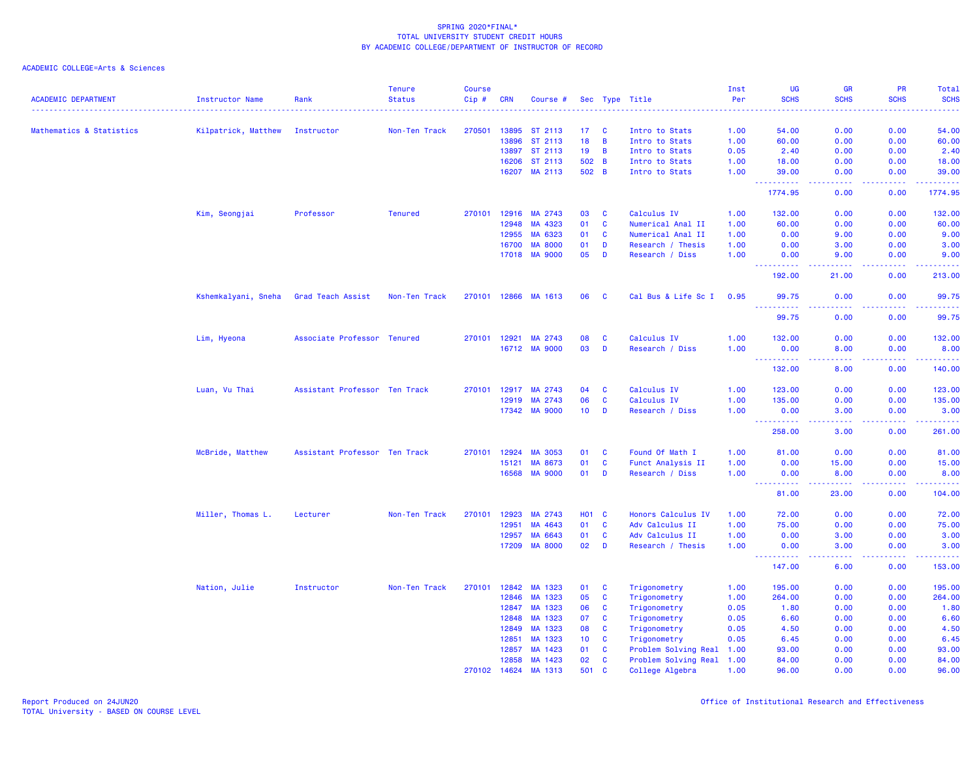| <b>ACADEMIC DEPARTMENT</b> | Instructor Name     | Rank                          | <b>Tenure</b><br><b>Status</b> | <b>Course</b><br>$Cip$ # | <b>CRN</b>   | Course #       |                   |                | Sec Type Title            | Inst<br>Per | UG<br><b>SCHS</b>                                                                                                                                                                    | GR<br><b>SCHS</b>                   | PR<br><b>SCHS</b> | Total<br><b>SCHS</b>                                                                                                                                 |
|----------------------------|---------------------|-------------------------------|--------------------------------|--------------------------|--------------|----------------|-------------------|----------------|---------------------------|-------------|--------------------------------------------------------------------------------------------------------------------------------------------------------------------------------------|-------------------------------------|-------------------|------------------------------------------------------------------------------------------------------------------------------------------------------|
|                            |                     |                               |                                |                          |              |                |                   |                |                           |             |                                                                                                                                                                                      |                                     |                   |                                                                                                                                                      |
| Mathematics & Statistics   | Kilpatrick, Matthew | Instructor                    | Non-Ten Track                  | 270501                   | 13895        | ST 2113        | 17 <sub>2</sub>   | $\mathbf{C}$   | Intro to Stats            | 1.00        | 54.00                                                                                                                                                                                | 0.00                                | 0.00              | 54.00                                                                                                                                                |
|                            |                     |                               |                                |                          | 13896        | ST 2113        | 18                | $\overline{B}$ | Intro to Stats            | 1.00        | 60.00                                                                                                                                                                                | 0.00                                | 0.00              | 60.00                                                                                                                                                |
|                            |                     |                               |                                |                          | 13897        | ST 2113        | 19                | $\overline{B}$ | Intro to Stats            | 0.05        | 2.40                                                                                                                                                                                 | 0.00                                | 0.00              | 2.40                                                                                                                                                 |
|                            |                     |                               |                                |                          | 16206        | ST 2113        | 502 B             |                | Intro to Stats            | 1.00        | 18.00                                                                                                                                                                                | 0.00                                | 0.00              | 18.00                                                                                                                                                |
|                            |                     |                               |                                |                          | 16207        | MA 2113        | 502 B             |                | Intro to Stats            | 1.00        | 39.00<br>----------                                                                                                                                                                  | 0.00<br>والمستناء                   | 0.00<br>-----     | 39.00<br>.                                                                                                                                           |
|                            |                     |                               |                                |                          |              |                |                   |                |                           |             | 1774.95                                                                                                                                                                              | 0.00                                | 0.00              | 1774.95                                                                                                                                              |
|                            | Kim, Seongjai       | Professor                     | <b>Tenured</b>                 | 270101                   | 12916        | MA 2743        | 03                | $\mathbf{C}$   | Calculus IV               | 1.00        | 132.00                                                                                                                                                                               | 0.00                                | 0.00              | 132.00                                                                                                                                               |
|                            |                     |                               |                                |                          | 12948        | MA 4323        | 01                | $\mathbf{C}$   | Numerical Anal II         | 1.00        | 60.00                                                                                                                                                                                | 0.00                                | 0.00              | 60.00                                                                                                                                                |
|                            |                     |                               |                                |                          | 12955        | MA 6323        | 01                | $\mathbf{C}$   | Numerical Anal II         | 1.00        | 0.00                                                                                                                                                                                 | 9.00                                | 0.00              | 9.00                                                                                                                                                 |
|                            |                     |                               |                                |                          | 16700        | <b>MA 8000</b> | 01                | D              | Research / Thesis         | 1.00        | 0.00                                                                                                                                                                                 | 3.00                                | 0.00              | 3.00                                                                                                                                                 |
|                            |                     |                               |                                |                          | 17018        | <b>MA 9000</b> | 05                | D              | Research / Diss           | 1.00        | 0.00                                                                                                                                                                                 | 9.00                                | 0.00              | 9.00                                                                                                                                                 |
|                            |                     |                               |                                |                          |              |                |                   |                |                           |             | . <u>.</u><br>192.00                                                                                                                                                                 | 21.00                               | 0.00              | .<br>213.00                                                                                                                                          |
|                            | Kshemkalyani, Sneha | Grad Teach Assist             | Non-Ten Track                  |                          | 270101 12866 | MA 1613        | 06                | C              | Cal Bus & Life Sc I       | 0.95        | 99.75<br>----------                                                                                                                                                                  | 0.00<br>.                           | 0.00              | 99.75<br>.                                                                                                                                           |
|                            |                     |                               |                                |                          |              |                |                   |                |                           |             | 99.75                                                                                                                                                                                | 0.00                                | 0.00              | 99.75                                                                                                                                                |
|                            | Lim, Hyeona         | Associate Professor Tenured   |                                | 270101                   | 12921        | MA 2743        | 08                | C              | Calculus IV               | 1.00        | 132.00                                                                                                                                                                               | 0.00                                | 0.00              | 132.00                                                                                                                                               |
|                            |                     |                               |                                |                          | 16712        | <b>MA 9000</b> | 03                | D              | Research / Diss           | 1.00        | 0.00                                                                                                                                                                                 | 8.00                                | 0.00              | 8.00                                                                                                                                                 |
|                            |                     |                               |                                |                          |              |                |                   |                |                           |             | <u>.</u>                                                                                                                                                                             | المتمالين                           | 22222             | $\frac{1}{2} \left( \frac{1}{2} \right) \left( \frac{1}{2} \right) \left( \frac{1}{2} \right) \left( \frac{1}{2} \right) \left( \frac{1}{2} \right)$ |
|                            |                     |                               |                                |                          |              |                |                   |                |                           |             | 132.00                                                                                                                                                                               | 8.00                                | 0.00              | 140.00                                                                                                                                               |
|                            | Luan, Vu Thai       | Assistant Professor Ten Track |                                | 270101                   | 12917        | MA 2743        | 04                | <b>C</b>       | Calculus IV               | 1.00        | 123.00                                                                                                                                                                               | 0.00                                | 0.00              | 123.00                                                                                                                                               |
|                            |                     |                               |                                |                          | 12919        | MA 2743        | 06                | $\mathbf{C}$   | Calculus IV               | 1.00        | 135.00                                                                                                                                                                               | 0.00                                | 0.00              | 135.00                                                                                                                                               |
|                            |                     |                               |                                |                          | 17342        | <b>MA 9000</b> | 10 <sub>1</sub>   | D              | Research / Diss           | 1.00        | 0.00                                                                                                                                                                                 | 3.00                                | 0.00              | 3.00                                                                                                                                                 |
|                            |                     |                               |                                |                          |              |                |                   |                |                           |             | ----------<br>258.00                                                                                                                                                                 | والمسامين<br>3.00                   | .<br>0.00         | 261.00                                                                                                                                               |
|                            | McBride, Matthew    | Assistant Professor Ten Track |                                | 270101                   | 12924        | <b>MA 3053</b> | 01                | $\mathbf{C}$   | Found Of Math I           | 1.00        | 81.00                                                                                                                                                                                | 0.00                                | 0.00              | 81.00                                                                                                                                                |
|                            |                     |                               |                                |                          | 15121        | MA 8673        | 01                | $\mathbf{C}$   | Funct Analysis II         | 1.00        | 0.00                                                                                                                                                                                 | 15.00                               | 0.00              | 15.00                                                                                                                                                |
|                            |                     |                               |                                |                          | 16568        | <b>MA 9000</b> | 01                | D              | Research / Diss           | 1.00        | 0.00<br>$\sim$ $\sim$<br>.                                                                                                                                                           | 8.00<br>-----                       | 0.00<br>.         | 8.00<br>.                                                                                                                                            |
|                            |                     |                               |                                |                          |              |                |                   |                |                           |             | 81.00                                                                                                                                                                                | 23.00                               | 0.00              | 104.00                                                                                                                                               |
|                            | Miller, Thomas L.   | Lecturer                      | Non-Ten Track                  | 270101                   | 12923        | MA 2743        | HO <sub>1</sub> C |                | Honors Calculus IV        | 1.00        | 72.00                                                                                                                                                                                | 0.00                                | 0.00              | 72.00                                                                                                                                                |
|                            |                     |                               |                                |                          | 12951        | MA 4643        | 01                | $\mathbf{C}$   | Adv Calculus II           | 1.00        | 75.00                                                                                                                                                                                | 0.00                                | 0.00              | 75.00                                                                                                                                                |
|                            |                     |                               |                                |                          | 12957        | MA 6643        | 01                | $\mathbf{C}$   | Adv Calculus II           | 1.00        | 0.00                                                                                                                                                                                 | 3.00                                | 0.00              | 3.00                                                                                                                                                 |
|                            |                     |                               |                                |                          | 17209        | <b>MA 8000</b> | 02                | D              | Research / Thesis         | 1.00        | 0.00<br>$\sim$ $\sim$ $\sim$<br>$\frac{1}{2} \left( \frac{1}{2} \right) \left( \frac{1}{2} \right) \left( \frac{1}{2} \right) \left( \frac{1}{2} \right) \left( \frac{1}{2} \right)$ | 3.00<br>$\sim$ $\sim$ $\sim$ $\sim$ | 0.00<br>-----     | 3.00<br>.                                                                                                                                            |
|                            |                     |                               |                                |                          |              |                |                   |                |                           |             | 147.00                                                                                                                                                                               | 6.00                                | 0.00              | 153.00                                                                                                                                               |
|                            | Nation, Julie       | Instructor                    | Non-Ten Track                  | 270101                   | 12842        | MA 1323        | 01                | <b>C</b>       | Trigonometry              | 1.00        | 195.00                                                                                                                                                                               | 0.00                                | 0.00              | 195.00                                                                                                                                               |
|                            |                     |                               |                                |                          | 12846        | MA 1323        | 05                | $\mathbf{C}$   | Trigonometry              | 1.00        | 264.00                                                                                                                                                                               | 0.00                                | 0.00              | 264.00                                                                                                                                               |
|                            |                     |                               |                                |                          | 12847        | MA 1323        | 06                | $\mathbf{C}$   | Trigonometry              | 0.05        | 1.80                                                                                                                                                                                 | 0.00                                | 0.00              | 1.80                                                                                                                                                 |
|                            |                     |                               |                                |                          | 12848        | MA 1323        | 07                | $\mathbf{C}$   | Trigonometry              | 0.05        | 6.60                                                                                                                                                                                 | 0.00                                | 0.00              | 6.60                                                                                                                                                 |
|                            |                     |                               |                                |                          | 12849        | MA 1323        | 08                | $\mathbf{C}$   | Trigonometry              | 0.05        | 4.50                                                                                                                                                                                 | 0.00                                | 0.00              | 4.50                                                                                                                                                 |
|                            |                     |                               |                                |                          | 12851        | MA 1323        | 10 <sup>°</sup>   | <b>C</b>       | Trigonometry              | 0.05        | 6.45                                                                                                                                                                                 | 0.00                                | 0.00              | 6.45                                                                                                                                                 |
|                            |                     |                               |                                |                          | 12857        | MA 1423        | 01                | $\mathbf{C}$   | Problem Solving Real      | 1.00        | 93.00                                                                                                                                                                                | 0.00                                | 0.00              | 93.00                                                                                                                                                |
|                            |                     |                               |                                |                          | 12858        | MA 1423        | 02                | $\mathbf{C}$   | Problem Solving Real 1.00 |             | 84.00                                                                                                                                                                                | 0.00                                | 0.00              | 84.00                                                                                                                                                |
|                            |                     |                               |                                | 270102                   | 14624        | MA 1313        | 501               | $\mathbf{C}$   | College Algebra           | 1.00        | 96.00                                                                                                                                                                                | 0.00                                | 0.00              | 96.00                                                                                                                                                |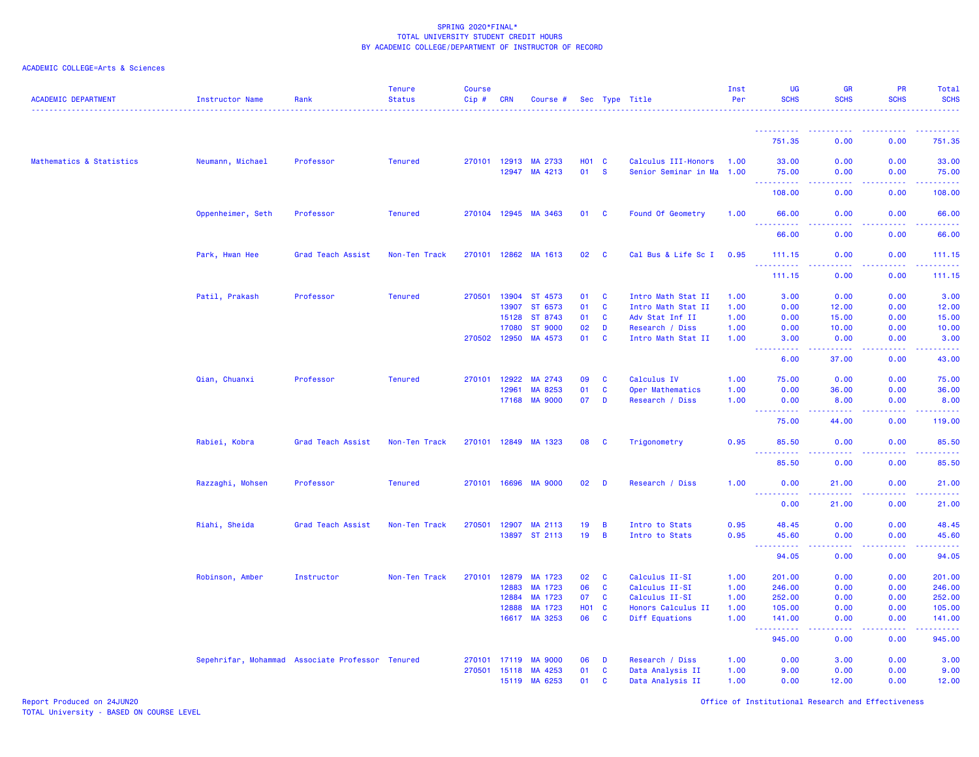## ACADEMIC COLLEGE=Arts & Sciences

| <b>ACADEMIC DEPARTMENT</b> | <b>Instructor Name</b>                           | Rank              | <b>Tenure</b><br><b>Status</b> | <b>Course</b><br>Cip# | <b>CRN</b>     | Course #                  |                    |              | Sec Type Title                                   | Inst<br>Per  | UG<br><b>SCHS</b>              | <b>GR</b><br><b>SCHS</b> | PR<br><b>SCHS</b>                            | Total<br><b>SCHS</b><br>$\frac{1}{2} \left( \frac{1}{2} \right) \left( \frac{1}{2} \right) \left( \frac{1}{2} \right) \left( \frac{1}{2} \right) \left( \frac{1}{2} \right)$ |
|----------------------------|--------------------------------------------------|-------------------|--------------------------------|-----------------------|----------------|---------------------------|--------------------|--------------|--------------------------------------------------|--------------|--------------------------------|--------------------------|----------------------------------------------|------------------------------------------------------------------------------------------------------------------------------------------------------------------------------|
|                            |                                                  |                   |                                |                       |                |                           |                    |              |                                                  |              | ----------                     | -----                    | . <b>.</b>                                   | .                                                                                                                                                                            |
|                            |                                                  |                   |                                |                       |                |                           |                    |              |                                                  |              | 751.35                         | 0.00                     | 0.00                                         | 751.35                                                                                                                                                                       |
| Mathematics & Statistics   | Neumann, Michael                                 | Professor         | <b>Tenured</b>                 | 270101 12913          | 12947          | MA 2733<br>MA 4213        | <b>HO1 C</b><br>01 | <b>S</b>     | Calculus III-Honors<br>Senior Seminar in Ma 1.00 | 1.00         | 33.00<br>75.00                 | 0.00<br>0.00             | 0.00<br>0.00                                 | 33.00<br>75.00                                                                                                                                                               |
|                            |                                                  |                   |                                |                       |                |                           |                    |              |                                                  |              | . <b>.</b><br>108.00           | .<br>0.00                | .<br>0.00                                    | 22222)<br>108.00                                                                                                                                                             |
|                            | Oppenheimer, Seth                                | Professor         | <b>Tenured</b>                 |                       |                | 270104 12945 MA 3463      | 01 C               |              | Found Of Geometry                                | 1.00         | 66.00                          | 0.00                     | 0.00                                         | 66.00                                                                                                                                                                        |
|                            |                                                  |                   |                                |                       |                |                           |                    |              |                                                  |              | 66.00                          | 0.00                     | 0.00                                         | 66.00                                                                                                                                                                        |
|                            | Park, Hwan Hee                                   | Grad Teach Assist | Non-Ten Track                  |                       |                | 270101 12862 MA 1613      | 02                 | $\mathbf{C}$ | Cal Bus & Life Sc I 0.95                         |              | 111.15<br><u>.</u>             | 0.00<br>.                | 0.00<br>22222                                | 111.15<br>.                                                                                                                                                                  |
|                            |                                                  |                   |                                |                       |                |                           |                    |              |                                                  |              | 111.15                         | 0.00                     | 0.00                                         | 111.15                                                                                                                                                                       |
|                            | Patil, Prakash                                   | Professor         | <b>Tenured</b>                 | 270501                | 13904          | ST 4573                   | 01                 | <b>C</b>     | Intro Math Stat II                               | 1.00         | 3.00                           | 0.00                     | 0.00                                         | 3.00                                                                                                                                                                         |
|                            |                                                  |                   |                                |                       | 13907          | ST 6573                   | 01                 | <b>C</b>     | Intro Math Stat II                               | 1.00         | 0.00                           | 12.00                    | 0.00                                         | 12.00                                                                                                                                                                        |
|                            |                                                  |                   |                                |                       | 15128          | ST 8743                   | 01                 | <b>C</b>     | Adv Stat Inf II                                  | 1.00         | 0.00                           | 15.00                    | 0.00                                         | 15.00                                                                                                                                                                        |
|                            |                                                  |                   |                                |                       | 17080          | <b>ST 9000</b>            | 02                 | D            | Research / Diss                                  | 1.00         | 0.00                           | 10.00                    | 0.00                                         | 10.00                                                                                                                                                                        |
|                            |                                                  |                   |                                | 270502 12950          |                | MA 4573                   | 01                 | <b>C</b>     | Intro Math Stat II                               | 1.00         | 3.00                           | 0.00<br>وبالأباد         | 0.00                                         | 3.00<br>$\frac{1}{2} \left( \frac{1}{2} \right) \left( \frac{1}{2} \right) \left( \frac{1}{2} \right) \left( \frac{1}{2} \right)$                                            |
|                            |                                                  |                   |                                |                       |                |                           |                    |              |                                                  |              | 6.00                           | 37.00                    | 0.00                                         | 43.00                                                                                                                                                                        |
|                            | Qian, Chuanxi                                    | Professor         | <b>Tenured</b>                 | 270101                | 12922          | MA 2743                   | 09                 | <b>C</b>     | Calculus IV                                      | 1.00         | 75.00                          | 0.00                     | 0.00                                         | 75.00                                                                                                                                                                        |
|                            |                                                  |                   |                                |                       | 12961          | MA 8253                   | 01                 | <b>C</b>     | Oper Mathematics                                 | 1.00         | 0.00                           | 36.00                    | 0.00                                         | 36.00                                                                                                                                                                        |
|                            |                                                  |                   |                                |                       | 17168          | <b>MA 9000</b>            | 07                 | D            | Research / Diss                                  | 1.00         | 0.00                           | 8.00                     | 0.00                                         | 8.00                                                                                                                                                                         |
|                            |                                                  |                   |                                |                       |                |                           |                    |              |                                                  |              | ----------<br>75.00            | د د د د د<br>44.00       | بالمستمال<br>0.00                            | $\frac{1}{2} \left( \frac{1}{2} \right) \left( \frac{1}{2} \right) \left( \frac{1}{2} \right) \left( \frac{1}{2} \right) \left( \frac{1}{2} \right)$<br>119.00               |
|                            | Rabiei, Kobra                                    | Grad Teach Assist | Non-Ten Track                  | 270101                |                | 12849 MA 1323             | 08                 | <b>C</b>     | Trigonometry                                     | 0.95         | 85.50                          | 0.00                     | 0.00                                         | 85.50                                                                                                                                                                        |
|                            |                                                  |                   |                                |                       |                |                           |                    |              |                                                  |              | <u>.</u><br>85.50              | .<br>0.00                | 2.2.2.2.2<br>0.00                            | .<br>85.50                                                                                                                                                                   |
|                            | Razzaghi, Mohsen                                 | Professor         | <b>Tenured</b>                 | 270101                | 16696          | <b>MA 9000</b>            | 02                 | D            | Research / Diss                                  | 1.00         | 0.00<br>. <b>.</b>             | 21.00                    | 0.00                                         | 21.00                                                                                                                                                                        |
|                            |                                                  |                   |                                |                       |                |                           |                    |              |                                                  |              | 0.00                           | 21.00                    | 0.00                                         | 21.00                                                                                                                                                                        |
|                            | Riahi, Sheida                                    | Grad Teach Assist | Non-Ten Track                  | 270501                | 12907          | MA 2113                   | 19                 | В            | Intro to Stats                                   | 0.95         | 48.45                          | 0.00                     | 0.00                                         | 48.45                                                                                                                                                                        |
|                            |                                                  |                   |                                |                       |                | 13897 ST 2113             | 19                 | B            | Intro to Stats                                   | 0.95         | 45.60                          | 0.00                     | 0.00                                         | 45.60                                                                                                                                                                        |
|                            |                                                  |                   |                                |                       |                |                           |                    |              |                                                  |              | ----------<br>94.05            | د د د د<br>0.00          | .<br>0.00                                    | .<br>94.05                                                                                                                                                                   |
|                            |                                                  |                   |                                | 270101                |                | 12879 MA 1723             | 02                 | <b>C</b>     | Calculus II-SI                                   |              |                                | 0.00                     | 0.00                                         | 201.00                                                                                                                                                                       |
|                            | Robinson, Amber                                  | Instructor        | Non-Ten Track                  |                       | 12883          | MA 1723                   | 06                 | $\mathbf{C}$ | Calculus II-SI                                   | 1.00<br>1.00 | 201.00<br>246.00               | 0.00                     | 0.00                                         | 246.00                                                                                                                                                                       |
|                            |                                                  |                   |                                |                       | 12884          | MA 1723                   | 07                 | <b>C</b>     | Calculus II-SI                                   | 1.00         | 252.00                         | 0.00                     | 0.00                                         | 252.00                                                                                                                                                                       |
|                            |                                                  |                   |                                |                       | 12888          | MA 1723                   | <b>HO1</b>         | $\mathbf{C}$ | Honors Calculus II                               | 1.00         | 105.00                         | 0.00                     | 0.00                                         | 105.00                                                                                                                                                                       |
|                            |                                                  |                   |                                |                       |                | 16617 MA 3253             | 06                 | C            | Diff Equations                                   | 1.00         | 141.00                         | 0.00                     | 0.00                                         | 141.00                                                                                                                                                                       |
|                            |                                                  |                   |                                |                       |                |                           |                    |              |                                                  |              | $\sim$ $\sim$ $\sim$<br>945.00 | المتمامين<br>0.00        | <b><i><u><u> - - - -</u></u></i></b><br>0.00 | .<br>945.00                                                                                                                                                                  |
|                            |                                                  |                   |                                |                       |                |                           |                    |              |                                                  |              |                                |                          |                                              |                                                                                                                                                                              |
|                            | Sepehrifar, Mohammad Associate Professor Tenured |                   |                                | 270101<br>270501      | 17119<br>15118 | <b>MA 9000</b><br>MA 4253 | 06<br>01           | D<br>C       | Research / Diss<br>Data Analysis II              | 1.00<br>1.00 | 0.00<br>9.00                   | 3.00<br>0.00             | 0.00<br>0.00                                 | 3.00<br>9.00                                                                                                                                                                 |
|                            |                                                  |                   |                                |                       | 15119          | MA 6253                   | 01                 | $\mathbf{C}$ | Data Analysis II                                 | 1.00         | 0.00                           | 12.00                    | 0.00                                         | 12.00                                                                                                                                                                        |

Report Produced on 24JUN20 Office of Institutional Research and Effectiveness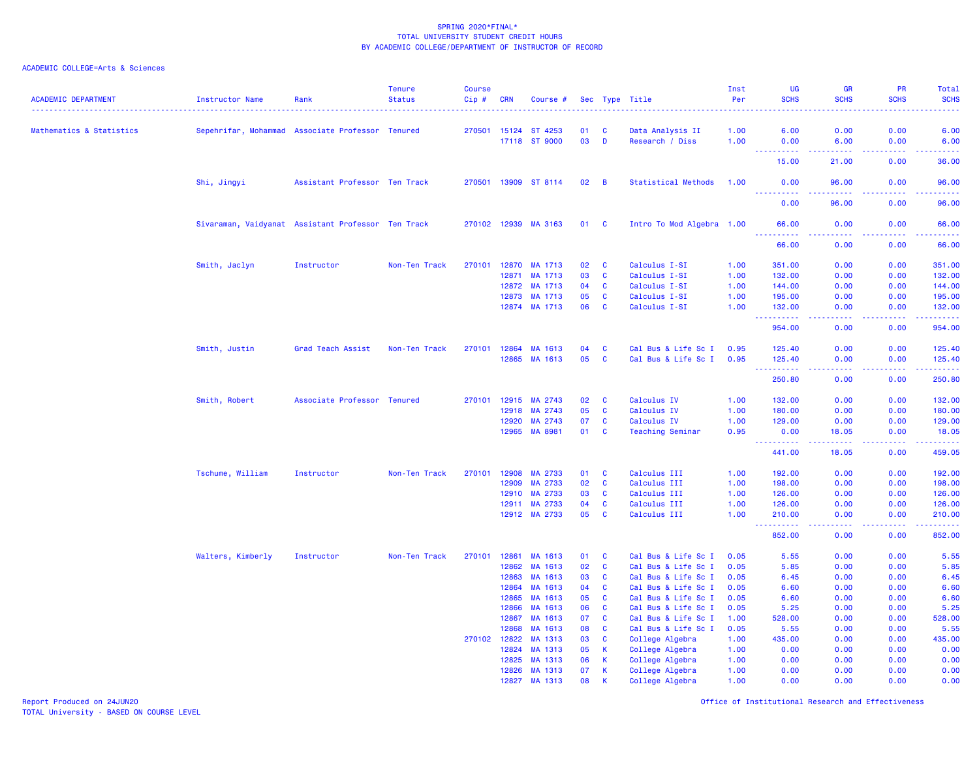## ACADEMIC COLLEGE=Arts & Sciences

| <b>ACADEMIC DEPARTMENT</b>          | <b>Instructor Name</b>                             | Rank                                             | <b>Tenure</b><br><b>Status</b> | <b>Course</b><br>Cip # | <b>CRN</b>     | Course #             |          |                | Sec Type Title                     | Inst<br>Per  | <b>UG</b><br><b>SCHS</b>                                                                                                      | <b>GR</b><br><b>SCHS</b> | PR<br><b>SCHS</b> | Total<br><b>SCHS</b>                                                                                                            |
|-------------------------------------|----------------------------------------------------|--------------------------------------------------|--------------------------------|------------------------|----------------|----------------------|----------|----------------|------------------------------------|--------------|-------------------------------------------------------------------------------------------------------------------------------|--------------------------|-------------------|---------------------------------------------------------------------------------------------------------------------------------|
| <b>Mathematics &amp; Statistics</b> |                                                    | Sepehrifar, Mohammad Associate Professor Tenured |                                | 270501                 | 15124          | ST 4253              | 01       | C              | Data Analysis II                   | 1.00         | 6.00                                                                                                                          | 0.00                     | 0.00              | 6.00                                                                                                                            |
|                                     |                                                    |                                                  |                                |                        |                | 17118 ST 9000        | 03       | $\blacksquare$ | Research / Diss                    | 1.00         | 0.00                                                                                                                          | 6.00                     | 0.00              | 6.00                                                                                                                            |
|                                     |                                                    |                                                  |                                |                        |                |                      |          |                |                                    |              | $  -$<br><u>.</u><br>15.00                                                                                                    | 21.00                    | .<br>0.00         | .<br>36.00                                                                                                                      |
|                                     | Shi, Jingyi                                        | Assistant Professor Ten Track                    |                                | 270501                 |                | 13909 ST 8114        | 02       | B              | <b>Statistical Methods</b>         | 1.00         | 0.00                                                                                                                          | 96.00                    | 0.00              | 96.00                                                                                                                           |
|                                     |                                                    |                                                  |                                |                        |                |                      |          |                |                                    |              | $\begin{array}{cccccccccc} \bullet & \bullet & \bullet & \bullet & \bullet & \bullet & \bullet & \bullet \end{array}$<br>0.00 | 96.00                    | د د د د<br>0.00   | والانتاب<br>96.00                                                                                                               |
|                                     | Sivaraman, Vaidyanat Assistant Professor Ten Track |                                                  |                                |                        |                | 270102 12939 MA 3163 | 01       | C              | Intro To Mod Algebra 1.00          |              | 66.00<br>222222                                                                                                               | 0.00<br>.                | 0.00<br>.         | 66.00<br>.                                                                                                                      |
|                                     |                                                    |                                                  |                                |                        |                |                      |          |                |                                    |              | 66.00                                                                                                                         | 0.00                     | 0.00              | 66.00                                                                                                                           |
|                                     | Smith, Jaclyn                                      | Instructor                                       | Non-Ten Track                  | 270101                 | 12870          | MA 1713              | 02       | C              | Calculus I-SI                      | 1.00         | 351.00                                                                                                                        | 0.00                     | 0.00              | 351.00                                                                                                                          |
|                                     |                                                    |                                                  |                                |                        | 12871          | MA 1713              | 03       | $\mathbf{C}$   | Calculus I-SI                      | 1.00         | 132.00                                                                                                                        | 0.00                     | 0.00              | 132.00                                                                                                                          |
|                                     |                                                    |                                                  |                                |                        | 12872          | MA 1713              | 04       | C              | Calculus I-SI                      | 1.00         | 144.00                                                                                                                        | 0.00                     | 0.00              | 144.00                                                                                                                          |
|                                     |                                                    |                                                  |                                |                        | 12873          | MA 1713              | 05       | $\mathbf{C}$   | Calculus I-SI                      | 1.00         | 195.00                                                                                                                        | 0.00                     | 0.00              | 195.00                                                                                                                          |
|                                     |                                                    |                                                  |                                |                        |                | 12874 MA 1713        | 06       | <b>C</b>       | Calculus I-SI                      | 1.00         | 132.00<br><u>.</u>                                                                                                            | 0.00<br>$\frac{1}{2}$    | 0.00<br>.         | 132.00<br><u>.</u>                                                                                                              |
|                                     |                                                    |                                                  |                                |                        |                |                      |          |                |                                    |              | 954.00                                                                                                                        | 0.00                     | 0.00              | 954.00                                                                                                                          |
|                                     | Smith, Justin                                      | Grad Teach Assist                                | Non-Ten Track                  | 270101                 | 12864          | MA 1613              | 04       | C              | Cal Bus & Life Sc I                | 0.95         | 125.40                                                                                                                        | 0.00                     | 0.00              | 125.40                                                                                                                          |
|                                     |                                                    |                                                  |                                |                        |                | 12865 MA 1613        | 05       | C              | Cal Bus & Life Sc I                | 0.95         | 125.40<br>----------                                                                                                          | 0.00<br>.                | 0.00<br>.         | 125.40<br>$\begin{array}{cccccccccc} \bullet & \bullet & \bullet & \bullet & \bullet & \bullet & \bullet & \bullet \end{array}$ |
|                                     |                                                    |                                                  |                                |                        |                |                      |          |                |                                    |              | 250.80                                                                                                                        | 0.00                     | 0.00              | 250.80                                                                                                                          |
|                                     | Smith, Robert                                      | Associate Professor Tenured                      |                                | 270101                 | 12915          | MA 2743              | 02       | C              | Calculus IV                        | 1.00         | 132.00                                                                                                                        | 0.00                     | 0.00              | 132.00                                                                                                                          |
|                                     |                                                    |                                                  |                                |                        | 12918          | MA 2743              | 05       | C              | Calculus IV                        | 1.00         | 180.00                                                                                                                        | 0.00                     | 0.00              | 180.00                                                                                                                          |
|                                     |                                                    |                                                  |                                |                        | 12920          | MA 2743              | 07       | C              | Calculus IV                        | 1.00         | 129.00                                                                                                                        | 0.00                     | 0.00              | 129.00                                                                                                                          |
|                                     |                                                    |                                                  |                                |                        |                | 12965 MA 8981        | 01       | C              | <b>Teaching Seminar</b>            | 0.95         | 0.00<br>$\begin{array}{cccccccccc} \bullet & \bullet & \bullet & \bullet & \bullet & \bullet & \bullet \end{array}$           | 18.05                    | 0.00<br>د د د د   | 18.05<br>2.2.2.2.2                                                                                                              |
|                                     |                                                    |                                                  |                                |                        |                |                      |          |                |                                    |              | 441.00                                                                                                                        | 18.05                    | 0.00              | 459.05                                                                                                                          |
|                                     | Tschume, William                                   | Instructor                                       | Non-Ten Track                  | 270101                 | 12908          | MA 2733              | 01       | C              | Calculus III                       | 1.00         | 192.00                                                                                                                        | 0.00                     | 0.00              | 192.00                                                                                                                          |
|                                     |                                                    |                                                  |                                |                        | 12909          | MA 2733              | 02       | C              | Calculus III                       | 1.00         | 198.00                                                                                                                        | 0.00                     | 0.00              | 198.00                                                                                                                          |
|                                     |                                                    |                                                  |                                |                        | 12910          | MA 2733              | 03       | C              | Calculus III                       | 1.00         | 126.00                                                                                                                        | 0.00                     | 0.00              | 126.00                                                                                                                          |
|                                     |                                                    |                                                  |                                |                        | 12911          | MA 2733              | 04       | $\mathbf c$    | Calculus III                       | 1.00         | 126.00                                                                                                                        | 0.00                     | 0.00              | 126.00                                                                                                                          |
|                                     |                                                    |                                                  |                                |                        |                | 12912 MA 2733        | 05       | $\mathbf{C}$   | Calculus III                       | 1.00         | 210.00<br>.                                                                                                                   | 0.00<br>.                | 0.00<br>.         | 210.00<br>.                                                                                                                     |
|                                     |                                                    |                                                  |                                |                        |                |                      |          |                |                                    |              | 852.00                                                                                                                        | 0.00                     | 0.00              | 852.00                                                                                                                          |
|                                     | Walters, Kimberly                                  | Instructor                                       | Non-Ten Track                  | 270101                 | 12861          | MA 1613              | 01       | C              | Cal Bus & Life Sc I                | 0.05         | 5.55                                                                                                                          | 0.00                     | 0.00              | 5.55                                                                                                                            |
|                                     |                                                    |                                                  |                                |                        | 12862          | MA 1613              | 02       | C              | Cal Bus & Life Sc I                | 0.05         | 5.85                                                                                                                          | 0.00                     | 0.00              | 5.85                                                                                                                            |
|                                     |                                                    |                                                  |                                |                        | 12863          | MA 1613              | 03       | C              | Cal Bus & Life Sc I                | 0.05         | 6.45                                                                                                                          | 0.00                     | 0.00              | 6.45                                                                                                                            |
|                                     |                                                    |                                                  |                                |                        | 12864          | MA 1613              | 04       | $\mathbf{C}$   | Cal Bus & Life Sc I                | 0.05         | 6.60                                                                                                                          | 0.00                     | 0.00              | 6.60                                                                                                                            |
|                                     |                                                    |                                                  |                                |                        | 12865          | MA 1613              | 05       | $\mathbf{C}$   | Cal Bus & Life Sc I                | 0.05         | 6.60                                                                                                                          | 0.00                     | 0.00              | 6.60                                                                                                                            |
|                                     |                                                    |                                                  |                                |                        | 12866          | MA 1613              | 06       | C              | Cal Bus & Life Sc I                | 0.05         | 5.25                                                                                                                          | 0.00                     | 0.00              | 5.25                                                                                                                            |
|                                     |                                                    |                                                  |                                |                        | 12867          | MA 1613              | 07       | C              | Cal Bus & Life Sc I                | 1.00         | 528.00                                                                                                                        | 0.00                     | 0.00              | 528.00                                                                                                                          |
|                                     |                                                    |                                                  |                                |                        | 12868          | MA 1613              | 08       | C              | Cal Bus & Life Sc I                | 0.05         | 5.55                                                                                                                          | 0.00                     | 0.00              | 5.55                                                                                                                            |
|                                     |                                                    |                                                  |                                | 270102                 | 12822          | MA 1313              | 03       | C              | College Algebra                    | 1.00         | 435.00                                                                                                                        | 0.00                     | 0.00              | 435.00                                                                                                                          |
|                                     |                                                    |                                                  |                                |                        | 12824<br>12825 | MA 1313<br>MA 1313   | 05<br>06 | K<br>K         | College Algebra                    | 1.00<br>1.00 | 0.00<br>0.00                                                                                                                  | 0.00<br>0.00             | 0.00<br>0.00      | 0.00<br>0.00                                                                                                                    |
|                                     |                                                    |                                                  |                                |                        | 12826          | MA 1313              | 07       | K              | College Algebra<br>College Algebra | 1.00         | 0.00                                                                                                                          | 0.00                     | 0.00              | 0.00                                                                                                                            |
|                                     |                                                    |                                                  |                                |                        | 12827          | MA 1313              | 08       | $\mathbf k$    | College Algebra                    | 1.00         | 0.00                                                                                                                          | 0.00                     | 0.00              | 0.00                                                                                                                            |
|                                     |                                                    |                                                  |                                |                        |                |                      |          |                |                                    |              |                                                                                                                               |                          |                   |                                                                                                                                 |

Report Produced on 24JUN20 Office of Institutional Research and Effectiveness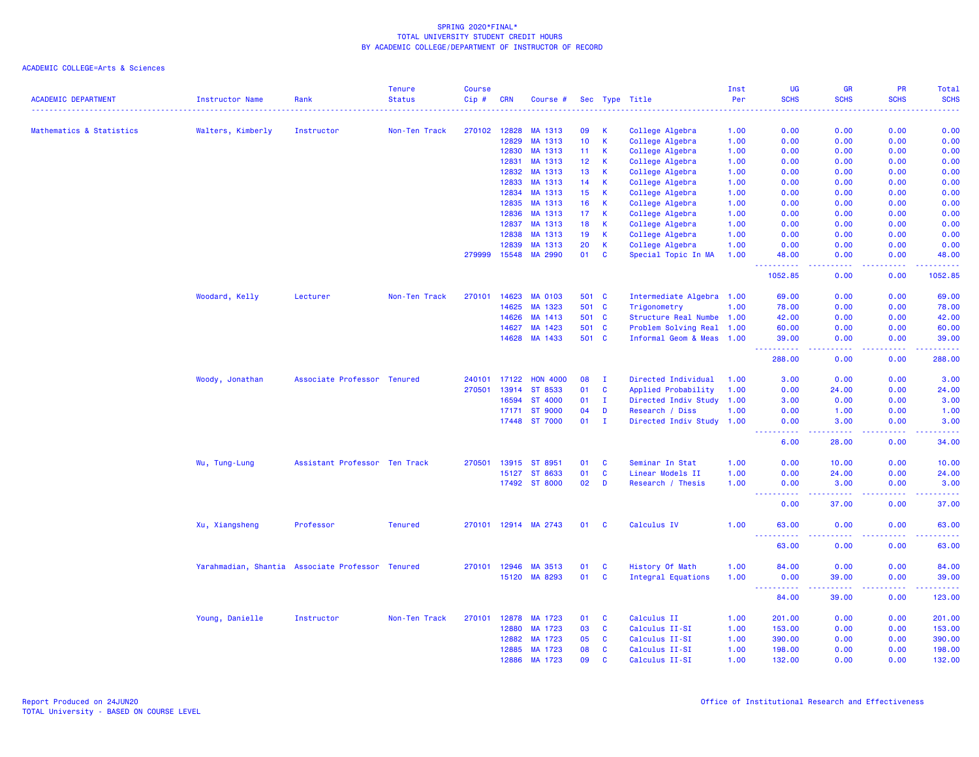| 0.00<br>Mathematics & Statistics<br>Walters, Kimberly<br>Instructor<br>Non-Ten Track<br>270102<br>12828<br>MA 1313<br>09<br>-K<br>College Algebra<br>0.00<br>0.00<br>0.00<br>1.00<br>$\mathbf{K}$<br>12829<br>10 <sub>1</sub><br>0.00<br>0.00<br>0.00<br>MA 1313<br>College Algebra<br>1.00<br>0.00<br>12830<br>MA 1313<br>11<br><b>K</b><br>College Algebra<br>1.00<br>0.00<br>0.00<br>0.00<br>0.00<br>12831<br>MA 1313<br>12<br>$\mathsf{K}$<br>College Algebra<br>0.00<br>0.00<br>0.00<br>0.00<br>1.00<br>$\mathbf{K}$<br>12832<br>MA 1313<br>13<br>College Algebra<br>0.00<br>0.00<br>0.00<br>1.00<br>12833<br>K<br>College Algebra<br>MA 1313<br>14<br>1.00<br>0.00<br>0.00<br>0.00<br>0.00<br>12834<br>MA 1313<br>15<br>$\mathsf{K}$<br>College Algebra<br>1.00<br>0.00<br>0.00<br>0.00<br>0.00<br>12835<br>MA 1313<br>$\mathbf{K}$<br>0.00<br>0.00<br>0.00<br>16<br>College Algebra<br>1.00<br>0.00<br>12836<br>MA 1313<br>17<br><b>K</b><br>College Algebra<br>1.00<br>0.00<br>0.00<br>0.00<br>0.00<br>MA 1313<br>$\mathsf{K}$<br>College Algebra<br>0.00<br>12837<br>18<br>1.00<br>0.00<br>0.00<br>0.00<br>12838<br>MA 1313<br>19<br>$\mathsf{K}$<br>College Algebra<br>0.00<br>0.00<br>0.00<br>0.00<br>1.00<br>12839<br>MA 1313<br>20<br><b>K</b><br>College Algebra<br>0.00<br>0.00<br>1.00<br>0.00<br>0.00<br>279999<br>15548<br>MA 2990<br>01<br>$\mathbf{C}$<br>Special Topic In MA<br>48.00<br>0.00<br>0.00<br>48.00<br>1.00<br>22 L<br>2.2.2.2.2<br>د د د د<br>د د د د .<br>.<br>1052.85<br>1052.85<br>0.00<br>0.00<br>Woodard, Kelly<br>270101<br>14623<br><b>MA 0103</b><br>Intermediate Algebra 1.00<br>0.00<br>69.00<br>Lecturer<br>Non-Ten Track<br>501 C<br>69.00<br>0.00<br>14625<br>MA 1323<br>501<br>1.00<br><b>C</b><br>Trigonometry<br>78.00<br>0.00<br>0.00<br>78.00<br>14626<br>MA 1413<br>501 C<br>Structure Real Numbe 1.00<br>42.00<br>0.00<br>0.00<br>42.00<br>14627<br>MA 1423<br>501 C<br>Problem Solving Real 1.00<br>60.00<br>0.00<br>0.00<br>60.00<br>MA 1433<br>14628<br>501<br>$\mathbf{C}$<br>Informal Geom & Meas 1.00<br>39.00<br>0.00<br>0.00<br>المتمام مناسب<br>والمسامين<br>.<br>.<br>288.00<br>0.00<br>0.00<br>Directed Individual<br>Woody, Jonathan<br>Associate Professor<br>Tenured<br>240101<br>17122<br><b>HON 4000</b><br>08<br>л.<br>1.00<br>3.00<br>0.00<br>0.00<br>3.00<br>270501<br>13914<br>ST 8533<br>01<br>$\mathbf{C}$<br>Applied Probability<br>0.00<br>24.00<br>0.00<br>24.00<br>1.00<br>16594<br>ST 4000<br>01<br>$\mathbf{I}$<br>Directed Indiv Study<br>3.00<br>0.00<br>0.00<br>3.00<br>1.00<br><b>ST 9000</b><br>04<br>D<br>0.00<br>1.00<br>17171<br>Research / Diss<br>1.00<br>0.00<br>1.00<br>17448 ST 7000<br>01<br>$\mathbf{I}$<br>Directed Indiv Study 1.00<br>3.00<br>0.00<br>3.00<br>0.00<br>.<br>.<br>.<br>.<br>6.00<br>28.00<br>0.00<br>Assistant Professor Ten Track<br>270501<br>13915<br>ST 8951<br>01<br>0.00<br>0.00<br>Wu, Tung-Lung<br>C<br>Seminar In Stat<br>1.00<br>10.00<br>01<br>$\mathbf{C}$<br>Linear Models II<br>0.00<br>24.00<br>15127<br>ST 8633<br>1.00<br>0.00<br>24.00<br>17492 ST 8000<br>02<br>D<br>Research / Thesis<br>0.00<br>1.00<br>0.00<br>3.00<br>3.00<br>444<br>.<br>$\frac{1}{2} \left( \frac{1}{2} \right) \left( \frac{1}{2} \right) \left( \frac{1}{2} \right) \left( \frac{1}{2} \right) \left( \frac{1}{2} \right)$<br>.<br>.<br>0.00<br>0.00<br>37.00<br>37.00<br><b>Tenured</b><br>270101 12914 MA 2743<br>Calculus IV<br>0.00<br>Xu, Xiangsheng<br>Professor<br>01<br>1.00<br>63.00<br>0.00<br>63.00<br><b>C</b><br>$\frac{1}{2} \left( \frac{1}{2} \right) \left( \frac{1}{2} \right) \left( \frac{1}{2} \right)$<br>---<br>.<br>.<br>.<br>63.00<br>0.00<br>0.00<br>Yarahmadian, Shantia Associate Professor<br>12946<br>MA 3513<br>$\mathbf{C}$<br>History Of Math<br>84.00<br>0.00<br>0.00<br><b>Tenured</b><br>270101<br>01<br>1.00<br>MA 8293<br>01<br>15120<br><b>C</b><br><b>Integral Equations</b><br>1.00<br>0.00<br>39.00<br>0.00<br>$  -$<br>.<br>.<br>.<br>.<br>84.00<br>0.00<br>39.00<br>Calculus II<br>Young, Danielle<br>Instructor<br>Non-Ten Track<br>270101<br>12878<br>MA 1723<br>01<br><b>C</b><br>1.00<br>201.00<br>0.00<br>0.00<br>201.00<br>12880<br>MA 1723<br>03<br>$\mathbf{C}$<br>Calculus II-SI<br>153.00<br>0.00<br>0.00<br>153.00<br>1.00<br>12882<br>MA 1723<br>05<br>$\mathbf{C}$<br>Calculus II-SI<br>0.00<br>390.00<br>1.00<br>390.00<br>0.00<br>12885<br>MA 1723<br>08<br>$\mathbf{C}$<br>Calculus II-SI<br>1.00<br>198.00<br>0.00<br>0.00<br>198.00<br>12886<br>MA 1723<br>09<br>$\mathbf{C}$<br>Calculus II-SI<br>1.00<br>132.00<br>0.00<br>0.00<br>132.00 | <b>ACADEMIC DEPARTMENT</b> | <b>Instructor Name</b> | Rank | <b>Tenure</b><br><b>Status</b> | <b>Course</b><br>Cip# | <b>CRN</b> | Course # |  | Sec Type Title | Inst<br>Per | UG<br><b>SCHS</b> | <b>GR</b><br><b>SCHS</b> | <b>PR</b><br><b>SCHS</b> | Total<br><b>SCHS</b> |
|-----------------------------------------------------------------------------------------------------------------------------------------------------------------------------------------------------------------------------------------------------------------------------------------------------------------------------------------------------------------------------------------------------------------------------------------------------------------------------------------------------------------------------------------------------------------------------------------------------------------------------------------------------------------------------------------------------------------------------------------------------------------------------------------------------------------------------------------------------------------------------------------------------------------------------------------------------------------------------------------------------------------------------------------------------------------------------------------------------------------------------------------------------------------------------------------------------------------------------------------------------------------------------------------------------------------------------------------------------------------------------------------------------------------------------------------------------------------------------------------------------------------------------------------------------------------------------------------------------------------------------------------------------------------------------------------------------------------------------------------------------------------------------------------------------------------------------------------------------------------------------------------------------------------------------------------------------------------------------------------------------------------------------------------------------------------------------------------------------------------------------------------------------------------------------------------------------------------------------------------------------------------------------------------------------------------------------------------------------------------------------------------------------------------------------------------------------------------------------------------------------------------------------------------------------------------------------------------------------------------------------------------------------------------------------------------------------------------------------------------------------------------------------------------------------------------------------------------------------------------------------------------------------------------------------------------------------------------------------------------------------------------------------------------------------------------------------------------------------------------------------------------------------------------------------------------------------------------------------------------------------------------------------------------------------------------------------------------------------------------------------------------------------------------------------------------------------------------------------------------------------------------------------------------------------------------------------------------------------------------------------------------------------------------------------------------------------------------------------------------------------------------------------------------------------------------------------------------------------------------------------------------------------------------------------------------------------------------------------------------------------------------------------------------------------------------------------------------------------------------------------------------------------------------------------------------------------------------------------------------------------------------------------------------------------------------------------------------------------------------------------------------------------------------------------------------------------------------------------------------------------------------------------------------------------------------------------------------------------------------------|----------------------------|------------------------|------|--------------------------------|-----------------------|------------|----------|--|----------------|-------------|-------------------|--------------------------|--------------------------|----------------------|
|                                                                                                                                                                                                                                                                                                                                                                                                                                                                                                                                                                                                                                                                                                                                                                                                                                                                                                                                                                                                                                                                                                                                                                                                                                                                                                                                                                                                                                                                                                                                                                                                                                                                                                                                                                                                                                                                                                                                                                                                                                                                                                                                                                                                                                                                                                                                                                                                                                                                                                                                                                                                                                                                                                                                                                                                                                                                                                                                                                                                                                                                                                                                                                                                                                                                                                                                                                                                                                                                                                                                                                                                                                                                                                                                                                                                                                                                                                                                                                                                                                                                                                                                                                                                                                                                                                                                                                                                                                                                                                                                                                                                                       |                            |                        |      |                                |                       |            |          |  |                |             |                   |                          |                          |                      |
|                                                                                                                                                                                                                                                                                                                                                                                                                                                                                                                                                                                                                                                                                                                                                                                                                                                                                                                                                                                                                                                                                                                                                                                                                                                                                                                                                                                                                                                                                                                                                                                                                                                                                                                                                                                                                                                                                                                                                                                                                                                                                                                                                                                                                                                                                                                                                                                                                                                                                                                                                                                                                                                                                                                                                                                                                                                                                                                                                                                                                                                                                                                                                                                                                                                                                                                                                                                                                                                                                                                                                                                                                                                                                                                                                                                                                                                                                                                                                                                                                                                                                                                                                                                                                                                                                                                                                                                                                                                                                                                                                                                                                       |                            |                        |      |                                |                       |            |          |  |                |             |                   |                          |                          |                      |
|                                                                                                                                                                                                                                                                                                                                                                                                                                                                                                                                                                                                                                                                                                                                                                                                                                                                                                                                                                                                                                                                                                                                                                                                                                                                                                                                                                                                                                                                                                                                                                                                                                                                                                                                                                                                                                                                                                                                                                                                                                                                                                                                                                                                                                                                                                                                                                                                                                                                                                                                                                                                                                                                                                                                                                                                                                                                                                                                                                                                                                                                                                                                                                                                                                                                                                                                                                                                                                                                                                                                                                                                                                                                                                                                                                                                                                                                                                                                                                                                                                                                                                                                                                                                                                                                                                                                                                                                                                                                                                                                                                                                                       |                            |                        |      |                                |                       |            |          |  |                |             |                   |                          |                          |                      |
|                                                                                                                                                                                                                                                                                                                                                                                                                                                                                                                                                                                                                                                                                                                                                                                                                                                                                                                                                                                                                                                                                                                                                                                                                                                                                                                                                                                                                                                                                                                                                                                                                                                                                                                                                                                                                                                                                                                                                                                                                                                                                                                                                                                                                                                                                                                                                                                                                                                                                                                                                                                                                                                                                                                                                                                                                                                                                                                                                                                                                                                                                                                                                                                                                                                                                                                                                                                                                                                                                                                                                                                                                                                                                                                                                                                                                                                                                                                                                                                                                                                                                                                                                                                                                                                                                                                                                                                                                                                                                                                                                                                                                       |                            |                        |      |                                |                       |            |          |  |                |             |                   |                          |                          |                      |
|                                                                                                                                                                                                                                                                                                                                                                                                                                                                                                                                                                                                                                                                                                                                                                                                                                                                                                                                                                                                                                                                                                                                                                                                                                                                                                                                                                                                                                                                                                                                                                                                                                                                                                                                                                                                                                                                                                                                                                                                                                                                                                                                                                                                                                                                                                                                                                                                                                                                                                                                                                                                                                                                                                                                                                                                                                                                                                                                                                                                                                                                                                                                                                                                                                                                                                                                                                                                                                                                                                                                                                                                                                                                                                                                                                                                                                                                                                                                                                                                                                                                                                                                                                                                                                                                                                                                                                                                                                                                                                                                                                                                                       |                            |                        |      |                                |                       |            |          |  |                |             |                   |                          |                          |                      |
|                                                                                                                                                                                                                                                                                                                                                                                                                                                                                                                                                                                                                                                                                                                                                                                                                                                                                                                                                                                                                                                                                                                                                                                                                                                                                                                                                                                                                                                                                                                                                                                                                                                                                                                                                                                                                                                                                                                                                                                                                                                                                                                                                                                                                                                                                                                                                                                                                                                                                                                                                                                                                                                                                                                                                                                                                                                                                                                                                                                                                                                                                                                                                                                                                                                                                                                                                                                                                                                                                                                                                                                                                                                                                                                                                                                                                                                                                                                                                                                                                                                                                                                                                                                                                                                                                                                                                                                                                                                                                                                                                                                                                       |                            |                        |      |                                |                       |            |          |  |                |             |                   |                          |                          | 0.00                 |
|                                                                                                                                                                                                                                                                                                                                                                                                                                                                                                                                                                                                                                                                                                                                                                                                                                                                                                                                                                                                                                                                                                                                                                                                                                                                                                                                                                                                                                                                                                                                                                                                                                                                                                                                                                                                                                                                                                                                                                                                                                                                                                                                                                                                                                                                                                                                                                                                                                                                                                                                                                                                                                                                                                                                                                                                                                                                                                                                                                                                                                                                                                                                                                                                                                                                                                                                                                                                                                                                                                                                                                                                                                                                                                                                                                                                                                                                                                                                                                                                                                                                                                                                                                                                                                                                                                                                                                                                                                                                                                                                                                                                                       |                            |                        |      |                                |                       |            |          |  |                |             |                   |                          |                          |                      |
|                                                                                                                                                                                                                                                                                                                                                                                                                                                                                                                                                                                                                                                                                                                                                                                                                                                                                                                                                                                                                                                                                                                                                                                                                                                                                                                                                                                                                                                                                                                                                                                                                                                                                                                                                                                                                                                                                                                                                                                                                                                                                                                                                                                                                                                                                                                                                                                                                                                                                                                                                                                                                                                                                                                                                                                                                                                                                                                                                                                                                                                                                                                                                                                                                                                                                                                                                                                                                                                                                                                                                                                                                                                                                                                                                                                                                                                                                                                                                                                                                                                                                                                                                                                                                                                                                                                                                                                                                                                                                                                                                                                                                       |                            |                        |      |                                |                       |            |          |  |                |             |                   |                          |                          |                      |
|                                                                                                                                                                                                                                                                                                                                                                                                                                                                                                                                                                                                                                                                                                                                                                                                                                                                                                                                                                                                                                                                                                                                                                                                                                                                                                                                                                                                                                                                                                                                                                                                                                                                                                                                                                                                                                                                                                                                                                                                                                                                                                                                                                                                                                                                                                                                                                                                                                                                                                                                                                                                                                                                                                                                                                                                                                                                                                                                                                                                                                                                                                                                                                                                                                                                                                                                                                                                                                                                                                                                                                                                                                                                                                                                                                                                                                                                                                                                                                                                                                                                                                                                                                                                                                                                                                                                                                                                                                                                                                                                                                                                                       |                            |                        |      |                                |                       |            |          |  |                |             |                   |                          |                          |                      |
|                                                                                                                                                                                                                                                                                                                                                                                                                                                                                                                                                                                                                                                                                                                                                                                                                                                                                                                                                                                                                                                                                                                                                                                                                                                                                                                                                                                                                                                                                                                                                                                                                                                                                                                                                                                                                                                                                                                                                                                                                                                                                                                                                                                                                                                                                                                                                                                                                                                                                                                                                                                                                                                                                                                                                                                                                                                                                                                                                                                                                                                                                                                                                                                                                                                                                                                                                                                                                                                                                                                                                                                                                                                                                                                                                                                                                                                                                                                                                                                                                                                                                                                                                                                                                                                                                                                                                                                                                                                                                                                                                                                                                       |                            |                        |      |                                |                       |            |          |  |                |             |                   |                          |                          |                      |
|                                                                                                                                                                                                                                                                                                                                                                                                                                                                                                                                                                                                                                                                                                                                                                                                                                                                                                                                                                                                                                                                                                                                                                                                                                                                                                                                                                                                                                                                                                                                                                                                                                                                                                                                                                                                                                                                                                                                                                                                                                                                                                                                                                                                                                                                                                                                                                                                                                                                                                                                                                                                                                                                                                                                                                                                                                                                                                                                                                                                                                                                                                                                                                                                                                                                                                                                                                                                                                                                                                                                                                                                                                                                                                                                                                                                                                                                                                                                                                                                                                                                                                                                                                                                                                                                                                                                                                                                                                                                                                                                                                                                                       |                            |                        |      |                                |                       |            |          |  |                |             |                   |                          |                          |                      |
|                                                                                                                                                                                                                                                                                                                                                                                                                                                                                                                                                                                                                                                                                                                                                                                                                                                                                                                                                                                                                                                                                                                                                                                                                                                                                                                                                                                                                                                                                                                                                                                                                                                                                                                                                                                                                                                                                                                                                                                                                                                                                                                                                                                                                                                                                                                                                                                                                                                                                                                                                                                                                                                                                                                                                                                                                                                                                                                                                                                                                                                                                                                                                                                                                                                                                                                                                                                                                                                                                                                                                                                                                                                                                                                                                                                                                                                                                                                                                                                                                                                                                                                                                                                                                                                                                                                                                                                                                                                                                                                                                                                                                       |                            |                        |      |                                |                       |            |          |  |                |             |                   |                          |                          |                      |
|                                                                                                                                                                                                                                                                                                                                                                                                                                                                                                                                                                                                                                                                                                                                                                                                                                                                                                                                                                                                                                                                                                                                                                                                                                                                                                                                                                                                                                                                                                                                                                                                                                                                                                                                                                                                                                                                                                                                                                                                                                                                                                                                                                                                                                                                                                                                                                                                                                                                                                                                                                                                                                                                                                                                                                                                                                                                                                                                                                                                                                                                                                                                                                                                                                                                                                                                                                                                                                                                                                                                                                                                                                                                                                                                                                                                                                                                                                                                                                                                                                                                                                                                                                                                                                                                                                                                                                                                                                                                                                                                                                                                                       |                            |                        |      |                                |                       |            |          |  |                |             |                   |                          |                          |                      |
|                                                                                                                                                                                                                                                                                                                                                                                                                                                                                                                                                                                                                                                                                                                                                                                                                                                                                                                                                                                                                                                                                                                                                                                                                                                                                                                                                                                                                                                                                                                                                                                                                                                                                                                                                                                                                                                                                                                                                                                                                                                                                                                                                                                                                                                                                                                                                                                                                                                                                                                                                                                                                                                                                                                                                                                                                                                                                                                                                                                                                                                                                                                                                                                                                                                                                                                                                                                                                                                                                                                                                                                                                                                                                                                                                                                                                                                                                                                                                                                                                                                                                                                                                                                                                                                                                                                                                                                                                                                                                                                                                                                                                       |                            |                        |      |                                |                       |            |          |  |                |             |                   |                          |                          |                      |
|                                                                                                                                                                                                                                                                                                                                                                                                                                                                                                                                                                                                                                                                                                                                                                                                                                                                                                                                                                                                                                                                                                                                                                                                                                                                                                                                                                                                                                                                                                                                                                                                                                                                                                                                                                                                                                                                                                                                                                                                                                                                                                                                                                                                                                                                                                                                                                                                                                                                                                                                                                                                                                                                                                                                                                                                                                                                                                                                                                                                                                                                                                                                                                                                                                                                                                                                                                                                                                                                                                                                                                                                                                                                                                                                                                                                                                                                                                                                                                                                                                                                                                                                                                                                                                                                                                                                                                                                                                                                                                                                                                                                                       |                            |                        |      |                                |                       |            |          |  |                |             |                   |                          |                          |                      |
|                                                                                                                                                                                                                                                                                                                                                                                                                                                                                                                                                                                                                                                                                                                                                                                                                                                                                                                                                                                                                                                                                                                                                                                                                                                                                                                                                                                                                                                                                                                                                                                                                                                                                                                                                                                                                                                                                                                                                                                                                                                                                                                                                                                                                                                                                                                                                                                                                                                                                                                                                                                                                                                                                                                                                                                                                                                                                                                                                                                                                                                                                                                                                                                                                                                                                                                                                                                                                                                                                                                                                                                                                                                                                                                                                                                                                                                                                                                                                                                                                                                                                                                                                                                                                                                                                                                                                                                                                                                                                                                                                                                                                       |                            |                        |      |                                |                       |            |          |  |                |             |                   |                          |                          |                      |
|                                                                                                                                                                                                                                                                                                                                                                                                                                                                                                                                                                                                                                                                                                                                                                                                                                                                                                                                                                                                                                                                                                                                                                                                                                                                                                                                                                                                                                                                                                                                                                                                                                                                                                                                                                                                                                                                                                                                                                                                                                                                                                                                                                                                                                                                                                                                                                                                                                                                                                                                                                                                                                                                                                                                                                                                                                                                                                                                                                                                                                                                                                                                                                                                                                                                                                                                                                                                                                                                                                                                                                                                                                                                                                                                                                                                                                                                                                                                                                                                                                                                                                                                                                                                                                                                                                                                                                                                                                                                                                                                                                                                                       |                            |                        |      |                                |                       |            |          |  |                |             |                   |                          |                          |                      |
|                                                                                                                                                                                                                                                                                                                                                                                                                                                                                                                                                                                                                                                                                                                                                                                                                                                                                                                                                                                                                                                                                                                                                                                                                                                                                                                                                                                                                                                                                                                                                                                                                                                                                                                                                                                                                                                                                                                                                                                                                                                                                                                                                                                                                                                                                                                                                                                                                                                                                                                                                                                                                                                                                                                                                                                                                                                                                                                                                                                                                                                                                                                                                                                                                                                                                                                                                                                                                                                                                                                                                                                                                                                                                                                                                                                                                                                                                                                                                                                                                                                                                                                                                                                                                                                                                                                                                                                                                                                                                                                                                                                                                       |                            |                        |      |                                |                       |            |          |  |                |             |                   |                          |                          |                      |
|                                                                                                                                                                                                                                                                                                                                                                                                                                                                                                                                                                                                                                                                                                                                                                                                                                                                                                                                                                                                                                                                                                                                                                                                                                                                                                                                                                                                                                                                                                                                                                                                                                                                                                                                                                                                                                                                                                                                                                                                                                                                                                                                                                                                                                                                                                                                                                                                                                                                                                                                                                                                                                                                                                                                                                                                                                                                                                                                                                                                                                                                                                                                                                                                                                                                                                                                                                                                                                                                                                                                                                                                                                                                                                                                                                                                                                                                                                                                                                                                                                                                                                                                                                                                                                                                                                                                                                                                                                                                                                                                                                                                                       |                            |                        |      |                                |                       |            |          |  |                |             |                   |                          |                          |                      |
|                                                                                                                                                                                                                                                                                                                                                                                                                                                                                                                                                                                                                                                                                                                                                                                                                                                                                                                                                                                                                                                                                                                                                                                                                                                                                                                                                                                                                                                                                                                                                                                                                                                                                                                                                                                                                                                                                                                                                                                                                                                                                                                                                                                                                                                                                                                                                                                                                                                                                                                                                                                                                                                                                                                                                                                                                                                                                                                                                                                                                                                                                                                                                                                                                                                                                                                                                                                                                                                                                                                                                                                                                                                                                                                                                                                                                                                                                                                                                                                                                                                                                                                                                                                                                                                                                                                                                                                                                                                                                                                                                                                                                       |                            |                        |      |                                |                       |            |          |  |                |             |                   |                          |                          | 39.00                |
|                                                                                                                                                                                                                                                                                                                                                                                                                                                                                                                                                                                                                                                                                                                                                                                                                                                                                                                                                                                                                                                                                                                                                                                                                                                                                                                                                                                                                                                                                                                                                                                                                                                                                                                                                                                                                                                                                                                                                                                                                                                                                                                                                                                                                                                                                                                                                                                                                                                                                                                                                                                                                                                                                                                                                                                                                                                                                                                                                                                                                                                                                                                                                                                                                                                                                                                                                                                                                                                                                                                                                                                                                                                                                                                                                                                                                                                                                                                                                                                                                                                                                                                                                                                                                                                                                                                                                                                                                                                                                                                                                                                                                       |                            |                        |      |                                |                       |            |          |  |                |             |                   |                          |                          | 288.00               |
|                                                                                                                                                                                                                                                                                                                                                                                                                                                                                                                                                                                                                                                                                                                                                                                                                                                                                                                                                                                                                                                                                                                                                                                                                                                                                                                                                                                                                                                                                                                                                                                                                                                                                                                                                                                                                                                                                                                                                                                                                                                                                                                                                                                                                                                                                                                                                                                                                                                                                                                                                                                                                                                                                                                                                                                                                                                                                                                                                                                                                                                                                                                                                                                                                                                                                                                                                                                                                                                                                                                                                                                                                                                                                                                                                                                                                                                                                                                                                                                                                                                                                                                                                                                                                                                                                                                                                                                                                                                                                                                                                                                                                       |                            |                        |      |                                |                       |            |          |  |                |             |                   |                          |                          |                      |
|                                                                                                                                                                                                                                                                                                                                                                                                                                                                                                                                                                                                                                                                                                                                                                                                                                                                                                                                                                                                                                                                                                                                                                                                                                                                                                                                                                                                                                                                                                                                                                                                                                                                                                                                                                                                                                                                                                                                                                                                                                                                                                                                                                                                                                                                                                                                                                                                                                                                                                                                                                                                                                                                                                                                                                                                                                                                                                                                                                                                                                                                                                                                                                                                                                                                                                                                                                                                                                                                                                                                                                                                                                                                                                                                                                                                                                                                                                                                                                                                                                                                                                                                                                                                                                                                                                                                                                                                                                                                                                                                                                                                                       |                            |                        |      |                                |                       |            |          |  |                |             |                   |                          |                          |                      |
|                                                                                                                                                                                                                                                                                                                                                                                                                                                                                                                                                                                                                                                                                                                                                                                                                                                                                                                                                                                                                                                                                                                                                                                                                                                                                                                                                                                                                                                                                                                                                                                                                                                                                                                                                                                                                                                                                                                                                                                                                                                                                                                                                                                                                                                                                                                                                                                                                                                                                                                                                                                                                                                                                                                                                                                                                                                                                                                                                                                                                                                                                                                                                                                                                                                                                                                                                                                                                                                                                                                                                                                                                                                                                                                                                                                                                                                                                                                                                                                                                                                                                                                                                                                                                                                                                                                                                                                                                                                                                                                                                                                                                       |                            |                        |      |                                |                       |            |          |  |                |             |                   |                          |                          |                      |
|                                                                                                                                                                                                                                                                                                                                                                                                                                                                                                                                                                                                                                                                                                                                                                                                                                                                                                                                                                                                                                                                                                                                                                                                                                                                                                                                                                                                                                                                                                                                                                                                                                                                                                                                                                                                                                                                                                                                                                                                                                                                                                                                                                                                                                                                                                                                                                                                                                                                                                                                                                                                                                                                                                                                                                                                                                                                                                                                                                                                                                                                                                                                                                                                                                                                                                                                                                                                                                                                                                                                                                                                                                                                                                                                                                                                                                                                                                                                                                                                                                                                                                                                                                                                                                                                                                                                                                                                                                                                                                                                                                                                                       |                            |                        |      |                                |                       |            |          |  |                |             |                   |                          |                          |                      |
|                                                                                                                                                                                                                                                                                                                                                                                                                                                                                                                                                                                                                                                                                                                                                                                                                                                                                                                                                                                                                                                                                                                                                                                                                                                                                                                                                                                                                                                                                                                                                                                                                                                                                                                                                                                                                                                                                                                                                                                                                                                                                                                                                                                                                                                                                                                                                                                                                                                                                                                                                                                                                                                                                                                                                                                                                                                                                                                                                                                                                                                                                                                                                                                                                                                                                                                                                                                                                                                                                                                                                                                                                                                                                                                                                                                                                                                                                                                                                                                                                                                                                                                                                                                                                                                                                                                                                                                                                                                                                                                                                                                                                       |                            |                        |      |                                |                       |            |          |  |                |             |                   |                          |                          |                      |
|                                                                                                                                                                                                                                                                                                                                                                                                                                                                                                                                                                                                                                                                                                                                                                                                                                                                                                                                                                                                                                                                                                                                                                                                                                                                                                                                                                                                                                                                                                                                                                                                                                                                                                                                                                                                                                                                                                                                                                                                                                                                                                                                                                                                                                                                                                                                                                                                                                                                                                                                                                                                                                                                                                                                                                                                                                                                                                                                                                                                                                                                                                                                                                                                                                                                                                                                                                                                                                                                                                                                                                                                                                                                                                                                                                                                                                                                                                                                                                                                                                                                                                                                                                                                                                                                                                                                                                                                                                                                                                                                                                                                                       |                            |                        |      |                                |                       |            |          |  |                |             |                   |                          |                          |                      |
|                                                                                                                                                                                                                                                                                                                                                                                                                                                                                                                                                                                                                                                                                                                                                                                                                                                                                                                                                                                                                                                                                                                                                                                                                                                                                                                                                                                                                                                                                                                                                                                                                                                                                                                                                                                                                                                                                                                                                                                                                                                                                                                                                                                                                                                                                                                                                                                                                                                                                                                                                                                                                                                                                                                                                                                                                                                                                                                                                                                                                                                                                                                                                                                                                                                                                                                                                                                                                                                                                                                                                                                                                                                                                                                                                                                                                                                                                                                                                                                                                                                                                                                                                                                                                                                                                                                                                                                                                                                                                                                                                                                                                       |                            |                        |      |                                |                       |            |          |  |                |             |                   |                          |                          | 34.00                |
|                                                                                                                                                                                                                                                                                                                                                                                                                                                                                                                                                                                                                                                                                                                                                                                                                                                                                                                                                                                                                                                                                                                                                                                                                                                                                                                                                                                                                                                                                                                                                                                                                                                                                                                                                                                                                                                                                                                                                                                                                                                                                                                                                                                                                                                                                                                                                                                                                                                                                                                                                                                                                                                                                                                                                                                                                                                                                                                                                                                                                                                                                                                                                                                                                                                                                                                                                                                                                                                                                                                                                                                                                                                                                                                                                                                                                                                                                                                                                                                                                                                                                                                                                                                                                                                                                                                                                                                                                                                                                                                                                                                                                       |                            |                        |      |                                |                       |            |          |  |                |             |                   |                          |                          | 10.00                |
|                                                                                                                                                                                                                                                                                                                                                                                                                                                                                                                                                                                                                                                                                                                                                                                                                                                                                                                                                                                                                                                                                                                                                                                                                                                                                                                                                                                                                                                                                                                                                                                                                                                                                                                                                                                                                                                                                                                                                                                                                                                                                                                                                                                                                                                                                                                                                                                                                                                                                                                                                                                                                                                                                                                                                                                                                                                                                                                                                                                                                                                                                                                                                                                                                                                                                                                                                                                                                                                                                                                                                                                                                                                                                                                                                                                                                                                                                                                                                                                                                                                                                                                                                                                                                                                                                                                                                                                                                                                                                                                                                                                                                       |                            |                        |      |                                |                       |            |          |  |                |             |                   |                          |                          |                      |
|                                                                                                                                                                                                                                                                                                                                                                                                                                                                                                                                                                                                                                                                                                                                                                                                                                                                                                                                                                                                                                                                                                                                                                                                                                                                                                                                                                                                                                                                                                                                                                                                                                                                                                                                                                                                                                                                                                                                                                                                                                                                                                                                                                                                                                                                                                                                                                                                                                                                                                                                                                                                                                                                                                                                                                                                                                                                                                                                                                                                                                                                                                                                                                                                                                                                                                                                                                                                                                                                                                                                                                                                                                                                                                                                                                                                                                                                                                                                                                                                                                                                                                                                                                                                                                                                                                                                                                                                                                                                                                                                                                                                                       |                            |                        |      |                                |                       |            |          |  |                |             |                   |                          |                          |                      |
|                                                                                                                                                                                                                                                                                                                                                                                                                                                                                                                                                                                                                                                                                                                                                                                                                                                                                                                                                                                                                                                                                                                                                                                                                                                                                                                                                                                                                                                                                                                                                                                                                                                                                                                                                                                                                                                                                                                                                                                                                                                                                                                                                                                                                                                                                                                                                                                                                                                                                                                                                                                                                                                                                                                                                                                                                                                                                                                                                                                                                                                                                                                                                                                                                                                                                                                                                                                                                                                                                                                                                                                                                                                                                                                                                                                                                                                                                                                                                                                                                                                                                                                                                                                                                                                                                                                                                                                                                                                                                                                                                                                                                       |                            |                        |      |                                |                       |            |          |  |                |             |                   |                          |                          |                      |
|                                                                                                                                                                                                                                                                                                                                                                                                                                                                                                                                                                                                                                                                                                                                                                                                                                                                                                                                                                                                                                                                                                                                                                                                                                                                                                                                                                                                                                                                                                                                                                                                                                                                                                                                                                                                                                                                                                                                                                                                                                                                                                                                                                                                                                                                                                                                                                                                                                                                                                                                                                                                                                                                                                                                                                                                                                                                                                                                                                                                                                                                                                                                                                                                                                                                                                                                                                                                                                                                                                                                                                                                                                                                                                                                                                                                                                                                                                                                                                                                                                                                                                                                                                                                                                                                                                                                                                                                                                                                                                                                                                                                                       |                            |                        |      |                                |                       |            |          |  |                |             |                   |                          |                          |                      |
|                                                                                                                                                                                                                                                                                                                                                                                                                                                                                                                                                                                                                                                                                                                                                                                                                                                                                                                                                                                                                                                                                                                                                                                                                                                                                                                                                                                                                                                                                                                                                                                                                                                                                                                                                                                                                                                                                                                                                                                                                                                                                                                                                                                                                                                                                                                                                                                                                                                                                                                                                                                                                                                                                                                                                                                                                                                                                                                                                                                                                                                                                                                                                                                                                                                                                                                                                                                                                                                                                                                                                                                                                                                                                                                                                                                                                                                                                                                                                                                                                                                                                                                                                                                                                                                                                                                                                                                                                                                                                                                                                                                                                       |                            |                        |      |                                |                       |            |          |  |                |             |                   |                          |                          | 63.00                |
|                                                                                                                                                                                                                                                                                                                                                                                                                                                                                                                                                                                                                                                                                                                                                                                                                                                                                                                                                                                                                                                                                                                                                                                                                                                                                                                                                                                                                                                                                                                                                                                                                                                                                                                                                                                                                                                                                                                                                                                                                                                                                                                                                                                                                                                                                                                                                                                                                                                                                                                                                                                                                                                                                                                                                                                                                                                                                                                                                                                                                                                                                                                                                                                                                                                                                                                                                                                                                                                                                                                                                                                                                                                                                                                                                                                                                                                                                                                                                                                                                                                                                                                                                                                                                                                                                                                                                                                                                                                                                                                                                                                                                       |                            |                        |      |                                |                       |            |          |  |                |             |                   |                          |                          | 84.00                |
|                                                                                                                                                                                                                                                                                                                                                                                                                                                                                                                                                                                                                                                                                                                                                                                                                                                                                                                                                                                                                                                                                                                                                                                                                                                                                                                                                                                                                                                                                                                                                                                                                                                                                                                                                                                                                                                                                                                                                                                                                                                                                                                                                                                                                                                                                                                                                                                                                                                                                                                                                                                                                                                                                                                                                                                                                                                                                                                                                                                                                                                                                                                                                                                                                                                                                                                                                                                                                                                                                                                                                                                                                                                                                                                                                                                                                                                                                                                                                                                                                                                                                                                                                                                                                                                                                                                                                                                                                                                                                                                                                                                                                       |                            |                        |      |                                |                       |            |          |  |                |             |                   |                          |                          | 39.00                |
|                                                                                                                                                                                                                                                                                                                                                                                                                                                                                                                                                                                                                                                                                                                                                                                                                                                                                                                                                                                                                                                                                                                                                                                                                                                                                                                                                                                                                                                                                                                                                                                                                                                                                                                                                                                                                                                                                                                                                                                                                                                                                                                                                                                                                                                                                                                                                                                                                                                                                                                                                                                                                                                                                                                                                                                                                                                                                                                                                                                                                                                                                                                                                                                                                                                                                                                                                                                                                                                                                                                                                                                                                                                                                                                                                                                                                                                                                                                                                                                                                                                                                                                                                                                                                                                                                                                                                                                                                                                                                                                                                                                                                       |                            |                        |      |                                |                       |            |          |  |                |             |                   |                          |                          | 123.00               |
|                                                                                                                                                                                                                                                                                                                                                                                                                                                                                                                                                                                                                                                                                                                                                                                                                                                                                                                                                                                                                                                                                                                                                                                                                                                                                                                                                                                                                                                                                                                                                                                                                                                                                                                                                                                                                                                                                                                                                                                                                                                                                                                                                                                                                                                                                                                                                                                                                                                                                                                                                                                                                                                                                                                                                                                                                                                                                                                                                                                                                                                                                                                                                                                                                                                                                                                                                                                                                                                                                                                                                                                                                                                                                                                                                                                                                                                                                                                                                                                                                                                                                                                                                                                                                                                                                                                                                                                                                                                                                                                                                                                                                       |                            |                        |      |                                |                       |            |          |  |                |             |                   |                          |                          |                      |
|                                                                                                                                                                                                                                                                                                                                                                                                                                                                                                                                                                                                                                                                                                                                                                                                                                                                                                                                                                                                                                                                                                                                                                                                                                                                                                                                                                                                                                                                                                                                                                                                                                                                                                                                                                                                                                                                                                                                                                                                                                                                                                                                                                                                                                                                                                                                                                                                                                                                                                                                                                                                                                                                                                                                                                                                                                                                                                                                                                                                                                                                                                                                                                                                                                                                                                                                                                                                                                                                                                                                                                                                                                                                                                                                                                                                                                                                                                                                                                                                                                                                                                                                                                                                                                                                                                                                                                                                                                                                                                                                                                                                                       |                            |                        |      |                                |                       |            |          |  |                |             |                   |                          |                          |                      |
|                                                                                                                                                                                                                                                                                                                                                                                                                                                                                                                                                                                                                                                                                                                                                                                                                                                                                                                                                                                                                                                                                                                                                                                                                                                                                                                                                                                                                                                                                                                                                                                                                                                                                                                                                                                                                                                                                                                                                                                                                                                                                                                                                                                                                                                                                                                                                                                                                                                                                                                                                                                                                                                                                                                                                                                                                                                                                                                                                                                                                                                                                                                                                                                                                                                                                                                                                                                                                                                                                                                                                                                                                                                                                                                                                                                                                                                                                                                                                                                                                                                                                                                                                                                                                                                                                                                                                                                                                                                                                                                                                                                                                       |                            |                        |      |                                |                       |            |          |  |                |             |                   |                          |                          |                      |
|                                                                                                                                                                                                                                                                                                                                                                                                                                                                                                                                                                                                                                                                                                                                                                                                                                                                                                                                                                                                                                                                                                                                                                                                                                                                                                                                                                                                                                                                                                                                                                                                                                                                                                                                                                                                                                                                                                                                                                                                                                                                                                                                                                                                                                                                                                                                                                                                                                                                                                                                                                                                                                                                                                                                                                                                                                                                                                                                                                                                                                                                                                                                                                                                                                                                                                                                                                                                                                                                                                                                                                                                                                                                                                                                                                                                                                                                                                                                                                                                                                                                                                                                                                                                                                                                                                                                                                                                                                                                                                                                                                                                                       |                            |                        |      |                                |                       |            |          |  |                |             |                   |                          |                          |                      |
|                                                                                                                                                                                                                                                                                                                                                                                                                                                                                                                                                                                                                                                                                                                                                                                                                                                                                                                                                                                                                                                                                                                                                                                                                                                                                                                                                                                                                                                                                                                                                                                                                                                                                                                                                                                                                                                                                                                                                                                                                                                                                                                                                                                                                                                                                                                                                                                                                                                                                                                                                                                                                                                                                                                                                                                                                                                                                                                                                                                                                                                                                                                                                                                                                                                                                                                                                                                                                                                                                                                                                                                                                                                                                                                                                                                                                                                                                                                                                                                                                                                                                                                                                                                                                                                                                                                                                                                                                                                                                                                                                                                                                       |                            |                        |      |                                |                       |            |          |  |                |             |                   |                          |                          |                      |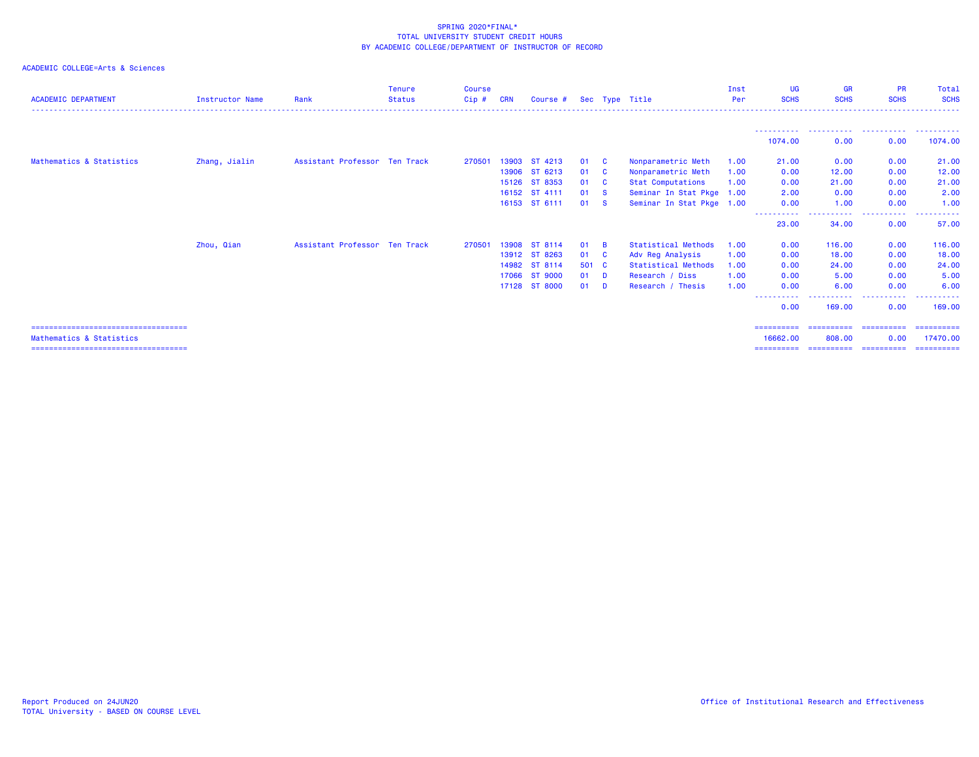| <b>ACADEMIC DEPARTMENT</b>             | <b>Instructor Name</b> | Rank                          | <b>Tenure</b><br><b>Status</b> | <b>Course</b><br>Cip# | <b>CRN</b> | Course #      |       |                | Sec Type Title            | Inst<br>Per | UG<br><b>SCHS</b>    | <b>GR</b><br><b>SCHS</b> | <b>PR</b><br><b>SCHS</b> | Total<br><b>SCHS</b>  |
|----------------------------------------|------------------------|-------------------------------|--------------------------------|-----------------------|------------|---------------|-------|----------------|---------------------------|-------------|----------------------|--------------------------|--------------------------|-----------------------|
|                                        |                        |                               |                                |                       |            |               |       |                |                           |             |                      |                          |                          |                       |
|                                        |                        |                               |                                |                       |            |               |       |                |                           |             | 1074.00              | 0.00                     | 0.00                     | 1074.00               |
| Mathematics & Statistics               | Zhang, Jialin          | Assistant Professor Ten Track |                                | 270501                | 13903      | ST 4213       | 01    | <b>C</b>       | Nonparametric Meth        | 1.00        | 21.00                | 0.00                     | 0.00                     | 21.00                 |
|                                        |                        |                               |                                |                       |            | 13906 ST 6213 | 01    | - C            | Nonparametric Meth        | 1.00        | 0.00                 | 12.00                    | 0.00                     | 12.00                 |
|                                        |                        |                               |                                |                       |            | 15126 ST 8353 | 01    | - C            | <b>Stat Computations</b>  | 1.00        | 0.00                 | 21.00                    | 0.00                     | 21.00                 |
|                                        |                        |                               |                                |                       |            | 16152 ST 4111 | 01    | - S            | Seminar In Stat Pkge 1.00 |             | 2.00                 | 0.00                     | 0.00                     | 2.00                  |
|                                        |                        |                               |                                |                       |            | 16153 ST 6111 | 01    | - S            | Seminar In Stat Pkge 1.00 |             | 0.00                 | 1.00                     | 0.00                     | 1.00                  |
|                                        |                        |                               |                                |                       |            |               |       |                |                           |             | -----------<br>23.00 | -----------<br>34.00     | .<br>0.00                | . <b>.</b> .<br>57.00 |
|                                        | Zhou, Qian             | Assistant Professor Ten Track |                                | 270501                | 13908      | ST 8114       | 01    | $\overline{B}$ | Statistical Methods       | 1.00        | 0.00                 | 116,00                   | 0.00                     | 116.00                |
|                                        |                        |                               |                                |                       |            | 13912 ST 8263 | 01    | <b>C</b>       | Adv Reg Analysis          | 1.00        | 0.00                 | 18.00                    | 0.00                     | 18.00                 |
|                                        |                        |                               |                                |                       | 14982      | ST 8114       | 501 C |                | Statistical Methods       | 1.00        | 0.00                 | 24,00                    | 0.00                     | 24.00                 |
|                                        |                        |                               |                                |                       | 17066      | ST 9000       | 01    | $\blacksquare$ | Research / Diss           | 1.00        | 0.00                 | 5.00                     | 0.00                     | 5.00                  |
|                                        |                        |                               |                                |                       |            | 17128 ST 8000 | 01    | <b>D</b>       | Research / Thesis         | 1.00        | 0.00                 | 6.00                     | 0.00                     | 6.00                  |
|                                        |                        |                               |                                |                       |            |               |       |                |                           |             | ----------<br>0.00   | .<br>169,00              | .<br>-----<br>0.00       | ----------<br>169,00  |
| -------------------------------------  |                        |                               |                                |                       |            |               |       |                |                           |             | ==========           | ==========               | ==========               | ==========            |
| Mathematics & Statistics               |                        |                               |                                |                       |            |               |       |                |                           |             | 16662.00             | 808,00                   | 0.00                     | 17470.00              |
| ====================================== |                        |                               |                                |                       |            |               |       |                |                           |             |                      |                          |                          |                       |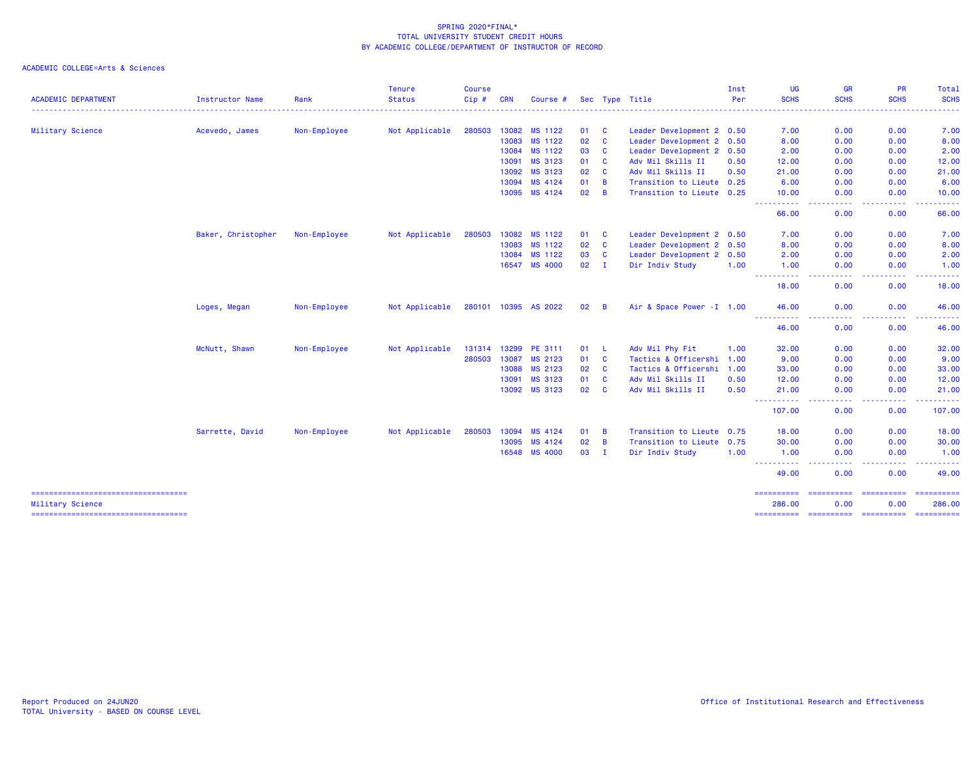|                                                           |                        |              | <b>Tenure</b>  | <b>Course</b> |            |                      |    |                |                            | Inst | UG                                                                                                                                      | <b>GR</b>                                                                                                                         | <b>PR</b>            | Total                 |
|-----------------------------------------------------------|------------------------|--------------|----------------|---------------|------------|----------------------|----|----------------|----------------------------|------|-----------------------------------------------------------------------------------------------------------------------------------------|-----------------------------------------------------------------------------------------------------------------------------------|----------------------|-----------------------|
| <b>ACADEMIC DEPARTMENT</b>                                | <b>Instructor Name</b> | Rank         | <b>Status</b>  | Cip#          | <b>CRN</b> | Course #             |    |                | Sec Type Title             | Per  | <b>SCHS</b>                                                                                                                             | <b>SCHS</b>                                                                                                                       | <b>SCHS</b>          | <b>SCHS</b>           |
| Military Science                                          | Acevedo, James         | Non-Employee | Not Applicable | 280503        | 13082      | MS 1122              | 01 | <b>C</b>       | Leader Development 2 0.50  |      | 7.00                                                                                                                                    | 0.00                                                                                                                              | 0.00                 | 7.00                  |
|                                                           |                        |              |                |               | 13083      | MS 1122              | 02 | $\mathbf{C}$   | Leader Development 2 0.50  |      | 8.00                                                                                                                                    | 0.00                                                                                                                              | 0.00                 | 8.00                  |
|                                                           |                        |              |                |               | 13084      | MS 1122              | 03 | $\mathbf{C}$   | Leader Development 2 0.50  |      | 2.00                                                                                                                                    | 0.00                                                                                                                              | 0.00                 | 2.00                  |
|                                                           |                        |              |                |               | 13091      | MS 3123              | 01 | $\mathbf{C}$   | Adv Mil Skills II          | 0.50 | 12.00                                                                                                                                   | 0.00                                                                                                                              | 0.00                 | 12.00                 |
|                                                           |                        |              |                |               | 13092      | MS 3123              | 02 | C              | Adv Mil Skills II          | 0.50 | 21.00                                                                                                                                   | 0.00                                                                                                                              | 0.00                 | 21.00                 |
|                                                           |                        |              |                |               | 13094      | MS 4124              | 01 | $\overline{B}$ | Transition to Lieute 0.25  |      | 6.00                                                                                                                                    | 0.00                                                                                                                              | 0.00                 | 6.00                  |
|                                                           |                        |              |                |               | 13095      | MS 4124              | 02 | $\overline{B}$ | Transition to Lieute 0.25  |      | 10.00                                                                                                                                   | 0.00                                                                                                                              | 0.00                 | 10.00                 |
|                                                           |                        |              |                |               |            |                      |    |                |                            |      | . <b>.</b> .<br>66.00                                                                                                                   | ----<br>0.00                                                                                                                      | . <b>.</b> .<br>0.00 | .<br>66.00            |
|                                                           | Baker, Christopher     | Non-Employee | Not Applicable | 280503        | 13082      | MS 1122              | 01 | <b>C</b>       | Leader Development 2 0.50  |      | 7.00                                                                                                                                    | 0.00                                                                                                                              | 0.00                 | 7.00                  |
|                                                           |                        |              |                |               | 13083      | MS 1122              | 02 | C              | Leader Development 2 0.50  |      | 8.00                                                                                                                                    | 0.00                                                                                                                              | 0.00                 | 8.00                  |
|                                                           |                        |              |                |               | 13084      | MS 1122              | 03 | $\mathbf{C}$   | Leader Development 2 0.50  |      | 2.00                                                                                                                                    | 0.00                                                                                                                              | 0.00                 | 2.00                  |
|                                                           |                        |              |                |               | 16547      | <b>MS 4000</b>       | 02 | $\mathbf I$    | Dir Indiv Study            | 1.00 | 1.00                                                                                                                                    | 0.00                                                                                                                              | 0.00                 | 1.00                  |
|                                                           |                        |              |                |               |            |                      |    |                |                            |      | $\frac{1}{2} \left( \frac{1}{2} \right) \left( \frac{1}{2} \right) \left( \frac{1}{2} \right) \left( \frac{1}{2} \right)$<br>.<br>18.00 | $\frac{1}{2} \left( \frac{1}{2} \right) \left( \frac{1}{2} \right) \left( \frac{1}{2} \right) \left( \frac{1}{2} \right)$<br>0.00 | المستمال<br>0.00     | .<br>18.00            |
|                                                           | Loges, Megan           | Non-Employee | Not Applicable |               |            | 280101 10395 AS 2022 | 02 | B              | Air & Space Power - I 1.00 |      | 46.00                                                                                                                                   | 0.00                                                                                                                              | 0.00                 | 46.00                 |
|                                                           |                        |              |                |               |            |                      |    |                |                            |      | -----------<br>46.00                                                                                                                    | ----<br>0.00                                                                                                                      | .<br>0.00            | . <u>.</u> .<br>46.00 |
|                                                           | McNutt, Shawn          | Non-Employee | Not Applicable | 131314        | 13299      | PE 3111              | 01 | - L            | Adv Mil Phy Fit            | 1.00 | 32.00                                                                                                                                   | 0.00                                                                                                                              | 0.00                 | 32.00                 |
|                                                           |                        |              |                | 280503        | 13087      | MS 2123              | 01 | $\mathbf{C}$   | Tactics & Officershi 1.00  |      | 9.00                                                                                                                                    | 0.00                                                                                                                              | 0.00                 | 9.00                  |
|                                                           |                        |              |                |               | 13088      | MS 2123              | 02 | $\mathbf{C}$   | Tactics & Officershi 1.00  |      | 33.00                                                                                                                                   | 0.00                                                                                                                              | 0.00                 | 33.00                 |
|                                                           |                        |              |                |               | 13091      | MS 3123              | 01 | C              | Adv Mil Skills II          | 0.50 | 12.00                                                                                                                                   | 0.00                                                                                                                              | 0.00                 | 12.00                 |
|                                                           |                        |              |                |               | 13092      | MS 3123              | 02 | $\mathbf{C}$   | Adv Mil Skills II          | 0.50 | 21.00<br>-----                                                                                                                          | 0.00<br>الدائد ب                                                                                                                  | 0.00<br>بالمسا       | 21,00<br>------       |
|                                                           |                        |              |                |               |            |                      |    |                |                            |      | 107.00                                                                                                                                  | 0.00                                                                                                                              | 0.00                 | 107.00                |
|                                                           | Sarrette, David        | Non-Employee | Not Applicable | 280503        | 13094      | MS 4124              | 01 | $\overline{B}$ | Transition to Lieute 0.75  |      | 18.00                                                                                                                                   | 0.00                                                                                                                              | 0.00                 | 18.00                 |
|                                                           |                        |              |                |               | 13095      | MS 4124              | 02 | $\overline{B}$ | Transition to Lieute 0.75  |      | 30.00                                                                                                                                   | 0.00                                                                                                                              | 0.00                 | 30.00                 |
|                                                           |                        |              |                |               | 16548      | <b>MS 4000</b>       | 03 | $\mathbf I$    | Dir Indiv Study            | 1.00 | 1.00                                                                                                                                    | 0.00                                                                                                                              | 0.00                 | 1.00                  |
|                                                           |                        |              |                |               |            |                      |    |                |                            |      | ----------<br>49.00                                                                                                                     | ----<br>0.00                                                                                                                      | د د د د<br>0.00      | .<br>49.00            |
| =====================================<br>Military Science |                        |              |                |               |            |                      |    |                |                            |      | 286.00                                                                                                                                  | ==========<br>0.00                                                                                                                | ==========<br>0.00   | 286,00                |
| =====================================                     |                        |              |                |               |            |                      |    |                |                            |      | ==========                                                                                                                              |                                                                                                                                   |                      |                       |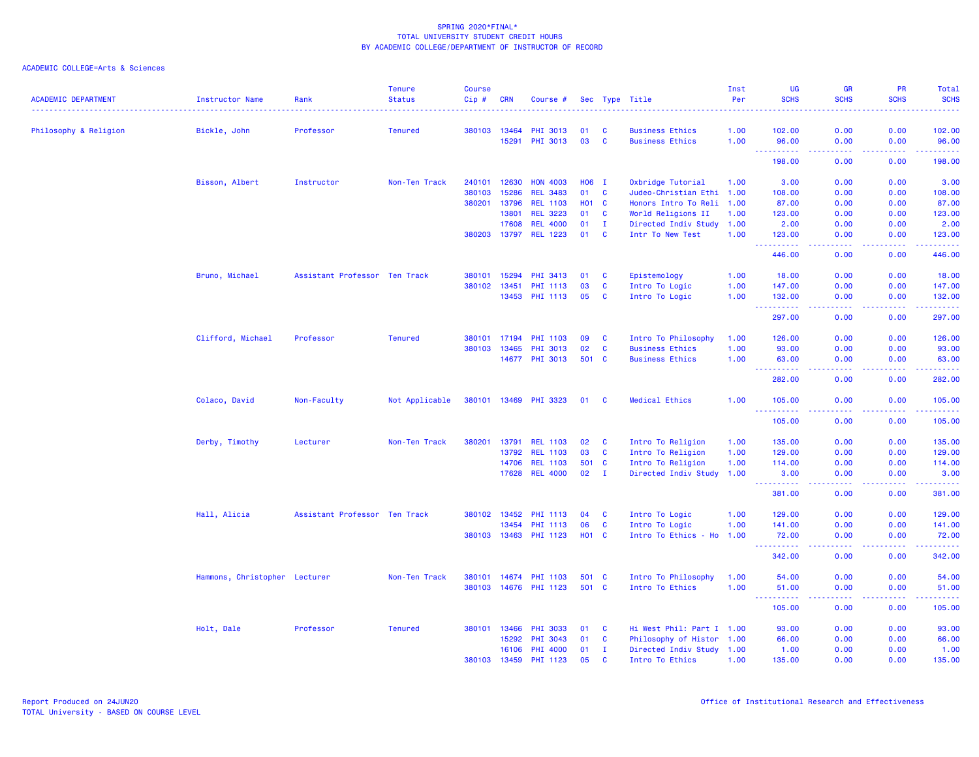| <b>ACADEMIC DEPARTMENT</b> | <b>Instructor Name</b>        | Rank                          | <b>Tenure</b><br><b>Status</b> | <b>Course</b><br>$Cip \#$ | <b>CRN</b> | Course #              |              |              | Sec Type Title            | Inst<br>Per | UG<br><b>SCHS</b>                            | <b>GR</b><br><b>SCHS</b>            | <b>PR</b><br><b>SCHS</b> | Total<br><b>SCHS</b> |
|----------------------------|-------------------------------|-------------------------------|--------------------------------|---------------------------|------------|-----------------------|--------------|--------------|---------------------------|-------------|----------------------------------------------|-------------------------------------|--------------------------|----------------------|
|                            |                               |                               |                                |                           |            |                       |              |              |                           |             |                                              |                                     |                          |                      |
| Philosophy & Religion      | Bickle, John                  | Professor                     | <b>Tenured</b>                 | 380103 13464              |            | PHI 3013              | 01           | C            | <b>Business Ethics</b>    | 1.00        | 102.00                                       | 0.00                                | 0.00                     | 102.00               |
|                            |                               |                               |                                |                           | 15291      | <b>PHI 3013</b>       | 03           | C            | <b>Business Ethics</b>    | 1.00        | 96.00<br><b></b>                             | 0.00<br>$\omega$ is a $\omega$      | 0.00<br>.                | 96.00<br><u>.</u>    |
|                            |                               |                               |                                |                           |            |                       |              |              |                           |             | 198.00                                       | 0.00                                | 0.00                     | 198.00               |
|                            | Bisson, Albert                | Instructor                    | Non-Ten Track                  | 240101                    | 12630      | <b>HON 4003</b>       | H06 I        |              | Oxbridge Tutorial         | 1.00        | 3.00                                         | 0.00                                | 0.00                     | 3.00                 |
|                            |                               |                               |                                | 380103                    | 15286      | <b>REL 3483</b>       | 01           | $\mathbf c$  | Judeo-Christian Ethi 1.00 |             | 108.00                                       | 0.00                                | 0.00                     | 108.00               |
|                            |                               |                               |                                | 380201                    | 13796      | <b>REL 1103</b>       | <b>HO1</b>   | $\mathbf{C}$ | Honors Intro To Reli      | 1.00        | 87.00                                        | 0.00                                | 0.00                     | 87.00                |
|                            |                               |                               |                                |                           | 13801      | <b>REL 3223</b>       | 01           | $\mathbf{C}$ | World Religions II        | 1.00        | 123.00                                       | 0.00                                | 0.00                     | 123.00               |
|                            |                               |                               |                                |                           | 17608      | <b>REL 4000</b>       | 01           | $\mathbf I$  | Directed Indiv Study 1.00 |             | 2.00                                         | 0.00                                | 0.00                     | 2.00                 |
|                            |                               |                               |                                | 380203                    | 13797      | <b>REL 1223</b>       | 01           | <b>C</b>     | Intr To New Test          | 1.00        | 123.00                                       | 0.00                                | 0.00                     | 123.00               |
|                            |                               |                               |                                |                           |            |                       |              |              |                           |             | 446.00                                       | بالمحام<br>0.00                     | .<br>0.00                | 222222<br>446.00     |
|                            | Bruno, Michael                | Assistant Professor Ten Track |                                | 380101                    | 15294      | <b>PHI 3413</b>       | 01           | C            | Epistemology              | 1.00        | 18.00                                        | 0.00                                | 0.00                     | 18.00                |
|                            |                               |                               |                                | 380102                    | 13451      | <b>PHI 1113</b>       | 03           | C            | Intro To Logic            | 1.00        | 147.00                                       | 0.00                                | 0.00                     | 147.00               |
|                            |                               |                               |                                |                           | 13453      | PHI 1113              | 05           | C            | Intro To Logic            | 1.00        | 132.00                                       | 0.00                                | 0.00                     | 132.00               |
|                            |                               |                               |                                |                           |            |                       |              |              |                           |             | -----                                        | .                                   | بالمحامي                 | ------               |
|                            |                               |                               |                                |                           |            |                       |              |              |                           |             | 297.00                                       | 0.00                                | 0.00                     | 297.00               |
|                            | Clifford, Michael             | Professor                     | <b>Tenured</b>                 | 380101                    | 17194      | <b>PHI 1103</b>       | 09           | C            | Intro To Philosophy       | 1.00        | 126.00                                       | 0.00                                | 0.00                     | 126.00               |
|                            |                               |                               |                                | 380103                    | 13465      | <b>PHI 3013</b>       | 02           | $\mathbf c$  | <b>Business Ethics</b>    | 1.00        | 93.00                                        | 0.00                                | 0.00                     | 93.00                |
|                            |                               |                               |                                |                           | 14677      | PHI 3013              | 501 C        |              | <b>Business Ethics</b>    | 1.00        | 63.00                                        | 0.00                                | 0.00                     | 63.00                |
|                            |                               |                               |                                |                           |            |                       |              |              |                           |             | المستمالين<br>$\sim$ $\sim$ $\sim$<br>282.00 | $  -$<br>0.00                       | ولاوياء<br>0.00          | .<br>282.00          |
|                            |                               |                               |                                |                           |            |                       |              |              |                           |             |                                              |                                     |                          |                      |
|                            | Colaco, David                 | Non-Faculty                   | Not Applicable                 | 380101 13469              |            | <b>PHI 3323</b>       | 01           | C            | <b>Medical Ethics</b>     | 1.00        | 105.00                                       | 0.00                                | 0.00                     | 105.00               |
|                            |                               |                               |                                |                           |            |                       |              |              |                           |             | 105.00                                       | 0.00                                | 0.00                     | 105.00               |
|                            | Derby, Timothy                | Lecturer                      | Non-Ten Track                  | 380201                    | 13791      | <b>REL 1103</b>       | 02           | C            | Intro To Religion         | 1.00        | 135.00                                       | 0.00                                | 0.00                     | 135.00               |
|                            |                               |                               |                                |                           | 13792      | <b>REL 1103</b>       | 03           | $\mathbf{C}$ | Intro To Religion         | 1.00        | 129.00                                       | 0.00                                | 0.00                     | 129.00               |
|                            |                               |                               |                                |                           | 14706      | <b>REL 1103</b>       | 501          | $\mathbf{C}$ | Intro To Religion         | 1.00        | 114.00                                       | 0.00                                | 0.00                     | 114.00               |
|                            |                               |                               |                                |                           | 17628      | <b>REL 4000</b>       | 02           | $\mathbf I$  | Directed Indiv Study      | 1.00        | 3.00                                         | 0.00                                | 0.00                     | 3.00                 |
|                            |                               |                               |                                |                           |            |                       |              |              |                           |             | .<br>381.00                                  | د د د د<br>0.00                     | .<br>0.00                | .<br>381.00          |
|                            | Hall, Alicia                  | Assistant Professor Ten Track |                                | 380102 13452              |            | <b>PHI 1113</b>       | 04           | C            | Intro To Logic            | 1.00        | 129.00                                       | 0.00                                | 0.00                     | 129.00               |
|                            |                               |                               |                                |                           | 13454      | <b>PHI 1113</b>       | 06           | $\mathbf{C}$ | Intro To Logic            | 1.00        | 141.00                                       | 0.00                                | 0.00                     | 141.00               |
|                            |                               |                               |                                | 380103 13463              |            | <b>PHI 1123</b>       | <b>HO1 C</b> |              | Intro To Ethics - Ho      | 1.00        | 72.00                                        | 0.00                                | 0.00                     | 72.00                |
|                            |                               |                               |                                |                           |            |                       |              |              |                           |             | $\sim$ $\sim$ $\sim$ $\sim$<br>.<br>342.00   | $\sim$ $\sim$ $\sim$ $\sim$<br>0.00 | د د د د<br>0.00          | بالمستعب<br>342.00   |
|                            |                               |                               |                                |                           |            |                       |              |              |                           |             |                                              |                                     |                          |                      |
|                            | Hammons, Christopher Lecturer |                               | Non-Ten Track                  |                           |            | 380101 14674 PHI 1103 | 501 C        |              | Intro To Philosophy       | 1.00        | 54.00                                        | 0.00                                | 0.00                     | 54.00                |
|                            |                               |                               |                                | 380103                    | 14676      | PHI 1123              | 501          | <b>C</b>     | Intro To Ethics           | 1.00        | 51.00<br>$\sim$ $\sim$ $\sim$<br>د د د د د   | 0.00<br>$- - - -$                   | 0.00<br>.                | 51.00<br>.           |
|                            |                               |                               |                                |                           |            |                       |              |              |                           |             | 105.00                                       | 0.00                                | 0.00                     | 105.00               |
|                            | Holt, Dale                    | Professor                     | <b>Tenured</b>                 | 380101                    | 13466      | <b>PHI 3033</b>       | 01           | C            | Hi West Phil: Part I 1.00 |             | 93.00                                        | 0.00                                | 0.00                     | 93.00                |
|                            |                               |                               |                                |                           | 15292      | PHI 3043              | 01           | $\mathbf{C}$ | Philosophy of Histor 1.00 |             | 66.00                                        | 0.00                                | 0.00                     | 66.00                |
|                            |                               |                               |                                |                           | 16106      | PHI 4000              | 01           | $\mathbf I$  | Directed Indiv Study 1.00 |             | 1.00                                         | 0.00                                | 0.00                     | 1.00                 |
|                            |                               |                               |                                | 380103                    | 13459      | PHI 1123              | 05           | $\mathbf{c}$ | Intro To Ethics           | 1.00        | 135.00                                       | 0.00                                | 0.00                     | 135.00               |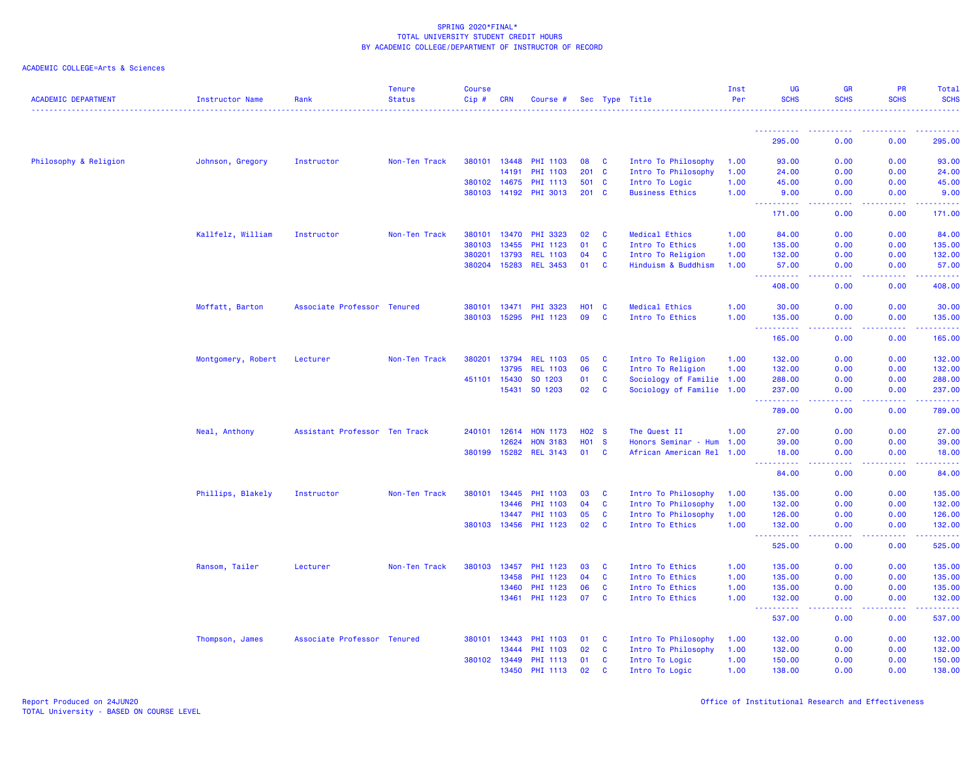| <b>ACADEMIC DEPARTMENT</b> | Instructor Name    | Rank                          | <b>Tenure</b><br><b>Status</b> | <b>Course</b><br>Cip# | <b>CRN</b>   | Course #        |    |                   | Sec Type Title            | Inst<br>Per | <b>UG</b><br><b>SCHS</b>                               | <b>GR</b><br><b>SCHS</b>                                                                               | <b>PR</b><br><b>SCHS</b> | Total<br><b>SCHS</b>                            |
|----------------------------|--------------------|-------------------------------|--------------------------------|-----------------------|--------------|-----------------|----|-------------------|---------------------------|-------------|--------------------------------------------------------|--------------------------------------------------------------------------------------------------------|--------------------------|-------------------------------------------------|
|                            |                    |                               |                                |                       |              |                 |    |                   |                           |             |                                                        |                                                                                                        |                          |                                                 |
|                            |                    |                               |                                |                       |              |                 |    |                   |                           |             | 295.00                                                 | 0.00                                                                                                   | 0.00                     | 295.00                                          |
| Philosophy & Religion      | Johnson, Gregory   | Instructor                    | Non-Ten Track                  |                       | 380101 13448 | <b>PHI 1103</b> | 08 | <b>C</b>          | Intro To Philosophy       | 1.00        | 93.00                                                  | 0.00                                                                                                   | 0.00                     | 93.00                                           |
|                            |                    |                               |                                |                       | 14191        | <b>PHI 1103</b> |    | 201 C             | Intro To Philosophy       | 1.00        | 24.00                                                  | 0.00                                                                                                   | 0.00                     | 24.00                                           |
|                            |                    |                               |                                |                       | 380102 14675 | <b>PHI 1113</b> |    | 501 C             | Intro To Logic            | 1.00        | 45.00                                                  | 0.00                                                                                                   | 0.00                     | 45.00                                           |
|                            |                    |                               |                                |                       | 380103 14192 | <b>PHI 3013</b> |    | 201 C             | <b>Business Ethics</b>    | 1.00        | 9.00                                                   | 0.00                                                                                                   | 0.00                     | 9.00<br>.                                       |
|                            |                    |                               |                                |                       |              |                 |    |                   |                           |             | 171.00                                                 | 0.00                                                                                                   | 0.00                     | 171.00                                          |
|                            | Kallfelz, William  | Instructor                    | Non-Ten Track                  | 380101                | 13470        | <b>PHI 3323</b> | 02 | <b>C</b>          | Medical Ethics            | 1.00        | 84.00                                                  | 0.00                                                                                                   | 0.00                     | 84.00                                           |
|                            |                    |                               |                                | 380103                | 13455        | <b>PHI 1123</b> | 01 | C                 | Intro To Ethics           | 1.00        | 135.00                                                 | 0.00                                                                                                   | 0.00                     | 135.00                                          |
|                            |                    |                               |                                | 380201                | 13793        | <b>REL 1103</b> | 04 | <b>C</b>          | Intro To Religion         | 1.00        | 132.00                                                 | 0.00                                                                                                   | 0.00                     | 132.00                                          |
|                            |                    |                               |                                | 380204                | 15283        | <b>REL 3453</b> | 01 | $\mathbf{C}$      | Hinduism & Buddhism       | 1.00        | 57.00<br>.                                             | 0.00<br>.                                                                                              | 0.00<br>.                | 57.00<br><b><i><u><u> - - - - -</u></u></i></b> |
|                            |                    |                               |                                |                       |              |                 |    |                   |                           |             | 408.00                                                 | 0.00                                                                                                   | 0.00                     | 408.00                                          |
|                            | Moffatt, Barton    | Associate Professor Tenured   |                                | 380101                | 13471        | <b>PHI 3323</b> |    | <b>HO1 C</b>      | Medical Ethics            | 1.00        | 30.00                                                  | 0.00                                                                                                   | 0.00                     | 30.00                                           |
|                            |                    |                               |                                | 380103                | 15295        | <b>PHI 1123</b> | 09 | C                 | Intro To Ethics           | 1.00        | 135.00                                                 | 0.00                                                                                                   | 0.00                     | 135.00                                          |
|                            |                    |                               |                                |                       |              |                 |    |                   |                           |             | 165.00                                                 | .<br>0.00                                                                                              | 0.00                     | .<br>165.00                                     |
|                            | Montgomery, Robert | Lecturer                      | Non-Ten Track                  | 380201                | 13794        | <b>REL 1103</b> | 05 | <b>C</b>          | Intro To Religion         | 1.00        | 132.00                                                 | 0.00                                                                                                   | 0.00                     | 132.00                                          |
|                            |                    |                               |                                |                       | 13795        | <b>REL 1103</b> | 06 | C                 | Intro To Religion         | 1.00        | 132.00                                                 | 0.00                                                                                                   | 0.00                     | 132.00                                          |
|                            |                    |                               |                                | 451101                | 15430        | SO 1203         | 01 | <b>C</b>          | Sociology of Familie 1.00 |             | 288.00                                                 | 0.00                                                                                                   | 0.00                     | 288.00                                          |
|                            |                    |                               |                                |                       | 15431        | SO 1203         | 02 | <b>C</b>          | Sociology of Familie 1.00 |             | 237.00                                                 | 0.00                                                                                                   | 0.00                     | 237.00                                          |
|                            |                    |                               |                                |                       |              |                 |    |                   |                           |             | 2.2.2.2.2.2<br>789.00                                  | د د د د<br>0.00                                                                                        | .<br>0.00                | .<br>789.00                                     |
|                            | Neal, Anthony      | Assistant Professor Ten Track |                                | 240101                | 12614        | <b>HON 1173</b> |    | H <sub>02</sub> S | The Quest II              | 1.00        | 27.00                                                  | 0.00                                                                                                   | 0.00                     | 27.00                                           |
|                            |                    |                               |                                |                       | 12624        | <b>HON 3183</b> |    | H <sub>01</sub> S | Honors Seminar - Hum 1.00 |             | 39.00                                                  | 0.00                                                                                                   | 0.00                     | 39.00                                           |
|                            |                    |                               |                                |                       | 380199 15282 | <b>REL 3143</b> | 01 | <b>C</b>          | African American Rel 1.00 |             | 18.00                                                  | 0.00                                                                                                   | 0.00                     | 18.00                                           |
|                            |                    |                               |                                |                       |              |                 |    |                   |                           |             | $\sim$ $\sim$ $\sim$<br><b><i><u></u></i></b><br>84.00 | 0.00                                                                                                   | 0.00                     | 84.00                                           |
|                            | Phillips, Blakely  | Instructor                    | Non-Ten Track                  | 380101                | 13445        | <b>PHI 1103</b> | 03 | <b>C</b>          | Intro To Philosophy       | 1.00        | 135.00                                                 | 0.00                                                                                                   | 0.00                     | 135.00                                          |
|                            |                    |                               |                                |                       | 13446        | <b>PHI 1103</b> | 04 | $\mathbf{C}$      | Intro To Philosophy       | 1.00        | 132.00                                                 | 0.00                                                                                                   | 0.00                     | 132.00                                          |
|                            |                    |                               |                                |                       | 13447        | <b>PHI 1103</b> | 05 | C                 | Intro To Philosophy       | 1.00        | 126.00                                                 | 0.00                                                                                                   | 0.00                     | 126.00                                          |
|                            |                    |                               |                                | 380103                | 13456        | <b>PHI 1123</b> | 02 | <b>C</b>          | Intro To Ethics           | 1.00        | 132.00                                                 | 0.00                                                                                                   | 0.00                     | 132.00<br>.                                     |
|                            |                    |                               |                                |                       |              |                 |    |                   |                           |             | 525.00                                                 | 0.00                                                                                                   | 0.00                     | 525.00                                          |
|                            | Ransom, Tailer     | Lecturer                      | Non-Ten Track                  |                       | 380103 13457 | PHI 1123        | 03 | <b>C</b>          | Intro To Ethics           | 1.00        | 135.00                                                 | 0.00                                                                                                   | 0.00                     | 135.00                                          |
|                            |                    |                               |                                |                       | 13458        | <b>PHI 1123</b> | 04 | C                 | Intro To Ethics           | 1.00        | 135.00                                                 | 0.00                                                                                                   | 0.00                     | 135.00                                          |
|                            |                    |                               |                                |                       | 13460        | <b>PHI 1123</b> | 06 | <b>C</b>          | Intro To Ethics           | 1.00        | 135.00                                                 | 0.00                                                                                                   | 0.00                     | 135.00                                          |
|                            |                    |                               |                                |                       | 13461        | PHI 1123        | 07 | <b>C</b>          | Intro To Ethics           | 1.00        | 132.00<br>.                                            | 0.00<br>$\frac{1}{2} \left( \frac{1}{2} \right) \left( \frac{1}{2} \right) \left( \frac{1}{2} \right)$ | 0.00<br>.                | 132.00<br>.                                     |
|                            |                    |                               |                                |                       |              |                 |    |                   |                           |             | 537.00                                                 | 0.00                                                                                                   | 0.00                     | 537.00                                          |
|                            | Thompson, James    | Associate Professor Tenured   |                                |                       | 380101 13443 | <b>PHI 1103</b> | 01 | <b>C</b>          | Intro To Philosophy       | 1.00        | 132.00                                                 | 0.00                                                                                                   | 0.00                     | 132.00                                          |
|                            |                    |                               |                                |                       | 13444        | <b>PHI 1103</b> | 02 | C                 | Intro To Philosophy       | 1.00        | 132.00                                                 | 0.00                                                                                                   | 0.00                     | 132.00                                          |
|                            |                    |                               |                                |                       | 380102 13449 | <b>PHI 1113</b> | 01 | C                 | Intro To Logic            | 1.00        | 150.00                                                 | 0.00                                                                                                   | 0.00                     | 150.00                                          |
|                            |                    |                               |                                |                       | 13450        | <b>PHI 1113</b> | 02 | <sub>c</sub>      | Intro To Logic            | 1.00        | 138.00                                                 | 0.00                                                                                                   | 0.00                     | 138.00                                          |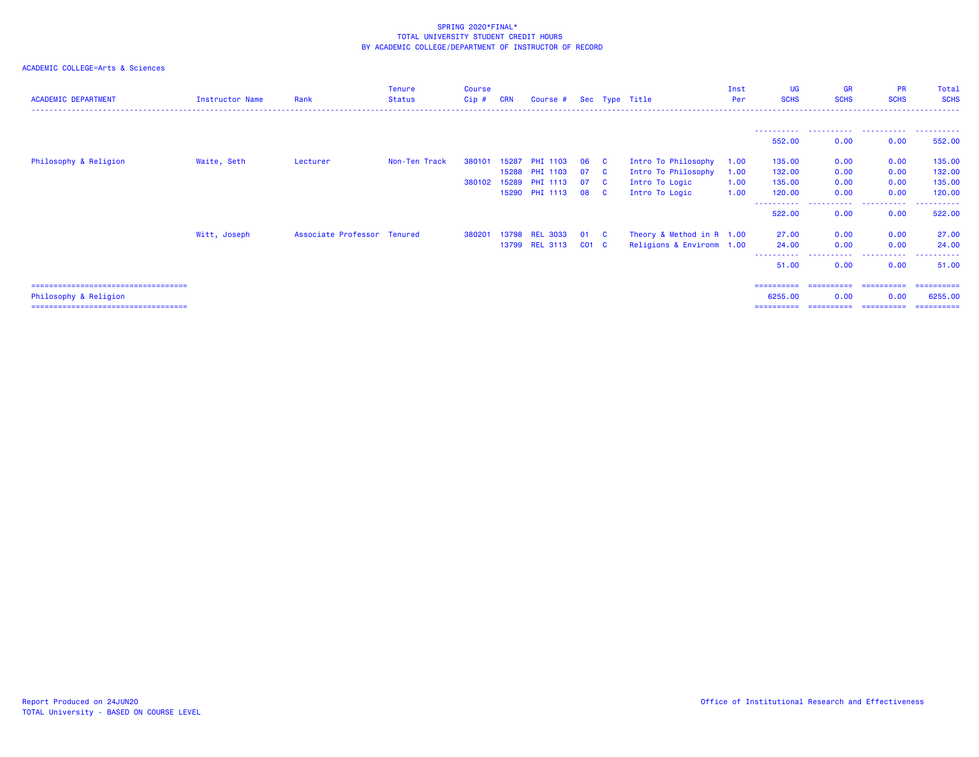| <b>ACADEMIC DEPARTMENT</b>             | Instructor Name | Rank                        | <b>Tenure</b><br><b>Status</b> | <b>Course</b><br>Cip# | <b>CRN</b> | Course # Sec Type Title |           |                         |                           | Inst<br>Per | UG<br><b>SCHS</b> | <b>GR</b><br><b>SCHS</b> | <b>PR</b><br><b>SCHS</b> | Total<br><b>SCHS</b> |
|----------------------------------------|-----------------|-----------------------------|--------------------------------|-----------------------|------------|-------------------------|-----------|-------------------------|---------------------------|-------------|-------------------|--------------------------|--------------------------|----------------------|
|                                        |                 |                             |                                |                       |            |                         |           |                         |                           |             | -----------       |                          |                          | .                    |
|                                        |                 |                             |                                |                       |            |                         |           |                         |                           |             | 552.00            | 0.00                     | 0.00                     | 552.00               |
| Philosophy & Religion                  | Waite, Seth     | Lecturer                    | Non-Ten Track                  | 380101                | 15287      | <b>PHI 1103</b>         | 06        | $\mathbf{C}$            | Intro To Philosophy       | 1.00        | 135.00            | 0.00                     | 0.00                     | 135.00               |
|                                        |                 |                             |                                |                       | 15288      | PHI 1103                | 07        | - C                     | Intro To Philosophy       | 1.00        | 132.00            | 0.00                     | 0.00                     | 132.00               |
|                                        |                 |                             |                                | 380102                | 15289      | <b>PHI 1113</b>         | 07        | <b>C</b>                | Intro To Logic            | 1.00        | 135.00            | 0.00                     | 0.00                     | 135.00               |
|                                        |                 |                             |                                |                       |            | 15290 PHI 1113          | 08        | $\overline{\mathbf{C}}$ | Intro To Logic            | 1.00        | 120.00            | 0.00                     | 0.00                     | 120.00               |
|                                        |                 |                             |                                |                       |            |                         |           |                         |                           |             | 522.00            | -----<br>0.00            | .<br>0.00                | 522.00               |
|                                        | Witt, Joseph    | Associate Professor Tenured |                                | 380201                |            | 13798 REL 3033          | 01 C      |                         | Theory & Method in R 1.00 |             | 27.00             | 0.00                     | 0.00                     | 27.00                |
|                                        |                 |                             |                                |                       |            | 13799 REL 3113          | $CO1$ $C$ |                         | Religions & Environm 1.00 |             | 24.00             | 0.00                     | 0.00                     | 24.00                |
|                                        |                 |                             |                                |                       |            |                         |           |                         |                           |             | 51.00             | $\frac{1}{2}$<br>0.00    | 0.00                     | 51.00                |
| ====================================== |                 |                             |                                |                       |            |                         |           |                         |                           |             | ==========        |                          | =========== ==========   | -----------          |
| Philosophy & Religion                  |                 |                             |                                |                       |            |                         |           |                         |                           |             | 6255.00           | 0.00                     | 0.00                     | 6255.00              |
| ====================================   |                 |                             |                                |                       |            |                         |           |                         |                           |             | ==========        | ===========              | -----------              | ==========           |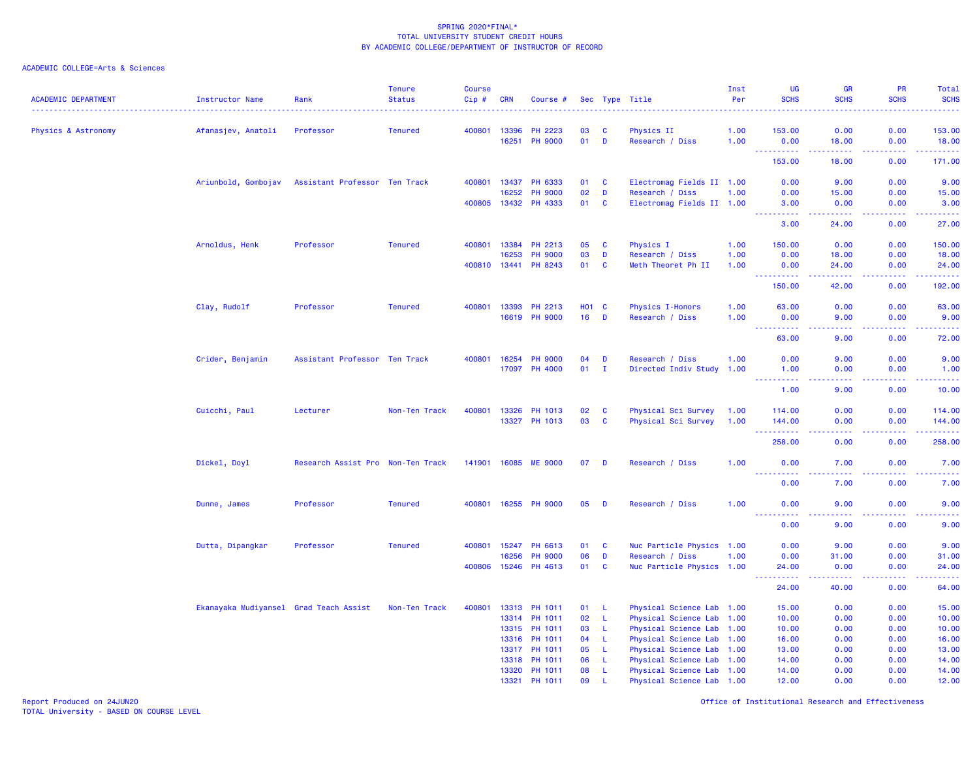| <b>ACADEMIC DEPARTMENT</b> | <b>Instructor Name</b>                 | Rank                              | <b>Tenure</b><br><b>Status</b> | <b>Course</b><br>Cip# | <b>CRN</b> | Course #             |            |              | Sec Type Title            | Inst<br>Per<br>. <u>.</u> | <b>UG</b><br><b>SCHS</b>         | <b>GR</b><br><b>SCHS</b>                                                                                                          | PR<br><b>SCHS</b><br>2.2222 | Total<br><b>SCHS</b><br>.                                                                                                                                    |
|----------------------------|----------------------------------------|-----------------------------------|--------------------------------|-----------------------|------------|----------------------|------------|--------------|---------------------------|---------------------------|----------------------------------|-----------------------------------------------------------------------------------------------------------------------------------|-----------------------------|--------------------------------------------------------------------------------------------------------------------------------------------------------------|
| Physics & Astronomy        | Afanasjev, Anatoli                     | Professor                         | <b>Tenured</b>                 | 400801                | 13396      | <b>PH 2223</b>       | 03         | C            | Physics II                | 1.00                      | 153.00                           | 0.00                                                                                                                              | 0.00                        | 153.00                                                                                                                                                       |
|                            |                                        |                                   |                                |                       | 16251      | <b>PH 9000</b>       | 01         | D            | Research / Diss           | 1.00                      | 0.00                             | 18.00                                                                                                                             | 0.00                        | 18.00<br>وعاعاها                                                                                                                                             |
|                            |                                        |                                   |                                |                       |            |                      |            |              |                           |                           | 153.00                           | 18.00                                                                                                                             | 0.00                        | 171.00                                                                                                                                                       |
|                            | Ariunbold, Gombojav                    | Assistant Professor Ten Track     |                                | 400801                | 13437      | PH 6333              | 01         | C            | Electromag Fields II 1.00 |                           | 0.00                             | 9.00                                                                                                                              | 0.00                        | 9.00                                                                                                                                                         |
|                            |                                        |                                   |                                |                       | 16252      | <b>PH 9000</b>       | 02         | D            | Research / Diss           | 1.00                      | 0.00                             | 15.00                                                                                                                             | 0.00                        | 15.00                                                                                                                                                        |
|                            |                                        |                                   |                                | 400805                |            | 13432 PH 4333        | 01         | $\mathbf{C}$ | Electromag Fields II 1.00 |                           | 3.00<br>بالمستبدية               | 0.00<br>22222                                                                                                                     | 0.00<br>.                   | 3.00<br>.                                                                                                                                                    |
|                            |                                        |                                   |                                |                       |            |                      |            |              |                           |                           | 3.00                             | 24.00                                                                                                                             | 0.00                        | 27.00                                                                                                                                                        |
|                            | Arnoldus, Henk                         | Professor                         | <b>Tenured</b>                 | 400801                | 13384      | PH 2213              | 05         | C            | Physics I                 | 1.00                      | 150.00                           | 0.00                                                                                                                              | 0.00                        | 150.00                                                                                                                                                       |
|                            |                                        |                                   |                                |                       | 16253      | <b>PH 9000</b>       | 03         | D            | Research / Diss           | 1.00                      | 0.00                             | 18.00                                                                                                                             | 0.00                        | 18.00                                                                                                                                                        |
|                            |                                        |                                   |                                | 400810 13441          |            | PH 8243              | 01         | C            | Meth Theoret Ph II        | 1.00                      | 0.00<br><u>.</u>                 | 24.00<br>$- - - - - -$                                                                                                            | 0.00<br>.                   | 24.00<br><u>.</u>                                                                                                                                            |
|                            |                                        |                                   |                                |                       |            |                      |            |              |                           |                           | 150.00                           | 42.00                                                                                                                             | 0.00                        | 192.00                                                                                                                                                       |
|                            | Clay, Rudolf                           | Professor                         | <b>Tenured</b>                 | 400801                | 13393      | PH 2213              | <b>HO1</b> | C            | <b>Physics I-Honors</b>   | 1.00                      | 63.00                            | 0.00                                                                                                                              | 0.00                        | 63.00                                                                                                                                                        |
|                            |                                        |                                   |                                |                       | 16619      | <b>PH 9000</b>       | 16         | D            | Research / Diss           | 1.00                      | 0.00<br>.<br>$\omega_{\rm{eff}}$ | 9.00<br>.                                                                                                                         | 0.00<br>د د د د             | 9.00<br>.                                                                                                                                                    |
|                            |                                        |                                   |                                |                       |            |                      |            |              |                           |                           | 63.00                            | 9.00                                                                                                                              | 0.00                        | 72.00                                                                                                                                                        |
|                            | Crider, Benjamin                       | Assistant Professor Ten Track     |                                | 400801                | 16254      | <b>PH 9000</b>       | 04         | D            | Research / Diss           | 1.00                      | 0.00                             | 9.00                                                                                                                              | 0.00                        | 9.00                                                                                                                                                         |
|                            |                                        |                                   |                                |                       | 17097      | PH 4000              | 01         | $\mathbf{I}$ | Directed Indiv Study 1.00 |                           | 1.00                             | 0.00                                                                                                                              | 0.00                        | 1.00                                                                                                                                                         |
|                            |                                        |                                   |                                |                       |            |                      |            |              |                           |                           | .<br>1.00                        | $\frac{1}{2} \left( \frac{1}{2} \right) \left( \frac{1}{2} \right) \left( \frac{1}{2} \right) \left( \frac{1}{2} \right)$<br>9.00 | .<br>0.00                   | وساعات<br>10.00                                                                                                                                              |
|                            | Cuicchi, Paul                          | Lecturer                          | Non-Ten Track                  | 400801                | 13326      | PH 1013              | 02         | C            | Physical Sci Survey       | 1.00                      | 114.00                           | 0.00                                                                                                                              | 0.00                        | 114.00                                                                                                                                                       |
|                            |                                        |                                   |                                |                       |            | 13327 PH 1013        | 03         | $\mathbf c$  | Physical Sci Survey       | 1.00                      | 144.00                           | 0.00                                                                                                                              | 0.00                        | 144.00                                                                                                                                                       |
|                            |                                        |                                   |                                |                       |            |                      |            |              |                           |                           | .<br>258.00                      | 0.00                                                                                                                              | .<br>0.00                   | .<br>258.00                                                                                                                                                  |
|                            | Dickel, Doyl                           | Research Assist Pro Non-Ten Track |                                | 141901 16085          |            | <b>ME 9000</b>       | 07         | D            | Research / Diss           | 1.00                      | 0.00                             | 7.00                                                                                                                              | 0.00                        | 7.00                                                                                                                                                         |
|                            |                                        |                                   |                                |                       |            |                      |            |              |                           |                           | 0.00                             | 7.00                                                                                                                              | 0.00                        | $\frac{1}{2} \left( \frac{1}{2} \right) \left( \frac{1}{2} \right) \left( \frac{1}{2} \right) \left( \frac{1}{2} \right)$<br>7.00                            |
|                            | Dunne, James                           | Professor                         | <b>Tenured</b>                 |                       |            | 400801 16255 PH 9000 | 05         | D            | Research / Diss           | 1.00                      | 0.00                             | 9.00                                                                                                                              | 0.00                        | 9.00                                                                                                                                                         |
|                            |                                        |                                   |                                |                       |            |                      |            |              |                           |                           | <u>.</u><br>0.00                 | .<br>9.00                                                                                                                         | .<br>0.00                   | $\frac{1}{2} \left( \frac{1}{2} \right) \left( \frac{1}{2} \right) \left( \frac{1}{2} \right) \left( \frac{1}{2} \right) \left( \frac{1}{2} \right)$<br>9.00 |
|                            | Dutta, Dipangkar                       | Professor                         | <b>Tenured</b>                 | 400801                | 15247      | PH 6613              | 01         | C            | Nuc Particle Physics 1.00 |                           | 0.00                             | 9.00                                                                                                                              | 0.00                        | 9.00                                                                                                                                                         |
|                            |                                        |                                   |                                |                       | 16256      | <b>PH 9000</b>       | 06         | D            | Research / Diss           | 1.00                      | 0.00                             | 31.00                                                                                                                             | 0.00                        | 31.00                                                                                                                                                        |
|                            |                                        |                                   |                                | 400806                | 15246      | PH 4613              | 01         | C            | Nuc Particle Physics 1.00 |                           | 24.00                            | 0.00                                                                                                                              | 0.00                        | 24.00<br>ولايتان                                                                                                                                             |
|                            |                                        |                                   |                                |                       |            |                      |            |              |                           |                           | 24.00                            | 40.00                                                                                                                             | 0.00                        | 64.00                                                                                                                                                        |
|                            | Ekanayaka Mudiyansel Grad Teach Assist |                                   | Non-Ten Track                  | 400801                | 13313      | PH 1011              | 01         | L            | Physical Science Lab 1.00 |                           | 15.00                            | 0.00                                                                                                                              | 0.00                        | 15.00                                                                                                                                                        |
|                            |                                        |                                   |                                |                       | 13314      | <b>PH 1011</b>       | 02         | -L           | Physical Science Lab 1.00 |                           | 10.00                            | 0.00                                                                                                                              | 0.00                        | 10.00                                                                                                                                                        |
|                            |                                        |                                   |                                |                       | 13315      | PH 1011              | 03         | L            | Physical Science Lab 1.00 |                           | 10.00                            | 0.00                                                                                                                              | 0.00                        | 10.00                                                                                                                                                        |
|                            |                                        |                                   |                                |                       | 13316      | PH 1011              | 04         | L            | Physical Science Lab 1.00 |                           | 16.00                            | 0.00                                                                                                                              | 0.00                        | 16.00                                                                                                                                                        |
|                            |                                        |                                   |                                |                       | 13317      | PH 1011              | 05         | L            | Physical Science Lab 1.00 |                           | 13.00                            | 0.00                                                                                                                              | 0.00                        | 13.00                                                                                                                                                        |
|                            |                                        |                                   |                                |                       | 13318      | PH 1011              | 06<br>08   | -L           | Physical Science Lab 1.00 |                           | 14.00                            | 0.00<br>0.00                                                                                                                      | 0.00                        | 14.00                                                                                                                                                        |
|                            |                                        |                                   |                                |                       | 13320      | PH 1011              | 09         | L<br>L       | Physical Science Lab 1.00 |                           | 14.00                            | 0.00                                                                                                                              | 0.00<br>0.00                | 14.00                                                                                                                                                        |
|                            |                                        |                                   |                                |                       |            | 13321 PH 1011        |            |              | Physical Science Lab 1.00 |                           | 12.00                            |                                                                                                                                   |                             | 12.00                                                                                                                                                        |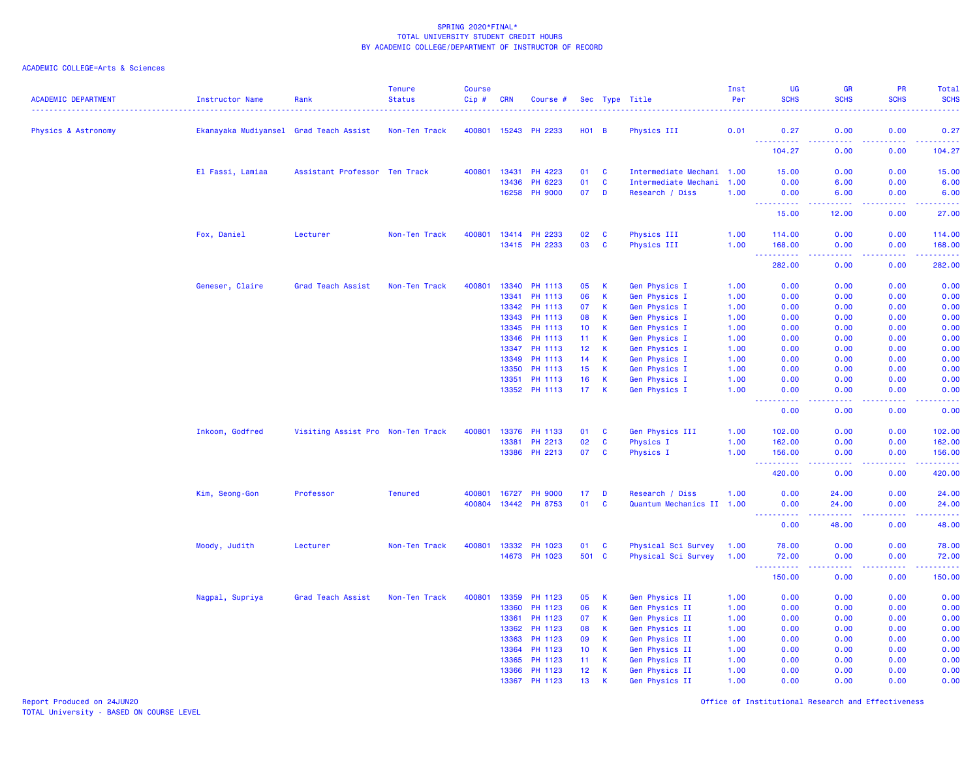## ACADEMIC COLLEGE=Arts & Sciences

| <b>ACADEMIC DEPARTMENT</b> | Instructor Name                        | Rank                              | <b>Tenure</b><br><b>Status</b> | <b>Course</b><br>Cip # | <b>CRN</b> | Course #       |                 |                | Sec Type Title            | Inst<br>Per | UG<br><b>SCHS</b>                                                                                                               | <b>GR</b><br><b>SCHS</b>       | PR<br><b>SCHS</b> | Total<br><b>SCHS</b>                                                                                                                                                                                                                                                                                                                                                                                                                                                                             |
|----------------------------|----------------------------------------|-----------------------------------|--------------------------------|------------------------|------------|----------------|-----------------|----------------|---------------------------|-------------|---------------------------------------------------------------------------------------------------------------------------------|--------------------------------|-------------------|--------------------------------------------------------------------------------------------------------------------------------------------------------------------------------------------------------------------------------------------------------------------------------------------------------------------------------------------------------------------------------------------------------------------------------------------------------------------------------------------------|
| Physics & Astronomy        | Ekanayaka Mudiyansel Grad Teach Assist |                                   | Non-Ten Track                  | 400801                 | 15243      | <b>PH 2233</b> | <b>HO1</b>      | $\overline{B}$ | Physics III               | 0.01        | 0.27                                                                                                                            | 0.00                           | 0.00              | 0.27                                                                                                                                                                                                                                                                                                                                                                                                                                                                                             |
|                            |                                        |                                   |                                |                        |            |                |                 |                |                           |             | .<br>104.27                                                                                                                     | $\omega$ is a $\omega$<br>0.00 | بالأباد<br>0.00   | $\begin{array}{cccccccccc} \multicolumn{2}{c}{} & \multicolumn{2}{c}{} & \multicolumn{2}{c}{} & \multicolumn{2}{c}{} & \multicolumn{2}{c}{} & \multicolumn{2}{c}{} & \multicolumn{2}{c}{} & \multicolumn{2}{c}{} & \multicolumn{2}{c}{} & \multicolumn{2}{c}{} & \multicolumn{2}{c}{} & \multicolumn{2}{c}{} & \multicolumn{2}{c}{} & \multicolumn{2}{c}{} & \multicolumn{2}{c}{} & \multicolumn{2}{c}{} & \multicolumn{2}{c}{} & \multicolumn{2}{c}{} & \multicolumn{2}{c}{} & \mult$<br>104.27 |
|                            | El Fassi, Lamiaa                       | Assistant Professor Ten Track     |                                | 400801                 | 13431      | PH 4223        | 01              | C              | Intermediate Mechani 1.00 |             | 15.00                                                                                                                           | 0.00                           | 0.00              | 15.00                                                                                                                                                                                                                                                                                                                                                                                                                                                                                            |
|                            |                                        |                                   |                                |                        | 13436      | PH 6223        | 01              | C              | Intermediate Mechani      | 1.00        | 0.00                                                                                                                            | 6.00                           | 0.00              | 6.00                                                                                                                                                                                                                                                                                                                                                                                                                                                                                             |
|                            |                                        |                                   |                                |                        | 16258      | <b>PH 9000</b> | 07              | D              | Research / Diss           | 1.00        | 0.00<br><u> - - - - - - - - - -</u>                                                                                             | 6.00<br>.                      | 0.00<br>د د د د   | 6.00<br>ولاويت                                                                                                                                                                                                                                                                                                                                                                                                                                                                                   |
|                            |                                        |                                   |                                |                        |            |                |                 |                |                           |             | 15.00                                                                                                                           | 12.00                          | 0.00              | 27.00                                                                                                                                                                                                                                                                                                                                                                                                                                                                                            |
|                            | Fox, Daniel                            | Lecturer                          | Non-Ten Track                  | 400801                 | 13414      | PH 2233        | 02              | <b>C</b>       | Physics III               | 1.00        | 114.00                                                                                                                          | 0.00                           | 0.00              | 114.00                                                                                                                                                                                                                                                                                                                                                                                                                                                                                           |
|                            |                                        |                                   |                                |                        |            | 13415 PH 2233  | 03              | C              | Physics III               | 1.00        | 168.00<br><u>.</u>                                                                                                              | 0.00<br>المالما لمالية ا       | 0.00<br>.         | 168.00<br>.                                                                                                                                                                                                                                                                                                                                                                                                                                                                                      |
|                            |                                        |                                   |                                |                        |            |                |                 |                |                           |             | 282.00                                                                                                                          | 0.00                           | 0.00              | 282.00                                                                                                                                                                                                                                                                                                                                                                                                                                                                                           |
|                            | Geneser, Claire                        | Grad Teach Assist                 | Non-Ten Track                  | 400801                 | 13340      | PH 1113        | 05              | к              | Gen Physics I             | 1.00        | 0.00                                                                                                                            | 0.00                           | 0.00              | 0.00                                                                                                                                                                                                                                                                                                                                                                                                                                                                                             |
|                            |                                        |                                   |                                |                        | 13341      | PH 1113        | 06              | $\mathsf K$    | <b>Gen Physics I</b>      | 1.00        | 0.00                                                                                                                            | 0.00                           | 0.00              | 0.00                                                                                                                                                                                                                                                                                                                                                                                                                                                                                             |
|                            |                                        |                                   |                                |                        | 13342      | PH 1113        | 07              | К              | Gen Physics I             | 1.00        | 0.00                                                                                                                            | 0.00                           | 0.00              | 0.00                                                                                                                                                                                                                                                                                                                                                                                                                                                                                             |
|                            |                                        |                                   |                                |                        | 13343      | PH 1113        | 08              | $\mathsf K$    | <b>Gen Physics I</b>      | 1.00        | 0.00                                                                                                                            | 0.00                           | 0.00              | 0.00                                                                                                                                                                                                                                                                                                                                                                                                                                                                                             |
|                            |                                        |                                   |                                |                        | 13345      | PH 1113        | 10 <sup>°</sup> | К              | Gen Physics I             | 1.00        | 0.00                                                                                                                            | 0.00                           | 0.00              | 0.00                                                                                                                                                                                                                                                                                                                                                                                                                                                                                             |
|                            |                                        |                                   |                                |                        | 13346      | PH 1113        | 11              | К              | Gen Physics I             | 1.00        | 0.00                                                                                                                            | 0.00                           | 0.00              | 0.00                                                                                                                                                                                                                                                                                                                                                                                                                                                                                             |
|                            |                                        |                                   |                                |                        | 13347      | PH 1113        | 12              | К              | Gen Physics I             | 1.00        | 0.00                                                                                                                            | 0.00                           | 0.00              | 0.00                                                                                                                                                                                                                                                                                                                                                                                                                                                                                             |
|                            |                                        |                                   |                                |                        | 13349      | PH 1113        | 14              | К              | Gen Physics I             | 1.00        | 0.00                                                                                                                            | 0.00                           | 0.00              | 0.00                                                                                                                                                                                                                                                                                                                                                                                                                                                                                             |
|                            |                                        |                                   |                                |                        | 13350      | PH 1113        | 15              | К              | Gen Physics I             | 1.00        | 0.00                                                                                                                            | 0.00                           | 0.00              | 0.00                                                                                                                                                                                                                                                                                                                                                                                                                                                                                             |
|                            |                                        |                                   |                                |                        | 13351      | PH 1113        | 16              | К              | Gen Physics I             | 1.00        | 0.00                                                                                                                            | 0.00                           | 0.00              | 0.00                                                                                                                                                                                                                                                                                                                                                                                                                                                                                             |
|                            |                                        |                                   |                                |                        |            | 13352 PH 1113  | 17 <sub>1</sub> | $\mathsf{K}$   | Gen Physics I             | 1.00        | 0.00<br>22222                                                                                                                   | 0.00<br>.                      | 0.00<br>.         | 0.00<br>22222                                                                                                                                                                                                                                                                                                                                                                                                                                                                                    |
|                            |                                        |                                   |                                |                        |            |                |                 |                |                           |             | 0.00                                                                                                                            | 0.00                           | 0.00              | 0.00                                                                                                                                                                                                                                                                                                                                                                                                                                                                                             |
|                            | Inkoom, Godfred                        | Visiting Assist Pro Non-Ten Track |                                | 400801                 | 13376      | PH 1133        | 01              | C              | Gen Physics III           | 1.00        | 102.00                                                                                                                          | 0.00                           | 0.00              | 102.00                                                                                                                                                                                                                                                                                                                                                                                                                                                                                           |
|                            |                                        |                                   |                                |                        | 13381      | PH 2213        | 02              | $\mathbf c$    | <b>Physics I</b>          | 1.00        | 162.00                                                                                                                          | 0.00                           | 0.00              | 162.00                                                                                                                                                                                                                                                                                                                                                                                                                                                                                           |
|                            |                                        |                                   |                                |                        | 13386      | PH 2213        | 07              | C              | Physics I                 | 1.00        | 156.00<br>$\begin{array}{cccccccccc} \bullet & \bullet & \bullet & \bullet & \bullet & \bullet & \bullet & \bullet \end{array}$ | 0.00                           | 0.00              | 156.00<br>------                                                                                                                                                                                                                                                                                                                                                                                                                                                                                 |
|                            |                                        |                                   |                                |                        |            |                |                 |                |                           |             | 420.00                                                                                                                          | 0.00                           | 0.00              | 420.00                                                                                                                                                                                                                                                                                                                                                                                                                                                                                           |
|                            | Kim, Seong-Gon                         | Professor                         | <b>Tenured</b>                 | 400801                 | 16727      | <b>PH 9000</b> | 17              | D              | Research / Diss           | 1.00        | 0.00                                                                                                                            | 24.00                          | 0.00              | 24.00                                                                                                                                                                                                                                                                                                                                                                                                                                                                                            |
|                            |                                        |                                   |                                | 400804                 | 13442      | PH 8753        | 01              | $\mathbf c$    | Quantum Mechanics II 1.00 |             | 0.00<br>$\sim 100$<br>الداعات عامان                                                                                             | 24.00<br>د د د د               | 0.00<br>د د د د . | 24.00<br>.                                                                                                                                                                                                                                                                                                                                                                                                                                                                                       |
|                            |                                        |                                   |                                |                        |            |                |                 |                |                           |             | 0.00                                                                                                                            | 48.00                          | 0.00              | 48.00                                                                                                                                                                                                                                                                                                                                                                                                                                                                                            |
|                            | Moody, Judith                          | Lecturer                          | Non-Ten Track                  | 400801                 | 13332      | PH 1023        | 01              | C              | Physical Sci Survey       | 1.00        | 78.00                                                                                                                           | 0.00                           | 0.00              | 78.00                                                                                                                                                                                                                                                                                                                                                                                                                                                                                            |
|                            |                                        |                                   |                                |                        |            | 14673 PH 1023  | 501 C           |                | Physical Sci Survey       | 1.00        | 72.00<br>.<br>$\sim 100$                                                                                                        | 0.00<br>المتمامين              | 0.00<br>الأماليات | 72.00<br>.                                                                                                                                                                                                                                                                                                                                                                                                                                                                                       |
|                            |                                        |                                   |                                |                        |            |                |                 |                |                           |             | 150.00                                                                                                                          | 0.00                           | 0.00              | 150.00                                                                                                                                                                                                                                                                                                                                                                                                                                                                                           |
|                            | Nagpal, Supriya                        | Grad Teach Assist                 | Non-Ten Track                  | 400801                 | 13359      | PH 1123        | 05              | к              | Gen Physics II            | 1.00        | 0.00                                                                                                                            | 0.00                           | 0.00              | 0.00                                                                                                                                                                                                                                                                                                                                                                                                                                                                                             |
|                            |                                        |                                   |                                |                        | 13360      | PH 1123        | 06              | K              | Gen Physics II            | 1.00        | 0.00                                                                                                                            | 0.00                           | 0.00              | 0.00                                                                                                                                                                                                                                                                                                                                                                                                                                                                                             |
|                            |                                        |                                   |                                |                        | 13361      | PH 1123        | 07              | K              | Gen Physics II            | 1.00        | 0.00                                                                                                                            | 0.00                           | 0.00              | 0.00                                                                                                                                                                                                                                                                                                                                                                                                                                                                                             |
|                            |                                        |                                   |                                |                        | 13362      | PH 1123        | 08              | $\mathsf K$    | Gen Physics II            | 1.00        | 0.00                                                                                                                            | 0.00                           | 0.00              | 0.00                                                                                                                                                                                                                                                                                                                                                                                                                                                                                             |
|                            |                                        |                                   |                                |                        | 13363      | PH 1123        | 09              | К              | Gen Physics II            | 1.00        | 0.00                                                                                                                            | 0.00                           | 0.00              | 0.00                                                                                                                                                                                                                                                                                                                                                                                                                                                                                             |
|                            |                                        |                                   |                                |                        | 13364      | PH 1123        | 10              | К              | Gen Physics II            | 1.00        | 0.00                                                                                                                            | 0.00                           | 0.00              | 0.00                                                                                                                                                                                                                                                                                                                                                                                                                                                                                             |
|                            |                                        |                                   |                                |                        | 13365      | PH 1123        | 11 <sub>1</sub> | К              | Gen Physics II            | 1.00        | 0.00                                                                                                                            | 0.00                           | 0.00              | 0.00                                                                                                                                                                                                                                                                                                                                                                                                                                                                                             |
|                            |                                        |                                   |                                |                        | 13366      | PH 1123        | 12              | К              | Gen Physics II            | 1.00        | 0.00                                                                                                                            | 0.00                           | 0.00              | 0.00                                                                                                                                                                                                                                                                                                                                                                                                                                                                                             |
|                            |                                        |                                   |                                |                        | 13367      | PH 1123        | 13              | К              | Gen Physics II            | 1.00        | 0.00                                                                                                                            | 0.00                           | 0.00              | 0.00                                                                                                                                                                                                                                                                                                                                                                                                                                                                                             |

Report Produced on 24JUN20 Office of Institutional Research and Effectiveness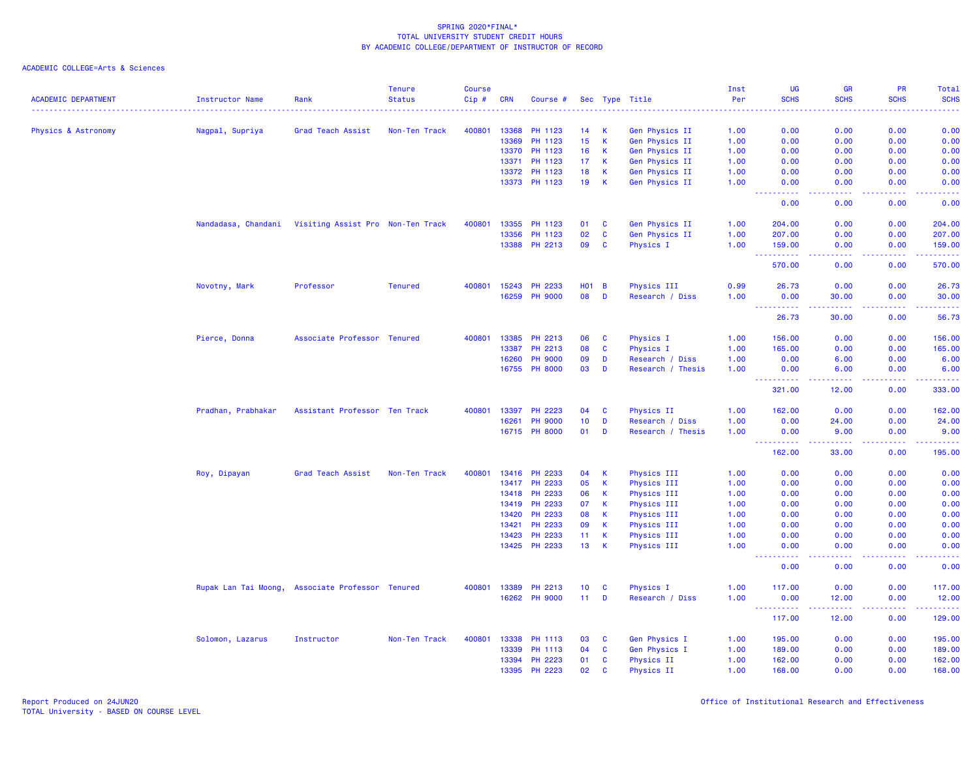| <b>ACADEMIC DEPARTMENT</b> | Instructor Name      | Rank                              | <b>Tenure</b><br><b>Status</b> | <b>Course</b><br>Cip # | <b>CRN</b> | Course #       |            |                | Sec Type Title               | Inst<br>Per | <b>UG</b><br><b>SCHS</b>            | <b>GR</b><br><b>SCHS</b> | PR<br><b>SCHS</b> | Total<br><b>SCHS</b>                                                                                                              |
|----------------------------|----------------------|-----------------------------------|--------------------------------|------------------------|------------|----------------|------------|----------------|------------------------------|-------------|-------------------------------------|--------------------------|-------------------|-----------------------------------------------------------------------------------------------------------------------------------|
|                            |                      |                                   |                                |                        |            |                |            |                |                              |             |                                     |                          |                   | .                                                                                                                                 |
| Physics & Astronomy        | Nagpal, Supriya      | Grad Teach Assist                 | Non-Ten Track                  | 400801                 | 13368      | PH 1123        | 14         | К              | Gen Physics II               | 1.00        | 0.00                                | 0.00                     | 0.00              | 0.00                                                                                                                              |
|                            |                      |                                   |                                |                        | 13369      | PH 1123        | 15         | $\mathbf K$    | Gen Physics II               | 1.00        | 0.00                                | 0.00                     | 0.00              | 0.00                                                                                                                              |
|                            |                      |                                   |                                |                        | 13370      | PH 1123        | 16         | K              | Gen Physics II               | 1.00        | 0.00                                | 0.00                     | 0.00              | 0.00                                                                                                                              |
|                            |                      |                                   |                                |                        | 13371      | PH 1123        | 17         | $\mathsf{K}$   | Gen Physics II               | 1.00        | 0.00                                | 0.00                     | 0.00              | 0.00                                                                                                                              |
|                            |                      |                                   |                                |                        | 13372      | PH 1123        | 18         | K              | Gen Physics II               | 1.00        | 0.00                                | 0.00                     | 0.00              | 0.00                                                                                                                              |
|                            |                      |                                   |                                |                        |            | 13373 PH 1123  | 19         | $\mathsf{K}$   | Gen Physics II               | 1.00        | 0.00<br><b></b>                     | 0.00<br>.                | 0.00<br>.         | 0.00<br>بالمحامي                                                                                                                  |
|                            |                      |                                   |                                |                        |            |                |            |                |                              |             | 0.00                                | 0.00                     | 0.00              | 0.00                                                                                                                              |
|                            | Nandadasa, Chandani  | Visiting Assist Pro Non-Ten Track |                                | 400801                 | 13355      | PH 1123        | 01         | C              | Gen Physics II               | 1.00        | 204,00                              | 0.00                     | 0.00              | 204.00                                                                                                                            |
|                            |                      |                                   |                                |                        | 13356      | PH 1123        | 02         | $\mathbf{C}$   | Gen Physics II               | 1.00        | 207.00                              | 0.00                     | 0.00              | 207.00                                                                                                                            |
|                            |                      |                                   |                                |                        |            | 13388 PH 2213  | 09         | $\mathbf{C}$   | Physics I                    | 1.00        | 159.00<br><b></b>                   | 0.00<br>المتمامين        | 0.00<br>.         | 159.00<br>$\begin{array}{cccccccccc} \bullet & \bullet & \bullet & \bullet & \bullet & \bullet & \bullet \end{array}$             |
|                            |                      |                                   |                                |                        |            |                |            |                |                              |             | 570.00                              | 0.00                     | 0.00              | 570.00                                                                                                                            |
|                            | Novotny, Mark        | Professor                         | <b>Tenured</b>                 | 400801                 | 15243      | PH 2233        | <b>HO1</b> | $\overline{B}$ | Physics III                  | 0.99        | 26.73                               | 0.00                     | 0.00              | 26.73                                                                                                                             |
|                            |                      |                                   |                                |                        | 16259      | <b>PH 9000</b> | 08         | D              | Research / Diss              | 1.00        | 0.00                                | 30.00                    | 0.00              | 30.00                                                                                                                             |
|                            |                      |                                   |                                |                        |            |                |            |                |                              |             | ----------<br>26.73                 | المستمالات<br>30.00      | بالأبابات<br>0.00 | .<br>56.73                                                                                                                        |
|                            | Pierce, Donna        | Associate Professor Tenured       |                                | 400801                 | 13385      | PH 2213        | 06         | C              | Physics I                    | 1.00        | 156.00                              | 0.00                     | 0.00              | 156.00                                                                                                                            |
|                            |                      |                                   |                                |                        | 13387      | PH 2213        | 08         | C              |                              | 1.00        | 165.00                              | 0.00                     | 0.00              | 165.00                                                                                                                            |
|                            |                      |                                   |                                |                        | 16260      | <b>PH 9000</b> | 09         | D              | Physics I<br>Research / Diss | 1.00        | 0.00                                | 6.00                     | 0.00              | 6.00                                                                                                                              |
|                            |                      |                                   |                                |                        |            | 16755 PH 8000  | 03         | D              | Research / Thesis            | 1.00        | 0.00                                | 6.00                     | 0.00              | 6.00                                                                                                                              |
|                            |                      |                                   |                                |                        |            |                |            |                |                              |             | <u>.</u>                            | د د د د                  | د د د د .         | .                                                                                                                                 |
|                            |                      |                                   |                                |                        |            |                |            |                |                              |             | 321.00                              | 12.00                    | 0.00              | 333.00                                                                                                                            |
|                            | Pradhan, Prabhakar   | Assistant Professor Ten Track     |                                | 400801                 | 13397      | <b>PH 2223</b> | 04         | C              | <b>Physics II</b>            | 1.00        | 162.00                              | 0.00                     | 0.00              | 162.00                                                                                                                            |
|                            |                      |                                   |                                |                        | 16261      | <b>PH 9000</b> | 10         | D              | Research / Diss              | 1.00        | 0.00                                | 24.00                    | 0.00              | 24.00                                                                                                                             |
|                            |                      |                                   |                                |                        |            | 16715 PH 8000  | 01         | D              | Research / Thesis            | 1.00        | 0.00<br>$\sim$ $\sim$ $\sim$ $\sim$ | 9.00                     | 0.00              | 9.00<br>وبالمناب                                                                                                                  |
|                            |                      |                                   |                                |                        |            |                |            |                |                              |             | 162.00                              | 33.00                    | 0.00              | 195.00                                                                                                                            |
|                            | Roy, Dipayan         | <b>Grad Teach Assist</b>          | Non-Ten Track                  | 400801                 | 13416      | PH 2233        | 04         | K              | Physics III                  | 1.00        | 0.00                                | 0.00                     | 0.00              | 0.00                                                                                                                              |
|                            |                      |                                   |                                |                        | 13417      | PH 2233        | 05         | $\,$ K         | <b>Physics III</b>           | 1.00        | 0.00                                | 0.00                     | 0.00              | 0.00                                                                                                                              |
|                            |                      |                                   |                                |                        | 13418      | PH 2233        | 06         | K              | Physics III                  | 1.00        | 0.00                                | 0.00                     | 0.00              | 0.00                                                                                                                              |
|                            |                      |                                   |                                |                        | 13419      | PH 2233        | 07         | $\mathbf K$    | <b>Physics III</b>           | 1.00        | 0.00                                | 0.00                     | 0.00              | 0.00                                                                                                                              |
|                            |                      |                                   |                                |                        | 13420      | PH 2233        | 08         | $\mathsf{K}$   | Physics III                  | 1.00        | 0.00                                | 0.00                     | 0.00              | 0.00                                                                                                                              |
|                            |                      |                                   |                                |                        | 13421      | PH 2233        | 09         | K              | Physics III                  | 1.00        | 0.00                                | 0.00                     | 0.00              | 0.00                                                                                                                              |
|                            |                      |                                   |                                |                        | 13423      | PH 2233        | 11         | $\mathsf{K}$   | <b>Physics III</b>           | 1.00        | 0.00                                | 0.00                     | 0.00              | 0.00                                                                                                                              |
|                            |                      |                                   |                                |                        |            | 13425 PH 2233  | 13         | K              | <b>Physics III</b>           | 1.00        | 0.00<br>.<br>----                   | 0.00<br>د د د د          | 0.00<br>.         | 0.00<br>$\frac{1}{2} \left( \frac{1}{2} \right) \left( \frac{1}{2} \right) \left( \frac{1}{2} \right) \left( \frac{1}{2} \right)$ |
|                            |                      |                                   |                                |                        |            |                |            |                |                              |             | 0.00                                | 0.00                     | 0.00              | 0.00                                                                                                                              |
|                            | Rupak Lan Tai Moong, | Associate Professor Tenured       |                                | 400801                 | 13389      | PH 2213        | 10         | C              | Physics I                    | 1.00        | 117.00                              | 0.00                     | 0.00              | 117.00                                                                                                                            |
|                            |                      |                                   |                                |                        |            | 16262 PH 9000  | $11 -$     | D              | Research / Diss              | 1.00        | 0.00                                | 12.00                    | 0.00              | 12.00                                                                                                                             |
|                            |                      |                                   |                                |                        |            |                |            |                |                              |             | -----                               | .                        | .                 | ------                                                                                                                            |
|                            |                      |                                   |                                |                        |            |                |            |                |                              |             | 117.00                              | 12.00                    | 0.00              | 129.00                                                                                                                            |
|                            | Solomon, Lazarus     | Instructor                        | Non-Ten Track                  | 400801                 | 13338      | PH 1113        | 03         | C              | Gen Physics I                | 1.00        | 195.00                              | 0.00                     | 0.00              | 195.00                                                                                                                            |
|                            |                      |                                   |                                |                        | 13339      | PH 1113        | 04         | C              | Gen Physics I                | 1.00        | 189.00                              | 0.00                     | 0.00              | 189.00                                                                                                                            |
|                            |                      |                                   |                                |                        | 13394      | PH 2223        | 01         | C              | Physics II                   | 1.00        | 162.00                              | 0.00                     | 0.00              | 162.00                                                                                                                            |
|                            |                      |                                   |                                |                        | 13395      | PH 2223        | 02         | $\mathbf{C}$   | Physics II                   | 1.00        | 168,00                              | 0.00                     | 0.00              | 168.00                                                                                                                            |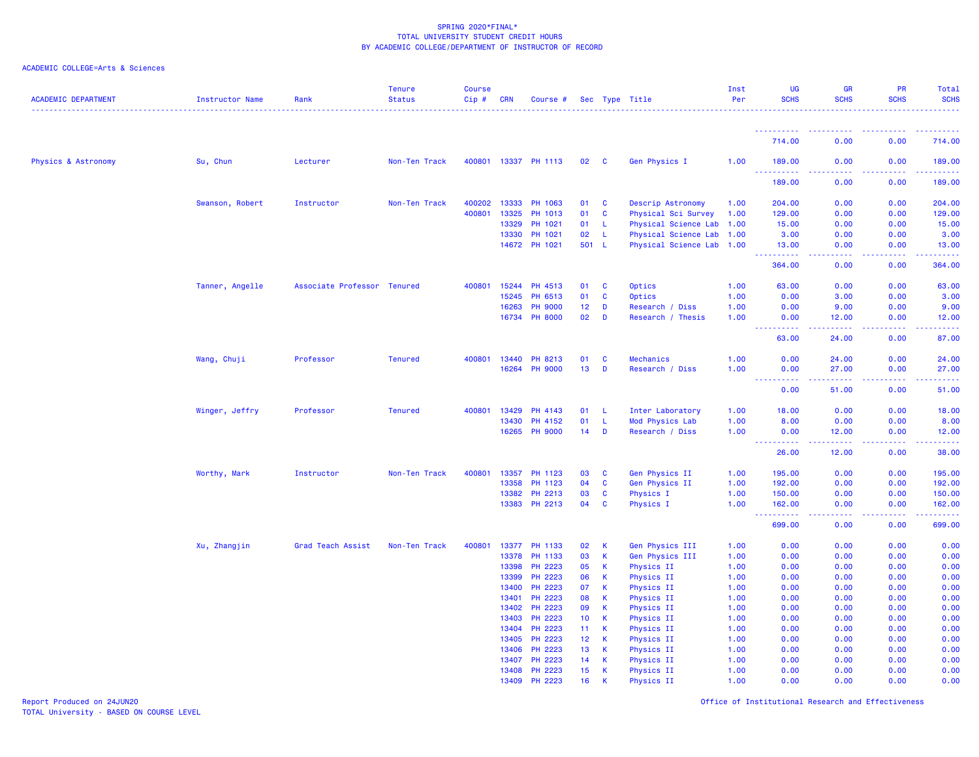| <b>ACADEMIC DEPARTMENT</b>     | Instructor Name | Rank                        | <b>Tenure</b><br><b>Status</b> | <b>Course</b><br>Cip# | <b>CRN</b> | Course #             |                 |                         | Sec Type Title            | Inst<br>Per | <b>UG</b><br><b>SCHS</b>                                                                                                                   | <b>GR</b><br><b>SCHS</b>                                                                                                                                      | <b>PR</b><br><b>SCHS</b>                                                                                                                                     | Total<br><b>SCHS</b> |
|--------------------------------|-----------------|-----------------------------|--------------------------------|-----------------------|------------|----------------------|-----------------|-------------------------|---------------------------|-------------|--------------------------------------------------------------------------------------------------------------------------------------------|---------------------------------------------------------------------------------------------------------------------------------------------------------------|--------------------------------------------------------------------------------------------------------------------------------------------------------------|----------------------|
|                                |                 |                             |                                |                       |            |                      |                 |                         |                           |             | <u>.</u>                                                                                                                                   | .                                                                                                                                                             | .                                                                                                                                                            | . <u>.</u>           |
|                                |                 |                             |                                |                       |            |                      |                 |                         |                           |             | 714.00                                                                                                                                     | 0.00                                                                                                                                                          | 0.00                                                                                                                                                         | 714.00               |
| <b>Physics &amp; Astronomy</b> | Su, Chun        | Lecturer                    | Non-Ten Track                  |                       |            | 400801 13337 PH 1113 | 02              | $\overline{\mathbf{C}}$ | Gen Physics I             | 1.00        | 189.00<br>.<br>$\frac{1}{2} \left( \frac{1}{2} \right) \left( \frac{1}{2} \right) \left( \frac{1}{2} \right)$                              | 0.00                                                                                                                                                          | 0.00                                                                                                                                                         | 189.00               |
|                                |                 |                             |                                |                       |            |                      |                 |                         |                           |             | 189.00                                                                                                                                     | 0.00                                                                                                                                                          | 0.00                                                                                                                                                         | 189.00               |
|                                | Swanson, Robert | Instructor                  | Non-Ten Track                  | 400202                | 13333      | PH 1063              | 01              | C                       | Descrip Astronomy         | 1.00        | 204.00                                                                                                                                     | 0.00                                                                                                                                                          | 0.00                                                                                                                                                         | 204.00               |
|                                |                 |                             |                                | 400801                | 13325      | PH 1013              | 01              | $\mathbf{C}$            | Physical Sci Survey       | 1.00        | 129.00                                                                                                                                     | 0.00                                                                                                                                                          | 0.00                                                                                                                                                         | 129.00               |
|                                |                 |                             |                                |                       | 13329      | PH 1021              | 01              | L                       | Physical Science Lab      | 1.00        | 15,00                                                                                                                                      | 0.00                                                                                                                                                          | 0.00                                                                                                                                                         | 15.00                |
|                                |                 |                             |                                |                       | 13330      | PH 1021              | 02              | L.                      | Physical Science Lab 1.00 |             | 3.00                                                                                                                                       | 0.00                                                                                                                                                          | 0.00                                                                                                                                                         | 3.00                 |
|                                |                 |                             |                                |                       |            | 14672 PH 1021        | 501 L           |                         | Physical Science Lab 1.00 |             | 13.00<br><u>.</u>                                                                                                                          | 0.00<br>.                                                                                                                                                     | 0.00<br>.                                                                                                                                                    | 13.00<br>.           |
|                                |                 |                             |                                |                       |            |                      |                 |                         |                           |             | 364.00                                                                                                                                     | 0.00                                                                                                                                                          | 0.00                                                                                                                                                         | 364.00               |
|                                | Tanner, Angelle | Associate Professor Tenured |                                | 400801                | 15244      | PH 4513              | 01              | C                       | Optics                    | 1.00        | 63.00                                                                                                                                      | 0.00                                                                                                                                                          | 0.00                                                                                                                                                         | 63.00                |
|                                |                 |                             |                                |                       | 15245      | PH 6513              | 01              | C                       | Optics                    | 1.00        | 0.00                                                                                                                                       | 3.00                                                                                                                                                          | 0.00                                                                                                                                                         | 3.00                 |
|                                |                 |                             |                                |                       | 16263      | <b>PH 9000</b>       | 12              | D                       | Research / Diss           | 1.00        | 0.00                                                                                                                                       | 9.00                                                                                                                                                          | 0.00                                                                                                                                                         | 9.00                 |
|                                |                 |                             |                                |                       | 16734      | <b>PH 8000</b>       | 02              | D                       | Research / Thesis         | 1.00        | 0.00<br>22222<br>$\frac{1}{2} \left( \frac{1}{2} \right) \left( \frac{1}{2} \right) \left( \frac{1}{2} \right) \left( \frac{1}{2} \right)$ | 12.00<br>$\frac{1}{2} \left( \frac{1}{2} \right) \left( \frac{1}{2} \right) \left( \frac{1}{2} \right) \left( \frac{1}{2} \right)$                            | 0.00<br>.                                                                                                                                                    | 12.00<br>.           |
|                                |                 |                             |                                |                       |            |                      |                 |                         |                           |             | 63.00                                                                                                                                      | 24.00                                                                                                                                                         | 0.00                                                                                                                                                         | 87.00                |
|                                | Wang, Chuji     | Professor                   | <b>Tenured</b>                 | 400801                | 13440      | PH 8213              | 01              | C                       | <b>Mechanics</b>          | 1.00        | 0.00                                                                                                                                       | 24.00                                                                                                                                                         | 0.00                                                                                                                                                         | 24.00                |
|                                |                 |                             |                                |                       | 16264      | <b>PH 9000</b>       | 13              | D                       | Research / Diss           | 1.00        | 0.00                                                                                                                                       | 27.00                                                                                                                                                         | 0.00                                                                                                                                                         | 27.00                |
|                                |                 |                             |                                |                       |            |                      |                 |                         |                           |             | .<br>0.00                                                                                                                                  | المستمرين<br>51.00                                                                                                                                            | .<br>0.00                                                                                                                                                    | .<br>51.00           |
|                                | Winger, Jeffry  | Professor                   | <b>Tenured</b>                 | 400801                | 13429      | PH 4143              | 01              | -L                      | Inter Laboratory          | 1.00        | 18.00                                                                                                                                      | 0.00                                                                                                                                                          | 0.00                                                                                                                                                         | 18.00                |
|                                |                 |                             |                                |                       | 13430      | PH 4152              | 01              | -L                      | Mod Physics Lab           | 1.00        | 8.00                                                                                                                                       | 0.00                                                                                                                                                          | 0.00                                                                                                                                                         | 8.00                 |
|                                |                 |                             |                                |                       | 16265      | <b>PH 9000</b>       | 14              | D                       | Research / Diss           | 1.00        | 0.00<br><b>.</b>                                                                                                                           | 12.00<br>$\frac{1}{2} \left( \frac{1}{2} \right) \left( \frac{1}{2} \right) \left( \frac{1}{2} \right) \left( \frac{1}{2} \right) \left( \frac{1}{2} \right)$ | 0.00<br>-----                                                                                                                                                | 12.00<br>------      |
|                                |                 |                             |                                |                       |            |                      |                 |                         |                           |             | 26.00                                                                                                                                      | 12.00                                                                                                                                                         | 0.00                                                                                                                                                         | 38.00                |
|                                | Worthy, Mark    | Instructor                  | Non-Ten Track                  | 400801                | 13357      | PH 1123              | 03              | C                       | Gen Physics II            | 1.00        | 195.00                                                                                                                                     | 0.00                                                                                                                                                          | 0.00                                                                                                                                                         | 195.00               |
|                                |                 |                             |                                |                       | 13358      | PH 1123              | 04              | C                       | Gen Physics II            | 1.00        | 192.00                                                                                                                                     | 0.00                                                                                                                                                          | 0.00                                                                                                                                                         | 192.00               |
|                                |                 |                             |                                |                       | 13382      | PH 2213              | 03              | <b>C</b>                | <b>Physics I</b>          | 1.00        | 150.00                                                                                                                                     | 0.00                                                                                                                                                          | 0.00                                                                                                                                                         | 150.00               |
|                                |                 |                             |                                |                       |            | 13383 PH 2213        | 04              | <b>C</b>                | Physics I                 | 1.00        | 162.00<br>$\sim 100$<br>.                                                                                                                  | 0.00<br>.                                                                                                                                                     | 0.00<br>$\frac{1}{2} \left( \frac{1}{2} \right) \left( \frac{1}{2} \right) \left( \frac{1}{2} \right) \left( \frac{1}{2} \right) \left( \frac{1}{2} \right)$ | 162.00<br>.          |
|                                |                 |                             |                                |                       |            |                      |                 |                         |                           |             | 699.00                                                                                                                                     | 0.00                                                                                                                                                          | 0.00                                                                                                                                                         | 699.00               |
|                                | Xu, Zhangjin    | Grad Teach Assist           | Non-Ten Track                  | 400801                | 13377      | PH 1133              | 02              | K.                      | Gen Physics III           | 1.00        | 0.00                                                                                                                                       | 0.00                                                                                                                                                          | 0.00                                                                                                                                                         | 0.00                 |
|                                |                 |                             |                                |                       | 13378      | PH 1133              | 03              | К                       | Gen Physics III           | 1.00        | 0.00                                                                                                                                       | 0.00                                                                                                                                                          | 0.00                                                                                                                                                         | 0.00                 |
|                                |                 |                             |                                |                       | 13398      | PH 2223              | 05              | К                       | Physics II                | 1.00        | 0.00                                                                                                                                       | 0.00                                                                                                                                                          | 0.00                                                                                                                                                         | 0.00                 |
|                                |                 |                             |                                |                       | 13399      | PH 2223              | 06              | К                       | <b>Physics II</b>         | 1.00        | 0.00                                                                                                                                       | 0.00                                                                                                                                                          | 0.00                                                                                                                                                         | 0.00                 |
|                                |                 |                             |                                |                       | 13400      | PH 2223              | 07              | К                       | <b>Physics II</b>         | 1.00        | 0.00                                                                                                                                       | 0.00                                                                                                                                                          | 0.00                                                                                                                                                         | 0.00                 |
|                                |                 |                             |                                |                       | 13401      | PH 2223              | 08              | К                       | <b>Physics II</b>         | 1.00        | 0.00                                                                                                                                       | 0.00                                                                                                                                                          | 0.00                                                                                                                                                         | 0.00                 |
|                                |                 |                             |                                |                       | 13402      | PH 2223              | 09              | К                       | Physics II                | 1.00        | 0.00                                                                                                                                       | 0.00                                                                                                                                                          | 0.00                                                                                                                                                         | 0.00                 |
|                                |                 |                             |                                |                       | 13403      | PH 2223              | 10              | K.                      | Physics II                | 1.00        | 0.00                                                                                                                                       | 0.00                                                                                                                                                          | 0.00                                                                                                                                                         | 0.00                 |
|                                |                 |                             |                                |                       | 13404      | PH 2223              | 11              | К                       | <b>Physics II</b>         | 1.00        | 0.00                                                                                                                                       | 0.00                                                                                                                                                          | 0.00                                                                                                                                                         | 0.00                 |
|                                |                 |                             |                                |                       | 13405      | PH 2223              | 12 <sub>2</sub> | К                       | <b>Physics II</b>         | 1.00        | 0.00                                                                                                                                       | 0.00                                                                                                                                                          | 0.00                                                                                                                                                         | 0.00                 |
|                                |                 |                             |                                |                       | 13406      | PH 2223              | 13              | $\mathsf K$             | <b>Physics II</b>         | 1.00        | 0.00                                                                                                                                       | 0.00                                                                                                                                                          | 0.00                                                                                                                                                         | 0.00                 |
|                                |                 |                             |                                |                       | 13407      | PH 2223              | 14              | К                       | <b>Physics II</b>         | 1.00        | 0.00                                                                                                                                       | 0.00                                                                                                                                                          | 0.00                                                                                                                                                         | 0.00                 |
|                                |                 |                             |                                |                       | 13408      | PH 2223              | 15              | К                       | <b>Physics II</b>         | 1.00        | 0.00                                                                                                                                       | 0.00                                                                                                                                                          | 0.00                                                                                                                                                         | 0.00                 |
|                                |                 |                             |                                |                       | 13409      | PH 2223              | 16              | К                       | Physics II                | 1.00        | 0.00                                                                                                                                       | 0.00                                                                                                                                                          | 0.00                                                                                                                                                         | 0.00                 |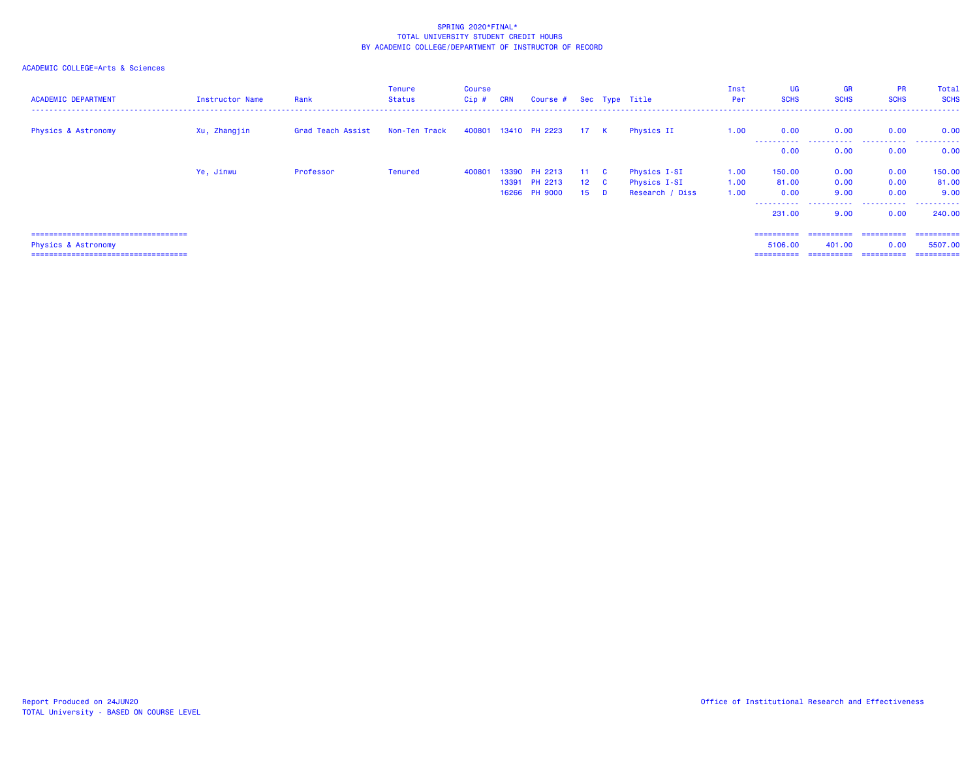| <b>ACADEMIC DEPARTMENT</b>             | Instructor Name | Rank              | Tenure<br><b>Status</b> | <b>Course</b><br>Cip # CRN |       | Course # Sec Type Title  |                     |                |                              | Inst<br>Per  | <b>UG</b><br><b>SCHS</b> | <b>GR</b><br><b>SCHS</b> | <b>PR</b><br><b>SCHS</b> | Total<br><b>SCHS</b> |
|----------------------------------------|-----------------|-------------------|-------------------------|----------------------------|-------|--------------------------|---------------------|----------------|------------------------------|--------------|--------------------------|--------------------------|--------------------------|----------------------|
| <b>Physics &amp; Astronomy</b>         | Xu, Zhangjin    | Grad Teach Assist | Non-Ten Track           |                            |       | 400801 13410 PH 2223     | 17 K                |                | Physics II                   | 1.00         | 0.00                     | 0.00                     | 0.00                     | 0.00                 |
|                                        |                 |                   |                         |                            |       |                          |                     |                |                              |              | .<br>0.00                | 0.00                     | 0.00                     | .<br>0.00            |
|                                        | Ye, Jinwu       | Professor         | Tenured                 | 400801                     | 13391 | 13390 PH 2213<br>PH 2213 | 11 C<br>$12\quad C$ |                | Physics I-SI<br>Physics I-SI | 1.00<br>1.00 | 150.00<br>81.00          | 0.00<br>0.00             | 0.00<br>0.00             | 150.00<br>81.00      |
|                                        |                 |                   |                         |                            |       | 16266 PH 9000            | 15                  | $\blacksquare$ | Research / Diss              | 1.00         | 0.00<br>-----------      | 9.00<br>.                | 0.00<br>.                | 9.00<br>.            |
|                                        |                 |                   |                         |                            |       |                          |                     |                |                              |              | 231,00                   | 9.00                     | 0.00                     | 240.00               |
| ====================================== |                 |                   |                         |                            |       |                          |                     |                |                              |              | ==========               | ==========               | ==========               | ==========           |
| Physics & Astronomy                    |                 |                   |                         |                            |       |                          |                     |                |                              |              | 5106.00                  | 401.00                   | 0.00                     | 5507.00              |
| ====================================== |                 |                   |                         |                            |       |                          |                     |                |                              |              | ==========               | ==========               | -----------              | ==========           |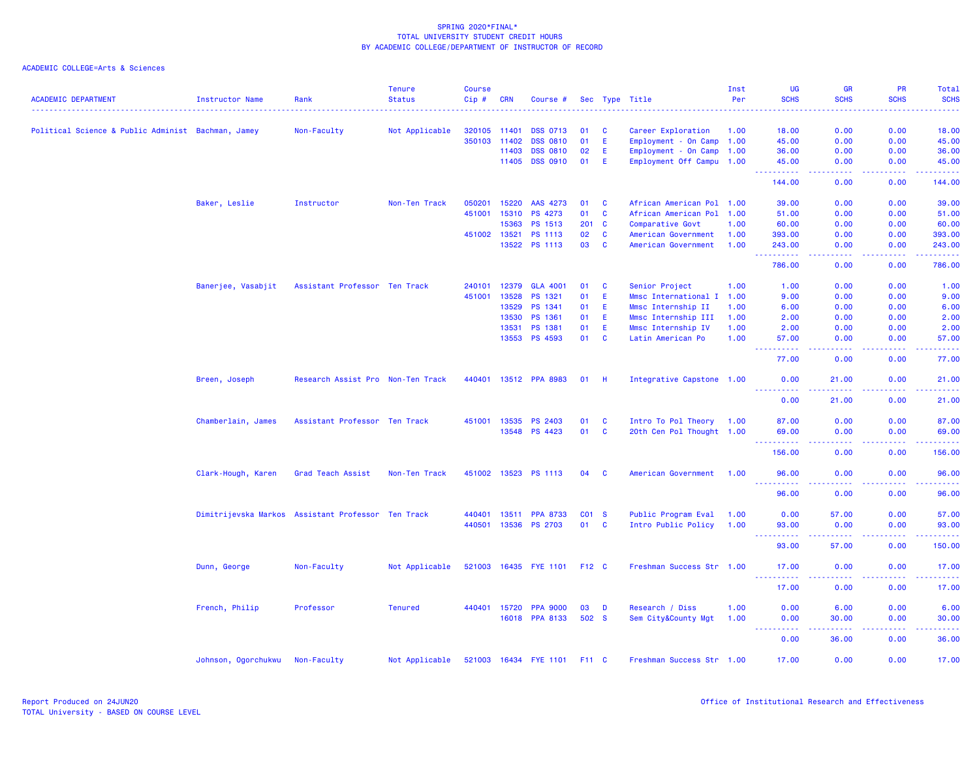| <b>ACADEMIC DEPARTMENT</b>                         | <b>Instructor Name</b> | Rank                                               | <b>Tenure</b><br><b>Status</b> | <b>Course</b><br>Cip# | <b>CRN</b>   | Course #                          |             |              | Sec Type Title            | Inst<br>Per | UG<br><b>SCHS</b>                  | <b>GR</b><br><b>SCHS</b>            | <b>PR</b><br><b>SCHS</b>             | Total<br><b>SCHS</b>    |
|----------------------------------------------------|------------------------|----------------------------------------------------|--------------------------------|-----------------------|--------------|-----------------------------------|-------------|--------------|---------------------------|-------------|------------------------------------|-------------------------------------|--------------------------------------|-------------------------|
|                                                    |                        |                                                    |                                |                       |              |                                   |             |              |                           |             |                                    |                                     |                                      |                         |
| Political Science & Public Administ Bachman, Jamey |                        | Non-Faculty                                        | Not Applicable                 | 320105 11401          |              | <b>DSS 0713</b>                   | 01          | <b>C</b>     | Career Exploration        | 1.00        | 18.00                              | 0.00                                | 0.00                                 | 18.00                   |
|                                                    |                        |                                                    |                                |                       | 350103 11402 | <b>DSS 0810</b>                   | 01          | E.           | Employment - On Camp 1.00 |             | 45.00                              | 0.00                                | 0.00                                 | 45.00                   |
|                                                    |                        |                                                    |                                |                       | 11403        | <b>DSS 0810</b>                   | 02          | E.           | Employment - On Camp 1.00 |             | 36.00                              | 0.00                                | 0.00                                 | 36.00                   |
|                                                    |                        |                                                    |                                |                       | 11405        | <b>DSS 0910</b>                   | 01          | -E.          | Employment Off Campu 1.00 |             | 45.00<br>المتمام والمتمار          | 0.00<br>.                           | 0.00<br>.                            | 45.00<br>.              |
|                                                    |                        |                                                    |                                |                       |              |                                   |             |              |                           |             | 144.00                             | 0.00                                | 0.00                                 | 144.00                  |
|                                                    | Baker, Leslie          | Instructor                                         | Non-Ten Track                  | 050201                | 15220        | AAS 4273                          | 01          | <b>C</b>     | African American Pol 1.00 |             | 39,00                              | 0.00                                | 0.00                                 | 39.00                   |
|                                                    |                        |                                                    |                                | 451001                | 15310        | PS 4273                           | 01          | $\mathbf{C}$ | African American Pol 1.00 |             | 51.00                              | 0.00                                | 0.00                                 | 51.00                   |
|                                                    |                        |                                                    |                                |                       | 15363        | PS 1513                           |             | 201 C        | Comparative Govt          | 1.00        | 60.00                              | 0.00                                | 0.00                                 | 60.00                   |
|                                                    |                        |                                                    |                                |                       | 451002 13521 | <b>PS 1113</b>                    | 02          | $\mathbf{C}$ | American Government       | 1.00        | 393.00                             | 0.00                                | 0.00                                 | 393.00                  |
|                                                    |                        |                                                    |                                |                       | 13522        | PS 1113                           | 03          | $\mathbf{C}$ | American Government       | 1.00        | 243.00                             | 0.00                                | 0.00                                 | 243.00                  |
|                                                    |                        |                                                    |                                |                       |              |                                   |             |              |                           |             | 222222<br>786.00                   | الدالد الدالد<br>0.00               | .<br>0.00                            | $- - - - - -$<br>786.00 |
|                                                    | Banerjee, Vasabjit     | Assistant Professor Ten Track                      |                                | 240101                | 12379        | <b>GLA 4001</b>                   | 01          | <b>C</b>     | Senior Project            | 1.00        | 1.00                               | 0.00                                | 0.00                                 | 1.00                    |
|                                                    |                        |                                                    |                                | 451001                | 13528        | PS 1321                           | 01          | E.           | Mmsc International I 1.00 |             | 9.00                               | 0.00                                | 0.00                                 | 9.00                    |
|                                                    |                        |                                                    |                                |                       | 13529        | PS 1341                           | 01          | E            | Mmsc Internship II        | 1.00        | 6.00                               | 0.00                                | 0.00                                 | 6.00                    |
|                                                    |                        |                                                    |                                |                       | 13530        | PS 1361                           | 01          | E            | Mmsc Internship III       | 1.00        | 2.00                               | 0.00                                | 0.00                                 | 2.00                    |
|                                                    |                        |                                                    |                                |                       | 13531        | PS 1381                           | 01          | E.           | Mmsc Internship IV        | 1.00        | 2.00                               | 0.00                                | 0.00                                 | 2.00                    |
|                                                    |                        |                                                    |                                |                       | 13553        | <b>PS 4593</b>                    | 01          | <b>C</b>     | Latin American Po         | 1.00        | 57.00                              | 0.00                                | 0.00                                 | 57.00                   |
|                                                    |                        |                                                    |                                |                       |              |                                   |             |              |                           |             | <b>_________</b>                   | المتمالين                           | a a a a an                           | .                       |
|                                                    |                        |                                                    |                                |                       |              |                                   |             |              |                           |             | 77.00                              | 0.00                                | 0.00                                 | 77.00                   |
|                                                    | Breen, Joseph          | Research Assist Pro Non-Ten Track                  |                                |                       |              | 440401 13512 PPA 8983             | 01          | - H          | Integrative Capstone 1.00 |             | 0.00<br><u>.</u>                   | 21.00<br>.                          | 0.00                                 | 21.00<br>.              |
|                                                    |                        |                                                    |                                |                       |              |                                   |             |              |                           |             | 0.00                               | 21.00                               | 0.00                                 | 21.00                   |
|                                                    | Chamberlain, James     | Assistant Professor Ten Track                      |                                |                       | 451001 13535 | PS 2403                           | 01          | <b>C</b>     | Intro To Pol Theory 1.00  |             | 87.00                              | 0.00                                | 0.00                                 | 87.00                   |
|                                                    |                        |                                                    |                                |                       |              | 13548 PS 4423                     | 01          | $\mathbf{C}$ | 20th Cen Pol Thought 1.00 |             | 69.00                              | 0.00                                | 0.00                                 | 69.00                   |
|                                                    |                        |                                                    |                                |                       |              |                                   |             |              |                           |             | $\omega_{\rm{eff}}$<br>.<br>156.00 | الأنابات<br>0.00                    | المستملة<br>0.00                     | .<br>156.00             |
|                                                    |                        |                                                    |                                |                       |              |                                   |             |              |                           |             |                                    |                                     |                                      |                         |
|                                                    | Clark-Hough, Karen     | Grad Teach Assist                                  | Non-Ten Track                  |                       |              | 451002 13523 PS 1113              | 04          | <b>C</b>     | American Government       | 1.00        | 96.00                              | 0.00                                | 0.00                                 | 96.00                   |
|                                                    |                        |                                                    |                                |                       |              |                                   |             |              |                           |             | 96.00                              | 0.00                                | 0.00                                 | 96.00                   |
|                                                    |                        | Dimitrijevska Markos Assistant Professor Ten Track |                                | 440401                | 13511        | <b>PPA 8733</b>                   | CO1 S       |              | Public Program Eval       | 1.00        | 0.00                               | 57.00                               | 0.00                                 | 57.00                   |
|                                                    |                        |                                                    |                                |                       |              | 440501 13536 PS 2703              | 01 C        |              | Intro Public Policy       | 1.00        | 93.00                              | 0.00                                | 0.00                                 | 93.00                   |
|                                                    |                        |                                                    |                                |                       |              |                                   |             |              |                           |             | .<br>93.00                         | 22222<br>57.00                      | 22222<br>0.00                        | .<br>150.00             |
|                                                    | Dunn, George           | Non-Faculty                                        | Not Applicable                 |                       |              | 521003 16435 FYE 1101 F12 C       |             |              | Freshman Success Str 1.00 |             | 17.00                              | 0.00                                | 0.00                                 | 17.00                   |
|                                                    |                        |                                                    |                                |                       |              |                                   |             |              |                           |             | .<br>17.00                         | $\sim$ $\sim$ $\sim$ $\sim$<br>0.00 | 0.00                                 | 17.00                   |
|                                                    |                        |                                                    |                                |                       |              |                                   |             |              |                           |             |                                    |                                     |                                      |                         |
|                                                    | French, Philip         | Professor                                          | <b>Tenured</b>                 |                       | 440401 15720 | <b>PPA 9000</b><br>16018 PPA 8133 | 03<br>502 S | <b>D</b>     | Research / Diss           | 1.00        | 0.00                               | 6.00                                | 0.00<br>0.00                         | 6.00                    |
|                                                    |                        |                                                    |                                |                       |              |                                   |             |              | Sem City&County Mgt       | 1.00        | 0.00<br><b></b>                    | 30.00<br>-----                      | <b><i><u><u> - - - -</u></u></i></b> | 30.00<br>.              |
|                                                    |                        |                                                    |                                |                       |              |                                   |             |              |                           |             | 0.00                               | 36.00                               | 0.00                                 | 36.00                   |
|                                                    | Johnson, Ogorchukwu    | Non-Faculty                                        | Not Applicable                 |                       |              | 521003 16434 FYE 1101 F11 C       |             |              | Freshman Success Str 1.00 |             | 17.00                              | 0.00                                | 0.00                                 | 17.00                   |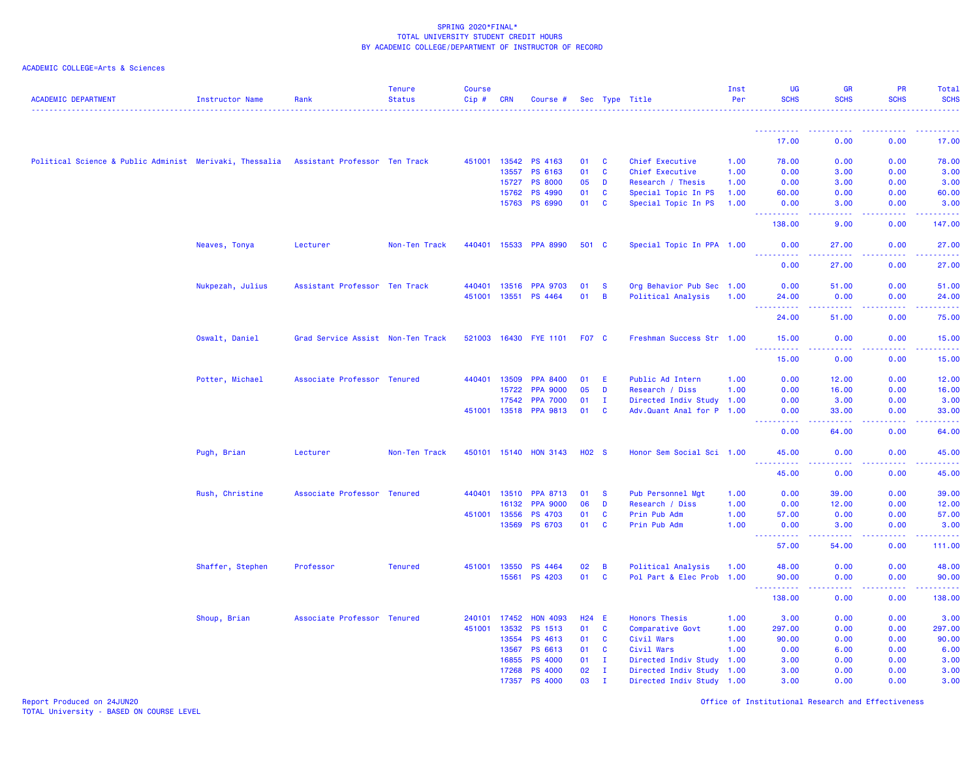## ACADEMIC COLLEGE=Arts & Sciences

| <b>ACADEMIC DEPARTMENT</b>                                                            | <b>Instructor Name</b> | Rank                              | <b>Tenure</b><br><b>Status</b> | <b>Course</b><br>Cip# | <b>CRN</b>   | Course #              |         |              | Sec Type Title            | Inst<br>Per | UG<br><b>SCHS</b>                  | <b>GR</b><br><b>SCHS</b> | <b>PR</b><br><b>SCHS</b> | <b>Total</b><br><b>SCHS</b> |
|---------------------------------------------------------------------------------------|------------------------|-----------------------------------|--------------------------------|-----------------------|--------------|-----------------------|---------|--------------|---------------------------|-------------|------------------------------------|--------------------------|--------------------------|-----------------------------|
|                                                                                       |                        |                                   |                                |                       |              |                       |         |              |                           |             |                                    |                          |                          |                             |
|                                                                                       |                        |                                   |                                |                       |              |                       |         |              |                           |             | 17.00                              | 0.00                     | 0.00                     | 17.00                       |
| Political Science & Public Administ Merivaki, Thessalia Assistant Professor Ten Track |                        |                                   |                                |                       |              | 451001 13542 PS 4163  | 01      | <b>C</b>     | Chief Executive           | 1.00        | 78.00                              | 0.00                     | 0.00                     | 78.00                       |
|                                                                                       |                        |                                   |                                |                       | 13557        | PS 6163               | 01      | $\mathbf{C}$ | Chief Executive           | 1.00        | 0.00                               | 3.00                     | 0.00                     | 3.00                        |
|                                                                                       |                        |                                   |                                |                       | 15727        | <b>PS 8000</b>        | 05      | D            | Research / Thesis         | 1.00        | 0.00                               | 3.00                     | 0.00                     | 3.00                        |
|                                                                                       |                        |                                   |                                |                       | 15762        | <b>PS 4990</b>        | 01      | $\mathbf{C}$ | Special Topic In PS       | 1.00        | 60.00                              | 0.00                     | 0.00                     | 60.00                       |
|                                                                                       |                        |                                   |                                |                       | 15763        | <b>PS 6990</b>        | 01      | <b>C</b>     | Special Topic In PS       | 1.00        | 0.00                               | 3.00                     | 0.00                     | 3.00                        |
|                                                                                       |                        |                                   |                                |                       |              |                       |         |              |                           |             | .<br>138.00                        | .<br>9.00                | .<br>0.00                | د د د د د د<br>147.00       |
|                                                                                       | Neaves, Tonya          | Lecturer                          | Non-Ten Track                  |                       |              | 440401 15533 PPA 8990 | 501 C   |              | Special Topic In PPA 1.00 |             | 0.00                               | 27.00                    | 0.00                     | 27.00                       |
|                                                                                       |                        |                                   |                                |                       |              |                       |         |              |                           |             | <u>.</u><br>0.00                   | 22222<br>27.00           | .<br>0.00                | .<br>27.00                  |
|                                                                                       | Nukpezah, Julius       | Assistant Professor Ten Track     |                                | 440401                | 13516        | <b>PPA 9703</b>       | 01      | - S          | Org Behavior Pub Sec 1.00 |             | 0.00                               | 51.00                    | 0.00                     | 51.00                       |
|                                                                                       |                        |                                   |                                | 451001 13551          |              | <b>PS 4464</b>        | 01      | B            | Political Analysis        | 1.00        | 24.00                              | 0.00                     | 0.00                     | 24.00                       |
|                                                                                       |                        |                                   |                                |                       |              |                       |         |              |                           |             | .<br>24.00                         | $- - - - - -$<br>51.00   | .<br>0.00                | .<br>75.00                  |
|                                                                                       | Oswalt, Daniel         | Grad Service Assist Non-Ten Track |                                | 521003                | 16430        | <b>FYE 1101</b>       | F07 C   |              | Freshman Success Str 1.00 |             | 15.00                              | 0.00                     | 0.00                     | 15.00                       |
|                                                                                       |                        |                                   |                                |                       |              |                       |         |              |                           |             | 15.00                              | 0.00                     | 0.00                     | 15.00                       |
|                                                                                       | Potter, Michael        | Associate Professor Tenured       |                                | 440401                | 13509        | <b>PPA 8400</b>       | 01      | E.           | Public Ad Intern          | 1.00        | 0.00                               | 12.00                    | 0.00                     | 12.00                       |
|                                                                                       |                        |                                   |                                |                       | 15722        | <b>PPA 9000</b>       | 05      | D            | Research / Diss           | 1.00        | 0.00                               | 16.00                    | 0.00                     | 16.00                       |
|                                                                                       |                        |                                   |                                |                       | 17542        | <b>PPA 7000</b>       | 01      | I.           | Directed Indiv Study 1.00 |             | 0.00                               | 3.00                     | 0.00                     | 3.00                        |
|                                                                                       |                        |                                   |                                |                       | 451001 13518 | <b>PPA 9813</b>       | 01      | <b>C</b>     | Adv.Quant Anal for P 1.00 |             | 0.00                               | 33.00                    | 0.00                     | 33.00                       |
|                                                                                       |                        |                                   |                                |                       |              |                       |         |              |                           |             | 0.00                               | 64.00                    | 0.00                     | والمتمام المار<br>64.00     |
|                                                                                       | Pugh, Brian            | Lecturer                          | Non-Ten Track                  |                       |              | 450101 15140 HON 3143 | $H02$ S |              | Honor Sem Social Sci 1.00 |             | 45.00<br>$\sim$ $\sim$ $\sim$<br>. | 0.00<br>.                | 0.00                     | 45.00<br>.                  |
|                                                                                       |                        |                                   |                                |                       |              |                       |         |              |                           |             | 45.00                              | 0.00                     | 0.00                     | 45.00                       |
|                                                                                       | Rush, Christine        | Associate Professor Tenured       |                                |                       | 440401 13510 | <b>PPA 8713</b>       | 01      | <b>S</b>     | Pub Personnel Mgt         | 1.00        | 0.00                               | 39.00                    | 0.00                     | 39.00                       |
|                                                                                       |                        |                                   |                                |                       | 16132        | <b>PPA 9000</b>       | 06      | D            | Research / Diss           | 1.00        | 0.00                               | 12.00                    | 0.00                     | 12.00                       |
|                                                                                       |                        |                                   |                                |                       | 451001 13556 | <b>PS 4703</b>        | 01      | C            | Prin Pub Adm              | 1.00        | 57.00                              | 0.00                     | 0.00                     | 57.00                       |
|                                                                                       |                        |                                   |                                |                       | 13569        | PS 6703               | 01      | $\mathbf{C}$ | Prin Pub Adm              | 1.00        | 0.00<br>$- - - - -$                | 3.00                     | 0.00                     | 3.00<br>.                   |
|                                                                                       |                        |                                   |                                |                       |              |                       |         |              |                           |             | 57.00                              | 54.00                    | 0.00                     | 111.00                      |
|                                                                                       | Shaffer, Stephen       | Professor                         | <b>Tenured</b>                 |                       | 451001 13550 | <b>PS 4464</b>        | 02      | B            | Political Analysis        | 1.00        | 48.00                              | 0.00                     | 0.00                     | 48.00                       |
|                                                                                       |                        |                                   |                                |                       | 15561        | PS 4203               | 01      | $\mathbf{C}$ | Pol Part & Elec Prob 1.00 |             | 90.00<br>.                         | 0.00                     | 0.00                     | 90.00<br>المتمام المنا      |
|                                                                                       |                        |                                   |                                |                       |              |                       |         |              |                           |             | 138.00                             | 0.00                     | 0.00                     | 138.00                      |
|                                                                                       | Shoup, Brian           | Associate Professor Tenured       |                                |                       | 240101 17452 | <b>HON 4093</b>       | $H24$ E |              | <b>Honors Thesis</b>      | 1.00        | 3.00                               | 0.00                     | 0.00                     | 3.00                        |
|                                                                                       |                        |                                   |                                | 451001                | 13532        | PS 1513               | 01      | C            | Comparative Govt          | 1.00        | 297.00                             | 0.00                     | 0.00                     | 297.00                      |
|                                                                                       |                        |                                   |                                |                       | 13554        | PS 4613               | 01      | C            | Civil Wars                | 1.00        | 90.00                              | 0.00                     | 0.00                     | 90.00                       |
|                                                                                       |                        |                                   |                                |                       | 13567        | PS 6613               | 01      | $\mathbf{C}$ | Civil Wars                | 1.00        | 0.00                               | 6.00                     | 0.00                     | 6.00                        |
|                                                                                       |                        |                                   |                                |                       | 16855        | <b>PS 4000</b>        | 01      | $\mathbf{I}$ | Directed Indiv Study 1.00 |             | 3.00                               | 0.00                     | 0.00                     | 3.00                        |
|                                                                                       |                        |                                   |                                |                       | 17268        | <b>PS 4000</b>        | 02      | $\mathbf{I}$ | Directed Indiv Study 1.00 |             | 3.00                               | 0.00                     | 0.00                     | 3.00                        |
|                                                                                       |                        |                                   |                                |                       | 17357        | <b>PS 4000</b>        | 03      | $\mathbf{I}$ | Directed Indiv Study 1.00 |             | 3.00                               | 0.00                     | 0.00                     | 3.00                        |

Report Produced on 24JUN20 Office of Institutional Research and Effectiveness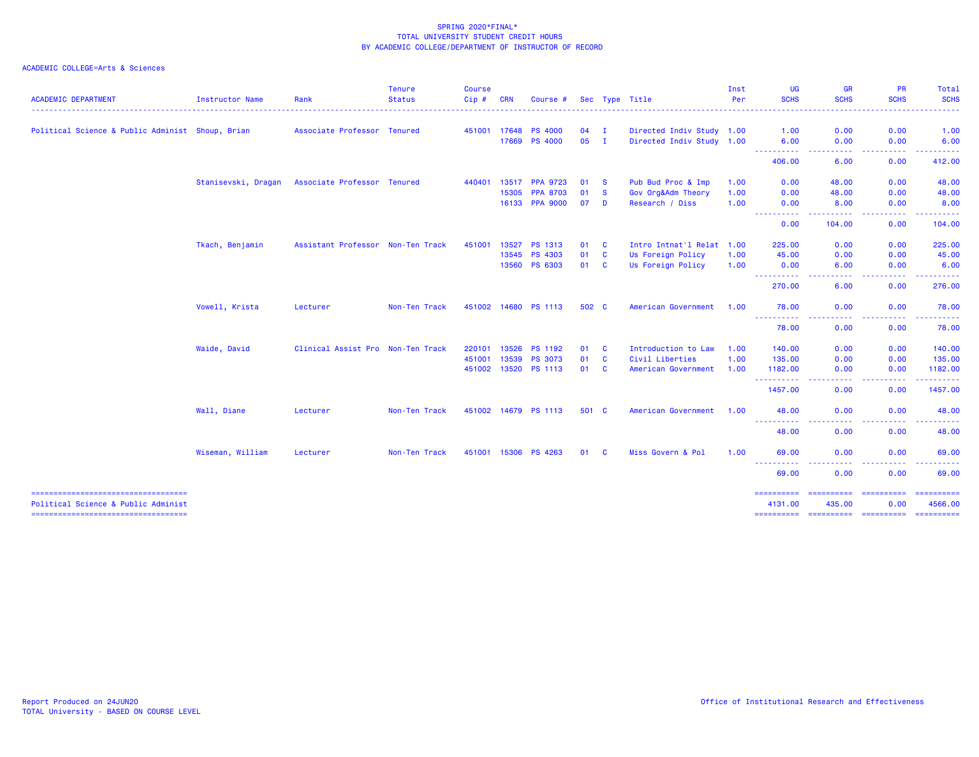| <b>ACADEMIC DEPARTMENT</b>                       | Instructor Name     | Rank                              | <b>Tenure</b><br><b>Status</b> | <b>Course</b><br>Cip# | <b>CRN</b> | Course #             |       |              | Sec Type Title            | Inst<br>Per | <b>UG</b><br><b>SCHS</b> | <b>GR</b><br><b>SCHS</b>                                                                                                          | <b>PR</b><br><b>SCHS</b>                                                                                                                                                  | <b>Total</b><br><b>SCHS</b>                                                                                                                                   |
|--------------------------------------------------|---------------------|-----------------------------------|--------------------------------|-----------------------|------------|----------------------|-------|--------------|---------------------------|-------------|--------------------------|-----------------------------------------------------------------------------------------------------------------------------------|---------------------------------------------------------------------------------------------------------------------------------------------------------------------------|---------------------------------------------------------------------------------------------------------------------------------------------------------------|
|                                                  |                     |                                   |                                |                       |            |                      |       |              |                           |             | . <u>.</u> .             |                                                                                                                                   |                                                                                                                                                                           |                                                                                                                                                               |
| Political Science & Public Administ Shoup, Brian |                     | Associate Professor Tenured       |                                | 451001                | 17648      | <b>PS 4000</b>       | 04    | $\mathbf{I}$ | Directed Indiv Study 1.00 |             | 1.00                     | 0.00                                                                                                                              | 0.00                                                                                                                                                                      | 1.00                                                                                                                                                          |
|                                                  |                     |                                   |                                |                       | 17669      | <b>PS 4000</b>       | 05    | $\mathbf{I}$ | Directed Indiv Study 1.00 |             | 6.00<br>----------       | 0.00<br>.                                                                                                                         | 0.00<br>.                                                                                                                                                                 | 6.00<br>------                                                                                                                                                |
|                                                  |                     |                                   |                                |                       |            |                      |       |              |                           |             | 406.00                   | 6.00                                                                                                                              | 0.00                                                                                                                                                                      | 412.00                                                                                                                                                        |
|                                                  | Stanisevski, Dragan | Associate Professor Tenured       |                                | 440401                | 13517      | <b>PPA 9723</b>      | 01    | - S          | Pub Bud Proc & Imp        | 1.00        | 0.00                     | 48.00                                                                                                                             | 0.00                                                                                                                                                                      | 48.00                                                                                                                                                         |
|                                                  |                     |                                   |                                |                       | 15305      | <b>PPA 8703</b>      | 01    | <b>S</b>     | Gov Org&Adm Theory        | 1.00        | 0.00                     | 48.00                                                                                                                             | 0.00                                                                                                                                                                      | 48.00                                                                                                                                                         |
|                                                  |                     |                                   |                                |                       | 16133      | <b>PPA 9000</b>      | 07    | D            | Research / Diss           | 1.00        | 0.00<br>----------       | 8.00<br>.                                                                                                                         | 0.00<br>.                                                                                                                                                                 | 8.00<br>. <b>.</b>                                                                                                                                            |
|                                                  |                     |                                   |                                |                       |            |                      |       |              |                           |             | 0.00                     | 104.00                                                                                                                            | 0.00                                                                                                                                                                      | 104.00                                                                                                                                                        |
|                                                  | Tkach, Benjamin     | Assistant Professor Non-Ten Track |                                | 451001                | 13527      | PS 1313              | 01    | <b>C</b>     | Intro Intnat'l Relat 1.00 |             | 225.00                   | 0.00                                                                                                                              | 0.00                                                                                                                                                                      | 225.00                                                                                                                                                        |
|                                                  |                     |                                   |                                |                       | 13545      | PS 4303              | 01    | <b>C</b>     | Us Foreign Policy         | 1.00        | 45.00                    | 0.00                                                                                                                              | 0.00                                                                                                                                                                      | 45.00                                                                                                                                                         |
|                                                  |                     |                                   |                                |                       |            | 13560 PS 6303        | 01 C  |              | Us Foreign Policy         | 1.00        | 0.00<br>-----------      | 6.00<br>.<br>$- - -$                                                                                                              | 0.00<br>.                                                                                                                                                                 | 6.00<br>. <u>.</u> .                                                                                                                                          |
|                                                  |                     |                                   |                                |                       |            |                      |       |              |                           |             | 270.00                   | 6.00                                                                                                                              | 0.00                                                                                                                                                                      | 276.00                                                                                                                                                        |
|                                                  | Vowell, Krista      | Lecturer                          | Non-Ten Track                  |                       |            | 451002 14680 PS 1113 | 502 C |              | American Government       | 1.00        | 78.00                    | 0.00                                                                                                                              | 0.00                                                                                                                                                                      | 78.00                                                                                                                                                         |
|                                                  |                     |                                   |                                |                       |            |                      |       |              |                           |             | -----------<br>78.00     | $\sim 100$<br>$\sim$ $\sim$ $\sim$ $\sim$<br>0.00                                                                                 | <b><i><u><u> - - - -</u></u></i></b><br>$\frac{1}{2} \left( \frac{1}{2} \right) \left( \frac{1}{2} \right) \left( \frac{1}{2} \right) \left( \frac{1}{2} \right)$<br>0.00 | $\frac{1}{2} \left( \frac{1}{2} \right) \left( \frac{1}{2} \right) \left( \frac{1}{2} \right) \left( \frac{1}{2} \right) \left( \frac{1}{2} \right)$<br>78.00 |
|                                                  | Waide, David        | Clinical Assist Pro Non-Ten Track |                                | 220101                | 13526      | <b>PS 1192</b>       | 01    | <b>C</b>     | Introduction to Law       | 1.00        | 140.00                   | 0.00                                                                                                                              | 0.00                                                                                                                                                                      | 140.00                                                                                                                                                        |
|                                                  |                     |                                   |                                | 451001                | 13539      | <b>PS 3073</b>       | 01    | $\mathbf{C}$ | Civil Liberties           | 1.00        | 135.00                   | 0.00                                                                                                                              | 0.00                                                                                                                                                                      | 135.00                                                                                                                                                        |
|                                                  |                     |                                   |                                |                       |            | 451002 13520 PS 1113 | 01    | <b>C</b>     | American Government       | 1.00        | 1182.00                  | 0.00                                                                                                                              | 0.00                                                                                                                                                                      | 1182.00                                                                                                                                                       |
|                                                  |                     |                                   |                                |                       |            |                      |       |              |                           |             | .<br>1457.00             | $\cdots$<br>0.00                                                                                                                  | .<br>0.00                                                                                                                                                                 | -------<br>1457.00                                                                                                                                            |
|                                                  | Wall, Diane         | Lecturer                          | Non-Ten Track                  | 451002                | 14679      | <b>PS 1113</b>       | 501 C |              | American Government       | 1.00        | 48.00                    | 0.00                                                                                                                              | 0.00                                                                                                                                                                      | 48.00                                                                                                                                                         |
|                                                  |                     |                                   |                                |                       |            |                      |       |              |                           |             | ----------<br>48.00      | $\frac{1}{2} \left( \frac{1}{2} \right) \left( \frac{1}{2} \right) \left( \frac{1}{2} \right) \left( \frac{1}{2} \right)$<br>0.00 | .<br>0.00                                                                                                                                                                 | .<br>48.00                                                                                                                                                    |
|                                                  | Wiseman, William    | Lecturer                          | Non-Ten Track                  | 451001                | 15306      | <b>PS 4263</b>       | 01    | <b>C</b>     | Miss Govern & Pol         | 1.00        | 69.00                    | 0.00                                                                                                                              | 0.00                                                                                                                                                                      | 69.00                                                                                                                                                         |
|                                                  |                     |                                   |                                |                       |            |                      |       |              |                           |             | ----------<br>69.00      | 0.00                                                                                                                              | 0.00                                                                                                                                                                      | 69.00                                                                                                                                                         |
|                                                  |                     |                                   |                                |                       |            |                      |       |              |                           |             | ==========               | ==========                                                                                                                        | ==========                                                                                                                                                                | ==========                                                                                                                                                    |
| Political Science & Public Administ              |                     |                                   |                                |                       |            |                      |       |              |                           |             | 4131.00<br>==========    | 435.00                                                                                                                            | 0.00<br>======================                                                                                                                                            | 4566.00<br>==========                                                                                                                                         |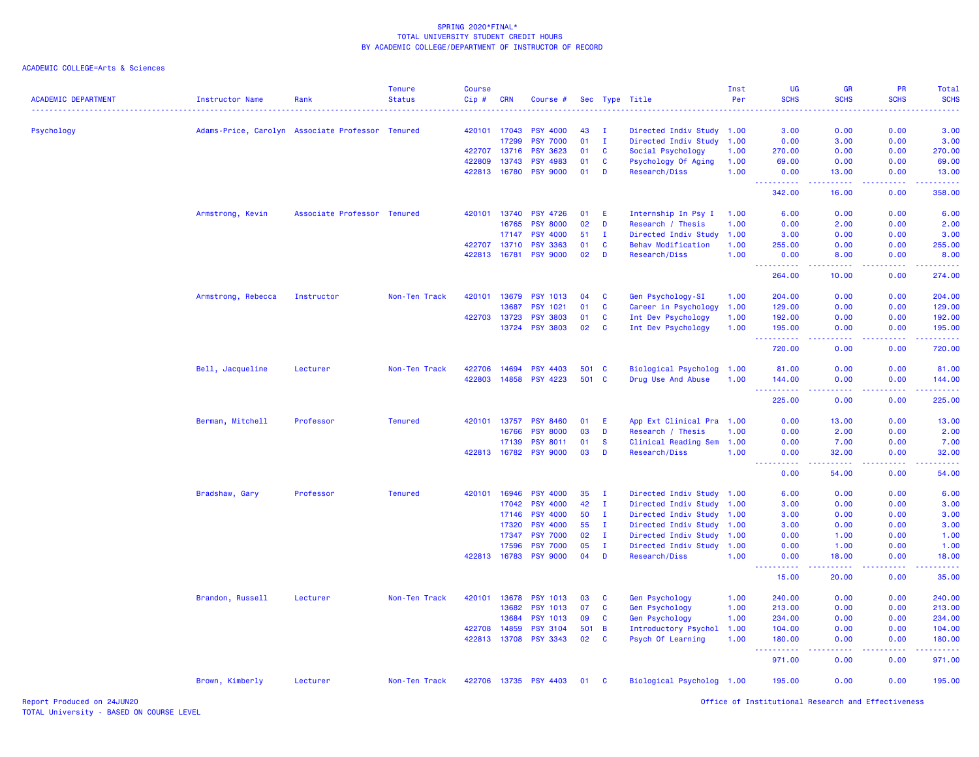| <b>ACADEMIC DEPARTMENT</b> | Instructor Name                                  | Rank                        | <b>Tenure</b><br><b>Status</b> | <b>Course</b><br>Cip# | <b>CRN</b>   | Course #              |       |              | Sec Type Title            | Inst<br>Per | <b>UG</b><br><b>SCHS</b>                                                                                          | <b>GR</b><br><b>SCHS</b>              | <b>PR</b><br><b>SCHS</b>                     | Total<br><b>SCHS</b> |
|----------------------------|--------------------------------------------------|-----------------------------|--------------------------------|-----------------------|--------------|-----------------------|-------|--------------|---------------------------|-------------|-------------------------------------------------------------------------------------------------------------------|---------------------------------------|----------------------------------------------|----------------------|
|                            |                                                  |                             |                                |                       |              |                       |       |              |                           |             |                                                                                                                   |                                       |                                              |                      |
| Psychology                 | Adams-Price, Carolyn Associate Professor Tenured |                             |                                |                       | 420101 17043 | <b>PSY 4000</b>       | 43    | $\mathbf I$  | Directed Indiv Study 1.00 |             | 3.00                                                                                                              | 0.00                                  | 0.00                                         | 3.00                 |
|                            |                                                  |                             |                                |                       | 17299        | <b>PSY 7000</b>       | 01    | $\mathbf{I}$ | Directed Indiv Study      | 1.00        | 0.00                                                                                                              | 3.00                                  | 0.00                                         | 3.00                 |
|                            |                                                  |                             |                                |                       | 422707 13716 | <b>PSY 3623</b>       | 01    | C            | Social Psychology         | 1.00        | 270.00                                                                                                            | 0.00                                  | 0.00                                         | 270.00               |
|                            |                                                  |                             |                                | 422809                | 13743        | <b>PSY 4983</b>       | 01    | C            | Psychology Of Aging       | 1.00        | 69.00                                                                                                             | 0.00                                  | 0.00                                         | 69.00                |
|                            |                                                  |                             |                                |                       | 422813 16780 | <b>PSY 9000</b>       | 01    | D            | Research/Diss             | 1.00        | 0.00<br>$-2222$<br>$\frac{1}{2} \left( \frac{1}{2} \right) \left( \frac{1}{2} \right) \left( \frac{1}{2} \right)$ | 13.00<br>.                            | 0.00<br>.                                    | 13.00<br>.           |
|                            |                                                  |                             |                                |                       |              |                       |       |              |                           |             | 342.00                                                                                                            | 16.00                                 | 0.00                                         | 358.00               |
|                            | Armstrong, Kevin                                 | Associate Professor Tenured |                                |                       | 420101 13740 | <b>PSY 4726</b>       | 01    | Æ            | Internship In Psy I       | 1.00        | 6.00                                                                                                              | 0.00                                  | 0.00                                         | 6.00                 |
|                            |                                                  |                             |                                |                       | 16765        | <b>PSY 8000</b>       | 02    | D            | Research / Thesis         | 1.00        | 0.00                                                                                                              | 2.00                                  | 0.00                                         | 2.00                 |
|                            |                                                  |                             |                                |                       | 17147        | <b>PSY 4000</b>       | 51    | $\mathbf{I}$ | Directed Indiv Study      | 1.00        | 3.00                                                                                                              | 0.00                                  | 0.00                                         | 3.00                 |
|                            |                                                  |                             |                                |                       | 422707 13710 | <b>PSY 3363</b>       | 01    | <b>C</b>     | <b>Behav Modification</b> | 1.00        | 255.00                                                                                                            | 0.00                                  | 0.00                                         | 255.00               |
|                            |                                                  |                             |                                |                       | 422813 16781 | <b>PSY 9000</b>       | 02    | D            | Research/Diss             | 1.00        | 0.00<br><b><i><u>AAAAAAAAA</u></i></b>                                                                            | 8.00<br><b><i><u><u>.</u></u></i></b> | 0.00<br>. <b>.</b> .                         | 8.00<br>.            |
|                            |                                                  |                             |                                |                       |              |                       |       |              |                           |             | 264.00                                                                                                            | 10.00                                 | 0.00                                         | 274.00               |
|                            | Armstrong, Rebecca                               | Instructor                  | Non-Ten Track                  |                       | 420101 13679 | <b>PSY 1013</b>       | 04    | C            | Gen Psychology-SI         | 1.00        | 204.00                                                                                                            | 0.00                                  | 0.00                                         | 204.00               |
|                            |                                                  |                             |                                |                       | 13687        | <b>PSY 1021</b>       | 01    | C            | Career in Psychology      | 1.00        | 129.00                                                                                                            | 0.00                                  | 0.00                                         | 129.00               |
|                            |                                                  |                             |                                |                       | 422703 13723 | <b>PSY 3803</b>       | 01    | C            | Int Dev Psychology        | 1.00        | 192.00                                                                                                            | 0.00                                  | 0.00                                         | 192.00               |
|                            |                                                  |                             |                                |                       | 13724        | <b>PSY 3803</b>       | 02    | <b>C</b>     | Int Dev Psychology        | 1.00        | 195.00                                                                                                            | 0.00                                  | 0.00                                         | 195.00<br>.          |
|                            |                                                  |                             |                                |                       |              |                       |       |              |                           |             | $- - - - -$<br>720.00                                                                                             | 0.00                                  | 0.00                                         | 720.00               |
|                            | Bell, Jacqueline                                 | Lecturer                    | Non-Ten Track                  |                       | 422706 14694 | <b>PSY 4403</b>       | 501 C |              | Biological Psycholog      | 1.00        | 81.00                                                                                                             | 0.00                                  | 0.00                                         | 81.00                |
|                            |                                                  |                             |                                |                       |              | 422803 14858 PSY 4223 | 501 C |              | Drug Use And Abuse        | 1.00        | 144.00<br>$\sim$ $\sim$ .                                                                                         | 0.00                                  | 0.00                                         | 144.00<br>.          |
|                            |                                                  |                             |                                |                       |              |                       |       |              |                           |             | 225.00                                                                                                            | 0.00                                  | 0.00                                         | 225.00               |
|                            | Berman, Mitchell                                 | Professor                   | <b>Tenured</b>                 |                       | 420101 13757 | <b>PSY 8460</b>       | 01    | -E           | App Ext Clinical Pra 1.00 |             | 0.00                                                                                                              | 13.00                                 | 0.00                                         | 13.00                |
|                            |                                                  |                             |                                |                       | 16766        | <b>PSY 8000</b>       | 03    | D            | Research / Thesis         | 1.00        | 0.00                                                                                                              | 2.00                                  | 0.00                                         | 2.00                 |
|                            |                                                  |                             |                                |                       | 17139        | <b>PSY 8011</b>       | 01    | <b>S</b>     | Clinical Reading Sem      | 1.00        | 0.00                                                                                                              | 7.00                                  | 0.00                                         | 7.00                 |
|                            |                                                  |                             |                                |                       | 422813 16782 | <b>PSY 9000</b>       | 03    | D            | Research/Diss             | 1.00        | 0.00<br>-----<br>$\sim$ $\sim$ $\sim$ $\sim$                                                                      | 32.00<br>.                            | 0.00<br><b><i><u><u> - - - -</u></u></i></b> | 32.00<br>.           |
|                            |                                                  |                             |                                |                       |              |                       |       |              |                           |             | 0.00                                                                                                              | 54.00                                 | 0.00                                         | 54.00                |
|                            | Bradshaw, Gary                                   | Professor                   | <b>Tenured</b>                 |                       | 420101 16946 | <b>PSY 4000</b>       | 35    | п.           | Directed Indiv Study 1.00 |             | 6.00                                                                                                              | 0.00                                  | 0.00                                         | 6.00                 |
|                            |                                                  |                             |                                |                       | 17042        | <b>PSY 4000</b>       | 42    | $\mathbf{I}$ | Directed Indiv Study      | 1.00        | 3.00                                                                                                              | 0.00                                  | 0.00                                         | 3.00                 |
|                            |                                                  |                             |                                |                       | 17146        | <b>PSY 4000</b>       | 50    | $\mathbf{I}$ | Directed Indiv Study      | 1.00        | 3.00                                                                                                              | 0.00                                  | 0.00                                         | 3.00                 |
|                            |                                                  |                             |                                |                       | 17320        | <b>PSY 4000</b>       | 55    | $\mathbf{I}$ | Directed Indiv Study      | 1.00        | 3.00                                                                                                              | 0.00                                  | 0.00                                         | 3.00                 |
|                            |                                                  |                             |                                |                       | 17347        | <b>PSY 7000</b>       | 02    | $\mathbf I$  | Directed Indiv Study      | 1.00        | 0.00                                                                                                              | 1.00                                  | 0.00                                         | 1.00                 |
|                            |                                                  |                             |                                |                       | 17596        | <b>PSY 7000</b>       | 05    | $\mathbf{I}$ | Directed Indiv Study      | 1.00        | 0.00                                                                                                              | 1.00                                  | 0.00                                         | 1.00                 |
|                            |                                                  |                             |                                |                       | 422813 16783 | <b>PSY 9000</b>       | 04    | D            | Research/Diss             | 1.00        | 0.00<br>.                                                                                                         | 18.00                                 | 0.00                                         | 18.00                |
|                            |                                                  |                             |                                |                       |              |                       |       |              |                           |             | 15.00                                                                                                             | 20.00                                 | 0.00                                         | 35.00                |
|                            | Brandon, Russell                                 | Lecturer                    | Non-Ten Track                  |                       | 420101 13678 | <b>PSY 1013</b>       | 03    | <b>C</b>     | Gen Psychology            | 1.00        | 240.00                                                                                                            | 0.00                                  | 0.00                                         | 240.00               |
|                            |                                                  |                             |                                |                       | 13682        | <b>PSY 1013</b>       | 07    | C            | <b>Gen Psychology</b>     | 1.00        | 213.00                                                                                                            | 0.00                                  | 0.00                                         | 213.00               |
|                            |                                                  |                             |                                |                       | 13684        | <b>PSY 1013</b>       | 09    | $\mathbf{C}$ | <b>Gen Psychology</b>     | 1.00        | 234.00                                                                                                            | 0.00                                  | 0.00                                         | 234.00               |
|                            |                                                  |                             |                                |                       | 422708 14859 | <b>PSY 3104</b>       | 501 B |              | Introductory Psychol      | 1.00        | 104.00                                                                                                            | 0.00                                  | 0.00                                         | 104.00               |
|                            |                                                  |                             |                                |                       | 422813 13708 | <b>PSY 3343</b>       | 02    | <b>C</b>     | Psych Of Learning         | 1.00        | 180.00<br><u>.</u><br>$\sim$ $\sim$ $\sim$                                                                        | 0.00                                  | 0.00                                         | 180.00               |
|                            |                                                  |                             |                                |                       |              |                       |       |              |                           |             | 971.00                                                                                                            | 0.00                                  | 0.00                                         | 971.00               |
|                            | Brown, Kimberly                                  | Lecturer                    | Non-Ten Track                  |                       |              | 422706 13735 PSY 4403 | 01    | <b>C</b>     | Biological Psycholog 1.00 |             | 195.00                                                                                                            | 0.00                                  | 0.00                                         | 195.00               |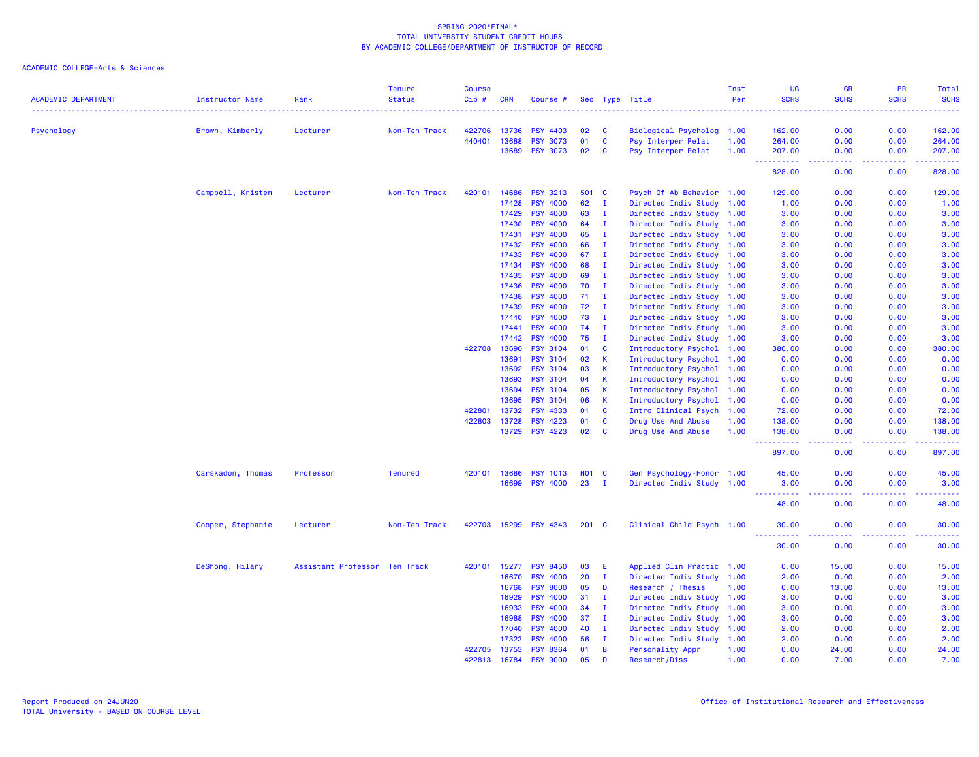| <b>ACADEMIC DEPARTMENT</b> | <b>Instructor Name</b> | Rank                          | <b>Tenure</b><br><b>Status</b> | <b>Course</b><br>Cip # | <b>CRN</b> | Course #        |              |              | Sec Type Title            | Inst<br>Per | UG<br><b>SCHS</b> | <b>GR</b><br><b>SCHS</b>            | <b>PR</b><br><b>SCHS</b> | Total<br><b>SCHS</b>     |
|----------------------------|------------------------|-------------------------------|--------------------------------|------------------------|------------|-----------------|--------------|--------------|---------------------------|-------------|-------------------|-------------------------------------|--------------------------|--------------------------|
| Psychology                 | Brown, Kimberly        | Lecturer                      | Non-Ten Track                  | 422706                 | 13736      | <b>PSY 4403</b> | 02           | C            | Biological Psycholog 1.00 |             | 162.00            | 0.00                                | 0.00                     | 162.00                   |
|                            |                        |                               |                                | 440401                 | 13688      | <b>PSY 3073</b> | 01           | C            | Psy Interper Relat        | 1.00        | 264.00            | 0.00                                | 0.00                     | 264.00                   |
|                            |                        |                               |                                |                        | 13689      | <b>PSY 3073</b> | 02           | - C          | Psy Interper Relat        | 1.00        | 207.00            | 0.00                                | 0.00                     | 207.00                   |
|                            |                        |                               |                                |                        |            |                 |              |              |                           |             | .<br>828.00       | $\sim$ $\sim$ $\sim$ $\sim$<br>0.00 | .<br>0.00                | والمتمام مالما<br>828.00 |
|                            | Campbell, Kristen      | Lecturer                      | Non-Ten Track                  | 420101                 | 14686      | <b>PSY 3213</b> | 501          | <b>C</b>     | Psych Of Ab Behavior 1.00 |             | 129.00            | 0.00                                | 0.00                     | 129.00                   |
|                            |                        |                               |                                |                        | 17428      | <b>PSY 4000</b> | 62           | I.           | Directed Indiv Study 1.00 |             | 1.00              | 0.00                                | 0.00                     | 1.00                     |
|                            |                        |                               |                                |                        | 17429      | <b>PSY 4000</b> | 63           | $\mathbf I$  | Directed Indiv Study 1.00 |             | 3.00              | 0.00                                | 0.00                     | 3.00                     |
|                            |                        |                               |                                |                        | 17430      | <b>PSY 4000</b> | 64           | $\mathbf I$  | Directed Indiv Study 1.00 |             | 3.00              | 0.00                                | 0.00                     | 3.00                     |
|                            |                        |                               |                                |                        | 17431      | <b>PSY 4000</b> | 65           | $\mathbf{I}$ | Directed Indiv Study 1.00 |             | 3.00              | 0.00                                | 0.00                     | 3.00                     |
|                            |                        |                               |                                |                        | 17432      | <b>PSY 4000</b> | 66           | $\mathbf I$  | Directed Indiv Study 1.00 |             | 3.00              | 0.00                                | 0.00                     | 3.00                     |
|                            |                        |                               |                                |                        | 17433      | <b>PSY 4000</b> | 67           | $\mathbf I$  | Directed Indiv Study 1.00 |             | 3.00              | 0.00                                | 0.00                     | 3.00                     |
|                            |                        |                               |                                |                        | 17434      | <b>PSY 4000</b> | 68           | $\mathbf I$  | Directed Indiv Study 1.00 |             | 3.00              | 0.00                                | 0.00                     | 3.00                     |
|                            |                        |                               |                                |                        | 17435      | <b>PSY 4000</b> | 69           | $\mathbf I$  | Directed Indiv Study 1.00 |             | 3.00              | 0.00                                | 0.00                     | 3.00                     |
|                            |                        |                               |                                |                        | 17436      | <b>PSY 4000</b> | 70           | I.           | Directed Indiv Study 1.00 |             | 3.00              | 0.00                                | 0.00                     | 3.00                     |
|                            |                        |                               |                                |                        | 17438      | <b>PSY 4000</b> | 71           | $\mathbf I$  | Directed Indiv Study 1.00 |             | 3.00              | 0.00                                | 0.00                     | 3.00                     |
|                            |                        |                               |                                |                        | 17439      | <b>PSY 4000</b> | 72           | $\mathbf I$  | Directed Indiv Study 1.00 |             | 3.00              | 0.00                                | 0.00                     | 3.00                     |
|                            |                        |                               |                                |                        | 17440      | <b>PSY 4000</b> | 73           | $\mathbf I$  | Directed Indiv Study 1.00 |             | 3.00              | 0.00                                | 0.00                     | 3.00                     |
|                            |                        |                               |                                |                        | 17441      | <b>PSY 4000</b> | 74           | $\mathbf{I}$ | Directed Indiv Study 1.00 |             | 3.00              | 0.00                                | 0.00                     | 3.00                     |
|                            |                        |                               |                                |                        | 17442      | <b>PSY 4000</b> | 75           | $\mathbf I$  | Directed Indiv Study 1.00 |             | 3.00              | 0.00                                | 0.00                     | 3.00                     |
|                            |                        |                               |                                | 422708                 | 13690      | <b>PSY 3104</b> | 01           | $\mathbf c$  | Introductory Psychol 1.00 |             | 380.00            | 0.00                                | 0.00                     | 380.00                   |
|                            |                        |                               |                                |                        | 13691      | <b>PSY 3104</b> | 02           | $\mathbf{K}$ | Introductory Psychol 1.00 |             | 0.00              | 0.00                                | 0.00                     | 0.00                     |
|                            |                        |                               |                                |                        | 13692      | <b>PSY 3104</b> | 03           | K            | Introductory Psychol 1.00 |             | 0.00              | 0.00                                | 0.00                     | 0.00                     |
|                            |                        |                               |                                |                        | 13693      | <b>PSY 3104</b> | 04           | K            | Introductory Psychol 1.00 |             | 0.00              | 0.00                                | 0.00                     | 0.00                     |
|                            |                        |                               |                                |                        | 13694      | <b>PSY 3104</b> | 05           | $\mathsf K$  | Introductory Psychol 1.00 |             | 0.00              | 0.00                                | 0.00                     | 0.00                     |
|                            |                        |                               |                                |                        | 13695      | <b>PSY 3104</b> | 06           | $\mathsf{K}$ | Introductory Psychol 1.00 |             | 0.00              | 0.00                                | 0.00                     | 0.00                     |
|                            |                        |                               |                                | 422801                 | 13732      | <b>PSY 4333</b> | 01           | $\mathbf{C}$ | Intro Clinical Psych 1.00 |             | 72.00             | 0.00                                | 0.00                     | 72.00                    |
|                            |                        |                               |                                | 422803                 | 13728      | PSY 4223        | 01           | $\mathbf c$  | Drug Use And Abuse        | 1.00        | 138.00            | 0.00                                | 0.00                     | 138.00                   |
|                            |                        |                               |                                |                        | 13729      | <b>PSY 4223</b> | 02           | $\mathbf{C}$ | Drug Use And Abuse        | 1.00        | 138.00            | 0.00                                | 0.00                     | 138.00                   |
|                            |                        |                               |                                |                        |            |                 |              |              |                           |             | 897.00            | $- - - -$<br>0.00                   | .<br>0.00                | والمستناسب<br>897.00     |
|                            | Carskadon, Thomas      | Professor                     | <b>Tenured</b>                 | 420101                 | 13686      | <b>PSY 1013</b> | <b>HO1 C</b> |              | Gen Psychology-Honor 1.00 |             | 45.00             | 0.00                                | 0.00                     | 45.00                    |
|                            |                        |                               |                                |                        | 16699      | <b>PSY 4000</b> | 23           | $\mathbf{I}$ | Directed Indiv Study 1.00 |             | 3.00              | 0.00                                | 0.00                     | 3.00                     |
|                            |                        |                               |                                |                        |            |                 |              |              |                           |             | .<br>48.00        | $\sim$ $\sim$ $\sim$ $\sim$<br>0.00 | -----<br>0.00            | .<br>48.00               |
|                            | Cooper, Stephanie      | Lecturer                      | Non-Ten Track                  | 422703                 | 15299      | <b>PSY 4343</b> | 201 C        |              | Clinical Child Psych 1.00 |             | 30.00             | 0.00                                | 0.00<br>$  -$            | 30.00<br>.               |
|                            |                        |                               |                                |                        |            |                 |              |              |                           |             | 30.00             | 0.00                                | 0.00                     | 30.00                    |
|                            | DeShong, Hilary        | Assistant Professor Ten Track |                                | 420101                 | 15277      | <b>PSY 8450</b> | 03           | E            | Applied Clin Practic 1.00 |             | 0.00              | 15.00                               | 0.00                     | 15.00                    |
|                            |                        |                               |                                |                        | 16670      | <b>PSY 4000</b> | 20           | $\mathbf{I}$ | Directed Indiv Study 1.00 |             | 2.00              | 0.00                                | 0.00                     | 2.00                     |
|                            |                        |                               |                                |                        | 16768      | <b>PSY 8000</b> | 05           | D            | Research / Thesis         | 1.00        | 0.00              | 13.00                               | 0.00                     | 13.00                    |
|                            |                        |                               |                                |                        | 16929      | <b>PSY 4000</b> | 31           | п            | Directed Indiv Study 1.00 |             | 3.00              | 0.00                                | 0.00                     | 3.00                     |
|                            |                        |                               |                                |                        | 16933      | <b>PSY 4000</b> | 34           | л.           | Directed Indiv Study 1.00 |             | 3.00              | 0.00                                | 0.00                     | 3.00                     |
|                            |                        |                               |                                |                        | 16988      | <b>PSY 4000</b> | 37           | $\mathbf{I}$ | Directed Indiv Study 1.00 |             | 3.00              | 0.00                                | 0.00                     | 3.00                     |
|                            |                        |                               |                                |                        | 17040      | <b>PSY 4000</b> | 40           | $\mathbf I$  | Directed Indiv Study 1.00 |             | 2.00              | 0.00                                | 0.00                     | 2.00                     |
|                            |                        |                               |                                |                        | 17323      | <b>PSY 4000</b> | 56           | $\mathbf I$  | Directed Indiv Study      | 1.00        | 2.00              | 0.00                                | 0.00                     | 2.00                     |
|                            |                        |                               |                                | 422705                 | 13753      | <b>PSY 8364</b> | 01           | B            | Personality Appr          | 1.00        | 0.00              | 24.00                               | 0.00                     | 24.00                    |
|                            |                        |                               |                                | 422813 16784           |            | <b>PSY 9000</b> | 05           | D            | Research/Diss             | 1.00        | 0.00              | 7.00                                | 0.00                     | 7.00                     |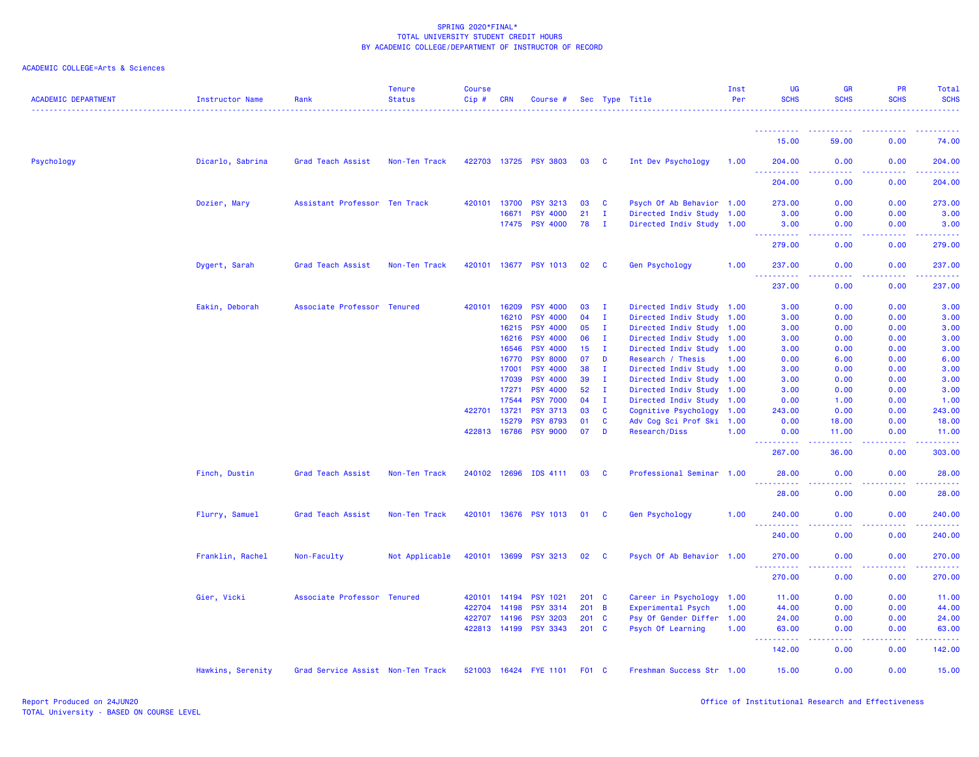| <b>ACADEMIC DEPARTMENT</b> | Instructor Name   | Rank                              | <b>Tenure</b><br><b>Status</b> | <b>Course</b><br>Cip# | CRN          | Course #              |               |                         | Sec Type Title            | Inst<br>Per | <b>UG</b><br><b>SCHS</b>                                                                                              | GR<br><b>SCHS</b>    | PR<br><b>SCHS</b>    | Total<br><b>SCHS</b>                                                                                                                                           |
|----------------------------|-------------------|-----------------------------------|--------------------------------|-----------------------|--------------|-----------------------|---------------|-------------------------|---------------------------|-------------|-----------------------------------------------------------------------------------------------------------------------|----------------------|----------------------|----------------------------------------------------------------------------------------------------------------------------------------------------------------|
|                            |                   |                                   |                                |                       |              |                       |               |                         |                           |             | <u>.</u>                                                                                                              |                      |                      |                                                                                                                                                                |
|                            |                   |                                   |                                |                       |              |                       |               |                         |                           |             | 15.00                                                                                                                 | 59.00                | 0.00                 | 74.00                                                                                                                                                          |
| Psychology                 | Dicarlo, Sabrina  | Grad Teach Assist                 | Non-Ten Track                  |                       |              | 422703 13725 PSY 3803 | 03            | $\overline{\mathbf{C}}$ | Int Dev Psychology        | 1.00        | 204.00                                                                                                                | 0.00                 | 0.00                 | 204.00                                                                                                                                                         |
|                            |                   |                                   |                                |                       |              |                       |               |                         |                           |             | $\begin{array}{cccccccccc} \bullet & \bullet & \bullet & \bullet & \bullet & \bullet & \bullet \end{array}$<br>204.00 | 0.00                 | 0.00                 | .<br>204.00                                                                                                                                                    |
|                            | Dozier, Mary      | Assistant Professor Ten Track     |                                |                       | 420101 13700 | <b>PSY 3213</b>       | 03            | <b>C</b>                | Psych Of Ab Behavior 1.00 |             | 273.00                                                                                                                | 0.00                 | 0.00                 | 273.00                                                                                                                                                         |
|                            |                   |                                   |                                |                       | 16671        | <b>PSY 4000</b>       | 21            | $\mathbf{I}$            | Directed Indiv Study 1.00 |             | 3.00                                                                                                                  | 0.00                 | 0.00                 | 3.00                                                                                                                                                           |
|                            |                   |                                   |                                |                       |              | 17475 PSY 4000        | 78            | - I                     | Directed Indiv Study 1.00 |             | 3.00                                                                                                                  | 0.00                 | 0.00                 | 3.00                                                                                                                                                           |
|                            |                   |                                   |                                |                       |              |                       |               |                         |                           |             | ----------<br>279.00                                                                                                  | 0.00                 | 0.00                 | 279.00                                                                                                                                                         |
|                            | Dygert, Sarah     | Grad Teach Assist                 | Non-Ten Track                  |                       |              | 420101 13677 PSY 1013 | 02            | <b>C</b>                | Gen Psychology            | 1.00        | 237.00                                                                                                                | 0.00                 | 0.00                 | 237.00                                                                                                                                                         |
|                            |                   |                                   |                                |                       |              |                       |               |                         |                           |             | <u> - - - - - - - - - -</u><br>237.00                                                                                 | 0.00                 | . <u>.</u> .<br>0.00 | .<br>237.00                                                                                                                                                    |
|                            | Eakin, Deborah    | Associate Professor Tenured       |                                |                       | 420101 16209 | <b>PSY 4000</b>       | 03            | Ι.                      | Directed Indiv Study 1.00 |             | 3.00                                                                                                                  | 0.00                 | 0.00                 | 3.00                                                                                                                                                           |
|                            |                   |                                   |                                |                       | 16210        | <b>PSY 4000</b>       | 04            | $\mathbf{I}$            | Directed Indiv Study 1.00 |             | 3.00                                                                                                                  | 0.00                 | 0.00                 | 3.00                                                                                                                                                           |
|                            |                   |                                   |                                |                       | 16215        | <b>PSY 4000</b>       | 05            | $\mathbf{I}$            | Directed Indiv Study 1.00 |             | 3.00                                                                                                                  | 0.00                 | 0.00                 | 3.00                                                                                                                                                           |
|                            |                   |                                   |                                |                       | 16216        | <b>PSY 4000</b>       | 06            | $\mathbf{I}$            | Directed Indiv Study 1.00 |             | 3.00                                                                                                                  | 0.00                 | 0.00                 | 3.00                                                                                                                                                           |
|                            |                   |                                   |                                |                       | 16546        | <b>PSY 4000</b>       | 15            | $\mathbf{I}$            | Directed Indiv Study 1.00 |             | 3.00                                                                                                                  | 0.00                 | 0.00                 | 3.00                                                                                                                                                           |
|                            |                   |                                   |                                |                       | 16770        | <b>PSY 8000</b>       | 07            | D                       | Research / Thesis         | 1.00        | 0.00                                                                                                                  | 6.00                 | 0.00                 | 6.00                                                                                                                                                           |
|                            |                   |                                   |                                |                       | 17001        | <b>PSY 4000</b>       | 38            | Ι.                      | Directed Indiv Study 1.00 |             | 3.00                                                                                                                  | 0.00                 | 0.00                 | 3.00                                                                                                                                                           |
|                            |                   |                                   |                                |                       | 17039        | <b>PSY 4000</b>       | 39            | $\mathbf{I}$            | Directed Indiv Study 1.00 |             | 3.00                                                                                                                  | 0.00                 | 0.00                 | 3.00                                                                                                                                                           |
|                            |                   |                                   |                                |                       | 17271        | <b>PSY 4000</b>       | 52            | $\mathbf{I}$            | Directed Indiv Study 1.00 |             | 3.00                                                                                                                  | 0.00                 | 0.00                 | 3.00                                                                                                                                                           |
|                            |                   |                                   |                                |                       | 17544        | <b>PSY 7000</b>       | 04            | $\mathbf{I}$            | Directed Indiv Study 1.00 |             | 0.00                                                                                                                  | 1.00                 | 0.00                 | 1.00                                                                                                                                                           |
|                            |                   |                                   |                                | 422701 13721          |              | <b>PSY 3713</b>       | 03            | $\mathbf{C}$            | Cognitive Psychology 1.00 |             | 243.00                                                                                                                | 0.00                 | 0.00                 | 243.00                                                                                                                                                         |
|                            |                   |                                   |                                |                       | 15279        | <b>PSY 8793</b>       | 01            | <b>C</b>                | Adv Cog Sci Prof Ski 1.00 |             | 0.00                                                                                                                  | 18.00                | 0.00                 | 18.00                                                                                                                                                          |
|                            |                   |                                   |                                |                       | 422813 16786 | <b>PSY 9000</b>       | 07            | D                       | <b>Research/Diss</b>      | 1.00        | 0.00                                                                                                                  | 11.00                | 0.00                 | 11.00<br>.                                                                                                                                                     |
|                            |                   |                                   |                                |                       |              |                       |               |                         |                           |             | ----------<br>267.00                                                                                                  | 36.00                | 0.00                 | 303.00                                                                                                                                                         |
|                            | Finch, Dustin     | Grad Teach Assist                 | Non-Ten Track                  |                       | 240102 12696 | IDS 4111              | 03            | <b>C</b>                | Professional Seminar 1.00 |             | 28.00                                                                                                                 | 0.00                 | 0.00                 | 28.00                                                                                                                                                          |
|                            |                   |                                   |                                |                       |              |                       |               |                         |                           |             | <u> - - - - - - - - - -</u><br>28.00                                                                                  | 0.00                 | 0.00                 | .<br>28.00                                                                                                                                                     |
|                            | Flurry, Samuel    | Grad Teach Assist                 | Non-Ten Track                  |                       |              | 420101 13676 PSY 1013 | 01 C          |                         | <b>Gen Psychology</b>     | 1.00        | 240.00                                                                                                                | 0.00                 | 0.00                 | 240.00                                                                                                                                                         |
|                            |                   |                                   |                                |                       |              |                       |               |                         |                           |             | $\sim$ $\sim$<br>$- - - - - - -$<br>240.00                                                                            | . <b>. .</b><br>0.00 | .<br>0.00            | <b><i><u><u> - - - - -</u></u></i></b><br>240.00                                                                                                               |
|                            | Franklin, Rachel  | Non-Faculty                       | Not Applicable                 |                       | 420101 13699 | <b>PSY 3213</b>       | 02            | $\mathbf{C}$            | Psych Of Ab Behavior 1.00 |             | 270.00                                                                                                                | 0.00                 | 0.00                 | 270.00                                                                                                                                                         |
|                            |                   |                                   |                                |                       |              |                       |               |                         |                           |             | 222222<br>270.00                                                                                                      | د د د د<br>0.00      | .<br>0.00            | $\frac{1}{2} \left( \frac{1}{2} \right) \left( \frac{1}{2} \right) \left( \frac{1}{2} \right) \left( \frac{1}{2} \right) \left( \frac{1}{2} \right)$<br>270.00 |
|                            | Gier, Vicki       | Associate Professor Tenured       |                                | 420101                | 14194        | <b>PSY 1021</b>       | $201$ C       |                         | Career in Psychology 1.00 |             | 11.00                                                                                                                 | 0.00                 | 0.00                 | 11.00                                                                                                                                                          |
|                            |                   |                                   |                                | 422704                | 14198        | <b>PSY 3314</b>       | $201 \quad B$ |                         | Experimental Psych        | 1.00        | 44.00                                                                                                                 | 0.00                 | 0.00                 | 44.00                                                                                                                                                          |
|                            |                   |                                   |                                |                       | 422707 14196 | <b>PSY 3203</b>       | $201$ C       |                         | Psy Of Gender Differ 1.00 |             | 24.00                                                                                                                 | 0.00                 | 0.00                 | 24.00                                                                                                                                                          |
|                            |                   |                                   |                                |                       | 422813 14199 | <b>PSY 3343</b>       | 201 C         |                         | Psych Of Learning         | 1.00        | 63.00                                                                                                                 | 0.00                 | 0.00                 | 63.00                                                                                                                                                          |
|                            |                   |                                   |                                |                       |              |                       |               |                         |                           |             | .<br>142.00                                                                                                           | د د د د<br>0.00      | 22222<br>0.00        | 2.2.2.2.2.2<br>142.00                                                                                                                                          |
|                            | Hawkins, Serenity | Grad Service Assist Non-Ten Track |                                |                       |              | 521003 16424 FYE 1101 | F01 C         |                         | Freshman Success Str 1.00 |             | 15.00                                                                                                                 | 0.00                 | 0.00                 | 15.00                                                                                                                                                          |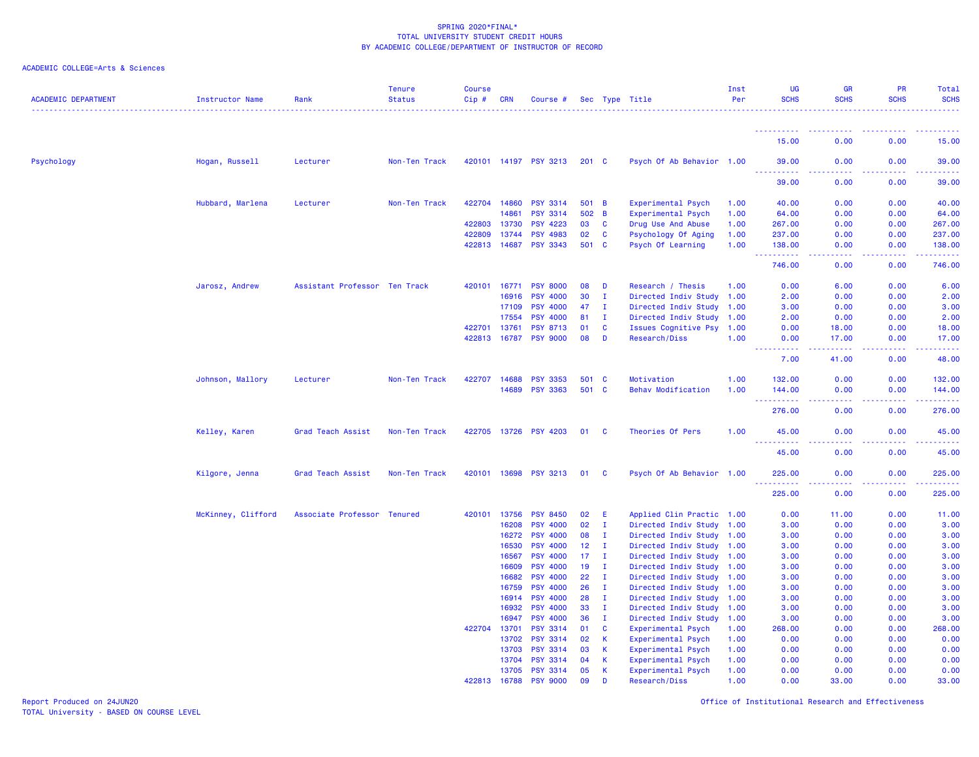| <b>ACADEMIC DEPARTMENT</b> | <b>Instructor Name</b> | Rank                          | <b>Tenure</b><br><b>Status</b> | <b>Course</b><br>Cip# | <b>CRN</b>   | Course #              |                 |              | Sec Type Title            | Inst<br>Per | <b>UG</b><br><b>SCHS</b>                            | <b>GR</b><br><b>SCHS</b> | PR<br><b>SCHS</b> | Total<br><b>SCHS</b>      |
|----------------------------|------------------------|-------------------------------|--------------------------------|-----------------------|--------------|-----------------------|-----------------|--------------|---------------------------|-------------|-----------------------------------------------------|--------------------------|-------------------|---------------------------|
|                            |                        |                               |                                |                       |              |                       |                 |              |                           |             | <u>.</u>                                            |                          |                   |                           |
|                            |                        |                               |                                |                       |              |                       |                 |              |                           |             | 15.00                                               | 0.00                     | 0.00              | 15.00                     |
| Psychology                 | Hogan, Russell         | Lecturer                      | Non-Ten Track                  |                       |              | 420101 14197 PSY 3213 | $201 \quad C$   |              | Psych Of Ab Behavior 1.00 |             | 39.00<br>.<br><b>.</b>                              | 0.00<br>.                | 0.00              | 39.00                     |
|                            |                        |                               |                                |                       |              |                       |                 |              |                           |             | 39.00                                               | 0.00                     | 0.00              | 39.00                     |
|                            | Hubbard, Marlena       | Lecturer                      | Non-Ten Track                  | 422704                | 14860        | <b>PSY 3314</b>       | 501 B           |              | Experimental Psych        | 1.00        | 40.00                                               | 0.00                     | 0.00              | 40.00                     |
|                            |                        |                               |                                |                       | 14861        | <b>PSY 3314</b>       | 502 B           |              | Experimental Psych        | 1.00        | 64.00                                               | 0.00                     | 0.00              | 64.00                     |
|                            |                        |                               |                                | 422803                | 13730        | <b>PSY 4223</b>       | 03              | $\mathbf{C}$ | Drug Use And Abuse        | 1.00        | 267.00                                              | 0.00                     | 0.00              | 267.00                    |
|                            |                        |                               |                                | 422809                | 13744        | <b>PSY 4983</b>       | 02 <sub>o</sub> | <b>C</b>     | Psychology Of Aging       | 1.00        | 237.00                                              | 0.00                     | 0.00              | 237.00                    |
|                            |                        |                               |                                |                       | 422813 14687 | <b>PSY 3343</b>       | 501 C           |              | Psych Of Learning         | 1.00        | 138.00<br><u> - - - - - - - - - -</u>               | 0.00<br>.                | 0.00<br>.         | 138.00<br><u>.</u>        |
|                            |                        |                               |                                |                       |              |                       |                 |              |                           |             | 746.00                                              | 0.00                     | 0.00              | 746.00                    |
|                            | Jarosz, Andrew         | Assistant Professor Ten Track |                                |                       | 420101 16771 | <b>PSY 8000</b>       | 08              | D            | Research / Thesis         | 1.00        | 0.00                                                | 6.00                     | 0.00              | 6.00                      |
|                            |                        |                               |                                |                       | 16916        | <b>PSY 4000</b>       | 30              | $\mathbf{I}$ | Directed Indiv Study      | 1.00        | 2.00                                                | 0.00                     | 0.00              | 2.00                      |
|                            |                        |                               |                                |                       | 17109        | <b>PSY 4000</b>       | 47              | $\mathbf{I}$ | Directed Indiv Study 1.00 |             | 3.00                                                | 0.00                     | 0.00              | 3.00                      |
|                            |                        |                               |                                |                       | 17554        | <b>PSY 4000</b>       | 81              | I.           | Directed Indiv Study 1.00 |             | 2.00                                                | 0.00                     | 0.00              | 2.00                      |
|                            |                        |                               |                                | 422701                | 13761        | <b>PSY 8713</b>       | 01              | C            | Issues Cognitive Psy 1.00 |             | 0.00                                                | 18.00                    | 0.00              | 18.00                     |
|                            |                        |                               |                                | 422813                | 16787        | <b>PSY 9000</b>       | 08              | D            | Research/Diss             | 1.00        | 0.00<br>$\omega_{\rm{eff}}$ and $\omega_{\rm{eff}}$ | 17.00                    | 0.00              | 17.00                     |
|                            |                        |                               |                                |                       |              |                       |                 |              |                           |             | 7.00                                                | 41.00                    | 0.00              | 48.00                     |
|                            | Johnson, Mallory       | Lecturer                      | Non-Ten Track                  | 422707                | 14688        | <b>PSY 3353</b>       | 501 C           |              | Motivation                | 1.00        | 132.00                                              | 0.00                     | 0.00              | 132.00                    |
|                            |                        |                               |                                |                       | 14689        | <b>PSY 3363</b>       | 501 C           |              | Behav Modification        | 1.00        | 144.00                                              | 0.00                     | 0.00              | 144.00                    |
|                            |                        |                               |                                |                       |              |                       |                 |              |                           |             | $\sim$ $\sim$<br>.<br>276.00                        | $\sim 100$<br>0.00       | 0.00              | 276.00                    |
|                            | Kelley, Karen          | Grad Teach Assist             | Non-Ten Track                  |                       |              | 422705 13726 PSY 4203 | 01 C            |              | Theories Of Pers          | 1.00        | 45.00                                               | 0.00                     | 0.00              | 45.00                     |
|                            |                        |                               |                                |                       |              |                       |                 |              |                           |             | . <u>.</u><br>45.00                                 | $- - -$<br>0.00          | 0.00              | .<br>45.00                |
|                            | Kilgore, Jenna         | Grad Teach Assist             | Non-Ten Track                  |                       | 420101 13698 | <b>PSY 3213</b>       | 01              | $\mathbf{C}$ | Psych Of Ab Behavior 1.00 |             | 225.00                                              | 0.00                     | 0.00              | 225.00                    |
|                            |                        |                               |                                |                       |              |                       |                 |              |                           |             | .<br>225.00                                         | .<br>0.00                | .<br>0.00         | $- - - - - - -$<br>225.00 |
|                            | McKinney, Clifford     | Associate Professor Tenured   |                                | 420101                | 13756        | <b>PSY 8450</b>       | 02              | E            | Applied Clin Practic 1.00 |             | 0.00                                                | 11.00                    | 0.00              | 11.00                     |
|                            |                        |                               |                                |                       | 16208        | <b>PSY 4000</b>       | 02              | $\mathbf{I}$ | Directed Indiv Study 1.00 |             | 3.00                                                | 0.00                     | 0.00              | 3.00                      |
|                            |                        |                               |                                |                       | 16272        | <b>PSY 4000</b>       | 08              | I.           | Directed Indiv Study 1.00 |             | 3.00                                                | 0.00                     | 0.00              | 3.00                      |
|                            |                        |                               |                                |                       | 16530        | <b>PSY 4000</b>       | 12              | $\mathbf{I}$ | Directed Indiv Study 1.00 |             | 3.00                                                | 0.00                     | 0.00              | 3.00                      |
|                            |                        |                               |                                |                       | 16567        | <b>PSY 4000</b>       | 17              | $\mathbf{I}$ | Directed Indiv Study 1.00 |             | 3.00                                                | 0.00                     | 0.00              | 3.00                      |
|                            |                        |                               |                                |                       | 16609        | <b>PSY 4000</b>       | 19              | $\mathbf{I}$ | Directed Indiv Study 1.00 |             | 3.00                                                | 0.00                     | 0.00              | 3.00                      |
|                            |                        |                               |                                |                       | 16682        | <b>PSY 4000</b>       | 22              | $\mathbf{I}$ | Directed Indiv Study 1.00 |             | 3.00                                                | 0.00                     | 0.00              | 3.00                      |
|                            |                        |                               |                                |                       | 16759        | <b>PSY 4000</b>       | 26              | $\mathbf I$  | Directed Indiv Study 1.00 |             | 3.00                                                | 0.00                     | 0.00              | 3.00                      |
|                            |                        |                               |                                |                       | 16914        | <b>PSY 4000</b>       | 28              | I.           | Directed Indiv Study 1.00 |             | 3.00                                                | 0.00                     | 0.00              | 3.00                      |
|                            |                        |                               |                                |                       | 16932        | <b>PSY 4000</b>       | 33              | $\mathbf{I}$ | Directed Indiv Study 1.00 |             | 3.00                                                | 0.00                     | 0.00              | 3.00                      |
|                            |                        |                               |                                |                       | 16947        | <b>PSY 4000</b>       | 36              | $\mathbf{I}$ | Directed Indiv Study 1.00 |             | 3.00                                                | 0.00                     | 0.00              | 3.00                      |
|                            |                        |                               |                                | 422704                | 13701        | <b>PSY 3314</b>       | 01              | C            | Experimental Psych        | 1.00        | 268.00                                              | 0.00                     | 0.00              | 268.00                    |
|                            |                        |                               |                                |                       | 13702        | <b>PSY 3314</b>       | 02              | К            | Experimental Psych        | 1.00        | 0.00                                                | 0.00                     | 0.00              | 0.00                      |
|                            |                        |                               |                                |                       | 13703        | <b>PSY 3314</b>       | 03              | К            | Experimental Psych        | 1.00        | 0.00                                                | 0.00                     | 0.00              | 0.00                      |
|                            |                        |                               |                                |                       | 13704        | <b>PSY 3314</b>       | 04              | К            | <b>Experimental Psych</b> | 1.00        | 0.00                                                | 0.00                     | 0.00              | 0.00                      |
|                            |                        |                               |                                |                       | 13705        | <b>PSY 3314</b>       | 05              | К            | Experimental Psych        | 1.00        | 0.00                                                | 0.00                     | 0.00              | 0.00                      |
|                            |                        |                               |                                |                       | 422813 16788 | <b>PSY 9000</b>       | 09              | n            | Research/Diss             | 1.00        | 0.00                                                | 33.00                    | 0.00              | 33.00                     |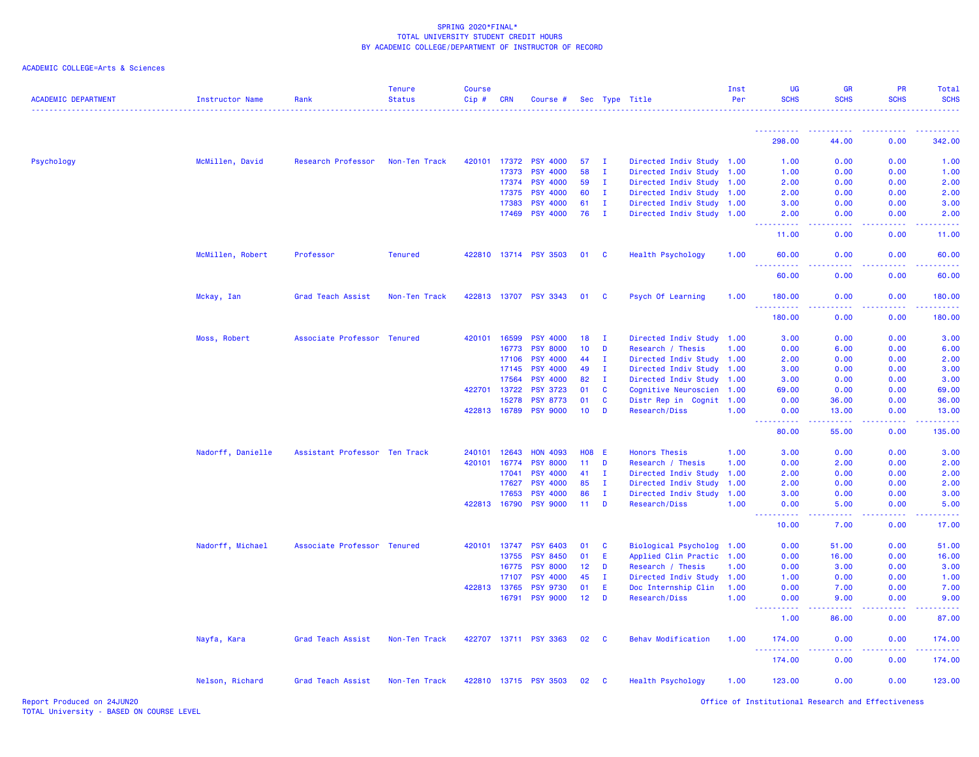| ACADEMIC COLLEGE=Arts & Sciences |  |  |  |
|----------------------------------|--|--|--|
|----------------------------------|--|--|--|

| <b>ACADEMIC DEPARTMENT</b> | <b>Instructor Name</b> | Rank                          | <b>Tenure</b><br><b>Status</b> | <b>Course</b><br>Cip# | <b>CRN</b>   | Course #              |                 |              | Sec Type Title              | Inst<br>Per | <b>UG</b><br><b>SCHS</b>                                                                                                                                                                                                                                                                  | <b>GR</b><br><b>SCHS</b> | <b>PR</b><br><b>SCHS</b>                                                                                                          | Total<br><b>SCHS</b>                                                                                                                                         |
|----------------------------|------------------------|-------------------------------|--------------------------------|-----------------------|--------------|-----------------------|-----------------|--------------|-----------------------------|-------------|-------------------------------------------------------------------------------------------------------------------------------------------------------------------------------------------------------------------------------------------------------------------------------------------|--------------------------|-----------------------------------------------------------------------------------------------------------------------------------|--------------------------------------------------------------------------------------------------------------------------------------------------------------|
|                            |                        |                               |                                |                       |              |                       |                 |              |                             |             | <u> - - - - - - - - - -</u>                                                                                                                                                                                                                                                               |                          | .                                                                                                                                 |                                                                                                                                                              |
|                            |                        |                               |                                |                       |              |                       |                 |              |                             |             | 298.00                                                                                                                                                                                                                                                                                    | 44.00                    | 0.00                                                                                                                              | 342.00                                                                                                                                                       |
| Psychology                 | McMillen, David        | Research Professor            | Non-Ten Track                  | 420101                | 17372        | <b>PSY 4000</b>       | 57              | $\mathbf I$  | Directed Indiv Study 1.00   |             | 1.00                                                                                                                                                                                                                                                                                      | 0.00                     | 0.00                                                                                                                              | 1.00                                                                                                                                                         |
|                            |                        |                               |                                |                       | 17373        | <b>PSY 4000</b>       | 58              | I.           | Directed Indiv Study        | 1.00        | 1.00                                                                                                                                                                                                                                                                                      | 0.00                     | 0.00                                                                                                                              | 1.00                                                                                                                                                         |
|                            |                        |                               |                                |                       | 17374        | <b>PSY 4000</b>       | 59              | $\mathbf{I}$ | Directed Indiv Study        | 1.00        | 2.00                                                                                                                                                                                                                                                                                      | 0.00                     | 0.00                                                                                                                              | 2.00                                                                                                                                                         |
|                            |                        |                               |                                |                       | 17375        | <b>PSY 4000</b>       | 60              | $\mathbf{I}$ | Directed Indiv Study        | 1.00        | 2.00                                                                                                                                                                                                                                                                                      | 0.00                     | 0.00                                                                                                                              | 2.00                                                                                                                                                         |
|                            |                        |                               |                                |                       | 17383        | <b>PSY 4000</b>       | 61              | $\mathbf I$  | Directed Indiv Study        | 1.00        | 3.00                                                                                                                                                                                                                                                                                      | 0.00                     | 0.00                                                                                                                              | 3.00                                                                                                                                                         |
|                            |                        |                               |                                |                       | 17469        | <b>PSY 4000</b>       | 76              | $\mathbf{I}$ | Directed Indiv Study 1.00   |             | 2.00<br>بالمحامي                                                                                                                                                                                                                                                                          | 0.00                     | 0.00                                                                                                                              | 2.00<br>$\frac{1}{2} \left( \frac{1}{2} \right) \left( \frac{1}{2} \right) \left( \frac{1}{2} \right) \left( \frac{1}{2} \right) \left( \frac{1}{2} \right)$ |
|                            |                        |                               |                                |                       |              |                       |                 |              |                             |             | 11.00                                                                                                                                                                                                                                                                                     | 0.00                     | 0.00                                                                                                                              | 11.00                                                                                                                                                        |
|                            | McMillen, Robert       | Professor                     | <b>Tenured</b>                 |                       |              | 422810 13714 PSY 3503 | 01              | $\mathbf{C}$ | Health Psychology           | 1.00        | 60.00<br>.                                                                                                                                                                                                                                                                                | 0.00                     | 0.00                                                                                                                              | 60.00                                                                                                                                                        |
|                            |                        |                               |                                |                       |              |                       |                 |              |                             |             | 60.00                                                                                                                                                                                                                                                                                     | 0.00                     | 0.00                                                                                                                              | 60.00                                                                                                                                                        |
|                            | Mckay, Ian             | Grad Teach Assist             | Non-Ten Track                  |                       |              | 422813 13707 PSY 3343 | 01 C            |              | Psych Of Learning           | 1.00        | 180.00<br>.                                                                                                                                                                                                                                                                               | 0.00                     | 0.00                                                                                                                              | 180.00                                                                                                                                                       |
|                            |                        |                               |                                |                       |              |                       |                 |              |                             |             | 180.00                                                                                                                                                                                                                                                                                    | 0.00                     | 0.00                                                                                                                              | 180.00                                                                                                                                                       |
|                            | Moss, Robert           | Associate Professor Tenured   |                                |                       | 420101 16599 | <b>PSY 4000</b>       | 18              | $\mathbf{I}$ | Directed Indiv Study        | 1.00        | 3.00                                                                                                                                                                                                                                                                                      | 0.00                     | 0.00                                                                                                                              | 3.00                                                                                                                                                         |
|                            |                        |                               |                                |                       | 16773        | <b>PSY 8000</b>       | 10 <sup>°</sup> | D            | Research / Thesis           | 1.00        | 0.00                                                                                                                                                                                                                                                                                      | 6.00                     | 0.00                                                                                                                              | 6.00                                                                                                                                                         |
|                            |                        |                               |                                |                       | 17106        | <b>PSY 4000</b>       | 44              | п.           | Directed Indiv Study        | 1.00        | 2.00                                                                                                                                                                                                                                                                                      | 0.00                     | 0.00                                                                                                                              | 2.00                                                                                                                                                         |
|                            |                        |                               |                                |                       | 17145        | <b>PSY 4000</b>       | 49              | $\mathbf{I}$ | Directed Indiv Study        | 1.00        | 3.00                                                                                                                                                                                                                                                                                      | 0.00                     | 0.00                                                                                                                              | 3.00                                                                                                                                                         |
|                            |                        |                               |                                |                       | 17564        | <b>PSY 4000</b>       | 82              | $\mathbf{I}$ | Directed Indiv Study        | 1.00        | 3.00                                                                                                                                                                                                                                                                                      | 0.00                     | 0.00                                                                                                                              | 3.00                                                                                                                                                         |
|                            |                        |                               |                                |                       | 422701 13722 | <b>PSY 3723</b>       | 01              | C            | Cognitive Neuroscien        | 1.00        | 69.00                                                                                                                                                                                                                                                                                     | 0.00                     | 0.00                                                                                                                              | 69.00                                                                                                                                                        |
|                            |                        |                               |                                |                       | 15278        | <b>PSY 8773</b>       | 01              | C            | Distr Rep in Cognit         | 1.00        | 0.00                                                                                                                                                                                                                                                                                      | 36.00                    | 0.00                                                                                                                              | 36.00                                                                                                                                                        |
|                            |                        |                               |                                |                       | 422813 16789 | <b>PSY 9000</b>       | 10              | D            | Research/Diss               | 1.00        | 0.00<br>.                                                                                                                                                                                                                                                                                 | 13.00<br>.               | 0.00<br>$\frac{1}{2} \left( \frac{1}{2} \right) \left( \frac{1}{2} \right) \left( \frac{1}{2} \right) \left( \frac{1}{2} \right)$ | 13.00<br>.                                                                                                                                                   |
|                            |                        |                               |                                |                       |              |                       |                 |              |                             |             | 80.00                                                                                                                                                                                                                                                                                     | 55.00                    | 0.00                                                                                                                              | 135.00                                                                                                                                                       |
|                            | Nadorff, Danielle      | Assistant Professor Ten Track |                                | 240101                | 12643        | <b>HON 4093</b>       | <b>HO8</b>      | - E          | <b>Honors Thesis</b>        | 1.00        | 3.00                                                                                                                                                                                                                                                                                      | 0.00                     | 0.00                                                                                                                              | 3.00                                                                                                                                                         |
|                            |                        |                               |                                | 420101                | 16774        | <b>PSY 8000</b>       | 11              | D            | Research / Thesis           | 1.00        | 0.00                                                                                                                                                                                                                                                                                      | 2.00                     | 0.00                                                                                                                              | 2.00                                                                                                                                                         |
|                            |                        |                               |                                |                       | 17041        | <b>PSY 4000</b>       | 41              | $\mathbf{I}$ | Directed Indiv Study        | 1.00        | 2.00                                                                                                                                                                                                                                                                                      | 0.00                     | 0.00                                                                                                                              | 2.00                                                                                                                                                         |
|                            |                        |                               |                                |                       | 17627        | <b>PSY 4000</b>       | 85              | $\mathbf{I}$ | Directed Indiv Study        | 1.00        | 2.00                                                                                                                                                                                                                                                                                      | 0.00                     | 0.00                                                                                                                              | 2.00                                                                                                                                                         |
|                            |                        |                               |                                |                       | 17653        | <b>PSY 4000</b>       | 86              | $\mathbf I$  | Directed Indiv Study        | 1.00        | 3.00                                                                                                                                                                                                                                                                                      | 0.00                     | 0.00                                                                                                                              | 3.00                                                                                                                                                         |
|                            |                        |                               |                                |                       | 422813 16790 | <b>PSY 9000</b>       | 11              | D            | Research/Diss               | 1.00        | 0.00<br>$\frac{1}{2} \left( \frac{1}{2} \right) \left( \frac{1}{2} \right) \left( \frac{1}{2} \right) \left( \frac{1}{2} \right) \left( \frac{1}{2} \right)$<br>$\frac{1}{2} \left( \frac{1}{2} \right) \left( \frac{1}{2} \right) \left( \frac{1}{2} \right) \left( \frac{1}{2} \right)$ | 5.00<br>د د د د          | 0.00<br>.                                                                                                                         | 5.00<br>.                                                                                                                                                    |
|                            |                        |                               |                                |                       |              |                       |                 |              |                             |             | 10.00                                                                                                                                                                                                                                                                                     | 7.00                     | 0.00                                                                                                                              | 17.00                                                                                                                                                        |
|                            | Nadorff, Michael       | Associate Professor Tenured   |                                |                       | 420101 13747 | <b>PSY 6403</b>       | 01              | <b>C</b>     | <b>Biological Psycholog</b> | 1.00        | 0.00                                                                                                                                                                                                                                                                                      | 51.00                    | 0.00                                                                                                                              | 51.00                                                                                                                                                        |
|                            |                        |                               |                                |                       | 13755        | <b>PSY 8450</b>       | 01              | E            | Applied Clin Practic        | 1.00        | 0.00                                                                                                                                                                                                                                                                                      | 16.00                    | 0.00                                                                                                                              | 16.00                                                                                                                                                        |
|                            |                        |                               |                                |                       | 16775        | <b>PSY 8000</b>       | 12 <sup>7</sup> | D            | Research / Thesis           | 1.00        | 0.00                                                                                                                                                                                                                                                                                      | 3.00                     | 0.00                                                                                                                              | 3.00                                                                                                                                                         |
|                            |                        |                               |                                |                       | 17107        | <b>PSY 4000</b>       | 45              | $\mathbf{I}$ | Directed Indiv Study        | 1.00        | 1.00                                                                                                                                                                                                                                                                                      | 0.00                     | 0.00                                                                                                                              | 1.00                                                                                                                                                         |
|                            |                        |                               |                                |                       | 422813 13765 | <b>PSY 9730</b>       | 01              | E            | Doc Internship Clin         | 1.00        | 0.00                                                                                                                                                                                                                                                                                      | 7.00                     | 0.00                                                                                                                              | 7.00                                                                                                                                                         |
|                            |                        |                               |                                |                       | 16791        | <b>PSY 9000</b>       | 12              | $\mathbf{D}$ | Research/Diss               | 1.00        | 0.00<br>.                                                                                                                                                                                                                                                                                 | 9.00                     | 0.00                                                                                                                              | 9.00                                                                                                                                                         |
|                            |                        |                               |                                |                       |              |                       |                 |              |                             |             | 1.00                                                                                                                                                                                                                                                                                      | 86.00                    | 0.00                                                                                                                              | 87.00                                                                                                                                                        |
|                            | Nayfa, Kara            | Grad Teach Assist             | Non-Ten Track                  |                       |              | 422707 13711 PSY 3363 | 02              | <b>C</b>     | <b>Behav Modification</b>   | 1.00        | 174.00                                                                                                                                                                                                                                                                                    | 0.00                     | 0.00                                                                                                                              | 174.00                                                                                                                                                       |
|                            |                        |                               |                                |                       |              |                       |                 |              |                             |             | 174.00                                                                                                                                                                                                                                                                                    | 0.00                     | 0.00                                                                                                                              | 174.00                                                                                                                                                       |
|                            | Nelson, Richard        | Grad Teach Assist             | Non-Ten Track                  |                       |              | 422810 13715 PSY 3503 | 02              | <b>C</b>     | Health Psychology           | 1.00        | 123.00                                                                                                                                                                                                                                                                                    | 0.00                     | 0.00                                                                                                                              | 123.00                                                                                                                                                       |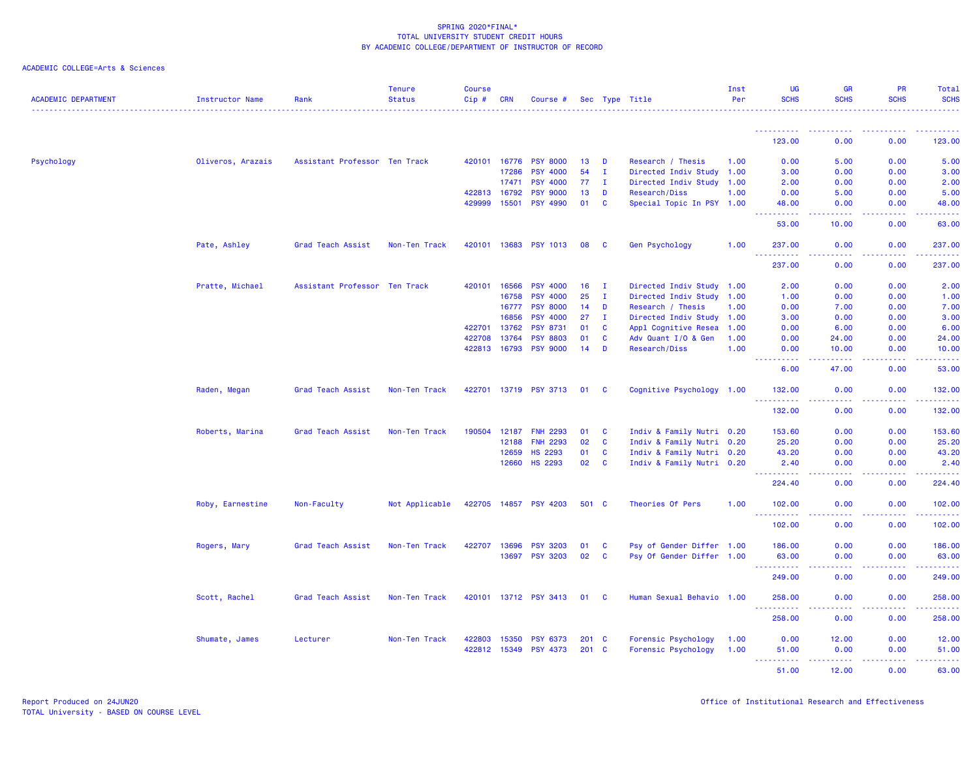| <b>ACADEMIC DEPARTMENT</b> | <b>Instructor Name</b> | Rank                          | <b>Tenure</b><br><b>Status</b> | <b>Course</b><br>Cip# | <b>CRN</b>   | Course #              |       |              | Sec Type Title            | Inst<br>Per | <b>UG</b><br><b>SCHS</b>           | <b>GR</b><br><b>SCHS</b>               | <b>PR</b><br><b>SCHS</b> | Total<br><b>SCHS</b>   |
|----------------------------|------------------------|-------------------------------|--------------------------------|-----------------------|--------------|-----------------------|-------|--------------|---------------------------|-------------|------------------------------------|----------------------------------------|--------------------------|------------------------|
|                            |                        |                               |                                |                       |              |                       |       |              |                           |             | 123.00                             | 0.00                                   | 0.00                     | 123.00                 |
|                            |                        |                               |                                |                       |              |                       |       |              |                           |             |                                    |                                        |                          |                        |
| Psychology                 | Oliveros, Arazais      | Assistant Professor Ten Track |                                | 420101                | 16776        | <b>PSY 8000</b>       | 13    | D            | Research / Thesis         | 1.00        | 0.00                               | 5.00                                   | 0.00                     | 5.00                   |
|                            |                        |                               |                                |                       | 17286        | <b>PSY 4000</b>       | 54    | $\mathbf{I}$ | Directed Indiv Study 1.00 |             | 3.00                               | 0.00                                   | 0.00                     | 3.00                   |
|                            |                        |                               |                                |                       | 17471        | <b>PSY 4000</b>       | 77    | $\mathbf{I}$ | Directed Indiv Study 1.00 |             | 2.00                               | 0.00                                   | 0.00                     | 2.00                   |
|                            |                        |                               |                                | 422813                | 16792        | <b>PSY 9000</b>       | 13    | D            | Research/Diss             | 1.00        | 0.00                               | 5.00                                   | 0.00                     | 5.00                   |
|                            |                        |                               |                                | 429999                | 15501        | <b>PSY 4990</b>       | 01    | $\mathbf{C}$ | Special Topic In PSY 1.00 |             | 48.00<br>-----                     | 0.00<br>$\sim$ $\sim$ $\sim$ $\sim$    | 0.00<br>د د د د          | 48.00<br>والمناصبات    |
|                            |                        |                               |                                |                       |              |                       |       |              |                           |             | 53.00                              | 10.00                                  | 0.00                     | 63.00                  |
|                            | Pate, Ashley           | Grad Teach Assist             | Non-Ten Track                  | 420101 13683          |              | <b>PSY 1013</b>       | 08    | - C          | Gen Psychology            | 1.00        | 237.00                             | 0.00                                   | 0.00                     | 237.00                 |
|                            |                        |                               |                                |                       |              |                       |       |              |                           |             | 2222.<br>237.00                    | .<br>0.00                              | بالمحامي<br>0.00         | .<br>237.00            |
|                            | Pratte, Michael        | Assistant Professor Ten Track |                                | 420101                | 16566        | <b>PSY 4000</b>       | 16    | $\mathbf I$  | Directed Indiv Study 1.00 |             | 2.00                               | 0.00                                   | 0.00                     | 2.00                   |
|                            |                        |                               |                                |                       | 16758        | <b>PSY 4000</b>       | 25    | $\mathbf I$  | Directed Indiv Study 1.00 |             | 1.00                               | 0.00                                   | 0.00                     | 1.00                   |
|                            |                        |                               |                                |                       | 16777        | <b>PSY 8000</b>       | 14    | D            | Research / Thesis         | 1.00        | 0.00                               | 7.00                                   | 0.00                     | 7.00                   |
|                            |                        |                               |                                |                       | 16856        | <b>PSY 4000</b>       | 27    | $\mathbf{I}$ | Directed Indiv Study 1.00 |             | 3.00                               | 0.00                                   | 0.00                     | 3.00                   |
|                            |                        |                               |                                | 422701                | 13762        | <b>PSY 8731</b>       | 01    | $\mathbf c$  | Appl Cognitive Resea      | 1.00        | 0.00                               | 6.00                                   | 0.00                     | 6.00                   |
|                            |                        |                               |                                | 422708                | 13764        | <b>PSY 8803</b>       | 01    | $\mathbf{C}$ | Adv Quant I/O & Gen       | 1.00        | 0.00                               | 24.00                                  | 0.00                     | 24.00                  |
|                            |                        |                               |                                | 422813                | 16793        | <b>PSY 9000</b>       | 14    | D            | Research/Diss             | 1.00        | 0.00                               | 10.00                                  | 0.00                     | 10.00                  |
|                            |                        |                               |                                |                       |              |                       |       |              |                           |             | .<br>6.00                          | <b><i><u><u>.</u></u></i></b><br>47.00 | .<br>0.00                | .<br>53.00             |
|                            | Raden, Megan           | Grad Teach Assist             | Non-Ten Track                  | 422701                |              | 13719 PSY 3713        | 01    | <b>C</b>     | Cognitive Psychology 1.00 |             | 132.00                             | 0.00                                   | 0.00                     | 132.00                 |
|                            |                        |                               |                                |                       |              |                       |       |              |                           |             | .<br>132.00                        | 0.00                                   | .<br>0.00                | .<br>132.00            |
|                            | Roberts, Marina        | Grad Teach Assist             | Non-Ten Track                  | 190504                | 12187        | <b>FNH 2293</b>       | 01    | C            | Indiv & Family Nutri 0.20 |             | 153.60                             | 0.00                                   | 0.00                     | 153.60                 |
|                            |                        |                               |                                |                       | 12188        | <b>FNH 2293</b>       | 02    | $\mathbf{C}$ | Indiv & Family Nutri 0.20 |             | 25.20                              | 0.00                                   | 0.00                     | 25.20                  |
|                            |                        |                               |                                |                       | 12659        | <b>HS 2293</b>        | 01    | $\mathbf{C}$ | Indiv & Family Nutri 0.20 |             | 43.20                              | 0.00                                   | 0.00                     | 43.20                  |
|                            |                        |                               |                                |                       | 12660        | <b>HS 2293</b>        | 02    | $\mathbf{C}$ | Indiv & Family Nutri 0.20 |             | 2.40                               | 0.00                                   | 0.00                     | 2.40                   |
|                            |                        |                               |                                |                       |              |                       |       |              |                           |             | 224.40                             | 0.00                                   | 0.00                     | 22222)<br>224.40       |
|                            | Roby, Earnestine       | Non-Faculty                   | Not Applicable                 |                       |              | 422705 14857 PSY 4203 | 501 C |              | Theories Of Pers          | 1.00        | 102.00                             | 0.00                                   | 0.00                     | 102.00                 |
|                            |                        |                               |                                |                       |              |                       |       |              |                           |             | د د د د د د<br>102.00              | 0.00                                   | ولايت<br>0.00            | وساعاه سأساط<br>102.00 |
|                            | Rogers, Mary           | Grad Teach Assist             | Non-Ten Track                  | 422707                | 13696        | <b>PSY 3203</b>       | 01    | C            | Psy of Gender Differ 1.00 |             | 186.00                             | 0.00                                   | 0.00                     | 186.00                 |
|                            |                        |                               |                                |                       | 13697        | <b>PSY 3203</b>       | 02    | C            | Psy Of Gender Differ 1.00 |             | 63.00                              | 0.00                                   | 0.00                     | 63.00<br>.             |
|                            |                        |                               |                                |                       |              |                       |       |              |                           |             | 249.00                             | 0.00                                   | 0.00                     | 249.00                 |
|                            | Scott, Rachel          | Grad Teach Assist             | Non-Ten Track                  |                       |              | 420101 13712 PSY 3413 | 01    | - C          | Human Sexual Behavio 1.00 |             | 258.00                             | 0.00                                   | 0.00                     | 258.00                 |
|                            |                        |                               |                                |                       |              |                       |       |              |                           |             | 258.00                             | 0.00                                   | 0.00                     | <u>.</u><br>258.00     |
|                            | Shumate, James         | Lecturer                      | Non-Ten Track                  | 422803                | 15350        | <b>PSY 6373</b>       | 201 C |              | Forensic Psychology       | 1.00        | 0.00                               | 12.00                                  | 0.00                     | 12.00                  |
|                            |                        |                               |                                |                       | 422812 15349 | <b>PSY 4373</b>       | 201   | - C          | Forensic Psychology       | 1.00        | 51.00                              | 0.00                                   | 0.00                     | 51.00                  |
|                            |                        |                               |                                |                       |              |                       |       |              |                           |             | .<br>$\sim$ $\sim$ $\sim$<br>51.00 | المتمالين<br>12.00                     | . <b>.</b><br>0.00       | .<br>63.00             |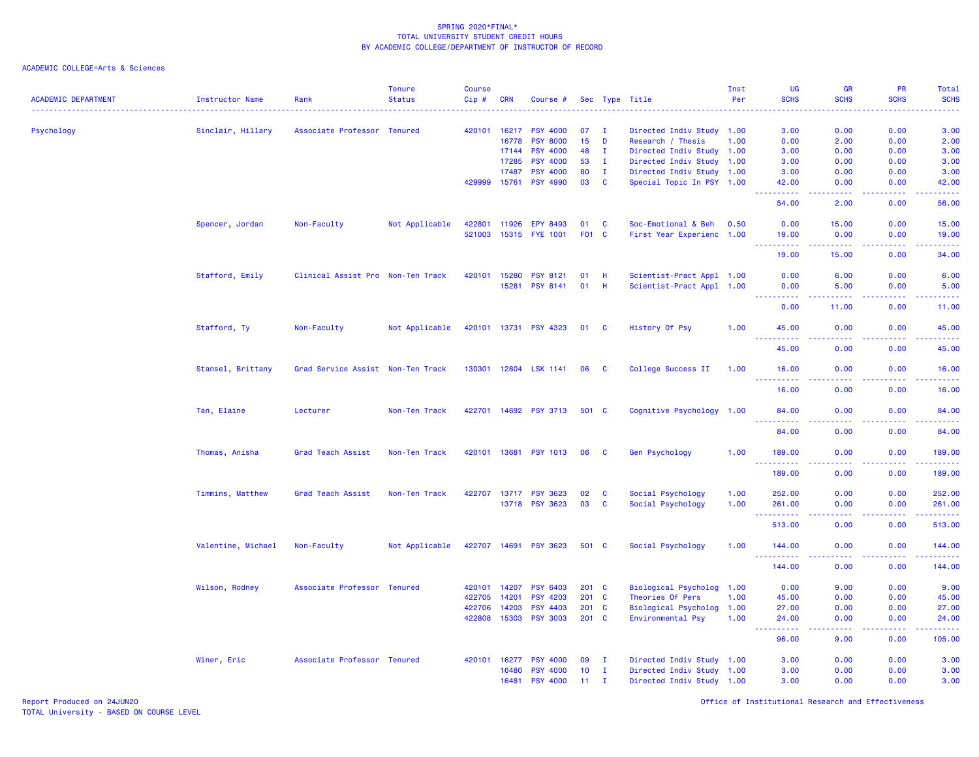| <b>ACADEMIC DEPARTMENT</b> | <b>Instructor Name</b><br><u>.</u> | Rank                              | <b>Tenure</b><br><b>Status</b> | <b>Course</b><br>Cip# | <b>CRN</b>   | Course #              |                 |              | Sec Type Title            | Inst<br>Per | UG<br><b>SCHS</b>                                                                                                                                             | <b>GR</b><br><b>SCHS</b>                                                                                                          | <b>PR</b><br><b>SCHS</b>     | Total<br><b>SCHS</b>                                                                                                               |
|----------------------------|------------------------------------|-----------------------------------|--------------------------------|-----------------------|--------------|-----------------------|-----------------|--------------|---------------------------|-------------|---------------------------------------------------------------------------------------------------------------------------------------------------------------|-----------------------------------------------------------------------------------------------------------------------------------|------------------------------|------------------------------------------------------------------------------------------------------------------------------------|
| Psychology                 | Sinclair, Hillary                  | Associate Professor Tenured       |                                | 420101                | 16217        | <b>PSY 4000</b>       | 07              | T            | Directed Indiv Study 1.00 |             | 3.00                                                                                                                                                          | 0.00                                                                                                                              | 0.00                         | 3.00                                                                                                                               |
|                            |                                    |                                   |                                |                       | 16778        | <b>PSY 8000</b>       | 15 <sub>1</sub> | D            | Research / Thesis         | 1.00        | 0.00                                                                                                                                                          | 2.00                                                                                                                              | 0.00                         | 2.00                                                                                                                               |
|                            |                                    |                                   |                                |                       | 17144        | <b>PSY 4000</b>       | 48              | $\mathbf{I}$ | Directed Indiv Study 1.00 |             | 3.00                                                                                                                                                          | 0.00                                                                                                                              | 0.00                         | 3.00                                                                                                                               |
|                            |                                    |                                   |                                |                       | 17285        | <b>PSY 4000</b>       | 53              | $\mathbf{I}$ | Directed Indiv Study      | 1.00        | 3.00                                                                                                                                                          | 0.00                                                                                                                              | 0.00                         | 3.00                                                                                                                               |
|                            |                                    |                                   |                                |                       | 17487        | <b>PSY 4000</b>       | 80              | $\mathbf{I}$ | Directed Indiv Study 1.00 |             | 3.00                                                                                                                                                          | 0.00                                                                                                                              | 0.00                         | 3.00                                                                                                                               |
|                            |                                    |                                   |                                | 429999                | 15761        | <b>PSY 4990</b>       | 03              | $\mathbf{c}$ | Special Topic In PSY 1.00 |             | 42.00<br>. <u>.</u>                                                                                                                                           | 0.00<br>$\frac{1}{2} \left( \frac{1}{2} \right) \left( \frac{1}{2} \right) \left( \frac{1}{2} \right) \left( \frac{1}{2} \right)$ | 0.00<br>.                    | 42.00<br>والمالم مال                                                                                                               |
|                            |                                    |                                   |                                |                       |              |                       |                 |              |                           |             | 54.00                                                                                                                                                         | 2.00                                                                                                                              | 0.00                         | 56.00                                                                                                                              |
|                            | Spencer, Jordan                    | Non-Faculty                       | Not Applicable                 | 422801                | 11926        | EPY 8493              | 01              | C            | Soc-Emotional & Beh       | 0.50        | 0.00                                                                                                                                                          | 15.00                                                                                                                             | 0.00                         | 15.00                                                                                                                              |
|                            |                                    |                                   |                                | 521003                | 15315        | <b>FYE 1001</b>       | F <sub>01</sub> | C            | First Year Experienc 1.00 |             | 19.00                                                                                                                                                         | 0.00<br>د د د د                                                                                                                   | 0.00<br>$\sim$ $\sim$ $\sim$ | 19.00<br>وعامات                                                                                                                    |
|                            |                                    |                                   |                                |                       |              |                       |                 |              |                           |             | 19.00                                                                                                                                                         | 15.00                                                                                                                             | 0.00                         | 34.00                                                                                                                              |
|                            | Stafford, Emily                    | Clinical Assist Pro Non-Ten Track |                                | 420101                | 15280        | <b>PSY 8121</b>       | 01              | -H           | Scientist-Pract Appl 1.00 |             | 0.00                                                                                                                                                          | 6.00                                                                                                                              | 0.00                         | 6.00                                                                                                                               |
|                            |                                    |                                   |                                |                       | 15281        | <b>PSY 8141</b>       | 01              | H            | Scientist-Pract Appl 1.00 |             | 0.00<br>.                                                                                                                                                     | 5.00<br>.                                                                                                                         | 0.00<br>.                    | 5.00<br>.                                                                                                                          |
|                            |                                    |                                   |                                |                       |              |                       |                 |              |                           |             | 0.00                                                                                                                                                          | 11.00                                                                                                                             | 0.00                         | 11.00                                                                                                                              |
|                            | Stafford, Ty                       | Non-Faculty                       | Not Applicable                 |                       |              | 420101 13731 PSY 4323 | 01 C            |              | History Of Psy            | 1.00        | 45.00<br>$\sim$ $\sim$ $\sim$                                                                                                                                 | 0.00                                                                                                                              | 0.00<br>$  -$                | 45.00<br>$\frac{1}{2} \left( \frac{1}{2} \right) \left( \frac{1}{2} \right) \left( \frac{1}{2} \right) \left( \frac{1}{2} \right)$ |
|                            |                                    |                                   |                                |                       |              |                       |                 |              |                           |             | 45.00                                                                                                                                                         | 0.00                                                                                                                              | 0.00                         | 45.00                                                                                                                              |
|                            | Stansel, Brittany                  | Grad Service Assist Non-Ten Track |                                |                       |              | 130301 12804 LSK 1141 | 06              | - C          | College Success II        | 1.00        | 16.00                                                                                                                                                         | 0.00                                                                                                                              | 0.00                         | 16.00                                                                                                                              |
|                            |                                    |                                   |                                |                       |              |                       |                 |              |                           |             | $\sim 100$<br><b><i><u><u> - - - - -</u></u></i></b><br>16.00                                                                                                 | $\sim$ $\sim$ $\sim$ $\sim$<br>0.00                                                                                               | -----<br>0.00                | .<br>16.00                                                                                                                         |
|                            | Tan, Elaine                        | Lecturer                          | Non-Ten Track                  |                       |              | 422701 14692 PSY 3713 | 501 C           |              | Cognitive Psychology 1.00 |             | 84.00                                                                                                                                                         | 0.00                                                                                                                              | 0.00                         | 84.00                                                                                                                              |
|                            |                                    |                                   |                                |                       |              |                       |                 |              |                           |             | $\omega_{\rm{eff}}$<br><b><i><u><u> - - - - -</u></u></i></b><br>84.00                                                                                        | $  -$<br>0.00                                                                                                                     | ولاوياء<br>0.00              | وبالمناب<br>84.00                                                                                                                  |
|                            | Thomas, Anisha                     | Grad Teach Assist                 | Non-Ten Track                  |                       | 420101 13681 | <b>PSY 1013</b>       | 06              | - C          | Gen Psychology            | 1.00        | 189.00                                                                                                                                                        | 0.00                                                                                                                              | 0.00                         | 189.00                                                                                                                             |
|                            |                                    |                                   |                                |                       |              |                       |                 |              |                           |             | 2.2.2.2.2.2<br>189.00                                                                                                                                         | $\frac{1}{2} \left( \frac{1}{2} \right) \left( \frac{1}{2} \right) \left( \frac{1}{2} \right)$<br>0.00                            | .<br>0.00                    | 22222<br>189.00                                                                                                                    |
|                            | Timmins, Matthew                   | Grad Teach Assist                 | Non-Ten Track                  | 422707                | 13717        | <b>PSY 3623</b>       | 02              | $\mathbf{C}$ | Social Psychology         | 1.00        | 252.00                                                                                                                                                        | 0.00                                                                                                                              | 0.00                         | 252.00                                                                                                                             |
|                            |                                    |                                   |                                |                       | 13718        | <b>PSY 3623</b>       | 03              | $\mathbf{C}$ | Social Psychology         | 1.00        | 261.00                                                                                                                                                        | 0.00                                                                                                                              | 0.00                         | 261.00<br>والمرامي مراميات                                                                                                         |
|                            |                                    |                                   |                                |                       |              |                       |                 |              |                           |             | 513.00                                                                                                                                                        | 0.00                                                                                                                              | 0.00                         | 513.00                                                                                                                             |
|                            | Valentine, Michael                 | Non-Faculty                       | Not Applicable                 |                       | 422707 14691 | <b>PSY 3623</b>       | 501 C           |              | Social Psychology         | 1.00        | 144.00<br><u> - - - - - - - - - -</u>                                                                                                                         | 0.00<br>$- - - -$                                                                                                                 | 0.00<br>.                    | 144.00<br>$- - - - - - -$                                                                                                          |
|                            |                                    |                                   |                                |                       |              |                       |                 |              |                           |             | 144.00                                                                                                                                                        | 0.00                                                                                                                              | 0.00                         | 144.00                                                                                                                             |
|                            | Wilson, Rodney                     | Associate Professor Tenured       |                                | 420101                | 14207        | <b>PSY 6403</b>       | 201 C           |              | Biological Psycholog 1.00 |             | 0.00                                                                                                                                                          | 9.00                                                                                                                              | 0.00                         | 9.00                                                                                                                               |
|                            |                                    |                                   |                                | 422705                | 14201        | <b>PSY 4203</b>       | 201             | $\mathbf{C}$ | Theories Of Pers          | 1.00        | 45.00                                                                                                                                                         | 0.00                                                                                                                              | 0.00                         | 45.00                                                                                                                              |
|                            |                                    |                                   |                                | 422706                | 14203        | <b>PSY 4403</b>       | 201 C           |              | Biological Psycholog 1.00 |             | 27.00                                                                                                                                                         | 0.00                                                                                                                              | 0.00                         | 27.00                                                                                                                              |
|                            |                                    |                                   |                                | 422808                | 15303        | <b>PSY 3003</b>       | 201 C           |              | Environmental Psy         | 1.00        | 24.00<br>$\frac{1}{2} \left( \frac{1}{2} \right) \left( \frac{1}{2} \right) \left( \frac{1}{2} \right) \left( \frac{1}{2} \right) \left( \frac{1}{2} \right)$ | 0.00<br>د د د د                                                                                                                   | 0.00<br>.                    | 24.00<br>.                                                                                                                         |
|                            |                                    |                                   |                                |                       |              |                       |                 |              |                           |             | 96.00                                                                                                                                                         | 9.00                                                                                                                              | 0.00                         | 105.00                                                                                                                             |
|                            | Winer, Eric                        | Associate Professor Tenured       |                                | 420101 16277          |              | <b>PSY 4000</b>       | 09              | $\mathbf I$  | Directed Indiv Study 1.00 |             | 3.00                                                                                                                                                          | 0.00                                                                                                                              | 0.00                         | 3.00                                                                                                                               |
|                            |                                    |                                   |                                |                       | 16480        | <b>PSY 4000</b>       | 10              | $\mathbf I$  | Directed Indiv Study 1.00 |             | 3.00                                                                                                                                                          | 0.00                                                                                                                              | 0.00                         | 3.00                                                                                                                               |
|                            |                                    |                                   |                                |                       | 16481        | <b>PSY 4000</b>       | 11              | $\mathbf{I}$ | Directed Indiv Study 1.00 |             | 3.00                                                                                                                                                          | 0.00                                                                                                                              | 0.00                         | 3.00                                                                                                                               |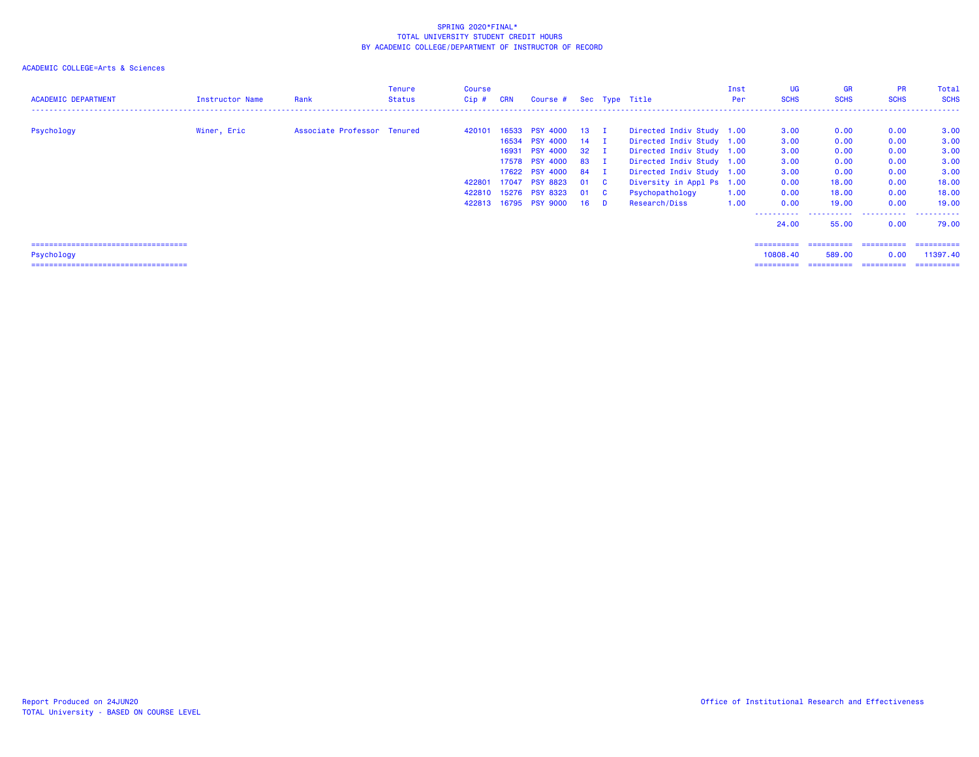## ACADEMIC COLLEGE=Arts & Sciences

| <b>ACADEMIC DEPARTMENT</b>            | Instructor Name | Rank                        | Tenure<br><b>Status</b> | Course<br>$Cip$ # | <b>CRN</b> | Course # Sec Type Title |      |                           | Inst<br>Per | UG<br><b>SCHS</b> | <b>GR</b><br><b>SCHS</b> | <b>PR</b><br><b>SCHS</b> | Total<br><b>SCHS</b> |
|---------------------------------------|-----------------|-----------------------------|-------------------------|-------------------|------------|-------------------------|------|---------------------------|-------------|-------------------|--------------------------|--------------------------|----------------------|
| Psychology                            | Winer, Eric     | Associate Professor Tenured |                         | 420101            |            | 16533 PSY 4000 13 I     |      | Directed Indiv Study 1.00 |             | 3.00              | 0.00                     | 0.00                     | 3.00                 |
|                                       |                 |                             |                         |                   | 16534      | PSY 4000 14 I           |      | Directed Indiv Study 1.00 |             | 3.00              | 0.00                     | 0.00                     | 3.00                 |
|                                       |                 |                             |                         |                   | 16931      | PSY 4000 32 I           |      | Directed Indiv Study 1.00 |             | 3.00              | 0.00                     | 0.00                     | 3.00                 |
|                                       |                 |                             |                         |                   |            | 17578 PSY 4000 83 I     |      | Directed Indiv Study 1.00 |             | 3.00              | 0.00                     | 0.00                     | 3.00                 |
|                                       |                 |                             |                         |                   |            | 17622 PSY 4000 84 I     |      | Directed Indiv Study 1.00 |             | 3.00              | 0.00                     | 0.00                     | 3.00                 |
|                                       |                 |                             |                         | 422801            | 17047      | <b>PSY 8823</b>         | 01 C | Diversity in Appl Ps 1.00 |             | 0.00              | 18.00                    | 0.00                     | 18.00                |
|                                       |                 |                             |                         |                   |            | 422810 15276 PSY 8323   | 01 C | Psychopathology           | 1.00        | 0.00              | 18.00                    | 0.00                     | 18.00                |
|                                       |                 |                             |                         |                   |            | 422813 16795 PSY 9000   | 16 D | Research/Diss             | 1.00        | 0.00              | 19.00                    | 0.00                     | 19.00                |
|                                       |                 |                             |                         |                   |            |                         |      |                           |             | ----------        | .                        | .                        | ------               |
|                                       |                 |                             |                         |                   |            |                         |      |                           |             | 24,00             | 55.00                    | 0.00                     | 79.00                |
| ===================================== |                 |                             |                         |                   |            |                         |      |                           |             | ==========        |                          |                          | -----------          |
| Psychology                            |                 |                             |                         |                   |            |                         |      |                           |             | 10808.40          | 589.00                   | 0.00                     | 11397.40             |

=================================== ========== ========== ========== ==========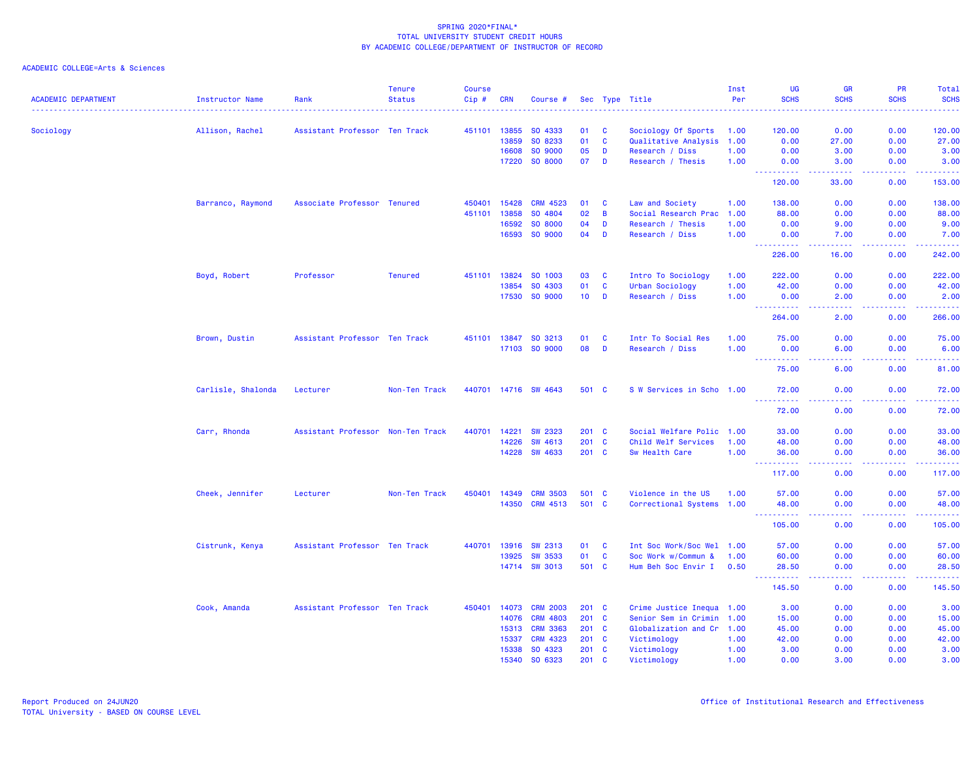| <b>ACADEMIC DEPARTMENT</b> | <b>Instructor Name</b> | Rank                          | <b>Tenure</b><br><b>Status</b> | Course<br>Cip# | <b>CRN</b>   | Course #             |                 |                | Sec Type Title            | Inst<br>Per | UG<br><b>SCHS</b>                    | <b>GR</b><br><b>SCHS</b>            | PR<br><b>SCHS</b>  | Total<br><b>SCHS</b> |
|----------------------------|------------------------|-------------------------------|--------------------------------|----------------|--------------|----------------------|-----------------|----------------|---------------------------|-------------|--------------------------------------|-------------------------------------|--------------------|----------------------|
|                            |                        |                               |                                |                |              |                      |                 |                |                           |             |                                      |                                     |                    |                      |
| Sociology                  | Allison, Rachel        | Assistant Professor Ten Track |                                |                | 451101 13855 | SO 4333              | 01              | <b>C</b>       | Sociology Of Sports       | 1.00        | 120.00                               | 0.00                                | 0.00               | 120.00               |
|                            |                        |                               |                                |                | 13859        | SO 8233              | 01              | $\mathbf{C}$   | Qualitative Analysis      | 1.00        | 0.00                                 | 27.00                               | 0.00               | 27.00                |
|                            |                        |                               |                                |                | 16608        | SO 9000              | 05              | D<br>D         | Research / Diss           | 1.00        | 0.00                                 | 3.00                                | 0.00               | 3.00                 |
|                            |                        |                               |                                |                | 17220        | SO 8000              | 07              |                | Research / Thesis         | 1.00        | 0.00<br><u>.</u>                     | 3.00<br><b>.</b>                    | 0.00<br>. <b>.</b> | 3.00<br>.            |
|                            |                        |                               |                                |                |              |                      |                 |                |                           |             | 120.00                               | 33.00                               | 0.00               | 153.00               |
|                            | Barranco, Raymond      | Associate Professor Tenured   |                                | 450401         | 15428        | <b>CRM 4523</b>      | 01              | $\mathbf{C}$   | Law and Society           | 1.00        | 138.00                               | 0.00                                | 0.00               | 138.00               |
|                            |                        |                               |                                | 451101         | 13858        | SO 4804              | 02              | $\overline{B}$ | Social Research Prac      | 1.00        | 88.00                                | 0.00                                | 0.00               | 88.00                |
|                            |                        |                               |                                |                | 16592        | SO 8000              | 04              | D              | Research / Thesis         | 1.00        | 0.00                                 | 9.00                                | 0.00               | 9.00                 |
|                            |                        |                               |                                |                | 16593        | SO 9000              | 04              | D              | Research / Diss           | 1.00        | 0.00<br>222222                       | 7.00<br>.                           | 0.00<br>.          | 7.00<br><u>.</u>     |
|                            |                        |                               |                                |                |              |                      |                 |                |                           |             | 226.00                               | 16.00                               | 0.00               | 242.00               |
|                            | Boyd, Robert           | Professor                     | <b>Tenured</b>                 | 451101         | 13824        | SO 1003              | 03              | $\mathbf{C}$   | Intro To Sociology        | 1.00        | 222.00                               | 0.00                                | 0.00               | 222.00               |
|                            |                        |                               |                                |                | 13854        | SO 4303              | 01              | $\mathbf{C}$   | Urban Sociology           | 1.00        | 42.00                                | 0.00                                | 0.00               | 42.00                |
|                            |                        |                               |                                |                | 17530        | SO 9000              | 10 <sup>1</sup> | D              | Research / Diss           | 1.00        | 0.00                                 | 2.00                                | 0.00               | 2.00                 |
|                            |                        |                               |                                |                |              |                      |                 |                |                           |             | ----------<br>264.00                 | .<br>2.00                           | -----<br>0.00      | 266.00               |
|                            | Brown, Dustin          | Assistant Professor Ten Track |                                | 451101         | 13847        | SO 3213              | 01              | $\mathbf{C}$   | Intr To Social Res        | 1.00        | 75.00                                | 0.00                                | 0.00               | 75.00                |
|                            |                        |                               |                                |                | 17103        | SO 9000              | 08              | D              | Research / Diss           | 1.00        | 0.00                                 | 6.00                                | 0.00               | 6.00                 |
|                            |                        |                               |                                |                |              |                      |                 |                |                           |             | <u> - - - - - - - - - -</u><br>75.00 | $\sim$ $\sim$ $\sim$ $\sim$<br>6.00 | 0.00               | .<br>81.00           |
|                            | Carlisle, Shalonda     | Lecturer                      | Non-Ten Track                  |                |              | 440701 14716 SW 4643 | 501 C           |                | S W Services in Scho 1.00 |             | 72.00                                | 0.00                                | 0.00               | 72.00                |
|                            |                        |                               |                                |                |              |                      |                 |                |                           |             | 72.00                                | <b>.</b><br>0.00                    | د د د د<br>0.00    | 72.00                |
|                            | Carr, Rhonda           | Assistant Professor           | Non-Ten Track                  | 440701         | 14221        | <b>SW 2323</b>       | 201 C           |                | Social Welfare Polic 1.00 |             | 33.00                                | 0.00                                | 0.00               | 33.00                |
|                            |                        |                               |                                |                | 14226        | SW 4613              | 201 C           |                | Child Welf Services       | 1.00        | 48.00                                | 0.00                                | 0.00               | 48.00                |
|                            |                        |                               |                                |                | 14228        | <b>SW 4633</b>       | 201 C           |                | Sw Health Care            | 1.00        | 36.00                                | 0.00                                | 0.00               | 36.00                |
|                            |                        |                               |                                |                |              |                      |                 |                |                           |             | .<br>117.00                          | $   -$<br>0.00                      | 0.00               | .<br>117.00          |
|                            |                        |                               |                                |                |              |                      |                 |                |                           |             |                                      |                                     |                    |                      |
|                            | Cheek, Jennifer        | Lecturer                      | Non-Ten Track                  | 450401         | 14349        | <b>CRM 3503</b>      | 501 C           |                | Violence in the US        | 1.00        | 57.00                                | 0.00                                | 0.00               | 57.00                |
|                            |                        |                               |                                |                | 14350        | <b>CRM 4513</b>      | 501 C           |                | Correctional Systems 1.00 |             | 48.00                                | 0.00                                | 0.00               | 48.00<br>.           |
|                            |                        |                               |                                |                |              |                      |                 |                |                           |             | 105.00                               | 0.00                                | 0.00               | 105.00               |
|                            | Cistrunk, Kenya        | Assistant Professor Ten Track |                                | 440701         | 13916        | <b>SW 2313</b>       | 01              | <b>C</b>       | Int Soc Work/Soc Wel 1.00 |             | 57.00                                | 0.00                                | 0.00               | 57.00                |
|                            |                        |                               |                                |                | 13925        | <b>SW 3533</b>       | 01              | $\mathbf{C}$   | Soc Work w/Commun &       | 1.00        | 60.00                                | 0.00                                | 0.00               | 60.00                |
|                            |                        |                               |                                |                | 14714        | <b>SW 3013</b>       | 501 C           |                | Hum Beh Soc Envir I       | 0.50        | 28.50                                | 0.00                                | 0.00               | 28.50                |
|                            |                        |                               |                                |                |              |                      |                 |                |                           |             | 145.50                               | 0.00                                | 0.00               | 145.50               |
|                            | Cook, Amanda           | Assistant Professor Ten Track |                                | 450401         | 14073        | <b>CRM 2003</b>      | $201 \quad C$   |                | Crime Justice Inequa 1.00 |             | 3.00                                 | 0.00                                | 0.00               | 3.00                 |
|                            |                        |                               |                                |                | 14076        | <b>CRM 4803</b>      | 201 C           |                | Senior Sem in Crimin 1.00 |             | 15.00                                | 0.00                                | 0.00               | 15.00                |
|                            |                        |                               |                                |                | 15313        | <b>CRM 3363</b>      | 201             | $\mathbf{C}$   | Globalization and Cr 1.00 |             | 45.00                                | 0.00                                | 0.00               | 45.00                |
|                            |                        |                               |                                |                | 15337        | <b>CRM 4323</b>      | $201$ C         |                | Victimology               | 1.00        | 42.00                                | 0.00                                | 0.00               | 42.00                |
|                            |                        |                               |                                |                | 15338        | SO 4323              | 201 C           |                | Victimology               | 1.00        | 3.00                                 | 0.00                                | 0.00               | 3.00                 |
|                            |                        |                               |                                |                | 15340        | SO 6323              | 201             | $\mathbf{C}$   | Victimology               | 1.00        | 0.00                                 | 3.00                                | 0.00               | 3.00                 |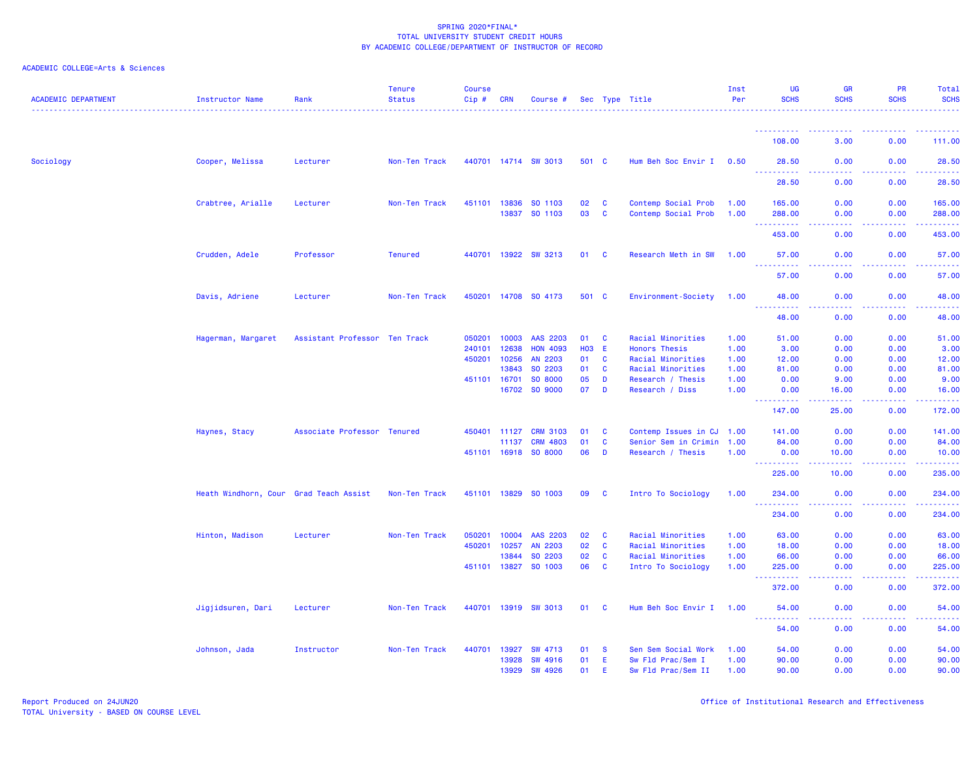| <b>ACADEMIC DEPARTMENT</b> | Instructor Name                        | Rank                          | <b>Tenure</b><br><b>Status</b> | <b>Course</b><br>Cip # | <b>CRN</b>   | Course #             |            |              | Sec Type Title            | Inst<br>Per | <b>UG</b><br><b>SCHS</b>                                                                                     | <b>GR</b><br><b>SCHS</b>            | <b>PR</b><br><b>SCHS</b> | Total<br><b>SCHS</b>                                                                                                                                                                     |
|----------------------------|----------------------------------------|-------------------------------|--------------------------------|------------------------|--------------|----------------------|------------|--------------|---------------------------|-------------|--------------------------------------------------------------------------------------------------------------|-------------------------------------|--------------------------|------------------------------------------------------------------------------------------------------------------------------------------------------------------------------------------|
|                            |                                        |                               |                                |                        |              |                      |            |              |                           |             |                                                                                                              |                                     |                          |                                                                                                                                                                                          |
|                            |                                        |                               |                                |                        |              |                      |            |              |                           |             | 108.00                                                                                                       | 3.00                                | 0.00                     | 111.00                                                                                                                                                                                   |
| Sociology                  | Cooper, Melissa                        | Lecturer                      | Non-Ten Track                  |                        |              | 440701 14714 SW 3013 | 501 C      |              | Hum Beh Soc Envir I       | 0.50        | 28.50<br><u> - - - - - - - - - -</u>                                                                         | 0.00                                | 0.00                     | 28.50<br>.                                                                                                                                                                               |
|                            |                                        |                               |                                |                        |              |                      |            |              |                           |             | 28.50                                                                                                        | 0.00                                | 0.00                     | 28.50                                                                                                                                                                                    |
|                            | Crabtree, Arialle                      | Lecturer                      | Non-Ten Track                  |                        | 451101 13836 | SO 1103              | 02         | $\mathbf{C}$ | Contemp Social Prob       | 1.00        | 165.00                                                                                                       | 0.00                                | 0.00                     | 165.00                                                                                                                                                                                   |
|                            |                                        |                               |                                |                        | 13837        | SO 1103              | 03         | $\mathbf{C}$ | Contemp Social Prob       | 1.00        | 288.00<br><b><i><u>AAAAAAAAA</u></i></b>                                                                     | 0.00<br>.                           | 0.00<br>22222            | 288.00<br>$\begin{array}{cccccccccc} \bullet & \bullet & \bullet & \bullet & \bullet & \bullet & \bullet & \bullet \end{array}$                                                          |
|                            |                                        |                               |                                |                        |              |                      |            |              |                           |             | 453.00                                                                                                       | 0.00                                | 0.00                     | 453.00                                                                                                                                                                                   |
|                            | Crudden, Adele                         | Professor                     | <b>Tenured</b>                 |                        | 440701 13922 | <b>SW 3213</b>       | 01         | <b>C</b>     | Research Meth in SW       | 1.00        | 57.00<br>.                                                                                                   | 0.00<br>$\sim$ $\sim$ $\sim$ $\sim$ | 0.00                     | 57.00<br>.                                                                                                                                                                               |
|                            |                                        |                               |                                |                        |              |                      |            |              |                           |             | 57.00                                                                                                        | 0.00                                | 0.00                     | 57.00                                                                                                                                                                                    |
|                            | Davis, Adriene                         | Lecturer                      | Non-Ten Track                  |                        |              | 450201 14708 SO 4173 | 501 C      |              | Environment-Society       | 1.00        | 48.00<br>د د د د د                                                                                           | 0.00                                | 0.00                     | 48.00<br>.                                                                                                                                                                               |
|                            |                                        |                               |                                |                        |              |                      |            |              |                           |             | 48.00                                                                                                        | 0.00                                | 0.00                     | 48.00                                                                                                                                                                                    |
|                            | Hagerman, Margaret                     | Assistant Professor Ten Track |                                | 050201                 | 10003        | AAS 2203             | 01         | <b>C</b>     | Racial Minorities         | 1.00        | 51.00                                                                                                        | 0.00                                | 0.00                     | 51.00                                                                                                                                                                                    |
|                            |                                        |                               |                                | 240101                 | 12638        | <b>HON 4093</b>      | <b>HO3</b> | - E          | Honors Thesis             | 1.00        | 3.00                                                                                                         | 0.00                                | 0.00                     | 3.00                                                                                                                                                                                     |
|                            |                                        |                               |                                | 450201                 | 10256        | AN 2203              | 01         | $\mathbf{C}$ | Racial Minorities         | 1.00        | 12.00                                                                                                        | 0.00                                | 0.00                     | 12.00                                                                                                                                                                                    |
|                            |                                        |                               |                                |                        | 13843        | SO 2203              | 01         | $\mathbf{C}$ | Racial Minorities         | 1.00        | 81.00                                                                                                        | 0.00                                | 0.00                     | 81.00                                                                                                                                                                                    |
|                            |                                        |                               |                                |                        | 451101 16701 | SO 8000              | 05         | D            | Research / Thesis         | 1.00        | 0.00                                                                                                         | 9.00                                | 0.00                     | 9.00                                                                                                                                                                                     |
|                            |                                        |                               |                                |                        | 16702        | SO 9000              | 07         | D            | Research / Diss           | 1.00        | 0.00<br><u>.</u>                                                                                             | 16.00<br>.                          | 0.00<br>2.2.2.2.2        | 16.00<br>$\frac{1}{2} \left( \frac{1}{2} \right) \left( \frac{1}{2} \right) \left( \frac{1}{2} \right) \left( \frac{1}{2} \right) \left( \frac{1}{2} \right) \left( \frac{1}{2} \right)$ |
|                            |                                        |                               |                                |                        |              |                      |            |              |                           |             | 147.00                                                                                                       | 25.00                               | 0.00                     | 172.00                                                                                                                                                                                   |
|                            | Haynes, Stacy                          | Associate Professor Tenured   |                                |                        | 450401 11127 | <b>CRM 3103</b>      | 01         | <b>C</b>     | Contemp Issues in CJ 1.00 |             | 141.00                                                                                                       | 0.00                                | 0.00                     | 141.00                                                                                                                                                                                   |
|                            |                                        |                               |                                |                        | 11137        | <b>CRM 4803</b>      | 01         | $\mathbf{C}$ | Senior Sem in Crimin 1.00 |             | 84.00                                                                                                        | 0.00                                | 0.00                     | 84.00                                                                                                                                                                                    |
|                            |                                        |                               |                                |                        | 451101 16918 | SO 8000              | 06         | D            | Research / Thesis         | 1.00        | 0.00<br>22222                                                                                                | 10.00                               | 0.00                     | 10.00<br>وعاعاها                                                                                                                                                                         |
|                            |                                        |                               |                                |                        |              |                      |            |              |                           |             | 225.00                                                                                                       | 10.00                               | 0.00                     | 235.00                                                                                                                                                                                   |
|                            | Heath Windhorn, Cour Grad Teach Assist |                               | Non-Ten Track                  |                        | 451101 13829 | SO 1003              | 09         | <b>C</b>     | Intro To Sociology        | 1.00        | 234.00                                                                                                       | 0.00                                | 0.00                     | 234.00<br>المتمامين                                                                                                                                                                      |
|                            |                                        |                               |                                |                        |              |                      |            |              |                           |             | 234.00                                                                                                       | 0.00                                | 0.00                     | 234.00                                                                                                                                                                                   |
|                            | Hinton, Madison                        | Lecturer                      | Non-Ten Track                  | 050201                 | 10004        | AAS 2203             | 02         | $\mathbf{C}$ | Racial Minorities         | 1.00        | 63.00                                                                                                        | 0.00                                | 0.00                     | 63.00                                                                                                                                                                                    |
|                            |                                        |                               |                                | 450201                 | 10257        | AN 2203              | 02         | $\mathbf{C}$ | Racial Minorities         | 1.00        | 18.00                                                                                                        | 0.00                                | 0.00                     | 18.00                                                                                                                                                                                    |
|                            |                                        |                               |                                |                        | 13844        | SO 2203              | 02         | $\mathbf{C}$ | Racial Minorities         | 1.00        | 66.00                                                                                                        | 0.00                                | 0.00                     | 66.00                                                                                                                                                                                    |
|                            |                                        |                               |                                |                        |              | 451101 13827 SO 1003 | 06         | $\mathbf{C}$ | Intro To Sociology        | 1.00        | 225.00<br>.                                                                                                  | 0.00<br>.                           | 0.00<br>.                | 225.00<br>.                                                                                                                                                                              |
|                            |                                        |                               |                                |                        |              |                      |            |              |                           |             | 372.00                                                                                                       | 0.00                                | 0.00                     | 372.00                                                                                                                                                                                   |
|                            | Jigjidsuren, Dari                      | Lecturer                      | Non-Ten Track                  |                        |              | 440701 13919 SW 3013 | 01 C       |              | Hum Beh Soc Envir I 1.00  |             | 54.00<br>$\frac{1}{2} \left( \frac{1}{2} \right) \left( \frac{1}{2} \right) \left( \frac{1}{2} \right)$<br>. | 0.00<br>.                           | 0.00<br>2.2.2.2.2        | 54.00<br>.                                                                                                                                                                               |
|                            |                                        |                               |                                |                        |              |                      |            |              |                           |             | 54.00                                                                                                        | 0.00                                | 0.00                     | 54.00                                                                                                                                                                                    |
|                            | Johnson, Jada                          | Instructor                    | Non-Ten Track                  | 440701                 | 13927        | <b>SW 4713</b>       | 01         | - S          | Sen Sem Social Work       | 1.00        | 54.00                                                                                                        | 0.00                                | 0.00                     | 54.00                                                                                                                                                                                    |
|                            |                                        |                               |                                |                        | 13928        | SW 4916              | 01         | E.           | Sw Fld Prac/Sem I         | 1.00        | 90.00                                                                                                        | 0.00                                | 0.00                     | 90.00                                                                                                                                                                                    |
|                            |                                        |                               |                                |                        | 13929        | <b>SW 4926</b>       | 01         | E.           | Sw Fld Prac/Sem II        | 1.00        | 90.00                                                                                                        | 0.00                                | 0.00                     | 90.00                                                                                                                                                                                    |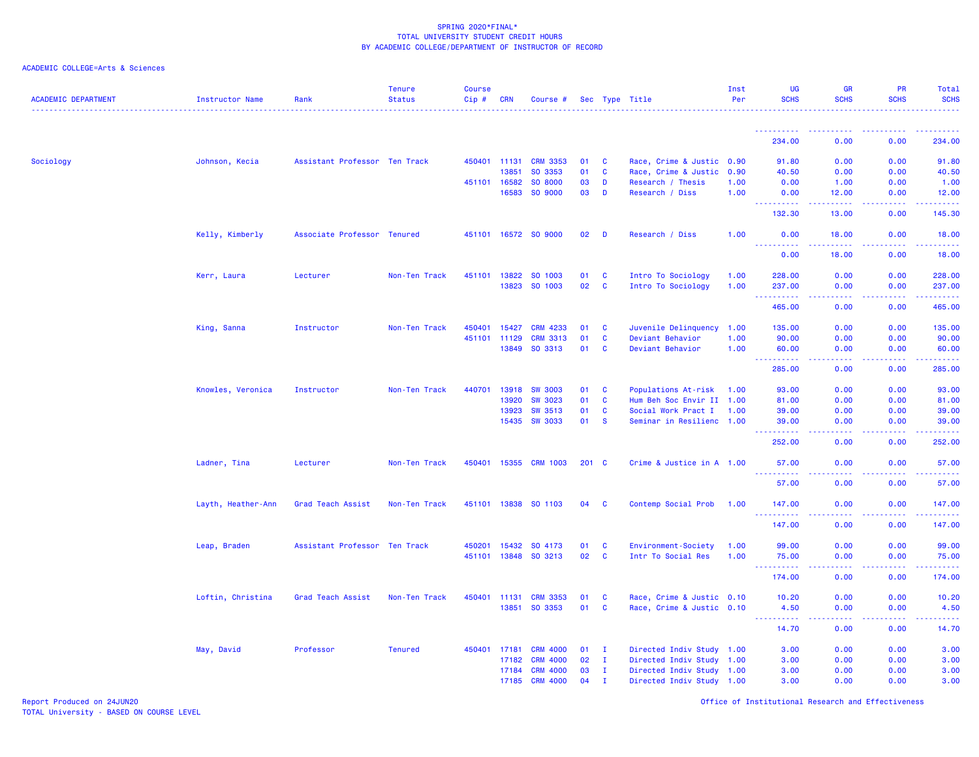|  |  | ACADEMIC COLLEGE=Arts & Sciences |  |
|--|--|----------------------------------|--|
|--|--|----------------------------------|--|

| <b>ACADEMIC DEPARTMENT</b> | Instructor Name    | Rank                          | <b>Tenure</b><br><b>Status</b> | <b>Course</b><br>$Cip \#$ | <b>CRN</b>   | Course #             |       |              | Sec Type Title            | Inst<br>Per | UG<br><b>SCHS</b>                         | <b>GR</b><br><b>SCHS</b> | <b>PR</b><br><b>SCHS</b> | Total<br><b>SCHS</b>                                                                                                                                           |
|----------------------------|--------------------|-------------------------------|--------------------------------|---------------------------|--------------|----------------------|-------|--------------|---------------------------|-------------|-------------------------------------------|--------------------------|--------------------------|----------------------------------------------------------------------------------------------------------------------------------------------------------------|
|                            |                    |                               |                                |                           |              |                      |       |              |                           |             |                                           |                          |                          |                                                                                                                                                                |
|                            |                    |                               |                                |                           |              |                      |       |              |                           |             | 234.00                                    | 0.00                     | 0.00                     | 234.00                                                                                                                                                         |
| Sociology                  | Johnson, Kecia     | Assistant Professor Ten Track |                                |                           | 450401 11131 | <b>CRM 3353</b>      | 01    | $\mathbf{C}$ | Race, Crime & Justic 0.90 |             | 91.80                                     | 0.00                     | 0.00                     | 91.80                                                                                                                                                          |
|                            |                    |                               |                                |                           | 13851        | SO 3353              | 01    | $\mathbf{C}$ | Race, Crime & Justic 0.90 |             | 40.50                                     | 0.00                     | 0.00                     | 40.50                                                                                                                                                          |
|                            |                    |                               |                                |                           | 451101 16582 | SO 8000              | 03    | D            | Research / Thesis         | 1.00        | 0.00                                      | 1.00                     | 0.00                     | 1.00                                                                                                                                                           |
|                            |                    |                               |                                |                           | 16583        | SO 9000              | 03    | D            | Research / Diss           | 1.00        | 0.00<br>2.2.2.2.2.2                       | 12.00<br>22222           | 0.00<br>.                | 12.00<br>.                                                                                                                                                     |
|                            |                    |                               |                                |                           |              |                      |       |              |                           |             | 132.30                                    | 13.00                    | 0.00                     | 145.30                                                                                                                                                         |
|                            | Kelly, Kimberly    | Associate Professor Tenured   |                                |                           |              | 451101 16572 SO 9000 | 02    | D            | Research / Diss           | 1.00        | 0.00                                      | 18.00                    | 0.00                     | 18.00<br>.                                                                                                                                                     |
|                            |                    |                               |                                |                           |              |                      |       |              |                           |             | 0.00                                      | 18.00                    | 0.00                     | 18.00                                                                                                                                                          |
|                            | Kerr, Laura        | Lecturer                      | Non-Ten Track                  |                           | 451101 13822 | SO 1003              | 01    | <b>C</b>     | Intro To Sociology        | 1.00        | 228.00                                    | 0.00                     | 0.00                     | 228.00                                                                                                                                                         |
|                            |                    |                               |                                |                           | 13823        | SO 1003              | 02    | $\mathbf{C}$ | Intro To Sociology        | 1.00        | 237.00<br><u>.</u>                        | 0.00<br>د د د د          | 0.00<br>.                | 237.00<br>2.2.2.2.2.2                                                                                                                                          |
|                            |                    |                               |                                |                           |              |                      |       |              |                           |             | 465.00                                    | 0.00                     | 0.00                     | 465.00                                                                                                                                                         |
|                            | King, Sanna        | Instructor                    | Non-Ten Track                  | 450401                    | 15427        | <b>CRM 4233</b>      | 01    | <b>C</b>     | Juvenile Delinquency 1.00 |             | 135.00                                    | 0.00                     | 0.00                     | 135.00                                                                                                                                                         |
|                            |                    |                               |                                |                           | 451101 11129 | <b>CRM 3313</b>      | 01    | $\mathbf{C}$ | Deviant Behavior          | 1.00        | 90.00                                     | 0.00                     | 0.00                     | 90.00                                                                                                                                                          |
|                            |                    |                               |                                |                           | 13849        | SO 3313              | 01    | <b>C</b>     | Deviant Behavior          | 1.00        | 60.00<br>$\sim$ $\sim$ $\sim$<br><b>.</b> | 0.00<br>والمسامين        | 0.00<br>.                | 60.00<br>.                                                                                                                                                     |
|                            |                    |                               |                                |                           |              |                      |       |              |                           |             | 285.00                                    | 0.00                     | 0.00                     | 285.00                                                                                                                                                         |
|                            | Knowles, Veronica  | Instructor                    | Non-Ten Track                  | 440701                    | 13918        | <b>SW 3003</b>       | 01    | $\mathbf{C}$ | Populations At-risk       | 1.00        | 93.00                                     | 0.00                     | 0.00                     | 93.00                                                                                                                                                          |
|                            |                    |                               |                                |                           | 13920        | <b>SW 3023</b>       | 01    | $\mathbf{C}$ | Hum Beh Soc Envir II 1.00 |             | 81.00                                     | 0.00                     | 0.00                     | 81.00                                                                                                                                                          |
|                            |                    |                               |                                |                           | 13923        | <b>SW 3513</b>       | 01    | <b>C</b>     | Social Work Pract I       | 1.00        | 39.00                                     | 0.00                     | 0.00                     | 39.00                                                                                                                                                          |
|                            |                    |                               |                                |                           | 15435        | <b>SW 3033</b>       | 01    | <b>S</b>     | Seminar in Resilienc 1.00 |             | 39.00                                     | 0.00                     | 0.00                     | 39.00<br>.                                                                                                                                                     |
|                            |                    |                               |                                |                           |              |                      |       |              |                           |             | 252.00                                    | 0.00                     | 0.00                     | 252.00                                                                                                                                                         |
|                            | Ladner, Tina       | Lecturer                      | Non-Ten Track                  |                           | 450401 15355 | <b>CRM 1003</b>      | 201 C |              | Crime & Justice in A 1.00 |             | 57.00<br>.                                | 0.00                     | 0.00                     | 57.00<br>.                                                                                                                                                     |
|                            |                    |                               |                                |                           |              |                      |       |              |                           |             | 57.00                                     | 0.00                     | 0.00                     | 57.00                                                                                                                                                          |
|                            | Layth, Heather-Ann | Grad Teach Assist             | Non-Ten Track                  |                           | 451101 13838 | SO 1103              | 04    | <b>C</b>     | Contemp Social Prob       | 1.00        | 147.00<br><u>.</u>                        | 0.00                     | 0.00                     | 147.00<br>$\frac{1}{2} \left( \frac{1}{2} \right) \left( \frac{1}{2} \right) \left( \frac{1}{2} \right) \left( \frac{1}{2} \right) \left( \frac{1}{2} \right)$ |
|                            |                    |                               |                                |                           |              |                      |       |              |                           |             | 147.00                                    | 0.00                     | 0.00                     | 147.00                                                                                                                                                         |
|                            | Leap, Braden       | Assistant Professor Ten Track |                                |                           | 450201 15432 | SO 4173              | 01    | $\mathbf{C}$ | Environment-Society       | 1.00        | 99.00                                     | 0.00                     | 0.00                     | 99.00                                                                                                                                                          |
|                            |                    |                               |                                |                           | 451101 13848 | SO 3213              | 02    | <b>C</b>     | Intr To Social Res        | 1.00        | 75.00                                     | 0.00                     | 0.00                     | 75.00                                                                                                                                                          |
|                            |                    |                               |                                |                           |              |                      |       |              |                           |             | 222222<br>174.00                          | د د د د<br>0.00          | 22222<br>0.00            | <u>.</u><br>174.00                                                                                                                                             |
|                            | Loftin, Christina  | Grad Teach Assist             | Non-Ten Track                  |                           | 450401 11131 | <b>CRM 3353</b>      | 01    | <b>C</b>     | Race, Crime & Justic 0.10 |             | 10.20                                     | 0.00                     | 0.00                     | 10.20                                                                                                                                                          |
|                            |                    |                               |                                |                           | 13851        | SO 3353              | 01    | <b>C</b>     | Race, Crime & Justic 0.10 |             | 4.50                                      | 0.00                     | 0.00                     | 4.50                                                                                                                                                           |
|                            |                    |                               |                                |                           |              |                      |       |              |                           |             | <b><i><u></u></i></b><br>14.70            | والمستناء<br>0.00        | 0.00                     | .<br>14.70                                                                                                                                                     |
|                            | May, David         | Professor                     | <b>Tenured</b>                 |                           | 450401 17181 | <b>CRM 4000</b>      | 01    | - 1          | Directed Indiv Study 1.00 |             | 3.00                                      | 0.00                     | 0.00                     | 3.00                                                                                                                                                           |
|                            |                    |                               |                                |                           | 17182        | <b>CRM 4000</b>      | 02    | $\mathbf{I}$ | Directed Indiv Study 1.00 |             | 3.00                                      | 0.00                     | 0.00                     | 3.00                                                                                                                                                           |
|                            |                    |                               |                                |                           | 17184        | <b>CRM 4000</b>      | 03    | $\mathbf{I}$ | Directed Indiv Study 1.00 |             | 3.00                                      | 0.00                     | 0.00                     | 3.00                                                                                                                                                           |
|                            |                    |                               |                                |                           | 17185        | <b>CRM 4000</b>      | 04    | $\mathbf{I}$ | Directed Indiv Study 1.00 |             | 3.00                                      | 0.00                     | 0.00                     | 3.00                                                                                                                                                           |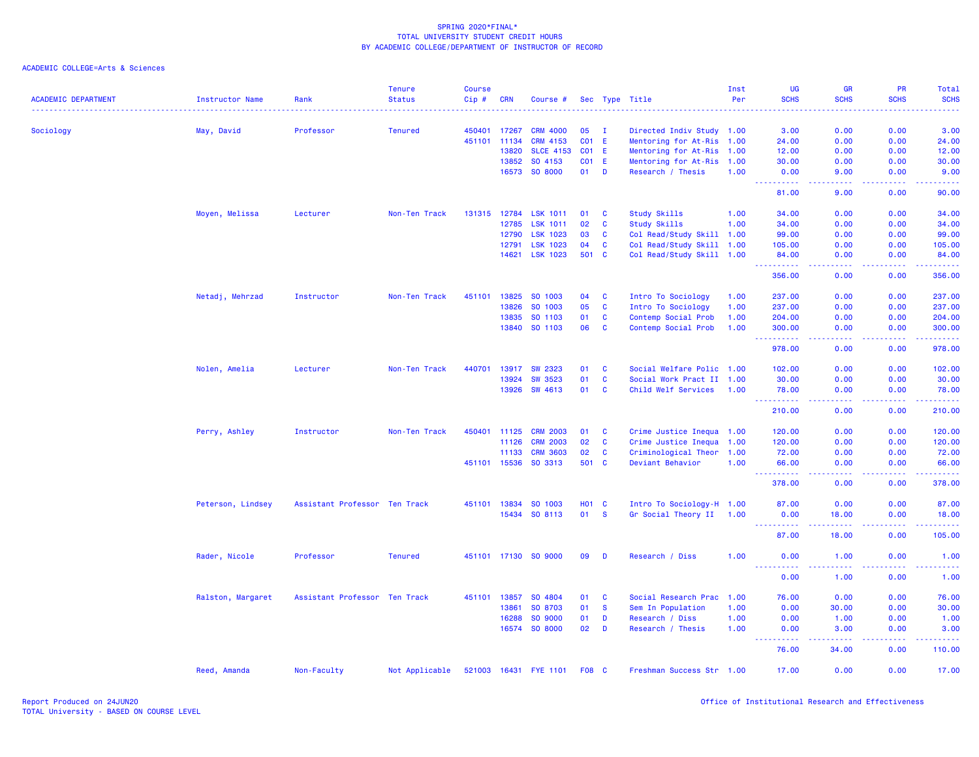| <b>ACADEMIC DEPARTMENT</b> | <b>Instructor Name</b> | Rank                          | <b>Tenure</b><br><b>Status</b> | <b>Course</b><br>Cip# | <b>CRN</b>   | Course #             |                 |              | Sec Type Title                                         | Inst<br>Per | UG<br><b>SCHS</b>                                                                                                                                    | <b>GR</b><br><b>SCHS</b>                                                                                                          | PR<br><b>SCHS</b>                     | Total<br><b>SCHS</b>                                                                                                              |
|----------------------------|------------------------|-------------------------------|--------------------------------|-----------------------|--------------|----------------------|-----------------|--------------|--------------------------------------------------------|-------------|------------------------------------------------------------------------------------------------------------------------------------------------------|-----------------------------------------------------------------------------------------------------------------------------------|---------------------------------------|-----------------------------------------------------------------------------------------------------------------------------------|
|                            |                        | Professor                     | <b>Tenured</b>                 | 450401                | 17267        | <b>CRM 4000</b>      | 05              | $\mathbf{I}$ |                                                        |             | 3.00                                                                                                                                                 | $\frac{1}{2} \left( \frac{1}{2} \right) \left( \frac{1}{2} \right) \left( \frac{1}{2} \right) \left( \frac{1}{2} \right)$<br>0.00 | 0.00                                  | $\frac{1}{2} \left( \frac{1}{2} \right) \left( \frac{1}{2} \right) \left( \frac{1}{2} \right) \left( \frac{1}{2} \right)$<br>3.00 |
| Sociology                  | May, David             |                               |                                | 451101                | 11134        | CRM 4153             | CO <sub>1</sub> | -E           | Directed Indiv Study 1.00<br>Mentoring for At-Ris 1.00 |             | 24.00                                                                                                                                                | 0.00                                                                                                                              | 0.00                                  | 24.00                                                                                                                             |
|                            |                        |                               |                                |                       | 13820        | <b>SLCE 4153</b>     | CO <sub>1</sub> | -E           |                                                        |             | 12.00                                                                                                                                                | 0.00                                                                                                                              | 0.00                                  | 12.00                                                                                                                             |
|                            |                        |                               |                                |                       | 13852        | SO 4153              |                 | <b>CO1 E</b> | Mentoring for At-Ris 1.00                              |             |                                                                                                                                                      |                                                                                                                                   | 0.00                                  |                                                                                                                                   |
|                            |                        |                               |                                |                       | 16573        | SO 8000              | 01              | D            | Mentoring for At-Ris 1.00<br>Research / Thesis         | 1.00        | 30.00<br>0.00                                                                                                                                        | 0.00<br>9.00                                                                                                                      | 0.00                                  | 30.00<br>9.00                                                                                                                     |
|                            |                        |                               |                                |                       |              |                      |                 |              |                                                        |             | $\frac{1}{2} \left( \frac{1}{2} \right) \left( \frac{1}{2} \right) \left( \frac{1}{2} \right) \left( \frac{1}{2} \right) \left( \frac{1}{2} \right)$ | د د د د                                                                                                                           | .                                     | .                                                                                                                                 |
|                            |                        |                               |                                |                       |              |                      |                 |              |                                                        |             | 81.00                                                                                                                                                | 9.00                                                                                                                              | 0.00                                  | 90.00                                                                                                                             |
|                            | Moyen, Melissa         | Lecturer                      | Non-Ten Track                  |                       | 131315 12784 | <b>LSK 1011</b>      | 01              | C            | <b>Study Skills</b>                                    | 1.00        | 34.00                                                                                                                                                | 0.00                                                                                                                              | 0.00                                  | 34.00                                                                                                                             |
|                            |                        |                               |                                |                       | 12785        | <b>LSK 1011</b>      | 02              | C            | Study Skills                                           | 1.00        | 34.00                                                                                                                                                | 0.00                                                                                                                              | 0.00                                  | 34.00                                                                                                                             |
|                            |                        |                               |                                |                       | 12790        | <b>LSK 1023</b>      | 03              | C            | Col Read/Study Skill 1.00                              |             | 99.00                                                                                                                                                | 0.00                                                                                                                              | 0.00                                  | 99.00                                                                                                                             |
|                            |                        |                               |                                |                       | 12791        | <b>LSK 1023</b>      | 04              | C            | Col Read/Study Skill 1.00                              |             | 105.00                                                                                                                                               | 0.00                                                                                                                              | 0.00                                  | 105.00                                                                                                                            |
|                            |                        |                               |                                |                       | 14621        | LSK 1023             | 501             | <b>C</b>     | Col Read/Study Skill 1.00                              |             | 84.00                                                                                                                                                | 0.00                                                                                                                              | 0.00                                  | 84.00                                                                                                                             |
|                            |                        |                               |                                |                       |              |                      |                 |              |                                                        |             | . <u>.</u> .<br>356.00                                                                                                                               | الداعات عا<br>0.00                                                                                                                | <b><i><u><u>.</u></u></i></b><br>0.00 | 2.2.2.2.2.2<br>356.00                                                                                                             |
|                            | Netadj, Mehrzad        | Instructor                    | Non-Ten Track                  | 451101                | 13825        | SO 1003              | 04              | <b>C</b>     | Intro To Sociology                                     | 1.00        | 237.00                                                                                                                                               | 0.00                                                                                                                              | 0.00                                  | 237.00                                                                                                                            |
|                            |                        |                               |                                |                       | 13826        | SO 1003              | 05              | C            | Intro To Sociology                                     | 1.00        | 237.00                                                                                                                                               | 0.00                                                                                                                              | 0.00                                  | 237.00                                                                                                                            |
|                            |                        |                               |                                |                       | 13835        | SO 1103              | 01              | C            | Contemp Social Prob                                    | 1.00        | 204.00                                                                                                                                               | 0.00                                                                                                                              | 0.00                                  | 204.00                                                                                                                            |
|                            |                        |                               |                                |                       | 13840        | SO 1103              | 06              | C            | Contemp Social Prob                                    | 1.00        | 300.00                                                                                                                                               | 0.00                                                                                                                              | 0.00                                  | 300.00                                                                                                                            |
|                            |                        |                               |                                |                       |              |                      |                 |              |                                                        |             | .<br>444<br>978.00                                                                                                                                   | $\omega$ is a $\omega$<br>0.00                                                                                                    | .<br>0.00                             | .<br>978.00                                                                                                                       |
|                            | Nolen, Amelia          | Lecturer                      | Non-Ten Track                  | 440701                | 13917        | <b>SW 2323</b>       | 01              | C            | Social Welfare Polic 1.00                              |             | 102.00                                                                                                                                               | 0.00                                                                                                                              | 0.00                                  | 102.00                                                                                                                            |
|                            |                        |                               |                                |                       | 13924        | <b>SW 3523</b>       | 01              | C            | Social Work Pract II 1.00                              |             | 30.00                                                                                                                                                | 0.00                                                                                                                              | 0.00                                  | 30.00                                                                                                                             |
|                            |                        |                               |                                |                       | 13926        | SW 4613              | 01              | $\mathbf{C}$ | Child Welf Services                                    | 1.00        | 78.00                                                                                                                                                | 0.00                                                                                                                              | 0.00                                  | 78.00                                                                                                                             |
|                            |                        |                               |                                |                       |              |                      |                 |              |                                                        |             | .<br>$\sim 100$<br>210.00                                                                                                                            | الأمال الأما<br>0.00                                                                                                              | 22222<br>0.00                         | د د د د د د<br>210.00                                                                                                             |
|                            | Perry, Ashley          | Instructor                    | Non-Ten Track                  | 450401                | 11125        | <b>CRM 2003</b>      | 01              | C            | Crime Justice Inequa 1.00                              |             | 120.00                                                                                                                                               | 0.00                                                                                                                              | 0.00                                  | 120.00                                                                                                                            |
|                            |                        |                               |                                |                       | 11126        | <b>CRM 2003</b>      | 02              | C            | Crime Justice Inequa 1.00                              |             | 120.00                                                                                                                                               | 0.00                                                                                                                              | 0.00                                  | 120.00                                                                                                                            |
|                            |                        |                               |                                |                       | 11133        | <b>CRM 3603</b>      | 02              | C            | Criminological Theor 1.00                              |             | 72.00                                                                                                                                                | 0.00                                                                                                                              | 0.00                                  | 72.00                                                                                                                             |
|                            |                        |                               |                                |                       | 451101 15536 | SO 3313              | 501             | <b>C</b>     | Deviant Behavior                                       | 1.00        | 66.00                                                                                                                                                | 0.00                                                                                                                              | 0.00                                  | 66.00                                                                                                                             |
|                            |                        |                               |                                |                       |              |                      |                 |              |                                                        |             | 2.2.2.2.2.2<br>444<br>378.00                                                                                                                         | $\omega$ is a $\omega$<br>0.00                                                                                                    | .<br>0.00                             | <u>.</u><br>378.00                                                                                                                |
|                            | Peterson, Lindsey      | Assistant Professor Ten Track |                                |                       | 451101 13834 | SO 1003              |                 | <b>HO1 C</b> | Intro To Sociology-H 1.00                              |             | 87.00                                                                                                                                                | 0.00                                                                                                                              | 0.00                                  | 87.00                                                                                                                             |
|                            |                        |                               |                                |                       | 15434        | SO 8113              | 01              | <b>S</b>     | Gr Social Theory II 1.00                               |             | 0.00                                                                                                                                                 | 18.00                                                                                                                             | 0.00                                  | 18.00                                                                                                                             |
|                            |                        |                               |                                |                       |              |                      |                 |              |                                                        |             | <u> - - - - - - - - - -</u>                                                                                                                          | .                                                                                                                                 | .                                     | .                                                                                                                                 |
|                            |                        |                               |                                |                       |              |                      |                 |              |                                                        |             | 87.00                                                                                                                                                | 18.00                                                                                                                             | 0.00                                  | 105.00                                                                                                                            |
|                            | Rader, Nicole          | Professor                     | <b>Tenured</b>                 |                       |              | 451101 17130 SO 9000 | 09              | D            | Research / Diss                                        | 1.00        | 0.00<br>.                                                                                                                                            | 1.00<br>والمستناء                                                                                                                 | 0.00<br>.                             | 1.00<br>.                                                                                                                         |
|                            |                        |                               |                                |                       |              |                      |                 |              |                                                        |             | 0.00                                                                                                                                                 | 1.00                                                                                                                              | 0.00                                  | 1.00                                                                                                                              |
|                            | Ralston, Margaret      | Assistant Professor Ten Track |                                | 451101                | 13857        | SO 4804              | 01              | C            | Social Research Prac                                   | 1.00        | 76.00                                                                                                                                                | 0.00                                                                                                                              | 0.00                                  | 76.00                                                                                                                             |
|                            |                        |                               |                                |                       | 13861        | SO 8703              | 01              | <b>S</b>     | Sem In Population                                      | 1.00        | 0.00                                                                                                                                                 | 30.00                                                                                                                             | 0.00                                  | 30.00                                                                                                                             |
|                            |                        |                               |                                |                       | 16288        | SO 9000              | 01              | D            | Research / Diss                                        | 1.00        | 0.00                                                                                                                                                 | 1.00                                                                                                                              | 0.00                                  | 1.00                                                                                                                              |
|                            |                        |                               |                                |                       | 16574        | SO 8000              | 02              | D            | Research / Thesis                                      | 1.00        | 0.00<br>د د د د                                                                                                                                      | 3.00<br>$\sim$ $\sim$ $\sim$ $\sim$                                                                                               | 0.00<br>.                             | 3.00<br>.                                                                                                                         |
|                            |                        |                               |                                |                       |              |                      |                 |              |                                                        |             | 76.00                                                                                                                                                | 34.00                                                                                                                             | 0.00                                  | 110.00                                                                                                                            |
|                            | Reed, Amanda           | Non-Faculty                   | Not Applicable                 | 521003                | 16431        | <b>FYE 1101</b>      | F08 C           |              | Freshman Success Str 1.00                              |             | 17.00                                                                                                                                                | 0.00                                                                                                                              | 0.00                                  | 17.00                                                                                                                             |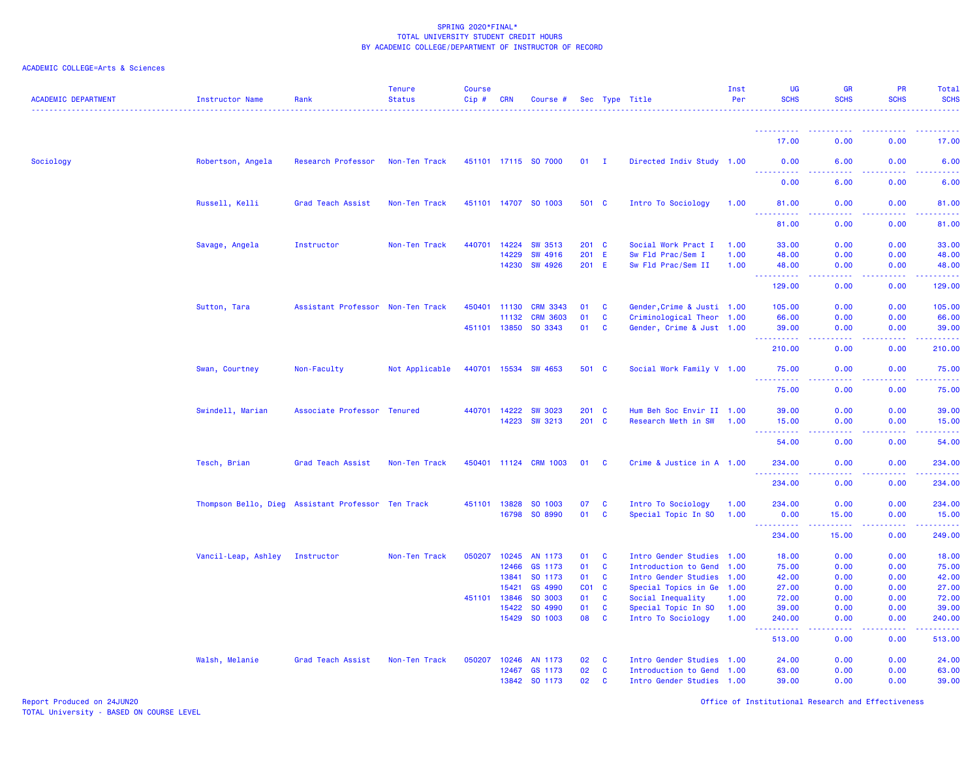| <b>ACADEMIC DEPARTMENT</b> | Instructor Name                                    | Rank                              | <b>Tenure</b><br><b>Status</b> | <b>Course</b><br>$Cip \#$ | <b>CRN</b>     | Course #             |                       |                              | Sec Type Title                                 | Inst<br>Per | UG<br><b>SCHS</b>    | <b>GR</b><br><b>SCHS</b>            | <b>PR</b><br><b>SCHS</b> | Total<br><b>SCHS</b>                                                                                                                                           |
|----------------------------|----------------------------------------------------|-----------------------------------|--------------------------------|---------------------------|----------------|----------------------|-----------------------|------------------------------|------------------------------------------------|-------------|----------------------|-------------------------------------|--------------------------|----------------------------------------------------------------------------------------------------------------------------------------------------------------|
|                            |                                                    |                                   |                                |                           |                |                      |                       |                              |                                                |             |                      |                                     |                          |                                                                                                                                                                |
|                            |                                                    |                                   |                                |                           |                |                      |                       |                              |                                                |             | 17.00                | 0.00                                | 0.00                     | 17,00                                                                                                                                                          |
| Sociology                  | Robertson, Angela                                  | Research Professor                | Non-Ten Track                  |                           |                | 451101 17115 SO 7000 | $01$ I                |                              | Directed Indiv Study 1.00                      |             | 0.00<br>----------   | 6.00<br>.                           | 0.00<br>.                | 6.00<br>$\frac{1}{2} \left( \frac{1}{2} \right) \left( \frac{1}{2} \right) \left( \frac{1}{2} \right) \left( \frac{1}{2} \right)$                              |
|                            |                                                    |                                   |                                |                           |                |                      |                       |                              |                                                |             | 0.00                 | 6.00                                | 0.00                     | 6.00                                                                                                                                                           |
|                            | Russell, Kelli                                     | Grad Teach Assist                 | Non-Ten Track                  |                           |                | 451101 14707 SO 1003 | 501 C                 |                              | Intro To Sociology                             | 1.00        | 81.00<br>.           | 0.00                                | 0.00                     | 81.00<br>المالمات                                                                                                                                              |
|                            |                                                    |                                   |                                |                           |                |                      |                       |                              |                                                |             | 81.00                | 0.00                                | 0.00                     | 81.00                                                                                                                                                          |
|                            | Savage, Angela                                     | Instructor                        | Non-Ten Track                  | 440701                    | 14224          | <b>SW 3513</b>       | 201 C                 |                              | Social Work Pract I                            | 1.00        | 33.00                | 0.00                                | 0.00                     | 33.00                                                                                                                                                          |
|                            |                                                    |                                   |                                |                           | 14229          | <b>SW 4916</b>       | 201 E                 |                              | Sw Fld Prac/Sem I                              | 1.00        | 48.00                | 0.00                                | 0.00                     | 48.00                                                                                                                                                          |
|                            |                                                    |                                   |                                |                           | 14230          | <b>SW 4926</b>       | 201 E                 |                              | Sw Fld Prac/Sem II                             | 1.00        | 48.00<br>.           | 0.00<br>$  -$                       | 0.00<br>.                | 48.00<br>.                                                                                                                                                     |
|                            |                                                    |                                   |                                |                           |                |                      |                       |                              |                                                |             | 129.00               | 0.00                                | 0.00                     | 129.00                                                                                                                                                         |
|                            | Sutton, Tara                                       | Assistant Professor Non-Ten Track |                                | 450401                    | 11130          | <b>CRM 3343</b>      | 01                    | <b>C</b>                     | Gender, Crime & Justi 1.00                     |             | 105.00               | 0.00                                | 0.00                     | 105.00                                                                                                                                                         |
|                            |                                                    |                                   |                                |                           | 11132          | <b>CRM 3603</b>      | 01                    | <b>C</b>                     | Criminological Theor 1.00                      |             | 66.00                | 0.00                                | 0.00                     | 66.00                                                                                                                                                          |
|                            |                                                    |                                   |                                | 451101 13850              |                | SO 3343              | 01                    | <b>C</b>                     | Gender, Crime & Just 1.00                      |             | 39.00<br><u>.</u>    | 0.00<br>.                           | 0.00<br>.                | 39.00<br>.                                                                                                                                                     |
|                            |                                                    |                                   |                                |                           |                |                      |                       |                              |                                                |             | 210.00               | 0.00                                | 0.00                     | 210.00                                                                                                                                                         |
|                            | Swan, Courtney                                     | Non-Faculty                       | Not Applicable                 |                           | 440701 15534   | <b>SW 4653</b>       | 501 C                 |                              | Social Work Family V 1.00                      |             | 75.00<br>د د د د د د | 0.00<br>$\sim$ $\sim$ $\sim$ $\sim$ | 0.00<br>المستما          | 75.00<br>المتمامين                                                                                                                                             |
|                            |                                                    |                                   |                                |                           |                |                      |                       |                              |                                                |             | 75.00                | 0.00                                | 0.00                     | 75.00                                                                                                                                                          |
|                            | Swindell, Marian                                   | Associate Professor               | <b>Tenured</b>                 | 440701                    | 14222          | <b>SW 3023</b>       | 201 C                 |                              | Hum Beh Soc Envir II 1.00                      |             | 39.00                | 0.00                                | 0.00                     | 39.00                                                                                                                                                          |
|                            |                                                    |                                   |                                |                           | 14223          | <b>SW 3213</b>       | 201 C                 |                              | Research Meth in SW                            | 1.00        | 15.00<br><u>.</u>    | 0.00<br>د د د د                     | 0.00<br>.                | 15.00<br>.                                                                                                                                                     |
|                            |                                                    |                                   |                                |                           |                |                      |                       |                              |                                                |             | 54.00                | 0.00                                | 0.00                     | 54.00                                                                                                                                                          |
|                            | Tesch, Brian                                       | Grad Teach Assist                 | Non-Ten Track                  |                           | 450401 11124   | <b>CRM 1003</b>      | 01                    | <b>C</b>                     | Crime & Justice in A 1.00                      |             | 234.00               | 0.00                                | 0.00                     | 234.00                                                                                                                                                         |
|                            |                                                    |                                   |                                |                           |                |                      |                       |                              |                                                |             | .<br>234.00          | 0.00                                | 0.00                     | $\frac{1}{2} \left( \frac{1}{2} \right) \left( \frac{1}{2} \right) \left( \frac{1}{2} \right) \left( \frac{1}{2} \right) \left( \frac{1}{2} \right)$<br>234.00 |
|                            | Thompson Bello, Dieg Assistant Professor Ten Track |                                   |                                |                           | 451101 13828   | SO 1003              | 07                    | $\mathbf{C}$                 | Intro To Sociology                             | 1.00        | 234.00               | 0.00                                | 0.00                     | 234.00                                                                                                                                                         |
|                            |                                                    |                                   |                                |                           | 16798          | SO 8990              | 01                    | $\mathbf{C}$                 | Special Topic In SO                            | 1.00        | 0.00<br>.            | 15.00<br>.                          | 0.00<br>المتمالين        | 15.00<br>.                                                                                                                                                     |
|                            |                                                    |                                   |                                |                           |                |                      |                       |                              |                                                |             | 234.00               | 15.00                               | 0.00                     | 249.00                                                                                                                                                         |
|                            | Vancil-Leap, Ashley                                | Instructor                        | Non-Ten Track                  | 050207                    | 10245          | AN 1173              | 01                    | $\mathbf{C}$                 | Intro Gender Studies 1.00                      |             | 18.00                | 0.00                                | 0.00                     | 18.00                                                                                                                                                          |
|                            |                                                    |                                   |                                |                           | 12466          | GS 1173              | 01                    | $\mathbf{C}$                 | Introduction to Gend 1.00                      |             | 75.00                | 0.00                                | 0.00                     | 75.00                                                                                                                                                          |
|                            |                                                    |                                   |                                |                           | 13841          | SO 1173              | 01                    | $\mathbf{C}$                 | Intro Gender Studies 1.00                      |             | 42.00                | 0.00                                | 0.00                     | 42.00                                                                                                                                                          |
|                            |                                                    |                                   |                                | 451101                    | 15421<br>13846 | GS 4990<br>SO 3003   | CO <sub>1</sub><br>01 | $\mathbf{C}$<br>$\mathbf{C}$ | Special Topics in Ge 1.00<br>Social Inequality | 1.00        | 27.00<br>72.00       | 0.00<br>0.00                        | 0.00<br>0.00             | 27.00<br>72.00                                                                                                                                                 |
|                            |                                                    |                                   |                                |                           | 15422          | SO 4990              | 01                    | $\mathbf{C}$                 | Special Topic In SO                            | 1.00        | 39.00                | 0.00                                | 0.00                     | 39.00                                                                                                                                                          |
|                            |                                                    |                                   |                                |                           | 15429          | SO 1003              | 08                    | $\mathbf{C}$                 | Intro To Sociology                             | 1.00        | 240.00               | 0.00                                | 0.00                     | 240.00                                                                                                                                                         |
|                            |                                                    |                                   |                                |                           |                |                      |                       |                              |                                                |             | 222222<br>513.00     | وعاعات<br>0.00                      | .<br>0.00                | .<br>513.00                                                                                                                                                    |
|                            | Walsh, Melanie                                     | Grad Teach Assist                 | Non-Ten Track                  | 050207                    | 10246          | AN 1173              | 02                    | <b>C</b>                     | Intro Gender Studies 1.00                      |             | 24.00                | 0.00                                | 0.00                     | 24.00                                                                                                                                                          |
|                            |                                                    |                                   |                                |                           | 12467          | GS 1173              | 02                    | $\mathbf{C}$                 | Introduction to Gend 1.00                      |             | 63.00                | 0.00                                | 0.00                     | 63.00                                                                                                                                                          |
|                            |                                                    |                                   |                                |                           |                | 13842 SO 1173        | 02                    | $\mathbf{C}$                 | Intro Gender Studies 1.00                      |             | 39.00                | 0.00                                | 0.00                     | 39.00                                                                                                                                                          |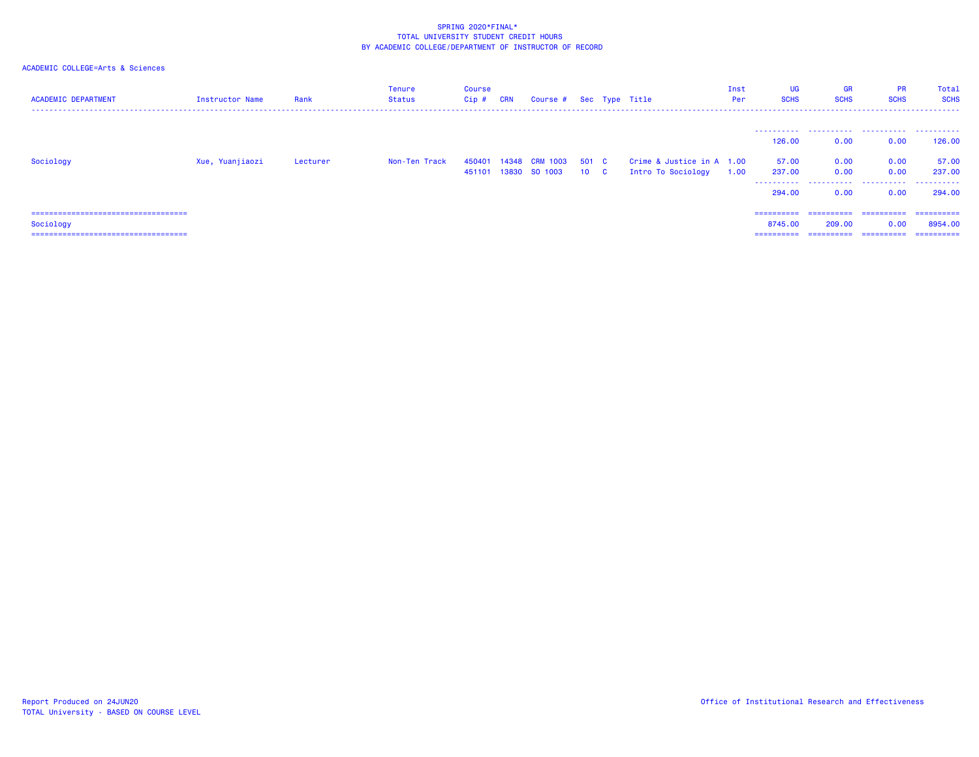| <b>ACADEMIC DEPARTMENT</b>                         | Instructor Name | Rank     | <b>Tenure</b><br>Status | <b>Course</b><br>Cip # CRN | Course # Sec Type Title                |                          |                                                 | Inst<br>Per | UG<br><b>SCHS</b>     | <b>GR</b><br><b>SCHS</b> | <b>PR</b><br><b>SCHS</b> | Total<br><b>SCHS</b>  |
|----------------------------------------------------|-----------------|----------|-------------------------|----------------------------|----------------------------------------|--------------------------|-------------------------------------------------|-------------|-----------------------|--------------------------|--------------------------|-----------------------|
|                                                    |                 |          |                         |                            |                                        |                          |                                                 |             | 126.00                | 0.00                     | 0.00                     | 126,00                |
| Sociology                                          | Xue, Yuanjiaozi | Lecturer | Non-Ten Track           | 450401                     | 14348 CRM 1003<br>451101 13830 SO 1003 | 501 C<br>10 <sub>c</sub> | Crime & Justice in A 1.00<br>Intro To Sociology | 1.00        | 57.00<br>237.00       | 0.00<br>0.00             | 0.00<br>0.00             | 57.00<br>237.00       |
|                                                    |                 |          |                         |                            |                                        |                          |                                                 |             | 294.00                | 0.00                     | 0.00                     | 294.00                |
| ====================================               |                 |          |                         |                            |                                        |                          |                                                 |             | ==========            | ==========               | ==========               | -----------           |
| Sociology<br>===================================== |                 |          |                         |                            |                                        |                          |                                                 |             | 8745.00<br>========== | 209,00<br>-----------    | 0.00<br>==========       | 8954,00<br>========== |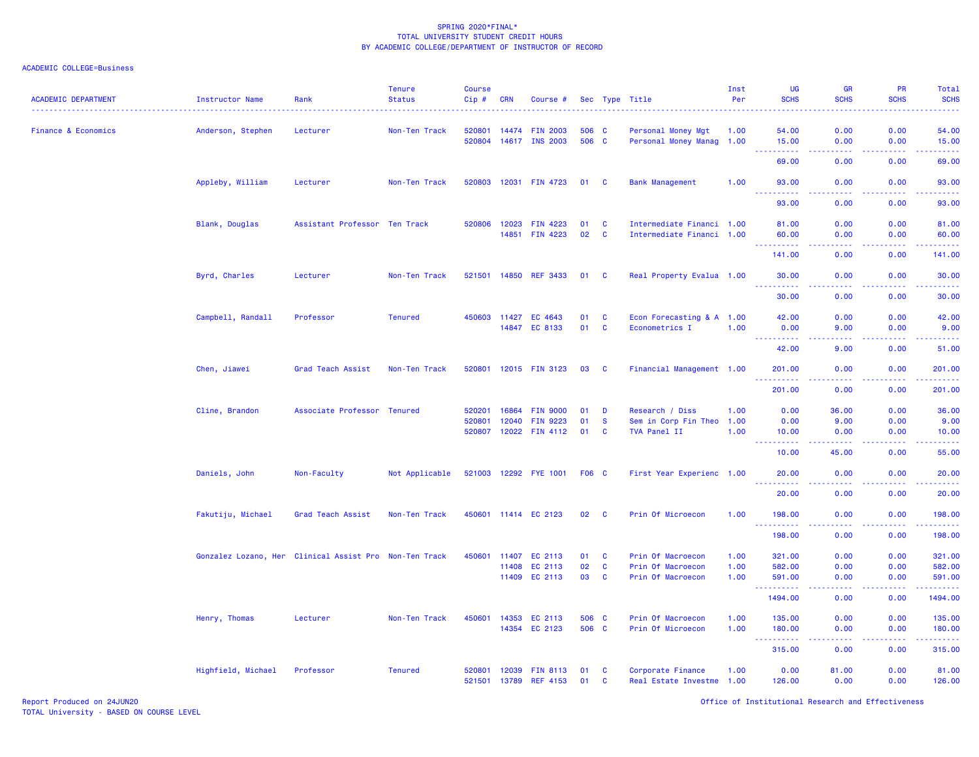### ACADEMIC COLLEGE=Business

| <b>ACADEMIC DEPARTMENT</b>     | Instructor Name    | Rank                                                   | <b>Tenure</b><br><b>Status</b> | <b>Course</b><br>Cip#  | <b>CRN</b> | Course #                           |          |                   | Sec Type Title                                 | Inst<br>Per | <b>UG</b><br><b>SCHS</b>    | <b>GR</b><br><b>SCHS</b>            | <b>PR</b><br><b>SCHS</b>            | Total<br><b>SCHS</b>                                                                                                  |
|--------------------------------|--------------------|--------------------------------------------------------|--------------------------------|------------------------|------------|------------------------------------|----------|-------------------|------------------------------------------------|-------------|-----------------------------|-------------------------------------|-------------------------------------|-----------------------------------------------------------------------------------------------------------------------|
| <b>Finance &amp; Economics</b> | Anderson, Stephen  | Lecturer                                               | Non-Ten Track                  | 520801                 |            | 14474 FIN 2003                     | 506 C    |                   | Personal Money Mgt                             | 1.00        | 54.00                       | 0.00                                | 0.00                                | 54.00                                                                                                                 |
|                                |                    |                                                        |                                | 520804                 |            | 14617 INS 2003                     | 506 C    |                   | Personal Money Manag 1.00                      |             | 15.00<br>.<br>$\frac{1}{2}$ | 0.00<br>.                           | 0.00<br>.                           | 15.00<br>وعاماما                                                                                                      |
|                                |                    |                                                        |                                |                        |            |                                    |          |                   |                                                |             | 69.00                       | 0.00                                | 0.00                                | 69.00                                                                                                                 |
|                                | Appleby, William   | Lecturer                                               | Non-Ten Track                  | 520803                 |            | 12031 FIN 4723                     | 01       | C                 | <b>Bank Management</b>                         | 1.00        | 93.00<br>د د د د د د        | 0.00<br>$\sim$ $\sim$ $\sim$ $\sim$ | 0.00<br>.                           | 93.00<br>بالأبالات                                                                                                    |
|                                |                    |                                                        |                                |                        |            |                                    |          |                   |                                                |             | 93.00                       | 0.00                                | 0.00                                | 93.00                                                                                                                 |
|                                | Blank, Douglas     | Assistant Professor Ten Track                          |                                | 520806                 |            | 12023 FIN 4223                     | 01       | C                 | Intermediate Financi 1.00                      |             | 81.00                       | 0.00                                | 0.00                                | 81.00                                                                                                                 |
|                                |                    |                                                        |                                |                        |            | 14851 FIN 4223                     | 02       | C                 | Intermediate Financi 1.00                      |             | 60.00<br>.                  | 0.00<br>.                           | 0.00<br>.                           | 60.00<br>.                                                                                                            |
|                                |                    |                                                        |                                |                        |            |                                    |          |                   |                                                |             | 141.00                      | 0.00                                | 0.00                                | 141.00                                                                                                                |
|                                | Byrd, Charles      | Lecturer                                               | Non-Ten Track                  | 521501 14850           |            | <b>REF 3433</b>                    | 01       | C                 | Real Property Evalua 1.00                      |             | 30.00                       | 0.00                                | 0.00                                | 30.00                                                                                                                 |
|                                |                    |                                                        |                                |                        |            |                                    |          |                   |                                                |             | 30.00                       | 0.00                                | 0.00                                | 30.00                                                                                                                 |
|                                | Campbell, Randall  | Professor                                              | <b>Tenured</b>                 | 450603 11427           |            | EC 4643                            | 01       | C                 | Econ Forecasting & A 1.00                      |             | 42.00                       | 0.00                                | 0.00                                | 42.00                                                                                                                 |
|                                |                    |                                                        |                                |                        |            | 14847 EC 8133                      | 01       | $\mathbf{C}$      | Econometrics I                                 | 1.00        | 0.00<br>.                   | 9.00<br>.                           | 0.00<br>.                           | 9.00<br>وساعت                                                                                                         |
|                                |                    |                                                        |                                |                        |            |                                    |          |                   |                                                |             | 42.00                       | 9.00                                | 0.00                                | 51.00                                                                                                                 |
|                                | Chen, Jiawei       | Grad Teach Assist                                      | Non-Ten Track                  | 520801                 |            | 12015 FIN 3123                     | 03       | C                 | Financial Management 1.00                      |             | 201.00<br>وبالمستمات        | 0.00<br>.                           | 0.00<br>$\sim$ $\sim$ $\sim$ $\sim$ | 201.00<br><u> 22222</u>                                                                                               |
|                                |                    |                                                        |                                |                        |            |                                    |          |                   |                                                |             | 201.00                      | 0.00                                | 0.00                                | 201.00                                                                                                                |
|                                | Cline, Brandon     | Associate Professor                                    | <b>Tenured</b>                 | 520201                 | 16864      | <b>FIN 9000</b>                    | 01       | D                 | Research / Diss                                | 1.00        | 0.00                        | 36.00                               | 0.00                                | 36.00                                                                                                                 |
|                                |                    |                                                        |                                | 520801<br>520807       | 12040      | <b>FIN 9223</b>                    | 01       | $\mathbf{s}$      | Sem in Corp Fin Theo                           | 1.00        | 0.00                        | 9.00                                | 0.00                                | 9.00                                                                                                                  |
|                                |                    |                                                        |                                |                        |            | 12022 FIN 4112                     | 01       | C                 | TVA Panel II                                   | 1.00        | 10.00<br>.                  | 0.00<br>22222                       | 0.00<br>.                           | 10.00<br>.                                                                                                            |
|                                |                    |                                                        |                                |                        |            |                                    |          |                   |                                                |             | 10.00                       | 45.00                               | 0.00                                | 55.00                                                                                                                 |
|                                | Daniels, John      | Non-Faculty                                            | Not Applicable                 |                        |            | 521003 12292 FYE 1001              | F06 C    |                   | First Year Experienc 1.00                      |             | 20.00                       | 0.00                                | 0.00<br>.                           | 20.00<br>.                                                                                                            |
|                                |                    |                                                        |                                |                        |            |                                    |          |                   |                                                |             | 20.00                       | 0.00                                | 0.00                                | 20.00                                                                                                                 |
|                                | Fakutiju, Michael  | Grad Teach Assist                                      | Non-Ten Track                  |                        |            | 450601 11414 EC 2123               | 02       | C                 | Prin Of Microecon                              | 1.00        | 198.00<br>.                 | 0.00<br>.                           | 0.00<br>.                           | 198.00<br>$\begin{array}{cccccccccc} \bullet & \bullet & \bullet & \bullet & \bullet & \bullet & \bullet \end{array}$ |
|                                |                    |                                                        |                                |                        |            |                                    |          |                   |                                                |             | 198.00                      | 0.00                                | 0.00                                | 198.00                                                                                                                |
|                                |                    | Gonzalez Lozano, Her Clinical Assist Pro Non-Ten Track |                                | 450601                 | 11407      | EC 2113                            | 01       | C                 | Prin Of Macroecon                              | 1.00        | 321.00                      | 0.00                                | 0.00                                | 321.00                                                                                                                |
|                                |                    |                                                        |                                |                        | 11408      | EC 2113                            | 02       | C<br>$\mathbf{C}$ | Prin Of Macroecon                              | 1.00        | 582.00                      | 0.00                                | 0.00                                | 582.00                                                                                                                |
|                                |                    |                                                        |                                |                        |            | 11409 EC 2113                      | 03       |                   | Prin Of Macroecon                              | 1.00        | 591.00<br>----------        | 0.00<br>.                           | 0.00<br>.                           | 591.00<br>.                                                                                                           |
|                                |                    |                                                        |                                |                        |            |                                    |          |                   |                                                |             | 1494.00                     | 0.00                                | 0.00                                | 1494.00                                                                                                               |
|                                | Henry, Thomas      | Lecturer                                               | Non-Ten Track                  | 450601                 | 14353      | EC 2113                            | 506      | <b>C</b>          | Prin Of Macroecon                              | 1.00        | 135.00                      | 0.00                                | 0.00                                | 135.00                                                                                                                |
|                                |                    |                                                        |                                |                        | 14354      | EC 2123                            | 506 C    |                   | Prin Of Microecon                              | 1.00        | 180.00<br>.                 | 0.00<br>2222                        | 0.00<br>$\sim$ $\sim$ $\sim$ $\sim$ | 180.00<br>وعامام ماما                                                                                                 |
|                                |                    |                                                        |                                |                        |            |                                    |          |                   |                                                |             | 315.00                      | 0.00                                | 0.00                                | 315.00                                                                                                                |
|                                | Highfield, Michael | Professor                                              | <b>Tenured</b>                 | 520801<br>521501 13789 | 12039      | <b>FIN 8113</b><br><b>REF 4153</b> | 01<br>01 | C<br>C            | Corporate Finance<br>Real Estate Investme 1.00 | 1.00        | 0.00<br>126.00              | 81.00<br>0.00                       | 0.00<br>0.00                        | 81.00<br>126.00                                                                                                       |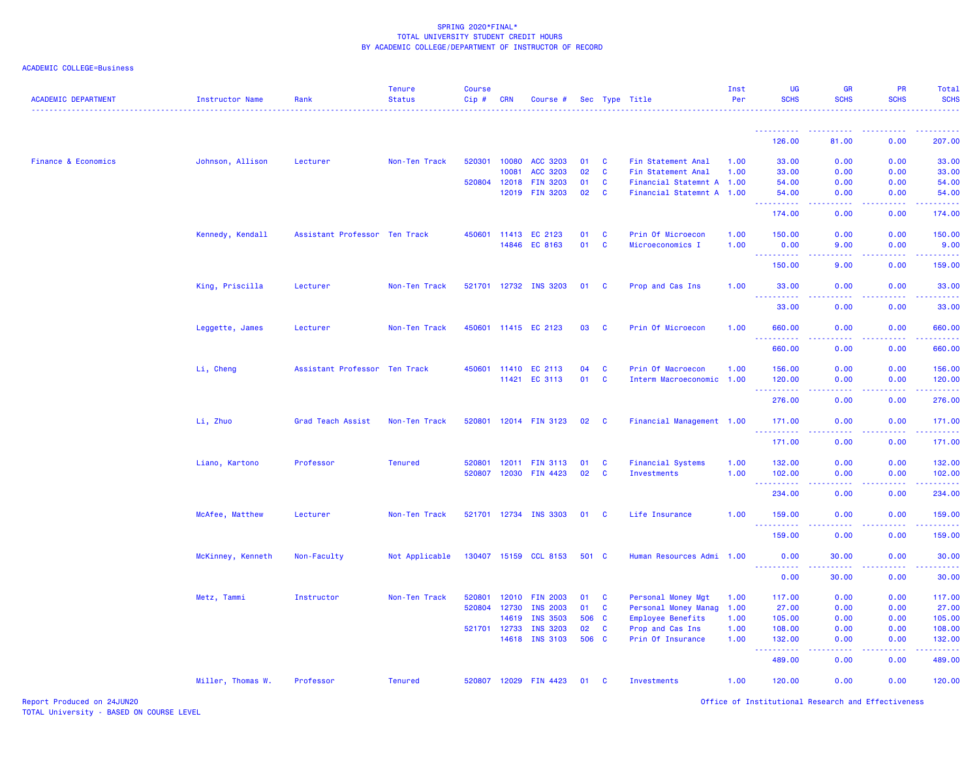| ACADEMIC COLLEGE=Business |  |  |
|---------------------------|--|--|
|---------------------------|--|--|

| <b>ACADEMIC DEPARTMENT</b>     | Instructor Name   | Rank                          | <b>Tenure</b><br><b>Status</b> | <b>Course</b><br>$Cip \#$ | <b>CRN</b>   | Course #              |       |              | Sec Type Title            | Inst<br>Per | <b>UG</b><br><b>SCHS</b>                                                                                                            | <b>GR</b><br><b>SCHS</b> | <b>PR</b><br><b>SCHS</b> | Total<br><b>SCHS</b>  |
|--------------------------------|-------------------|-------------------------------|--------------------------------|---------------------------|--------------|-----------------------|-------|--------------|---------------------------|-------------|-------------------------------------------------------------------------------------------------------------------------------------|--------------------------|--------------------------|-----------------------|
|                                |                   |                               |                                |                           |              |                       |       |              |                           |             |                                                                                                                                     |                          |                          |                       |
|                                |                   |                               |                                |                           |              |                       |       |              |                           |             | 126.00                                                                                                                              | 81.00                    | 0.00                     | 207.00                |
| <b>Finance &amp; Economics</b> | Johnson, Allison  | Lecturer                      | Non-Ten Track                  |                           | 520301 10080 | <b>ACC 3203</b>       | 01    | $\mathbf{C}$ | Fin Statement Anal        | 1.00        | 33.00                                                                                                                               | 0.00                     | 0.00                     | 33.00                 |
|                                |                   |                               |                                |                           | 10081        | <b>ACC 3203</b>       | 02    | <b>C</b>     | Fin Statement Anal        | 1.00        | 33.00                                                                                                                               | 0.00                     | 0.00                     | 33.00                 |
|                                |                   |                               |                                |                           | 520804 12018 | <b>FIN 3203</b>       | 01    | $\mathbf{C}$ | Financial Statemnt A 1.00 |             | 54.00                                                                                                                               | 0.00                     | 0.00                     | 54.00                 |
|                                |                   |                               |                                |                           | 12019        | <b>FIN 3203</b>       | 02    | $\mathbf{C}$ | Financial Statemnt A 1.00 |             | 54.00<br>.                                                                                                                          | 0.00<br>الداعات عاما     | 0.00<br>.                | 54.00<br>222222       |
|                                |                   |                               |                                |                           |              |                       |       |              |                           |             | 174.00                                                                                                                              | 0.00                     | 0.00                     | 174.00                |
|                                | Kennedy, Kendall  | Assistant Professor Ten Track |                                |                           | 450601 11413 | EC 2123               | 01    | $\mathbf{C}$ | Prin Of Microecon         | 1.00        | 150.00                                                                                                                              | 0.00                     | 0.00                     | 150.00                |
|                                |                   |                               |                                |                           | 14846        | EC 8163               | 01    | $\mathbf{C}$ | Microeconomics I          | 1.00        | 0.00                                                                                                                                | 9.00                     | 0.00<br>.                | 9.00<br><b>.</b>      |
|                                |                   |                               |                                |                           |              |                       |       |              |                           |             | <b></b><br>150.00                                                                                                                   | 9.00                     | 0.00                     | 159.00                |
|                                | King, Priscilla   | Lecturer                      | Non-Ten Track                  |                           |              | 521701 12732 INS 3203 | 01    | $\mathbf{C}$ | Prop and Cas Ins          | 1.00        | 33.00                                                                                                                               | 0.00                     | 0.00                     | 33.00                 |
|                                |                   |                               |                                |                           |              |                       |       |              |                           |             | 33.00                                                                                                                               | 0.00                     | 0.00                     | 33.00                 |
|                                | Leggette, James   | Lecturer                      | Non-Ten Track                  |                           |              | 450601 11415 EC 2123  | 03    | $\mathbf{C}$ | Prin Of Microecon         | 1.00        | 660.00                                                                                                                              | 0.00                     | 0.00                     | 660.00                |
|                                |                   |                               |                                |                           |              |                       |       |              |                           |             | <b>.</b><br>660.00                                                                                                                  | 0.00                     | 0.00                     | <b>.</b><br>660.00    |
|                                | Li, Cheng         | Assistant Professor Ten Track |                                |                           |              | 450601 11410 EC 2113  | 04    | $\mathbf{C}$ | Prin Of Macroecon         | 1.00        | 156.00                                                                                                                              | 0.00                     | 0.00                     | 156.00                |
|                                |                   |                               |                                |                           |              | 11421 EC 3113         | 01    | $\mathbf{C}$ | Interm Macroeconomic 1.00 |             | 120.00<br>. <u>.</u>                                                                                                                | 0.00<br>.                | 0.00<br>.                | 120.00<br>2.2.2.2.2.2 |
|                                |                   |                               |                                |                           |              |                       |       |              |                           |             | 276.00                                                                                                                              | 0.00                     | 0.00                     | 276.00                |
|                                | Li, Zhuo          | Grad Teach Assist             | Non-Ten Track                  |                           |              | 520801 12014 FIN 3123 | 02 C  |              | Financial Management 1.00 |             | 171.00<br>.                                                                                                                         | 0.00<br>ولالات           | 0.00<br>بالأباب          | 171.00<br>بالمتمام    |
|                                |                   |                               |                                |                           |              |                       |       |              |                           |             | 171.00                                                                                                                              | 0.00                     | 0.00                     | 171.00                |
|                                | Liano, Kartono    | Professor                     | <b>Tenured</b>                 | 520801                    |              | 12011 FIN 3113        | 01    | $\mathbf{C}$ | <b>Financial Systems</b>  | 1.00        | 132.00                                                                                                                              | 0.00                     | 0.00                     | 132.00                |
|                                |                   |                               |                                |                           |              | 520807 12030 FIN 4423 | 02    | <b>C</b>     | <b>Investments</b>        | 1.00        | 102.00                                                                                                                              | 0.00                     | 0.00                     | 102.00                |
|                                |                   |                               |                                |                           |              |                       |       |              |                           |             | 234.00                                                                                                                              | 0.00                     | 0.00                     | 234.00                |
|                                | McAfee, Matthew   | Lecturer                      | Non-Ten Track                  |                           |              | 521701 12734 INS 3303 | 01 C  |              | Life Insurance            | 1.00        | 159.00                                                                                                                              | 0.00                     | 0.00                     | 159.00                |
|                                |                   |                               |                                |                           |              |                       |       |              |                           |             | $\frac{1}{2} \left( \frac{1}{2} \right) \left( \frac{1}{2} \right) \left( \frac{1}{2} \right) \left( \frac{1}{2} \right)$<br>159.00 | 0.00                     | 0.00                     | 159.00                |
|                                | McKinney, Kenneth | Non-Faculty                   | Not Applicable                 |                           |              | 130407 15159 CCL 8153 | 501 C |              | Human Resources Admi 1.00 |             | 0.00                                                                                                                                | 30.00                    | 0.00                     | 30.00                 |
|                                |                   |                               |                                |                           |              |                       |       |              |                           |             | <u>.</u><br>0.00                                                                                                                    | 30.00                    | 0.00                     | 30.00                 |
|                                | Metz, Tammi       | Instructor                    | Non-Ten Track                  | 520801                    |              | 12010 FIN 2003        | 01    | <b>C</b>     | Personal Money Mgt        | 1.00        | 117.00                                                                                                                              | 0.00                     | 0.00                     | 117.00                |
|                                |                   |                               |                                |                           | 520804 12730 | <b>INS 2003</b>       | 01    | $\mathbf{C}$ | Personal Money Manag      | 1.00        | 27,00                                                                                                                               | 0.00                     | 0.00                     | 27.00                 |
|                                |                   |                               |                                |                           | 14619        | <b>INS 3503</b>       | 506 C |              | Employee Benefits         | 1.00        | 105.00                                                                                                                              | 0.00                     | 0.00                     | 105.00                |
|                                |                   |                               |                                |                           | 521701 12733 | <b>INS 3203</b>       | 02    | $\mathbf{C}$ | Prop and Cas Ins          | 1.00        | 108.00                                                                                                                              | 0.00                     | 0.00                     | 108.00                |
|                                |                   |                               |                                |                           |              | 14618 INS 3103        | 506 C |              | Prin Of Insurance         | 1.00        | 132.00                                                                                                                              | 0.00                     | 0.00                     | 132.00<br>المتمامين   |
|                                |                   |                               |                                |                           |              |                       |       |              |                           |             | 489.00                                                                                                                              | 0.00                     | 0.00                     | 489.00                |
|                                | Miller, Thomas W. | Professor                     | <b>Tenured</b>                 |                           |              | 520807 12029 FIN 4423 | 01    | <b>C</b>     | Investments               | 1.00        | 120.00                                                                                                                              | 0.00                     | 0.00                     | 120.00                |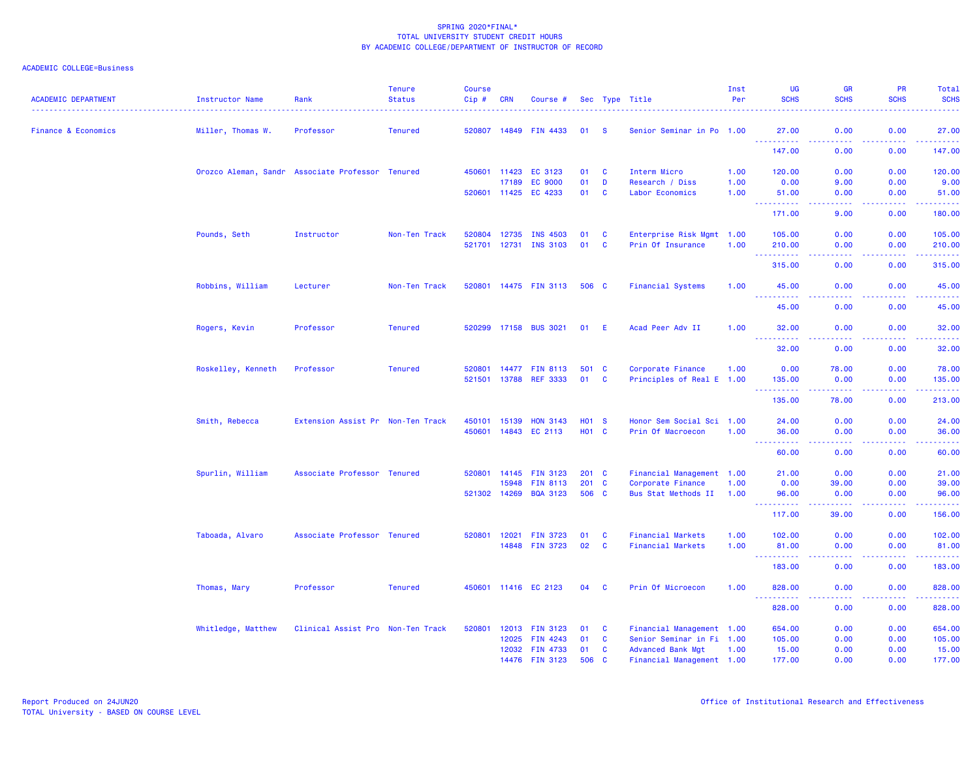| <b>ACADEMIC DEPARTMENT</b>     | Instructor Name    | Rank                                             | <b>Tenure</b><br><b>Status</b> | <b>Course</b><br>$Cip \#$ | <b>CRN</b> | Course #                           |              |              | Sec Type Title                           | Inst<br>Per  | UG<br><b>SCHS</b>                                                                                                                                             | <b>GR</b><br><b>SCHS</b>                                                                                                          | PR<br><b>SCHS</b>                                                                                                                 | Total<br><b>SCHS</b>                                                                                                            |
|--------------------------------|--------------------|--------------------------------------------------|--------------------------------|---------------------------|------------|------------------------------------|--------------|--------------|------------------------------------------|--------------|---------------------------------------------------------------------------------------------------------------------------------------------------------------|-----------------------------------------------------------------------------------------------------------------------------------|-----------------------------------------------------------------------------------------------------------------------------------|---------------------------------------------------------------------------------------------------------------------------------|
| <b>Finance &amp; Economics</b> | Miller, Thomas W.  | Professor                                        | <b>Tenured</b>                 | 520807 14849              |            | <b>FIN 4433</b>                    | 01           | -S           | Senior Seminar in Po 1.00                |              | 27.00                                                                                                                                                         | 0.00                                                                                                                              | 0.00                                                                                                                              | 27.00                                                                                                                           |
|                                |                    |                                                  |                                |                           |            |                                    |              |              |                                          |              | <u>.</u><br>147.00                                                                                                                                            | $\frac{1}{2} \left( \frac{1}{2} \right) \left( \frac{1}{2} \right) \left( \frac{1}{2} \right) \left( \frac{1}{2} \right)$<br>0.00 | .<br>0.00                                                                                                                         | <u> 22222</u><br>147.00                                                                                                         |
|                                |                    | Orozco Aleman, Sandr Associate Professor Tenured |                                | 450601                    | 11423      | EC 3123                            | 01           | C            | Interm Micro                             | 1.00         | 120.00                                                                                                                                                        | 0.00                                                                                                                              | 0.00                                                                                                                              | 120.00                                                                                                                          |
|                                |                    |                                                  |                                | 520601                    | 17189      | <b>EC 9000</b><br>11425 EC 4233    | 01<br>01     | D<br>C       | Research / Diss<br>Labor Economics       | 1.00<br>1.00 | 0.00<br>51.00                                                                                                                                                 | 9.00<br>0.00                                                                                                                      | 0.00<br>0.00                                                                                                                      | 9.00<br>51.00                                                                                                                   |
|                                |                    |                                                  |                                |                           |            |                                    |              |              |                                          |              | $\omega_{\rm{max}}$<br>222222<br>171.00                                                                                                                       | $\frac{1}{2} \left( \frac{1}{2} \right) \left( \frac{1}{2} \right) \left( \frac{1}{2} \right) \left( \frac{1}{2} \right)$<br>9.00 | .<br>0.00                                                                                                                         | .<br>180.00                                                                                                                     |
|                                | Pounds, Seth       | Instructor                                       | Non-Ten Track                  | 520804                    | 12735      | <b>INS 4503</b>                    | 01           | C            | Enterprise Risk Mgmt 1.00                |              | 105.00                                                                                                                                                        | 0.00                                                                                                                              | 0.00                                                                                                                              | 105.00                                                                                                                          |
|                                |                    |                                                  |                                | 521701                    | 12731      | <b>INS 3103</b>                    | 01           | $\mathbf{C}$ | Prin Of Insurance                        | 1.00         | 210.00<br>----------                                                                                                                                          | 0.00<br>$\frac{1}{2} \left( \frac{1}{2} \right) \left( \frac{1}{2} \right) \left( \frac{1}{2} \right) \left( \frac{1}{2} \right)$ | 0.00<br>.                                                                                                                         | 210.00<br>.                                                                                                                     |
|                                |                    |                                                  |                                |                           |            |                                    |              |              |                                          |              | 315.00                                                                                                                                                        | 0.00                                                                                                                              | 0.00                                                                                                                              | 315.00                                                                                                                          |
|                                | Robbins, William   | Lecturer                                         | Non-Ten Track                  | 520801                    |            | 14475 FIN 3113                     | 506 C        |              | <b>Financial Systems</b>                 | 1.00         | 45.00<br>$\omega_{\rm{max}}$                                                                                                                                  | 0.00                                                                                                                              | 0.00                                                                                                                              | 45.00                                                                                                                           |
|                                |                    |                                                  |                                |                           |            |                                    |              |              |                                          |              | .<br>45.00                                                                                                                                                    | 0.00                                                                                                                              | $\sim$ $\sim$ $\sim$ $\sim$<br>0.00                                                                                               | بالمتمام<br>45.00                                                                                                               |
|                                | Rogers, Kevin      | Professor                                        | <b>Tenured</b>                 | 520299                    | 17158      | <b>BUS 3021</b>                    | 01           | E            | Acad Peer Adv II                         | 1.00         | 32.00                                                                                                                                                         | 0.00                                                                                                                              | 0.00                                                                                                                              | 32.00                                                                                                                           |
|                                |                    |                                                  |                                |                           |            |                                    |              |              |                                          |              | $\frac{1}{2} \left( \frac{1}{2} \right) \left( \frac{1}{2} \right) \left( \frac{1}{2} \right) \left( \frac{1}{2} \right) \left( \frac{1}{2} \right)$<br>32.00 | 0.00                                                                                                                              | $\omega$ is a $\omega$<br>0.00                                                                                                    | .<br>32.00                                                                                                                      |
|                                | Roskelley, Kenneth | Professor                                        | <b>Tenured</b>                 | 520801                    | 14477      | <b>FIN 8113</b>                    | 501 C        |              | Corporate Finance                        | 1.00         | 0.00                                                                                                                                                          | 78.00                                                                                                                             | 0.00                                                                                                                              | 78.00                                                                                                                           |
|                                |                    |                                                  |                                | 521501                    | 13788      | <b>REF 3333</b>                    | 01           | C            | Principles of Real E 1.00                |              | 135.00<br><u>.</u>                                                                                                                                            | 0.00<br>.                                                                                                                         | 0.00<br>.                                                                                                                         | 135.00<br>.                                                                                                                     |
|                                |                    |                                                  |                                |                           |            |                                    |              |              |                                          |              | 135.00                                                                                                                                                        | 78.00                                                                                                                             | 0.00                                                                                                                              | 213.00                                                                                                                          |
|                                | Smith, Rebecca     | Extension Assist Pr Non-Ten Track                |                                | 450101                    | 15139      | <b>HON 3143</b>                    | <b>HO1 S</b> |              | Honor Sem Social Sci 1.00                |              | 24.00                                                                                                                                                         | 0.00                                                                                                                              | 0.00                                                                                                                              | 24.00                                                                                                                           |
|                                |                    |                                                  |                                | 450601                    | 14843      | EC 2113                            | <b>HO1 C</b> |              | Prin Of Macroecon                        | 1.00         | 36.00<br>- - -                                                                                                                                                | 0.00                                                                                                                              | 0.00<br>$\omega$ is a $\omega$                                                                                                    | 36.00<br>.                                                                                                                      |
|                                |                    |                                                  |                                |                           |            |                                    |              |              |                                          |              | 60.00                                                                                                                                                         | 0.00                                                                                                                              | 0.00                                                                                                                              | 60.00                                                                                                                           |
|                                | Spurlin, William   | Associate Professor Tenured                      |                                | 520801                    | 14145      | <b>FIN 3123</b>                    | 201 C        |              | Financial Management 1.00                |              | 21.00                                                                                                                                                         | 0.00                                                                                                                              | 0.00                                                                                                                              | 21.00                                                                                                                           |
|                                |                    |                                                  |                                | 521302 14269              | 15948      | <b>FIN 8113</b><br><b>BQA 3123</b> | 201 C<br>506 | <b>C</b>     | Corporate Finance<br>Bus Stat Methods II | 1.00<br>1.00 | 0.00<br>96.00                                                                                                                                                 | 39.00<br>0.00                                                                                                                     | 0.00<br>0.00                                                                                                                      | 39.00<br>96.00                                                                                                                  |
|                                |                    |                                                  |                                |                           |            |                                    |              |              |                                          |              | .<br>117.00                                                                                                                                                   | -----<br>39.00                                                                                                                    | د د د د<br>0.00                                                                                                                   | .<br>156.00                                                                                                                     |
|                                | Taboada, Alvaro    | Associate Professor Tenured                      |                                | 520801                    | 12021      | <b>FIN 3723</b>                    | 01           | <b>C</b>     | <b>Financial Markets</b>                 | 1.00         | 102.00                                                                                                                                                        | 0.00                                                                                                                              | 0.00                                                                                                                              | 102.00                                                                                                                          |
|                                |                    |                                                  |                                |                           |            | 14848 FIN 3723                     | 02           | $\mathbf{C}$ | <b>Financial Markets</b>                 | 1.00         | 81.00<br>.                                                                                                                                                    | 0.00<br>$- - - -$                                                                                                                 | 0.00<br>ولايت                                                                                                                     | 81.00<br>د د د د د د                                                                                                            |
|                                |                    |                                                  |                                |                           |            |                                    |              |              |                                          |              | 183.00                                                                                                                                                        | 0.00                                                                                                                              | 0.00                                                                                                                              | 183.00                                                                                                                          |
|                                | Thomas, Mary       | Professor                                        | <b>Tenured</b>                 | 450601                    |            | 11416 EC 2123                      | 04           | C            | Prin Of Microecon                        | 1.00         | 828.00<br><b></b>                                                                                                                                             | 0.00                                                                                                                              | 0.00<br>$\frac{1}{2} \left( \frac{1}{2} \right) \left( \frac{1}{2} \right) \left( \frac{1}{2} \right) \left( \frac{1}{2} \right)$ | 828.00<br>$\begin{array}{cccccccccc} \bullet & \bullet & \bullet & \bullet & \bullet & \bullet & \bullet & \bullet \end{array}$ |
|                                |                    |                                                  |                                |                           |            |                                    |              |              |                                          |              | 828.00                                                                                                                                                        | 0.00                                                                                                                              | 0.00                                                                                                                              | 828.00                                                                                                                          |
|                                | Whitledge, Matthew | Clinical Assist Pro Non-Ten Track                |                                | 520801                    | 12013      | <b>FIN 3123</b>                    | 01           | C            | Financial Management 1.00                |              | 654.00                                                                                                                                                        | 0.00                                                                                                                              | 0.00                                                                                                                              | 654.00                                                                                                                          |
|                                |                    |                                                  |                                |                           | 12025      | <b>FIN 4243</b>                    | 01           | <b>C</b>     | Senior Seminar in Fi 1.00                |              | 105.00                                                                                                                                                        | 0.00                                                                                                                              | 0.00                                                                                                                              | 105.00                                                                                                                          |
|                                |                    |                                                  |                                |                           | 12032      | <b>FIN 4733</b>                    | 01           | $\mathbf{C}$ | <b>Advanced Bank Mgt</b>                 | 1.00         | 15.00                                                                                                                                                         | 0.00                                                                                                                              | 0.00                                                                                                                              | 15.00                                                                                                                           |
|                                |                    |                                                  |                                |                           |            | 14476 FIN 3123                     | 506          | $\mathbf{C}$ | Financial Management 1.00                |              | 177.00                                                                                                                                                        | 0.00                                                                                                                              | 0.00                                                                                                                              | 177.00                                                                                                                          |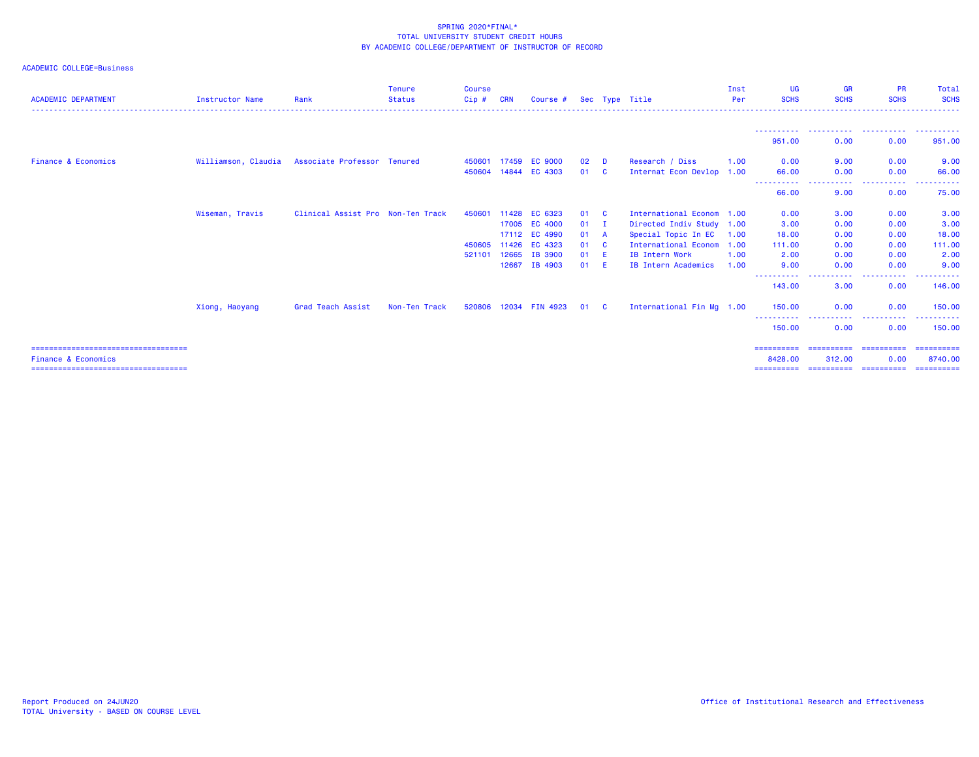| <b>ACADEMIC DEPARTMENT</b>                                               | <b>Instructor Name</b> | Rank                              | <b>Tenure</b><br><b>Status</b> | <b>Course</b><br>Cip# | <b>CRN</b> | Course #       |    |              | Sec Type Title              | Inst<br>Per | <b>UG</b><br><b>SCHS</b> | <b>GR</b><br><b>SCHS</b>          | <b>PR</b><br><b>SCHS</b> | Total<br><b>SCHS</b>   |
|--------------------------------------------------------------------------|------------------------|-----------------------------------|--------------------------------|-----------------------|------------|----------------|----|--------------|-----------------------------|-------------|--------------------------|-----------------------------------|--------------------------|------------------------|
|                                                                          |                        |                                   |                                |                       |            |                |    |              |                             |             |                          |                                   |                          |                        |
|                                                                          |                        |                                   |                                |                       |            |                |    |              |                             |             | 951.00                   | 0.00                              | 0.00                     | 951.00                 |
| <b>Finance &amp; Economics</b>                                           | Williamson, Claudia    | Associate Professor Tenured       |                                | 450601 17459          |            | <b>EC 9000</b> | 02 | D            | Research / Diss             | 1.00        | 0.00                     | 9.00                              | 0.00                     | 9.00                   |
|                                                                          |                        |                                   |                                | 450604                | 14844      | EC 4303        | 01 | - C          | Internat Econ Devlop 1.00   |             | 66.00<br><b>.</b>        | 0.00                              | 0.00<br>.                | 66.00                  |
|                                                                          |                        |                                   |                                |                       |            |                |    |              |                             |             | 66.00                    | 9.00                              | 0.00                     | 75.00                  |
|                                                                          | Wiseman, Travis        | Clinical Assist Pro Non-Ten Track |                                | 450601                | 11428      | EC 6323        | 01 | $\mathbf{C}$ | International Econom        | 1.00        | 0.00                     | 3.00                              | 0.00                     | 3.00                   |
|                                                                          |                        |                                   |                                |                       |            | 17005 EC 4000  | 01 | $\mathbf{I}$ | Directed Indiv Study 1.00   |             | 3.00                     | 0.00                              | 0.00                     | 3.00                   |
|                                                                          |                        |                                   |                                |                       |            | 17112 EC 4990  | 01 | A            | Special Topic In EC         | 1.00        | 18.00                    | 0.00                              | 0.00                     | 18.00                  |
|                                                                          |                        |                                   |                                | 450605                |            | 11426 EC 4323  | 01 | <b>C</b>     | <b>International Econom</b> | 1.00        | 111.00                   | 0.00                              | 0.00                     | 111.00                 |
|                                                                          |                        |                                   |                                | 521101                | 12665      | IB 3900        | 01 | E            | IB Intern Work              | 1.00        | 2.00                     | 0.00                              | 0.00                     | 2.00                   |
|                                                                          |                        |                                   |                                |                       | 12667      | IB 4903        | 01 | -E           | <b>IB Intern Academics</b>  | 1.00        | 9.00                     | 0.00                              | 0.00                     | 9.00                   |
|                                                                          |                        |                                   |                                |                       |            |                |    |              |                             |             | ----------<br>143.00     | .<br>3.00                         | .<br>0.00                | 146.00                 |
|                                                                          | Xiong, Haoyang         | Grad Teach Assist                 | Non-Ten Track                  | 520806                |            | 12034 FIN 4923 | 01 | - C          | International Fin Mg 1.00   |             | 150.00                   | 0.00                              | 0.00                     | 150.00                 |
|                                                                          |                        |                                   |                                |                       |            |                |    |              |                             |             | ----------<br>150.00     | 0.00                              | .<br>0.00                | 150.00                 |
| ====================================                                     |                        |                                   |                                |                       |            |                |    |              |                             |             | ==========               | ==========                        | ==========               | -----------            |
| <b>Finance &amp; Economics</b><br>====================================== |                        |                                   |                                |                       |            |                |    |              |                             |             | 8428.00<br>==========    | 312.00<br>======================= | 0.00                     | 8740.00<br>----------- |
|                                                                          |                        |                                   |                                |                       |            |                |    |              |                             |             |                          |                                   |                          |                        |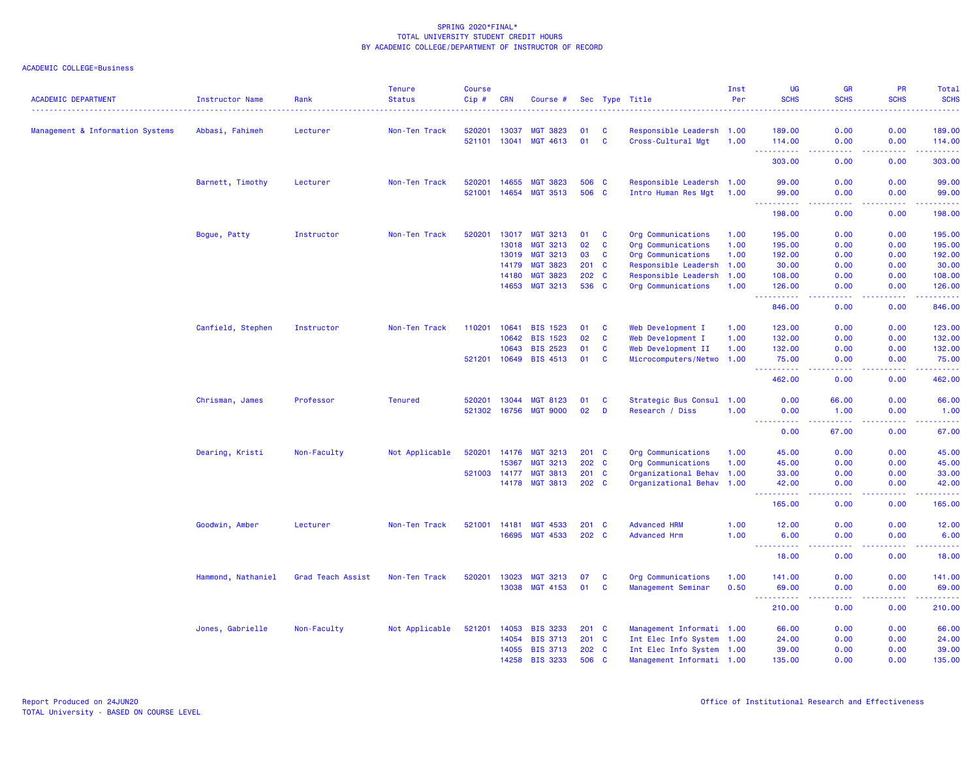| <b>ACADEMIC DEPARTMENT</b>       | <b>Instructor Name</b> | Rank              | <b>Tenure</b><br><b>Status</b> | <b>Course</b><br>Cip# | <b>CRN</b>     | Course #                    |                  |              | Sec Type Title                                  | Inst<br>Per | <b>UG</b><br><b>SCHS</b>                                                                                                                                               | GR<br><b>SCHS</b>                                                                                                                 | <b>PR</b><br><b>SCHS</b>                                                                                                          | <b>Total</b><br><b>SCHS</b>                                                                                                                                   |
|----------------------------------|------------------------|-------------------|--------------------------------|-----------------------|----------------|-----------------------------|------------------|--------------|-------------------------------------------------|-------------|------------------------------------------------------------------------------------------------------------------------------------------------------------------------|-----------------------------------------------------------------------------------------------------------------------------------|-----------------------------------------------------------------------------------------------------------------------------------|---------------------------------------------------------------------------------------------------------------------------------------------------------------|
|                                  |                        |                   |                                |                       |                |                             |                  |              |                                                 |             |                                                                                                                                                                        |                                                                                                                                   |                                                                                                                                   | . <b>.</b>                                                                                                                                                    |
| Management & Information Systems | Abbasi, Fahimeh        | Lecturer          | Non-Ten Track                  | 520201<br>521101      | 13037<br>13041 | <b>MGT 3823</b><br>MGT 4613 | 01<br>01         | C<br>C       | Responsible Leadersh 1.00<br>Cross-Cultural Mgt | 1.00        | 189.00<br>114.00                                                                                                                                                       | 0.00<br>0.00                                                                                                                      | 0.00<br>0.00                                                                                                                      | 189.00<br>114.00                                                                                                                                              |
|                                  |                        |                   |                                |                       |                |                             |                  |              |                                                 |             | . <b>.</b><br>$\sim$ $\sim$ $\sim$<br>303.00                                                                                                                           | $\frac{1}{2} \left( \frac{1}{2} \right) \left( \frac{1}{2} \right) \left( \frac{1}{2} \right) \left( \frac{1}{2} \right)$<br>0.00 | $\frac{1}{2} \left( \frac{1}{2} \right) \left( \frac{1}{2} \right) \left( \frac{1}{2} \right) \left( \frac{1}{2} \right)$<br>0.00 | 2.2.2.2.2.4<br>303.00                                                                                                                                         |
|                                  | Barnett, Timothy       | Lecturer          | Non-Ten Track                  | 520201                | 14655          | <b>MGT 3823</b>             | 506 C            |              | Responsible Leadersh 1.00                       |             | 99.00                                                                                                                                                                  | 0.00                                                                                                                              | 0.00                                                                                                                              | 99.00                                                                                                                                                         |
|                                  |                        |                   |                                | 521001                | 14654          | <b>MGT 3513</b>             | 506 C            |              | Intro Human Res Mgt                             | 1.00        | 99.00                                                                                                                                                                  | 0.00                                                                                                                              | 0.00                                                                                                                              | 99.00                                                                                                                                                         |
|                                  |                        |                   |                                |                       |                |                             |                  |              |                                                 |             | 198.00                                                                                                                                                                 | 0.00                                                                                                                              | 0.00                                                                                                                              | 198.00                                                                                                                                                        |
|                                  | Bogue, Patty           | Instructor        | Non-Ten Track                  | 520201                | 13017          | <b>MGT 3213</b>             | 01               | <b>C</b>     | Org Communications                              | 1.00        | 195.00                                                                                                                                                                 | 0.00                                                                                                                              | 0.00                                                                                                                              | 195.00                                                                                                                                                        |
|                                  |                        |                   |                                |                       | 13018          | <b>MGT 3213</b>             | 02               | C            | Org Communications                              | 1.00        | 195.00                                                                                                                                                                 | 0.00                                                                                                                              | 0.00                                                                                                                              | 195.00                                                                                                                                                        |
|                                  |                        |                   |                                |                       | 13019          | <b>MGT 3213</b>             | 03               | C            | Org Communications                              | 1.00        | 192.00                                                                                                                                                                 | 0.00                                                                                                                              | 0.00                                                                                                                              | 192.00                                                                                                                                                        |
|                                  |                        |                   |                                |                       | 14179          | <b>MGT 3823</b>             | 201              | $\mathbf{C}$ | Responsible Leadersh                            | 1.00        | 30.00                                                                                                                                                                  | 0.00                                                                                                                              | 0.00                                                                                                                              | 30.00                                                                                                                                                         |
|                                  |                        |                   |                                |                       | 14180          | <b>MGT 3823</b>             | 202 C            |              | Responsible Leadersh                            | 1.00        | 108.00                                                                                                                                                                 | 0.00                                                                                                                              | 0.00                                                                                                                              | 108.00                                                                                                                                                        |
|                                  |                        |                   |                                |                       | 14653          | MGT 3213                    | 536 C            |              | Org Communications                              | 1.00        | 126.00<br>.                                                                                                                                                            | 0.00<br>.                                                                                                                         | 0.00<br>والمستوات                                                                                                                 | 126.00<br>.                                                                                                                                                   |
|                                  |                        |                   |                                |                       |                |                             |                  |              |                                                 |             | 846.00                                                                                                                                                                 | 0.00                                                                                                                              | 0.00                                                                                                                              | 846.00                                                                                                                                                        |
|                                  | Canfield, Stephen      | Instructor        | Non-Ten Track                  | 110201                | 10641          | <b>BIS 1523</b>             | 01               | <b>C</b>     | Web Development I                               | 1.00        | 123,00                                                                                                                                                                 | 0.00                                                                                                                              | 0.00                                                                                                                              | 123.00                                                                                                                                                        |
|                                  |                        |                   |                                |                       | 10642          | <b>BIS 1523</b>             | 02               | <b>C</b>     | Web Development I                               | 1.00        | 132.00                                                                                                                                                                 | 0.00                                                                                                                              | 0.00                                                                                                                              | 132.00                                                                                                                                                        |
|                                  |                        |                   |                                |                       | 10643          | <b>BIS 2523</b>             | 01               | $\mathbf{C}$ | Web Development II                              | 1.00        | 132.00                                                                                                                                                                 | 0.00                                                                                                                              | 0.00                                                                                                                              | 132.00                                                                                                                                                        |
|                                  |                        |                   |                                | 521201                | 10649          | <b>BIS 4513</b>             | 01               | C            | Microcomputers/Netwo 1.00                       |             | 75.00<br>المتمام مالك                                                                                                                                                  | 0.00<br>$\omega$ is a $\omega$                                                                                                    | 0.00<br>$\frac{1}{2} \left( \frac{1}{2} \right) \left( \frac{1}{2} \right) \left( \frac{1}{2} \right)$                            | 75.00<br>.                                                                                                                                                    |
|                                  |                        |                   |                                |                       |                |                             |                  |              |                                                 |             | 462.00                                                                                                                                                                 | 0.00                                                                                                                              | 0.00                                                                                                                              | 462.00                                                                                                                                                        |
|                                  | Chrisman, James        | Professor         | <b>Tenured</b>                 | 520201                | 13044          | <b>MGT 8123</b>             | 01               | C            | Strategic Bus Consul 1.00                       |             | 0.00                                                                                                                                                                   | 66.00                                                                                                                             | 0.00                                                                                                                              | 66.00                                                                                                                                                         |
|                                  |                        |                   |                                | 521302                | 16756          | <b>MGT 9000</b>             | 02               | D            | Research / Diss                                 | 1.00        | 0.00                                                                                                                                                                   | 1.00                                                                                                                              | 0.00                                                                                                                              | 1.00                                                                                                                                                          |
|                                  |                        |                   |                                |                       |                |                             |                  |              |                                                 |             | 0.00                                                                                                                                                                   | 67.00                                                                                                                             | 0.00                                                                                                                              | 67.00                                                                                                                                                         |
|                                  | Dearing, Kristi        | Non-Faculty       | Not Applicable                 | 520201                | 14176          | <b>MGT 3213</b>             | $201 \quad C$    |              | Org Communications                              | 1.00        | 45.00                                                                                                                                                                  | 0.00                                                                                                                              | 0.00                                                                                                                              | 45.00                                                                                                                                                         |
|                                  |                        |                   |                                |                       | 15367          | <b>MGT 3213</b>             | 202 C            |              | Org Communications                              | 1.00        | 45.00                                                                                                                                                                  | 0.00                                                                                                                              | 0.00                                                                                                                              | 45.00                                                                                                                                                         |
|                                  |                        |                   |                                | 521003                | 14177          | <b>MGT 3813</b>             | 201 C            |              | Organizational Behav 1.00                       |             | 33.00                                                                                                                                                                  | 0.00                                                                                                                              | 0.00                                                                                                                              | 33.00                                                                                                                                                         |
|                                  |                        |                   |                                |                       | 14178          | <b>MGT 3813</b>             | 202 <sub>c</sub> |              | Organizational Behav 1.00                       |             | 42.00<br>.<br>$\sim$ $\sim$ $\sim$                                                                                                                                     | 0.00<br>$\sim$ $\sim$ $\sim$ $\sim$                                                                                               | 0.00<br>بالمحام                                                                                                                   | 42.00<br>.                                                                                                                                                    |
|                                  |                        |                   |                                |                       |                |                             |                  |              |                                                 |             | 165.00                                                                                                                                                                 | 0.00                                                                                                                              | 0.00                                                                                                                              | 165.00                                                                                                                                                        |
|                                  | Goodwin, Amber         | Lecturer          | Non-Ten Track                  | 521001                | 14181          | <b>MGT 4533</b>             | 201 C            |              | <b>Advanced HRM</b>                             | 1.00        | 12.00                                                                                                                                                                  | 0.00                                                                                                                              | 0.00                                                                                                                              | 12.00                                                                                                                                                         |
|                                  |                        |                   |                                |                       | 16695          | <b>MGT 4533</b>             | 202 C            |              | <b>Advanced Hrm</b>                             | 1.00        | 6.00<br><b><i><u>AAAAAAAAA</u></i></b>                                                                                                                                 | 0.00<br>.                                                                                                                         | 0.00                                                                                                                              | 6.00<br>$\frac{1}{2} \left( \frac{1}{2} \right) \left( \frac{1}{2} \right) \left( \frac{1}{2} \right) \left( \frac{1}{2} \right)$                             |
|                                  |                        |                   |                                |                       |                |                             |                  |              |                                                 |             | 18.00                                                                                                                                                                  | 0.00                                                                                                                              | 0.00                                                                                                                              | 18.00                                                                                                                                                         |
|                                  | Hammond, Nathaniel     | Grad Teach Assist | Non-Ten Track                  | 520201                | 13023          | <b>MGT 3213</b>             | 07               | <b>C</b>     | Org Communications                              | 1.00        | 141.00                                                                                                                                                                 | 0.00                                                                                                                              | 0.00                                                                                                                              | 141.00                                                                                                                                                        |
|                                  |                        |                   |                                |                       | 13038          | MGT 4153                    | 01               | <b>C</b>     | Management Seminar                              | 0.50        | 69.00<br>$  -$<br>$\frac{1}{2} \left( \frac{1}{2} \right) \left( \frac{1}{2} \right) \left( \frac{1}{2} \right) \left( \frac{1}{2} \right) \left( \frac{1}{2} \right)$ | 0.00<br>$\frac{1}{2} \left( \frac{1}{2} \right) \left( \frac{1}{2} \right) \left( \frac{1}{2} \right)$                            | 0.00<br>. <u>.</u> .                                                                                                              | 69.00<br>$\frac{1}{2} \left( \frac{1}{2} \right) \left( \frac{1}{2} \right) \left( \frac{1}{2} \right) \left( \frac{1}{2} \right) \left( \frac{1}{2} \right)$ |
|                                  |                        |                   |                                |                       |                |                             |                  |              |                                                 |             | 210.00                                                                                                                                                                 | 0.00                                                                                                                              | 0.00                                                                                                                              | 210.00                                                                                                                                                        |
|                                  | Jones, Gabrielle       | Non-Faculty       | Not Applicable                 | 521201                | 14053          | <b>BIS 3233</b>             | 201 C            |              | Management Informati 1.00                       |             | 66.00                                                                                                                                                                  | 0.00                                                                                                                              | 0.00                                                                                                                              | 66.00                                                                                                                                                         |
|                                  |                        |                   |                                |                       | 14054          | <b>BIS 3713</b>             | 201 C            |              | Int Elec Info System 1.00                       |             | 24.00                                                                                                                                                                  | 0.00                                                                                                                              | 0.00                                                                                                                              | 24.00                                                                                                                                                         |
|                                  |                        |                   |                                |                       | 14055          | <b>BIS 3713</b>             | 202 C            |              | Int Elec Info System 1.00                       |             | 39.00                                                                                                                                                                  | 0.00                                                                                                                              | 0.00                                                                                                                              | 39.00                                                                                                                                                         |
|                                  |                        |                   |                                |                       | 14258          | <b>BIS 3233</b>             | 506 C            |              | Management Informati 1.00                       |             | 135.00                                                                                                                                                                 | 0.00                                                                                                                              | 0.00                                                                                                                              | 135.00                                                                                                                                                        |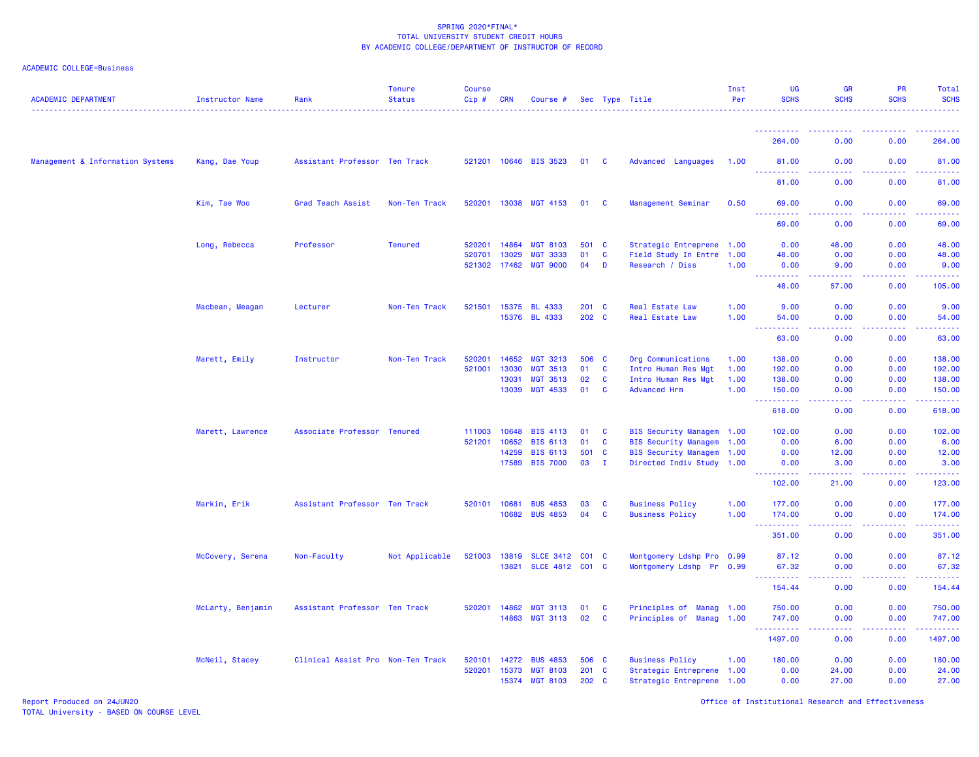| <b>ACADEMIC DEPARTMENT</b>       | Instructor Name   | Rank                              | <b>Tenure</b><br><b>Status</b> | <b>Course</b><br>Cip# | <b>CRN</b> | Course #              |       |              | Sec Type Title            | Inst<br>Per | UG<br><b>SCHS</b>                                | <b>GR</b><br><b>SCHS</b> | <b>PR</b><br><b>SCHS</b> | Total<br><b>SCHS</b>                                                                                                               |
|----------------------------------|-------------------|-----------------------------------|--------------------------------|-----------------------|------------|-----------------------|-------|--------------|---------------------------|-------------|--------------------------------------------------|--------------------------|--------------------------|------------------------------------------------------------------------------------------------------------------------------------|
|                                  |                   |                                   |                                |                       |            |                       |       |              |                           |             |                                                  |                          |                          |                                                                                                                                    |
|                                  |                   |                                   |                                |                       |            |                       |       |              |                           |             | 264.00                                           | 0.00                     | 0.00                     | 264.00                                                                                                                             |
| Management & Information Systems | Kang, Dae Youp    | Assistant Professor Ten Track     |                                |                       |            | 521201 10646 BIS 3523 | 01    | $\mathbf{C}$ | Advanced Languages        | 1.00        | 81.00                                            | 0.00                     | 0.00                     | 81.00                                                                                                                              |
|                                  |                   |                                   |                                |                       |            |                       |       |              |                           |             | 81.00                                            | 0.00                     | 0.00                     | 81.00                                                                                                                              |
|                                  | Kim, Tae Woo      | Grad Teach Assist                 | Non-Ten Track                  | 520201                | 13038      | <b>MGT 4153</b>       | 01    | <b>C</b>     | Management Seminar        | 0.50        | 69.00<br>د د د د د                               | 0.00                     | 0.00                     | 69.00<br>$\frac{1}{2} \left( \frac{1}{2} \right) \left( \frac{1}{2} \right) \left( \frac{1}{2} \right) \left( \frac{1}{2} \right)$ |
|                                  |                   |                                   |                                |                       |            |                       |       |              |                           |             | 69.00                                            | 0.00                     | 0.00                     | 69.00                                                                                                                              |
|                                  | Long, Rebecca     | Professor                         | <b>Tenured</b>                 | 520201                | 14864      | <b>MGT 8103</b>       | 501   | $\mathbf{C}$ | Strategic Entreprene 1.00 |             | 0.00                                             | 48.00                    | 0.00                     | 48.00                                                                                                                              |
|                                  |                   |                                   |                                | 520701                | 13029      | <b>MGT 3333</b>       | 01    | $\mathbf{C}$ | Field Study In Entre 1.00 |             | 48.00                                            | 0.00                     | 0.00                     | 48.00                                                                                                                              |
|                                  |                   |                                   |                                | 521302 17462          |            | <b>MGT 9000</b>       | 04    | D            | Research / Diss           | 1.00        | 0.00<br>د د د د                                  | 9.00<br>والمالمات        | 0.00<br>بالمحامي         | 9.00<br>$\omega$ is $\omega$ in .                                                                                                  |
|                                  |                   |                                   |                                |                       |            |                       |       |              |                           |             | 48.00                                            | 57.00                    | 0.00                     | 105.00                                                                                                                             |
|                                  | Macbean, Meagan   | Lecturer                          | Non-Ten Track                  | 521501                | 15375      | <b>BL 4333</b>        | 201 C |              | <b>Real Estate Law</b>    | 1.00        | 9.00                                             | 0.00                     | 0.00                     | 9.00                                                                                                                               |
|                                  |                   |                                   |                                |                       | 15376      | <b>BL 4333</b>        | 202 C |              | Real Estate Law           | 1.00        | 54.00<br>$\sim$ $\sim$ $\sim$<br>المتمام مناسب   | 0.00<br>.                | 0.00<br>. <b>.</b>       | 54.00<br>.                                                                                                                         |
|                                  |                   |                                   |                                |                       |            |                       |       |              |                           |             | 63.00                                            | 0.00                     | 0.00                     | 63.00                                                                                                                              |
|                                  | Marett, Emily     | Instructor                        | Non-Ten Track                  | 520201                | 14652      | <b>MGT 3213</b>       | 506   | <b>C</b>     | Org Communications        | 1.00        | 138.00                                           | 0.00                     | 0.00                     | 138.00                                                                                                                             |
|                                  |                   |                                   |                                | 521001                | 13030      | <b>MGT 3513</b>       | 01    | $\mathbf{C}$ | Intro Human Res Mgt       | 1.00        | 192.00                                           | 0.00                     | 0.00                     | 192.00                                                                                                                             |
|                                  |                   |                                   |                                |                       | 13031      | <b>MGT 3513</b>       | 02    | <b>C</b>     | Intro Human Res Mgt       | 1.00        | 138.00                                           | 0.00                     | 0.00                     | 138.00                                                                                                                             |
|                                  |                   |                                   |                                |                       | 13039      | <b>MGT 4533</b>       | 01    | <b>C</b>     | <b>Advanced Hrm</b>       | 1.00        | 150.00<br><u> - - - - - - - - - -</u>            | 0.00<br>وبالانتاذ        | 0.00<br>.                | 150.00<br>$\begin{array}{cccccccccc} \bullet & \bullet & \bullet & \bullet & \bullet & \bullet & \bullet & \bullet \end{array}$    |
|                                  |                   |                                   |                                |                       |            |                       |       |              |                           |             | 618.00                                           | 0.00                     | 0.00                     | 618.00                                                                                                                             |
|                                  | Marett, Lawrence  | Associate Professor Tenured       |                                | 111003                | 10648      | <b>BIS 4113</b>       | 01    | <b>C</b>     | BIS Security Managem 1.00 |             | 102.00                                           | 0.00                     | 0.00                     | 102.00                                                                                                                             |
|                                  |                   |                                   |                                | 521201                | 10652      | <b>BIS 6113</b>       | 01    | C            | BIS Security Managem 1.00 |             | 0.00                                             | 6.00                     | 0.00                     | 6.00                                                                                                                               |
|                                  |                   |                                   |                                |                       | 14259      | <b>BIS 6113</b>       | 501   | <b>C</b>     | BIS Security Managem 1.00 |             | 0.00                                             | 12.00                    | 0.00                     | 12.00                                                                                                                              |
|                                  |                   |                                   |                                |                       | 17589      | <b>BIS 7000</b>       | 03    | $\mathbf{I}$ | Directed Indiv Study 1.00 |             | 0.00<br>.                                        | 3.00<br><u>.</u>         | 0.00                     | 3.00<br>.                                                                                                                          |
|                                  |                   |                                   |                                |                       |            |                       |       |              |                           |             | 102.00                                           | 21.00                    | 0.00                     | 123.00                                                                                                                             |
|                                  | Markin, Erik      | Assistant Professor Ten Track     |                                | 520101                | 10681      | <b>BUS 4853</b>       | 03    | C            | <b>Business Policy</b>    | 1.00        | 177.00                                           | 0.00                     | 0.00                     | 177.00                                                                                                                             |
|                                  |                   |                                   |                                |                       | 10682      | <b>BUS 4853</b>       | 04    | $\mathbf{C}$ | <b>Business Policy</b>    | 1.00        | 174.00<br>.                                      | 0.00<br>$  -$            | 0.00<br>المتمالين        | 174.00<br>------                                                                                                                   |
|                                  |                   |                                   |                                |                       |            |                       |       |              |                           |             | 351.00                                           | 0.00                     | 0.00                     | 351.00                                                                                                                             |
|                                  | McCovery, Serena  | Non-Faculty                       | Not Applicable                 | 521003                | 13819      | SLCE 3412 C01 C       |       |              | Montgomery Ldshp Pro 0.99 |             | 87.12                                            | 0.00                     | 0.00                     | 87.12                                                                                                                              |
|                                  |                   |                                   |                                |                       | 13821      | SLCE 4812 C01 C       |       |              | Montgomery Ldshp          | Pr 0.99     | 67.32<br>$\sim$ $\sim$ $\sim$<br>$- - - - - - -$ | 0.00<br>.                | 0.00<br>.                | 67.32<br>.                                                                                                                         |
|                                  |                   |                                   |                                |                       |            |                       |       |              |                           |             | 154.44                                           | 0.00                     | 0.00                     | 154.44                                                                                                                             |
|                                  | McLarty, Benjamin | Assistant Professor Ten Track     |                                | 520201                | 14862      | <b>MGT 3113</b>       | 01    | <b>C</b>     | Principles of Manag 1.00  |             | 750.00                                           | 0.00                     | 0.00                     | 750.00                                                                                                                             |
|                                  |                   |                                   |                                |                       | 14863      | <b>MGT 3113</b>       | 02    | <b>C</b>     | Principles of Manag 1.00  |             | 747.00<br>222<br>.                               | 0.00<br>وعاعات           | 0.00<br>.                | 747.00<br>لأعاط عاطات                                                                                                              |
|                                  |                   |                                   |                                |                       |            |                       |       |              |                           |             | 1497.00                                          | 0.00                     | 0.00                     | 1497.00                                                                                                                            |
|                                  | McNeil, Stacey    | Clinical Assist Pro Non-Ten Track |                                | 520101                | 14272      | <b>BUS 4853</b>       | 506 C |              | <b>Business Policy</b>    | 1.00        | 180.00                                           | 0.00                     | 0.00                     | 180.00                                                                                                                             |
|                                  |                   |                                   |                                | 520201                | 15373      | <b>MGT 8103</b>       | 201   | <b>C</b>     | Strategic Entreprene 1.00 |             | 0.00                                             | 24.00                    | 0.00                     | 24.00                                                                                                                              |
|                                  |                   |                                   |                                |                       | 15374      | <b>MGT 8103</b>       | 202 C |              | Strategic Entreprene 1.00 |             | 0.00                                             | 27.00                    | 0.00                     | 27.00                                                                                                                              |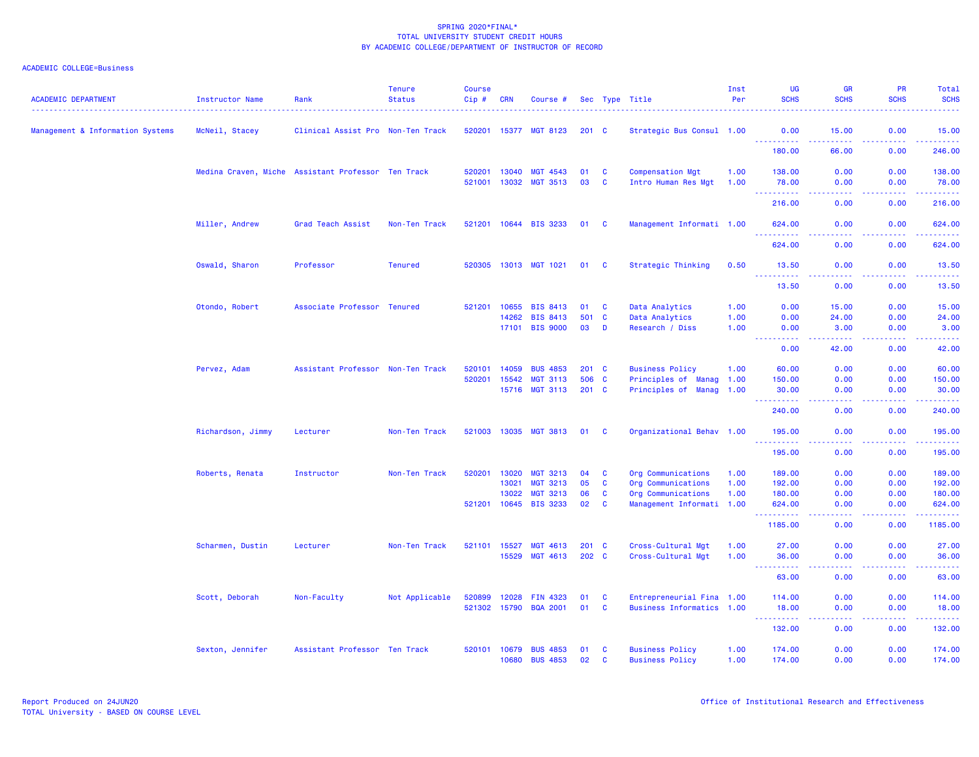| <b>ACADEMIC DEPARTMENT</b>       | <b>Instructor Name</b> | Rank                                               | <b>Tenure</b><br><b>Status</b> | <b>Course</b><br>$Cip \#$ | <b>CRN</b>     | Course #                    |               |                   | Sec Type Title                          | Inst<br>Per  | <b>UG</b><br><b>SCHS</b>                                                                                                                                      | <b>GR</b><br><b>SCHS</b>                                                                                                                                     | <b>PR</b><br><b>SCHS</b> | Total<br><b>SCHS</b>                                                                                                            |
|----------------------------------|------------------------|----------------------------------------------------|--------------------------------|---------------------------|----------------|-----------------------------|---------------|-------------------|-----------------------------------------|--------------|---------------------------------------------------------------------------------------------------------------------------------------------------------------|--------------------------------------------------------------------------------------------------------------------------------------------------------------|--------------------------|---------------------------------------------------------------------------------------------------------------------------------|
| Management & Information Systems | McNeil, Stacey         | Clinical Assist Pro Non-Ten Track                  |                                |                           |                | 520201 15377 MGT 8123       | $201 \quad C$ |                   | Strategic Bus Consul 1.00               |              | 0.00<br><u> - - - - - - - - - -</u>                                                                                                                           | 15.00<br><b>.</b>                                                                                                                                            | 0.00<br>.                | 15.00<br>.                                                                                                                      |
|                                  |                        |                                                    |                                |                           |                |                             |               |                   |                                         |              | 180.00                                                                                                                                                        | 66.00                                                                                                                                                        | 0.00                     | 246.00                                                                                                                          |
|                                  |                        | Medina Craven, Miche Assistant Professor Ten Track |                                | 520201<br>521001          | 13040<br>13032 | MGT 4543<br><b>MGT 3513</b> | 01<br>03      | C<br>$\mathbf{C}$ | Compensation Mgt<br>Intro Human Res Mgt | 1.00<br>1.00 | 138.00<br>78.00                                                                                                                                               | 0.00<br>0.00                                                                                                                                                 | 0.00<br>0.00             | 138.00<br>78.00                                                                                                                 |
|                                  |                        |                                                    |                                |                           |                |                             |               |                   |                                         |              | <b></b><br>216.00                                                                                                                                             | د د د د<br>0.00                                                                                                                                              | .<br>0.00                | $\begin{array}{cccccccccc} \bullet & \bullet & \bullet & \bullet & \bullet & \bullet & \bullet & \bullet \end{array}$<br>216.00 |
|                                  | Miller, Andrew         | Grad Teach Assist                                  | Non-Ten Track                  |                           |                | 521201 10644 BIS 3233       | 01            | C                 | Management Informati 1.00               |              | 624.00                                                                                                                                                        | 0.00                                                                                                                                                         | 0.00                     | 624.00                                                                                                                          |
|                                  |                        |                                                    |                                |                           |                |                             |               |                   |                                         |              | 624.00                                                                                                                                                        | 0.00                                                                                                                                                         | .<br>0.00                | المتمامي<br>624.00                                                                                                              |
|                                  | Oswald, Sharon         | Professor                                          | <b>Tenured</b>                 |                           |                | 520305 13013 MGT 1021       | 01            | C                 | Strategic Thinking                      | 0.50         | 13.50                                                                                                                                                         | 0.00                                                                                                                                                         | 0.00                     | 13.50                                                                                                                           |
|                                  |                        |                                                    |                                |                           |                |                             |               |                   |                                         |              | .<br>13.50                                                                                                                                                    | $\frac{1}{2} \left( \frac{1}{2} \right) \left( \frac{1}{2} \right) \left( \frac{1}{2} \right) \left( \frac{1}{2} \right)$<br>0.00                            | .<br>0.00                | .<br>13.50                                                                                                                      |
|                                  | Otondo, Robert         | Associate Professor Tenured                        |                                | 521201                    | 10655          | <b>BIS 8413</b>             | 01            | C                 | Data Analytics                          | 1.00         | 0.00                                                                                                                                                          | 15.00                                                                                                                                                        | 0.00                     | 15.00                                                                                                                           |
|                                  |                        |                                                    |                                |                           | 14262          | <b>BIS 8413</b>             | 501           | $\mathbf{C}$      | Data Analytics                          | 1.00         | 0.00                                                                                                                                                          | 24.00                                                                                                                                                        | 0.00                     | 24.00                                                                                                                           |
|                                  |                        |                                                    |                                |                           | 17101          | <b>BIS 9000</b>             | 03            | D                 | Research / Diss                         | 1.00         | 0.00<br>.                                                                                                                                                     | 3.00<br>$\frac{1}{2} \left( \frac{1}{2} \right) \left( \frac{1}{2} \right) \left( \frac{1}{2} \right) \left( \frac{1}{2} \right) \left( \frac{1}{2} \right)$ | 0.00<br>.                | 3.00<br>.                                                                                                                       |
|                                  |                        |                                                    |                                |                           |                |                             |               |                   |                                         |              | 0.00                                                                                                                                                          | 42.00                                                                                                                                                        | 0.00                     | 42.00                                                                                                                           |
|                                  | Pervez, Adam           | Assistant Professor Non-Ten Track                  |                                | 520101                    | 14059          | <b>BUS 4853</b>             | $201$ C       |                   | <b>Business Policy</b>                  | 1.00         | 60.00                                                                                                                                                         | 0.00                                                                                                                                                         | 0.00                     | 60.00                                                                                                                           |
|                                  |                        |                                                    |                                | 520201                    | 15542          | <b>MGT 3113</b>             | 506           | $\mathbf{C}$      | Principles of<br><b>Manag 1.00</b>      |              | 150.00                                                                                                                                                        | 0.00                                                                                                                                                         | 0.00                     | 150.00                                                                                                                          |
|                                  |                        |                                                    |                                |                           | 15716          | <b>MGT 3113</b>             | 201 C         |                   | Principles of Manag 1.00                |              | 30.00<br>. <b>.</b>                                                                                                                                           | 0.00<br>$\omega_{\rm c}$ and $\omega_{\rm c}$                                                                                                                | 0.00<br>.                | 30.00<br><u>.</u>                                                                                                               |
|                                  |                        |                                                    |                                |                           |                |                             |               |                   |                                         |              | 240.00                                                                                                                                                        | 0.00                                                                                                                                                         | 0.00                     | 240.00                                                                                                                          |
|                                  | Richardson, Jimmy      | Lecturer                                           | Non-Ten Track                  | 521003 13035              |                | <b>MGT 3813</b>             | 01            | - C               | Organizational Behav 1.00               |              | 195.00<br><u> - - - - - - - - - -</u>                                                                                                                         | 0.00<br>$  -$                                                                                                                                                | 0.00<br>.                | 195.00                                                                                                                          |
|                                  |                        |                                                    |                                |                           |                |                             |               |                   |                                         |              | 195.00                                                                                                                                                        | 0.00                                                                                                                                                         | 0.00                     | 195.00                                                                                                                          |
|                                  | Roberts, Renata        | Instructor                                         | Non-Ten Track                  | 520201                    | 13020          | <b>MGT 3213</b>             | 04            | $\mathbf{C}$      | Org Communications                      | 1.00         | 189.00                                                                                                                                                        | 0.00                                                                                                                                                         | 0.00                     | 189.00                                                                                                                          |
|                                  |                        |                                                    |                                |                           | 13021          | <b>MGT 3213</b>             | 05            | C                 | Org Communications                      | 1.00         | 192.00                                                                                                                                                        | 0.00                                                                                                                                                         | 0.00                     | 192.00                                                                                                                          |
|                                  |                        |                                                    |                                |                           | 13022          | <b>MGT 3213</b>             | 06            | $\mathbf{C}$      | Org Communications                      | 1.00         | 180.00                                                                                                                                                        | 0.00                                                                                                                                                         | 0.00                     | 180.00                                                                                                                          |
|                                  |                        |                                                    |                                | 521201                    | 10645          | <b>BIS 3233</b>             | 02            | $\mathbf{C}$      | Management Informati 1.00               |              | 624.00                                                                                                                                                        | 0.00                                                                                                                                                         | 0.00                     | 624.00<br>.                                                                                                                     |
|                                  |                        |                                                    |                                |                           |                |                             |               |                   |                                         |              | 1185.00                                                                                                                                                       | 0.00                                                                                                                                                         | 0.00                     | 1185.00                                                                                                                         |
|                                  | Scharmen, Dustin       | Lecturer                                           | Non-Ten Track                  | 521101 15527              |                | <b>MGT 4613</b>             | 201 C         |                   | Cross-Cultural Mgt                      | 1.00         | 27.00                                                                                                                                                         | 0.00                                                                                                                                                         | 0.00                     | 27.00                                                                                                                           |
|                                  |                        |                                                    |                                |                           | 15529          | MGT 4613                    | 202 C         |                   | Cross-Cultural Mgt                      | 1.00         | 36.00                                                                                                                                                         | 0.00                                                                                                                                                         | 0.00                     | 36.00<br>.                                                                                                                      |
|                                  |                        |                                                    |                                |                           |                |                             |               |                   |                                         |              | 63.00                                                                                                                                                         | 0.00                                                                                                                                                         | 0.00                     | 63.00                                                                                                                           |
|                                  | Scott, Deborah         | Non-Faculty                                        | Not Applicable                 | 520899                    | 12028          | <b>FIN 4323</b>             | 01            | C                 | Entrepreneurial Fina 1.00               |              | 114.00                                                                                                                                                        | 0.00                                                                                                                                                         | 0.00                     | 114.00                                                                                                                          |
|                                  |                        |                                                    |                                | 521302                    | 15790          | <b>BQA 2001</b>             | 01            | C                 | Business Informatics 1.00               |              | 18.00<br>$\frac{1}{2} \left( \frac{1}{2} \right) \left( \frac{1}{2} \right) \left( \frac{1}{2} \right) \left( \frac{1}{2} \right) \left( \frac{1}{2} \right)$ | 0.00<br>$  -$                                                                                                                                                | 0.00<br>المستبدا         | 18.00<br>د د د د د د                                                                                                            |
|                                  |                        |                                                    |                                |                           |                |                             |               |                   |                                         |              | 132.00                                                                                                                                                        | 0.00                                                                                                                                                         | 0.00                     | 132.00                                                                                                                          |
|                                  | Sexton, Jennifer       | Assistant Professor Ten Track                      |                                | 520101                    | 10679          | <b>BUS 4853</b>             | 01            | C                 | <b>Business Policy</b>                  | 1.00         | 174.00                                                                                                                                                        | 0.00                                                                                                                                                         | 0.00                     | 174.00                                                                                                                          |
|                                  |                        |                                                    |                                |                           | 10680          | <b>BUS 4853</b>             | 02            | <b>C</b>          | <b>Business Policy</b>                  | 1.00         | 174.00                                                                                                                                                        | 0.00                                                                                                                                                         | 0.00                     | 174.00                                                                                                                          |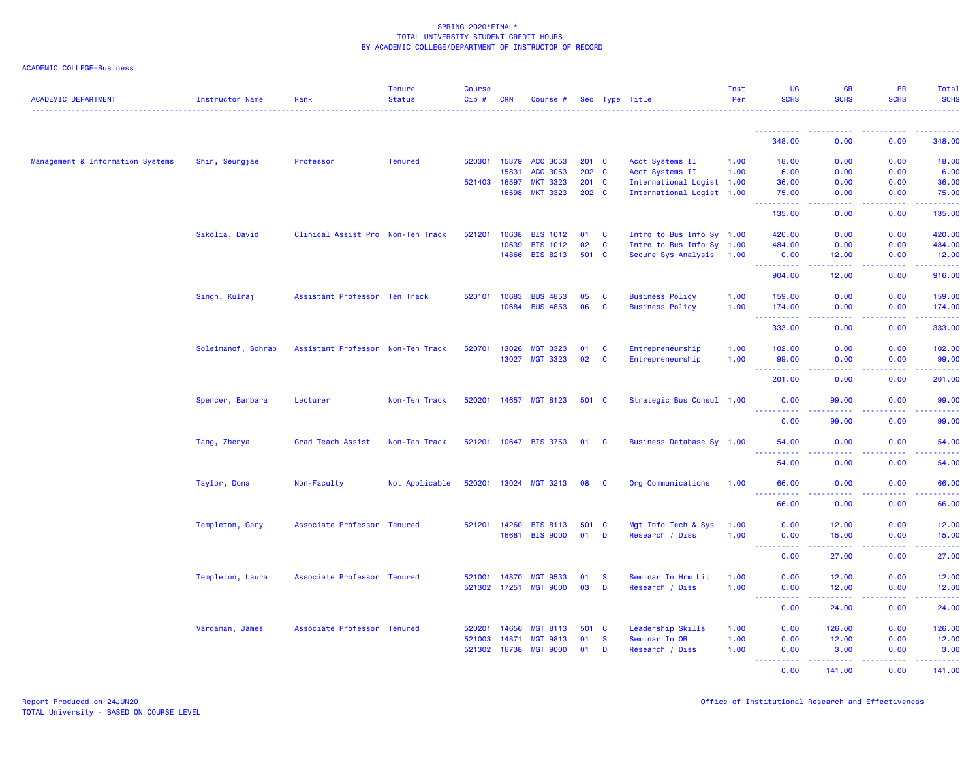| <b>ACADEMIC DEPARTMENT</b>       | Instructor Name    | Rank                              | <b>Tenure</b><br><b>Status</b> | <b>Course</b><br>Cip# | <b>CRN</b> | Course #        |       |          | Sec Type Title            | Inst<br>Per | <b>UG</b><br><b>SCHS</b>                                                                                                | <b>GR</b><br><b>SCHS</b>                                                                                                           | PR<br><b>SCHS</b>                                                                                                                                            | Total<br><b>SCHS</b>                                                                                                                                                                     |
|----------------------------------|--------------------|-----------------------------------|--------------------------------|-----------------------|------------|-----------------|-------|----------|---------------------------|-------------|-------------------------------------------------------------------------------------------------------------------------|------------------------------------------------------------------------------------------------------------------------------------|--------------------------------------------------------------------------------------------------------------------------------------------------------------|------------------------------------------------------------------------------------------------------------------------------------------------------------------------------------------|
|                                  |                    |                                   |                                |                       |            |                 |       |          |                           |             | -----------                                                                                                             |                                                                                                                                    |                                                                                                                                                              |                                                                                                                                                                                          |
|                                  |                    |                                   |                                |                       |            |                 |       |          |                           |             | 348.00                                                                                                                  | 0.00                                                                                                                               | 0.00                                                                                                                                                         | 348.00                                                                                                                                                                                   |
| Management & Information Systems | Shin, Seungjae     | Professor                         | <b>Tenured</b>                 | 520301                | 15379      | <b>ACC 3053</b> | 201 C |          | Acct Systems II           | 1.00        | 18.00                                                                                                                   | 0.00                                                                                                                               | 0.00                                                                                                                                                         | 18.00                                                                                                                                                                                    |
|                                  |                    |                                   |                                |                       | 15831      | ACC 3053        | 202 C |          | Acct Systems II           | 1.00        | 6.00                                                                                                                    | 0.00                                                                                                                               | 0.00                                                                                                                                                         | 6.00                                                                                                                                                                                     |
|                                  |                    |                                   |                                | 521403                | 16597      | <b>MKT 3323</b> | 201 C |          | International Logist 1.00 |             | 36.00                                                                                                                   | 0.00                                                                                                                               | 0.00                                                                                                                                                         | 36.00                                                                                                                                                                                    |
|                                  |                    |                                   |                                |                       | 16598      | <b>MKT 3323</b> | 202 C |          | International Logist 1.00 |             | 75.00<br>.                                                                                                              | 0.00<br>د د د د                                                                                                                    | 0.00<br>$\frac{1}{2} \left( \frac{1}{2} \right) \left( \frac{1}{2} \right) \left( \frac{1}{2} \right) \left( \frac{1}{2} \right)$                            | 75.00<br>$\frac{1}{2} \left( \frac{1}{2} \right) \left( \frac{1}{2} \right) \left( \frac{1}{2} \right) \left( \frac{1}{2} \right) \left( \frac{1}{2} \right)$                            |
|                                  |                    |                                   |                                |                       |            |                 |       |          |                           |             | 135.00                                                                                                                  | 0.00                                                                                                                               | 0.00                                                                                                                                                         | 135.00                                                                                                                                                                                   |
|                                  | Sikolia, David     | Clinical Assist Pro Non-Ten Track |                                | 521201                | 10638      | <b>BIS 1012</b> | 01    | <b>C</b> | Intro to Bus Info Sy 1.00 |             | 420.00                                                                                                                  | 0.00                                                                                                                               | 0.00                                                                                                                                                         | 420.00                                                                                                                                                                                   |
|                                  |                    |                                   |                                |                       | 10639      | <b>BIS 1012</b> | 02    | <b>C</b> | Intro to Bus Info Sy 1.00 |             | 484.00                                                                                                                  | 0.00                                                                                                                               | 0.00                                                                                                                                                         | 484.00                                                                                                                                                                                   |
|                                  |                    |                                   |                                |                       | 14866      | <b>BIS 8213</b> | 501 C |          | Secure Sys Analysis 1.00  |             | 0.00<br>.                                                                                                               | 12.00<br>-----                                                                                                                     | 0.00<br>$\frac{1}{2} \left( \frac{1}{2} \right) \left( \frac{1}{2} \right) \left( \frac{1}{2} \right) \left( \frac{1}{2} \right) \left( \frac{1}{2} \right)$ | 12.00<br>$\frac{1}{2} \left( \frac{1}{2} \right) \left( \frac{1}{2} \right) \left( \frac{1}{2} \right) \left( \frac{1}{2} \right) \left( \frac{1}{2} \right) \left( \frac{1}{2} \right)$ |
|                                  |                    |                                   |                                |                       |            |                 |       |          |                           |             | 904.00                                                                                                                  | 12.00                                                                                                                              | 0.00                                                                                                                                                         | 916.00                                                                                                                                                                                   |
|                                  | Singh, Kulraj      | Assistant Professor Ten Track     |                                | 520101                | 10683      | <b>BUS 4853</b> | 05    | <b>C</b> | <b>Business Policy</b>    | 1.00        | 159.00                                                                                                                  | 0.00                                                                                                                               | 0.00                                                                                                                                                         | 159.00                                                                                                                                                                                   |
|                                  |                    |                                   |                                |                       | 10684      | <b>BUS 4853</b> | 06    | C        | <b>Business Policy</b>    | 1.00        | 174.00<br>.<br>$\sim 100$                                                                                               | 0.00<br>الأمال الأما                                                                                                               | 0.00<br>$\frac{1}{2} \left( \frac{1}{2} \right) \left( \frac{1}{2} \right) \left( \frac{1}{2} \right) \left( \frac{1}{2} \right)$                            | 174.00<br>.                                                                                                                                                                              |
|                                  |                    |                                   |                                |                       |            |                 |       |          |                           |             | 333.00                                                                                                                  | 0.00                                                                                                                               | 0.00                                                                                                                                                         | 333.00                                                                                                                                                                                   |
|                                  | Soleimanof, Sohrab | Assistant Professor Non-Ten Track |                                | 520701                | 13026      | <b>MGT 3323</b> | 01    | C        | Entrepreneurship          | 1.00        | 102.00                                                                                                                  | 0.00                                                                                                                               | 0.00                                                                                                                                                         | 102.00                                                                                                                                                                                   |
|                                  |                    |                                   |                                |                       | 13027      | <b>MGT 3323</b> | 02    | C        | Entrepreneurship          | 1.00        | 99.00<br>----------                                                                                                     | 0.00<br>.                                                                                                                          | 0.00<br><b><i><u><u> - - - -</u></u></i></b>                                                                                                                 | 99.00                                                                                                                                                                                    |
|                                  |                    |                                   |                                |                       |            |                 |       |          |                           |             | 201.00                                                                                                                  | 0.00                                                                                                                               | 0.00                                                                                                                                                         | 201.00                                                                                                                                                                                   |
|                                  | Spencer, Barbara   | Lecturer                          | Non-Ten Track                  | 520201                |            | 14657 MGT 8123  | 501 C |          | Strategic Bus Consul 1.00 |             | 0.00                                                                                                                    | 99.00                                                                                                                              | 0.00                                                                                                                                                         | 99.00                                                                                                                                                                                    |
|                                  |                    |                                   |                                |                       |            |                 |       |          |                           |             | .<br>0.00                                                                                                               | -----<br>99.00                                                                                                                     | 2.2.2.2.2<br>0.00                                                                                                                                            | .<br>99.00                                                                                                                                                                               |
|                                  | Tang, Zhenya       | Grad Teach Assist                 | Non-Ten Track                  | 521201                |            | 10647 BIS 3753  | 01    | <b>C</b> | Business Database Sy 1.00 |             | 54.00                                                                                                                   | 0.00                                                                                                                               | 0.00                                                                                                                                                         | 54,00                                                                                                                                                                                    |
|                                  |                    |                                   |                                |                       |            |                 |       |          |                           |             | 2.2.2.2.2.2<br>54.00                                                                                                    | المتمامين<br>0.00                                                                                                                  | <b><i><u><u> - - - -</u></u></i></b><br>0.00                                                                                                                 | .<br>54.00                                                                                                                                                                               |
|                                  |                    |                                   |                                |                       |            |                 |       |          |                           |             |                                                                                                                         |                                                                                                                                    |                                                                                                                                                              |                                                                                                                                                                                          |
|                                  | Taylor, Dona       | Non-Faculty                       | Not Applicable                 | 520201                |            | 13024 MGT 3213  | 08    | <b>C</b> | Org Communications        | 1.00        | 66.00<br>$  -$<br>.                                                                                                     | 0.00<br>.                                                                                                                          | 0.00<br>.                                                                                                                                                    | 66.00<br>.                                                                                                                                                                               |
|                                  |                    |                                   |                                |                       |            |                 |       |          |                           |             | 66.00                                                                                                                   | 0.00                                                                                                                               | 0.00                                                                                                                                                         | 66.00                                                                                                                                                                                    |
|                                  | Templeton, Gary    | Associate Professor Tenured       |                                | 521201                | 14260      | <b>BIS 8113</b> | 501   | <b>C</b> | Mgt Info Tech & Sys       | 1.00        | 0.00                                                                                                                    | 12.00                                                                                                                              | 0.00                                                                                                                                                         | 12.00                                                                                                                                                                                    |
|                                  |                    |                                   |                                |                       | 16681      | <b>BIS 9000</b> | 01    | D        | Research / Diss           | 1.00        | 0.00<br>الداعات عامان<br>$\frac{1}{2} \left( \frac{1}{2} \right) \left( \frac{1}{2} \right) \left( \frac{1}{2} \right)$ | 15.00<br>$\frac{1}{2} \left( \frac{1}{2} \right) \left( \frac{1}{2} \right) \left( \frac{1}{2} \right) \left( \frac{1}{2} \right)$ | 0.00<br>22222                                                                                                                                                | 15.00<br>.                                                                                                                                                                               |
|                                  |                    |                                   |                                |                       |            |                 |       |          |                           |             | 0.00                                                                                                                    | 27.00                                                                                                                              | 0.00                                                                                                                                                         | 27.00                                                                                                                                                                                    |
|                                  | Templeton, Laura   | Associate Professor Tenured       |                                | 521001                | 14870      | <b>MGT 9533</b> | 01    | <b>S</b> | Seminar In Hrm Lit        | 1.00        | 0.00                                                                                                                    | 12.00                                                                                                                              | 0.00                                                                                                                                                         | 12.00                                                                                                                                                                                    |
|                                  |                    |                                   |                                | 521302 17251          |            | <b>MGT 9000</b> | 03    | D        | Research / Diss           | 1.00        | 0.00<br>223<br>.                                                                                                        | 12.00                                                                                                                              | 0.00                                                                                                                                                         | 12.00                                                                                                                                                                                    |
|                                  |                    |                                   |                                |                       |            |                 |       |          |                           |             | 0.00                                                                                                                    | 24.00                                                                                                                              | 0.00                                                                                                                                                         | 24.00                                                                                                                                                                                    |
|                                  | Vardaman, James    | Associate Professor Tenured       |                                | 520201                | 14656      | <b>MGT 8113</b> | 501 C |          | Leadership Skills         | 1.00        | 0.00                                                                                                                    | 126.00                                                                                                                             | 0.00                                                                                                                                                         | 126.00                                                                                                                                                                                   |
|                                  |                    |                                   |                                | 521003                | 14871      | <b>MGT 9813</b> | 01    | <b>S</b> | Seminar In OB             | 1.00        | 0.00                                                                                                                    | 12.00                                                                                                                              | 0.00                                                                                                                                                         | 12.00                                                                                                                                                                                    |
|                                  |                    |                                   |                                | 521302 16738          |            | <b>MGT 9000</b> | 01    | D        | Research / Diss           | 1.00        | 0.00<br><u>.</u>                                                                                                        | 3.00<br><u>.</u>                                                                                                                   | 0.00<br>.                                                                                                                                                    | 3.00<br>.                                                                                                                                                                                |
|                                  |                    |                                   |                                |                       |            |                 |       |          |                           |             | 0.00                                                                                                                    | 141.00                                                                                                                             | 0.00                                                                                                                                                         | 141.00                                                                                                                                                                                   |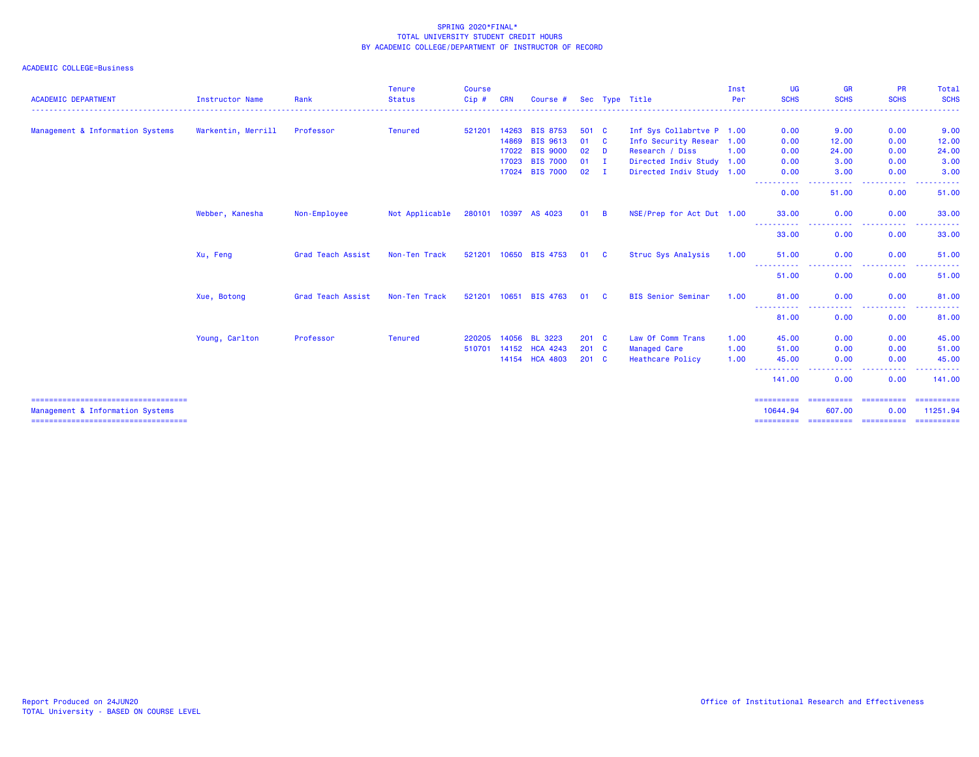| <b>ACADEMIC DEPARTMENT</b>                                                | <b>Instructor Name</b> | Rank              | <b>Tenure</b><br><b>Status</b> | <b>Course</b><br>$Cip$ # | <b>CRN</b> | Course #             |               |                | Sec Type Title            | Inst<br>Per | <b>UG</b><br><b>SCHS</b>   | <b>GR</b><br><b>SCHS</b>                                                                                                          | <b>PR</b><br><b>SCHS</b>        | Total<br><b>SCHS</b>   |
|---------------------------------------------------------------------------|------------------------|-------------------|--------------------------------|--------------------------|------------|----------------------|---------------|----------------|---------------------------|-------------|----------------------------|-----------------------------------------------------------------------------------------------------------------------------------|---------------------------------|------------------------|
|                                                                           |                        |                   |                                |                          |            |                      |               |                |                           |             | <u>.</u> .                 | <u>.</u> .                                                                                                                        | <u> - - - - - - - - -</u>       | ------                 |
| Management & Information Systems                                          | Warkentin, Merrill     | Professor         | <b>Tenured</b>                 | 521201                   | 14263      | <b>BIS 8753</b>      | 501 C         |                | Inf Sys Collabrtve P 1.00 |             | 0.00                       | 9.00                                                                                                                              | 0.00                            | 9.00                   |
|                                                                           |                        |                   |                                |                          | 14869      | <b>BIS 9613</b>      | 01            | - C            | Info Security Resear 1.00 |             | 0.00                       | 12.00                                                                                                                             | 0.00                            | 12.00                  |
|                                                                           |                        |                   |                                |                          | 17022      | <b>BIS 9000</b>      | 02            | D              | Research / Diss           | 1.00        | 0.00                       | 24,00                                                                                                                             | 0.00                            | 24.00                  |
|                                                                           |                        |                   |                                |                          | 17023      | <b>BIS 7000</b>      | 01            | - I            | Directed Indiv Study 1.00 |             | 0.00                       | 3.00                                                                                                                              | 0.00                            | 3.00                   |
|                                                                           |                        |                   |                                |                          |            | 17024 BIS 7000       | 02            | $\mathbf{I}$   | Directed Indiv Study 1.00 |             | 0.00<br>$\cdots$<br>------ | 3.00<br>----                                                                                                                      | 0.00<br>.                       | 3.00                   |
|                                                                           |                        |                   |                                |                          |            |                      |               |                |                           |             | 0.00                       | 51,00                                                                                                                             | 0.00                            | 51.00                  |
|                                                                           | Webber, Kanesha        | Non-Employee      | Not Applicable                 |                          |            | 280101 10397 AS 4023 | 01            | $\overline{B}$ | NSE/Prep for Act Dut 1.00 |             | 33.00                      | 0.00                                                                                                                              | 0.00                            | 33.00                  |
|                                                                           |                        |                   |                                |                          |            |                      |               |                |                           |             | 33.00                      | 0.00                                                                                                                              | 0.00                            | 33.00                  |
|                                                                           | Xu, Feng               | Grad Teach Assist | Non-Ten Track                  | 521201                   |            | 10650 BIS 4753       | 01            | - C            | Struc Sys Analysis        | 1.00        | 51.00                      | 0.00                                                                                                                              | 0.00                            | 51.00                  |
|                                                                           |                        |                   |                                |                          |            |                      |               |                |                           |             | ------<br>51.00            | 0.00                                                                                                                              | 0.00                            | 51.00                  |
|                                                                           | Xue, Botong            | Grad Teach Assist | Non-Ten Track                  | 521201                   |            | 10651 BIS 4763       | 01            | - C            | <b>BIS Senior Seminar</b> | 1.00        | 81.00<br>----------        | 0.00<br>$\frac{1}{2} \left( \frac{1}{2} \right) \left( \frac{1}{2} \right) \left( \frac{1}{2} \right) \left( \frac{1}{2} \right)$ | 0.00<br>.                       | 81.00                  |
|                                                                           |                        |                   |                                |                          |            |                      |               |                |                           |             | 81.00                      | 0.00                                                                                                                              | 0.00                            | 81.00                  |
|                                                                           | Young, Carlton         | Professor         | <b>Tenured</b>                 | 220205                   | 14056      | <b>BL 3223</b>       | $201 \quad C$ |                | Law Of Comm Trans         | 1.00        | 45.00                      | 0.00                                                                                                                              | 0.00                            | 45.00                  |
|                                                                           |                        |                   |                                | 510701                   | 14152      | <b>HCA 4243</b>      | $201 \quad C$ |                | <b>Managed Care</b>       | 1.00        | 51.00                      | 0.00                                                                                                                              | 0.00                            | 51.00                  |
|                                                                           |                        |                   |                                |                          |            | 14154 HCA 4803       | $201$ C       |                | <b>Heathcare Policy</b>   | 1.00        | 45.00<br>-----             | 0.00<br>$\frac{1}{2} \left( \frac{1}{2} \right) \left( \frac{1}{2} \right) \left( \frac{1}{2} \right) \left( \frac{1}{2} \right)$ | 0.00<br>.                       | 45.00<br>.             |
|                                                                           |                        |                   |                                |                          |            |                      |               |                |                           |             | 141.00                     | 0.00                                                                                                                              | 0.00                            | 141.00                 |
| =====================================                                     |                        |                   |                                |                          |            |                      |               |                |                           |             | ==========                 | ==========                                                                                                                        | ==========                      | ==========             |
| Management & Information Systems<br>===================================== |                        |                   |                                |                          |            |                      |               |                |                           |             | 10644.94<br>==========     | 607.00                                                                                                                            | 0.00<br>======================= | 11251.94<br>========== |
|                                                                           |                        |                   |                                |                          |            |                      |               |                |                           |             |                            |                                                                                                                                   |                                 |                        |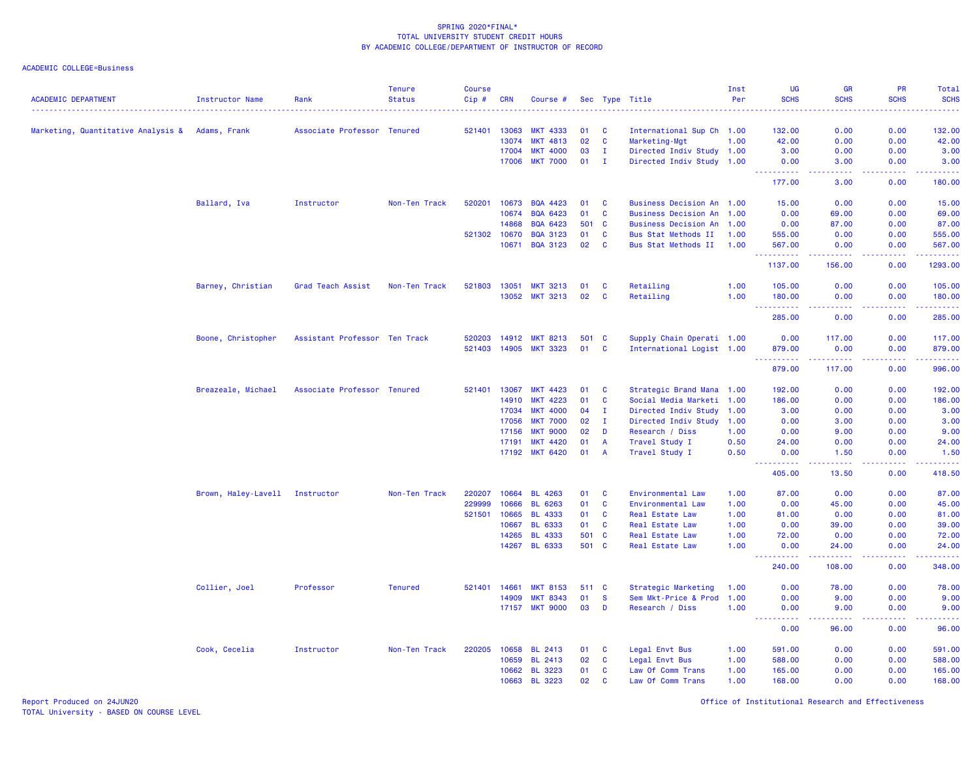# ACADEMIC COLLEGE=Business

| <b>ACADEMIC DEPARTMENT</b>         | <b>Instructor Name</b> | Rank                          | <b>Tenure</b><br><b>Status</b> | <b>Course</b><br>Cip# | <b>CRN</b> | Course #        |       |                | Sec Type Title            | Inst<br>Per | <b>UG</b><br><b>SCHS</b> | <b>GR</b><br><b>SCHS</b>                                                                                                                                       | <b>PR</b><br><b>SCHS</b> | Total<br><b>SCHS</b><br>$\frac{1}{2} \left( \frac{1}{2} \right) \left( \frac{1}{2} \right) \left( \frac{1}{2} \right) \left( \frac{1}{2} \right)$ |
|------------------------------------|------------------------|-------------------------------|--------------------------------|-----------------------|------------|-----------------|-------|----------------|---------------------------|-------------|--------------------------|----------------------------------------------------------------------------------------------------------------------------------------------------------------|--------------------------|---------------------------------------------------------------------------------------------------------------------------------------------------|
| Marketing, Quantitative Analysis & | Adams, Frank           | Associate Professor Tenured   |                                | 521401                | 13063      | <b>MKT 4333</b> | 01    | <b>C</b>       | International Sup Ch 1.00 |             | 132.00                   | 0.00                                                                                                                                                           | 0.00                     | 132.00                                                                                                                                            |
|                                    |                        |                               |                                |                       | 13074      | <b>MKT 4813</b> | 02    | $\mathbf{C}$   | Marketing-Mgt             | 1.00        | 42.00                    | 0.00                                                                                                                                                           | 0.00                     | 42.00                                                                                                                                             |
|                                    |                        |                               |                                |                       | 17004      | <b>MKT 4000</b> | 03    | I.             | Directed Indiv Study 1.00 |             | 3.00                     | 0.00                                                                                                                                                           | 0.00                     | 3.00                                                                                                                                              |
|                                    |                        |                               |                                |                       | 17006      | <b>MKT 7000</b> | 01    | $\mathbf{I}$   | Directed Indiv Study 1.00 |             | 0.00                     | 3.00                                                                                                                                                           | 0.00                     | 3.00                                                                                                                                              |
|                                    |                        |                               |                                |                       |            |                 |       |                |                           |             | 222222<br>177.00         | 3.00                                                                                                                                                           | 0.00                     | الأعامات<br>180.00                                                                                                                                |
|                                    | Ballard, Iva           | Instructor                    | Non-Ten Track                  | 520201                | 10673      | <b>BQA 4423</b> | 01    | $\mathbf{C}$   | Business Decision An 1.00 |             | 15.00                    | 0.00                                                                                                                                                           | 0.00                     | 15.00                                                                                                                                             |
|                                    |                        |                               |                                |                       | 10674      | <b>BQA 6423</b> | 01    | C              | Business Decision An 1.00 |             | 0.00                     | 69.00                                                                                                                                                          | 0.00                     | 69.00                                                                                                                                             |
|                                    |                        |                               |                                |                       | 14868      | <b>BQA 6423</b> | 501   | <b>C</b>       | Business Decision An 1.00 |             | 0.00                     | 87.00                                                                                                                                                          | 0.00                     | 87.00                                                                                                                                             |
|                                    |                        |                               |                                | 521302                | 10670      | <b>BQA 3123</b> | 01    | $\mathbf{C}$   | Bus Stat Methods II       | 1.00        | 555.00                   | 0.00                                                                                                                                                           | 0.00                     | 555.00                                                                                                                                            |
|                                    |                        |                               |                                |                       | 10671      | <b>BQA 3123</b> | 02    | $\mathbf{C}$   | Bus Stat Methods II       | 1.00        | 567.00<br>.              | 0.00                                                                                                                                                           | 0.00                     | 567.00<br>.                                                                                                                                       |
|                                    |                        |                               |                                |                       |            |                 |       |                |                           |             | 1137.00                  | 156.00                                                                                                                                                         | 0.00                     | 1293.00                                                                                                                                           |
|                                    | Barney, Christian      | Grad Teach Assist             | Non-Ten Track                  | 521803                | 13051      | <b>MKT 3213</b> | 01    | <b>C</b>       | Retailing                 | 1.00        | 105.00                   | 0.00                                                                                                                                                           | 0.00                     | 105.00                                                                                                                                            |
|                                    |                        |                               |                                |                       | 13052      | <b>MKT 3213</b> | 02    | C              | Retailing                 | 1.00        | 180.00<br>.              | 0.00<br>.                                                                                                                                                      | 0.00<br>.                | 180.00<br>2.2.2.2.1                                                                                                                               |
|                                    |                        |                               |                                |                       |            |                 |       |                |                           |             | 285.00                   | 0.00                                                                                                                                                           | 0.00                     | 285.00                                                                                                                                            |
|                                    | Boone, Christopher     | Assistant Professor Ten Track |                                | 520203                | 14912      | <b>MKT 8213</b> | 501 C |                | Supply Chain Operati 1.00 |             | 0.00                     | 117.00                                                                                                                                                         | 0.00                     | 117.00                                                                                                                                            |
|                                    |                        |                               |                                | 521403                | 14905      | <b>MKT 3323</b> | 01    | $\mathbf{C}$   | International Logist 1.00 |             | 879.00                   | 0.00                                                                                                                                                           | 0.00                     | 879.00                                                                                                                                            |
|                                    |                        |                               |                                |                       |            |                 |       |                |                           |             | . <b>.</b><br>879.00     | $\frac{1}{2} \left( \frac{1}{2} \right) \left( \frac{1}{2} \right) \left( \frac{1}{2} \right) \left( \frac{1}{2} \right) \left( \frac{1}{2} \right)$<br>117.00 | .<br>0.00                | .<br>996.00                                                                                                                                       |
|                                    | Breazeale, Michael     | Associate Professor Tenured   |                                | 521401                | 13067      | <b>MKT 4423</b> | 01    | <b>C</b>       | Strategic Brand Mana 1.00 |             | 192.00                   | 0.00                                                                                                                                                           | 0.00                     | 192.00                                                                                                                                            |
|                                    |                        |                               |                                |                       | 14910      | <b>MKT 4223</b> | 01    | <b>C</b>       | Social Media Marketi 1.00 |             | 186.00                   | 0.00                                                                                                                                                           | 0.00                     | 186.00                                                                                                                                            |
|                                    |                        |                               |                                |                       | 17034      | <b>MKT 4000</b> | 04    | $\mathbf{I}$   | Directed Indiv Study      | 1.00        | 3.00                     | 0.00                                                                                                                                                           | 0.00                     | 3.00                                                                                                                                              |
|                                    |                        |                               |                                |                       | 17056      | <b>MKT 7000</b> | 02    | $\mathbf{I}$   | Directed Indiv Study      | 1.00        | 0.00                     | 3.00                                                                                                                                                           | 0.00                     | 3.00                                                                                                                                              |
|                                    |                        |                               |                                |                       | 17156      | <b>MKT 9000</b> | 02    | D              | Research / Diss           | 1.00        | 0.00                     | 9.00                                                                                                                                                           | 0.00                     | 9.00                                                                                                                                              |
|                                    |                        |                               |                                |                       | 17191      | <b>MKT 4420</b> | 01    | $\overline{A}$ | Travel Study I            | 0.50        | 24.00                    | 0.00                                                                                                                                                           | 0.00                     | 24.00                                                                                                                                             |
|                                    |                        |                               |                                |                       | 17192      | <b>MKT 6420</b> | 01    | <b>A</b>       | Travel Study I            | 0.50        | 0.00                     | 1.50<br>وبالانتاذ                                                                                                                                              | 0.00<br>.                | 1.50<br>.                                                                                                                                         |
|                                    |                        |                               |                                |                       |            |                 |       |                |                           |             | 405.00                   | 13.50                                                                                                                                                          | 0.00                     | 418.50                                                                                                                                            |
|                                    | Brown, Haley-Lavell    | Instructor                    | Non-Ten Track                  | 220207                | 10664      | <b>BL 4263</b>  | 01    | $\mathbf{C}$   | Environmental Law         | 1.00        | 87.00                    | 0.00                                                                                                                                                           | 0.00                     | 87.00                                                                                                                                             |
|                                    |                        |                               |                                | 229999                | 10666      | <b>BL 6263</b>  | 01    | $\mathbf{C}$   | Environmental Law         | 1.00        | 0.00                     | 45.00                                                                                                                                                          | 0.00                     | 45.00                                                                                                                                             |
|                                    |                        |                               |                                | 521501                | 10665      | <b>BL 4333</b>  | 01    | $\mathbf{C}$   | Real Estate Law           | 1.00        | 81.00                    | 0.00                                                                                                                                                           | 0.00                     | 81.00                                                                                                                                             |
|                                    |                        |                               |                                |                       | 10667      | <b>BL 6333</b>  | 01    | C              | Real Estate Law           | 1.00        | 0.00                     | 39.00                                                                                                                                                          | 0.00                     | 39.00                                                                                                                                             |
|                                    |                        |                               |                                |                       | 14265      | <b>BL 4333</b>  | 501   | <b>C</b>       | Real Estate Law           | 1.00        | 72.00                    | 0.00                                                                                                                                                           | 0.00                     | 72.00                                                                                                                                             |
|                                    |                        |                               |                                |                       | 14267      | <b>BL 6333</b>  | 501 C |                | Real Estate Law           | 1.00        | 0.00<br>د د د د د        | 24.00                                                                                                                                                          | 0.00<br>.                | 24.00<br>.                                                                                                                                        |
|                                    |                        |                               |                                |                       |            |                 |       |                |                           |             | 240.00                   | 108.00                                                                                                                                                         | 0.00                     | 348.00                                                                                                                                            |
|                                    | Collier, Joel          | Professor                     | <b>Tenured</b>                 | 521401 14661          |            | <b>MKT 8153</b> | 511 C |                | Strategic Marketing       | 1.00        | 0.00                     | 78.00                                                                                                                                                          | 0.00                     | 78.00                                                                                                                                             |
|                                    |                        |                               |                                |                       | 14909      | <b>MKT 8343</b> | 01    | <b>S</b>       | Sem Mkt-Price & Prod      | 1.00        | 0.00                     | 9.00                                                                                                                                                           | 0.00                     | 9.00                                                                                                                                              |
|                                    |                        |                               |                                |                       | 17157      | <b>MKT 9000</b> | 03    | D              | Research / Diss           | 1.00        | 0.00                     | 9.00                                                                                                                                                           | 0.00                     | 9.00<br>.                                                                                                                                         |
|                                    |                        |                               |                                |                       |            |                 |       |                |                           |             | 0.00                     | 96.00                                                                                                                                                          | 0.00                     | 96.00                                                                                                                                             |
|                                    | Cook, Cecelia          | Instructor                    | Non-Ten Track                  | 220205                | 10658      | <b>BL 2413</b>  | 01    | <b>C</b>       | Legal Envt Bus            | 1.00        | 591.00                   | 0.00                                                                                                                                                           | 0.00                     | 591.00                                                                                                                                            |
|                                    |                        |                               |                                |                       | 10659      | <b>BL 2413</b>  | 02    | $\mathbf{C}$   | Legal Envt Bus            | 1.00        | 588.00                   | 0.00                                                                                                                                                           | 0.00                     | 588.00                                                                                                                                            |
|                                    |                        |                               |                                |                       | 10662      | <b>BL 3223</b>  | 01    | C              | Law Of Comm Trans         | 1.00        | 165.00                   | 0.00                                                                                                                                                           | 0.00                     | 165.00                                                                                                                                            |
|                                    |                        |                               |                                |                       | 10663      | <b>BL 3223</b>  | 02    | C              | Law Of Comm Trans         | 1.00        | 168.00                   | 0.00                                                                                                                                                           | 0.00                     | 168.00                                                                                                                                            |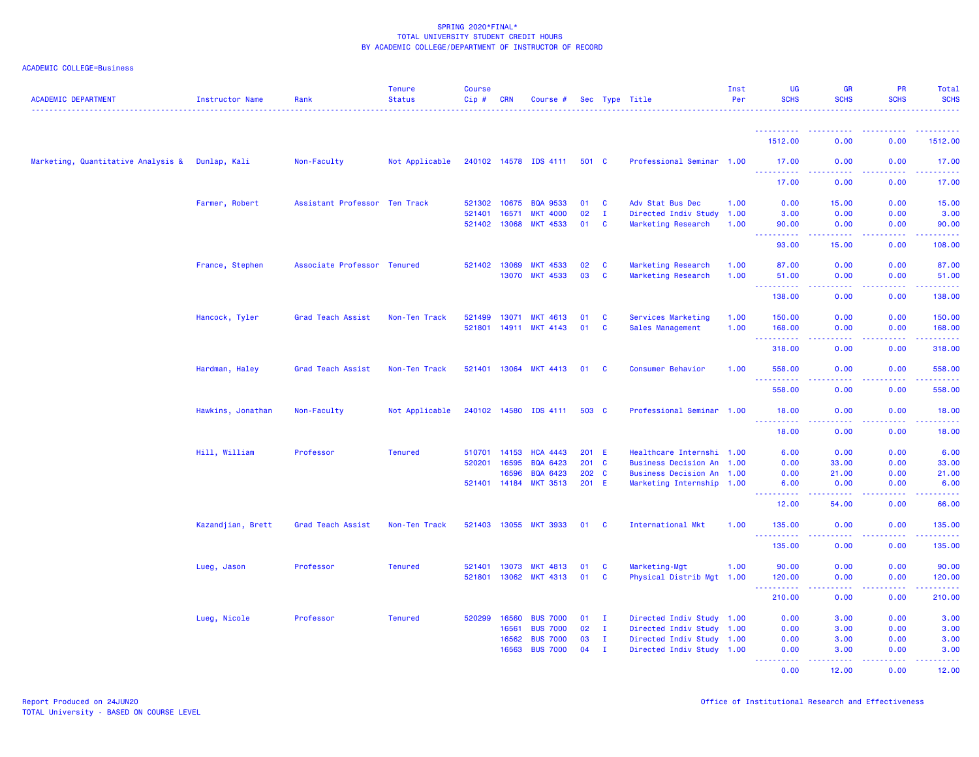| <b>ACADEMIC DEPARTMENT</b>         | Instructor Name   | Rank                          | <b>Tenure</b><br><b>Status</b> | Course<br>Cip# | CRN          | Course #              |               |              | Sec Type Title            | Inst<br>Per | <b>UG</b><br><b>SCHS</b>                   | <b>GR</b><br><b>SCHS</b> | <b>PR</b><br><b>SCHS</b>                     | <b>Total</b><br><b>SCHS</b>                                                                                                                                    |
|------------------------------------|-------------------|-------------------------------|--------------------------------|----------------|--------------|-----------------------|---------------|--------------|---------------------------|-------------|--------------------------------------------|--------------------------|----------------------------------------------|----------------------------------------------------------------------------------------------------------------------------------------------------------------|
|                                    |                   |                               |                                |                |              |                       |               |              |                           |             |                                            |                          |                                              |                                                                                                                                                                |
|                                    |                   |                               |                                |                |              |                       |               |              |                           |             | 1512.00                                    | 0.00                     | 0.00                                         | 1512.00                                                                                                                                                        |
| Marketing, Quantitative Analysis & | Dunlap, Kali      | Non-Faculty                   | Not Applicable                 |                |              | 240102 14578 IDS 4111 | 501 C         |              | Professional Seminar 1.00 |             | 17.00<br><u>.</u>                          | 0.00<br>.                | 0.00<br>.                                    | 17.00<br>الداعات عاد                                                                                                                                           |
|                                    |                   |                               |                                |                |              |                       |               |              |                           |             | 17.00                                      | 0.00                     | 0.00                                         | 17.00                                                                                                                                                          |
|                                    | Farmer, Robert    | Assistant Professor Ten Track |                                | 521302         | 10675        | <b>BQA 9533</b>       | 01            | $\mathbf{C}$ | Adv Stat Bus Dec          | 1.00        | 0.00                                       | 15.00                    | 0.00                                         | 15.00                                                                                                                                                          |
|                                    |                   |                               |                                | 521401         | 16571        | <b>MKT 4000</b>       | 02            | $\mathbf{I}$ | Directed Indiv Study      | 1.00        | 3.00                                       | 0.00                     | 0.00                                         | 3.00                                                                                                                                                           |
|                                    |                   |                               |                                | 521402         | 13068        | <b>MKT 4533</b>       | 01            | C            | Marketing Research        | 1.00        | 90.00<br>$\omega_{\rm{max}}$               | 0.00<br>.                | 0.00<br>.                                    | 90.00<br>.                                                                                                                                                     |
|                                    |                   |                               |                                |                |              |                       |               |              |                           |             | 93.00                                      | 15.00                    | 0.00                                         | 108.00                                                                                                                                                         |
|                                    | France, Stephen   | Associate Professor Tenured   |                                |                | 521402 13069 | <b>MKT 4533</b>       | 02            | C            | Marketing Research        | 1.00        | 87.00                                      | 0.00                     | 0.00                                         | 87.00                                                                                                                                                          |
|                                    |                   |                               |                                |                | 13070        | <b>MKT 4533</b>       | 03            | C            | Marketing Research        | 1.00        | 51.00<br>$\sim$ $\sim$ $\sim$              | 0.00<br>المتمالين        | 0.00<br>.                                    | 51.00<br>222222                                                                                                                                                |
|                                    |                   |                               |                                |                |              |                       |               |              |                           |             | 138.00                                     | 0.00                     | 0.00                                         | 138.00                                                                                                                                                         |
|                                    | Hancock, Tyler    | Grad Teach Assist             | Non-Ten Track                  | 521499         | 13071        | <b>MKT 4613</b>       | 01            | <b>C</b>     | Services Marketing        | 1.00        | 150.00                                     | 0.00                     | 0.00                                         | 150.00                                                                                                                                                         |
|                                    |                   |                               |                                | 521801         | 14911        | <b>MKT 4143</b>       | 01            | C            | Sales Management          | 1.00        | 168.00<br>$\sim$ $\sim$ $\sim$<br>.        | 0.00<br>د د د د          | 0.00<br>.                                    | 168.00<br>$\begin{array}{cccccccccc} \bullet & \bullet & \bullet & \bullet & \bullet & \bullet & \bullet \end{array}$                                          |
|                                    |                   |                               |                                |                |              |                       |               |              |                           |             | 318.00                                     | 0.00                     | 0.00                                         | 318.00                                                                                                                                                         |
|                                    | Hardman, Haley    | Grad Teach Assist             | Non-Ten Track                  |                |              | 521401 13064 MKT 4413 | 01            | <b>C</b>     | Consumer Behavior         | 1.00        | 558.00                                     | 0.00                     | 0.00                                         | 558.00                                                                                                                                                         |
|                                    |                   |                               |                                |                |              |                       |               |              |                           |             | $\sim 100$<br>558.00                       | والمسامين<br>0.00        | <b><i><u><u> - - - -</u></u></i></b><br>0.00 | $\frac{1}{2} \left( \frac{1}{2} \right) \left( \frac{1}{2} \right) \left( \frac{1}{2} \right) \left( \frac{1}{2} \right) \left( \frac{1}{2} \right)$<br>558.00 |
|                                    | Hawkins, Jonathan | Non-Faculty                   | Not Applicable                 |                | 240102 14580 | IDS 4111              | 503 C         |              | Professional Seminar 1.00 |             | 18.00                                      | 0.00                     | 0.00                                         | 18.00                                                                                                                                                          |
|                                    |                   |                               |                                |                |              |                       |               |              |                           |             | <u>.</u><br>18.00                          | د د د د<br>0.00          | <b><i><u><u>.</u></u></i></b><br>0.00        | .<br>18.00                                                                                                                                                     |
|                                    | Hill, William     | Professor                     | <b>Tenured</b>                 | 510701         | 14153        | <b>HCA 4443</b>       | 201 E         |              | Healthcare Internshi 1.00 |             | 6.00                                       | 0.00                     | 0.00                                         | 6.00                                                                                                                                                           |
|                                    |                   |                               |                                | 520201         | 16595        | <b>BQA 6423</b>       | $201 \quad C$ |              | Business Decision An      | 1.00        | 0.00                                       | 33.00                    | 0.00                                         | 33.00                                                                                                                                                          |
|                                    |                   |                               |                                |                | 16596        | <b>BQA 6423</b>       | 202 C         |              | Business Decision An      | 1.00        | 0.00                                       | 21.00                    | 0.00                                         | 21.00                                                                                                                                                          |
|                                    |                   |                               |                                | 521401         | 14184        | <b>MKT 3513</b>       | $201$ E       |              | Marketing Internship 1.00 |             | 6.00                                       | 0.00                     | 0.00                                         | 6.00<br>$\sim$ $\sim$ $\sim$ $\sim$                                                                                                                            |
|                                    |                   |                               |                                |                |              |                       |               |              |                           |             | 12.00                                      | 54.00                    | 0.00                                         | 66.00                                                                                                                                                          |
|                                    | Kazandjian, Brett | Grad Teach Assist             | Non-Ten Track                  | 521403         | 13055        | <b>MKT 3933</b>       | 01            | <b>C</b>     | International Mkt         | 1.00        | 135.00                                     | 0.00                     | 0.00                                         | 135.00                                                                                                                                                         |
|                                    |                   |                               |                                |                |              |                       |               |              |                           |             | 135.00                                     | 0.00                     | 0.00                                         | 135.00                                                                                                                                                         |
|                                    | Lueg, Jason       | Professor                     | <b>Tenured</b>                 | 521401         | 13073        | <b>MKT 4813</b>       | 01            | C            | Marketing-Mgt             | 1.00        | 90.00                                      | 0.00                     | 0.00                                         | 90.00                                                                                                                                                          |
|                                    |                   |                               |                                | 521801         | 13062        | <b>MKT 4313</b>       | 01            | <b>C</b>     | Physical Distrib Mgt 1.00 |             | 120.00<br><b>.</b><br>$\sim$ $\sim$ $\sim$ | 0.00<br>المتمامين        | 0.00<br>22222                                | 120.00<br>$\frac{1}{2} \left( \frac{1}{2} \right) \left( \frac{1}{2} \right) \left( \frac{1}{2} \right) \left( \frac{1}{2} \right) \left( \frac{1}{2} \right)$ |
|                                    |                   |                               |                                |                |              |                       |               |              |                           |             | 210.00                                     | 0.00                     | 0.00                                         | 210.00                                                                                                                                                         |
|                                    | Lueg, Nicole      | Professor                     | <b>Tenured</b>                 | 520299         | 16560        | <b>BUS 7000</b>       | 01            | $\mathbf{I}$ | Directed Indiv Study 1.00 |             | 0.00                                       | 3.00                     | 0.00                                         | 3.00                                                                                                                                                           |
|                                    |                   |                               |                                |                | 16561        | <b>BUS 7000</b>       | 02            | $\mathbf{I}$ | Directed Indiv Study 1.00 |             | 0.00                                       | 3.00                     | 0.00                                         | 3.00                                                                                                                                                           |
|                                    |                   |                               |                                |                | 16562        | <b>BUS 7000</b>       | 03            | $\mathbf{I}$ | Directed Indiv Study 1.00 |             | 0.00                                       | 3.00                     | 0.00                                         | 3.00                                                                                                                                                           |
|                                    |                   |                               |                                |                | 16563        | <b>BUS 7000</b>       | 04            | $\mathbf{I}$ | Directed Indiv Study 1.00 |             | 0.00<br>.                                  | 3.00<br>والمالمات        | 0.00                                         | 3.00                                                                                                                                                           |
|                                    |                   |                               |                                |                |              |                       |               |              |                           |             | 0.00                                       | 12.00                    | 0.00                                         | 12.00                                                                                                                                                          |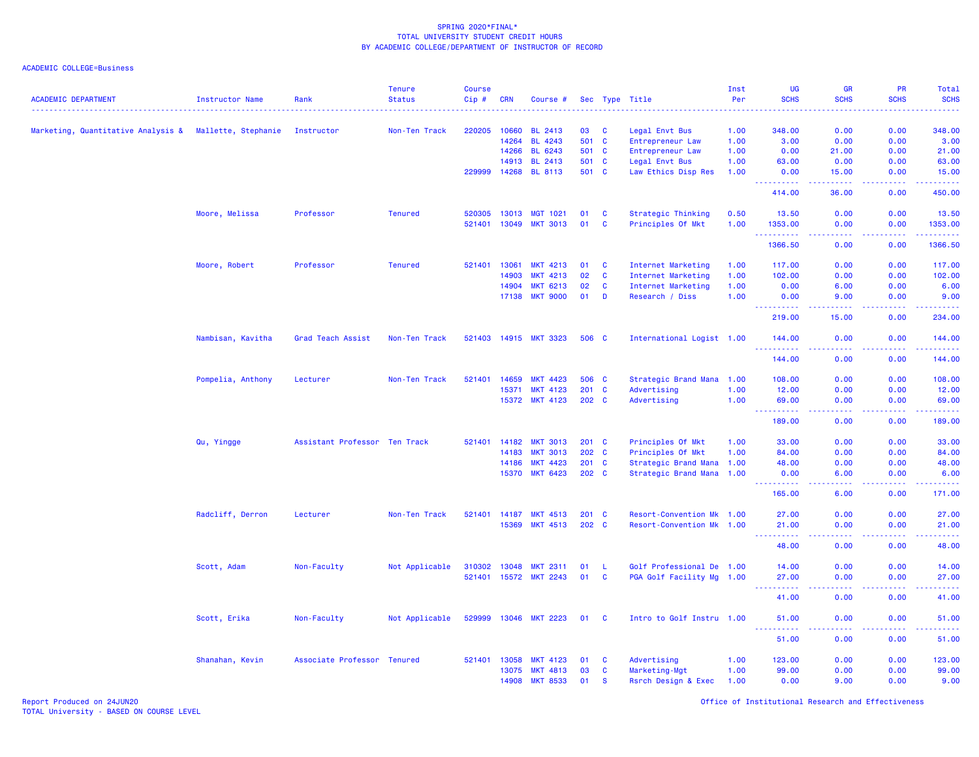| <b>ACADEMIC DEPARTMENT</b>         | <b>Instructor Name</b> | Rank                          | <b>Tenure</b><br><b>Status</b> | <b>Course</b><br>Cip# | <b>CRN</b>   | Course #              |         |              | Sec Type Title            | Inst<br>Per | <b>UG</b><br><b>SCHS</b>                                                                                                                                      | <b>GR</b><br><b>SCHS</b>                                                                               | PR<br><b>SCHS</b> | Total<br><b>SCHS</b>  |
|------------------------------------|------------------------|-------------------------------|--------------------------------|-----------------------|--------------|-----------------------|---------|--------------|---------------------------|-------------|---------------------------------------------------------------------------------------------------------------------------------------------------------------|--------------------------------------------------------------------------------------------------------|-------------------|-----------------------|
|                                    |                        |                               |                                |                       |              |                       |         |              |                           |             |                                                                                                                                                               |                                                                                                        |                   |                       |
| Marketing, Quantitative Analysis & | Mallette, Stephanie    | Instructor                    | Non-Ten Track                  | 220205                | 10660        | <b>BL 2413</b>        | 03      | $\mathbf{C}$ | Legal Envt Bus            | 1.00        | 348,00                                                                                                                                                        | 0.00                                                                                                   | 0.00              | 348.00                |
|                                    |                        |                               |                                |                       | 14264        | <b>BL 4243</b>        | 501 C   |              | Entrepreneur Law          | 1.00        | 3.00                                                                                                                                                          | 0.00                                                                                                   | 0.00              | 3.00                  |
|                                    |                        |                               |                                |                       | 14266        | <b>BL 6243</b>        | 501 C   |              | Entrepreneur Law          | 1.00        | 0.00                                                                                                                                                          | 21.00                                                                                                  | 0.00              | 21.00                 |
|                                    |                        |                               |                                |                       | 14913        | <b>BL 2413</b>        | 501 C   |              | Legal Envt Bus            | 1.00        | 63.00                                                                                                                                                         | 0.00                                                                                                   | 0.00              | 63.00                 |
|                                    |                        |                               |                                | 229999                | 14268        | <b>BL 8113</b>        | 501 C   |              | Law Ethics Disp Res       | 1.00        | 0.00<br>.                                                                                                                                                     | 15.00<br>.                                                                                             | 0.00<br>.         | 15.00<br><u>.</u>     |
|                                    |                        |                               |                                |                       |              |                       |         |              |                           |             | 414.00                                                                                                                                                        | 36.00                                                                                                  | 0.00              | 450.00                |
|                                    | Moore, Melissa         | Professor                     | <b>Tenured</b>                 | 520305                | 13013        | MGT 1021              | 01      | <b>C</b>     | Strategic Thinking        | 0.50        | 13.50                                                                                                                                                         | 0.00                                                                                                   | 0.00              | 13.50                 |
|                                    |                        |                               |                                | 521401                | 13049        | <b>MKT 3013</b>       | 01      | C            | Principles Of Mkt         | 1.00        | 1353.00<br>----------                                                                                                                                         | 0.00<br>المستمات                                                                                       | 0.00<br>-----     | 1353.00<br><u>.</u>   |
|                                    |                        |                               |                                |                       |              |                       |         |              |                           |             | 1366.50                                                                                                                                                       | 0.00                                                                                                   | 0.00              | 1366.50               |
|                                    | Moore, Robert          | Professor                     | <b>Tenured</b>                 | 521401                | 13061        | <b>MKT 4213</b>       | 01      | C            | Internet Marketing        | 1.00        | 117.00                                                                                                                                                        | 0.00                                                                                                   | 0.00              | 117.00                |
|                                    |                        |                               |                                |                       | 14903        | <b>MKT 4213</b>       | 02      | $\mathbf{C}$ | Internet Marketing        | 1.00        | 102.00                                                                                                                                                        | 0.00                                                                                                   | 0.00              | 102.00                |
|                                    |                        |                               |                                |                       | 14904        | <b>MKT 6213</b>       | 02      | $\mathbf{C}$ | Internet Marketing        | 1.00        | 0.00                                                                                                                                                          | 6.00                                                                                                   | 0.00              | 6.00                  |
|                                    |                        |                               |                                |                       | 17138        | <b>MKT 9000</b>       | 01      | D            | Research / Diss           | 1.00        | 0.00<br>.                                                                                                                                                     | 9.00<br>د د د د                                                                                        | 0.00<br>22222     | 9.00<br>.             |
|                                    |                        |                               |                                |                       |              |                       |         |              |                           |             | 219.00                                                                                                                                                        | 15.00                                                                                                  | 0.00              | 234.00                |
|                                    | Nambisan, Kavitha      | Grad Teach Assist             | Non-Ten Track                  |                       |              | 521403 14915 MKT 3323 | 506 C   |              | International Logist 1.00 |             | 144.00<br>.                                                                                                                                                   | 0.00<br>$\frac{1}{2} \left( \frac{1}{2} \right) \left( \frac{1}{2} \right) \left( \frac{1}{2} \right)$ | 0.00<br>.         | 144.00<br>2.2.2.2.2.4 |
|                                    |                        |                               |                                |                       |              |                       |         |              |                           |             | 144.00                                                                                                                                                        | 0.00                                                                                                   | 0.00              | 144.00                |
|                                    | Pompelia, Anthony      | Lecturer                      | Non-Ten Track                  | 521401                | 14659        | <b>MKT 4423</b>       | 506 C   |              | Strategic Brand Mana      | 1.00        | 108.00                                                                                                                                                        | 0.00                                                                                                   | 0.00              | 108.00                |
|                                    |                        |                               |                                |                       | 15371        | <b>MKT 4123</b>       | 201 C   |              | Advertising               | 1.00        | 12.00                                                                                                                                                         | 0.00                                                                                                   | 0.00              | 12.00                 |
|                                    |                        |                               |                                |                       |              | 15372 MKT 4123        | 202 C   |              | Advertising               | 1.00        | 69.00<br>.                                                                                                                                                    | 0.00<br>.                                                                                              | 0.00<br>.         | 69.00<br>.            |
|                                    |                        |                               |                                |                       |              |                       |         |              |                           |             | 189.00                                                                                                                                                        | 0.00                                                                                                   | 0.00              | 189.00                |
|                                    | Qu, Yingge             | Assistant Professor Ten Track |                                |                       | 521401 14182 | <b>MKT 3013</b>       | 201 C   |              | Principles Of Mkt         | 1.00        | 33.00                                                                                                                                                         | 0.00                                                                                                   | 0.00              | 33.00                 |
|                                    |                        |                               |                                |                       | 14183        | <b>MKT 3013</b>       | 202 C   |              | Principles Of Mkt         | 1.00        | 84.00                                                                                                                                                         | 0.00                                                                                                   | 0.00              | 84.00                 |
|                                    |                        |                               |                                |                       | 14186        | <b>MKT 4423</b>       | 201 C   |              | Strategic Brand Mana 1.00 |             | 48.00                                                                                                                                                         | 0.00                                                                                                   | 0.00              | 48.00                 |
|                                    |                        |                               |                                |                       | 15370        | <b>MKT 6423</b>       | 202 C   |              | Strategic Brand Mana 1.00 |             | 0.00<br>.                                                                                                                                                     | 6.00                                                                                                   | 0.00              | 6.00                  |
|                                    |                        |                               |                                |                       |              |                       |         |              |                           |             | 165.00                                                                                                                                                        | 6.00                                                                                                   | 0.00              | 171.00                |
|                                    | Radcliff, Derron       | Lecturer                      | Non-Ten Track                  | 521401 14187          |              | <b>MKT 4513</b>       | $201$ C |              | Resort-Convention Mk 1.00 |             | 27.00                                                                                                                                                         | 0.00                                                                                                   | 0.00              | 27.00                 |
|                                    |                        |                               |                                |                       | 15369        | <b>MKT 4513</b>       | 202 C   |              | Resort-Convention Mk 1.00 |             | 21.00                                                                                                                                                         | 0.00                                                                                                   | 0.00              | 21.00                 |
|                                    |                        |                               |                                |                       |              |                       |         |              |                           |             | $\frac{1}{2} \left( \frac{1}{2} \right) \left( \frac{1}{2} \right) \left( \frac{1}{2} \right) \left( \frac{1}{2} \right)$<br>48.00                            | .<br>0.00                                                                                              | .<br>0.00         | .<br>48.00            |
|                                    | Scott, Adam            | Non-Faculty                   | Not Applicable                 | 310302                | 13048        | <b>MKT 2311</b>       | 01      | -L.          | Golf Professional De 1.00 |             | 14.00                                                                                                                                                         | 0.00                                                                                                   | 0.00              | 14.00                 |
|                                    |                        |                               |                                |                       | 521401 15572 | <b>MKT 2243</b>       | 01      | <b>C</b>     | PGA Golf Facility Mg 1.00 |             | 27.00                                                                                                                                                         | 0.00                                                                                                   | 0.00              | 27.00                 |
|                                    |                        |                               |                                |                       |              |                       |         |              |                           |             |                                                                                                                                                               | .                                                                                                      | .                 | .                     |
|                                    |                        |                               |                                |                       |              |                       |         |              |                           |             | 41.00                                                                                                                                                         | 0.00                                                                                                   | 0.00              | 41.00                 |
|                                    | Scott, Erika           | Non-Faculty                   | Not Applicable                 |                       | 529999 13046 | <b>MKT 2223</b>       | 01      | $\mathbf{C}$ | Intro to Golf Instru 1.00 |             | 51.00<br>$\frac{1}{2} \left( \frac{1}{2} \right) \left( \frac{1}{2} \right) \left( \frac{1}{2} \right) \left( \frac{1}{2} \right) \left( \frac{1}{2} \right)$ | 0.00                                                                                                   | 0.00              | 51.00                 |
|                                    |                        |                               |                                |                       |              |                       |         |              |                           |             | 51.00                                                                                                                                                         | 0.00                                                                                                   | 0.00              | 51.00                 |
|                                    | Shanahan, Kevin        | Associate Professor Tenured   |                                | 521401 13058          |              | <b>MKT 4123</b>       | 01      | <b>C</b>     | Advertising               | 1.00        | 123.00                                                                                                                                                        | 0.00                                                                                                   | 0.00              | 123.00                |
|                                    |                        |                               |                                |                       | 13075        | <b>MKT 4813</b>       | 03      | C            | Marketing-Mgt             | 1.00        | 99.00                                                                                                                                                         | 0.00                                                                                                   | 0.00              | 99.00                 |
|                                    |                        |                               |                                |                       | 14908        | <b>MKT 8533</b>       | 01      | <b>S</b>     | Rsrch Design & Exec       | 1.00        | 0.00                                                                                                                                                          | 9.00                                                                                                   | 0.00              | 9.00                  |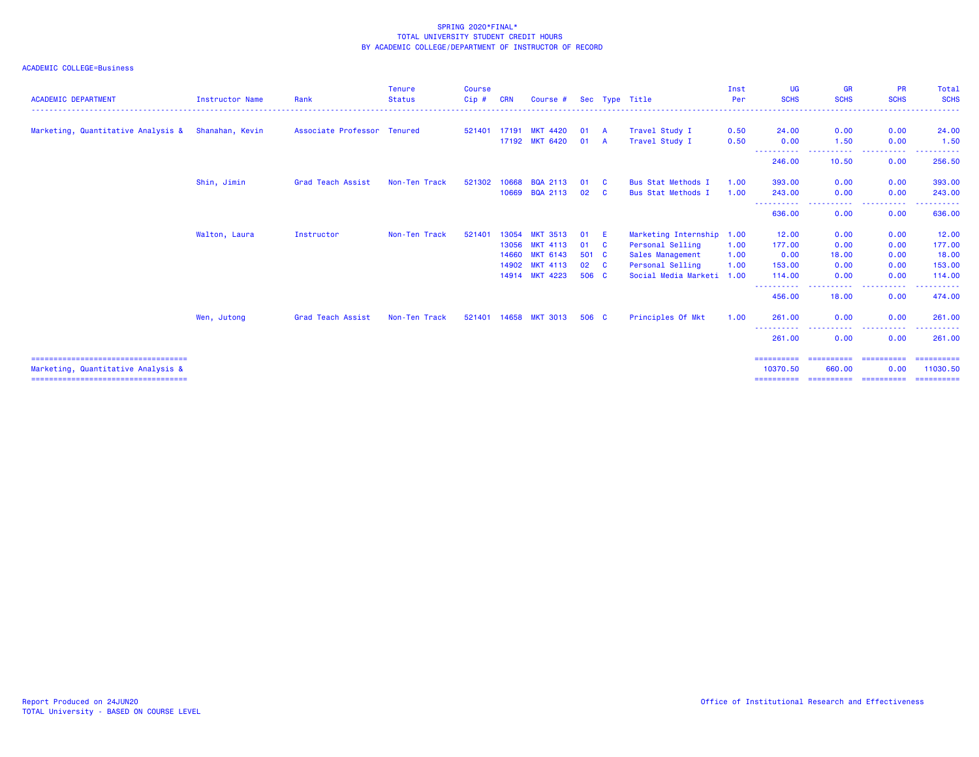| <b>Instructor Name</b> | Rank              | <b>Tenure</b><br><b>Status</b> | <b>Course</b><br>Cip#       | <b>CRN</b> | Course #        |                                                                                                                               |          | Sec Type Title                                          | Inst<br>Per    | <b>UG</b><br><b>SCHS</b>                                       | <b>GR</b><br><b>SCHS</b> | <b>PR</b><br><b>SCHS</b>   | Total<br><b>SCHS</b>                  |
|------------------------|-------------------|--------------------------------|-----------------------------|------------|-----------------|-------------------------------------------------------------------------------------------------------------------------------|----------|---------------------------------------------------------|----------------|----------------------------------------------------------------|--------------------------|----------------------------|---------------------------------------|
| Shanahan, Kevin        |                   |                                |                             |            |                 |                                                                                                                               |          | Travel Study I                                          | 0.50           | 24,00                                                          | 0.00                     | 0.00                       | 24.00                                 |
|                        |                   |                                |                             |            |                 |                                                                                                                               |          |                                                         |                | 0.00                                                           |                          |                            | 1.50                                  |
|                        |                   |                                |                             |            |                 |                                                                                                                               |          |                                                         |                | 246.00                                                         | 10.50                    | 0.00                       | 256.50                                |
| Shin, Jimin            | Grad Teach Assist | Non-Ten Track                  | 521302                      | 10668      | <b>BQA 2113</b> | 01                                                                                                                            | - C      | <b>Bus Stat Methods I</b>                               | 1.00           | 393,00                                                         | 0.00                     | 0.00                       | 393.00                                |
|                        |                   |                                |                             | 10669      | <b>BQA 2113</b> | 02                                                                                                                            | <b>C</b> | <b>Bus Stat Methods I</b>                               | 1.00           | 243.00                                                         | 0.00                     | 0.00                       | 243.00                                |
|                        |                   |                                |                             |            |                 |                                                                                                                               |          |                                                         |                | -----------<br>636.00                                          | .<br>0.00                | .<br>0.00                  | .<br>636.00                           |
| Walton, Laura          | Instructor        | Non-Ten Track                  | 521401                      | 13054      | <b>MKT 3513</b> | 01                                                                                                                            | E.       |                                                         |                | 12.00                                                          | 0.00                     | 0.00                       | 12.00                                 |
|                        |                   |                                |                             | 13056      | <b>MKT 4113</b> | 01                                                                                                                            | <b>C</b> | Personal Selling                                        | 1.00           | 177.00                                                         | 0.00                     | 0.00                       | 177.00                                |
|                        |                   |                                |                             | 14660      | <b>MKT 6143</b> |                                                                                                                               |          | Sales Management                                        | 1.00           | 0.00                                                           | 18.00                    | 0.00                       | 18.00                                 |
|                        |                   |                                |                             | 14902      |                 | 02                                                                                                                            |          | Personal Selling                                        | 1.00           | 153.00                                                         | 0.00                     | 0.00                       | 153.00                                |
|                        |                   |                                |                             |            |                 |                                                                                                                               |          |                                                         |                | 114,00                                                         | 0.00                     | 0.00                       | 114.00                                |
|                        |                   |                                |                             |            |                 |                                                                                                                               |          |                                                         |                | 456.00                                                         | 18.00                    | 0.00                       | . <u>.</u> .<br>474.00                |
| Wen, Jutong            | Grad Teach Assist | Non-Ten Track                  |                             |            |                 |                                                                                                                               |          | Principles Of Mkt                                       | 1.00           | 261,00                                                         | 0.00                     | 0.00                       | 261.00                                |
|                        |                   |                                |                             |            |                 |                                                                                                                               |          |                                                         |                | 261,00                                                         | 0.00                     | 0.00                       | ------<br>261.00                      |
|                        |                   |                                |                             |            |                 |                                                                                                                               |          |                                                         |                | ==========<br>10370.50                                         | 660.00                   | 0.00                       | 11030.50                              |
|                        |                   |                                | Associate Professor Tenured |            | 521401 17191    | <b>MKT 4420</b><br><b>MKT 6420</b><br>17192<br><b>MKT 4113</b><br><b>MKT 4223</b><br>14914<br>521401 14658<br><b>MKT 3013</b> |          | 01 A<br>01 A<br>501 C<br>$\mathbf{C}$<br>506 C<br>506 C | Travel Study I | 0.50<br>Marketing Internship 1.00<br>Social Media Marketi 1.00 | -----------              | 1.50<br>----<br>========== | 0.00<br>-----<br>.<br>.<br>========== |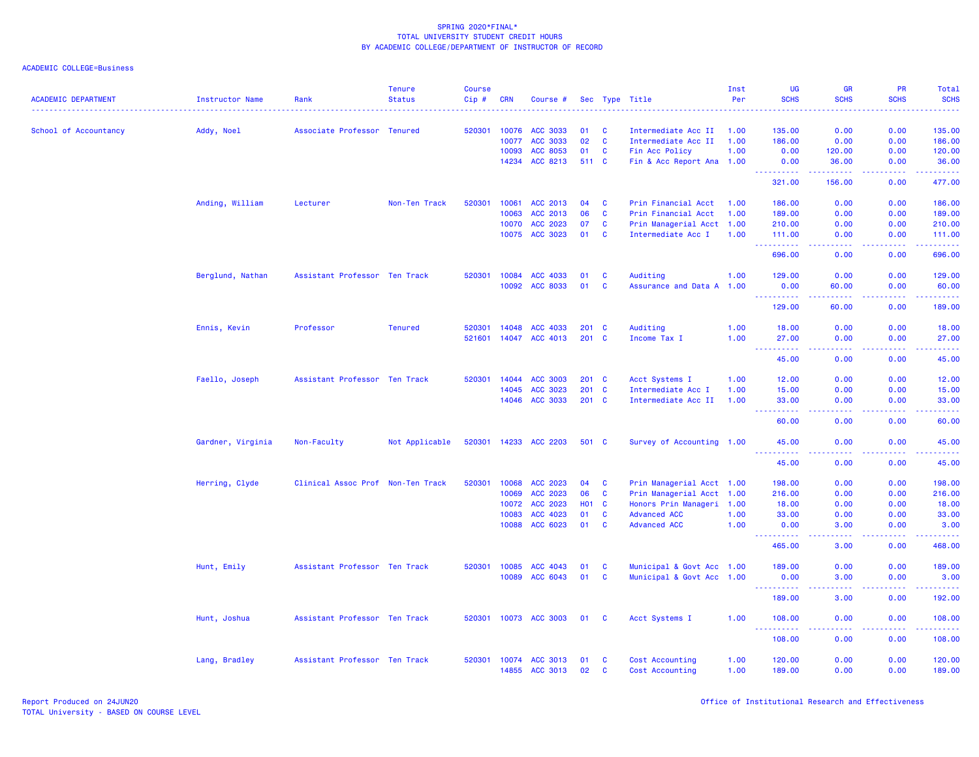| <b>ACADEMIC DEPARTMENT</b> | <b>Instructor Name</b> | Rank                          | <b>Tenure</b><br><b>Status</b> | <b>Course</b><br>$Cip$ # | <b>CRN</b>   | Course #              |               |              | Sec Type Title            | Inst<br>Per | <b>UG</b><br><b>SCHS</b> | <b>GR</b><br><b>SCHS</b>                                                                                                          | <b>PR</b><br><b>SCHS</b>            | <b>Total</b><br><b>SCHS</b>          |
|----------------------------|------------------------|-------------------------------|--------------------------------|--------------------------|--------------|-----------------------|---------------|--------------|---------------------------|-------------|--------------------------|-----------------------------------------------------------------------------------------------------------------------------------|-------------------------------------|--------------------------------------|
| School of Accountancy      | Addy, Noel             | Associate Professor Tenured   |                                | 520301                   | 10076        | ACC 3033              | 01            | <b>C</b>     | Intermediate Acc II       | 1.00        | 135.00                   | 0.00                                                                                                                              | 0.00                                | 135.00                               |
|                            |                        |                               |                                |                          | 10077        | <b>ACC 3033</b>       | 02            | $\mathbf{C}$ | Intermediate Acc II       | 1.00        | 186.00                   | 0.00                                                                                                                              | 0.00                                | 186.00                               |
|                            |                        |                               |                                |                          | 10093        | ACC 8053              | 01            | $\mathbf{C}$ | Fin Acc Policy            | 1.00        | 0.00                     | 120.00                                                                                                                            | 0.00                                | 120.00                               |
|                            |                        |                               |                                |                          | 14234        | ACC 8213              | 511 C         |              | Fin & Acc Report Ana 1.00 |             | 0.00                     | 36.00                                                                                                                             | 0.00                                | 36.00                                |
|                            |                        |                               |                                |                          |              |                       |               |              |                           |             | .<br>321.00              | 156.00                                                                                                                            | 0.00                                | <u>.</u><br>477.00                   |
|                            | Anding, William        | Lecturer                      | Non-Ten Track                  | 520301                   | 10061        | ACC 2013              | 04            | C            | Prin Financial Acct       | 1.00        | 186.00                   | 0.00                                                                                                                              | 0.00                                | 186.00                               |
|                            |                        |                               |                                |                          | 10063        | ACC 2013              | 06            | $\mathbf{C}$ | Prin Financial Acct       | 1.00        | 189.00                   | 0.00                                                                                                                              | 0.00                                | 189.00                               |
|                            |                        |                               |                                |                          | 10070        | ACC 2023              | 07            | C            | Prin Managerial Acct 1.00 |             | 210.00                   | 0.00                                                                                                                              | 0.00                                | 210.00                               |
|                            |                        |                               |                                |                          |              | 10075 ACC 3023        | 01            | $\mathbf{C}$ | Intermediate Acc I        | 1.00        | 111.00<br>.              | 0.00<br>.                                                                                                                         | 0.00<br>$\sim$ $\sim$ $\sim$ $\sim$ | 111.00<br>والمالمات مالما            |
|                            |                        |                               |                                |                          |              |                       |               |              |                           |             | 696.00                   | 0.00                                                                                                                              | 0.00                                | 696.00                               |
|                            | Berglund, Nathan       | Assistant Professor Ten Track |                                | 520301                   | 10084        | ACC 4033              | 01            | C            | Auditing                  | 1.00        | 129.00                   | 0.00                                                                                                                              | 0.00                                | 129.00                               |
|                            |                        |                               |                                |                          | 10092        | <b>ACC 8033</b>       | 01            | <b>C</b>     | Assurance and Data A 1.00 |             | 0.00                     | 60.00                                                                                                                             | 0.00                                | 60.00<br>$\sim$ $\sim$ $\sim$ $\sim$ |
|                            |                        |                               |                                |                          |              |                       |               |              |                           |             | 129.00                   | 60.00                                                                                                                             | 0.00                                | 189.00                               |
|                            | Ennis, Kevin           | Professor                     | <b>Tenured</b>                 | 520301                   | 14048        | ACC 4033              | 201           | <b>C</b>     | Auditing                  | 1.00        | 18.00                    | 0.00                                                                                                                              | 0.00                                | 18.00                                |
|                            |                        |                               |                                | 521601                   | 14047        | ACC 4013              | 201           | <b>C</b>     | Income Tax I              | 1.00        | 27.00                    | 0.00                                                                                                                              | 0.00                                | 27.00                                |
|                            |                        |                               |                                |                          |              |                       |               |              |                           |             | $\sim 10$<br>.<br>45.00  | $\sim$ $\sim$ $\sim$ $\sim$<br>0.00                                                                                               | .<br>0.00                           | المتمامين<br>45.00                   |
|                            | Faello, Joseph         | Assistant Professor Ten Track |                                | 520301                   | 14044        | <b>ACC 3003</b>       | $201 \quad C$ |              | Acct Systems I            | 1.00        | 12.00                    | 0.00                                                                                                                              | 0.00                                | 12.00                                |
|                            |                        |                               |                                |                          | 14045        | ACC 3023              | 201 C         |              | Intermediate Acc I        | 1.00        | 15.00                    | 0.00                                                                                                                              | 0.00                                | 15.00                                |
|                            |                        |                               |                                |                          | 14046        | <b>ACC 3033</b>       | 201 C         |              | Intermediate Acc II       | 1.00        | 33.00                    | 0.00                                                                                                                              | 0.00                                | 33.00                                |
|                            |                        |                               |                                |                          |              |                       |               |              |                           |             | $\sim 100$<br>.<br>60.00 | .<br>0.00                                                                                                                         | .<br>0.00                           | .<br>60.00                           |
|                            | Gardner, Virginia      | Non-Faculty                   | Not Applicable                 |                          |              | 520301 14233 ACC 2203 | 501 C         |              | Survey of Accounting 1.00 |             | 45.00                    | 0.00                                                                                                                              | 0.00                                | 45.00                                |
|                            |                        |                               |                                |                          |              |                       |               |              |                           |             | .<br>----<br>45.00       | د د د د<br>0.00                                                                                                                   | 22222<br>0.00                       | .<br>45.00                           |
|                            | Herring, Clyde         | Clinical Assoc Prof           | Non-Ten Track                  | 520301                   | 10068        | ACC 2023              | 04            | $\mathbf{C}$ | Prin Managerial Acct 1.00 |             | 198.00                   | 0.00                                                                                                                              | 0.00                                | 198.00                               |
|                            |                        |                               |                                |                          | 10069        | ACC 2023              | 06            | $\mathbf{C}$ | Prin Managerial Acct 1.00 |             | 216.00                   | 0.00                                                                                                                              | 0.00                                | 216.00                               |
|                            |                        |                               |                                |                          | 10072        | ACC 2023              | <b>HO1</b>    | <b>C</b>     | Honors Prin Manageri 1.00 |             | 18.00                    | 0.00                                                                                                                              | 0.00                                | 18.00                                |
|                            |                        |                               |                                |                          | 10083        | ACC 4023              | 01            | <b>C</b>     | <b>Advanced ACC</b>       | 1.00        | 33.00                    | 0.00                                                                                                                              | 0.00                                | 33.00                                |
|                            |                        |                               |                                |                          | 10088        | ACC 6023              | 01            | $\mathbf{C}$ | <b>Advanced ACC</b>       | 1.00        | 0.00<br>.                | 3.00                                                                                                                              | 0.00                                | 3.00<br>.                            |
|                            |                        |                               |                                |                          |              |                       |               |              |                           |             | 465.00                   | 3.00                                                                                                                              | 0.00                                | 468.00                               |
|                            | Hunt, Emily            | Assistant Professor Ten Track |                                |                          | 520301 10085 | ACC 4043              | 01            | $\mathbf{C}$ | Municipal & Govt Acc 1.00 |             | 189.00                   | 0.00                                                                                                                              | 0.00                                | 189.00                               |
|                            |                        |                               |                                |                          | 10089        | ACC 6043              | 01            | $\mathbf{C}$ | Municipal & Govt Acc 1.00 |             | 0.00<br>.                | 3.00<br>$\frac{1}{2} \left( \frac{1}{2} \right) \left( \frac{1}{2} \right) \left( \frac{1}{2} \right) \left( \frac{1}{2} \right)$ | 0.00<br>.                           | 3.00<br>.                            |
|                            |                        |                               |                                |                          |              |                       |               |              |                           |             | 189.00                   | 3.00                                                                                                                              | 0.00                                | 192.00                               |
|                            | Hunt, Joshua           | Assistant Professor Ten Track |                                | 520301                   |              | 10073 ACC 3003        | 01            | <b>C</b>     | Acct Systems I            | 1.00        | 108.00<br><u>.</u>       | 0.00<br>$\frac{1}{2} \left( \frac{1}{2} \right) \left( \frac{1}{2} \right) \left( \frac{1}{2} \right) \left( \frac{1}{2} \right)$ | 0.00<br>. <u>.</u> .                | 108.00<br>2.2.2.2.2.4                |
|                            |                        |                               |                                |                          |              |                       |               |              |                           |             | 108.00                   | 0.00                                                                                                                              | 0.00                                | 108.00                               |
|                            | Lang, Bradley          | Assistant Professor Ten Track |                                | 520301                   |              | 10074 ACC 3013        | 01            | <b>C</b>     | Cost Accounting           | 1.00        | 120.00                   | 0.00                                                                                                                              | 0.00                                | 120.00                               |
|                            |                        |                               |                                |                          | 14855        | <b>ACC 3013</b>       | 02            | <b>C</b>     | Cost Accounting           | 1.00        | 189.00                   | 0.00                                                                                                                              | 0.00                                | 189.00                               |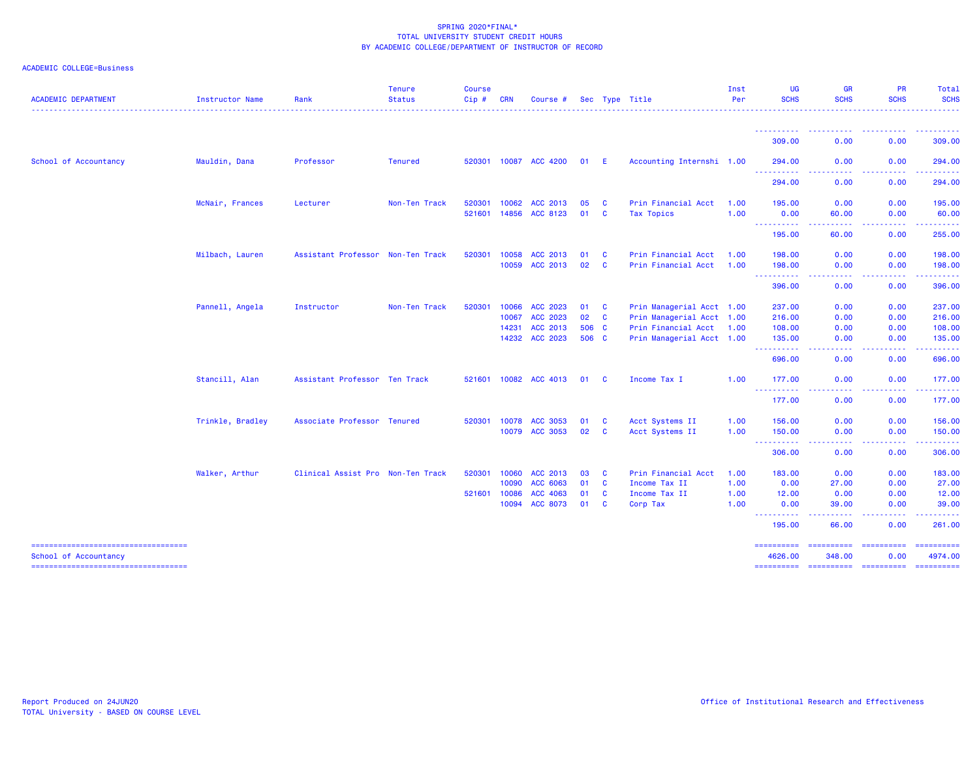## ACADEMIC COLLEGE=Business

| <b>ACADEMIC DEPARTMENT</b>                                     | <b>Instructor Name</b> | Rank                              | <b>Tenure</b><br><b>Status</b> | <b>Course</b><br>Cip# | <b>CRN</b>   | Course #              |                 |              | Sec Type Title            | Inst<br>Per | UG<br><b>SCHS</b>         | <b>GR</b><br><b>SCHS</b>                                                                                                               | PR<br><b>SCHS</b>                                                                                                                                            | Total<br><b>SCHS</b>  |
|----------------------------------------------------------------|------------------------|-----------------------------------|--------------------------------|-----------------------|--------------|-----------------------|-----------------|--------------|---------------------------|-------------|---------------------------|----------------------------------------------------------------------------------------------------------------------------------------|--------------------------------------------------------------------------------------------------------------------------------------------------------------|-----------------------|
|                                                                |                        |                                   |                                |                       |              |                       |                 |              |                           |             | ----------                | <b><i><u>AAAAAAAAAA</u></i></b>                                                                                                        | ----------                                                                                                                                                   | . <u>.</u> .<br>.     |
|                                                                |                        |                                   |                                |                       |              |                       |                 |              |                           |             | 309.00                    | 0.00                                                                                                                                   | 0.00                                                                                                                                                         | 309.00                |
| School of Accountancy                                          | Mauldin, Dana          | Professor                         | <b>Tenured</b>                 |                       |              | 520301 10087 ACC 4200 | 01 E            |              | Accounting Internshi 1.00 |             | 294.00<br>المتمام المتمار | 0.00                                                                                                                                   | 0.00<br>.                                                                                                                                                    | 294.00<br>.           |
|                                                                |                        |                                   |                                |                       |              |                       |                 |              |                           |             | 294.00                    | 0.00                                                                                                                                   | 0.00                                                                                                                                                         | 294.00                |
|                                                                | McNair, Frances        | Lecturer                          | Non-Ten Track                  | 520301                | 10062        | ACC 2013              | 05              | <b>C</b>     | Prin Financial Acct       | 1.00        | 195.00                    | 0.00                                                                                                                                   | 0.00                                                                                                                                                         | 195.00                |
|                                                                |                        |                                   |                                |                       | 521601 14856 | ACC 8123              | 01              | <b>C</b>     | <b>Tax Topics</b>         | 1.00        | 0.00<br>----------        | 60.00<br>.                                                                                                                             | 0.00<br>-----                                                                                                                                                | 60.00<br>------       |
|                                                                |                        |                                   |                                |                       |              |                       |                 |              |                           |             | 195.00                    | 60.00                                                                                                                                  | 0.00                                                                                                                                                         | 255.00                |
|                                                                | Milbach, Lauren        | Assistant Professor Non-Ten Track |                                | 520301                | 10058        | ACC 2013              | 01              | $\mathbf{C}$ | Prin Financial Acct       | 1.00        | 198.00                    | 0.00                                                                                                                                   | 0.00                                                                                                                                                         | 198.00                |
|                                                                |                        |                                   |                                |                       | 10059        | ACC 2013              | 02 <sub>o</sub> | $\mathbf{C}$ | Prin Financial Acct       | 1.00        | 198.00                    | 0.00<br>.                                                                                                                              | 0.00<br>$\frac{1}{2} \left( \frac{1}{2} \right) \left( \frac{1}{2} \right) \left( \frac{1}{2} \right) \left( \frac{1}{2} \right) \left( \frac{1}{2} \right)$ | 198.00<br>.           |
|                                                                |                        |                                   |                                |                       |              |                       |                 |              |                           |             | ----------<br>396.00      | 0.00                                                                                                                                   | 0.00                                                                                                                                                         | 396.00                |
|                                                                | Pannell, Angela        | Instructor                        | Non-Ten Track                  | 520301                | 10066        | ACC 2023              | 01              | $\mathbf{C}$ | Prin Managerial Acct 1.00 |             | 237.00                    | 0.00                                                                                                                                   | 0.00                                                                                                                                                         | 237.00                |
|                                                                |                        |                                   |                                |                       | 10067        | ACC 2023              | 02 C            |              | Prin Managerial Acct 1.00 |             | 216.00                    | 0.00                                                                                                                                   | 0.00                                                                                                                                                         | 216.00                |
|                                                                |                        |                                   |                                |                       | 14231        | ACC 2013              | 506 C           |              | Prin Financial Acct       | 1.00        | 108.00                    | 0.00                                                                                                                                   | 0.00                                                                                                                                                         | 108.00                |
|                                                                |                        |                                   |                                |                       |              | 14232 ACC 2023        | 506 C           |              | Prin Managerial Acct 1.00 |             | 135.00<br>----------      | 0.00<br>$\frac{1}{2} \left( \frac{1}{2} \right) \left( \frac{1}{2} \right) \left( \frac{1}{2} \right)$<br>.                            | 0.00<br>$\frac{1}{2} \left( \frac{1}{2} \right) \left( \frac{1}{2} \right) \left( \frac{1}{2} \right) \left( \frac{1}{2} \right) \left( \frac{1}{2} \right)$ | 135.00<br>.           |
|                                                                |                        |                                   |                                |                       |              |                       |                 |              |                           |             | 696,00                    | 0.00                                                                                                                                   | 0.00                                                                                                                                                         | 696.00                |
|                                                                | Stancill, Alan         | Assistant Professor Ten Track     |                                |                       |              | 521601 10082 ACC 4013 | 01              | <b>C</b>     | Income Tax I              | 1.00        | 177.00<br>----------      | 0.00                                                                                                                                   | 0.00                                                                                                                                                         | 177.00                |
|                                                                |                        |                                   |                                |                       |              |                       |                 |              |                           |             | 177.00                    | 0.00                                                                                                                                   | 0.00                                                                                                                                                         | 177.00                |
|                                                                | Trinkle, Bradley       | Associate Professor Tenured       |                                | 520301                | 10078        | ACC 3053              | 01              | <b>C</b>     | Acct Systems II           | 1.00        | 156.00                    | 0.00                                                                                                                                   | 0.00                                                                                                                                                         | 156.00                |
|                                                                |                        |                                   |                                |                       | 10079        | ACC 3053              | 02              | <b>C</b>     | Acct Systems II           | 1.00        | 150.00<br>----------      | 0.00<br>.<br>$\frac{1}{2} \left( \frac{1}{2} \right) \left( \frac{1}{2} \right) \left( \frac{1}{2} \right) \left( \frac{1}{2} \right)$ | 0.00                                                                                                                                                         | 150.00<br>------      |
|                                                                |                        |                                   |                                |                       |              |                       |                 |              |                           |             | 306.00                    | 0.00                                                                                                                                   | 0.00                                                                                                                                                         | 306.00                |
|                                                                | Walker, Arthur         | Clinical Assist Pro Non-Ten Track |                                | 520301                | 10060        | ACC 2013              | 03              | <b>C</b>     | Prin Financial Acct       | 1.00        | 183.00                    | 0.00                                                                                                                                   | 0.00                                                                                                                                                         | 183.00                |
|                                                                |                        |                                   |                                |                       | 10090        | ACC 6063              | 01              | $\mathbf{C}$ | Income Tax II             | 1.00        | 0.00                      | 27.00                                                                                                                                  | 0.00                                                                                                                                                         | 27.00                 |
|                                                                |                        |                                   |                                | 521601                | 10086        | ACC 4063              | 01              | <b>C</b>     | Income Tax II             | 1.00        | 12.00                     | 0.00                                                                                                                                   | 0.00                                                                                                                                                         | 12.00                 |
|                                                                |                        |                                   |                                |                       | 10094        | ACC 8073              | 01              | <b>C</b>     | Corp Tax                  | 1.00        | 0.00<br>----------        | 39.00<br>$\begin{array}{cccccccccccccc} \bullet & \bullet & \bullet & \bullet & \bullet & \bullet & \bullet \end{array}$               | 0.00<br>-----                                                                                                                                                | 39.00                 |
|                                                                |                        |                                   |                                |                       |              |                       |                 |              |                           |             | 195.00                    | 66.00                                                                                                                                  | 0.00                                                                                                                                                         | 261.00                |
| =====================================<br>School of Accountancy |                        |                                   |                                |                       |              |                       |                 |              |                           |             | ==========<br>4626.00     | 348.00                                                                                                                                 | 0.00                                                                                                                                                         | ==========<br>4974.00 |
| ======================================                         |                        |                                   |                                |                       |              |                       |                 |              |                           |             |                           |                                                                                                                                        |                                                                                                                                                              |                       |

=================================== ========== ========== ========== ==========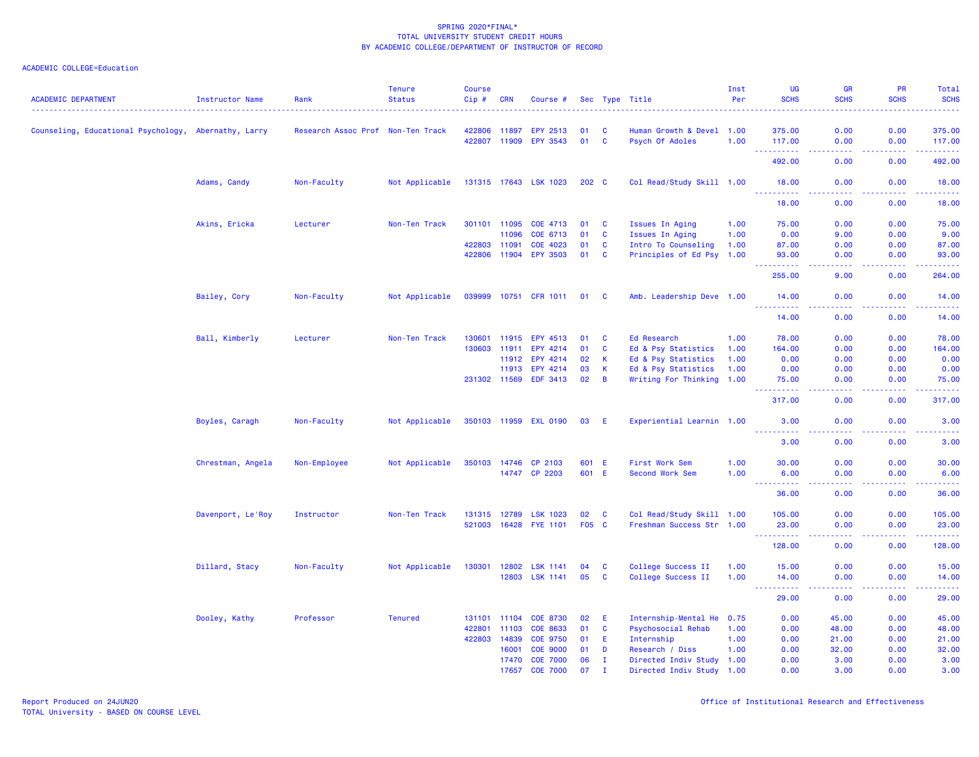| <b>ACADEMIC DEPARTMENT</b>                           | Instructor Name   | Rank                | <b>Tenure</b><br><b>Status</b> | <b>Course</b><br>Cip# | <b>CRN</b> | Course #                    |       |              | Sec Type Title                               | Inst<br>Per | UG<br><b>SCHS</b>        | <b>GR</b><br><b>SCHS</b>                                                                               | PR<br><b>SCHS</b> | Total<br><b>SCHS</b> |
|------------------------------------------------------|-------------------|---------------------|--------------------------------|-----------------------|------------|-----------------------------|-------|--------------|----------------------------------------------|-------------|--------------------------|--------------------------------------------------------------------------------------------------------|-------------------|----------------------|
| Counseling, Educational Psychology, Abernathy, Larry |                   | Research Assoc Prof |                                |                       | 11897      |                             | 01    | <b>C</b>     |                                              |             | 375.00                   | 0.00                                                                                                   | 0.00              | 375.00               |
|                                                      |                   |                     | Non-Ten Track                  | 422806<br>422807      | 11909      | EPY 2513<br><b>EPY 3543</b> | 01    | $\mathbf{C}$ | Human Growth & Devel 1.00<br>Psych Of Adoles | 1.00        | 117.00                   | 0.00                                                                                                   | 0.00              | 117.00               |
|                                                      |                   |                     |                                |                       |            |                             |       |              |                                              |             | .<br>492.00              | 0.00                                                                                                   | بالمحامي<br>0.00  | .<br>492.00          |
|                                                      | Adams, Candy      | Non-Faculty         | Not Applicable                 |                       |            | 131315 17643 LSK 1023       | 202 C |              | Col Read/Study Skill 1.00                    |             | 18.00                    | 0.00                                                                                                   | 0.00              | 18.00                |
|                                                      |                   |                     |                                |                       |            |                             |       |              |                                              |             | 18.00                    | 0.00                                                                                                   | 0.00              | 18.00                |
|                                                      |                   |                     |                                |                       |            |                             |       |              |                                              |             |                          |                                                                                                        |                   |                      |
|                                                      | Akins, Ericka     | Lecturer            | Non-Ten Track                  | 301101 11095          |            | COE 4713                    | 01    | - C          | <b>Issues In Aging</b>                       | 1.00        | 75.00                    | 0.00                                                                                                   | 0.00              | 75.00                |
|                                                      |                   |                     |                                |                       | 11096      | COE 6713                    | 01    | $\mathbf{C}$ | Issues In Aging                              | 1.00        | 0.00                     | 9.00                                                                                                   | 0.00              | 9.00                 |
|                                                      |                   |                     |                                | 422803 11091          |            | COE 4023                    | 01    | <b>C</b>     | Intro To Counseling                          | 1.00        | 87.00                    | 0.00                                                                                                   | 0.00              | 87.00                |
|                                                      |                   |                     |                                | 422806 11904          |            | <b>EPY 3503</b>             | 01    | $\mathbf{C}$ | Principles of Ed Psy 1.00                    |             | 93.00<br><u>.</u>        | 0.00<br>$\frac{1}{2} \left( \frac{1}{2} \right) \left( \frac{1}{2} \right) \left( \frac{1}{2} \right)$ | 0.00<br>.         | 93.00<br>.           |
|                                                      |                   |                     |                                |                       |            |                             |       |              |                                              |             | 255.00                   | 9.00                                                                                                   | 0.00              | 264.00               |
|                                                      | Bailey, Cory      | Non-Faculty         | Not Applicable                 |                       |            | 039999 10751 CFR 1011       | 01    | <b>C</b>     | Amb. Leadership Deve 1.00                    |             | 14.00                    | 0.00                                                                                                   | 0.00              | 14.00                |
|                                                      |                   |                     |                                |                       |            |                             |       |              |                                              |             | .<br>14.00               | $\frac{1}{2} \left( \frac{1}{2} \right) \left( \frac{1}{2} \right) \left( \frac{1}{2} \right)$<br>0.00 | .<br>0.00         | .<br>14.00           |
|                                                      | Ball, Kimberly    | Lecturer            | Non-Ten Track                  | 130601                | 11915      | EPY 4513                    | 01    | <b>C</b>     | Ed Research                                  | 1.00        | 78.00                    | 0.00                                                                                                   | 0.00              | 78.00                |
|                                                      |                   |                     |                                | 130603                | 11911      | EPY 4214                    | 01    | C            | Ed & Psy Statistics                          | 1.00        | 164.00                   | 0.00                                                                                                   | 0.00              | 164.00               |
|                                                      |                   |                     |                                |                       | 11912      | EPY 4214                    | 02    | К            | Ed & Psy Statistics                          | 1.00        | 0.00                     | 0.00                                                                                                   | 0.00              | 0.00                 |
|                                                      |                   |                     |                                |                       | 11913      | EPY 4214                    | 03    | $\mathsf{K}$ | Ed & Psy Statistics                          | 1.00        | 0.00                     | 0.00                                                                                                   | 0.00              | 0.00                 |
|                                                      |                   |                     |                                | 231302 11569          |            | <b>EDF 3413</b>             | 02    | B            | Writing For Thinking 1.00                    |             | 75.00                    | 0.00                                                                                                   | 0.00              | 75.00                |
|                                                      |                   |                     |                                |                       |            |                             |       |              |                                              |             | .<br>317.00              | $\omega$ is $\omega$ in<br>0.00                                                                        | .<br>0.00         | .<br>317.00          |
|                                                      | Boyles, Caragh    | Non-Faculty         | Not Applicable                 |                       |            | 350103 11959 EXL 0190       | 03    | - E          | Experiential Learnin 1.00                    |             | 3.00                     | 0.00                                                                                                   | 0.00              | 3.00                 |
|                                                      |                   |                     |                                |                       |            |                             |       |              |                                              |             | 3.00                     | 0.00                                                                                                   | 0.00              | 3.00                 |
|                                                      | Chrestman, Angela | Non-Employee        | Not Applicable                 | 350103                | 14746      | CP 2103                     | 601 E |              | First Work Sem                               | 1.00        | 30.00                    | 0.00                                                                                                   | 0.00              | 30.00                |
|                                                      |                   |                     |                                |                       |            | 14747 CP 2203               | 601 E |              | <b>Second Work Sem</b>                       | 1.00        | 6.00                     | 0.00                                                                                                   | 0.00              | 6.00                 |
|                                                      |                   |                     |                                |                       |            |                             |       |              |                                              |             | ----------<br>36.00      | د د د د<br>0.00                                                                                        | .<br>0.00         | .<br>36.00           |
|                                                      |                   |                     |                                |                       |            |                             |       |              |                                              |             |                          |                                                                                                        |                   |                      |
|                                                      | Davenport, Le'Roy | Instructor          | Non-Ten Track                  | 131315                | 12789      | <b>LSK 1023</b>             | 02    | <b>C</b>     | Col Read/Study Skill 1.00                    |             | 105.00                   | 0.00                                                                                                   | 0.00              | 105.00               |
|                                                      |                   |                     |                                | 521003 16428          |            | <b>FYE 1101</b>             | F05 C |              | Freshman Success Str 1.00                    |             | 23.00<br>----------      | 0.00<br>والمسامين                                                                                      | 0.00<br>-----     | 23.00<br>.           |
|                                                      |                   |                     |                                |                       |            |                             |       |              |                                              |             | 128.00                   | 0.00                                                                                                   | 0.00              | 128.00               |
|                                                      | Dillard, Stacy    | Non-Faculty         | Not Applicable                 | 130301 12802          |            | <b>LSK 1141</b>             | 04    | <b>C</b>     | College Success II                           | 1.00        | 15.00                    | 0.00                                                                                                   | 0.00              | 15.00                |
|                                                      |                   |                     |                                |                       | 12803      | <b>LSK 1141</b>             | 05    | $\mathbf{C}$ | College Success II                           | 1.00        | 14.00<br>$\sim 100$<br>. | 0.00<br>.                                                                                              | 0.00<br>.         | 14.00<br>.           |
|                                                      |                   |                     |                                |                       |            |                             |       |              |                                              |             | 29.00                    | 0.00                                                                                                   | 0.00              | 29.00                |
|                                                      | Dooley, Kathy     | Professor           | <b>Tenured</b>                 | 131101                | 11104      | <b>COE 8730</b>             | 02    | E.           | Internship-Mental He 0.75                    |             | 0.00                     | 45.00                                                                                                  | 0.00              | 45.00                |
|                                                      |                   |                     |                                | 422801                | 11103      | COE 8633                    | 01    | $\mathbf{C}$ | Psychosocial Rehab                           | 1.00        | 0.00                     | 48.00                                                                                                  | 0.00              | 48.00                |
|                                                      |                   |                     |                                | 422803                | 14839      | <b>COE 9750</b>             | 01    | E.           | Internship                                   | 1.00        | 0.00                     | 21.00                                                                                                  | 0.00              | 21.00                |
|                                                      |                   |                     |                                |                       | 16001      | <b>COE 9000</b>             | 01    | D            | Research / Diss                              | 1.00        | 0.00                     | 32.00                                                                                                  | 0.00              | 32.00                |
|                                                      |                   |                     |                                |                       | 17470      | <b>COE 7000</b>             | 06    | I.           | Directed Indiv Study 1.00                    |             | 0.00                     | 3.00                                                                                                   | 0.00              | 3.00                 |
|                                                      |                   |                     |                                |                       | 17657      | <b>COE 7000</b>             | 07    | $\mathbf{I}$ | Directed Indiv Study 1.00                    |             | 0.00                     | 3.00                                                                                                   | 0.00              | 3.00                 |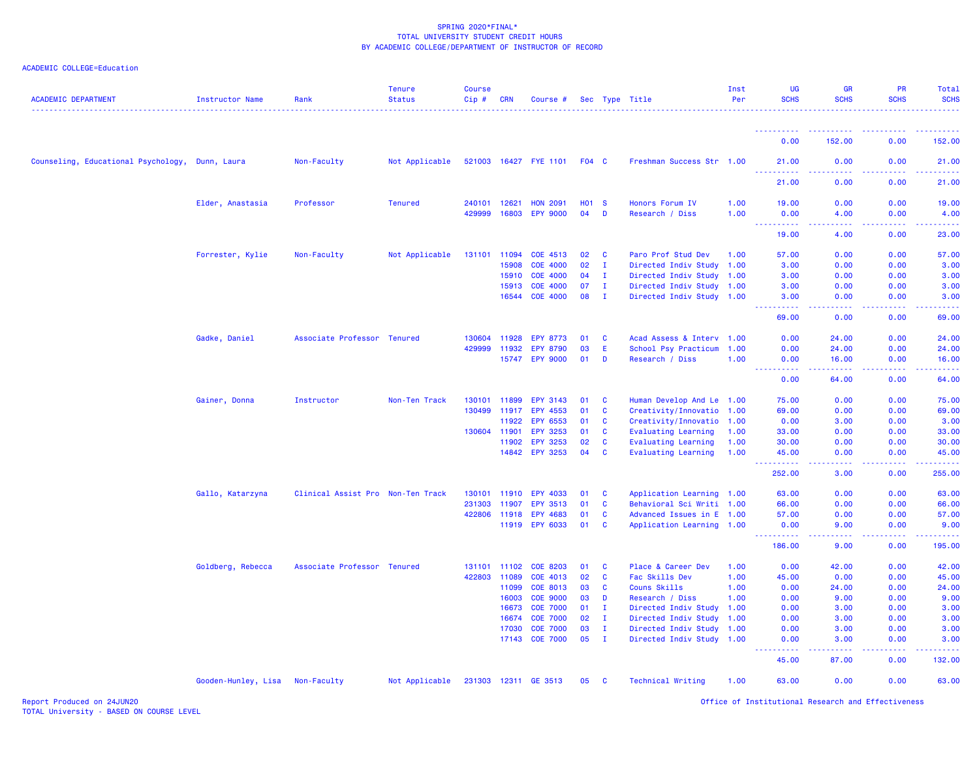## ACADEMIC COLLEGE=Education

| <b>ACADEMIC DEPARTMENT</b>          | <b>Instructor Name</b>          | Rank                              | <b>Tenure</b><br><b>Status</b> | <b>Course</b><br>Cip# | <b>CRN</b>   | Course #              |              |              | Sec Type Title             | Inst<br>Per | <b>UG</b><br><b>SCHS</b>                                                                                                          | <b>GR</b><br><b>SCHS</b> | <b>PR</b><br><b>SCHS</b> | Total<br><b>SCHS</b> |
|-------------------------------------|---------------------------------|-----------------------------------|--------------------------------|-----------------------|--------------|-----------------------|--------------|--------------|----------------------------|-------------|-----------------------------------------------------------------------------------------------------------------------------------|--------------------------|--------------------------|----------------------|
|                                     |                                 |                                   |                                |                       |              |                       |              |              |                            |             | <u> - - - - - - - - - -</u>                                                                                                       |                          | <u>.</u>                 |                      |
|                                     |                                 |                                   |                                |                       |              |                       |              |              |                            |             | 0.00                                                                                                                              | 152.00                   | 0.00                     | 152.00               |
| Counseling, Educational Psychology, | Dunn, Laura                     | Non-Faculty                       | Not Applicable                 |                       |              | 521003 16427 FYE 1101 | F04 C        |              | Freshman Success Str 1.00  |             | 21.00                                                                                                                             | 0.00                     | 0.00                     | 21.00                |
|                                     |                                 |                                   |                                |                       |              |                       |              |              |                            |             | 21.00                                                                                                                             | 0.00                     | 0.00                     | 21.00                |
|                                     | Elder, Anastasia                | Professor                         | <b>Tenured</b>                 | 240101                | 12621        | <b>HON 2091</b>       | <b>HO1 S</b> |              | Honors Forum IV            | 1.00        | 19.00                                                                                                                             | 0.00                     | 0.00                     | 19.00                |
|                                     |                                 |                                   |                                | 429999                | 16803        | <b>EPY 9000</b>       | 04           | D            | Research / Diss            | 1.00        | 0.00<br><u>.</u>                                                                                                                  | 4.00<br>.                | 0.00<br>.                | 4.00<br>.            |
|                                     |                                 |                                   |                                |                       |              |                       |              |              |                            |             | 19.00                                                                                                                             | 4.00                     | 0.00                     | 23.00                |
|                                     | Forrester, Kylie                | Non-Faculty                       | Not Applicable                 | 131101 11094          |              | COE 4513              | 02           | C            | Paro Prof Stud Dev         | 1.00        | 57.00                                                                                                                             | 0.00                     | 0.00                     | 57.00                |
|                                     |                                 |                                   |                                |                       | 15908        | <b>COE 4000</b>       | 02           | $\mathbf{I}$ | Directed Indiv Study       | 1.00        | 3.00                                                                                                                              | 0.00                     | 0.00                     | 3.00                 |
|                                     |                                 |                                   |                                |                       | 15910        | <b>COE 4000</b>       | 04           | $\mathbf{I}$ | Directed Indiv Study       | 1.00        | 3.00                                                                                                                              | 0.00                     | 0.00                     | 3.00                 |
|                                     |                                 |                                   |                                |                       | 15913        | COE 4000              | 07           | I.           | Directed Indiv Study 1.00  |             | 3.00                                                                                                                              | 0.00                     | 0.00                     | 3.00                 |
|                                     |                                 |                                   |                                |                       |              | 16544 COE 4000        | 08           | I.           | Directed Indiv Study 1.00  |             | 3.00                                                                                                                              | 0.00                     | 0.00                     | 3.00                 |
|                                     |                                 |                                   |                                |                       |              |                       |              |              |                            |             | 69.00                                                                                                                             | 0.00                     | 0.00                     | 69.00                |
|                                     | Gadke, Daniel                   | Associate Professor Tenured       |                                |                       | 130604 11928 | <b>EPY 8773</b>       | 01           | <b>C</b>     | Acad Assess & Interv 1.00  |             | 0.00                                                                                                                              | 24.00                    | 0.00                     | 24.00                |
|                                     |                                 |                                   |                                | 429999                | 11932        | <b>EPY 8790</b>       | 03           | E            | School Psy Practicum       | 1.00        | 0.00                                                                                                                              | 24.00                    | 0.00                     | 24.00                |
|                                     |                                 |                                   |                                |                       |              | 15747 EPY 9000        | 01           | D            | Research / Diss            | 1.00        | 0.00                                                                                                                              | 16.00                    | 0.00                     | 16.00                |
|                                     |                                 |                                   |                                |                       |              |                       |              |              |                            |             | .<br>$\frac{1}{2} \left( \frac{1}{2} \right) \left( \frac{1}{2} \right) \left( \frac{1}{2} \right)$<br>0.00                       | 64.00                    | 0.00                     | 64.00                |
|                                     | Gainer, Donna                   | Instructor                        | Non-Ten Track                  | 130101                | 11899        | <b>EPY 3143</b>       | 01           | C            | Human Develop And Le 1.00  |             | 75.00                                                                                                                             | 0.00                     | 0.00                     | 75.00                |
|                                     |                                 |                                   |                                | 130499                | 11917        | EPY 4553              | 01           | C            | Creativity/Innovatio       | 1.00        | 69.00                                                                                                                             | 0.00                     | 0.00                     | 69.00                |
|                                     |                                 |                                   |                                |                       | 11922        | EPY 6553              | 01           | <b>C</b>     | Creativity/Innovatio       | 1.00        | 0.00                                                                                                                              | 3.00                     | 0.00                     | 3.00                 |
|                                     |                                 |                                   |                                | 130604 11901          |              | EPY 3253              | 01           | <b>C</b>     | <b>Evaluating Learning</b> | 1.00        | 33.00                                                                                                                             | 0.00                     | 0.00                     | 33.00                |
|                                     |                                 |                                   |                                |                       | 11902        | <b>EPY 3253</b>       | 02           | <b>C</b>     | <b>Evaluating Learning</b> | 1.00        | 30.00                                                                                                                             | 0.00                     | 0.00                     | 30.00                |
|                                     |                                 |                                   |                                |                       |              | 14842 EPY 3253        | 04           | <b>C</b>     | <b>Evaluating Learning</b> | 1.00        | 45.00                                                                                                                             | 0.00                     | 0.00                     | 45.00                |
|                                     |                                 |                                   |                                |                       |              |                       |              |              |                            |             | .<br>252.00                                                                                                                       | .<br>3.00                | .<br>0.00                | .<br>255.00          |
|                                     | Gallo, Katarzyna                | Clinical Assist Pro Non-Ten Track |                                |                       | 130101 11910 | <b>EPY 4033</b>       | 01           | <b>C</b>     | Application Learning 1.00  |             | 63.00                                                                                                                             | 0.00                     | 0.00                     | 63.00                |
|                                     |                                 |                                   |                                | 231303                | 11907        | EPY 3513              | 01           | C            | Behavioral Sci Writi 1.00  |             | 66.00                                                                                                                             | 0.00                     | 0.00                     | 66.00                |
|                                     |                                 |                                   |                                |                       | 422806 11918 | <b>EPY 4683</b>       | 01           | C            | Advanced Issues in E 1.00  |             | 57.00                                                                                                                             | 0.00                     | 0.00                     | 57.00                |
|                                     |                                 |                                   |                                |                       |              | 11919 EPY 6033        | 01           | <b>C</b>     | Application Learning 1.00  |             | 0.00                                                                                                                              | 9.00                     | 0.00                     | 9.00                 |
|                                     |                                 |                                   |                                |                       |              |                       |              |              |                            |             | 186.00                                                                                                                            | 9.00                     | 0.00                     | 195.00               |
|                                     | Goldberg, Rebecca               | Associate Professor Tenured       |                                |                       | 131101 11102 | <b>COE 8203</b>       | 01           | <b>C</b>     | Place & Career Dev         | 1.00        | 0.00                                                                                                                              | 42.00                    | 0.00                     | 42.00                |
|                                     |                                 |                                   |                                | 422803 11089          |              | COE 4013              | 02           | C            | Fac Skills Dev             | 1.00        | 45.00                                                                                                                             | 0.00                     | 0.00                     | 45.00                |
|                                     |                                 |                                   |                                |                       | 11099        | COE 8013              | 03           | C            | Couns Skills               | 1.00        | 0.00                                                                                                                              | 24.00                    | 0.00                     | 24.00                |
|                                     |                                 |                                   |                                |                       | 16003        | <b>COE 9000</b>       | 03           | D            | Research / Diss            | 1.00        | 0.00                                                                                                                              | 9.00                     | 0.00                     | 9.00                 |
|                                     |                                 |                                   |                                |                       | 16673        | <b>COE 7000</b>       | 01           | $\mathbf{I}$ | Directed Indiv Study 1.00  |             | 0.00                                                                                                                              | 3.00                     | 0.00                     | 3.00                 |
|                                     |                                 |                                   |                                |                       | 16674        | <b>COE 7000</b>       | 02           | $\mathbf{I}$ | Directed Indiv Study       | 1.00        | 0.00                                                                                                                              | 3.00                     | 0.00                     | 3.00                 |
|                                     |                                 |                                   |                                |                       | 17030        | <b>COE 7000</b>       | 03           | $\mathbf{I}$ | Directed Indiv Study       | 1.00        | 0.00                                                                                                                              | 3.00                     | 0.00                     | 3.00                 |
|                                     |                                 |                                   |                                |                       |              | 17143 COE 7000        | 05           | $\mathbf{I}$ | Directed Indiv Study 1.00  |             | 0.00<br>$\frac{1}{2} \left( \frac{1}{2} \right) \left( \frac{1}{2} \right) \left( \frac{1}{2} \right) \left( \frac{1}{2} \right)$ | 3.00                     | 0.00                     | 3.00                 |
|                                     |                                 |                                   |                                |                       |              |                       |              |              |                            |             | 45.00                                                                                                                             | 87.00                    | 0.00                     | 132.00               |
|                                     | Gooden-Hunley, Lisa Non-Faculty |                                   | Not Applicable                 |                       |              | 231303 12311 GE 3513  | 05 C         |              | <b>Technical Writing</b>   | 1.00        | 63.00                                                                                                                             | 0.00                     | 0.00                     | 63.00                |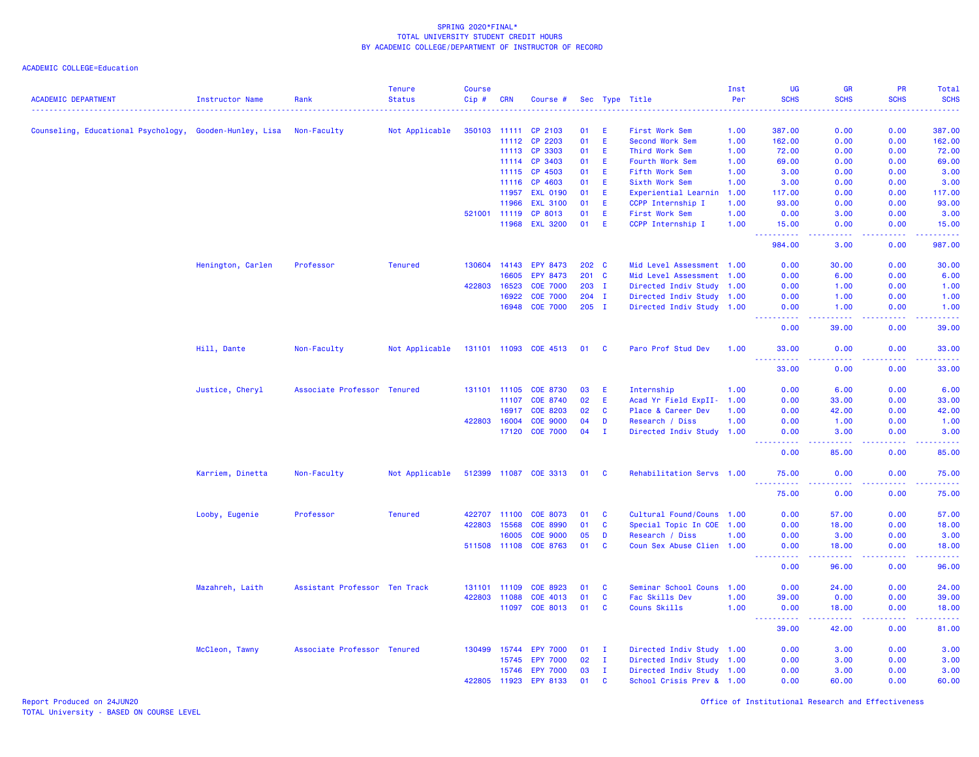ACADEMIC COLLEGE=Education

| <b>ACADEMIC DEPARTMENT</b>                              | <b>Instructor Name</b> | Rank                          | <b>Tenure</b><br><b>Status</b> | Course<br>$Cip$ # | <b>CRN</b>   | Course #                   |    |              | Sec Type Title            | Inst<br>Per | UG<br><b>SCHS</b>                                                                                                                 | <b>GR</b><br><b>SCHS</b>                    | PR<br><b>SCHS</b> | Total<br><b>SCHS</b> |
|---------------------------------------------------------|------------------------|-------------------------------|--------------------------------|-------------------|--------------|----------------------------|----|--------------|---------------------------|-------------|-----------------------------------------------------------------------------------------------------------------------------------|---------------------------------------------|-------------------|----------------------|
|                                                         |                        |                               |                                |                   |              |                            |    |              |                           |             |                                                                                                                                   |                                             |                   |                      |
| Counseling, Educational Psychology, Gooden-Hunley, Lisa |                        | Non-Faculty                   | Not Applicable                 |                   | 350103 11111 | CP 2103                    | 01 | Ε            | First Work Sem            | 1.00        | 387.00                                                                                                                            | 0.00                                        | 0.00              | 387.00               |
|                                                         |                        |                               |                                |                   | 11112        | CP 2203                    | 01 | E            | <b>Second Work Sem</b>    | 1.00        | 162.00                                                                                                                            | 0.00                                        | 0.00              | 162.00               |
|                                                         |                        |                               |                                |                   | 11113        | CP 3303                    | 01 | Ε            | Third Work Sem            | 1.00        | 72.00                                                                                                                             | 0.00                                        | 0.00              | 72.00                |
|                                                         |                        |                               |                                |                   | 11114        | CP 3403                    | 01 | E            | Fourth Work Sem           | 1.00        | 69.00                                                                                                                             | 0.00                                        | 0.00              | 69.00                |
|                                                         |                        |                               |                                |                   | 11115        | CP 4503                    | 01 | Е            | Fifth Work Sem            | 1.00        | 3.00                                                                                                                              | 0.00                                        | 0.00              | 3.00                 |
|                                                         |                        |                               |                                |                   | 11116        | CP 4603                    | 01 | Ε            | Sixth Work Sem            | 1.00        | 3.00                                                                                                                              | 0.00                                        | 0.00              | 3.00                 |
|                                                         |                        |                               |                                |                   | 11957        | <b>EXL 0190</b>            | 01 | Ε            | Experiential Learnin      | 1.00        | 117.00                                                                                                                            | 0.00                                        | 0.00              | 117.00               |
|                                                         |                        |                               |                                |                   | 11966        | <b>EXL 3100</b>            | 01 | Ε            | CCPP Internship I         | 1.00        | 93.00                                                                                                                             | 0.00                                        | 0.00              | 93.00                |
|                                                         |                        |                               |                                | 521001            | 11119        | CP 8013                    | 01 | E            | First Work Sem            | 1.00        | 0.00                                                                                                                              | 3.00                                        | 0.00              | 3.00                 |
|                                                         |                        |                               |                                |                   | 11968        | <b>EXL 3200</b>            | 01 | E            | CCPP Internship I         | 1.00        | 15.00<br>المتمامين                                                                                                                | 0.00<br>المتمامين                           | 0.00<br>.         | 15.00<br>222222      |
|                                                         |                        |                               |                                |                   |              |                            |    |              |                           |             | 984.00                                                                                                                            | 3.00                                        | 0.00              | 987.00               |
|                                                         | Henington, Carlen      | Professor                     | <b>Tenured</b>                 | 130604            | 14143        | EPY 8473                   |    | 202 C        | Mid Level Assessment 1.00 |             | 0.00                                                                                                                              | 30.00                                       | 0.00              | 30.00                |
|                                                         |                        |                               |                                |                   | 16605        | EPY 8473                   |    | 201 C        | Mid Level Assessment      | 1.00        | 0.00                                                                                                                              | 6.00                                        | 0.00              | 6.00                 |
|                                                         |                        |                               |                                | 422803            | 16523        | <b>COE 7000</b>            |    | 203 I        | Directed Indiv Study      | 1.00        | 0.00                                                                                                                              | 1.00                                        | 0.00              | 1.00                 |
|                                                         |                        |                               |                                |                   | 16922        | <b>COE 7000</b>            |    | $204$ I      | Directed Indiv Study 1.00 |             | 0.00                                                                                                                              | 1.00                                        | 0.00              | 1.00                 |
|                                                         |                        |                               |                                |                   | 16948        | <b>COE 7000</b>            |    | $205$ I      | Directed Indiv Study 1.00 |             | 0.00                                                                                                                              | 1.00                                        | 0.00              | 1.00                 |
|                                                         |                        |                               |                                |                   |              |                            |    |              |                           |             | .<br>0.00                                                                                                                         | والمستناء<br>39.00                          | .<br>0.00         | .<br>39.00           |
|                                                         | Hill, Dante            | Non-Faculty                   | Not Applicable                 |                   |              | 131101 11093 COE 4513      | 01 | $\mathbf{C}$ | Paro Prof Stud Dev        | 1.00        | 33.00                                                                                                                             | 0.00                                        | 0.00              | 33.00                |
|                                                         |                        |                               |                                |                   |              |                            |    |              |                           |             | 33.00                                                                                                                             | 0.00                                        | 0.00              | 33.00                |
|                                                         | Justice, Cheryl        | Associate Professor           | Tenured                        |                   | 131101 11105 | <b>COE 8730</b>            | 03 | Е            | Internship                | 1.00        | 0.00                                                                                                                              | 6.00                                        | 0.00              | 6.00                 |
|                                                         |                        |                               |                                |                   | 11107        | COE 8740                   | 02 | Ε            | Acad Yr Field ExpII- 1.00 |             | 0.00                                                                                                                              | 33.00                                       | 0.00              | 33.00                |
|                                                         |                        |                               |                                |                   | 16917        | <b>COE 8203</b>            | 02 | C            | Place & Career Dev        | 1.00        | 0.00                                                                                                                              | 42.00                                       | 0.00              | 42.00                |
|                                                         |                        |                               |                                | 422803            | 16004        | <b>COE 9000</b>            | 04 | D            | Research / Diss           | 1.00        | 0.00                                                                                                                              | 1.00                                        | 0.00              | 1.00                 |
|                                                         |                        |                               |                                |                   | 17120        | <b>COE 7000</b>            | 04 | $\mathbf{I}$ | Directed Indiv Study 1.00 |             | 0.00                                                                                                                              | 3.00                                        | 0.00              | 3.00                 |
|                                                         |                        |                               |                                |                   |              |                            |    |              |                           |             | 0.00                                                                                                                              | 85.00                                       | 0.00              | 85.00                |
|                                                         | Karriem, Dinetta       | Non-Faculty                   | Not Applicable                 |                   |              | 512399 11087 COE 3313 01 C |    |              | Rehabilitation Servs 1.00 |             | 75.00<br>.                                                                                                                        | 0.00<br>.                                   | 0.00<br><b></b>   | 75.00<br>.           |
|                                                         |                        |                               |                                |                   |              |                            |    |              |                           |             | 75.00                                                                                                                             | 0.00                                        | 0.00              | 75.00                |
|                                                         | Looby, Eugenie         | Professor                     | <b>Tenured</b>                 | 422707            | 11100        | <b>COE 8073</b>            | 01 | C            | Cultural Found/Couns 1.00 |             | 0.00                                                                                                                              | 57.00                                       | 0.00              | 57.00                |
|                                                         |                        |                               |                                | 422803            | 15568        | <b>COE 8990</b>            | 01 | C            | Special Topic In COE      | 1.00        | 0.00                                                                                                                              | 18.00                                       | 0.00              | 18.00                |
|                                                         |                        |                               |                                |                   | 16005        | <b>COE 9000</b>            | 05 | D            | Research / Diss           | 1.00        | 0.00                                                                                                                              | 3.00                                        | 0.00              | 3.00                 |
|                                                         |                        |                               |                                |                   | 511508 11108 | <b>COE 8763</b>            | 01 | C            | Coun Sex Abuse Clien 1.00 |             | 0.00<br>$\frac{1}{2} \left( \frac{1}{2} \right) \left( \frac{1}{2} \right) \left( \frac{1}{2} \right) \left( \frac{1}{2} \right)$ | 18.00<br>-----                              | 0.00<br>22222     | 18.00<br>.           |
|                                                         |                        |                               |                                |                   |              |                            |    |              |                           |             | 0.00                                                                                                                              | 96.00                                       | 0.00              | 96.00                |
|                                                         | Mazahreh, Laith        | Assistant Professor Ten Track |                                | 131101            | 11109        | COE 8923                   | 01 | C            | Seminar School Couns      | 1.00        | 0.00                                                                                                                              | 24.00                                       | 0.00              | 24.00                |
|                                                         |                        |                               |                                | 422803            | 11088        | COE 4013                   | 01 | C            | Fac Skills Dev            | 1.00        | 39.00                                                                                                                             | 0.00                                        | 0.00              | 39.00                |
|                                                         |                        |                               |                                |                   | 11097        | <b>COE 8013</b>            | 01 | C            | <b>Couns Skills</b>       | 1.00        | 0.00                                                                                                                              | 18.00                                       | 0.00              | 18.00                |
|                                                         |                        |                               |                                |                   |              |                            |    |              |                           |             | .<br>39.00                                                                                                                        | $\sim$ $\sim$ $\sim$ $\sim$ $\sim$<br>42.00 | .<br>0.00         | .<br>81.00           |
|                                                         | McCleon, Tawny         | Associate Professor Tenured   |                                |                   | 130499 15744 | <b>EPY 7000</b>            | 01 | $\mathbf{I}$ | Directed Indiv Study 1.00 |             | 0.00                                                                                                                              | 3.00                                        | 0.00              | 3.00                 |
|                                                         |                        |                               |                                |                   | 15745        | <b>EPY 7000</b>            | 02 | $\mathbf{I}$ | Directed Indiv Study 1.00 |             | 0.00                                                                                                                              | 3.00                                        | 0.00              | 3.00                 |
|                                                         |                        |                               |                                |                   | 15746        | <b>EPY 7000</b>            | 03 | I.           | Directed Indiv Study 1.00 |             | 0.00                                                                                                                              | 3.00                                        | 0.00              | 3.00                 |
|                                                         |                        |                               |                                | 422805            | 11923        | EPY 8133                   | 01 | C            | School Crisis Prev & 1.00 |             | 0.00                                                                                                                              | 60.00                                       | 0.00              | 60.00                |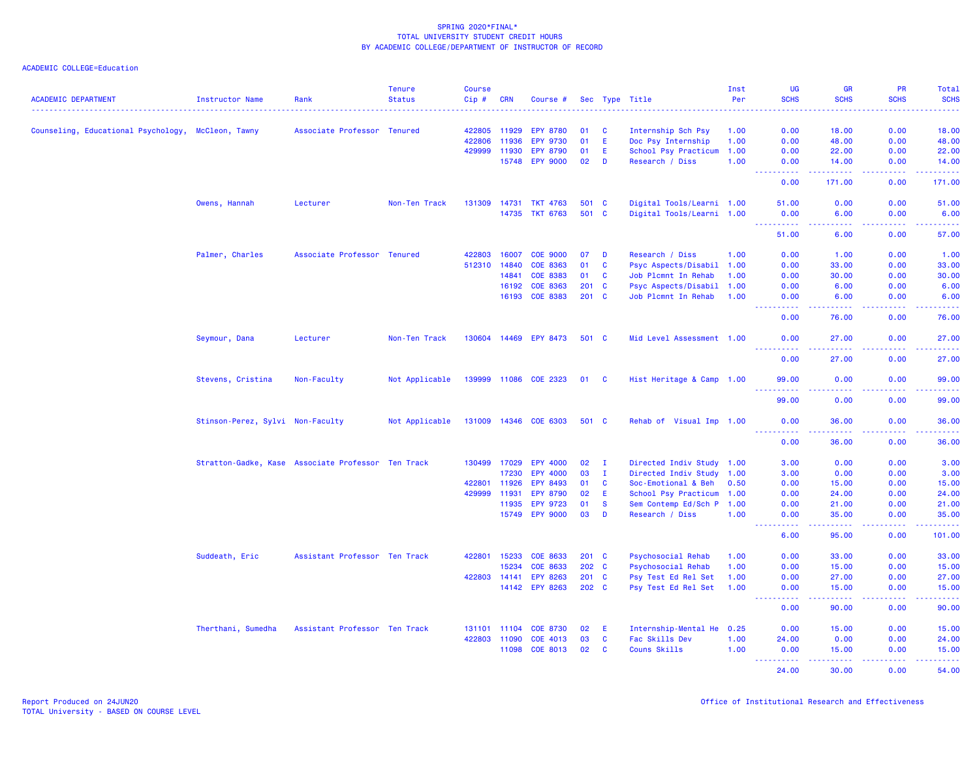| <b>ACADEMIC DEPARTMENT</b>                         | <b>Instructor Name</b>                             | Rank                          | <b>Tenure</b><br><b>Status</b> | Course<br>Cip# | <b>CRN</b> | Course #              |         |              | Sec Type Title            | Inst<br>Per | <b>UG</b><br><b>SCHS</b>                      | <b>GR</b><br><b>SCHS</b>                                                                                                                                      | <b>PR</b><br><b>SCHS</b>                                                                                                          | Total<br><b>SCHS</b>                                                                                                                                          |
|----------------------------------------------------|----------------------------------------------------|-------------------------------|--------------------------------|----------------|------------|-----------------------|---------|--------------|---------------------------|-------------|-----------------------------------------------|---------------------------------------------------------------------------------------------------------------------------------------------------------------|-----------------------------------------------------------------------------------------------------------------------------------|---------------------------------------------------------------------------------------------------------------------------------------------------------------|
|                                                    |                                                    |                               |                                |                |            |                       |         |              |                           |             |                                               |                                                                                                                                                               |                                                                                                                                   |                                                                                                                                                               |
| Counseling, Educational Psychology, McCleon, Tawny |                                                    | Associate Professor Tenured   |                                | 422805         | 11929      | <b>EPY 8780</b>       | 01      | <b>C</b>     | Internship Sch Psy        | 1.00        | 0.00                                          | 18.00                                                                                                                                                         | 0.00                                                                                                                              | 18,00                                                                                                                                                         |
|                                                    |                                                    |                               |                                | 422806         | 11936      | <b>EPY 9730</b>       | 01      | Ε            | Doc Psy Internship        | 1.00        | 0.00                                          | 48.00                                                                                                                                                         | 0.00                                                                                                                              | 48.00                                                                                                                                                         |
|                                                    |                                                    |                               |                                | 429999         | 11930      | <b>EPY 8790</b>       | 01      | Ε            | School Psy Practicum      | 1.00        | 0.00                                          | 22.00                                                                                                                                                         | 0.00                                                                                                                              | 22.00                                                                                                                                                         |
|                                                    |                                                    |                               |                                |                | 15748      | <b>EPY 9000</b>       | 02      | D            | Research / Diss           | 1.00        | 0.00<br>.                                     | 14.00<br>.                                                                                                                                                    | 0.00<br>$\frac{1}{2} \left( \frac{1}{2} \right) \left( \frac{1}{2} \right) \left( \frac{1}{2} \right) \left( \frac{1}{2} \right)$ | 14.00<br>$\frac{1}{2} \left( \frac{1}{2} \right) \left( \frac{1}{2} \right) \left( \frac{1}{2} \right) \left( \frac{1}{2} \right) \left( \frac{1}{2} \right)$ |
|                                                    |                                                    |                               |                                |                |            |                       |         |              |                           |             | 0.00                                          | 171.00                                                                                                                                                        | 0.00                                                                                                                              | 171.00                                                                                                                                                        |
|                                                    | Owens, Hannah                                      | Lecturer                      | Non-Ten Track                  | 131309 14731   |            | <b>TKT 4763</b>       |         | 501 C        | Digital Tools/Learni 1.00 |             | 51.00                                         | 0.00                                                                                                                                                          | 0.00                                                                                                                              | 51.00                                                                                                                                                         |
|                                                    |                                                    |                               |                                |                |            | 14735 TKT 6763        | 501 C   |              | Digital Tools/Learni 1.00 |             | 0.00<br><u> - - - - - - - - - -</u>           | 6.00<br>22222                                                                                                                                                 | 0.00<br>المتمامين                                                                                                                 | 6.00<br>$\begin{array}{cccccccccc} \bullet & \bullet & \bullet & \bullet & \bullet & \bullet & \bullet & \bullet \end{array}$                                 |
|                                                    |                                                    |                               |                                |                |            |                       |         |              |                           |             | 51.00                                         | 6.00                                                                                                                                                          | 0.00                                                                                                                              | 57.00                                                                                                                                                         |
|                                                    | Palmer, Charles                                    | Associate Professor Tenured   |                                | 422803         | 16007      | <b>COE 9000</b>       | 07      | D            | Research / Diss           | 1.00        | 0.00                                          | 1.00                                                                                                                                                          | 0.00                                                                                                                              | 1.00                                                                                                                                                          |
|                                                    |                                                    |                               |                                | 512310         | 14840      | <b>COE 8363</b>       | 01      | C            | Psyc Aspects/Disabil 1.00 |             | 0.00                                          | 33.00                                                                                                                                                         | 0.00                                                                                                                              | 33.00                                                                                                                                                         |
|                                                    |                                                    |                               |                                |                | 14841      | <b>COE 8383</b>       | 01      | <b>C</b>     | Job Plcmnt In Rehab       | 1.00        | 0.00                                          | 30.00                                                                                                                                                         | 0.00                                                                                                                              | 30.00                                                                                                                                                         |
|                                                    |                                                    |                               |                                |                | 16192      | <b>COE 8363</b>       | $201$ C |              | Psyc Aspects/Disabil 1.00 |             | 0.00                                          | 6.00                                                                                                                                                          | 0.00                                                                                                                              | 6.00                                                                                                                                                          |
|                                                    |                                                    |                               |                                |                | 16193      | <b>COE 8383</b>       | $201$ C |              | Job Plcmnt In Rehab       | 1.00        | 0.00<br>22222                                 | 6.00<br>$\frac{1}{2} \left( \frac{1}{2} \right) \left( \frac{1}{2} \right) \left( \frac{1}{2} \right) \left( \frac{1}{2} \right) \left( \frac{1}{2} \right)$  | 0.00<br>22222                                                                                                                     | 6.00<br>.                                                                                                                                                     |
|                                                    |                                                    |                               |                                |                |            |                       |         |              |                           |             | 0.00                                          | 76.00                                                                                                                                                         | 0.00                                                                                                                              | 76.00                                                                                                                                                         |
|                                                    | Seymour, Dana                                      | Lecturer                      | Non-Ten Track                  |                |            | 130604 14469 EPY 8473 | 501 C   |              | Mid Level Assessment 1.00 |             | 0.00<br><u>.</u>                              | 27.00<br>.                                                                                                                                                    | 0.00<br>.                                                                                                                         | 27.00<br>.                                                                                                                                                    |
|                                                    |                                                    |                               |                                |                |            |                       |         |              |                           |             | 0.00                                          | 27.00                                                                                                                                                         | 0.00                                                                                                                              | 27.00                                                                                                                                                         |
|                                                    | Stevens, Cristina                                  | Non-Faculty                   | Not Applicable                 |                |            | 139999 11086 COE 2323 | 01 C    |              | Hist Heritage & Camp 1.00 |             | 99.00<br><u>.</u>                             | 0.00<br>.                                                                                                                                                     | 0.00<br>22222                                                                                                                     | 99.00                                                                                                                                                         |
|                                                    |                                                    |                               |                                |                |            |                       |         |              |                           |             | 99.00                                         | 0.00                                                                                                                                                          | 0.00                                                                                                                              | .<br>99.00                                                                                                                                                    |
|                                                    | Stinson-Perez, Sylvi Non-Faculty                   |                               | Not Applicable                 |                |            | 131009 14346 COE 6303 | 501 C   |              | Rehab of Visual Imp 1.00  |             | 0.00<br>$   -$<br>.                           | 36.00<br>-----                                                                                                                                                | 0.00<br>$- - - - -$                                                                                                               | 36.00                                                                                                                                                         |
|                                                    |                                                    |                               |                                |                |            |                       |         |              |                           |             | 0.00                                          | 36.00                                                                                                                                                         | 0.00                                                                                                                              | .<br>36.00                                                                                                                                                    |
|                                                    | Stratton-Gadke, Kase Associate Professor Ten Track |                               |                                | 130499 17029   |            | EPY 4000              | 02      | $\mathbf{I}$ | Directed Indiv Study 1.00 |             | 3.00                                          | 0.00                                                                                                                                                          | 0.00                                                                                                                              | 3.00                                                                                                                                                          |
|                                                    |                                                    |                               |                                |                | 17230      | EPY 4000              | 03      | $\mathbf{I}$ | Directed Indiv Study 1.00 |             | 3.00                                          | 0.00                                                                                                                                                          | 0.00                                                                                                                              | 3.00                                                                                                                                                          |
|                                                    |                                                    |                               |                                | 422801         | 11926      | <b>EPY 8493</b>       | 01      | C            | Soc-Emotional & Beh       | 0.50        | 0.00                                          | 15.00                                                                                                                                                         | 0.00                                                                                                                              | 15.00                                                                                                                                                         |
|                                                    |                                                    |                               |                                | 429999         | 11931      | <b>EPY 8790</b>       | 02      | Ε            | School Psy Practicum 1.00 |             | 0.00                                          | 24.00                                                                                                                                                         | 0.00                                                                                                                              | 24.00                                                                                                                                                         |
|                                                    |                                                    |                               |                                |                | 11935      | <b>EPY 9723</b>       | 01      | <b>S</b>     | Sem Contemp Ed/Sch P 1.00 |             | 0.00                                          | 21.00                                                                                                                                                         | 0.00                                                                                                                              | 21.00                                                                                                                                                         |
|                                                    |                                                    |                               |                                |                | 15749      | <b>EPY 9000</b>       | 03      | D            | Research / Diss           | 1.00        | 0.00<br>$\omega_{\rm c}$ and $\omega_{\rm c}$ | 35.00<br>.                                                                                                                                                    | 0.00<br>22222                                                                                                                     | 35.00<br>22222)                                                                                                                                               |
|                                                    |                                                    |                               |                                |                |            |                       |         |              |                           |             | 6.00                                          | 95.00                                                                                                                                                         | 0.00                                                                                                                              | 101.00                                                                                                                                                        |
|                                                    | Suddeath, Eric                                     | Assistant Professor Ten Track |                                | 422801         | 15233      | COE 8633              |         | 201 C        | Psychosocial Rehab        | 1.00        | 0.00                                          | 33.00                                                                                                                                                         | 0.00                                                                                                                              | 33.00                                                                                                                                                         |
|                                                    |                                                    |                               |                                |                | 15234      | COE 8633              |         | 202 C        | Psychosocial Rehab        | 1.00        | 0.00                                          | 15.00                                                                                                                                                         | 0.00                                                                                                                              | 15.00                                                                                                                                                         |
|                                                    |                                                    |                               |                                | 422803         | 14141      | <b>EPY 8263</b>       | $201$ C |              | Psy Test Ed Rel Set       | 1.00        | 0.00                                          | 27.00                                                                                                                                                         | 0.00                                                                                                                              | 27.00                                                                                                                                                         |
|                                                    |                                                    |                               |                                |                |            | 14142 EPY 8263        | 202 C   |              | Psy Test Ed Rel Set       | 1.00        | 0.00<br><u> - - - - - - - - - -</u>           | 15.00<br>$\frac{1}{2} \left( \frac{1}{2} \right) \left( \frac{1}{2} \right) \left( \frac{1}{2} \right) \left( \frac{1}{2} \right) \left( \frac{1}{2} \right)$ | 0.00<br>$- - - - -$                                                                                                               | 15.00<br>.                                                                                                                                                    |
|                                                    |                                                    |                               |                                |                |            |                       |         |              |                           |             | 0.00                                          | 90.00                                                                                                                                                         | 0.00                                                                                                                              | 90.00                                                                                                                                                         |
|                                                    | Therthani, Sumedha                                 | Assistant Professor Ten Track |                                | 131101 11104   |            | <b>COE 8730</b>       | 02      | E            | Internship-Mental He 0.25 |             | 0.00                                          | 15.00                                                                                                                                                         | 0.00                                                                                                                              | 15.00                                                                                                                                                         |
|                                                    |                                                    |                               |                                | 422803 11090   |            | COE 4013              | 03      | $\mathbf{C}$ | Fac Skills Dev            | 1.00        | 24.00                                         | 0.00                                                                                                                                                          | 0.00                                                                                                                              | 24.00                                                                                                                                                         |
|                                                    |                                                    |                               |                                |                | 11098      | <b>COE 8013</b>       | 02      | C            | Couns Skills              | 1.00        | 0.00<br>.                                     | 15.00<br>22222                                                                                                                                                | 0.00                                                                                                                              | 15.00                                                                                                                                                         |
|                                                    |                                                    |                               |                                |                |            |                       |         |              |                           |             | 24.00                                         | 30.00                                                                                                                                                         | 0.00                                                                                                                              | 54.00                                                                                                                                                         |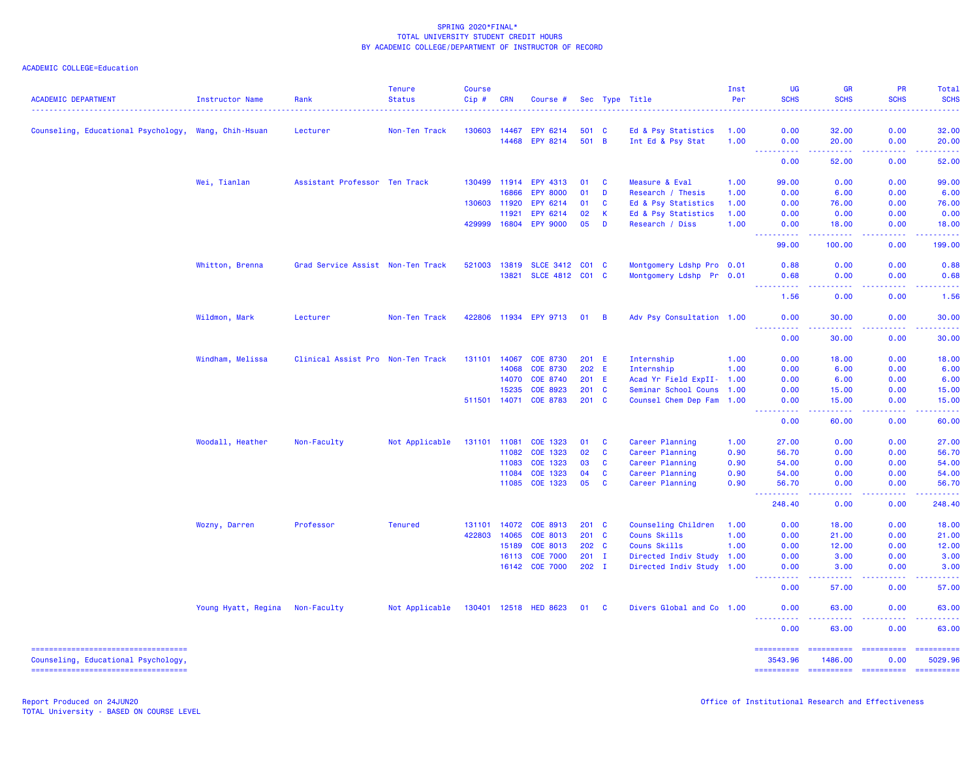| <b>ACADEMIC DEPARTMENT</b>                           | Instructor Name     | Rank                              | <b>Tenure</b><br><b>Status</b> | <b>Course</b><br>Cip# | <b>CRN</b>     | Course #              |                |                | Sec Type Title                           | Inst<br>Per  | <b>UG</b><br><b>SCHS</b>                                                                       | <b>GR</b><br><b>SCHS</b>                                                                                                                                      | PR<br><b>SCHS</b>                                                                                                                                            | <b>Total</b><br><b>SCHS</b> |
|------------------------------------------------------|---------------------|-----------------------------------|--------------------------------|-----------------------|----------------|-----------------------|----------------|----------------|------------------------------------------|--------------|------------------------------------------------------------------------------------------------|---------------------------------------------------------------------------------------------------------------------------------------------------------------|--------------------------------------------------------------------------------------------------------------------------------------------------------------|-----------------------------|
|                                                      |                     |                                   |                                |                       |                |                       |                |                |                                          |              |                                                                                                |                                                                                                                                                               |                                                                                                                                                              |                             |
| Counseling, Educational Psychology, Wang, Chih-Hsuan |                     | Lecturer                          | Non-Ten Track                  | 130603                | 14467<br>14468 | EPY 6214<br>EPY 8214  | 501 C<br>501 B |                | Ed & Psy Statistics<br>Int Ed & Psy Stat | 1.00<br>1.00 | 0.00<br>0.00                                                                                   | 32.00<br>20.00                                                                                                                                                | 0.00<br>0.00                                                                                                                                                 | 32.00<br>20.00              |
|                                                      |                     |                                   |                                |                       |                |                       |                |                |                                          |              | .                                                                                              | $\frac{1}{2} \left( \frac{1}{2} \right) \left( \frac{1}{2} \right) \left( \frac{1}{2} \right) \left( \frac{1}{2} \right)$                                     | 22222                                                                                                                                                        | .                           |
|                                                      |                     |                                   |                                |                       |                |                       |                |                |                                          |              | 0.00                                                                                           | 52.00                                                                                                                                                         | 0.00                                                                                                                                                         | 52.00                       |
|                                                      | Wei, Tianlan        | Assistant Professor Ten Track     |                                | 130499                | 11914          | EPY 4313              | 01             | <b>C</b>       | Measure & Eval                           | 1.00         | 99.00                                                                                          | 0.00                                                                                                                                                          | 0.00                                                                                                                                                         | 99.00                       |
|                                                      |                     |                                   |                                |                       | 16866          | <b>EPY 8000</b>       | 01             | D              | Research / Thesis                        | 1.00         | 0.00                                                                                           | 6.00                                                                                                                                                          | 0.00                                                                                                                                                         | 6.00                        |
|                                                      |                     |                                   |                                | 130603 11920          |                | EPY 6214              | 01             | C              | Ed & Psy Statistics                      | 1.00         | 0.00                                                                                           | 76.00                                                                                                                                                         | 0.00                                                                                                                                                         | 76.00                       |
|                                                      |                     |                                   |                                |                       | 11921          | EPY 6214              | 02             | К              | Ed & Psy Statistics                      | 1.00         | 0.00                                                                                           | 0.00                                                                                                                                                          | 0.00                                                                                                                                                         | 0.00                        |
|                                                      |                     |                                   |                                | 429999                | 16804          | <b>EPY 9000</b>       | 05             | D              | Research / Diss                          | 1.00         | 0.00<br>22222                                                                                  | 18.00                                                                                                                                                         | 0.00                                                                                                                                                         | 18.00                       |
|                                                      |                     |                                   |                                |                       |                |                       |                |                |                                          |              | 99.00                                                                                          | 100.00                                                                                                                                                        | 0.00                                                                                                                                                         | 199.00                      |
|                                                      | Whitton, Brenna     | Grad Service Assist Non-Ten Track |                                | 521003 13819          |                | SLCE 3412 C01 C       |                |                | Montgomery Ldshp Pro 0.01                |              | 0.88                                                                                           | 0.00                                                                                                                                                          | 0.00                                                                                                                                                         | 0.88                        |
|                                                      |                     |                                   |                                |                       |                | 13821 SLCE 4812 C01 C |                |                | Montgomery Ldshp Pr 0.01                 |              | 0.68                                                                                           | 0.00                                                                                                                                                          | 0.00                                                                                                                                                         | 0.68                        |
|                                                      |                     |                                   |                                |                       |                |                       |                |                |                                          |              | <u>.</u><br>1.56                                                                               | .<br>0.00                                                                                                                                                     | .<br>0.00                                                                                                                                                    | .<br>1.56                   |
|                                                      | Wildmon, Mark       | Lecturer                          | Non-Ten Track                  |                       |                | 422806 11934 EPY 9713 | 01             | $\overline{B}$ | Adv Psy Consultation 1.00                |              | 0.00                                                                                           | 30.00                                                                                                                                                         | 0.00                                                                                                                                                         | 30.00                       |
|                                                      |                     |                                   |                                |                       |                |                       |                |                |                                          |              | .<br>0.00                                                                                      | .<br>30.00                                                                                                                                                    | .<br>0.00                                                                                                                                                    | .<br>30.00                  |
|                                                      | Windham, Melissa    | Clinical Assist Pro Non-Ten Track |                                | 131101                | 14067          | <b>COE 8730</b>       | 201 E          |                | Internship                               | 1.00         | 0.00                                                                                           | 18.00                                                                                                                                                         | 0.00                                                                                                                                                         | 18.00                       |
|                                                      |                     |                                   |                                |                       | 14068          | <b>COE 8730</b>       | 202 E          |                | Internship                               | 1.00         | 0.00                                                                                           | 6.00                                                                                                                                                          | 0.00                                                                                                                                                         | 6.00                        |
|                                                      |                     |                                   |                                |                       | 14070          | COE 8740              | 201 E          |                | Acad Yr Field ExpII- 1.00                |              | 0.00                                                                                           | 6.00                                                                                                                                                          | 0.00                                                                                                                                                         | 6.00                        |
|                                                      |                     |                                   |                                |                       | 15235          | COE 8923              | 201 C          |                | Seminar School Couns 1.00                |              | 0.00                                                                                           | 15.00                                                                                                                                                         | 0.00                                                                                                                                                         | 15.00                       |
|                                                      |                     |                                   |                                | 511501 14071          |                | <b>COE 8783</b>       | 201 C          |                | Counsel Chem Dep Fam 1.00                |              | 0.00                                                                                           | 15.00                                                                                                                                                         | 0.00                                                                                                                                                         | 15.00                       |
|                                                      |                     |                                   |                                |                       |                |                       |                |                |                                          |              | <u> - - - - - - - - - -</u><br>0.00                                                            | $\frac{1}{2} \left( \frac{1}{2} \right) \left( \frac{1}{2} \right) \left( \frac{1}{2} \right) \left( \frac{1}{2} \right) \left( \frac{1}{2} \right)$<br>60.00 | $- - - - -$<br>0.00                                                                                                                                          | .<br>60.00                  |
|                                                      | Woodall, Heather    | Non-Faculty                       | Not Applicable                 | 131101 11081          |                | COE 1323              | 01             | <b>C</b>       | Career Planning                          | 1.00         | 27.00                                                                                          | 0.00                                                                                                                                                          | 0.00                                                                                                                                                         | 27.00                       |
|                                                      |                     |                                   |                                |                       | 11082          | COE 1323              | 02             | $\mathbf{C}$   | Career Planning                          | 0.90         | 56.70                                                                                          | 0.00                                                                                                                                                          | 0.00                                                                                                                                                         | 56.70                       |
|                                                      |                     |                                   |                                |                       | 11083          | COE 1323              | 03             | <b>C</b>       | Career Planning                          | 0.90         | 54.00                                                                                          | 0.00                                                                                                                                                          | 0.00                                                                                                                                                         | 54.00                       |
|                                                      |                     |                                   |                                |                       | 11084          | COE 1323              | 04             | <b>C</b>       | Career Planning                          | 0.90         | 54.00                                                                                          | 0.00                                                                                                                                                          | 0.00                                                                                                                                                         | 54.00                       |
|                                                      |                     |                                   |                                |                       |                | 11085 COE 1323        | 05             | <b>C</b>       | Career Planning                          | 0.90         | 56.70                                                                                          | 0.00                                                                                                                                                          | 0.00                                                                                                                                                         | 56.70                       |
|                                                      |                     |                                   |                                |                       |                |                       |                |                |                                          |              | .<br>$\frac{1}{2} \left( \frac{1}{2} \right) \frac{1}{2} \left( \frac{1}{2} \right)$<br>248.40 | .<br>0.00                                                                                                                                                     | $\frac{1}{2} \left( \frac{1}{2} \right) \left( \frac{1}{2} \right) \left( \frac{1}{2} \right) \left( \frac{1}{2} \right) \left( \frac{1}{2} \right)$<br>0.00 | .<br>248.40                 |
|                                                      | Wozny, Darren       | Professor                         | <b>Tenured</b>                 | 131101                | 14072          | COE 8913              | $201 \quad C$  |                | Counseling Children                      | 1.00         | 0.00                                                                                           | 18.00                                                                                                                                                         | 0.00                                                                                                                                                         | 18.00                       |
|                                                      |                     |                                   |                                | 422803                | 14065          | COE 8013              | $201$ C        |                | <b>Couns Skills</b>                      | 1.00         | 0.00                                                                                           | 21.00                                                                                                                                                         | 0.00                                                                                                                                                         | 21.00                       |
|                                                      |                     |                                   |                                |                       | 15189          | <b>COE 8013</b>       | 202 C          |                | Couns Skills                             | 1.00         | 0.00                                                                                           | 12.00                                                                                                                                                         | 0.00                                                                                                                                                         | 12.00                       |
|                                                      |                     |                                   |                                |                       | 16113          | <b>COE 7000</b>       | $201$ I        |                | Directed Indiv Study 1.00                |              | 0.00                                                                                           | 3.00                                                                                                                                                          | 0.00                                                                                                                                                         | 3.00                        |
|                                                      |                     |                                   |                                |                       |                | 16142 COE 7000        | $202$ I        |                | Directed Indiv Study 1.00                |              | 0.00                                                                                           | 3.00                                                                                                                                                          | 0.00                                                                                                                                                         | 3.00                        |
|                                                      |                     |                                   |                                |                       |                |                       |                |                |                                          |              | 0.00                                                                                           | 57.00                                                                                                                                                         | 0.00                                                                                                                                                         | 57.00                       |
|                                                      | Young Hyatt, Regina | Non-Faculty                       | Not Applicable                 |                       |                | 130401 12518 HED 8623 | 01 C           |                | Divers Global and Co 1.00                |              | 0.00                                                                                           | 63.00                                                                                                                                                         | 0.00                                                                                                                                                         | 63.00                       |
|                                                      |                     |                                   |                                |                       |                |                       |                |                |                                          |              | <u>.</u><br>0.00                                                                               | 63.00                                                                                                                                                         | 0.00                                                                                                                                                         | 63.00                       |
| =====================================                |                     |                                   |                                |                       |                |                       |                |                |                                          |              | ==========                                                                                     | ===========                                                                                                                                                   | -----------                                                                                                                                                  | ==========                  |
| Counseling, Educational Psychology,                  |                     |                                   |                                |                       |                |                       |                |                |                                          |              | 3543.96                                                                                        | 1486.00                                                                                                                                                       | 0.00                                                                                                                                                         | 5029.96                     |
| -----------------------------------                  |                     |                                   |                                |                       |                |                       |                |                |                                          |              |                                                                                                | ---------- ---------- ----------                                                                                                                              |                                                                                                                                                              | ==========                  |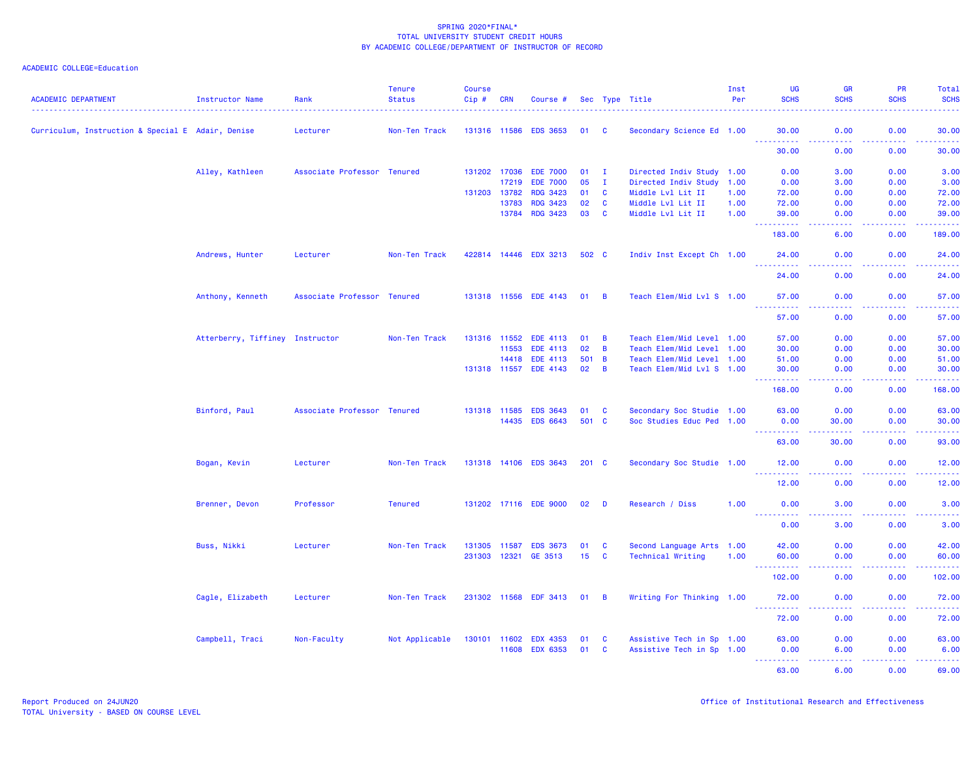| <b>ACADEMIC DEPARTMENT</b>                        | Instructor Name                 | Rank                        | <b>Tenure</b><br><b>Status</b> | <b>Course</b><br>Cip# | <b>CRN</b>   | Course #              |                 |                | Sec Type Title            | Inst<br>Per | UG<br><b>SCHS</b>   | <b>GR</b><br><b>SCHS</b> | PR<br><b>SCHS</b>  | Total<br><b>SCHS</b> |
|---------------------------------------------------|---------------------------------|-----------------------------|--------------------------------|-----------------------|--------------|-----------------------|-----------------|----------------|---------------------------|-------------|---------------------|--------------------------|--------------------|----------------------|
| Curriculum, Instruction & Special E Adair, Denise |                                 | Lecturer                    | Non-Ten Track                  | 131316 11586          |              | <b>EDS 3653</b>       | 01 C            |                | Secondary Science Ed 1.00 |             | 30.00               | 0.00                     | 0.00               | 30.00                |
|                                                   |                                 |                             |                                |                       |              |                       |                 |                |                           |             | . <b>.</b><br>30.00 | .<br>0.00                | 22222<br>0.00      | المستملة<br>30.00    |
|                                                   | Alley, Kathleen                 | Associate Professor Tenured |                                |                       | 131202 17036 | <b>EDE 7000</b>       | $01$ I          |                | Directed Indiv Study 1.00 |             | 0.00                | 3.00                     | 0.00               | 3.00                 |
|                                                   |                                 |                             |                                |                       | 17219        | <b>EDE 7000</b>       | 05              | $\mathbf{I}$   | Directed Indiv Study 1.00 |             | 0.00                | 3.00                     | 0.00               | 3.00                 |
|                                                   |                                 |                             |                                | 131203                | 13782        | <b>RDG 3423</b>       | 01              | $\mathbf{C}$   | Middle Lvl Lit II         | 1.00        | 72.00               | 0.00                     | 0.00               | 72.00                |
|                                                   |                                 |                             |                                |                       | 13783        | <b>RDG 3423</b>       | 02              | $\mathbf{C}$   | Middle Lvl Lit II         | 1.00        | 72.00               | 0.00                     | 0.00               | 72.00                |
|                                                   |                                 |                             |                                |                       | 13784        | <b>RDG 3423</b>       | 03              | $\mathbf{C}$   | Middle Lvl Lit II         | 1.00        | 39.00<br>.          | 0.00<br>د د د د          | 0.00<br>22222      | 39.00<br>.           |
|                                                   |                                 |                             |                                |                       |              |                       |                 |                |                           |             | 183.00              | 6.00                     | 0.00               | 189.00               |
|                                                   | Andrews, Hunter                 | Lecturer                    | Non-Ten Track                  |                       |              | 422814 14446 EDX 3213 | 502 C           |                | Indiv Inst Except Ch 1.00 |             | 24.00<br>.          | 0.00<br>والمالمات        | 0.00<br>.          | 24.00<br>.           |
|                                                   |                                 |                             |                                |                       |              |                       |                 |                |                           |             | 24.00               | 0.00                     | 0.00               | 24.00                |
|                                                   | Anthony, Kenneth                | Associate Professor Tenured |                                |                       |              | 131318 11556 EDE 4143 | $01 \quad B$    |                | Teach Elem/Mid Lvl S 1.00 |             | 57.00               | 0.00                     | 0.00               | 57.00                |
|                                                   |                                 |                             |                                |                       |              |                       |                 |                |                           |             | 57.00               | 0.00                     | 0.00               | 57.00                |
|                                                   | Atterberry, Tiffiney Instructor |                             | Non-Ten Track                  |                       | 131316 11552 | <b>EDE 4113</b>       | 01              | $\overline{B}$ | Teach Elem/Mid Level 1.00 |             | 57.00               | 0.00                     | 0.00               | 57.00                |
|                                                   |                                 |                             |                                |                       | 11553        | EDE 4113              | 02              | $\overline{B}$ | Teach Elem/Mid Level 1.00 |             | 30.00               | 0.00                     | 0.00               | 30.00                |
|                                                   |                                 |                             |                                |                       | 14418        | EDE 4113              | 501 B           |                | Teach Elem/Mid Level 1.00 |             | 51.00               | 0.00                     | 0.00               | 51.00                |
|                                                   |                                 |                             |                                |                       | 131318 11557 | EDE 4143              | 02              | $\overline{B}$ | Teach Elem/Mid Lvl S 1.00 |             | 30.00<br><u>.</u>   | 0.00<br>.                | 0.00<br>. <b>.</b> | 30.00<br>.           |
|                                                   |                                 |                             |                                |                       |              |                       |                 |                |                           |             | 168.00              | 0.00                     | 0.00               | 168.00               |
|                                                   | Binford, Paul                   | Associate Professor Tenured |                                |                       | 131318 11585 | <b>EDS 3643</b>       | 01              | $\mathbf{C}$   | Secondary Soc Studie 1.00 |             | 63.00               | 0.00                     | 0.00               | 63.00                |
|                                                   |                                 |                             |                                |                       | 14435        | <b>EDS 6643</b>       | 501 C           |                | Soc Studies Educ Ped 1.00 |             | 0.00                | 30.00                    | 0.00               | 30.00                |
|                                                   |                                 |                             |                                |                       |              |                       |                 |                |                           |             | . <u>.</u><br>63.00 | .<br>30.00               | .<br>0.00          | .<br>93.00           |
|                                                   | Bogan, Kevin                    | Lecturer                    | Non-Ten Track                  |                       |              | 131318 14106 EDS 3643 | $201$ C         |                | Secondary Soc Studie 1.00 |             | 12.00               | 0.00                     | 0.00               | 12.00                |
|                                                   |                                 |                             |                                |                       |              |                       |                 |                |                           |             | 12.00               | 0.00                     | 0.00               | 12.00                |
|                                                   | Brenner, Devon                  | Professor                   | <b>Tenured</b>                 |                       |              | 131202 17116 EDE 9000 | 02              | D              | Research / Diss           | 1.00        | 0.00                | 3.00                     | 0.00               | 3.00                 |
|                                                   |                                 |                             |                                |                       |              |                       |                 |                |                           |             | .<br>0.00           | $   -$<br>3.00           | 0.00               | <u>.</u><br>3.00     |
|                                                   | Buss, Nikki                     | Lecturer                    | Non-Ten Track                  |                       | 131305 11587 | <b>EDS 3673</b>       | 01              | $\mathbf{C}$   | Second Language Arts 1.00 |             | 42.00               | 0.00                     | 0.00               | 42.00                |
|                                                   |                                 |                             |                                | 231303 12321          |              | GE 3513               | 15 <sub>1</sub> | <b>C</b>       | <b>Technical Writing</b>  | 1.00        | 60.00               | 0.00                     | 0.00               | 60.00                |
|                                                   |                                 |                             |                                |                       |              |                       |                 |                |                           |             | 102.00              | 0.00                     | 0.00               | 102.00               |
|                                                   | Cagle, Elizabeth                | Lecturer                    | Non-Ten Track                  |                       |              | 231302 11568 EDF 3413 | 01              | $\overline{B}$ | Writing For Thinking 1.00 |             | 72.00               | 0.00                     | 0.00               | 72.00                |
|                                                   |                                 |                             |                                |                       |              |                       |                 |                |                           |             | 72.00               | 0.00                     | 0.00               | المتمامين<br>72.00   |
|                                                   | Campbell, Traci                 | Non-Faculty                 | Not Applicable                 |                       | 130101 11602 | <b>EDX 4353</b>       | 01              | <b>C</b>       | Assistive Tech in Sp 1.00 |             | 63.00               | 0.00                     | 0.00               | 63.00                |
|                                                   |                                 |                             |                                |                       | 11608        | <b>EDX 6353</b>       | 01              | <b>C</b>       | Assistive Tech in Sp 1.00 |             | 0.00                | 6.00                     | 0.00               | 6.00                 |
|                                                   |                                 |                             |                                |                       |              |                       |                 |                |                           |             | .                   | بالأبابات                | 22222              | د د د د د د          |
|                                                   |                                 |                             |                                |                       |              |                       |                 |                |                           |             | 63.00               | 6.00                     | 0.00               | 69.00                |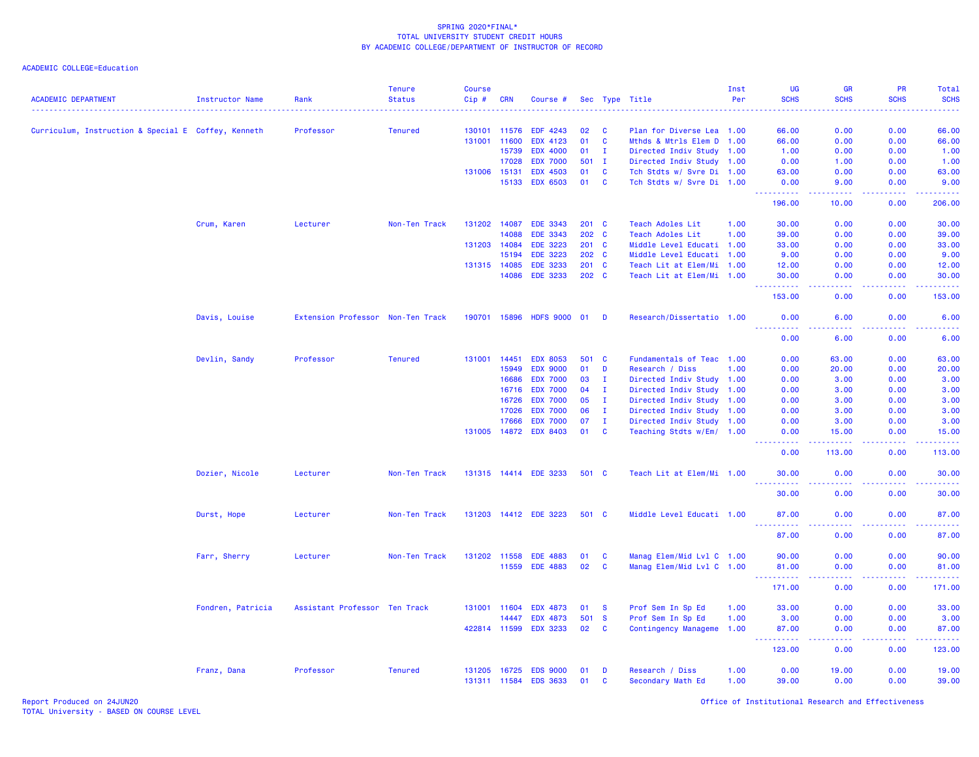| <b>ACADEMIC DEPARTMENT</b>                          | <b>Instructor Name</b> | Rank                              | <b>Tenure</b><br><b>Status</b> | <b>Course</b><br>Cip# | <b>CRN</b> | Course #              |               |              | Sec Type Title            | Inst<br>Per | <b>UG</b><br><b>SCHS</b>                                                                                                          | <b>GR</b><br><b>SCHS</b> | PR<br><b>SCHS</b> | Total<br><b>SCHS</b><br>$\omega$ is $\omega$ in                                                                                                               |
|-----------------------------------------------------|------------------------|-----------------------------------|--------------------------------|-----------------------|------------|-----------------------|---------------|--------------|---------------------------|-------------|-----------------------------------------------------------------------------------------------------------------------------------|--------------------------|-------------------|---------------------------------------------------------------------------------------------------------------------------------------------------------------|
| Curriculum, Instruction & Special E Coffey, Kenneth |                        | Professor                         | <b>Tenured</b>                 | 130101                | 11576      | EDF 4243              | 02            | <b>C</b>     | Plan for Diverse Lea 1.00 |             | 66.00                                                                                                                             | 0.00                     | 0.00              | 66.00                                                                                                                                                         |
|                                                     |                        |                                   |                                | 131001                | 11600      | <b>EDX 4123</b>       | 01            | <b>C</b>     | Mthds & Mtrls Elem D 1.00 |             | 66.00                                                                                                                             | 0.00                     | 0.00              | 66.00                                                                                                                                                         |
|                                                     |                        |                                   |                                |                       | 15739      | <b>EDX 4000</b>       | 01            | $\mathbf{I}$ | Directed Indiv Study 1.00 |             | 1.00                                                                                                                              | 0.00                     | 0.00              | 1.00                                                                                                                                                          |
|                                                     |                        |                                   |                                |                       | 17028      | <b>EDX 7000</b>       | 501           | $\mathbf{I}$ | Directed Indiv Study 1.00 |             | 0.00                                                                                                                              | 1.00                     | 0.00              | 1.00                                                                                                                                                          |
|                                                     |                        |                                   |                                | 131006                | 15131      | <b>EDX 4503</b>       | 01            | <b>C</b>     | Tch Stdts w/ Svre Di 1.00 |             | 63.00                                                                                                                             | 0.00                     | 0.00              | 63.00                                                                                                                                                         |
|                                                     |                        |                                   |                                |                       | 15133      | <b>EDX 6503</b>       | 01            | $\mathbf{C}$ | Tch Stdts w/ Svre Di 1.00 |             | 0.00<br>د د د د د د                                                                                                               | 9.00<br>وعامات           | 0.00<br>.         | 9.00                                                                                                                                                          |
|                                                     |                        |                                   |                                |                       |            |                       |               |              |                           |             | 196.00                                                                                                                            | 10.00                    | 0.00              | 206.00                                                                                                                                                        |
|                                                     | Crum, Karen            | Lecturer                          | Non-Ten Track                  | 131202 14087          |            | EDE 3343              | $201 \quad C$ |              | <b>Teach Adoles Lit</b>   | 1.00        | 30.00                                                                                                                             | 0.00                     | 0.00              | 30.00                                                                                                                                                         |
|                                                     |                        |                                   |                                |                       | 14088      | <b>EDE 3343</b>       | 202 C         |              | <b>Teach Adoles Lit</b>   | 1.00        | 39.00                                                                                                                             | 0.00                     | 0.00              | 39.00                                                                                                                                                         |
|                                                     |                        |                                   |                                | 131203                | 14084      | <b>EDE 3223</b>       | 201 C         |              | Middle Level Educati 1.00 |             | 33.00                                                                                                                             | 0.00                     | 0.00              | 33.00                                                                                                                                                         |
|                                                     |                        |                                   |                                |                       | 15194      | <b>EDE 3223</b>       | 202 C         |              | Middle Level Educati 1.00 |             | 9.00                                                                                                                              | 0.00                     | 0.00              | 9.00                                                                                                                                                          |
|                                                     |                        |                                   |                                | 131315 14085          |            | <b>EDE 3233</b>       | 201 C         |              | Teach Lit at Elem/Mi 1.00 |             | 12.00                                                                                                                             | 0.00                     | 0.00              | 12.00                                                                                                                                                         |
|                                                     |                        |                                   |                                |                       | 14086      | <b>EDE 3233</b>       | 202 C         |              | Teach Lit at Elem/Mi 1.00 |             | 30.00                                                                                                                             | 0.00<br>.                | 0.00              | 30.00<br>.                                                                                                                                                    |
|                                                     |                        |                                   |                                |                       |            |                       |               |              |                           |             | 153.00                                                                                                                            | 0.00                     | 0.00              | 153.00                                                                                                                                                        |
|                                                     | Davis, Louise          | Extension Professor Non-Ten Track |                                | 190701 15896          |            | <b>HDFS 9000</b>      | 01            | <b>D</b>     | Research/Dissertatio 1.00 |             | 0.00<br>.                                                                                                                         | 6.00<br>.                | 0.00              | 6.00<br>.                                                                                                                                                     |
|                                                     |                        |                                   |                                |                       |            |                       |               |              |                           |             | 0.00                                                                                                                              | 6.00                     | 0.00              | 6.00                                                                                                                                                          |
|                                                     | Devlin, Sandy          | Professor                         | <b>Tenured</b>                 | 131001                | 14451      | <b>EDX 8053</b>       | 501 C         |              | Fundamentals of Teac 1.00 |             | 0.00                                                                                                                              | 63.00                    | 0.00              | 63.00                                                                                                                                                         |
|                                                     |                        |                                   |                                |                       | 15949      | <b>EDX 9000</b>       | 01            | D            | Research / Diss           | 1.00        | 0.00                                                                                                                              | 20.00                    | 0.00              | 20.00                                                                                                                                                         |
|                                                     |                        |                                   |                                |                       | 16686      | <b>EDX 7000</b>       | 03            | $\mathbf{I}$ | Directed Indiv Study 1.00 |             | 0.00                                                                                                                              | 3.00                     | 0.00              | 3.00                                                                                                                                                          |
|                                                     |                        |                                   |                                |                       | 16716      | <b>EDX 7000</b>       | 04            | I.           | Directed Indiv Study      | 1.00        | 0.00                                                                                                                              | 3.00                     | 0.00              | 3.00                                                                                                                                                          |
|                                                     |                        |                                   |                                |                       | 16726      | <b>EDX 7000</b>       | 05            | $\mathbf{I}$ | Directed Indiv Study 1.00 |             | 0.00                                                                                                                              | 3.00                     | 0.00              | 3.00                                                                                                                                                          |
|                                                     |                        |                                   |                                |                       | 17026      | <b>EDX 7000</b>       | 06            | $\mathbf{I}$ | Directed Indiv Study 1.00 |             | 0.00                                                                                                                              | 3.00                     | 0.00              | 3.00                                                                                                                                                          |
|                                                     |                        |                                   |                                |                       | 17666      | <b>EDX 7000</b>       | 07            | $\mathbf{I}$ | Directed Indiv Study 1.00 |             | 0.00                                                                                                                              | 3.00                     | 0.00              | 3.00                                                                                                                                                          |
|                                                     |                        |                                   |                                | 131005                |            | 14872 EDX 8403        | 01            | $\mathbf{C}$ | Teaching Stdts w/Em/ 1.00 |             | 0.00<br>$\frac{1}{2} \left( \frac{1}{2} \right) \left( \frac{1}{2} \right) \left( \frac{1}{2} \right) \left( \frac{1}{2} \right)$ | 15.00<br>$- - -$         | 0.00              | 15.00<br>. <b>.</b>                                                                                                                                           |
|                                                     |                        |                                   |                                |                       |            |                       |               |              |                           |             | 0.00                                                                                                                              | 113.00                   | 0.00              | 113.00                                                                                                                                                        |
|                                                     | Dozier, Nicole         | Lecturer                          | Non-Ten Track                  |                       |            | 131315 14414 EDE 3233 | 501 C         |              | Teach Lit at Elem/Mi 1.00 |             | 30.00                                                                                                                             | 0.00                     | 0.00              | 30.00                                                                                                                                                         |
|                                                     |                        |                                   |                                |                       |            |                       |               |              |                           |             | 30.00                                                                                                                             | 0.00                     | 0.00              | 30.00                                                                                                                                                         |
|                                                     | Durst, Hope            | Lecturer                          | Non-Ten Track                  |                       |            | 131203 14412 EDE 3223 | 501 C         |              | Middle Level Educati 1.00 |             | 87.00<br>2.2.2.2.2.2<br>$\sim$ $\sim$ $\sim$                                                                                      | 0.00<br>د د د د          | 0.00<br>.         | 87.00<br>.                                                                                                                                                    |
|                                                     |                        |                                   |                                |                       |            |                       |               |              |                           |             | 87.00                                                                                                                             | 0.00                     | 0.00              | 87.00                                                                                                                                                         |
|                                                     | Farr, Sherry           | Lecturer                          | Non-Ten Track                  | 131202 11558          |            | <b>EDE 4883</b>       | 01            | C            | Manag Elem/Mid Lvl C 1.00 |             | 90.00                                                                                                                             | 0.00                     | 0.00              | 90.00                                                                                                                                                         |
|                                                     |                        |                                   |                                |                       | 11559      | <b>EDE 4883</b>       | 02            | C            | Manag Elem/Mid Lvl C 1.00 |             | 81.00<br>.<br>$\sim$ $\sim$ $\sim$                                                                                                | 0.00<br>المستما          | 0.00<br>-----     | 81.00<br>$\frac{1}{2} \left( \frac{1}{2} \right) \left( \frac{1}{2} \right) \left( \frac{1}{2} \right) \left( \frac{1}{2} \right) \left( \frac{1}{2} \right)$ |
|                                                     |                        |                                   |                                |                       |            |                       |               |              |                           |             | 171.00                                                                                                                            | 0.00                     | 0.00              | 171.00                                                                                                                                                        |
|                                                     | Fondren, Patricia      | Assistant Professor Ten Track     |                                | 131001                | 11604      | <b>EDX 4873</b>       | 01            | <b>S</b>     | Prof Sem In Sp Ed         | 1.00        | 33.00                                                                                                                             | 0.00                     | 0.00              | 33.00                                                                                                                                                         |
|                                                     |                        |                                   |                                |                       | 14447      | <b>EDX 4873</b>       | 501           | <b>S</b>     | Prof Sem In Sp Ed         | 1.00        | 3.00                                                                                                                              | 0.00                     | 0.00              | 3.00                                                                                                                                                          |
|                                                     |                        |                                   |                                | 422814 11599          |            | <b>EDX 3233</b>       | 02            | $\mathbf{C}$ | Contingency Manageme 1.00 |             | 87.00                                                                                                                             | 0.00                     | 0.00              | 87.00                                                                                                                                                         |
|                                                     |                        |                                   |                                |                       |            |                       |               |              |                           |             | 123.00                                                                                                                            | $   -$<br>0.00           | 0.00              | 123.00                                                                                                                                                        |
|                                                     | Franz, Dana            | Professor                         | <b>Tenured</b>                 | 131205 16725          |            | <b>EDS 9000</b>       | 01            | D            | Research / Diss           | 1.00        | 0.00                                                                                                                              | 19.00                    | 0.00              | 19.00                                                                                                                                                         |
|                                                     |                        |                                   |                                | 131311 11584          |            | <b>EDS 3633</b>       | 01            | C            | Secondary Math Ed         | 1.00        | 39.00                                                                                                                             | 0.00                     | 0.00              | 39.00                                                                                                                                                         |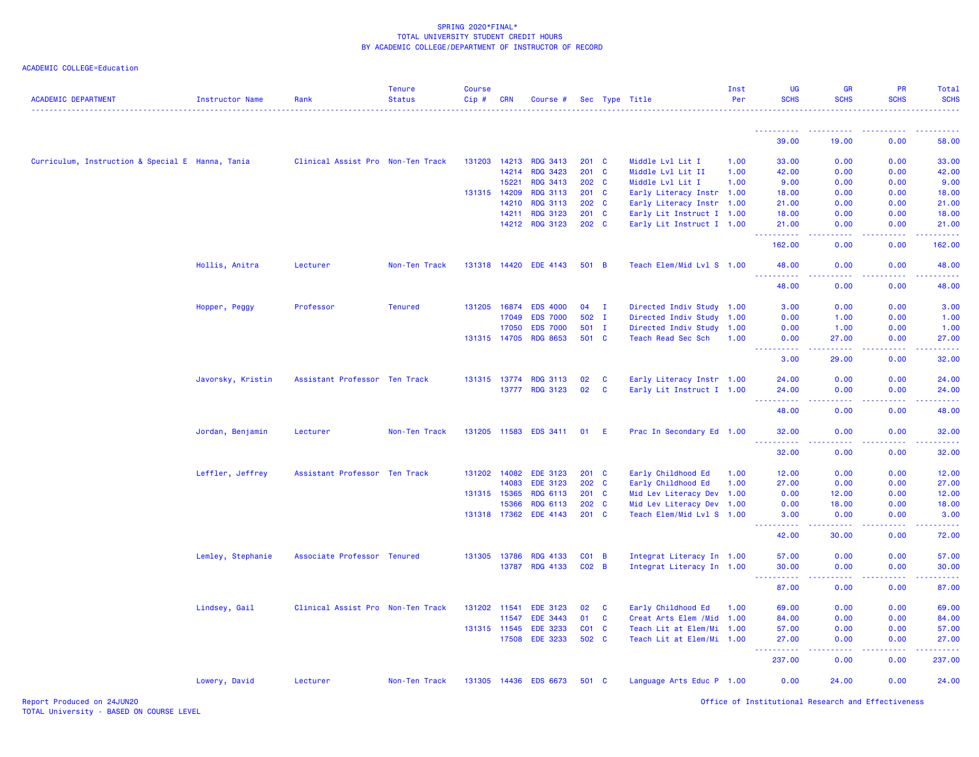| <b>ACADEMIC DEPARTMENT</b>                       | <b>Instructor Name</b> | Rank                              | <b>Tenure</b><br><b>Status</b> | <b>Course</b><br>Cip# | <b>CRN</b>   | Course #              |               |              | Sec Type Title             | Inst<br>Per | <b>UG</b><br><b>SCHS</b>                                                                                                                                             | <b>GR</b><br><b>SCHS</b>                                                                                                                                     | <b>PR</b><br><b>SCHS</b>                                                                                                                                     | Total<br><b>SCHS</b> |
|--------------------------------------------------|------------------------|-----------------------------------|--------------------------------|-----------------------|--------------|-----------------------|---------------|--------------|----------------------------|-------------|----------------------------------------------------------------------------------------------------------------------------------------------------------------------|--------------------------------------------------------------------------------------------------------------------------------------------------------------|--------------------------------------------------------------------------------------------------------------------------------------------------------------|----------------------|
|                                                  |                        |                                   |                                |                       |              |                       |               |              |                            |             |                                                                                                                                                                      |                                                                                                                                                              |                                                                                                                                                              |                      |
|                                                  |                        |                                   |                                |                       |              |                       |               |              |                            |             | 39.00                                                                                                                                                                | 19.00                                                                                                                                                        | 0.00                                                                                                                                                         | 58.00                |
| Curriculum, Instruction & Special E Hanna, Tania |                        | Clinical Assist Pro Non-Ten Track |                                |                       | 131203 14213 | <b>RDG 3413</b>       | $201 \quad C$ |              | Middle Lvl Lit I           | 1.00        | 33.00                                                                                                                                                                | 0.00                                                                                                                                                         | 0.00                                                                                                                                                         | 33.00                |
|                                                  |                        |                                   |                                |                       | 14214        | <b>RDG 3423</b>       | $201$ C       |              | Middle Lvl Lit II          | 1.00        | 42.00                                                                                                                                                                | 0.00                                                                                                                                                         | 0.00                                                                                                                                                         | 42.00                |
|                                                  |                        |                                   |                                |                       | 15221        | <b>RDG 3413</b>       | 202 C         |              | Middle Lvl Lit I           | 1.00        | 9.00                                                                                                                                                                 | 0.00                                                                                                                                                         | 0.00                                                                                                                                                         | 9.00                 |
|                                                  |                        |                                   |                                | 131315 14209          |              | <b>RDG 3113</b>       | $201$ C       |              | Early Literacy Instr 1.00  |             | 18.00                                                                                                                                                                | 0.00                                                                                                                                                         | 0.00                                                                                                                                                         | 18.00                |
|                                                  |                        |                                   |                                |                       | 14210        | <b>RDG 3113</b>       | 202 C         |              | Early Literacy Instr 1.00  |             | 21.00                                                                                                                                                                | 0.00                                                                                                                                                         | 0.00                                                                                                                                                         | 21.00                |
|                                                  |                        |                                   |                                |                       | 14211        | <b>RDG 3123</b>       | 201 C         |              | Early Lit Instruct I 1.00  |             | 18.00                                                                                                                                                                | 0.00                                                                                                                                                         | 0.00                                                                                                                                                         | 18.00                |
|                                                  |                        |                                   |                                |                       |              | 14212 RDG 3123        | 202 C         |              | Early Lit Instruct I 1.00  |             | 21.00<br><b><i><u><u> - - - - -</u></u></i></b>                                                                                                                      | 0.00<br>.                                                                                                                                                    | 0.00<br>.                                                                                                                                                    | 21.00<br>.           |
|                                                  |                        |                                   |                                |                       |              |                       |               |              |                            |             | 162.00                                                                                                                                                               | 0.00                                                                                                                                                         | 0.00                                                                                                                                                         | 162.00               |
|                                                  | Hollis, Anitra         | Lecturer                          | Non-Ten Track                  |                       | 131318 14420 | <b>EDE 4143</b>       | 501 B         |              | Teach Elem/Mid Lvl S 1.00  |             | 48.00<br>بالمستمام                                                                                                                                                   | 0.00<br>.                                                                                                                                                    | 0.00<br>بالأباب                                                                                                                                              | 48.00                |
|                                                  |                        |                                   |                                |                       |              |                       |               |              |                            |             | 48.00                                                                                                                                                                | 0.00                                                                                                                                                         | 0.00                                                                                                                                                         | 48.00                |
|                                                  | Hopper, Peggy          | Professor                         | <b>Tenured</b>                 |                       | 131205 16874 | <b>EDS 4000</b>       | $04$ I        |              | Directed Indiv Study 1.00  |             | 3.00                                                                                                                                                                 | 0.00                                                                                                                                                         | 0.00                                                                                                                                                         | 3.00                 |
|                                                  |                        |                                   |                                |                       | 17049        | <b>EDS 7000</b>       | 502 I         |              | Directed Indiv Study 1.00  |             | 0.00                                                                                                                                                                 | 1.00                                                                                                                                                         | 0.00                                                                                                                                                         | 1.00                 |
|                                                  |                        |                                   |                                |                       | 17050        | <b>EDS 7000</b>       | 501 I         |              | Directed Indiv Study 1.00  |             | 0.00                                                                                                                                                                 | 1.00                                                                                                                                                         | 0.00                                                                                                                                                         | 1.00                 |
|                                                  |                        |                                   |                                |                       |              | 131315 14705 RDG 8653 | 501 C         |              | Teach Read Sec Sch         | 1.00        | 0.00<br>$\frac{1}{2} \left( \frac{1}{2} \right) \left( \frac{1}{2} \right) \left( \frac{1}{2} \right) \left( \frac{1}{2} \right) \left( \frac{1}{2} \right)$<br>---- | 27.00<br>المستمر المسار                                                                                                                                      | 0.00<br>$\frac{1}{2} \left( \frac{1}{2} \right) \left( \frac{1}{2} \right) \left( \frac{1}{2} \right) \left( \frac{1}{2} \right) \left( \frac{1}{2} \right)$ | 27.00<br>.           |
|                                                  |                        |                                   |                                |                       |              |                       |               |              |                            |             | 3.00                                                                                                                                                                 | 29.00                                                                                                                                                        | 0.00                                                                                                                                                         | 32.00                |
|                                                  | Javorsky, Kristin      | Assistant Professor Ten Track     |                                |                       | 131315 13774 | <b>RDG 3113</b>       | 02            | C            | Early Literacy Instr 1.00  |             | 24.00                                                                                                                                                                | 0.00                                                                                                                                                         | 0.00                                                                                                                                                         | 24.00                |
|                                                  |                        |                                   |                                |                       | 13777        | <b>RDG 3123</b>       | 02            | $\mathbf{C}$ | Early Lit Instruct I 1.00  |             | 24.00<br>.                                                                                                                                                           | 0.00                                                                                                                                                         | 0.00                                                                                                                                                         | 24.00                |
|                                                  |                        |                                   |                                |                       |              |                       |               |              |                            |             | 48.00                                                                                                                                                                | 0.00                                                                                                                                                         | 0.00                                                                                                                                                         | 48.00                |
|                                                  | Jordan, Benjamin       | Lecturer                          | Non-Ten Track                  |                       |              | 131205 11583 EDS 3411 | 01            | - E          | Prac In Secondary Ed 1.00  |             | 32.00                                                                                                                                                                | 0.00                                                                                                                                                         | 0.00                                                                                                                                                         | 32.00                |
|                                                  |                        |                                   |                                |                       |              |                       |               |              |                            |             | 32.00                                                                                                                                                                | 0.00                                                                                                                                                         | 0.00                                                                                                                                                         | 32.00                |
|                                                  | Leffler, Jeffrey       | Assistant Professor Ten Track     |                                |                       | 131202 14082 | <b>EDE 3123</b>       | $201$ C       |              | Early Childhood Ed         | 1.00        | 12.00                                                                                                                                                                | 0.00                                                                                                                                                         | 0.00                                                                                                                                                         | 12.00                |
|                                                  |                        |                                   |                                |                       | 14083        | <b>EDE 3123</b>       | 202 C         |              | Early Childhood Ed         | 1.00        | 27.00                                                                                                                                                                | 0.00                                                                                                                                                         | 0.00                                                                                                                                                         | 27.00                |
|                                                  |                        |                                   |                                | 131315 15365          |              | RDG 6113              | $201$ C       |              | Mid Lev Literacy Dev 1.00  |             | 0.00                                                                                                                                                                 | 12.00                                                                                                                                                        | 0.00                                                                                                                                                         | 12.00                |
|                                                  |                        |                                   |                                |                       | 15366        | RDG 6113              | 202 C         |              | Mid Lev Literacy Dev 1.00  |             | 0.00                                                                                                                                                                 | 18.00                                                                                                                                                        | 0.00                                                                                                                                                         | 18.00                |
|                                                  |                        |                                   |                                | 131318 17362          |              | EDE 4143              | 201 C         |              | Teach Elem/Mid Lvl S 1.00  |             | 3.00<br>. <b>.</b>                                                                                                                                                   | 0.00<br>$\frac{1}{2} \left( \frac{1}{2} \right) \left( \frac{1}{2} \right) \left( \frac{1}{2} \right) \left( \frac{1}{2} \right) \left( \frac{1}{2} \right)$ | 0.00<br>-----                                                                                                                                                | 3.00                 |
|                                                  |                        |                                   |                                |                       |              |                       |               |              |                            |             | 42.00                                                                                                                                                                | 30.00                                                                                                                                                        | 0.00                                                                                                                                                         | 72.00                |
|                                                  | Lemley, Stephanie      | Associate Professor Tenured       |                                |                       | 131305 13786 | <b>RDG 4133</b>       | $CO1$ B       |              | Integrat Literacy In 1.00  |             | 57.00                                                                                                                                                                | 0.00                                                                                                                                                         | 0.00                                                                                                                                                         | 57.00                |
|                                                  |                        |                                   |                                |                       | 13787        | <b>RDG 4133</b>       | $CO2$ B       |              | Integrat Literacy In 1.00  |             | 30.00                                                                                                                                                                | 0.00                                                                                                                                                         | 0.00                                                                                                                                                         | 30.00                |
|                                                  |                        |                                   |                                |                       |              |                       |               |              |                            |             | $\frac{1}{2} \left( \frac{1}{2} \right) \left( \frac{1}{2} \right) \left( \frac{1}{2} \right) \left( \frac{1}{2} \right)$<br>87.00                                   | 0.00                                                                                                                                                         | 0.00                                                                                                                                                         | 87.00                |
|                                                  | Lindsey, Gail          | Clinical Assist Pro Non-Ten Track |                                | 131202 11541          |              | <b>EDE 3123</b>       | 02            | $\mathbf{C}$ | Early Childhood Ed         | 1.00        | 69.00                                                                                                                                                                | 0.00                                                                                                                                                         | 0.00                                                                                                                                                         | 69.00                |
|                                                  |                        |                                   |                                |                       | 11547        | EDE 3443              | 01            | C            | Creat Arts Elem / Mid 1.00 |             | 84.00                                                                                                                                                                | 0.00                                                                                                                                                         | 0.00                                                                                                                                                         | 84.00                |
|                                                  |                        |                                   |                                | 131315 11545          |              | <b>EDE 3233</b>       | $CO1$ C       |              | Teach Lit at Elem/Mi 1.00  |             | 57.00                                                                                                                                                                | 0.00                                                                                                                                                         | 0.00                                                                                                                                                         | 57.00                |
|                                                  |                        |                                   |                                |                       | 17508        | <b>EDE 3233</b>       | 502 C         |              | Teach Lit at Elem/Mi 1.00  |             | 27.00<br><b></b>                                                                                                                                                     | 0.00<br><b><i><u><u>.</u></u></i></b>                                                                                                                        | 0.00<br>.                                                                                                                                                    | 27.00<br>.           |
|                                                  |                        |                                   |                                |                       |              |                       |               |              |                            |             | 237.00                                                                                                                                                               | 0.00                                                                                                                                                         | 0.00                                                                                                                                                         | 237.00               |
|                                                  | Lowery, David          | Lecturer                          | Non-Ten Track                  |                       |              | 131305 14436 EDS 6673 | 501 C         |              | Language Arts Educ P 1.00  |             | 0.00                                                                                                                                                                 | 24.00                                                                                                                                                        | 0.00                                                                                                                                                         | 24.00                |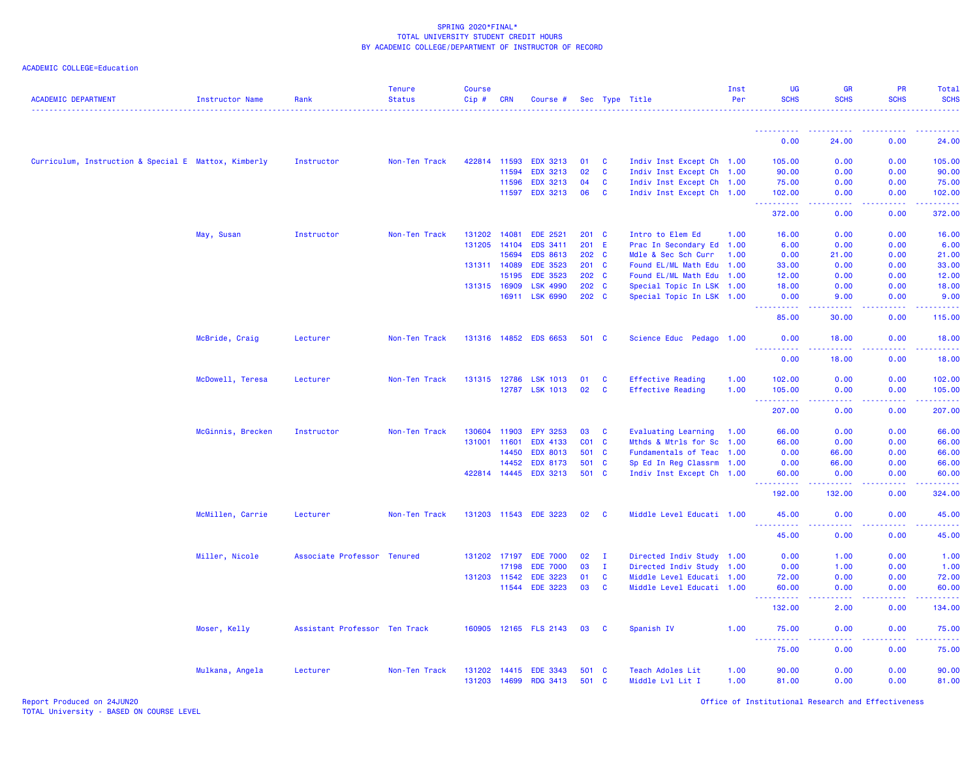## ACADEMIC COLLEGE=Education

| <b>ACADEMIC DEPARTMENT</b>                           | <b>Instructor Name</b> | Rank                          | <b>Tenure</b><br><b>Status</b> | <b>Course</b><br>Cip# | <b>CRN</b>   | Course #              |       |              | Sec Type Title            | Inst<br>Per | <b>UG</b><br><b>SCHS</b>             | <b>GR</b><br><b>SCHS</b>                                                                                                                                      | PR<br><b>SCHS</b> | Total<br><b>SCHS</b>                                                                                                            |
|------------------------------------------------------|------------------------|-------------------------------|--------------------------------|-----------------------|--------------|-----------------------|-------|--------------|---------------------------|-------------|--------------------------------------|---------------------------------------------------------------------------------------------------------------------------------------------------------------|-------------------|---------------------------------------------------------------------------------------------------------------------------------|
|                                                      |                        |                               |                                |                       |              |                       |       |              |                           |             | .                                    |                                                                                                                                                               |                   |                                                                                                                                 |
|                                                      |                        |                               |                                |                       |              |                       |       |              |                           |             | 0.00                                 | 24.00                                                                                                                                                         | 0.00              | 24.00                                                                                                                           |
| Curriculum, Instruction & Special E Mattox, Kimberly |                        | Instructor                    | Non-Ten Track                  | 422814                | 11593        | <b>EDX 3213</b>       | 01    | $\mathbf{C}$ | Indiv Inst Except Ch 1.00 |             | 105.00                               | 0.00                                                                                                                                                          | 0.00              | 105.00                                                                                                                          |
|                                                      |                        |                               |                                |                       | 11594        | <b>EDX 3213</b>       | 02    | C            | Indiv Inst Except Ch 1.00 |             | 90.00                                | 0.00                                                                                                                                                          | 0.00              | 90.00                                                                                                                           |
|                                                      |                        |                               |                                |                       | 11596        | <b>EDX 3213</b>       | 04    | <b>C</b>     | Indiv Inst Except Ch 1.00 |             | 75.00                                | 0.00                                                                                                                                                          | 0.00              | 75.00                                                                                                                           |
|                                                      |                        |                               |                                |                       | 11597        | <b>EDX 3213</b>       | 06    | <b>C</b>     | Indiv Inst Except Ch 1.00 |             | 102.00                               | 0.00                                                                                                                                                          | 0.00              | 102.00                                                                                                                          |
|                                                      |                        |                               |                                |                       |              |                       |       |              |                           |             | 372.00                               | المتمامين<br>0.00                                                                                                                                             | .<br>0.00         | $\begin{array}{cccccccccc} \bullet & \bullet & \bullet & \bullet & \bullet & \bullet & \bullet & \bullet \end{array}$<br>372.00 |
|                                                      | May, Susan             | Instructor                    | Non-Ten Track                  | 131202                | 14081        | <b>EDE 2521</b>       | 201 C |              | Intro to Elem Ed          | 1.00        | 16.00                                | 0.00                                                                                                                                                          | 0.00              | 16.00                                                                                                                           |
|                                                      |                        |                               |                                | 131205                | 14104        | EDS 3411              | 201   | -E           | Prac In Secondary Ed 1.00 |             | 6.00                                 | 0.00                                                                                                                                                          | 0.00              | 6.00                                                                                                                            |
|                                                      |                        |                               |                                |                       | 15694        | <b>EDS 8613</b>       | 202 C |              | Mdle & Sec Sch Curr       | 1.00        | 0.00                                 | 21.00                                                                                                                                                         | 0.00              | 21.00                                                                                                                           |
|                                                      |                        |                               |                                |                       | 131311 14089 | <b>EDE 3523</b>       | 201 C |              | Found EL/ML Math Edu 1.00 |             | 33.00                                | 0.00                                                                                                                                                          | 0.00              | 33.00                                                                                                                           |
|                                                      |                        |                               |                                |                       | 15195        | <b>EDE 3523</b>       | 202 C |              | Found EL/ML Math Edu 1.00 |             | 12.00                                | 0.00                                                                                                                                                          | 0.00              | 12.00                                                                                                                           |
|                                                      |                        |                               |                                |                       | 131315 16909 | LSK 4990              | 202 C |              | Special Topic In LSK 1.00 |             | 18.00                                | 0.00                                                                                                                                                          | 0.00              | 18.00                                                                                                                           |
|                                                      |                        |                               |                                |                       | 16911        | LSK 6990              | 202 C |              | Special Topic In LSK 1.00 |             | 0.00                                 | 9.00                                                                                                                                                          | 0.00              | 9.00                                                                                                                            |
|                                                      |                        |                               |                                |                       |              |                       |       |              |                           |             | <u> - - - - - - - - - -</u><br>85.00 | .<br>30.00                                                                                                                                                    | 22222<br>0.00     | $\mathbf{L}^{\prime} = \mathbf{L}^{\prime} + \mathbf{L}^{\prime} + \mathbf{L}^{\prime}$<br>115.00                               |
|                                                      | McBride, Craig         | Lecturer                      | Non-Ten Track                  |                       | 131316 14852 | <b>EDS 6653</b>       | 501 C |              | Science Educ Pedago 1.00  |             | 0.00                                 | 18.00                                                                                                                                                         | 0.00              | 18.00                                                                                                                           |
|                                                      |                        |                               |                                |                       |              |                       |       |              |                           |             | <u> - - - - - - - - - -</u><br>0.00  | $\frac{1}{2} \left( \frac{1}{2} \right) \left( \frac{1}{2} \right) \left( \frac{1}{2} \right) \left( \frac{1}{2} \right) \left( \frac{1}{2} \right)$<br>18.00 | .<br>0.00         | .<br>18.00                                                                                                                      |
|                                                      | McDowell, Teresa       | Lecturer                      | Non-Ten Track                  |                       | 131315 12786 | <b>LSK 1013</b>       | 01    | C            | <b>Effective Reading</b>  | 1.00        | 102.00                               | 0.00                                                                                                                                                          | 0.00              | 102.00                                                                                                                          |
|                                                      |                        |                               |                                |                       | 12787        | <b>LSK 1013</b>       | 02    | C            | <b>Effective Reading</b>  | 1.00        | 105.00                               | 0.00                                                                                                                                                          | 0.00              | 105.00                                                                                                                          |
|                                                      |                        |                               |                                |                       |              |                       |       |              |                           |             | 207.00                               | 0.00                                                                                                                                                          | 0.00              | 22222<br>207.00                                                                                                                 |
|                                                      | McGinnis, Brecken      | Instructor                    | Non-Ten Track                  | 130604                | 11903        | <b>EPY 3253</b>       | 03    | <b>C</b>     | Evaluating Learning       | 1.00        | 66.00                                | 0.00                                                                                                                                                          | 0.00              | 66.00                                                                                                                           |
|                                                      |                        |                               |                                | 131001                | 11601        | <b>EDX 4133</b>       | C01 C |              | Mthds & Mtrls for Sc 1.00 |             | 66.00                                | 0.00                                                                                                                                                          | 0.00              | 66.00                                                                                                                           |
|                                                      |                        |                               |                                |                       | 14450        | <b>EDX 8013</b>       | 501   | <b>C</b>     | Fundamentals of Teac 1.00 |             | 0.00                                 | 66.00                                                                                                                                                         | 0.00              | 66.00                                                                                                                           |
|                                                      |                        |                               |                                |                       | 14452        | <b>EDX 8173</b>       | 501 C |              | Sp Ed In Reg Classrm 1.00 |             | 0.00                                 | 66.00                                                                                                                                                         | 0.00              | 66.00                                                                                                                           |
|                                                      |                        |                               |                                |                       | 422814 14445 | <b>EDX 3213</b>       | 501 C |              | Indiv Inst Except Ch 1.00 |             | 60.00<br>د د د د د                   | 0.00                                                                                                                                                          | 0.00              | 60.00                                                                                                                           |
|                                                      |                        |                               |                                |                       |              |                       |       |              |                           |             | 192.00                               | 132.00                                                                                                                                                        | 0.00              | 324.00                                                                                                                          |
|                                                      | McMillen, Carrie       | Lecturer                      | Non-Ten Track                  |                       |              | 131203 11543 EDE 3223 | 02    | <b>C</b>     | Middle Level Educati 1.00 |             | 45.00<br>.                           | 0.00<br>$\omega$ $\omega$ $\omega$ $\omega$                                                                                                                   | 0.00<br>.         | 45.00<br>.                                                                                                                      |
|                                                      |                        |                               |                                |                       |              |                       |       |              |                           |             | 45.00                                | 0.00                                                                                                                                                          | 0.00              | 45.00                                                                                                                           |
|                                                      | Miller, Nicole         | Associate Professor           | <b>Tenured</b>                 |                       | 131202 17197 | <b>EDE 7000</b>       | 02    | $\mathbf{I}$ | Directed Indiv Study 1.00 |             | 0.00                                 | 1.00                                                                                                                                                          | 0.00              | 1.00                                                                                                                            |
|                                                      |                        |                               |                                |                       | 17198        | <b>EDE 7000</b>       | 03    | $\mathbf{I}$ | Directed Indiv Study 1.00 |             | 0.00                                 | 1.00                                                                                                                                                          | 0.00              | 1.00                                                                                                                            |
|                                                      |                        |                               |                                |                       | 131203 11542 | <b>EDE 3223</b>       | 01    | $\mathbf{C}$ | Middle Level Educati 1.00 |             | 72.00                                | 0.00                                                                                                                                                          | 0.00              | 72.00                                                                                                                           |
|                                                      |                        |                               |                                |                       | 11544        | <b>EDE 3223</b>       | 03    | <b>C</b>     | Middle Level Educati 1.00 |             | 60.00<br>.                           | 0.00<br>$\sim$ $\sim$ $\sim$ $\sim$                                                                                                                           | 0.00<br>.         | 60.00<br>.                                                                                                                      |
|                                                      |                        |                               |                                |                       |              |                       |       |              |                           |             | 132.00                               | 2.00                                                                                                                                                          | 0.00              | 134.00                                                                                                                          |
|                                                      | Moser, Kelly           | Assistant Professor Ten Track |                                | 160905                |              | 12165 FLS 2143        | 03    | C            | Spanish IV                | 1.00        | 75.00<br>.<br>223                    | 0.00<br>د د د د                                                                                                                                               | 0.00<br>.         | 75.00<br>22222                                                                                                                  |
|                                                      |                        |                               |                                |                       |              |                       |       |              |                           |             | 75.00                                | 0.00                                                                                                                                                          | 0.00              | 75.00                                                                                                                           |
|                                                      | Mulkana, Angela        | Lecturer                      | Non-Ten Track                  |                       | 131202 14415 | <b>EDE 3343</b>       | 501   | $\mathbf{C}$ | Teach Adoles Lit          | 1.00        | 90.00                                | 0.00                                                                                                                                                          | 0.00              | 90.00                                                                                                                           |
|                                                      |                        |                               |                                |                       | 131203 14699 | <b>RDG 3413</b>       | 501   | <b>C</b>     | Middle Lvl Lit I          | 1.00        | 81.00                                | 0.00                                                                                                                                                          | 0.00              | 81.00                                                                                                                           |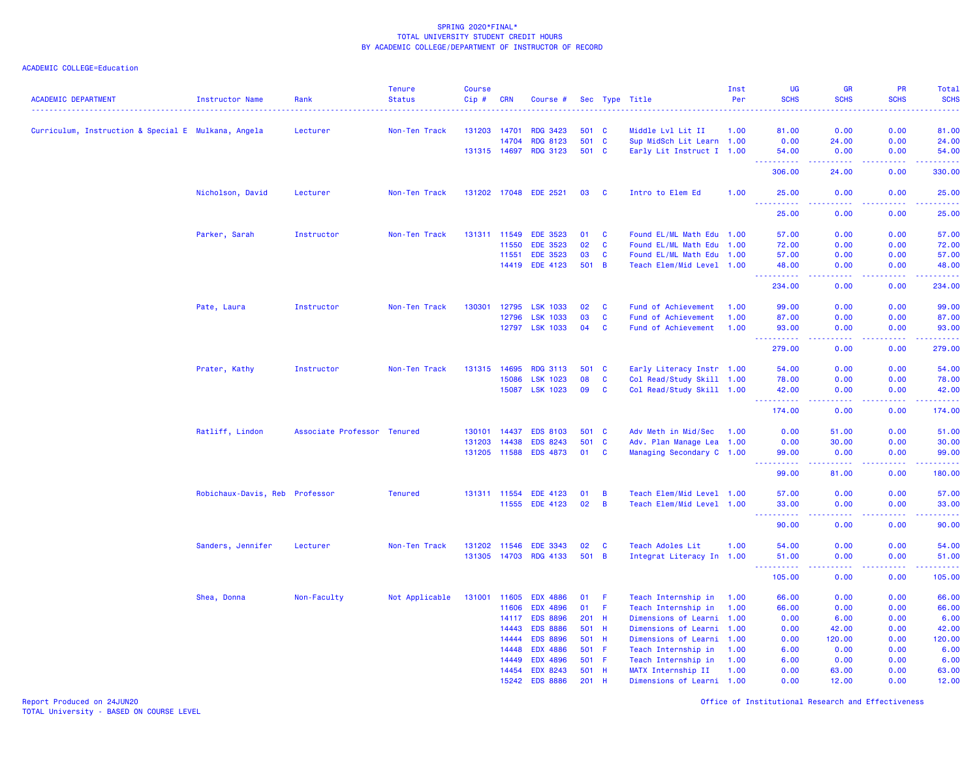### ACADEMIC COLLEGE=Education

| <b>ACADEMIC DEPARTMENT</b>                          | <b>Instructor Name</b>         | Rank                        | <b>Tenure</b><br><b>Status</b> | <b>Course</b><br>Cip# | <b>CRN</b>     | Course #                           |              |                | Sec Type Title                            | Inst<br>Per  | <b>UG</b><br><b>SCHS</b> | <b>GR</b><br><b>SCHS</b>                                                                                                                             | <b>PR</b><br><b>SCHS</b> | Total<br><b>SCHS</b>                                                                                                                                          |
|-----------------------------------------------------|--------------------------------|-----------------------------|--------------------------------|-----------------------|----------------|------------------------------------|--------------|----------------|-------------------------------------------|--------------|--------------------------|------------------------------------------------------------------------------------------------------------------------------------------------------|--------------------------|---------------------------------------------------------------------------------------------------------------------------------------------------------------|
|                                                     |                                |                             |                                | 131203                | 14701          | <b>RDG 3423</b>                    | 501 C        |                | Middle Lvl Lit II                         | 1.00         | 81.00                    | 0.00                                                                                                                                                 | 0.00                     | $\frac{1}{2} \left( \frac{1}{2} \right) \left( \frac{1}{2} \right) \left( \frac{1}{2} \right) \left( \frac{1}{2} \right) \left( \frac{1}{2} \right)$<br>81.00 |
| Curriculum, Instruction & Special E Mulkana, Angela |                                | Lecturer                    | Non-Ten Track                  |                       | 14704          | <b>RDG 8123</b>                    | 501 C        |                | Sup MidSch Lit Learn 1.00                 |              | 0.00                     | 24.00                                                                                                                                                | 0.00                     | 24.00                                                                                                                                                         |
|                                                     |                                |                             |                                | 131315 14697          |                | <b>RDG 3123</b>                    | 501 C        |                | Early Lit Instruct I 1.00                 |              | 54.00                    | 0.00                                                                                                                                                 | 0.00                     | 54.00                                                                                                                                                         |
|                                                     |                                |                             |                                |                       |                |                                    |              |                |                                           |              | .                        | $\frac{1}{2} \left( \frac{1}{2} \right) \left( \frac{1}{2} \right) \left( \frac{1}{2} \right) \left( \frac{1}{2} \right) \left( \frac{1}{2} \right)$ | د د د د                  | .                                                                                                                                                             |
|                                                     |                                |                             |                                |                       |                |                                    |              |                |                                           |              | 306.00                   | 24.00                                                                                                                                                | 0.00                     | 330.00                                                                                                                                                        |
|                                                     | Nicholson, David               | Lecturer                    | Non-Ten Track                  | 131202 17048          |                | <b>EDE 2521</b>                    | 03           | C              | Intro to Elem Ed                          | 1.00         | 25.00<br>.               | 0.00<br>د د د د                                                                                                                                      | 0.00<br>د د د د .        | 25.00<br>.                                                                                                                                                    |
|                                                     |                                |                             |                                |                       |                |                                    |              |                |                                           |              | 25.00                    | 0.00                                                                                                                                                 | 0.00                     | 25.00                                                                                                                                                         |
|                                                     | Parker, Sarah                  | Instructor                  | Non-Ten Track                  | 131311                | 11549          | <b>EDE 3523</b>                    | 01           | C              | Found EL/ML Math Edu 1.00                 |              | 57.00                    | 0.00                                                                                                                                                 | 0.00                     | 57.00                                                                                                                                                         |
|                                                     |                                |                             |                                |                       | 11550          | <b>EDE 3523</b>                    | 02           | $\mathbf{C}$   | Found EL/ML Math Edu 1.00                 |              | 72.00                    | 0.00                                                                                                                                                 | 0.00                     | 72.00                                                                                                                                                         |
|                                                     |                                |                             |                                |                       | 11551          | <b>EDE 3523</b>                    | 03           | C              | Found EL/ML Math Edu 1.00                 |              | 57.00                    | 0.00                                                                                                                                                 | 0.00                     | 57.00                                                                                                                                                         |
|                                                     |                                |                             |                                |                       | 14419          | <b>EDE 4123</b>                    | 501 B        |                | Teach Elem/Mid Level 1.00                 |              | 48.00<br>.               | 0.00<br>$\frac{1}{2} \left( \frac{1}{2} \right) \left( \frac{1}{2} \right) \left( \frac{1}{2} \right)$                                               | 0.00<br>د د د د          | 48.00<br>.                                                                                                                                                    |
|                                                     |                                |                             |                                |                       |                |                                    |              |                |                                           |              | 234.00                   | 0.00                                                                                                                                                 | 0.00                     | 234.00                                                                                                                                                        |
|                                                     | Pate, Laura                    | Instructor                  | Non-Ten Track                  | 130301                | 12795          | <b>LSK 1033</b>                    | 02           | <b>C</b>       | Fund of Achievement                       | 1.00         | 99.00                    | 0.00                                                                                                                                                 | 0.00                     | 99.00                                                                                                                                                         |
|                                                     |                                |                             |                                |                       | 12796          | <b>LSK 1033</b>                    | 03           | $\mathbf{C}$   | Fund of Achievement                       | 1.00         | 87.00                    | 0.00                                                                                                                                                 | 0.00                     | 87.00                                                                                                                                                         |
|                                                     |                                |                             |                                |                       |                | 12797 LSK 1033                     | 04           | C              | Fund of Achievement                       | 1.00         | 93.00                    | 0.00<br>.                                                                                                                                            | 0.00<br>.                | 93.00<br>.                                                                                                                                                    |
|                                                     |                                |                             |                                |                       |                |                                    |              |                |                                           |              | 279.00                   | 0.00                                                                                                                                                 | 0.00                     | 279.00                                                                                                                                                        |
|                                                     | Prater, Kathy                  | Instructor                  | Non-Ten Track                  | 131315                | 14695          | <b>RDG 3113</b>                    | 501 C        |                | Early Literacy Instr 1.00                 |              | 54.00                    | 0.00                                                                                                                                                 | 0.00                     | 54.00                                                                                                                                                         |
|                                                     |                                |                             |                                |                       | 15086          | <b>LSK 1023</b>                    | 08           | C              | Col Read/Study Skill 1.00                 |              | 78.00                    | 0.00                                                                                                                                                 | 0.00                     | 78.00                                                                                                                                                         |
|                                                     |                                |                             |                                |                       | 15087          | <b>LSK 1023</b>                    | 09           | C              | Col Read/Study Skill 1.00                 |              | 42.00<br>.               | 0.00<br>$\sim$ $\sim$ $\sim$ $\sim$                                                                                                                  | 0.00<br>.                | 42.00<br>.                                                                                                                                                    |
|                                                     |                                |                             |                                |                       |                |                                    |              |                |                                           |              | 174.00                   | 0.00                                                                                                                                                 | 0.00                     | 174.00                                                                                                                                                        |
|                                                     | Ratliff, Lindon                | Associate Professor Tenured |                                | 130101                | 14437          | <b>EDS 8103</b>                    | 501 C        |                | Adv Meth in Mid/Sec                       | 1.00         | 0.00                     | 51.00                                                                                                                                                | 0.00                     | 51.00                                                                                                                                                         |
|                                                     |                                |                             |                                | 131203                | 14438          | <b>EDS 8243</b>                    | 501          | <b>C</b>       | Adv. Plan Manage Lea 1.00                 |              | 0.00                     | 30.00                                                                                                                                                | 0.00                     | 30.00                                                                                                                                                         |
|                                                     |                                |                             |                                | 131205 11588          |                | <b>EDS 4873</b>                    | 01           | C              | Managing Secondary C 1.00                 |              | 99.00                    | 0.00                                                                                                                                                 | 0.00                     | 99.00<br>.                                                                                                                                                    |
|                                                     |                                |                             |                                |                       |                |                                    |              |                |                                           |              | 99.00                    | 81.00                                                                                                                                                | 0.00                     | 180.00                                                                                                                                                        |
|                                                     | Robichaux-Davis, Reb Professor |                             | <b>Tenured</b>                 | 131311 11554          |                | <b>EDE 4123</b>                    | 01           | B              | Teach Elem/Mid Level 1.00                 |              | 57.00                    | 0.00                                                                                                                                                 | 0.00                     | 57.00                                                                                                                                                         |
|                                                     |                                |                             |                                |                       |                | 11555 EDE 4123                     | 02           | $\overline{B}$ | Teach Elem/Mid Level 1.00                 |              | 33.00                    | 0.00                                                                                                                                                 | 0.00                     | 33.00<br>$\frac{1}{2} \left( \frac{1}{2} \right) \left( \frac{1}{2} \right) \left( \frac{1}{2} \right) \left( \frac{1}{2} \right)$                            |
|                                                     |                                |                             |                                |                       |                |                                    |              |                |                                           |              | 90.00                    | 0.00                                                                                                                                                 | 0.00                     | 90.00                                                                                                                                                         |
|                                                     | Sanders, Jennifer              | Lecturer                    | Non-Ten Track                  | 131202 11546          |                | <b>EDE 3343</b>                    | 02           | <b>C</b>       | Teach Adoles Lit                          | 1.00         | 54.00                    | 0.00                                                                                                                                                 | 0.00                     | 54.00                                                                                                                                                         |
|                                                     |                                |                             |                                | 131305                | 14703          | <b>RDG 4133</b>                    | 501 B        |                | Integrat Literacy In 1.00                 |              | 51.00                    | 0.00                                                                                                                                                 | 0.00<br>د د د د          | 51.00<br>والانتاب                                                                                                                                             |
|                                                     |                                |                             |                                |                       |                |                                    |              |                |                                           |              | 105.00                   | 0.00                                                                                                                                                 | 0.00                     | 105.00                                                                                                                                                        |
|                                                     | Shea, Donna                    | Non-Faculty                 | Not Applicable                 | 131001                | 11605          | <b>EDX 4886</b>                    | 01           | -F             | Teach Internship in                       | 1.00         | 66.00                    | 0.00                                                                                                                                                 | 0.00                     | 66.00                                                                                                                                                         |
|                                                     |                                |                             |                                |                       | 11606          | <b>EDX 4896</b>                    | 01           | F              | Teach Internship in                       | 1.00         | 66.00                    | 0.00                                                                                                                                                 | 0.00                     | 66.00                                                                                                                                                         |
|                                                     |                                |                             |                                |                       | 14117          | <b>EDS 8896</b>                    | $201$ H      |                | Dimensions of Learni 1.00                 |              | 0.00                     | 6.00                                                                                                                                                 | 0.00                     | 6.00                                                                                                                                                          |
|                                                     |                                |                             |                                |                       | 14443          | <b>EDS 8886</b>                    | 501          | H              | Dimensions of Learni                      | 1.00         | 0.00                     | 42.00                                                                                                                                                | 0.00                     | 42.00                                                                                                                                                         |
|                                                     |                                |                             |                                |                       | 14444          | <b>EDS 8896</b>                    | 501          | - H            | Dimensions of Learni                      | 1.00         | 0.00                     | 120.00                                                                                                                                               | 0.00                     | 120.00                                                                                                                                                        |
|                                                     |                                |                             |                                |                       | 14448          | <b>EDX 4886</b>                    | 501 F        |                | Teach Internship in                       | 1.00         | 6.00                     | 0.00                                                                                                                                                 | 0.00                     | 6.00                                                                                                                                                          |
|                                                     |                                |                             |                                |                       | 14449<br>14454 | <b>EDX 4896</b><br><b>EDX 8243</b> | 501<br>501 H | -F             | Teach Internship in<br>MATX Internship II | 1.00<br>1.00 | 6.00<br>0.00             | 0.00<br>63.00                                                                                                                                        | 0.00<br>0.00             | 6.00<br>63.00                                                                                                                                                 |
|                                                     |                                |                             |                                |                       | 15242          | <b>EDS 8886</b>                    | 201          | H              | Dimensions of Learni 1.00                 |              | 0.00                     | 12.00                                                                                                                                                | 0.00                     | 12.00                                                                                                                                                         |
|                                                     |                                |                             |                                |                       |                |                                    |              |                |                                           |              |                          |                                                                                                                                                      |                          |                                                                                                                                                               |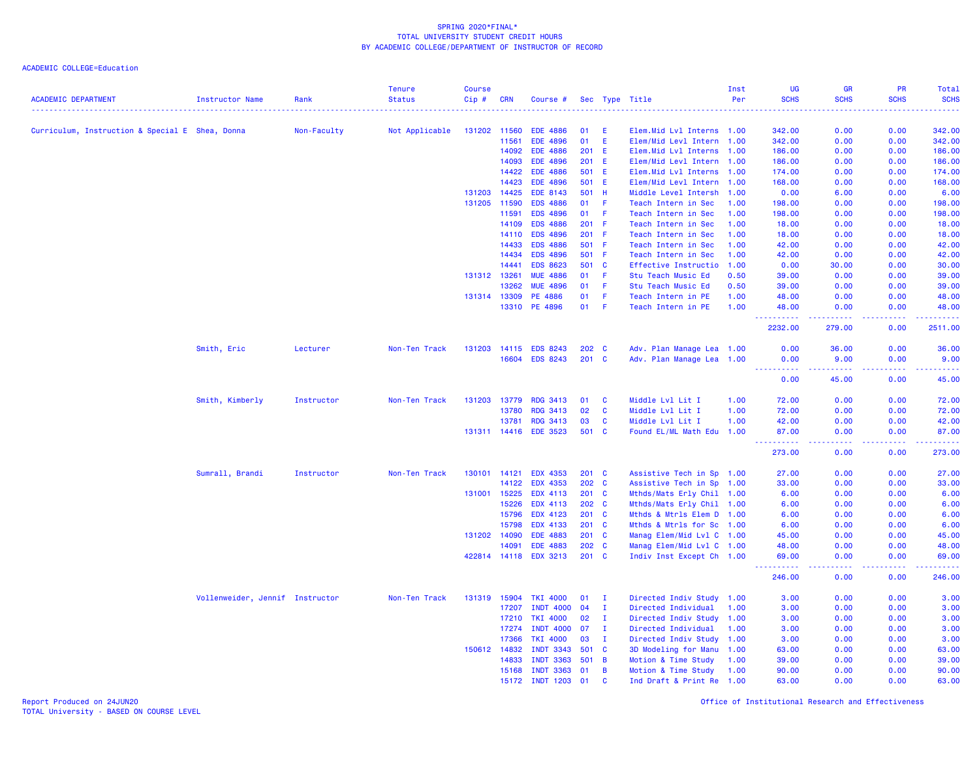ACADEMIC COLLEGE=Education

| <b>ACADEMIC DEPARTMENT</b>                      | <b>Instructor Name</b>          | Rank        | <b>Tenure</b><br><b>Status</b> | <b>Course</b><br>Cip# | <b>CRN</b>   | Course #              |               |                | Sec Type Title             | Inst<br>Per | <b>UG</b><br><b>SCHS</b>            | <b>GR</b><br><b>SCHS</b>                                                                                                                                       | PR<br><b>SCHS</b> | Total<br><b>SCHS</b> |
|-------------------------------------------------|---------------------------------|-------------|--------------------------------|-----------------------|--------------|-----------------------|---------------|----------------|----------------------------|-------------|-------------------------------------|----------------------------------------------------------------------------------------------------------------------------------------------------------------|-------------------|----------------------|
|                                                 |                                 |             |                                |                       |              |                       |               |                |                            |             |                                     |                                                                                                                                                                |                   |                      |
| Curriculum, Instruction & Special E Shea, Donna |                                 | Non-Faculty | Not Applicable                 |                       | 131202 11560 | <b>EDE 4886</b>       | 01            | E              | Elem. Mid Lvl Interns 1.00 |             | 342.00                              | 0.00                                                                                                                                                           | 0.00              | 342.00               |
|                                                 |                                 |             |                                |                       | 11561        | <b>EDE 4896</b>       | 01            | E              | Elem/Mid Levl Intern 1.00  |             | 342.00                              | 0.00                                                                                                                                                           | 0.00              | 342.00               |
|                                                 |                                 |             |                                |                       | 14092        | <b>EDE 4886</b>       | $201$ E       |                | Elem.Mid Lvl Interns 1.00  |             | 186.00                              | 0.00                                                                                                                                                           | 0.00              | 186.00               |
|                                                 |                                 |             |                                |                       | 14093        | <b>EDE 4896</b>       | 201           | - E            | Elem/Mid Levl Intern 1.00  |             | 186.00                              | 0.00                                                                                                                                                           | 0.00              | 186.00               |
|                                                 |                                 |             |                                |                       | 14422        | <b>EDE 4886</b>       | 501 E         |                | Elem.Mid Lvl Interns 1.00  |             | 174.00                              | 0.00                                                                                                                                                           | 0.00              | 174.00               |
|                                                 |                                 |             |                                |                       | 14423        | <b>EDE 4896</b>       | 501 E         |                | Elem/Mid Levl Intern 1.00  |             | 168.00                              | 0.00                                                                                                                                                           | 0.00              | 168.00               |
|                                                 |                                 |             |                                | 131203                | 14425        | <b>EDE 8143</b>       | 501           | - H            | Middle Level Intersh       | 1.00        | 0.00                                | 6.00                                                                                                                                                           | 0.00              | 6.00                 |
|                                                 |                                 |             |                                |                       | 131205 11590 | <b>EDS 4886</b>       | 01            | -F             | Teach Intern in Sec        | 1.00        | 198.00                              | 0.00                                                                                                                                                           | 0.00              | 198.00               |
|                                                 |                                 |             |                                |                       | 11591        | <b>EDS 4896</b>       | 01            | - F            | Teach Intern in Sec        | 1.00        | 198.00                              | 0.00                                                                                                                                                           | 0.00              | 198.00               |
|                                                 |                                 |             |                                |                       | 14109        | <b>EDS 4886</b>       | $201$ F       |                | Teach Intern in Sec        | 1.00        | 18.00                               | 0.00                                                                                                                                                           | 0.00              | 18.00                |
|                                                 |                                 |             |                                |                       | 14110        | <b>EDS 4896</b>       | $201$ F       |                | Teach Intern in Sec        | 1.00        | 18.00                               | 0.00                                                                                                                                                           | 0.00              | 18.00                |
|                                                 |                                 |             |                                |                       | 14433        | <b>EDS 4886</b>       | 501 F         |                | Teach Intern in Sec        | 1.00        | 42.00                               | 0.00                                                                                                                                                           | 0.00              | 42.00                |
|                                                 |                                 |             |                                |                       | 14434        | <b>EDS 4896</b>       | 501           | - F            | Teach Intern in Sec        | 1.00        | 42.00                               | 0.00                                                                                                                                                           | 0.00              | 42.00                |
|                                                 |                                 |             |                                |                       | 14441        | <b>EDS 8623</b>       | 501           | $\mathbf{C}$   | Effective Instructio       | 1.00        | 0.00                                | 30.00                                                                                                                                                          | 0.00              | 30.00                |
|                                                 |                                 |             |                                | 131312 13261          |              | <b>MUE 4886</b>       | 01            | F.             | Stu Teach Music Ed         | 0.50        | 39.00                               | 0.00                                                                                                                                                           | 0.00              | 39.00                |
|                                                 |                                 |             |                                |                       | 13262        | <b>MUE 4896</b>       | 01            | -F             | Stu Teach Music Ed         | 0.50        | 39.00                               | 0.00                                                                                                                                                           | 0.00              | 39.00                |
|                                                 |                                 |             |                                |                       | 131314 13309 | PE 4886               | 01            | -F             | Teach Intern in PE         | 1.00        | 48.00                               | 0.00                                                                                                                                                           | 0.00              | 48.00                |
|                                                 |                                 |             |                                |                       | 13310        | PE 4896               | 01            | -F             | Teach Intern in PE         | 1.00        | 48.00                               | 0.00                                                                                                                                                           | 0.00<br>22222     | 48.00                |
|                                                 |                                 |             |                                |                       |              |                       |               |                |                            |             | ----------<br>2232.00               | $\frac{1}{2} \left( \frac{1}{2} \right) \left( \frac{1}{2} \right) \left( \frac{1}{2} \right) \left( \frac{1}{2} \right) \left( \frac{1}{2} \right)$<br>279.00 | 0.00              | .<br>2511.00         |
|                                                 | Smith, Eric                     | Lecturer    | Non-Ten Track                  |                       | 131203 14115 | <b>EDS 8243</b>       | $202 \quad C$ |                | Adv. Plan Manage Lea 1.00  |             | 0.00                                | 36.00                                                                                                                                                          | 0.00              | 36.00                |
|                                                 |                                 |             |                                |                       |              | 16604 EDS 8243        | $201 \quad C$ |                | Adv. Plan Manage Lea 1.00  |             | 0.00<br><u> - - - - - - - - - -</u> | 9.00                                                                                                                                                           | 0.00<br>.         | 9.00<br>.            |
|                                                 |                                 |             |                                |                       |              |                       |               |                |                            |             | 0.00                                | 45.00                                                                                                                                                          | 0.00              | 45.00                |
|                                                 | Smith, Kimberly                 | Instructor  | Non-Ten Track                  |                       | 131203 13779 | <b>RDG 3413</b>       | 01            | <b>C</b>       | Middle Lvl Lit I           | 1.00        | 72.00                               | 0.00                                                                                                                                                           | 0.00              | 72.00                |
|                                                 |                                 |             |                                |                       | 13780        | <b>RDG 3413</b>       | 02            | C              | Middle Lvl Lit I           | 1.00        | 72.00                               | 0.00                                                                                                                                                           | 0.00              | 72.00                |
|                                                 |                                 |             |                                |                       | 13781        | <b>RDG 3413</b>       | 03            | <b>C</b>       | Middle Lvl Lit I           | 1.00        | 42.00                               | 0.00                                                                                                                                                           | 0.00              | 42.00                |
|                                                 |                                 |             |                                |                       |              | 131311 14416 EDE 3523 | 501 C         |                | Found EL/ML Math Edu 1.00  |             | 87.00                               | 0.00                                                                                                                                                           | 0.00              | 87.00                |
|                                                 |                                 |             |                                |                       |              |                       |               |                |                            |             | 273.00                              | 0.00                                                                                                                                                           | 0.00              | 273.00               |
|                                                 | Sumrall, Brandi                 | Instructor  | Non-Ten Track                  |                       | 130101 14121 | <b>EDX 4353</b>       | $201$ C       |                | Assistive Tech in Sp 1.00  |             | 27.00                               | 0.00                                                                                                                                                           | 0.00              | 27.00                |
|                                                 |                                 |             |                                |                       | 14122        | <b>EDX 4353</b>       | 202 C         |                | Assistive Tech in Sp       | 1.00        | 33.00                               | 0.00                                                                                                                                                           | 0.00              | 33.00                |
|                                                 |                                 |             |                                |                       | 131001 15225 | <b>EDX 4113</b>       | $201$ C       |                | Mthds/Mats Erly Chil 1.00  |             | 6.00                                | 0.00                                                                                                                                                           | 0.00              | 6.00                 |
|                                                 |                                 |             |                                |                       | 15226        | <b>EDX 4113</b>       | $202 \quad C$ |                | Mthds/Mats Erly Chil 1.00  |             | 6.00                                | 0.00                                                                                                                                                           | 0.00              | 6.00                 |
|                                                 |                                 |             |                                |                       | 15796        | EDX 4123              | 201 C         |                | Mthds & Mtrls Elem D 1.00  |             | 6.00                                | 0.00                                                                                                                                                           | 0.00              | 6.00                 |
|                                                 |                                 |             |                                |                       | 15798        | <b>EDX 4133</b>       | 201 C         |                | Mthds & Mtrls for Sc 1.00  |             | 6.00                                | 0.00                                                                                                                                                           | 0.00              | 6.00                 |
|                                                 |                                 |             |                                |                       | 131202 14090 | <b>EDE 4883</b>       | 201 C         |                | Manag Elem/Mid Lvl C 1.00  |             | 45.00                               | 0.00                                                                                                                                                           | 0.00              | 45.00                |
|                                                 |                                 |             |                                |                       | 14091        | <b>EDE 4883</b>       | 202 C         |                | Manag Elem/Mid Lvl C 1.00  |             | 48.00                               | 0.00                                                                                                                                                           | 0.00              | 48.00                |
|                                                 |                                 |             |                                |                       | 422814 14118 | <b>EDX 3213</b>       | $201$ C       |                | Indiv Inst Except Ch 1.00  |             | 69.00<br>.                          | 0.00<br>.                                                                                                                                                      | 0.00<br><u>.</u>  | 69.00<br><u>.</u>    |
|                                                 |                                 |             |                                |                       |              |                       |               |                |                            |             | 246.00                              | 0.00                                                                                                                                                           | 0.00              | 246.00               |
|                                                 | Vollenweider, Jennif Instructor |             | Non-Ten Track                  |                       | 131319 15904 | <b>TKI 4000</b>       | 01            | л.             | Directed Indiv Study 1.00  |             | 3.00                                | 0.00                                                                                                                                                           | 0.00              | 3.00                 |
|                                                 |                                 |             |                                |                       | 17207        | <b>INDT 4000</b>      | 04            | Ι.             | Directed Individual        | 1.00        | 3.00                                | 0.00                                                                                                                                                           | 0.00              | 3.00                 |
|                                                 |                                 |             |                                |                       | 17210        | <b>TKI 4000</b>       | 02            | - I            | Directed Indiv Study 1.00  |             | 3.00                                | 0.00                                                                                                                                                           | 0.00              | 3.00                 |
|                                                 |                                 |             |                                |                       | 17274        | <b>INDT 4000</b>      | 07            | I.             | Directed Individual        | 1.00        | 3.00                                | 0.00                                                                                                                                                           | 0.00              | 3.00                 |
|                                                 |                                 |             |                                |                       | 17366        | <b>TKI 4000</b>       | 03            | I.             | Directed Indiv Study 1.00  |             | 3.00                                | 0.00                                                                                                                                                           | 0.00              | 3.00                 |
|                                                 |                                 |             |                                |                       | 150612 14832 | <b>INDT 3343</b>      | 501 C         |                | 3D Modeling for Manu 1.00  |             | 63.00                               | 0.00                                                                                                                                                           | 0.00              | 63.00                |
|                                                 |                                 |             |                                |                       | 14833        | <b>INDT 3363</b>      | 501 B         |                | Motion & Time Study        | 1.00        | 39.00                               | 0.00                                                                                                                                                           | 0.00              | 39.00                |
|                                                 |                                 |             |                                |                       | 15168        | <b>INDT 3363</b>      | 01            | $\overline{B}$ | Motion & Time Study        | 1.00        | 90.00                               | 0.00                                                                                                                                                           | 0.00              | 90.00                |
|                                                 |                                 |             |                                |                       | 15172        | <b>INDT 1203</b>      | 01            | <b>C</b>       | Ind Draft & Print Re 1.00  |             | 63.00                               | 0.00                                                                                                                                                           | 0.00              | 63.00                |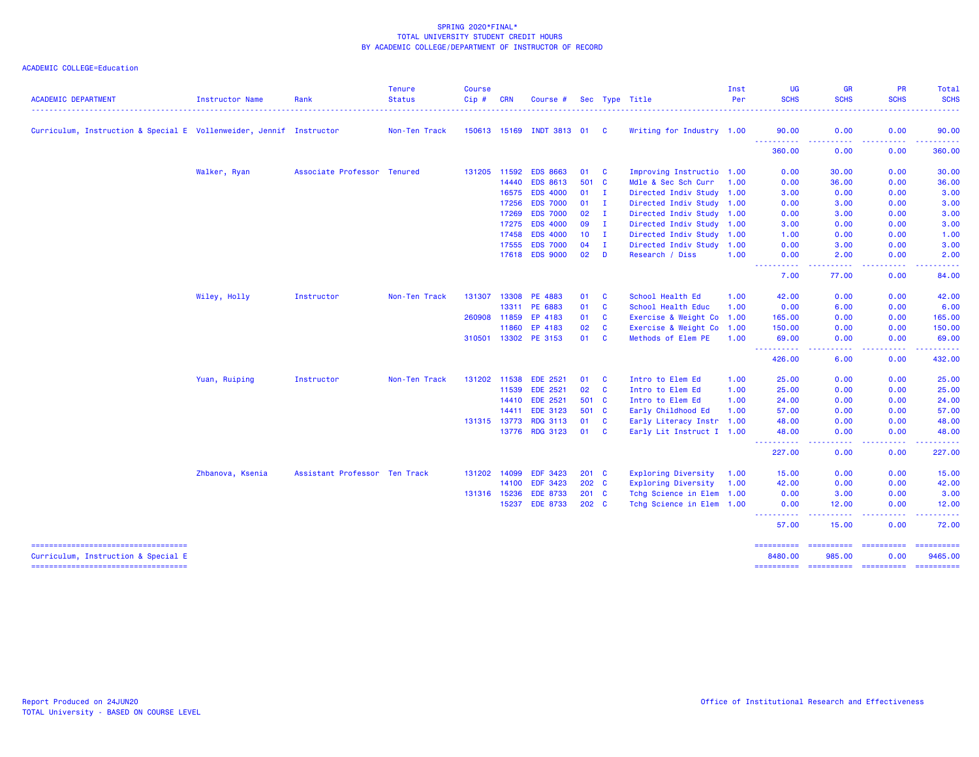## ACADEMIC COLLEGE=Education

| <b>ACADEMIC DEPARTMENT</b>                                                   | Instructor Name  | Rank                          | <b>Tenure</b><br><b>Status</b> | <b>Course</b><br>Cip# | <b>CRN</b> | Course #                  |                 |                | Sec Type Title            | Inst<br>Per | <b>UG</b><br><b>SCHS</b>                                                                                                          | <b>GR</b><br><b>SCHS</b>                                                                                                          | PR<br><b>SCHS</b>                                                                                                                                                                                                                                                                                                                                                                                                                                                                              | Total<br><b>SCHS</b>                                                                                                              |
|------------------------------------------------------------------------------|------------------|-------------------------------|--------------------------------|-----------------------|------------|---------------------------|-----------------|----------------|---------------------------|-------------|-----------------------------------------------------------------------------------------------------------------------------------|-----------------------------------------------------------------------------------------------------------------------------------|------------------------------------------------------------------------------------------------------------------------------------------------------------------------------------------------------------------------------------------------------------------------------------------------------------------------------------------------------------------------------------------------------------------------------------------------------------------------------------------------|-----------------------------------------------------------------------------------------------------------------------------------|
|                                                                              |                  |                               |                                |                       |            |                           |                 |                |                           |             |                                                                                                                                   |                                                                                                                                   |                                                                                                                                                                                                                                                                                                                                                                                                                                                                                                |                                                                                                                                   |
| Curriculum, Instruction & Special E Vollenweider, Jennif Instructor          |                  |                               | Non-Ten Track                  |                       |            | 150613 15169 INDT 3813 01 |                 | - C            | Writing for Industry 1.00 |             | 90.00<br>----------                                                                                                               | 0.00<br>$\frac{1}{2} \left( \frac{1}{2} \right) \left( \frac{1}{2} \right) \left( \frac{1}{2} \right) \left( \frac{1}{2} \right)$ | 0.00<br>.                                                                                                                                                                                                                                                                                                                                                                                                                                                                                      | 90.00<br>$\begin{array}{cccccccccc} \bullet & \bullet & \bullet & \bullet & \bullet & \bullet & \bullet \end{array}$              |
|                                                                              |                  |                               |                                |                       |            |                           |                 |                |                           |             | 360.00                                                                                                                            | 0.00                                                                                                                              | 0.00                                                                                                                                                                                                                                                                                                                                                                                                                                                                                           | 360.00                                                                                                                            |
|                                                                              | Walker, Ryan     | Associate Professor Tenured   |                                | 131205 11592          |            | <b>EDS 8663</b>           | 01              | <b>C</b>       | Improving Instructio 1.00 |             | 0.00                                                                                                                              | 30.00                                                                                                                             | 0.00                                                                                                                                                                                                                                                                                                                                                                                                                                                                                           | 30.00                                                                                                                             |
|                                                                              |                  |                               |                                |                       | 14440      | <b>EDS 8613</b>           | 501 C           |                | Mdle & Sec Sch Curr       | 1.00        | 0.00                                                                                                                              | 36.00                                                                                                                             | 0.00                                                                                                                                                                                                                                                                                                                                                                                                                                                                                           | 36.00                                                                                                                             |
|                                                                              |                  |                               |                                |                       | 16575      | <b>EDS 4000</b>           | $01 \quad I$    |                | Directed Indiv Study 1.00 |             | 3.00                                                                                                                              | 0.00                                                                                                                              | 0.00                                                                                                                                                                                                                                                                                                                                                                                                                                                                                           | 3.00                                                                                                                              |
|                                                                              |                  |                               |                                |                       | 17256      | <b>EDS 7000</b>           | 01              | $\mathbf{I}$   | Directed Indiv Study 1.00 |             | 0.00                                                                                                                              | 3.00                                                                                                                              | 0.00                                                                                                                                                                                                                                                                                                                                                                                                                                                                                           | 3.00                                                                                                                              |
|                                                                              |                  |                               |                                |                       | 17269      | <b>EDS 7000</b>           | 02              | $\mathbf{I}$   | Directed Indiv Study 1.00 |             | 0.00                                                                                                                              | 3.00                                                                                                                              | 0.00                                                                                                                                                                                                                                                                                                                                                                                                                                                                                           | 3.00                                                                                                                              |
|                                                                              |                  |                               |                                |                       | 17275      | <b>EDS 4000</b>           | 09              | I.             | Directed Indiv Study 1.00 |             | 3.00                                                                                                                              | 0.00                                                                                                                              | 0.00                                                                                                                                                                                                                                                                                                                                                                                                                                                                                           | 3.00                                                                                                                              |
|                                                                              |                  |                               |                                |                       | 17458      | <b>EDS 4000</b>           | 10 <sup>°</sup> | $\blacksquare$ | Directed Indiv Study 1.00 |             | 1.00                                                                                                                              | 0.00                                                                                                                              | 0.00                                                                                                                                                                                                                                                                                                                                                                                                                                                                                           | 1.00                                                                                                                              |
|                                                                              |                  |                               |                                |                       | 17555      | <b>EDS 7000</b>           | 04              | $\mathbf{I}$   | Directed Indiv Study 1.00 |             | 0.00                                                                                                                              | 3.00                                                                                                                              | 0.00                                                                                                                                                                                                                                                                                                                                                                                                                                                                                           | 3.00                                                                                                                              |
|                                                                              |                  |                               |                                |                       |            | 17618 EDS 9000            | 02              | D              | Research / Diss           | 1.00        | 0.00<br>$\frac{1}{2} \left( \frac{1}{2} \right) \left( \frac{1}{2} \right) \left( \frac{1}{2} \right) \left( \frac{1}{2} \right)$ | 2.00<br>.                                                                                                                         | 0.00<br>. <b>.</b> .                                                                                                                                                                                                                                                                                                                                                                                                                                                                           | 2.00<br>$\frac{1}{2} \left( \frac{1}{2} \right) \left( \frac{1}{2} \right) \left( \frac{1}{2} \right) \left( \frac{1}{2} \right)$ |
|                                                                              |                  |                               |                                |                       |            |                           |                 |                |                           |             | 7.00                                                                                                                              | 77.00                                                                                                                             | 0.00                                                                                                                                                                                                                                                                                                                                                                                                                                                                                           | 84.00                                                                                                                             |
|                                                                              | Wiley, Holly     | Instructor                    | Non-Ten Track                  | 131307                | 13308      | PE 4883                   | 01              | C              | School Health Ed          | 1.00        | 42.00                                                                                                                             | 0.00                                                                                                                              | 0.00                                                                                                                                                                                                                                                                                                                                                                                                                                                                                           | 42.00                                                                                                                             |
|                                                                              |                  |                               |                                |                       | 13311      | PE 6883                   | 01              | C              | School Health Educ        | 1.00        | 0.00                                                                                                                              | 6.00                                                                                                                              | 0.00                                                                                                                                                                                                                                                                                                                                                                                                                                                                                           | 6.00                                                                                                                              |
|                                                                              |                  |                               |                                | 260908                | 11859      | EP 4183                   | 01              | C              | Exercise & Weight Co 1.00 |             | 165.00                                                                                                                            | 0.00                                                                                                                              | 0.00                                                                                                                                                                                                                                                                                                                                                                                                                                                                                           | 165.00                                                                                                                            |
|                                                                              |                  |                               |                                |                       | 11860      | EP 4183                   | 02              | $\mathbf{C}$   | Exercise & Weight Co 1.00 |             | 150.00                                                                                                                            | 0.00                                                                                                                              | 0.00                                                                                                                                                                                                                                                                                                                                                                                                                                                                                           | 150.00                                                                                                                            |
|                                                                              |                  |                               |                                | 310501                |            | 13302 PE 3153             | 01              | C              | Methods of Elem PE        | 1.00        | 69.00<br><u> - - - - - - - - - -</u>                                                                                              | 0.00<br>----                                                                                                                      | 0.00<br>.                                                                                                                                                                                                                                                                                                                                                                                                                                                                                      | 69.00<br>.                                                                                                                        |
|                                                                              |                  |                               |                                |                       |            |                           |                 |                |                           |             | 426.00                                                                                                                            | 6.00                                                                                                                              | 0.00                                                                                                                                                                                                                                                                                                                                                                                                                                                                                           | 432.00                                                                                                                            |
|                                                                              | Yuan, Ruiping    | Instructor                    | Non-Ten Track                  | 131202                | 11538      | <b>EDE 2521</b>           | 01              | <b>C</b>       | Intro to Elem Ed          | 1.00        | 25.00                                                                                                                             | 0.00                                                                                                                              | 0.00                                                                                                                                                                                                                                                                                                                                                                                                                                                                                           | 25.00                                                                                                                             |
|                                                                              |                  |                               |                                |                       | 11539      | <b>EDE 2521</b>           | 02              | $\mathbf{C}$   | Intro to Elem Ed          | 1.00        | 25.00                                                                                                                             | 0.00                                                                                                                              | 0.00                                                                                                                                                                                                                                                                                                                                                                                                                                                                                           | 25.00                                                                                                                             |
|                                                                              |                  |                               |                                |                       | 14410      | <b>EDE 2521</b>           | 501 C           |                | Intro to Elem Ed          | 1.00        | 24.00                                                                                                                             | 0.00                                                                                                                              | 0.00                                                                                                                                                                                                                                                                                                                                                                                                                                                                                           | 24.00                                                                                                                             |
|                                                                              |                  |                               |                                |                       | 14411      | <b>EDE 3123</b>           | 501 C           |                | Early Childhood Ed        | 1.00        | 57.00                                                                                                                             | 0.00                                                                                                                              | 0.00                                                                                                                                                                                                                                                                                                                                                                                                                                                                                           | 57.00                                                                                                                             |
|                                                                              |                  |                               |                                | 131315 13773          |            | <b>RDG 3113</b>           | 01              | <b>C</b>       | Early Literacy Instr 1.00 |             | 48.00                                                                                                                             | 0.00                                                                                                                              | 0.00                                                                                                                                                                                                                                                                                                                                                                                                                                                                                           | 48.00                                                                                                                             |
|                                                                              |                  |                               |                                |                       |            | 13776 RDG 3123            | 01 C            |                | Early Lit Instruct I 1.00 |             | 48.00                                                                                                                             | 0.00                                                                                                                              | 0.00                                                                                                                                                                                                                                                                                                                                                                                                                                                                                           | 48.00                                                                                                                             |
|                                                                              |                  |                               |                                |                       |            |                           |                 |                |                           |             | 227.00                                                                                                                            | $\frac{1}{2} \left( \frac{1}{2} \right) \left( \frac{1}{2} \right) \left( \frac{1}{2} \right) \left( \frac{1}{2} \right)$<br>0.00 | .<br>0.00                                                                                                                                                                                                                                                                                                                                                                                                                                                                                      | .<br>227.00                                                                                                                       |
|                                                                              | Zhbanova, Ksenia | Assistant Professor Ten Track |                                | 131202 14099          |            | <b>EDF 3423</b>           | $201 \quad C$   |                | Exploring Diversity       | 1.00        | 15.00                                                                                                                             | 0.00                                                                                                                              | 0.00                                                                                                                                                                                                                                                                                                                                                                                                                                                                                           | 15.00                                                                                                                             |
|                                                                              |                  |                               |                                |                       | 14100      | <b>EDF 3423</b>           | 202 C           |                | Exploring Diversity 1.00  |             | 42.00                                                                                                                             | 0.00                                                                                                                              | 0.00                                                                                                                                                                                                                                                                                                                                                                                                                                                                                           | 42.00                                                                                                                             |
|                                                                              |                  |                               |                                | 131316 15236          |            | <b>EDE 8733</b>           | $201$ C         |                | Tchg Science in Elem 1.00 |             | 0.00                                                                                                                              | 3.00                                                                                                                              | 0.00                                                                                                                                                                                                                                                                                                                                                                                                                                                                                           | 3.00                                                                                                                              |
|                                                                              |                  |                               |                                |                       | 15237      | <b>EDE 8733</b>           | 202 C           |                | Tchg Science in Elem 1.00 |             | 0.00                                                                                                                              | 12.00                                                                                                                             | 0.00<br>. <b>.</b> .                                                                                                                                                                                                                                                                                                                                                                                                                                                                           | 12.00<br>.                                                                                                                        |
|                                                                              |                  |                               |                                |                       |            |                           |                 |                |                           |             | 57.00                                                                                                                             | 15.00                                                                                                                             | 0.00                                                                                                                                                                                                                                                                                                                                                                                                                                                                                           | 72.00                                                                                                                             |
| =====================================<br>Curriculum, Instruction & Special E |                  |                               |                                |                       |            |                           |                 |                |                           |             | ==========<br>8480.00                                                                                                             | ==========<br>985.00                                                                                                              | $\begin{array}{cccccccccc} \multicolumn{2}{c}{} & \multicolumn{2}{c}{} & \multicolumn{2}{c}{} & \multicolumn{2}{c}{} & \multicolumn{2}{c}{} & \multicolumn{2}{c}{} & \multicolumn{2}{c}{} & \multicolumn{2}{c}{} & \multicolumn{2}{c}{} & \multicolumn{2}{c}{} & \multicolumn{2}{c}{} & \multicolumn{2}{c}{} & \multicolumn{2}{c}{} & \multicolumn{2}{c}{} & \multicolumn{2}{c}{} & \multicolumn{2}{c}{} & \multicolumn{2}{c}{} & \multicolumn{2}{c}{} & \multicolumn{2}{c}{} & \mult$<br>0.00 | -==========<br>9465.00                                                                                                            |

=================================== ========== ========== ========== ==========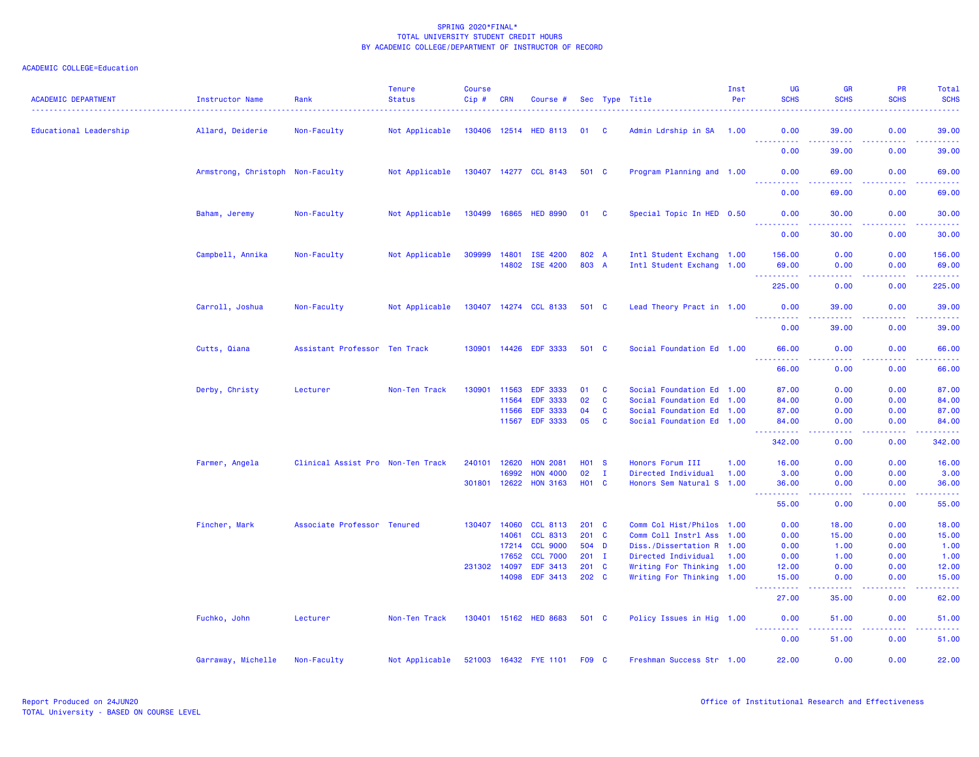| <b>ACADEMIC DEPARTMENT</b> | Instructor Name                  | Rank                              | <b>Tenure</b><br><b>Status</b> | <b>Course</b><br>$Cip \#$ | <b>CRN</b>     | Course #                           |                   |               | Sec Type Title                                    | Inst<br>Per | UG<br><b>SCHS</b>                   | <b>GR</b><br><b>SCHS</b>                                                                                                                                      | <b>PR</b><br><b>SCHS</b> | Total<br><b>SCHS</b>        |
|----------------------------|----------------------------------|-----------------------------------|--------------------------------|---------------------------|----------------|------------------------------------|-------------------|---------------|---------------------------------------------------|-------------|-------------------------------------|---------------------------------------------------------------------------------------------------------------------------------------------------------------|--------------------------|-----------------------------|
| Educational Leadership     | Allard, Deiderie                 | Non-Faculty                       | Not Applicable                 |                           |                | 130406 12514 HED 8113              | 01 C              |               | Admin Ldrship in SA 1.00                          |             | 0.00                                | 39.00                                                                                                                                                         | 0.00                     | 39.00                       |
|                            |                                  |                                   |                                |                           |                |                                    |                   |               |                                                   |             | 0.00                                | 39.00                                                                                                                                                         | 0.00                     | 39.00                       |
|                            | Armstrong, Christoph Non-Faculty |                                   | Not Applicable                 |                           |                | 130407 14277 CCL 8143              | 501 C             |               | Program Planning and 1.00                         |             | 0.00                                | 69.00                                                                                                                                                         | 0.00                     | 69.00                       |
|                            |                                  |                                   |                                |                           |                |                                    |                   |               |                                                   |             | <u> - - - - - - - - - -</u><br>0.00 | $\frac{1}{2} \left( \frac{1}{2} \right) \left( \frac{1}{2} \right) \left( \frac{1}{2} \right) \left( \frac{1}{2} \right) \left( \frac{1}{2} \right)$<br>69.00 | .<br>0.00                | .<br>69.00                  |
|                            | Baham, Jeremy                    | Non-Faculty                       | Not Applicable                 |                           |                | 130499 16865 HED 8990              | 01 C              |               | Special Topic In HED 0.50                         |             | 0.00<br><u>.</u>                    | 30.00                                                                                                                                                         | 0.00                     | 30.00                       |
|                            |                                  |                                   |                                |                           |                |                                    |                   |               |                                                   |             | 0.00                                | 30.00                                                                                                                                                         | 0.00                     | 30.00                       |
|                            | Campbell, Annika                 | Non-Faculty                       | Not Applicable                 | 309999                    | 14801<br>14802 | ISE 4200<br>ISE 4200               | 802 A<br>803 A    |               | Intl Student Exchang 1.00                         |             | 156.00                              | 0.00                                                                                                                                                          | 0.00                     | 156.00                      |
|                            |                                  |                                   |                                |                           |                |                                    |                   |               | Intl Student Exchang 1.00                         |             | 69.00<br>د د د د د د<br>225.00      | 0.00<br>$\sim$ $\sim$ $\sim$ $\sim$<br>0.00                                                                                                                   | 0.00<br>.<br>0.00        | 69.00<br>المستمال<br>225.00 |
|                            |                                  |                                   |                                |                           |                |                                    |                   |               |                                                   |             |                                     |                                                                                                                                                               |                          |                             |
|                            | Carroll, Joshua                  | Non-Faculty                       | Not Applicable                 |                           |                | 130407 14274 CCL 8133              | 501 C             |               | Lead Theory Pract in 1.00                         |             | 0.00<br>.<br>0.00                   | 39.00<br>39.00                                                                                                                                                | 0.00<br>.<br>0.00        | 39.00<br>.<br>39.00         |
|                            | Cutts, Qiana                     | Assistant Professor Ten Track     |                                | 130901                    | 14426          | <b>EDF 3333</b>                    | 501 C             |               | Social Foundation Ed 1.00                         |             | 66.00                               | 0.00                                                                                                                                                          | 0.00                     | 66.00                       |
|                            |                                  |                                   |                                |                           |                |                                    |                   |               |                                                   |             |                                     | .                                                                                                                                                             |                          | .                           |
|                            |                                  |                                   |                                |                           |                |                                    |                   |               |                                                   |             | 66.00                               | 0.00                                                                                                                                                          | 0.00                     | 66.00                       |
|                            | Derby, Christy                   | Lecturer                          | Non-Ten Track                  | 130901                    | 11563          | <b>EDF 3333</b><br><b>EDF 3333</b> | 01<br>02          | <b>C</b><br>C | Social Foundation Ed 1.00<br>Social Foundation Ed |             | 87.00                               | 0.00<br>0.00                                                                                                                                                  | 0.00<br>0.00             | 87.00                       |
|                            |                                  |                                   |                                |                           | 11564<br>11566 | <b>EDF 3333</b>                    | 04                | C             | Social Foundation Ed 1.00                         | 1.00        | 84.00<br>87.00                      | 0.00                                                                                                                                                          | 0.00                     | 84.00<br>87.00              |
|                            |                                  |                                   |                                |                           | 11567          | <b>EDF 3333</b>                    | 05                | C             | Social Foundation Ed 1.00                         |             | 84.00                               | 0.00                                                                                                                                                          | 0.00                     | 84.00                       |
|                            |                                  |                                   |                                |                           |                |                                    |                   |               |                                                   |             | .<br>342.00                         | .<br>0.00                                                                                                                                                     | .<br>0.00                | .<br>342.00                 |
|                            | Farmer, Angela                   | Clinical Assist Pro Non-Ten Track |                                | 240101                    | 12620          | <b>HON 2081</b>                    | H <sub>01</sub> S |               | Honors Forum III                                  | 1.00        | 16.00                               | 0.00                                                                                                                                                          | 0.00                     | 16.00                       |
|                            |                                  |                                   |                                |                           | 16992          | <b>HON 4000</b>                    | 02                | $\mathbf{I}$  | Directed Individual                               | 1.00        | 3.00                                | 0.00                                                                                                                                                          | 0.00                     | 3.00                        |
|                            |                                  |                                   |                                | 301801                    | 12622          | <b>HON 3163</b>                    | <b>HO1 C</b>      |               | Honors Sem Natural S 1.00                         |             | 36.00<br>د د د د د                  | 0.00<br>ولايات                                                                                                                                                | 0.00<br>.                | 36.00<br>.                  |
|                            |                                  |                                   |                                |                           |                |                                    |                   |               |                                                   |             | 55.00                               | 0.00                                                                                                                                                          | 0.00                     | 55.00                       |
|                            | Fincher, Mark                    | Associate Professor Tenured       |                                | 130407                    | 14060          | <b>CCL 8113</b>                    | 201 C             |               | Comm Col Hist/Philos 1.00                         |             | 0.00                                | 18.00                                                                                                                                                         | 0.00                     | 18.00                       |
|                            |                                  |                                   |                                |                           | 14061          | <b>CCL 8313</b>                    | $201 \quad C$     |               | Comm Coll Instrl Ass                              | 1.00        | 0.00                                | 15.00                                                                                                                                                         | 0.00                     | 15.00                       |
|                            |                                  |                                   |                                |                           | 17214          | <b>CCL 9000</b>                    | 504 D             |               | Diss./Dissertation R 1.00                         |             | 0.00                                | 1.00                                                                                                                                                          | 0.00                     | 1.00                        |
|                            |                                  |                                   |                                |                           | 17652          | <b>CCL 7000</b>                    | $201$ I           |               | Directed Individual                               | 1.00        | 0.00                                | 1.00                                                                                                                                                          | 0.00                     | 1.00                        |
|                            |                                  |                                   |                                | 231302                    | 14097          | <b>EDF 3413</b>                    | 201 C             |               | Writing For Thinking 1.00                         |             | 12.00                               | 0.00                                                                                                                                                          | 0.00                     | 12.00                       |
|                            |                                  |                                   |                                |                           | 14098          | EDF 3413                           | 202 C             |               | Writing For Thinking 1.00                         |             | 15.00                               | 0.00                                                                                                                                                          | 0.00                     | 15.00                       |
|                            |                                  |                                   |                                |                           |                |                                    |                   |               |                                                   |             | 27.00                               | 35.00                                                                                                                                                         | 0.00                     | 62.00                       |
|                            | Fuchko, John                     | Lecturer                          | Non-Ten Track                  |                           |                | 130401 15162 HED 8683              | 501 C             |               | Policy Issues in Hig 1.00                         |             | 0.00<br>المتمامين                   | 51.00<br>.                                                                                                                                                    | 0.00<br>.                | 51.00<br>.                  |
|                            |                                  |                                   |                                |                           |                |                                    |                   |               |                                                   |             | 0.00                                | 51.00                                                                                                                                                         | 0.00                     | 51.00                       |
|                            | Garraway, Michelle               | Non-Faculty                       | Not Applicable                 |                           |                | 521003 16432 FYE 1101              | F09 C             |               | Freshman Success Str 1.00                         |             | 22.00                               | 0.00                                                                                                                                                          | 0.00                     | 22.00                       |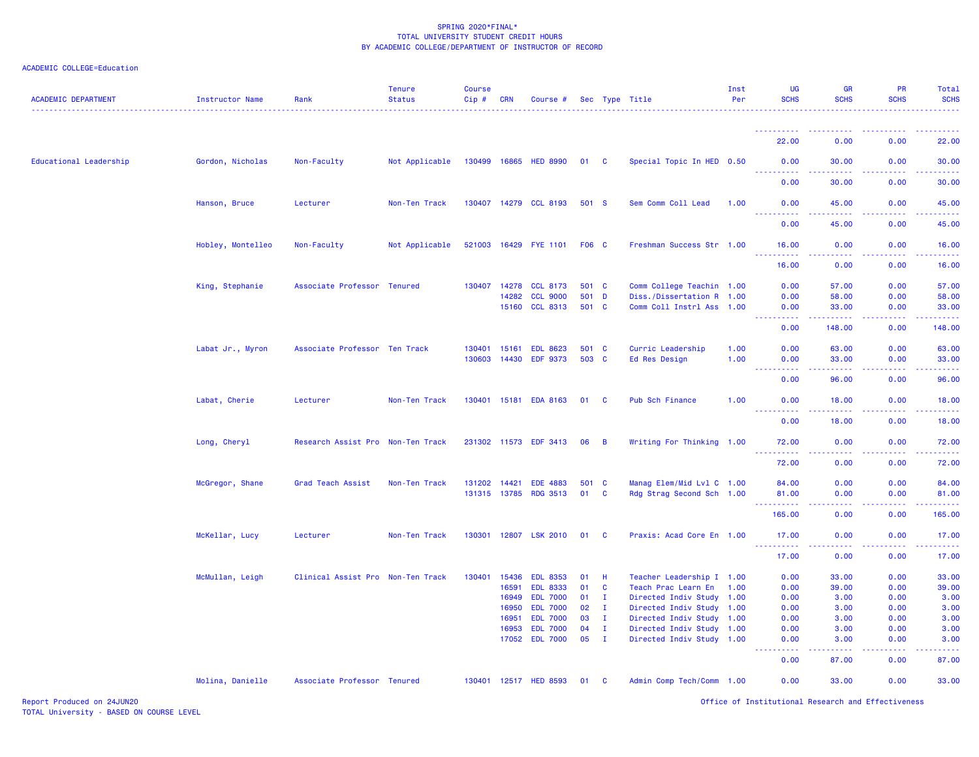| <b>ACADEMIC DEPARTMENT</b> | <b>Instructor Name</b> | Rank                              | <b>Tenure</b><br><b>Status</b> | <b>Course</b><br>Cip# | CRN            | Course #                           |                |                              | Sec Type Title                                         | Inst<br>Per | UG<br><b>SCHS</b>                                                                                                                 | <b>GR</b><br><b>SCHS</b> | PR<br><b>SCHS</b> | Total<br><b>SCHS</b>                   |
|----------------------------|------------------------|-----------------------------------|--------------------------------|-----------------------|----------------|------------------------------------|----------------|------------------------------|--------------------------------------------------------|-------------|-----------------------------------------------------------------------------------------------------------------------------------|--------------------------|-------------------|----------------------------------------|
|                            |                        |                                   |                                |                       |                |                                    |                |                              |                                                        |             | <b></b>                                                                                                                           |                          | .                 | <u>.</u>                               |
|                            |                        |                                   |                                |                       |                |                                    |                |                              |                                                        |             | 22.00                                                                                                                             | 0.00                     | 0.00              | 22.00                                  |
| Educational Leadership     | Gordon, Nicholas       | Non-Faculty                       | Not Applicable                 |                       |                | 130499 16865 HED 8990              | 01 C           |                              | Special Topic In HED 0.50                              |             | 0.00                                                                                                                              | 30.00                    | 0.00              | 30.00                                  |
|                            |                        |                                   |                                |                       |                |                                    |                |                              |                                                        |             | 0.00                                                                                                                              | 30.00                    | 0.00              | 30.00                                  |
|                            | Hanson, Bruce          | Lecturer                          | Non-Ten Track                  |                       |                | 130407 14279 CCL 8193              | 501 S          |                              | Sem Comm Coll Lead                                     | 1.00        | 0.00                                                                                                                              | 45.00                    | 0.00              | 45.00                                  |
|                            |                        |                                   |                                |                       |                |                                    |                |                              |                                                        |             | <u>.</u><br>0.00                                                                                                                  | 45.00                    | 0.00              | 45.00                                  |
|                            | Hobley, Montelleo      | Non-Faculty                       | Not Applicable                 |                       |                | 521003 16429 FYE 1101              | F06 C          |                              | Freshman Success Str 1.00                              |             | 16.00                                                                                                                             | 0.00                     | 0.00              | 16.00                                  |
|                            |                        |                                   |                                |                       |                |                                    |                |                              |                                                        |             | <u>.</u><br>16.00                                                                                                                 | 0.00                     | 0.00              | 16.00                                  |
|                            | King, Stephanie        | Associate Professor Tenured       |                                | 130407 14278          |                | <b>CCL 8173</b>                    | 501 C          |                              | Comm College Teachin 1.00                              |             | 0.00                                                                                                                              | 57.00                    | 0.00              | 57.00                                  |
|                            |                        |                                   |                                |                       | 14282          | <b>CCL 9000</b><br><b>CCL 8313</b> | 501 D<br>501 C |                              | Diss./Dissertation R 1.00                              |             | 0.00                                                                                                                              | 58.00                    | 0.00              | 58.00                                  |
|                            |                        |                                   |                                |                       | 15160          |                                    |                |                              | Comm Coll Instrl Ass 1.00                              |             | 0.00<br><u> - - - - - - - - - -</u>                                                                                               | 33.00<br>222222          | 0.00<br>22222     | 33.00<br>.                             |
|                            |                        |                                   |                                |                       |                |                                    |                |                              |                                                        |             | 0.00                                                                                                                              | 148,00                   | 0.00              | 148.00                                 |
|                            | Labat Jr., Myron       | Associate Professor Ten Track     |                                | 130401                | 15161          | <b>EDL 8623</b>                    | 501 C          |                              | Curric Leadership                                      | 1.00        | 0.00                                                                                                                              | 63.00                    | 0.00              | 63.00                                  |
|                            |                        |                                   |                                | 130603 14430          |                | <b>EDF 9373</b>                    | 503 C          |                              | Ed Res Design                                          | 1.00        | 0.00<br>----------                                                                                                                | 33.00<br>.               | 0.00              | 33.00                                  |
|                            |                        |                                   |                                |                       |                |                                    |                |                              |                                                        |             | 0.00                                                                                                                              | 96.00                    | 0.00              | 96.00                                  |
|                            | Labat, Cherie          | Lecturer                          | Non-Ten Track                  | 130401                |                | 15181 EDA 8163                     | 01             | <b>C</b>                     | Pub Sch Finance                                        | 1.00        | 0.00<br>$\frac{1}{2} \left( \frac{1}{2} \right) \left( \frac{1}{2} \right) \left( \frac{1}{2} \right) \left( \frac{1}{2} \right)$ | 18.00                    | 0.00              | 18.00                                  |
|                            |                        |                                   |                                |                       |                |                                    |                |                              |                                                        |             | 0.00                                                                                                                              | 18.00                    | 0.00              | 18.00                                  |
|                            | Long, Cheryl           | Research Assist Pro Non-Ten Track |                                |                       |                | 231302 11573 EDF 3413              | 06             | $\overline{B}$               | Writing For Thinking 1.00                              |             | 72.00<br><u>.</u>                                                                                                                 | 0.00<br>22222            | 0.00              | 72.00<br>.                             |
|                            |                        |                                   |                                |                       |                |                                    |                |                              |                                                        |             | 72.00                                                                                                                             | 0.00                     | 0.00              | 72.00                                  |
|                            | McGregor, Shane        | Grad Teach Assist                 | Non-Ten Track                  | 131202 14421          |                | <b>EDE 4883</b>                    | 501 C          |                              | Manag Elem/Mid Lvl C 1.00                              |             | 84.00                                                                                                                             | 0.00                     | 0.00              | 84.00                                  |
|                            |                        |                                   |                                |                       |                | 131315 13785 RDG 3513              | 01             | <b>C</b>                     | Rdg Strag Second Sch 1.00                              |             | 81.00<br>----------                                                                                                               | 0.00<br>.                | 0.00<br>.         | 81.00<br>.                             |
|                            |                        |                                   |                                |                       |                |                                    |                |                              |                                                        |             | 165.00                                                                                                                            | 0.00                     | 0.00              | 165.00                                 |
|                            | McKellar, Lucy         | Lecturer                          | Non-Ten Track                  | 130301                |                | 12807 LSK 2010                     | 01             | <b>C</b>                     | Praxis: Acad Core En 1.00                              |             | 17.00<br><u>.</u>                                                                                                                 | 0.00<br>22222            | 0.00<br>.         | 17.00<br>.                             |
|                            |                        |                                   |                                |                       |                |                                    |                |                              |                                                        |             | 17.00                                                                                                                             | 0.00                     | 0.00              | 17.00                                  |
|                            | McMullan, Leigh        | Clinical Assist Pro Non-Ten Track |                                | 130401                | 15436          | <b>EDL 8353</b>                    | 01             | H                            | Teacher Leadership I 1.00                              |             | 0.00                                                                                                                              | 33.00                    | 0.00              | 33.00                                  |
|                            |                        |                                   |                                |                       | 16591          | <b>EDL 8333</b>                    | 01             | <b>C</b>                     | Teach Prac Learn En                                    | 1.00        | 0.00                                                                                                                              | 39.00                    | 0.00              | 39.00                                  |
|                            |                        |                                   |                                |                       | 16949          | <b>EDL 7000</b>                    | 01             | $\mathbf{I}$                 | Directed Indiv Study 1.00                              |             | 0.00                                                                                                                              | 3.00                     | 0.00              | 3.00                                   |
|                            |                        |                                   |                                |                       | 16950          | <b>EDL 7000</b>                    | 02             | $\mathbf{I}$                 | Directed Indiv Study 1.00                              |             | 0.00                                                                                                                              | 3.00                     | 0.00              | 3.00                                   |
|                            |                        |                                   |                                |                       | 16951          | <b>EDL 7000</b>                    | 03<br>04       | $\mathbf{I}$                 | Directed Indiv Study 1.00                              |             | 0.00                                                                                                                              | 3.00                     | 0.00              | 3.00                                   |
|                            |                        |                                   |                                |                       | 16953<br>17052 | <b>EDL 7000</b><br><b>EDL 7000</b> | 05             | $\mathbf{I}$<br>$\mathbf{I}$ | Directed Indiv Study 1.00<br>Directed Indiv Study 1.00 |             | 0.00<br>0.00                                                                                                                      | 3.00<br>3.00             | 0.00<br>0.00      | 3.00<br>3.00                           |
|                            |                        |                                   |                                |                       |                |                                    |                |                              |                                                        |             | <u> - - - - - - - - - -</u><br>0.00                                                                                               | .<br>87.00               | .<br>0.00         | <b><i><u><u>.</u></u></i></b><br>87.00 |
|                            | Molina, Danielle       | Associate Professor Tenured       |                                |                       |                | 130401 12517 HED 8593              | 01             | <b>C</b>                     | Admin Comp Tech/Comm 1.00                              |             | 0.00                                                                                                                              | 33.00                    | 0.00              | 33.00                                  |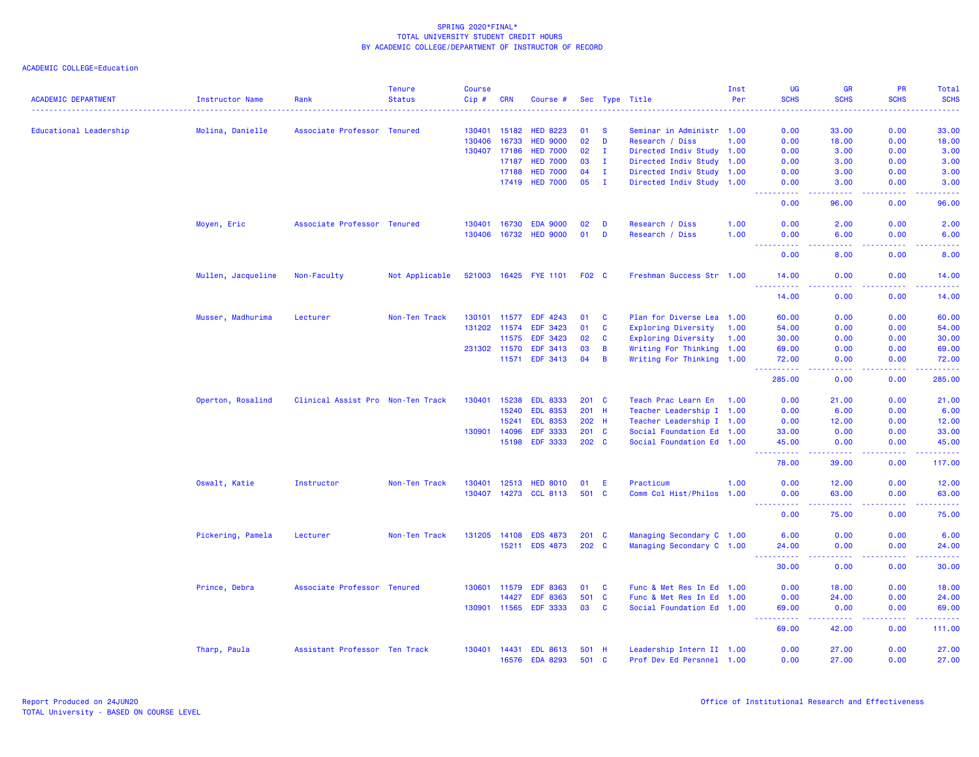| <b>ACADEMIC DEPARTMENT</b> | Instructor Name    | Rank                              | <b>Tenure</b><br><b>Status</b> | Course<br>Cip# | <b>CRN</b>   | Course #              |       |               | Sec Type Title             | Inst<br>Per | UG<br><b>SCHS</b>                                                                                                                                             | <b>GR</b><br><b>SCHS</b>                                                                                                                                      | <b>PR</b><br><b>SCHS</b>                                                                                                                                     | Total<br><b>SCHS</b>                                                                                                                                                                      |
|----------------------------|--------------------|-----------------------------------|--------------------------------|----------------|--------------|-----------------------|-------|---------------|----------------------------|-------------|---------------------------------------------------------------------------------------------------------------------------------------------------------------|---------------------------------------------------------------------------------------------------------------------------------------------------------------|--------------------------------------------------------------------------------------------------------------------------------------------------------------|-------------------------------------------------------------------------------------------------------------------------------------------------------------------------------------------|
|                            |                    |                                   |                                |                |              |                       |       |               |                            |             |                                                                                                                                                               |                                                                                                                                                               |                                                                                                                                                              |                                                                                                                                                                                           |
| Educational Leadership     | Molina, Danielle   | Associate Professor Tenured       |                                | 130401         | 15182        | <b>HED 8223</b>       | 01    | <b>S</b>      | Seminar in Administr 1.00  |             | 0.00                                                                                                                                                          | 33.00                                                                                                                                                         | 0.00                                                                                                                                                         | 33.00                                                                                                                                                                                     |
|                            |                    |                                   |                                | 130406         | 16733        | <b>HED 9000</b>       | 02    | D             | Research / Diss            | 1.00        | 0.00                                                                                                                                                          | 18.00                                                                                                                                                         | 0.00                                                                                                                                                         | 18.00                                                                                                                                                                                     |
|                            |                    |                                   |                                |                | 130407 17186 | <b>HED 7000</b>       | 02    | $\mathbf{I}$  | Directed Indiv Study 1.00  |             | 0.00                                                                                                                                                          | 3.00                                                                                                                                                          | 0.00                                                                                                                                                         | 3.00                                                                                                                                                                                      |
|                            |                    |                                   |                                |                | 17187        | <b>HED 7000</b>       | 03    | $\mathbf{I}$  | Directed Indiv Study 1.00  |             | 0.00                                                                                                                                                          | 3.00                                                                                                                                                          | 0.00                                                                                                                                                         | 3.00                                                                                                                                                                                      |
|                            |                    |                                   |                                |                | 17188        | <b>HED 7000</b>       | 04    | $\mathbf{I}$  | Directed Indiv Study 1.00  |             | 0.00                                                                                                                                                          | 3.00                                                                                                                                                          | 0.00                                                                                                                                                         | 3.00                                                                                                                                                                                      |
|                            |                    |                                   |                                |                | 17419        | <b>HED 7000</b>       | 05    | $\mathbf{I}$  | Directed Indiv Study 1.00  |             | 0.00                                                                                                                                                          | 3.00                                                                                                                                                          | 0.00                                                                                                                                                         | 3.00                                                                                                                                                                                      |
|                            |                    |                                   |                                |                |              |                       |       |               |                            |             | $\sim$ $\sim$ $\sim$ $\sim$<br>0.00                                                                                                                           | .<br>96.00                                                                                                                                                    | .<br>0.00                                                                                                                                                    | .<br>96.00                                                                                                                                                                                |
|                            | Moyen, Eric        | Associate Professor Tenured       |                                | 130401         | 16730        | <b>EDA 9000</b>       | 02    | D             | Research / Diss            | 1.00        | 0.00                                                                                                                                                          | 2.00                                                                                                                                                          | 0.00                                                                                                                                                         | 2.00                                                                                                                                                                                      |
|                            |                    |                                   |                                | 130406         | 16732        | <b>HED 9000</b>       | 01    | D             | Research / Diss            | 1.00        | 0.00<br>$\omega_{\rm c}$ and $\omega_{\rm c}$                                                                                                                 | 6.00<br>$\sim$ $\sim$ $\sim$ $\sim$                                                                                                                           | 0.00<br>.                                                                                                                                                    | 6.00<br>المتمام المنا                                                                                                                                                                     |
|                            |                    |                                   |                                |                |              |                       |       |               |                            |             | 0.00                                                                                                                                                          | 8.00                                                                                                                                                          | 0.00                                                                                                                                                         | 8.00                                                                                                                                                                                      |
|                            | Mullen, Jacqueline | Non-Faculty                       | Not Applicable                 |                |              | 521003 16425 FYE 1101 | F02 C |               | Freshman Success Str 1.00  |             | 14.00<br>$\frac{1}{2} \left( \frac{1}{2} \right) \left( \frac{1}{2} \right) \left( \frac{1}{2} \right) \left( \frac{1}{2} \right)$                            | 0.00<br>$  -$                                                                                                                                                 | 0.00<br>.                                                                                                                                                    | 14.00<br>.                                                                                                                                                                                |
|                            |                    |                                   |                                |                |              |                       |       |               |                            |             | 14.00                                                                                                                                                         | 0.00                                                                                                                                                          | 0.00                                                                                                                                                         | 14.00                                                                                                                                                                                     |
|                            | Musser, Madhurima  | Lecturer                          | Non-Ten Track                  | 130101         | 11577        | EDF 4243              | 01    | <b>C</b>      | Plan for Diverse Lea 1.00  |             | 60.00                                                                                                                                                         | 0.00                                                                                                                                                          | 0.00                                                                                                                                                         | 60.00                                                                                                                                                                                     |
|                            |                    |                                   |                                |                | 131202 11574 | <b>EDF 3423</b>       | 01    | C             | Exploring Diversity        | 1.00        | 54.00                                                                                                                                                         | 0.00                                                                                                                                                          | 0.00                                                                                                                                                         | 54.00                                                                                                                                                                                     |
|                            |                    |                                   |                                |                | 11575        | <b>EDF 3423</b>       | 02    | C             | <b>Exploring Diversity</b> | 1.00        | 30.00                                                                                                                                                         | 0.00                                                                                                                                                          | 0.00                                                                                                                                                         | 30.00                                                                                                                                                                                     |
|                            |                    |                                   |                                |                | 231302 11570 | EDF 3413              | 03    | B             | Writing For Thinking 1.00  |             | 69.00                                                                                                                                                         | 0.00                                                                                                                                                          | 0.00                                                                                                                                                         | 69.00                                                                                                                                                                                     |
|                            |                    |                                   |                                |                | 11571        | EDF 3413              | 04    | B             | Writing For Thinking 1.00  |             | 72.00<br>------                                                                                                                                               | 0.00<br>.                                                                                                                                                     | 0.00<br>-----                                                                                                                                                | 72.00<br>$\frac{1}{2} \left( \frac{1}{2} \right) \left( \frac{1}{2} \right) \left( \frac{1}{2} \right) \left( \frac{1}{2} \right) \left( \frac{1}{2} \right)$                             |
|                            |                    |                                   |                                |                |              |                       |       |               |                            |             | 285.00                                                                                                                                                        | 0.00                                                                                                                                                          | 0.00                                                                                                                                                         | 285.00                                                                                                                                                                                    |
|                            | Operton, Rosalind  | Clinical Assist Pro Non-Ten Track |                                | 130401         | 15238        | <b>EDL 8333</b>       |       | 201 C         | Teach Prac Learn En        | 1.00        | 0.00                                                                                                                                                          | 21.00                                                                                                                                                         | 0.00                                                                                                                                                         | 21.00                                                                                                                                                                                     |
|                            |                    |                                   |                                |                | 15240        | <b>EDL 8353</b>       |       | 201 H         | Teacher Leadership I 1.00  |             | 0.00                                                                                                                                                          | 6.00                                                                                                                                                          | 0.00                                                                                                                                                         | 6.00                                                                                                                                                                                      |
|                            |                    |                                   |                                |                | 15241        | <b>EDL 8353</b>       |       | 202 H         | Teacher Leadership I 1.00  |             | 0.00                                                                                                                                                          | 12.00                                                                                                                                                         | 0.00                                                                                                                                                         | 12.00                                                                                                                                                                                     |
|                            |                    |                                   |                                | 130901         | 14096        | <b>EDF 3333</b>       |       | 201 C         | Social Foundation Ed 1.00  |             | 33.00                                                                                                                                                         | 0.00                                                                                                                                                          | 0.00                                                                                                                                                         | 33.00                                                                                                                                                                                     |
|                            |                    |                                   |                                |                | 15198        | <b>EDF 3333</b>       |       | 202 C         | Social Foundation Ed 1.00  |             | 45.00<br><u> - - - - - - - - - -</u>                                                                                                                          | 0.00<br>22222                                                                                                                                                 | 0.00<br><b><i><u><u> - - - -</u></u></i></b>                                                                                                                 | 45.00<br>$\frac{1}{2} \left( \frac{1}{2} \right) \left( \frac{1}{2} \right) \left( \frac{1}{2} \right) \left( \frac{1}{2} \right) \left( \frac{1}{2} \right)$                             |
|                            |                    |                                   |                                |                |              |                       |       |               |                            |             | 78.00                                                                                                                                                         | 39.00                                                                                                                                                         | 0.00                                                                                                                                                         | 117.00                                                                                                                                                                                    |
|                            | Oswalt, Katie      | Instructor                        | Non-Ten Track                  | 130401         | 12513        | <b>HED 8010</b>       | 01    | E             | Practicum                  | 1.00        | 0.00                                                                                                                                                          | 12.00                                                                                                                                                         | 0.00                                                                                                                                                         | 12.00                                                                                                                                                                                     |
|                            |                    |                                   |                                | 130407         |              | 14273 CCL 8113        | 501   | <b>C</b>      | Comm Col Hist/Philos 1.00  |             | 0.00                                                                                                                                                          | 63.00                                                                                                                                                         | 0.00                                                                                                                                                         | 63.00                                                                                                                                                                                     |
|                            |                    |                                   |                                |                |              |                       |       |               |                            |             | <u> - - - - - - - - - -</u><br>0.00                                                                                                                           | $\frac{1}{2} \left( \frac{1}{2} \right) \left( \frac{1}{2} \right) \left( \frac{1}{2} \right) \left( \frac{1}{2} \right) \left( \frac{1}{2} \right)$<br>75.00 | $\frac{1}{2} \left( \frac{1}{2} \right) \left( \frac{1}{2} \right) \left( \frac{1}{2} \right) \left( \frac{1}{2} \right) \left( \frac{1}{2} \right)$<br>0.00 | .<br>75.00                                                                                                                                                                                |
|                            | Pickering, Pamela  | Lecturer                          | Non-Ten Track                  | 131205         | 14108        | <b>EDS 4873</b>       |       | $201 \quad C$ | Managing Secondary C 1.00  |             | 6.00                                                                                                                                                          | 0.00                                                                                                                                                          | 0.00                                                                                                                                                         | 6.00                                                                                                                                                                                      |
|                            |                    |                                   |                                |                | 15211        | <b>EDS 4873</b>       | 202 C |               | Managing Secondary C 1.00  |             | 24.00                                                                                                                                                         | 0.00                                                                                                                                                          | 0.00                                                                                                                                                         | 24.00                                                                                                                                                                                     |
|                            |                    |                                   |                                |                |              |                       |       |               |                            |             | $\frac{1}{2} \left( \frac{1}{2} \right) \left( \frac{1}{2} \right) \left( \frac{1}{2} \right) \left( \frac{1}{2} \right) \left( \frac{1}{2} \right)$<br>30.00 | د د د د<br>0.00                                                                                                                                               | .<br>0.00                                                                                                                                                    | .<br>30.00                                                                                                                                                                                |
|                            | Prince, Debra      | Associate Professor Tenured       |                                | 130601         | 11579        | <b>EDF 8363</b>       | 01    | <b>C</b>      | Func & Met Res In Ed 1.00  |             | 0.00                                                                                                                                                          | 18.00                                                                                                                                                         | 0.00                                                                                                                                                         | 18.00                                                                                                                                                                                     |
|                            |                    |                                   |                                |                | 14427        | <b>EDF 8363</b>       | 501   | $\mathbf{C}$  | Func & Met Res In Ed 1.00  |             | 0.00                                                                                                                                                          | 24.00                                                                                                                                                         | 0.00                                                                                                                                                         | 24.00                                                                                                                                                                                     |
|                            |                    |                                   |                                | 130901         | 11565        | <b>EDF 3333</b>       | 03    | $\mathbf{C}$  | Social Foundation Ed 1.00  |             | 69.00                                                                                                                                                         | 0.00                                                                                                                                                          | 0.00                                                                                                                                                         | 69.00                                                                                                                                                                                     |
|                            |                    |                                   |                                |                |              |                       |       |               |                            |             | <b><i><u><u>.</u></u></i></b><br>69.00                                                                                                                        | <u>.</u><br>42.00                                                                                                                                             | $- - - - -$<br>0.00                                                                                                                                          | $\frac{1}{2} \left( \frac{1}{2} \right) \left( \frac{1}{2} \right) \left( \frac{1}{2} \right) \left( \frac{1}{2} \right) \left( \frac{1}{2} \right) \left( \frac{1}{2} \right)$<br>111.00 |
|                            | Tharp, Paula       | Assistant Professor Ten Track     |                                | 130401         | 14431        | <b>EDL 8613</b>       | 501   | - H           | Leadership Intern II 1.00  |             | 0.00                                                                                                                                                          | 27.00                                                                                                                                                         | 0.00                                                                                                                                                         | 27.00                                                                                                                                                                                     |
|                            |                    |                                   |                                |                | 16576        | <b>EDA 8293</b>       |       | 501 C         | Prof Dev Ed Persnnel 1.00  |             | 0.00                                                                                                                                                          | 27.00                                                                                                                                                         | 0.00                                                                                                                                                         | 27.00                                                                                                                                                                                     |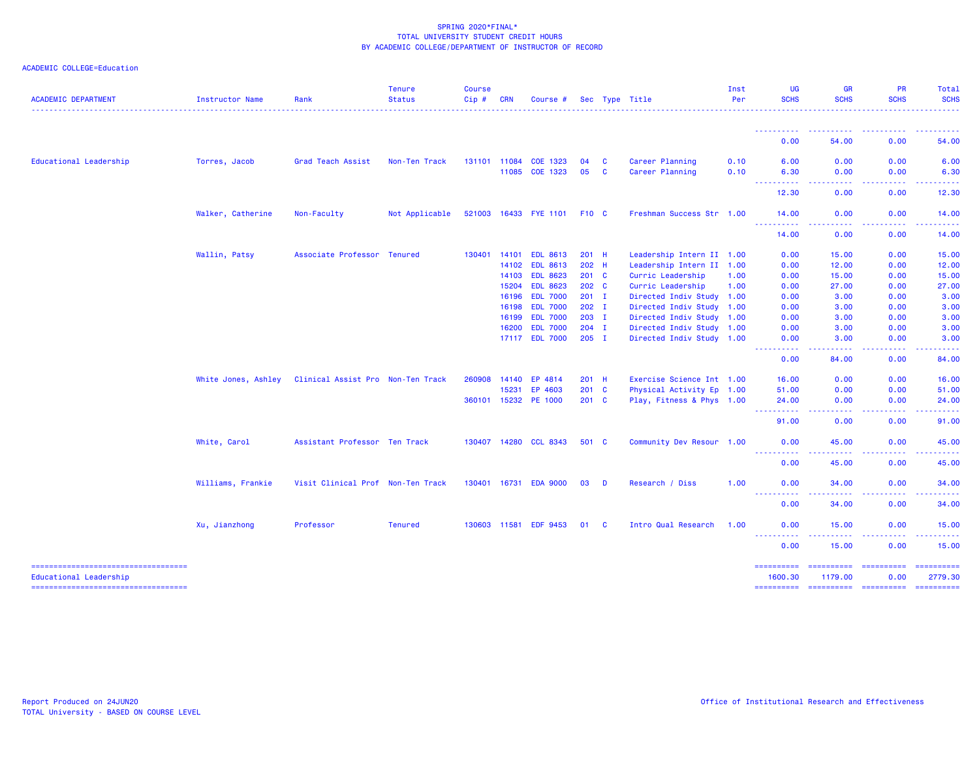| <b>ACADEMIC DEPARTMENT</b>                                   | <b>Instructor Name</b> | Rank                              | <b>Tenure</b><br><b>Status</b> | <b>Course</b><br>Cip# | <b>CRN</b> | Course #              |                  |          | Sec Type Title            | Inst<br>Per | <b>UG</b><br><b>SCHS</b>             | <b>GR</b><br><b>SCHS</b>                                                                                                                                      | <b>PR</b><br><b>SCHS</b> | <b>Total</b><br><b>SCHS</b>                                                                              |
|--------------------------------------------------------------|------------------------|-----------------------------------|--------------------------------|-----------------------|------------|-----------------------|------------------|----------|---------------------------|-------------|--------------------------------------|---------------------------------------------------------------------------------------------------------------------------------------------------------------|--------------------------|----------------------------------------------------------------------------------------------------------|
|                                                              |                        |                                   |                                |                       |            |                       |                  |          |                           |             | ----------                           | $\mathcal{L}^{\mathcal{L}}\mathcal{L}^{\mathcal{L}}\mathcal{L}^{\mathcal{L}}\mathcal{L}^{\mathcal{L}}\mathcal{L}^{\mathcal{L}}$                               |                          |                                                                                                          |
|                                                              |                        |                                   |                                |                       |            |                       |                  |          |                           |             | 0.00                                 | 54.00                                                                                                                                                         | 0.00                     | 54.00                                                                                                    |
| Educational Leadership                                       | Torres, Jacob          | Grad Teach Assist                 | Non-Ten Track                  | 131101 11084          |            | COE 1323              | 04               | C        | Career Planning           | 0.10        | 6.00                                 | 0.00                                                                                                                                                          | 0.00                     | 6.00                                                                                                     |
|                                                              |                        |                                   |                                |                       | 11085      | COE 1323              | 05               | C        | Career Planning           | 0.10        | 6.30<br>.                            | 0.00<br>.                                                                                                                                                     | 0.00<br>.                | 6.30<br>.                                                                                                |
|                                                              |                        |                                   |                                |                       |            |                       |                  |          |                           |             | 12.30                                | 0.00                                                                                                                                                          | 0.00                     | 12.30                                                                                                    |
|                                                              | Walker, Catherine      | Non-Faculty                       | Not Applicable                 |                       |            | 521003 16433 FYE 1101 | <b>F10 C</b>     |          | Freshman Success Str 1.00 |             | 14.00                                | 0.00                                                                                                                                                          | 0.00                     | 14.00                                                                                                    |
|                                                              |                        |                                   |                                |                       |            |                       |                  |          |                           |             | $\sim$ $\sim$ $\sim$ $\sim$<br>14.00 | .<br>0.00                                                                                                                                                     | 0.00                     | ------<br>14.00                                                                                          |
|                                                              | Wallin, Patsy          | Associate Professor Tenured       |                                | 130401 14101          |            | <b>EDL 8613</b>       | 201 H            |          | Leadership Intern II 1.00 |             | 0.00                                 | 15.00                                                                                                                                                         | 0.00                     | 15.00                                                                                                    |
|                                                              |                        |                                   |                                |                       | 14102      | <b>EDL 8613</b>       | 202 H            |          | Leadership Intern II 1.00 |             | 0.00                                 | 12.00                                                                                                                                                         | 0.00                     | 12.00                                                                                                    |
|                                                              |                        |                                   |                                |                       | 14103      | <b>EDL 8623</b>       | $201$ C          |          | Curric Leadership         | 1.00        | 0.00                                 | 15.00                                                                                                                                                         | 0.00                     | 15.00                                                                                                    |
|                                                              |                        |                                   |                                |                       | 15204      | <b>EDL 8623</b>       | 202 <sub>c</sub> |          | Curric Leadership         | 1.00        | 0.00                                 | 27.00                                                                                                                                                         | 0.00                     | 27.00                                                                                                    |
|                                                              |                        |                                   |                                |                       | 16196      | <b>EDL 7000</b>       | $201$ I          |          | Directed Indiv Study 1.00 |             | 0.00                                 | 3.00                                                                                                                                                          | 0.00                     | 3.00                                                                                                     |
|                                                              |                        |                                   |                                |                       | 16198      | <b>EDL 7000</b>       | $202$ I          |          | Directed Indiv Study 1.00 |             | 0.00                                 | 3.00                                                                                                                                                          | 0.00                     | 3.00                                                                                                     |
|                                                              |                        |                                   |                                |                       | 16199      | <b>EDL 7000</b>       | 203 I            |          | Directed Indiv Study 1.00 |             | 0.00                                 | 3.00                                                                                                                                                          | 0.00                     | 3.00                                                                                                     |
|                                                              |                        |                                   |                                |                       | 16200      | <b>EDL 7000</b>       | $204$ I          |          | Directed Indiv Study 1.00 |             | 0.00                                 | 3.00                                                                                                                                                          | 0.00                     | 3.00                                                                                                     |
|                                                              |                        |                                   |                                |                       |            | 17117 EDL 7000        | $205$ I          |          | Directed Indiv Study 1.00 |             | 0.00<br>.                            | 3.00<br><u>.</u>                                                                                                                                              | 0.00<br>.                | 3.00                                                                                                     |
|                                                              |                        |                                   |                                |                       |            |                       |                  |          |                           |             | 0.00                                 | 84.00                                                                                                                                                         | 0.00                     | 84.00                                                                                                    |
|                                                              | White Jones, Ashley    | Clinical Assist Pro Non-Ten Track |                                | 260908 14140          |            | EP 4814               | 201 H            |          | Exercise Science Int 1.00 |             | 16.00                                | 0.00                                                                                                                                                          | 0.00                     | 16.00                                                                                                    |
|                                                              |                        |                                   |                                |                       | 15231      | EP 4603               | $201 \quad C$    |          | Physical Activity Ep 1.00 |             | 51.00                                | 0.00                                                                                                                                                          | 0.00                     | 51.00                                                                                                    |
|                                                              |                        |                                   |                                |                       |            | 360101 15232 PE 1000  | 201 C            |          | Play, Fitness & Phys 1.00 |             | 24.00<br><b>.</b>                    | 0.00<br>.                                                                                                                                                     | 0.00<br>.                | 24.00<br>.                                                                                               |
|                                                              |                        |                                   |                                |                       |            |                       |                  |          |                           |             | 91.00                                | 0.00                                                                                                                                                          | 0.00                     | 91.00                                                                                                    |
|                                                              | White, Carol           | Assistant Professor Ten Track     |                                |                       |            | 130407 14280 CCL 8343 | 501 C            |          | Community Dev Resour 1.00 |             | 0.00                                 | 45.00                                                                                                                                                         | 0.00                     | 45.00                                                                                                    |
|                                                              |                        |                                   |                                |                       |            |                       |                  |          |                           |             | <b></b><br>0.00                      | $- - - - -$<br>45.00                                                                                                                                          | .<br>0.00                | 45.00                                                                                                    |
|                                                              | Williams, Frankie      | Visit Clinical Prof Non-Ten Track |                                | 130401                | 16731      | <b>EDA 9000</b>       | 03               | D        | Research / Diss           | 1.00        | 0.00                                 | 34.00                                                                                                                                                         | 0.00                     | 34.00                                                                                                    |
|                                                              |                        |                                   |                                |                       |            |                       |                  |          |                           |             | ----------<br>0.00                   | $\frac{1}{2} \left( \frac{1}{2} \right) \left( \frac{1}{2} \right) \left( \frac{1}{2} \right) \left( \frac{1}{2} \right) \left( \frac{1}{2} \right)$<br>34.00 | .<br>0.00                | 34.00                                                                                                    |
|                                                              | Xu, Jianzhong          | Professor                         | <b>Tenured</b>                 | 130603 11581          |            | <b>EDF 9453</b>       | 01               | <b>C</b> | Intro Qual Research       | 1.00        | 0.00                                 | 15.00                                                                                                                                                         | 0.00                     | 15.00                                                                                                    |
|                                                              |                        |                                   |                                |                       |            |                       |                  |          |                           |             | 0.00                                 | 15.00                                                                                                                                                         | 0.00                     | 15.00                                                                                                    |
| =====================================                        |                        |                                   |                                |                       |            |                       |                  |          |                           |             | ==========                           | ======================                                                                                                                                        |                          | ==========                                                                                               |
| Educational Leadership<br>---------------------------------- |                        |                                   |                                |                       |            |                       |                  |          |                           |             | 1600.30                              | 1179.00                                                                                                                                                       | 0.00                     | 2779.30<br>$\begin{array}{c} \texttt{m} = \texttt{m} = \texttt{m} = \texttt{m} = \texttt{m} \end{array}$ |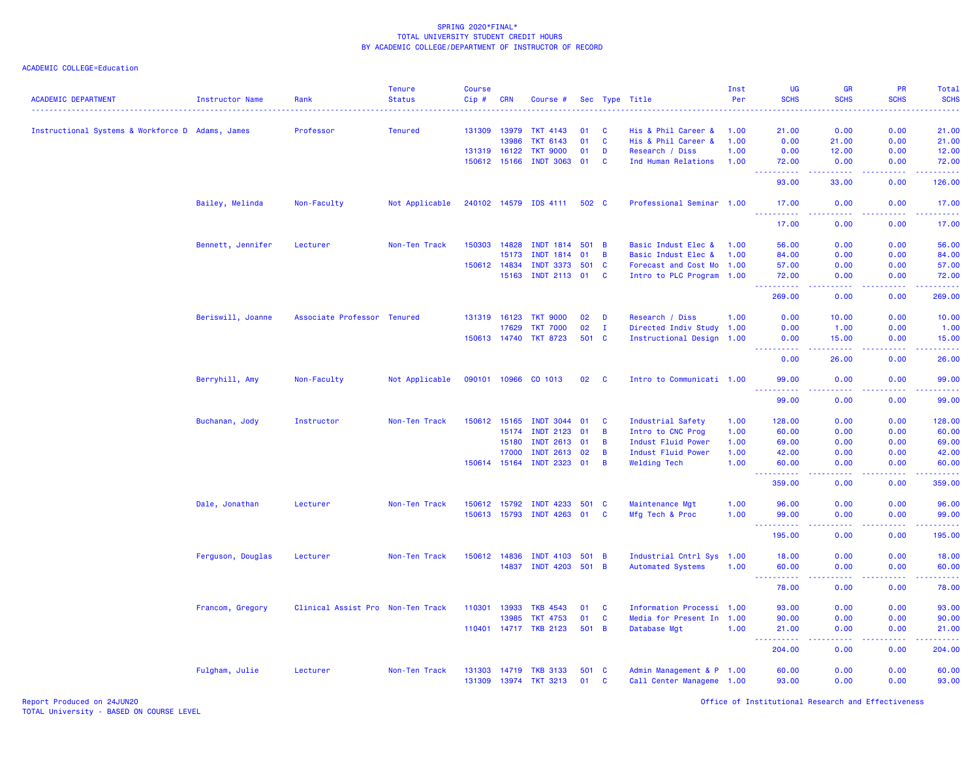| <b>ACADEMIC DEPARTMENT</b>                       | <b>Instructor Name</b> | Rank                              | <b>Tenure</b><br><b>Status</b> | <b>Course</b><br>Cip# | CRN   | Course #              |         |              | Sec Type Title            | Inst<br>Per | <b>UG</b><br><b>SCHS</b> | <b>GR</b><br><b>SCHS</b> | <b>PR</b><br><b>SCHS</b>                                                                                                                                     | Total<br><b>SCHS</b><br>. |
|--------------------------------------------------|------------------------|-----------------------------------|--------------------------------|-----------------------|-------|-----------------------|---------|--------------|---------------------------|-------------|--------------------------|--------------------------|--------------------------------------------------------------------------------------------------------------------------------------------------------------|---------------------------|
| Instructional Systems & Workforce D Adams, James |                        | Professor                         | <b>Tenured</b>                 | 131309                | 13979 | <b>TKT 4143</b>       | 01      | <b>C</b>     | His & Phil Career &       | 1.00        | 21.00                    | 0.00                     | 0.00                                                                                                                                                         | 21.00                     |
|                                                  |                        |                                   |                                |                       | 13986 | <b>TKT 6143</b>       | 01      | <b>C</b>     | His & Phil Career &       | 1.00        | 0.00                     | 21.00                    | 0.00                                                                                                                                                         | 21.00                     |
|                                                  |                        |                                   |                                | 131319 16122          |       | <b>TKT 9000</b>       | 01      | D            | Research / Diss           | 1.00        | 0.00                     | 12.00                    | 0.00                                                                                                                                                         | 12.00                     |
|                                                  |                        |                                   |                                | 150612 15166          |       | <b>INDT 3063</b>      | 01      | <b>C</b>     | Ind Human Relations       | 1.00        | 72.00                    | 0.00                     | 0.00                                                                                                                                                         | 72.00                     |
|                                                  |                        |                                   |                                |                       |       |                       |         |              |                           |             | 93.00                    | 33.00                    | 0.00                                                                                                                                                         | 126.00                    |
|                                                  | Bailey, Melinda        | Non-Faculty                       | Not Applicable                 |                       |       | 240102 14579 IDS 4111 | 502 C   |              | Professional Seminar 1.00 |             | 17.00<br>.               | 0.00<br>.                | 0.00                                                                                                                                                         | 17.00<br><u>.</u>         |
|                                                  |                        |                                   |                                |                       |       |                       |         |              |                           |             | 17.00                    | 0.00                     | 0.00                                                                                                                                                         | 17.00                     |
|                                                  | Bennett, Jennifer      | Lecturer                          | Non-Ten Track                  | 150303                | 14828 | <b>INDT 1814</b>      | 501 B   |              | Basic Indust Elec &       | 1.00        | 56.00                    | 0.00                     | 0.00                                                                                                                                                         | 56.00                     |
|                                                  |                        |                                   |                                |                       | 15173 | <b>INDT 1814</b>      | 01      | B            | Basic Indust Elec &       | 1.00        | 84.00                    | 0.00                     | 0.00                                                                                                                                                         | 84.00                     |
|                                                  |                        |                                   |                                | 150612 14834          |       | <b>INDT 3373</b>      | 501 C   |              | Forecast and Cost Mo 1.00 |             | 57.00                    | 0.00                     | 0.00                                                                                                                                                         | 57.00                     |
|                                                  |                        |                                   |                                |                       | 15163 | INDT 2113 01          |         | <b>C</b>     | Intro to PLC Program 1.00 |             | 72.00<br><u>.</u>        | 0.00<br>.                | 0.00<br>.                                                                                                                                                    | 72.00<br>.                |
|                                                  |                        |                                   |                                |                       |       |                       |         |              |                           |             | 269.00                   | 0.00                     | 0.00                                                                                                                                                         | 269.00                    |
|                                                  | Beriswill, Joanne      | Associate Professor Tenured       |                                | 131319 16123          |       | <b>TKT 9000</b>       | 02      | D            | Research / Diss           | 1.00        | 0.00                     | 10.00                    | 0.00                                                                                                                                                         | 10.00                     |
|                                                  |                        |                                   |                                |                       | 17629 | <b>TKT 7000</b>       | 02      | $\mathbf I$  | Directed Indiv Study 1.00 |             | 0.00                     | 1.00                     | 0.00                                                                                                                                                         | 1.00                      |
|                                                  |                        |                                   |                                | 150613 14740          |       | <b>TKT 8723</b>       | 501 C   |              | Instructional Design 1.00 |             | 0.00                     | 15.00                    | 0.00                                                                                                                                                         | 15.00                     |
|                                                  |                        |                                   |                                |                       |       |                       |         |              |                           |             | .<br>0.00                | بالأبابات<br>26.00       | المستملة<br>0.00                                                                                                                                             | 222222<br>26.00           |
|                                                  | Berryhill, Amy         | Non-Faculty                       | Not Applicable                 | 090101 10966          |       | CO 1013               | 02      | $\mathbf{C}$ | Intro to Communicati 1.00 |             | 99.00<br><u>.</u>        | 0.00<br>.                | 0.00<br>.                                                                                                                                                    | 99.00<br><u>.</u>         |
|                                                  |                        |                                   |                                |                       |       |                       |         |              |                           |             | 99.00                    | 0.00                     | 0.00                                                                                                                                                         | 99.00                     |
|                                                  | Buchanan, Jody         | Instructor                        | Non-Ten Track                  | 150612                | 15165 | <b>INDT 3044</b>      | 01      | <b>C</b>     | Industrial Safety         | 1.00        | 128.00                   | 0.00                     | 0.00                                                                                                                                                         | 128.00                    |
|                                                  |                        |                                   |                                |                       | 15174 | <b>INDT 2123</b>      | 01      | B            | Intro to CNC Prog         | 1.00        | 60.00                    | 0.00                     | 0.00                                                                                                                                                         | 60.00                     |
|                                                  |                        |                                   |                                |                       | 15180 | INDT 2613 01          |         | B            | Indust Fluid Power        | 1.00        | 69.00                    | 0.00                     | 0.00                                                                                                                                                         | 69.00                     |
|                                                  |                        |                                   |                                |                       | 17000 | <b>INDT 2613</b>      | 02      | B            | Indust Fluid Power        | 1.00        | 42.00                    | 0.00                     | 0.00                                                                                                                                                         | 42.00                     |
|                                                  |                        |                                   |                                | 150614 15164          |       | INDT 2323 01          |         | B            | <b>Welding Tech</b>       | 1.00        | 60.00<br>المتمام المتحدث | 0.00<br>د د د د .        | 0.00<br>.                                                                                                                                                    | 60.00<br><u>.</u>         |
|                                                  |                        |                                   |                                |                       |       |                       |         |              |                           |             | 359.00                   | 0.00                     | 0.00                                                                                                                                                         | 359.00                    |
|                                                  | Dale, Jonathan         | Lecturer                          | Non-Ten Track                  | 150612                | 15792 | <b>INDT 4233</b>      | 501 C   |              | Maintenance Mgt           | 1.00        | 96.00                    | 0.00                     | 0.00                                                                                                                                                         | 96.00                     |
|                                                  |                        |                                   |                                | 150613 15793          |       | INDT 4263 01          |         | $\mathbf{C}$ | Mfg Tech & Proc           | 1.00        | 99.00                    | 0.00<br>.                | 0.00                                                                                                                                                         | 99.00                     |
|                                                  |                        |                                   |                                |                       |       |                       |         |              |                           |             | .<br>195.00              | 0.00                     | .<br>0.00                                                                                                                                                    | .<br>195.00               |
|                                                  | Ferguson, Douglas      | Lecturer                          | Non-Ten Track                  | 150612 14836          |       | <b>INDT 4103</b>      | $501$ B |              | Industrial Cntrl Sys 1.00 |             | 18.00                    | 0.00                     | 0.00                                                                                                                                                         | 18.00                     |
|                                                  |                        |                                   |                                |                       | 14837 | <b>INDT 4203</b>      | 501 B   |              | <b>Automated Systems</b>  | 1.00        | 60.00                    | 0.00<br>2222             | 0.00                                                                                                                                                         | 60.00<br>.                |
|                                                  |                        |                                   |                                |                       |       |                       |         |              |                           |             | 78.00                    | 0.00                     | 0.00                                                                                                                                                         | 78.00                     |
|                                                  | Francom, Gregory       | Clinical Assist Pro Non-Ten Track |                                | 110301                | 13933 | <b>TKB 4543</b>       | 01      | <b>C</b>     | Information Processi 1.00 |             | 93.00                    | 0.00                     | 0.00                                                                                                                                                         | 93.00                     |
|                                                  |                        |                                   |                                |                       | 13985 | <b>TKT 4753</b>       | 01      | C            | Media for Present In 1.00 |             | 90.00                    | 0.00                     | 0.00                                                                                                                                                         | 90.00                     |
|                                                  |                        |                                   |                                |                       |       | 110401 14717 TKB 2123 | 501 B   |              | Database Mgt              | 1.00        | 21.00                    | 0.00                     | 0.00                                                                                                                                                         | 21.00                     |
|                                                  |                        |                                   |                                |                       |       |                       |         |              |                           |             | 444<br>.<br>204.00       | .<br>0.00                | $\frac{1}{2} \left( \frac{1}{2} \right) \left( \frac{1}{2} \right) \left( \frac{1}{2} \right) \left( \frac{1}{2} \right) \left( \frac{1}{2} \right)$<br>0.00 | 204.00                    |
|                                                  | Fulgham, Julie         | Lecturer                          | Non-Ten Track                  | 131303                | 14719 | <b>TKB 3133</b>       | 501 C   |              | Admin Management & P 1.00 |             | 60.00                    | 0.00                     | 0.00                                                                                                                                                         | 60.00                     |
|                                                  |                        |                                   |                                | 131309                |       | 13974 TKT 3213        | 01      | $\mathbf{C}$ | Call Center Manageme 1.00 |             | 93.00                    | 0.00                     | 0.00                                                                                                                                                         | 93.00                     |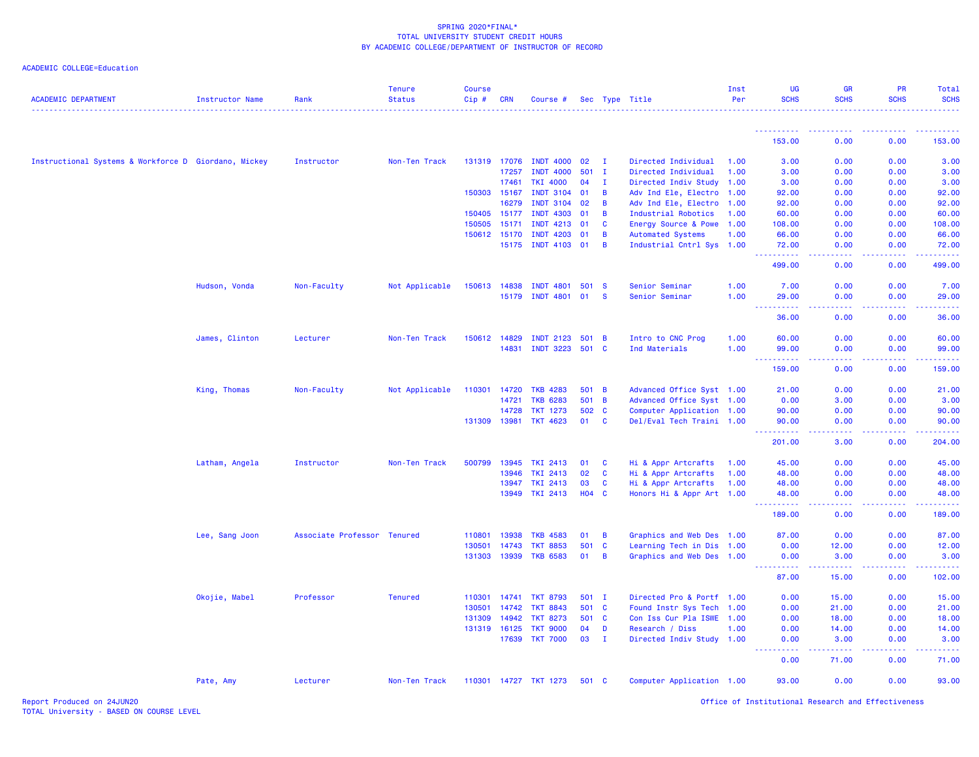| <b>ACADEMIC DEPARTMENT</b>                           | <b>Instructor Name</b> | Rank                        | <b>Tenure</b><br><b>Status</b> | <b>Course</b><br>Cip# | <b>CRN</b> | Course #              |       |                | Sec Type Title            | Inst<br>Per | UG<br><b>SCHS</b>                  | <b>GR</b><br><b>SCHS</b> | <b>PR</b><br><b>SCHS</b> | Total<br><b>SCHS</b>     |
|------------------------------------------------------|------------------------|-----------------------------|--------------------------------|-----------------------|------------|-----------------------|-------|----------------|---------------------------|-------------|------------------------------------|--------------------------|--------------------------|--------------------------|
|                                                      |                        |                             |                                |                       |            |                       |       |                |                           |             | <u> - - - - - - - - - -</u>        | .                        | .                        | $- - - - -$              |
|                                                      |                        |                             |                                |                       |            |                       |       |                |                           |             | 153.00                             | 0.00                     | 0.00                     | 153.00                   |
| Instructional Systems & Workforce D Giordano, Mickey |                        | Instructor                  | Non-Ten Track                  | 131319                | 17076      | <b>INDT 4000</b>      | 02    | T              | Directed Individual       | 1.00        | 3.00                               | 0.00                     | 0.00                     | 3.00                     |
|                                                      |                        |                             |                                |                       | 17257      | <b>INDT 4000</b>      | 501   | T              | Directed Individual       | 1.00        | 3.00                               | 0.00                     | 0.00                     | 3.00                     |
|                                                      |                        |                             |                                |                       | 17461      | <b>TKI 4000</b>       | 04    | $\mathbf{I}$   | Directed Indiv Study 1.00 |             | 3.00                               | 0.00                     | 0.00                     | 3.00                     |
|                                                      |                        |                             |                                | 150303 15167          |            | <b>INDT 3104</b>      | 01    | B              | Adv Ind Ele, Electro 1.00 |             | 92.00                              | 0.00                     | 0.00                     | 92.00                    |
|                                                      |                        |                             |                                |                       | 16279      | <b>INDT 3104</b>      | 02    | B              | Adv Ind Ele, Electro 1.00 |             | 92.00                              | 0.00                     | 0.00                     | 92.00                    |
|                                                      |                        |                             |                                | 150405                | 15177      | <b>INDT 4303</b>      | 01    | B              | Industrial Robotics       | 1.00        | 60.00                              | 0.00                     | 0.00                     | 60.00                    |
|                                                      |                        |                             |                                | 150505                | 15171      | <b>INDT 4213</b>      | 01    | <b>C</b>       | Energy Source & Powe 1.00 |             | 108.00                             | 0.00                     | 0.00                     | 108.00                   |
|                                                      |                        |                             |                                | 150612                | 15170      | <b>INDT 4203</b>      | 01    | B              | <b>Automated Systems</b>  | 1.00        | 66.00                              | 0.00                     | 0.00                     | 66.00                    |
|                                                      |                        |                             |                                |                       | 15175      | INDT 4103 01          |       | $\overline{B}$ | Industrial Cntrl Sys 1.00 |             | 72.00<br>.                         | 0.00                     | 0.00                     | 72.00<br>.               |
|                                                      |                        |                             |                                |                       |            |                       |       |                |                           |             | 499.00                             | 0.00                     | 0.00                     | 499.00                   |
|                                                      | Hudson, Vonda          | Non-Faculty                 | Not Applicable                 | 150613 14838          |            | <b>INDT 4801</b>      | 501 S |                | Senior Seminar            | 1.00        | 7.00                               | 0.00                     | 0.00                     | 7.00                     |
|                                                      |                        |                             |                                |                       | 15179      | <b>INDT 4801</b>      | 01    | <b>S</b>       | Senior Seminar            | 1.00        | 29.00                              | 0.00                     | 0.00                     | 29.00                    |
|                                                      |                        |                             |                                |                       |            |                       |       |                |                           |             | $\sim$ $\sim$ $\sim$<br>.<br>36.00 | .<br>0.00                | .<br>0.00                | .<br>36.00               |
|                                                      | James, Clinton         | Lecturer                    | Non-Ten Track                  | 150612 14829          |            | <b>INDT 2123</b>      | 501   | $\overline{B}$ | Intro to CNC Prog         | 1.00        | 60.00                              | 0.00                     | 0.00                     | 60.00                    |
|                                                      |                        |                             |                                |                       | 14831      | <b>INDT 3223</b>      | 501   | <b>C</b>       | Ind Materials             | 1.00        | 99.00                              | 0.00                     | 0.00                     | 99.00                    |
|                                                      |                        |                             |                                |                       |            |                       |       |                |                           |             | $\sim$ $\sim$ $\sim$<br>159.00     | د د د د<br>0.00          | 22222<br>0.00            | .<br>159.00              |
|                                                      |                        |                             |                                |                       |            |                       |       |                |                           |             |                                    |                          |                          |                          |
|                                                      | King, Thomas           | Non-Faculty                 | Not Applicable                 | 110301                | 14720      | <b>TKB 4283</b>       | 501 B |                | Advanced Office Syst 1.00 |             | 21.00                              | 0.00                     | 0.00                     | 21.00                    |
|                                                      |                        |                             |                                |                       | 14721      | <b>TKB 6283</b>       | 501   | $\overline{B}$ | Advanced Office Syst 1.00 |             | 0.00                               | 3.00                     | 0.00                     | 3.00                     |
|                                                      |                        |                             |                                |                       | 14728      | <b>TKT 1273</b>       | 502 C |                | Computer Application 1.00 |             | 90.00                              | 0.00                     | 0.00                     | 90.00                    |
|                                                      |                        |                             |                                | 131309                | 13981      | <b>TKT 4623</b>       | 01    | $\mathbf{C}$   | Del/Eval Tech Traini 1.00 |             | 90.00<br>.                         | 0.00<br>.                | 0.00<br>.                | 90.00<br>.               |
|                                                      |                        |                             |                                |                       |            |                       |       |                |                           |             | 201.00                             | 3.00                     | 0.00                     | 204.00                   |
|                                                      | Latham, Angela         | Instructor                  | Non-Ten Track                  | 500799                | 13945      | <b>TKI 2413</b>       | 01    | <b>C</b>       | Hi & Appr Artcrafts       | 1.00        | 45.00                              | 0.00                     | 0.00                     | 45.00                    |
|                                                      |                        |                             |                                |                       | 13946      | <b>TKI 2413</b>       | 02    | $\mathbf{C}$   | Hi & Appr Artcrafts       | 1.00        | 48.00                              | 0.00                     | 0.00                     | 48.00                    |
|                                                      |                        |                             |                                |                       | 13947      | <b>TKI 2413</b>       | 03    | $\mathbf{C}$   | Hi & Appr Artcrafts       | 1.00        | 48.00                              | 0.00                     | 0.00                     | 48.00                    |
|                                                      |                        |                             |                                |                       |            | 13949 TKI 2413        | H04 C |                | Honors Hi & Appr Art 1.00 |             | 48.00                              | 0.00<br>----             | 0.00                     | 48.00<br>.               |
|                                                      |                        |                             |                                |                       |            |                       |       |                |                           |             | 189.00                             | 0.00                     | 0.00                     | 189.00                   |
|                                                      | Lee, Sang Joon         | Associate Professor Tenured |                                | 110801                | 13938      | <b>TKB 4583</b>       | 01    | B              | Graphics and Web Des 1.00 |             | 87.00                              | 0.00                     | 0.00                     | 87.00                    |
|                                                      |                        |                             |                                | 130501                | 14743      | <b>TKT 8853</b>       | 501   | $\mathbf{C}$   | Learning Tech in Dis 1.00 |             | 0.00                               | 12.00                    | 0.00                     | 12.00                    |
|                                                      |                        |                             |                                | 131303                | 13939      | <b>TKB 6583</b>       | 01    | B              | Graphics and Web Des 1.00 |             | 0.00                               | 3.00                     | 0.00                     | 3.00                     |
|                                                      |                        |                             |                                |                       |            |                       |       |                |                           |             | 87.00                              | .<br>15.00               | 0.00                     | والمتمام المار<br>102.00 |
|                                                      | Okojie, Mabel          | Professor                   | <b>Tenured</b>                 | 110301                | 14741      | <b>TKT 8793</b>       | 501 I |                | Directed Pro & Portf 1.00 |             | 0.00                               | 15.00                    | 0.00                     | 15.00                    |
|                                                      |                        |                             |                                | 130501                | 14742      | <b>TKT 8843</b>       | 501 C |                | Found Instr Sys Tech 1.00 |             | 0.00                               | 21.00                    | 0.00                     | 21.00                    |
|                                                      |                        |                             |                                | 131309                | 14942      | <b>TKT 8273</b>       | 501 C |                | Con Iss Cur Pla ISWE 1.00 |             | 0.00                               | 18.00                    | 0.00                     | 18.00                    |
|                                                      |                        |                             |                                | 131319 16125          |            | <b>TKT 9000</b>       | 04    | D              | Research / Diss           | 1.00        | 0.00                               | 14.00                    | 0.00                     | 14.00                    |
|                                                      |                        |                             |                                |                       | 17639      | <b>TKT 7000</b>       | 03    | $\mathbf{I}$   | Directed Indiv Study 1.00 |             | 0.00                               | 3.00                     | 0.00                     | 3.00                     |
|                                                      |                        |                             |                                |                       |            |                       |       |                |                           |             | 0.00                               | .<br>71.00               | 0.00                     | .<br>71.00               |
|                                                      | Pate, Amy              | Lecturer                    | Non-Ten Track                  |                       |            | 110301 14727 TKT 1273 | 501 C |                | Computer Application 1.00 |             | 93.00                              | 0.00                     | 0.00                     | 93.00                    |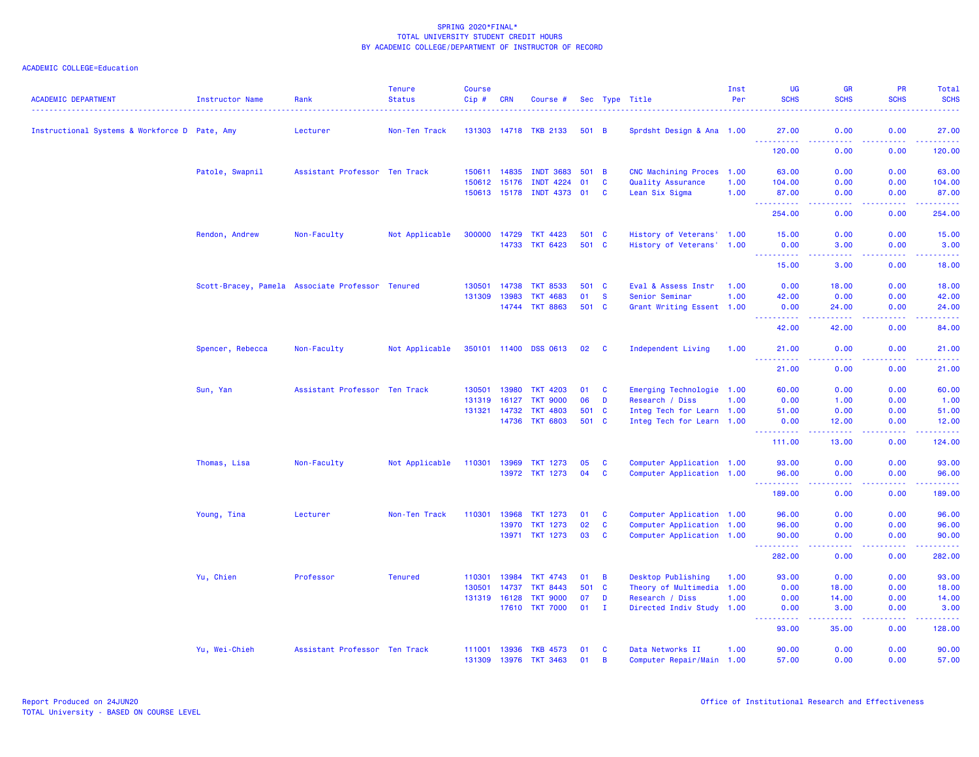| <b>ACADEMIC DEPARTMENT</b>                    | <b>Instructor Name</b> | Rank                                             | <b>Tenure</b><br><b>Status</b> | <b>Course</b><br>Cip# | <b>CRN</b>   | Course #              |              |                | Sec Type Title            | Inst<br>Per | UG<br><b>SCHS</b>                                                                                                                                            | <b>GR</b><br><b>SCHS</b>                                                                               | <b>PR</b><br><b>SCHS</b> | Total<br><b>SCHS</b>                 |
|-----------------------------------------------|------------------------|--------------------------------------------------|--------------------------------|-----------------------|--------------|-----------------------|--------------|----------------|---------------------------|-------------|--------------------------------------------------------------------------------------------------------------------------------------------------------------|--------------------------------------------------------------------------------------------------------|--------------------------|--------------------------------------|
| Instructional Systems & Workforce D Pate, Amy |                        | Lecturer                                         | Non-Ten Track                  |                       |              | 131303 14718 TKB 2133 | 501 B        |                | Sprdsht Design & Ana 1.00 |             | 27.00<br>$\sim 100$<br>222222                                                                                                                                | 0.00<br>$\frac{1}{2} \left( \frac{1}{2} \right) \left( \frac{1}{2} \right) \left( \frac{1}{2} \right)$ | 0.00<br>.                | 27.00<br>. <u>.</u> .                |
|                                               |                        |                                                  |                                |                       |              |                       |              |                |                           |             | 120,00                                                                                                                                                       | 0.00                                                                                                   | 0.00                     | 120.00                               |
|                                               | Patole, Swapnil        | Assistant Professor Ten Track                    |                                | 150611                | 14835        | <b>INDT 3683</b>      | $501$ B      |                | CNC Machining Proces 1.00 |             | 63.00                                                                                                                                                        | 0.00                                                                                                   | 0.00                     | 63.00                                |
|                                               |                        |                                                  |                                | 150612                | 15176        | <b>INDT 4224</b>      | 01           | C              | Quality Assurance         | 1.00        | 104.00                                                                                                                                                       | 0.00                                                                                                   | 0.00                     | 104.00                               |
|                                               |                        |                                                  |                                |                       | 150613 15178 | INDT 4373 01          |              | <b>C</b>       | Lean Six Sigma            | 1.00        | 87.00<br>$\sim$ $\sim$ $\sim$<br><u>.</u>                                                                                                                    | 0.00<br>.                                                                                              | 0.00<br>.                | 87.00<br>.                           |
|                                               |                        |                                                  |                                |                       |              |                       |              |                |                           |             | 254.00                                                                                                                                                       | 0.00                                                                                                   | 0.00                     | 254.00                               |
|                                               | Rendon, Andrew         | Non-Faculty                                      | Not Applicable                 | 300000                | 14729        | <b>TKT 4423</b>       | 501 C        |                | History of Veterans' 1.00 |             | 15.00                                                                                                                                                        | 0.00                                                                                                   | 0.00                     | 15.00                                |
|                                               |                        |                                                  |                                |                       | 14733        | <b>TKT 6423</b>       | 501 C        |                | History of Veterans' 1.00 |             | 0.00<br>22222                                                                                                                                                | 3.00                                                                                                   | 0.00                     | 3.00<br>.                            |
|                                               |                        |                                                  |                                |                       |              |                       |              |                |                           |             | 15.00                                                                                                                                                        | 3.00                                                                                                   | 0.00                     | 18.00                                |
|                                               |                        | Scott-Bracey, Pamela Associate Professor Tenured |                                | 130501                | 14738        | <b>TKT 8533</b>       | 501          | <b>C</b>       | Eval & Assess Instr       | 1.00        | 0.00                                                                                                                                                         | 18.00                                                                                                  | 0.00                     | 18.00                                |
|                                               |                        |                                                  |                                | 131309                | 13983        | <b>TKT 4683</b>       | 01           | <b>S</b>       | Senior Seminar            | 1.00        | 42.00                                                                                                                                                        | 0.00                                                                                                   | 0.00                     | 42.00                                |
|                                               |                        |                                                  |                                |                       | 14744        | <b>TKT 8863</b>       | 501 C        |                | Grant Writing Essent 1.00 |             | 0.00<br>$\frac{1}{2} \left( \frac{1}{2} \right) \left( \frac{1}{2} \right) \left( \frac{1}{2} \right) \left( \frac{1}{2} \right) \left( \frac{1}{2} \right)$ | 24.00                                                                                                  | 0.00                     | 24.00<br>$\sim$ $\sim$ $\sim$ $\sim$ |
|                                               |                        |                                                  |                                |                       |              |                       |              |                |                           |             | 42.00                                                                                                                                                        | 42.00                                                                                                  | 0.00                     | 84.00                                |
|                                               | Spencer, Rebecca       | Non-Faculty                                      | Not Applicable                 |                       |              | 350101 11400 DSS 0613 | 02           | <b>C</b>       | Independent Living        | 1.00        | 21.00<br>$\sim$ $\sim$ $\sim$ $\sim$<br>.                                                                                                                    | 0.00<br>.                                                                                              | 0.00<br>.                | 21.00<br>.                           |
|                                               |                        |                                                  |                                |                       |              |                       |              |                |                           |             | 21.00                                                                                                                                                        | 0.00                                                                                                   | 0.00                     | 21.00                                |
|                                               | Sun, Yan               | Assistant Professor Ten Track                    |                                | 130501                | 13980        | <b>TKT 4203</b>       | 01           | <b>C</b>       | Emerging Technologie 1.00 |             | 60.00                                                                                                                                                        | 0.00                                                                                                   | 0.00                     | 60.00                                |
|                                               |                        |                                                  |                                | 131319                | 16127        | <b>TKT 9000</b>       | 06           | D              | Research / Diss           | 1.00        | 0.00                                                                                                                                                         | 1.00                                                                                                   | 0.00                     | 1.00                                 |
|                                               |                        |                                                  |                                | 131321                | 14732        | <b>TKT 4803</b>       | 501 C        |                | Integ Tech for Learn 1.00 |             | 51.00                                                                                                                                                        | 0.00                                                                                                   | 0.00                     | 51.00                                |
|                                               |                        |                                                  |                                |                       | 14736        | <b>TKT 6803</b>       | 501 C        |                | Integ Tech for Learn 1.00 |             | 0.00<br>.                                                                                                                                                    | 12.00<br>-----                                                                                         | 0.00<br>.                | 12.00                                |
|                                               |                        |                                                  |                                |                       |              |                       |              |                |                           |             | 111.00                                                                                                                                                       | 13.00                                                                                                  | 0.00                     | 124.00                               |
|                                               | Thomas, Lisa           | Non-Faculty                                      | Not Applicable                 | 110301                | 13969        | <b>TKT 1273</b>       | 05           | C              | Computer Application 1.00 |             | 93.00                                                                                                                                                        | 0.00                                                                                                   | 0.00                     | 93.00                                |
|                                               |                        |                                                  |                                |                       | 13972        | <b>TKT 1273</b>       | 04           | <b>C</b>       | Computer Application 1.00 |             | 96.00<br>.                                                                                                                                                   | 0.00<br>.                                                                                              | 0.00<br>.                | 96.00<br>.                           |
|                                               |                        |                                                  |                                |                       |              |                       |              |                |                           |             | 189.00                                                                                                                                                       | 0.00                                                                                                   | 0.00                     | 189.00                               |
|                                               | Young, Tina            | Lecturer                                         | Non-Ten Track                  | 110301                | 13968        | <b>TKT 1273</b>       | 01           | <b>C</b>       | Computer Application 1.00 |             | 96.00                                                                                                                                                        | 0.00                                                                                                   | 0.00                     | 96.00                                |
|                                               |                        |                                                  |                                |                       | 13970        | <b>TKT 1273</b>       | 02           | $\mathbf{C}$   | Computer Application 1.00 |             | 96.00                                                                                                                                                        | 0.00                                                                                                   | 0.00                     | 96.00                                |
|                                               |                        |                                                  |                                |                       | 13971        | <b>TKT 1273</b>       | 03           | <b>C</b>       | Computer Application 1.00 |             | 90.00<br><u> - - - - - - - - - -</u>                                                                                                                         | 0.00<br>بالأباد                                                                                        | 0.00                     | 90.00<br>.                           |
|                                               |                        |                                                  |                                |                       |              |                       |              |                |                           |             | 282.00                                                                                                                                                       | 0.00                                                                                                   | 0.00                     | 282.00                               |
|                                               | Yu, Chien              | Professor                                        | <b>Tenured</b>                 | 110301                | 13984        | <b>TKT 4743</b>       | 01           | $\overline{B}$ | Desktop Publishing        | 1.00        | 93.00                                                                                                                                                        | 0.00                                                                                                   | 0.00                     | 93.00                                |
|                                               |                        |                                                  |                                | 130501                | 14737        | <b>TKT 8443</b>       | 501          | $\mathbf{C}$   | Theory of Multimedia 1.00 |             | 0.00                                                                                                                                                         | 18.00                                                                                                  | 0.00                     | 18.00                                |
|                                               |                        |                                                  |                                | 131319                | 16128        | <b>TKT 9000</b>       | 07           | D              | Research / Diss           | 1.00        | 0.00                                                                                                                                                         | 14.00                                                                                                  | 0.00                     | 14.00                                |
|                                               |                        |                                                  |                                |                       | 17610        | <b>TKT 7000</b>       | $01 \quad I$ |                | Directed Indiv Study 1.00 |             | 0.00<br>.                                                                                                                                                    | 3.00<br>-----                                                                                          | 0.00<br>. <b>.</b>       | 3.00<br>والمناصبات                   |
|                                               |                        |                                                  |                                |                       |              |                       |              |                |                           |             | 93.00                                                                                                                                                        | 35.00                                                                                                  | 0.00                     | 128.00                               |
|                                               | Yu, Wei-Chieh          | Assistant Professor Ten Track                    |                                | 111001                | 13936        | <b>TKB 4573</b>       | 01           | <b>C</b>       | Data Networks II          | 1.00        | 90.00                                                                                                                                                        | 0.00                                                                                                   | 0.00                     | 90.00                                |
|                                               |                        |                                                  |                                |                       | 131309 13976 | <b>TKT 3463</b>       | 01           | B              | Computer Repair/Main 1.00 |             | 57.00                                                                                                                                                        | 0.00                                                                                                   | 0.00                     | 57.00                                |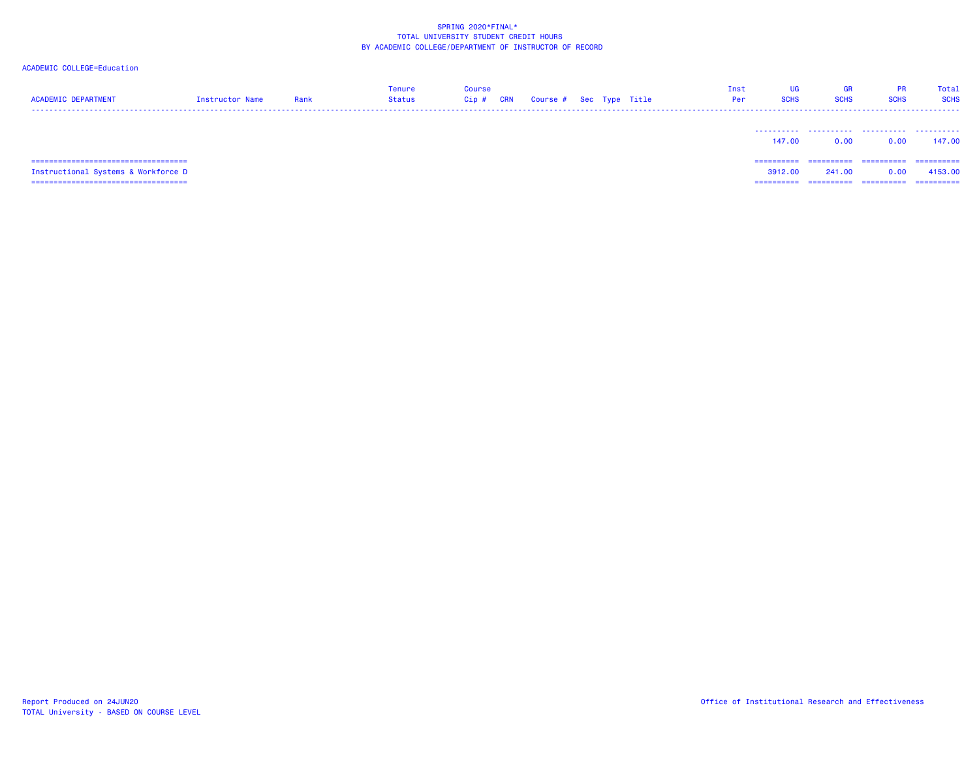| <b>ACADEMIC DEPARTMENT</b>             | Instructor Name | Rank | Tenure<br>Status | <b>Course</b><br>Cip# | <b>CRN</b> | Course # Sec Type Title |  | Inst<br>Per | UG<br><b>SCHS</b> | <b>GR</b><br><b>SCHS</b> | <b>PR</b><br><b>SCHS</b> | Total<br><b>SCHS</b> |
|----------------------------------------|-----------------|------|------------------|-----------------------|------------|-------------------------|--|-------------|-------------------|--------------------------|--------------------------|----------------------|
|                                        |                 |      |                  |                       |            |                         |  |             | 147.00            | 0.00                     | 0.00                     | 147.00               |
| ====================================== |                 |      |                  |                       |            |                         |  |             | ==========        | ==========               | ==========               | -----------          |
| Instructional Systems & Workforce D    |                 |      |                  |                       |            |                         |  |             | 3912.00           | 241.00                   | 0.00                     | 4153.00              |
| ====================================== |                 |      |                  |                       |            |                         |  |             | ==========        | ==========               | ==========               | ==========           |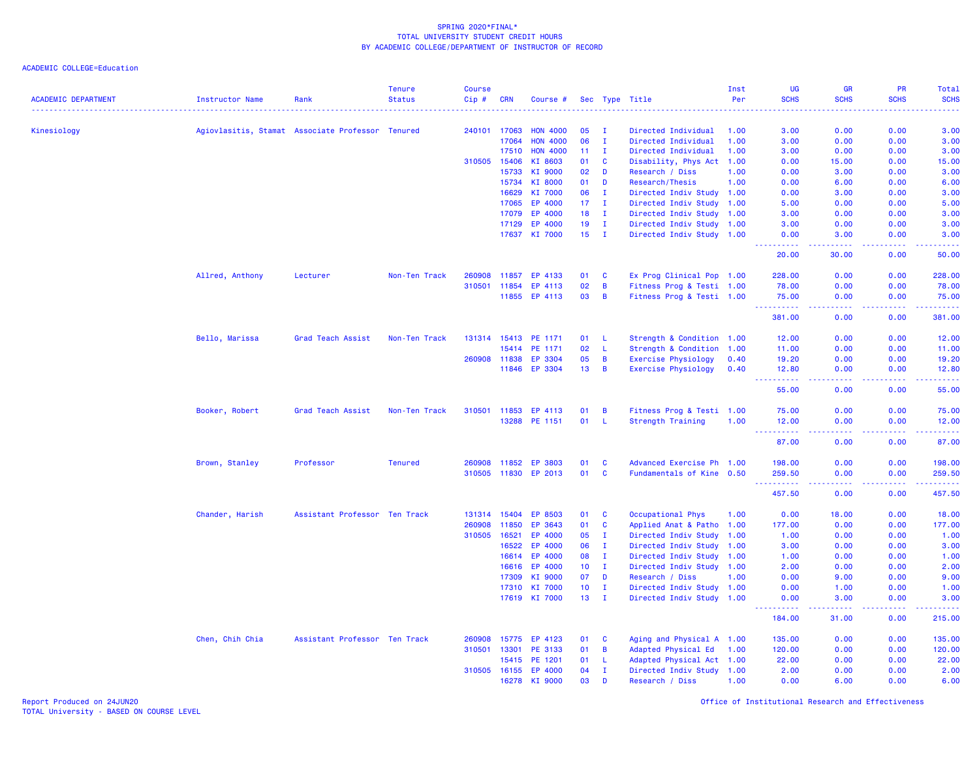ACADEMIC COLLEGE=Education

| <b>ACADEMIC DEPARTMENT</b> | Instructor Name                                  | Rank                          | <b>Tenure</b><br><b>Status</b> | <b>Course</b><br>Cip# | <b>CRN</b>   | Course #             |                 |              | Sec Type Title             | Inst<br>Per | <b>UG</b><br><b>SCHS</b>            | <b>GR</b><br><b>SCHS</b> | PR<br><b>SCHS</b>                                                                                                                                            | Total<br><b>SCHS</b>    |
|----------------------------|--------------------------------------------------|-------------------------------|--------------------------------|-----------------------|--------------|----------------------|-----------------|--------------|----------------------------|-------------|-------------------------------------|--------------------------|--------------------------------------------------------------------------------------------------------------------------------------------------------------|-------------------------|
|                            |                                                  |                               |                                |                       |              |                      |                 |              |                            |             |                                     |                          |                                                                                                                                                              |                         |
| Kinesiology                | Agiovlasitis, Stamat Associate Professor Tenured |                               |                                |                       | 240101 17063 | <b>HON 4000</b>      | 05              | T            | Directed Individual        | 1.00        | 3.00                                | 0.00                     | 0.00                                                                                                                                                         | 3.00                    |
|                            |                                                  |                               |                                |                       | 17064        | <b>HON 4000</b>      | 06              | $\mathbf{I}$ | Directed Individual        | 1.00        | 3.00                                | 0.00                     | 0.00                                                                                                                                                         | 3.00                    |
|                            |                                                  |                               |                                |                       | 17510        | <b>HON 4000</b>      | 11              | $\mathbf{I}$ | Directed Individual        | 1.00        | 3.00                                | 0.00                     | 0.00                                                                                                                                                         | 3.00                    |
|                            |                                                  |                               |                                | 310505                | 15406        | KI 8603              | 01              | <b>C</b>     | Disability, Phys Act 1.00  |             | 0.00                                | 15.00                    | 0.00                                                                                                                                                         | 15.00                   |
|                            |                                                  |                               |                                |                       | 15733        | KI 9000              | 02              | D            | Research / Diss            | 1.00        | 0.00                                | 3.00                     | 0.00                                                                                                                                                         | 3.00                    |
|                            |                                                  |                               |                                |                       | 15734        | KI 8000              | 01              | D            | Research/Thesis            | 1.00        | 0.00                                | 6.00                     | 0.00                                                                                                                                                         | 6.00                    |
|                            |                                                  |                               |                                |                       | 16629        | KI 7000              | 06              | Ι.           | Directed Indiv Study 1.00  |             | 0.00                                | 3.00                     | 0.00                                                                                                                                                         | 3.00                    |
|                            |                                                  |                               |                                |                       | 17065        | EP 4000              | 17              | I.           | Directed Indiv Study 1.00  |             | 5.00                                | 0.00                     | 0.00                                                                                                                                                         | 5.00                    |
|                            |                                                  |                               |                                |                       | 17079        | EP 4000              | 18              | $\mathbf{I}$ | Directed Indiv Study 1.00  |             | 3.00                                | 0.00                     | 0.00                                                                                                                                                         | 3.00                    |
|                            |                                                  |                               |                                |                       | 17129        | EP 4000              | 19              | $\mathbf{I}$ | Directed Indiv Study 1.00  |             | 3.00                                | 0.00                     | 0.00                                                                                                                                                         | 3.00                    |
|                            |                                                  |                               |                                |                       |              | 17637 KI 7000        | 15 <sub>1</sub> | $\mathbf{I}$ | Directed Indiv Study 1.00  |             | 0.00<br><u>.</u>                    | 3.00<br>.                | 0.00<br>22222                                                                                                                                                | 3.00<br>.               |
|                            |                                                  |                               |                                |                       |              |                      |                 |              |                            |             | 20.00                               | 30.00                    | 0.00                                                                                                                                                         | 50.00                   |
|                            | Allred, Anthony                                  | Lecturer                      | Non-Ten Track                  | 260908                | 11857        | EP 4133              | 01              | <b>C</b>     | Ex Prog Clinical Pop 1.00  |             | 228,00                              | 0.00                     | 0.00                                                                                                                                                         | 228.00                  |
|                            |                                                  |                               |                                |                       | 310501 11854 | EP 4113              | 02              | B            | Fitness Prog & Testi 1.00  |             | 78.00                               | 0.00                     | 0.00                                                                                                                                                         | 78.00                   |
|                            |                                                  |                               |                                |                       | 11855        | EP 4113              | 03              | B            | Fitness Prog & Testi 1.00  |             | 75.00<br>.                          | 0.00<br>.                | 0.00<br>$\frac{1}{2} \left( \frac{1}{2} \right) \left( \frac{1}{2} \right) \left( \frac{1}{2} \right) \left( \frac{1}{2} \right) \left( \frac{1}{2} \right)$ | 75.00                   |
|                            |                                                  |                               |                                |                       |              |                      |                 |              |                            |             | 381.00                              | 0.00                     | 0.00                                                                                                                                                         | 381.00                  |
|                            | Bello, Marissa                                   | Grad Teach Assist             | Non-Ten Track                  |                       | 131314 15413 | PE 1171              | 01              | L.           | Strength & Condition 1.00  |             | 12.00                               | 0.00                     | 0.00                                                                                                                                                         | 12.00                   |
|                            |                                                  |                               |                                |                       | 15414        | PE 1171              | 02              | L.           | Strength & Condition 1.00  |             | 11.00                               | 0.00                     | 0.00                                                                                                                                                         | 11.00                   |
|                            |                                                  |                               |                                |                       | 260908 11838 | EP 3304              | 05              | B            | <b>Exercise Physiology</b> | 0.40        | 19.20                               | 0.00                     | 0.00                                                                                                                                                         | 19.20                   |
|                            |                                                  |                               |                                |                       | 11846        | EP 3304              | 13              | B            | <b>Exercise Physiology</b> | 0.40        | 12.80<br>.                          | 0.00<br>.                | 0.00<br>.                                                                                                                                                    | 12.80<br>.              |
|                            |                                                  |                               |                                |                       |              |                      |                 |              |                            |             | 55.00                               | 0.00                     | 0.00                                                                                                                                                         | 55.00                   |
|                            | Booker, Robert                                   | Grad Teach Assist             | Non-Ten Track                  | 310501                | 11853        | EP 4113              | 01              | B            | Fitness Prog & Testi 1.00  |             | 75.00                               | 0.00                     | 0.00                                                                                                                                                         | 75.00                   |
|                            |                                                  |                               |                                |                       |              | 13288 PE 1151        | 01              | -L           | <b>Strength Training</b>   | 1.00        | 12.00<br>2.2.2.2.2.2                | 0.00                     | 0.00                                                                                                                                                         | 12.00<br>.              |
|                            |                                                  |                               |                                |                       |              |                      |                 |              |                            |             | 87.00                               | 0.00                     | 0.00                                                                                                                                                         | 87.00                   |
|                            | Brown, Stanley                                   | Professor                     | <b>Tenured</b>                 |                       | 260908 11852 | EP 3803              | 01              | C            | Advanced Exercise Ph 1.00  |             | 198.00                              | 0.00                     | 0.00                                                                                                                                                         | 198.00                  |
|                            |                                                  |                               |                                |                       | 310505 11830 | EP 2013              | 01              | $\mathbf{C}$ | Fundamentals of Kine 0.50  |             | 259.50<br>.<br>$\sim$ $\sim$ .      | 0.00<br>.                | 0.00<br>المستملة                                                                                                                                             | 259.50<br>وواوي والأوار |
|                            |                                                  |                               |                                |                       |              |                      |                 |              |                            |             | 457.50                              | 0.00                     | 0.00                                                                                                                                                         | 457.50                  |
|                            | Chander, Harish                                  | Assistant Professor Ten Track |                                |                       | 131314 15404 | EP 8503              | 01              | $\mathbf{C}$ | Occupational Phys          | 1.00        | 0.00                                | 18.00                    | 0.00                                                                                                                                                         | 18.00                   |
|                            |                                                  |                               |                                | 260908                | 11850        | EP 3643              | 01              | $\mathbf{C}$ | Applied Anat & Patho 1.00  |             | 177.00                              | 0.00                     | 0.00                                                                                                                                                         | 177.00                  |
|                            |                                                  |                               |                                | 310505                | 16521        | EP 4000              | 05              | T            | Directed Indiv Study 1.00  |             | 1.00                                | 0.00                     | 0.00                                                                                                                                                         | 1.00                    |
|                            |                                                  |                               |                                |                       | 16522        | EP 4000              | 06              | T            | Directed Indiv Study 1.00  |             | 3.00                                | 0.00                     | 0.00                                                                                                                                                         | 3.00                    |
|                            |                                                  |                               |                                |                       | 16614        | EP 4000              | 08              | $\mathbf{I}$ | Directed Indiv Study       | 1.00        | 1.00                                | 0.00                     | 0.00                                                                                                                                                         | 1.00                    |
|                            |                                                  |                               |                                |                       | 16616        | EP 4000              | 10 <sub>1</sub> | $\mathbf{I}$ | Directed Indiv Study 1.00  |             | 2.00                                | 0.00                     | 0.00                                                                                                                                                         | 2.00                    |
|                            |                                                  |                               |                                |                       | 17309        | KI 9000              | 07              | D            | Research / Diss            | 1.00        | 0.00                                | 9.00                     | 0.00                                                                                                                                                         | 9.00                    |
|                            |                                                  |                               |                                |                       | 17310        | KI 7000              | 10 <sub>1</sub> | $\mathbf{I}$ | Directed Indiv Study 1.00  |             | 0.00                                | 1.00                     | 0.00                                                                                                                                                         | 1.00                    |
|                            |                                                  |                               |                                |                       | 17619        | KI 7000              | 13 <sup>°</sup> | $\mathbf{I}$ | Directed Indiv Study 1.00  |             | 0.00<br><u> - - - - - - - - - -</u> | 3.00<br>.                | 0.00                                                                                                                                                         | 3.00<br>.               |
|                            |                                                  |                               |                                |                       |              |                      |                 |              |                            |             | 184.00                              | 31.00                    | 0.00                                                                                                                                                         | 215.00                  |
|                            | Chen, Chih Chia                                  | Assistant Professor Ten Track |                                | 260908                | 15775        | EP 4123              | 01              | C            | Aging and Physical A 1.00  |             | 135.00                              | 0.00                     | 0.00                                                                                                                                                         | 135.00                  |
|                            |                                                  |                               |                                | 310501                | 13301        | PE 3133              | 01              | B            | Adapted Physical Ed        | 1.00        | 120.00                              | 0.00                     | 0.00                                                                                                                                                         | 120.00                  |
|                            |                                                  |                               |                                |                       | 15415        | PE 1201              | 01              | L.           | Adapted Physical Act 1.00  |             | 22.00                               | 0.00                     | 0.00                                                                                                                                                         | 22.00                   |
|                            |                                                  |                               |                                |                       |              | 310505 16155 EP 4000 | 04              | $\mathbf{I}$ | Directed Indiv Study 1.00  |             | 2.00                                | 0.00                     | 0.00                                                                                                                                                         | 2.00                    |
|                            |                                                  |                               |                                |                       | 16278        | KI 9000              | 03              | D            | Research / Diss            | 1.00        | 0.00                                | 6.00                     | 0.00                                                                                                                                                         | 6.00                    |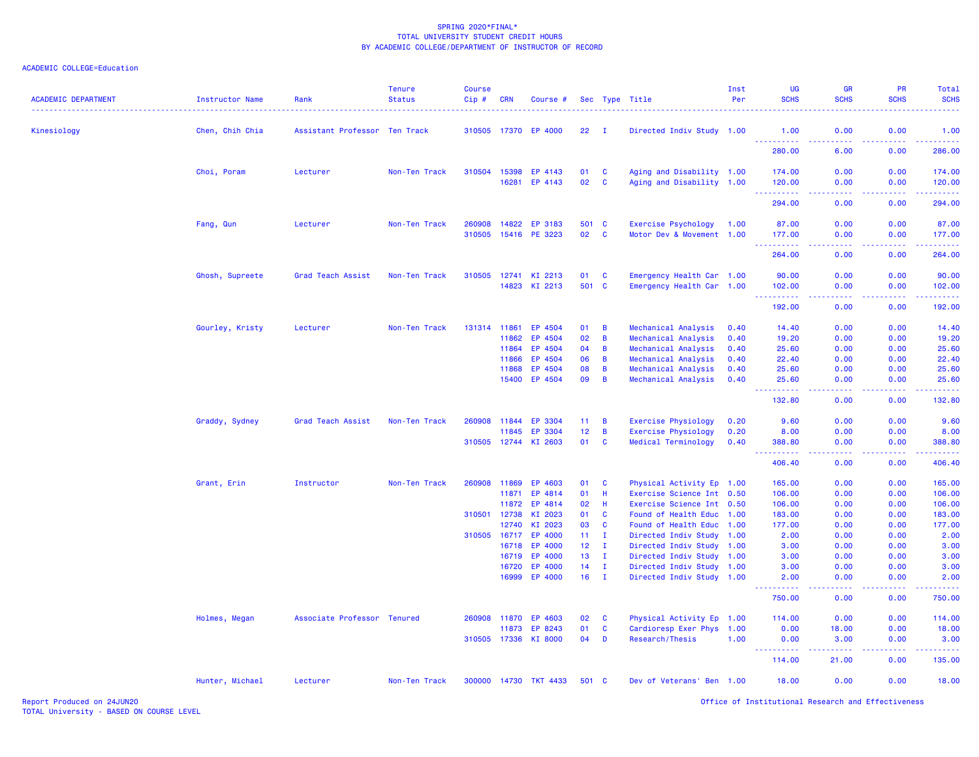### ACADEMIC COLLEGE=Education

| <b>ACADEMIC DEPARTMENT</b> | Instructor Name | Rank                          | <b>Tenure</b><br><b>Status</b> | <b>Course</b><br>$Cip \#$ | <b>CRN</b>     | Course #                 |             |                          | Sec Type Title                                         | Inst<br>Per | UG<br><b>SCHS</b>    | <b>GR</b><br><b>SCHS</b>                                                                               | <b>PR</b><br><b>SCHS</b> | Total<br><b>SCHS</b>                                                                                                                                           |
|----------------------------|-----------------|-------------------------------|--------------------------------|---------------------------|----------------|--------------------------|-------------|--------------------------|--------------------------------------------------------|-------------|----------------------|--------------------------------------------------------------------------------------------------------|--------------------------|----------------------------------------------------------------------------------------------------------------------------------------------------------------|
| Kinesiology                | Chen, Chih Chia | Assistant Professor Ten Track |                                |                           | 310505 17370   | EP 4000                  | 22          | $\mathbf I$              | Directed Indiv Study 1.00                              |             | 1.00                 | 0.00                                                                                                   | 0.00                     | 1.00                                                                                                                                                           |
|                            |                 |                               |                                |                           |                |                          |             |                          |                                                        |             | <u>.</u><br>280.00   | 6.00                                                                                                   | 0.00                     | 286.00                                                                                                                                                         |
|                            | Choi, Poram     | Lecturer                      | Non-Ten Track                  | 310504 15398              |                | EP 4143                  | 01          | $\mathbf{C}$             | Aging and Disability 1.00                              |             | 174.00               | 0.00                                                                                                   | 0.00                     | 174.00                                                                                                                                                         |
|                            |                 |                               |                                |                           |                | 16281 EP 4143            | 02          | $\mathbf{C}$             | Aging and Disability 1.00                              |             | 120.00<br>222222     | 0.00<br>$\frac{1}{2} \left( \frac{1}{2} \right) \left( \frac{1}{2} \right) \left( \frac{1}{2} \right)$ | 0.00<br>22222            | 120.00<br>2.2.2.2.2                                                                                                                                            |
|                            |                 |                               |                                |                           |                |                          |             |                          |                                                        |             | 294.00               | 0.00                                                                                                   | 0.00                     | 294.00                                                                                                                                                         |
|                            | Fang, Qun       | Lecturer                      | Non-Ten Track                  | 260908<br>310505          | 14822<br>15416 | EP 3183<br>PE 3223       | 501 C<br>02 | $\mathbf{C}$             | Exercise Psychology<br>Motor Dev & Movement 1.00       | 1.00        | 87.00<br>177.00      | 0.00<br>0.00                                                                                           | 0.00<br>0.00             | 87.00<br>177.00                                                                                                                                                |
|                            |                 |                               |                                |                           |                |                          |             |                          |                                                        |             | <u>.</u>             | د د د د                                                                                                | 22222                    | 2.2.2.2.2.2                                                                                                                                                    |
|                            |                 |                               |                                |                           |                |                          |             |                          |                                                        |             | 264.00               | 0.00                                                                                                   | 0.00                     | 264.00                                                                                                                                                         |
|                            | Ghosh, Supreete | Grad Teach Assist             | Non-Ten Track                  | 310505                    | 12741          | KI 2213<br>14823 KI 2213 | 01<br>501 C | <b>C</b>                 | Emergency Health Car 1.00<br>Emergency Health Car 1.00 |             | 90.00<br>102.00      | 0.00<br>0.00                                                                                           | 0.00<br>0.00             | 90.00<br>102.00                                                                                                                                                |
|                            |                 |                               |                                |                           |                |                          |             |                          |                                                        |             | .<br>192.00          | .<br>0.00                                                                                              | 22222<br>0.00            | $\frac{1}{2} \left( \frac{1}{2} \right) \left( \frac{1}{2} \right) \left( \frac{1}{2} \right) \left( \frac{1}{2} \right) \left( \frac{1}{2} \right)$<br>192.00 |
|                            | Gourley, Kristy | Lecturer                      | Non-Ten Track                  |                           | 131314 11861   | EP 4504                  | 01          | $\overline{B}$           | Mechanical Analysis                                    | 0.40        | 14.40                | 0.00                                                                                                   | 0.00                     | 14.40                                                                                                                                                          |
|                            |                 |                               |                                |                           | 11862          | EP 4504                  | 02          | B                        | Mechanical Analysis                                    | 0.40        | 19.20                | 0.00                                                                                                   | 0.00                     | 19.20                                                                                                                                                          |
|                            |                 |                               |                                |                           | 11864          | EP 4504                  | 04          | $\overline{B}$           | Mechanical Analysis                                    | 0.40        | 25.60                | 0.00                                                                                                   | 0.00                     | 25.60                                                                                                                                                          |
|                            |                 |                               |                                |                           | 11866          | EP 4504                  | 06          | $\overline{B}$           | Mechanical Analysis                                    | 0.40        | 22.40                | 0.00                                                                                                   | 0.00                     | 22.40                                                                                                                                                          |
|                            |                 |                               |                                |                           | 11868          | EP 4504                  | 08          | $\overline{B}$           | Mechanical Analysis                                    | 0.40        | 25.60                | 0.00                                                                                                   | 0.00                     | 25.60                                                                                                                                                          |
|                            |                 |                               |                                |                           | 15400          | EP 4504                  | 09          | $\overline{B}$           | Mechanical Analysis                                    | 0.40        | 25.60<br>2.2.2.2.2.2 | 0.00<br>.                                                                                              | 0.00<br>22222            | 25.60<br>.                                                                                                                                                     |
|                            |                 |                               |                                |                           |                |                          |             |                          |                                                        |             | 132.80               | 0.00                                                                                                   | 0.00                     | 132.80                                                                                                                                                         |
|                            | Graddy, Sydney  | Grad Teach Assist             | Non-Ten Track                  | 260908                    | 11844          | EP 3304                  | 11          | $\overline{B}$           | <b>Exercise Physiology</b>                             | 0.20        | 9.60                 | 0.00                                                                                                   | 0.00                     | 9.60                                                                                                                                                           |
|                            |                 |                               |                                |                           | 11845          | EP 3304                  | 12          | $\overline{B}$           | Exercise Physiology                                    | 0.20        | 8.00                 | 0.00                                                                                                   | 0.00                     | 8.00                                                                                                                                                           |
|                            |                 |                               |                                |                           |                | 310505 12744 KI 2603     | 01          | $\mathbf{C}$             | Medical Terminology                                    | 0.40        | 388.80<br>المتمامين  | 0.00<br>ولايات                                                                                         | 0.00                     | 388.80<br>22222                                                                                                                                                |
|                            |                 |                               |                                |                           |                |                          |             |                          |                                                        |             | 406.40               | 0.00                                                                                                   | 0.00                     | 406.40                                                                                                                                                         |
|                            | Grant, Erin     | Instructor                    | Non-Ten Track                  | 260908                    | 11869          | EP 4603                  | 01          | <b>C</b>                 | Physical Activity Ep 1.00                              |             | 165.00               | 0.00                                                                                                   | 0.00                     | 165.00                                                                                                                                                         |
|                            |                 |                               |                                |                           | 11871          | EP 4814                  | 01          | H                        | Exercise Science Int 0.50                              |             | 106.00               | 0.00                                                                                                   | 0.00                     | 106.00                                                                                                                                                         |
|                            |                 |                               |                                |                           | 11872          | EP 4814                  | 02          | H                        | Exercise Science Int 0.50                              |             | 106.00               | 0.00                                                                                                   | 0.00                     | 106.00                                                                                                                                                         |
|                            |                 |                               |                                | 310501                    | 12738<br>12740 | KI 2023<br>KI 2023       | 01<br>03    | $\mathbf{C}$<br><b>C</b> | Found of Health Educ 1.00<br>Found of Health Educ 1.00 |             | 183.00<br>177.00     | 0.00<br>0.00                                                                                           | 0.00<br>0.00             | 183.00<br>177.00                                                                                                                                               |
|                            |                 |                               |                                | 310505 16717              |                | EP 4000                  | 11          | $\mathbf{I}$             | Directed Indiv Study 1.00                              |             | 2.00                 | 0.00                                                                                                   | 0.00                     | 2.00                                                                                                                                                           |
|                            |                 |                               |                                |                           | 16718          | EP 4000                  | 12          | л.                       | Directed Indiv Study 1.00                              |             | 3.00                 | 0.00                                                                                                   | 0.00                     | 3.00                                                                                                                                                           |
|                            |                 |                               |                                |                           | 16719          | EP 4000                  | 13          | $\mathbf{I}$             | Directed Indiv Study 1.00                              |             | 3.00                 | 0.00                                                                                                   | 0.00                     | 3.00                                                                                                                                                           |
|                            |                 |                               |                                |                           | 16720          | EP 4000                  | 14          | $\mathbf{I}$             | Directed Indiv Study 1.00                              |             | 3.00                 | 0.00                                                                                                   | 0.00                     | 3.00                                                                                                                                                           |
|                            |                 |                               |                                |                           | 16999          | EP 4000                  | 16          | $\mathbf{I}$             | Directed Indiv Study 1.00                              |             | 2.00<br>.            | 0.00<br>الأمال الأما                                                                                   | 0.00<br>. <b>.</b>       | 2.00<br>22222)                                                                                                                                                 |
|                            |                 |                               |                                |                           |                |                          |             |                          |                                                        |             | 750.00               | 0.00                                                                                                   | 0.00                     | 750.00                                                                                                                                                         |
|                            | Holmes, Megan   | Associate Professor Tenured   |                                | 260908                    | 11870          | EP 4603                  | 02          | <b>C</b>                 | Physical Activity Ep 1.00                              |             | 114.00               | 0.00                                                                                                   | 0.00                     | 114.00                                                                                                                                                         |
|                            |                 |                               |                                |                           | 11873          | EP 8243                  | 01          | $\mathbf{C}$             | Cardioresp Exer Phys 1.00                              |             | 0.00                 | 18.00                                                                                                  | 0.00                     | 18.00                                                                                                                                                          |
|                            |                 |                               |                                | 310505 17336              |                | KI 8000                  | 04          | D                        | Research/Thesis                                        | 1.00        | 0.00<br>22222        | 3.00<br>22222                                                                                          | 0.00<br>22222            | 3.00<br><u>.</u>                                                                                                                                               |
|                            |                 |                               |                                |                           |                |                          |             |                          |                                                        |             | 114.00               | 21.00                                                                                                  | 0.00                     | 135.00                                                                                                                                                         |
|                            | Hunter, Michael | Lecturer                      | Non-Ten Track                  |                           |                | 300000 14730 TKT 4433    | 501 C       |                          | Dev of Veterans' Ben 1.00                              |             | 18.00                | 0.00                                                                                                   | 0.00                     | 18.00                                                                                                                                                          |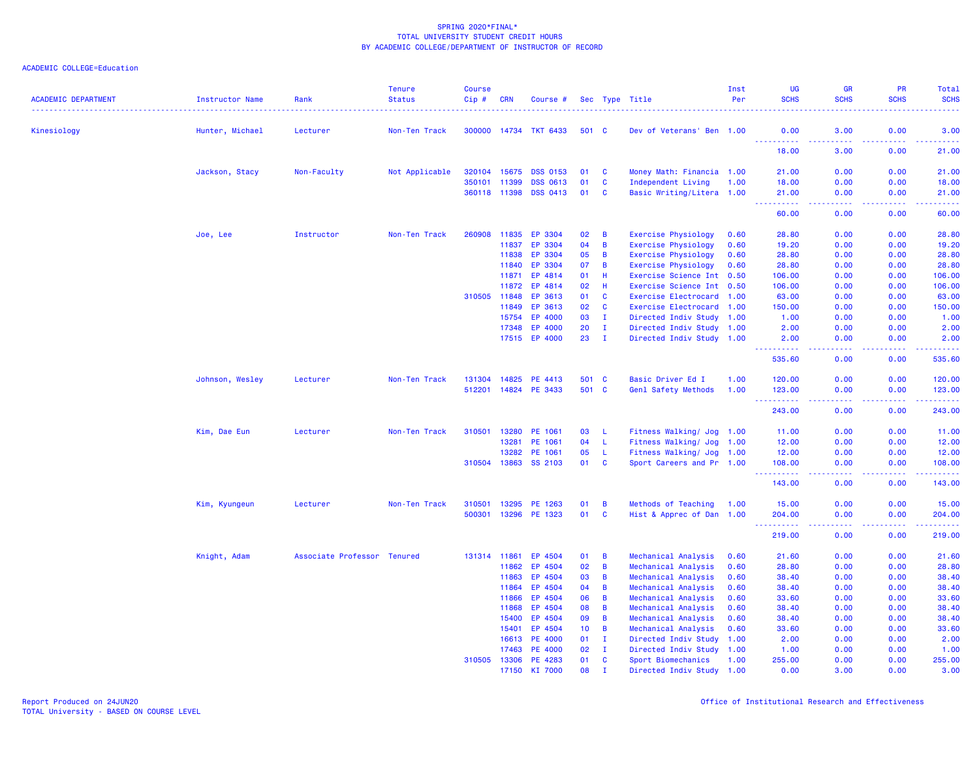| <b>ACADEMIC DEPARTMENT</b> | Instructor Name | Rank                        | <b>Tenure</b><br><b>Status</b> | <b>Course</b><br>Cip # | <b>CRN</b>     | Course #                           |          |                   | Sec Type Title                                          | Inst<br>Per | <b>UG</b><br><b>SCHS</b> | <b>GR</b><br><b>SCHS</b>                                                                                                          | PR<br><b>SCHS</b> | <b>Total</b><br><b>SCHS</b>                                                                                                        |
|----------------------------|-----------------|-----------------------------|--------------------------------|------------------------|----------------|------------------------------------|----------|-------------------|---------------------------------------------------------|-------------|--------------------------|-----------------------------------------------------------------------------------------------------------------------------------|-------------------|------------------------------------------------------------------------------------------------------------------------------------|
| Kinesiology                | Hunter, Michael | Lecturer                    | Non-Ten Track                  |                        |                | 300000 14734 TKT 6433              | 501 C    |                   | Dev of Veterans' Ben 1.00                               |             | 0.00                     | 3.00                                                                                                                              | 0.00              | 3.00                                                                                                                               |
|                            |                 |                             |                                |                        |                |                                    |          |                   |                                                         |             | 2.2.2.2.2<br>18.00       | $\sim$ $\sim$ $\sim$ $\sim$<br>3.00                                                                                               | .<br>0.00         | $\frac{1}{2} \left( \frac{1}{2} \right) \left( \frac{1}{2} \right) \left( \frac{1}{2} \right) \left( \frac{1}{2} \right)$<br>21.00 |
|                            |                 |                             |                                |                        |                |                                    |          |                   |                                                         |             |                          |                                                                                                                                   |                   |                                                                                                                                    |
|                            | Jackson, Stacy  | Non-Faculty                 | Not Applicable                 | 320104                 | 15675          | <b>DSS 0153</b>                    | 01<br>01 | <b>C</b>          | Money Math: Financia 1.00                               |             | 21.00                    | 0.00                                                                                                                              | 0.00              | 21.00                                                                                                                              |
|                            |                 |                             |                                | 350101<br>360118 11398 | 11399          | <b>DSS 0613</b><br><b>DSS 0413</b> | 01       | C<br><b>C</b>     | Independent Living<br>Basic Writing/Litera 1.00         | 1.00        | 18.00<br>21.00           | 0.00<br>0.00                                                                                                                      | 0.00<br>0.00      | 18.00<br>21.00                                                                                                                     |
|                            |                 |                             |                                |                        |                |                                    |          |                   |                                                         |             | بالأباليات<br>60.00      | 0.00                                                                                                                              | 0.00              | وبالمستريب<br>60.00                                                                                                                |
|                            |                 |                             |                                |                        |                |                                    |          |                   |                                                         |             |                          |                                                                                                                                   |                   |                                                                                                                                    |
|                            | Joe, Lee        | Instructor                  | Non-Ten Track                  | 260908                 | 11835          | EP 3304                            | 02       | B                 | Exercise Physiology                                     | 0.60        | 28.80                    | 0.00                                                                                                                              | 0.00              | 28.80                                                                                                                              |
|                            |                 |                             |                                |                        | 11837          | EP 3304                            | 04       | $\overline{B}$    | Exercise Physiology                                     | 0.60        | 19.20                    | 0.00                                                                                                                              | 0.00              | 19.20                                                                                                                              |
|                            |                 |                             |                                |                        | 11838          | EP 3304                            | 05       | B                 | <b>Exercise Physiology</b>                              | 0.60        | 28.80                    | 0.00                                                                                                                              | 0.00              | 28.80                                                                                                                              |
|                            |                 |                             |                                |                        | 11840<br>11871 | EP 3304<br>EP 4814                 | 07<br>01 | B<br>H            | <b>Exercise Physiology</b><br>Exercise Science Int 0.50 | 0.60        | 28.80<br>106.00          | 0.00<br>0.00                                                                                                                      | 0.00<br>0.00      | 28.80<br>106.00                                                                                                                    |
|                            |                 |                             |                                |                        | 11872          | EP 4814                            | 02       | H                 | Exercise Science Int 0.50                               |             | 106.00                   | 0.00                                                                                                                              | 0.00              | 106.00                                                                                                                             |
|                            |                 |                             |                                | 310505                 | 11848          | EP 3613                            | 01       | C                 | Exercise Electrocard 1.00                               |             | 63.00                    | 0.00                                                                                                                              | 0.00              | 63.00                                                                                                                              |
|                            |                 |                             |                                |                        | 11849          | EP 3613                            | 02       | C                 | Exercise Electrocard 1.00                               |             | 150.00                   | 0.00                                                                                                                              | 0.00              | 150.00                                                                                                                             |
|                            |                 |                             |                                |                        | 15754          | EP 4000                            | 03       | $\mathbf{I}$      | Directed Indiv Study 1.00                               |             | 1.00                     | 0.00                                                                                                                              | 0.00              | 1.00                                                                                                                               |
|                            |                 |                             |                                |                        | 17348          | EP 4000                            | 20       | Ι.                | Directed Indiv Study 1.00                               |             | 2.00                     | 0.00                                                                                                                              | 0.00              | 2.00                                                                                                                               |
|                            |                 |                             |                                |                        |                | 17515 EP 4000                      | 23       | $\mathbf{I}$      | Directed Indiv Study 1.00                               |             | 2.00                     | 0.00                                                                                                                              | 0.00              | 2.00                                                                                                                               |
|                            |                 |                             |                                |                        |                |                                    |          |                   |                                                         |             | .<br>535.60              | $\frac{1}{2} \left( \frac{1}{2} \right) \left( \frac{1}{2} \right) \left( \frac{1}{2} \right) \left( \frac{1}{2} \right)$<br>0.00 | .<br>0.00         | .<br>535.60                                                                                                                        |
|                            | Johnson, Wesley | Lecturer                    | Non-Ten Track                  | 131304                 |                | 14825 PE 4413                      | 501 C    |                   | Basic Driver Ed I                                       | 1.00        | 120.00                   | 0.00                                                                                                                              | 0.00              | 120.00                                                                                                                             |
|                            |                 |                             |                                | 512201                 |                | 14824 PE 3433                      | 501 C    |                   | Genl Safety Methods                                     | 1.00        | 123.00                   | 0.00                                                                                                                              | 0.00              | 123.00                                                                                                                             |
|                            |                 |                             |                                |                        |                |                                    |          |                   |                                                         |             | .<br>243.00              | $\sim$ $\sim$ $\sim$ $\sim$<br>0.00                                                                                               | .<br>0.00         | .<br>243.00                                                                                                                        |
|                            | Kim, Dae Eun    | Lecturer                    | Non-Ten Track                  | 310501                 | 13280          | PE 1061                            | 03       | L                 | Fitness Walking/ Jog 1.00                               |             | 11.00                    | 0.00                                                                                                                              | 0.00              | 11.00                                                                                                                              |
|                            |                 |                             |                                |                        | 13281          | PE 1061                            | 04       | $\mathsf L$       | Fitness Walking/ Jog 1.00                               |             | 12.00                    | 0.00                                                                                                                              | 0.00              | 12.00                                                                                                                              |
|                            |                 |                             |                                |                        | 13282          | PE 1061                            | 05       | L.                | Fitness Walking/ Jog 1.00                               |             | 12.00                    | 0.00                                                                                                                              | 0.00              | 12.00                                                                                                                              |
|                            |                 |                             |                                | 310504                 | 13863          | SS 2103                            | 01       | $\mathbf{C}$      | Sport Careers and Pr 1.00                               |             | 108.00<br><u>.</u>       | 0.00<br>.                                                                                                                         | 0.00<br>.         | 108.00<br><u>.</u>                                                                                                                 |
|                            |                 |                             |                                |                        |                |                                    |          |                   |                                                         |             | 143.00                   | 0.00                                                                                                                              | 0.00              | 143.00                                                                                                                             |
|                            | Kim, Kyungeun   | Lecturer                    | Non-Ten Track                  | 310501                 | 13295          | PE 1263                            | 01       | B                 | Methods of Teaching                                     | 1.00        | 15.00                    | 0.00                                                                                                                              | 0.00              | 15.00                                                                                                                              |
|                            |                 |                             |                                | 500301                 |                | 13296 PE 1323                      | 01       | C                 | Hist & Apprec of Dan 1.00                               |             | 204.00<br>.              | 0.00<br>$\frac{1}{2} \left( \frac{1}{2} \right) \left( \frac{1}{2} \right) \left( \frac{1}{2} \right) \left( \frac{1}{2} \right)$ | 0.00<br>.         | 204.00<br><u>.</u>                                                                                                                 |
|                            |                 |                             |                                |                        |                |                                    |          |                   |                                                         |             | 219.00                   | 0.00                                                                                                                              | 0.00              | 219.00                                                                                                                             |
|                            | Knight, Adam    | Associate Professor Tenured |                                | 131314 11861           |                | EP 4504                            | 01       | B                 | Mechanical Analysis                                     | 0.60        | 21.60                    | 0.00                                                                                                                              | 0.00              | 21.60                                                                                                                              |
|                            |                 |                             |                                |                        | 11862          | EP 4504                            | 02       | $\overline{B}$    | Mechanical Analysis                                     | 0.60        | 28.80                    | 0.00                                                                                                                              | 0.00              | 28.80                                                                                                                              |
|                            |                 |                             |                                |                        | 11863          | EP 4504                            | 03       | B                 | Mechanical Analysis                                     | 0.60        | 38.40                    | 0.00                                                                                                                              | 0.00              | 38.40                                                                                                                              |
|                            |                 |                             |                                |                        | 11864          | EP 4504                            | 04       | B                 | Mechanical Analysis                                     | 0.60        | 38.40                    | 0.00                                                                                                                              | 0.00              | 38.40                                                                                                                              |
|                            |                 |                             |                                |                        | 11866          | EP 4504                            | 06       | B                 | Mechanical Analysis                                     | 0.60        | 33.60                    | 0.00                                                                                                                              | 0.00              | 33.60                                                                                                                              |
|                            |                 |                             |                                |                        | 11868          | EP 4504                            | 08       | $\overline{B}$    | Mechanical Analysis                                     | 0.60        | 38.40                    | 0.00                                                                                                                              | 0.00              | 38.40                                                                                                                              |
|                            |                 |                             |                                |                        | 15400          | EP 4504                            | 09       | B                 | Mechanical Analysis                                     | 0.60        | 38.40                    | 0.00                                                                                                                              | 0.00              | 38.40                                                                                                                              |
|                            |                 |                             |                                |                        | 15401<br>16613 | EP 4504<br>PE 4000                 | 10<br>01 | B<br>$\mathbf{I}$ | Mechanical Analysis<br>Directed Indiv Study 1.00        | 0.60        | 33.60<br>2.00            | 0.00<br>0.00                                                                                                                      | 0.00<br>0.00      | 33.60<br>2.00                                                                                                                      |
|                            |                 |                             |                                |                        | 17463          | PE 4000                            | 02       | T                 | Directed Indiv Study 1.00                               |             | 1.00                     | 0.00                                                                                                                              | 0.00              | 1.00                                                                                                                               |
|                            |                 |                             |                                | 310505                 | 13306          | PE 4283                            | 01       | $\mathbf{C}$      | Sport Biomechanics                                      | 1.00        | 255.00                   | 0.00                                                                                                                              | 0.00              | 255.00                                                                                                                             |
|                            |                 |                             |                                |                        | 17150          | KI 7000                            | 08       | п                 | Directed Indiv Study 1.00                               |             | 0.00                     | 3.00                                                                                                                              | 0.00              | 3.00                                                                                                                               |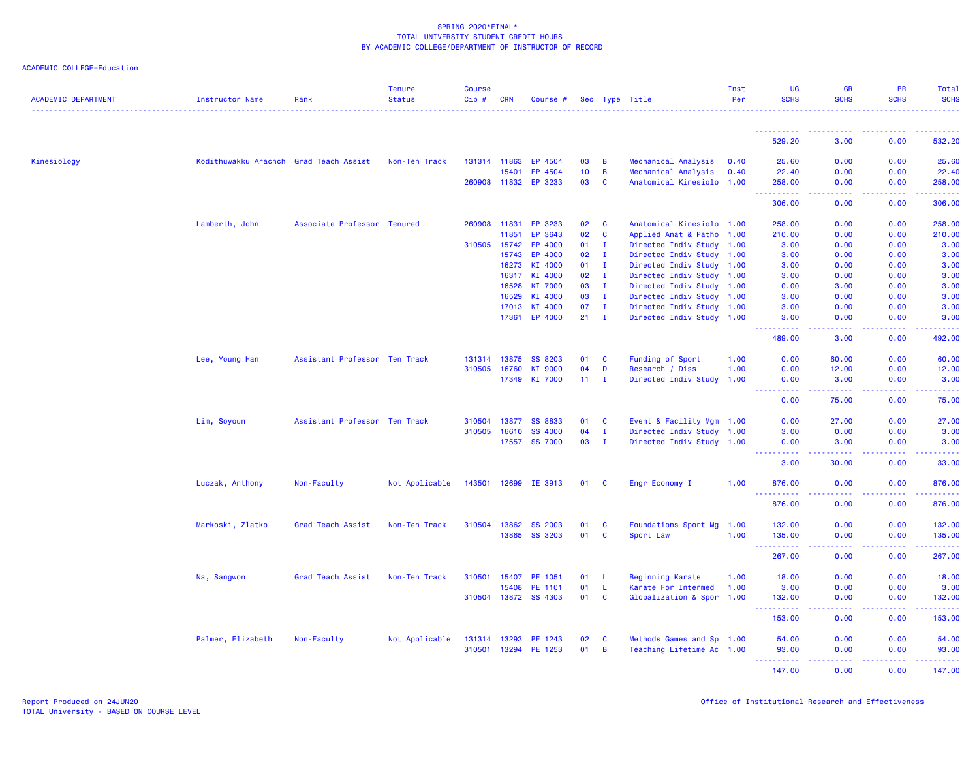| <b>ACADEMIC DEPARTMENT</b> | Instructor Name                        | Rank                          | <b>Tenure</b><br><b>Status</b> | <b>Course</b><br>$Cip \#$ | <b>CRN</b>     | Course #             |          |                    | Sec Type Title                                         | Inst<br>Per | UG<br><b>SCHS</b>                     | <b>GR</b><br><b>SCHS</b> | <b>PR</b><br><b>SCHS</b> | Total<br><b>SCHS</b>                                                                                                                                                            |
|----------------------------|----------------------------------------|-------------------------------|--------------------------------|---------------------------|----------------|----------------------|----------|--------------------|--------------------------------------------------------|-------------|---------------------------------------|--------------------------|--------------------------|---------------------------------------------------------------------------------------------------------------------------------------------------------------------------------|
|                            |                                        |                               |                                |                           |                |                      |          |                    |                                                        |             | <u> - - - - - - - - - -</u>           |                          | <u>.</u>                 | $\frac{1}{2} \left( \frac{1}{2} \right) \left( \frac{1}{2} \right) \left( \frac{1}{2} \right) \left( \frac{1}{2} \right) \left( \frac{1}{2} \right) \left( \frac{1}{2} \right)$ |
|                            |                                        |                               |                                |                           |                |                      |          |                    |                                                        |             | 529.20                                | 3.00                     | 0.00                     | 532.20                                                                                                                                                                          |
| Kinesiology                | Kodithuwakku Arachch Grad Teach Assist |                               | Non-Ten Track                  |                           | 131314 11863   | EP 4504              | 03       | $\overline{B}$     | Mechanical Analysis                                    | 0.40        | 25.60                                 | 0.00                     | 0.00                     | 25.60                                                                                                                                                                           |
|                            |                                        |                               |                                |                           | 15401          | EP 4504              | 10       | $\overline{B}$     | Mechanical Analysis                                    | 0.40        | 22.40                                 | 0.00                     | 0.00                     | 22.40                                                                                                                                                                           |
|                            |                                        |                               |                                |                           |                | 260908 11832 EP 3233 | 03       | $\mathbf{C}$       | Anatomical Kinesiolo 1.00                              |             | 258.00<br><u>.</u>                    | 0.00<br>.                | 0.00<br>22222            | 258.00<br>$\begin{array}{cccccccccc} \bullet & \bullet & \bullet & \bullet & \bullet & \bullet & \bullet & \bullet \end{array}$                                                 |
|                            |                                        |                               |                                |                           |                |                      |          |                    |                                                        |             | 306.00                                | 0.00                     | 0.00                     | 306.00                                                                                                                                                                          |
|                            | Lamberth, John                         | Associate Professor Tenured   |                                | 260908                    | 11831          | EP 3233              | 02       | <b>C</b>           | Anatomical Kinesiolo 1.00                              |             | 258.00                                | 0.00                     | 0.00                     | 258.00                                                                                                                                                                          |
|                            |                                        |                               |                                |                           | 11851          | EP 3643              | 02       | $\mathbf{C}$       | Applied Anat & Patho 1.00                              |             | 210.00                                | 0.00                     | 0.00                     | 210.00                                                                                                                                                                          |
|                            |                                        |                               |                                | 310505                    | 15742          | EP 4000              | 01       | $\mathbf{I}$       | Directed Indiv Study 1.00                              |             | 3.00                                  | 0.00                     | 0.00                     | 3.00                                                                                                                                                                            |
|                            |                                        |                               |                                |                           | 15743          | EP 4000              | 02       | $\mathbf{I}$       | Directed Indiv Study 1.00                              |             | 3.00                                  | 0.00                     | 0.00                     | 3.00                                                                                                                                                                            |
|                            |                                        |                               |                                |                           | 16273          | KI 4000              | 01       | $\mathbf{I}$       | Directed Indiv Study 1.00                              |             | 3.00                                  | 0.00                     | 0.00                     | 3.00                                                                                                                                                                            |
|                            |                                        |                               |                                |                           | 16317          | KI 4000              | 02       | $\mathbf{I}$       | Directed Indiv Study 1.00                              |             | 3.00                                  | 0.00                     | 0.00                     | 3.00                                                                                                                                                                            |
|                            |                                        |                               |                                |                           | 16528          | KI 7000              | 03       | $\mathbf{I}$       | Directed Indiv Study 1.00                              |             | 0.00                                  | 3.00                     | 0.00                     | 3.00                                                                                                                                                                            |
|                            |                                        |                               |                                |                           | 16529<br>17013 | KI 4000<br>KI 4000   | 03<br>07 | $\mathbf{I}$<br>л. | Directed Indiv Study 1.00                              |             | 3.00<br>3.00                          | 0.00<br>0.00             | 0.00<br>0.00             | 3.00<br>3.00                                                                                                                                                                    |
|                            |                                        |                               |                                |                           | 17361          | EP 4000              | 21       | $\mathbf{I}$       | Directed Indiv Study 1.00<br>Directed Indiv Study 1.00 |             | 3.00                                  | 0.00                     | 0.00                     | 3.00                                                                                                                                                                            |
|                            |                                        |                               |                                |                           |                |                      |          |                    |                                                        |             | <u>.</u><br>489.00                    | د د د د<br>3.00          | .<br>0.00                | .<br>492.00                                                                                                                                                                     |
|                            | Lee, Young Han                         | Assistant Professor Ten Track |                                |                           | 131314 13875   | <b>SS 8203</b>       | 01       | <b>C</b>           | Funding of Sport                                       | 1.00        | 0.00                                  | 60.00                    | 0.00                     | 60.00                                                                                                                                                                           |
|                            |                                        |                               |                                | 310505                    | 16760          | KI 9000              | 04       | D                  | Research / Diss                                        | 1.00        | 0.00                                  | 12.00                    | 0.00                     | 12.00                                                                                                                                                                           |
|                            |                                        |                               |                                |                           | 17349          | KI 7000              | 11       | л.                 | Directed Indiv Study 1.00                              |             | 0.00                                  | 3.00                     | 0.00                     | 3.00                                                                                                                                                                            |
|                            |                                        |                               |                                |                           |                |                      |          |                    |                                                        |             | .                                     | .                        | .                        | .                                                                                                                                                                               |
|                            |                                        |                               |                                |                           |                |                      |          |                    |                                                        |             | 0.00                                  | 75.00                    | 0.00                     | 75.00                                                                                                                                                                           |
|                            | Lim, Soyoun                            | Assistant Professor Ten Track |                                | 310504                    | 13877          | <b>SS 8833</b>       | 01       | <b>C</b>           | Event & Facility Mgm 1.00                              |             | 0.00                                  | 27.00                    | 0.00                     | 27.00                                                                                                                                                                           |
|                            |                                        |                               |                                | 310505                    | 16610          | <b>SS 4000</b>       | 04       | $\mathbf{I}$       | Directed Indiv Study 1.00                              |             | 3.00                                  | 0.00                     | 0.00                     | 3.00                                                                                                                                                                            |
|                            |                                        |                               |                                |                           |                | 17557 SS 7000        | 03       | $\mathbf{I}$       | Directed Indiv Study 1.00                              |             | 0.00<br>.                             | 3.00<br>22222            | 0.00<br>22222            | 3.00<br>.                                                                                                                                                                       |
|                            |                                        |                               |                                |                           |                |                      |          |                    |                                                        |             | 3.00                                  | 30.00                    | 0.00                     | 33.00                                                                                                                                                                           |
|                            | Luczak, Anthony                        | Non-Faculty                   | Not Applicable                 |                           |                | 143501 12699 IE 3913 | 01 C     |                    | Engr Economy I                                         | 1.00        | 876.00<br><u>.</u>                    | 0.00<br>.                | 0.00<br>. <b>.</b>       | 876.00<br>.                                                                                                                                                                     |
|                            |                                        |                               |                                |                           |                |                      |          |                    |                                                        |             | 876.00                                | 0.00                     | 0.00                     | 876.00                                                                                                                                                                          |
|                            | Markoski, Zlatko                       | Grad Teach Assist             | Non-Ten Track                  | 310504                    | 13862          | <b>SS 2003</b>       | 01       | <b>C</b>           | Foundations Sport Mg 1.00                              |             | 132.00                                | 0.00                     | 0.00                     | 132.00                                                                                                                                                                          |
|                            |                                        |                               |                                |                           | 13865          | SS 3203              | 01       | $\mathbf{C}$       | Sport Law                                              | 1.00        | 135.00                                | 0.00                     | 0.00                     | 135.00                                                                                                                                                                          |
|                            |                                        |                               |                                |                           |                |                      |          |                    |                                                        |             | <u> - - - - - - - - - -</u>           | .                        | .                        | $\begin{array}{cccccccccc} \bullet & \bullet & \bullet & \bullet & \bullet & \bullet & \bullet \end{array}$                                                                     |
|                            |                                        |                               |                                |                           |                |                      |          |                    |                                                        |             | 267.00                                | 0.00                     | 0.00                     | 267.00                                                                                                                                                                          |
|                            | Na, Sangwon                            | Grad Teach Assist             | Non-Ten Track                  | 310501                    | 15407          | PE 1051              | 01       | -L                 | <b>Beginning Karate</b>                                | 1.00        | 18.00                                 | 0.00                     | 0.00                     | 18.00                                                                                                                                                                           |
|                            |                                        |                               |                                |                           | 15408          | PE 1101              | 01       | -L                 | Karate For Intermed                                    | 1.00        | 3.00                                  | 0.00                     | 0.00                     | 3.00                                                                                                                                                                            |
|                            |                                        |                               |                                |                           |                | 310504 13872 SS 4303 | 01       | $\mathbf{C}$       | Globalization & Spor 1.00                              |             | 132.00<br><u> - - - - - - - - - -</u> | 0.00<br>22222            | 0.00<br>22222            | 132.00<br>.                                                                                                                                                                     |
|                            |                                        |                               |                                |                           |                |                      |          |                    |                                                        |             | 153.00                                | 0.00                     | 0.00                     | 153.00                                                                                                                                                                          |
|                            | Palmer, Elizabeth                      | Non-Faculty                   | Not Applicable                 | 131314 13293              |                | PE 1243              | 02       | <b>C</b>           | Methods Games and Sp 1.00                              |             | 54.00                                 | 0.00                     | 0.00                     | 54.00                                                                                                                                                                           |
|                            |                                        |                               |                                | 310501                    | 13294          | PE 1253              | 01       | $\overline{B}$     | Teaching Lifetime Ac 1.00                              |             | 93.00                                 | 0.00                     | 0.00                     | 93.00                                                                                                                                                                           |
|                            |                                        |                               |                                |                           |                |                      |          |                    |                                                        |             | <u>.</u><br>147.00                    | 22222<br>0.00            | الداعات عامات<br>0.00    | .                                                                                                                                                                               |
|                            |                                        |                               |                                |                           |                |                      |          |                    |                                                        |             |                                       |                          |                          | 147.00                                                                                                                                                                          |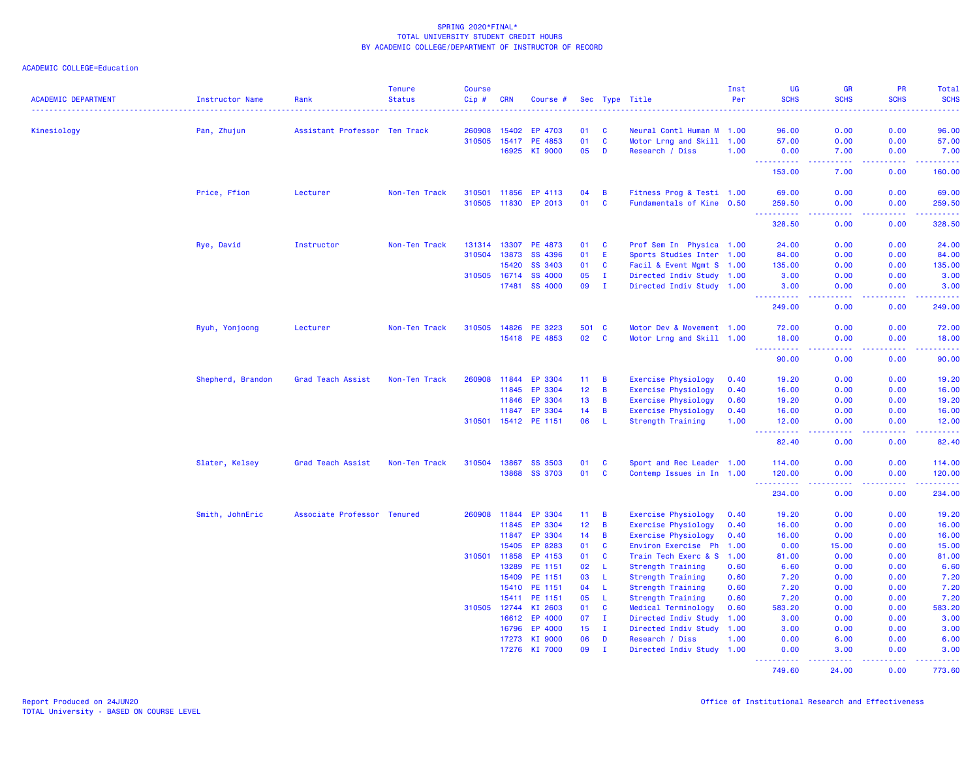| <b>ACADEMIC DEPARTMENT</b> | Instructor Name   | Rank                          | <b>Tenure</b><br><b>Status</b> | <b>Course</b><br>Cip# | <b>CRN</b>     | Course #             |          |                  | Sec Type Title                          | Inst<br>Per  | <b>UG</b><br><b>SCHS</b>           | <b>GR</b><br><b>SCHS</b> | <b>PR</b><br><b>SCHS</b> | <b>Total</b><br><b>SCHS</b><br><b>.</b>                                                                                             |
|----------------------------|-------------------|-------------------------------|--------------------------------|-----------------------|----------------|----------------------|----------|------------------|-----------------------------------------|--------------|------------------------------------|--------------------------|--------------------------|-------------------------------------------------------------------------------------------------------------------------------------|
| Kinesiology                | Pan, Zhujun       | Assistant Professor Ten Track |                                | 260908                | 15402          | EP<br>4703           | 01       | C                | Neural Contl Human M 1.00               |              | 96.00                              | 0.00                     | 0.00                     | 96.00                                                                                                                               |
|                            |                   |                               |                                | 310505                | 15417          | PE 4853              | 01       | $\mathbf c$      | Motor Lrng and Skill 1.00               |              | 57.00                              | 0.00                     | 0.00                     | 57.00                                                                                                                               |
|                            |                   |                               |                                |                       | 16925          | KI 9000              | 05       | D                | Research / Diss                         | 1.00         | 0.00                               | 7.00                     | 0.00                     | 7.00                                                                                                                                |
|                            |                   |                               |                                |                       |                |                      |          |                  |                                         |              | .<br>153.00                        | .<br>7.00                | 0.00                     | $\frac{1}{2} \left( \frac{1}{2} \right) \left( \frac{1}{2} \right) \left( \frac{1}{2} \right) \left( \frac{1}{2} \right)$<br>160.00 |
|                            | Price, Ffion      | Lecturer                      | Non-Ten Track                  | 310501                | 11856          | EP 4113              | 04       | B                | Fitness Prog & Testi 1.00               |              | 69.00                              | 0.00                     | 0.00                     | 69.00                                                                                                                               |
|                            |                   |                               |                                |                       |                | 310505 11830 EP 2013 | 01       | C                | Fundamentals of Kine 0.50               |              | 259.50                             | 0.00                     | 0.00                     | 259.50                                                                                                                              |
|                            |                   |                               |                                |                       |                |                      |          |                  |                                         |              | 328.50                             | بالأباد<br>0.00          | .<br>0.00                | .<br>328.50                                                                                                                         |
|                            | Rye, David        | Instructor                    | Non-Ten Track                  | 131314                | 13307          | PE 4873              | 01       | C                | Prof Sem In Physica 1.00                |              | 24.00                              | 0.00                     | 0.00                     | 24.00                                                                                                                               |
|                            |                   |                               |                                | 310504                | 13873          | SS 4396              | 01       | E                | Sports Studies Inter 1.00               |              | 84.00                              | 0.00                     | 0.00                     | 84.00                                                                                                                               |
|                            |                   |                               |                                |                       | 15420          | SS 3403              | 01       | C                | Facil & Event Mgmt S 1.00               |              | 135.00                             | 0.00                     | 0.00                     | 135.00                                                                                                                              |
|                            |                   |                               |                                | 310505 16714          |                | SS 4000              | 05       | $\mathbf I$      | Directed Indiv Study 1.00               |              | 3.00                               | 0.00                     | 0.00                     | 3.00                                                                                                                                |
|                            |                   |                               |                                |                       | 17481          | SS 4000              | 09       | $\mathbf I$      | Directed Indiv Study 1.00               |              | 3.00<br>.                          | 0.00                     | 0.00                     | 3.00<br>المتمامين                                                                                                                   |
|                            |                   |                               |                                |                       |                |                      |          |                  |                                         |              | 249.00                             | 0.00                     | 0.00                     | 249.00                                                                                                                              |
|                            | Ryuh, Yonjoong    | Lecturer                      | Non-Ten Track                  | 310505                | 14826          | PE 3223              | 501      | <b>C</b>         | Motor Dev & Movement 1.00               |              | 72.00                              | 0.00                     | 0.00                     | 72.00                                                                                                                               |
|                            |                   |                               |                                |                       |                | 15418 PE 4853        | 02       | C                | Motor Lrng and Skill 1.00               |              | 18.00                              | 0.00                     | 0.00                     | 18.00                                                                                                                               |
|                            |                   |                               |                                |                       |                |                      |          |                  |                                         |              | .<br>90.00                         | .<br>0.00                | .<br>0.00                | .<br>90.00                                                                                                                          |
|                            | Shepherd, Brandon | Grad Teach Assist             | Non-Ten Track                  | 260908                | 11844          | EP 3304              | 11       | B                | <b>Exercise Physiology</b>              | 0.40         | 19.20                              | 0.00                     | 0.00                     | 19.20                                                                                                                               |
|                            |                   |                               |                                |                       | 11845          | EP 3304              | 12       | B                | <b>Exercise Physiology</b>              | 0.40         | 16.00                              | 0.00                     | 0.00                     | 16.00                                                                                                                               |
|                            |                   |                               |                                |                       | 11846          | EP 3304              | 13       | B                | <b>Exercise Physiology</b>              | 0.60         | 19.20                              | 0.00                     | 0.00                     | 19.20                                                                                                                               |
|                            |                   |                               |                                |                       | 11847          | EP 3304              | 14       | B                | <b>Exercise Physiology</b>              | 0.40         | 16.00                              | 0.00                     | 0.00                     | 16.00                                                                                                                               |
|                            |                   |                               |                                |                       |                | 310501 15412 PE 1151 | 06       | -L.              | Strength Training                       | 1.00         | 12.00                              | 0.00                     | 0.00                     | 12,00                                                                                                                               |
|                            |                   |                               |                                |                       |                |                      |          |                  |                                         |              | $\sim$ $\sim$ $\sim$<br>.<br>82.40 | .<br>0.00                | .<br>0.00                | .<br>82.40                                                                                                                          |
|                            | Slater, Kelsey    | Grad Teach Assist             | Non-Ten Track                  | 310504                | 13867          | <b>SS 3503</b>       | 01       | C                | Sport and Rec Leader 1.00               |              | 114.00                             | 0.00                     | 0.00                     | 114.00                                                                                                                              |
|                            |                   |                               |                                |                       |                | 13868 SS 3703        | 01       | C                | Contemp Issues in In 1.00               |              | 120.00                             | 0.00                     | 0.00                     | 120.00                                                                                                                              |
|                            |                   |                               |                                |                       |                |                      |          |                  |                                         |              | .<br>234.00                        | .<br>0.00                | .<br>0.00                | .<br>234.00                                                                                                                         |
|                            | Smith, JohnEric   | Associate Professor Tenured   |                                | 260908                | 11844          | EP 3304              | 11       | B                | <b>Exercise Physiology</b>              | 0.40         | 19.20                              | 0.00                     | 0.00                     | 19.20                                                                                                                               |
|                            |                   |                               |                                |                       | 11845          | EP 3304              | 12       | B                | <b>Exercise Physiology</b>              | 0.40         | 16.00                              | 0.00                     | 0.00                     | 16.00                                                                                                                               |
|                            |                   |                               |                                |                       | 11847          | EP 3304              | 14       | B                | <b>Exercise Physiology</b>              | 0.40         | 16.00                              | 0.00                     | 0.00                     | 16.00                                                                                                                               |
|                            |                   |                               |                                |                       | 15405          | EP 8283              | 01       | $\mathbf c$      | Environ Exercise Ph                     | 1.00         | 0.00                               | 15.00                    | 0.00                     | 15.00                                                                                                                               |
|                            |                   |                               |                                | 310501                | 11858          | EP 4153              | 01       | C                | Train Tech Exerc & S                    | 1.00         | 81.00                              | 0.00                     | 0.00                     | 81.00                                                                                                                               |
|                            |                   |                               |                                |                       | 13289          | PE 1151              | 02       | L                | Strength Training                       | 0.60         | 6.60                               | 0.00                     | 0.00                     | 6.60                                                                                                                                |
|                            |                   |                               |                                |                       | 15409          | PE 1151              | 03       | L                | <b>Strength Training</b>                | 0.60         | 7.20                               | 0.00                     | 0.00                     | 7.20                                                                                                                                |
|                            |                   |                               |                                |                       | 15410          | PE 1151              | 04       | L                | Strength Training                       | 0.60         | 7.20                               | 0.00                     | 0.00                     | 7.20                                                                                                                                |
|                            |                   |                               |                                |                       | 15411          | PE 1151              | 05       | L                | Strength Training                       | 0.60         | 7.20                               | 0.00                     | 0.00                     | 7.20                                                                                                                                |
|                            |                   |                               |                                | 310505                | 12744          | KI 2603              | 01       | C                | Medical Terminology                     | 0.60         | 583.20                             | 0.00                     | 0.00                     | 583.20                                                                                                                              |
|                            |                   |                               |                                |                       | 16612          | EP 4000              | 07       | $\mathbf{I}$     | Directed Indiv Study                    | 1.00         | 3.00                               | 0.00                     | 0.00                     | 3.00                                                                                                                                |
|                            |                   |                               |                                |                       | 16796<br>17273 | EP 4000<br>KI 9000   | 15<br>06 | $\mathbf I$<br>D | Directed Indiv Study<br>Research / Diss | 1.00<br>1.00 | 3.00<br>0.00                       | 0.00<br>6.00             | 0.00<br>0.00             | 3.00<br>6.00                                                                                                                        |
|                            |                   |                               |                                |                       | 17276          | KI 7000              | 09       | $\mathbf{I}$     | Directed Indiv Study 1.00               |              | 0.00                               | 3.00                     | 0.00                     | 3.00                                                                                                                                |
|                            |                   |                               |                                |                       |                |                      |          |                  |                                         |              | <u>.</u><br>749.60                 | 2.2.2.2.2<br>24.00       | .<br>0.00                | .<br>773.60                                                                                                                         |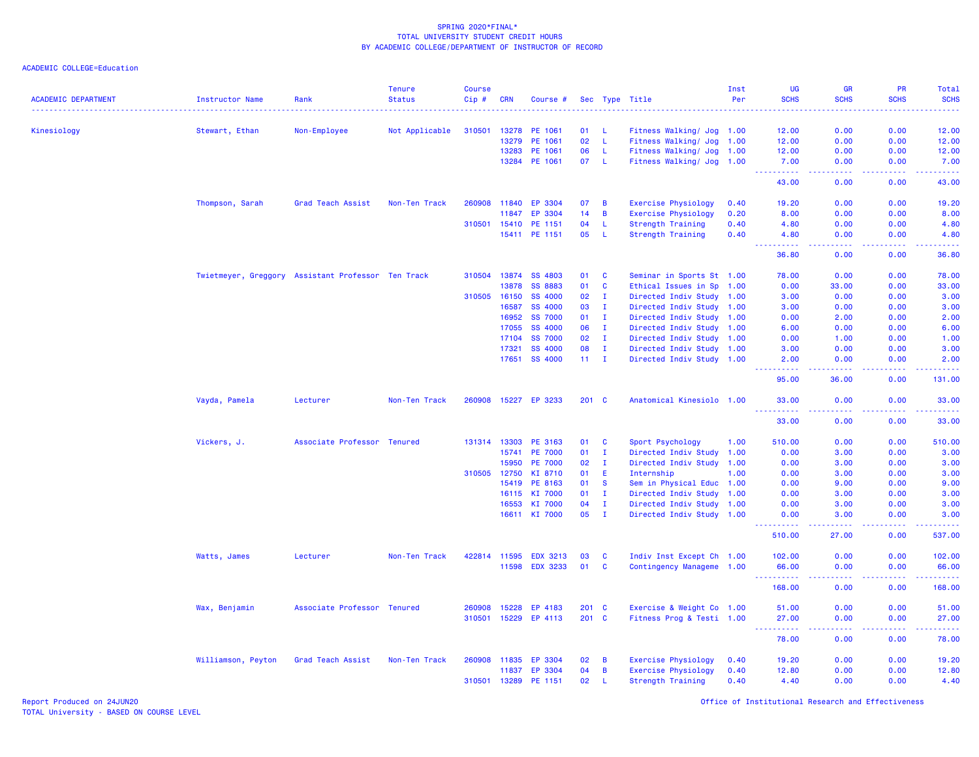| <b>ACADEMIC DEPARTMENT</b> | <b>Instructor Name</b>                             | Rank                        | <b>Tenure</b><br><b>Status</b> | <b>Course</b><br>Cip# | <b>CRN</b>   | Course #             |       |               | Sec Type Title             | Inst<br>Per | UG<br><b>SCHS</b>                     | <b>GR</b><br><b>SCHS</b> | PR<br><b>SCHS</b>                            | Total<br><b>SCHS</b>                                                                                                                                                                                                                                                                                                                                                                                                                                                                           |
|----------------------------|----------------------------------------------------|-----------------------------|--------------------------------|-----------------------|--------------|----------------------|-------|---------------|----------------------------|-------------|---------------------------------------|--------------------------|----------------------------------------------|------------------------------------------------------------------------------------------------------------------------------------------------------------------------------------------------------------------------------------------------------------------------------------------------------------------------------------------------------------------------------------------------------------------------------------------------------------------------------------------------|
| Kinesiology                | Stewart, Ethan                                     | Non-Employee                | Not Applicable                 | 310501                | 13278        | PE 1061              | 01    | L             | Fitness Walking/ Jog 1.00  |             | 12.00                                 | 0.00                     | 0.00                                         | 12.00                                                                                                                                                                                                                                                                                                                                                                                                                                                                                          |
|                            |                                                    |                             |                                |                       | 13279        | PE 1061              | 02    | $\mathsf{L}$  | Fitness Walking/ Jog       | 1.00        | 12.00                                 | 0.00                     | 0.00                                         | 12,00                                                                                                                                                                                                                                                                                                                                                                                                                                                                                          |
|                            |                                                    |                             |                                |                       | 13283        | PE 1061              | 06    | L             | Fitness Walking/ Jog       | 1.00        | 12.00                                 | 0.00                     | 0.00                                         | 12.00                                                                                                                                                                                                                                                                                                                                                                                                                                                                                          |
|                            |                                                    |                             |                                |                       | 13284        | PE 1061              | 07    | -L.           | Fitness Walking/ Jog       | 1.00        | 7.00                                  | 0.00                     | 0.00                                         | 7.00                                                                                                                                                                                                                                                                                                                                                                                                                                                                                           |
|                            |                                                    |                             |                                |                       |              |                      |       |               |                            |             | <u>.</u><br>43.00                     | .<br>0.00                | <b><i><u><u> - - - -</u></u></i></b><br>0.00 | .<br>43.00                                                                                                                                                                                                                                                                                                                                                                                                                                                                                     |
|                            | Thompson, Sarah                                    | Grad Teach Assist           | Non-Ten Track                  | 260908                | 11840        | EP 3304              | 07    | В             | Exercise Physiology        | 0.40        | 19.20                                 | 0.00                     | 0.00                                         | 19.20                                                                                                                                                                                                                                                                                                                                                                                                                                                                                          |
|                            |                                                    |                             |                                |                       | 11847        | EP 3304              | 14    | B             | <b>Exercise Physiology</b> | 0.20        | 8.00                                  | 0.00                     | 0.00                                         | 8.00                                                                                                                                                                                                                                                                                                                                                                                                                                                                                           |
|                            |                                                    |                             |                                | 310501                | 15410        | PE 1151              | 04    | L             | <b>Strength Training</b>   | 0.40        | 4.80                                  | 0.00                     | 0.00                                         | 4.80                                                                                                                                                                                                                                                                                                                                                                                                                                                                                           |
|                            |                                                    |                             |                                |                       | 15411        | PE 1151              | 05    | L             | <b>Strength Training</b>   | 0.40        | 4.80<br><b><i><u><u>.</u></u></i></b> | 0.00<br>.                | 0.00<br>.                                    | 4.80<br>.                                                                                                                                                                                                                                                                                                                                                                                                                                                                                      |
|                            |                                                    |                             |                                |                       |              |                      |       |               |                            |             | 36.80                                 | 0.00                     | 0.00                                         | 36.80                                                                                                                                                                                                                                                                                                                                                                                                                                                                                          |
|                            | Twietmeyer, Greggory Assistant Professor Ten Track |                             |                                | 310504                | 13874        | SS 4803              | 01    | <b>C</b>      | Seminar in Sports St 1.00  |             | 78.00                                 | 0.00                     | 0.00                                         | 78.00                                                                                                                                                                                                                                                                                                                                                                                                                                                                                          |
|                            |                                                    |                             |                                |                       | 13878        | <b>SS 8883</b>       | 01    | C             | Ethical Issues in Sp 1.00  |             | 0.00                                  | 33.00                    | 0.00                                         | 33.00                                                                                                                                                                                                                                                                                                                                                                                                                                                                                          |
|                            |                                                    |                             |                                | 310505                | 16150        | <b>SS 4000</b>       | 02    | $\mathbf{I}$  | Directed Indiv Study 1.00  |             | 3.00                                  | 0.00                     | 0.00                                         | 3.00                                                                                                                                                                                                                                                                                                                                                                                                                                                                                           |
|                            |                                                    |                             |                                |                       | 16587        | <b>SS 4000</b>       | 03    | I.            | Directed Indiv Study       | 1.00        | 3.00                                  | 0.00                     | 0.00                                         | 3.00                                                                                                                                                                                                                                                                                                                                                                                                                                                                                           |
|                            |                                                    |                             |                                |                       | 16952        | <b>SS 7000</b>       | 01    | - 1           | Directed Indiv Study 1.00  |             | 0.00                                  | 2.00                     | 0.00                                         | 2.00                                                                                                                                                                                                                                                                                                                                                                                                                                                                                           |
|                            |                                                    |                             |                                |                       | 17055        | <b>SS 4000</b>       | 06    | $\mathbf{I}$  | Directed Indiv Study 1.00  |             | 6.00                                  | 0.00                     | 0.00                                         | 6.00                                                                                                                                                                                                                                                                                                                                                                                                                                                                                           |
|                            |                                                    |                             |                                |                       | 17104        | <b>SS 7000</b>       | 02    | $\mathbf{I}$  | Directed Indiv Study 1.00  |             | 0.00                                  | 1.00                     | 0.00                                         | 1.00                                                                                                                                                                                                                                                                                                                                                                                                                                                                                           |
|                            |                                                    |                             |                                |                       | 17321        | <b>SS 4000</b>       | 08    | $\mathbf{I}$  | Directed Indiv Study 1.00  |             | 3.00                                  | 0.00                     | 0.00                                         | 3.00                                                                                                                                                                                                                                                                                                                                                                                                                                                                                           |
|                            |                                                    |                             |                                |                       | 17651        | <b>SS 4000</b>       |       | $11 \quad I$  | Directed Indiv Study 1.00  |             | 2.00<br>.                             | 0.00<br>$   -$           | 0.00<br>.                                    | 2.00<br>. <u>.</u> .                                                                                                                                                                                                                                                                                                                                                                                                                                                                           |
|                            |                                                    |                             |                                |                       |              |                      |       |               |                            |             | 95.00                                 | 36.00                    | 0.00                                         | 131.00                                                                                                                                                                                                                                                                                                                                                                                                                                                                                         |
|                            | Vayda, Pamela                                      | Lecturer                    | Non-Ten Track                  |                       |              | 260908 15227 EP 3233 | 201 C |               | Anatomical Kinesiolo 1.00  |             | 33.00<br>.                            | 0.00<br>المتمام          | 0.00<br>.                                    | 33.00<br>.                                                                                                                                                                                                                                                                                                                                                                                                                                                                                     |
|                            |                                                    |                             |                                |                       |              |                      |       |               |                            |             | 33.00                                 | 0.00                     | 0.00                                         | 33.00                                                                                                                                                                                                                                                                                                                                                                                                                                                                                          |
|                            | Vickers, J.                                        | Associate Professor Tenured |                                |                       | 131314 13303 | PE 3163              | 01    | <b>C</b>      | Sport Psychology           | 1.00        | 510.00                                | 0.00                     | 0.00                                         | 510.00                                                                                                                                                                                                                                                                                                                                                                                                                                                                                         |
|                            |                                                    |                             |                                |                       | 15741        | <b>PE 7000</b>       | 01    | I.            | Directed Indiv Study 1.00  |             | 0.00                                  | 3.00                     | 0.00                                         | 3.00                                                                                                                                                                                                                                                                                                                                                                                                                                                                                           |
|                            |                                                    |                             |                                |                       | 15950        | <b>PE 7000</b>       | 02    | $\mathbf{I}$  | Directed Indiv Study 1.00  |             | 0.00                                  | 3.00                     | 0.00                                         | 3.00                                                                                                                                                                                                                                                                                                                                                                                                                                                                                           |
|                            |                                                    |                             |                                | 310505                | 12750        | KI 8710              | 01    | Ε             | Internship                 | 1.00        | 0.00                                  | 3.00                     | 0.00                                         | 3.00                                                                                                                                                                                                                                                                                                                                                                                                                                                                                           |
|                            |                                                    |                             |                                |                       | 15419        | PE 8163              | 01    | <b>S</b>      | Sem in Physical Educ 1.00  |             | 0.00                                  | 9.00                     | 0.00                                         | 9.00                                                                                                                                                                                                                                                                                                                                                                                                                                                                                           |
|                            |                                                    |                             |                                |                       | 16115        | KI 7000              | 01    | I.            | Directed Indiv Study 1.00  |             | 0.00                                  | 3.00                     | 0.00                                         | 3.00                                                                                                                                                                                                                                                                                                                                                                                                                                                                                           |
|                            |                                                    |                             |                                |                       | 16553        | KI 7000              | 04    | $\mathbf{I}$  | Directed Indiv Study 1.00  |             | 0.00                                  | 3.00                     | 0.00                                         | 3.00                                                                                                                                                                                                                                                                                                                                                                                                                                                                                           |
|                            |                                                    |                             |                                |                       | 16611        | KI 7000              | 05    | $\mathbf{I}$  | Directed Indiv Study 1.00  |             | 0.00<br>.                             | 3.00<br>.                | 0.00<br><b></b>                              | 3.00<br>$\begin{array}{cccccccccccccc} \multicolumn{2}{c}{} & \multicolumn{2}{c}{} & \multicolumn{2}{c}{} & \multicolumn{2}{c}{} & \multicolumn{2}{c}{} & \multicolumn{2}{c}{} & \multicolumn{2}{c}{} & \multicolumn{2}{c}{} & \multicolumn{2}{c}{} & \multicolumn{2}{c}{} & \multicolumn{2}{c}{} & \multicolumn{2}{c}{} & \multicolumn{2}{c}{} & \multicolumn{2}{c}{} & \multicolumn{2}{c}{} & \multicolumn{2}{c}{} & \multicolumn{2}{c}{} & \multicolumn{2}{c}{} & \multicolumn{2}{c}{} & \$ |
|                            |                                                    |                             |                                |                       |              |                      |       |               |                            |             | 510.00                                | 27.00                    | 0.00                                         | 537.00                                                                                                                                                                                                                                                                                                                                                                                                                                                                                         |
|                            | Watts, James                                       | Lecturer                    | Non-Ten Track                  |                       | 422814 11595 | <b>EDX 3213</b>      | 03    | C             | Indiv Inst Except Ch 1.00  |             | 102.00                                | 0.00                     | 0.00                                         | 102.00                                                                                                                                                                                                                                                                                                                                                                                                                                                                                         |
|                            |                                                    |                             |                                |                       | 11598        | <b>EDX 3233</b>      | 01    | C             | Contingency Manageme 1.00  |             | 66.00                                 | 0.00                     | 0.00                                         | 66.00                                                                                                                                                                                                                                                                                                                                                                                                                                                                                          |
|                            |                                                    |                             |                                |                       |              |                      |       |               |                            |             | 168.00                                | 0.00                     | 0.00                                         | 168.00                                                                                                                                                                                                                                                                                                                                                                                                                                                                                         |
|                            | Wax, Benjamin                                      | Associate Professor Tenured |                                | 260908                | 15228        | EP 4183              |       | $201 \quad C$ | Exercise & Weight Co 1.00  |             | 51.00                                 | 0.00                     | 0.00                                         | 51.00                                                                                                                                                                                                                                                                                                                                                                                                                                                                                          |
|                            |                                                    |                             |                                | 310501                | 15229        | EP 4113              |       | 201 C         | Fitness Prog & Testi 1.00  |             | 27.00                                 | 0.00                     | 0.00                                         | 27.00                                                                                                                                                                                                                                                                                                                                                                                                                                                                                          |
|                            |                                                    |                             |                                |                       |              |                      |       |               |                            |             | .<br>- - -<br>78.00                   | د د د د<br>0.00          | 0.00                                         | .<br>78.00                                                                                                                                                                                                                                                                                                                                                                                                                                                                                     |
|                            | Williamson, Peyton                                 | Grad Teach Assist           | Non-Ten Track                  | 260908                | 11835        | EP 3304              | 02    | B             | Exercise Physiology        | 0.40        | 19.20                                 | 0.00                     | 0.00                                         | 19.20                                                                                                                                                                                                                                                                                                                                                                                                                                                                                          |
|                            |                                                    |                             |                                |                       | 11837        | EP 3304              | 04    | B             | Exercise Physiology        | 0.40        | 12.80                                 | 0.00                     | 0.00                                         | 12.80                                                                                                                                                                                                                                                                                                                                                                                                                                                                                          |
|                            |                                                    |                             |                                | 310501                | 13289        | PE 1151              | 02    | L             | <b>Strength Training</b>   | 0.40        | 4.40                                  | 0.00                     | 0.00                                         | 4.40                                                                                                                                                                                                                                                                                                                                                                                                                                                                                           |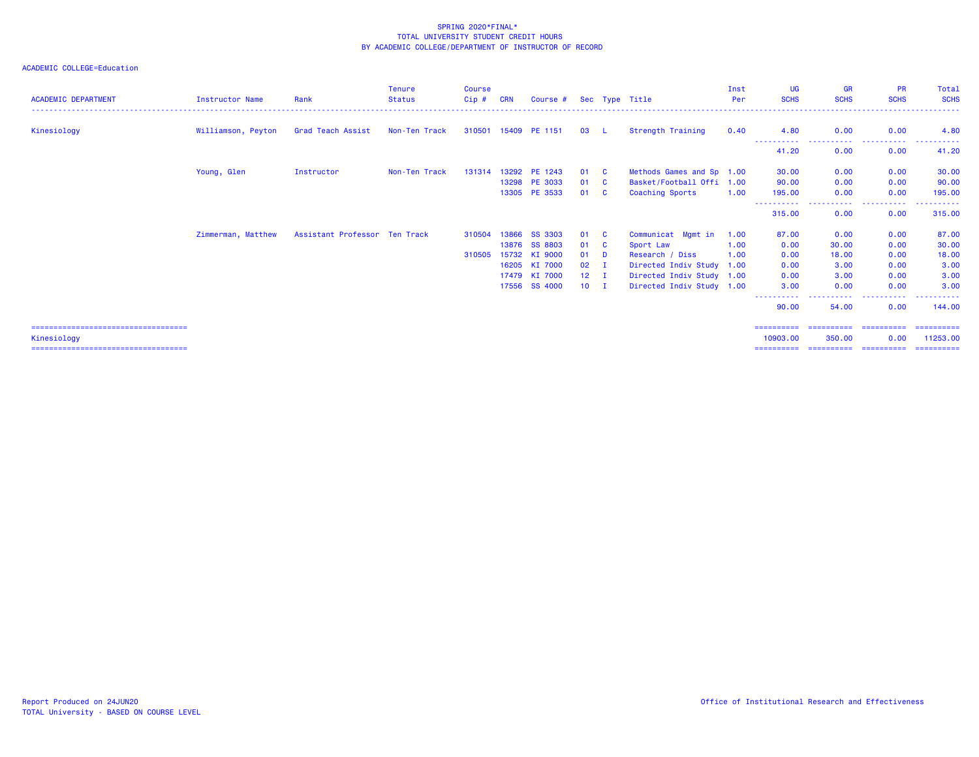| <b>ACADEMIC DEPARTMENT</b>             | <b>Instructor Name</b> | Rank                          | <b>Tenure</b><br><b>Status</b> | <b>Course</b><br>Cip# | <b>CRN</b> | Course #             |              |          | Sec Type Title            | Inst<br>Per | <b>UG</b><br><b>SCHS</b> | <b>GR</b><br><b>SCHS</b> | <b>PR</b><br><b>SCHS</b>              | Total<br><b>SCHS</b> |
|----------------------------------------|------------------------|-------------------------------|--------------------------------|-----------------------|------------|----------------------|--------------|----------|---------------------------|-------------|--------------------------|--------------------------|---------------------------------------|----------------------|
| Kinesiology                            | Williamson, Peyton     | Grad Teach Assist             | Non-Ten Track                  |                       |            | 310501 15409 PE 1151 | 03           | - L -    | Strength Training         | 0.40        | 4.80                     | 0.00                     | 0.00                                  | 4.80                 |
|                                        |                        |                               |                                |                       |            |                      |              |          |                           |             | -----------<br>41.20     | -----------<br>0.00      | .<br>0.00                             | 41.20                |
|                                        | Young, Glen            | Instructor                    | Non-Ten Track                  | 131314                |            | 13292 PE 1243        | 01           | - C      | Methods Games and Sp 1.00 |             | 30.00                    | 0.00                     | 0.00                                  | 30.00                |
|                                        |                        |                               |                                |                       |            | 13298 PE 3033        | 01           | <b>C</b> | Basket/Football Offi 1.00 |             | 90.00                    | 0.00                     | 0.00                                  | 90.00                |
|                                        |                        |                               |                                |                       |            | 13305 PE 3533        | 01           | - C      | Coaching Sports           | 1.00        | 195.00                   | 0.00                     | 0.00                                  | 195,00               |
|                                        |                        |                               |                                |                       |            |                      |              |          |                           |             | 315,00                   | .<br>0.00                | .<br>0.00                             | .<br>315.00          |
|                                        | Zimmerman, Matthew     | Assistant Professor Ten Track |                                | 310504                | 13866      | <b>SS 3303</b>       | 01           | - C      | Communicat Mgmt in        | 1.00        | 87.00                    | 0.00                     | 0.00                                  | 87.00                |
|                                        |                        |                               |                                |                       | 13876      | <b>SS 8803</b>       | 01           | <b>C</b> | Sport Law                 | 1.00        | 0.00                     | 30.00                    | 0.00                                  | 30.00                |
|                                        |                        |                               |                                | 310505                |            | 15732 KI 9000        | 01           | <b>D</b> | Research / Diss           | 1.00        | 0.00                     | 18.00                    | 0.00                                  | 18.00                |
|                                        |                        |                               |                                |                       |            | 16205 KI 7000        | 02           | л.       | Directed Indiv Study 1.00 |             | 0.00                     | 3.00                     | 0.00                                  | 3.00                 |
|                                        |                        |                               |                                |                       |            | 17479 KI 7000        | $12 \quad I$ |          | Directed Indiv Study 1.00 |             | 0.00                     | 3.00                     | 0.00                                  | 3.00                 |
|                                        |                        |                               |                                |                       |            | 17556 SS 4000        | $10$ I       |          | Directed Indiv Study 1.00 |             | 3.00                     | 0.00                     | 0.00                                  | 3.00                 |
|                                        |                        |                               |                                |                       |            |                      |              |          |                           |             | 90.00                    | 54,00                    | 0.00                                  | 144,00               |
| ====================================== |                        |                               |                                |                       |            |                      |              |          |                           |             | ==========               |                          |                                       |                      |
| Kinesiology                            |                        |                               |                                |                       |            |                      |              |          |                           |             | 10903.00                 | 350.00                   | 0.00                                  | 11253.00             |
|                                        |                        |                               |                                |                       |            |                      |              |          |                           |             |                          |                          | ===================================== | -----------          |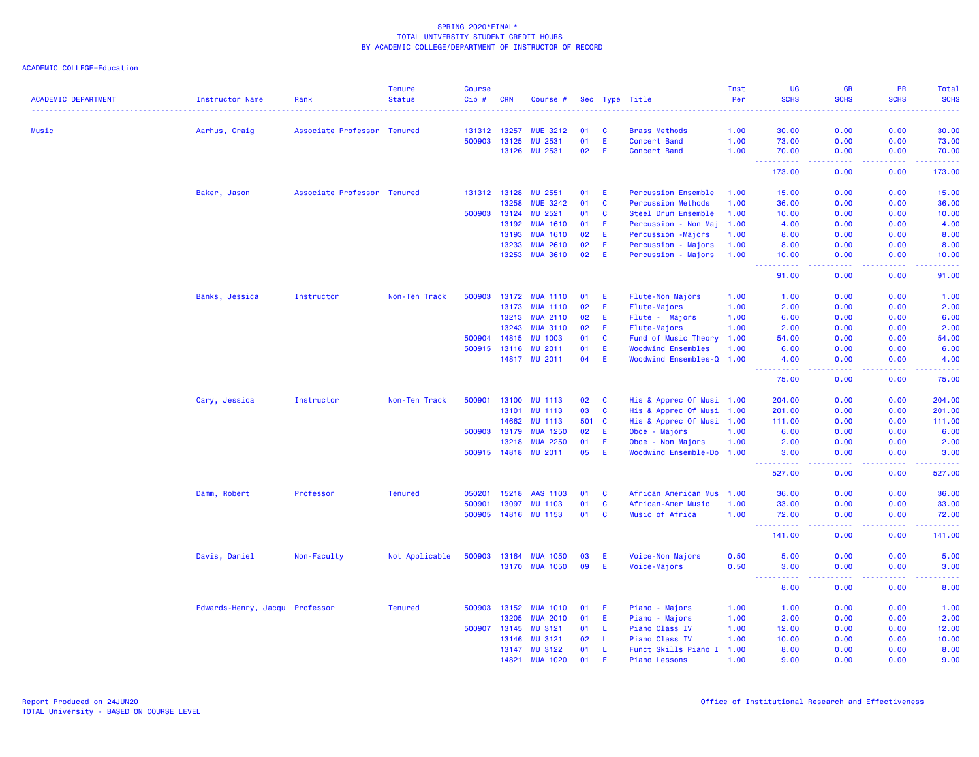|                            |                                |                             | <b>Tenure</b>  | <b>Course</b> |              |                 |     |          |                            | Inst | UG                                                                                                                                                           | <b>GR</b>                           | PR                                           | Total                                                                                                                                                          |
|----------------------------|--------------------------------|-----------------------------|----------------|---------------|--------------|-----------------|-----|----------|----------------------------|------|--------------------------------------------------------------------------------------------------------------------------------------------------------------|-------------------------------------|----------------------------------------------|----------------------------------------------------------------------------------------------------------------------------------------------------------------|
| <b>ACADEMIC DEPARTMENT</b> | <b>Instructor Name</b>         | Rank                        | <b>Status</b>  | Cip#          | <b>CRN</b>   | Course #        |     |          | Sec Type Title             | Per  | <b>SCHS</b>                                                                                                                                                  | <b>SCHS</b>                         | <b>SCHS</b>                                  | <b>SCHS</b>                                                                                                                                                    |
| <b>Music</b>               | Aarhus, Craig                  | Associate Professor Tenured |                | 131312        | 13257        | <b>MUE 3212</b> | 01  | C        | <b>Brass Methods</b>       | 1.00 | 30.00                                                                                                                                                        | 0.00                                | 0.00                                         | 30,00                                                                                                                                                          |
|                            |                                |                             |                | 500903        | 13125        | <b>MU 2531</b>  | 01  | E        | Concert Band               | 1.00 | 73.00                                                                                                                                                        | 0.00                                | 0.00                                         | 73.00                                                                                                                                                          |
|                            |                                |                             |                |               | 13126        | <b>MU 2531</b>  | 02  | Ε        | Concert Band               | 1.00 | 70.00                                                                                                                                                        | 0.00                                | 0.00                                         | 70.00                                                                                                                                                          |
|                            |                                |                             |                |               |              |                 |     |          |                            |      | $\frac{1}{2} \left( \frac{1}{2} \right) \frac{1}{2} \left( \frac{1}{2} \right)$<br>------<br>173.00                                                          | د د د د<br>0.00                     | -----<br>0.00                                | $\frac{1}{2} \left( \frac{1}{2} \right) \left( \frac{1}{2} \right) \left( \frac{1}{2} \right) \left( \frac{1}{2} \right) \left( \frac{1}{2} \right)$<br>173.00 |
|                            | Baker, Jason                   | Associate Professor Tenured |                |               | 131312 13128 | MU 2551         | 01  | Е        | <b>Percussion Ensemble</b> | 1.00 | 15.00                                                                                                                                                        | 0.00                                | 0.00                                         | 15.00                                                                                                                                                          |
|                            |                                |                             |                |               | 13258        | <b>MUE 3242</b> | 01  | <b>C</b> | <b>Percussion Methods</b>  | 1.00 | 36.00                                                                                                                                                        | 0.00                                | 0.00                                         | 36.00                                                                                                                                                          |
|                            |                                |                             |                | 500903        | 13124        | <b>MU 2521</b>  | 01  | C        | Steel Drum Ensemble        | 1.00 | 10.00                                                                                                                                                        | 0.00                                | 0.00                                         | 10.00                                                                                                                                                          |
|                            |                                |                             |                |               | 13192        | <b>MUA 1610</b> | 01  | Ε        | - Non Maj<br>Percussion    | 1.00 | 4.00                                                                                                                                                         | 0.00                                | 0.00                                         | 4.00                                                                                                                                                           |
|                            |                                |                             |                |               | 13193        | <b>MUA 1610</b> | 02  | Е        | Percussion -Majors         | 1.00 | 8.00                                                                                                                                                         | 0.00                                | 0.00                                         | 8.00                                                                                                                                                           |
|                            |                                |                             |                |               | 13233        | <b>MUA 2610</b> | 02  | Ε        | Percussion - Majors        | 1.00 | 8.00                                                                                                                                                         | 0.00                                | 0.00                                         | 8.00                                                                                                                                                           |
|                            |                                |                             |                |               | 13253        | <b>MUA 3610</b> | 02  | E        | Percussion - Majors        | 1.00 | 10.00                                                                                                                                                        | 0.00                                | 0.00                                         | 10.00                                                                                                                                                          |
|                            |                                |                             |                |               |              |                 |     |          |                            |      | المستمد<br>$\sim$ $\sim$ .<br>91.00                                                                                                                          | .<br>0.00                           | .<br>0.00                                    | .<br>91.00                                                                                                                                                     |
|                            | Banks, Jessica                 | Instructor                  | Non-Ten Track  | 500903        |              | 13172 MUA 1110  | 01  | Ε        | Flute-Non Majors           | 1.00 | 1.00                                                                                                                                                         | 0.00                                | 0.00                                         | 1.00                                                                                                                                                           |
|                            |                                |                             |                |               | 13173        | <b>MUA 1110</b> | 02  | Е        | Flute-Majors               | 1.00 | 2.00                                                                                                                                                         | 0.00                                | 0.00                                         | 2.00                                                                                                                                                           |
|                            |                                |                             |                |               | 13213        | <b>MUA 2110</b> | 02  | E        | Flute - Majors             | 1.00 | 6.00                                                                                                                                                         | 0.00                                | 0.00                                         | 6.00                                                                                                                                                           |
|                            |                                |                             |                |               | 13243        | <b>MUA 3110</b> | 02  | E        | Flute-Majors               | 1.00 | 2.00                                                                                                                                                         | 0.00                                | 0.00                                         | 2.00                                                                                                                                                           |
|                            |                                |                             |                | 500904        | 14815        | <b>MU 1003</b>  | 01  | <b>C</b> | Fund of Music Theory       | 1.00 | 54.00                                                                                                                                                        | 0.00                                | 0.00                                         | 54.00                                                                                                                                                          |
|                            |                                |                             |                | 500915        | 13116        | <b>MU 2011</b>  | 01  | Ε        | <b>Woodwind Ensembles</b>  | 1.00 | 6.00                                                                                                                                                         | 0.00                                | 0.00                                         | 6.00                                                                                                                                                           |
|                            |                                |                             |                |               |              | 14817 MU 2011   | 04  | E        | Woodwind Ensembles-Q 1.00  |      | 4.00<br>$\frac{1}{2} \left( \frac{1}{2} \right) \left( \frac{1}{2} \right) \left( \frac{1}{2} \right) \left( \frac{1}{2} \right) \left( \frac{1}{2} \right)$ | 0.00<br>د د د د                     | 0.00<br><b><i><u><u> - - - -</u></u></i></b> | 4.00<br>.                                                                                                                                                      |
|                            |                                |                             |                |               |              |                 |     |          |                            |      | 75.00                                                                                                                                                        | 0.00                                | 0.00                                         | 75.00                                                                                                                                                          |
|                            | Cary, Jessica                  | Instructor                  | Non-Ten Track  | 500901        | 13100        | <b>MU 1113</b>  | 02  | <b>C</b> | His & Apprec Of Musi 1.00  |      | 204.00                                                                                                                                                       | 0.00                                | 0.00                                         | 204.00                                                                                                                                                         |
|                            |                                |                             |                |               | 13101        | <b>MU 1113</b>  | 03  | C        | His & Apprec Of Musi 1.00  |      | 201.00                                                                                                                                                       | 0.00                                | 0.00                                         | 201.00                                                                                                                                                         |
|                            |                                |                             |                |               | 14662        | <b>MU 1113</b>  | 501 | <b>C</b> | His & Apprec Of Musi 1.00  |      | 111.00                                                                                                                                                       | 0.00                                | 0.00                                         | 111.00                                                                                                                                                         |
|                            |                                |                             |                | 500903        | 13179        | <b>MUA 1250</b> | 02  | Ε        | Oboe - Majors              | 1.00 | 6.00                                                                                                                                                         | 0.00                                | 0.00                                         | 6.00                                                                                                                                                           |
|                            |                                |                             |                |               | 13218        | <b>MUA 2250</b> | 01  | Ε        | Oboe - Non Majors          | 1.00 | 2.00                                                                                                                                                         | 0.00                                | 0.00                                         | 2.00                                                                                                                                                           |
|                            |                                |                             |                |               | 500915 14818 | <b>MU 2011</b>  | 05  | E        | Woodwind Ensemble-Do 1.00  |      | 3.00                                                                                                                                                         | 0.00                                | 0.00                                         | 3.00                                                                                                                                                           |
|                            |                                |                             |                |               |              |                 |     |          |                            |      | 527.00                                                                                                                                                       | 0.00                                | 0.00                                         | 527.00                                                                                                                                                         |
|                            | Damm, Robert                   | Professor                   | <b>Tenured</b> | 050201        | 15218        | AAS 1103        | 01  | C        | African American Mus       | 1.00 | 36.00                                                                                                                                                        | 0.00                                | 0.00                                         | 36.00                                                                                                                                                          |
|                            |                                |                             |                | 500901        | 13097        | <b>MU 1103</b>  | 01  | <b>C</b> | African-Amer Music         | 1.00 | 33.00                                                                                                                                                        | 0.00                                | 0.00                                         | 33.00                                                                                                                                                          |
|                            |                                |                             |                | 500905        |              | 14816 MU 1153   | 01  | <b>C</b> | Music of Africa            | 1.00 | 72.00<br>د د د د د                                                                                                                                           | 0.00<br>$\omega$ is $\omega$ .      | 0.00                                         | 72.00                                                                                                                                                          |
|                            |                                |                             |                |               |              |                 |     |          |                            |      | 141.00                                                                                                                                                       | 0.00                                | 0.00                                         | 141.00                                                                                                                                                         |
|                            | Davis, Daniel                  | Non-Faculty                 | Not Applicable | 500903        | 13164        | <b>MUA 1050</b> | 03  | E        | Voice-Non Majors           | 0.50 | 5.00                                                                                                                                                         | 0.00                                | 0.00                                         | 5.00                                                                                                                                                           |
|                            |                                |                             |                |               |              | 13170 MUA 1050  | 09  | E        | Voice-Majors               | 0.50 | 3.00<br>$\frac{1}{2} \left( \frac{1}{2} \right) \left( \frac{1}{2} \right) \left( \frac{1}{2} \right) \left( \frac{1}{2} \right)$                            | 0.00<br>$\sim$ $\sim$ $\sim$ $\sim$ | 0.00                                         | 3.00                                                                                                                                                           |
|                            |                                |                             |                |               |              |                 |     |          |                            |      | 8.00                                                                                                                                                         | 0.00                                | 0.00                                         | 8.00                                                                                                                                                           |
|                            | Edwards-Henry, Jacqu Professor |                             | <b>Tenured</b> | 500903        | 13152        | <b>MUA 1010</b> | 01  | Е        | Piano - Majors             | 1.00 | 1.00                                                                                                                                                         | 0.00                                | 0.00                                         | 1.00                                                                                                                                                           |
|                            |                                |                             |                |               | 13205        | <b>MUA 2010</b> | 01  | Ε        | Piano - Majors             | 1.00 | 2.00                                                                                                                                                         | 0.00                                | 0.00                                         | 2.00                                                                                                                                                           |
|                            |                                |                             |                | 500907        | 13145        | <b>MU 3121</b>  | 01  | L        | Piano Class IV             | 1.00 | 12.00                                                                                                                                                        | 0.00                                | 0.00                                         | 12.00                                                                                                                                                          |
|                            |                                |                             |                |               | 13146        | MU 3121         | 02  | -L       | Piano Class IV             | 1.00 | 10.00                                                                                                                                                        | 0.00                                | 0.00                                         | 10.00                                                                                                                                                          |
|                            |                                |                             |                |               | 13147        | <b>MU 3122</b>  | 01  | L        | Funct Skills Piano I 1.00  |      | 8.00                                                                                                                                                         | 0.00                                | 0.00                                         | 8.00                                                                                                                                                           |
|                            |                                |                             |                |               | 14821        | <b>MUA 1020</b> | 01  | E        | <b>Piano Lessons</b>       | 1.00 | 9.00                                                                                                                                                         | 0.00                                | 0.00                                         | 9.00                                                                                                                                                           |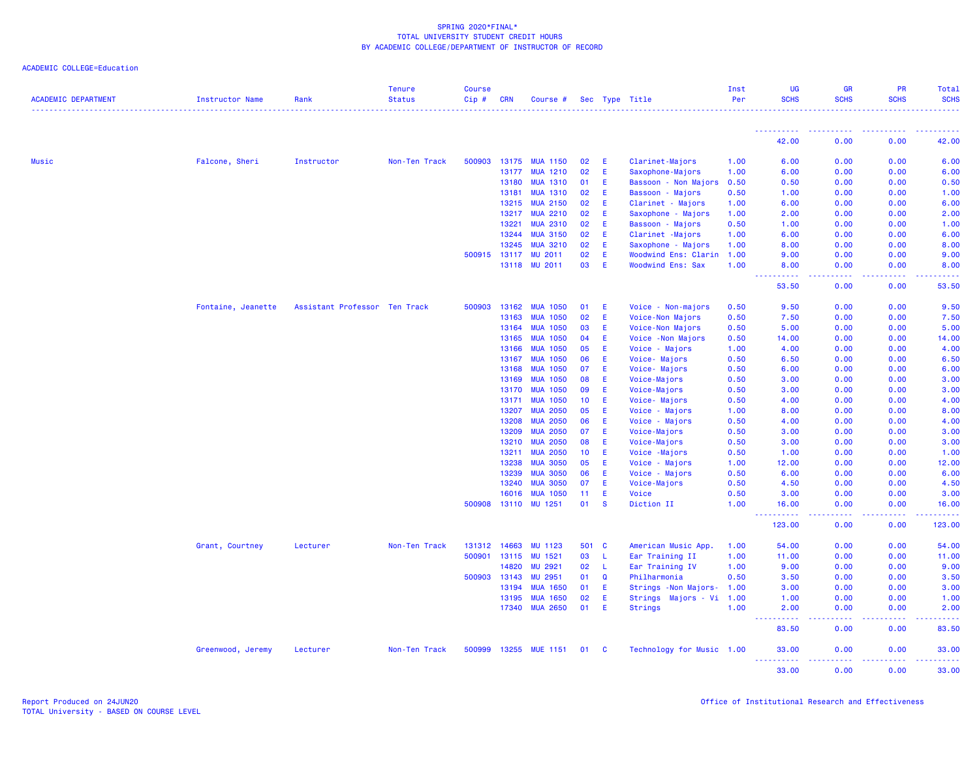|  | ACADEMIC COLLEGE=Education |  |
|--|----------------------------|--|
|--|----------------------------|--|

| <b>ACADEMIC DEPARTMENT</b> | Instructor Name    | Rank                          | <b>Tenure</b><br><b>Status</b> | <b>Course</b><br>Cip# | <b>CRN</b>   | Course #             |                 |             | Sec Type Title            | Inst<br>Per | UG<br><b>SCHS</b>                                                                                                                                             | <b>GR</b><br><b>SCHS</b> | PR<br><b>SCHS</b>                                                                                                                                            | Total<br><b>SCHS</b> |
|----------------------------|--------------------|-------------------------------|--------------------------------|-----------------------|--------------|----------------------|-----------------|-------------|---------------------------|-------------|---------------------------------------------------------------------------------------------------------------------------------------------------------------|--------------------------|--------------------------------------------------------------------------------------------------------------------------------------------------------------|----------------------|
|                            |                    |                               |                                |                       |              |                      |                 |             |                           |             | <b>.</b> .                                                                                                                                                    | <b>.</b> .               | .                                                                                                                                                            |                      |
|                            |                    |                               |                                |                       |              |                      |                 |             |                           |             | 42.00                                                                                                                                                         | 0.00                     | 0.00                                                                                                                                                         | 42.00                |
| <b>Music</b>               | Falcone, Sheri     | Instructor                    | Non-Ten Track                  |                       | 500903 13175 | <b>MUA 1150</b>      | 02              | E.          | Clarinet-Majors           | 1.00        | 6.00                                                                                                                                                          | 0.00                     | 0.00                                                                                                                                                         | 6.00                 |
|                            |                    |                               |                                |                       | 13177        | <b>MUA 1210</b>      | 02              | E           | Saxophone-Majors          | 1.00        | 6.00                                                                                                                                                          | 0.00                     | 0.00                                                                                                                                                         | 6.00                 |
|                            |                    |                               |                                |                       | 13180        | <b>MUA 1310</b>      | 01              | E           | Bassoon - Non Majors      | 0.50        | 0.50                                                                                                                                                          | 0.00                     | 0.00                                                                                                                                                         | 0.50                 |
|                            |                    |                               |                                |                       | 13181        | <b>MUA 1310</b>      | 02              | Æ           | Bassoon - Majors          | 0.50        | 1.00                                                                                                                                                          | 0.00                     | 0.00                                                                                                                                                         | 1.00                 |
|                            |                    |                               |                                |                       | 13215        | <b>MUA 2150</b>      | 02              | E           | Clarinet - Majors         | 1.00        | 6.00                                                                                                                                                          | 0.00                     | 0.00                                                                                                                                                         | 6.00                 |
|                            |                    |                               |                                |                       | 13217        | <b>MUA 2210</b>      | 02              | E           | Saxophone - Majors        | 1.00        | 2.00                                                                                                                                                          | 0.00                     | 0.00                                                                                                                                                         | 2.00                 |
|                            |                    |                               |                                |                       | 13221        | <b>MUA 2310</b>      | 02              | Æ           | Bassoon - Majors          | 0.50        | 1.00                                                                                                                                                          | 0.00                     | 0.00                                                                                                                                                         | 1.00                 |
|                            |                    |                               |                                |                       | 13244        | <b>MUA 3150</b>      | 02              | E           | Clarinet - Majors         | 1.00        | 6.00                                                                                                                                                          | 0.00                     | 0.00                                                                                                                                                         | 6.00                 |
|                            |                    |                               |                                |                       | 13245        | <b>MUA 3210</b>      | 02              | E           | Saxophone - Majors        | 1.00        | 8.00                                                                                                                                                          | 0.00                     | 0.00                                                                                                                                                         | 8.00                 |
|                            |                    |                               |                                |                       | 500915 13117 | <b>MU 2011</b>       | 02              | E           | Woodwind Ens: Clarin      | 1.00        | 9.00                                                                                                                                                          | 0.00                     | 0.00                                                                                                                                                         | 9.00                 |
|                            |                    |                               |                                |                       | 13118        | <b>MU 2011</b>       | 03              | E           | <b>Woodwind Ens: Sax</b>  | 1.00        | 8.00<br>$\sim$ $\sim$ $\sim$<br>$\sim$ $\sim$ $\sim$ $\sim$                                                                                                   | 0.00<br>د د د د          | 0.00<br>.                                                                                                                                                    | 8.00                 |
|                            |                    |                               |                                |                       |              |                      |                 |             |                           |             | 53.50                                                                                                                                                         | 0.00                     | 0.00                                                                                                                                                         | 53.50                |
|                            | Fontaine, Jeanette | Assistant Professor Ten Track |                                | 500903                | 13162        | <b>MUA 1050</b>      | 01              | E           | Voice - Non-majors        | 0.50        | 9.50                                                                                                                                                          | 0.00                     | 0.00                                                                                                                                                         | 9.50                 |
|                            |                    |                               |                                |                       | 13163        | <b>MUA 1050</b>      | 02              | E           | Voice-Non Majors          | 0.50        | 7.50                                                                                                                                                          | 0.00                     | 0.00                                                                                                                                                         | 7.50                 |
|                            |                    |                               |                                |                       | 13164        | <b>MUA 1050</b>      | 03              | Æ           | Voice-Non Majors          | 0.50        | 5.00                                                                                                                                                          | 0.00                     | 0.00                                                                                                                                                         | 5.00                 |
|                            |                    |                               |                                |                       | 13165        | <b>MUA 1050</b>      | 04              | E           | Voice - Non Majors        | 0.50        | 14.00                                                                                                                                                         | 0.00                     | 0.00                                                                                                                                                         | 14.00                |
|                            |                    |                               |                                |                       | 13166        | <b>MUA 1050</b>      | 05              | E           | Voice - Majors            | 1.00        | 4.00                                                                                                                                                          | 0.00                     | 0.00                                                                                                                                                         | 4.00                 |
|                            |                    |                               |                                |                       | 13167        | <b>MUA 1050</b>      | 06              | Æ           | Voice-Majors              | 0.50        | 6.50                                                                                                                                                          | 0.00                     | 0.00                                                                                                                                                         | 6.50                 |
|                            |                    |                               |                                |                       | 13168        | <b>MUA 1050</b>      | 07              | Æ           | Voice-Majors              | 0.50        | 6.00                                                                                                                                                          | 0.00                     | 0.00                                                                                                                                                         | 6.00                 |
|                            |                    |                               |                                |                       | 13169        | <b>MUA 1050</b>      | 08              | E           | Voice-Majors              | 0.50        | 3.00                                                                                                                                                          | 0.00                     | 0.00                                                                                                                                                         | 3.00                 |
|                            |                    |                               |                                |                       | 13170        | <b>MUA 1050</b>      | 09              | E           | Voice-Majors              | 0.50        | 3.00                                                                                                                                                          | 0.00                     | 0.00                                                                                                                                                         | 3.00                 |
|                            |                    |                               |                                |                       | 13171        | <b>MUA 1050</b>      | 10 <sub>1</sub> | E           | Voice-Majors              | 0.50        | 4.00                                                                                                                                                          | 0.00                     | 0.00                                                                                                                                                         | 4.00                 |
|                            |                    |                               |                                |                       | 13207        | <b>MUA 2050</b>      | 05              | Æ           | Voice - Majors            | 1.00        | 8.00                                                                                                                                                          | 0.00                     | 0.00                                                                                                                                                         | 8.00                 |
|                            |                    |                               |                                |                       | 13208        | <b>MUA 2050</b>      | 06              | E           | Voice - Majors            | 0.50        | 4.00                                                                                                                                                          | 0.00                     | 0.00                                                                                                                                                         | 4.00                 |
|                            |                    |                               |                                |                       | 13209        | <b>MUA 2050</b>      | 07              | E           | Voice-Majors              | 0.50        | 3.00                                                                                                                                                          | 0.00                     | 0.00                                                                                                                                                         | 3.00                 |
|                            |                    |                               |                                |                       | 13210        | <b>MUA 2050</b>      | 08              | E           | Voice-Majors              | 0.50        | 3.00                                                                                                                                                          | 0.00                     | 0.00                                                                                                                                                         | 3.00                 |
|                            |                    |                               |                                |                       | 13211        | <b>MUA 2050</b>      | 10 <sub>1</sub> | E.          | Voice - Majors            | 0.50        | 1.00                                                                                                                                                          | 0.00                     | 0.00                                                                                                                                                         | 1.00                 |
|                            |                    |                               |                                |                       | 13238        | <b>MUA 3050</b>      | 05              | Æ           | Voice - Majors            | 1.00        | 12.00                                                                                                                                                         | 0.00                     | 0.00                                                                                                                                                         | 12.00                |
|                            |                    |                               |                                |                       | 13239        | <b>MUA 3050</b>      | 06              | E.          | Voice - Majors            | 0.50        | 6.00                                                                                                                                                          | 0.00                     | 0.00                                                                                                                                                         | 6.00                 |
|                            |                    |                               |                                |                       | 13240        | <b>MUA 3050</b>      | 07              | E           | Voice-Majors              | 0.50        | 4.50                                                                                                                                                          | 0.00                     | 0.00                                                                                                                                                         | 4.50                 |
|                            |                    |                               |                                |                       | 16016        | <b>MUA 1050</b>      | 11              | E           | Voice                     | 0.50        | 3.00                                                                                                                                                          | 0.00                     | 0.00                                                                                                                                                         | 3.00                 |
|                            |                    |                               |                                |                       |              | 500908 13110 MU 1251 | 01              | <b>S</b>    | Diction II                | 1.00        | 16.00<br>$\frac{1}{2} \left( \frac{1}{2} \right) \left( \frac{1}{2} \right) \left( \frac{1}{2} \right) \left( \frac{1}{2} \right) \left( \frac{1}{2} \right)$ | 0.00<br>.                | 0.00<br>-----                                                                                                                                                | 16.00                |
|                            |                    |                               |                                |                       |              |                      |                 |             |                           |             | 123.00                                                                                                                                                        | 0.00                     | 0.00                                                                                                                                                         | 123.00               |
|                            | Grant, Courtney    | Lecturer                      | Non-Ten Track                  | 131312                | 14663        | <b>MU 1123</b>       | 501 C           |             | American Music App.       | 1.00        | 54.00                                                                                                                                                         | 0.00                     | 0.00                                                                                                                                                         | 54.00                |
|                            |                    |                               |                                | 500901                | 13115        | MU 1521              | 03              | -L          | Ear Training II           | 1.00        | 11.00                                                                                                                                                         | 0.00                     | 0.00                                                                                                                                                         | 11.00                |
|                            |                    |                               |                                |                       | 14820        | <b>MU 2921</b>       | 02              | -L          | Ear Training IV           | 1.00        | 9.00                                                                                                                                                          | 0.00                     | 0.00                                                                                                                                                         | 9.00                 |
|                            |                    |                               |                                |                       | 500903 13143 | MU 2951              | 01              | $\mathbf Q$ | Philharmonia              | 0.50        | 3.50                                                                                                                                                          | 0.00                     | 0.00                                                                                                                                                         | 3.50                 |
|                            |                    |                               |                                |                       | 13194        | <b>MUA 1650</b>      | 01              | E           | Strings - Non Majors-     | 1.00        | 3.00                                                                                                                                                          | 0.00                     | 0.00                                                                                                                                                         | 3.00                 |
|                            |                    |                               |                                |                       | 13195        | <b>MUA 1650</b>      | 02              | Æ           | Strings Majors - Vi       | 1.00        | 1.00                                                                                                                                                          | 0.00                     | 0.00                                                                                                                                                         | 1.00                 |
|                            |                    |                               |                                |                       |              | 17340 MUA 2650       | 01              | E.          | Strings                   | 1.00        | 2.00<br><b>.</b>                                                                                                                                              | 0.00<br>.                | 0.00<br>$\frac{1}{2} \left( \frac{1}{2} \right) \left( \frac{1}{2} \right) \left( \frac{1}{2} \right) \left( \frac{1}{2} \right) \left( \frac{1}{2} \right)$ | 2.00<br>.            |
|                            |                    |                               |                                |                       |              |                      |                 |             |                           |             | 83.50                                                                                                                                                         | 0.00                     | 0.00                                                                                                                                                         | 83.50                |
|                            | Greenwood, Jeremy  | Lecturer                      | Non-Ten Track                  | 500999                |              | 13255 MUE 1151       | 01              | - C         | Technology for Music 1.00 |             | 33.00<br><b><i><u><u> - - - - - - - - - -</u></u></i></b>                                                                                                     | 0.00<br>.                | 0.00<br>$\frac{1}{2} \left( \frac{1}{2} \right) \left( \frac{1}{2} \right) \left( \frac{1}{2} \right) \left( \frac{1}{2} \right) \left( \frac{1}{2} \right)$ | 33.00<br>.           |
|                            |                    |                               |                                |                       |              |                      |                 |             |                           |             | 33.00                                                                                                                                                         | 0.00                     | 0.00                                                                                                                                                         | 33.00                |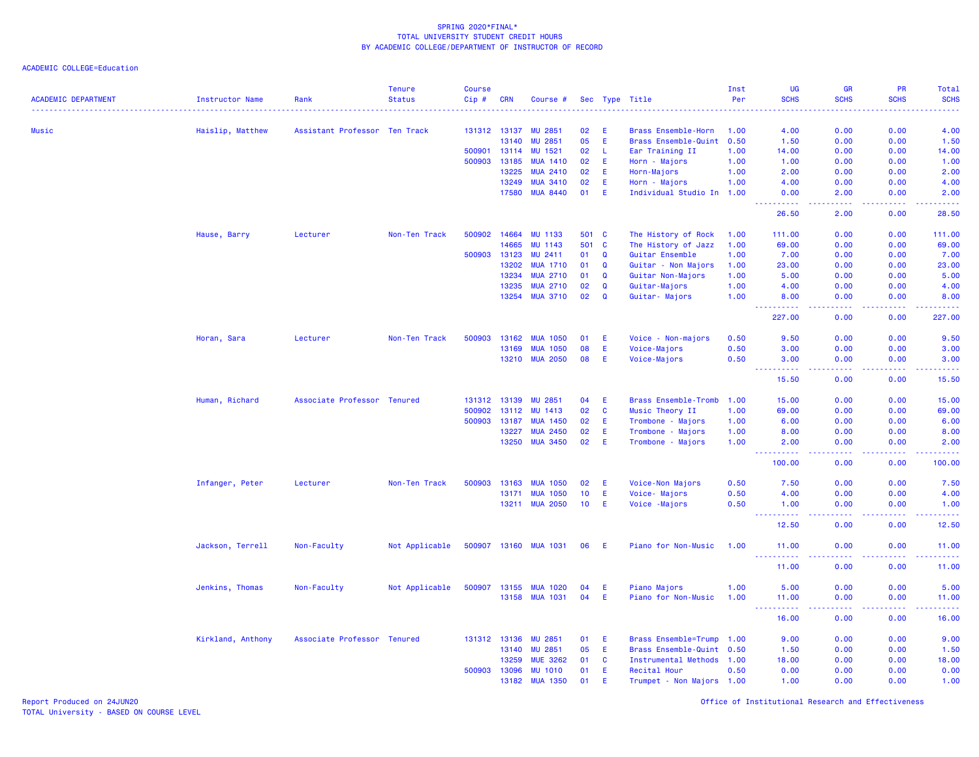ACADEMIC COLLEGE=Education

|                            |                        |                               | <b>Tenure</b>  | <b>Course</b> |              |                       |                 |              |                             | Inst | UG                                 | GR                             | PR                 | Total                                                                                                                                                          |
|----------------------------|------------------------|-------------------------------|----------------|---------------|--------------|-----------------------|-----------------|--------------|-----------------------------|------|------------------------------------|--------------------------------|--------------------|----------------------------------------------------------------------------------------------------------------------------------------------------------------|
| <b>ACADEMIC DEPARTMENT</b> | <b>Instructor Name</b> | Rank                          | <b>Status</b>  | Cip#          | <b>CRN</b>   | Course #              |                 |              | Sec Type Title              | Per  | <b>SCHS</b>                        | <b>SCHS</b>                    | <b>SCHS</b>        | <b>SCHS</b>                                                                                                                                                    |
| Music                      |                        | Assistant Professor Ten Track |                |               | 131312 13137 | <b>MU 2851</b>        | 02              | E            | Brass Ensemble-Horn         | 1.00 | 4.00                               | 0.00                           | 0.00               | 4.00                                                                                                                                                           |
|                            | Haislip, Matthew       |                               |                |               | 13140        | <b>MU 2851</b>        | 05              | E.           | Brass Ensemble-Quint        | 0.50 | 1.50                               | 0.00                           | 0.00               | 1.50                                                                                                                                                           |
|                            |                        |                               |                | 500901        | 13114        | MU 1521               | 02              | L.           | Ear Training II             | 1.00 | 14.00                              | 0.00                           | 0.00               | 14.00                                                                                                                                                          |
|                            |                        |                               |                | 500903        | 13185        | <b>MUA 1410</b>       | 02              | E            | Horn - Majors               | 1.00 | 1.00                               | 0.00                           | 0.00               | 1.00                                                                                                                                                           |
|                            |                        |                               |                |               | 13225        | <b>MUA 2410</b>       | 02              | E            | Horn-Majors                 | 1.00 | 2.00                               | 0.00                           | 0.00               | 2.00                                                                                                                                                           |
|                            |                        |                               |                |               | 13249        | <b>MUA 3410</b>       | 02              | E.           | Horn - Majors               | 1.00 | 4.00                               | 0.00                           | 0.00               | 4.00                                                                                                                                                           |
|                            |                        |                               |                |               | 17580        | <b>MUA 8440</b>       | 01              | E            | Individual Studio In 1.00   |      | 0.00                               | 2.00                           | 0.00               | 2.00                                                                                                                                                           |
|                            |                        |                               |                |               |              |                       |                 |              |                             |      | 26.50                              | 2.00                           | 0.00               | 28.50                                                                                                                                                          |
|                            | Hause, Barry           | Lecturer                      | Non-Ten Track  | 500902        | 14664        | MU 1133               |                 | 501 C        | The History of Rock         | 1.00 | 111.00                             | 0.00                           | 0.00               | 111.00                                                                                                                                                         |
|                            |                        |                               |                |               | 14665        | MU 1143               | 501             | $\mathbf{C}$ | The History of Jazz         | 1.00 | 69.00                              | 0.00                           | 0.00               | 69.00                                                                                                                                                          |
|                            |                        |                               |                | 500903        | 13123        | MU 2411               | 01              | $\mathbf Q$  | Guitar Ensemble             | 1.00 | 7.00                               | 0.00                           | 0.00               | 7.00                                                                                                                                                           |
|                            |                        |                               |                |               | 13202        | <b>MUA 1710</b>       | 01              | Q            | Guitar - Non Majors         | 1.00 | 23.00                              | 0.00                           | 0.00               | 23.00                                                                                                                                                          |
|                            |                        |                               |                |               | 13234        | <b>MUA 2710</b>       | 01              | Q            | Guitar Non-Majors           | 1.00 | 5.00                               | 0.00                           | 0.00               | 5.00                                                                                                                                                           |
|                            |                        |                               |                |               | 13235        | <b>MUA 2710</b>       | 02              | Q            | Guitar-Majors               | 1.00 | 4.00                               | 0.00                           | 0.00               | 4.00                                                                                                                                                           |
|                            |                        |                               |                |               | 13254        | <b>MUA 3710</b>       | 02              | Q            | Guitar- Majors              | 1.00 | 8.00                               | 0.00                           | 0.00               | 8.00                                                                                                                                                           |
|                            |                        |                               |                |               |              |                       |                 |              |                             |      | ----------<br>227.00               | د د د د<br>0.00                | 22222<br>0.00      | $\frac{1}{2} \left( \frac{1}{2} \right) \left( \frac{1}{2} \right) \left( \frac{1}{2} \right) \left( \frac{1}{2} \right) \left( \frac{1}{2} \right)$<br>227.00 |
|                            | Horan, Sara            | Lecturer                      | Non-Ten Track  | 500903        | 13162        | <b>MUA 1050</b>       | 01              | E.           | Voice - Non-majors          | 0.50 | 9.50                               | 0.00                           | 0.00               | 9.50                                                                                                                                                           |
|                            |                        |                               |                |               | 13169        | <b>MUA 1050</b>       | 08              | E            | Voice-Majors                | 0.50 | 3.00                               | 0.00                           | 0.00               | 3.00                                                                                                                                                           |
|                            |                        |                               |                |               |              | 13210 MUA 2050        | 08              | E            | Voice-Majors                | 0.50 | 3.00                               | 0.00                           | 0.00               | 3.00                                                                                                                                                           |
|                            |                        |                               |                |               |              |                       |                 |              |                             |      | $\sim$ $\sim$ $\sim$<br>.<br>15.50 | .<br>0.00                      | .<br>0.00          | .<br>15.50                                                                                                                                                     |
|                            | Human, Richard         | Associate Professor Tenured   |                |               | 131312 13139 | <b>MU 2851</b>        | 04              | E.           | <b>Brass Ensemble-Tromb</b> | 1.00 | 15.00                              | 0.00                           | 0.00               | 15.00                                                                                                                                                          |
|                            |                        |                               |                | 500902        | 13112        | MU 1413               | 02              | $\mathbf{C}$ | Music Theory II             | 1.00 | 69.00                              | 0.00                           | 0.00               | 69.00                                                                                                                                                          |
|                            |                        |                               |                | 500903        | 13187        | <b>MUA 1450</b>       | 02              | E            | Trombone - Majors           | 1.00 | 6.00                               | 0.00                           | 0.00               | 6.00                                                                                                                                                           |
|                            |                        |                               |                |               | 13227        | <b>MUA 2450</b>       | 02              | E.           | Trombone - Majors           | 1.00 | 8.00                               | 0.00                           | 0.00               | 8.00                                                                                                                                                           |
|                            |                        |                               |                |               | 13250        | <b>MUA 3450</b>       | 02              | E.           | Trombone - Majors           | 1.00 | 2.00                               | 0.00                           | 0.00               | 2.00                                                                                                                                                           |
|                            |                        |                               |                |               |              |                       |                 |              |                             |      | 222222<br>100.00                   | المتمالين<br>0.00              | . <b>.</b><br>0.00 | .<br>100.00                                                                                                                                                    |
|                            | Infanger, Peter        | Lecturer                      | Non-Ten Track  | 500903        | 13163        | <b>MUA 1050</b>       | 02              | E            | Voice-Non Majors            | 0.50 | 7.50                               | 0.00                           | 0.00               | 7.50                                                                                                                                                           |
|                            |                        |                               |                |               | 13171        | <b>MUA 1050</b>       | 10              | E            | Voice- Majors               | 0.50 | 4.00                               | 0.00                           | 0.00               | 4.00                                                                                                                                                           |
|                            |                        |                               |                |               |              | 13211 MUA 2050        | 10 <sub>1</sub> | -E           | Voice - Majors              | 0.50 | 1.00                               | 0.00                           | 0.00               | 1.00                                                                                                                                                           |
|                            |                        |                               |                |               |              |                       |                 |              |                             |      | .<br>12.50                         | $\omega$ is $\omega$ .<br>0.00 | 0.00               | $\frac{1}{2} \left( \frac{1}{2} \right) \left( \frac{1}{2} \right) \left( \frac{1}{2} \right) \left( \frac{1}{2} \right)$<br>12.50                             |
|                            | Jackson, Terrell       | Non-Faculty                   | Not Applicable |               |              | 500907 13160 MUA 1031 | 06              | -E           | Piano for Non-Music         | 1.00 | 11.00<br><u>.</u>                  | 0.00<br>ولايات                 | 0.00<br>.          | 11.00<br>.                                                                                                                                                     |
|                            |                        |                               |                |               |              |                       |                 |              |                             |      | 11.00                              | 0.00                           | 0.00               | 11.00                                                                                                                                                          |
|                            | Jenkins, Thomas        | Non-Faculty                   | Not Applicable | 500907        | 13155        | <b>MUA 1020</b>       | 04              | E            | Piano Majors                | 1.00 | 5.00                               | 0.00                           | 0.00               | 5.00                                                                                                                                                           |
|                            |                        |                               |                |               | 13158        | <b>MUA 1031</b>       | 04              | E            | Piano for Non-Music         | 1.00 | 11.00                              | 0.00                           | 0.00               | 11.00                                                                                                                                                          |
|                            |                        |                               |                |               |              |                       |                 |              |                             |      | <u>.</u><br>16.00                  | بالأباد<br>0.00                | -----<br>0.00      | .<br>16.00                                                                                                                                                     |
|                            | Kirkland, Anthony      | Associate Professor Tenured   |                |               | 131312 13136 | <b>MU 2851</b>        | 01              | E            | Brass Ensemble=Trump        | 1.00 | 9.00                               | 0.00                           | 0.00               | 9.00                                                                                                                                                           |
|                            |                        |                               |                |               | 13140        | <b>MU 2851</b>        | 05              | E            | Brass Ensemble-Quint 0.50   |      | 1.50                               | 0.00                           | 0.00               | 1.50                                                                                                                                                           |
|                            |                        |                               |                |               | 13259        | <b>MUE 3262</b>       | 01              | <b>C</b>     | Instrumental Methods 1.00   |      | 18.00                              | 0.00                           | 0.00               | 18.00                                                                                                                                                          |
|                            |                        |                               |                | 500903        | 13096        | <b>MU 1010</b>        | 01              | E            | Recital Hour                | 0.50 | 0.00                               | 0.00                           | 0.00               | 0.00                                                                                                                                                           |
|                            |                        |                               |                |               | 13182        | <b>MUA 1350</b>       | 01              | Ε            | Trumpet - Non Majors 1.00   |      | 1.00                               | 0.00                           | 0.00               | 1.00                                                                                                                                                           |

Report Produced on 24JUN20 Office of Institutional Research and Effectiveness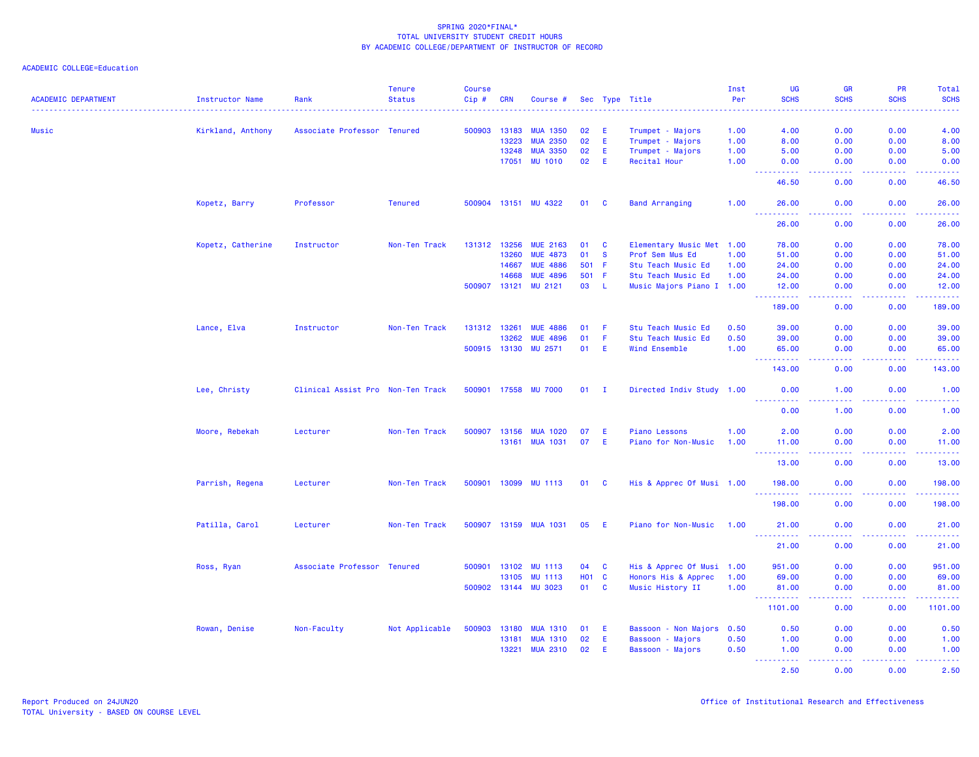|                            |                        |                                   | <b>Tenure</b>  | <b>Course</b>                       |              |                      |        |              |                           | Inst            | UG                                   | <b>GR</b>                           | <b>PR</b>     | Total                                                                                                                             |
|----------------------------|------------------------|-----------------------------------|----------------|-------------------------------------|--------------|----------------------|--------|--------------|---------------------------|-----------------|--------------------------------------|-------------------------------------|---------------|-----------------------------------------------------------------------------------------------------------------------------------|
| <b>ACADEMIC DEPARTMENT</b> | <b>Instructor Name</b> | Rank                              | <b>Status</b>  | Cip#<br><b><i><u>ALLASS</u></i></b> | <b>CRN</b>   | Course #             |        |              | Sec Type Title            | Per<br><u>.</u> | <b>SCHS</b>                          | <b>SCHS</b><br>$- - - - -$          | <b>SCHS</b>   | <b>SCHS</b><br>$- - - - -$                                                                                                        |
| Music                      | Kirkland, Anthony      | Associate Professor Tenured       |                | 500903                              | 13183        | <b>MUA 1350</b>      | 02     | E.           | Trumpet - Majors          | 1.00            | 4.00                                 | 0.00                                | 0.00          | 4.00                                                                                                                              |
|                            |                        |                                   |                |                                     | 13223        | <b>MUA 2350</b>      | 02     | E.           | Trumpet - Majors          | 1.00            | 8.00                                 | 0.00                                | 0.00          | 8.00                                                                                                                              |
|                            |                        |                                   |                |                                     | 13248        | <b>MUA 3350</b>      | 02     | E.           | Trumpet - Majors          | 1.00            | 5.00                                 | 0.00                                | 0.00          | 5.00                                                                                                                              |
|                            |                        |                                   |                |                                     | 17051        | <b>MU 1010</b>       | 02     | E.           | Recital Hour              | 1.00            | 0.00<br>.                            | 0.00<br>$\sim$ $\sim$ $\sim$ $\sim$ | 0.00<br>.     | 0.00<br>وساعاتها                                                                                                                  |
|                            |                        |                                   |                |                                     |              |                      |        |              |                           |                 | 46.50                                | 0.00                                | 0.00          | 46.50                                                                                                                             |
|                            | Kopetz, Barry          | Professor                         | <b>Tenured</b> |                                     |              | 500904 13151 MU 4322 | 01     | $\mathbf{C}$ | <b>Band Arranging</b>     | 1.00            | 26.00                                | 0.00                                | 0.00          | 26.00                                                                                                                             |
|                            |                        |                                   |                |                                     |              |                      |        |              |                           |                 | 26.00                                | 0.00                                | 0.00          | 26.00                                                                                                                             |
|                            | Kopetz, Catherine      | Instructor                        | Non-Ten Track  | 131312 13256                        |              | <b>MUE 2163</b>      | 01     | <b>C</b>     | Elementary Music Met 1.00 |                 | 78.00                                | 0.00                                | 0.00          | 78.00                                                                                                                             |
|                            |                        |                                   |                |                                     | 13260        | <b>MUE 4873</b>      | 01     | - S          | Prof Sem Mus Ed           | 1.00            | 51.00                                | 0.00                                | 0.00          | 51.00                                                                                                                             |
|                            |                        |                                   |                |                                     | 14667        | <b>MUE 4886</b>      | 501 F  |              | Stu Teach Music Ed        | 1.00            | 24,00                                | 0.00                                | 0.00          | 24.00                                                                                                                             |
|                            |                        |                                   |                |                                     | 14668        | <b>MUE 4896</b>      | 501 F  |              | Stu Teach Music Ed        | 1.00            | 24.00                                | 0.00                                | 0.00          | 24.00                                                                                                                             |
|                            |                        |                                   |                | 500907                              | 13121        | MU 2121              | 03     | -L           | Music Majors Piano I 1.00 |                 | 12.00                                | 0.00                                | 0.00<br>.     | 12.00<br>.                                                                                                                        |
|                            |                        |                                   |                |                                     |              |                      |        |              |                           |                 | 189.00                               | 0.00                                | 0.00          | 189.00                                                                                                                            |
|                            | Lance, Elva            | Instructor                        | Non-Ten Track  | 131312 13261                        |              | <b>MUE 4886</b>      | 01     | -F           | Stu Teach Music Ed        | 0.50            | 39.00                                | 0.00                                | 0.00          | 39.00                                                                                                                             |
|                            |                        |                                   |                |                                     | 13262        | <b>MUE 4896</b>      | 01     | -F.          | Stu Teach Music Ed        | 0.50            | 39.00                                | 0.00                                | 0.00          | 39.00                                                                                                                             |
|                            |                        |                                   |                |                                     | 500915 13130 | <b>MU 2571</b>       | 01     | E.           | Wind Ensemble             | 1.00            | 65.00                                | 0.00                                | 0.00          | 65.00                                                                                                                             |
|                            |                        |                                   |                |                                     |              |                      |        |              |                           |                 | ----------<br>143.00                 | .<br>0.00                           | 22222<br>0.00 | .<br>143.00                                                                                                                       |
|                            | Lee, Christy           | Clinical Assist Pro Non-Ten Track |                |                                     |              | 500901 17558 MU 7000 | $01$ I |              | Directed Indiv Study 1.00 |                 | 0.00                                 | 1.00                                | 0.00          | 1.00                                                                                                                              |
|                            |                        |                                   |                |                                     |              |                      |        |              |                           |                 | <u>.</u><br>0.00                     | 1.00                                | 0.00          | .<br>1.00                                                                                                                         |
|                            | Moore, Rebekah         | Lecturer                          | Non-Ten Track  | 500907                              | 13156        | <b>MUA 1020</b>      | 07     | E            | <b>Piano Lessons</b>      | 1.00            | 2.00                                 | 0.00                                | 0.00          | 2.00                                                                                                                              |
|                            |                        |                                   |                |                                     |              | 13161 MUA 1031       | 07     | E.           | Piano for Non-Music       | 1.00            | 11.00                                | 0.00                                | 0.00          | 11.00                                                                                                                             |
|                            |                        |                                   |                |                                     |              |                      |        |              |                           |                 | <u> - - - - - - - - - -</u><br>13.00 | وبالاناد<br>0.00                    | -----<br>0.00 | ------<br>13.00                                                                                                                   |
|                            | Parrish, Regena        | Lecturer                          | Non-Ten Track  |                                     |              | 500901 13099 MU 1113 | 01 C   |              | His & Apprec Of Musi 1.00 |                 | 198.00                               | 0.00                                | 0.00          | 198.00                                                                                                                            |
|                            |                        |                                   |                |                                     |              |                      |        |              |                           |                 | 2.2.2.2.2.2<br>198.00                | $   -$<br>0.00                      | .<br>0.00     | .<br>198.00                                                                                                                       |
|                            | Patilla, Carol         | Lecturer                          | Non-Ten Track  |                                     | 500907 13159 | <b>MUA 1031</b>      | 05     | -E           | Piano for Non-Music       | 1.00            | 21.00                                | 0.00                                | 0.00          | 21.00                                                                                                                             |
|                            |                        |                                   |                |                                     |              |                      |        |              |                           |                 | <u>.</u><br>21.00                    | 0.00                                | 0.00          | 21.00                                                                                                                             |
|                            |                        | Associate Professor Tenured       |                |                                     | 500901 13102 | <b>MU 1113</b>       | 04     | $\mathbf{C}$ | His & Apprec Of Musi 1.00 |                 | 951.00                               | 0.00                                | 0.00          | 951.00                                                                                                                            |
|                            | Ross, Ryan             |                                   |                |                                     | 13105        | <b>MU 1113</b>       | H01 C  |              | Honors His & Apprec       | 1.00            | 69.00                                | 0.00                                | 0.00          | 69.00                                                                                                                             |
|                            |                        |                                   |                |                                     | 500902 13144 | <b>MU 3023</b>       | 01     | <b>C</b>     | Music History II          | 1.00            | 81.00                                | 0.00                                | 0.00          | 81.00                                                                                                                             |
|                            |                        |                                   |                |                                     |              |                      |        |              |                           |                 | <b></b>                              | .                                   | <u>.</u>      | 2.22222                                                                                                                           |
|                            |                        |                                   |                |                                     |              |                      |        |              |                           |                 | 1101.00                              | 0.00                                | 0.00          | 1101.00                                                                                                                           |
|                            | Rowan, Denise          | Non-Faculty                       | Not Applicable | 500903                              | 13180        | <b>MUA 1310</b>      | 01     | E.           | Bassoon - Non Majors 0.50 |                 | 0.50                                 | 0.00                                | 0.00          | 0.50                                                                                                                              |
|                            |                        |                                   |                |                                     | 13181        | <b>MUA 1310</b>      | 02     | E.           | Bassoon - Majors          | 0.50            | 1.00                                 | 0.00                                | 0.00          | 1.00                                                                                                                              |
|                            |                        |                                   |                |                                     | 13221        | <b>MUA 2310</b>      | 02     | E.           | Bassoon - Majors          | 0.50            | 1.00<br><u> - - - - - - - - - -</u>  | 0.00<br>د د د د                     | 0.00<br>.     | 1.00<br>$\frac{1}{2} \left( \frac{1}{2} \right) \left( \frac{1}{2} \right) \left( \frac{1}{2} \right) \left( \frac{1}{2} \right)$ |
|                            |                        |                                   |                |                                     |              |                      |        |              |                           |                 | 2.50                                 | 0.00                                | 0.00          | 2.50                                                                                                                              |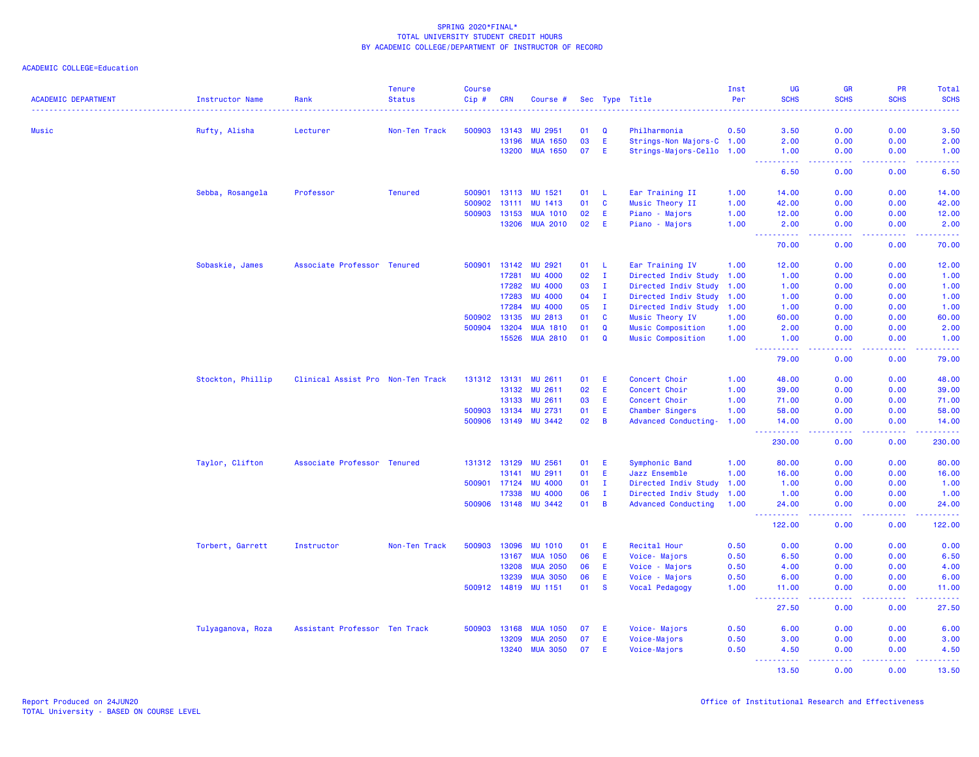| <b>ACADEMIC DEPARTMENT</b> | <b>Instructor Name</b> | Rank                              | <b>Tenure</b><br><b>Status</b> | <b>Course</b><br>Cip# | <b>CRN</b>   | Course #        |    |                | Sec Type Title             | Inst<br>Per | UG<br><b>SCHS</b>         | <b>GR</b><br><b>SCHS</b>                                                                                                          | <b>PR</b><br><b>SCHS</b> | Total<br><b>SCHS</b>    |
|----------------------------|------------------------|-----------------------------------|--------------------------------|-----------------------|--------------|-----------------|----|----------------|----------------------------|-------------|---------------------------|-----------------------------------------------------------------------------------------------------------------------------------|--------------------------|-------------------------|
|                            |                        |                                   |                                |                       |              |                 |    |                |                            |             |                           |                                                                                                                                   |                          |                         |
| Music                      | Rufty, Alisha          | Lecturer                          | Non-Ten Track                  | 500903                | 13143        | <b>MU 2951</b>  | 01 | Q              | Philharmonia               | 0.50        | 3.50                      | 0.00                                                                                                                              | 0.00                     | 3.50                    |
|                            |                        |                                   |                                |                       | 13196        | <b>MUA 1650</b> | 03 | E.             | Strings-Non Majors-C 1.00  |             | 2.00                      | 0.00                                                                                                                              | 0.00                     | 2.00                    |
|                            |                        |                                   |                                |                       | 13200        | <b>MUA 1650</b> | 07 | E.             | Strings-Majors-Cello 1.00  |             | 1.00<br>المستمات          | 0.00<br>$\sim$ $\sim$ $\sim$ $\sim$                                                                                               | 0.00<br>د د د د          | 1.00<br>والمرامين مرابط |
|                            |                        |                                   |                                |                       |              |                 |    |                |                            |             | 6.50                      | 0.00                                                                                                                              | 0.00                     | 6.50                    |
|                            | Sebba, Rosangela       | Professor                         | <b>Tenured</b>                 | 500901                | 13113        | MU 1521         | 01 | - L            | Ear Training II            | 1.00        | 14.00                     | 0.00                                                                                                                              | 0.00                     | 14.00                   |
|                            |                        |                                   |                                | 500902                | 13111        | <b>MU 1413</b>  | 01 | $\mathbf{C}$   | Music Theory II            | 1.00        | 42.00                     | 0.00                                                                                                                              | 0.00                     | 42.00                   |
|                            |                        |                                   |                                | 500903                | 13153        | <b>MUA 1010</b> | 02 | E              | Piano - Majors             | 1.00        | 12.00                     | 0.00                                                                                                                              | 0.00                     | 12.00                   |
|                            |                        |                                   |                                |                       | 13206        | <b>MUA 2010</b> | 02 | E.             | Piano - Majors             | 1.00        | 2.00<br>.                 | 0.00<br>.                                                                                                                         | 0.00<br>-----            | 2.00<br>.               |
|                            |                        |                                   |                                |                       |              |                 |    |                |                            |             | 70.00                     | 0.00                                                                                                                              | 0.00                     | 70.00                   |
|                            | Sobaskie, James        | Associate Professor Tenured       |                                | 500901                | 13142        | MU 2921         | 01 | - L            | Ear Training IV            | 1.00        | 12.00                     | 0.00                                                                                                                              | 0.00                     | 12.00                   |
|                            |                        |                                   |                                |                       | 17281        | <b>MU 4000</b>  | 02 | $\mathbf{I}$   | Directed Indiv Study 1.00  |             | 1.00                      | 0.00                                                                                                                              | 0.00                     | 1.00                    |
|                            |                        |                                   |                                |                       | 17282        | <b>MU 4000</b>  | 03 | Ι.             | Directed Indiv Study       | 1.00        | 1.00                      | 0.00                                                                                                                              | 0.00                     | 1.00                    |
|                            |                        |                                   |                                |                       | 17283        | <b>MU 4000</b>  | 04 | $\mathbf{I}$   | Directed Indiv Study 1.00  |             | 1.00                      | 0.00                                                                                                                              | 0.00                     | 1.00                    |
|                            |                        |                                   |                                |                       | 17284        | <b>MU 4000</b>  | 05 | $\mathbf{I}$   | Directed Indiv Study 1.00  |             | 1.00                      | 0.00                                                                                                                              | 0.00                     | 1.00                    |
|                            |                        |                                   |                                | 500902                | 13135        | <b>MU 2813</b>  | 01 | $\mathbf{C}$   | Music Theory IV            | 1.00        | 60.00                     | 0.00                                                                                                                              | 0.00                     | 60.00                   |
|                            |                        |                                   |                                | 500904                | 13204        | <b>MUA 1810</b> | 01 | Q              | <b>Music Composition</b>   | 1.00        | 2.00                      | 0.00                                                                                                                              | 0.00                     | 2.00                    |
|                            |                        |                                   |                                |                       | 15526        | <b>MUA 2810</b> | 01 | $\mathbf{Q}$   | <b>Music Composition</b>   | 1.00        | 1.00<br>$  -$<br>.        | 0.00<br>.                                                                                                                         | 0.00<br>. <b>.</b>       | 1.00<br>.               |
|                            |                        |                                   |                                |                       |              |                 |    |                |                            |             | 79.00                     | 0.00                                                                                                                              | 0.00                     | 79.00                   |
|                            | Stockton, Phillip      | Clinical Assist Pro Non-Ten Track |                                |                       | 131312 13131 | <b>MU 2611</b>  | 01 | E              | Concert Choir              | 1.00        | 48.00                     | 0.00                                                                                                                              | 0.00                     | 48.00                   |
|                            |                        |                                   |                                |                       | 13132        | <b>MU 2611</b>  | 02 | E.             | Concert Choir              | 1.00        | 39.00                     | 0.00                                                                                                                              | 0.00                     | 39.00                   |
|                            |                        |                                   |                                |                       | 13133        | MU 2611         | 03 | E              | Concert Choir              | 1.00        | 71.00                     | 0.00                                                                                                                              | 0.00                     | 71.00                   |
|                            |                        |                                   |                                | 500903                | 13134        | <b>MU 2731</b>  | 01 | E              | Chamber Singers            | 1.00        | 58.00                     | 0.00                                                                                                                              | 0.00                     | 58.00                   |
|                            |                        |                                   |                                | 500906                | 13149        | <b>MU 3442</b>  | 02 | $\overline{B}$ | Advanced Conducting-       | 1.00        | 14.00                     | 0.00                                                                                                                              | 0.00                     | 14.00                   |
|                            |                        |                                   |                                |                       |              |                 |    |                |                            |             | المتمام المتحدة<br>230.00 | بالأباد<br>0.00                                                                                                                   | .<br>0.00                | .<br>230.00             |
|                            | Taylor, Clifton        | Associate Professor Tenured       |                                |                       | 131312 13129 | <b>MU 2561</b>  | 01 | Ε              | Symphonic Band             | 1.00        | 80.00                     | 0.00                                                                                                                              | 0.00                     | 80.00                   |
|                            |                        |                                   |                                |                       | 13141        | <b>MU 2911</b>  | 01 | E.             | Jazz Ensemble              | 1.00        | 16.00                     | 0.00                                                                                                                              | 0.00                     | 16.00                   |
|                            |                        |                                   |                                | 500901 17124          |              | <b>MU 4000</b>  | 01 | Ι.             | Directed Indiv Study       | 1.00        | 1.00                      | 0.00                                                                                                                              | 0.00                     | 1.00                    |
|                            |                        |                                   |                                |                       | 17338        | <b>MU 4000</b>  | 06 | $\mathbf{I}$   | Directed Indiv Study       | 1.00        | 1.00                      | 0.00                                                                                                                              | 0.00                     | 1.00                    |
|                            |                        |                                   |                                | 500906                | 13148        | <b>MU 3442</b>  | 01 | $\overline{B}$ | <b>Advanced Conducting</b> | 1.00        | 24.00<br>المستمات         | 0.00<br>ولايات                                                                                                                    | 0.00<br>.                | 24.00<br>.              |
|                            |                        |                                   |                                |                       |              |                 |    |                |                            |             | 122.00                    | 0.00                                                                                                                              | 0.00                     | 122.00                  |
|                            | Torbert, Garrett       | Instructor                        | Non-Ten Track                  | 500903                | 13096        | <b>MU 1010</b>  | 01 | E              | Recital Hour               | 0.50        | 0.00                      | 0.00                                                                                                                              | 0.00                     | 0.00                    |
|                            |                        |                                   |                                |                       | 13167        | <b>MUA 1050</b> | 06 | E              | Voice-Majors               | 0.50        | 6.50                      | 0.00                                                                                                                              | 0.00                     | 6.50                    |
|                            |                        |                                   |                                |                       | 13208        | <b>MUA 2050</b> | 06 | E              | Voice - Majors             | 0.50        | 4.00                      | 0.00                                                                                                                              | 0.00                     | 4.00                    |
|                            |                        |                                   |                                |                       | 13239        | <b>MUA 3050</b> | 06 | E              | Voice - Majors             | 0.50        | 6.00                      | 0.00                                                                                                                              | 0.00                     | 6.00                    |
|                            |                        |                                   |                                | 500912                | 14819        | <b>MU 1151</b>  | 01 | <b>S</b>       | Vocal Pedagogy             | 1.00        | 11.00<br>22222            | 0.00                                                                                                                              | 0.00                     | 11.00                   |
|                            |                        |                                   |                                |                       |              |                 |    |                |                            |             | 27.50                     | 0.00                                                                                                                              | 0.00                     | 27.50                   |
|                            | Tulyaganova, Roza      | Assistant Professor Ten Track     |                                | 500903                | 13168        | <b>MUA 1050</b> | 07 | E              | Voice-Majors               | 0.50        | 6.00                      | 0.00                                                                                                                              | 0.00                     | 6.00                    |
|                            |                        |                                   |                                |                       | 13209        | <b>MUA 2050</b> | 07 | E.             | Voice-Majors               | 0.50        | 3.00                      | 0.00                                                                                                                              | 0.00                     | 3.00                    |
|                            |                        |                                   |                                |                       | 13240        | <b>MUA 3050</b> | 07 | E              | Voice-Majors               | 0.50        | 4.50<br><u>.</u>          | 0.00<br>$\frac{1}{2} \left( \frac{1}{2} \right) \left( \frac{1}{2} \right) \left( \frac{1}{2} \right) \left( \frac{1}{2} \right)$ | 0.00<br>2.2.2.2.2        | 4.50<br><u>.</u>        |
|                            |                        |                                   |                                |                       |              |                 |    |                |                            |             | 13.50                     | 0.00                                                                                                                              | 0.00                     | 13.50                   |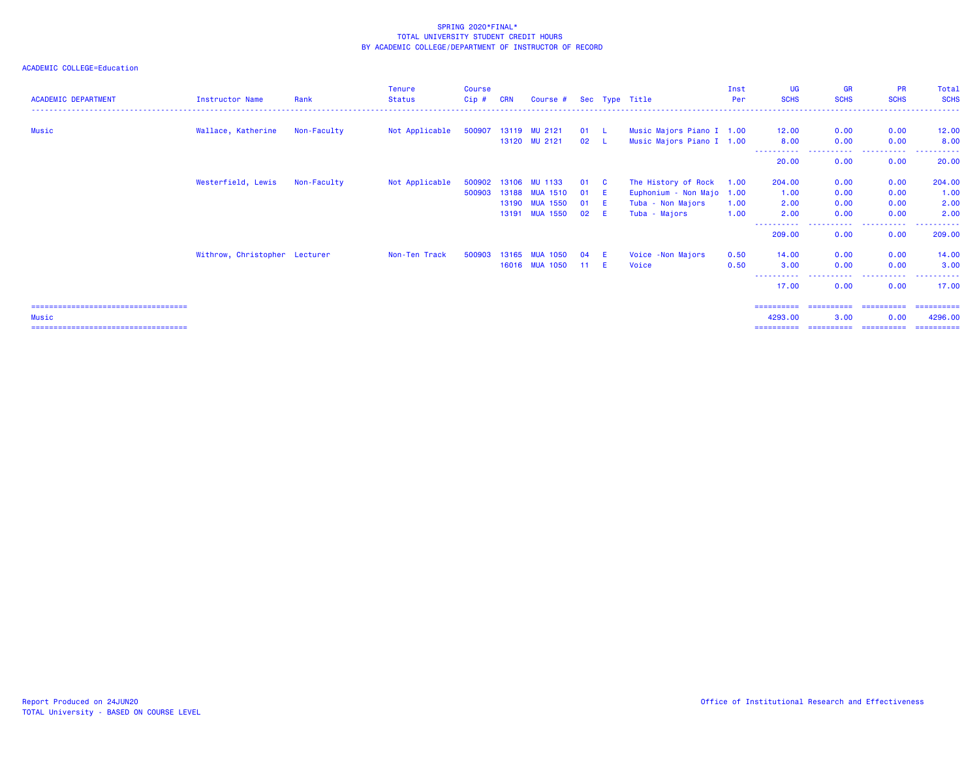| <b>ACADEMIC DEPARTMENT</b>             | Instructor Name               | Rank        | <b>Tenure</b><br><b>Status</b> | <b>Course</b><br>$Cip$ # | <b>CRN</b> | Course #             |      |              | Sec Type Title            | Inst<br>Per | <b>UG</b><br><b>SCHS</b> | <b>GR</b><br><b>SCHS</b> | <b>PR</b><br><b>SCHS</b> | Total<br><b>SCHS</b> |
|----------------------------------------|-------------------------------|-------------|--------------------------------|--------------------------|------------|----------------------|------|--------------|---------------------------|-------------|--------------------------|--------------------------|--------------------------|----------------------|
|                                        |                               |             |                                |                          |            |                      |      |              |                           |             |                          |                          |                          |                      |
| Music                                  | Wallace, Katherine            | Non-Faculty | Not Applicable                 |                          |            | 500907 13119 MU 2121 | 01 L |              | Music Majors Piano I 1.00 |             | 12.00                    | 0.00                     | 0.00                     | 12.00                |
|                                        |                               |             |                                |                          |            | 13120 MU 2121        | 02 L |              | Music Majors Piano I 1.00 |             | 8.00                     | 0.00                     | 0.00                     | 8.00                 |
|                                        |                               |             |                                |                          |            |                      |      |              |                           |             | -----------<br>20.00     | .<br>0.00                | .<br>0.00                | .<br>20.00           |
|                                        | Westerfield, Lewis            | Non-Faculty | Not Applicable                 | 500902 13106             |            | <b>MU 1133</b>       | 01   | $\mathbf{C}$ | The History of Rock 1.00  |             | 204.00                   | 0.00                     | 0.00                     | 204.00               |
|                                        |                               |             |                                | 500903                   | 13188      | <b>MUA 1510</b>      | 01   | -E           | Euphonium - Non Majo 1.00 |             | 1.00                     | 0.00                     | 0.00                     | 1.00                 |
|                                        |                               |             |                                |                          |            | 13190 MUA 1550       | 01   | -E           | Tuba - Non Majors         | 1.00        | 2.00                     | 0.00                     | 0.00                     | 2.00                 |
|                                        |                               |             |                                |                          |            | 13191 MUA 1550       | 02   | -E.          | Tuba - Majors             | 1.00        | 2.00                     | 0.00                     | 0.00                     | 2.00                 |
|                                        |                               |             |                                |                          |            |                      |      |              |                           |             | ----------<br>209.00     | -----<br>0.00            | .<br>0.00                | 209.00               |
|                                        | Withrow, Christopher Lecturer |             | Non-Ten Track                  | 500903                   |            | 13165 MUA 1050       | 04   |              | Voice -Non Majors         | 0.50        | 14.00                    | 0.00                     | 0.00                     | 14.00                |
|                                        |                               |             |                                |                          |            | 16016 MUA 1050       | 11 E |              | Voice                     | 0.50        | 3.00                     | 0.00                     | 0.00                     | 3.00                 |
|                                        |                               |             |                                |                          |            |                      |      |              |                           |             | 17.00                    | 0.00                     | 0.00                     | 17.00                |
| ====================================== |                               |             |                                |                          |            |                      |      |              |                           |             | ==========               | ==========               | ==========               | -----------          |
| Music                                  |                               |             |                                |                          |            |                      |      |              |                           |             | 4293.00                  | 3.00                     | 0.00                     | 4296.00              |
|                                        |                               |             |                                |                          |            |                      |      |              |                           |             | ==========               |                          | ======================== | -----------          |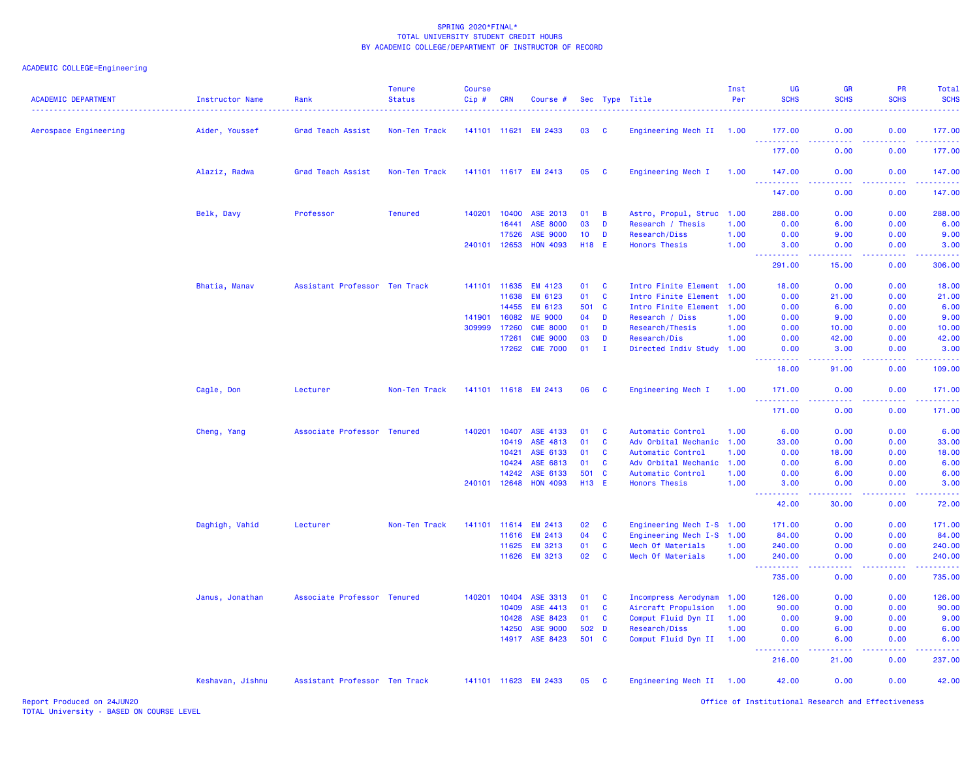| <b>ACADEMIC DEPARTMENT</b> | <b>Instructor Name</b> | Rank                          | <b>Tenure</b><br><b>Status</b> | <b>Course</b><br>Cip# | <b>CRN</b> | Course #             |            |              | Sec Type Title            | Inst<br>Per | <b>UG</b><br><b>SCHS</b>            | <b>GR</b><br><b>SCHS</b> | PR<br><b>SCHS</b>                     | Total<br><b>SCHS</b>                                                                                                                                           |
|----------------------------|------------------------|-------------------------------|--------------------------------|-----------------------|------------|----------------------|------------|--------------|---------------------------|-------------|-------------------------------------|--------------------------|---------------------------------------|----------------------------------------------------------------------------------------------------------------------------------------------------------------|
| Aerospace Engineering      | Aider, Youssef         | Grad Teach Assist             | Non-Ten Track                  | 141101 11621          |            | <b>EM 2433</b>       | 03         | <b>C</b>     | Engineering Mech II 1.00  |             | 177.00                              | 0.00                     | 0.00                                  | 177.00                                                                                                                                                         |
|                            |                        |                               |                                |                       |            |                      |            |              |                           |             | 177.00                              | 0.00                     | 0.00                                  | 177.00                                                                                                                                                         |
|                            | Alaziz, Radwa          | Grad Teach Assist             | Non-Ten Track                  |                       |            | 141101 11617 EM 2413 | 05         | $\mathbf{C}$ | Engineering Mech I        | 1.00        | 147.00                              | 0.00                     | 0.00                                  | 147.00                                                                                                                                                         |
|                            |                        |                               |                                |                       |            |                      |            |              |                           |             | .<br>147.00                         | 0.00                     | 0.00                                  | والمرامي مرامين<br>147.00                                                                                                                                      |
|                            | Belk, Davy             | Professor                     | <b>Tenured</b>                 | 140201                | 10400      | ASE 2013             | 01         | B            | Astro, Propul, Struc 1.00 |             | 288.00                              | 0.00                     | 0.00                                  | 288.00                                                                                                                                                         |
|                            |                        |                               |                                |                       | 16441      | <b>ASE 8000</b>      | 03         | D            | Research / Thesis         | 1.00        | 0.00                                | 6.00                     | 0.00                                  | 6.00                                                                                                                                                           |
|                            |                        |                               |                                |                       | 17526      | <b>ASE 9000</b>      | 10         | D            | Research/Diss             | 1.00        | 0.00                                | 9.00                     | 0.00                                  | 9.00                                                                                                                                                           |
|                            |                        |                               |                                | 240101                | 12653      | <b>HON 4093</b>      | <b>H18</b> | -E           | <b>Honors Thesis</b>      | 1.00        | 3.00<br><u> - - - - - - - - - -</u> | 0.00<br>.                | 0.00<br>22222                         | 3.00<br><u>.</u>                                                                                                                                               |
|                            |                        |                               |                                |                       |            |                      |            |              |                           |             | 291.00                              | 15.00                    | 0.00                                  | 306.00                                                                                                                                                         |
|                            | Bhatia, Manav          | Assistant Professor Ten Track |                                | 141101                | 11635      | <b>EM 4123</b>       | 01         | <b>C</b>     | Intro Finite Element 1.00 |             | 18.00                               | 0.00                     | 0.00                                  | 18.00                                                                                                                                                          |
|                            |                        |                               |                                |                       | 11638      | EM 6123              | 01         | C            | Intro Finite Element      | 1.00        | 0.00                                | 21.00                    | 0.00                                  | 21.00                                                                                                                                                          |
|                            |                        |                               |                                |                       | 14455      | EM 6123              | 501        | <b>C</b>     | Intro Finite Element      | 1.00        | 0.00                                | 6.00                     | 0.00                                  | 6.00                                                                                                                                                           |
|                            |                        |                               |                                | 141901                | 16082      | <b>ME 9000</b>       | 04         | D            | Research / Diss           | 1.00        | 0.00                                | 9.00                     | 0.00                                  | 9.00                                                                                                                                                           |
|                            |                        |                               |                                | 309999                | 17260      | <b>CME 8000</b>      | 01         | D            | Research/Thesis           | 1.00        | 0.00                                | 10.00                    | 0.00                                  | 10.00                                                                                                                                                          |
|                            |                        |                               |                                |                       | 17261      | <b>CME 9000</b>      | 03         | D            | Research/Dis              | 1.00        | 0.00                                | 42.00                    | 0.00                                  | 42.00                                                                                                                                                          |
|                            |                        |                               |                                |                       | 17262      | <b>CME 7000</b>      | 01         | $\mathbf{I}$ | Directed Indiv Study 1.00 |             | 0.00<br>22222                       | 3.00<br>.                | 0.00<br>.                             | 3.00<br>.                                                                                                                                                      |
|                            |                        |                               |                                |                       |            |                      |            |              |                           |             | 18.00                               | 91.00                    | 0.00                                  | 109.00                                                                                                                                                         |
|                            | Cagle, Don             | Lecturer                      | Non-Ten Track                  |                       |            | 141101 11618 EM 2413 | 06         | C            | Engineering Mech I        | 1.00        | 171.00                              | 0.00                     | 0.00                                  | 171.00                                                                                                                                                         |
|                            |                        |                               |                                |                       |            |                      |            |              |                           |             | <u>.</u><br>171.00                  | .<br>0.00                | 0.00                                  | 171.00                                                                                                                                                         |
|                            | Cheng, Yang            | Associate Professor           | <b>Tenured</b>                 | 140201                | 10407      | ASE 4133             | 01         | C            | Automatic Control         | 1.00        | 6.00                                | 0.00                     | 0.00                                  | 6.00                                                                                                                                                           |
|                            |                        |                               |                                |                       | 10419      | ASE 4813             | 01         | <b>C</b>     | Adv Orbital Mechanic      | 1.00        | 33.00                               | 0.00                     | 0.00                                  | 33.00                                                                                                                                                          |
|                            |                        |                               |                                |                       | 10421      | ASE 6133             | 01         | <b>C</b>     | Automatic Control         | 1.00        | 0.00                                | 18.00                    | 0.00                                  | 18.00                                                                                                                                                          |
|                            |                        |                               |                                |                       | 10424      | ASE 6813             | 01         | <b>C</b>     | Adv Orbital Mechanic      | 1.00        | 0.00                                | 6.00                     | 0.00                                  | 6.00                                                                                                                                                           |
|                            |                        |                               |                                |                       | 14242      | ASE 6133             | 501        | $\mathbf{C}$ | Automatic Control         | 1.00        | 0.00                                | 6.00                     | 0.00                                  | 6.00                                                                                                                                                           |
|                            |                        |                               |                                | 240101                | 12648      | <b>HON 4093</b>      | H13 E      |              | <b>Honors Thesis</b>      | 1.00        | 3.00                                | 0.00                     | 0.00                                  | 3.00                                                                                                                                                           |
|                            |                        |                               |                                |                       |            |                      |            |              |                           |             | .<br>42.00                          | .<br>30.00               | 0.00                                  | .<br>72.00                                                                                                                                                     |
|                            | Daghigh, Vahid         | Lecturer                      | Non-Ten Track                  | 141101                | 11614      | <b>EM 2413</b>       | 02         | C            | Engineering Mech I-S 1.00 |             | 171.00                              | 0.00                     | 0.00                                  | 171.00                                                                                                                                                         |
|                            |                        |                               |                                |                       | 11616      | <b>EM 2413</b>       | 04         | C            | Engineering Mech I-S 1.00 |             | 84.00                               | 0.00                     | 0.00                                  | 84.00                                                                                                                                                          |
|                            |                        |                               |                                |                       | 11625      | <b>EM 3213</b>       | 01         | C            | Mech Of Materials         | 1.00        | 240.00                              | 0.00                     | 0.00                                  | 240.00                                                                                                                                                         |
|                            |                        |                               |                                |                       | 11626      | <b>EM 3213</b>       | 02         | $\mathbf{C}$ | Mech Of Materials         | 1.00        | 240.00                              | 0.00                     | 0.00                                  | 240.00                                                                                                                                                         |
|                            |                        |                               |                                |                       |            |                      |            |              |                           |             | 735.00                              | 0.00                     | 0.00                                  | .<br>735.00                                                                                                                                                    |
|                            | Janus, Jonathan        | Associate Professor Tenured   |                                | 140201                | 10404      | ASE 3313             | 01         | <b>C</b>     | Incompress Aerodynam 1.00 |             | 126.00                              | 0.00                     | 0.00                                  | 126.00                                                                                                                                                         |
|                            |                        |                               |                                |                       | 10409      | ASE 4413             | 01         | <b>C</b>     | Aircraft Propulsion       | 1.00        | 90.00                               | 0.00                     | 0.00                                  | 90.00                                                                                                                                                          |
|                            |                        |                               |                                |                       | 10428      | ASE 8423             | 01         | C            | Comput Fluid Dyn II       | 1.00        | 0.00                                | 9.00                     | 0.00                                  | 9.00                                                                                                                                                           |
|                            |                        |                               |                                |                       | 14250      | ASE 9000             | 502        | D            | Research/Diss             | 1.00        | 0.00                                | 6.00                     | 0.00                                  | 6.00                                                                                                                                                           |
|                            |                        |                               |                                |                       | 14917      | ASE 8423             | 501 C      |              | Comput Fluid Dyn II       | 1.00        | 0.00                                | 6.00                     | 0.00                                  | 6.00                                                                                                                                                           |
|                            |                        |                               |                                |                       |            |                      |            |              |                           |             | .<br>216.00                         | .<br>21.00               | <b><i><u><u>.</u></u></i></b><br>0.00 | $\frac{1}{2} \left( \frac{1}{2} \right) \left( \frac{1}{2} \right) \left( \frac{1}{2} \right) \left( \frac{1}{2} \right) \left( \frac{1}{2} \right)$<br>237.00 |
|                            | Keshavan, Jishnu       | Assistant Professor Ten Track |                                |                       |            | 141101 11623 EM 2433 | 05         | C            | Engineering Mech II 1.00  |             | 42.00                               | 0.00                     | 0.00                                  | 42.00                                                                                                                                                          |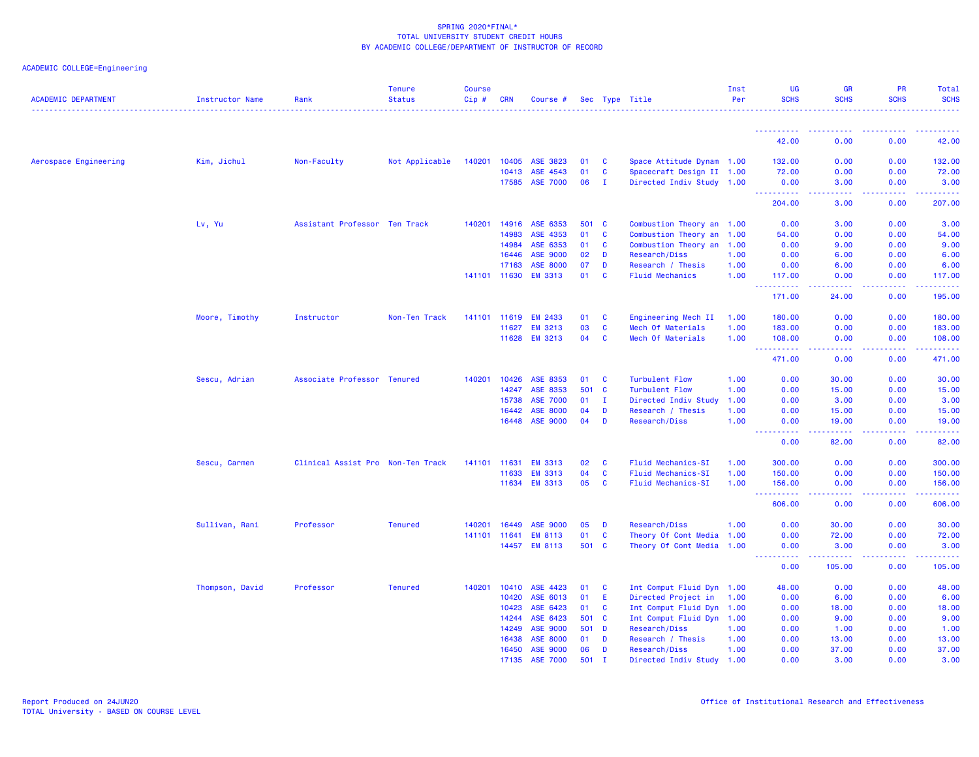| ACADEMIC COLLEGE=Engineering |  |
|------------------------------|--|
|                              |  |

| <b>ACADEMIC DEPARTMENT</b> | Instructor Name | Rank                              | <b>Tenure</b><br><b>Status</b> | <b>Course</b><br>Cip# | <b>CRN</b>   | Course #        |       |              | Sec Type Title            | Inst<br>Per | UG<br><b>SCHS</b>                                                                                           | <b>GR</b><br><b>SCHS</b>                                                                                                 | PR<br><b>SCHS</b>                                                                                                                                            | <b>Total</b><br><b>SCHS</b>         |
|----------------------------|-----------------|-----------------------------------|--------------------------------|-----------------------|--------------|-----------------|-------|--------------|---------------------------|-------------|-------------------------------------------------------------------------------------------------------------|--------------------------------------------------------------------------------------------------------------------------|--------------------------------------------------------------------------------------------------------------------------------------------------------------|-------------------------------------|
|                            |                 |                                   |                                |                       |              |                 |       |              |                           |             |                                                                                                             |                                                                                                                          |                                                                                                                                                              |                                     |
|                            |                 |                                   |                                |                       |              |                 |       |              |                           |             | ----------<br>42.00                                                                                         | 0.00                                                                                                                     | 0.00                                                                                                                                                         | 42.00                               |
| Aerospace Engineering      | Kim, Jichul     | Non-Faculty                       | Not Applicable                 | 140201                | 10405        | ASE 3823        | 01    | <b>C</b>     | Space Attitude Dynam 1.00 |             | 132.00                                                                                                      | 0.00                                                                                                                     | 0.00                                                                                                                                                         | 132.00                              |
|                            |                 |                                   |                                |                       | 10413        | ASE 4543        | 01    | C            | Spacecraft Design II 1.00 |             | 72.00                                                                                                       | 0.00                                                                                                                     | 0.00                                                                                                                                                         | 72.00                               |
|                            |                 |                                   |                                |                       | 17585        | <b>ASE 7000</b> | 06    | л.           | Directed Indiv Study 1.00 |             | 0.00<br><b><i><u><u> - - - - - - - - - -</u></u></i></b>                                                    | 3.00<br>.                                                                                                                | 0.00<br>$\frac{1}{2} \left( \frac{1}{2} \right) \left( \frac{1}{2} \right) \left( \frac{1}{2} \right) \left( \frac{1}{2} \right) \left( \frac{1}{2} \right)$ | 3.00<br><b><i><u>AAAAAA</u></i></b> |
|                            |                 |                                   |                                |                       |              |                 |       |              |                           |             | 204.00                                                                                                      | 3.00                                                                                                                     | 0.00                                                                                                                                                         | 207.00                              |
|                            | Lv, Yu          | Assistant Professor Ten Track     |                                | 140201                | 14916        | ASE 6353        | 501 C |              | Combustion Theory an 1.00 |             | 0.00                                                                                                        | 3.00                                                                                                                     | 0.00                                                                                                                                                         | 3.00                                |
|                            |                 |                                   |                                |                       | 14983        | ASE 4353        | 01    | C            | Combustion Theory an      | 1.00        | 54.00                                                                                                       | 0.00                                                                                                                     | 0.00                                                                                                                                                         | 54.00                               |
|                            |                 |                                   |                                |                       | 14984        | ASE 6353        | 01    | $\mathbf{C}$ | Combustion Theory an      | 1.00        | 0.00                                                                                                        | 9.00                                                                                                                     | 0.00                                                                                                                                                         | 9.00                                |
|                            |                 |                                   |                                |                       | 16446        | <b>ASE 9000</b> | 02    | D            | Research/Diss             | 1.00        | 0.00                                                                                                        | 6.00                                                                                                                     | 0.00                                                                                                                                                         | 6.00                                |
|                            |                 |                                   |                                |                       | 17163        | <b>ASE 8000</b> | 07    | D            | Research / Thesis         | 1.00        | 0.00                                                                                                        | 6.00                                                                                                                     | 0.00                                                                                                                                                         | 6.00                                |
|                            |                 |                                   |                                |                       | 141101 11630 | <b>EM 3313</b>  | 01    | C            | <b>Fluid Mechanics</b>    | 1.00        | 117.00<br><b><i><u><u><b>Little Little Little</b></u></u></i></b>                                           | 0.00<br>.                                                                                                                | 0.00<br>.                                                                                                                                                    | 117.00<br>.                         |
|                            |                 |                                   |                                |                       |              |                 |       |              |                           |             | 171.00                                                                                                      | 24.00                                                                                                                    | 0.00                                                                                                                                                         | 195.00                              |
|                            | Moore, Timothy  | Instructor                        | Non-Ten Track                  |                       | 141101 11619 | <b>EM 2433</b>  | 01    | C            | Engineering Mech II       | 1.00        | 180.00                                                                                                      | 0.00                                                                                                                     | 0.00                                                                                                                                                         | 180.00                              |
|                            |                 |                                   |                                |                       | 11627        | <b>EM 3213</b>  | 03    | C            | Mech Of Materials         | 1.00        | 183.00                                                                                                      | 0.00                                                                                                                     | 0.00                                                                                                                                                         | 183.00                              |
|                            |                 |                                   |                                |                       | 11628        | <b>EM 3213</b>  | 04    | C            | Mech Of Materials         | 1.00        | 108.00<br>$\sim$ $\sim$ $\sim$ $\sim$                                                                       | 0.00<br>.                                                                                                                | 0.00<br>-----                                                                                                                                                | 108.00                              |
|                            |                 |                                   |                                |                       |              |                 |       |              |                           |             | 471.00                                                                                                      | 0.00                                                                                                                     | 0.00                                                                                                                                                         | 471.00                              |
|                            | Sescu, Adrian   | Associate Professor               | <b>Tenured</b>                 | 140201                | 10426        | ASE 8353        | 01    | C            | <b>Turbulent Flow</b>     | 1.00        | 0.00                                                                                                        | 30.00                                                                                                                    | 0.00                                                                                                                                                         | 30.00                               |
|                            |                 |                                   |                                |                       | 14247        | ASE 8353        | 501 C |              | <b>Turbulent Flow</b>     | 1.00        | 0.00                                                                                                        | 15.00                                                                                                                    | 0.00                                                                                                                                                         | 15.00                               |
|                            |                 |                                   |                                |                       | 15738        | <b>ASE 7000</b> | 01    | $\mathbf{I}$ | Directed Indiv Study      | 1.00        | 0.00                                                                                                        | 3.00                                                                                                                     | 0.00                                                                                                                                                         | 3.00                                |
|                            |                 |                                   |                                |                       | 16442        | <b>ASE 8000</b> | 04    | D            | Research / Thesis         | 1.00        | 0.00                                                                                                        | 15.00                                                                                                                    | 0.00                                                                                                                                                         | 15.00                               |
|                            |                 |                                   |                                |                       | 16448        | ASE 9000        | 04    | D            | Research/Diss             | 1.00        | 0.00<br>$\frac{1}{2} \left( \frac{1}{2} \right) \left( \frac{1}{2} \right) \left( \frac{1}{2} \right)$<br>. | 19.00<br>$\begin{array}{cccccccccccccc} \bullet & \bullet & \bullet & \bullet & \bullet & \bullet & \bullet \end{array}$ | 0.00<br>-----                                                                                                                                                | 19.00<br>------                     |
|                            |                 |                                   |                                |                       |              |                 |       |              |                           |             | 0.00                                                                                                        | 82.00                                                                                                                    | 0.00                                                                                                                                                         | 82.00                               |
|                            | Sescu, Carmen   | Clinical Assist Pro Non-Ten Track |                                | 141101                | 11631        | <b>EM 3313</b>  | 02    | $\mathbf{C}$ | <b>Fluid Mechanics-SI</b> | 1.00        | 300.00                                                                                                      | 0.00                                                                                                                     | 0.00                                                                                                                                                         | 300.00                              |
|                            |                 |                                   |                                |                       | 11633        | <b>EM 3313</b>  | 04    | C            | <b>Fluid Mechanics-SI</b> | 1.00        | 150.00                                                                                                      | 0.00                                                                                                                     | 0.00                                                                                                                                                         | 150.00                              |
|                            |                 |                                   |                                |                       | 11634        | <b>EM 3313</b>  | 05    | <b>C</b>     | <b>Fluid Mechanics-SI</b> | 1.00        | 156.00                                                                                                      | 0.00                                                                                                                     | 0.00                                                                                                                                                         | 156.00                              |
|                            |                 |                                   |                                |                       |              |                 |       |              |                           |             | 606.00                                                                                                      | 0.00                                                                                                                     | 0.00                                                                                                                                                         | 606.00                              |
|                            | Sullivan, Rani  | Professor                         | <b>Tenured</b>                 | 140201                | 16449        | <b>ASE 9000</b> | 05    | D            | Research/Diss             | 1.00        | 0.00                                                                                                        | 30.00                                                                                                                    | 0.00                                                                                                                                                         | 30.00                               |
|                            |                 |                                   |                                |                       | 141101 11641 | <b>EM 8113</b>  | 01    | <b>C</b>     | Theory Of Cont Media      | 1.00        | 0.00                                                                                                        | 72.00                                                                                                                    | 0.00                                                                                                                                                         | 72.00                               |
|                            |                 |                                   |                                |                       | 14457        | <b>EM 8113</b>  | 501 C |              | Theory Of Cont Media 1.00 |             | 0.00                                                                                                        | 3.00                                                                                                                     | 0.00                                                                                                                                                         | 3.00                                |
|                            |                 |                                   |                                |                       |              |                 |       |              |                           |             | 0.00                                                                                                        | 105.00                                                                                                                   | 0.00                                                                                                                                                         | 105.00                              |
|                            | Thompson, David | Professor                         | <b>Tenured</b>                 | 140201                | 10410        | ASE 4423        | 01    | - C          | Int Comput Fluid Dyn 1.00 |             | 48.00                                                                                                       | 0.00                                                                                                                     | 0.00                                                                                                                                                         | 48.00                               |
|                            |                 |                                   |                                |                       | 10420        | ASE 6013        | 01    | E            | Directed Project in       | 1.00        | 0.00                                                                                                        | 6.00                                                                                                                     | 0.00                                                                                                                                                         | 6.00                                |
|                            |                 |                                   |                                |                       | 10423        | ASE 6423        | 01    | <b>C</b>     | Int Comput Fluid Dyn 1.00 |             | 0.00                                                                                                        | 18.00                                                                                                                    | 0.00                                                                                                                                                         | 18.00                               |
|                            |                 |                                   |                                |                       | 14244        | ASE 6423        | 501 C |              | Int Comput Fluid Dyn 1.00 |             | 0.00                                                                                                        | 9.00                                                                                                                     | 0.00                                                                                                                                                         | 9.00                                |
|                            |                 |                                   |                                |                       | 14249        | <b>ASE 9000</b> | 501 D |              | Research/Diss             | 1.00        | 0.00                                                                                                        | 1.00                                                                                                                     | 0.00                                                                                                                                                         | 1.00                                |
|                            |                 |                                   |                                |                       | 16438        | ASE 8000        | 01    | D            | Research / Thesis         | 1.00        | 0.00                                                                                                        | 13.00                                                                                                                    | 0.00                                                                                                                                                         | 13.00                               |
|                            |                 |                                   |                                |                       | 16450        | <b>ASE 9000</b> | 06    | D            | Research/Diss             | 1.00        | 0.00                                                                                                        | 37.00                                                                                                                    | 0.00                                                                                                                                                         | 37.00                               |
|                            |                 |                                   |                                |                       | 17135        | <b>ASE 7000</b> | 501   | T            | Directed Indiv Study 1.00 |             | 0.00                                                                                                        | 3.00                                                                                                                     | 0.00                                                                                                                                                         | 3.00                                |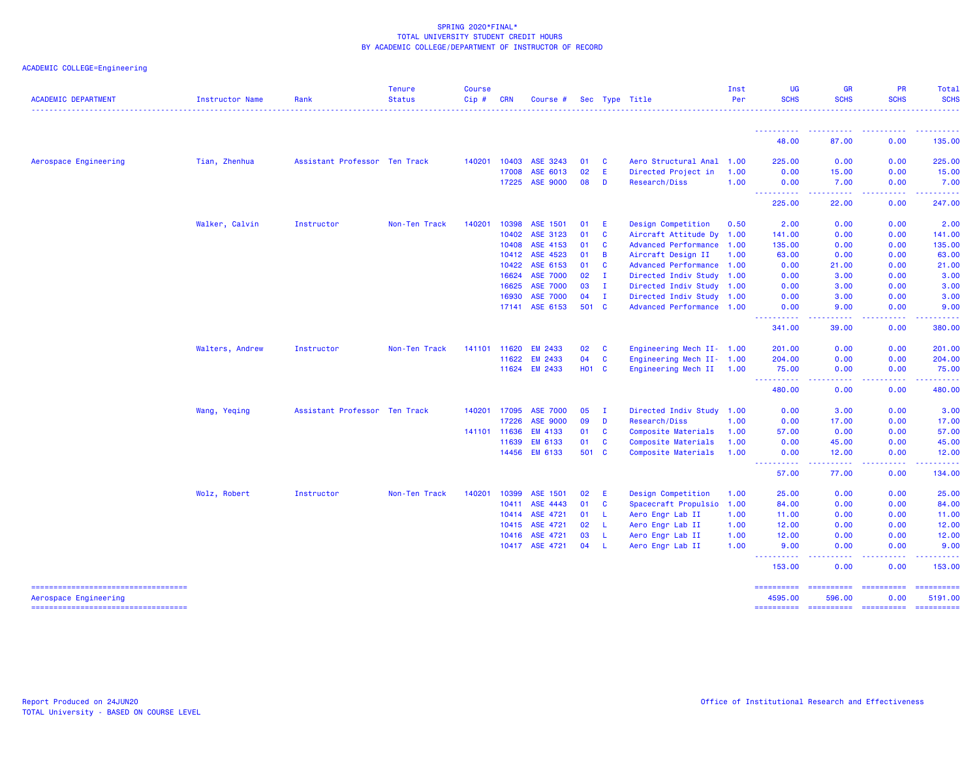| <b>ACADEMIC DEPARTMENT</b>                                  | <b>Instructor Name</b> | Rank                          | <b>Tenure</b><br><b>Status</b> | <b>Course</b><br>Cip# | <b>CRN</b> | Course #        |              |                | Sec Type Title            | Inst<br>Per | UG<br><b>SCHS</b>                                                                                                                                | <b>GR</b><br><b>SCHS</b>                                                                                   | <b>PR</b><br><b>SCHS</b> | <b>Total</b><br><b>SCHS</b> |
|-------------------------------------------------------------|------------------------|-------------------------------|--------------------------------|-----------------------|------------|-----------------|--------------|----------------|---------------------------|-------------|--------------------------------------------------------------------------------------------------------------------------------------------------|------------------------------------------------------------------------------------------------------------|--------------------------|-----------------------------|
|                                                             |                        |                               |                                |                       |            |                 |              |                |                           |             | <u>.</u>                                                                                                                                         |                                                                                                            |                          | <u>.</u>                    |
|                                                             |                        |                               |                                |                       |            |                 |              |                |                           |             | 48.00                                                                                                                                            | 87.00                                                                                                      | 0.00                     | 135.00                      |
| Aerospace Engineering                                       | Tian, Zhenhua          | Assistant Professor Ten Track |                                | 140201                | 10403      | ASE 3243        | 01           | C              | Aero Structural Anal 1.00 |             | 225.00                                                                                                                                           | 0.00                                                                                                       | 0.00                     | 225.00                      |
|                                                             |                        |                               |                                |                       | 17008      | ASE 6013        | 02           | E              | Directed Project in       | 1.00        | 0.00                                                                                                                                             | 15.00                                                                                                      | 0.00                     | 15.00                       |
|                                                             |                        |                               |                                |                       | 17225      | <b>ASE 9000</b> | 08           | D              | Research/Diss             | 1.00        | 0.00<br><u> - - - - - - - - - -</u>                                                                                                              | 7.00                                                                                                       | 0.00<br>.                | 7.00<br><u>.</u>            |
|                                                             |                        |                               |                                |                       |            |                 |              |                |                           |             | 225.00                                                                                                                                           | 22.00                                                                                                      | 0.00                     | 247.00                      |
|                                                             | Walker, Calvin         | Instructor                    | Non-Ten Track                  | 140201                | 10398      | ASE 1501        | 01           | E              | Design Competition        | 0.50        | 2.00                                                                                                                                             | 0.00                                                                                                       | 0.00                     | 2.00                        |
|                                                             |                        |                               |                                |                       | 10402      | ASE 3123        | 01           | C              | Aircraft Attitude Dy 1.00 |             | 141.00                                                                                                                                           | 0.00                                                                                                       | 0.00                     | 141.00                      |
|                                                             |                        |                               |                                |                       | 10408      | ASE 4153        | 01           | <b>C</b>       | Advanced Performance 1.00 |             | 135,00                                                                                                                                           | 0.00                                                                                                       | 0.00                     | 135.00                      |
|                                                             |                        |                               |                                |                       | 10412      | ASE 4523        | 01           | $\overline{B}$ | Aircraft Design II        | 1.00        | 63.00                                                                                                                                            | 0.00                                                                                                       | 0.00                     | 63.00                       |
|                                                             |                        |                               |                                |                       | 10422      | ASE 6153        | 01           | C              | Advanced Performance 1.00 |             | 0.00                                                                                                                                             | 21.00                                                                                                      | 0.00                     | 21.00                       |
|                                                             |                        |                               |                                |                       | 16624      | <b>ASE 7000</b> | 02           | - I            | Directed Indiv Study 1.00 |             | 0.00                                                                                                                                             | 3.00                                                                                                       | 0.00                     | 3.00                        |
|                                                             |                        |                               |                                |                       | 16625      | <b>ASE 7000</b> | 03           | $\mathbf{I}$   | Directed Indiv Study 1.00 |             | 0.00                                                                                                                                             | 3.00                                                                                                       | 0.00                     | 3.00                        |
|                                                             |                        |                               |                                |                       | 16930      | <b>ASE 7000</b> | 04           | $\mathbf{I}$   | Directed Indiv Study 1.00 |             | 0.00                                                                                                                                             | 3.00                                                                                                       | 0.00                     | 3.00                        |
|                                                             |                        |                               |                                |                       | 17141      | ASE 6153        | 501 C        |                | Advanced Performance 1.00 |             | 0.00<br><b>.</b>                                                                                                                                 | 9.00                                                                                                       | 0.00                     | 9.00                        |
|                                                             |                        |                               |                                |                       |            |                 |              |                |                           |             | 341.00                                                                                                                                           | 39.00                                                                                                      | 0.00                     | 380.00                      |
|                                                             | Walters, Andrew        | Instructor                    | Non-Ten Track                  | 141101                | 11620      | <b>EM 2433</b>  | 02           | C              | Engineering Mech II- 1.00 |             | 201.00                                                                                                                                           | 0.00                                                                                                       | 0.00                     | 201.00                      |
|                                                             |                        |                               |                                |                       | 11622      | <b>EM 2433</b>  | 04           | C              | Engineering Mech II- 1.00 |             | 204.00                                                                                                                                           | 0.00                                                                                                       | 0.00                     | 204.00                      |
|                                                             |                        |                               |                                |                       | 11624      | <b>EM 2433</b>  | <b>HO1 C</b> |                | Engineering Mech II       | 1.00        | 75.00<br><u>.</u>                                                                                                                                | 0.00<br>. <u>.</u>                                                                                         | 0.00<br>.                | 75.00<br><u>.</u>           |
|                                                             |                        |                               |                                |                       |            |                 |              |                |                           |             | 480.00                                                                                                                                           | 0.00                                                                                                       | 0.00                     | 480.00                      |
|                                                             | Wang, Yeqing           | Assistant Professor Ten Track |                                | 140201                | 17095      | <b>ASE 7000</b> | 05           | - 1            | Directed Indiv Study 1.00 |             | 0.00                                                                                                                                             | 3.00                                                                                                       | 0.00                     | 3.00                        |
|                                                             |                        |                               |                                |                       | 17226      | <b>ASE 9000</b> | 09           | D              | Research/Diss             | 1.00        | 0.00                                                                                                                                             | 17.00                                                                                                      | 0.00                     | 17.00                       |
|                                                             |                        |                               |                                | 141101 11636          |            | EM 4133         | 01           | C              | Composite Materials       | 1.00        | 57.00                                                                                                                                            | 0.00                                                                                                       | 0.00                     | 57.00                       |
|                                                             |                        |                               |                                |                       | 11639      | <b>EM 6133</b>  | 01           | C              | Composite Materials       | 1.00        | 0.00                                                                                                                                             | 45.00                                                                                                      | 0.00                     | 45.00                       |
|                                                             |                        |                               |                                |                       |            | 14456 EM 6133   | 501 C        |                | Composite Materials       | 1.00        | 0.00<br>$\frac{1}{2} \left( \frac{1}{2} \right) \left( \frac{1}{2} \right) \left( \frac{1}{2} \right) \left( \frac{1}{2} \right)$<br>$- - - - -$ | 12.00<br>$\begin{array}{cccccccccc} \bullet & \bullet & \bullet & \bullet & \bullet & \bullet \end{array}$ | 0.00<br>.                | 12.00                       |
|                                                             |                        |                               |                                |                       |            |                 |              |                |                           |             | 57.00                                                                                                                                            | 77.00                                                                                                      | 0.00                     | 134.00                      |
|                                                             | Wolz, Robert           | Instructor                    | Non-Ten Track                  | 140201                | 10399      | ASE 1501        | 02           | E              | Design Competition        | 1.00        | 25.00                                                                                                                                            | 0.00                                                                                                       | 0.00                     | 25.00                       |
|                                                             |                        |                               |                                |                       | 10411      | ASE 4443        | 01           | C              | Spacecraft Propulsio      | 1.00        | 84.00                                                                                                                                            | 0.00                                                                                                       | 0.00                     | 84.00                       |
|                                                             |                        |                               |                                |                       | 10414      | ASE 4721        | 01           | -L             | Aero Engr Lab II          | 1.00        | 11.00                                                                                                                                            | 0.00                                                                                                       | 0.00                     | 11.00                       |
|                                                             |                        |                               |                                |                       | 10415      | ASE 4721        | 02           | -L             | Aero Engr Lab II          | 1.00        | 12.00                                                                                                                                            | 0.00                                                                                                       | 0.00                     | 12.00                       |
|                                                             |                        |                               |                                |                       | 10416      | ASE 4721        | 03           | -L             | Aero Engr Lab II          | 1.00        | 12.00                                                                                                                                            | 0.00                                                                                                       | 0.00                     | 12.00                       |
|                                                             |                        |                               |                                |                       |            | 10417 ASE 4721  | 04           | -L.            | Aero Engr Lab II          | 1.00        | 9.00<br>.                                                                                                                                        | 0.00<br>$\sim 100$                                                                                         | 0.00                     | 9.00                        |
|                                                             |                        |                               |                                |                       |            |                 |              |                |                           |             | 153.00                                                                                                                                           | 0.00                                                                                                       | 0.00                     | 153.00                      |
| ----------------------------------<br>Aerospace Engineering |                        |                               |                                |                       |            |                 |              |                |                           |             | ==========<br>4595.00                                                                                                                            | =====================<br>596.00                                                                            | 0.00                     | ==========<br>5191.00       |
| ----------------------------------                          |                        |                               |                                |                       |            |                 |              |                |                           |             | ==========                                                                                                                                       | _________________________                                                                                  |                          | ==========                  |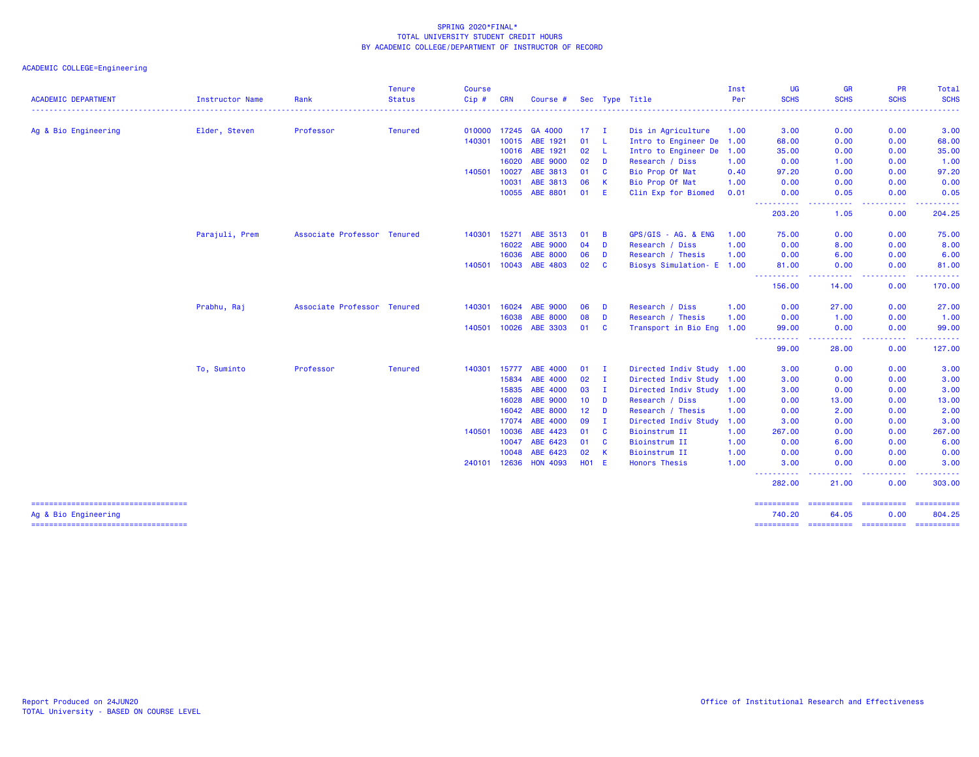|                                                               |                        |                             | <b>Tenure</b>  | <b>Course</b> |       |                 |                 |                         |                           | Inst | UG                                                                                                                                | <b>GR</b>                        | <b>PR</b>     | Total                                                                                                                                    |
|---------------------------------------------------------------|------------------------|-----------------------------|----------------|---------------|-------|-----------------|-----------------|-------------------------|---------------------------|------|-----------------------------------------------------------------------------------------------------------------------------------|----------------------------------|---------------|------------------------------------------------------------------------------------------------------------------------------------------|
| <b>ACADEMIC DEPARTMENT</b>                                    | <b>Instructor Name</b> | Rank                        | <b>Status</b>  | Cip#          | CRN   | Course #        |                 |                         | Sec Type Title            | Per  | <b>SCHS</b>                                                                                                                       | <b>SCHS</b>                      | <b>SCHS</b>   | <b>SCHS</b><br>$\frac{1}{2} \left( \frac{1}{2} \right) \left( \frac{1}{2} \right) \left( \frac{1}{2} \right) \left( \frac{1}{2} \right)$ |
| Ag & Bio Engineering                                          | Elder, Steven          | Professor                   | <b>Tenured</b> | 010000 17245  |       | GA 4000         | 17 <sup>2</sup> | $\mathbf{I}$            | Dis in Agriculture        | 1.00 | 3.00                                                                                                                              | 0.00                             | 0.00          | 3.00                                                                                                                                     |
|                                                               |                        |                             |                | 140301        | 10015 | ABE 1921        | 01              | - Li                    | Intro to Engineer De 1.00 |      | 68.00                                                                                                                             | 0.00                             | 0.00          | 68.00                                                                                                                                    |
|                                                               |                        |                             |                |               | 10016 | ABE 1921        | 02              | - L                     | Intro to Engineer De 1.00 |      | 35.00                                                                                                                             | 0.00                             | 0.00          | 35.00                                                                                                                                    |
|                                                               |                        |                             |                |               | 16020 | ABE 9000        | 02              | <b>D</b>                | Research / Diss           | 1.00 | 0.00                                                                                                                              | 1.00                             | 0.00          | 1.00                                                                                                                                     |
|                                                               |                        |                             |                | 140501        | 10027 | ABE 3813        | 01              | $\mathbf{C}$            | Bio Prop Of Mat           | 0.40 | 97.20                                                                                                                             | 0.00                             | 0.00          | 97.20                                                                                                                                    |
|                                                               |                        |                             |                |               | 10031 | ABE 3813        | 06              | -K                      | Bio Prop Of Mat           | 1.00 | 0.00                                                                                                                              | 0.00                             | 0.00          | 0.00                                                                                                                                     |
|                                                               |                        |                             |                |               | 10055 | ABE 8801        | 01              | -E                      | Clin Exp for Biomed       | 0.01 | 0.00<br>----------                                                                                                                | 0.05<br>.                        | 0.00<br>----- | 0.05<br>------                                                                                                                           |
|                                                               |                        |                             |                |               |       |                 |                 |                         |                           |      | 203.20                                                                                                                            | 1.05                             | 0.00          | 204.25                                                                                                                                   |
|                                                               | Parajuli, Prem         | Associate Professor Tenured |                | 140301        | 15271 | ABE 3513        | 01              | <b>B</b>                | GPS/GIS - AG. & ENG       | 1.00 | 75.00                                                                                                                             | 0.00                             | 0.00          | 75.00                                                                                                                                    |
|                                                               |                        |                             |                |               | 16022 | ABE 9000        | 04              | <b>D</b>                | Research / Diss           | 1.00 | 0.00                                                                                                                              | 8.00                             | 0.00          | 8.00                                                                                                                                     |
|                                                               |                        |                             |                |               | 16036 | ABE 8000        | 06              | D                       | Research / Thesis         | 1.00 | 0.00                                                                                                                              | 6.00                             | 0.00          | 6.00                                                                                                                                     |
|                                                               |                        |                             |                | 140501        | 10043 | ABE 4803        | 02              | <b>C</b>                | Biosys Simulation- E 1.00 |      | 81.00<br>----------                                                                                                               | 0.00<br><u>.</u>                 | 0.00<br>.     | 81.00                                                                                                                                    |
|                                                               |                        |                             |                |               |       |                 |                 |                         |                           |      | 156.00                                                                                                                            | 14.00                            | 0.00          | 170.00                                                                                                                                   |
|                                                               | Prabhu, Raj            | Associate Professor Tenured |                | 140301        | 16024 | <b>ABE 9000</b> | 06              | D                       | Research / Diss           | 1.00 | 0.00                                                                                                                              | 27.00                            | 0.00          | 27.00                                                                                                                                    |
|                                                               |                        |                             |                |               | 16038 | <b>ABE 8000</b> | 08              | D                       | Research / Thesis         | 1.00 | 0.00                                                                                                                              | 1.00                             | 0.00          | 1.00                                                                                                                                     |
|                                                               |                        |                             |                | 140501        | 10026 | ABE 3303        | 01              | <b>C</b>                | Transport in Bio Eng 1.00 |      | 99.00<br>.<br>$\cdots$                                                                                                            | 0.00<br>.                        | 0.00<br>.     | 99.00<br>.                                                                                                                               |
|                                                               |                        |                             |                |               |       |                 |                 |                         |                           |      | 99.00                                                                                                                             | 28.00                            | 0.00          | 127.00                                                                                                                                   |
|                                                               | To, Suminto            | Professor                   | <b>Tenured</b> | 140301        | 15777 | ABE 4000        | 01              | $\mathbf{I}$            | Directed Indiv Study 1.00 |      | 3.00                                                                                                                              | 0.00                             | 0.00          | 3.00                                                                                                                                     |
|                                                               |                        |                             |                |               | 15834 | ABE 4000        | 02              | I.                      | Directed Indiv Study 1.00 |      | 3.00                                                                                                                              | 0.00                             | 0.00          | 3.00                                                                                                                                     |
|                                                               |                        |                             |                |               | 15835 | ABE 4000        | 03              | - I                     | Directed Indiv Study 1.00 |      | 3.00                                                                                                                              | 0.00                             | 0.00          | 3.00                                                                                                                                     |
|                                                               |                        |                             |                |               | 16028 | ABE 9000        | 10 <sub>1</sub> | <b>D</b>                | Research / Diss           | 1.00 | 0.00                                                                                                                              | 13.00                            | 0.00          | 13.00                                                                                                                                    |
|                                                               |                        |                             |                |               | 16042 | <b>ABE 8000</b> | 12 <sup>7</sup> | $\blacksquare$          | Research / Thesis         | 1.00 | 0.00                                                                                                                              | 2.00                             | 0.00          | 2.00                                                                                                                                     |
|                                                               |                        |                             |                |               | 17074 | ABE 4000        | 09              | - I                     | Directed Indiv Study 1.00 |      | 3.00                                                                                                                              | 0.00                             | 0.00          | 3.00                                                                                                                                     |
|                                                               |                        |                             |                | 140501        | 10036 | ABE 4423        | 01              | <b>C</b>                | Bioinstrum II             | 1.00 | 267.00                                                                                                                            | 0.00                             | 0.00          | 267.00                                                                                                                                   |
|                                                               |                        |                             |                |               | 10047 | ABE 6423        | 01              | <b>C</b>                | Bioinstrum II             | 1.00 | 0.00                                                                                                                              | 6.00                             | 0.00          | 6.00                                                                                                                                     |
|                                                               |                        |                             |                |               | 10048 | ABE 6423        | 02              | $\overline{\mathbf{K}}$ | Bioinstrum II             | 1.00 | 0.00                                                                                                                              | 0.00                             | 0.00          | 0.00                                                                                                                                     |
|                                                               |                        |                             |                | 240101 12636  |       | <b>HON 4093</b> | $H01$ E         |                         | <b>Honors Thesis</b>      | 1.00 | 3.00<br>$\frac{1}{2} \left( \frac{1}{2} \right) \left( \frac{1}{2} \right) \left( \frac{1}{2} \right) \left( \frac{1}{2} \right)$ | 0.00                             | 0.00          | 3.00                                                                                                                                     |
|                                                               |                        |                             |                |               |       |                 |                 |                         |                           |      | 282.00                                                                                                                            | 21.00                            | 0.00          | 303.00                                                                                                                                   |
| =====================================<br>Ag & Bio Engineering |                        |                             |                |               |       |                 |                 |                         |                           |      | ==========<br>740.20                                                                                                              | -----------------------<br>64.05 | 0.00          | -----------<br>804.25                                                                                                                    |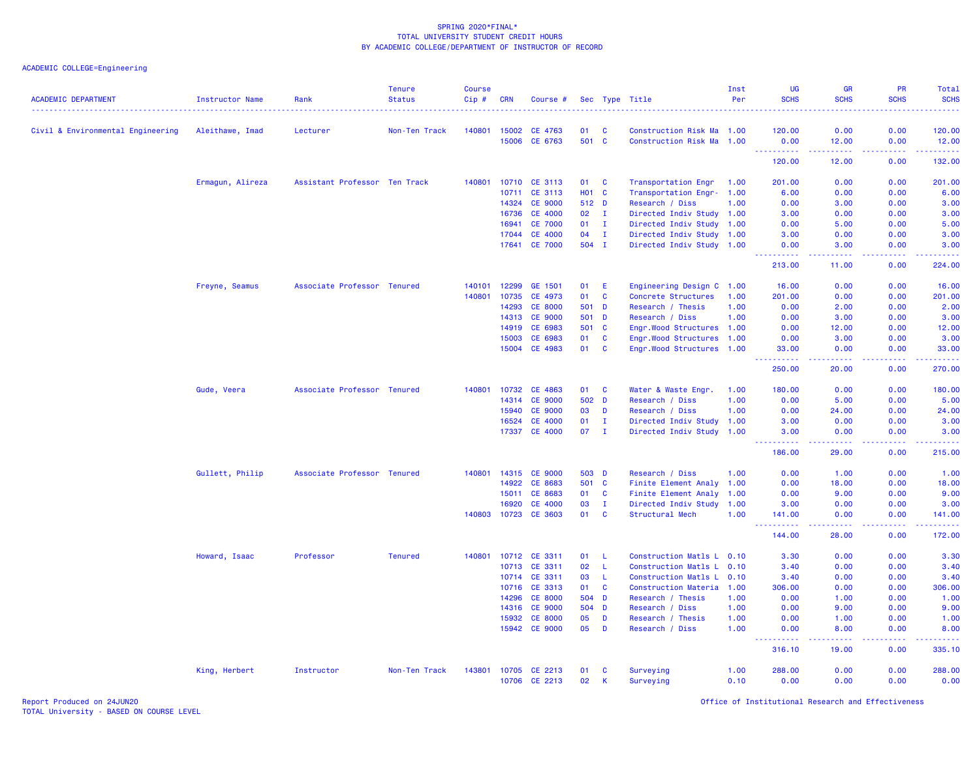| <b>ACADEMIC DEPARTMENT</b>        | <b>Instructor Name</b> | Rank                          | <b>Tenure</b><br><b>Status</b> | <b>Course</b><br>Cip# | <b>CRN</b>   | Course #       |              |              | Sec Type Title            | Inst<br>Per | UG<br><b>SCHS</b>              | <b>GR</b><br><b>SCHS</b> | <b>PR</b><br><b>SCHS</b> | Total<br><b>SCHS</b> |
|-----------------------------------|------------------------|-------------------------------|--------------------------------|-----------------------|--------------|----------------|--------------|--------------|---------------------------|-------------|--------------------------------|--------------------------|--------------------------|----------------------|
| Civil & Environmental Engineering | Aleithawe, Imad        | Lecturer                      | Non-Ten Track                  |                       | 140801 15002 | CE 4763        | 01           | <b>C</b>     | Construction Risk Ma 1.00 |             | 120.00                         | 0.00                     | 0.00                     | 120.00               |
|                                   |                        |                               |                                |                       | 15006        | CE 6763        | 501 C        |              | Construction Risk Ma 1.00 |             | 0.00<br><u>.</u>               | 12.00<br>.               | 0.00<br>2.2.2.2.2        | 12.00<br>.           |
|                                   |                        |                               |                                |                       |              |                |              |              |                           |             | 120.00                         | 12.00                    | 0.00                     | 132.00               |
|                                   | Ermagun, Alireza       | Assistant Professor Ten Track |                                | 140801                | 10710        | CE 3113        | 01           | <b>C</b>     | Transportation Engr       | 1.00        | 201.00                         | 0.00                     | 0.00                     | 201.00               |
|                                   |                        |                               |                                |                       | 10711        | CE 3113        | <b>HO1 C</b> |              | Transportation Engr- 1.00 |             | 6.00                           | 0.00                     | 0.00                     | 6.00                 |
|                                   |                        |                               |                                |                       | 14324        | <b>CE 9000</b> | 512 D        |              | Research / Diss           | 1.00        | 0.00                           | 3.00                     | 0.00                     | 3.00                 |
|                                   |                        |                               |                                |                       | 16736        | CE 4000        | 02           | $\mathbf{I}$ | Directed Indiv Study 1.00 |             | 3.00                           | 0.00                     | 0.00                     | 3.00                 |
|                                   |                        |                               |                                |                       | 16941        | <b>CE 7000</b> | 01           | $\mathbf{I}$ | Directed Indiv Study 1.00 |             | 0.00                           | 5.00                     | 0.00                     | 5.00                 |
|                                   |                        |                               |                                |                       | 17044        | <b>CE 4000</b> | 04           | $\mathbf{I}$ | Directed Indiv Study 1.00 |             | 3.00                           | 0.00                     | 0.00                     | 3.00                 |
|                                   |                        |                               |                                |                       | 17641        | <b>CE 7000</b> | 504 I        |              | Directed Indiv Study 1.00 |             | 0.00<br>الداعات عاد            | 3.00<br>د د د د          | 0.00                     | 3.00                 |
|                                   |                        |                               |                                |                       |              |                |              |              |                           |             | 213.00                         | 11.00                    | 0.00                     | 224.00               |
|                                   | Freyne, Seamus         | Associate Professor Tenured   |                                | 140101                | 12299        | GE 1501        | 01           | E            | Engineering Design C 1.00 |             | 16.00                          | 0.00                     | 0.00                     | 16.00                |
|                                   |                        |                               |                                | 140801                | 10735        | CE 4973        | 01           | $\mathbf{C}$ | Concrete Structures       | 1.00        | 201.00                         | 0.00                     | 0.00                     | 201.00               |
|                                   |                        |                               |                                |                       | 14293        | <b>CE 8000</b> | 501          | <b>D</b>     | Research / Thesis         | 1.00        | 0.00                           | 2.00                     | 0.00                     | 2.00                 |
|                                   |                        |                               |                                |                       | 14313        | <b>CE 9000</b> | 501 D        |              | Research / Diss           | 1.00        | 0.00                           | 3.00                     | 0.00                     | 3.00                 |
|                                   |                        |                               |                                |                       | 14919        | CE 6983        | 501          | $\mathbf{C}$ | Engr.Wood Structures 1.00 |             | 0.00                           | 12.00                    | 0.00                     | 12.00                |
|                                   |                        |                               |                                |                       | 15003        | CE 6983        | 01           | $\mathbf{C}$ | Engr.Wood Structures 1.00 |             | 0.00                           | 3.00                     | 0.00                     | 3.00                 |
|                                   |                        |                               |                                |                       | 15004        | CE 4983        | 01           | $\mathbf{C}$ | Engr.Wood Structures 1.00 |             | 33.00<br>. <b>.</b>            | 0.00<br>.                | 0.00<br>.                | 33.00<br>22222)      |
|                                   |                        |                               |                                |                       |              |                |              |              |                           |             | 250.00                         | 20.00                    | 0.00                     | 270.00               |
|                                   | Gude, Veera            | Associate Professor Tenured   |                                | 140801                | 10732        | CE 4863        | 01           | <b>C</b>     | Water & Waste Engr.       | 1.00        | 180.00                         | 0.00                     | 0.00                     | 180.00               |
|                                   |                        |                               |                                |                       | 14314        | <b>CE 9000</b> | 502 D        |              | Research / Diss           | 1.00        | 0.00                           | 5.00                     | 0.00                     | 5.00                 |
|                                   |                        |                               |                                |                       | 15940        | <b>CE 9000</b> | 03           | D            | Research / Diss           | 1.00        | 0.00                           | 24.00                    | 0.00                     | 24.00                |
|                                   |                        |                               |                                |                       | 16524        | CE 4000        | 01           | Ι.           | Directed Indiv Study 1.00 |             | 3.00                           | 0.00                     | 0.00                     | 3.00                 |
|                                   |                        |                               |                                |                       | 17337        | <b>CE 4000</b> | 07           | $\mathbf{I}$ | Directed Indiv Study 1.00 |             | 3.00<br>.                      | 0.00<br>22222            | 0.00<br>22222            | 3.00<br>2.2.2.2.1    |
|                                   |                        |                               |                                |                       |              |                |              |              |                           |             | 186.00                         | 29.00                    | 0.00                     | 215.00               |
|                                   | Gullett, Philip        | Associate Professor Tenured   |                                | 140801                | 14315        | <b>CE 9000</b> | 503 D        |              | Research / Diss           | 1.00        | 0.00                           | 1.00                     | 0.00                     | 1.00                 |
|                                   |                        |                               |                                |                       | 14922        | CE 8683        | 501 C        |              | Finite Element Analy 1.00 |             | 0.00                           | 18.00                    | 0.00                     | 18.00                |
|                                   |                        |                               |                                |                       | 15011        | CE 8683        | 01           | C            | Finite Element Analy      | 1.00        | 0.00                           | 9.00                     | 0.00                     | 9.00                 |
|                                   |                        |                               |                                |                       | 16920        | <b>CE 4000</b> | 03           | $\mathbf{I}$ | Directed Indiv Study 1.00 |             | 3.00                           | 0.00                     | 0.00                     | 3.00                 |
|                                   |                        |                               |                                | 140803                |              | 10723 CE 3603  | 01           | $\mathbf{C}$ | Structural Mech           | 1.00        | 141.00<br>.<br>$\sim$ $\sim$ . | 0.00<br>.                | 0.00<br>22222            | 141.00<br>2.22222    |
|                                   |                        |                               |                                |                       |              |                |              |              |                           |             | 144.00                         | 28.00                    | 0.00                     | 172.00               |
|                                   | Howard, Isaac          | Professor                     | <b>Tenured</b>                 | 140801                |              | 10712 CE 3311  | 01           | -L           | Construction Matls L 0.10 |             | 3.30                           | 0.00                     | 0.00                     | 3.30                 |
|                                   |                        |                               |                                |                       | 10713        | CE 3311        | 02           | -L           | Construction Matls L 0.10 |             | 3.40                           | 0.00                     | 0.00                     | 3.40                 |
|                                   |                        |                               |                                |                       | 10714        | CE 3311        | 03           | $\mathsf{L}$ | Construction Matls L 0.10 |             | 3.40                           | 0.00                     | 0.00                     | 3.40                 |
|                                   |                        |                               |                                |                       | 10716        | CE 3313        | 01           | $\mathbf{C}$ | Construction Materia 1.00 |             | 306.00                         | 0.00                     | 0.00                     | 306.00               |
|                                   |                        |                               |                                |                       | 14296        | <b>CE 8000</b> | 504 D        |              | Research / Thesis         | 1.00        | 0.00                           | 1.00                     | 0.00                     | 1.00                 |
|                                   |                        |                               |                                |                       | 14316        | <b>CE 9000</b> | 504          | D            | Research / Diss           | 1.00        | 0.00                           | 9.00                     | 0.00                     | 9.00                 |
|                                   |                        |                               |                                |                       | 15932        | <b>CE 8000</b> | 05           | D            | Research / Thesis         | 1.00        | 0.00                           | 1.00                     | 0.00                     | 1.00                 |
|                                   |                        |                               |                                |                       |              | 15942 CE 9000  | 05           | D            | Research / Diss           | 1.00        | 0.00                           | 8.00                     | 0.00                     | 8.00                 |
|                                   |                        |                               |                                |                       |              |                |              |              |                           |             | 316.10                         | 19.00                    | 0.00                     | 335.10               |
|                                   | King, Herbert          | Instructor                    | Non-Ten Track                  | 143801                | 10705        | CE 2213        | 01           | <b>C</b>     | Surveying                 | 1.00        | 288.00                         | 0.00                     | 0.00                     | 288.00               |
|                                   |                        |                               |                                |                       | 10706        | CE 2213        | 02           | К            | Surveying                 | 0.10        | 0.00                           | 0.00                     | 0.00                     | 0.00                 |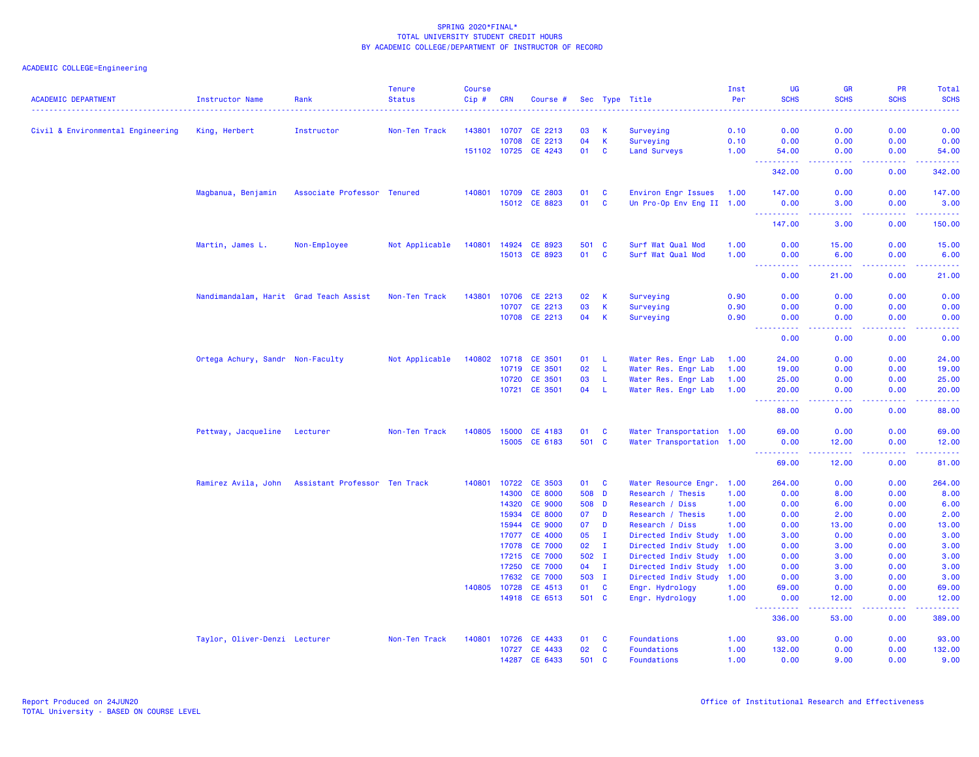| <b>ACADEMIC DEPARTMENT</b>        | <b>Instructor Name</b>                            | Rank                        | <b>Tenure</b><br><b>Status</b> | <b>Course</b><br>Cip#<br>. | <b>CRN</b>     | Course #                         |          |              | Sec Type Title                               | Inst<br>Per  | UG<br><b>SCHS</b><br>$-1 - 1 - 1$   | <b>GR</b><br><b>SCHS</b>                                                                                                          | <b>PR</b><br><b>SCHS</b> | Total<br><b>SCHS</b>                                                                                                                    |
|-----------------------------------|---------------------------------------------------|-----------------------------|--------------------------------|----------------------------|----------------|----------------------------------|----------|--------------|----------------------------------------------|--------------|-------------------------------------|-----------------------------------------------------------------------------------------------------------------------------------|--------------------------|-----------------------------------------------------------------------------------------------------------------------------------------|
| Civil & Environmental Engineering | King, Herbert                                     | Instructor                  | Non-Ten Track                  | 143801                     | 10707          | CE 2213                          | 03       | K            | Surveying                                    | .<br>0.10    | 0.00                                | <b></b><br>0.00                                                                                                                   | 0.00                     | .<br>0.00                                                                                                                               |
|                                   |                                                   |                             |                                |                            | 10708          | CE 2213                          | 04       | К            | Surveying                                    | 0.10         | 0.00                                | 0.00                                                                                                                              | 0.00                     | 0.00                                                                                                                                    |
|                                   |                                                   |                             |                                | 151102 10725               |                | CE 4243                          | 01       | C            | <b>Land Surveys</b>                          | 1.00         | 54.00                               | 0.00                                                                                                                              | 0.00                     | 54.00                                                                                                                                   |
|                                   |                                                   |                             |                                |                            |                |                                  |          |              |                                              |              | $\omega_{\rm{max}}$<br>.<br>342.00  | د د د د<br>0.00                                                                                                                   | .<br>0.00                | 22222<br>342.00                                                                                                                         |
|                                   | Magbanua, Benjamin                                | Associate Professor Tenured |                                | 140801                     | 10709          | <b>CE 2803</b>                   | 01       | C            | Environ Engr Issues                          | 1.00         | 147.00                              | 0.00                                                                                                                              | 0.00                     | 147.00                                                                                                                                  |
|                                   |                                                   |                             |                                |                            |                | 15012 CE 8823                    | 01       | <b>C</b>     | Un Pro-Op Env Eng II 1.00                    |              | 0.00<br><u> - - - - - - - - - -</u> | 3.00<br>د د د د                                                                                                                   | 0.00<br>22222            | 3.00<br>$\mathcal{L}^{\mathcal{L}}\mathcal{L}^{\mathcal{L}}\mathcal{L}^{\mathcal{L}}\mathcal{L}^{\mathcal{L}}\mathcal{L}^{\mathcal{L}}$ |
|                                   |                                                   |                             |                                |                            |                |                                  |          |              |                                              |              | 147.00                              | 3.00                                                                                                                              | 0.00                     | 150.00                                                                                                                                  |
|                                   | Martin, James L.                                  | Non-Employee                | Not Applicable                 | 140801                     | 14924          | CE 8923                          | 501 C    |              | Surf Wat Qual Mod                            | 1.00         | 0.00                                | 15.00                                                                                                                             | 0.00                     | 15.00                                                                                                                                   |
|                                   |                                                   |                             |                                |                            |                | 15013 CE 8923                    | 01       | <b>C</b>     | Surf Wat Qual Mod                            | 1.00         | 0.00<br>.                           | 6.00<br>$\frac{1}{2} \left( \frac{1}{2} \right) \left( \frac{1}{2} \right) \left( \frac{1}{2} \right) \left( \frac{1}{2} \right)$ | 0.00                     | 6.00<br>وعاماما                                                                                                                         |
|                                   |                                                   |                             |                                |                            |                |                                  |          |              |                                              |              | 0.00                                | 21.00                                                                                                                             | 0.00                     | 21.00                                                                                                                                   |
|                                   | Nandimandalam, Harit Grad Teach Assist            |                             | Non-Ten Track                  | 143801                     |                | 10706 CE 2213                    | 02       | K            | Surveying                                    | 0.90         | 0.00                                | 0.00                                                                                                                              | 0.00                     | 0.00                                                                                                                                    |
|                                   |                                                   |                             |                                |                            | 10707          | CE 2213                          | 03       | К            | Surveying                                    | 0.90         | 0.00                                | 0.00                                                                                                                              | 0.00                     | 0.00                                                                                                                                    |
|                                   |                                                   |                             |                                |                            |                | 10708 CE 2213                    | 04       | К            | Surveying                                    | 0.90         | 0.00<br>.                           | 0.00<br>وبالمحام                                                                                                                  | 0.00                     | 0.00<br>وساعات                                                                                                                          |
|                                   |                                                   |                             |                                |                            |                |                                  |          |              |                                              |              | 0.00                                | 0.00                                                                                                                              | 0.00                     | 0.00                                                                                                                                    |
|                                   | Ortega Achury, Sandr Non-Faculty                  |                             | Not Applicable                 |                            |                | 140802 10718 CE 3501             | 01       | - L          | Water Res. Engr Lab                          | 1.00         | 24.00                               | 0.00                                                                                                                              | 0.00                     | 24.00                                                                                                                                   |
|                                   |                                                   |                             |                                |                            | 10719          | CE 3501                          | 02       | - L          | Water Res. Engr Lab                          | 1.00         | 19.00                               | 0.00                                                                                                                              | 0.00                     | 19.00                                                                                                                                   |
|                                   |                                                   |                             |                                |                            | 10720          | CE 3501                          | 03       | L.           | Water Res. Engr Lab                          | 1.00         | 25.00                               | 0.00                                                                                                                              | 0.00                     | 25.00                                                                                                                                   |
|                                   |                                                   |                             |                                |                            |                | 10721 CE 3501                    | 04       | $\mathsf{L}$ | Water Res. Engr Lab                          | 1.00         | 20.00<br>.                          | 0.00<br>والمسامين                                                                                                                 | 0.00<br>.                | 20.00                                                                                                                                   |
|                                   |                                                   |                             |                                |                            |                |                                  |          |              |                                              |              | 88.00                               | 0.00                                                                                                                              | 0.00                     | 88.00                                                                                                                                   |
|                                   | Pettway, Jacqueline                               | Lecturer                    | Non-Ten Track                  | 140805                     | 15000          | CE 4183                          | 01       | C            | Water Transportation 1.00                    |              | 69.00                               | 0.00                                                                                                                              | 0.00                     | 69.00                                                                                                                                   |
|                                   |                                                   |                             |                                |                            |                | 15005 CE 6183                    | 501 C    |              | Water Transportation 1.00                    |              | 0.00<br>----------                  | 12.00<br>-----                                                                                                                    | 0.00<br>2.2.2.2.2        | 12.00<br>.                                                                                                                              |
|                                   |                                                   |                             |                                |                            |                |                                  |          |              |                                              |              | 69.00                               | 12.00                                                                                                                             | 0.00                     | 81.00                                                                                                                                   |
|                                   | Ramirez Avila, John Assistant Professor Ten Track |                             |                                | 140801                     | 10722          | <b>CE 3503</b>                   | 01       | $\mathbf{C}$ | Water Resource Engr. 1.00                    |              | 264.00                              | 0.00                                                                                                                              | 0.00                     | 264.00                                                                                                                                  |
|                                   |                                                   |                             |                                |                            | 14300          | <b>CE 8000</b>                   | 508 D    |              | Research / Thesis                            | 1.00         | 0.00                                | 8.00                                                                                                                              | 0.00                     | 8.00                                                                                                                                    |
|                                   |                                                   |                             |                                |                            | 14320          | <b>CE 9000</b>                   | 508 D    |              | Research / Diss                              | 1.00         | 0.00                                | 6.00                                                                                                                              | 0.00                     | 6.00                                                                                                                                    |
|                                   |                                                   |                             |                                |                            | 15934          | <b>CE 8000</b>                   | 07       | D            | Research / Thesis                            | 1.00         | 0.00                                | 2.00                                                                                                                              | 0.00                     | 2.00                                                                                                                                    |
|                                   |                                                   |                             |                                |                            | 15944          | <b>CE 9000</b>                   | 07       | D            | Research / Diss                              | 1.00         | 0.00                                | 13.00                                                                                                                             | 0.00                     | 13.00                                                                                                                                   |
|                                   |                                                   |                             |                                |                            | 17077          | <b>CE 4000</b><br><b>CE 7000</b> | 05<br>02 | $\mathbf{I}$ | Directed Indiv Study<br>Directed Indiv Study | 1.00<br>1.00 | 3.00<br>0.00                        | 0.00                                                                                                                              | 0.00<br>0.00             | 3.00<br>3.00                                                                                                                            |
|                                   |                                                   |                             |                                |                            | 17078<br>17215 | <b>CE 7000</b>                   | 502 I    | $\mathbf{I}$ | Directed Indiv Study 1.00                    |              | 0.00                                | 3.00<br>3.00                                                                                                                      | 0.00                     | 3.00                                                                                                                                    |
|                                   |                                                   |                             |                                |                            | 17250          | <b>CE 7000</b>                   | 04       | $\mathbf{I}$ | Directed Indiv Study                         | 1.00         | 0.00                                | 3.00                                                                                                                              | 0.00                     | 3.00                                                                                                                                    |
|                                   |                                                   |                             |                                |                            | 17632          | <b>CE 7000</b>                   | 503 I    |              | Directed Indiv Study 1.00                    |              | 0.00                                | 3.00                                                                                                                              | 0.00                     | 3.00                                                                                                                                    |
|                                   |                                                   |                             |                                | 140805                     | 10728          | CE 4513                          | 01       | $\mathbf{C}$ | Engr. Hydrology                              | 1.00         | 69.00                               | 0.00                                                                                                                              | 0.00                     | 69.00                                                                                                                                   |
|                                   |                                                   |                             |                                |                            | 14918          | CE 6513                          | 501 C    |              | Engr. Hydrology                              | 1.00         | 0.00                                | 12.00                                                                                                                             | 0.00                     | 12.00                                                                                                                                   |
|                                   |                                                   |                             |                                |                            |                |                                  |          |              |                                              |              | د د د د د<br>336.00                 | 53.00                                                                                                                             | 0.00                     | 389.00                                                                                                                                  |
|                                   | Taylor, Oliver-Denzi Lecturer                     |                             | Non-Ten Track                  | 140801                     | 10726          | CE 4433                          | 01       | <b>C</b>     | Foundations                                  | 1.00         | 93.00                               | 0.00                                                                                                                              | 0.00                     | 93.00                                                                                                                                   |
|                                   |                                                   |                             |                                |                            | 10727          | CE 4433                          | 02       | C            | Foundations                                  | 1.00         | 132.00                              | 0.00                                                                                                                              | 0.00                     | 132.00                                                                                                                                  |
|                                   |                                                   |                             |                                |                            | 14287          | CE 6433                          | 501      | <b>C</b>     | Foundations                                  | 1.00         | 0.00                                | 9.00                                                                                                                              | 0.00                     | 9.00                                                                                                                                    |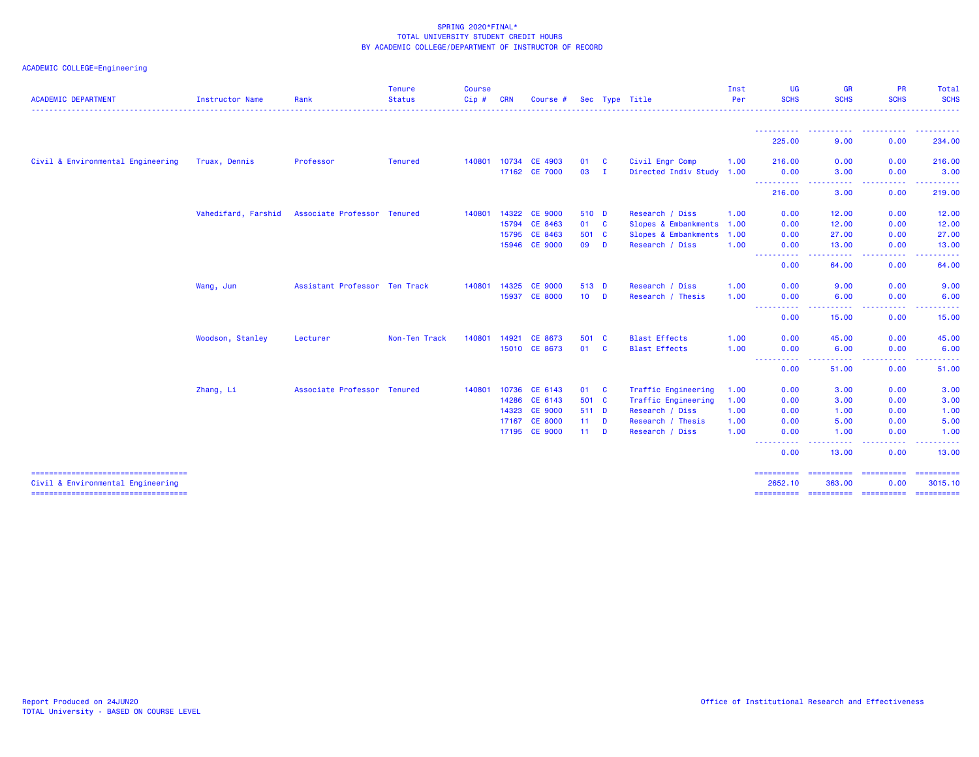| <b>ACADEMIC DEPARTMENT</b>                                                 | Instructor Name     | Rank                          | <b>Tenure</b><br><b>Status</b> | <b>Course</b><br>$Cip \#$ | <b>CRN</b> | Course #       |        |              | Sec Type Title            | Inst<br>Per | <b>UG</b><br><b>SCHS</b>                                                                                                               | <b>GR</b><br><b>SCHS</b> | <b>PR</b><br><b>SCHS</b>      | Total<br><b>SCHS</b>                                                                                                                                                                     |
|----------------------------------------------------------------------------|---------------------|-------------------------------|--------------------------------|---------------------------|------------|----------------|--------|--------------|---------------------------|-------------|----------------------------------------------------------------------------------------------------------------------------------------|--------------------------|-------------------------------|------------------------------------------------------------------------------------------------------------------------------------------------------------------------------------------|
|                                                                            |                     |                               |                                |                           |            |                |        |              |                           |             |                                                                                                                                        |                          |                               |                                                                                                                                                                                          |
|                                                                            |                     |                               |                                |                           |            |                |        |              |                           |             | 225.00                                                                                                                                 | 9.00                     | 0.00                          | <b><i><u><u>AAAAA</u></u></i></b><br>234.00                                                                                                                                              |
| Civil & Environmental Engineering                                          | Truax, Dennis       | Professor                     | <b>Tenured</b>                 | 140801                    | 10734      | <b>CE 4903</b> | 01     | <b>C</b>     | Civil Engr Comp           | 1.00        | 216.00                                                                                                                                 | 0.00                     | 0.00                          | 216.00                                                                                                                                                                                   |
|                                                                            |                     |                               |                                |                           |            | 17162 CE 7000  | 03     | $\mathbf{I}$ | Directed Indiv Study 1.00 |             | 0.00                                                                                                                                   | 3.00                     | 0.00                          | 3.00                                                                                                                                                                                     |
|                                                                            |                     |                               |                                |                           |            |                |        |              |                           |             | ----------<br>216.00                                                                                                                   | .<br>----<br>3.00        | -----<br>0.00                 | . <u>.</u> .<br>219.00                                                                                                                                                                   |
|                                                                            | Vahedifard, Farshid | Associate Professor Tenured   |                                | 140801                    |            | 14322 CE 9000  | 510 D  |              | Research / Diss           | 1.00        | 0.00                                                                                                                                   | 12.00                    | 0.00                          | 12.00                                                                                                                                                                                    |
|                                                                            |                     |                               |                                |                           |            | 15794 CE 8463  | 01 C   |              | Slopes & Embankments 1.00 |             | 0.00                                                                                                                                   | 12.00                    | 0.00                          | 12.00                                                                                                                                                                                    |
|                                                                            |                     |                               |                                |                           | 15795      | CE 8463        | 501 C  |              | Slopes & Embankments 1.00 |             | 0.00                                                                                                                                   | 27.00                    | 0.00                          | 27.00                                                                                                                                                                                    |
|                                                                            |                     |                               |                                |                           |            | 15946 CE 9000  | 09 D   |              | Research / Diss           | 1.00        | 0.00                                                                                                                                   | 13.00                    | 0.00                          | 13.00                                                                                                                                                                                    |
|                                                                            |                     |                               |                                |                           |            |                |        |              |                           |             | $\frac{1}{2} \left( \frac{1}{2} \right) \left( \frac{1}{2} \right) \left( \frac{1}{2} \right) \left( \frac{1}{2} \right)$<br>.<br>0.00 | .<br>64.00               | .<br>0.00                     | . <u>.</u><br>64.00                                                                                                                                                                      |
|                                                                            | Wang, Jun           | Assistant Professor Ten Track |                                | 140801                    | 14325      | <b>CE 9000</b> | 513 D  |              | Research / Diss           | 1.00        | 0.00                                                                                                                                   | 9.00                     | 0.00                          | 9.00                                                                                                                                                                                     |
|                                                                            |                     |                               |                                |                           |            | 15937 CE 8000  | $10$ D |              | Research / Thesis         | 1.00        | 0.00                                                                                                                                   | 6.00                     | 0.00                          | 6.00                                                                                                                                                                                     |
|                                                                            |                     |                               |                                |                           |            |                |        |              |                           |             | $\sim$ $\sim$ $\sim$<br>.<br>0.00                                                                                                      | .<br>15.00               | .<br>0.00                     | $\frac{1}{2} \left( \frac{1}{2} \right) \left( \frac{1}{2} \right) \left( \frac{1}{2} \right) \left( \frac{1}{2} \right) \left( \frac{1}{2} \right) \left( \frac{1}{2} \right)$<br>15.00 |
|                                                                            | Woodson, Stanley    | Lecturer                      | Non-Ten Track                  | 140801                    | 14921      | CE 8673        | 501 C  |              | <b>Blast Effects</b>      | 1.00        | 0.00                                                                                                                                   | 45.00                    | 0.00                          | 45.00                                                                                                                                                                                    |
|                                                                            |                     |                               |                                |                           | 15010      | CE 8673        | 01 C   |              | <b>Blast Effects</b>      | 1.00        | 0.00                                                                                                                                   | 6.00                     | 0.00                          | 6.00                                                                                                                                                                                     |
|                                                                            |                     |                               |                                |                           |            |                |        |              |                           |             | المتمامين<br>0.00                                                                                                                      | .<br>51.00               | .<br>0.00                     | والمرابط المرابط<br>51.00                                                                                                                                                                |
|                                                                            | Zhang, Li           | Associate Professor Tenured   |                                | 140801                    |            | 10736 CE 6143  | 01 C   |              | Traffic Engineering       | 1.00        | 0.00                                                                                                                                   | 3.00                     | 0.00                          | 3.00                                                                                                                                                                                     |
|                                                                            |                     |                               |                                |                           |            | 14286 CE 6143  | 501 C  |              | Traffic Engineering       | 1.00        | 0.00                                                                                                                                   | 3.00                     | 0.00                          | 3.00                                                                                                                                                                                     |
|                                                                            |                     |                               |                                |                           | 14323      | <b>CE 9000</b> | 511 D  |              | Research / Diss           | 1.00        | 0.00                                                                                                                                   | 1.00                     | 0.00                          | 1.00                                                                                                                                                                                     |
|                                                                            |                     |                               |                                |                           | 17167      | <b>CE 8000</b> | $11$ D |              | Research / Thesis         | 1.00        | 0.00                                                                                                                                   | 5.00                     | 0.00                          | 5.00                                                                                                                                                                                     |
|                                                                            |                     |                               |                                |                           |            | 17195 CE 9000  | $11$ D |              | Research / Diss           | 1.00        | 0.00                                                                                                                                   | 1.00                     | 0.00                          | 1.00                                                                                                                                                                                     |
|                                                                            |                     |                               |                                |                           |            |                |        |              |                           |             | 0.00                                                                                                                                   | 13,00                    | 0.00                          | 13.00                                                                                                                                                                                    |
| =====================================                                      |                     |                               |                                |                           |            |                |        |              |                           |             | ==========                                                                                                                             | ==========               | <b>EEEEEEEEE</b>              | ==========                                                                                                                                                                               |
| Civil & Environmental Engineering<br>===================================== |                     |                               |                                |                           |            |                |        |              |                           |             | 2652.10<br>==========                                                                                                                  | 363.00                   | 0.00<br>----------- --------- | 3015.10<br>-==========                                                                                                                                                                   |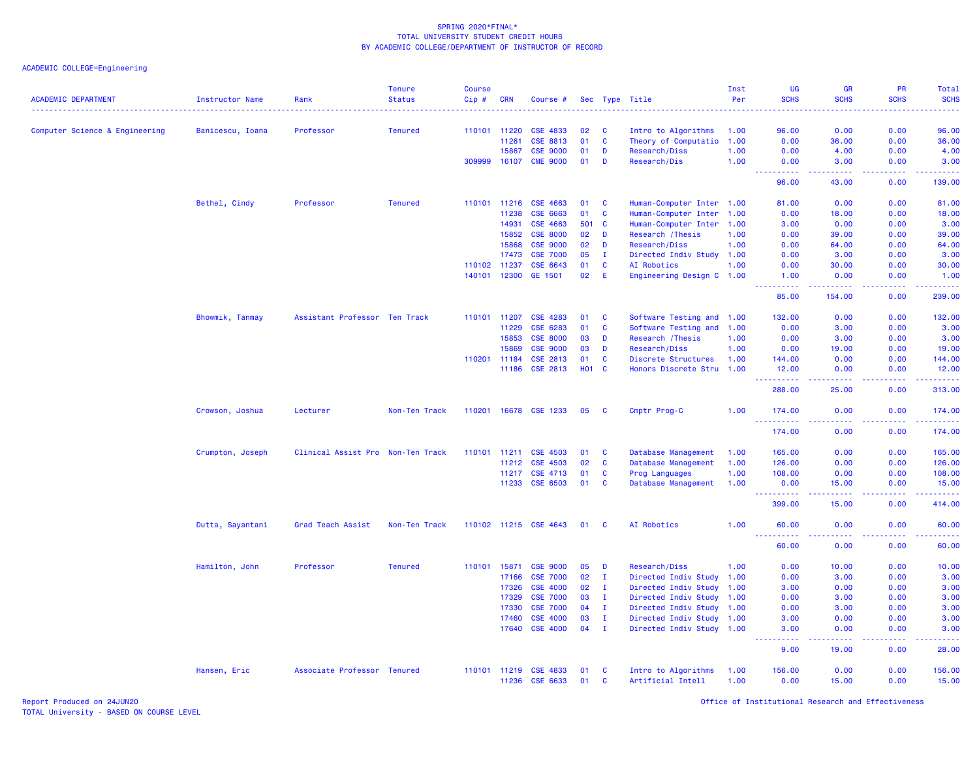| <b>ACADEMIC DEPARTMENT</b>     | <b>Instructor Name</b><br>. | Rank                              | <b>Tenure</b><br><b>Status</b> | <b>Course</b><br>Cip# | <b>CRN</b>            | Course #              |          |                   | Sec Type Title                                         | Inst<br>Per | UG<br><b>SCHS</b>                                                                                                                                             | <b>GR</b><br><b>SCHS</b>            | <b>PR</b><br><b>SCHS</b>            | Total<br><b>SCHS</b>                                                                                                                                          |
|--------------------------------|-----------------------------|-----------------------------------|--------------------------------|-----------------------|-----------------------|-----------------------|----------|-------------------|--------------------------------------------------------|-------------|---------------------------------------------------------------------------------------------------------------------------------------------------------------|-------------------------------------|-------------------------------------|---------------------------------------------------------------------------------------------------------------------------------------------------------------|
|                                |                             | Professor                         | <b>Tenured</b>                 |                       | 110101 11220          | <b>CSE 4833</b>       | 02       | <b>C</b>          | Intro to Algorithms                                    | 1.00        | 96.00                                                                                                                                                         | 0.00                                | 0.00                                | 96.00                                                                                                                                                         |
| Computer Science & Engineering | Banicescu, Ioana            |                                   |                                |                       | 11261                 | <b>CSE 8813</b>       | 01       | $\mathbf{C}$      | Theory of Computatio                                   | 1.00        | 0.00                                                                                                                                                          | 36.00                               | 0.00                                | 36.00                                                                                                                                                         |
|                                |                             |                                   |                                |                       | 15867                 | <b>CSE 9000</b>       | 01       | D                 | Research/Diss                                          | 1.00        | 0.00                                                                                                                                                          | 4.00                                | 0.00                                | 4.00                                                                                                                                                          |
|                                |                             |                                   |                                | 309999                | 16107                 | <b>CME 9000</b>       | 01       | D                 | Research/Dis                                           | 1.00        | 0.00                                                                                                                                                          | 3.00                                | 0.00                                | 3.00                                                                                                                                                          |
|                                |                             |                                   |                                |                       |                       |                       |          |                   |                                                        |             | .<br>96.00                                                                                                                                                    | والمالمات<br>43.00                  | $\sim$ $\sim$ $\sim$ $\sim$<br>0.00 | 139.00                                                                                                                                                        |
|                                |                             | Professor                         | <b>Tenured</b>                 | 110101                | 11216                 | CSE 4663              | 01       | $\mathbf{C}$      |                                                        |             | 81.00                                                                                                                                                         | 0.00                                | 0.00                                | 81.00                                                                                                                                                         |
|                                | Bethel, Cindy               |                                   |                                |                       | 11238                 | CSE 6663              | 01       | $\mathbf{C}$      | Human-Computer Inter 1.00<br>Human-Computer Inter 1.00 |             | 0.00                                                                                                                                                          | 18.00                               | 0.00                                | 18.00                                                                                                                                                         |
|                                |                             |                                   |                                |                       | 14931                 | CSE 4663              | 501      | $\mathbf{C}$      | Human-Computer Inter 1.00                              |             | 3.00                                                                                                                                                          | 0.00                                | 0.00                                | 3.00                                                                                                                                                          |
|                                |                             |                                   |                                |                       | 15852                 | <b>CSE 8000</b>       | 02       | D                 | Research / Thesis                                      | 1.00        | 0.00                                                                                                                                                          | 39.00                               | 0.00                                | 39.00                                                                                                                                                         |
|                                |                             |                                   |                                |                       | 15868                 | <b>CSE 9000</b>       | 02       | D                 |                                                        |             |                                                                                                                                                               |                                     | 0.00                                |                                                                                                                                                               |
|                                |                             |                                   |                                |                       |                       | <b>CSE 7000</b>       | 05       | $\mathbf{I}$      | Research/Diss                                          | 1.00        | 0.00                                                                                                                                                          | 64.00                               |                                     | 64.00                                                                                                                                                         |
|                                |                             |                                   |                                |                       | 17473                 |                       |          |                   | Directed Indiv Study 1.00                              |             | 0.00                                                                                                                                                          | 3.00                                | 0.00                                | 3.00                                                                                                                                                          |
|                                |                             |                                   |                                | 110102                | 11237<br>140101 12300 | CSE 6643<br>GE 1501   | 01<br>02 | $\mathbf{C}$<br>E | AI Robotics<br>Engineering Design C 1.00               | 1.00        | 0.00<br>1.00                                                                                                                                                  | 30.00<br>0.00                       | 0.00<br>0.00                        | 30.00<br>1.00                                                                                                                                                 |
|                                |                             |                                   |                                |                       |                       |                       |          |                   |                                                        |             | .                                                                                                                                                             | .                                   | .                                   | $\omega$ is a set of                                                                                                                                          |
|                                |                             |                                   |                                |                       |                       |                       |          |                   |                                                        |             | 85.00                                                                                                                                                         | 154.00                              | 0.00                                | 239.00                                                                                                                                                        |
|                                | Bhowmik, Tanmay             | Assistant Professor Ten Track     |                                |                       | 110101 11207          | CSE 4283              | 01       | <b>C</b>          | Software Testing and 1.00                              |             | 132.00                                                                                                                                                        | 0.00                                | 0.00                                | 132.00                                                                                                                                                        |
|                                |                             |                                   |                                |                       | 11229                 | CSE 6283              | 01       | $\mathbf{C}$      | Software Testing and 1.00                              |             | 0.00                                                                                                                                                          | 3.00                                | 0.00                                | 3.00                                                                                                                                                          |
|                                |                             |                                   |                                |                       | 15853                 | <b>CSE 8000</b>       | 03       | D                 | Research / Thesis                                      | 1.00        | 0.00                                                                                                                                                          | 3.00                                | 0.00                                | 3.00                                                                                                                                                          |
|                                |                             |                                   |                                |                       | 15869                 | <b>CSE 9000</b>       | 03       | D                 | Research/Diss                                          | 1.00        | 0.00                                                                                                                                                          | 19.00                               | 0.00                                | 19.00                                                                                                                                                         |
|                                |                             |                                   |                                |                       | 110201 11184          | CSE 2813              | 01       | $\mathbf{C}$      | Discrete Structures                                    | 1.00        | 144.00                                                                                                                                                        | 0.00                                | 0.00                                | 144.00                                                                                                                                                        |
|                                |                             |                                   |                                |                       | 11186                 | CSE 2813              | H01 C    |                   | Honors Discrete Stru 1.00                              |             | 12.00<br>.                                                                                                                                                    | 0.00                                | 0.00<br>.                           | 12.00<br>22222                                                                                                                                                |
|                                |                             |                                   |                                |                       |                       |                       |          |                   |                                                        |             | 288.00                                                                                                                                                        | 25.00                               | 0.00                                | 313.00                                                                                                                                                        |
|                                | Crowson, Joshua             | Lecturer                          | Non-Ten Track                  |                       |                       | 110201 16678 CSE 1233 | 05       | - C               | Cmptr Prog-C                                           | 1.00        | 174.00<br>.                                                                                                                                                   | 0.00                                | 0.00<br><u>.</u>                    | 174.00<br>2.2.2.2.2                                                                                                                                           |
|                                |                             |                                   |                                |                       |                       |                       |          |                   |                                                        |             | 174.00                                                                                                                                                        | .<br>0.00                           | 0.00                                | 174.00                                                                                                                                                        |
|                                | Crumpton, Joseph            | Clinical Assist Pro Non-Ten Track |                                | 110101                | 11211                 | <b>CSE 4503</b>       | 01       | $\mathbf{C}$      | Database Management                                    | 1.00        | 165.00                                                                                                                                                        | 0.00                                | 0.00                                | 165.00                                                                                                                                                        |
|                                |                             |                                   |                                |                       | 11212                 | CSE 4503              | 02       | $\mathbf{C}$      | Database Management                                    | 1.00        | 126.00                                                                                                                                                        | 0.00                                | 0.00                                | 126.00                                                                                                                                                        |
|                                |                             |                                   |                                |                       | 11217                 | CSE 4713              | 01       | $\mathbf{C}$      | Prog Languages                                         | 1.00        | 108.00                                                                                                                                                        | 0.00                                | 0.00                                | 108.00                                                                                                                                                        |
|                                |                             |                                   |                                |                       | 11233                 | CSE 6503              | 01       | <b>C</b>          | Database Management                                    | 1.00        | 0.00<br><b>.</b>                                                                                                                                              | 15.00<br><u>.</u>                   | 0.00<br>22222                       | 15.00<br>$\frac{1}{2} \left( \frac{1}{2} \right) \left( \frac{1}{2} \right) \left( \frac{1}{2} \right) \left( \frac{1}{2} \right) \left( \frac{1}{2} \right)$ |
|                                |                             |                                   |                                |                       |                       |                       |          |                   |                                                        |             | 399.00                                                                                                                                                        | 15.00                               | 0.00                                | 414.00                                                                                                                                                        |
|                                | Dutta, Sayantani            | Grad Teach Assist                 | Non-Ten Track                  |                       |                       | 110102 11215 CSE 4643 | 01       | <b>C</b>          | AI Robotics                                            | 1.00        | 60.00                                                                                                                                                         | 0.00                                | 0.00                                | 60.00                                                                                                                                                         |
|                                |                             |                                   |                                |                       |                       |                       |          |                   |                                                        |             | $\frac{1}{2} \left( \frac{1}{2} \right) \left( \frac{1}{2} \right) \left( \frac{1}{2} \right) \left( \frac{1}{2} \right) \left( \frac{1}{2} \right)$<br>60.00 | $\sim$ $\sim$ $\sim$ $\sim$<br>0.00 | .<br>0.00                           | .<br>60.00                                                                                                                                                    |
|                                | Hamilton, John              | Professor                         | <b>Tenured</b>                 | 110101                | 15871                 | <b>CSE 9000</b>       | 05       | D                 | Research/Diss                                          | 1.00        | 0.00                                                                                                                                                          | 10.00                               | 0.00                                | 10.00                                                                                                                                                         |
|                                |                             |                                   |                                |                       | 17166                 | <b>CSE 7000</b>       | 02       | $\mathbf{I}$      | Directed Indiv Study 1.00                              |             | 0.00                                                                                                                                                          | 3.00                                | 0.00                                | 3.00                                                                                                                                                          |
|                                |                             |                                   |                                |                       | 17326                 | <b>CSE 4000</b>       | 02       | $\mathbf{I}$      | Directed Indiv Study                                   | 1.00        | 3.00                                                                                                                                                          | 0.00                                | 0.00                                | 3.00                                                                                                                                                          |
|                                |                             |                                   |                                |                       | 17329                 | <b>CSE 7000</b>       | 03       | $\mathbf{I}$      | Directed Indiv Study 1.00                              |             | 0.00                                                                                                                                                          | 3.00                                | 0.00                                | 3.00                                                                                                                                                          |
|                                |                             |                                   |                                |                       | 17330                 | <b>CSE 7000</b>       | 04       | $\mathbf{I}$      | Directed Indiv Study                                   | 1.00        | 0.00                                                                                                                                                          | 3.00                                | 0.00                                | 3.00                                                                                                                                                          |
|                                |                             |                                   |                                |                       | 17460                 | <b>CSE 4000</b>       | 03       | I.                | Directed Indiv Study 1.00                              |             | 3.00                                                                                                                                                          | 0.00                                | 0.00                                | 3.00                                                                                                                                                          |
|                                |                             |                                   |                                |                       | 17640                 | <b>CSE 4000</b>       | 04       | $\mathbf{I}$      | Directed Indiv Study 1.00                              |             | 3.00                                                                                                                                                          | 0.00                                | 0.00                                | 3.00                                                                                                                                                          |
|                                |                             |                                   |                                |                       |                       |                       |          |                   |                                                        |             | د د د د<br>9.00                                                                                                                                               | .<br>19.00                          | .<br>0.00                           | المالما ماليا<br>28.00                                                                                                                                        |
|                                | Hansen, Eric                | Associate Professor Tenured       |                                |                       | 110101 11219          | <b>CSE 4833</b>       | 01       | <b>C</b>          | Intro to Algorithms                                    | 1.00        | 156.00                                                                                                                                                        | 0.00                                | 0.00                                | 156.00                                                                                                                                                        |
|                                |                             |                                   |                                |                       | 11236                 | CSE 6633              | 01       | C                 | Artificial Intell                                      | 1.00        | 0.00                                                                                                                                                          | 15.00                               | 0.00                                | 15.00                                                                                                                                                         |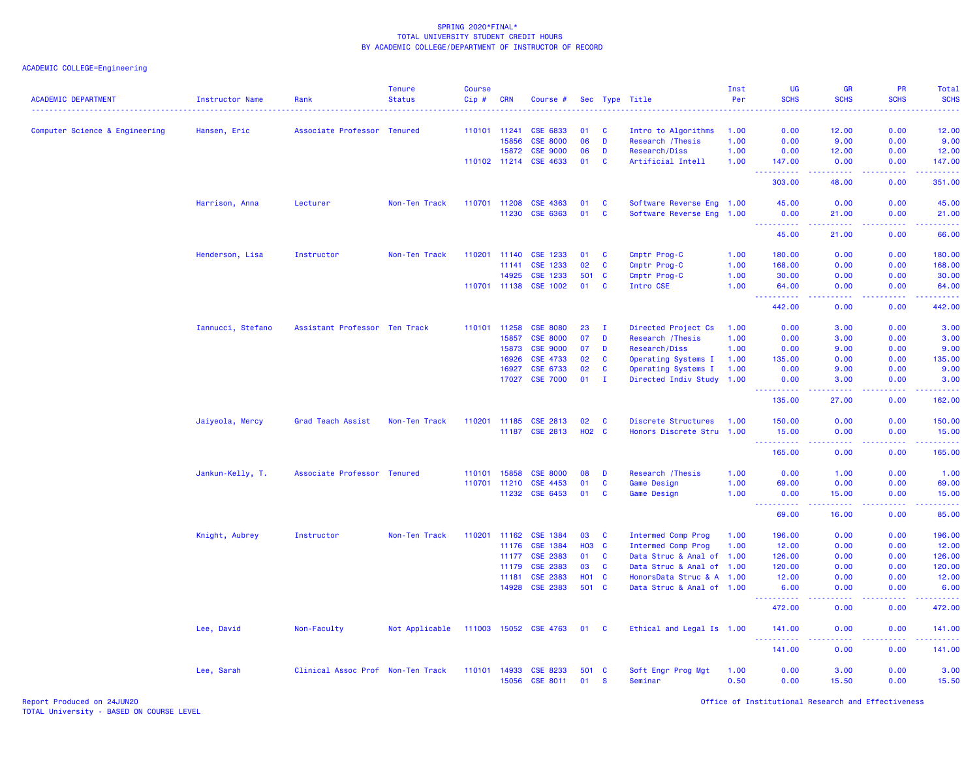| <b>ACADEMIC DEPARTMENT</b>     | Instructor Name   | Rank                              | <b>Tenure</b><br><b>Status</b> | <b>Course</b><br>Cip# | <b>CRN</b>   | Course #                    |              |                      | Sec Type Title                | Inst<br>Per  | <b>UG</b><br><b>SCHS</b> | GR<br><b>SCHS</b>                                                                                      | PR<br><b>SCHS</b>  | Total<br><b>SCHS</b><br>.                                                                                                                            |
|--------------------------------|-------------------|-----------------------------------|--------------------------------|-----------------------|--------------|-----------------------------|--------------|----------------------|-------------------------------|--------------|--------------------------|--------------------------------------------------------------------------------------------------------|--------------------|------------------------------------------------------------------------------------------------------------------------------------------------------|
| Computer Science & Engineering | Hansen, Eric      | Associate Professor Tenured       |                                | 110101 11241          |              | CSE 6833                    | 01           | <b>C</b>             | Intro to Algorithms           | 1.00         | 0.00                     | 12.00                                                                                                  | 0.00               | 12.00                                                                                                                                                |
|                                |                   |                                   |                                |                       | 15856        | <b>CSE 8000</b>             | 06           | D                    | Research / Thesis             | 1.00         | 0.00                     | 9.00                                                                                                   | 0.00               | 9.00                                                                                                                                                 |
|                                |                   |                                   |                                |                       | 15872        | <b>CSE 9000</b>             | 06           | D                    | Research/Diss                 | 1.00         | 0.00                     | 12.00                                                                                                  | 0.00               | 12.00                                                                                                                                                |
|                                |                   |                                   |                                | 110102 11214          |              | CSE 4633                    | 01           | <b>C</b>             | Artificial Intell             | 1.00         | 147.00                   | 0.00                                                                                                   | 0.00               | 147.00                                                                                                                                               |
|                                |                   |                                   |                                |                       |              |                             |              |                      |                               |              | 303.00                   | 48.00                                                                                                  | 0.00               | .<br>351.00                                                                                                                                          |
|                                | Harrison, Anna    | Lecturer                          | Non-Ten Track                  | 110701 11208          |              | CSE 4363                    | 01           | <b>C</b>             | Software Reverse Eng 1.00     |              | 45.00                    | 0.00                                                                                                   | 0.00               | 45.00                                                                                                                                                |
|                                |                   |                                   |                                |                       | 11230        | CSE 6363                    | 01           | <b>C</b>             | Software Reverse Eng 1.00     |              | 0.00<br><u>.</u>         | 21.00<br>$  -$                                                                                         | 0.00               | 21.00<br>$\frac{1}{2}$                                                                                                                               |
|                                |                   |                                   |                                |                       |              |                             |              |                      |                               |              | 45.00                    | 21.00                                                                                                  | 0.00               | 66.00                                                                                                                                                |
|                                | Henderson, Lisa   | Instructor                        | Non-Ten Track                  | 110201 11140          |              | CSE 1233                    | 01           | <b>C</b>             | Cmptr Prog-C                  | 1.00         | 180.00                   | 0.00                                                                                                   | 0.00               | 180.00                                                                                                                                               |
|                                |                   |                                   |                                |                       | 11141        | CSE 1233                    | 02           | C                    | Cmptr Prog-C                  | 1.00         | 168.00                   | 0.00                                                                                                   | 0.00               | 168.00                                                                                                                                               |
|                                |                   |                                   |                                |                       | 14925        | CSE 1233                    | 501          | $\mathbf{C}$         | Cmptr Prog-C                  | 1.00         | 30.00                    | 0.00                                                                                                   | 0.00               | 30.00                                                                                                                                                |
|                                |                   |                                   |                                |                       | 110701 11138 | <b>CSE 1002</b>             | 01           | $\mathbf{C}$         | Intro CSE                     | 1.00         | 64.00<br>.               | 0.00<br>$\frac{1}{2} \left( \frac{1}{2} \right) \left( \frac{1}{2} \right) \left( \frac{1}{2} \right)$ | 0.00<br>.          | 64.00<br>.                                                                                                                                           |
|                                |                   |                                   |                                |                       |              |                             |              |                      |                               |              | 442.00                   | 0.00                                                                                                   | 0.00               | 442.00                                                                                                                                               |
|                                | Iannucci, Stefano | Assistant Professor Ten Track     |                                | 110101 11258          |              | <b>CSE 8080</b>             | 23           | I.                   | Directed Project Cs           | 1.00         | 0.00                     | 3.00                                                                                                   | 0.00               | 3.00                                                                                                                                                 |
|                                |                   |                                   |                                |                       | 15857        | <b>CSE 8000</b>             | 07           | D                    | Research / Thesis             | 1.00         | 0.00                     | 3.00                                                                                                   | 0.00               | 3.00                                                                                                                                                 |
|                                |                   |                                   |                                |                       | 15873        | <b>CSE 9000</b>             | 07           | D                    | Research/Diss                 | 1.00         | 0.00                     | 9.00                                                                                                   | 0.00               | 9.00                                                                                                                                                 |
|                                |                   |                                   |                                |                       | 16926        | CSE 4733                    | 02           | $\mathbf{C}$         | Operating Systems I           | 1.00         | 135.00                   | 0.00                                                                                                   | 0.00               | 135.00                                                                                                                                               |
|                                |                   |                                   |                                |                       | 16927        | CSE 6733                    | 02           | C                    | Operating Systems I           | 1.00         | 0.00                     | 9.00                                                                                                   | 0.00               | 9.00                                                                                                                                                 |
|                                |                   |                                   |                                |                       | 17027        | <b>CSE 7000</b>             | 01           | $\mathbf{I}$         | Directed Indiv Study 1.00     |              | 0.00<br><u>.</u>         | 3.00<br>.                                                                                              | 0.00<br>. <b>.</b> | 3.00<br><b><i><u><u>.</u></u></i></b>                                                                                                                |
|                                |                   |                                   |                                |                       |              |                             |              |                      |                               |              | 135.00                   | 27.00                                                                                                  | 0.00               | 162.00                                                                                                                                               |
|                                | Jaiyeola, Mercy   | Grad Teach Assist                 | Non-Ten Track                  | 110201                | 11185        | CSE 2813                    | 02           | <b>C</b>             | Discrete Structures           | 1.00         | 150.00                   | 0.00                                                                                                   | 0.00               | 150.00                                                                                                                                               |
|                                |                   |                                   |                                |                       | 11187        | <b>CSE 2813</b>             | <b>HO2 C</b> |                      | Honors Discrete Stru 1.00     |              | 15.00                    | 0.00                                                                                                   | 0.00               | 15.00                                                                                                                                                |
|                                |                   |                                   |                                |                       |              |                             |              |                      |                               |              | .                        | .                                                                                                      | .                  | $\frac{1}{2} \left( \frac{1}{2} \right) \left( \frac{1}{2} \right) \left( \frac{1}{2} \right) \left( \frac{1}{2} \right) \left( \frac{1}{2} \right)$ |
|                                |                   |                                   |                                |                       |              |                             |              |                      |                               |              | 165.00                   | 0.00                                                                                                   | 0.00               | 165.00                                                                                                                                               |
|                                | Jankun-Kelly, T.  | Associate Professor Tenured       |                                | 110101                | 15858        | <b>CSE 8000</b>             | 08           | D                    | Research / Thesis             | 1.00         | 0.00                     | 1.00                                                                                                   | 0.00               | 1.00                                                                                                                                                 |
|                                |                   |                                   |                                | 110701 11210          |              | CSE 4453                    | 01           | C                    | Game Design                   | 1.00         | 69.00                    | 0.00                                                                                                   | 0.00               | 69.00                                                                                                                                                |
|                                |                   |                                   |                                |                       | 11232        | CSE 6453                    | 01           | <b>C</b>             | Game Design                   | 1.00         | 0.00                     | 15.00                                                                                                  | 0.00               | 15.00                                                                                                                                                |
|                                |                   |                                   |                                |                       |              |                             |              |                      |                               |              | المستمال<br>69.00        | 16.00                                                                                                  | ولايت<br>0.00      | المستما<br>85.00                                                                                                                                     |
|                                | Knight, Aubrey    | Instructor                        | Non-Ten Track                  | 110201                | 11162        | CSE 1384                    | 03           | $\mathbf{C}$         | <b>Intermed Comp Prog</b>     | 1.00         | 196.00                   | 0.00                                                                                                   | 0.00               | 196.00                                                                                                                                               |
|                                |                   |                                   |                                |                       | 11176        | CSE 1384                    | <b>HO3</b>   | $\mathbf{C}$         | <b>Intermed Comp Prog</b>     | 1.00         | 12.00                    | 0.00                                                                                                   | 0.00               | 12.00                                                                                                                                                |
|                                |                   |                                   |                                |                       | 11177        | <b>CSE 2383</b>             | 01           | <b>C</b>             | Data Struc & Anal of 1.00     |              | 126.00                   | 0.00                                                                                                   | 0.00               | 126.00                                                                                                                                               |
|                                |                   |                                   |                                |                       | 11179        | CSE 2383                    | 03           | $\mathbf{C}$         | Data Struc & Anal of 1.00     |              | 120.00                   | 0.00                                                                                                   | 0.00               | 120.00                                                                                                                                               |
|                                |                   |                                   |                                |                       | 11181        | <b>CSE 2383</b>             | <b>HO1 C</b> |                      | HonorsData Struc & A 1.00     |              | 12.00                    | 0.00                                                                                                   | 0.00               | 12.00                                                                                                                                                |
|                                |                   |                                   |                                |                       |              | 14928 CSE 2383              | 501 C        |                      | Data Struc & Anal of 1.00     |              | 6.00<br>وعاويات          | 0.00<br>222.                                                                                           | 0.00<br>والمحامر   | 6.00<br>المتمامين                                                                                                                                    |
|                                |                   |                                   |                                |                       |              |                             |              |                      |                               |              | 472.00                   | 0.00                                                                                                   | 0.00               | 472.00                                                                                                                                               |
|                                | Lee, David        | Non-Faculty                       | Not Applicable                 |                       |              | 111003 15052 CSE 4763       | 01 C         |                      | Ethical and Legal Is 1.00     |              | 141.00<br>----------     | 0.00<br>.                                                                                              | 0.00<br>.          | 141.00<br>.                                                                                                                                          |
|                                |                   |                                   |                                |                       |              |                             |              |                      |                               |              | 141.00                   | 0.00                                                                                                   | 0.00               | 141.00                                                                                                                                               |
|                                | Lee, Sarah        | Clinical Assoc Prof Non-Ten Track |                                | 110101 14933          | 15056        | CSE 8233<br><b>CSE 8011</b> | 501<br>01    | <b>C</b><br><b>S</b> | Soft Engr Prog Mgt<br>Seminar | 1.00<br>0.50 | 0.00<br>0.00             | 3.00<br>15.50                                                                                          | 0.00<br>0.00       | 3.00<br>15.50                                                                                                                                        |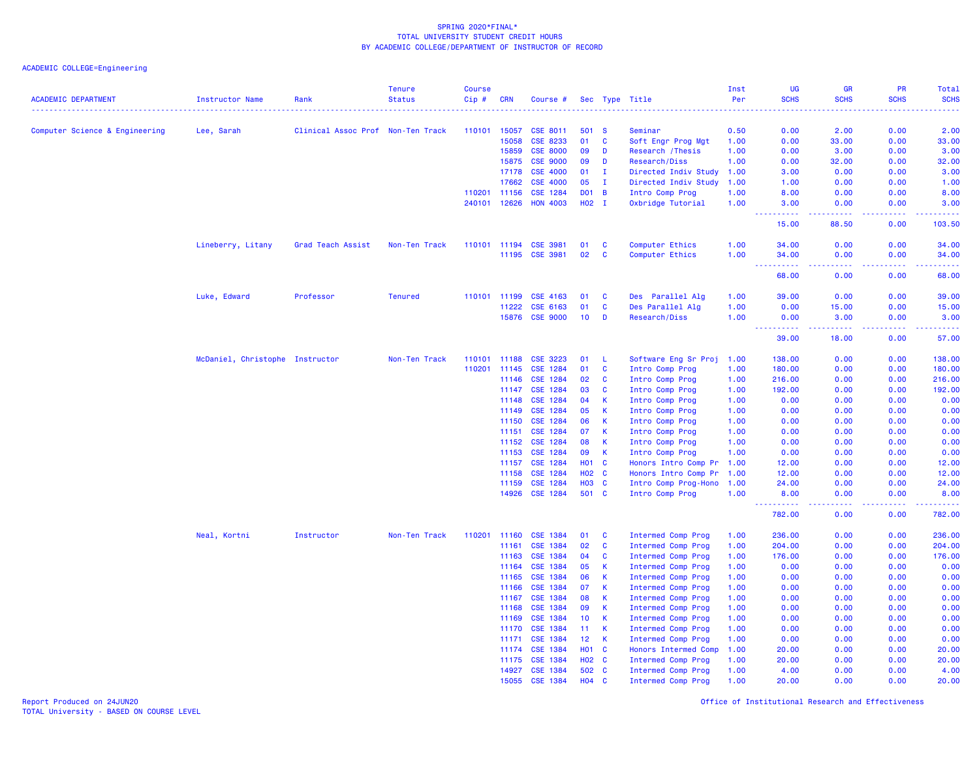|                                |                                 |                                   | <b>Tenure</b>  | <b>Course</b> |                       |                             |                   |              |                                    | Inst         | UG                                                                                                           | GR           | PR                                                                                                                                                           | Total          |
|--------------------------------|---------------------------------|-----------------------------------|----------------|---------------|-----------------------|-----------------------------|-------------------|--------------|------------------------------------|--------------|--------------------------------------------------------------------------------------------------------------|--------------|--------------------------------------------------------------------------------------------------------------------------------------------------------------|----------------|
| <b>ACADEMIC DEPARTMENT</b>     | Instructor Name                 | Rank                              | <b>Status</b>  | Cip#          | <b>CRN</b>            | Course #                    |                   |              | Sec Type Title                     | Per          | <b>SCHS</b>                                                                                                  | <b>SCHS</b>  | <b>SCHS</b>                                                                                                                                                  | <b>SCHS</b>    |
| Computer Science & Engineering | Lee, Sarah                      | Clinical Assoc Prof Non-Ten Track |                | 110101 15057  |                       | <b>CSE 8011</b>             | 501 S             |              | Seminar                            | 0.50         | 0.00                                                                                                         | 2.00         | 0.00                                                                                                                                                         | 2.00           |
|                                |                                 |                                   |                |               | 15058                 | CSE 8233                    | 01                | C            | Soft Engr Prog Mgt                 | 1.00         | 0.00                                                                                                         | 33.00        | 0.00                                                                                                                                                         | 33.00          |
|                                |                                 |                                   |                |               | 15859                 | <b>CSE 8000</b>             | 09                | D            | Research / Thesis                  | 1.00         | 0.00                                                                                                         | 3.00         | 0.00                                                                                                                                                         | 3.00           |
|                                |                                 |                                   |                |               | 15875                 | <b>CSE 9000</b>             | 09                | D            | Research/Diss                      | 1.00         | 0.00                                                                                                         | 32.00        | 0.00                                                                                                                                                         | 32.00          |
|                                |                                 |                                   |                |               | 17178                 | <b>CSE 4000</b>             | 01                | $\mathbf{I}$ | Directed Indiv Study               | 1.00         | 3.00                                                                                                         | 0.00         | 0.00                                                                                                                                                         | 3.00           |
|                                |                                 |                                   |                |               | 17662                 | <b>CSE 4000</b>             | 05                | $\mathbf{I}$ | Directed Indiv Study               | 1.00         | 1.00                                                                                                         | 0.00         | 0.00                                                                                                                                                         | 1.00           |
|                                |                                 |                                   |                | 110201        | 11156                 | <b>CSE 1284</b>             | <b>DO1 B</b>      |              | Intro Comp Prog                    | 1.00         | 8.00                                                                                                         | 0.00         | 0.00                                                                                                                                                         | 8.00           |
|                                |                                 |                                   |                |               | 240101 12626          | <b>HON 4003</b>             | $H02$ I           |              | Oxbridge Tutorial                  | 1.00         | 3.00                                                                                                         | 0.00         | 0.00                                                                                                                                                         | 3.00           |
|                                |                                 |                                   |                |               |                       |                             |                   |              |                                    |              | .<br>$\frac{1}{2} \left( \frac{1}{2} \right) \left( \frac{1}{2} \right) \left( \frac{1}{2} \right)$<br>15.00 | .<br>88.50   | $\frac{1}{2} \left( \frac{1}{2} \right) \left( \frac{1}{2} \right) \left( \frac{1}{2} \right) \left( \frac{1}{2} \right) \left( \frac{1}{2} \right)$<br>0.00 | .<br>103.50    |
|                                |                                 |                                   |                |               |                       |                             |                   |              |                                    |              |                                                                                                              |              |                                                                                                                                                              |                |
|                                | Lineberry, Litany               | Grad Teach Assist                 | Non-Ten Track  |               | 110101 11194<br>11195 | <b>CSE 3981</b><br>CSE 3981 | 01<br>02          | C<br>C       | Computer Ethics<br>Computer Ethics | 1.00<br>1.00 | 34.00<br>34.00                                                                                               | 0.00<br>0.00 | 0.00<br>0.00                                                                                                                                                 | 34.00<br>34.00 |
|                                |                                 |                                   |                |               |                       |                             |                   |              |                                    |              | .<br>$\sim$ $\sim$ $\sim$                                                                                    | د د د د      | . <b>.</b>                                                                                                                                                   | .              |
|                                |                                 |                                   |                |               |                       |                             |                   |              |                                    |              | 68.00                                                                                                        | 0.00         | 0.00                                                                                                                                                         | 68.00          |
|                                | Luke, Edward                    | Professor                         | <b>Tenured</b> | 110101        | 11199                 | CSE 4163                    | 01                | <b>C</b>     | Des Parallel Alg                   | 1.00         | 39.00                                                                                                        | 0.00         | 0.00                                                                                                                                                         | 39.00          |
|                                |                                 |                                   |                |               | 11222                 | CSE 6163                    | 01                | $\mathbf{C}$ | Des Parallel Alg                   | 1.00         | 0.00                                                                                                         | 15.00        | 0.00                                                                                                                                                         | 15.00          |
|                                |                                 |                                   |                |               | 15876                 | <b>CSE 9000</b>             | 10 <sup>°</sup>   | D            | Research/Diss                      | 1.00         | 0.00                                                                                                         | 3.00         | 0.00                                                                                                                                                         | 3.00           |
|                                |                                 |                                   |                |               |                       |                             |                   |              |                                    |              | 39.00                                                                                                        | 18.00        | 0.00                                                                                                                                                         | 57.00          |
|                                | McDaniel, Christophe Instructor |                                   | Non-Ten Track  | 110101        | 11188                 | CSE 3223                    | 01                | - L          | Software Eng Sr Proj               | 1.00         | 138.00                                                                                                       | 0.00         | 0.00                                                                                                                                                         | 138.00         |
|                                |                                 |                                   |                | 110201        | 11145                 | CSE 1284                    | 01                | $\mathbf{C}$ | Intro Comp Prog                    | 1.00         | 180.00                                                                                                       | 0.00         | 0.00                                                                                                                                                         | 180.00         |
|                                |                                 |                                   |                |               | 11146                 | CSE 1284                    | 02                | $\mathbf{C}$ | Intro Comp Prog                    | 1.00         | 216.00                                                                                                       | 0.00         | 0.00                                                                                                                                                         | 216.00         |
|                                |                                 |                                   |                |               | 11147                 | CSE 1284                    | 03                | <b>C</b>     | Intro Comp Prog                    | 1.00         | 192.00                                                                                                       | 0.00         | 0.00                                                                                                                                                         | 192.00         |
|                                |                                 |                                   |                |               | 11148                 | <b>CSE 1284</b>             | 04                | $\mathsf{K}$ | Intro Comp Prog                    | 1.00         | 0.00                                                                                                         | 0.00         | 0.00                                                                                                                                                         | 0.00           |
|                                |                                 |                                   |                |               | 11149                 | CSE 1284                    | 05                | $\mathsf{K}$ | Intro Comp Prog                    | 1.00         | 0.00                                                                                                         | 0.00         | 0.00                                                                                                                                                         | 0.00           |
|                                |                                 |                                   |                |               | 11150                 | CSE 1284                    | 06                | $\mathsf{K}$ | Intro Comp Prog                    | 1.00         | 0.00                                                                                                         | 0.00         | 0.00                                                                                                                                                         | 0.00           |
|                                |                                 |                                   |                |               | 11151                 | CSE 1284                    | 07                | $\mathsf{K}$ | Intro Comp Prog                    | 1.00         | 0.00                                                                                                         | 0.00         | 0.00                                                                                                                                                         | 0.00           |
|                                |                                 |                                   |                |               | 11152                 | CSE 1284                    | 08                | $\mathsf{K}$ | Intro Comp Prog                    | 1.00         | 0.00                                                                                                         | 0.00         | 0.00                                                                                                                                                         | 0.00           |
|                                |                                 |                                   |                |               | 11153                 | CSE 1284                    | 09                | $\mathsf{K}$ | Intro Comp Prog                    | 1.00         | 0.00                                                                                                         | 0.00         | 0.00                                                                                                                                                         | 0.00           |
|                                |                                 |                                   |                |               | 11157                 | CSE 1284                    | HO <sub>1</sub> C |              | Honors Intro Comp Pr 1.00          |              | 12.00                                                                                                        | 0.00         | 0.00                                                                                                                                                         | 12.00          |
|                                |                                 |                                   |                |               | 11158                 | CSE 1284                    | <b>HO2 C</b>      |              | Honors Intro Comp Pr 1.00          |              | 12.00                                                                                                        | 0.00         | 0.00                                                                                                                                                         | 12.00          |
|                                |                                 |                                   |                |               | 11159                 | CSE 1284                    | <b>HO3</b>        | $\mathbf{C}$ | Intro Comp Prog-Hono 1.00          |              | 24.00                                                                                                        | 0.00         | 0.00                                                                                                                                                         | 24.00          |
|                                |                                 |                                   |                |               | 14926                 | <b>CSE 1284</b>             | 501 C             |              | Intro Comp Prog                    | 1.00         | 8.00                                                                                                         | 0.00         | 0.00                                                                                                                                                         | 8.00           |
|                                |                                 |                                   |                |               |                       |                             |                   |              |                                    |              | <u>.</u><br>782.00                                                                                           | .<br>0.00    | . <b>.</b><br>0.00                                                                                                                                           | .<br>782.00    |
|                                | Neal, Kortni                    | Instructor                        | Non-Ten Track  | 110201 11160  |                       | <b>CSE 1384</b>             | 01                | <b>C</b>     | Intermed Comp Prog                 | 1.00         | 236.00                                                                                                       | 0.00         | 0.00                                                                                                                                                         | 236.00         |
|                                |                                 |                                   |                |               | 11161                 | <b>CSE 1384</b>             | 02                | <b>C</b>     | Intermed Comp Prog                 | 1.00         | 204.00                                                                                                       | 0.00         | 0.00                                                                                                                                                         | 204.00         |
|                                |                                 |                                   |                |               | 11163                 | CSE 1384                    | 04                | <b>C</b>     | Intermed Comp Prog                 | 1.00         | 176.00                                                                                                       | 0.00         | 0.00                                                                                                                                                         | 176.00         |
|                                |                                 |                                   |                |               | 11164                 | CSE 1384                    | 05                | $\mathsf{K}$ | <b>Intermed Comp Prog</b>          | 1.00         | 0.00                                                                                                         | 0.00         | 0.00                                                                                                                                                         | 0.00           |
|                                |                                 |                                   |                |               | 11165                 | CSE 1384                    | 06                | $\mathbf{K}$ | Intermed Comp Prog                 | 1.00         | 0.00                                                                                                         | 0.00         | 0.00                                                                                                                                                         | 0.00           |
|                                |                                 |                                   |                |               | 11166                 | CSE 1384                    | 07                | K            | Intermed Comp Prog                 | 1.00         | 0.00                                                                                                         | 0.00         | 0.00                                                                                                                                                         | 0.00           |
|                                |                                 |                                   |                |               | 11167                 | <b>CSE 1384</b>             | 08                | $\mathsf{K}$ | Intermed Comp Prog                 | 1.00         | 0.00                                                                                                         | 0.00         | 0.00                                                                                                                                                         | 0.00           |
|                                |                                 |                                   |                |               | 11168                 | <b>CSE 1384</b>             | 09                | $\mathsf{K}$ | Intermed Comp Prog                 | 1.00         | 0.00                                                                                                         | 0.00         | 0.00                                                                                                                                                         | 0.00           |
|                                |                                 |                                   |                |               | 11169                 | CSE 1384                    | 10                | <b>K</b>     | Intermed Comp Prog                 | 1.00         | 0.00                                                                                                         | 0.00         | 0.00                                                                                                                                                         | 0.00           |
|                                |                                 |                                   |                |               | 11170                 | CSE 1384                    | 11                | $\mathsf{K}$ | <b>Intermed Comp Prog</b>          | 1.00         | 0.00                                                                                                         | 0.00         | 0.00                                                                                                                                                         | 0.00           |
|                                |                                 |                                   |                |               | 11171                 | CSE 1384                    | 12 <sub>2</sub>   | $\mathsf{K}$ | Intermed Comp Prog                 | 1.00         | 0.00                                                                                                         | 0.00         | 0.00                                                                                                                                                         | 0.00           |
|                                |                                 |                                   |                |               | 11174                 | CSE 1384                    | <b>HO1 C</b>      |              | Honors Intermed Comp               | 1.00         | 20.00                                                                                                        | 0.00         | 0.00                                                                                                                                                         | 20.00          |
|                                |                                 |                                   |                |               | 11175                 | <b>CSE 1384</b>             | <b>HO2</b>        | <b>C</b>     | Intermed Comp Prog                 | 1.00         | 20.00                                                                                                        | 0.00         | 0.00                                                                                                                                                         | 20.00          |
|                                |                                 |                                   |                |               | 14927                 | <b>CSE 1384</b>             | 502               | <b>C</b>     | Intermed Comp Prog                 | 1.00         | 4.00                                                                                                         | 0.00         | 0.00                                                                                                                                                         | 4.00           |
|                                |                                 |                                   |                |               | 15055                 | CSE 1384                    | <b>HO4</b>        | C            | <b>Intermed Comp Prog</b>          | 1.00         | 20.00                                                                                                        | 0.00         | 0.00                                                                                                                                                         | 20.00          |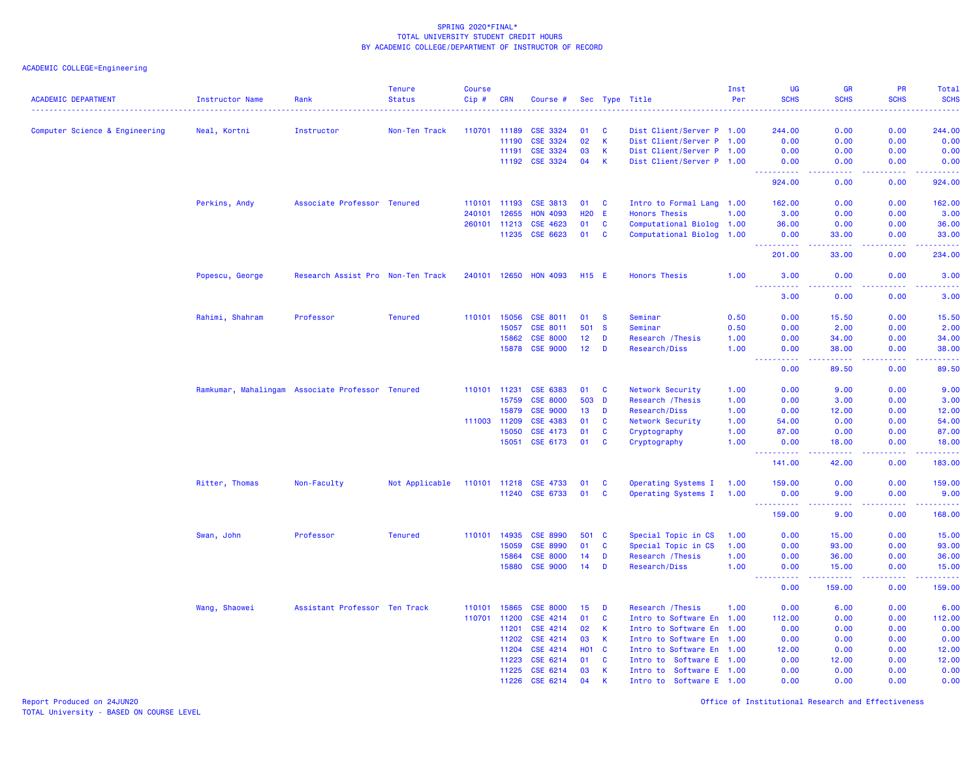| <b>ACADEMIC DEPARTMENT</b>     | Instructor Name | Rank                                             | <b>Tenure</b><br><b>Status</b> | <b>Course</b><br>Cip# | <b>CRN</b>   | Course #              |            |              | Sec Type Title            | Inst<br>Per | UG<br><b>SCHS</b>                                                                                                                                            | <b>GR</b><br><b>SCHS</b>                                                                                                                                      | <b>PR</b><br><b>SCHS</b> | Total<br><b>SCHS</b>                                                                                                |
|--------------------------------|-----------------|--------------------------------------------------|--------------------------------|-----------------------|--------------|-----------------------|------------|--------------|---------------------------|-------------|--------------------------------------------------------------------------------------------------------------------------------------------------------------|---------------------------------------------------------------------------------------------------------------------------------------------------------------|--------------------------|---------------------------------------------------------------------------------------------------------------------|
| Computer Science & Engineering | Neal, Kortni    | Instructor                                       | Non-Ten Track                  | 110701 11189          |              | <b>CSE 3324</b>       | 01         | C            | Dist Client/Server P 1.00 |             | 244.00                                                                                                                                                       | 0.00                                                                                                                                                          | 0.00                     | 244.00                                                                                                              |
|                                |                 |                                                  |                                |                       | 11190        | CSE 3324              | 02         | $\mathsf{K}$ | Dist Client/Server P 1.00 |             | 0.00                                                                                                                                                         | 0.00                                                                                                                                                          | 0.00                     | 0.00                                                                                                                |
|                                |                 |                                                  |                                |                       | 11191        | CSE 3324              | 03         | K            | Dist Client/Server P 1.00 |             | 0.00                                                                                                                                                         | 0.00                                                                                                                                                          | 0.00                     | 0.00                                                                                                                |
|                                |                 |                                                  |                                |                       | 11192        | <b>CSE 3324</b>       | 04         | $\mathsf{K}$ | Dist Client/Server P 1.00 |             | 0.00                                                                                                                                                         | 0.00                                                                                                                                                          | 0.00                     | 0.00                                                                                                                |
|                                |                 |                                                  |                                |                       |              |                       |            |              |                           |             | <b></b><br>924.00                                                                                                                                            | د د د د<br>0.00                                                                                                                                               | -----<br>0.00            | .<br>924.00                                                                                                         |
|                                | Perkins, Andy   | Associate Professor Tenured                      |                                | 110101 11193          |              | <b>CSE 3813</b>       | 01         | <b>C</b>     | Intro to Formal Lang 1.00 |             | 162.00                                                                                                                                                       | 0.00                                                                                                                                                          | 0.00                     | 162.00                                                                                                              |
|                                |                 |                                                  |                                | 240101                | 12655        | <b>HON 4093</b>       | <b>H20</b> | -E           | <b>Honors Thesis</b>      | 1.00        | 3.00                                                                                                                                                         | 0.00                                                                                                                                                          | 0.00                     | 3.00                                                                                                                |
|                                |                 |                                                  |                                | 260101                | 11213        | <b>CSE 4623</b>       | 01         | C            | Computational Biolog 1.00 |             | 36.00                                                                                                                                                        | 0.00                                                                                                                                                          | 0.00                     | 36.00                                                                                                               |
|                                |                 |                                                  |                                |                       | 11235        | <b>CSE 6623</b>       | 01         | <b>C</b>     | Computational Biolog 1.00 |             | 0.00<br>$\frac{1}{2} \left( \frac{1}{2} \right) \left( \frac{1}{2} \right) \left( \frac{1}{2} \right) \left( \frac{1}{2} \right) \left( \frac{1}{2} \right)$ | 33.00                                                                                                                                                         | 0.00<br>.                | 33.00<br>.                                                                                                          |
|                                |                 |                                                  |                                |                       |              |                       |            |              |                           |             | 201.00                                                                                                                                                       | 33.00                                                                                                                                                         | 0.00                     | 234.00                                                                                                              |
|                                | Popescu, George | Research Assist Pro Non-Ten Track                |                                |                       |              | 240101 12650 HON 4093 | H15 E      |              | <b>Honors Thesis</b>      | 1.00        | 3.00<br><u>.</u>                                                                                                                                             | 0.00<br>.                                                                                                                                                     | 0.00<br>22222            | 3.00<br>.                                                                                                           |
|                                |                 |                                                  |                                |                       |              |                       |            |              |                           |             | 3.00                                                                                                                                                         | 0.00                                                                                                                                                          | 0.00                     | 3.00                                                                                                                |
|                                | Rahimi, Shahram | Professor                                        | <b>Tenured</b>                 |                       | 110101 15056 | CSE 8011              | 01         | <b>S</b>     | Seminar                   | 0.50        | 0.00                                                                                                                                                         | 15.50                                                                                                                                                         | 0.00                     | 15.50                                                                                                               |
|                                |                 |                                                  |                                |                       | 15057        | CSE 8011              | 501        | <b>S</b>     | Seminar                   | 0.50        | 0.00                                                                                                                                                         | 2.00                                                                                                                                                          | 0.00                     | 2.00                                                                                                                |
|                                |                 |                                                  |                                |                       | 15862        | <b>CSE 8000</b>       | 12         | D            | Research / Thesis         | 1.00        | 0.00                                                                                                                                                         | 34.00                                                                                                                                                         | 0.00                     | 34.00                                                                                                               |
|                                |                 |                                                  |                                |                       | 15878        | <b>CSE 9000</b>       | 12         | D            | Research/Diss             | 1.00        | 0.00<br>$\frac{1}{2} \left( \frac{1}{2} \right) \left( \frac{1}{2} \right) \left( \frac{1}{2} \right) \left( \frac{1}{2} \right)$                            | 38.00<br>$\frac{1}{2} \left( \frac{1}{2} \right) \left( \frac{1}{2} \right) \left( \frac{1}{2} \right) \left( \frac{1}{2} \right) \left( \frac{1}{2} \right)$ | 0.00<br>-----            | 38.00<br>.                                                                                                          |
|                                |                 |                                                  |                                |                       |              |                       |            |              |                           |             | 0.00                                                                                                                                                         | 89.50                                                                                                                                                         | 0.00                     | 89.50                                                                                                               |
|                                |                 | Ramkumar, Mahalingam Associate Professor Tenured |                                | 110101 11231          |              | CSE 6383              | 01         | C            | Network Security          | 1.00        | 0.00                                                                                                                                                         | 9.00                                                                                                                                                          | 0.00                     | 9.00                                                                                                                |
|                                |                 |                                                  |                                |                       | 15759        | <b>CSE 8000</b>       |            | 503 D        | Research / Thesis         | 1.00        | 0.00                                                                                                                                                         | 3.00                                                                                                                                                          | 0.00                     | 3.00                                                                                                                |
|                                |                 |                                                  |                                |                       | 15879        | <b>CSE 9000</b>       | 13         | D            | Research/Diss             | 1.00        | 0.00                                                                                                                                                         | 12.00                                                                                                                                                         | 0.00                     | 12.00                                                                                                               |
|                                |                 |                                                  |                                | 111003                | 11209        | CSE 4383              | 01         | $\mathbf{C}$ | Network Security          | 1.00        | 54.00                                                                                                                                                        | 0.00                                                                                                                                                          | 0.00                     | 54.00                                                                                                               |
|                                |                 |                                                  |                                |                       | 15050        | CSE 4173              | 01         | $\mathbf{C}$ | Cryptography              | 1.00        | 87.00                                                                                                                                                        | 0.00                                                                                                                                                          | 0.00                     | 87.00                                                                                                               |
|                                |                 |                                                  |                                |                       |              | 15051 CSE 6173        | 01         | <b>C</b>     | Cryptography              | 1.00        | 0.00<br><b></b>                                                                                                                                              | 18.00<br>$\frac{1}{2} \left( \frac{1}{2} \right) \left( \frac{1}{2} \right) \left( \frac{1}{2} \right) \left( \frac{1}{2} \right)$                            | 0.00<br>22222            | 18.00<br>.                                                                                                          |
|                                |                 |                                                  |                                |                       |              |                       |            |              |                           |             | 141.00                                                                                                                                                       | 42.00                                                                                                                                                         | 0.00                     | 183.00                                                                                                              |
|                                | Ritter, Thomas  | Non-Faculty                                      | Not Applicable                 |                       |              | 110101 11218 CSE 4733 | 01         | C            | Operating Systems I       | 1.00        | 159.00                                                                                                                                                       | 0.00                                                                                                                                                          | 0.00                     | 159.00                                                                                                              |
|                                |                 |                                                  |                                |                       | 11240        | CSE 6733              | 01         | <b>C</b>     | Operating Systems I       | 1.00        | 0.00<br>----------                                                                                                                                           | 9.00<br>.                                                                                                                                                     | 0.00<br>-----            | 9.00<br>$\begin{array}{cccccccccc} \bullet & \bullet & \bullet & \bullet & \bullet & \bullet & \bullet \end{array}$ |
|                                |                 |                                                  |                                |                       |              |                       |            |              |                           |             | 159.00                                                                                                                                                       | 9.00                                                                                                                                                          | 0.00                     | 168.00                                                                                                              |
|                                | Swan, John      | Professor                                        | <b>Tenured</b>                 | 110101                | 14935        | <b>CSE 8990</b>       | 501        | $\mathbf{C}$ | Special Topic in CS       | 1.00        | 0.00                                                                                                                                                         | 15.00                                                                                                                                                         | 0.00                     | 15.00                                                                                                               |
|                                |                 |                                                  |                                |                       | 15059        | <b>CSE 8990</b>       | 01         | $\mathbf{C}$ | Special Topic in CS       | 1.00        | 0.00                                                                                                                                                         | 93.00                                                                                                                                                         | 0.00                     | 93.00                                                                                                               |
|                                |                 |                                                  |                                |                       | 15864        | <b>CSE 8000</b>       | 14         | D            | Research / Thesis         | 1.00        | 0.00                                                                                                                                                         | 36.00                                                                                                                                                         | 0.00                     | 36.00                                                                                                               |
|                                |                 |                                                  |                                |                       | 15880        | <b>CSE 9000</b>       | 14         | D            | Research/Diss             | 1.00        | 0.00                                                                                                                                                         | 15.00                                                                                                                                                         | 0.00                     | 15.00<br>المتمامي                                                                                                   |
|                                |                 |                                                  |                                |                       |              |                       |            |              |                           |             | 0.00                                                                                                                                                         | 159.00                                                                                                                                                        | 0.00                     | 159.00                                                                                                              |
|                                | Wang, Shaowei   | Assistant Professor Ten Track                    |                                | 110101                | 15865        | <b>CSE 8000</b>       | 15         | D            | Research / Thesis         | 1.00        | 0.00                                                                                                                                                         | 6.00                                                                                                                                                          | 0.00                     | 6.00                                                                                                                |
|                                |                 |                                                  |                                | 110701 11200          |              | CSE 4214              | 01         | C            | Intro to Software En 1.00 |             | 112.00                                                                                                                                                       | 0.00                                                                                                                                                          | 0.00                     | 112.00                                                                                                              |
|                                |                 |                                                  |                                |                       | 11201        | CSE 4214              | 02         | $\mathsf{K}$ | Intro to Software En 1.00 |             | 0.00                                                                                                                                                         | 0.00                                                                                                                                                          | 0.00                     | 0.00                                                                                                                |
|                                |                 |                                                  |                                |                       | 11202        | CSE 4214              | 03         | $\mathsf K$  | Intro to Software En 1.00 |             | 0.00                                                                                                                                                         | 0.00                                                                                                                                                          | 0.00                     | 0.00                                                                                                                |
|                                |                 |                                                  |                                |                       | 11204        | CSE 4214              | <b>HO1</b> | C            | Intro to Software En 1.00 |             | 12.00                                                                                                                                                        | 0.00                                                                                                                                                          | 0.00                     | 12.00                                                                                                               |
|                                |                 |                                                  |                                |                       | 11223        | CSE 6214              | 01         | C            | Intro to Software E 1.00  |             | 0.00                                                                                                                                                         | 12.00                                                                                                                                                         | 0.00                     | 12.00                                                                                                               |
|                                |                 |                                                  |                                |                       | 11225        | CSE 6214              | 03         | К            | Intro to Software E 1.00  |             | 0.00                                                                                                                                                         | 0.00                                                                                                                                                          | 0.00                     | 0.00                                                                                                                |
|                                |                 |                                                  |                                |                       | 11226        | CSE 6214              | 04         | К            | Intro to Software E 1.00  |             | 0.00                                                                                                                                                         | 0.00                                                                                                                                                          | 0.00                     | 0.00                                                                                                                |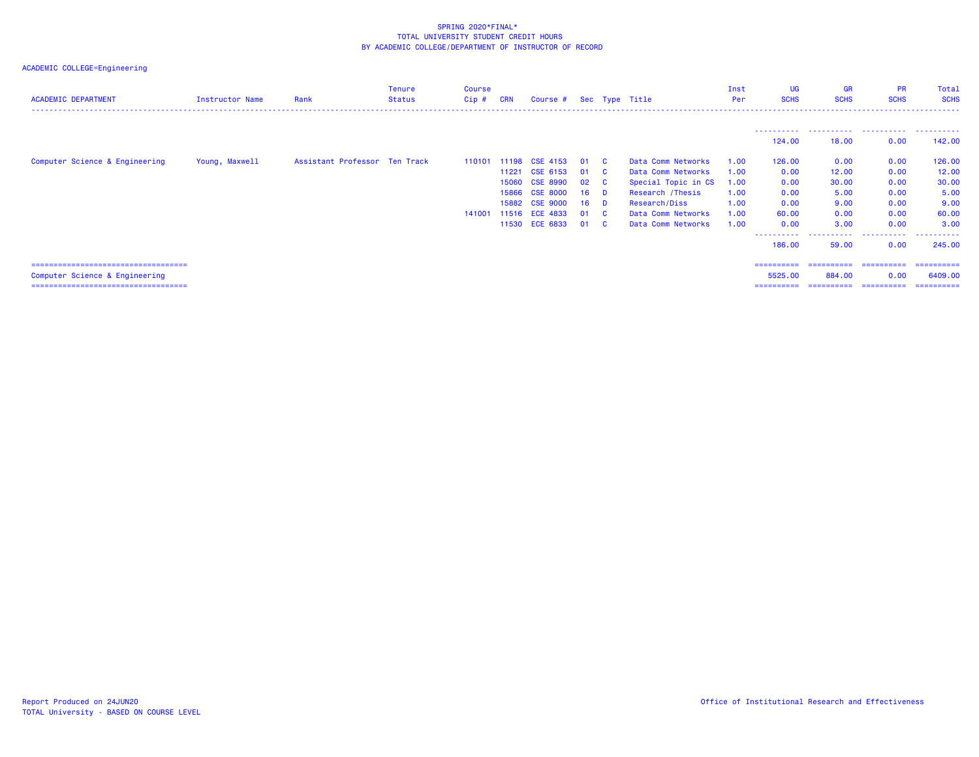| <b>ACADEMIC DEPARTMENT</b>             | Instructor Name | Rank                          | Tenure<br><b>Status</b> | <b>Course</b><br>$Cip$ # | <b>CRN</b> | Course # Sec Type Title |                 |                |                     | Inst<br>Per | <b>UG</b><br><b>SCHS</b> | <b>GR</b><br><b>SCHS</b> | <b>PR</b><br><b>SCHS</b>          | Total<br><b>SCHS</b> |
|----------------------------------------|-----------------|-------------------------------|-------------------------|--------------------------|------------|-------------------------|-----------------|----------------|---------------------|-------------|--------------------------|--------------------------|-----------------------------------|----------------------|
|                                        |                 |                               |                         |                          |            |                         |                 |                |                     |             |                          |                          |                                   |                      |
|                                        |                 |                               |                         |                          |            |                         |                 |                |                     |             | 124.00                   | -----------<br>18,00     | .<br>0.00                         | 142.00               |
| Computer Science & Engineering         | Young, Maxwell  | Assistant Professor Ten Track |                         | 110101                   | 11198      | CSE 4153                | 01              | <b>C</b>       | Data Comm Networks  | 1.00        | 126,00                   | 0.00                     | 0.00                              | 126.00               |
|                                        |                 |                               |                         |                          | 11221      | CSE 6153                | 01              | <b>C</b>       | Data Comm Networks  | 1.00        | 0.00                     | 12.00                    | 0.00                              | 12.00                |
|                                        |                 |                               |                         |                          | 15060      | <b>CSE 8990</b>         | 02              | - C            | Special Topic in CS | 1.00        | 0.00                     | 30.00                    | 0.00                              | 30.00                |
|                                        |                 |                               |                         |                          | 15866      | <b>CSE 8000</b>         | 16              | $\blacksquare$ | Research / Thesis   | 1.00        | 0.00                     | 5.00                     | 0.00                              | 5.00                 |
|                                        |                 |                               |                         |                          | 15882      | <b>CSE 9000</b>         | 16 <sup>1</sup> | <b>D</b>       | Research/Diss       | 1.00        | 0.00                     | 9.00                     | 0.00                              | 9.00                 |
|                                        |                 |                               |                         | 141001                   |            | 11516 ECE 4833          | 01              | $\mathbf{C}$   | Data Comm Networks  | 1.00        | 60.00                    | 0.00                     | 0.00                              | 60.00                |
|                                        |                 |                               |                         |                          |            | 11530 ECE 6833          | 01              | <b>C</b>       | Data Comm Networks  | 1.00        | 0.00                     | 3.00                     | 0.00                              | 3.00                 |
|                                        |                 |                               |                         |                          |            |                         |                 |                |                     |             | -----------<br>186,00    | .<br>59.00               | .<br>0.00                         | .<br>245,00          |
| ====================================== |                 |                               |                         |                          |            |                         |                 |                |                     |             | ==========               | ==========               | ==========                        | ==========           |
| Computer Science & Engineering         |                 |                               |                         |                          |            |                         |                 |                |                     |             | 5525,00                  | 884,00                   | 0.00                              | 6409.00              |
| ====================================== |                 |                               |                         |                          |            |                         |                 |                |                     |             | ==========               |                          | _========== =========== ========= |                      |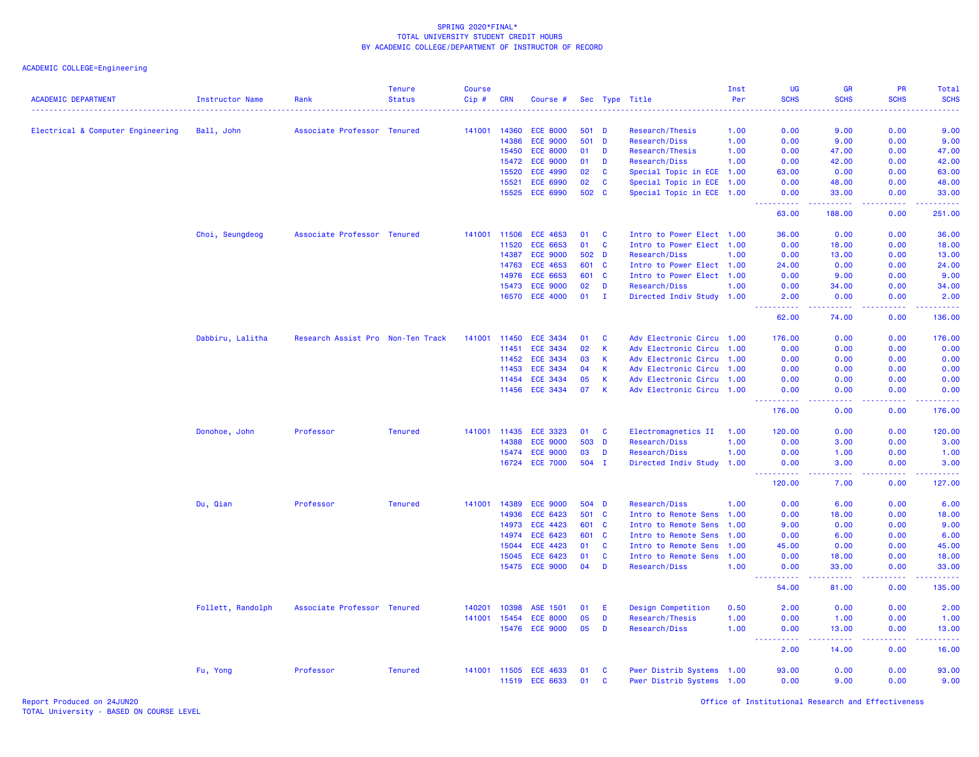| <b>ACADEMIC DEPARTMENT</b>        | <b>Instructor Name</b> | Rank                              | <b>Tenure</b><br><b>Status</b> | <b>Course</b><br>Cip# | <b>CRN</b>   | Course #        |       |              | Sec Type Title            | Inst<br>Per | UG<br><b>SCHS</b>                   | <b>GR</b><br><b>SCHS</b>                                                                                                          | <b>PR</b><br><b>SCHS</b> | Total<br><b>SCHS</b>                                                                            |
|-----------------------------------|------------------------|-----------------------------------|--------------------------------|-----------------------|--------------|-----------------|-------|--------------|---------------------------|-------------|-------------------------------------|-----------------------------------------------------------------------------------------------------------------------------------|--------------------------|-------------------------------------------------------------------------------------------------|
|                                   |                        |                                   |                                |                       |              |                 |       |              |                           |             |                                     |                                                                                                                                   |                          |                                                                                                 |
| Electrical & Computer Engineering | Ball, John             | Associate Professor Tenured       |                                | 141001                | 14360        | <b>ECE 8000</b> |       | 501 D        | Research/Thesis           | 1.00        | 0.00                                | 9.00                                                                                                                              | 0.00                     | 9.00                                                                                            |
|                                   |                        |                                   |                                |                       | 14386        | <b>ECE 9000</b> | 501   | $\mathbf{D}$ | Research/Diss             | 1.00        | 0.00                                | 9.00                                                                                                                              | 0.00                     | 9.00                                                                                            |
|                                   |                        |                                   |                                |                       | 15450        | <b>ECE 8000</b> | 01    | D            | Research/Thesis           | 1.00        | 0.00                                | 47.00                                                                                                                             | 0.00                     | 47.00                                                                                           |
|                                   |                        |                                   |                                |                       | 15472        | <b>ECE 9000</b> | 01    | D            | Research/Diss             | 1.00        | 0.00                                | 42.00                                                                                                                             | 0.00                     | 42.00                                                                                           |
|                                   |                        |                                   |                                |                       | 15520        | <b>ECE 4990</b> | 02    | $\mathbf{C}$ | Special Topic in ECE 1.00 |             | 63.00                               | 0.00                                                                                                                              | 0.00                     | 63.00                                                                                           |
|                                   |                        |                                   |                                |                       | 15521        | <b>ECE 6990</b> | 02    | $\mathbf{C}$ | Special Topic in ECE 1.00 |             | 0.00                                | 48.00                                                                                                                             | 0.00                     | 48.00                                                                                           |
|                                   |                        |                                   |                                |                       | 15525        | <b>ECE 6990</b> | 502   | $\mathbf{C}$ | Special Topic in ECE 1.00 |             | 0.00<br>المتمامين                   | 33.00<br>.                                                                                                                        | 0.00<br>.                | 33.00<br>.                                                                                      |
|                                   |                        |                                   |                                |                       |              |                 |       |              |                           |             | 63.00                               | 188.00                                                                                                                            | 0.00                     | 251.00                                                                                          |
|                                   | Choi, Seungdeog        | Associate Professor Tenured       |                                | 141001                | 11506        | <b>ECE 4653</b> | 01    | <b>C</b>     | Intro to Power Elect 1.00 |             | 36.00                               | 0.00                                                                                                                              | 0.00                     | 36.00                                                                                           |
|                                   |                        |                                   |                                |                       | 11520        | <b>ECE 6653</b> | 01    | $\mathbf{C}$ | Intro to Power Elect 1.00 |             | 0.00                                | 18.00                                                                                                                             | 0.00                     | 18.00                                                                                           |
|                                   |                        |                                   |                                |                       | 14387        | <b>ECE 9000</b> |       | 502 D        | Research/Diss             | 1.00        | 0.00                                | 13.00                                                                                                                             | 0.00                     | 13.00                                                                                           |
|                                   |                        |                                   |                                |                       | 14763        | <b>ECE 4653</b> |       | 601 C        | Intro to Power Elect 1.00 |             | 24.00                               | 0.00                                                                                                                              | 0.00                     | 24.00                                                                                           |
|                                   |                        |                                   |                                |                       | 14976        | <b>ECE 6653</b> | 601   | $\mathbf{C}$ | Intro to Power Elect 1.00 |             | 0.00                                | 9.00                                                                                                                              | 0.00                     | 9.00                                                                                            |
|                                   |                        |                                   |                                |                       | 15473        | <b>ECE 9000</b> | 02    | D            | Research/Diss             | 1.00        | 0.00                                | 34.00                                                                                                                             | 0.00                     | 34.00                                                                                           |
|                                   |                        |                                   |                                |                       |              | 16570 ECE 4000  | 01    | $\mathbf{I}$ | Directed Indiv Study 1.00 |             | 2.00<br>. <u>.</u>                  | 0.00<br>$\frac{1}{2} \left( \frac{1}{2} \right) \left( \frac{1}{2} \right) \left( \frac{1}{2} \right) \left( \frac{1}{2} \right)$ | 0.00<br>22222            | 2.00<br>.                                                                                       |
|                                   |                        |                                   |                                |                       |              |                 |       |              |                           |             | 62.00                               | 74.00                                                                                                                             | 0.00                     | 136.00                                                                                          |
|                                   | Dabbiru, Lalitha       | Research Assist Pro Non-Ten Track |                                | 141001 11450          |              | ECE 3434        | 01    | $\mathbf{C}$ | Adv Electronic Circu 1.00 |             | 176.00                              | 0.00                                                                                                                              | 0.00                     | 176.00                                                                                          |
|                                   |                        |                                   |                                |                       | 11451        | <b>ECE 3434</b> | 02    | $\mathsf K$  | Adv Electronic Circu      | 1.00        | 0.00                                | 0.00                                                                                                                              | 0.00                     | 0.00                                                                                            |
|                                   |                        |                                   |                                |                       | 11452        | <b>ECE 3434</b> | 03    | $\mathbf{K}$ | Adv Electronic Circu 1.00 |             | 0.00                                | 0.00                                                                                                                              | 0.00                     | 0.00                                                                                            |
|                                   |                        |                                   |                                |                       | 11453        | <b>ECE 3434</b> | 04    | $\mathbf{K}$ | Adv Electronic Circu 1.00 |             | 0.00                                | 0.00                                                                                                                              | 0.00                     | 0.00                                                                                            |
|                                   |                        |                                   |                                |                       | 11454        | <b>ECE 3434</b> | 05    | $\mathsf{K}$ | Adv Electronic Circu      | 1.00        | 0.00                                | 0.00                                                                                                                              | 0.00                     | 0.00                                                                                            |
|                                   |                        |                                   |                                |                       | 11456        | <b>ECE 3434</b> | 07    | K            | Adv Electronic Circu 1.00 |             | 0.00<br><u> - - - - - - - - - -</u> | 0.00<br>.                                                                                                                         | 0.00<br>.                | 0.00<br>$\mathbf{L}^{\prime} = \mathbf{L}^{\prime} + \mathbf{L}^{\prime} + \mathbf{L}^{\prime}$ |
|                                   |                        |                                   |                                |                       |              |                 |       |              |                           |             | 176.00                              | 0.00                                                                                                                              | 0.00                     | 176.00                                                                                          |
|                                   | Donohoe, John          | Professor                         | <b>Tenured</b>                 |                       | 141001 11435 | <b>ECE 3323</b> | 01    | <b>C</b>     | Electromagnetics II       | 1.00        | 120.00                              | 0.00                                                                                                                              | 0.00                     | 120.00                                                                                          |
|                                   |                        |                                   |                                |                       | 14388        | <b>ECE 9000</b> | 503   | D            | Research/Diss             | 1.00        | 0.00                                | 3.00                                                                                                                              | 0.00                     | 3.00                                                                                            |
|                                   |                        |                                   |                                |                       | 15474        | <b>ECE 9000</b> | 03    | D            | Research/Diss             | 1.00        | 0.00                                | 1.00                                                                                                                              | 0.00                     | 1.00                                                                                            |
|                                   |                        |                                   |                                |                       | 16724        | <b>ECE 7000</b> | 504 I |              | Directed Indiv Study      | 1.00        | 0.00<br>-----                       | 3.00<br>وعاعات                                                                                                                    | 0.00<br>.                | 3.00<br>.                                                                                       |
|                                   |                        |                                   |                                |                       |              |                 |       |              |                           |             | 120.00                              | 7.00                                                                                                                              | 0.00                     | 127.00                                                                                          |
|                                   | Du, Qian               | Professor                         | <b>Tenured</b>                 | 141001                | 14389        | <b>ECE 9000</b> | 504   | <b>D</b>     | Research/Diss             | 1.00        | 0.00                                | 6.00                                                                                                                              | 0.00                     | 6.00                                                                                            |
|                                   |                        |                                   |                                |                       | 14936        | <b>ECE 6423</b> |       | 501 C        | Intro to Remote Sens 1.00 |             | 0.00                                | 18.00                                                                                                                             | 0.00                     | 18.00                                                                                           |
|                                   |                        |                                   |                                |                       | 14973        | <b>ECE 4423</b> |       | 601 C        | Intro to Remote Sens 1.00 |             | 9.00                                | 0.00                                                                                                                              | 0.00                     | 9.00                                                                                            |
|                                   |                        |                                   |                                |                       | 14974        | <b>ECE 6423</b> | 601   | <b>C</b>     | Intro to Remote Sens      | 1.00        | 0.00                                | 6.00                                                                                                                              | 0.00                     | 6.00                                                                                            |
|                                   |                        |                                   |                                |                       | 15044        | <b>ECE 4423</b> | 01    | <b>C</b>     | Intro to Remote Sens      | 1.00        | 45.00                               | 0.00                                                                                                                              | 0.00                     | 45.00                                                                                           |
|                                   |                        |                                   |                                |                       | 15045        | <b>ECE 6423</b> | 01    | $\mathbf{C}$ | Intro to Remote Sens      | 1.00        | 0.00                                | 18.00                                                                                                                             | 0.00                     | 18.00                                                                                           |
|                                   |                        |                                   |                                |                       | 15475        | <b>ECE 9000</b> | 04    | D            | Research/Diss             | 1.00        | 0.00<br><u>.</u>                    | 33.00<br>المستمالات                                                                                                               | 0.00<br>22222            | 33.00<br>.                                                                                      |
|                                   |                        |                                   |                                |                       |              |                 |       |              |                           |             | 54.00                               | 81.00                                                                                                                             | 0.00                     | 135.00                                                                                          |
|                                   | Follett, Randolph      | Associate Professor Tenured       |                                | 140201                | 10398        | ASE 1501        | 01    | E            | Design Competition        | 0.50        | 2.00                                | 0.00                                                                                                                              | 0.00                     | 2.00                                                                                            |
|                                   |                        |                                   |                                | 141001                | 15454        | <b>ECE 8000</b> | 05    | D            | Research/Thesis           | 1.00        | 0.00                                | 1.00                                                                                                                              | 0.00                     | 1.00                                                                                            |
|                                   |                        |                                   |                                |                       | 15476        | <b>ECE 9000</b> | 05    | D            | Research/Diss             | 1.00        | 0.00                                | 13.00                                                                                                                             | 0.00                     | 13.00                                                                                           |
|                                   |                        |                                   |                                |                       |              |                 |       |              |                           |             | 2.00                                | 14.00                                                                                                                             | 0.00                     | 16.00                                                                                           |
|                                   | Fu, Yong               | Professor                         | <b>Tenured</b>                 |                       | 141001 11505 | <b>ECE 4633</b> | 01    | <b>C</b>     | Pwer Distrib Systems 1.00 |             | 93.00                               | 0.00                                                                                                                              | 0.00                     | 93.00                                                                                           |
|                                   |                        |                                   |                                |                       | 11519        | <b>ECE 6633</b> | 01    | <b>C</b>     | Pwer Distrib Systems 1.00 |             | 0.00                                | 9.00                                                                                                                              | 0.00                     | 9.00                                                                                            |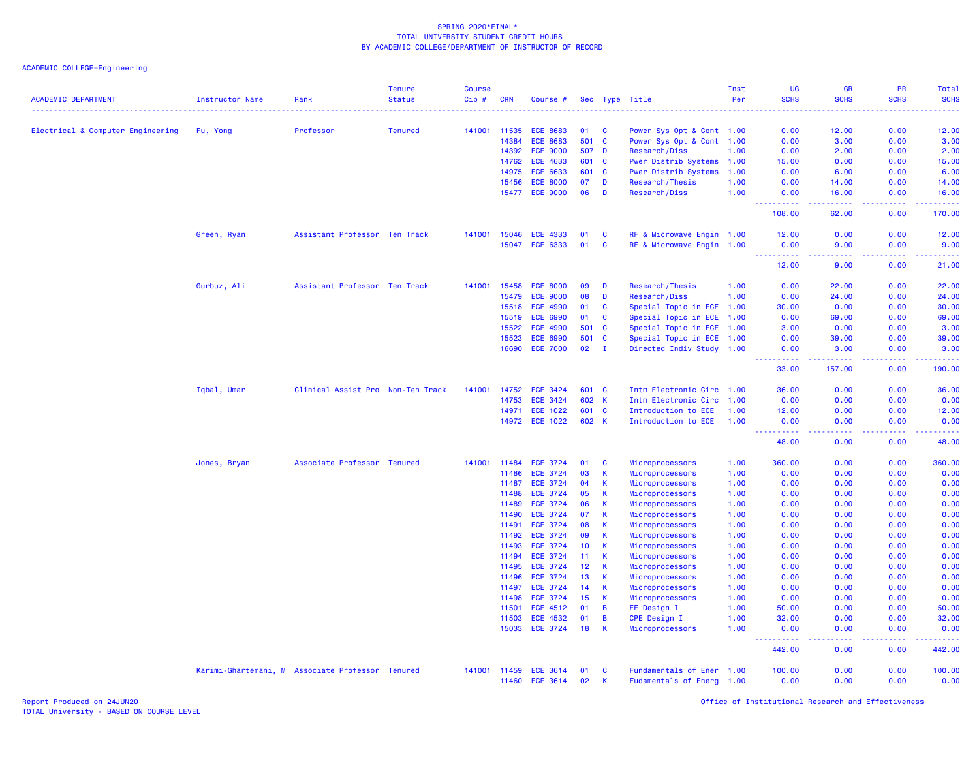| <b>ACADEMIC DEPARTMENT</b>        | Instructor Name | Rank                                             | <b>Tenure</b><br><b>Status</b> | <b>Course</b><br>Cip# | <b>CRN</b>     | Course #                           |          |                              | Sec Type Title                     | Inst<br>Per  | <b>UG</b><br><b>SCHS</b>                                                                                                                                     | GR<br><b>SCHS</b>                                                                                                                 | PR<br><b>SCHS</b> | Total<br><b>SCHS</b> |
|-----------------------------------|-----------------|--------------------------------------------------|--------------------------------|-----------------------|----------------|------------------------------------|----------|------------------------------|------------------------------------|--------------|--------------------------------------------------------------------------------------------------------------------------------------------------------------|-----------------------------------------------------------------------------------------------------------------------------------|-------------------|----------------------|
|                                   |                 |                                                  |                                |                       |                |                                    |          |                              |                                    |              |                                                                                                                                                              |                                                                                                                                   |                   |                      |
| Electrical & Computer Engineering | Fu, Yong        | Professor                                        | <b>Tenured</b>                 | 141001                | 11535          | <b>ECE 8683</b>                    | 01       | <b>C</b>                     | Power Sys Opt & Cont 1.00          |              | 0.00                                                                                                                                                         | 12.00                                                                                                                             | 0.00              | 12.00                |
|                                   |                 |                                                  |                                |                       | 14384          | <b>ECE 8683</b>                    | 501      | $\mathbf{C}$                 | Power Sys Opt & Cont 1.00          |              | 0.00                                                                                                                                                         | 3.00                                                                                                                              | 0.00              | 3.00                 |
|                                   |                 |                                                  |                                |                       | 14392          | <b>ECE 9000</b>                    | 507 D    |                              | Research/Diss                      | 1.00         | 0.00                                                                                                                                                         | 2.00                                                                                                                              | 0.00              | 2.00                 |
|                                   |                 |                                                  |                                |                       | 14762          | <b>ECE 4633</b>                    | 601      | <b>C</b>                     | Pwer Distrib Systems 1.00          |              | 15.00                                                                                                                                                        | 0.00                                                                                                                              | 0.00              | 15.00                |
|                                   |                 |                                                  |                                |                       | 14975          | ECE 6633                           | 601      | $\mathbf{C}$                 | Pwer Distrib Systems               | 1.00         | 0.00                                                                                                                                                         | 6.00                                                                                                                              | 0.00              | 6.00                 |
|                                   |                 |                                                  |                                |                       | 15456          | <b>ECE 8000</b>                    | 07       | D                            | Research/Thesis                    | 1.00         | 0.00                                                                                                                                                         | 14.00                                                                                                                             | 0.00              | 14.00                |
|                                   |                 |                                                  |                                |                       | 15477          | <b>ECE 9000</b>                    | 06       | D                            | Research/Diss                      | 1.00         | 0.00<br>$\frac{1}{2} \left( \frac{1}{2} \right) \left( \frac{1}{2} \right) \left( \frac{1}{2} \right) \left( \frac{1}{2} \right) \left( \frac{1}{2} \right)$ | 16.00<br>$\sim$ $\sim$ $\sim$ $\sim$ $\sim$                                                                                       | 0.00<br>22222     | 16.00<br>.           |
|                                   |                 |                                                  |                                |                       |                |                                    |          |                              |                                    |              | 108.00                                                                                                                                                       | 62.00                                                                                                                             | 0.00              | 170.00               |
|                                   | Green, Ryan     | Assistant Professor Ten Track                    |                                | 141001                | 15046          | <b>ECE 4333</b>                    | 01       | <b>C</b>                     | RF & Microwave Engin 1.00          |              | 12.00                                                                                                                                                        | 0.00                                                                                                                              | 0.00              | 12.00                |
|                                   |                 |                                                  |                                |                       | 15047          | ECE 6333                           | 01       | $\mathbf{C}$                 | RF & Microwave Engin 1.00          |              | 0.00<br>.                                                                                                                                                    | 9.00<br>.                                                                                                                         | 0.00              | 9.00<br>.            |
|                                   |                 |                                                  |                                |                       |                |                                    |          |                              |                                    |              | 12.00                                                                                                                                                        | 9.00                                                                                                                              | 0.00              | 21.00                |
|                                   | Gurbuz, Ali     | Assistant Professor Ten Track                    |                                | 141001                | 15458          | <b>ECE 8000</b>                    | 09       | D                            | Research/Thesis                    | 1.00         | 0.00                                                                                                                                                         | 22.00                                                                                                                             | 0.00              | 22.00                |
|                                   |                 |                                                  |                                |                       | 15479          | <b>ECE 9000</b>                    | 08       | D                            | Research/Diss                      | 1.00         | 0.00                                                                                                                                                         | 24.00                                                                                                                             | 0.00              | 24.00                |
|                                   |                 |                                                  |                                |                       | 15518          | <b>ECE 4990</b>                    | 01       | <b>C</b>                     | Special Topic in ECE 1.00          |              | 30.00                                                                                                                                                        | 0.00                                                                                                                              | 0.00              | 30.00                |
|                                   |                 |                                                  |                                |                       | 15519          | <b>ECE 6990</b>                    | 01       | <b>C</b>                     | Special Topic in ECE 1.00          |              | 0.00                                                                                                                                                         | 69.00                                                                                                                             | 0.00              | 69.00                |
|                                   |                 |                                                  |                                |                       | 15522          | <b>ECE 4990</b>                    | 501      | $\mathbf{C}$                 | Special Topic in ECE 1.00          |              | 3.00                                                                                                                                                         | 0.00                                                                                                                              | 0.00              | 3.00                 |
|                                   |                 |                                                  |                                |                       | 15523          | <b>ECE 6990</b>                    | 501      | $\mathbf{C}$                 | Special Topic in ECE 1.00          |              | 0.00                                                                                                                                                         | 39.00                                                                                                                             | 0.00              | 39.00                |
|                                   |                 |                                                  |                                |                       | 16690          | <b>ECE 7000</b>                    | 02       | $\mathbf{I}$                 | Directed Indiv Study 1.00          |              | 0.00<br>.                                                                                                                                                    | 3.00<br>$\frac{1}{2} \left( \frac{1}{2} \right) \left( \frac{1}{2} \right) \left( \frac{1}{2} \right) \left( \frac{1}{2} \right)$ | 0.00<br>22222     | 3.00<br>.            |
|                                   |                 |                                                  |                                |                       |                |                                    |          |                              |                                    |              | 33.00                                                                                                                                                        | 157.00                                                                                                                            | 0.00              | 190.00               |
|                                   | Iqbal, Umar     | Clinical Assist Pro Non-Ten Track                |                                | 141001                | 14752          | <b>ECE 3424</b>                    | 601      | $\mathbf{C}$                 | Intm Electronic Circ 1.00          |              | 36.00                                                                                                                                                        | 0.00                                                                                                                              | 0.00              | 36.00                |
|                                   |                 |                                                  |                                |                       | 14753          | <b>ECE 3424</b>                    | 602 K    |                              | Intm Electronic Circ 1.00          |              | 0.00                                                                                                                                                         | 0.00                                                                                                                              | 0.00              | 0.00                 |
|                                   |                 |                                                  |                                |                       | 14971          | <b>ECE 1022</b>                    | 601 C    |                              | Introduction to ECE                | 1.00         | 12.00                                                                                                                                                        | 0.00                                                                                                                              | 0.00              | 12.00                |
|                                   |                 |                                                  |                                |                       | 14972          | <b>ECE 1022</b>                    | 602 K    |                              | Introduction to ECE                | 1.00         | 0.00<br><b>.</b><br>$\frac{1}{2} \left( \frac{1}{2} \right) \frac{1}{2} \left( \frac{1}{2} \right)$                                                          | 0.00<br>$\frac{1}{2} \left( \frac{1}{2} \right) \left( \frac{1}{2} \right) \left( \frac{1}{2} \right) \left( \frac{1}{2} \right)$ | 0.00<br>.         | 0.00<br>.            |
|                                   |                 |                                                  |                                |                       |                |                                    |          |                              |                                    |              | 48.00                                                                                                                                                        | 0.00                                                                                                                              | 0.00              | 48.00                |
|                                   | Jones, Bryan    | Associate Professor Tenured                      |                                | 141001                | 11484          | <b>ECE 3724</b>                    | 01       | <b>C</b>                     | Microprocessors                    | 1.00         | 360.00                                                                                                                                                       | 0.00                                                                                                                              | 0.00              | 360.00               |
|                                   |                 |                                                  |                                |                       | 11486          | <b>ECE 3724</b>                    | 03       | $\mathsf{K}$                 | Microprocessors                    | 1.00         | 0.00                                                                                                                                                         | 0.00                                                                                                                              | 0.00              | 0.00                 |
|                                   |                 |                                                  |                                |                       | 11487          | <b>ECE 3724</b>                    | 04       | <b>K</b>                     | Microprocessors                    | 1.00         | 0.00                                                                                                                                                         | 0.00                                                                                                                              | 0.00              | 0.00                 |
|                                   |                 |                                                  |                                |                       | 11488          | <b>ECE 3724</b>                    | 05       | <b>K</b>                     | Microprocessors                    | 1.00         | 0.00                                                                                                                                                         | 0.00                                                                                                                              | 0.00              | 0.00                 |
|                                   |                 |                                                  |                                |                       | 11489          | <b>ECE 3724</b>                    | 06       | $\mathsf{K}$                 | Microprocessors                    | 1.00         | 0.00                                                                                                                                                         | 0.00                                                                                                                              | 0.00              | 0.00                 |
|                                   |                 |                                                  |                                |                       | 11490          | <b>ECE 3724</b>                    | 07       | $\mathsf{K}$                 | Microprocessors                    | 1.00         | 0.00                                                                                                                                                         | 0.00                                                                                                                              | 0.00              | 0.00                 |
|                                   |                 |                                                  |                                |                       | 11491          | <b>ECE 3724</b>                    | 08       | $\mathsf{K}$                 | Microprocessors                    | 1.00         | 0.00                                                                                                                                                         | 0.00                                                                                                                              | 0.00              | 0.00                 |
|                                   |                 |                                                  |                                |                       | 11492          | <b>ECE 3724</b>                    | 09       | $\mathbf{K}$<br>$\mathbf{K}$ | Microprocessors                    | 1.00         | 0.00                                                                                                                                                         | 0.00<br>0.00                                                                                                                      | 0.00              | 0.00                 |
|                                   |                 |                                                  |                                |                       | 11493<br>11494 | <b>ECE 3724</b><br><b>ECE 3724</b> | 10<br>11 | $\mathsf{K}$                 | Microprocessors                    | 1.00<br>1.00 | 0.00<br>0.00                                                                                                                                                 | 0.00                                                                                                                              | 0.00<br>0.00      | 0.00<br>0.00         |
|                                   |                 |                                                  |                                |                       | 11495          | <b>ECE 3724</b>                    | 12       | <b>K</b>                     | Microprocessors<br>Microprocessors | 1.00         | 0.00                                                                                                                                                         | 0.00                                                                                                                              | 0.00              | 0.00                 |
|                                   |                 |                                                  |                                |                       | 11496          | <b>ECE 3724</b>                    | 13       | K                            | Microprocessors                    | 1.00         | 0.00                                                                                                                                                         | 0.00                                                                                                                              | 0.00              | 0.00                 |
|                                   |                 |                                                  |                                |                       | 11497          | <b>ECE 3724</b>                    | 14       | $\mathsf{K}$                 | Microprocessors                    | 1.00         | 0.00                                                                                                                                                         | 0.00                                                                                                                              | 0.00              | 0.00                 |
|                                   |                 |                                                  |                                |                       | 11498          | <b>ECE 3724</b>                    | 15       | $\mathsf{K}$                 | Microprocessors                    | 1.00         | 0.00                                                                                                                                                         | 0.00                                                                                                                              | 0.00              | 0.00                 |
|                                   |                 |                                                  |                                |                       | 11501          | <b>ECE 4512</b>                    | 01       | $\overline{B}$               | EE Design I                        | 1.00         | 50.00                                                                                                                                                        | 0.00                                                                                                                              | 0.00              | 50.00                |
|                                   |                 |                                                  |                                |                       | 11503          | <b>ECE 4532</b>                    | 01       | $\overline{B}$               | <b>CPE Design I</b>                | 1.00         | 32.00                                                                                                                                                        | 0.00                                                                                                                              | 0.00              | 32.00                |
|                                   |                 |                                                  |                                |                       | 15033          | <b>ECE 3724</b>                    | 18       | K                            | Microprocessors                    | 1.00         | 0.00                                                                                                                                                         | 0.00                                                                                                                              | 0.00              | 0.00                 |
|                                   |                 |                                                  |                                |                       |                |                                    |          |                              |                                    |              | -----<br>442.00                                                                                                                                              | $\sim$ $\sim$ $\sim$ $\sim$<br>0.00                                                                                               | .<br>0.00         | -----<br>442.00      |
|                                   |                 | Karimi-Ghartemani, M Associate Professor Tenured |                                |                       | 141001 11459   | <b>ECE 3614</b>                    | 01       | <b>C</b>                     | Fundamentals of Ener 1.00          |              | 100.00                                                                                                                                                       | 0.00                                                                                                                              | 0.00              | 100.00               |
|                                   |                 |                                                  |                                |                       | 11460          | <b>ECE 3614</b>                    | 02       | K                            | Fudamentals of Energ 1.00          |              | 0.00                                                                                                                                                         | 0.00                                                                                                                              | 0.00              | 0.00                 |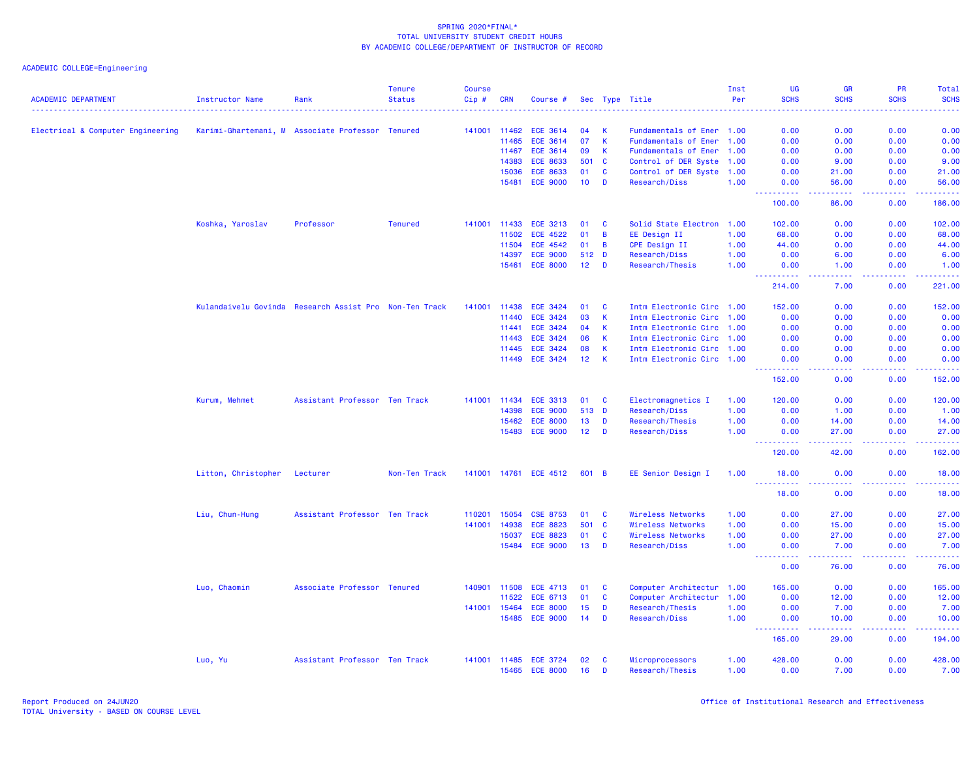| <b>ACADEMIC DEPARTMENT</b>        | Instructor Name     | Rank                                                   | <b>Tenure</b><br><b>Status</b> | <b>Course</b><br>Cip# | <b>CRN</b>   | Course #              |                 |                | Sec Type Title            | Inst<br>Per | <b>UG</b><br><b>SCHS</b> | <b>GR</b><br><b>SCHS</b>                                                                                                           | <b>PR</b><br><b>SCHS</b> | Total<br><b>SCHS</b>  |
|-----------------------------------|---------------------|--------------------------------------------------------|--------------------------------|-----------------------|--------------|-----------------------|-----------------|----------------|---------------------------|-------------|--------------------------|------------------------------------------------------------------------------------------------------------------------------------|--------------------------|-----------------------|
|                                   |                     |                                                        |                                |                       |              |                       |                 |                |                           |             |                          |                                                                                                                                    |                          |                       |
| Electrical & Computer Engineering |                     | Karimi-Ghartemani, M Associate Professor Tenured       |                                |                       | 141001 11462 | <b>ECE 3614</b>       | 04              | $\mathsf{K}$   | Fundamentals of Ener 1.00 |             | 0.00                     | 0.00                                                                                                                               | 0.00                     | 0.00                  |
|                                   |                     |                                                        |                                |                       | 11465        | <b>ECE 3614</b>       | 07              | $\mathbf{K}$   | Fundamentals of Ener 1.00 |             | 0.00                     | 0.00                                                                                                                               | 0.00                     | 0.00                  |
|                                   |                     |                                                        |                                |                       | 11467        | <b>ECE 3614</b>       | 09              | K              | Fundamentals of Ener 1.00 |             | 0.00                     | 0.00                                                                                                                               | 0.00                     | 0.00                  |
|                                   |                     |                                                        |                                |                       | 14383        | <b>ECE 8633</b>       | 501 C           |                | Control of DER Syste 1.00 |             | 0.00                     | 9.00                                                                                                                               | 0.00                     | 9.00                  |
|                                   |                     |                                                        |                                |                       | 15036        | <b>ECE 8633</b>       | 01              | $\mathbf{C}$   | Control of DER Syste 1.00 |             | 0.00                     | 21.00                                                                                                                              | 0.00                     | 21.00                 |
|                                   |                     |                                                        |                                |                       | 15481        | <b>ECE 9000</b>       | 10              | D              | Research/Diss             | 1.00        | 0.00                     | 56.00                                                                                                                              | 0.00                     | 56.00                 |
|                                   |                     |                                                        |                                |                       |              |                       |                 |                |                           |             | 100.00                   | د د د د<br>86.00                                                                                                                   | المالمات<br>0.00         | الداعات عاد<br>186.00 |
|                                   | Koshka, Yaroslav    | Professor                                              | <b>Tenured</b>                 |                       | 141001 11433 | ECE 3213              | 01              | <b>C</b>       | Solid State Electron 1.00 |             | 102.00                   | 0.00                                                                                                                               | 0.00                     | 102.00                |
|                                   |                     |                                                        |                                |                       | 11502        | <b>ECE 4522</b>       | 01              | $\overline{B}$ | EE Design II              | 1.00        | 68.00                    | 0.00                                                                                                                               | 0.00                     | 68.00                 |
|                                   |                     |                                                        |                                |                       | 11504        | <b>ECE 4542</b>       | 01              | $\overline{B}$ | CPE Design II             | 1.00        | 44.00                    | 0.00                                                                                                                               | 0.00                     | 44.00                 |
|                                   |                     |                                                        |                                |                       | 14397        | <b>ECE 9000</b>       | 512 D           |                | Research/Diss             | 1.00        | 0.00                     | 6.00                                                                                                                               | 0.00                     | 6.00                  |
|                                   |                     |                                                        |                                |                       |              | 15461 ECE 8000        | 12 <sup>7</sup> | D              | Research/Thesis           | 1.00        | 0.00                     | 1.00                                                                                                                               | 0.00                     | 1.00                  |
|                                   |                     |                                                        |                                |                       |              |                       |                 |                |                           |             | .<br>214.00              | د د د د<br>7.00                                                                                                                    | .<br>0.00                | 2.22222<br>221.00     |
|                                   |                     | Kulandaivelu Govinda Research Assist Pro Non-Ten Track |                                | 141001                | 11438        | <b>ECE 3424</b>       | 01              | <b>C</b>       | Intm Electronic Circ 1.00 |             | 152.00                   | 0.00                                                                                                                               | 0.00                     | 152.00                |
|                                   |                     |                                                        |                                |                       | 11440        | <b>ECE 3424</b>       | 03              | $\mathbf{K}$   | Intm Electronic Circ 1.00 |             | 0.00                     | 0.00                                                                                                                               | 0.00                     | 0.00                  |
|                                   |                     |                                                        |                                |                       | 11441        | <b>ECE 3424</b>       | 04              | $\mathsf{K}$   | Intm Electronic Circ 1.00 |             | 0.00                     | 0.00                                                                                                                               | 0.00                     | 0.00                  |
|                                   |                     |                                                        |                                |                       | 11443        | <b>ECE 3424</b>       | 06              | $\mathbf{K}$   | Intm Electronic Circ 1.00 |             | 0.00                     | 0.00                                                                                                                               | 0.00                     | 0.00                  |
|                                   |                     |                                                        |                                |                       | 11445        | <b>ECE 3424</b>       | 08              | $\mathsf{K}$   | Intm Electronic Circ 1.00 |             | 0.00                     | 0.00                                                                                                                               | 0.00                     | 0.00                  |
|                                   |                     |                                                        |                                |                       | 11449        | <b>ECE 3424</b>       | 12              | $\mathsf{K}$   | Intm Electronic Circ 1.00 |             | 0.00                     | 0.00                                                                                                                               | 0.00                     | 0.00                  |
|                                   |                     |                                                        |                                |                       |              |                       |                 |                |                           |             | 22222<br>152.00          | .<br>0.00                                                                                                                          | .<br>0.00                | <u>.</u><br>152.00    |
|                                   |                     | Assistant Professor Ten Track                          |                                |                       | 141001 11434 | <b>ECE 3313</b>       | 01              | $\mathbf{C}$   |                           | 1.00        | 120.00                   | 0.00                                                                                                                               | 0.00                     |                       |
|                                   | Kurum, Mehmet       |                                                        |                                |                       |              |                       |                 |                | Electromagnetics I        |             |                          |                                                                                                                                    |                          | 120.00                |
|                                   |                     |                                                        |                                |                       | 14398        | <b>ECE 9000</b>       | 513             | $\mathbf{D}$   | Research/Diss             | 1.00        | 0.00                     | 1.00                                                                                                                               | 0.00                     | 1.00                  |
|                                   |                     |                                                        |                                |                       | 15462        | <b>ECE 8000</b>       | 13              | D              | Research/Thesis           | 1.00        | 0.00                     | 14.00                                                                                                                              | 0.00                     | 14.00                 |
|                                   |                     |                                                        |                                |                       | 15483        | <b>ECE 9000</b>       | 12              | D              | Research/Diss             | 1.00        | 0.00<br>222222           | 27.00<br>$\frac{1}{2} \left( \frac{1}{2} \right) \left( \frac{1}{2} \right) \left( \frac{1}{2} \right) \left( \frac{1}{2} \right)$ | 0.00<br>.                | 27.00<br>22222)       |
|                                   |                     |                                                        |                                |                       |              |                       |                 |                |                           |             | 120.00                   | 42.00                                                                                                                              | 0.00                     | 162.00                |
|                                   | Litton, Christopher | Lecturer                                               | Non-Ten Track                  |                       |              | 141001 14761 ECE 4512 | 601 B           |                | EE Senior Design I        | 1.00        | 18.00<br>.               | 0.00<br>.                                                                                                                          | 0.00<br>.                | 18.00<br>.            |
|                                   |                     |                                                        |                                |                       |              |                       |                 |                |                           |             | 18.00                    | 0.00                                                                                                                               | 0.00                     | 18.00                 |
|                                   | Liu, Chun-Hung      | Assistant Professor Ten Track                          |                                | 110201                | 15054        | CSE 8753              | 01              | <b>C</b>       | Wireless Networks         | 1.00        | 0.00                     | 27.00                                                                                                                              | 0.00                     | 27.00                 |
|                                   |                     |                                                        |                                | 141001                | 14938        | <b>ECE 8823</b>       | 501             | <b>C</b>       | <b>Wireless Networks</b>  | 1.00        | 0.00                     | 15.00                                                                                                                              | 0.00                     | 15.00                 |
|                                   |                     |                                                        |                                |                       | 15037        | <b>ECE 8823</b>       | 01              | $\mathbf{C}$   | Wireless Networks         | 1.00        | 0.00                     | 27.00                                                                                                                              | 0.00                     | 27.00                 |
|                                   |                     |                                                        |                                |                       |              | 15484 ECE 9000        | 13              | D              | Research/Diss             | 1.00        | 0.00                     | 7.00                                                                                                                               | 0.00                     | 7.00                  |
|                                   |                     |                                                        |                                |                       |              |                       |                 |                |                           |             | .<br>0.00                | .<br>76.00                                                                                                                         | 2.2.2.2.2<br>0.00        | .<br>76.00            |
|                                   | Luo, Chaomin        | Associate Professor Tenured                            |                                |                       | 140901 11508 | <b>ECE 4713</b>       | 01              | $\mathbf{C}$   | Computer Architectur 1.00 |             | 165.00                   | 0.00                                                                                                                               | 0.00                     | 165.00                |
|                                   |                     |                                                        |                                |                       | 11522        | <b>ECE 6713</b>       | 01              | $\mathbf{C}$   | Computer Architectur 1.00 |             | 0.00                     | 12.00                                                                                                                              | 0.00                     | 12.00                 |
|                                   |                     |                                                        |                                | 141001 15464          |              | <b>ECE 8000</b>       | 15              | D              | Research/Thesis           | 1.00        | 0.00                     | 7.00                                                                                                                               | 0.00                     | 7.00                  |
|                                   |                     |                                                        |                                |                       | 15485        | <b>ECE 9000</b>       | 14              | D              | Research/Diss             | 1.00        | 0.00                     | 10.00                                                                                                                              | 0.00                     | 10.00                 |
|                                   |                     |                                                        |                                |                       |              |                       |                 |                |                           |             | 2.2.2.2.2.2<br>165.00    | المتمالين<br>29.00                                                                                                                 | . <b>.</b><br>0.00       | 22222<br>194.00       |
|                                   | Luo, Yu             | Assistant Professor Ten Track                          |                                |                       | 141001 11485 | <b>ECE 3724</b>       | 02              | <b>C</b>       | Microprocessors           | 1.00        | 428.00                   | 0.00                                                                                                                               | 0.00                     | 428.00                |
|                                   |                     |                                                        |                                |                       |              | 15465 ECE 8000        | 16              | D              | Research/Thesis           | 1.00        | 0.00                     | 7.00                                                                                                                               | 0.00                     | 7.00                  |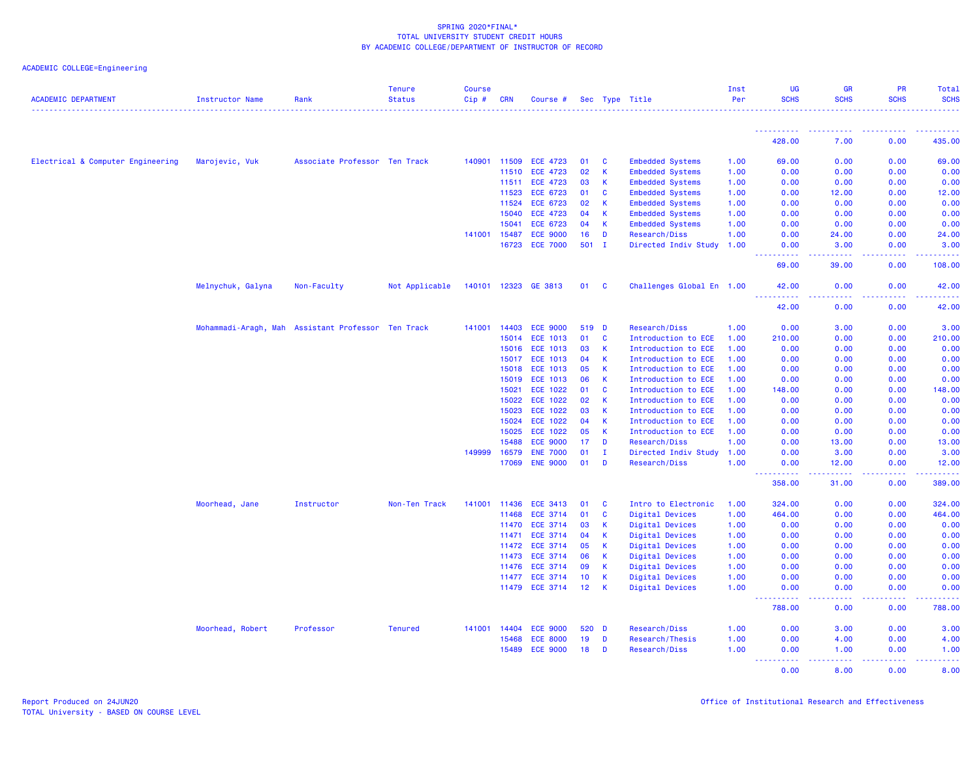| <b>ACADEMIC DEPARTMENT</b>        | Instructor Name      | Rank                          | <b>Tenure</b><br><b>Status</b> | <b>Course</b><br>$Cip \#$ | <b>CRN</b>   | Course #        |                 |              | Sec Type Title            | Inst<br>Per | UG<br><b>SCHS</b>                              | <b>GR</b><br><b>SCHS</b>                                                                                                                                      | <b>PR</b><br><b>SCHS</b> | Total<br><b>SCHS</b> |
|-----------------------------------|----------------------|-------------------------------|--------------------------------|---------------------------|--------------|-----------------|-----------------|--------------|---------------------------|-------------|------------------------------------------------|---------------------------------------------------------------------------------------------------------------------------------------------------------------|--------------------------|----------------------|
|                                   |                      |                               |                                |                           |              |                 |                 |              |                           |             |                                                |                                                                                                                                                               |                          |                      |
|                                   |                      |                               |                                |                           |              |                 |                 |              |                           |             | 428.00                                         | 7.00                                                                                                                                                          | 0.00                     | 435.00               |
| Electrical & Computer Engineering | Marojevic, Vuk       | Associate Professor Ten Track |                                |                           | 140901 11509 | <b>ECE 4723</b> | 01              | C            | <b>Embedded Systems</b>   | 1.00        | 69.00                                          | 0.00                                                                                                                                                          | 0.00                     | 69.00                |
|                                   |                      |                               |                                |                           | 11510        | <b>ECE 4723</b> | 02              | К            | <b>Embedded Systems</b>   | 1.00        | 0.00                                           | 0.00                                                                                                                                                          | 0.00                     | 0.00                 |
|                                   |                      |                               |                                |                           | 11511        | <b>ECE 4723</b> | 03              | К            | <b>Embedded Systems</b>   | 1.00        | 0.00                                           | 0.00                                                                                                                                                          | 0.00                     | 0.00                 |
|                                   |                      |                               |                                |                           | 11523        | <b>ECE 6723</b> | 01              | C            | <b>Embedded Systems</b>   | 1.00        | 0.00                                           | 12.00                                                                                                                                                         | 0.00                     | 12.00                |
|                                   |                      |                               |                                |                           | 11524        | <b>ECE 6723</b> | 02              | К            | <b>Embedded Systems</b>   | 1.00        | 0.00                                           | 0.00                                                                                                                                                          | 0.00                     | 0.00                 |
|                                   |                      |                               |                                |                           | 15040        | <b>ECE 4723</b> | 04              | K            | <b>Embedded Systems</b>   | 1.00        | 0.00                                           | 0.00                                                                                                                                                          | 0.00                     | 0.00                 |
|                                   |                      |                               |                                |                           | 15041        | <b>ECE 6723</b> | 04              | К            | <b>Embedded Systems</b>   | 1.00        | 0.00                                           | 0.00                                                                                                                                                          | 0.00                     | 0.00                 |
|                                   |                      |                               |                                |                           | 141001 15487 | <b>ECE 9000</b> | 16              | D            | Research/Diss             | 1.00        | 0.00                                           | 24.00                                                                                                                                                         | 0.00                     | 24.00                |
|                                   |                      |                               |                                |                           | 16723        | <b>ECE 7000</b> | $501$ I         |              | Directed Indiv Study      | 1.00        | 0.00<br>بالابات<br>$\sim$ $\sim$ $\sim$ $\sim$ | 3.00<br>.                                                                                                                                                     | 0.00<br>بالأباب          | 3.00<br>.            |
|                                   |                      |                               |                                |                           |              |                 |                 |              |                           |             | 69.00                                          | 39.00                                                                                                                                                         | 0.00                     | 108.00               |
|                                   | Melnychuk, Galyna    | Non-Faculty                   | Not Applicable                 | 140101                    | 12323        | GE 3813         | 01              | <b>C</b>     | Challenges Global En 1.00 |             | 42.00                                          | 0.00                                                                                                                                                          | 0.00                     | 42.00                |
|                                   |                      |                               |                                |                           |              |                 |                 |              |                           |             | 42.00                                          | 0.00                                                                                                                                                          | 0.00                     | 42.00                |
|                                   | Mohammadi-Aragh, Mah | Assistant Professor Ten Track |                                | 141001                    | 14403        | <b>ECE 9000</b> | 519 D           |              | Research/Diss             | 1.00        | 0.00                                           | 3.00                                                                                                                                                          | 0.00                     | 3.00                 |
|                                   |                      |                               |                                |                           | 15014        | <b>ECE 1013</b> | 01              | <b>C</b>     | Introduction to ECE       | 1.00        | 210.00                                         | 0.00                                                                                                                                                          | 0.00                     | 210.00               |
|                                   |                      |                               |                                |                           | 15016        | <b>ECE 1013</b> | 03              | К            | Introduction to ECE       | 1.00        | 0.00                                           | 0.00                                                                                                                                                          | 0.00                     | 0.00                 |
|                                   |                      |                               |                                |                           | 15017        | <b>ECE 1013</b> | 04              | К            | Introduction to ECE       | 1.00        | 0.00                                           | 0.00                                                                                                                                                          | 0.00                     | 0.00                 |
|                                   |                      |                               |                                |                           | 15018        | <b>ECE 1013</b> | 05              | $\mathsf{K}$ | Introduction to ECE       | 1.00        | 0.00                                           | 0.00                                                                                                                                                          | 0.00                     | 0.00                 |
|                                   |                      |                               |                                |                           | 15019        | <b>ECE 1013</b> | 06              | К            | Introduction to ECE       | 1.00        | 0.00                                           | 0.00                                                                                                                                                          | 0.00                     | 0.00                 |
|                                   |                      |                               |                                |                           | 15021        | ECE 1022        | 01              | <b>C</b>     | Introduction to ECE       | 1.00        | 148.00                                         | 0.00                                                                                                                                                          | 0.00                     | 148.00               |
|                                   |                      |                               |                                |                           | 15022        | ECE 1022        | 02              | К            | Introduction to ECE       | 1.00        | 0.00                                           | 0.00                                                                                                                                                          | 0.00                     | 0.00                 |
|                                   |                      |                               |                                |                           | 15023        | ECE 1022        | 03              | K            | Introduction to ECE       | 1.00        | 0.00                                           | 0.00                                                                                                                                                          | 0.00                     | 0.00                 |
|                                   |                      |                               |                                |                           | 15024        | <b>ECE 1022</b> | 04              | К            | Introduction to ECE       | 1.00        | 0.00                                           | 0.00                                                                                                                                                          | 0.00                     | 0.00                 |
|                                   |                      |                               |                                |                           | 15025        | <b>ECE 1022</b> | 05              | К            | Introduction to ECE       | 1.00        | 0.00                                           | 0.00                                                                                                                                                          | 0.00                     | 0.00                 |
|                                   |                      |                               |                                |                           | 15488        | <b>ECE 9000</b> | 17              | D            | Research/Diss             | 1.00        | 0.00                                           | 13.00                                                                                                                                                         | 0.00                     | 13.00                |
|                                   |                      |                               |                                | 149999                    | 16579        | <b>ENE 7000</b> | 01              | $\mathbf I$  | Directed Indiv Study      | 1.00        | 0.00                                           | 3.00                                                                                                                                                          | 0.00                     | 3.00                 |
|                                   |                      |                               |                                |                           | 17069        | <b>ENE 9000</b> | 01              | D            | Research/Diss             | 1.00        | 0.00<br><b>.</b><br>$\sim$ $\sim$ $\sim$       | 12.00<br>$\frac{1}{2} \left( \frac{1}{2} \right) \left( \frac{1}{2} \right) \left( \frac{1}{2} \right) \left( \frac{1}{2} \right) \left( \frac{1}{2} \right)$ | 0.00<br>.                | 12.00<br>.           |
|                                   |                      |                               |                                |                           |              |                 |                 |              |                           |             | 358.00                                         | 31.00                                                                                                                                                         | 0.00                     | 389.00               |
|                                   | Moorhead, Jane       | Instructor                    | Non-Ten Track                  |                           | 141001 11436 | <b>ECE 3413</b> | 01              | C            | Intro to Electronic       | 1.00        | 324.00                                         | 0.00                                                                                                                                                          | 0.00                     | 324.00               |
|                                   |                      |                               |                                |                           | 11468        | <b>ECE 3714</b> | 01              | C            | Digital Devices           | 1.00        | 464.00                                         | 0.00                                                                                                                                                          | 0.00                     | 464.00               |
|                                   |                      |                               |                                |                           | 11470        | <b>ECE 3714</b> | 03              | К            | Digital Devices           | 1.00        | 0.00                                           | 0.00                                                                                                                                                          | 0.00                     | 0.00                 |
|                                   |                      |                               |                                |                           | 11471        | <b>ECE 3714</b> | 04              | K            | Digital Devices           | 1.00        | 0.00                                           | 0.00                                                                                                                                                          | 0.00                     | 0.00                 |
|                                   |                      |                               |                                |                           | 11472        | <b>ECE 3714</b> | 05              | K            | Digital Devices           | 1.00        | 0.00                                           | 0.00                                                                                                                                                          | 0.00                     | 0.00                 |
|                                   |                      |                               |                                |                           | 11473        | <b>ECE 3714</b> | 06              | К            | Digital Devices           | 1.00        | 0.00                                           | 0.00                                                                                                                                                          | 0.00                     | 0.00                 |
|                                   |                      |                               |                                |                           | 11476        | <b>ECE 3714</b> | 09              | K            | Digital Devices           | 1.00        | 0.00                                           | 0.00                                                                                                                                                          | 0.00                     | 0.00                 |
|                                   |                      |                               |                                |                           | 11477        | <b>ECE 3714</b> | 10 <sub>1</sub> | $\mathsf K$  | Digital Devices           | 1.00        | 0.00                                           | 0.00                                                                                                                                                          | 0.00                     | 0.00                 |
|                                   |                      |                               |                                |                           |              | 11479 ECE 3714  | 12              | К            | Digital Devices           | 1.00        | 0.00<br><b>.</b>                               | 0.00                                                                                                                                                          | 0.00                     | 0.00                 |
|                                   |                      |                               |                                |                           |              |                 |                 |              |                           |             | 788.00                                         | 0.00                                                                                                                                                          | 0.00                     | 788.00               |
|                                   | Moorhead, Robert     | Professor                     | <b>Tenured</b>                 |                           | 141001 14404 | <b>ECE 9000</b> | 520             | <b>D</b>     | Research/Diss             | 1.00        | 0.00                                           | 3.00                                                                                                                                                          | 0.00                     | 3.00                 |
|                                   |                      |                               |                                |                           | 15468        | <b>ECE 8000</b> | 19              | D            | Research/Thesis           | 1.00        | 0.00                                           | 4.00                                                                                                                                                          | 0.00                     | 4.00                 |
|                                   |                      |                               |                                |                           | 15489        | <b>ECE 9000</b> | 18              | D            | Research/Diss             | 1.00        | 0.00<br><b></b>                                | 1.00<br>.                                                                                                                                                     | 0.00<br>الداعات عامان    | 1.00<br>222222       |
|                                   |                      |                               |                                |                           |              |                 |                 |              |                           |             | 0.00                                           | 8.00                                                                                                                                                          | 0.00                     | 8.00                 |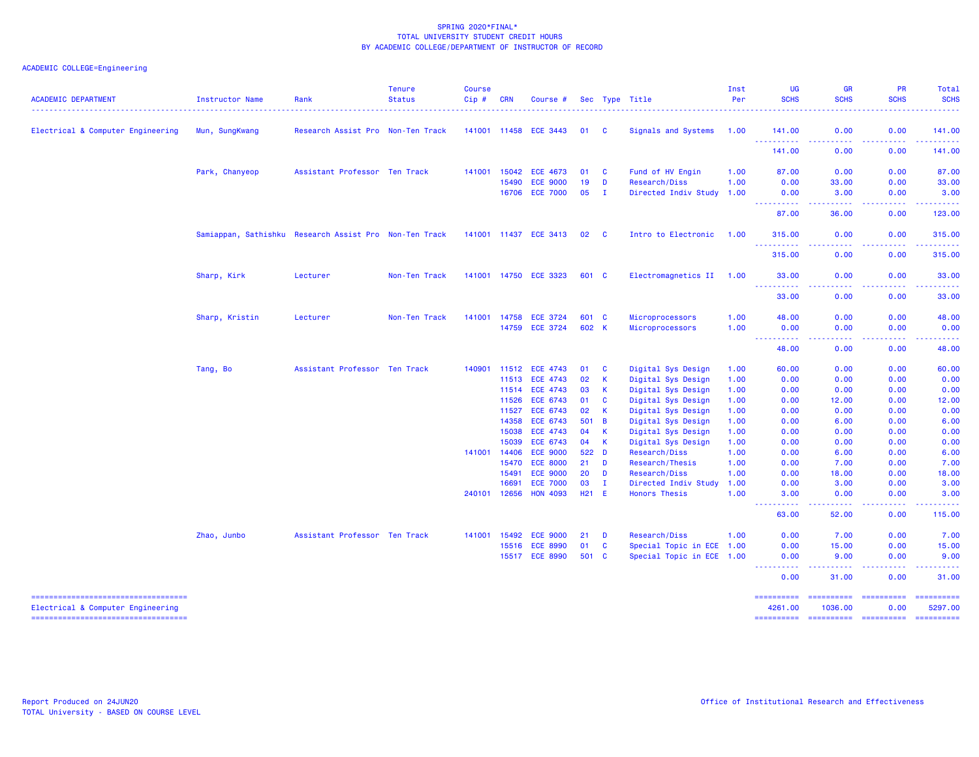# ACADEMIC COLLEGE=Engineering

| <b>ACADEMIC DEPARTMENT</b>             | Instructor Name | Rank                                                   | <b>Tenure</b><br><b>Status</b> | <b>Course</b><br>Cip# | <b>CRN</b>            | Course #                           |             |              | Sec Type Title                               | Inst<br>Per  | <b>UG</b><br><b>SCHS</b>                                                                                                                                                                                                                        | <b>GR</b><br><b>SCHS</b>                                                                                                           | <b>PR</b><br><b>SCHS</b>                                                                                                                             | Total<br><b>SCHS</b>                                                                                                                                                                                                                                                                                                                                                                                                                                                                   |
|----------------------------------------|-----------------|--------------------------------------------------------|--------------------------------|-----------------------|-----------------------|------------------------------------|-------------|--------------|----------------------------------------------|--------------|-------------------------------------------------------------------------------------------------------------------------------------------------------------------------------------------------------------------------------------------------|------------------------------------------------------------------------------------------------------------------------------------|------------------------------------------------------------------------------------------------------------------------------------------------------|----------------------------------------------------------------------------------------------------------------------------------------------------------------------------------------------------------------------------------------------------------------------------------------------------------------------------------------------------------------------------------------------------------------------------------------------------------------------------------------|
| Electrical & Computer Engineering      | Mun, SungKwang  | Research Assist Pro Non-Ten Track                      |                                |                       |                       | 141001 11458 ECE 3443              | 01 C        |              | Signals and Systems                          | 1.00         | 141.00                                                                                                                                                                                                                                          | 0.00                                                                                                                               | 0.00                                                                                                                                                 | 141.00                                                                                                                                                                                                                                                                                                                                                                                                                                                                                 |
|                                        |                 |                                                        |                                |                       |                       |                                    |             |              |                                              |              | ----------<br>141.00                                                                                                                                                                                                                            | .<br>0.00                                                                                                                          | -----<br>0.00                                                                                                                                        | . <u>.</u> .<br>141.00                                                                                                                                                                                                                                                                                                                                                                                                                                                                 |
|                                        | Park, Chanyeop  | Assistant Professor Ten Track                          |                                | 141001                | 15042                 | <b>ECE 4673</b>                    | 01          | <b>C</b>     | Fund of HV Engin                             | 1.00         | 87.00                                                                                                                                                                                                                                           | 0.00                                                                                                                               | 0.00                                                                                                                                                 | 87.00                                                                                                                                                                                                                                                                                                                                                                                                                                                                                  |
|                                        |                 |                                                        |                                |                       | 15490                 | <b>ECE 9000</b>                    | 19          | D            | Research/Diss                                | 1.00         | 0.00                                                                                                                                                                                                                                            | 33.00                                                                                                                              | 0.00                                                                                                                                                 | 33.00                                                                                                                                                                                                                                                                                                                                                                                                                                                                                  |
|                                        |                 |                                                        |                                |                       | 16706                 | <b>ECE 7000</b>                    | 05          | л.           | Directed Indiv Study 1.00                    |              | 0.00                                                                                                                                                                                                                                            | 3.00                                                                                                                               | 0.00                                                                                                                                                 | 3.00                                                                                                                                                                                                                                                                                                                                                                                                                                                                                   |
|                                        |                 |                                                        |                                |                       |                       |                                    |             |              |                                              |              | .<br>87.00                                                                                                                                                                                                                                      | 36.00                                                                                                                              | 0.00                                                                                                                                                 | 123.00                                                                                                                                                                                                                                                                                                                                                                                                                                                                                 |
|                                        |                 |                                                        |                                |                       |                       |                                    |             |              |                                              |              |                                                                                                                                                                                                                                                 |                                                                                                                                    |                                                                                                                                                      |                                                                                                                                                                                                                                                                                                                                                                                                                                                                                        |
|                                        |                 | Samiappan, Sathishku Research Assist Pro Non-Ten Track |                                |                       |                       | 141001 11437 ECE 3413              | 02          | <b>C</b>     | Intro to Electronic                          | 1.00         | 315,00<br>444                                                                                                                                                                                                                                   | 0.00                                                                                                                               | 0.00                                                                                                                                                 | 315.00<br>$\frac{1}{2} \left( \frac{1}{2} \right) \left( \frac{1}{2} \right) \left( \frac{1}{2} \right) \left( \frac{1}{2} \right) \left( \frac{1}{2} \right)$                                                                                                                                                                                                                                                                                                                         |
|                                        |                 |                                                        |                                |                       |                       |                                    |             |              |                                              |              | 315.00                                                                                                                                                                                                                                          | 0.00                                                                                                                               | 0.00                                                                                                                                                 | 315.00                                                                                                                                                                                                                                                                                                                                                                                                                                                                                 |
|                                        | Sharp, Kirk     | Lecturer                                               | Non-Ten Track                  |                       |                       | 141001 14750 ECE 3323              | 601 C       |              | Electromagnetics II 1.00                     |              | 33.00<br>.                                                                                                                                                                                                                                      | 0.00<br>$\omega$ is a $\omega$                                                                                                     | 0.00<br>.                                                                                                                                            | 33.00<br>.                                                                                                                                                                                                                                                                                                                                                                                                                                                                             |
|                                        |                 |                                                        |                                |                       |                       |                                    |             |              |                                              |              | 33.00                                                                                                                                                                                                                                           | 0.00                                                                                                                               | 0.00                                                                                                                                                 | 33.00                                                                                                                                                                                                                                                                                                                                                                                                                                                                                  |
|                                        | Sharp, Kristin  | Lecturer                                               | Non-Ten Track                  |                       | 141001 14758          | <b>ECE 3724</b>                    | 601 C       |              | Microprocessors                              | 1.00         | 48.00                                                                                                                                                                                                                                           | 0.00                                                                                                                               | 0.00                                                                                                                                                 | 48.00                                                                                                                                                                                                                                                                                                                                                                                                                                                                                  |
|                                        |                 |                                                        |                                |                       |                       | 14759 ECE 3724                     | 602 K       |              | Microprocessors                              | 1.00         | 0.00<br>$\frac{1}{2} \left( \frac{1}{2} \right) \frac{1}{2} \left( \frac{1}{2} \right)$<br>$\frac{1}{2} \left( \frac{1}{2} \right) \left( \frac{1}{2} \right) \left( \frac{1}{2} \right) \left( \frac{1}{2} \right) \left( \frac{1}{2} \right)$ | 0.00<br>. <u>. .</u>                                                                                                               | 0.00<br>.                                                                                                                                            | 0.00                                                                                                                                                                                                                                                                                                                                                                                                                                                                                   |
|                                        |                 |                                                        |                                |                       |                       |                                    |             |              |                                              |              | 48.00                                                                                                                                                                                                                                           | 0.00                                                                                                                               | 0.00                                                                                                                                                 | 48.00                                                                                                                                                                                                                                                                                                                                                                                                                                                                                  |
|                                        | Tang, Bo        | Assistant Professor Ten Track                          |                                | 140901                | 11512                 | <b>ECE 4743</b>                    | 01          | <b>C</b>     | Digital Sys Design                           | 1.00         | 60.00                                                                                                                                                                                                                                           | 0.00                                                                                                                               | 0.00                                                                                                                                                 | 60.00                                                                                                                                                                                                                                                                                                                                                                                                                                                                                  |
|                                        |                 |                                                        |                                |                       | 11513                 | <b>ECE 4743</b>                    | 02          | К            | Digital Sys Design                           | 1.00         | 0.00                                                                                                                                                                                                                                            | 0.00                                                                                                                               | 0.00                                                                                                                                                 | 0.00                                                                                                                                                                                                                                                                                                                                                                                                                                                                                   |
|                                        |                 |                                                        |                                |                       | 11514                 | <b>ECE 4743</b>                    | 03          | $\mathsf{K}$ | Digital Sys Design                           | 1.00         | 0.00                                                                                                                                                                                                                                            | 0.00                                                                                                                               | 0.00                                                                                                                                                 | 0.00                                                                                                                                                                                                                                                                                                                                                                                                                                                                                   |
|                                        |                 |                                                        |                                |                       | 11526                 | ECE 6743                           | 01          | $\mathbf{C}$ | Digital Sys Design                           | 1.00         | 0.00                                                                                                                                                                                                                                            | 12.00                                                                                                                              | 0.00                                                                                                                                                 | 12.00                                                                                                                                                                                                                                                                                                                                                                                                                                                                                  |
|                                        |                 |                                                        |                                |                       | 11527                 | ECE 6743                           | 02          | $\mathsf{K}$ | Digital Sys Design                           | 1.00         | 0.00                                                                                                                                                                                                                                            | 0.00                                                                                                                               | 0.00                                                                                                                                                 | 0.00                                                                                                                                                                                                                                                                                                                                                                                                                                                                                   |
|                                        |                 |                                                        |                                |                       | 14358                 | ECE 6743                           | 501 B       |              | Digital Sys Design                           | 1.00         | 0.00                                                                                                                                                                                                                                            | 6.00                                                                                                                               | 0.00                                                                                                                                                 | 6.00                                                                                                                                                                                                                                                                                                                                                                                                                                                                                   |
|                                        |                 |                                                        |                                |                       | 15038                 | ECE 4743                           | 04          | $\mathbf{K}$ | Digital Sys Design                           | 1.00         | 0.00                                                                                                                                                                                                                                            | 0.00                                                                                                                               | 0.00                                                                                                                                                 | 0.00                                                                                                                                                                                                                                                                                                                                                                                                                                                                                   |
|                                        |                 |                                                        |                                |                       | 15039                 | <b>ECE 6743</b>                    | 04          | K            | Digital Sys Design                           | 1.00         | 0.00                                                                                                                                                                                                                                            | 0.00                                                                                                                               | 0.00                                                                                                                                                 | 0.00                                                                                                                                                                                                                                                                                                                                                                                                                                                                                   |
|                                        |                 |                                                        |                                | 141001                | 14406                 | <b>ECE 9000</b>                    | 522 D       |              | <b>Research/Diss</b>                         | 1.00         | 0.00                                                                                                                                                                                                                                            | 6.00                                                                                                                               | 0.00                                                                                                                                                 | 6.00                                                                                                                                                                                                                                                                                                                                                                                                                                                                                   |
|                                        |                 |                                                        |                                |                       | 15470                 | <b>ECE 8000</b>                    | 21          | D            | Research/Thesis                              | 1.00         | 0.00                                                                                                                                                                                                                                            | 7.00                                                                                                                               | 0.00                                                                                                                                                 | 7.00                                                                                                                                                                                                                                                                                                                                                                                                                                                                                   |
|                                        |                 |                                                        |                                |                       | 15491                 | <b>ECE 9000</b>                    | 20          | D            | Research/Diss                                | 1.00         | 0.00                                                                                                                                                                                                                                            | 18.00                                                                                                                              | 0.00                                                                                                                                                 | 18.00                                                                                                                                                                                                                                                                                                                                                                                                                                                                                  |
|                                        |                 |                                                        |                                |                       | 16691<br>240101 12656 | <b>ECE 7000</b><br><b>HON 4093</b> | 03<br>H21 E | $\mathbf{I}$ | Directed Indiv Study<br><b>Honors Thesis</b> | 1.00<br>1.00 | 0.00<br>3.00                                                                                                                                                                                                                                    | 3.00<br>0.00                                                                                                                       | 0.00<br>0.00                                                                                                                                         | 3.00<br>3.00                                                                                                                                                                                                                                                                                                                                                                                                                                                                           |
|                                        |                 |                                                        |                                |                       |                       |                                    |             |              |                                              |              | a a<br>----<br>63.00                                                                                                                                                                                                                            | $\frac{1}{2} \left( \frac{1}{2} \right) \left( \frac{1}{2} \right) \left( \frac{1}{2} \right) \left( \frac{1}{2} \right)$<br>52.00 | 0.00                                                                                                                                                 | 115.00                                                                                                                                                                                                                                                                                                                                                                                                                                                                                 |
|                                        | Zhao, Junbo     | Assistant Professor Ten Track                          |                                | 141001                | 15492                 | <b>ECE 9000</b>                    | 21          | D            | Research/Diss                                | 1.00         | 0.00                                                                                                                                                                                                                                            | 7.00                                                                                                                               | 0.00                                                                                                                                                 | 7.00                                                                                                                                                                                                                                                                                                                                                                                                                                                                                   |
|                                        |                 |                                                        |                                |                       |                       | 15516 ECE 8990                     | 01          | $\mathbf{C}$ | Special Topic in ECE 1.00                    |              | 0.00                                                                                                                                                                                                                                            | 15.00                                                                                                                              | 0.00                                                                                                                                                 | 15.00                                                                                                                                                                                                                                                                                                                                                                                                                                                                                  |
|                                        |                 |                                                        |                                |                       |                       | 15517 ECE 8990                     | 501 C       |              | Special Topic in ECE 1.00                    |              | 0.00                                                                                                                                                                                                                                            | 9.00                                                                                                                               | 0.00                                                                                                                                                 | 9.00                                                                                                                                                                                                                                                                                                                                                                                                                                                                                   |
|                                        |                 |                                                        |                                |                       |                       |                                    |             |              |                                              |              | ----------<br>0.00                                                                                                                                                                                                                              | .<br>31.00                                                                                                                         | المتمام المتمار<br>$\frac{1}{2} \left( \frac{1}{2} \right) \left( \frac{1}{2} \right) \left( \frac{1}{2} \right) \left( \frac{1}{2} \right)$<br>0.00 | $\frac{1}{2} \left( \frac{1}{2} \right) \left( \frac{1}{2} \right) \left( \frac{1}{2} \right) \left( \frac{1}{2} \right) \left( \frac{1}{2} \right)$<br>31.00                                                                                                                                                                                                                                                                                                                          |
| ====================================== |                 |                                                        |                                |                       |                       |                                    |             |              |                                              |              | ==========                                                                                                                                                                                                                                      | ==========                                                                                                                         | -----------                                                                                                                                          | $\begin{array}{cccccccccc} \multicolumn{2}{c}{} & \multicolumn{2}{c}{} & \multicolumn{2}{c}{} & \multicolumn{2}{c}{} & \multicolumn{2}{c}{} & \multicolumn{2}{c}{} & \multicolumn{2}{c}{} & \multicolumn{2}{c}{} & \multicolumn{2}{c}{} & \multicolumn{2}{c}{} & \multicolumn{2}{c}{} & \multicolumn{2}{c}{} & \multicolumn{2}{c}{} & \multicolumn{2}{c}{} & \multicolumn{2}{c}{} & \multicolumn{2}{c}{} & \multicolumn{2}{c}{} & \multicolumn{2}{c}{} & \multicolumn{2}{c}{} & \mult$ |
| Electrical & Computer Engineering      |                 |                                                        |                                |                       |                       |                                    |             |              |                                              |              | 4261.00                                                                                                                                                                                                                                         | 1036.00                                                                                                                            | 0.00                                                                                                                                                 | 5297.00                                                                                                                                                                                                                                                                                                                                                                                                                                                                                |

=================================== ========== ========== ========== ==========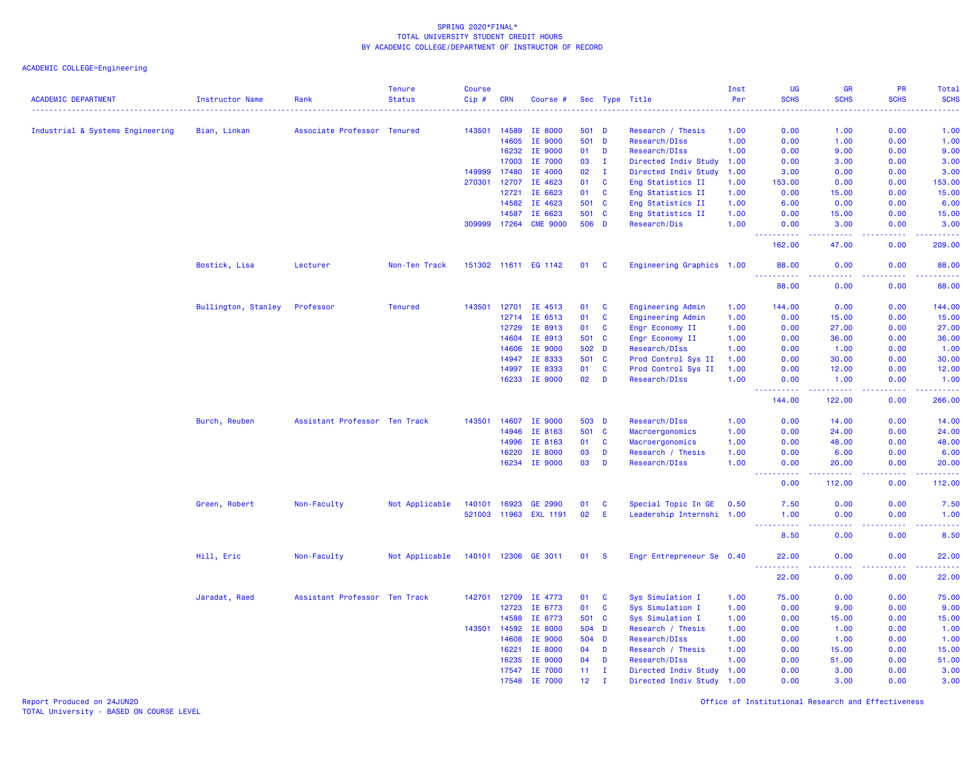ACADEMIC COLLEGE=Engineering

| <b>ACADEMIC DEPARTMENT</b>       | Instructor Name     | Rank                          | <b>Tenure</b><br><b>Status</b> | <b>Course</b><br>Cip# | <b>CRN</b>   | Course #             |                 |              | Sec Type Title            | Inst<br>Per<br>. | <b>UG</b><br><b>SCHS</b> | GR<br><b>SCHS</b>                                                                                                                  | PR<br><b>SCHS</b> | Total<br><b>SCHS</b><br>$\omega$ is $\omega$ in . |
|----------------------------------|---------------------|-------------------------------|--------------------------------|-----------------------|--------------|----------------------|-----------------|--------------|---------------------------|------------------|--------------------------|------------------------------------------------------------------------------------------------------------------------------------|-------------------|---------------------------------------------------|
| Industrial & Systems Engineering | Bian, Linkan        | Associate Professor Tenured   |                                | 143501                | 14589        | IE 8000              | 501 D           |              | Research / Thesis         | 1.00             | 0.00                     | 1.00                                                                                                                               | 0.00              | 1.00                                              |
|                                  |                     |                               |                                |                       | 14605        | IE 9000              | 501             | D            | Research/DIss             | 1.00             | 0.00                     | 1.00                                                                                                                               | 0.00              | 1.00                                              |
|                                  |                     |                               |                                |                       | 16232        | IE 9000              | 01              | D            | Research/DIss             | 1.00             | 0.00                     | 9.00                                                                                                                               | 0.00              | 9.00                                              |
|                                  |                     |                               |                                |                       | 17003        | IE 7000              | 03              | $\mathbf I$  | Directed Indiv Study      | 1.00             | 0.00                     | 3.00                                                                                                                               | 0.00              | 3.00                                              |
|                                  |                     |                               |                                | 149999                | 17480        | IE 4000              | 02              | $\mathbf I$  | Directed Indiv Study      | 1.00             | 3.00                     | 0.00                                                                                                                               | 0.00              | 3.00                                              |
|                                  |                     |                               |                                | 270301                | 12707        | IE 4623              | 01              | $\mathbf{C}$ | Eng Statistics II         | 1.00             | 153.00                   | 0.00                                                                                                                               | 0.00              | 153.00                                            |
|                                  |                     |                               |                                |                       | 12721        | IE 6623              | 01              | C            | Eng Statistics II         | 1.00             | 0.00                     | 15.00                                                                                                                              | 0.00              | 15.00                                             |
|                                  |                     |                               |                                |                       | 14582        | IE 4623              | 501             | <b>C</b>     | Eng Statistics II         | 1.00             | 6.00                     | 0.00                                                                                                                               | 0.00              | 6.00                                              |
|                                  |                     |                               |                                |                       | 14587        | IE 6623              | 501             | $\mathbf{C}$ | Eng Statistics II         | 1.00             | 0.00                     | 15.00                                                                                                                              | 0.00              | 15.00                                             |
|                                  |                     |                               |                                | 309999                | 17264        | <b>CME 9000</b>      | 506 D           |              | Research/Dis              | 1.00             | 0.00<br>22222            | 3.00<br>22222                                                                                                                      | 0.00<br>.         | 3.00<br>.                                         |
|                                  |                     |                               |                                |                       |              |                      |                 |              |                           |                  | 162.00                   | 47.00                                                                                                                              | 0.00              | 209.00                                            |
|                                  | Bostick, Lisa       | Lecturer                      | Non-Ten Track                  |                       |              | 151302 11611 EG 1142 | 01              | C            | Engineering Graphics 1.00 |                  | 88.00<br>.               | 0.00<br>.                                                                                                                          | 0.00<br>.         | 88.00<br>وبالمناب                                 |
|                                  |                     |                               |                                |                       |              |                      |                 |              |                           |                  | 88.00                    | 0.00                                                                                                                               | 0.00              | 88.00                                             |
|                                  | Bullington, Stanley | Professor                     | <b>Tenured</b>                 | 143501                | 12701        | IE 4513              | 01              | $\mathbf{C}$ | Engineering Admin         | 1.00             | 144.00                   | 0.00                                                                                                                               | 0.00              | 144.00                                            |
|                                  |                     |                               |                                |                       | 12714        | IE 6513              | 01              | $\mathbf c$  | Engineering Admin         | 1.00             | 0.00                     | 15.00                                                                                                                              | 0.00              | 15.00                                             |
|                                  |                     |                               |                                |                       | 12729        | IE 8913              | 01              | $\mathbf{C}$ | Engr Economy II           | 1.00             | 0.00                     | 27.00                                                                                                                              | 0.00              | 27.00                                             |
|                                  |                     |                               |                                |                       | 14604        | IE 8913              | 501             | $\mathbf{C}$ | Engr Economy II           | 1.00             | 0.00                     | 36.00                                                                                                                              | 0.00              | 36.00                                             |
|                                  |                     |                               |                                |                       | 14606        | IE 9000              | 502             | D            | Research/DIss             | 1.00             | 0.00                     | 1.00                                                                                                                               | 0.00              | 1.00                                              |
|                                  |                     |                               |                                |                       | 14947        | IE 8333              | 501             | $\mathbf{C}$ | Prod Control Sys II       | 1.00             | 0.00                     | 30.00                                                                                                                              | 0.00              | 30.00                                             |
|                                  |                     |                               |                                |                       | 14997        | IE 8333              | 01              | $\mathbf c$  | Prod Control Sys II       | 1.00             | 0.00                     | 12.00                                                                                                                              | 0.00              | 12.00                                             |
|                                  |                     |                               |                                |                       | 16233        | IE 9000              | 02              | D            | Research/DIss             | 1.00             | 0.00<br>.                | 1.00<br>$\frac{1}{2} \left( \frac{1}{2} \right) \left( \frac{1}{2} \right) \left( \frac{1}{2} \right) \left( \frac{1}{2} \right)$  | 0.00<br>بالاناب   | 1.00<br>.                                         |
|                                  |                     |                               |                                |                       |              |                      |                 |              |                           |                  | 144.00                   | 122.00                                                                                                                             | 0.00              | 266.00                                            |
|                                  | Burch, Reuben       | Assistant Professor Ten Track |                                | 143501                | 14607        | <b>IE 9000</b>       | 503 D           |              | Research/DIss             | 1.00             | 0.00                     | 14.00                                                                                                                              | 0.00              | 14.00                                             |
|                                  |                     |                               |                                |                       | 14946        | IE 8163              | 501             | $\mathbf{C}$ | Macroergonomics           | 1.00             | 0.00                     | 24.00                                                                                                                              | 0.00              | 24.00                                             |
|                                  |                     |                               |                                |                       | 14996        | IE 8163              | 01              | $\mathbf{C}$ | Macroergonomics           | 1.00             | 0.00                     | 48.00                                                                                                                              | 0.00              | 48.00                                             |
|                                  |                     |                               |                                |                       | 16220        | IE 8000              | 03              | D            | Research / Thesis         | 1.00             | 0.00                     | 6.00                                                                                                                               | 0.00              | 6.00                                              |
|                                  |                     |                               |                                |                       | 16234        | <b>IE 9000</b>       | 03              | D            | Research/DIss             | 1.00             | 0.00                     | 20.00<br>$\frac{1}{2} \left( \frac{1}{2} \right) \left( \frac{1}{2} \right) \left( \frac{1}{2} \right) \left( \frac{1}{2} \right)$ | 0.00              | 20.00<br>المتمامين                                |
|                                  |                     |                               |                                |                       |              |                      |                 |              |                           |                  | 0.00                     | 112.00                                                                                                                             | 0.00              | 112.00                                            |
|                                  | Green, Robert       | Non-Faculty                   | Not Applicable                 | 140101                | 16923        | GE 2990              | 01              | C            | Special Topic In GE       | 0.50             | 7.50                     | 0.00                                                                                                                               | 0.00              | 7.50                                              |
|                                  |                     |                               |                                |                       | 521003 11963 | <b>EXL 1191</b>      | 02              | E.           | Leadership Internshi 1.00 |                  | 1.00<br>22222            | 0.00<br>2222                                                                                                                       | 0.00<br>.         | 1.00<br>$\omega$ is $\omega$ in .                 |
|                                  |                     |                               |                                |                       |              |                      |                 |              |                           |                  | 8.50                     | 0.00                                                                                                                               | 0.00              | 8.50                                              |
|                                  | Hill, Eric          | Non-Faculty                   | Not Applicable                 |                       |              | 140101 12306 GE 3011 | 01              | - S          | Engr Entrepreneur Se 0.40 |                  | 22.00<br>-----           | 0.00<br>2222                                                                                                                       | 0.00<br>والمحامر  | 22.00<br>وعاعاها                                  |
|                                  |                     |                               |                                |                       |              |                      |                 |              |                           |                  | 22.00                    | 0.00                                                                                                                               | 0.00              | 22.00                                             |
|                                  | Jaradat, Raed       | Assistant Professor Ten Track |                                | 142701                | 12709        | IE 4773              | 01              | C            | Sys Simulation I          | 1.00             | 75.00                    | 0.00                                                                                                                               | 0.00              | 75.00                                             |
|                                  |                     |                               |                                |                       | 12723        | IE 6773              | 01              | $\mathbf{C}$ | Sys Simulation I          | 1.00             | 0.00                     | 9.00                                                                                                                               | 0.00              | 9.00                                              |
|                                  |                     |                               |                                |                       | 14588        | IE 6773              | 501             | <b>C</b>     | Sys Simulation I          | 1.00             | 0.00                     | 15.00                                                                                                                              | 0.00              | 15.00                                             |
|                                  |                     |                               |                                | 143501                | 14592        | IE 8000              | 504 D           |              | Research / Thesis         | 1.00             | 0.00                     | 1.00                                                                                                                               | 0.00              | 1.00                                              |
|                                  |                     |                               |                                |                       | 14608        | IE 9000              | 504             | D            | Research/DIss             | 1.00             | 0.00                     | 1.00                                                                                                                               | 0.00              | 1.00                                              |
|                                  |                     |                               |                                |                       | 16221        | IE 8000              | 04              | D            | Research / Thesis         | 1.00             | 0.00                     | 15.00                                                                                                                              | 0.00              | 15.00                                             |
|                                  |                     |                               |                                |                       | 16235        | IE 9000              | 04              | D            | Research/DIss             | 1.00             | 0.00                     | 51.00                                                                                                                              | 0.00              | 51.00                                             |
|                                  |                     |                               |                                |                       | 17547        | IE 7000              | 11              | п            | Directed Indiv Study      | 1.00             | 0.00                     | 3.00                                                                                                                               | 0.00              | 3.00                                              |
|                                  |                     |                               |                                |                       | 17548        | IE 7000              | 12 <sub>2</sub> | $\mathbf I$  | Directed Indiv Study 1.00 |                  | 0.00                     | 3.00                                                                                                                               | 0.00              | 3.00                                              |

Report Produced on 24JUN20 Office of Institutional Research and Effectiveness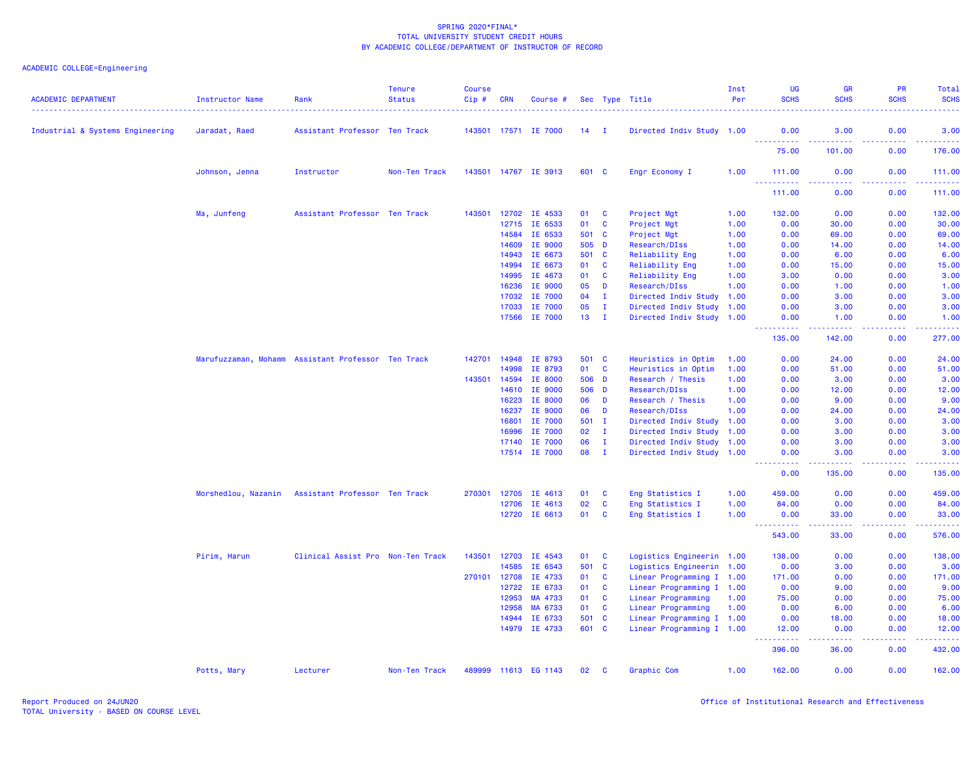| <b>ACADEMIC DEPARTMENT</b>       | <b>Instructor Name</b> | Rank                                               | <b>Tenure</b><br><b>Status</b> | <b>Course</b><br>$Cip$ # | <b>CRN</b> | Course #             |         |              | Sec Type Title            | Inst<br>Per | UG<br><b>SCHS</b>                                                                                           | <b>GR</b><br><b>SCHS</b>                                                                                                           | <b>PR</b><br><b>SCHS</b> | <b>Total</b><br><b>SCHS</b>                                                                                                   |
|----------------------------------|------------------------|----------------------------------------------------|--------------------------------|--------------------------|------------|----------------------|---------|--------------|---------------------------|-------------|-------------------------------------------------------------------------------------------------------------|------------------------------------------------------------------------------------------------------------------------------------|--------------------------|-------------------------------------------------------------------------------------------------------------------------------|
| Industrial & Systems Engineering | Jaradat, Raed          | Assistant Professor Ten Track                      |                                |                          |            | 143501 17571 IE 7000 | $14$ I  |              | Directed Indiv Study 1.00 |             | 0.00                                                                                                        | 3.00                                                                                                                               | 0.00                     | 3.00                                                                                                                          |
|                                  |                        |                                                    |                                |                          |            |                      |         |              |                           |             | <u>.</u><br>75.00                                                                                           | .<br>101.00                                                                                                                        | .<br>0.00                | .<br>176.00                                                                                                                   |
|                                  | Johnson, Jenna         | Instructor                                         | Non-Ten Track                  |                          |            | 143501 14767 IE 3913 | 601 C   |              | Engr Economy I            | 1.00        | 111.00                                                                                                      | 0.00                                                                                                                               | 0.00                     | 111.00<br>22222                                                                                                               |
|                                  |                        |                                                    |                                |                          |            |                      |         |              |                           |             | 111.00                                                                                                      | 0.00                                                                                                                               | 0.00                     | 111.00                                                                                                                        |
|                                  | Ma, Junfeng            | Assistant Professor Ten Track                      |                                | 143501                   | 12702      | IE 4533              | 01      | <b>C</b>     | Project Mgt               | 1.00        | 132.00                                                                                                      | 0.00                                                                                                                               | 0.00                     | 132.00                                                                                                                        |
|                                  |                        |                                                    |                                |                          | 12715      | IE 6533              | 01      | <b>C</b>     | Project Mgt               | 1.00        | 0.00                                                                                                        | 30.00                                                                                                                              | 0.00                     | 30.00                                                                                                                         |
|                                  |                        |                                                    |                                |                          | 14584      | IE 6533              | 501 C   |              | Project Mgt               | 1.00        | 0.00                                                                                                        | 69.00                                                                                                                              | 0.00                     | 69.00                                                                                                                         |
|                                  |                        |                                                    |                                |                          | 14609      | IE 9000              | 505 D   |              | Research/DIss             | 1.00        | 0.00                                                                                                        | 14.00                                                                                                                              | 0.00                     | 14.00                                                                                                                         |
|                                  |                        |                                                    |                                |                          | 14943      | IE 6673              | 501     | $\mathbf{C}$ | Reliability Eng           | 1.00        | 0.00                                                                                                        | 6.00                                                                                                                               | 0.00                     | 6.00                                                                                                                          |
|                                  |                        |                                                    |                                |                          | 14994      | IE 6673              | 01      | C            | Reliability Eng           | 1.00        | 0.00                                                                                                        | 15.00                                                                                                                              | 0.00                     | 15.00                                                                                                                         |
|                                  |                        |                                                    |                                |                          | 14995      | IE 4673              | 01      | $\mathbf{C}$ | Reliability Eng           | 1.00        | 3.00                                                                                                        | 0.00                                                                                                                               | 0.00                     | 3.00                                                                                                                          |
|                                  |                        |                                                    |                                |                          | 16236      | IE 9000              | 05      | D            | Research/DIss             | 1.00        | 0.00                                                                                                        | 1.00                                                                                                                               | 0.00                     | 1.00                                                                                                                          |
|                                  |                        |                                                    |                                |                          | 17032      | IE 7000              | 04      | $\mathbf{I}$ | Directed Indiv Study      | 1.00        | 0.00                                                                                                        | 3.00                                                                                                                               | 0.00                     | 3.00                                                                                                                          |
|                                  |                        |                                                    |                                |                          | 17033      | IE 7000              | 05      | $\mathbf{I}$ | Directed Indiv Study 1.00 |             | 0.00                                                                                                        | 3.00                                                                                                                               | 0.00                     | 3.00                                                                                                                          |
|                                  |                        |                                                    |                                |                          | 17566      | IE 7000              | 13      | $\mathbf{I}$ | Directed Indiv Study 1.00 |             | 0.00<br>.<br>$\frac{1}{2} \left( \frac{1}{2} \right) \left( \frac{1}{2} \right) \left( \frac{1}{2} \right)$ | 1.00<br>.                                                                                                                          | 0.00<br>.                | 1.00<br>$\begin{array}{cccccccccc} \bullet & \bullet & \bullet & \bullet & \bullet & \bullet & \bullet & \bullet \end{array}$ |
|                                  |                        |                                                    |                                |                          |            |                      |         |              |                           |             | 135.00                                                                                                      | 142.00                                                                                                                             | 0.00                     | 277.00                                                                                                                        |
|                                  |                        | Marufuzzaman, Mohamm Assistant Professor Ten Track |                                | 142701                   | 14948      | IE 8793              | 501 C   |              | Heuristics in Optim       | 1.00        | 0.00                                                                                                        | 24.00                                                                                                                              | 0.00                     | 24.00                                                                                                                         |
|                                  |                        |                                                    |                                |                          | 14998      | IE 8793              | 01      | $\mathbf{C}$ | Heuristics in Optim       | 1.00        | 0.00                                                                                                        | 51.00                                                                                                                              | 0.00                     | 51.00                                                                                                                         |
|                                  |                        |                                                    |                                | 143501 14594             |            | <b>IE 8000</b>       | 506 D   |              | Research / Thesis         | 1.00        | 0.00                                                                                                        | 3.00                                                                                                                               | 0.00                     | 3.00                                                                                                                          |
|                                  |                        |                                                    |                                |                          | 14610      | IE 9000              | 506 D   |              | Research/DIss             | 1.00        | 0.00                                                                                                        | 12.00                                                                                                                              | 0.00                     | 12.00                                                                                                                         |
|                                  |                        |                                                    |                                |                          | 16223      | IE 8000              | 06      | D            | Research / Thesis         | 1.00        | 0.00                                                                                                        | 9.00                                                                                                                               | 0.00                     | 9.00                                                                                                                          |
|                                  |                        |                                                    |                                |                          | 16237      | IE 9000              | 06      | D            | Research/DIss             | 1.00        | 0.00                                                                                                        | 24.00                                                                                                                              | 0.00                     | 24.00                                                                                                                         |
|                                  |                        |                                                    |                                |                          | 16801      | IE 7000              | $501$ I |              | Directed Indiv Study 1.00 |             | 0.00                                                                                                        | 3.00                                                                                                                               | 0.00                     | 3.00                                                                                                                          |
|                                  |                        |                                                    |                                |                          | 16996      | IE 7000              | 02      | $\mathbf{I}$ | Directed Indiv Study 1.00 |             | 0.00                                                                                                        | 3.00                                                                                                                               | 0.00                     | 3.00                                                                                                                          |
|                                  |                        |                                                    |                                |                          | 17140      | IE 7000              | 06      | $\mathbf{I}$ | Directed Indiv Study 1.00 |             | 0.00                                                                                                        | 3.00                                                                                                                               | 0.00                     | 3.00                                                                                                                          |
|                                  |                        |                                                    |                                |                          |            | 17514 IE 7000        | 08      | $\mathbf{I}$ | Directed Indiv Study 1.00 |             | 0.00<br>.                                                                                                   | 3.00<br>.                                                                                                                          | 0.00<br>. <b>.</b>       | 3.00<br>.                                                                                                                     |
|                                  |                        |                                                    |                                |                          |            |                      |         |              |                           |             | 0.00                                                                                                        | 135.00                                                                                                                             | 0.00                     | 135.00                                                                                                                        |
|                                  | Morshedlou, Nazanin    | Assistant Professor Ten Track                      |                                | 270301                   | 12705      | IE 4613              | 01      | C            | Eng Statistics I          | 1.00        | 459.00                                                                                                      | 0.00                                                                                                                               | 0.00                     | 459.00                                                                                                                        |
|                                  |                        |                                                    |                                |                          | 12706      | IE 4613              | 02      | <b>C</b>     | Eng Statistics I          | 1.00        | 84.00                                                                                                       | 0.00                                                                                                                               | 0.00                     | 84.00                                                                                                                         |
|                                  |                        |                                                    |                                |                          |            | 12720 IE 6613        | 01      | <b>C</b>     | Eng Statistics I          | 1.00        | 0.00                                                                                                        | 33.00                                                                                                                              | 0.00                     | 33.00                                                                                                                         |
|                                  |                        |                                                    |                                |                          |            |                      |         |              |                           |             | .<br>543.00                                                                                                 | $\frac{1}{2} \left( \frac{1}{2} \right) \left( \frac{1}{2} \right) \left( \frac{1}{2} \right) \left( \frac{1}{2} \right)$<br>33.00 | 22222<br>0.00            | .<br>576.00                                                                                                                   |
|                                  | Pirim, Harun           | Clinical Assist Pro Non-Ten Track                  |                                | 143501                   | 12703      | IE 4543              | 01      | <b>C</b>     | Logistics Engineerin 1.00 |             | 138.00                                                                                                      | 0.00                                                                                                                               | 0.00                     | 138.00                                                                                                                        |
|                                  |                        |                                                    |                                |                          | 14585      | IE 6543              | 501     | $\mathbf{C}$ | Logistics Engineerin 1.00 |             | 0.00                                                                                                        | 3.00                                                                                                                               | 0.00                     | 3.00                                                                                                                          |
|                                  |                        |                                                    |                                | 270101                   | 12708      | IE 4733              | 01      | $\mathbf{C}$ | Linear Programming I 1.00 |             | 171.00                                                                                                      | 0.00                                                                                                                               | 0.00                     | 171.00                                                                                                                        |
|                                  |                        |                                                    |                                |                          | 12722      | IE 6733              | 01      | C            | Linear Programming I 1.00 |             | 0.00                                                                                                        | 9.00                                                                                                                               | 0.00                     | 9.00                                                                                                                          |
|                                  |                        |                                                    |                                |                          | 12953      | MA 4733              | 01      | <b>C</b>     | Linear Programming        | 1.00        | 75.00                                                                                                       | 0.00                                                                                                                               | 0.00                     | 75.00                                                                                                                         |
|                                  |                        |                                                    |                                |                          | 12958      | MA 6733              | 01      | $\mathbf{C}$ | Linear Programming        | 1.00        | 0.00                                                                                                        | 6.00                                                                                                                               | 0.00                     | 6.00                                                                                                                          |
|                                  |                        |                                                    |                                |                          | 14944      | IE 6733              | 501     | $\mathbf{C}$ | Linear Programming I 1.00 |             | 0.00                                                                                                        | 18.00                                                                                                                              | 0.00                     | 18.00                                                                                                                         |
|                                  |                        |                                                    |                                |                          |            | 14979 IE 4733        | 601 C   |              | Linear Programming I 1.00 |             | 12.00                                                                                                       | 0.00                                                                                                                               | 0.00                     | 12.00                                                                                                                         |
|                                  |                        |                                                    |                                |                          |            |                      |         |              |                           |             | 396.00                                                                                                      | 36.00                                                                                                                              | 0.00                     | 432.00                                                                                                                        |
|                                  | Potts, Mary            | Lecturer                                           | Non-Ten Track                  |                          |            | 489999 11613 EG 1143 | 02      | <b>C</b>     | Graphic Com               | 1.00        | 162.00                                                                                                      | 0.00                                                                                                                               | 0.00                     | 162.00                                                                                                                        |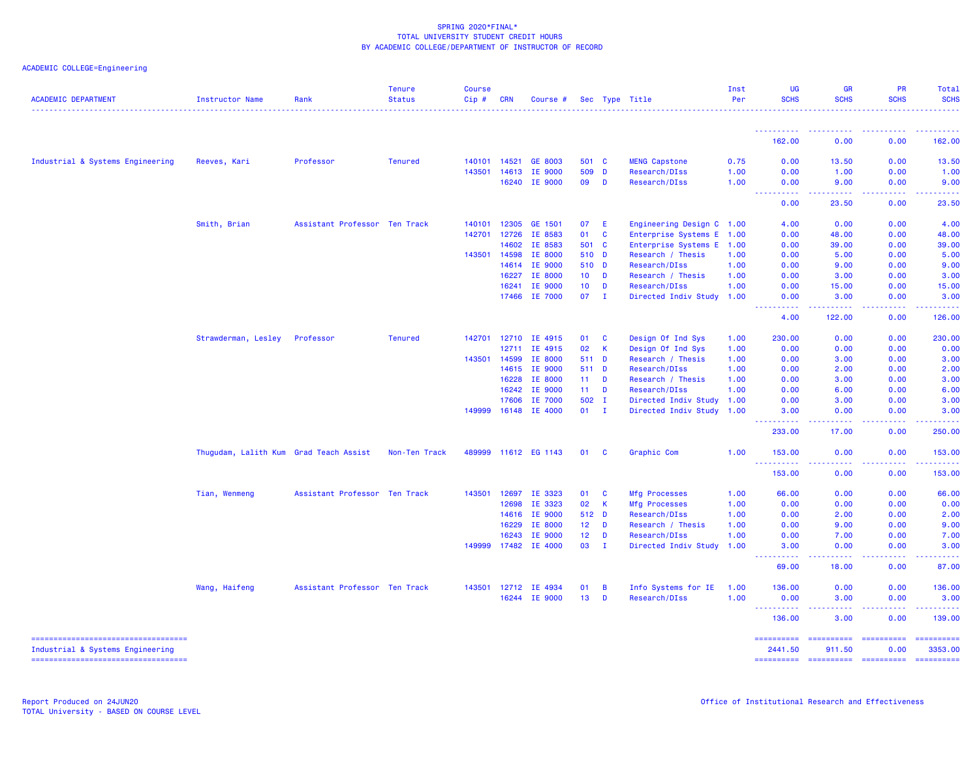| <b>ACADEMIC DEPARTMENT</b>                                               | <b>Instructor Name</b>                 | Rank                          | <b>Tenure</b><br><b>Status</b> | <b>Course</b><br>Cip# | <b>CRN</b>   | Course #             |                 |              | Sec Type Title            | Inst<br>Per | <b>UG</b><br><b>SCHS</b>              | <b>GR</b><br><b>SCHS</b>        | <b>PR</b><br><b>SCHS</b> | Total<br><b>SCHS</b>                                                                                                                                                                                                                                                                                                                                                                                                                                                                   |
|--------------------------------------------------------------------------|----------------------------------------|-------------------------------|--------------------------------|-----------------------|--------------|----------------------|-----------------|--------------|---------------------------|-------------|---------------------------------------|---------------------------------|--------------------------|----------------------------------------------------------------------------------------------------------------------------------------------------------------------------------------------------------------------------------------------------------------------------------------------------------------------------------------------------------------------------------------------------------------------------------------------------------------------------------------|
|                                                                          |                                        |                               |                                |                       |              |                      |                 |              |                           |             | ----------                            |                                 |                          |                                                                                                                                                                                                                                                                                                                                                                                                                                                                                        |
|                                                                          |                                        |                               |                                |                       |              |                      |                 |              |                           |             | 162.00                                | 0.00                            | 0.00                     | 162.00                                                                                                                                                                                                                                                                                                                                                                                                                                                                                 |
| Industrial & Systems Engineering                                         | Reeves, Kari                           | Professor                     | <b>Tenured</b>                 | 140101                | 14521        | GE 8003              | 501 C           |              | <b>MENG Capstone</b>      | 0.75        | 0.00                                  | 13.50                           | 0.00                     | 13.50                                                                                                                                                                                                                                                                                                                                                                                                                                                                                  |
|                                                                          |                                        |                               |                                | 143501                | 14613        | IE 9000              | 509             | D            | Research/DIss             | 1.00        | 0.00                                  | 1.00                            | 0.00                     | 1.00                                                                                                                                                                                                                                                                                                                                                                                                                                                                                   |
|                                                                          |                                        |                               |                                |                       | 16240        | IE 9000              | 09              | D            | Research/DIss             | 1.00        | 0.00                                  | 9.00                            | 0.00                     | 9.00                                                                                                                                                                                                                                                                                                                                                                                                                                                                                   |
|                                                                          |                                        |                               |                                |                       |              |                      |                 |              |                           |             | $\sim$ $\sim$ $\sim$ $\sim$<br>0.00   | .<br>23.50                      | 0.00                     | 23.50                                                                                                                                                                                                                                                                                                                                                                                                                                                                                  |
|                                                                          | Smith, Brian                           | Assistant Professor Ten Track |                                | 140101                | 12305        | GE 1501              | 07              | E            | Engineering Design C 1.00 |             | 4.00                                  | 0.00                            | 0.00                     | 4.00                                                                                                                                                                                                                                                                                                                                                                                                                                                                                   |
|                                                                          |                                        |                               |                                | 142701                | 12726        | IE 8583              | 01              | <b>C</b>     | Enterprise Systems E      | 1.00        | 0.00                                  | 48.00                           | 0.00                     | 48.00                                                                                                                                                                                                                                                                                                                                                                                                                                                                                  |
|                                                                          |                                        |                               |                                |                       | 14602        | IE 8583              | 501 C           |              | Enterprise Systems E      | 1.00        | 0.00                                  | 39.00                           | 0.00                     | 39.00                                                                                                                                                                                                                                                                                                                                                                                                                                                                                  |
|                                                                          |                                        |                               |                                | 143501                | 14598        | IE 8000              | 510 D           |              | Research / Thesis         | 1.00        | 0.00                                  | 5.00                            | 0.00                     | 5.00                                                                                                                                                                                                                                                                                                                                                                                                                                                                                   |
|                                                                          |                                        |                               |                                |                       | 14614        | IE 9000              | 510 D           |              | Research/DIss             | 1.00        | 0.00                                  | 9.00                            | 0.00                     | 9.00                                                                                                                                                                                                                                                                                                                                                                                                                                                                                   |
|                                                                          |                                        |                               |                                |                       | 16227        | IE 8000              | 10 <sup>°</sup> | D            | Research / Thesis         | 1.00        | 0.00                                  | 3.00                            | 0.00                     | 3.00                                                                                                                                                                                                                                                                                                                                                                                                                                                                                   |
|                                                                          |                                        |                               |                                |                       | 16241        | IE 9000              | 10 <sub>1</sub> | D            | Research/DIss             | 1.00        | 0.00                                  | 15.00                           | 0.00                     | 15.00                                                                                                                                                                                                                                                                                                                                                                                                                                                                                  |
|                                                                          |                                        |                               |                                |                       |              | 17466 IE 7000        | 07              | - I          | Directed Indiv Study 1.00 |             | 0.00                                  | 3.00                            | 0.00                     | 3.00                                                                                                                                                                                                                                                                                                                                                                                                                                                                                   |
|                                                                          |                                        |                               |                                |                       |              |                      |                 |              |                           |             | 4.00                                  | 122.00                          | 0.00                     | 126.00                                                                                                                                                                                                                                                                                                                                                                                                                                                                                 |
|                                                                          | Strawderman, Lesley                    | Professor                     | <b>Tenured</b>                 | 142701                | 12710        | IE 4915              | 01              | C            | Design Of Ind Sys         | 1.00        | 230.00                                | 0.00                            | 0.00                     | 230.00                                                                                                                                                                                                                                                                                                                                                                                                                                                                                 |
|                                                                          |                                        |                               |                                |                       | 12711        | IE 4915              | 02              | K            | Design Of Ind Sys         | 1.00        | 0.00                                  | 0.00                            | 0.00                     | 0.00                                                                                                                                                                                                                                                                                                                                                                                                                                                                                   |
|                                                                          |                                        |                               |                                | 143501                | 14599        | IE 8000              | 511 D           |              | Research / Thesis         | 1.00        | 0.00                                  | 3.00                            | 0.00                     | 3.00                                                                                                                                                                                                                                                                                                                                                                                                                                                                                   |
|                                                                          |                                        |                               |                                |                       | 14615        | IE 9000              | 511 D           |              | Research/DIss             | 1.00        | 0.00                                  | 2.00                            | 0.00                     | 2.00                                                                                                                                                                                                                                                                                                                                                                                                                                                                                   |
|                                                                          |                                        |                               |                                |                       | 16228        | IE 8000              | 11              | D            | Research / Thesis         | 1.00        | 0.00                                  | 3.00                            | 0.00                     | 3.00                                                                                                                                                                                                                                                                                                                                                                                                                                                                                   |
|                                                                          |                                        |                               |                                |                       | 16242        | IE 9000              | 11 <sub>1</sub> | D            | Research/DIss             | 1.00        | 0.00                                  | 6.00                            | 0.00                     | 6.00                                                                                                                                                                                                                                                                                                                                                                                                                                                                                   |
|                                                                          |                                        |                               |                                |                       | 17606        | IE 7000              | 502 I           |              | Directed Indiv Study      | 1.00        | 0.00                                  | 3.00                            | 0.00                     | 3.00                                                                                                                                                                                                                                                                                                                                                                                                                                                                                   |
|                                                                          |                                        |                               |                                | 149999                | 16148        | IE 4000              | 01              | $\mathbf{I}$ | Directed Indiv Study      | 1.00        | 3.00                                  | 0.00                            | 0.00                     | 3.00                                                                                                                                                                                                                                                                                                                                                                                                                                                                                   |
|                                                                          |                                        |                               |                                |                       |              |                      |                 |              |                           |             | $\sim$ $\sim$ $\sim$ $\sim$<br>233.00 | 17.00                           | 0.00                     | 250.00                                                                                                                                                                                                                                                                                                                                                                                                                                                                                 |
|                                                                          | Thugudam, Lalith Kum Grad Teach Assist |                               | Non-Ten Track                  |                       |              | 489999 11612 EG 1143 | 01              | C            | Graphic Com               | 1.00        | 153.00<br><u>.</u>                    | 0.00                            | 0.00                     | 153.00<br>$\begin{array}{cccccccccc} \bullet & \bullet & \bullet & \bullet & \bullet & \bullet & \bullet \end{array}$                                                                                                                                                                                                                                                                                                                                                                  |
|                                                                          |                                        |                               |                                |                       |              |                      |                 |              |                           |             | 153.00                                | 0.00                            | 0.00                     | 153.00                                                                                                                                                                                                                                                                                                                                                                                                                                                                                 |
|                                                                          | Tian, Wenmeng                          | Assistant Professor Ten Track |                                | 143501                | 12697        | IE 3323              | 01              | C            | Mfg Processes             | 1.00        | 66.00                                 | 0.00                            | 0.00                     | 66.00                                                                                                                                                                                                                                                                                                                                                                                                                                                                                  |
|                                                                          |                                        |                               |                                |                       | 12698        | IE 3323              | 02              | $\mathsf K$  | Mfg Processes             | 1.00        | 0.00                                  | 0.00                            | 0.00                     | 0.00                                                                                                                                                                                                                                                                                                                                                                                                                                                                                   |
|                                                                          |                                        |                               |                                |                       | 14616        | IE 9000              | 512 D           |              | Research/DIss             | 1.00        | 0.00                                  | 2.00                            | 0.00                     | 2.00                                                                                                                                                                                                                                                                                                                                                                                                                                                                                   |
|                                                                          |                                        |                               |                                |                       | 16229        | IE 8000              | 12 <sub>1</sub> | D            | Research / Thesis         | 1.00        | 0.00                                  | 9.00                            | 0.00                     | 9.00                                                                                                                                                                                                                                                                                                                                                                                                                                                                                   |
|                                                                          |                                        |                               |                                |                       | 16243        | IE 9000              | 12 <sup>2</sup> | D            | Research/DIss             | 1.00        | 0.00                                  | 7.00                            | 0.00                     | 7.00                                                                                                                                                                                                                                                                                                                                                                                                                                                                                   |
|                                                                          |                                        |                               |                                |                       |              | 149999 17482 IE 4000 | 03              | л.           | Directed Indiv Study      | 1.00        | 3.00                                  | 0.00                            | 0.00                     | 3.00                                                                                                                                                                                                                                                                                                                                                                                                                                                                                   |
|                                                                          |                                        |                               |                                |                       |              |                      |                 |              |                           |             | بالأباب<br>.<br>69.00                 | .<br>18.00                      | .<br>0.00                | 87.00                                                                                                                                                                                                                                                                                                                                                                                                                                                                                  |
|                                                                          | Wang, Haifeng                          | Assistant Professor Ten Track |                                |                       | 143501 12712 | IE 4934              | 01              | B            | Info Systems for IE       | 1.00        | 136.00                                | 0.00                            | 0.00                     | 136.00                                                                                                                                                                                                                                                                                                                                                                                                                                                                                 |
|                                                                          |                                        |                               |                                |                       |              | 16244 IE 9000        | 13              | D            | Research/DIss             | 1.00        | 0.00                                  | 3.00                            | 0.00                     | 3.00                                                                                                                                                                                                                                                                                                                                                                                                                                                                                   |
|                                                                          |                                        |                               |                                |                       |              |                      |                 |              |                           |             | <u>.</u><br>136.00                    | .<br>3.00                       | .<br>0.00                | 222222<br>139.00                                                                                                                                                                                                                                                                                                                                                                                                                                                                       |
| ====================================<br>Industrial & Systems Engineering |                                        |                               |                                |                       |              |                      |                 |              |                           |             | ==========<br>2441.50                 | <b>ESSESSEES</b><br>911.50      | $=$ ==========<br>0.00   | ==========<br>3353,00                                                                                                                                                                                                                                                                                                                                                                                                                                                                  |
| ======================================                                   |                                        |                               |                                |                       |              |                      |                 |              |                           |             |                                       | ---------- ---------- --------- |                          | $\begin{array}{cccccccccc} \multicolumn{2}{c}{} & \multicolumn{2}{c}{} & \multicolumn{2}{c}{} & \multicolumn{2}{c}{} & \multicolumn{2}{c}{} & \multicolumn{2}{c}{} & \multicolumn{2}{c}{} & \multicolumn{2}{c}{} & \multicolumn{2}{c}{} & \multicolumn{2}{c}{} & \multicolumn{2}{c}{} & \multicolumn{2}{c}{} & \multicolumn{2}{c}{} & \multicolumn{2}{c}{} & \multicolumn{2}{c}{} & \multicolumn{2}{c}{} & \multicolumn{2}{c}{} & \multicolumn{2}{c}{} & \multicolumn{2}{c}{} & \mult$ |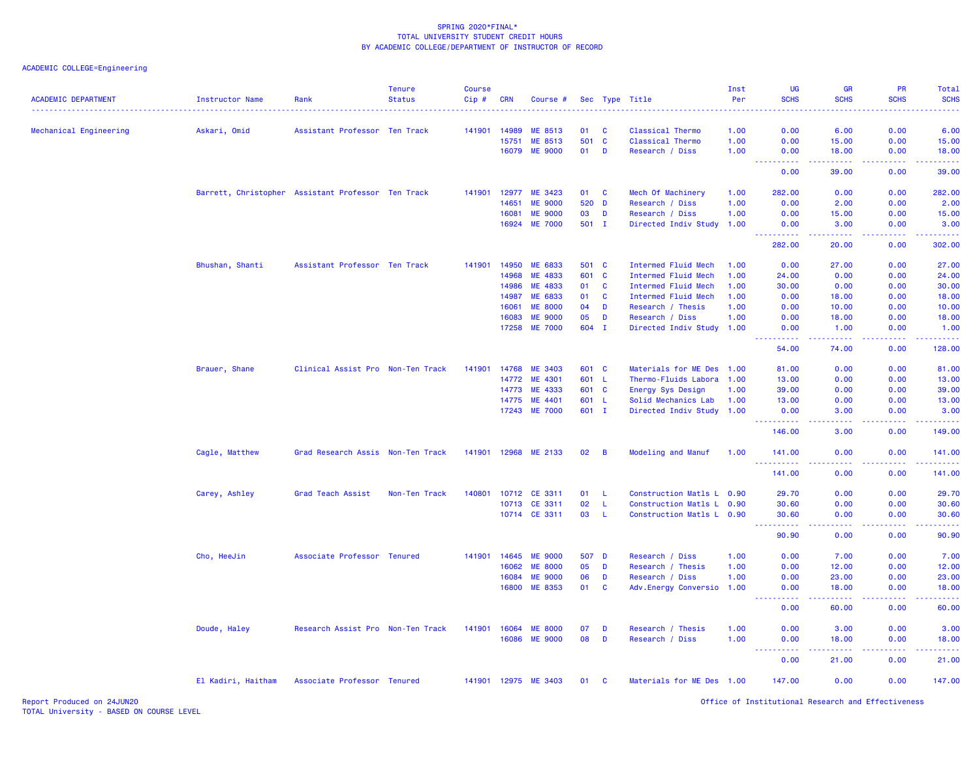| <b>ACADEMIC DEPARTMENT</b> | <b>Instructor Name</b> | Rank                                               | <b>Tenure</b><br><b>Status</b> | <b>Course</b><br>Cip# | <b>CRN</b> | Course #       |       |                | Sec Type Title             | Inst<br>Per | UG<br><b>SCHS</b>   | GR<br><b>SCHS</b>                                                                                                                                             | <b>PR</b><br><b>SCHS</b>            | Total<br><b>SCHS</b>   |
|----------------------------|------------------------|----------------------------------------------------|--------------------------------|-----------------------|------------|----------------|-------|----------------|----------------------------|-------------|---------------------|---------------------------------------------------------------------------------------------------------------------------------------------------------------|-------------------------------------|------------------------|
| Mechanical Engineering     | Askari, Omid           | Assistant Professor Ten Track                      |                                | 141901                | 14989      | ME 8513        | 01    | <b>C</b>       | Classical Thermo           | 1.00        | 0.00                | 6.00                                                                                                                                                          | 0.00                                | 6.00                   |
|                            |                        |                                                    |                                |                       | 15751      | <b>ME 8513</b> | 501   | $\mathbf{C}$   | Classical Thermo           | 1.00        | 0.00                | 15.00                                                                                                                                                         | 0.00                                | 15.00                  |
|                            |                        |                                                    |                                |                       |            | 16079 ME 9000  | 01    | D              | Research / Diss            | 1.00        | 0.00                | 18.00                                                                                                                                                         | 0.00                                | 18.00                  |
|                            |                        |                                                    |                                |                       |            |                |       |                |                            |             | <u>.</u><br>0.00    | .<br>39.00                                                                                                                                                    | .<br>0.00                           | .<br>39.00             |
|                            |                        | Barrett, Christopher Assistant Professor Ten Track |                                | 141901 12977          |            | ME 3423        | 01 C  |                | Mech Of Machinery          | 1.00        | 282.00              | 0.00                                                                                                                                                          | 0.00                                | 282.00                 |
|                            |                        |                                                    |                                |                       | 14651      | <b>ME 9000</b> | 520   | D              | Research / Diss            | 1.00        | 0.00                | 2.00                                                                                                                                                          | 0.00                                | 2.00                   |
|                            |                        |                                                    |                                |                       | 16081      | <b>ME 9000</b> | 03    | D              | Research / Diss            | 1.00        | 0.00                | 15.00                                                                                                                                                         | 0.00                                | 15.00                  |
|                            |                        |                                                    |                                |                       | 16924      | <b>ME 7000</b> | 501 I |                | Directed Indiv Study 1.00  |             | 0.00<br>22222       | 3.00<br>$\frac{1}{2} \left( \frac{1}{2} \right) \left( \frac{1}{2} \right) \left( \frac{1}{2} \right) \left( \frac{1}{2} \right)$                             | 0.00<br>.                           | 3.00<br>.              |
|                            |                        |                                                    |                                |                       |            |                |       |                |                            |             | 282.00              | 20.00                                                                                                                                                         | 0.00                                | 302.00                 |
|                            | Bhushan, Shanti        | Assistant Professor Ten Track                      |                                | 141901                | 14950      | ME 6833        | 501 C |                | Intermed Fluid Mech        | 1.00        | 0.00                | 27.00                                                                                                                                                         | 0.00                                | 27.00                  |
|                            |                        |                                                    |                                |                       | 14968      | ME 4833        | 601   | $\mathbf{C}$   | Intermed Fluid Mech        | 1.00        | 24.00               | 0.00                                                                                                                                                          | 0.00                                | 24.00                  |
|                            |                        |                                                    |                                |                       | 14986      | ME 4833        | 01    | $\mathbf{C}$   | Intermed Fluid Mech        | 1.00        | 30.00               | 0.00                                                                                                                                                          | 0.00                                | 30.00                  |
|                            |                        |                                                    |                                |                       | 14987      | ME 6833        | 01    | <b>C</b>       | <b>Intermed Fluid Mech</b> | 1.00        | 0.00                | 18.00                                                                                                                                                         | 0.00                                | 18.00                  |
|                            |                        |                                                    |                                |                       | 16061      | <b>ME 8000</b> | 04    | D              | Research / Thesis          | 1.00        | 0.00                | 10.00                                                                                                                                                         | 0.00                                | 10.00                  |
|                            |                        |                                                    |                                |                       | 16083      | <b>ME 9000</b> | 05    | D              | Research / Diss            | 1.00        | 0.00                | 18.00                                                                                                                                                         | 0.00                                | 18.00                  |
|                            |                        |                                                    |                                |                       | 17258      | <b>ME 7000</b> | 604 I |                | Directed Indiv Study 1.00  |             | 0.00                | 1.00                                                                                                                                                          | 0.00                                | 1.00                   |
|                            |                        |                                                    |                                |                       |            |                |       |                |                            |             | .<br>54.00          | $\frac{1}{2} \left( \frac{1}{2} \right) \left( \frac{1}{2} \right) \left( \frac{1}{2} \right) \left( \frac{1}{2} \right) \left( \frac{1}{2} \right)$<br>74.00 | .<br>0.00                           | .<br>128.00            |
|                            | Brauer, Shane          | Clinical Assist Pro Non-Ten Track                  |                                | 141901                | 14768      | <b>ME 3403</b> | 601 C |                | Materials for ME Des 1.00  |             | 81.00               | 0.00                                                                                                                                                          | 0.00                                | 81.00                  |
|                            |                        |                                                    |                                |                       | 14772      | ME 4301        | 601 L |                | Thermo-Fluids Labora 1.00  |             | 13.00               | 0.00                                                                                                                                                          | 0.00                                | 13.00                  |
|                            |                        |                                                    |                                |                       | 14773      | ME 4333        | 601 C |                | Energy Sys Design          | 1.00        | 39.00               | 0.00                                                                                                                                                          | 0.00                                | 39.00                  |
|                            |                        |                                                    |                                |                       | 14775      | ME 4401        | 601 L |                | Solid Mechanics Lab        | 1.00        | 13.00               | 0.00                                                                                                                                                          | 0.00                                | 13.00                  |
|                            |                        |                                                    |                                |                       | 17243      | <b>ME 7000</b> | 601 I |                | Directed Indiv Study 1.00  |             | 0.00                | 3.00                                                                                                                                                          | 0.00                                | 3.00                   |
|                            |                        |                                                    |                                |                       |            |                |       |                |                            |             | د د د د د<br>146.00 | $\sim$ $\sim$ $\sim$ $\sim$<br>3.00                                                                                                                           | 0.00                                | .<br>149.00            |
|                            | Cagle, Matthew         | Grad Research Assis Non-Ten Track                  |                                | 141901 12968          |            | ME 2133        | 02    | $\overline{B}$ | Modeling and Manuf         | 1.00        | 141.00              | 0.00                                                                                                                                                          | 0.00                                | 141.00                 |
|                            |                        |                                                    |                                |                       |            |                |       |                |                            |             | .<br>141.00         | .<br>0.00                                                                                                                                                     | 22222<br>0.00                       | لأعام ماعاما<br>141.00 |
|                            | Carey, Ashley          | Grad Teach Assist                                  | Non-Ten Track                  | 140801                | 10712      | CE 3311        | 01    | -L             | Construction Matls L 0.90  |             | 29.70               | 0.00                                                                                                                                                          | 0.00                                | 29.70                  |
|                            |                        |                                                    |                                |                       |            | 10713 CE 3311  | 02    | -L             | Construction Matls L 0.90  |             | 30.60               | 0.00                                                                                                                                                          | 0.00                                | 30.60                  |
|                            |                        |                                                    |                                |                       |            | 10714 CE 3311  | 03    | -L             | Construction Matls L 0.90  |             | 30.60               | 0.00                                                                                                                                                          | 0.00                                | 30.60                  |
|                            |                        |                                                    |                                |                       |            |                |       |                |                            |             | 90.90               | .<br>0.00                                                                                                                                                     | $\sim$ $\sim$ $\sim$ $\sim$<br>0.00 | الفاعدات<br>90.90      |
|                            | Cho, HeeJin            | Associate Professor Tenured                        |                                | 141901                | 14645      | <b>ME 9000</b> | 507   | $\mathbf{D}$   | Research / Diss            | 1.00        | 0.00                | 7.00                                                                                                                                                          | 0.00                                | 7.00                   |
|                            |                        |                                                    |                                |                       | 16062      | <b>ME 8000</b> | 05    | D              | Research / Thesis          | 1.00        | 0.00                | 12.00                                                                                                                                                         | 0.00                                | 12.00                  |
|                            |                        |                                                    |                                |                       | 16084      | <b>ME 9000</b> | 06    | D              | Research / Diss            | 1.00        | 0.00                | 23.00                                                                                                                                                         | 0.00                                | 23.00                  |
|                            |                        |                                                    |                                |                       | 16800      | ME 8353        | 01    | $\mathbf{C}$   | Adv.Energy Conversio 1.00  |             | 0.00                | 18.00                                                                                                                                                         | 0.00                                | 18.00                  |
|                            |                        |                                                    |                                |                       |            |                |       |                |                            |             | 22222<br>0.00       | .<br>60.00                                                                                                                                                    | . <b>.</b><br>0.00                  | .<br>60.00             |
|                            | Doude, Haley           | Research Assist Pro Non-Ten Track                  |                                | 141901                | 16064      | <b>ME 8000</b> | 07    | D              | Research / Thesis          | 1.00        | 0.00                | 3.00                                                                                                                                                          | 0.00                                | 3.00                   |
|                            |                        |                                                    |                                |                       | 16086      | <b>ME 9000</b> | 08    | D              | Research / Diss            | 1.00        | 0.00                | 18.00                                                                                                                                                         | 0.00                                | 18.00                  |
|                            |                        |                                                    |                                |                       |            |                |       |                |                            |             | <u>.</u>            | .                                                                                                                                                             | <u>.</u>                            | .                      |
|                            |                        |                                                    |                                |                       |            |                |       |                |                            |             | 0.00                | 21.00                                                                                                                                                         | 0.00                                | 21.00                  |
|                            | El Kadiri, Haitham     | Associate Professor Tenured                        |                                | 141901 12975          |            | <b>ME 3403</b> | 01    | <b>C</b>       | Materials for ME Des 1.00  |             | 147.00              | 0.00                                                                                                                                                          | 0.00                                | 147.00                 |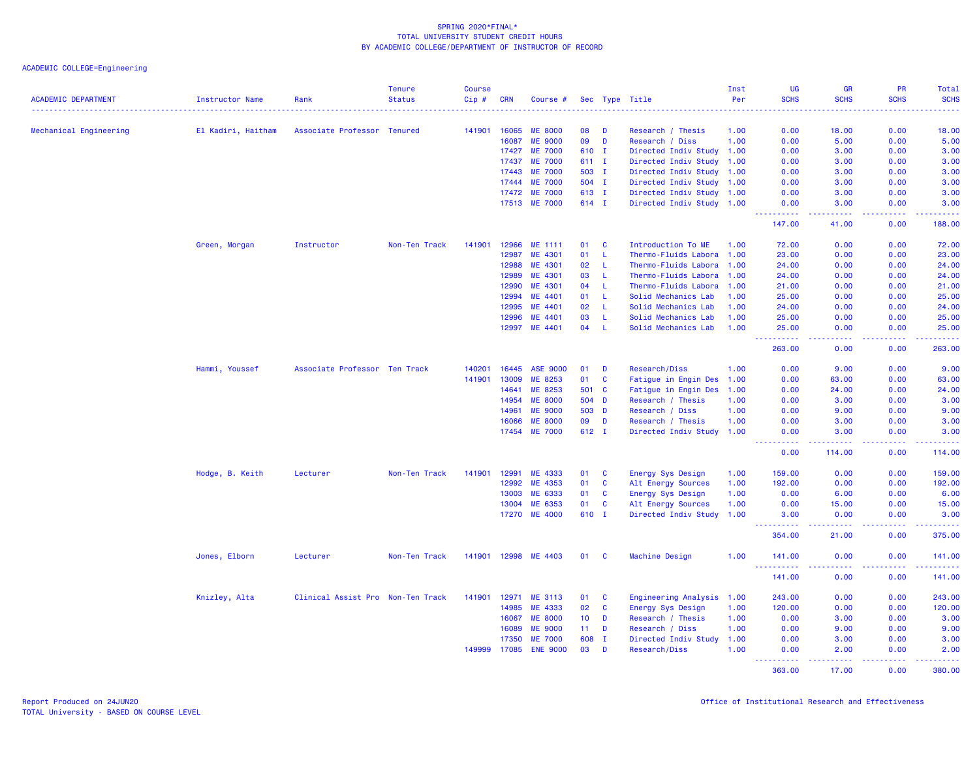| <b>ACADEMIC DEPARTMENT</b> | <b>Instructor Name</b> | Rank                              | <b>Tenure</b><br><b>Status</b> | <b>Course</b><br>Cip# | <b>CRN</b>     | Course #                         |                 |                   | Sec Type Title                            | Inst<br>Per  | UG<br><b>SCHS</b>                                                                                                                                            | <b>GR</b><br><b>SCHS</b>                                                                                                          | PR<br><b>SCHS</b>                                                                                                                 | Total<br><b>SCHS</b><br>.                                                                                                         |
|----------------------------|------------------------|-----------------------------------|--------------------------------|-----------------------|----------------|----------------------------------|-----------------|-------------------|-------------------------------------------|--------------|--------------------------------------------------------------------------------------------------------------------------------------------------------------|-----------------------------------------------------------------------------------------------------------------------------------|-----------------------------------------------------------------------------------------------------------------------------------|-----------------------------------------------------------------------------------------------------------------------------------|
| Mechanical Engineering     | El Kadiri, Haitham     | Associate Professor Tenured       |                                | 141901                | 16065          | <b>ME 8000</b>                   | 08              | - D               | Research / Thesis                         | 1.00         | 0.00                                                                                                                                                         | 18.00                                                                                                                             | 0.00                                                                                                                              | 18.00                                                                                                                             |
|                            |                        |                                   |                                |                       | 16087          | <b>ME 9000</b>                   | 09              | D                 | Research / Diss                           | 1.00         | 0.00                                                                                                                                                         | 5.00                                                                                                                              | 0.00                                                                                                                              | 5.00                                                                                                                              |
|                            |                        |                                   |                                |                       | 17427          | <b>ME 7000</b>                   | 610 I           |                   | Directed Indiv Study 1.00                 |              | 0.00                                                                                                                                                         | 3.00                                                                                                                              | 0.00                                                                                                                              | 3.00                                                                                                                              |
|                            |                        |                                   |                                |                       | 17437          | <b>ME 7000</b>                   | 611 I           |                   | Directed Indiv Study                      | 1.00         | 0.00                                                                                                                                                         | 3.00                                                                                                                              | 0.00                                                                                                                              | 3.00                                                                                                                              |
|                            |                        |                                   |                                |                       | 17443          | <b>ME 7000</b>                   | 503 I           |                   | Directed Indiv Study 1.00                 |              | 0.00                                                                                                                                                         | 3.00                                                                                                                              | 0.00                                                                                                                              | 3.00                                                                                                                              |
|                            |                        |                                   |                                |                       | 17444          | <b>ME 7000</b>                   | 504 I           |                   | Directed Indiv Study 1.00                 |              | 0.00                                                                                                                                                         | 3.00                                                                                                                              | 0.00                                                                                                                              | 3.00                                                                                                                              |
|                            |                        |                                   |                                |                       | 17472          | <b>ME 7000</b>                   | 613 I           |                   | Directed Indiv Study 1.00                 |              | 0.00                                                                                                                                                         | 3.00                                                                                                                              | 0.00                                                                                                                              | 3.00                                                                                                                              |
|                            |                        |                                   |                                |                       | 17513          | <b>ME 7000</b>                   | 614 I           |                   | Directed Indiv Study 1.00                 |              | 0.00                                                                                                                                                         | 3.00                                                                                                                              | 0.00<br>$\frac{1}{2} \left( \frac{1}{2} \right) \left( \frac{1}{2} \right) \left( \frac{1}{2} \right) \left( \frac{1}{2} \right)$ | 3.00<br>$\frac{1}{2} \left( \frac{1}{2} \right) \left( \frac{1}{2} \right) \left( \frac{1}{2} \right) \left( \frac{1}{2} \right)$ |
|                            |                        |                                   |                                |                       |                |                                  |                 |                   |                                           |              | 147.00                                                                                                                                                       | 41.00                                                                                                                             | 0.00                                                                                                                              | 188.00                                                                                                                            |
|                            | Green, Morgan          | Instructor                        | Non-Ten Track                  | 141901                | 12966          | ME 1111                          | 01              | <b>C</b>          | Introduction To ME                        | 1.00         | 72.00                                                                                                                                                        | 0.00                                                                                                                              | 0.00                                                                                                                              | 72.00                                                                                                                             |
|                            |                        |                                   |                                |                       | 12987          | ME 4301                          | 01              | L                 | Thermo-Fluids Labora                      | 1.00         | 23.00                                                                                                                                                        | 0.00                                                                                                                              | 0.00                                                                                                                              | 23.00                                                                                                                             |
|                            |                        |                                   |                                |                       | 12988          | ME 4301                          | 02              | L                 | Thermo-Fluids Labora                      | 1.00         | 24.00                                                                                                                                                        | 0.00                                                                                                                              | 0.00                                                                                                                              | 24.00                                                                                                                             |
|                            |                        |                                   |                                |                       | 12989          | ME 4301                          | 03              | <b>L</b>          | Thermo-Fluids Labora                      | 1.00         | 24.00                                                                                                                                                        | 0.00                                                                                                                              | 0.00                                                                                                                              | 24.00                                                                                                                             |
|                            |                        |                                   |                                |                       | 12990          | ME 4301                          | 04              | L                 | Thermo-Fluids Labora                      | 1.00         | 21.00                                                                                                                                                        | 0.00                                                                                                                              | 0.00                                                                                                                              | 21.00                                                                                                                             |
|                            |                        |                                   |                                |                       | 12994          | ME 4401                          | 01              | $\mathsf{L}$      | Solid Mechanics Lab                       | 1.00         | 25.00                                                                                                                                                        | 0.00                                                                                                                              | 0.00                                                                                                                              | 25.00                                                                                                                             |
|                            |                        |                                   |                                |                       | 12995          | ME 4401                          | 02              | L                 | Solid Mechanics Lab                       | 1.00         | 24.00                                                                                                                                                        | 0.00                                                                                                                              | 0.00                                                                                                                              | 24.00                                                                                                                             |
|                            |                        |                                   |                                |                       | 12996          | ME 4401                          | 03              | L<br>$\mathsf{L}$ | Solid Mechanics Lab                       | 1.00         | 25.00                                                                                                                                                        | 0.00                                                                                                                              | 0.00                                                                                                                              | 25.00                                                                                                                             |
|                            |                        |                                   |                                |                       | 12997          | ME 4401                          | 04              |                   | Solid Mechanics Lab                       | 1.00         | 25.00<br>.                                                                                                                                                   | 0.00<br>$\frac{1}{2} \left( \frac{1}{2} \right) \left( \frac{1}{2} \right) \left( \frac{1}{2} \right) \left( \frac{1}{2} \right)$ | 0.00<br>.                                                                                                                         | 25.00<br>.                                                                                                                        |
|                            |                        |                                   |                                |                       |                |                                  |                 |                   |                                           |              | 263.00                                                                                                                                                       | 0.00                                                                                                                              | 0.00                                                                                                                              | 263.00                                                                                                                            |
|                            | Hammi, Youssef         | Associate Professor Ten Track     |                                | 140201                | 16445          | <b>ASE 9000</b>                  | 01              | D                 | Research/Diss                             | 1.00         | 0.00                                                                                                                                                         | 9.00                                                                                                                              | 0.00                                                                                                                              | 9.00                                                                                                                              |
|                            |                        |                                   |                                | 141901                | 13009          | ME 8253                          | 01              | $\mathbf c$       | Fatigue in Engin Des                      | 1.00         | 0.00                                                                                                                                                         | 63.00                                                                                                                             | 0.00                                                                                                                              | 63.00                                                                                                                             |
|                            |                        |                                   |                                |                       | 14641          | ME 8253                          | 501             | <b>C</b>          | Fatigue in Engin Des                      | 1.00         | 0.00                                                                                                                                                         | 24.00                                                                                                                             | 0.00                                                                                                                              | 24.00                                                                                                                             |
|                            |                        |                                   |                                |                       | 14954<br>14961 | <b>ME 8000</b><br><b>ME 9000</b> | 504<br>503      | D<br>D            | Research / Thesis                         | 1.00<br>1.00 | 0.00<br>0.00                                                                                                                                                 | 3.00<br>9.00                                                                                                                      | 0.00<br>0.00                                                                                                                      | 3.00<br>9.00                                                                                                                      |
|                            |                        |                                   |                                |                       |                |                                  | 09              |                   | Research / Diss                           |              |                                                                                                                                                              |                                                                                                                                   |                                                                                                                                   |                                                                                                                                   |
|                            |                        |                                   |                                |                       | 16066<br>17454 | <b>ME 8000</b><br><b>ME 7000</b> | 612 I           | D                 | Research / Thesis<br>Directed Indiv Study | 1.00<br>1.00 | 0.00<br>0.00                                                                                                                                                 | 3.00<br>3.00                                                                                                                      | 0.00<br>0.00                                                                                                                      | 3.00<br>3.00                                                                                                                      |
|                            |                        |                                   |                                |                       |                |                                  |                 |                   |                                           |              | $\frac{1}{2} \left( \frac{1}{2} \right) \left( \frac{1}{2} \right) \left( \frac{1}{2} \right) \left( \frac{1}{2} \right) \left( \frac{1}{2} \right)$<br>0.00 | .<br>114.00                                                                                                                       | .<br>0.00                                                                                                                         | <u> 22222</u><br>114.00                                                                                                           |
|                            | Hodge, B. Keith        | Lecturer                          | Non-Ten Track                  | 141901                | 12991          | ME 4333                          | 01              | <b>C</b>          | Energy Sys Design                         | 1.00         | 159.00                                                                                                                                                       | 0.00                                                                                                                              | 0.00                                                                                                                              | 159.00                                                                                                                            |
|                            |                        |                                   |                                |                       | 12992          | ME 4353                          | 01              | $\mathbf{C}$      | Alt Energy Sources                        | 1.00         | 192.00                                                                                                                                                       | 0.00                                                                                                                              | 0.00                                                                                                                              | 192.00                                                                                                                            |
|                            |                        |                                   |                                |                       | 13003          | ME 6333                          | 01              | $\mathbf{C}$      | Energy Sys Design                         | 1.00         | 0.00                                                                                                                                                         | 6.00                                                                                                                              | 0.00                                                                                                                              | 6.00                                                                                                                              |
|                            |                        |                                   |                                |                       | 13004          | ME 6353                          | 01              | C                 | Alt Energy Sources                        | 1.00         | 0.00                                                                                                                                                         | 15.00                                                                                                                             | 0.00                                                                                                                              | 15.00                                                                                                                             |
|                            |                        |                                   |                                |                       | 17270          | <b>ME 4000</b>                   | 610 I           |                   | Directed Indiv Study                      | 1.00         | 3.00<br><u>.</u>                                                                                                                                             | 0.00<br>.                                                                                                                         | 0.00<br>.                                                                                                                         | 3.00<br>222222                                                                                                                    |
|                            |                        |                                   |                                |                       |                |                                  |                 |                   |                                           |              | 354.00                                                                                                                                                       | 21.00                                                                                                                             | 0.00                                                                                                                              | 375.00                                                                                                                            |
|                            | Jones, Elborn          | Lecturer                          | Non-Ten Track                  | 141901                | 12998          | ME 4403                          | 01              | - C               | Machine Design                            | 1.00         | 141.00<br><u>.</u>                                                                                                                                           | 0.00                                                                                                                              | 0.00                                                                                                                              | 141.00                                                                                                                            |
|                            |                        |                                   |                                |                       |                |                                  |                 |                   |                                           |              | 141.00                                                                                                                                                       | 0.00                                                                                                                              | 0.00                                                                                                                              | 141.00                                                                                                                            |
|                            | Knizley, Alta          | Clinical Assist Pro Non-Ten Track |                                | 141901                | 12971          | ME 3113                          | 01              | C                 | Engineering Analysis                      | 1.00         | 243.00                                                                                                                                                       | 0.00                                                                                                                              | 0.00                                                                                                                              | 243.00                                                                                                                            |
|                            |                        |                                   |                                |                       | 14985          | ME 4333                          | 02              | $\mathbf{C}$      | Energy Sys Design                         | 1.00         | 120.00                                                                                                                                                       | 0.00                                                                                                                              | 0.00                                                                                                                              | 120.00                                                                                                                            |
|                            |                        |                                   |                                |                       | 16067          | <b>ME 8000</b>                   | 10 <sub>1</sub> | D                 | Research / Thesis                         | 1.00         | 0.00                                                                                                                                                         | 3.00                                                                                                                              | 0.00                                                                                                                              | 3.00                                                                                                                              |
|                            |                        |                                   |                                |                       | 16089          | <b>ME 9000</b>                   | 11 <sub>1</sub> | D                 | Research / Diss                           | 1.00         | 0.00                                                                                                                                                         | 9.00                                                                                                                              | 0.00                                                                                                                              | 9.00                                                                                                                              |
|                            |                        |                                   |                                |                       | 17350          | <b>ME 7000</b>                   | 608             | $\mathbf{I}$      | Directed Indiv Study                      | 1.00         | 0.00                                                                                                                                                         | 3.00                                                                                                                              | 0.00                                                                                                                              | 3.00                                                                                                                              |
|                            |                        |                                   |                                | 149999                | 17085          | <b>ENE 9000</b>                  | 03              | D                 | Research/Diss                             | 1.00         | 0.00<br>2.2.2.2.2                                                                                                                                            | 2.00                                                                                                                              | 0.00<br>$\sim$ $\sim$ $\sim$ $\sim$                                                                                               | 2.00<br>$\frac{1}{2}$ . $\frac{1}{2}$ . $\frac{1}{2}$                                                                             |
|                            |                        |                                   |                                |                       |                |                                  |                 |                   |                                           |              | 363,00                                                                                                                                                       | 17.00                                                                                                                             | 0.00                                                                                                                              | 380.00                                                                                                                            |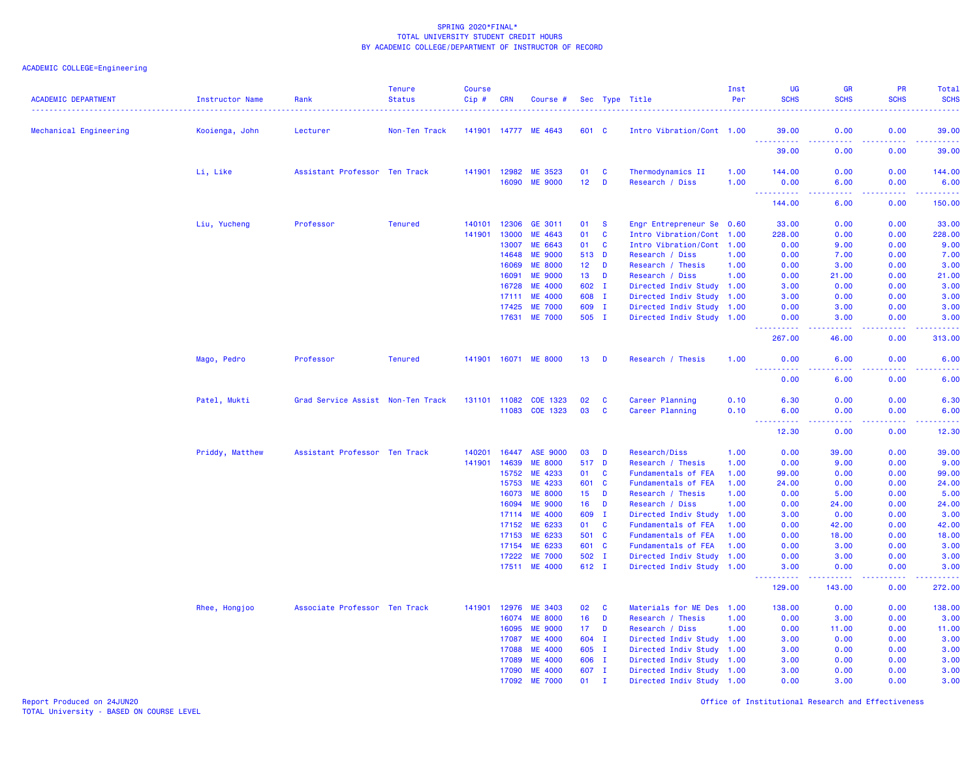# ACADEMIC COLLEGE=Engineering

| 141901 14777 ME 4643<br>0.00<br>0.00<br>39.00<br>Mechanical Engineering<br>Kooienga, John<br>Non-Ten Track<br>601 C<br>Intro Vibration/Cont 1.00<br>39.00<br>Lecturer<br><u> - - - - - - - - - -</u><br>بالأباد<br>.<br>.<br>39.00<br>0.00<br>0.00<br>39.00<br>Li, Like<br>Assistant Professor Ten Track<br>141901 12982<br>ME 3523<br>01<br>C<br>Thermodynamics II<br>1.00<br>144.00<br>0.00<br>0.00<br>144.00<br>12 <sub>2</sub><br>16090<br><b>ME 9000</b><br>D<br>Research / Diss<br>1.00<br>0.00<br>6.00<br>0.00<br>6.00<br>.<br>.<br>.<br>.<br>0.00<br>150.00<br>144.00<br>6.00<br>Liu, Yucheng<br>Professor<br><b>Tenured</b><br>12306<br>GE 3011<br>0.00<br>0.00<br>140101<br>01<br><b>S</b><br>Engr Entrepreneur Se 0.60<br>33.00<br>33.00<br>141901<br>13000<br>ME 4643<br>01<br>$\mathbf{C}$<br>0.00<br>228.00<br>Intro Vibration/Cont 1.00<br>228.00<br>0.00<br>ME 6643<br>01<br>C<br>0.00<br>9.00<br>13007<br>Intro Vibration/Cont 1.00<br>0.00<br>9.00<br><b>ME 9000</b><br>513 D<br>14648<br>Research / Diss<br>1.00<br>0.00<br>7.00<br>0.00<br>7.00<br>16069<br><b>ME 8000</b><br>12 <sub>2</sub><br>D<br>Research / Thesis<br>1.00<br>0.00<br>3.00<br>0.00<br>3.00<br><b>ME 9000</b><br>16091<br>13 <sup>°</sup><br>D<br>Research / Diss<br>1.00<br>0.00<br>21.00<br>0.00<br>21.00<br>16728<br><b>ME 4000</b><br>602 I<br>Directed Indiv Study 1.00<br>3.00<br>0.00<br>0.00<br>3.00<br>608 I<br>0.00<br>0.00<br>3.00<br><b>ME 4000</b><br>Directed Indiv Study 1.00<br>3.00<br>17111<br><b>ME 7000</b><br>17425<br>609 I<br>Directed Indiv Study 1.00<br>0.00<br>3.00<br>0.00<br>3.00<br><b>ME 7000</b><br>505 I<br>3.00<br>17631<br>Directed Indiv Study 1.00<br>0.00<br>3.00<br>0.00<br>-----<br>ولايات<br>.<br>المتمامين<br>267.00<br>46.00<br>0.00<br>313.00<br><b>Tenured</b><br>141901 16071 ME 8000<br>1.00<br>0.00<br>6.00<br>Mago, Pedro<br>Professor<br>13<br><b>D</b><br>Research / Thesis<br>0.00<br>6.00<br><u> - - - - - - - - - -</u><br>.<br>.<br>والمستحدث<br>0.00<br>6.00<br>0.00<br>6.00<br>Patel, Mukti<br>131101 11082<br>COE 1323<br>02<br>Career Planning<br>6.30<br>0.00<br>0.00<br>6.30<br>Grad Service Assist Non-Ten Track<br><b>C</b><br>0.10<br>11083 COE 1323<br>03<br>C<br>Career Planning<br>0.10<br>6.00<br>0.00<br>0.00<br>6.00<br>د د د د<br>. <b>.</b><br>والمستناب<br>$\omega_{\rm{max}}$<br>.<br>0.00<br>12.30<br>12.30<br>0.00<br>Priddy, Matthew<br>16447<br><b>ASE 9000</b><br>0.00<br>Assistant Professor Ten Track<br>140201<br>03<br>D<br>Research/Diss<br>1.00<br>0.00<br>39.00<br>39.00<br>14639<br><b>ME 8000</b><br>517 D<br>0.00<br>141901<br>Research / Thesis<br>1.00<br>0.00<br>9.00<br>9.00<br>15752<br>ME 4233<br>$\mathbf{C}$<br>0.00<br>0.00<br>01<br>Fundamentals of FEA<br>99.00<br>99.00<br>1.00<br>$\mathbf{C}$<br>15753<br>ME 4233<br>601<br>Fundamentals of FEA<br>0.00<br>0.00<br>24.00<br>1.00<br>24.00<br>16073<br><b>ME 8000</b><br>15 <sub>15</sub><br>D<br>5.00<br>Research / Thesis<br>1.00<br>0.00<br>5.00<br>0.00<br>16094<br><b>ME 9000</b><br>16<br>D<br>Research / Diss<br>0.00<br>24.00<br>0.00<br>24.00<br>1.00<br><b>ME 4000</b><br>609 I<br>Directed Indiv Study 1.00<br>3.00<br>0.00<br>0.00<br>3.00<br>17114<br>17152<br>ME 6233<br>01<br>$\mathbf{C}$<br>Fundamentals of FEA<br>0.00<br>42.00<br>0.00<br>42.00<br>1.00<br>ME 6233<br>501 C<br>Fundamentals of FEA<br>18.00<br>0.00<br>18.00<br>17153<br>1.00<br>0.00<br>17154<br>ME 6233<br>601 C<br>3.00<br>0.00<br>3.00<br>Fundamentals of FEA<br>1.00<br>0.00<br><b>ME 7000</b><br>502 I<br>3.00<br>0.00<br>3.00<br>17222<br>Directed Indiv Study 1.00<br>0.00<br><b>ME 4000</b><br>17511<br>612 I<br>Directed Indiv Study 1.00<br>0.00<br>0.00<br>3.00<br>3.00<br>129.00<br>143.00<br>0.00<br>272.00<br>Rhee, Hongjoo<br>Associate Professor Ten Track<br>141901<br>12976<br><b>ME 3403</b><br>02<br>$\mathbf{C}$<br>Materials for ME Des 1.00<br>138.00<br>0.00<br>0.00<br>138.00<br>16074<br><b>ME 8000</b><br>16<br>D<br>0.00<br>3.00<br>0.00<br>3.00<br>Research / Thesis<br>1.00<br>16095<br><b>ME 9000</b><br>17 <sub>1</sub><br>D<br>0.00<br>0.00<br>Research / Diss<br>1.00<br>11.00<br>11.00<br><b>ME 4000</b><br>604<br>0.00<br>17087<br>$\mathbf{I}$<br>Directed Indiv Study 1.00<br>3.00<br>0.00<br>3.00<br><b>ME 4000</b><br>605 I<br>17088<br>Directed Indiv Study 1.00<br>3.00<br>0.00<br>0.00<br>3.00<br><b>ME 4000</b><br>17089<br>606 I<br>Directed Indiv Study 1.00<br>3.00<br>0.00<br>0.00<br>3.00<br>17090<br><b>ME 4000</b><br>607 I<br>Directed Indiv Study 1.00<br>3.00<br>0.00<br>0.00<br>3.00<br><b>ME 7000</b><br>01<br>Directed Indiv Study 1.00<br>3.00<br>17092<br>$\mathbf{I}$<br>0.00<br>0.00 | <b>ACADEMIC DEPARTMENT</b> | Instructor Name | Rank | <b>Tenure</b><br><b>Status</b> | <b>Course</b><br>Cip# | <b>CRN</b> | Course # |  | Sec Type Title | Inst<br>Per | UG<br><b>SCHS</b> | <b>GR</b><br><b>SCHS</b> | <b>PR</b><br><b>SCHS</b> | <b>Total</b><br><b>SCHS</b> |
|-------------------------------------------------------------------------------------------------------------------------------------------------------------------------------------------------------------------------------------------------------------------------------------------------------------------------------------------------------------------------------------------------------------------------------------------------------------------------------------------------------------------------------------------------------------------------------------------------------------------------------------------------------------------------------------------------------------------------------------------------------------------------------------------------------------------------------------------------------------------------------------------------------------------------------------------------------------------------------------------------------------------------------------------------------------------------------------------------------------------------------------------------------------------------------------------------------------------------------------------------------------------------------------------------------------------------------------------------------------------------------------------------------------------------------------------------------------------------------------------------------------------------------------------------------------------------------------------------------------------------------------------------------------------------------------------------------------------------------------------------------------------------------------------------------------------------------------------------------------------------------------------------------------------------------------------------------------------------------------------------------------------------------------------------------------------------------------------------------------------------------------------------------------------------------------------------------------------------------------------------------------------------------------------------------------------------------------------------------------------------------------------------------------------------------------------------------------------------------------------------------------------------------------------------------------------------------------------------------------------------------------------------------------------------------------------------------------------------------------------------------------------------------------------------------------------------------------------------------------------------------------------------------------------------------------------------------------------------------------------------------------------------------------------------------------------------------------------------------------------------------------------------------------------------------------------------------------------------------------------------------------------------------------------------------------------------------------------------------------------------------------------------------------------------------------------------------------------------------------------------------------------------------------------------------------------------------------------------------------------------------------------------------------------------------------------------------------------------------------------------------------------------------------------------------------------------------------------------------------------------------------------------------------------------------------------------------------------------------------------------------------------------------------------------------------------------------------------------------------------------------------------------------------------------------------------------------------------------------------------------------------------------------------------------------------------------------------------------------------------------------------------------------------------------------------------------------------------------------------------------------------------------------------------------------------------------------------------------------------------------------------------------------------------------------------|----------------------------|-----------------|------|--------------------------------|-----------------------|------------|----------|--|----------------|-------------|-------------------|--------------------------|--------------------------|-----------------------------|
|                                                                                                                                                                                                                                                                                                                                                                                                                                                                                                                                                                                                                                                                                                                                                                                                                                                                                                                                                                                                                                                                                                                                                                                                                                                                                                                                                                                                                                                                                                                                                                                                                                                                                                                                                                                                                                                                                                                                                                                                                                                                                                                                                                                                                                                                                                                                                                                                                                                                                                                                                                                                                                                                                                                                                                                                                                                                                                                                                                                                                                                                                                                                                                                                                                                                                                                                                                                                                                                                                                                                                                                                                                                                                                                                                                                                                                                                                                                                                                                                                                                                                                                                                                                                                                                                                                                                                                                                                                                                                                                                                                                                                                                                                     |                            |                 |      |                                |                       |            |          |  |                |             |                   |                          |                          |                             |
|                                                                                                                                                                                                                                                                                                                                                                                                                                                                                                                                                                                                                                                                                                                                                                                                                                                                                                                                                                                                                                                                                                                                                                                                                                                                                                                                                                                                                                                                                                                                                                                                                                                                                                                                                                                                                                                                                                                                                                                                                                                                                                                                                                                                                                                                                                                                                                                                                                                                                                                                                                                                                                                                                                                                                                                                                                                                                                                                                                                                                                                                                                                                                                                                                                                                                                                                                                                                                                                                                                                                                                                                                                                                                                                                                                                                                                                                                                                                                                                                                                                                                                                                                                                                                                                                                                                                                                                                                                                                                                                                                                                                                                                                                     |                            |                 |      |                                |                       |            |          |  |                |             |                   |                          |                          |                             |
|                                                                                                                                                                                                                                                                                                                                                                                                                                                                                                                                                                                                                                                                                                                                                                                                                                                                                                                                                                                                                                                                                                                                                                                                                                                                                                                                                                                                                                                                                                                                                                                                                                                                                                                                                                                                                                                                                                                                                                                                                                                                                                                                                                                                                                                                                                                                                                                                                                                                                                                                                                                                                                                                                                                                                                                                                                                                                                                                                                                                                                                                                                                                                                                                                                                                                                                                                                                                                                                                                                                                                                                                                                                                                                                                                                                                                                                                                                                                                                                                                                                                                                                                                                                                                                                                                                                                                                                                                                                                                                                                                                                                                                                                                     |                            |                 |      |                                |                       |            |          |  |                |             |                   |                          |                          |                             |
|                                                                                                                                                                                                                                                                                                                                                                                                                                                                                                                                                                                                                                                                                                                                                                                                                                                                                                                                                                                                                                                                                                                                                                                                                                                                                                                                                                                                                                                                                                                                                                                                                                                                                                                                                                                                                                                                                                                                                                                                                                                                                                                                                                                                                                                                                                                                                                                                                                                                                                                                                                                                                                                                                                                                                                                                                                                                                                                                                                                                                                                                                                                                                                                                                                                                                                                                                                                                                                                                                                                                                                                                                                                                                                                                                                                                                                                                                                                                                                                                                                                                                                                                                                                                                                                                                                                                                                                                                                                                                                                                                                                                                                                                                     |                            |                 |      |                                |                       |            |          |  |                |             |                   |                          |                          |                             |
|                                                                                                                                                                                                                                                                                                                                                                                                                                                                                                                                                                                                                                                                                                                                                                                                                                                                                                                                                                                                                                                                                                                                                                                                                                                                                                                                                                                                                                                                                                                                                                                                                                                                                                                                                                                                                                                                                                                                                                                                                                                                                                                                                                                                                                                                                                                                                                                                                                                                                                                                                                                                                                                                                                                                                                                                                                                                                                                                                                                                                                                                                                                                                                                                                                                                                                                                                                                                                                                                                                                                                                                                                                                                                                                                                                                                                                                                                                                                                                                                                                                                                                                                                                                                                                                                                                                                                                                                                                                                                                                                                                                                                                                                                     |                            |                 |      |                                |                       |            |          |  |                |             |                   |                          |                          |                             |
|                                                                                                                                                                                                                                                                                                                                                                                                                                                                                                                                                                                                                                                                                                                                                                                                                                                                                                                                                                                                                                                                                                                                                                                                                                                                                                                                                                                                                                                                                                                                                                                                                                                                                                                                                                                                                                                                                                                                                                                                                                                                                                                                                                                                                                                                                                                                                                                                                                                                                                                                                                                                                                                                                                                                                                                                                                                                                                                                                                                                                                                                                                                                                                                                                                                                                                                                                                                                                                                                                                                                                                                                                                                                                                                                                                                                                                                                                                                                                                                                                                                                                                                                                                                                                                                                                                                                                                                                                                                                                                                                                                                                                                                                                     |                            |                 |      |                                |                       |            |          |  |                |             |                   |                          |                          |                             |
|                                                                                                                                                                                                                                                                                                                                                                                                                                                                                                                                                                                                                                                                                                                                                                                                                                                                                                                                                                                                                                                                                                                                                                                                                                                                                                                                                                                                                                                                                                                                                                                                                                                                                                                                                                                                                                                                                                                                                                                                                                                                                                                                                                                                                                                                                                                                                                                                                                                                                                                                                                                                                                                                                                                                                                                                                                                                                                                                                                                                                                                                                                                                                                                                                                                                                                                                                                                                                                                                                                                                                                                                                                                                                                                                                                                                                                                                                                                                                                                                                                                                                                                                                                                                                                                                                                                                                                                                                                                                                                                                                                                                                                                                                     |                            |                 |      |                                |                       |            |          |  |                |             |                   |                          |                          |                             |
|                                                                                                                                                                                                                                                                                                                                                                                                                                                                                                                                                                                                                                                                                                                                                                                                                                                                                                                                                                                                                                                                                                                                                                                                                                                                                                                                                                                                                                                                                                                                                                                                                                                                                                                                                                                                                                                                                                                                                                                                                                                                                                                                                                                                                                                                                                                                                                                                                                                                                                                                                                                                                                                                                                                                                                                                                                                                                                                                                                                                                                                                                                                                                                                                                                                                                                                                                                                                                                                                                                                                                                                                                                                                                                                                                                                                                                                                                                                                                                                                                                                                                                                                                                                                                                                                                                                                                                                                                                                                                                                                                                                                                                                                                     |                            |                 |      |                                |                       |            |          |  |                |             |                   |                          |                          |                             |
|                                                                                                                                                                                                                                                                                                                                                                                                                                                                                                                                                                                                                                                                                                                                                                                                                                                                                                                                                                                                                                                                                                                                                                                                                                                                                                                                                                                                                                                                                                                                                                                                                                                                                                                                                                                                                                                                                                                                                                                                                                                                                                                                                                                                                                                                                                                                                                                                                                                                                                                                                                                                                                                                                                                                                                                                                                                                                                                                                                                                                                                                                                                                                                                                                                                                                                                                                                                                                                                                                                                                                                                                                                                                                                                                                                                                                                                                                                                                                                                                                                                                                                                                                                                                                                                                                                                                                                                                                                                                                                                                                                                                                                                                                     |                            |                 |      |                                |                       |            |          |  |                |             |                   |                          |                          |                             |
|                                                                                                                                                                                                                                                                                                                                                                                                                                                                                                                                                                                                                                                                                                                                                                                                                                                                                                                                                                                                                                                                                                                                                                                                                                                                                                                                                                                                                                                                                                                                                                                                                                                                                                                                                                                                                                                                                                                                                                                                                                                                                                                                                                                                                                                                                                                                                                                                                                                                                                                                                                                                                                                                                                                                                                                                                                                                                                                                                                                                                                                                                                                                                                                                                                                                                                                                                                                                                                                                                                                                                                                                                                                                                                                                                                                                                                                                                                                                                                                                                                                                                                                                                                                                                                                                                                                                                                                                                                                                                                                                                                                                                                                                                     |                            |                 |      |                                |                       |            |          |  |                |             |                   |                          |                          |                             |
|                                                                                                                                                                                                                                                                                                                                                                                                                                                                                                                                                                                                                                                                                                                                                                                                                                                                                                                                                                                                                                                                                                                                                                                                                                                                                                                                                                                                                                                                                                                                                                                                                                                                                                                                                                                                                                                                                                                                                                                                                                                                                                                                                                                                                                                                                                                                                                                                                                                                                                                                                                                                                                                                                                                                                                                                                                                                                                                                                                                                                                                                                                                                                                                                                                                                                                                                                                                                                                                                                                                                                                                                                                                                                                                                                                                                                                                                                                                                                                                                                                                                                                                                                                                                                                                                                                                                                                                                                                                                                                                                                                                                                                                                                     |                            |                 |      |                                |                       |            |          |  |                |             |                   |                          |                          |                             |
|                                                                                                                                                                                                                                                                                                                                                                                                                                                                                                                                                                                                                                                                                                                                                                                                                                                                                                                                                                                                                                                                                                                                                                                                                                                                                                                                                                                                                                                                                                                                                                                                                                                                                                                                                                                                                                                                                                                                                                                                                                                                                                                                                                                                                                                                                                                                                                                                                                                                                                                                                                                                                                                                                                                                                                                                                                                                                                                                                                                                                                                                                                                                                                                                                                                                                                                                                                                                                                                                                                                                                                                                                                                                                                                                                                                                                                                                                                                                                                                                                                                                                                                                                                                                                                                                                                                                                                                                                                                                                                                                                                                                                                                                                     |                            |                 |      |                                |                       |            |          |  |                |             |                   |                          |                          |                             |
|                                                                                                                                                                                                                                                                                                                                                                                                                                                                                                                                                                                                                                                                                                                                                                                                                                                                                                                                                                                                                                                                                                                                                                                                                                                                                                                                                                                                                                                                                                                                                                                                                                                                                                                                                                                                                                                                                                                                                                                                                                                                                                                                                                                                                                                                                                                                                                                                                                                                                                                                                                                                                                                                                                                                                                                                                                                                                                                                                                                                                                                                                                                                                                                                                                                                                                                                                                                                                                                                                                                                                                                                                                                                                                                                                                                                                                                                                                                                                                                                                                                                                                                                                                                                                                                                                                                                                                                                                                                                                                                                                                                                                                                                                     |                            |                 |      |                                |                       |            |          |  |                |             |                   |                          |                          |                             |
|                                                                                                                                                                                                                                                                                                                                                                                                                                                                                                                                                                                                                                                                                                                                                                                                                                                                                                                                                                                                                                                                                                                                                                                                                                                                                                                                                                                                                                                                                                                                                                                                                                                                                                                                                                                                                                                                                                                                                                                                                                                                                                                                                                                                                                                                                                                                                                                                                                                                                                                                                                                                                                                                                                                                                                                                                                                                                                                                                                                                                                                                                                                                                                                                                                                                                                                                                                                                                                                                                                                                                                                                                                                                                                                                                                                                                                                                                                                                                                                                                                                                                                                                                                                                                                                                                                                                                                                                                                                                                                                                                                                                                                                                                     |                            |                 |      |                                |                       |            |          |  |                |             |                   |                          |                          |                             |
|                                                                                                                                                                                                                                                                                                                                                                                                                                                                                                                                                                                                                                                                                                                                                                                                                                                                                                                                                                                                                                                                                                                                                                                                                                                                                                                                                                                                                                                                                                                                                                                                                                                                                                                                                                                                                                                                                                                                                                                                                                                                                                                                                                                                                                                                                                                                                                                                                                                                                                                                                                                                                                                                                                                                                                                                                                                                                                                                                                                                                                                                                                                                                                                                                                                                                                                                                                                                                                                                                                                                                                                                                                                                                                                                                                                                                                                                                                                                                                                                                                                                                                                                                                                                                                                                                                                                                                                                                                                                                                                                                                                                                                                                                     |                            |                 |      |                                |                       |            |          |  |                |             |                   |                          |                          |                             |
|                                                                                                                                                                                                                                                                                                                                                                                                                                                                                                                                                                                                                                                                                                                                                                                                                                                                                                                                                                                                                                                                                                                                                                                                                                                                                                                                                                                                                                                                                                                                                                                                                                                                                                                                                                                                                                                                                                                                                                                                                                                                                                                                                                                                                                                                                                                                                                                                                                                                                                                                                                                                                                                                                                                                                                                                                                                                                                                                                                                                                                                                                                                                                                                                                                                                                                                                                                                                                                                                                                                                                                                                                                                                                                                                                                                                                                                                                                                                                                                                                                                                                                                                                                                                                                                                                                                                                                                                                                                                                                                                                                                                                                                                                     |                            |                 |      |                                |                       |            |          |  |                |             |                   |                          |                          |                             |
|                                                                                                                                                                                                                                                                                                                                                                                                                                                                                                                                                                                                                                                                                                                                                                                                                                                                                                                                                                                                                                                                                                                                                                                                                                                                                                                                                                                                                                                                                                                                                                                                                                                                                                                                                                                                                                                                                                                                                                                                                                                                                                                                                                                                                                                                                                                                                                                                                                                                                                                                                                                                                                                                                                                                                                                                                                                                                                                                                                                                                                                                                                                                                                                                                                                                                                                                                                                                                                                                                                                                                                                                                                                                                                                                                                                                                                                                                                                                                                                                                                                                                                                                                                                                                                                                                                                                                                                                                                                                                                                                                                                                                                                                                     |                            |                 |      |                                |                       |            |          |  |                |             |                   |                          |                          |                             |
|                                                                                                                                                                                                                                                                                                                                                                                                                                                                                                                                                                                                                                                                                                                                                                                                                                                                                                                                                                                                                                                                                                                                                                                                                                                                                                                                                                                                                                                                                                                                                                                                                                                                                                                                                                                                                                                                                                                                                                                                                                                                                                                                                                                                                                                                                                                                                                                                                                                                                                                                                                                                                                                                                                                                                                                                                                                                                                                                                                                                                                                                                                                                                                                                                                                                                                                                                                                                                                                                                                                                                                                                                                                                                                                                                                                                                                                                                                                                                                                                                                                                                                                                                                                                                                                                                                                                                                                                                                                                                                                                                                                                                                                                                     |                            |                 |      |                                |                       |            |          |  |                |             |                   |                          |                          |                             |
|                                                                                                                                                                                                                                                                                                                                                                                                                                                                                                                                                                                                                                                                                                                                                                                                                                                                                                                                                                                                                                                                                                                                                                                                                                                                                                                                                                                                                                                                                                                                                                                                                                                                                                                                                                                                                                                                                                                                                                                                                                                                                                                                                                                                                                                                                                                                                                                                                                                                                                                                                                                                                                                                                                                                                                                                                                                                                                                                                                                                                                                                                                                                                                                                                                                                                                                                                                                                                                                                                                                                                                                                                                                                                                                                                                                                                                                                                                                                                                                                                                                                                                                                                                                                                                                                                                                                                                                                                                                                                                                                                                                                                                                                                     |                            |                 |      |                                |                       |            |          |  |                |             |                   |                          |                          |                             |
|                                                                                                                                                                                                                                                                                                                                                                                                                                                                                                                                                                                                                                                                                                                                                                                                                                                                                                                                                                                                                                                                                                                                                                                                                                                                                                                                                                                                                                                                                                                                                                                                                                                                                                                                                                                                                                                                                                                                                                                                                                                                                                                                                                                                                                                                                                                                                                                                                                                                                                                                                                                                                                                                                                                                                                                                                                                                                                                                                                                                                                                                                                                                                                                                                                                                                                                                                                                                                                                                                                                                                                                                                                                                                                                                                                                                                                                                                                                                                                                                                                                                                                                                                                                                                                                                                                                                                                                                                                                                                                                                                                                                                                                                                     |                            |                 |      |                                |                       |            |          |  |                |             |                   |                          |                          |                             |
|                                                                                                                                                                                                                                                                                                                                                                                                                                                                                                                                                                                                                                                                                                                                                                                                                                                                                                                                                                                                                                                                                                                                                                                                                                                                                                                                                                                                                                                                                                                                                                                                                                                                                                                                                                                                                                                                                                                                                                                                                                                                                                                                                                                                                                                                                                                                                                                                                                                                                                                                                                                                                                                                                                                                                                                                                                                                                                                                                                                                                                                                                                                                                                                                                                                                                                                                                                                                                                                                                                                                                                                                                                                                                                                                                                                                                                                                                                                                                                                                                                                                                                                                                                                                                                                                                                                                                                                                                                                                                                                                                                                                                                                                                     |                            |                 |      |                                |                       |            |          |  |                |             |                   |                          |                          |                             |
|                                                                                                                                                                                                                                                                                                                                                                                                                                                                                                                                                                                                                                                                                                                                                                                                                                                                                                                                                                                                                                                                                                                                                                                                                                                                                                                                                                                                                                                                                                                                                                                                                                                                                                                                                                                                                                                                                                                                                                                                                                                                                                                                                                                                                                                                                                                                                                                                                                                                                                                                                                                                                                                                                                                                                                                                                                                                                                                                                                                                                                                                                                                                                                                                                                                                                                                                                                                                                                                                                                                                                                                                                                                                                                                                                                                                                                                                                                                                                                                                                                                                                                                                                                                                                                                                                                                                                                                                                                                                                                                                                                                                                                                                                     |                            |                 |      |                                |                       |            |          |  |                |             |                   |                          |                          |                             |
|                                                                                                                                                                                                                                                                                                                                                                                                                                                                                                                                                                                                                                                                                                                                                                                                                                                                                                                                                                                                                                                                                                                                                                                                                                                                                                                                                                                                                                                                                                                                                                                                                                                                                                                                                                                                                                                                                                                                                                                                                                                                                                                                                                                                                                                                                                                                                                                                                                                                                                                                                                                                                                                                                                                                                                                                                                                                                                                                                                                                                                                                                                                                                                                                                                                                                                                                                                                                                                                                                                                                                                                                                                                                                                                                                                                                                                                                                                                                                                                                                                                                                                                                                                                                                                                                                                                                                                                                                                                                                                                                                                                                                                                                                     |                            |                 |      |                                |                       |            |          |  |                |             |                   |                          |                          |                             |
|                                                                                                                                                                                                                                                                                                                                                                                                                                                                                                                                                                                                                                                                                                                                                                                                                                                                                                                                                                                                                                                                                                                                                                                                                                                                                                                                                                                                                                                                                                                                                                                                                                                                                                                                                                                                                                                                                                                                                                                                                                                                                                                                                                                                                                                                                                                                                                                                                                                                                                                                                                                                                                                                                                                                                                                                                                                                                                                                                                                                                                                                                                                                                                                                                                                                                                                                                                                                                                                                                                                                                                                                                                                                                                                                                                                                                                                                                                                                                                                                                                                                                                                                                                                                                                                                                                                                                                                                                                                                                                                                                                                                                                                                                     |                            |                 |      |                                |                       |            |          |  |                |             |                   |                          |                          |                             |
|                                                                                                                                                                                                                                                                                                                                                                                                                                                                                                                                                                                                                                                                                                                                                                                                                                                                                                                                                                                                                                                                                                                                                                                                                                                                                                                                                                                                                                                                                                                                                                                                                                                                                                                                                                                                                                                                                                                                                                                                                                                                                                                                                                                                                                                                                                                                                                                                                                                                                                                                                                                                                                                                                                                                                                                                                                                                                                                                                                                                                                                                                                                                                                                                                                                                                                                                                                                                                                                                                                                                                                                                                                                                                                                                                                                                                                                                                                                                                                                                                                                                                                                                                                                                                                                                                                                                                                                                                                                                                                                                                                                                                                                                                     |                            |                 |      |                                |                       |            |          |  |                |             |                   |                          |                          |                             |
|                                                                                                                                                                                                                                                                                                                                                                                                                                                                                                                                                                                                                                                                                                                                                                                                                                                                                                                                                                                                                                                                                                                                                                                                                                                                                                                                                                                                                                                                                                                                                                                                                                                                                                                                                                                                                                                                                                                                                                                                                                                                                                                                                                                                                                                                                                                                                                                                                                                                                                                                                                                                                                                                                                                                                                                                                                                                                                                                                                                                                                                                                                                                                                                                                                                                                                                                                                                                                                                                                                                                                                                                                                                                                                                                                                                                                                                                                                                                                                                                                                                                                                                                                                                                                                                                                                                                                                                                                                                                                                                                                                                                                                                                                     |                            |                 |      |                                |                       |            |          |  |                |             |                   |                          |                          |                             |
|                                                                                                                                                                                                                                                                                                                                                                                                                                                                                                                                                                                                                                                                                                                                                                                                                                                                                                                                                                                                                                                                                                                                                                                                                                                                                                                                                                                                                                                                                                                                                                                                                                                                                                                                                                                                                                                                                                                                                                                                                                                                                                                                                                                                                                                                                                                                                                                                                                                                                                                                                                                                                                                                                                                                                                                                                                                                                                                                                                                                                                                                                                                                                                                                                                                                                                                                                                                                                                                                                                                                                                                                                                                                                                                                                                                                                                                                                                                                                                                                                                                                                                                                                                                                                                                                                                                                                                                                                                                                                                                                                                                                                                                                                     |                            |                 |      |                                |                       |            |          |  |                |             |                   |                          |                          |                             |
|                                                                                                                                                                                                                                                                                                                                                                                                                                                                                                                                                                                                                                                                                                                                                                                                                                                                                                                                                                                                                                                                                                                                                                                                                                                                                                                                                                                                                                                                                                                                                                                                                                                                                                                                                                                                                                                                                                                                                                                                                                                                                                                                                                                                                                                                                                                                                                                                                                                                                                                                                                                                                                                                                                                                                                                                                                                                                                                                                                                                                                                                                                                                                                                                                                                                                                                                                                                                                                                                                                                                                                                                                                                                                                                                                                                                                                                                                                                                                                                                                                                                                                                                                                                                                                                                                                                                                                                                                                                                                                                                                                                                                                                                                     |                            |                 |      |                                |                       |            |          |  |                |             |                   |                          |                          |                             |
|                                                                                                                                                                                                                                                                                                                                                                                                                                                                                                                                                                                                                                                                                                                                                                                                                                                                                                                                                                                                                                                                                                                                                                                                                                                                                                                                                                                                                                                                                                                                                                                                                                                                                                                                                                                                                                                                                                                                                                                                                                                                                                                                                                                                                                                                                                                                                                                                                                                                                                                                                                                                                                                                                                                                                                                                                                                                                                                                                                                                                                                                                                                                                                                                                                                                                                                                                                                                                                                                                                                                                                                                                                                                                                                                                                                                                                                                                                                                                                                                                                                                                                                                                                                                                                                                                                                                                                                                                                                                                                                                                                                                                                                                                     |                            |                 |      |                                |                       |            |          |  |                |             |                   |                          |                          |                             |
|                                                                                                                                                                                                                                                                                                                                                                                                                                                                                                                                                                                                                                                                                                                                                                                                                                                                                                                                                                                                                                                                                                                                                                                                                                                                                                                                                                                                                                                                                                                                                                                                                                                                                                                                                                                                                                                                                                                                                                                                                                                                                                                                                                                                                                                                                                                                                                                                                                                                                                                                                                                                                                                                                                                                                                                                                                                                                                                                                                                                                                                                                                                                                                                                                                                                                                                                                                                                                                                                                                                                                                                                                                                                                                                                                                                                                                                                                                                                                                                                                                                                                                                                                                                                                                                                                                                                                                                                                                                                                                                                                                                                                                                                                     |                            |                 |      |                                |                       |            |          |  |                |             |                   |                          |                          |                             |
|                                                                                                                                                                                                                                                                                                                                                                                                                                                                                                                                                                                                                                                                                                                                                                                                                                                                                                                                                                                                                                                                                                                                                                                                                                                                                                                                                                                                                                                                                                                                                                                                                                                                                                                                                                                                                                                                                                                                                                                                                                                                                                                                                                                                                                                                                                                                                                                                                                                                                                                                                                                                                                                                                                                                                                                                                                                                                                                                                                                                                                                                                                                                                                                                                                                                                                                                                                                                                                                                                                                                                                                                                                                                                                                                                                                                                                                                                                                                                                                                                                                                                                                                                                                                                                                                                                                                                                                                                                                                                                                                                                                                                                                                                     |                            |                 |      |                                |                       |            |          |  |                |             |                   |                          |                          |                             |
|                                                                                                                                                                                                                                                                                                                                                                                                                                                                                                                                                                                                                                                                                                                                                                                                                                                                                                                                                                                                                                                                                                                                                                                                                                                                                                                                                                                                                                                                                                                                                                                                                                                                                                                                                                                                                                                                                                                                                                                                                                                                                                                                                                                                                                                                                                                                                                                                                                                                                                                                                                                                                                                                                                                                                                                                                                                                                                                                                                                                                                                                                                                                                                                                                                                                                                                                                                                                                                                                                                                                                                                                                                                                                                                                                                                                                                                                                                                                                                                                                                                                                                                                                                                                                                                                                                                                                                                                                                                                                                                                                                                                                                                                                     |                            |                 |      |                                |                       |            |          |  |                |             |                   |                          |                          |                             |
|                                                                                                                                                                                                                                                                                                                                                                                                                                                                                                                                                                                                                                                                                                                                                                                                                                                                                                                                                                                                                                                                                                                                                                                                                                                                                                                                                                                                                                                                                                                                                                                                                                                                                                                                                                                                                                                                                                                                                                                                                                                                                                                                                                                                                                                                                                                                                                                                                                                                                                                                                                                                                                                                                                                                                                                                                                                                                                                                                                                                                                                                                                                                                                                                                                                                                                                                                                                                                                                                                                                                                                                                                                                                                                                                                                                                                                                                                                                                                                                                                                                                                                                                                                                                                                                                                                                                                                                                                                                                                                                                                                                                                                                                                     |                            |                 |      |                                |                       |            |          |  |                |             |                   |                          |                          |                             |
|                                                                                                                                                                                                                                                                                                                                                                                                                                                                                                                                                                                                                                                                                                                                                                                                                                                                                                                                                                                                                                                                                                                                                                                                                                                                                                                                                                                                                                                                                                                                                                                                                                                                                                                                                                                                                                                                                                                                                                                                                                                                                                                                                                                                                                                                                                                                                                                                                                                                                                                                                                                                                                                                                                                                                                                                                                                                                                                                                                                                                                                                                                                                                                                                                                                                                                                                                                                                                                                                                                                                                                                                                                                                                                                                                                                                                                                                                                                                                                                                                                                                                                                                                                                                                                                                                                                                                                                                                                                                                                                                                                                                                                                                                     |                            |                 |      |                                |                       |            |          |  |                |             |                   |                          |                          |                             |
|                                                                                                                                                                                                                                                                                                                                                                                                                                                                                                                                                                                                                                                                                                                                                                                                                                                                                                                                                                                                                                                                                                                                                                                                                                                                                                                                                                                                                                                                                                                                                                                                                                                                                                                                                                                                                                                                                                                                                                                                                                                                                                                                                                                                                                                                                                                                                                                                                                                                                                                                                                                                                                                                                                                                                                                                                                                                                                                                                                                                                                                                                                                                                                                                                                                                                                                                                                                                                                                                                                                                                                                                                                                                                                                                                                                                                                                                                                                                                                                                                                                                                                                                                                                                                                                                                                                                                                                                                                                                                                                                                                                                                                                                                     |                            |                 |      |                                |                       |            |          |  |                |             |                   |                          |                          |                             |
|                                                                                                                                                                                                                                                                                                                                                                                                                                                                                                                                                                                                                                                                                                                                                                                                                                                                                                                                                                                                                                                                                                                                                                                                                                                                                                                                                                                                                                                                                                                                                                                                                                                                                                                                                                                                                                                                                                                                                                                                                                                                                                                                                                                                                                                                                                                                                                                                                                                                                                                                                                                                                                                                                                                                                                                                                                                                                                                                                                                                                                                                                                                                                                                                                                                                                                                                                                                                                                                                                                                                                                                                                                                                                                                                                                                                                                                                                                                                                                                                                                                                                                                                                                                                                                                                                                                                                                                                                                                                                                                                                                                                                                                                                     |                            |                 |      |                                |                       |            |          |  |                |             |                   |                          |                          |                             |
|                                                                                                                                                                                                                                                                                                                                                                                                                                                                                                                                                                                                                                                                                                                                                                                                                                                                                                                                                                                                                                                                                                                                                                                                                                                                                                                                                                                                                                                                                                                                                                                                                                                                                                                                                                                                                                                                                                                                                                                                                                                                                                                                                                                                                                                                                                                                                                                                                                                                                                                                                                                                                                                                                                                                                                                                                                                                                                                                                                                                                                                                                                                                                                                                                                                                                                                                                                                                                                                                                                                                                                                                                                                                                                                                                                                                                                                                                                                                                                                                                                                                                                                                                                                                                                                                                                                                                                                                                                                                                                                                                                                                                                                                                     |                            |                 |      |                                |                       |            |          |  |                |             |                   |                          |                          |                             |
|                                                                                                                                                                                                                                                                                                                                                                                                                                                                                                                                                                                                                                                                                                                                                                                                                                                                                                                                                                                                                                                                                                                                                                                                                                                                                                                                                                                                                                                                                                                                                                                                                                                                                                                                                                                                                                                                                                                                                                                                                                                                                                                                                                                                                                                                                                                                                                                                                                                                                                                                                                                                                                                                                                                                                                                                                                                                                                                                                                                                                                                                                                                                                                                                                                                                                                                                                                                                                                                                                                                                                                                                                                                                                                                                                                                                                                                                                                                                                                                                                                                                                                                                                                                                                                                                                                                                                                                                                                                                                                                                                                                                                                                                                     |                            |                 |      |                                |                       |            |          |  |                |             |                   |                          |                          |                             |
|                                                                                                                                                                                                                                                                                                                                                                                                                                                                                                                                                                                                                                                                                                                                                                                                                                                                                                                                                                                                                                                                                                                                                                                                                                                                                                                                                                                                                                                                                                                                                                                                                                                                                                                                                                                                                                                                                                                                                                                                                                                                                                                                                                                                                                                                                                                                                                                                                                                                                                                                                                                                                                                                                                                                                                                                                                                                                                                                                                                                                                                                                                                                                                                                                                                                                                                                                                                                                                                                                                                                                                                                                                                                                                                                                                                                                                                                                                                                                                                                                                                                                                                                                                                                                                                                                                                                                                                                                                                                                                                                                                                                                                                                                     |                            |                 |      |                                |                       |            |          |  |                |             |                   |                          |                          |                             |
|                                                                                                                                                                                                                                                                                                                                                                                                                                                                                                                                                                                                                                                                                                                                                                                                                                                                                                                                                                                                                                                                                                                                                                                                                                                                                                                                                                                                                                                                                                                                                                                                                                                                                                                                                                                                                                                                                                                                                                                                                                                                                                                                                                                                                                                                                                                                                                                                                                                                                                                                                                                                                                                                                                                                                                                                                                                                                                                                                                                                                                                                                                                                                                                                                                                                                                                                                                                                                                                                                                                                                                                                                                                                                                                                                                                                                                                                                                                                                                                                                                                                                                                                                                                                                                                                                                                                                                                                                                                                                                                                                                                                                                                                                     |                            |                 |      |                                |                       |            |          |  |                |             |                   |                          |                          | 3.00                        |

Report Produced on 24JUN20 Office of Institutional Research and Effectiveness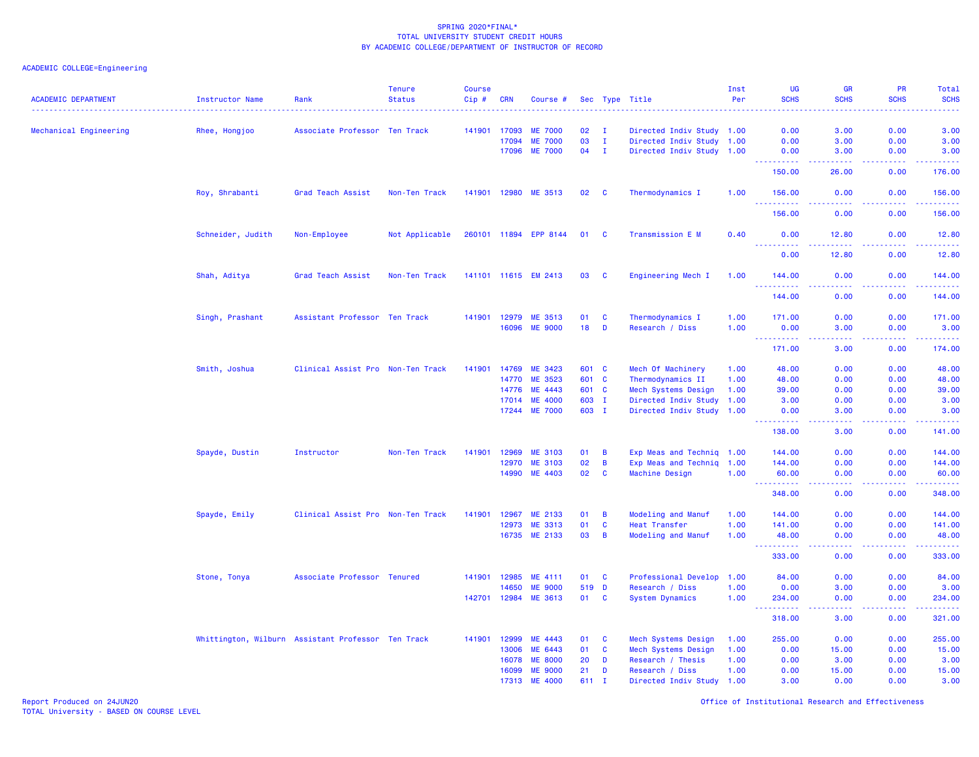# ACADEMIC COLLEGE=Engineering

| <b>ACADEMIC DEPARTMENT</b> | <b>Instructor Name</b>                             | Rank                              | <b>Tenure</b><br><b>Status</b> | <b>Course</b><br>Cip# | <b>CRN</b> | Course #              |       |              | Sec Type Title            | Inst<br>Per | <b>UG</b><br><b>SCHS</b>                                                                                      | GR<br><b>SCHS</b>                                                                                      | PR<br><b>SCHS</b>                                                                                                                 | <b>Total</b><br><b>SCHS</b><br>2222)             |
|----------------------------|----------------------------------------------------|-----------------------------------|--------------------------------|-----------------------|------------|-----------------------|-------|--------------|---------------------------|-------------|---------------------------------------------------------------------------------------------------------------|--------------------------------------------------------------------------------------------------------|-----------------------------------------------------------------------------------------------------------------------------------|--------------------------------------------------|
| Mechanical Engineering     | Rhee, Hongjoo                                      | Associate Professor Ten Track     |                                | 141901                | 17093      | <b>ME 7000</b>        | 02    | $\mathbf{I}$ | Directed Indiv Study 1.00 |             | 0.00                                                                                                          | 3.00                                                                                                   | 0.00                                                                                                                              | 3.00                                             |
|                            |                                                    |                                   |                                |                       | 17094      | <b>ME 7000</b>        | 03    | $\mathbf{I}$ | Directed Indiv Study 1.00 |             | 0.00                                                                                                          | 3.00                                                                                                   | 0.00                                                                                                                              | 3.00                                             |
|                            |                                                    |                                   |                                |                       | 17096      | <b>ME 7000</b>        | 04    | $\mathbf{I}$ | Directed Indiv Study 1.00 |             | 0.00                                                                                                          | 3.00                                                                                                   | 0.00                                                                                                                              | 3.00                                             |
|                            |                                                    |                                   |                                |                       |            |                       |       |              |                           |             | 222222<br>150.00                                                                                              | .<br>26.00                                                                                             | الأعامات<br>0.00                                                                                                                  | .<br>176.00                                      |
|                            | Roy, Shrabanti                                     | Grad Teach Assist                 | Non-Ten Track                  | 141901 12980          |            | ME 3513               | 02    | C            | Thermodynamics I          | 1.00        | 156.00                                                                                                        | 0.00<br>.                                                                                              | 0.00<br>$\frac{1}{2} \left( \frac{1}{2} \right) \left( \frac{1}{2} \right) \left( \frac{1}{2} \right) \left( \frac{1}{2} \right)$ | 156.00<br><u>.</u>                               |
|                            |                                                    |                                   |                                |                       |            |                       |       |              |                           |             | 156.00                                                                                                        | 0.00                                                                                                   | 0.00                                                                                                                              | 156.00                                           |
|                            | Schneider, Judith                                  | Non-Employee                      | Not Applicable                 |                       |            | 260101 11894 EPP 8144 | 01    | C            | Transmission E M          | 0.40        | 0.00                                                                                                          | 12.80                                                                                                  | 0.00                                                                                                                              | 12.80                                            |
|                            |                                                    |                                   |                                |                       |            |                       |       |              |                           |             | 0.00                                                                                                          | 12.80                                                                                                  | 0.00                                                                                                                              | 12.80                                            |
|                            | Shah, Aditya                                       | Grad Teach Assist                 | Non-Ten Track                  |                       |            | 141101 11615 EM 2413  | 03    | C            | Engineering Mech I        | 1.00        | 144.00<br><u>.</u>                                                                                            | 0.00                                                                                                   | 0.00<br>.                                                                                                                         | 144.00<br><b><i><u><u> - - - - -</u></u></i></b> |
|                            |                                                    |                                   |                                |                       |            |                       |       |              |                           |             | 144.00                                                                                                        | 0.00                                                                                                   | 0.00                                                                                                                              | 144.00                                           |
|                            | Singh, Prashant                                    | Assistant Professor Ten Track     |                                | 141901 12979          |            | ME 3513               | 01    | C            | Thermodynamics I          | 1.00        | 171.00                                                                                                        | 0.00                                                                                                   | 0.00                                                                                                                              | 171.00                                           |
|                            |                                                    |                                   |                                |                       | 16096      | <b>ME 9000</b>        | 18    | D            | Research / Diss           | 1.00        | 0.00                                                                                                          | 3.00                                                                                                   | 0.00                                                                                                                              | 3.00                                             |
|                            |                                                    |                                   |                                |                       |            |                       |       |              |                           |             | $\frac{1}{2} \left( \frac{1}{2} \right) \left( \frac{1}{2} \right) \left( \frac{1}{2} \right)$<br>.<br>171.00 | .<br>3.00                                                                                              | .<br>0.00                                                                                                                         | .<br>174.00                                      |
|                            | Smith, Joshua                                      | Clinical Assist Pro Non-Ten Track |                                | 141901                | 14769      | ME 3423               | 601 C |              | Mech Of Machinery         | 1.00        | 48.00                                                                                                         | 0.00                                                                                                   | 0.00                                                                                                                              | 48.00                                            |
|                            |                                                    |                                   |                                |                       | 14770      | ME 3523               | 601   | <b>C</b>     | Thermodynamics II         | 1.00        | 48.00                                                                                                         | 0.00                                                                                                   | 0.00                                                                                                                              | 48.00                                            |
|                            |                                                    |                                   |                                |                       | 14776      | ME 4443               | 601 C |              | Mech Systems Design       | 1.00        | 39.00                                                                                                         | 0.00                                                                                                   | 0.00                                                                                                                              | 39.00                                            |
|                            |                                                    |                                   |                                |                       | 17014      | <b>ME 4000</b>        | 603 I |              | Directed Indiv Study      | 1.00        | 3.00                                                                                                          | 0.00                                                                                                   | 0.00                                                                                                                              | 3.00                                             |
|                            |                                                    |                                   |                                |                       | 17244      | <b>ME 7000</b>        | 603 I |              | Directed Indiv Study 1.00 |             | 0.00<br>.                                                                                                     | 3.00<br>$\frac{1}{2} \left( \frac{1}{2} \right) \left( \frac{1}{2} \right) \left( \frac{1}{2} \right)$ | 0.00<br>$\frac{1}{2} \frac{1}{2} \frac{1}{2} \frac{1}{2} \frac{1}{2} \frac{1}{2}$                                                 | 3.00<br>.                                        |
|                            |                                                    |                                   |                                |                       |            |                       |       |              |                           |             | 138.00                                                                                                        | 3.00                                                                                                   | 0.00                                                                                                                              | 141.00                                           |
|                            | Spayde, Dustin                                     | Instructor                        | Non-Ten Track                  | 141901                | 12969      | <b>ME 3103</b>        | 01    | B            | Exp Meas and Techniq      | 1.00        | 144.00                                                                                                        | 0.00                                                                                                   | 0.00                                                                                                                              | 144.00                                           |
|                            |                                                    |                                   |                                |                       | 12970      | <b>ME 3103</b>        | 02    | B            | Exp Meas and Techniq      | 1.00        | 144.00                                                                                                        | 0.00                                                                                                   | 0.00                                                                                                                              | 144.00                                           |
|                            |                                                    |                                   |                                |                       | 14990      | ME 4403               | 02    | $\mathbf{c}$ | Machine Design            | 1.00        | 60.00                                                                                                         | 0.00<br>.                                                                                              | 0.00<br>.                                                                                                                         | 60.00<br>.                                       |
|                            |                                                    |                                   |                                |                       |            |                       |       |              |                           |             | 348.00                                                                                                        | 0.00                                                                                                   | 0.00                                                                                                                              | 348.00                                           |
|                            | Spayde, Emily                                      | Clinical Assist Pro Non-Ten Track |                                | 141901                | 12967      | ME 2133               | 01    | B            | Modeling and Manuf        | 1.00        | 144.00                                                                                                        | 0.00                                                                                                   | 0.00                                                                                                                              | 144.00                                           |
|                            |                                                    |                                   |                                |                       | 12973      | ME 3313               | 01    | $\mathbf c$  | Heat Transfer             | 1.00        | 141.00                                                                                                        | 0.00                                                                                                   | 0.00                                                                                                                              | 141.00                                           |
|                            |                                                    |                                   |                                |                       |            | 16735 ME 2133         | 03    | B            | <b>Modeling and Manuf</b> | 1.00        | 48.00<br>.                                                                                                    | 0.00                                                                                                   | 0.00                                                                                                                              | 48.00<br>.                                       |
|                            |                                                    |                                   |                                |                       |            |                       |       |              |                           |             | 333.00                                                                                                        | 0.00                                                                                                   | 0.00                                                                                                                              | 333.00                                           |
|                            | Stone, Tonya                                       | Associate Professor Tenured       |                                | 141901                | 12985      | ME 4111               | 01    | C            | Professional Develop      | 1.00        | 84.00                                                                                                         | 0.00                                                                                                   | 0.00                                                                                                                              | 84.00                                            |
|                            |                                                    |                                   |                                |                       | 14650      | <b>ME 9000</b>        | 519   | D            | Research / Diss           | 1.00        | 0.00                                                                                                          | 3.00                                                                                                   | 0.00                                                                                                                              | 3.00                                             |
|                            |                                                    |                                   |                                | 142701                | 12984      | ME 3613               | 01    | $\mathbf c$  | <b>System Dynamics</b>    | 1.00        | 234.00                                                                                                        | 0.00                                                                                                   | 0.00                                                                                                                              | 234.00<br>.                                      |
|                            |                                                    |                                   |                                |                       |            |                       |       |              |                           |             | 318.00                                                                                                        | 3.00                                                                                                   | 0.00                                                                                                                              | 321.00                                           |
|                            | Whittington, Wilburn Assistant Professor Ten Track |                                   |                                | 141901                | 12999      | ME 4443               | 01    | C            | Mech Systems Design       | 1.00        | 255.00                                                                                                        | 0.00                                                                                                   | 0.00                                                                                                                              | 255.00                                           |
|                            |                                                    |                                   |                                |                       | 13006      | ME 6443               | 01    | C            | Mech Systems Design       | 1.00        | 0.00                                                                                                          | 15.00                                                                                                  | 0.00                                                                                                                              | 15.00                                            |
|                            |                                                    |                                   |                                |                       | 16078      | <b>ME 8000</b>        | 20    | D            | Research / Thesis         | 1.00        | 0.00                                                                                                          | 3.00                                                                                                   | 0.00                                                                                                                              | 3.00                                             |
|                            |                                                    |                                   |                                |                       | 16099      | <b>ME 9000</b>        | 21    | D            | Research / Diss           | 1.00        | 0.00                                                                                                          | 15.00                                                                                                  | 0.00                                                                                                                              | 15.00                                            |
|                            |                                                    |                                   |                                |                       | 17313      | <b>ME 4000</b>        | 611   | $\mathbf{I}$ | Directed Indiv Study      | 1.00        | 3.00                                                                                                          | 0.00                                                                                                   | 0.00                                                                                                                              | 3.00                                             |

Report Produced on 24JUN20 Office of Institutional Research and Effectiveness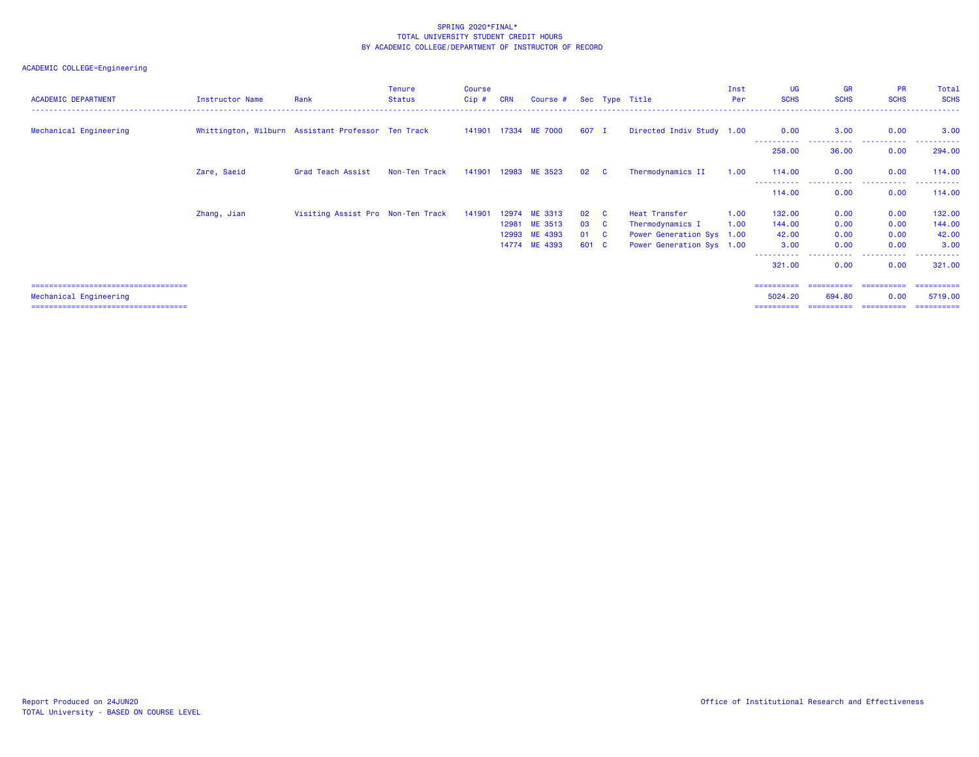| <b>ACADEMIC DEPARTMENT</b>             | Instructor Name | Rank                                               | <b>Tenure</b><br><b>Status</b> | <b>Course</b><br>$Cip$ # | <b>CRN</b> | Course # Sec Type Title |             |                         |                           | Inst<br>Per | UG<br><b>SCHS</b>   | <b>GR</b><br><b>SCHS</b> | PR<br><b>SCHS</b>       | Total<br><b>SCHS</b> |
|----------------------------------------|-----------------|----------------------------------------------------|--------------------------------|--------------------------|------------|-------------------------|-------------|-------------------------|---------------------------|-------------|---------------------|--------------------------|-------------------------|----------------------|
| Mechanical Engineering                 |                 | Whittington, Wilburn Assistant Professor Ten Track |                                |                          |            | 141901 17334 ME 7000    | 607 I       |                         | Directed Indiv Study 1.00 |             | 0.00<br>----------- | 3.00                     | 0.00                    | 3.00                 |
|                                        |                 |                                                    |                                |                          |            |                         |             |                         |                           |             | 258.00              | 36.00                    | 0.00                    | 294.00               |
|                                        | Zare, Saeid     | Grad Teach Assist                                  | Non-Ten Track                  |                          |            | 141901 12983 ME 3523    | 02          | <b>C</b>                | Thermodynamics II         | 1.00        | 114.00              | 0.00                     | 0.00                    | 114.00               |
|                                        |                 |                                                    |                                |                          |            |                         |             |                         |                           |             | 114.00              | 0.00                     | 0.00                    | 114.00               |
|                                        | Zhang, Jian     | Visiting Assist Pro Non-Ten Track                  |                                | 141901                   |            | 12974 ME 3313           | $02\quad C$ |                         | Heat Transfer             | 1.00        | 132.00              | 0.00                     | 0.00                    | 132.00               |
|                                        |                 |                                                    |                                |                          |            | 12981 ME 3513           | 03          | $\mathbf{C}$            | Thermodynamics I          | 1.00        | 144.00              | 0.00                     | 0.00                    | 144.00               |
|                                        |                 |                                                    |                                |                          |            | 12993 ME 4393           | 01          | $\overline{\mathbf{C}}$ | Power Generation Sys 1.00 |             | 42.00               | 0.00                     | 0.00                    | 42.00                |
|                                        |                 |                                                    |                                |                          |            | 14774 ME 4393           | 601 C       |                         | Power Generation Sys 1.00 |             | 3.00                | 0.00                     | 0.00                    | 3.00                 |
|                                        |                 |                                                    |                                |                          |            |                         |             |                         |                           |             | 321.00              | 0.00                     | 0.00                    | 321.00               |
| =====================================  |                 |                                                    |                                |                          |            |                         |             |                         |                           |             | ==========          |                          | ======================= | ==========           |
| Mechanical Engineering                 |                 |                                                    |                                |                          |            |                         |             |                         |                           |             | 5024.20             | 694.80                   | 0.00                    | 5719.00              |
| ====================================== |                 |                                                    |                                |                          |            |                         |             |                         |                           |             | ==========          | ==========               | -----------             | -----------          |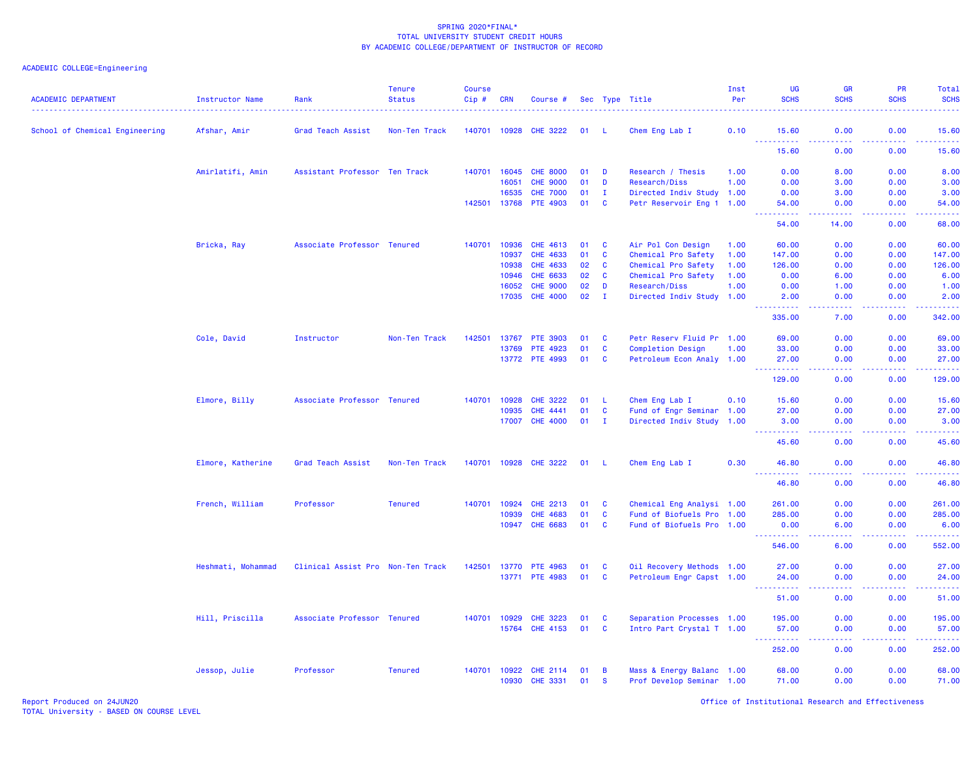| <b>ACADEMIC DEPARTMENT</b>     | Instructor Name    | Rank                              | <b>Tenure</b><br><b>Status</b> | <b>Course</b><br>Cip # | <b>CRN</b>   | Course #        |    |              | Sec Type Title            | Inst<br>Per | <b>UG</b><br><b>SCHS</b>                                                                                                                             | <b>GR</b><br><b>SCHS</b>                                                                                                          | PR<br><b>SCHS</b> | Total<br><b>SCHS</b> |
|--------------------------------|--------------------|-----------------------------------|--------------------------------|------------------------|--------------|-----------------|----|--------------|---------------------------|-------------|------------------------------------------------------------------------------------------------------------------------------------------------------|-----------------------------------------------------------------------------------------------------------------------------------|-------------------|----------------------|
| School of Chemical Engineering | Afshar, Amir       | Grad Teach Assist                 | Non-Ten Track                  |                        | 140701 10928 | <b>CHE 3222</b> | 01 |              | Chem Eng Lab I            | 0.10        | 15.60                                                                                                                                                | 0.00                                                                                                                              | 0.00              | 15.60                |
|                                |                    |                                   |                                |                        |              |                 |    |              |                           |             | 222222<br>15.60                                                                                                                                      | د د د د<br>0.00                                                                                                                   | د د د د<br>0.00   | .<br>15.60           |
|                                | Amirlatifi, Amin   | Assistant Professor Ten Track     |                                | 140701                 | 16045        | <b>CHE 8000</b> | 01 | D            | Research / Thesis         | 1.00        | 0.00                                                                                                                                                 | 8.00                                                                                                                              | 0.00              | 8.00                 |
|                                |                    |                                   |                                |                        | 16051        | <b>CHE 9000</b> | 01 | D            | Research/Diss             | 1.00        | 0.00                                                                                                                                                 | 3.00                                                                                                                              | 0.00              | 3.00                 |
|                                |                    |                                   |                                |                        | 16535        | <b>CHE 7000</b> | 01 | Ι.           | Directed Indiv Study 1.00 |             | 0.00                                                                                                                                                 | 3.00                                                                                                                              | 0.00              | 3.00                 |
|                                |                    |                                   |                                | 142501                 | 13768        | <b>PTE 4903</b> | 01 | C            | Petr Reservoir Eng 1 1.00 |             | 54.00<br>-----                                                                                                                                       | 0.00<br>بالأباب                                                                                                                   | 0.00<br>بالأباد   | 54.00<br>بالأباليات  |
|                                |                    |                                   |                                |                        |              |                 |    |              |                           |             | 54.00                                                                                                                                                | 14.00                                                                                                                             | 0.00              | 68.00                |
|                                | Bricka, Ray        | Associate Professor Tenured       |                                | 140701                 | 10936        | CHE 4613        | 01 | C            | Air Pol Con Design        | 1.00        | 60.00                                                                                                                                                | 0.00                                                                                                                              | 0.00              | 60.00                |
|                                |                    |                                   |                                |                        | 10937        | CHE 4633        | 01 | C            | Chemical Pro Safety       | 1.00        | 147.00                                                                                                                                               | 0.00                                                                                                                              | 0.00              | 147.00               |
|                                |                    |                                   |                                |                        | 10938        | CHE 4633        | 02 | C            | Chemical Pro Safety       | 1.00        | 126.00                                                                                                                                               | 0.00                                                                                                                              | 0.00              | 126.00               |
|                                |                    |                                   |                                |                        | 10946        | CHE 6633        | 02 | C            | Chemical Pro Safety       | 1.00        | 0.00                                                                                                                                                 | 6.00                                                                                                                              | 0.00              | 6.00                 |
|                                |                    |                                   |                                |                        | 16052        | <b>CHE 9000</b> | 02 | D            | Research/Diss             | 1.00        | 0.00                                                                                                                                                 | 1.00                                                                                                                              | 0.00              | 1.00                 |
|                                |                    |                                   |                                |                        | 17035        | <b>CHE 4000</b> | 02 | $\mathbf{I}$ | Directed Indiv Study 1.00 |             | 2.00                                                                                                                                                 | 0.00<br>بالمحام                                                                                                                   | 0.00<br>د د د د   | 2.00<br>والمستمرين   |
|                                |                    |                                   |                                |                        |              |                 |    |              |                           |             | 335.00                                                                                                                                               | 7.00                                                                                                                              | 0.00              | 342.00               |
|                                | Cole, David        | Instructor                        | Non-Ten Track                  | 142501                 | 13767        | <b>PTE 3903</b> | 01 | C            | Petr Reserv Fluid Pr 1.00 |             | 69.00                                                                                                                                                | 0.00                                                                                                                              | 0.00              | 69.00                |
|                                |                    |                                   |                                |                        | 13769        | PTE 4923        | 01 | $\mathbf{C}$ | <b>Completion Design</b>  | 1.00        | 33.00                                                                                                                                                | 0.00                                                                                                                              | 0.00              | 33.00                |
|                                |                    |                                   |                                |                        |              | 13772 PTE 4993  | 01 | C            | Petroleum Econ Analy 1.00 |             | 27.00<br>.                                                                                                                                           | 0.00<br>$\frac{1}{2} \left( \frac{1}{2} \right) \left( \frac{1}{2} \right) \left( \frac{1}{2} \right)$                            | 0.00<br>د د د د   | 27.00<br>.           |
|                                |                    |                                   |                                |                        |              |                 |    |              |                           |             | 129.00                                                                                                                                               | 0.00                                                                                                                              | 0.00              | 129.00               |
|                                | Elmore, Billy      | Associate Professor Tenured       |                                | 140701                 | 10928        | <b>CHE 3222</b> | 01 | -L.          | Chem Eng Lab I            | 0.10        | 15.60                                                                                                                                                | 0.00                                                                                                                              | 0.00              | 15.60                |
|                                |                    |                                   |                                |                        | 10935        | <b>CHE 4441</b> | 01 | C            | Fund of Engr Seminar 1.00 |             | 27.00                                                                                                                                                | 0.00                                                                                                                              | 0.00              | 27.00                |
|                                |                    |                                   |                                |                        | 17007        | <b>CHE 4000</b> | 01 | - I          | Directed Indiv Study 1.00 |             | 3.00                                                                                                                                                 | 0.00                                                                                                                              | 0.00              | 3.00<br>.            |
|                                |                    |                                   |                                |                        |              |                 |    |              |                           |             | <b></b><br>45.60                                                                                                                                     | د د د د<br>0.00                                                                                                                   | .<br>0.00         | 45.60                |
|                                | Elmore, Katherine  | Grad Teach Assist                 | Non-Ten Track                  | 140701                 | 10928        | <b>CHE 3222</b> | 01 | - 11         | Chem Eng Lab I            | 0.30        | 46.80                                                                                                                                                | 0.00                                                                                                                              | 0.00              | 46.80                |
|                                |                    |                                   |                                |                        |              |                 |    |              |                           |             | 46.80                                                                                                                                                | 0.00                                                                                                                              | 0.00              | .<br>46.80           |
|                                | French, William    | Professor                         | <b>Tenured</b>                 | 140701                 | 10924        | <b>CHE 2213</b> | 01 | C            | Chemical Eng Analysi 1.00 |             | 261.00                                                                                                                                               | 0.00                                                                                                                              | 0.00              | 261.00               |
|                                |                    |                                   |                                |                        | 10939        | <b>CHE 4683</b> | 01 | C            | Fund of Biofuels Pro 1.00 |             | 285.00                                                                                                                                               | 0.00                                                                                                                              | 0.00              | 285.00               |
|                                |                    |                                   |                                |                        | 10947        | CHE 6683        | 01 | C            | Fund of Biofuels Pro 1.00 |             | 0.00                                                                                                                                                 | 6.00                                                                                                                              | 0.00              | 6.00                 |
|                                |                    |                                   |                                |                        |              |                 |    |              |                           |             | .<br>546.00                                                                                                                                          | $\frac{1}{2} \left( \frac{1}{2} \right) \left( \frac{1}{2} \right) \left( \frac{1}{2} \right) \left( \frac{1}{2} \right)$<br>6.00 | د د د د .<br>0.00 | .<br>552.00          |
|                                | Heshmati, Mohammad | Clinical Assist Pro Non-Ten Track |                                | 142501                 | 13770        | <b>PTE 4963</b> | 01 | <b>C</b>     | Oil Recovery Methods 1.00 |             | 27.00                                                                                                                                                | 0.00                                                                                                                              | 0.00              | 27.00                |
|                                |                    |                                   |                                |                        |              | 13771 PTE 4983  | 01 | $\mathbf{C}$ | Petroleum Engr Capst 1.00 |             | 24.00                                                                                                                                                | 0.00                                                                                                                              | 0.00              | 24.00                |
|                                |                    |                                   |                                |                        |              |                 |    |              |                           |             | $\frac{1}{2} \left( \frac{1}{2} \right) \left( \frac{1}{2} \right) \left( \frac{1}{2} \right) \left( \frac{1}{2} \right) \left( \frac{1}{2} \right)$ | .                                                                                                                                 | .                 | .                    |
|                                |                    |                                   |                                |                        |              |                 |    |              |                           |             | 51.00                                                                                                                                                | 0.00                                                                                                                              | 0.00              | 51.00                |
|                                | Hill, Priscilla    | Associate Professor Tenured       |                                | 140701                 | 10929        | <b>CHE 3223</b> | 01 | C            | Separation Processes 1.00 |             | 195.00                                                                                                                                               | 0.00                                                                                                                              | 0.00              | 195.00               |
|                                |                    |                                   |                                |                        | 15764        | <b>CHE 4153</b> | 01 | C            | Intro Part Crystal T 1.00 |             | 57.00<br>د د د د د                                                                                                                                   | 0.00                                                                                                                              | 0.00<br>د د د د   | 57.00<br>.           |
|                                |                    |                                   |                                |                        |              |                 |    |              |                           |             | 252.00                                                                                                                                               | 0.00                                                                                                                              | 0.00              | 252.00               |
|                                | Jessop, Julie      | Professor                         | <b>Tenured</b>                 |                        | 140701 10922 | <b>CHE 2114</b> | 01 | B            | Mass & Energy Balanc 1.00 |             | 68.00                                                                                                                                                | 0.00                                                                                                                              | 0.00              | 68.00                |
|                                |                    |                                   |                                |                        | 10930        | <b>CHE 3331</b> | 01 | $\mathbf{s}$ | Prof Develop Seminar 1.00 |             | 71.00                                                                                                                                                | 0.00                                                                                                                              | 0.00              | 71.00                |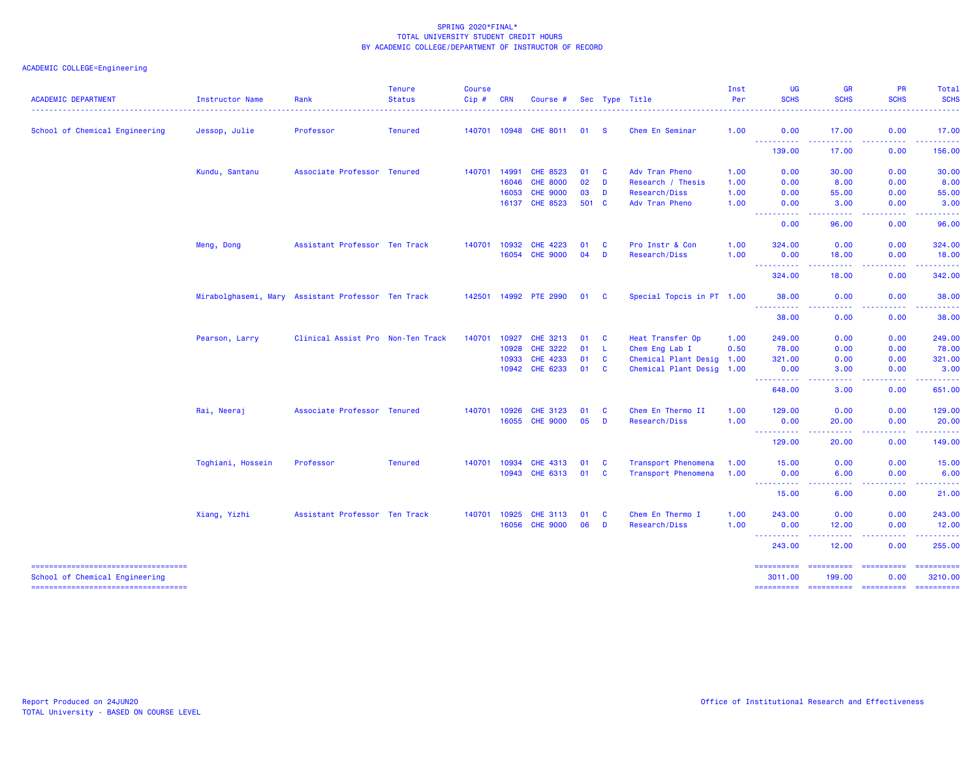## ACADEMIC COLLEGE=Engineering

| <b>ACADEMIC DEPARTMENT</b>                                               | Instructor Name   | Rank                                               | <b>Tenure</b><br><b>Status</b> | <b>Course</b><br>Cip# | <b>CRN</b>   | Course #              |       |               | Sec Type Title            | Inst<br>Per  | <b>UG</b><br><b>SCHS</b>              | <b>GR</b><br><b>SCHS</b>                                                                                                                                      | <b>PR</b><br><b>SCHS</b>                                                                                                                                     | Total<br><b>SCHS</b><br>.                                                                                                                                                                                                                                                                                                                                                                                                                                                                         |
|--------------------------------------------------------------------------|-------------------|----------------------------------------------------|--------------------------------|-----------------------|--------------|-----------------------|-------|---------------|---------------------------|--------------|---------------------------------------|---------------------------------------------------------------------------------------------------------------------------------------------------------------|--------------------------------------------------------------------------------------------------------------------------------------------------------------|---------------------------------------------------------------------------------------------------------------------------------------------------------------------------------------------------------------------------------------------------------------------------------------------------------------------------------------------------------------------------------------------------------------------------------------------------------------------------------------------------|
| School of Chemical Engineering                                           | Jessop, Julie     | Professor                                          | <b>Tenured</b>                 |                       |              | 140701 10948 CHE 8011 | 01    | <b>S</b>      | Chem En Seminar           | 1.00         | 0.00                                  | 17.00                                                                                                                                                         | 0.00                                                                                                                                                         | 17.00                                                                                                                                                                                                                                                                                                                                                                                                                                                                                             |
|                                                                          |                   |                                                    |                                |                       |              |                       |       |               |                           |              | 2.2.2.2.2<br>----<br>139.00           | -----<br>17.00                                                                                                                                                | .<br>0.00                                                                                                                                                    | <b><i><u><u> - - - - -</u></u></i></b><br>156.00                                                                                                                                                                                                                                                                                                                                                                                                                                                  |
|                                                                          | Kundu, Santanu    | Associate Professor Tenured                        |                                | 140701                | 14991        | CHE 8523              | 01    | $\mathbf{C}$  | Adv Tran Pheno            | 1.00         | 0.00                                  | 30.00                                                                                                                                                         | 0.00                                                                                                                                                         | 30.00                                                                                                                                                                                                                                                                                                                                                                                                                                                                                             |
|                                                                          |                   |                                                    |                                |                       | 16046        | <b>CHE 8000</b>       | 02    | <b>D</b>      | Research / Thesis         | 1.00         | 0.00                                  | 8.00                                                                                                                                                          | 0.00                                                                                                                                                         | 8.00                                                                                                                                                                                                                                                                                                                                                                                                                                                                                              |
|                                                                          |                   |                                                    |                                |                       | 16053        | <b>CHE 9000</b>       | 03    | <b>D</b>      | Research/Diss             | 1.00         | 0.00                                  | 55.00                                                                                                                                                         | 0.00                                                                                                                                                         | 55.00                                                                                                                                                                                                                                                                                                                                                                                                                                                                                             |
|                                                                          |                   |                                                    |                                |                       | 16137        | <b>CHE 8523</b>       | 501 C |               | Adv Tran Pheno            | 1.00         | 0.00                                  | 3.00                                                                                                                                                          | 0.00                                                                                                                                                         | 3.00                                                                                                                                                                                                                                                                                                                                                                                                                                                                                              |
|                                                                          |                   |                                                    |                                |                       |              |                       |       |               |                           |              | ----------<br>0.00                    | $\frac{1}{2} \left( \frac{1}{2} \right) \left( \frac{1}{2} \right) \left( \frac{1}{2} \right) \left( \frac{1}{2} \right) \left( \frac{1}{2} \right)$<br>96.00 | <b><i><u><u> - - - -</u></u></i></b><br>0.00                                                                                                                 | .<br>96.00                                                                                                                                                                                                                                                                                                                                                                                                                                                                                        |
|                                                                          |                   | Assistant Professor Ten Track                      |                                |                       | 140701 10932 | <b>CHE 4223</b>       | 01    |               | Pro Instr & Con           |              |                                       |                                                                                                                                                               |                                                                                                                                                              |                                                                                                                                                                                                                                                                                                                                                                                                                                                                                                   |
|                                                                          | Meng, Dong        |                                                    |                                |                       | 16054        | <b>CHE 9000</b>       | 04    | <b>C</b><br>D | Research/Diss             | 1.00<br>1.00 | 324.00<br>0.00                        | 0.00<br>18.00                                                                                                                                                 | 0.00<br>0.00                                                                                                                                                 | 324.00<br>18.00                                                                                                                                                                                                                                                                                                                                                                                                                                                                                   |
|                                                                          |                   |                                                    |                                |                       |              |                       |       |               |                           |              | ----------                            | -----                                                                                                                                                         | <b><i><u><u> - - - -</u></u></i></b>                                                                                                                         | <b><i><u><u> - - - - -</u></u></i></b>                                                                                                                                                                                                                                                                                                                                                                                                                                                            |
|                                                                          |                   |                                                    |                                |                       |              |                       |       |               |                           |              | 324.00                                | 18.00                                                                                                                                                         | 0.00                                                                                                                                                         | 342.00                                                                                                                                                                                                                                                                                                                                                                                                                                                                                            |
|                                                                          |                   | Mirabolghasemi, Mary Assistant Professor Ten Track |                                |                       |              | 142501 14992 PTE 2990 | 01    | - C           | Special Topcis in PT 1.00 |              | 38.00<br>----------                   | 0.00<br>$\sim$ $\sim$ $\sim$ $\sim$                                                                                                                           | 0.00<br><b></b>                                                                                                                                              | 38.00<br>.                                                                                                                                                                                                                                                                                                                                                                                                                                                                                        |
|                                                                          |                   |                                                    |                                |                       |              |                       |       |               |                           |              | 38.00                                 | 0.00                                                                                                                                                          | 0.00                                                                                                                                                         | 38.00                                                                                                                                                                                                                                                                                                                                                                                                                                                                                             |
|                                                                          | Pearson, Larry    | Clinical Assist Pro Non-Ten Track                  |                                | 140701                | 10927        | CHE 3213              | 01    | <b>C</b>      | Heat Transfer Op          | 1.00         | 249.00                                | 0.00                                                                                                                                                          | 0.00                                                                                                                                                         | 249.00                                                                                                                                                                                                                                                                                                                                                                                                                                                                                            |
|                                                                          |                   |                                                    |                                |                       | 10928        | <b>CHE 3222</b>       | 01    | - Li          | Chem Eng Lab I            | 0.50         | 78.00                                 | 0.00                                                                                                                                                          | 0.00                                                                                                                                                         | 78.00                                                                                                                                                                                                                                                                                                                                                                                                                                                                                             |
|                                                                          |                   |                                                    |                                |                       | 10933        | CHE 4233              | 01    | <b>C</b>      | Chemical Plant Desig 1.00 |              | 321.00                                | 0.00                                                                                                                                                          | 0.00                                                                                                                                                         | 321.00                                                                                                                                                                                                                                                                                                                                                                                                                                                                                            |
|                                                                          |                   |                                                    |                                |                       | 10942        | CHE 6233              | 01    | <b>C</b>      | Chemical Plant Desig 1.00 |              | 0.00                                  | 3.00                                                                                                                                                          | 0.00                                                                                                                                                         | 3.00                                                                                                                                                                                                                                                                                                                                                                                                                                                                                              |
|                                                                          |                   |                                                    |                                |                       |              |                       |       |               |                           |              | <u> - - - - - - - - - -</u><br>648.00 | $\frac{1}{2} \left( \frac{1}{2} \right) \left( \frac{1}{2} \right) \left( \frac{1}{2} \right)$<br>3.00                                                        | .<br>0.00                                                                                                                                                    | . <b>.</b><br>651.00                                                                                                                                                                                                                                                                                                                                                                                                                                                                              |
|                                                                          | Rai, Neeraj       | Associate Professor Tenured                        |                                | 140701                | 10926        | CHE 3123              | 01    | C             | Chem En Thermo II         | 1.00         | 129.00                                | 0.00                                                                                                                                                          | 0.00                                                                                                                                                         | 129.00                                                                                                                                                                                                                                                                                                                                                                                                                                                                                            |
|                                                                          |                   |                                                    |                                |                       | 16055        | <b>CHE 9000</b>       | 05    | D             | Research/Diss             | 1.00         | 0.00                                  | 20.00                                                                                                                                                         | 0.00                                                                                                                                                         | 20.00                                                                                                                                                                                                                                                                                                                                                                                                                                                                                             |
|                                                                          |                   |                                                    |                                |                       |              |                       |       |               |                           |              | ----------<br>129.00                  | $\frac{1}{2} \left( \frac{1}{2} \right) \left( \frac{1}{2} \right) \left( \frac{1}{2} \right)$<br>20.00                                                       | .<br>0.00                                                                                                                                                    | .<br>149.00                                                                                                                                                                                                                                                                                                                                                                                                                                                                                       |
|                                                                          |                   |                                                    |                                |                       |              |                       |       |               |                           |              |                                       |                                                                                                                                                               |                                                                                                                                                              |                                                                                                                                                                                                                                                                                                                                                                                                                                                                                                   |
|                                                                          | Toghiani, Hossein | Professor                                          | <b>Tenured</b>                 | 140701                | 10934        | <b>CHE 4313</b>       | 01    | <b>C</b>      | Transport Phenomena       | 1.00         | 15.00                                 | 0.00                                                                                                                                                          | 0.00                                                                                                                                                         | 15.00                                                                                                                                                                                                                                                                                                                                                                                                                                                                                             |
|                                                                          |                   |                                                    |                                |                       | 10943        | <b>CHE 6313</b>       | 01    | $\mathbf{C}$  | Transport Phenomena       | 1.00         | 0.00<br>----------                    | 6.00<br>.                                                                                                                                                     | 0.00<br>$\frac{1}{2} \left( \frac{1}{2} \right) \left( \frac{1}{2} \right) \left( \frac{1}{2} \right) \left( \frac{1}{2} \right) \left( \frac{1}{2} \right)$ | 6.00<br>.                                                                                                                                                                                                                                                                                                                                                                                                                                                                                         |
|                                                                          |                   |                                                    |                                |                       |              |                       |       |               |                           |              | 15.00                                 | 6.00                                                                                                                                                          | 0.00                                                                                                                                                         | 21.00                                                                                                                                                                                                                                                                                                                                                                                                                                                                                             |
|                                                                          | Xiang, Yizhi      | Assistant Professor Ten Track                      |                                |                       | 140701 10925 | CHE 3113              | 01    | <b>C</b>      | Chem En Thermo I          | 1.00         | 243.00                                | 0.00                                                                                                                                                          | 0.00                                                                                                                                                         | 243.00                                                                                                                                                                                                                                                                                                                                                                                                                                                                                            |
|                                                                          |                   |                                                    |                                |                       | 16056        | <b>CHE 9000</b>       | 06    | <b>D</b>      | Research/Diss             | 1.00         | 0.00                                  | 12.00                                                                                                                                                         | 0.00                                                                                                                                                         | 12.00                                                                                                                                                                                                                                                                                                                                                                                                                                                                                             |
|                                                                          |                   |                                                    |                                |                       |              |                       |       |               |                           |              | <b></b><br>243.00                     | 12.00                                                                                                                                                         | .<br>$\frac{1}{2}$<br>0.00                                                                                                                                   | .<br>255.00                                                                                                                                                                                                                                                                                                                                                                                                                                                                                       |
|                                                                          |                   |                                                    |                                |                       |              |                       |       |               |                           |              |                                       |                                                                                                                                                               |                                                                                                                                                              |                                                                                                                                                                                                                                                                                                                                                                                                                                                                                                   |
| ======================================<br>School of Chemical Engineering |                   |                                                    |                                |                       |              |                       |       |               |                           |              | ==========<br>3011.00                 | ==========<br>199.00                                                                                                                                          | ==========<br>0.00                                                                                                                                           | $\begin{array}{cccccccccc} \multicolumn{3}{c}{} & \multicolumn{3}{c}{} & \multicolumn{3}{c}{} & \multicolumn{3}{c}{} & \multicolumn{3}{c}{} & \multicolumn{3}{c}{} & \multicolumn{3}{c}{} & \multicolumn{3}{c}{} & \multicolumn{3}{c}{} & \multicolumn{3}{c}{} & \multicolumn{3}{c}{} & \multicolumn{3}{c}{} & \multicolumn{3}{c}{} & \multicolumn{3}{c}{} & \multicolumn{3}{c}{} & \multicolumn{3}{c}{} & \multicolumn{3}{c}{} & \multicolumn{3}{c}{} & \multicolumn{3}{c}{} & \mult$<br>3210.00 |
| ------------------------------------                                     |                   |                                                    |                                |                       |              |                       |       |               |                           |              | ==========                            | <b>COOPERDOOR</b>                                                                                                                                             | -----------                                                                                                                                                  | <b>CONSISSION</b>                                                                                                                                                                                                                                                                                                                                                                                                                                                                                 |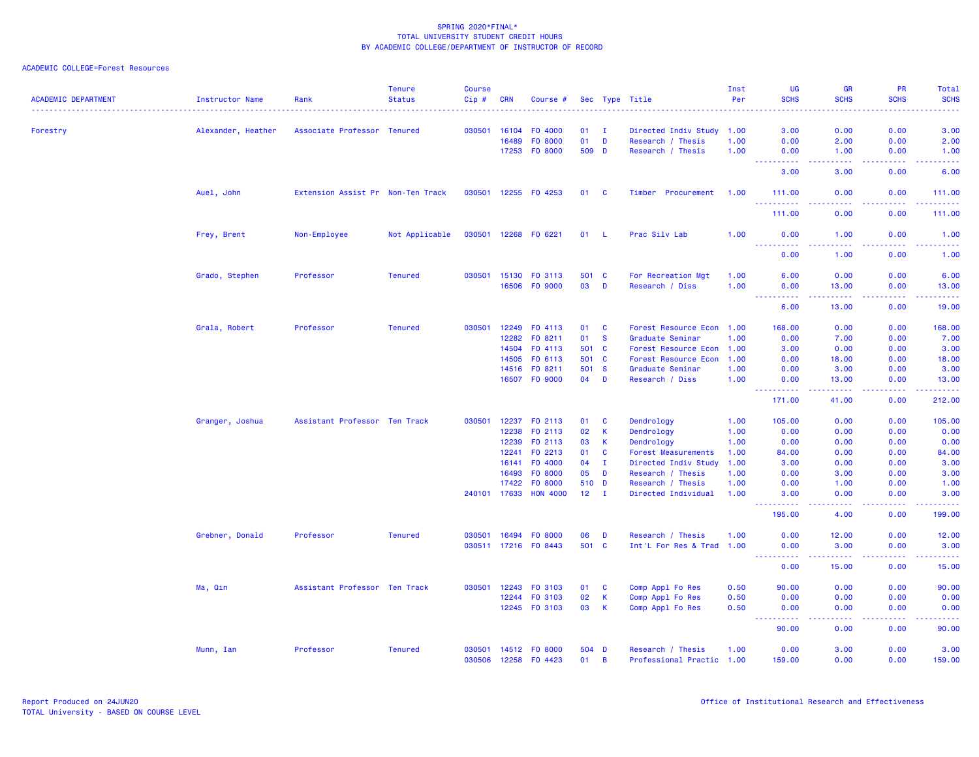| <b>ACADEMIC DEPARTMENT</b> | <b>Instructor Name</b> | Rank                              | <b>Tenure</b><br><b>Status</b> | <b>Course</b><br>Cip# | <b>CRN</b>   | Course #             |       |                | Sec Type Title             | Inst<br>Per | <b>UG</b><br><b>SCHS</b> | <b>GR</b><br><b>SCHS</b>         | PR<br><b>SCHS</b>                   | Total<br><b>SCHS</b><br>$\frac{1}{2} \left( \frac{1}{2} \right) \left( \frac{1}{2} \right) \left( \frac{1}{2} \right) \left( \frac{1}{2} \right)$ |
|----------------------------|------------------------|-----------------------------------|--------------------------------|-----------------------|--------------|----------------------|-------|----------------|----------------------------|-------------|--------------------------|----------------------------------|-------------------------------------|---------------------------------------------------------------------------------------------------------------------------------------------------|
| Forestry                   | Alexander, Heather     | Associate Professor Tenured       |                                | 030501                | 16104        | FO 4000              | 01    | $\mathbf{I}$   | Directed Indiv Study 1.00  |             | 3.00                     | 0.00                             | 0.00                                | 3.00                                                                                                                                              |
|                            |                        |                                   |                                |                       | 16489        | F0 8000              | 01    | D              | Research / Thesis          | 1.00        | 0.00                     | 2.00                             | 0.00                                | 2.00                                                                                                                                              |
|                            |                        |                                   |                                |                       | 17253        | FO 8000              | 509 D |                | Research / Thesis          | 1.00        | 0.00                     | 1.00                             | 0.00                                | 1.00                                                                                                                                              |
|                            |                        |                                   |                                |                       |              |                      |       |                |                            |             | 3.00                     | 3.00                             | 0.00                                | 6.00                                                                                                                                              |
|                            | Auel, John             | Extension Assist Pr Non-Ten Track |                                | 030501                |              | 12255 FO 4253        | 01    | <b>C</b>       | Timber Procurement         | 1.00        | 111.00<br><u>.</u>       | 0.00<br>$-22222$                 | 0.00<br>.                           | 111.00<br>.                                                                                                                                       |
|                            |                        |                                   |                                |                       |              |                      |       |                |                            |             | 111.00                   | 0.00                             | 0.00                                | 111.00                                                                                                                                            |
|                            | Frey, Brent            | Non-Employee                      | Not Applicable                 | 030501                |              | 12268 F0 6221        | 01 L  |                | Prac Silv Lab              | 1.00        | 0.00<br><u>.</u>         | 1.00<br>.                        | 0.00<br>.                           | 1.00<br>.                                                                                                                                         |
|                            |                        |                                   |                                |                       |              |                      |       |                |                            |             | 0.00                     | 1.00                             | 0.00                                | 1.00                                                                                                                                              |
|                            | Grado, Stephen         | Professor                         | <b>Tenured</b>                 | 030501                | 15130        | F0 3113              | 501 C |                | For Recreation Mgt         | 1.00        | 6.00                     | 0.00                             | 0.00                                | 6.00                                                                                                                                              |
|                            |                        |                                   |                                |                       | 16506        | FO 9000              | 03    | D              | Research / Diss            | 1.00        | 0.00<br>.                | 13.00<br>2.2.2.2.2               | 0.00<br>.                           | 13.00<br>.                                                                                                                                        |
|                            |                        |                                   |                                |                       |              |                      |       |                |                            |             | 6.00                     | 13.00                            | 0.00                                | 19.00                                                                                                                                             |
|                            | Grala, Robert          | Professor                         | <b>Tenured</b>                 | 030501                |              | 12249 FO 4113        | 01    | <b>C</b>       | Forest Resource Econ 1.00  |             | 168.00                   | 0.00                             | 0.00                                | 168.00                                                                                                                                            |
|                            |                        |                                   |                                |                       | 12282        | FO 8211              | 01    | <b>S</b>       | Graduate Seminar           | 1.00        | 0.00                     | 7.00                             | 0.00                                | 7.00                                                                                                                                              |
|                            |                        |                                   |                                |                       | 14504        | FO 4113              | 501   | $\mathbf{C}$   | Forest Resource Econ 1.00  |             | 3.00                     | 0.00                             | 0.00                                | 3.00                                                                                                                                              |
|                            |                        |                                   |                                |                       | 14505        | FO 6113              | 501 C |                | Forest Resource Econ       | 1.00        | 0.00                     | 18.00                            | 0.00                                | 18.00                                                                                                                                             |
|                            |                        |                                   |                                |                       | 14516        | FO 8211              | 501   | <b>S</b>       | Graduate Seminar           | 1.00        | 0.00                     | 3.00                             | 0.00                                | 3.00                                                                                                                                              |
|                            |                        |                                   |                                |                       |              | 16507 FO 9000        | 04    | D              | Research / Diss            | 1.00        | 0.00<br>.                | 13.00<br>$\omega$ is $\omega$ in | 0.00<br>د د د د                     | 13.00<br>.                                                                                                                                        |
|                            |                        |                                   |                                |                       |              |                      |       |                |                            |             | 171.00                   | 41.00                            | 0.00                                | 212.00                                                                                                                                            |
|                            | Granger, Joshua        | Assistant Professor Ten Track     |                                | 030501                |              | 12237 FO 2113        | 01    | C              | Dendrology                 | 1.00        | 105.00                   | 0.00                             | 0.00                                | 105.00                                                                                                                                            |
|                            |                        |                                   |                                |                       | 12238        | F0 2113              | 02    | K              | Dendrology                 | 1.00        | 0.00                     | 0.00                             | 0.00                                | 0.00                                                                                                                                              |
|                            |                        |                                   |                                |                       | 12239        | FO 2113              | 03    | K              | Dendrology                 | 1.00        | 0.00                     | 0.00                             | 0.00                                | 0.00                                                                                                                                              |
|                            |                        |                                   |                                |                       | 12241        | F0 2213              | 01    | <b>C</b>       | <b>Forest Measurements</b> | 1.00        | 84.00                    | 0.00                             | 0.00                                | 84.00                                                                                                                                             |
|                            |                        |                                   |                                |                       | 16141        | F0 4000              | 04    | T              | Directed Indiv Study       | 1.00        | 3.00                     | 0.00                             | 0.00                                | 3.00                                                                                                                                              |
|                            |                        |                                   |                                |                       | 16493        | F0 8000              | 05    | D              | Research / Thesis          | 1.00        | 0.00                     | 3.00                             | 0.00                                | 3.00                                                                                                                                              |
|                            |                        |                                   |                                |                       | 17422        | F0 8000              | 510 D |                | Research / Thesis          | 1.00        | 0.00                     | 1.00                             | 0.00                                | 1.00                                                                                                                                              |
|                            |                        |                                   |                                |                       | 240101 17633 | <b>HON 4000</b>      | 12    | $\mathbf{I}$   | Directed Individual        | 1.00        | 3.00                     | 0.00                             | 0.00<br>$\sim$ $\sim$ $\sim$ $\sim$ | 3.00<br>2222.                                                                                                                                     |
|                            |                        |                                   |                                |                       |              |                      |       |                |                            |             | 195.00                   | 4.00                             | 0.00                                | 199.00                                                                                                                                            |
|                            | Grebner, Donald        | Professor                         | <b>Tenured</b>                 | 030501                | 16494        | FO 8000              | 06    | D              | Research / Thesis          | 1.00        | 0.00                     | 12.00                            | 0.00                                | 12.00                                                                                                                                             |
|                            |                        |                                   |                                |                       |              | 030511 17216 F0 8443 | 501 C |                | Int'L For Res & Trad 1.00  |             | 0.00<br>.                | 3.00<br><b>.</b>                 | 0.00<br>.                           | 3.00<br>.                                                                                                                                         |
|                            |                        |                                   |                                |                       |              |                      |       |                |                            |             | 0.00                     | 15.00                            | 0.00                                | 15.00                                                                                                                                             |
|                            | Ma, Qin                | Assistant Professor Ten Track     |                                | 030501                | 12243        | F0 3103              | 01    | C              | Comp Appl Fo Res           | 0.50        | 90.00                    | 0.00                             | 0.00                                | 90.00                                                                                                                                             |
|                            |                        |                                   |                                |                       | 12244        | F0 3103              | 02    | $\,$ K         | Comp Appl Fo Res           | 0.50        | 0.00                     | 0.00                             | 0.00                                | 0.00                                                                                                                                              |
|                            |                        |                                   |                                |                       |              | 12245 FO 3103        | 03    | $\mathsf K$    | Comp Appl Fo Res           | 0.50        | 0.00<br>د د د د د        | 0.00<br>.                        | 0.00<br>.                           | 0.00<br>.                                                                                                                                         |
|                            |                        |                                   |                                |                       |              |                      |       |                |                            |             | 90.00                    | 0.00                             | 0.00                                | 90.00                                                                                                                                             |
|                            | Munn, Ian              | Professor                         | <b>Tenured</b>                 | 030501                |              | 14512 FO 8000        | 504 D |                | Research / Thesis          | 1.00        | 0.00                     | 3.00                             | 0.00                                | 3.00                                                                                                                                              |
|                            |                        |                                   |                                | 030506                |              | 12258 FO 4423        | 01    | $\overline{B}$ | Professional Practic 1.00  |             | 159.00                   | 0.00                             | 0.00                                | 159.00                                                                                                                                            |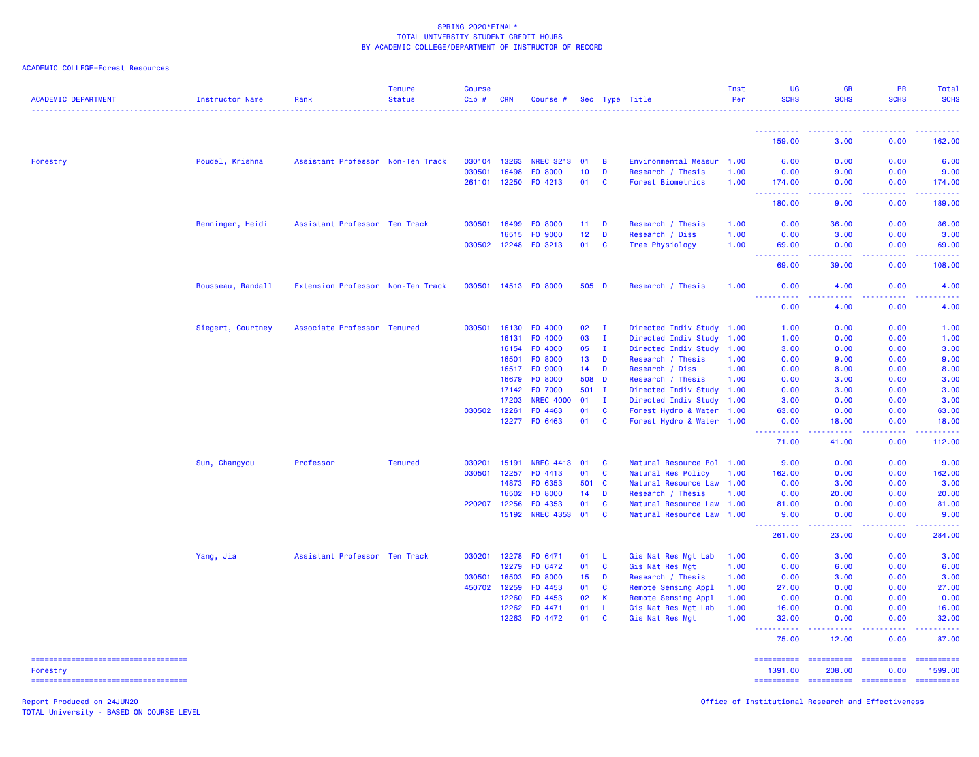| ACADEMIC COLLEGE=Forest Resources |  |
|-----------------------------------|--|
|                                   |  |

| <b>ACADEMIC DEPARTMENT</b>                        | Instructor Name   | Rank                              | <b>Tenure</b><br><b>Status</b> | <b>Course</b><br>Cip# | <b>CRN</b> | Course #         |       |              | Sec Type Title            | Inst<br>Per | <b>UG</b><br><b>SCHS</b>                                                                                                                                      | <b>GR</b><br><b>SCHS</b>             | <b>PR</b><br><b>SCHS</b>       | Total<br><b>SCHS</b>                                                                                                                                           |
|---------------------------------------------------|-------------------|-----------------------------------|--------------------------------|-----------------------|------------|------------------|-------|--------------|---------------------------|-------------|---------------------------------------------------------------------------------------------------------------------------------------------------------------|--------------------------------------|--------------------------------|----------------------------------------------------------------------------------------------------------------------------------------------------------------|
|                                                   |                   |                                   |                                |                       |            |                  |       |              |                           |             |                                                                                                                                                               |                                      | <b><i><u><u>.</u></u></i></b>  |                                                                                                                                                                |
|                                                   |                   |                                   |                                |                       |            |                  |       |              |                           |             | 159.00                                                                                                                                                        | 3.00                                 | 0.00                           | 162.00                                                                                                                                                         |
| Forestry                                          | Poudel, Krishna   | Assistant Professor Non-Ten Track |                                | 030104                | 13263      | <b>NREC 3213</b> | 01    | B            | Environmental Measur      | 1.00        | 6.00                                                                                                                                                          | 0.00                                 | 0.00                           | 6.00                                                                                                                                                           |
|                                                   |                   |                                   |                                | 030501                | 16498      | F0 8000          | 10    | D            | Research / Thesis         | 1.00        | 0.00                                                                                                                                                          | 9.00                                 | 0.00                           | 9.00                                                                                                                                                           |
|                                                   |                   |                                   |                                | 261101                | 12250      | FO 4213          | 01    | C            | Forest Biometrics         | 1.00        | 174.00                                                                                                                                                        | 0.00                                 | 0.00                           | 174.00                                                                                                                                                         |
|                                                   |                   |                                   |                                |                       |            |                  |       |              |                           |             | ----------<br>180.00                                                                                                                                          | $\sim$ $\sim$ $\sim$ $\sim$<br>9.00  | بالمستمال<br>0.00              | $\frac{1}{2} \left( \frac{1}{2} \right) \left( \frac{1}{2} \right) \left( \frac{1}{2} \right) \left( \frac{1}{2} \right) \left( \frac{1}{2} \right)$<br>189.00 |
|                                                   | Renninger, Heidi  | Assistant Professor Ten Track     |                                | 030501                | 16499      | F0 8000          | 11    | D            | Research / Thesis         | 1.00        | 0.00                                                                                                                                                          | 36.00                                | 0.00                           | 36.00                                                                                                                                                          |
|                                                   |                   |                                   |                                |                       | 16515      | FO 9000          | 12    | D            | Research / Diss           | 1.00        | 0.00                                                                                                                                                          | 3.00                                 | 0.00                           | 3.00                                                                                                                                                           |
|                                                   |                   |                                   |                                | 030502 12248          |            | FO 3213          | 01    | C            | Tree Physiology           | 1.00        | 69.00                                                                                                                                                         | 0.00                                 | 0.00                           | 69.00                                                                                                                                                          |
|                                                   |                   |                                   |                                |                       |            |                  |       |              |                           |             | 222222<br>$\sim 100$<br>69.00                                                                                                                                 | .<br>39.00                           | 2.2.2.2.2<br>0.00              | <u>.</u><br>108.00                                                                                                                                             |
|                                                   | Rousseau, Randall | Extension Professor Non-Ten Track |                                | 030501                |            | 14513 FO 8000    | 505 D |              | Research / Thesis         | 1.00        | 0.00                                                                                                                                                          | 4.00                                 | 0.00                           | 4.00                                                                                                                                                           |
|                                                   |                   |                                   |                                |                       |            |                  |       |              |                           |             | .<br>0.00                                                                                                                                                     | د د د د<br>4.00                      | .<br>0.00                      | المالم عامان<br>4.00                                                                                                                                           |
|                                                   | Siegert, Courtney | Associate Professor Tenured       |                                | 030501                | 16130      | F0 4000          | 02    | $\mathbf{I}$ | Directed Indiv Study 1.00 |             | 1.00                                                                                                                                                          | 0.00                                 | 0.00                           | 1.00                                                                                                                                                           |
|                                                   |                   |                                   |                                |                       | 16131      | F0 4000          | 03    | $\mathbf{I}$ | Directed Indiv Study 1.00 |             | 1.00                                                                                                                                                          | 0.00                                 | 0.00                           | 1.00                                                                                                                                                           |
|                                                   |                   |                                   |                                |                       | 16154      | F0 4000          | 05    | $\mathbf{I}$ | Directed Indiv Study      | 1.00        | 3.00                                                                                                                                                          | 0.00                                 | 0.00                           | 3.00                                                                                                                                                           |
|                                                   |                   |                                   |                                |                       | 16501      | F0 8000          | 13    | D            | Research / Thesis         | 1.00        | 0.00                                                                                                                                                          | 9.00                                 | 0.00                           | 9.00                                                                                                                                                           |
|                                                   |                   |                                   |                                |                       | 16517      | FO 9000          | 14    | D            | Research / Diss           | 1.00        | 0.00                                                                                                                                                          | 8.00                                 | 0.00                           | 8.00                                                                                                                                                           |
|                                                   |                   |                                   |                                |                       | 16679      | F0 8000          | 508 D |              | Research / Thesis         | 1.00        | 0.00                                                                                                                                                          | 3.00                                 | 0.00                           | 3.00                                                                                                                                                           |
|                                                   |                   |                                   |                                |                       | 17142      | F0 7000          | 501 I |              | Directed Indiv Study 1.00 |             | 0.00                                                                                                                                                          | 3.00                                 | 0.00                           | 3.00                                                                                                                                                           |
|                                                   |                   |                                   |                                |                       | 17203      | <b>NREC 4000</b> | 01    | $\mathbf{I}$ | Directed Indiv Study 1.00 |             | 3.00                                                                                                                                                          | 0.00                                 | 0.00                           | 3.00                                                                                                                                                           |
|                                                   |                   |                                   |                                | 030502                | 12261      | F0 4463          | 01    | <b>C</b>     | Forest Hydro & Water 1.00 |             | 63.00                                                                                                                                                         | 0.00                                 | 0.00                           | 63.00                                                                                                                                                          |
|                                                   |                   |                                   |                                |                       |            | 12277 FO 6463    | 01    | <b>C</b>     | Forest Hydro & Water 1.00 |             | 0.00                                                                                                                                                          | 18.00                                | 0.00                           | 18.00                                                                                                                                                          |
|                                                   |                   |                                   |                                |                       |            |                  |       |              |                           |             | <b><i><u></u></i></b><br>71.00                                                                                                                                | .<br>41.00                           | .<br>0.00                      | 112.00                                                                                                                                                         |
|                                                   | Sun, Changyou     | Professor                         | <b>Tenured</b>                 | 030201                | 15191      | <b>NREC 4413</b> | 01    | <b>C</b>     | Natural Resource Pol 1.00 |             | 9.00                                                                                                                                                          | 0.00                                 | 0.00                           | 9.00                                                                                                                                                           |
|                                                   |                   |                                   |                                | 030501                | 12257      | FO 4413          | 01    | C            | Natural Res Policy        | 1.00        | 162.00                                                                                                                                                        | 0.00                                 | 0.00                           | 162.00                                                                                                                                                         |
|                                                   |                   |                                   |                                |                       | 14873      | FO 6353          | 501   | <b>C</b>     | Natural Resource Law 1.00 |             | 0.00                                                                                                                                                          | 3.00                                 | 0.00                           | 3.00                                                                                                                                                           |
|                                                   |                   |                                   |                                |                       | 16502      | F0 8000          | 14    | D            | Research / Thesis         | 1.00        | 0.00                                                                                                                                                          | 20.00                                | 0.00                           | 20.00                                                                                                                                                          |
|                                                   |                   |                                   |                                | 220207                | 12256      | F0 4353          | 01    | C            | Natural Resource Law 1.00 |             | 81.00                                                                                                                                                         | 0.00                                 | 0.00                           | 81.00                                                                                                                                                          |
|                                                   |                   |                                   |                                |                       | 15192      | <b>NREC 4353</b> | 01    | <b>C</b>     | Natural Resource Law 1.00 |             | 9.00                                                                                                                                                          | 0.00                                 | 0.00                           | 9.00                                                                                                                                                           |
|                                                   |                   |                                   |                                |                       |            |                  |       |              |                           |             | <u> - - - - - - - - - -</u><br>261.00                                                                                                                         | .<br>23.00                           | 22222<br>0.00                  | $\frac{1}{2} \left( \frac{1}{2} \right) \left( \frac{1}{2} \right) \left( \frac{1}{2} \right) \left( \frac{1}{2} \right) \left( \frac{1}{2} \right)$<br>284.00 |
|                                                   | Yang, Jia         | Assistant Professor Ten Track     |                                | 030201                | 12278      | FO 6471          | 01    | L            | Gis Nat Res Mgt Lab       | 1.00        | 0.00                                                                                                                                                          | 3.00                                 | 0.00                           | 3.00                                                                                                                                                           |
|                                                   |                   |                                   |                                |                       | 12279      | F0 6472          | 01    | <b>C</b>     | Gis Nat Res Mgt           | 1.00        | 0.00                                                                                                                                                          | 6.00                                 | 0.00                           | 6.00                                                                                                                                                           |
|                                                   |                   |                                   |                                | 030501                | 16503      | F0 8000          | 15    | D            | Research / Thesis         | 1.00        | 0.00                                                                                                                                                          | 3.00                                 | 0.00                           | 3.00                                                                                                                                                           |
|                                                   |                   |                                   |                                | 450702                | 12259      | FO 4453          | 01    | <b>C</b>     | Remote Sensing Appl       | 1.00        | 27.00                                                                                                                                                         | 0.00                                 | 0.00                           | 27.00                                                                                                                                                          |
|                                                   |                   |                                   |                                |                       | 12260      | F0 4453          | 02    | К            | Remote Sensing Appl       | 1.00        | 0.00                                                                                                                                                          | 0.00                                 | 0.00                           | 0.00                                                                                                                                                           |
|                                                   |                   |                                   |                                |                       | 12262      | FO 4471          | 01    | L            | Gis Nat Res Mgt Lab       | 1.00        | 16.00                                                                                                                                                         | 0.00                                 | 0.00                           | 16.00                                                                                                                                                          |
|                                                   |                   |                                   |                                |                       | 12263      | FO 4472          | 01    | C            | Gis Nat Res Mgt           | 1.00        | 32.00                                                                                                                                                         | 0.00                                 | 0.00                           | 32.00                                                                                                                                                          |
|                                                   |                   |                                   |                                |                       |            |                  |       |              |                           |             | $\frac{1}{2} \left( \frac{1}{2} \right) \left( \frac{1}{2} \right) \left( \frac{1}{2} \right) \left( \frac{1}{2} \right) \left( \frac{1}{2} \right)$<br>75.00 | $\sim$ $\sim$ $\sim$ $\sim$<br>12.00 | .<br>0.00                      | 87.00                                                                                                                                                          |
| ----------------------------------                |                   |                                   |                                |                       |            |                  |       |              |                           |             | ==========                                                                                                                                                    | ==========                           | ==========                     | $=$ ==========                                                                                                                                                 |
| Forestry<br>===================================== |                   |                                   |                                |                       |            |                  |       |              |                           |             | 1391.00<br>======================                                                                                                                             | 208.00                               | 0.00<br>---------------------- | 1599.00                                                                                                                                                        |

TOTAL University - BASED ON COURSE LEVEL

Report Produced on 24JUN20 **Office of Institutional Research and Effectiveness Office of Institutional Research and Effectiveness**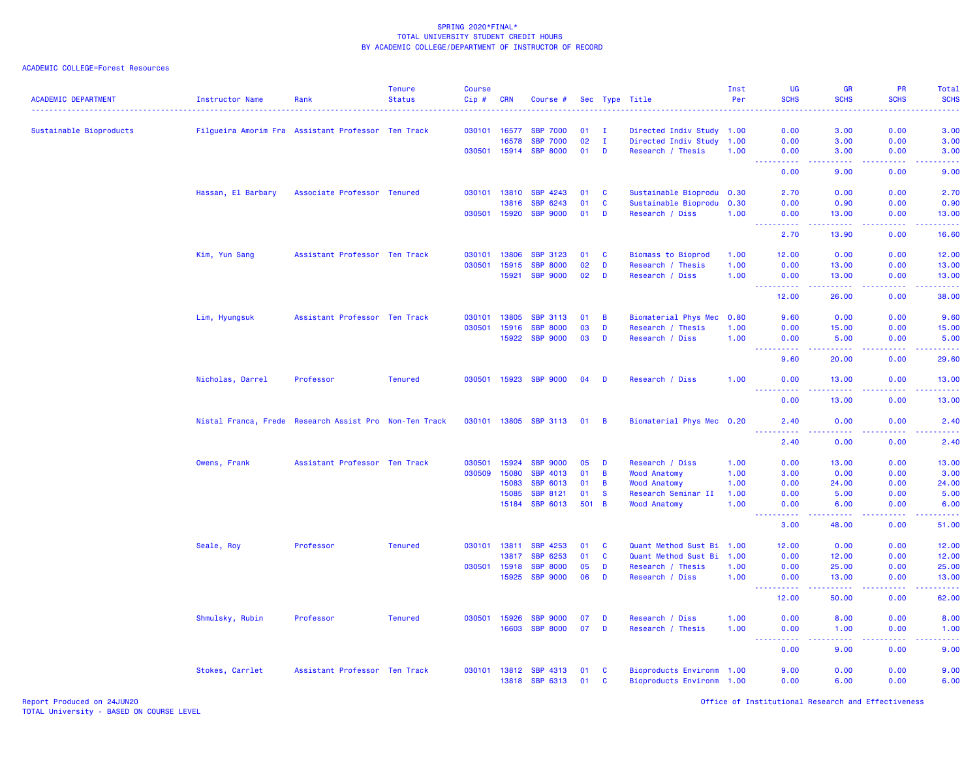| <b>ACADEMIC DEPARTMENT</b> | <b>Instructor Name</b>                                 | Rank                          | <b>Tenure</b><br><b>Status</b> | <b>Course</b><br>Cip# | <b>CRN</b>   | Course #              |       |                | Sec Type Title            | Inst<br>Per | UG<br><b>SCHS</b>                      | <b>GR</b><br><b>SCHS</b>  | <b>PR</b><br><b>SCHS</b>                                                                                                                                     | Total<br><b>SCHS</b>              |
|----------------------------|--------------------------------------------------------|-------------------------------|--------------------------------|-----------------------|--------------|-----------------------|-------|----------------|---------------------------|-------------|----------------------------------------|---------------------------|--------------------------------------------------------------------------------------------------------------------------------------------------------------|-----------------------------------|
| Sustainable Bioproducts    | Filgueira Amorim Fra Assistant Professor Ten Track     |                               |                                |                       | 030101 16577 | <b>SBP 7000</b>       | 01    | $\mathbf I$    | Directed Indiv Study 1.00 |             | 0.00                                   | 3.00                      | 0.00                                                                                                                                                         | 3.00                              |
|                            |                                                        |                               |                                |                       | 16578        | <b>SBP 7000</b>       | 02    | $\mathbf{I}$   | Directed Indiv Study 1.00 |             | 0.00                                   | 3.00                      | 0.00                                                                                                                                                         | 3.00                              |
|                            |                                                        |                               |                                |                       | 030501 15914 | <b>SBP 8000</b>       | 01    | D              | Research / Thesis         | 1.00        | 0.00                                   | 3.00                      | 0.00                                                                                                                                                         | 3.00                              |
|                            |                                                        |                               |                                |                       |              |                       |       |                |                           |             | $\sim$ $\sim$ $\sim$<br>المستملة       | وبالمحام                  | .                                                                                                                                                            | $\sim$ $\sim$ $\sim$ $\sim$       |
|                            |                                                        |                               |                                |                       |              |                       |       |                |                           |             | 0.00                                   | 9.00                      | 0.00                                                                                                                                                         | 9.00                              |
|                            | Hassan, El Barbary                                     | Associate Professor Tenured   |                                |                       | 030101 13810 | SBP 4243              | 01    | <b>C</b>       | Sustainable Bioprodu 0.30 |             | 2.70                                   | 0.00                      | 0.00                                                                                                                                                         | 2.70                              |
|                            |                                                        |                               |                                |                       | 13816        | SBP 6243              | 01    | <b>C</b>       | Sustainable Bioprodu 0.30 |             | 0.00                                   | 0.90                      | 0.00                                                                                                                                                         | 0.90                              |
|                            |                                                        |                               |                                | 030501                | 15920        | <b>SBP 9000</b>       | 01    | D              | Research / Diss           | 1.00        | 0.00<br><b><i><u>AAAAAAAAA</u></i></b> | 13.00<br>.                | 0.00<br>$\frac{1}{2} \left( \frac{1}{2} \right) \left( \frac{1}{2} \right) \left( \frac{1}{2} \right) \left( \frac{1}{2} \right) \left( \frac{1}{2} \right)$ | 13.00<br>.                        |
|                            |                                                        |                               |                                |                       |              |                       |       |                |                           |             | 2.70                                   | 13.90                     | 0.00                                                                                                                                                         | 16.60                             |
|                            | Kim, Yun Sang                                          | Assistant Professor Ten Track |                                | 030101                | 13806        | <b>SBP 3123</b>       | 01    | <b>C</b>       | <b>Biomass to Bioprod</b> | 1.00        | 12.00                                  | 0.00                      | 0.00                                                                                                                                                         | 12.00                             |
|                            |                                                        |                               |                                | 030501                | 15915        | <b>SBP 8000</b>       | 02    | D              | Research / Thesis         | 1.00        | 0.00                                   | 13.00                     | 0.00                                                                                                                                                         | 13.00                             |
|                            |                                                        |                               |                                |                       | 15921        | <b>SBP 9000</b>       | 02    | D              | Research / Diss           | 1.00        | 0.00<br><u>.</u>                       | 13.00<br>.                | 0.00<br>.                                                                                                                                                    | 13.00<br>.                        |
|                            |                                                        |                               |                                |                       |              |                       |       |                |                           |             | 12.00                                  | 26.00                     | 0.00                                                                                                                                                         | 38.00                             |
|                            | Lim, Hyungsuk                                          | Assistant Professor Ten Track |                                | 030101                | 13805        | <b>SBP 3113</b>       | 01    | $\overline{B}$ | Biomaterial Phys Mec 0.80 |             | 9.60                                   | 0.00                      | 0.00                                                                                                                                                         | 9.60                              |
|                            |                                                        |                               |                                | 030501                | 15916        | <b>SBP 8000</b>       | 03    | D              | Research / Thesis         | 1.00        | 0.00                                   | 15.00                     | 0.00                                                                                                                                                         | 15.00                             |
|                            |                                                        |                               |                                |                       | 15922        | <b>SBP 9000</b>       | 03    | D              | Research / Diss           | 1.00        | 0.00<br><u>.</u> .                     | 5.00<br>المستستب          | 0.00<br>المتمامي                                                                                                                                             | 5.00<br>.                         |
|                            |                                                        |                               |                                |                       |              |                       |       |                |                           |             | 9.60                                   | 20.00                     | 0.00                                                                                                                                                         | 29.60                             |
|                            | Nicholas, Darrel                                       | Professor                     | <b>Tenured</b>                 |                       | 030501 15923 | <b>SBP 9000</b>       | 04    | D              | Research / Diss           | 1.00        | 0.00<br><u>.</u>                       | 13.00<br>$-1 - 1 - 1 = 1$ | 0.00<br>. <b>.</b>                                                                                                                                           | 13.00<br>.                        |
|                            |                                                        |                               |                                |                       |              |                       |       |                |                           |             | 0.00                                   | 13.00                     | 0.00                                                                                                                                                         | 13.00                             |
|                            | Nistal Franca, Frede Research Assist Pro Non-Ten Track |                               |                                | 030101 13805          |              | <b>SBP 3113</b>       | 01    | $\overline{B}$ | Biomaterial Phys Mec 0.20 |             | 2.40<br>.                              | 0.00                      | 0.00                                                                                                                                                         | 2.40                              |
|                            |                                                        |                               |                                |                       |              |                       |       |                |                           |             | 2.40                                   | 0.00                      | 0.00                                                                                                                                                         | 2.40                              |
|                            | Owens, Frank                                           | Assistant Professor Ten Track |                                | 030501                | 15924        | <b>SBP 9000</b>       | 05    | D              | Research / Diss           | 1.00        | 0.00                                   | 13.00                     | 0.00                                                                                                                                                         | 13.00                             |
|                            |                                                        |                               |                                | 030509                | 15080        | SBP 4013              | 01    | $\overline{B}$ | <b>Wood Anatomy</b>       | 1.00        | 3.00                                   | 0.00                      | 0.00                                                                                                                                                         | 3.00                              |
|                            |                                                        |                               |                                |                       | 15083        | <b>SBP 6013</b>       | 01    | $\overline{B}$ | <b>Wood Anatomy</b>       | 1.00        | 0.00                                   | 24.00                     | 0.00                                                                                                                                                         | 24.00                             |
|                            |                                                        |                               |                                |                       | 15085        | <b>SBP 8121</b>       | 01    | $\mathbf{s}$   | Research Seminar II       | 1.00        | 0.00                                   | 5.00                      | 0.00                                                                                                                                                         | 5.00                              |
|                            |                                                        |                               |                                |                       | 15184        | <b>SBP 6013</b>       | 501 B |                | <b>Wood Anatomy</b>       | 1.00        | 0.00<br>22222                          | 6.00<br>22222             | 0.00                                                                                                                                                         | 6.00<br>$\omega$ is $\omega$ in . |
|                            |                                                        |                               |                                |                       |              |                       |       |                |                           |             | 3.00                                   | 48.00                     | 0.00                                                                                                                                                         | 51.00                             |
|                            | Seale, Roy                                             | Professor                     | <b>Tenured</b>                 |                       | 030101 13811 | <b>SBP 4253</b>       | 01    | <b>C</b>       | Quant Method Sust Bi 1.00 |             | 12.00                                  | 0.00                      | 0.00                                                                                                                                                         | 12.00                             |
|                            |                                                        |                               |                                |                       | 13817        | SBP 6253              | 01    | $\mathbf{C}$   | Quant Method Sust Bi      | 1.00        | 0.00                                   | 12.00                     | 0.00                                                                                                                                                         | 12.00                             |
|                            |                                                        |                               |                                | 030501                | 15918        | <b>SBP 8000</b>       | 05    | D              | Research / Thesis         | 1.00        | 0.00                                   | 25.00                     | 0.00                                                                                                                                                         | 25.00                             |
|                            |                                                        |                               |                                |                       | 15925        | <b>SBP 9000</b>       | 06    | D              | Research / Diss           | 1.00        | 0.00                                   | 13.00                     | 0.00                                                                                                                                                         | 13.00<br>وعاعاها                  |
|                            |                                                        |                               |                                |                       |              |                       |       |                |                           |             | 12.00                                  | 50.00                     | 0.00                                                                                                                                                         | 62.00                             |
|                            | Shmulsky, Rubin                                        | Professor                     | <b>Tenured</b>                 |                       | 030501 15926 | <b>SBP 9000</b>       | 07    | D              | Research / Diss           | 1.00        | 0.00                                   | 8.00                      | 0.00                                                                                                                                                         | 8.00                              |
|                            |                                                        |                               |                                |                       | 16603        | <b>SBP 8000</b>       | 07    | D              | Research / Thesis         | 1.00        | 0.00                                   | 1.00<br>.                 | 0.00<br>22222                                                                                                                                                | 1.00<br>.                         |
|                            |                                                        |                               |                                |                       |              |                       |       |                |                           |             | د د د د<br>0.00                        | 9.00                      | 0.00                                                                                                                                                         | 9.00                              |
|                            | Stokes, Carrlet                                        | Assistant Professor Ten Track |                                |                       |              | 030101 13812 SBP 4313 | 01    | <b>C</b>       | Bioproducts Environm 1.00 |             | 9.00                                   | 0.00                      | 0.00                                                                                                                                                         | 9.00                              |
|                            |                                                        |                               |                                |                       | 13818        | SBP 6313              | 01    | C              | Bioproducts Environm 1.00 |             | 0.00                                   | 6.00                      | 0.00                                                                                                                                                         | 6.00                              |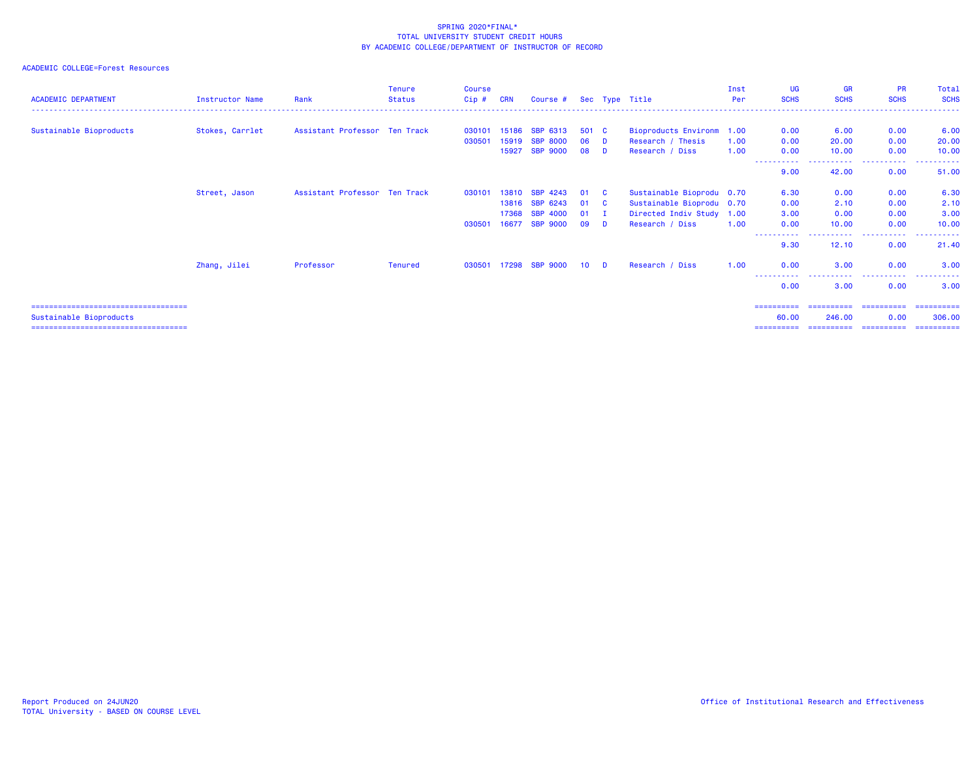| <b>ACADEMIC DEPARTMENT</b>             | Instructor Name | Rank                          | <b>Tenure</b><br>Status | <b>Course</b><br>$Cip$ # | <b>CRN</b> | Course #        |                 |     | Sec Type Title            | Inst<br>Per | UG<br><b>SCHS</b>   | <b>GR</b><br><b>SCHS</b> | <b>PR</b><br><b>SCHS</b> | Total<br><b>SCHS</b> |
|----------------------------------------|-----------------|-------------------------------|-------------------------|--------------------------|------------|-----------------|-----------------|-----|---------------------------|-------------|---------------------|--------------------------|--------------------------|----------------------|
| Sustainable Bioproducts                | Stokes, Carrlet | Assistant Professor Ten Track |                         | 030101                   | 15186      | SBP 6313        | 501 C           |     | Bioproducts Environm 1.00 |             | 0.00                | 6.00                     | 0.00                     | 6.00                 |
|                                        |                 |                               |                         | 030501                   | 15919      | <b>SBP 8000</b> | 06              | D   | Research / Thesis         | 1.00        | 0.00                | 20,00                    | 0.00                     | 20.00                |
|                                        |                 |                               |                         |                          | 15927      | <b>SBP 9000</b> | 08              | D   | Research / Diss           | 1.00        | 0.00                | 10.00                    | 0.00                     | 10.00                |
|                                        |                 |                               |                         |                          |            |                 |                 |     |                           |             | 9.00                | ------<br>42.00          | ----------<br>0.00       | ----------<br>51.00  |
|                                        | Street, Jason   | Assistant Professor Ten Track |                         | 030101                   | 13810      | <b>SBP 4243</b> | 01              | - C | Sustainable Bioprodu 0.70 |             | 6.30                | 0.00                     | 0.00                     | 6.30                 |
|                                        |                 |                               |                         |                          |            | 13816 SBP 6243  | 01              | - C | Sustainable Bioprodu 0.70 |             | 0.00                | 2.10                     | 0.00                     | 2.10                 |
|                                        |                 |                               |                         |                          | 17368      | <b>SBP 4000</b> | 01              |     | Directed Indiv Study 1.00 |             | 3.00                | 0.00                     | 0.00                     | 3.00                 |
|                                        |                 |                               |                         | 030501                   | 16677      | <b>SBP 9000</b> | 09              | D   | Research / Diss           | 1.00        | 0.00                | 10.00                    | 0.00                     | 10.00                |
|                                        |                 |                               |                         |                          |            |                 |                 |     |                           |             | -----------<br>9.30 | -------<br>12.10         | ----------<br>0.00       | ----------<br>21.40  |
|                                        | Zhang, Jilei    | Professor                     | <b>Tenured</b>          | 030501                   |            | 17298 SBP 9000  | 10 <sup>1</sup> | D.  | Research / Diss           | 1.00        | 0.00                | 3.00                     | 0.00                     | 3.00                 |
|                                        |                 |                               |                         |                          |            |                 |                 |     |                           |             | -----<br>0.00       | -----------<br>3.00      | ----------<br>0.00       | ----------<br>3.00   |
| =====================================  |                 |                               |                         |                          |            |                 |                 |     |                           |             | ==========          |                          |                          |                      |
| Sustainable Bioproducts                |                 |                               |                         |                          |            |                 |                 |     |                           |             | 60.00               | 246,00                   | 0.00                     | 306,00               |
| ====================================== |                 |                               |                         |                          |            |                 |                 |     |                           |             | ==========          | ======================   |                          | -----------          |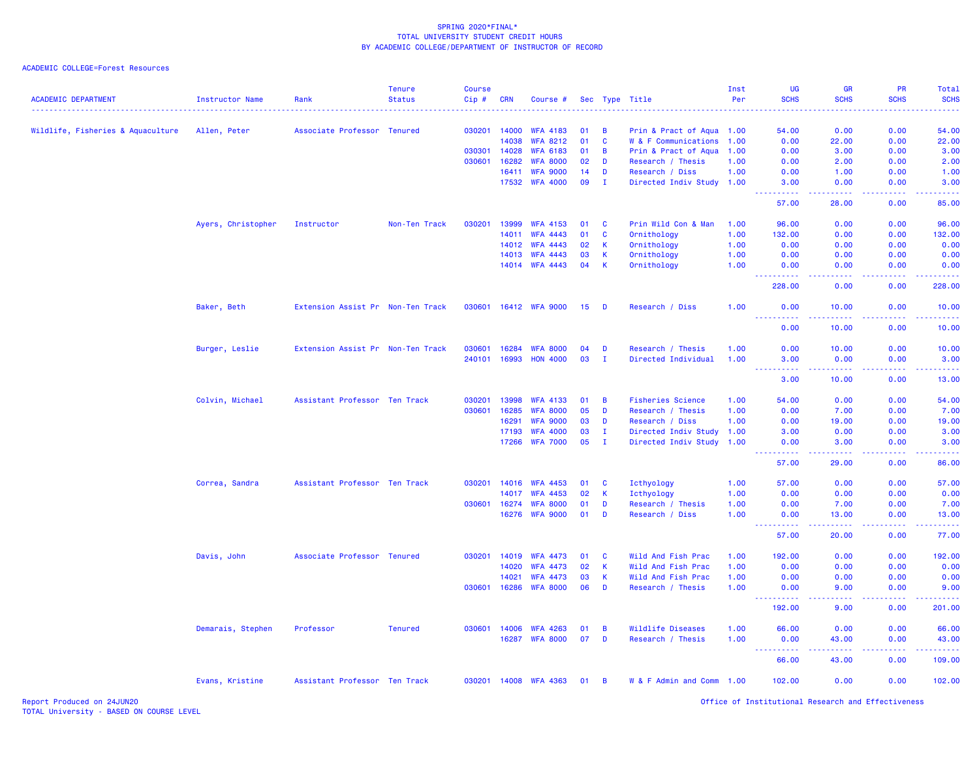| <b>ACADEMIC DEPARTMENT</b>        | <b>Instructor Name</b> | Rank                              | <b>Tenure</b><br><b>Status</b> | <b>Course</b><br>$Cip$ # | <b>CRN</b> | Course #        |    |              | Sec Type Title            | Inst<br>Per | UG<br><b>SCHS</b>                                                                                                                                            | <b>GR</b><br><b>SCHS</b>                                                                                                           | <b>PR</b><br><b>SCHS</b>                                                                                                  | Total<br><b>SCHS</b> |
|-----------------------------------|------------------------|-----------------------------------|--------------------------------|--------------------------|------------|-----------------|----|--------------|---------------------------|-------------|--------------------------------------------------------------------------------------------------------------------------------------------------------------|------------------------------------------------------------------------------------------------------------------------------------|---------------------------------------------------------------------------------------------------------------------------|----------------------|
|                                   |                        |                                   |                                |                          |            |                 |    |              |                           |             |                                                                                                                                                              | <b>.</b>                                                                                                                           | $\frac{1}{2} \left( \frac{1}{2} \right) \left( \frac{1}{2} \right) \left( \frac{1}{2} \right) \left( \frac{1}{2} \right)$ | والمستحيل            |
| Wildlife, Fisheries & Aquaculture | Allen, Peter           | Associate Professor Tenured       |                                | 030201                   | 14000      | <b>WFA 4183</b> | 01 | B            | Prin & Pract of Aqua 1.00 |             | 54.00                                                                                                                                                        | 0.00                                                                                                                               | 0.00                                                                                                                      | 54.00                |
|                                   |                        |                                   |                                |                          | 14038      | <b>WFA 8212</b> | 01 | C            | W & F Communications 1.00 |             | 0.00                                                                                                                                                         | 22.00                                                                                                                              | 0.00                                                                                                                      | 22.00                |
|                                   |                        |                                   |                                | 030301                   | 14028      | <b>WFA 6183</b> | 01 | B            | Prin & Pract of Aqua 1.00 |             | 0.00                                                                                                                                                         | 3.00                                                                                                                               | 0.00                                                                                                                      | 3.00                 |
|                                   |                        |                                   |                                | 030601                   | 16282      | <b>WFA 8000</b> | 02 | D            | Research / Thesis         | 1.00        | 0.00                                                                                                                                                         | 2.00                                                                                                                               | 0.00                                                                                                                      | 2.00                 |
|                                   |                        |                                   |                                |                          | 16411      | <b>WFA 9000</b> | 14 | D            | Research / Diss           | 1.00        | 0.00                                                                                                                                                         | 1.00                                                                                                                               | 0.00                                                                                                                      | 1.00                 |
|                                   |                        |                                   |                                |                          |            | 17532 WFA 4000  | 09 | Ι.           | Directed Indiv Study 1.00 |             | 3.00                                                                                                                                                         | 0.00                                                                                                                               | 0.00                                                                                                                      | 3.00                 |
|                                   |                        |                                   |                                |                          |            |                 |    |              |                           |             | 57.00                                                                                                                                                        | 28.00                                                                                                                              | 0.00                                                                                                                      | 85.00                |
|                                   | Ayers, Christopher     | Instructor                        | Non-Ten Track                  | 030201                   | 13999      | <b>WFA 4153</b> | 01 | C            | Prin Wild Con & Man       | 1.00        | 96.00                                                                                                                                                        | 0.00                                                                                                                               | 0.00                                                                                                                      | 96.00                |
|                                   |                        |                                   |                                |                          | 14011      | <b>WFA 4443</b> | 01 | $\mathbf c$  | Ornithology               | 1.00        | 132.00                                                                                                                                                       | 0.00                                                                                                                               | 0.00                                                                                                                      | 132.00               |
|                                   |                        |                                   |                                |                          | 14012      | <b>WFA 4443</b> | 02 | K            | Ornithology               | 1.00        | 0.00                                                                                                                                                         | 0.00                                                                                                                               | 0.00                                                                                                                      | 0.00                 |
|                                   |                        |                                   |                                |                          | 14013      | <b>WFA 4443</b> | 03 | K            | Ornithology               | 1.00        | 0.00                                                                                                                                                         | 0.00                                                                                                                               | 0.00                                                                                                                      | 0.00                 |
|                                   |                        |                                   |                                |                          |            | 14014 WFA 4443  | 04 | $\mathsf{K}$ | Ornithology               | 1.00        | 0.00<br>2.2.2.2.2.2                                                                                                                                          | 0.00<br>.                                                                                                                          | 0.00<br>.                                                                                                                 | 0.00<br>.            |
|                                   |                        |                                   |                                |                          |            |                 |    |              |                           |             | 228.00                                                                                                                                                       | 0.00                                                                                                                               | 0.00                                                                                                                      | 228.00               |
|                                   | Baker, Beth            | Extension Assist Pr Non-Ten Track |                                | 030601                   |            | 16412 WFA 9000  | 15 | D            | Research / Diss           | 1.00        | 0.00<br>22222                                                                                                                                                | 10.00                                                                                                                              | 0.00<br>د د د د                                                                                                           | 10.00<br>والمستحيل   |
|                                   |                        |                                   |                                |                          |            |                 |    |              |                           |             | 0.00                                                                                                                                                         | 10.00                                                                                                                              | 0.00                                                                                                                      | 10.00                |
|                                   | Burger, Leslie         | Extension Assist Pr Non-Ten Track |                                | 030601                   | 16284      | <b>WFA 8000</b> | 04 | D            | Research / Thesis         | 1.00        | 0.00                                                                                                                                                         | 10.00                                                                                                                              | 0.00                                                                                                                      | 10.00                |
|                                   |                        |                                   |                                | 240101                   | 16993      | <b>HON 4000</b> | 03 | п.           | Directed Individual       | 1.00        | 3.00                                                                                                                                                         | 0.00                                                                                                                               | 0.00                                                                                                                      | 3.00                 |
|                                   |                        |                                   |                                |                          |            |                 |    |              |                           |             | ----------<br>3.00                                                                                                                                           | <b><i><u><u>.</u></u></i></b><br>10.00                                                                                             | .<br>0.00                                                                                                                 | والمستحيل<br>13.00   |
|                                   | Colvin, Michael        | Assistant Professor Ten Track     |                                | 030201                   | 13998      | <b>WFA 4133</b> | 01 | B            | <b>Fisheries Science</b>  | 1.00        | 54.00                                                                                                                                                        | 0.00                                                                                                                               | 0.00                                                                                                                      | 54.00                |
|                                   |                        |                                   |                                | 030601                   | 16285      | <b>WFA 8000</b> | 05 | D            | Research / Thesis         | 1.00        | 0.00                                                                                                                                                         | 7.00                                                                                                                               | 0.00                                                                                                                      | 7.00                 |
|                                   |                        |                                   |                                |                          | 16291      | <b>WFA 9000</b> | 03 | D            | Research / Diss           | 1.00        | 0.00                                                                                                                                                         | 19.00                                                                                                                              | 0.00                                                                                                                      | 19.00                |
|                                   |                        |                                   |                                |                          | 17193      | <b>WFA 4000</b> | 03 | T            | Directed Indiv Study      | 1.00        | 3.00                                                                                                                                                         | 0.00                                                                                                                               | 0.00                                                                                                                      | 3.00                 |
|                                   |                        |                                   |                                |                          | 17266      | <b>WFA 7000</b> | 05 | $\mathbf{I}$ | Directed Indiv Study      | 1.00        | 0.00<br>.                                                                                                                                                    | 3.00<br>بالأباب                                                                                                                    | 0.00<br>ولايت                                                                                                             | 3.00<br>وبالمستريب   |
|                                   |                        |                                   |                                |                          |            |                 |    |              |                           |             | 57.00                                                                                                                                                        | 29.00                                                                                                                              | 0.00                                                                                                                      | 86.00                |
|                                   | Correa, Sandra         | Assistant Professor Ten Track     |                                | 030201                   | 14016      | <b>WFA 4453</b> | 01 | C            | Icthyology                | 1.00        | 57.00                                                                                                                                                        | 0.00                                                                                                                               | 0.00                                                                                                                      | 57.00                |
|                                   |                        |                                   |                                |                          | 14017      | <b>WFA 4453</b> | 02 | К            | Icthyology                | 1.00        | 0.00                                                                                                                                                         | 0.00                                                                                                                               | 0.00                                                                                                                      | 0.00                 |
|                                   |                        |                                   |                                | 030601                   | 16274      | <b>WFA 8000</b> | 01 | D            | Research / Thesis         | 1.00        | 0.00                                                                                                                                                         | 7.00                                                                                                                               | 0.00                                                                                                                      | 7.00                 |
|                                   |                        |                                   |                                |                          | 16276      | <b>WFA 9000</b> | 01 | D            | Research / Diss           | 1.00        | 0.00<br>.                                                                                                                                                    | 13.00<br>.                                                                                                                         | 0.00<br>.                                                                                                                 | 13.00<br>.           |
|                                   |                        |                                   |                                |                          |            |                 |    |              |                           |             | 57.00                                                                                                                                                        | 20.00                                                                                                                              | 0.00                                                                                                                      | 77.00                |
|                                   | Davis, John            | Associate Professor Tenured       |                                | 030201                   | 14019      | <b>WFA 4473</b> | 01 | C            | Wild And Fish Prac        | 1.00        | 192.00                                                                                                                                                       | 0.00                                                                                                                               | 0.00                                                                                                                      | 192.00               |
|                                   |                        |                                   |                                |                          | 14020      | <b>WFA 4473</b> | 02 | $\mathbf K$  | Wild And Fish Prac        | 1.00        | 0.00                                                                                                                                                         | 0.00                                                                                                                               | 0.00                                                                                                                      | 0.00                 |
|                                   |                        |                                   |                                |                          | 14021      | <b>WFA 4473</b> | 03 | $\mathsf{K}$ | Wild And Fish Prac        | 1.00        | 0.00                                                                                                                                                         | 0.00                                                                                                                               | 0.00                                                                                                                      | 0.00                 |
|                                   |                        |                                   |                                | 030601                   | 16286      | <b>WFA 8000</b> | 06 | D            | Research / Thesis         | 1.00        | 0.00                                                                                                                                                         | 9.00                                                                                                                               | 0.00                                                                                                                      | 9.00<br>.            |
|                                   |                        |                                   |                                |                          |            |                 |    |              |                           |             | 192.00                                                                                                                                                       | 9.00                                                                                                                               | 0.00                                                                                                                      | 201.00               |
|                                   | Demarais, Stephen      | Professor                         | <b>Tenured</b>                 | 030601                   | 14006      | <b>WFA 4263</b> | 01 | B            | Wildlife Diseases         | 1.00        | 66.00                                                                                                                                                        | 0.00                                                                                                                               | 0.00                                                                                                                      | 66.00                |
|                                   |                        |                                   |                                |                          | 16287      | <b>WFA 8000</b> | 07 | D            | Research / Thesis         | 1.00        | 0.00<br>$\frac{1}{2} \left( \frac{1}{2} \right) \left( \frac{1}{2} \right) \left( \frac{1}{2} \right) \left( \frac{1}{2} \right) \left( \frac{1}{2} \right)$ | 43.00<br>$\frac{1}{2} \left( \frac{1}{2} \right) \left( \frac{1}{2} \right) \left( \frac{1}{2} \right) \left( \frac{1}{2} \right)$ | 0.00<br>.                                                                                                                 | 43.00<br>.           |
|                                   |                        |                                   |                                |                          |            |                 |    |              |                           |             | 66.00                                                                                                                                                        | 43.00                                                                                                                              | 0.00                                                                                                                      | 109.00               |
|                                   | Evans, Kristine        | Assistant Professor Ten Track     |                                | 030201                   |            | 14008 WFA 4363  | 01 | B            | W & F Admin and Comm 1.00 |             | 102.00                                                                                                                                                       | 0.00                                                                                                                               | 0.00                                                                                                                      | 102.00               |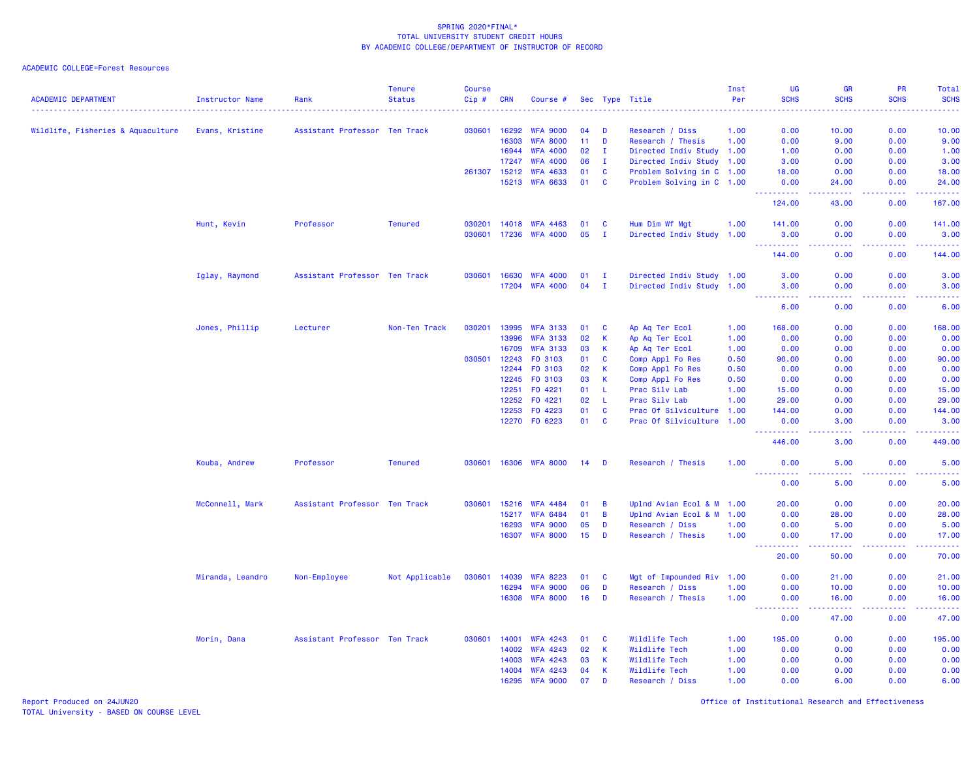### ACADEMIC COLLEGE=Forest Resources

| <b>ACADEMIC DEPARTMENT</b>        | <b>Instructor Name</b> | Rank                          | <b>Tenure</b><br><b>Status</b> | <b>Course</b><br>Cip# | <b>CRN</b> | Course #        |                 |              | Sec Type Title            | Inst<br>Per | <b>UG</b><br><b>SCHS</b>            | <b>GR</b><br><b>SCHS</b> | <b>PR</b><br><b>SCHS</b>            | Total<br><b>SCHS</b><br>$\frac{1}{2} \left( \frac{1}{2} \right) \left( \frac{1}{2} \right) \left( \frac{1}{2} \right) \left( \frac{1}{2} \right)$            |
|-----------------------------------|------------------------|-------------------------------|--------------------------------|-----------------------|------------|-----------------|-----------------|--------------|---------------------------|-------------|-------------------------------------|--------------------------|-------------------------------------|--------------------------------------------------------------------------------------------------------------------------------------------------------------|
| Wildlife, Fisheries & Aquaculture | Evans, Kristine        | Assistant Professor Ten Track |                                | 030601                | 16292      | <b>WFA 9000</b> | 04              | D            | Research / Diss           | 1.00        | 0.00                                | 10.00                    | 0.00                                | 10.00                                                                                                                                                        |
|                                   |                        |                               |                                |                       | 16303      | <b>WFA 8000</b> | 11 <sub>1</sub> | D            | Research / Thesis         | 1.00        | 0.00                                | 9.00                     | 0.00                                | 9.00                                                                                                                                                         |
|                                   |                        |                               |                                |                       | 16944      | <b>WFA 4000</b> | 02              | $\mathbf{I}$ | Directed Indiv Study 1.00 |             | 1.00                                | 0.00                     | 0.00                                | 1.00                                                                                                                                                         |
|                                   |                        |                               |                                |                       | 17247      | <b>WFA 4000</b> | 06              | $\mathbf{I}$ | Directed Indiv Study      | 1.00        | 3.00                                | 0.00                     | 0.00                                | 3.00                                                                                                                                                         |
|                                   |                        |                               |                                | 261307                | 15212      | <b>WFA 4633</b> | 01              | C            | Problem Solving in C 1.00 |             | 18.00                               | 0.00                     | 0.00                                | 18.00                                                                                                                                                        |
|                                   |                        |                               |                                |                       | 15213      | <b>WFA 6633</b> | 01              | <b>C</b>     | Problem Solving in C 1.00 |             | 0.00<br><u>.</u>                    | 24.00                    | 0.00<br>.                           | 24.00<br>.                                                                                                                                                   |
|                                   |                        |                               |                                |                       |            |                 |                 |              |                           |             | 124.00                              | المستمر المسار<br>43.00  | 0.00                                | 167.00                                                                                                                                                       |
|                                   | Hunt, Kevin            | Professor                     | <b>Tenured</b>                 | 030201                | 14018      | <b>WFA 4463</b> | 01              | <b>C</b>     | Hum Dim Wf Mgt            | 1.00        | 141.00                              | 0.00                     | 0.00                                | 141.00                                                                                                                                                       |
|                                   |                        |                               |                                | 030601                | 17236      | <b>WFA 4000</b> | 05              | - 1          | Directed Indiv Study      | 1.00        | 3.00<br><u> - - - - - - - - - -</u> | 0.00<br>المتمالين        | 0.00<br>د د د د .                   | 3.00<br>$\frac{1}{2} \left( \frac{1}{2} \right) \left( \frac{1}{2} \right) \left( \frac{1}{2} \right) \left( \frac{1}{2} \right) \left( \frac{1}{2} \right)$ |
|                                   |                        |                               |                                |                       |            |                 |                 |              |                           |             | 144.00                              | 0.00                     | 0.00                                | 144.00                                                                                                                                                       |
|                                   | Iglay, Raymond         | Assistant Professor Ten Track |                                | 030601                | 16630      | <b>WFA 4000</b> | 01              | л.           | Directed Indiv Study 1.00 |             | 3.00                                | 0.00                     | 0.00                                | 3.00                                                                                                                                                         |
|                                   |                        |                               |                                |                       | 17204      | <b>WFA 4000</b> | 04              | $\mathbf{I}$ | Directed Indiv Study 1.00 |             | 3.00<br><u>.</u>                    | 0.00<br>د د د د          | 0.00<br>بالمحام                     | 3.00<br>$\frac{1}{2} \left( \frac{1}{2} \right) \left( \frac{1}{2} \right) \left( \frac{1}{2} \right) \left( \frac{1}{2} \right)$                            |
|                                   |                        |                               |                                |                       |            |                 |                 |              |                           |             | 6.00                                | 0.00                     | 0.00                                | 6.00                                                                                                                                                         |
|                                   | Jones, Phillip         | Lecturer                      | Non-Ten Track                  | 030201                | 13995      | <b>WFA 3133</b> | 01              | C            | Ap Aq Ter Ecol            | 1.00        | 168.00                              | 0.00                     | 0.00                                | 168.00                                                                                                                                                       |
|                                   |                        |                               |                                |                       | 13996      | <b>WFA 3133</b> | 02              | К            | Ap Aq Ter Ecol            | 1.00        | 0.00                                | 0.00                     | 0.00                                | 0.00                                                                                                                                                         |
|                                   |                        |                               |                                |                       | 16709      | <b>WFA 3133</b> | 03              | К            | Ap Aq Ter Ecol            | 1.00        | 0.00                                | 0.00                     | 0.00                                | 0.00                                                                                                                                                         |
|                                   |                        |                               |                                | 030501                | 12243      | F0 3103         | 01              | C            | Comp Appl Fo Res          | 0.50        | 90.00                               | 0.00                     | 0.00                                | 90.00                                                                                                                                                        |
|                                   |                        |                               |                                |                       | 12244      | F0 3103         | 02              | $\mathsf K$  | Comp Appl Fo Res          | 0.50        | 0.00                                | 0.00                     | 0.00                                | 0.00                                                                                                                                                         |
|                                   |                        |                               |                                |                       | 12245      | F0 3103         | 03              | К            | Comp Appl Fo Res          | 0.50        | 0.00                                | 0.00                     | 0.00                                | 0.00                                                                                                                                                         |
|                                   |                        |                               |                                |                       | 12251      | FO 4221         | 01              | L            | Prac Silv Lab             | 1.00        | 15.00                               | 0.00                     | 0.00                                | 15.00                                                                                                                                                        |
|                                   |                        |                               |                                |                       | 12252      | F0 4221         | 02              | $\mathsf{L}$ | Prac Silv Lab             | 1.00        | 29.00                               | 0.00                     | 0.00                                | 29.00                                                                                                                                                        |
|                                   |                        |                               |                                |                       | 12253      | F0 4223         | 01              | C            | Prac Of Silviculture      | 1.00        | 144.00                              | 0.00                     | 0.00                                | 144.00                                                                                                                                                       |
|                                   |                        |                               |                                |                       | 12270      | F0 6223         | 01              | <b>C</b>     | Prac Of Silviculture 1.00 |             | 0.00<br><u>.</u>                    | 3.00                     | 0.00<br>.                           | 3.00<br>.                                                                                                                                                    |
|                                   |                        |                               |                                |                       |            |                 |                 |              |                           |             | 446.00                              | 3.00                     | 0.00                                | 449.00                                                                                                                                                       |
|                                   | Kouba, Andrew          | Professor                     | <b>Tenured</b>                 | 030601                | 16306      | <b>WFA 8000</b> | 14              | D            | Research / Thesis         | 1.00        | 0.00<br>المتمام المتحدث             | 5.00                     | 0.00                                | 5.00<br>$\frac{1}{2} \left( \frac{1}{2} \right) \left( \frac{1}{2} \right) \left( \frac{1}{2} \right) \left( \frac{1}{2} \right) \left( \frac{1}{2} \right)$ |
|                                   |                        |                               |                                |                       |            |                 |                 |              |                           |             | 0.00                                | 5.00                     | 0.00                                | 5.00                                                                                                                                                         |
|                                   | McConnell, Mark        | Assistant Professor Ten Track |                                | 030601                | 15216      | <b>WFA 4484</b> | 01              | B            | Uplnd Avian Ecol & M      | 1.00        | 20.00                               | 0.00                     | 0.00                                | 20.00                                                                                                                                                        |
|                                   |                        |                               |                                |                       | 15217      | <b>WFA 6484</b> | 01              | B            | Uplnd Avian Ecol & M      | 1.00        | 0.00                                | 28.00                    | 0.00                                | 28.00                                                                                                                                                        |
|                                   |                        |                               |                                |                       | 16293      | <b>WFA 9000</b> | 05              | D            | Research / Diss           | 1.00        | 0.00                                | 5.00                     | 0.00                                | 5.00                                                                                                                                                         |
|                                   |                        |                               |                                |                       | 16307      | <b>WFA 8000</b> | 15              | D            | Research / Thesis         | 1.00        | 0.00                                | 17.00                    | 0.00                                | 17.00<br>بالأبالات                                                                                                                                           |
|                                   |                        |                               |                                |                       |            |                 |                 |              |                           |             | 20.00                               | 50.00                    | 0.00                                | 70.00                                                                                                                                                        |
|                                   | Miranda, Leandro       | Non-Employee                  | Not Applicable                 | 030601                | 14039      | <b>WFA 8223</b> | 01              | C            | Mgt of Impounded Riv 1.00 |             | 0.00                                | 21.00                    | 0.00                                | 21.00                                                                                                                                                        |
|                                   |                        |                               |                                |                       | 16294      | <b>WFA 9000</b> | 06              | D            | Research / Diss           | 1.00        | 0.00                                | 10.00                    | 0.00                                | 10.00                                                                                                                                                        |
|                                   |                        |                               |                                |                       | 16308      | <b>WFA 8000</b> | 16              | D            | Research / Thesis         | 1.00        | 0.00                                | 16.00                    | 0.00<br>$\sim$ $\sim$ $\sim$ $\sim$ | 16.00<br>$\omega = \omega = \omega$                                                                                                                          |
|                                   |                        |                               |                                |                       |            |                 |                 |              |                           |             | 0.00                                | 47.00                    | 0.00                                | 47.00                                                                                                                                                        |
|                                   | Morin, Dana            | Assistant Professor Ten Track |                                | 030601                | 14001      | <b>WFA 4243</b> | 01              | C            | Wildlife Tech             | 1.00        | 195.00                              | 0.00                     | 0.00                                | 195.00                                                                                                                                                       |
|                                   |                        |                               |                                |                       | 14002      | <b>WFA 4243</b> | 02              | K            | Wildlife Tech             | 1.00        | 0.00                                | 0.00                     | 0.00                                | 0.00                                                                                                                                                         |
|                                   |                        |                               |                                |                       | 14003      | <b>WFA 4243</b> | 03              | K            | Wildlife Tech             | 1.00        | 0.00                                | 0.00                     | 0.00                                | 0.00                                                                                                                                                         |
|                                   |                        |                               |                                |                       | 14004      | <b>WFA 4243</b> | 04              | К            | Wildlife Tech             | 1.00        | 0.00                                | 0.00                     | 0.00                                | 0.00                                                                                                                                                         |
|                                   |                        |                               |                                |                       | 16295      | <b>WFA 9000</b> | 07              | D            | Research / Diss           | 1.00        | 0.00                                | 6.00                     | 0.00                                | 6.00                                                                                                                                                         |

Report Produced on 24JUN20 Office of Institutional Research and Effectiveness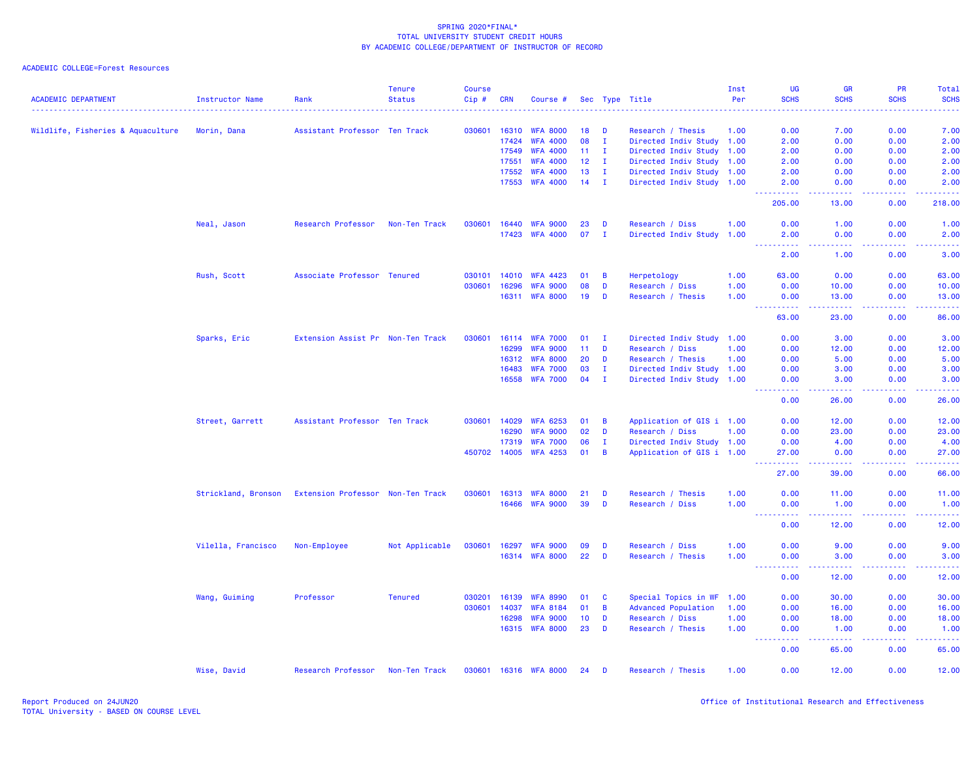| <b>ACADEMIC DEPARTMENT</b>        | Instructor Name     | Rank                              | <b>Tenure</b><br><b>Status</b> | <b>Course</b><br>Cip#                                                                                                                                | <b>CRN</b> | Course #              |                 |                | Sec Type Title             | Inst<br>Per | <b>UG</b><br><b>SCHS</b>                                                                                                                                      | <b>GR</b><br><b>SCHS</b>                                                                                                                                      | PR<br><b>SCHS</b>                                                                                                                                            | Total<br><b>SCHS</b>                                                                                                      |
|-----------------------------------|---------------------|-----------------------------------|--------------------------------|------------------------------------------------------------------------------------------------------------------------------------------------------|------------|-----------------------|-----------------|----------------|----------------------------|-------------|---------------------------------------------------------------------------------------------------------------------------------------------------------------|---------------------------------------------------------------------------------------------------------------------------------------------------------------|--------------------------------------------------------------------------------------------------------------------------------------------------------------|---------------------------------------------------------------------------------------------------------------------------|
|                                   |                     |                                   |                                | $\frac{1}{2} \left( \frac{1}{2} \right) \left( \frac{1}{2} \right) \left( \frac{1}{2} \right) \left( \frac{1}{2} \right) \left( \frac{1}{2} \right)$ |            |                       |                 |                |                            |             |                                                                                                                                                               | $- - - - -$                                                                                                                                                   | $\frac{1}{2} \left( \frac{1}{2} \right) \left( \frac{1}{2} \right) \left( \frac{1}{2} \right) \left( \frac{1}{2} \right)$                                    | $\frac{1}{2} \left( \frac{1}{2} \right) \left( \frac{1}{2} \right) \left( \frac{1}{2} \right) \left( \frac{1}{2} \right)$ |
| Wildlife, Fisheries & Aquaculture | Morin, Dana         | Assistant Professor Ten Track     |                                | 030601                                                                                                                                               | 16310      | <b>WFA 8000</b>       | 18              | D              | Research / Thesis          | 1.00        | 0.00                                                                                                                                                          | 7.00                                                                                                                                                          | 0.00                                                                                                                                                         | 7.00                                                                                                                      |
|                                   |                     |                                   |                                |                                                                                                                                                      | 17424      | <b>WFA 4000</b>       | 08              | $\mathbf{I}$   | Directed Indiv Study 1.00  |             | 2.00                                                                                                                                                          | 0.00                                                                                                                                                          | 0.00                                                                                                                                                         | 2.00                                                                                                                      |
|                                   |                     |                                   |                                |                                                                                                                                                      | 17549      | <b>WFA 4000</b>       | 11              | $\mathbf{I}$   | Directed Indiv Study 1.00  |             | 2.00                                                                                                                                                          | 0.00                                                                                                                                                          | 0.00                                                                                                                                                         | 2.00                                                                                                                      |
|                                   |                     |                                   |                                |                                                                                                                                                      | 17551      | <b>WFA 4000</b>       | 12              | I.             | Directed Indiv Study 1.00  |             | 2.00                                                                                                                                                          | 0.00                                                                                                                                                          | 0.00                                                                                                                                                         | 2.00                                                                                                                      |
|                                   |                     |                                   |                                |                                                                                                                                                      | 17552      | <b>WFA 4000</b>       | 13              | $\mathbf{I}$   | Directed Indiv Study 1.00  |             | 2.00                                                                                                                                                          | 0.00                                                                                                                                                          | 0.00                                                                                                                                                         | 2.00                                                                                                                      |
|                                   |                     |                                   |                                |                                                                                                                                                      | 17553      | <b>WFA 4000</b>       | 14              | $\mathbf I$    | Directed Indiv Study 1.00  |             | 2.00<br>.                                                                                                                                                     | 0.00<br>.                                                                                                                                                     | 0.00<br>.                                                                                                                                                    | 2.00<br>.                                                                                                                 |
|                                   |                     |                                   |                                |                                                                                                                                                      |            |                       |                 |                |                            |             | 205.00                                                                                                                                                        | 13.00                                                                                                                                                         | 0.00                                                                                                                                                         | 218.00                                                                                                                    |
|                                   | Neal, Jason         | Research Professor                | Non-Ten Track                  | 030601                                                                                                                                               | 16440      | <b>WFA 9000</b>       | 23              | D              | Research / Diss            | 1.00        | 0.00                                                                                                                                                          | 1.00                                                                                                                                                          | 0.00                                                                                                                                                         | 1.00                                                                                                                      |
|                                   |                     |                                   |                                |                                                                                                                                                      | 17423      | <b>WFA 4000</b>       | 07              | $\mathbf I$    | Directed Indiv Study 1.00  |             | 2.00<br>22222                                                                                                                                                 | 0.00<br>.                                                                                                                                                     | 0.00<br>22222                                                                                                                                                | 2.00<br>بالأبالي                                                                                                          |
|                                   |                     |                                   |                                |                                                                                                                                                      |            |                       |                 |                |                            |             | 2.00                                                                                                                                                          | 1.00                                                                                                                                                          | 0.00                                                                                                                                                         | 3.00                                                                                                                      |
|                                   | Rush, Scott         | Associate Professor Tenured       |                                | 030101                                                                                                                                               | 14010      | <b>WFA 4423</b>       | 01              | B              | Herpetology                | 1.00        | 63.00                                                                                                                                                         | 0.00                                                                                                                                                          | 0.00                                                                                                                                                         | 63.00                                                                                                                     |
|                                   |                     |                                   |                                | 030601                                                                                                                                               | 16296      | <b>WFA 9000</b>       | 08              | D              | Research / Diss            | 1.00        | 0.00                                                                                                                                                          | 10.00                                                                                                                                                         | 0.00                                                                                                                                                         | 10.00                                                                                                                     |
|                                   |                     |                                   |                                |                                                                                                                                                      |            | 16311 WFA 8000        | 19              | D              | Research / Thesis          | 1.00        | 0.00<br>$\sim 100$<br>المتمام مناسب                                                                                                                           | 13.00<br>$\frac{1}{2} \left( \frac{1}{2} \right) \left( \frac{1}{2} \right) \left( \frac{1}{2} \right) \left( \frac{1}{2} \right) \left( \frac{1}{2} \right)$ | 0.00<br>$\frac{1}{2} \left( \frac{1}{2} \right) \left( \frac{1}{2} \right) \left( \frac{1}{2} \right) \left( \frac{1}{2} \right) \left( \frac{1}{2} \right)$ | 13.00<br>.                                                                                                                |
|                                   |                     |                                   |                                |                                                                                                                                                      |            |                       |                 |                |                            |             | 63.00                                                                                                                                                         | 23.00                                                                                                                                                         | 0.00                                                                                                                                                         | 86.00                                                                                                                     |
|                                   | Sparks, Eric        | Extension Assist Pr Non-Ten Track |                                | 030601                                                                                                                                               |            | 16114 WFA 7000        | 01              | $\mathbf I$    | Directed Indiv Study 1.00  |             | 0.00                                                                                                                                                          | 3.00                                                                                                                                                          | 0.00                                                                                                                                                         | 3.00                                                                                                                      |
|                                   |                     |                                   |                                |                                                                                                                                                      | 16299      | <b>WFA 9000</b>       | 11              | D              | Research / Diss            | 1.00        | 0.00                                                                                                                                                          | 12.00                                                                                                                                                         | 0.00                                                                                                                                                         | 12.00                                                                                                                     |
|                                   |                     |                                   |                                |                                                                                                                                                      | 16312      | <b>WFA 8000</b>       | 20              | D              | Research / Thesis          | 1.00        | 0.00                                                                                                                                                          | 5.00                                                                                                                                                          | 0.00                                                                                                                                                         | 5.00                                                                                                                      |
|                                   |                     |                                   |                                |                                                                                                                                                      | 16483      | <b>WFA 7000</b>       | 03              | $\mathbf I$    | Directed Indiv Study 1.00  |             | 0.00                                                                                                                                                          | 3.00                                                                                                                                                          | 0.00                                                                                                                                                         | 3.00                                                                                                                      |
|                                   |                     |                                   |                                |                                                                                                                                                      | 16558      | <b>WFA 7000</b>       | 04              | $\mathbf{I}$   | Directed Indiv Study 1.00  |             | 0.00                                                                                                                                                          | 3.00                                                                                                                                                          | 0.00                                                                                                                                                         | 3.00                                                                                                                      |
|                                   |                     |                                   |                                |                                                                                                                                                      |            |                       |                 |                |                            |             | $\frac{1}{2} \left( \frac{1}{2} \right) \left( \frac{1}{2} \right) \left( \frac{1}{2} \right) \left( \frac{1}{2} \right)$<br>0.00                             | .<br>26.00                                                                                                                                                    | .<br>0.00                                                                                                                                                    | وعامات<br>26.00                                                                                                           |
|                                   | Street, Garrett     | Assistant Professor Ten Track     |                                | 030601                                                                                                                                               | 14029      | <b>WFA 6253</b>       | 01              | B              | Application of GIS i 1.00  |             | 0.00                                                                                                                                                          | 12.00                                                                                                                                                         | 0.00                                                                                                                                                         | 12.00                                                                                                                     |
|                                   |                     |                                   |                                |                                                                                                                                                      | 16290      | <b>WFA 9000</b>       | 02              | D              | Research / Diss            | 1.00        | 0.00                                                                                                                                                          | 23.00                                                                                                                                                         | 0.00                                                                                                                                                         | 23.00                                                                                                                     |
|                                   |                     |                                   |                                |                                                                                                                                                      | 17319      | <b>WFA 7000</b>       | 06              | $\mathbf{I}$   | Directed Indiv Study 1.00  |             | 0.00                                                                                                                                                          | 4.00                                                                                                                                                          | 0.00                                                                                                                                                         | 4.00                                                                                                                      |
|                                   |                     |                                   |                                | 450702 14005                                                                                                                                         |            | <b>WFA 4253</b>       | 01              | $\overline{B}$ | Application of GIS i 1.00  |             | 27.00                                                                                                                                                         | 0.00                                                                                                                                                          | 0.00                                                                                                                                                         | 27.00                                                                                                                     |
|                                   |                     |                                   |                                |                                                                                                                                                      |            |                       |                 |                |                            |             | $\frac{1}{2} \left( \frac{1}{2} \right) \left( \frac{1}{2} \right) \left( \frac{1}{2} \right) \left( \frac{1}{2} \right) \left( \frac{1}{2} \right)$<br>27.00 | 22222<br>39.00                                                                                                                                                | 22222<br>0.00                                                                                                                                                | .<br>66.00                                                                                                                |
|                                   | Strickland, Bronson | Extension Professor Non-Ten Track |                                | 030601                                                                                                                                               | 16313      | <b>WFA 8000</b>       | 21              | D              | Research / Thesis          | 1.00        | 0.00                                                                                                                                                          | 11.00                                                                                                                                                         | 0.00                                                                                                                                                         | 11.00                                                                                                                     |
|                                   |                     |                                   |                                |                                                                                                                                                      | 16466      | <b>WFA 9000</b>       | 39              | D              | Research / Diss            | 1.00        | 0.00                                                                                                                                                          | 1.00<br>.                                                                                                                                                     | 0.00<br>.                                                                                                                                                    | 1.00<br>والمستحيل                                                                                                         |
|                                   |                     |                                   |                                |                                                                                                                                                      |            |                       |                 |                |                            |             | 0.00                                                                                                                                                          | 12.00                                                                                                                                                         | 0.00                                                                                                                                                         | 12.00                                                                                                                     |
|                                   | Vilella, Francisco  | Non-Employee                      | Not Applicable                 | 030601                                                                                                                                               | 16297      | <b>WFA 9000</b>       | 09              | D              | Research / Diss            | 1.00        | 0.00                                                                                                                                                          | 9.00                                                                                                                                                          | 0.00                                                                                                                                                         | 9.00                                                                                                                      |
|                                   |                     |                                   |                                |                                                                                                                                                      | 16314      | <b>WFA 8000</b>       | 22              | D              | Research / Thesis          | 1.00        | 0.00                                                                                                                                                          | 3.00<br>والمستوات                                                                                                                                             | 0.00<br>المستبدا                                                                                                                                             | 3.00<br>والمستناب                                                                                                         |
|                                   |                     |                                   |                                |                                                                                                                                                      |            |                       |                 |                |                            |             | 0.00                                                                                                                                                          | 12.00                                                                                                                                                         | 0.00                                                                                                                                                         | 12.00                                                                                                                     |
|                                   | Wang, Guiming       | Professor                         | <b>Tenured</b>                 | 030201                                                                                                                                               | 16139      | <b>WFA 8990</b>       | 01              | $\mathbf{C}$   | Special Topics in WF       | 1.00        | 0.00                                                                                                                                                          | 30.00                                                                                                                                                         | 0.00                                                                                                                                                         | 30.00                                                                                                                     |
|                                   |                     |                                   |                                | 030601                                                                                                                                               | 14037      | <b>WFA 8184</b>       | 01              | B              | <b>Advanced Population</b> | 1.00        | 0.00                                                                                                                                                          | 16.00                                                                                                                                                         | 0.00                                                                                                                                                         | 16.00                                                                                                                     |
|                                   |                     |                                   |                                |                                                                                                                                                      | 16298      | <b>WFA 9000</b>       | 10 <sup>°</sup> | D              | Research / Diss            | 1.00        | 0.00                                                                                                                                                          | 18.00                                                                                                                                                         | 0.00                                                                                                                                                         | 18.00                                                                                                                     |
|                                   |                     |                                   |                                |                                                                                                                                                      |            | 16315 WFA 8000        | 23              | D              | Research / Thesis          | 1.00        | 0.00<br>المالم عامات                                                                                                                                          | 1.00<br>$\frac{1}{2} \left( \frac{1}{2} \right) \left( \frac{1}{2} \right) \left( \frac{1}{2} \right) \left( \frac{1}{2} \right) \left( \frac{1}{2} \right)$  | 0.00<br>. <b>.</b>                                                                                                                                           | 1.00<br>.                                                                                                                 |
|                                   |                     |                                   |                                |                                                                                                                                                      |            |                       |                 |                |                            |             | 0.00                                                                                                                                                          | 65.00                                                                                                                                                         | 0.00                                                                                                                                                         | 65.00                                                                                                                     |
|                                   | Wise, David         | Research Professor                | Non-Ten Track                  |                                                                                                                                                      |            | 030601 16316 WFA 8000 | 24              | D              | Research / Thesis          | 1.00        | 0.00                                                                                                                                                          | 12.00                                                                                                                                                         | 0.00                                                                                                                                                         | 12.00                                                                                                                     |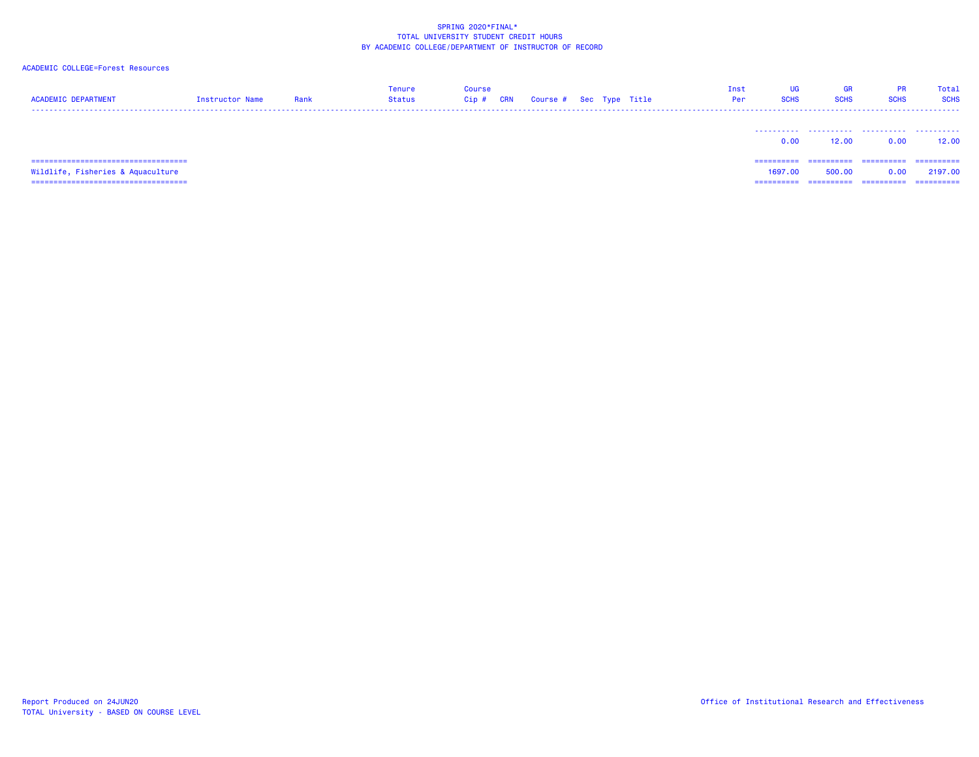| <b>ACADEMIC DEPARTMENT</b>                                                 | Instructor Name | Rank | <b>Tenure</b><br>Status | <b>Course</b><br>Cip # | <b>CRN</b> | Course # Sec Type Title |  | Inst<br>Per | UG<br><b>SCHS</b>      | GR<br><b>SCHS</b>     | PR.<br><b>SCHS</b>  | Total<br><b>SCHS</b>   |
|----------------------------------------------------------------------------|-----------------|------|-------------------------|------------------------|------------|-------------------------|--|-------------|------------------------|-----------------------|---------------------|------------------------|
|                                                                            |                 |      |                         |                        |            |                         |  |             | 0.00                   | 12.00                 | 0.00                | 12,00                  |
| =====================================<br>Wildlife, Fisheries & Aquaculture |                 |      |                         |                        |            |                         |  |             | -----------<br>1697.00 | -----------<br>500.00 | -----------<br>0.00 | -----------<br>2197.00 |
| ======================================                                     |                 |      |                         |                        |            |                         |  |             | ==========             | ==========            | ==========          | -----------            |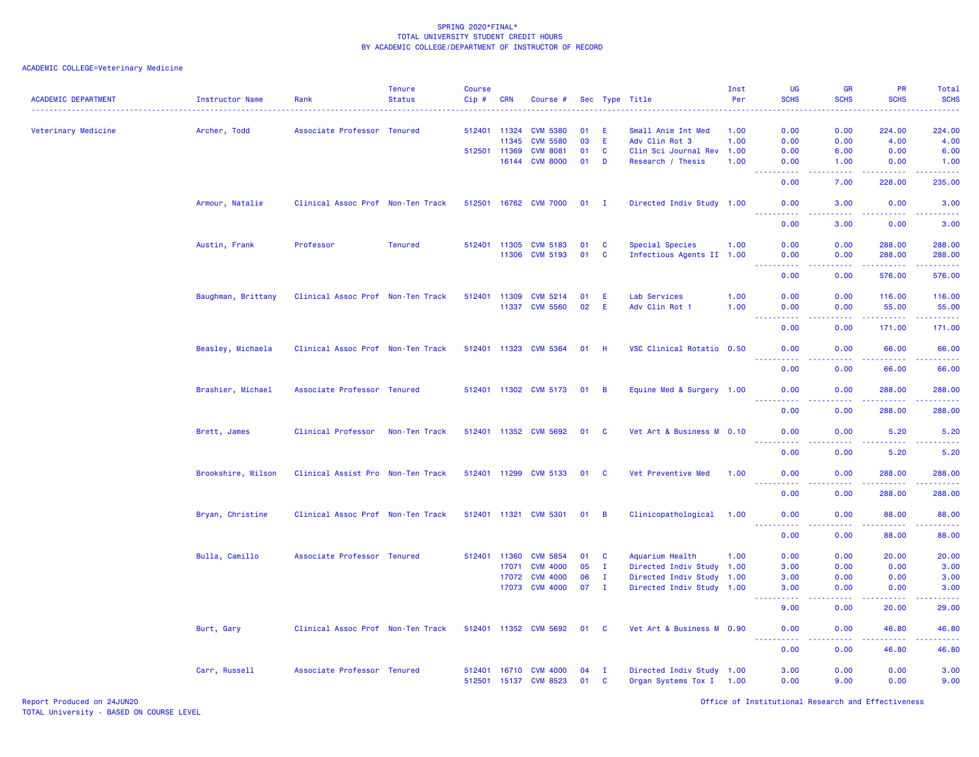| <b>ACADEMIC DEPARTMENT</b> | Instructor Name    | Rank                              | <b>Tenure</b><br><b>Status</b> | <b>Course</b><br>$Cip \#$ | <b>CRN</b>   | Course #                                       |          |                             | Sec Type Title                                        | Inst<br>Per | <b>UG</b><br><b>SCHS</b>                                                                                                                   | <b>GR</b><br><b>SCHS</b>            | <b>PR</b><br><b>SCHS</b> | Total<br><b>SCHS</b><br>. |
|----------------------------|--------------------|-----------------------------------|--------------------------------|---------------------------|--------------|------------------------------------------------|----------|-----------------------------|-------------------------------------------------------|-------------|--------------------------------------------------------------------------------------------------------------------------------------------|-------------------------------------|--------------------------|---------------------------|
| Veterinary Medicine        | Archer, Todd       | Associate Professor Tenured       |                                |                           | 512401 11324 | <b>CVM 5380</b>                                | 01       | -E                          | Small Anim Int Med                                    | 1.00        | 0.00                                                                                                                                       | 0.00                                | 224.00                   | 224.00                    |
|                            |                    |                                   |                                |                           | 11345        | <b>CVM 5580</b>                                | 03       | E.                          | Adv Clin Rot 3                                        | 1.00        | 0.00                                                                                                                                       | 0.00                                | 4.00                     | 4.00                      |
|                            |                    |                                   |                                | 512501 11369              |              | <b>CVM 8081</b>                                | 01       | $\mathbf{C}$                | Clin Sci Journal Rev                                  | 1.00        | 0.00                                                                                                                                       | 6.00                                | 0.00                     | 6.00                      |
|                            |                    |                                   |                                |                           | 16144        | <b>CVM 8000</b>                                | 01       | D                           | Research / Thesis                                     | 1.00        | 0.00<br>د د د د                                                                                                                            | 1.00<br>د د د د                     | 0.00<br>22222            | 1.00<br>.                 |
|                            |                    |                                   |                                |                           |              |                                                |          |                             |                                                       |             | 0.00                                                                                                                                       | 7.00                                | 228.00                   | 235.00                    |
|                            | Armour, Natalie    | Clinical Assoc Prof Non-Ten Track |                                |                           |              | 512501 16762 CVM 7000                          | $01$ I   |                             | Directed Indiv Study 1.00                             |             | 0.00<br>. <u>.</u>                                                                                                                         | 3.00<br>.                           | 0.00<br>.                | 3.00<br><u>.</u>          |
|                            |                    |                                   |                                |                           |              |                                                |          |                             |                                                       |             | 0.00                                                                                                                                       | 3.00                                | 0.00                     | 3.00                      |
|                            | Austin, Frank      | Professor                         | <b>Tenured</b>                 |                           | 512401 11305 | <b>CVM 5183</b>                                | 01       | C                           | Special Species                                       | 1.00        | 0.00                                                                                                                                       | 0.00                                | 288.00                   | 288.00                    |
|                            |                    |                                   |                                |                           | 11306        | <b>CVM 5193</b>                                | 01       | $\mathbf{C}$                | Infectious Agents II 1.00                             |             | 0.00                                                                                                                                       | 0.00                                | 288.00                   | 288.00                    |
|                            |                    |                                   |                                |                           |              |                                                |          |                             |                                                       |             | 0.00                                                                                                                                       | $\sim$ $\sim$ $\sim$ $\sim$<br>0.00 | .<br>576.00              | 22222)<br>576.00          |
|                            | Baughman, Brittany | Clinical Assoc Prof Non-Ten Track |                                | 512401 11309              |              | <b>CVM 5214</b>                                | 01       | E                           | Lab Services                                          | 1.00        | 0.00                                                                                                                                       | 0.00                                | 116.00                   | 116.00                    |
|                            |                    |                                   |                                |                           | 11337        | <b>CVM 5560</b>                                | 02       | E                           | Adv Clin Rot 1                                        | 1.00        | 0.00                                                                                                                                       | 0.00                                | 55.00                    | 55.00                     |
|                            |                    |                                   |                                |                           |              |                                                |          |                             |                                                       |             |                                                                                                                                            |                                     | .                        | .                         |
|                            |                    |                                   |                                |                           |              |                                                |          |                             |                                                       |             | 0.00                                                                                                                                       | 0.00                                | 171.00                   | 171.00                    |
|                            | Beasley, Michaela  | Clinical Assoc Prof Non-Ten Track |                                |                           |              | 512401 11323 CVM 5364                          | $01$ H   |                             | VSC Clinical Rotatio 0.50                             |             | 0.00                                                                                                                                       | 0.00                                | 66.00                    | 66.00<br>22222)           |
|                            |                    |                                   |                                |                           |              |                                                |          |                             |                                                       |             | ----------<br>0.00                                                                                                                         | 0.00                                | .<br>66.00               | 66.00                     |
|                            | Brashier, Michael  | Associate Professor Tenured       |                                |                           |              | 512401 11302 CVM 5173                          | 01       | $\overline{B}$              | Equine Med & Surgery 1.00                             |             | 0.00                                                                                                                                       | 0.00                                | 288.00                   | 288.00                    |
|                            |                    |                                   |                                |                           |              |                                                |          |                             |                                                       |             | <u>.</u><br>0.00                                                                                                                           | 0.00                                | 22222<br>288.00          | 222223<br>288.00          |
|                            | Brett, James       | Clinical Professor                | Non-Ten Track                  |                           |              | 512401 11352 CVM 5692                          | 01       | C                           | Vet Art & Business M 0.10                             |             | 0.00                                                                                                                                       | 0.00                                | 5.20                     | 5.20                      |
|                            |                    |                                   |                                |                           |              |                                                |          |                             |                                                       |             | د د د د د<br>0.00                                                                                                                          | د د د د<br>0.00                     | .<br>5.20                | .<br>5.20                 |
|                            | Brookshire, Wilson | Clinical Assist Pro Non-Ten Track |                                | 512401 11299              |              | <b>CVM 5133</b>                                | 01       | - C                         | Vet Preventive Med                                    | 1.00        | 0.00                                                                                                                                       | 0.00                                | 288.00                   | 288.00                    |
|                            |                    |                                   |                                |                           |              |                                                |          |                             |                                                       |             | $\frac{1}{2} \left( \frac{1}{2} \right) \left( \frac{1}{2} \right) \left( \frac{1}{2} \right) \left( \frac{1}{2} \right)$<br>22222<br>0.00 | د د د د<br>0.00                     | <u>.</u><br>288.00       | <u>.</u><br>288.00        |
|                            | Bryan, Christine   | Clinical Assoc Prof Non-Ten Track |                                |                           |              | 512401 11321 CVM 5301                          | 01       | $\overline{B}$              | Clinicopathological 1.00                              |             | 0.00                                                                                                                                       | 0.00                                | 88.00                    | 88.00                     |
|                            |                    |                                   |                                |                           |              |                                                |          |                             |                                                       |             | ----------<br>0.00                                                                                                                         | .<br>0.00                           | .<br>88.00               | .<br>88.00                |
|                            | Bulla, Camillo     | Associate Professor Tenured       |                                |                           | 512401 11360 | <b>CVM 5854</b>                                | 01       | C                           | Aquarium Health                                       | 1.00        | 0.00                                                                                                                                       | 0.00                                | 20.00                    | 20.00                     |
|                            |                    |                                   |                                |                           | 17071        | <b>CVM 4000</b>                                | 05       | I.                          | Directed Indiv Study 1.00                             |             | 3.00                                                                                                                                       | 0.00                                | 0.00                     | 3.00                      |
|                            |                    |                                   |                                |                           | 17072        | <b>CVM 4000</b>                                | 06       | $\mathbf{I}$                | Directed Indiv Study 1.00                             |             | 3.00                                                                                                                                       | 0.00                                | 0.00                     | 3.00                      |
|                            |                    |                                   |                                |                           |              | 17073 CVM 4000                                 | 07       | $\mathbf{I}$                | Directed Indiv Study 1.00                             |             | 3.00                                                                                                                                       | 0.00                                | 0.00                     | 3.00                      |
|                            |                    |                                   |                                |                           |              |                                                |          |                             |                                                       |             | -----<br>9.00                                                                                                                              | $\sim$ $\sim$ $\sim$ $\sim$<br>0.00 | -----<br>20.00           | والمستناط<br>29.00        |
|                            | Burt, Gary         | Clinical Assoc Prof Non-Ten Track |                                |                           |              | 512401 11352 CVM 5692                          | 01       | <b>C</b>                    | Vet Art & Business M 0.90                             |             | 0.00                                                                                                                                       | 0.00                                | 46.80                    | 46.80                     |
|                            |                    |                                   |                                |                           |              |                                                |          |                             |                                                       |             | 0.00                                                                                                                                       | $\sim$ $\sim$ $\sim$ $\sim$<br>0.00 | 22222<br>46.80           | .<br>46.80                |
|                            |                    |                                   |                                |                           |              |                                                |          |                             |                                                       |             |                                                                                                                                            |                                     |                          |                           |
|                            | Carr, Russell      | Associate Professor Tenured       |                                |                           |              | 512401 16710 CVM 4000<br>512501 15137 CVM 8523 | 04<br>01 | $\mathbf I$<br>$\mathbf{C}$ | Directed Indiv Study 1.00<br>Organ Systems Tox I 1.00 |             | 3.00<br>0.00                                                                                                                               | 0.00<br>9.00                        | 0.00<br>0.00             | 3.00<br>9.00              |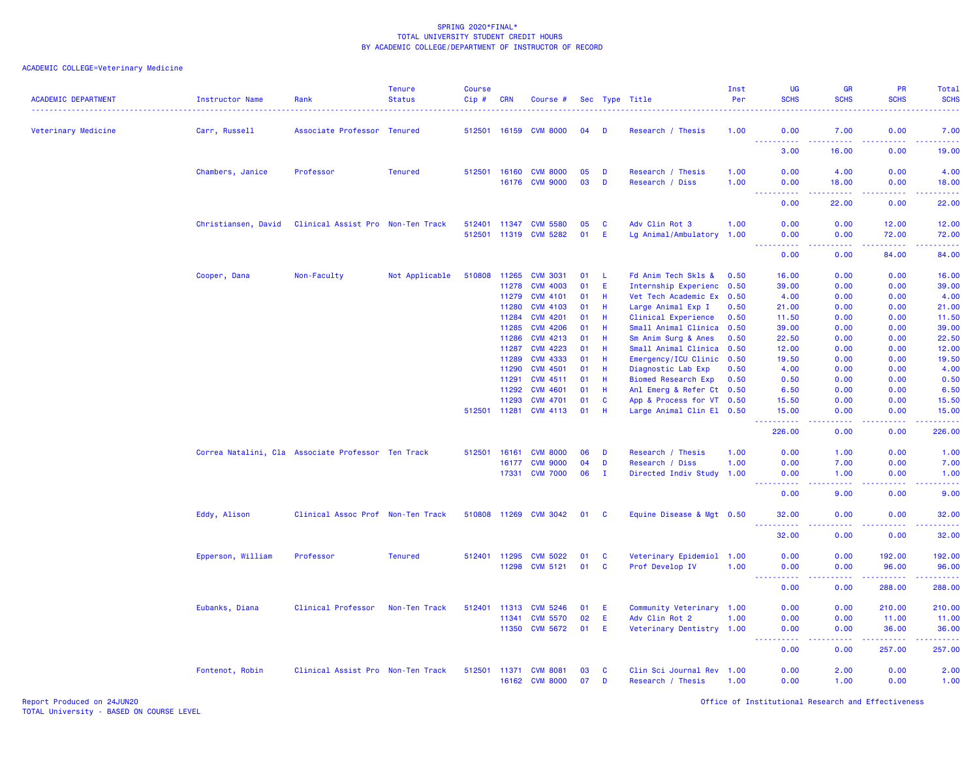| <b>ACADEMIC DEPARTMENT</b> | <b>Instructor Name</b>                             | Rank                              | <b>Tenure</b><br><b>Status</b><br>. | <b>Course</b><br>$Cip$ #<br><u>.</u> | <b>CRN</b> | Course #                          |          |               | Sec Type Title                       | Inst<br>Per<br>. | UG<br><b>SCHS</b>                     | <b>GR</b><br><b>SCHS</b><br><u>.</u> | <b>PR</b><br><b>SCHS</b><br><u>.</u> | Total<br><b>SCHS</b><br>.                                                                                                          |
|----------------------------|----------------------------------------------------|-----------------------------------|-------------------------------------|--------------------------------------|------------|-----------------------------------|----------|---------------|--------------------------------------|------------------|---------------------------------------|--------------------------------------|--------------------------------------|------------------------------------------------------------------------------------------------------------------------------------|
| Veterinary Medicine        | Carr, Russell                                      | Associate Professor Tenured       |                                     | 512501                               | 16159      | <b>CVM 8000</b>                   | 04       | D             | Research / Thesis                    | 1.00             | 0.00<br>.                             | 7.00                                 | 0.00                                 | 7.00<br>$\frac{1}{2} \left( \frac{1}{2} \right) \left( \frac{1}{2} \right) \left( \frac{1}{2} \right) \left( \frac{1}{2} \right)$  |
|                            |                                                    |                                   |                                     |                                      |            |                                   |          |               |                                      |                  | 3.00                                  | 16.00                                | 0.00                                 | 19.00                                                                                                                              |
|                            | Chambers, Janice                                   | Professor                         | <b>Tenured</b>                      | 512501                               | 16160      | <b>CVM 8000</b><br>16176 CVM 9000 | 05<br>03 | D<br><b>D</b> | Research / Thesis<br>Research / Diss | 1.00<br>1.00     | 0.00<br>0.00                          | 4.00<br>18.00                        | 0.00<br>0.00                         | 4.00<br>18.00                                                                                                                      |
|                            |                                                    |                                   |                                     |                                      |            |                                   |          |               |                                      |                  | $\sim 100$<br>المتمام المتحدة<br>0.00 | $- - - - - -$<br>22.00               | .<br>0.00                            | د د د د د<br>22.00                                                                                                                 |
|                            | Christiansen, David                                | Clinical Assist Pro Non-Ten Track |                                     | 512401                               | 11347      | <b>CVM 5580</b>                   | 05       | <b>C</b>      | Adv Clin Rot 3                       | 1.00             | 0.00                                  | 0.00                                 | 12.00                                | 12.00                                                                                                                              |
|                            |                                                    |                                   |                                     | 512501                               | 11319      | <b>CVM 5282</b>                   | 01       | -E            | Lg Animal/Ambulatory                 | 1.00             | 0.00                                  | 0.00                                 | 72.00<br>.                           | 72.00<br>$\frac{1}{2} \left( \frac{1}{2} \right) \left( \frac{1}{2} \right) \left( \frac{1}{2} \right) \left( \frac{1}{2} \right)$ |
|                            |                                                    |                                   |                                     |                                      |            |                                   |          |               |                                      |                  | 0.00                                  | 0.00                                 | 84.00                                | 84.00                                                                                                                              |
|                            | Cooper, Dana                                       | Non-Faculty                       | Not Applicable                      | 510808                               | 11265      | <b>CVM 3031</b>                   | 01       | -L.           | Fd Anim Tech Skls &                  | 0.50             | 16.00                                 | 0.00                                 | 0.00                                 | 16.00                                                                                                                              |
|                            |                                                    |                                   |                                     |                                      | 11278      | <b>CVM 4003</b>                   | 01       | E             | Internship Experienc 0.50            |                  | 39.00                                 | 0.00                                 | 0.00                                 | 39.00                                                                                                                              |
|                            |                                                    |                                   |                                     |                                      | 11279      | <b>CVM 4101</b>                   | 01       | H             | Vet Tech Academic Ex 0.50            |                  | 4.00                                  | 0.00                                 | 0.00                                 | 4.00                                                                                                                               |
|                            |                                                    |                                   |                                     |                                      | 11280      | <b>CVM 4103</b>                   | 01       | H             | Large Animal Exp I                   | 0.50             | 21.00                                 | 0.00                                 | 0.00                                 | 21.00                                                                                                                              |
|                            |                                                    |                                   |                                     |                                      | 11284      | <b>CVM 4201</b>                   | 01       | H             | Clinical Experience                  | 0.50             | 11.50                                 | 0.00                                 | 0.00                                 | 11.50                                                                                                                              |
|                            |                                                    |                                   |                                     |                                      | 11285      | <b>CVM 4206</b>                   | 01       | Н             | Small Animal Clinica                 | 0.50             | 39.00                                 | 0.00                                 | 0.00                                 | 39.00                                                                                                                              |
|                            |                                                    |                                   |                                     |                                      | 11286      | <b>CVM 4213</b>                   | 01       | Н             | Sm Anim Surg & Anes                  | 0.50             | 22.50                                 | 0.00                                 | 0.00                                 | 22.50                                                                                                                              |
|                            |                                                    |                                   |                                     |                                      | 11287      | <b>CVM 4223</b>                   | 01       | Н             | Small Animal Clinica                 | 0.50             | 12.00                                 | 0.00                                 | 0.00                                 | 12.00                                                                                                                              |
|                            |                                                    |                                   |                                     |                                      | 11289      | <b>CVM 4333</b>                   | 01       | Н             | Emergency/ICU Clinic                 | 0.50             | 19.50                                 | 0.00                                 | 0.00                                 | 19.50                                                                                                                              |
|                            |                                                    |                                   |                                     |                                      | 11290      | <b>CVM 4501</b>                   | 01       | H             | Diagnostic Lab Exp                   | 0.50             | 4.00                                  | 0.00                                 | 0.00                                 | 4.00                                                                                                                               |
|                            |                                                    |                                   |                                     |                                      | 11291      | <b>CVM 4511</b>                   | 01       | H             | <b>Biomed Research Exp</b>           | 0.50             | 0.50                                  | 0.00                                 | 0.00                                 | 0.50                                                                                                                               |
|                            |                                                    |                                   |                                     |                                      | 11292      | <b>CVM 4601</b>                   | 01       | H             | Anl Emerg & Refer Ct 0.50            |                  | 6.50                                  | 0.00                                 | 0.00                                 | 6.50                                                                                                                               |
|                            |                                                    |                                   |                                     |                                      | 11293      | <b>CVM 4701</b>                   | 01       | <b>C</b>      | App & Process for VT 0.50            |                  | 15.50                                 | 0.00                                 | 0.00                                 | 15.50                                                                                                                              |
|                            |                                                    |                                   |                                     | 512501                               | 11281      | <b>CVM 4113</b>                   | 01       | H             | Large Animal Clin El 0.50            |                  | 15.00<br>.                            | 0.00<br>د د د د                      | 0.00<br>د د د د .                    | 15.00<br>.                                                                                                                         |
|                            |                                                    |                                   |                                     |                                      |            |                                   |          |               |                                      |                  | 226.00                                | 0.00                                 | 0.00                                 | 226.00                                                                                                                             |
|                            | Correa Natalini, Cla Associate Professor Ten Track |                                   |                                     | 512501                               | 16161      | <b>CVM 8000</b>                   | 06       | D             | Research / Thesis                    | 1.00             | 0.00                                  | 1.00                                 | 0.00                                 | 1.00                                                                                                                               |
|                            |                                                    |                                   |                                     |                                      | 16177      | <b>CVM 9000</b>                   | 04       | D             | Research / Diss                      | 1.00             | 0.00                                  | 7.00                                 | 0.00                                 | 7.00                                                                                                                               |
|                            |                                                    |                                   |                                     |                                      | 17331      | <b>CVM 7000</b>                   | 06       | - I           | Directed Indiv Study                 | 1.00             | 0.00<br>22222                         | 1.00<br>الدالد الدالد                | 0.00<br>.                            | 1.00<br>2222.                                                                                                                      |
|                            |                                                    |                                   |                                     |                                      |            |                                   |          |               |                                      |                  | 0.00                                  | 9.00                                 | 0.00                                 | 9.00                                                                                                                               |
|                            | Eddy, Alison                                       | Clinical Assoc Prof Non-Ten Track |                                     | 510808 11269                         |            | <b>CVM 3042</b>                   | 01       | - C           | Equine Disease & Mgt 0.50            |                  | 32.00                                 | 0.00                                 | 0.00                                 | 32.00                                                                                                                              |
|                            |                                                    |                                   |                                     |                                      |            |                                   |          |               |                                      |                  | . <u>.</u> .<br>32.00                 | .<br>0.00                            | .<br>0.00                            | .<br>32.00                                                                                                                         |
|                            | Epperson, William                                  | Professor                         | <b>Tenured</b>                      | 512401                               | 11295      | <b>CVM 5022</b>                   | 01       | <b>C</b>      | Veterinary Epidemiol 1.00            |                  | 0.00                                  | 0.00                                 | 192.00                               | 192.00                                                                                                                             |
|                            |                                                    |                                   |                                     |                                      | 11298      | <b>CVM 5121</b>                   | 01       | C             | Prof Develop IV                      | 1.00             | 0.00                                  | 0.00                                 | 96.00                                | 96.00                                                                                                                              |
|                            |                                                    |                                   |                                     |                                      |            |                                   |          |               |                                      |                  | 0.00                                  | 0.00                                 | .<br>288.00                          | .<br>288.00                                                                                                                        |
|                            | Eubanks, Diana                                     | Clinical Professor                | Non-Ten Track                       | 512401                               | 11313      | <b>CVM 5246</b>                   | 01       | E             | Community Veterinary 1.00            |                  | 0.00                                  | 0.00                                 | 210.00                               | 210.00                                                                                                                             |
|                            |                                                    |                                   |                                     |                                      | 11341      | <b>CVM 5570</b>                   | 02       | E             | Adv Clin Rot 2                       | 1.00             | 0.00                                  | 0.00                                 | 11.00                                | 11.00                                                                                                                              |
|                            |                                                    |                                   |                                     |                                      | 11350      | <b>CVM 5672</b>                   | 01       | -E            | Veterinary Dentistry 1.00            |                  | 0.00                                  | 0.00                                 | 36.00                                | 36.00                                                                                                                              |
|                            |                                                    |                                   |                                     |                                      |            |                                   |          |               |                                      |                  | .<br>0.00                             | .<br>0.00                            | .<br>257.00                          | $\begin{array}{cccccccccc} \bullet & \bullet & \bullet & \bullet & \bullet & \bullet & \bullet & \bullet \end{array}$<br>257.00    |
|                            | Fontenot, Robin                                    | Clinical Assist Pro Non-Ten Track |                                     | 512501                               | 11371      | <b>CVM 8081</b>                   | 03       | <b>C</b>      | Clin Sci Journal Rev 1.00            |                  | 0.00                                  | 2.00                                 | 0.00                                 | 2.00                                                                                                                               |
|                            |                                                    |                                   |                                     |                                      |            | 16162 CVM 8000                    | 07       | D             | Research / Thesis                    | 1.00             | 0.00                                  | 1.00                                 | 0.00                                 | 1.00                                                                                                                               |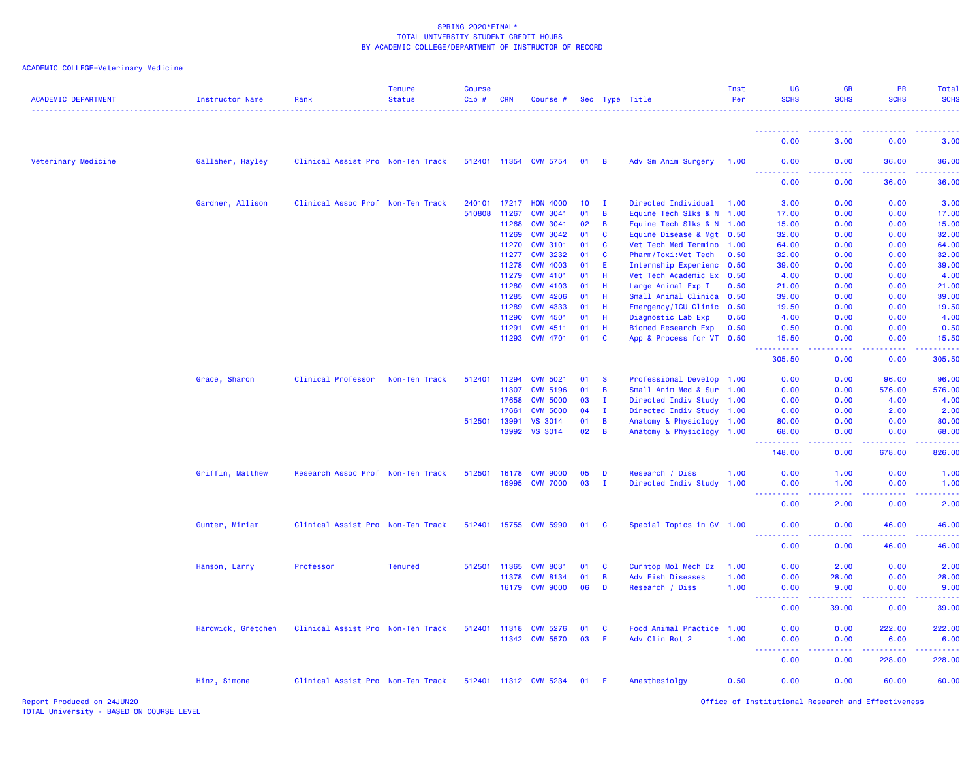## ACADEMIC COLLEGE=Veterinary Medicine

| <b>ACADEMIC DEPARTMENT</b> | Instructor Name    | Rank                              | <b>Tenure</b><br><b>Status</b> | <b>Course</b><br>Cip # | <b>CRN</b>   | Course #              |                 |                | Sec Type Title             | Inst<br>Per | UG<br><b>SCHS</b>  | <b>GR</b><br><b>SCHS</b> | PR<br><b>SCHS</b>  | <b>Total</b><br><b>SCHS</b>                                                                                               |
|----------------------------|--------------------|-----------------------------------|--------------------------------|------------------------|--------------|-----------------------|-----------------|----------------|----------------------------|-------------|--------------------|--------------------------|--------------------|---------------------------------------------------------------------------------------------------------------------------|
|                            |                    |                                   |                                |                        |              |                       |                 |                |                            |             |                    |                          |                    |                                                                                                                           |
|                            |                    |                                   |                                |                        |              |                       |                 |                |                            |             | 0.00               | 3.00                     | 0.00               | 3.00                                                                                                                      |
| Veterinary Medicine        | Gallaher, Hayley   | Clinical Assist Pro Non-Ten Track |                                |                        |              | 512401 11354 CVM 5754 | 01              | $\overline{B}$ | Adv Sm Anim Surgery        | 1.00        | 0.00               | 0.00                     | 36.00              | 36.00                                                                                                                     |
|                            |                    |                                   |                                |                        |              |                       |                 |                |                            |             | 0.00               | 0.00                     | 36.00              | 36.00                                                                                                                     |
|                            | Gardner, Allison   | Clinical Assoc Prof Non-Ten Track |                                | 240101                 | 17217        | <b>HON 4000</b>       | 10 <sup>°</sup> | $\mathbf{I}$   | Directed Individual        | 1.00        | 3.00               | 0.00                     | 0.00               | 3.00                                                                                                                      |
|                            |                    |                                   |                                | 510808                 | 11267        | <b>CVM 3041</b>       | 01              | B              | Equine Tech Slks & N 1.00  |             | 17.00              | 0.00                     | 0.00               | 17.00                                                                                                                     |
|                            |                    |                                   |                                |                        | 11268        | <b>CVM 3041</b>       | 02              | B              | Equine Tech Slks & N 1.00  |             | 15.00              | 0.00                     | 0.00               | 15.00                                                                                                                     |
|                            |                    |                                   |                                |                        | 11269        | <b>CVM 3042</b>       | 01              | C              | Equine Disease & Mgt       | 0.50        | 32.00              | 0.00                     | 0.00               | 32.00                                                                                                                     |
|                            |                    |                                   |                                |                        | 11270        | <b>CVM 3101</b>       | 01              | <b>C</b>       | Vet Tech Med Termino 1.00  |             | 64.00              | 0.00                     | 0.00               | 64.00                                                                                                                     |
|                            |                    |                                   |                                |                        | 11277        | <b>CVM 3232</b>       | 01              | C              | Pharm/Toxi:Vet Tech        | 0.50        | 32.00              | 0.00                     | 0.00               | 32.00                                                                                                                     |
|                            |                    |                                   |                                |                        | 11278        | <b>CVM 4003</b>       | 01              | E              | Internship Experienc 0.50  |             | 39.00              | 0.00                     | 0.00               | 39.00                                                                                                                     |
|                            |                    |                                   |                                |                        | 11279        | <b>CVM 4101</b>       | 01              | H              | Vet Tech Academic Ex 0.50  |             | 4.00               | 0.00                     | 0.00               | 4.00                                                                                                                      |
|                            |                    |                                   |                                |                        | 11280        | <b>CVM 4103</b>       | 01              | H              | Large Animal Exp I         | 0.50        | 21.00              | 0.00                     | 0.00               | 21.00                                                                                                                     |
|                            |                    |                                   |                                |                        | 11285        | <b>CVM 4206</b>       | 01              | H.             | Small Animal Clinica 0.50  |             | 39.00              | 0.00                     | 0.00               | 39.00                                                                                                                     |
|                            |                    |                                   |                                |                        | 11289        | <b>CVM 4333</b>       | 01              | H              | Emergency/ICU Clinic 0.50  |             | 19.50              | 0.00                     | 0.00               | 19.50                                                                                                                     |
|                            |                    |                                   |                                |                        | 11290        | <b>CVM 4501</b>       | 01              | Н              | Diagnostic Lab Exp         | 0.50        | 4.00               | 0.00                     | 0.00               | 4.00                                                                                                                      |
|                            |                    |                                   |                                |                        | 11291        | <b>CVM 4511</b>       | 01              | H              | <b>Biomed Research Exp</b> | 0.50        | 0.50               | 0.00                     | 0.00               | 0.50                                                                                                                      |
|                            |                    |                                   |                                |                        | 11293        | <b>CVM 4701</b>       | 01              | <b>C</b>       | App & Process for VT 0.50  |             | 15.50<br><b>.</b>  | 0.00<br>بالأباد          | 0.00<br>.          | 15.50<br>والمالمات مالما                                                                                                  |
|                            |                    |                                   |                                |                        |              |                       |                 |                |                            |             | 305.50             | 0.00                     | 0.00               | 305.50                                                                                                                    |
|                            | Grace, Sharon      | <b>Clinical Professor</b>         | Non-Ten Track                  | 512401                 | 11294        | <b>CVM 5021</b>       | 01              | <b>S</b>       | Professional Develop 1.00  |             | 0.00               | 0.00                     | 96.00              | 96.00                                                                                                                     |
|                            |                    |                                   |                                |                        | 11307        | <b>CVM 5196</b>       | 01              | B              | Small Anim Med & Sur       | 1.00        | 0.00               | 0.00                     | 576.00             | 576.00                                                                                                                    |
|                            |                    |                                   |                                |                        | 17658        | <b>CVM 5000</b>       | 03              | $\mathbf{I}$   | Directed Indiv Study 1.00  |             | 0.00               | 0.00                     | 4.00               | 4.00                                                                                                                      |
|                            |                    |                                   |                                |                        | 17661        | <b>CVM 5000</b>       | 04              | $\mathbf{I}$   | Directed Indiv Study 1.00  |             | 0.00               | 0.00                     | 2.00               | 2.00                                                                                                                      |
|                            |                    |                                   |                                | 512501                 | 13991        | <b>VS 3014</b>        | 01              | $\overline{B}$ | Anatomy & Physiology 1.00  |             | 80.00              | 0.00                     | 0.00               | 80.00                                                                                                                     |
|                            |                    |                                   |                                |                        | 13992        | <b>VS 3014</b>        | 02              | $\overline{B}$ | Anatomy & Physiology 1.00  |             | 68.00              | 0.00<br>د عام عام        | 0.00               | 68.00<br>.                                                                                                                |
|                            |                    |                                   |                                |                        |              |                       |                 |                |                            |             | 148.00             | 0.00                     | 678.00             | 826.00                                                                                                                    |
|                            | Griffin, Matthew   | Research Assoc Prof Non-Ten Track |                                | 512501                 | 16178        | <b>CVM 9000</b>       | 05              | D              | Research / Diss            | 1.00        | 0.00               | 1.00                     | 0.00               | 1.00                                                                                                                      |
|                            |                    |                                   |                                |                        | 16995        | <b>CVM 7000</b>       | 03              | Ι.             | Directed Indiv Study 1.00  |             | 0.00               | 1.00                     | 0.00               | 1.00                                                                                                                      |
|                            |                    |                                   |                                |                        |              |                       |                 |                |                            |             | .                  | د د د د                  | .                  | $\frac{1}{2} \left( \frac{1}{2} \right) \left( \frac{1}{2} \right) \left( \frac{1}{2} \right) \left( \frac{1}{2} \right)$ |
|                            |                    |                                   |                                |                        |              |                       |                 |                |                            |             | 0.00               | 2.00                     | 0.00               | 2.00                                                                                                                      |
|                            | Gunter, Miriam     | Clinical Assist Pro Non-Ten Track |                                |                        |              | 512401 15755 CVM 5990 | 01              | <b>C</b>       | Special Topics in CV 1.00  |             | 0.00<br>.          | 0.00<br>د د د د          | 46.00<br>بالالالات | 46.00<br>.                                                                                                                |
|                            |                    |                                   |                                |                        |              |                       |                 |                |                            |             | 0.00               | 0.00                     | 46.00              | 46.00                                                                                                                     |
|                            | Hanson, Larry      | Professor                         | <b>Tenured</b>                 |                        | 512501 11365 | <b>CVM 8031</b>       | 01              | <b>C</b>       | Curntop Mol Mech Dz        | 1.00        | 0.00               | 2.00                     | 0.00               | 2.00                                                                                                                      |
|                            |                    |                                   |                                |                        | 11378        | <b>CVM 8134</b>       | 01              | $\overline{B}$ | Adv Fish Diseases          | 1.00        | 0.00               | 28.00                    | 0.00               | 28.00                                                                                                                     |
|                            |                    |                                   |                                |                        | 16179        | <b>CVM 9000</b>       | 06              | D              | Research / Diss            | 1.00        | 0.00<br>---------- | 9.00<br>-----            | 0.00               | 9.00<br>.                                                                                                                 |
|                            |                    |                                   |                                |                        |              |                       |                 |                |                            |             | 0.00               | 39.00                    | 0.00               | 39.00                                                                                                                     |
|                            | Hardwick, Gretchen | Clinical Assist Pro Non-Ten Track |                                |                        | 512401 11318 | <b>CVM 5276</b>       | 01              | <b>C</b>       | Food Animal Practice 1.00  |             | 0.00               | 0.00                     | 222.00             | 222.00                                                                                                                    |
|                            |                    |                                   |                                |                        |              | 11342 CVM 5570        | 03              | E.             | Adv Clin Rot 2             | 1.00        | 0.00               | 0.00                     | 6.00               | 6.00                                                                                                                      |
|                            |                    |                                   |                                |                        |              |                       |                 |                |                            |             |                    |                          |                    |                                                                                                                           |
|                            |                    |                                   |                                |                        |              |                       |                 |                |                            |             | 0.00               | 0.00                     | 228.00             | 228.00                                                                                                                    |
|                            | Hinz, Simone       | Clinical Assist Pro Non-Ten Track |                                |                        |              | 512401 11312 CVM 5234 | 01 E            |                | Anesthesiolgy              | 0.50        | 0.00               | 0.00                     | 60.00              | 60.00                                                                                                                     |

Report Produced on 24JUN20 Office of Institutional Research and Effectiveness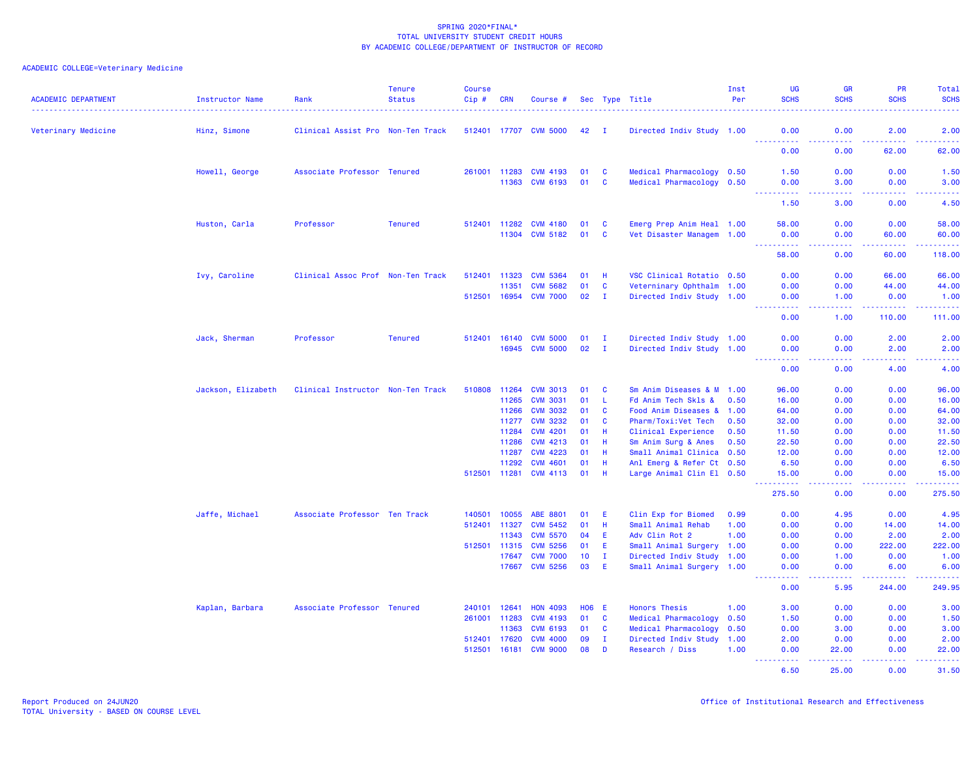| <b>ACADEMIC DEPARTMENT</b> | Instructor Name    | Rank                              | <b>Tenure</b><br><b>Status</b> | <b>Course</b><br>$Cip$ # | <b>CRN</b>            | Course #                           |               |               | Sec Type Title                                         | Inst<br>Per | <b>UG</b><br><b>SCHS</b>                                                                                                                                       | <b>GR</b><br><b>SCHS</b>                                                                                                          | PR<br><b>SCHS</b>                                                                                                                                             | Total<br><b>SCHS</b>                                                                                                                                         |
|----------------------------|--------------------|-----------------------------------|--------------------------------|--------------------------|-----------------------|------------------------------------|---------------|---------------|--------------------------------------------------------|-------------|----------------------------------------------------------------------------------------------------------------------------------------------------------------|-----------------------------------------------------------------------------------------------------------------------------------|---------------------------------------------------------------------------------------------------------------------------------------------------------------|--------------------------------------------------------------------------------------------------------------------------------------------------------------|
| Veterinary Medicine        | Hinz, Simone       | Clinical Assist Pro Non-Ten Track |                                |                          |                       | 512401 17707 CVM 5000              | 42            | $\mathbf{I}$  | Directed Indiv Study 1.00                              |             | 0.00                                                                                                                                                           | 0.00                                                                                                                              | 2.00                                                                                                                                                          | 2.00                                                                                                                                                         |
|                            |                    |                                   |                                |                          |                       |                                    |               |               |                                                        |             | .<br>0.00                                                                                                                                                      | د د د د<br>0.00                                                                                                                   | 22222<br>62.00                                                                                                                                                | $\frac{1}{2} \left( \frac{1}{2} \right) \left( \frac{1}{2} \right) \left( \frac{1}{2} \right) \left( \frac{1}{2} \right)$<br>62.00                           |
|                            | Howell, George     | Associate Professor Tenured       |                                |                          | 261001 11283<br>11363 | <b>CVM 4193</b><br><b>CVM 6193</b> | 01<br>01      | <b>C</b><br>C | Medical Pharmacology 0.50<br>Medical Pharmacology 0.50 |             | 1.50<br>0.00                                                                                                                                                   | 0.00<br>3.00                                                                                                                      | 0.00<br>0.00                                                                                                                                                  | 1.50<br>3.00                                                                                                                                                 |
|                            |                    |                                   |                                |                          |                       |                                    |               |               |                                                        |             | $\frac{1}{2} \left( \frac{1}{2} \right) \left( \frac{1}{2} \right) \left( \frac{1}{2} \right) \left( \frac{1}{2} \right) \left( \frac{1}{2} \right)$<br>1.50   | 2222<br>3.00                                                                                                                      | $\sim$ $\sim$ $\sim$ $\sim$<br>0.00                                                                                                                           | .<br>4.50                                                                                                                                                    |
|                            | Huston, Carla      | Professor                         | <b>Tenured</b>                 |                          | 512401 11282          | <b>CVM 4180</b>                    | 01            | <b>C</b>      | Emerg Prep Anim Heal 1.00                              |             | 58.00                                                                                                                                                          | 0.00                                                                                                                              | 0.00                                                                                                                                                          | 58.00                                                                                                                                                        |
|                            |                    |                                   |                                |                          | 11304                 | <b>CVM 5182</b>                    | 01            | <b>C</b>      | Vet Disaster Managem 1.00                              |             | 0.00<br>.                                                                                                                                                      | 0.00<br>د د د د                                                                                                                   | 60.00<br>$\frac{1}{2} \left( \frac{1}{2} \right) \left( \frac{1}{2} \right) \left( \frac{1}{2} \right) \left( \frac{1}{2} \right) \left( \frac{1}{2} \right)$ | 60.00<br>.                                                                                                                                                   |
|                            |                    |                                   |                                |                          |                       |                                    |               |               |                                                        |             | 58.00                                                                                                                                                          | 0.00                                                                                                                              | 60.00                                                                                                                                                         | 118.00                                                                                                                                                       |
|                            | Ivy, Caroline      | Clinical Assoc Prof Non-Ten Track |                                | 512401                   | 11323<br>11351        | <b>CVM 5364</b><br><b>CVM 5682</b> | 01<br>01      | H<br><b>C</b> | VSC Clinical Rotatio 0.50<br>Veterninary Ophthalm 1.00 |             | 0.00<br>0.00                                                                                                                                                   | 0.00<br>0.00                                                                                                                      | 66.00<br>44.00                                                                                                                                                | 66.00<br>44.00                                                                                                                                               |
|                            |                    |                                   |                                | 512501 16954             |                       | <b>CVM 7000</b>                    | $02 \qquad I$ |               | Directed Indiv Study 1.00                              |             | 0.00<br>.                                                                                                                                                      | 1.00<br>.                                                                                                                         | 0.00<br><b><i><u><u>.</u></u></i></b>                                                                                                                         | 1.00<br>.                                                                                                                                                    |
|                            |                    |                                   |                                |                          |                       |                                    |               |               |                                                        |             | 0.00                                                                                                                                                           | 1.00                                                                                                                              | 110.00                                                                                                                                                        | 111.00                                                                                                                                                       |
|                            | Jack, Sherman      | Professor                         | <b>Tenured</b>                 | 512401                   | 16140                 | <b>CVM 5000</b>                    | 01            | $\mathbf{I}$  | Directed Indiv Study 1.00                              |             | 0.00                                                                                                                                                           | 0.00                                                                                                                              | 2.00                                                                                                                                                          | 2.00                                                                                                                                                         |
|                            |                    |                                   |                                |                          | 16945                 | <b>CVM 5000</b>                    | 02            | I.            | Directed Indiv Study 1.00                              |             | 0.00<br>.                                                                                                                                                      | 0.00<br>$\sim$ $\sim$ $\sim$ $\sim$                                                                                               | 2.00<br>د د د د                                                                                                                                               | 2.00<br>$\frac{1}{2} \left( \frac{1}{2} \right) \left( \frac{1}{2} \right) \left( \frac{1}{2} \right) \left( \frac{1}{2} \right) \left( \frac{1}{2} \right)$ |
|                            |                    |                                   |                                |                          |                       |                                    |               |               |                                                        |             | 0.00                                                                                                                                                           | 0.00                                                                                                                              | 4.00                                                                                                                                                          | 4.00                                                                                                                                                         |
|                            | Jackson, Elizabeth | Clinical Instructor Non-Ten Track |                                | 510808                   | 11264                 | <b>CVM 3013</b>                    | 01            | C             | Sm Anim Diseases & M 1.00                              |             | 96.00                                                                                                                                                          | 0.00                                                                                                                              | 0.00                                                                                                                                                          | 96.00                                                                                                                                                        |
|                            |                    |                                   |                                |                          | 11265                 | <b>CVM 3031</b>                    | 01            | L.            | Fd Anim Tech Skls &                                    | 0.50        | 16.00                                                                                                                                                          | 0.00                                                                                                                              | 0.00                                                                                                                                                          | 16.00                                                                                                                                                        |
|                            |                    |                                   |                                |                          | 11266                 | <b>CVM 3032</b>                    | 01            | C             | Food Anim Diseases & 1.00                              |             | 64.00                                                                                                                                                          | 0.00                                                                                                                              | 0.00                                                                                                                                                          | 64.00                                                                                                                                                        |
|                            |                    |                                   |                                |                          | 11277                 | <b>CVM 3232</b>                    | 01            | C             | Pharm/Toxi:Vet Tech                                    | 0.50        | 32.00                                                                                                                                                          | 0.00                                                                                                                              | 0.00                                                                                                                                                          | 32.00                                                                                                                                                        |
|                            |                    |                                   |                                |                          | 11284                 | <b>CVM 4201</b>                    | 01            | H             | Clinical Experience                                    | 0.50        | 11.50                                                                                                                                                          | 0.00                                                                                                                              | 0.00                                                                                                                                                          | 11.50                                                                                                                                                        |
|                            |                    |                                   |                                |                          | 11286                 | <b>CVM 4213</b>                    | 01            | H             | Sm Anim Surg & Anes                                    | 0.50        | 22.50                                                                                                                                                          | 0.00                                                                                                                              | 0.00                                                                                                                                                          | 22.50                                                                                                                                                        |
|                            |                    |                                   |                                |                          | 11287                 | <b>CVM 4223</b>                    | 01            | H             | Small Animal Clinica 0.50                              |             | 12.00                                                                                                                                                          | 0.00                                                                                                                              | 0.00                                                                                                                                                          | 12.00                                                                                                                                                        |
|                            |                    |                                   |                                | 512501 11281             | 11292                 | <b>CVM 4601</b><br><b>CVM 4113</b> | 01<br>01      | H<br>H        | Anl Emerg & Refer Ct 0.50<br>Large Animal Clin El 0.50 |             | 6.50<br>15.00                                                                                                                                                  | 0.00<br>0.00                                                                                                                      | 0.00<br>0.00                                                                                                                                                  | 6.50<br>15.00                                                                                                                                                |
|                            |                    |                                   |                                |                          |                       |                                    |               |               |                                                        |             | $\frac{1}{2} \left( \frac{1}{2} \right) \left( \frac{1}{2} \right) \left( \frac{1}{2} \right) \left( \frac{1}{2} \right) \left( \frac{1}{2} \right)$<br>275.50 | $\frac{1}{2} \left( \frac{1}{2} \right) \left( \frac{1}{2} \right) \left( \frac{1}{2} \right) \left( \frac{1}{2} \right)$<br>0.00 | د د د د<br>0.00                                                                                                                                               | .<br>275.50                                                                                                                                                  |
|                            | Jaffe, Michael     | Associate Professor Ten Track     |                                | 140501                   | 10055                 | ABE 8801                           | 01            | Е             | Clin Exp for Biomed                                    | 0.99        | 0.00                                                                                                                                                           | 4.95                                                                                                                              | 0.00                                                                                                                                                          | 4.95                                                                                                                                                         |
|                            |                    |                                   |                                | 512401                   | 11327                 | <b>CVM 5452</b>                    | 01            | H             | Small Animal Rehab                                     | 1.00        | 0.00                                                                                                                                                           | 0.00                                                                                                                              | 14.00                                                                                                                                                         | 14.00                                                                                                                                                        |
|                            |                    |                                   |                                |                          | 11343                 | <b>CVM 5570</b>                    | 04            | E             | Adv Clin Rot 2                                         | 1.00        | 0.00                                                                                                                                                           | 0.00                                                                                                                              | 2.00                                                                                                                                                          | 2.00                                                                                                                                                         |
|                            |                    |                                   |                                | 512501 11315             |                       | <b>CVM 5256</b>                    | 01            | Ε             | Small Animal Surgery 1.00                              |             | 0.00                                                                                                                                                           | 0.00                                                                                                                              | 222.00                                                                                                                                                        | 222.00                                                                                                                                                       |
|                            |                    |                                   |                                |                          | 17647                 | <b>CVM 7000</b>                    | 10            | $\mathbf{I}$  | Directed Indiv Study 1.00                              |             | 0.00                                                                                                                                                           | 1.00                                                                                                                              | 0.00                                                                                                                                                          | 1.00                                                                                                                                                         |
|                            |                    |                                   |                                |                          | 17667                 | <b>CVM 5256</b>                    | 03            | E             | Small Animal Surgery 1.00                              |             | 0.00<br>.                                                                                                                                                      | 0.00<br>د د د د                                                                                                                   | 6.00<br>.                                                                                                                                                     | 6.00<br>.                                                                                                                                                    |
|                            |                    |                                   |                                |                          |                       |                                    |               |               |                                                        |             | 0.00                                                                                                                                                           | 5.95                                                                                                                              | 244.00                                                                                                                                                        | 249.95                                                                                                                                                       |
|                            | Kaplan, Barbara    | Associate Professor Tenured       |                                | 240101                   | 12641                 | <b>HON 4093</b>                    | <b>HO6 E</b>  |               | <b>Honors Thesis</b>                                   | 1.00        | 3.00                                                                                                                                                           | 0.00                                                                                                                              | 0.00                                                                                                                                                          | 3.00                                                                                                                                                         |
|                            |                    |                                   |                                | 261001                   | 11283                 | <b>CVM 4193</b>                    | 01            | C             | Medical Pharmacology                                   | 0.50        | 1.50                                                                                                                                                           | 0.00                                                                                                                              | 0.00                                                                                                                                                          | 1.50                                                                                                                                                         |
|                            |                    |                                   |                                |                          | 11363                 | <b>CVM 6193</b>                    | 01            | C             | Medical Pharmacology                                   | 0.50        | 0.00                                                                                                                                                           | 3.00                                                                                                                              | 0.00                                                                                                                                                          | 3.00                                                                                                                                                         |
|                            |                    |                                   |                                | 512401                   | 17620                 | <b>CVM 4000</b>                    | 09            | $\mathbf{I}$  | Directed Indiv Study                                   | 1.00        | 2.00                                                                                                                                                           | 0.00                                                                                                                              | 0.00                                                                                                                                                          | 2.00                                                                                                                                                         |
|                            |                    |                                   |                                | 512501                   | 16181                 | <b>CVM 9000</b>                    | 08            | D             | Research / Diss                                        | 1.00        | 0.00                                                                                                                                                           | 22.00                                                                                                                             | 0.00<br>.                                                                                                                                                     | 22.00<br>.                                                                                                                                                   |
|                            |                    |                                   |                                |                          |                       |                                    |               |               |                                                        |             | 6.50                                                                                                                                                           | 25.00                                                                                                                             | 0.00                                                                                                                                                          | 31.50                                                                                                                                                        |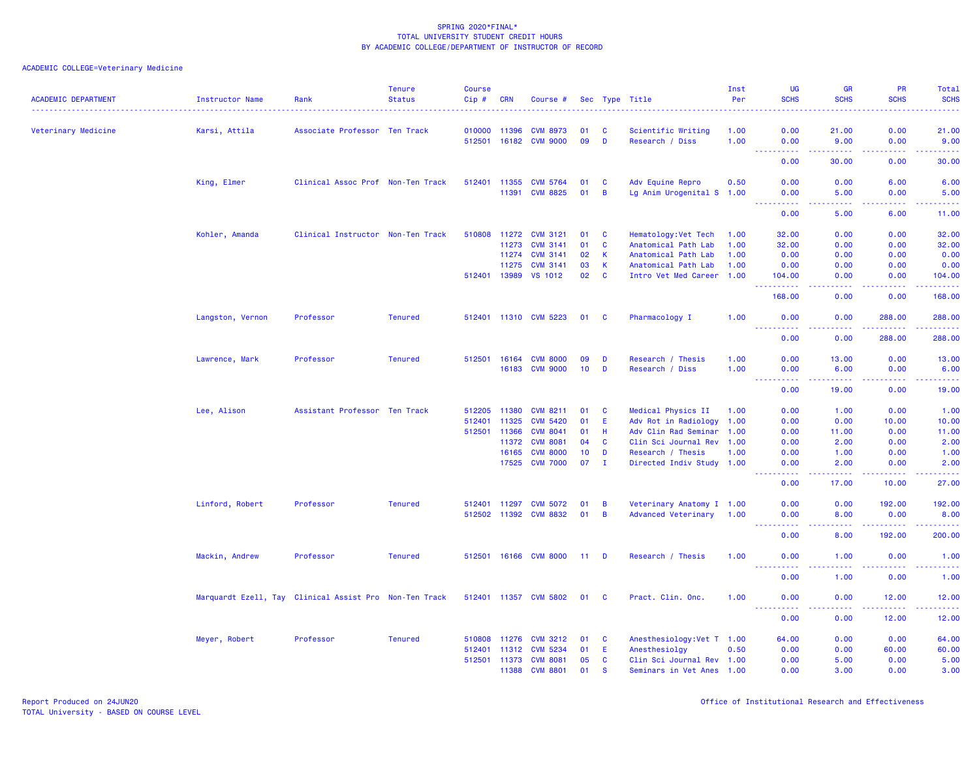| Veterinary Medicine<br>Karsi, Attila<br>Associate Professor Ten Track<br>010000<br>11396<br><b>CVM 8973</b><br>01<br>C<br>Scientific Writing<br>1.00<br>0.00<br>21.00<br>0.00<br>21.00<br>09<br>$\overline{D}$<br>512501<br>16182<br><b>CVM 9000</b><br>Research / Diss<br>1.00<br>0.00<br>9.00<br>0.00<br>9.00<br>.<br>د د د د د<br>.<br>د د د د د<br>---<br>0.00<br>30.00<br>0.00<br>30.00<br>King, Elmer<br>Clinical Assoc Prof Non-Ten Track<br>512401<br><b>CVM 5764</b><br>01<br>Adv Equine Repro<br>0.50<br>0.00<br>0.00<br>6.00<br>6.00<br>11355<br>C<br><b>CVM 8825</b><br>01<br>B<br>0.00<br>11391<br>Lg Anim Urogenital S 1.00<br>0.00<br>5.00<br>5.00<br><u> - - - - - - - - - -</u><br>الداليات الداري<br>.<br>.<br>0.00<br>5.00<br>6.00<br>11.00<br>510808 11272<br>Kohler, Amanda<br>Clinical Instructor Non-Ten Track<br><b>CVM 3121</b><br>01<br>C<br>Hematology: Vet Tech<br>1.00<br>32.00<br>0.00<br>0.00<br>32.00<br>01<br>C<br>32.00<br>0.00<br>32.00<br>11273<br><b>CVM 3141</b><br>Anatomical Path Lab<br>1.00<br>0.00<br>11274<br><b>CVM 3141</b><br>02<br>K<br>Anatomical Path Lab<br>0.00<br>1.00<br>0.00<br>0.00<br>0.00<br>11275<br><b>CVM 3141</b><br>03<br>$\mathsf K$<br>Anatomical Path Lab<br>0.00<br>0.00<br>1.00<br>0.00<br>0.00<br>$\mathbf{C}$<br>512401 13989<br>VS 1012<br>02<br>Intro Vet Med Career 1.00<br>104.00<br>0.00<br>0.00<br>104.00<br>22222<br>2.2.2.2.2.2<br>. <u>.</u><br>.<br>168.00<br>0.00<br>0.00<br>168.00<br>Langston, Vernon<br>Professor<br><b>Tenured</b><br>512401 11310 CVM 5223<br>Pharmacology I<br>1.00<br>288.00<br>288.00<br>01<br>C<br>0.00<br>0.00<br>2.2.2.2.2.2<br>.<br>.<br>$- - - - - - -$<br>288.00<br>0.00<br>0.00<br>288.00<br><b>Tenured</b><br>Lawrence, Mark<br>Professor<br>512501<br>16164<br><b>CVM 8000</b><br>09<br>D<br>Research / Thesis<br>1.00<br>0.00<br>13.00<br>0.00<br>13.00<br>10 <sub>1</sub><br>16183<br><b>CVM 9000</b><br>$\mathbf{D}$<br>Research / Diss<br>1.00<br>0.00<br>6.00<br>0.00<br>6.00<br>$   -$<br>$  -$<br>$-1$<br>0.00<br>19.00<br>0.00<br>19.00<br>Lee, Alison<br>Assistant Professor Ten Track<br>512205<br>11380<br><b>CVM 8211</b><br>Medical Physics II<br>0.00<br>1.00<br>01<br><b>C</b><br>1.00<br>0.00<br>1.00<br>11325<br><b>CVM 5420</b><br>E<br>Adv Rot in Radiology<br>512401<br>01<br>1.00<br>0.00<br>0.00<br>10.00<br>10.00<br>01<br>H<br>Adv Clin Rad Seminar<br>11.00<br>512501<br>11366<br><b>CVM 8041</b><br>1.00<br>0.00<br>11.00<br>0.00<br>11372<br><b>CVM 8081</b><br>04<br><b>C</b><br>Clin Sci Journal Rev 1.00<br>0.00<br>2.00<br>0.00<br>2.00<br>16165<br><b>CVM 8000</b><br>10<br>D<br>Research / Thesis<br>0.00<br>1.00<br>1.00<br>0.00<br>1.00<br><b>CVM 7000</b><br>07<br>17525<br>$\mathbf{I}$<br>Directed Indiv Study 1.00<br>2.00<br>0.00<br>2.00<br>0.00<br>.<br>د د د د .<br>.<br>والمستناب<br>0.00<br>27.00<br>17.00<br>10.00<br>Linford, Robert<br><b>CVM 5072</b><br>192.00<br>Professor<br><b>Tenured</b><br>512401<br>11297<br>01<br>B<br>Veterinary Anatomy I 1.00<br>0.00<br>0.00<br>192.00<br>512502 11392<br><b>CVM 8832</b><br>01<br>B<br>Advanced Veterinary<br>8.00<br>0.00<br>8.00<br>1.00<br>0.00<br>.<br>2.2.2.2.2<br>$\frac{1}{2} \left( \frac{1}{2} \right) \left( \frac{1}{2} \right) \left( \frac{1}{2} \right) \left( \frac{1}{2} \right) \left( \frac{1}{2} \right)$<br>المتمام المالية<br>$\sim 100$<br>0.00<br>8.00<br>192.00<br>200.00<br>Mackin, Andrew<br><b>Tenured</b><br>Professor<br>512501<br>16166<br><b>CVM 8000</b><br>11 <sub>1</sub><br>D<br>Research / Thesis<br>1.00<br>0.00<br>1.00<br>0.00<br>1.00<br>د د د د د<br>$\sim$ $\sim$ $\sim$ $\sim$<br>والمستناب<br>0.00<br>1.00<br>0.00<br>1.00<br>Marquardt Ezell, Tay Clinical Assist Pro Non-Ten Track<br>512401<br>11357 CVM 5802<br>Pract. Clin. Onc.<br>12.00<br>01<br><b>C</b><br>1.00<br>0.00<br>0.00<br>12.00<br><u>.</u><br>د د د د د<br>.<br>.<br>0.00<br>0.00<br>12.00<br>12.00<br><b>Tenured</b><br>510808<br>Anesthesiology: Vet T 1.00<br>0.00<br>0.00<br>64.00<br>Meyer, Robert<br>Professor<br>11276<br><b>CVM 3212</b><br>01<br>C<br>64.00<br><b>CVM 5234</b><br>01<br>E<br>0.50<br>0.00<br>60.00<br>60.00<br>512401<br>11312<br>Anesthesiolgy<br>0.00<br>512501<br>11373<br><b>CVM 8081</b><br>5.00<br>05<br>C<br>Clin Sci Journal Rev 1.00<br>0.00<br>5.00<br>0.00<br><b>CVM 8801</b><br>01<br>11388<br><b>S</b><br>Seminars in Vet Anes 1.00<br>0.00<br>3.00<br>0.00<br>3.00 | <b>ACADEMIC DEPARTMENT</b> | Instructor Name | Rank | <b>Tenure</b><br><b>Status</b> | <b>Course</b><br>Cip # | <b>CRN</b> | Course # |  | Sec Type Title | Inst<br>Per | <b>UG</b><br><b>SCHS</b> | <b>GR</b><br><b>SCHS</b> | <b>PR</b><br><b>SCHS</b> | Total<br><b>SCHS</b> |
|-------------------------------------------------------------------------------------------------------------------------------------------------------------------------------------------------------------------------------------------------------------------------------------------------------------------------------------------------------------------------------------------------------------------------------------------------------------------------------------------------------------------------------------------------------------------------------------------------------------------------------------------------------------------------------------------------------------------------------------------------------------------------------------------------------------------------------------------------------------------------------------------------------------------------------------------------------------------------------------------------------------------------------------------------------------------------------------------------------------------------------------------------------------------------------------------------------------------------------------------------------------------------------------------------------------------------------------------------------------------------------------------------------------------------------------------------------------------------------------------------------------------------------------------------------------------------------------------------------------------------------------------------------------------------------------------------------------------------------------------------------------------------------------------------------------------------------------------------------------------------------------------------------------------------------------------------------------------------------------------------------------------------------------------------------------------------------------------------------------------------------------------------------------------------------------------------------------------------------------------------------------------------------------------------------------------------------------------------------------------------------------------------------------------------------------------------------------------------------------------------------------------------------------------------------------------------------------------------------------------------------------------------------------------------------------------------------------------------------------------------------------------------------------------------------------------------------------------------------------------------------------------------------------------------------------------------------------------------------------------------------------------------------------------------------------------------------------------------------------------------------------------------------------------------------------------------------------------------------------------------------------------------------------------------------------------------------------------------------------------------------------------------------------------------------------------------------------------------------------------------------------------------------------------------------------------------------------------------------------------------------------------------------------------------------------------------------------------------------------------------------------------------------------------------------------------------------------------------------------------------------------------------------------------------------------------------------------------------------------------------------------------------------------------------------------------------------------------------------------------------------------------------------------------------------------------------------------------------------------------------------------------------------------------------------------------------------------------------------------------------------------------------------------------------------------------|----------------------------|-----------------|------|--------------------------------|------------------------|------------|----------|--|----------------|-------------|--------------------------|--------------------------|--------------------------|----------------------|
|                                                                                                                                                                                                                                                                                                                                                                                                                                                                                                                                                                                                                                                                                                                                                                                                                                                                                                                                                                                                                                                                                                                                                                                                                                                                                                                                                                                                                                                                                                                                                                                                                                                                                                                                                                                                                                                                                                                                                                                                                                                                                                                                                                                                                                                                                                                                                                                                                                                                                                                                                                                                                                                                                                                                                                                                                                                                                                                                                                                                                                                                                                                                                                                                                                                                                                                                                                                                                                                                                                                                                                                                                                                                                                                                                                                                                                                                                                                                                                                                                                                                                                                                                                                                                                                                                                                                                                                                                                           |                            |                 |      |                                |                        |            |          |  |                |             |                          |                          |                          |                      |
|                                                                                                                                                                                                                                                                                                                                                                                                                                                                                                                                                                                                                                                                                                                                                                                                                                                                                                                                                                                                                                                                                                                                                                                                                                                                                                                                                                                                                                                                                                                                                                                                                                                                                                                                                                                                                                                                                                                                                                                                                                                                                                                                                                                                                                                                                                                                                                                                                                                                                                                                                                                                                                                                                                                                                                                                                                                                                                                                                                                                                                                                                                                                                                                                                                                                                                                                                                                                                                                                                                                                                                                                                                                                                                                                                                                                                                                                                                                                                                                                                                                                                                                                                                                                                                                                                                                                                                                                                                           |                            |                 |      |                                |                        |            |          |  |                |             |                          |                          |                          |                      |
|                                                                                                                                                                                                                                                                                                                                                                                                                                                                                                                                                                                                                                                                                                                                                                                                                                                                                                                                                                                                                                                                                                                                                                                                                                                                                                                                                                                                                                                                                                                                                                                                                                                                                                                                                                                                                                                                                                                                                                                                                                                                                                                                                                                                                                                                                                                                                                                                                                                                                                                                                                                                                                                                                                                                                                                                                                                                                                                                                                                                                                                                                                                                                                                                                                                                                                                                                                                                                                                                                                                                                                                                                                                                                                                                                                                                                                                                                                                                                                                                                                                                                                                                                                                                                                                                                                                                                                                                                                           |                            |                 |      |                                |                        |            |          |  |                |             |                          |                          |                          |                      |
|                                                                                                                                                                                                                                                                                                                                                                                                                                                                                                                                                                                                                                                                                                                                                                                                                                                                                                                                                                                                                                                                                                                                                                                                                                                                                                                                                                                                                                                                                                                                                                                                                                                                                                                                                                                                                                                                                                                                                                                                                                                                                                                                                                                                                                                                                                                                                                                                                                                                                                                                                                                                                                                                                                                                                                                                                                                                                                                                                                                                                                                                                                                                                                                                                                                                                                                                                                                                                                                                                                                                                                                                                                                                                                                                                                                                                                                                                                                                                                                                                                                                                                                                                                                                                                                                                                                                                                                                                                           |                            |                 |      |                                |                        |            |          |  |                |             |                          |                          |                          |                      |
|                                                                                                                                                                                                                                                                                                                                                                                                                                                                                                                                                                                                                                                                                                                                                                                                                                                                                                                                                                                                                                                                                                                                                                                                                                                                                                                                                                                                                                                                                                                                                                                                                                                                                                                                                                                                                                                                                                                                                                                                                                                                                                                                                                                                                                                                                                                                                                                                                                                                                                                                                                                                                                                                                                                                                                                                                                                                                                                                                                                                                                                                                                                                                                                                                                                                                                                                                                                                                                                                                                                                                                                                                                                                                                                                                                                                                                                                                                                                                                                                                                                                                                                                                                                                                                                                                                                                                                                                                                           |                            |                 |      |                                |                        |            |          |  |                |             |                          |                          |                          |                      |
|                                                                                                                                                                                                                                                                                                                                                                                                                                                                                                                                                                                                                                                                                                                                                                                                                                                                                                                                                                                                                                                                                                                                                                                                                                                                                                                                                                                                                                                                                                                                                                                                                                                                                                                                                                                                                                                                                                                                                                                                                                                                                                                                                                                                                                                                                                                                                                                                                                                                                                                                                                                                                                                                                                                                                                                                                                                                                                                                                                                                                                                                                                                                                                                                                                                                                                                                                                                                                                                                                                                                                                                                                                                                                                                                                                                                                                                                                                                                                                                                                                                                                                                                                                                                                                                                                                                                                                                                                                           |                            |                 |      |                                |                        |            |          |  |                |             |                          |                          |                          |                      |
|                                                                                                                                                                                                                                                                                                                                                                                                                                                                                                                                                                                                                                                                                                                                                                                                                                                                                                                                                                                                                                                                                                                                                                                                                                                                                                                                                                                                                                                                                                                                                                                                                                                                                                                                                                                                                                                                                                                                                                                                                                                                                                                                                                                                                                                                                                                                                                                                                                                                                                                                                                                                                                                                                                                                                                                                                                                                                                                                                                                                                                                                                                                                                                                                                                                                                                                                                                                                                                                                                                                                                                                                                                                                                                                                                                                                                                                                                                                                                                                                                                                                                                                                                                                                                                                                                                                                                                                                                                           |                            |                 |      |                                |                        |            |          |  |                |             |                          |                          |                          |                      |
|                                                                                                                                                                                                                                                                                                                                                                                                                                                                                                                                                                                                                                                                                                                                                                                                                                                                                                                                                                                                                                                                                                                                                                                                                                                                                                                                                                                                                                                                                                                                                                                                                                                                                                                                                                                                                                                                                                                                                                                                                                                                                                                                                                                                                                                                                                                                                                                                                                                                                                                                                                                                                                                                                                                                                                                                                                                                                                                                                                                                                                                                                                                                                                                                                                                                                                                                                                                                                                                                                                                                                                                                                                                                                                                                                                                                                                                                                                                                                                                                                                                                                                                                                                                                                                                                                                                                                                                                                                           |                            |                 |      |                                |                        |            |          |  |                |             |                          |                          |                          |                      |
|                                                                                                                                                                                                                                                                                                                                                                                                                                                                                                                                                                                                                                                                                                                                                                                                                                                                                                                                                                                                                                                                                                                                                                                                                                                                                                                                                                                                                                                                                                                                                                                                                                                                                                                                                                                                                                                                                                                                                                                                                                                                                                                                                                                                                                                                                                                                                                                                                                                                                                                                                                                                                                                                                                                                                                                                                                                                                                                                                                                                                                                                                                                                                                                                                                                                                                                                                                                                                                                                                                                                                                                                                                                                                                                                                                                                                                                                                                                                                                                                                                                                                                                                                                                                                                                                                                                                                                                                                                           |                            |                 |      |                                |                        |            |          |  |                |             |                          |                          |                          |                      |
|                                                                                                                                                                                                                                                                                                                                                                                                                                                                                                                                                                                                                                                                                                                                                                                                                                                                                                                                                                                                                                                                                                                                                                                                                                                                                                                                                                                                                                                                                                                                                                                                                                                                                                                                                                                                                                                                                                                                                                                                                                                                                                                                                                                                                                                                                                                                                                                                                                                                                                                                                                                                                                                                                                                                                                                                                                                                                                                                                                                                                                                                                                                                                                                                                                                                                                                                                                                                                                                                                                                                                                                                                                                                                                                                                                                                                                                                                                                                                                                                                                                                                                                                                                                                                                                                                                                                                                                                                                           |                            |                 |      |                                |                        |            |          |  |                |             |                          |                          |                          |                      |
|                                                                                                                                                                                                                                                                                                                                                                                                                                                                                                                                                                                                                                                                                                                                                                                                                                                                                                                                                                                                                                                                                                                                                                                                                                                                                                                                                                                                                                                                                                                                                                                                                                                                                                                                                                                                                                                                                                                                                                                                                                                                                                                                                                                                                                                                                                                                                                                                                                                                                                                                                                                                                                                                                                                                                                                                                                                                                                                                                                                                                                                                                                                                                                                                                                                                                                                                                                                                                                                                                                                                                                                                                                                                                                                                                                                                                                                                                                                                                                                                                                                                                                                                                                                                                                                                                                                                                                                                                                           |                            |                 |      |                                |                        |            |          |  |                |             |                          |                          |                          |                      |
|                                                                                                                                                                                                                                                                                                                                                                                                                                                                                                                                                                                                                                                                                                                                                                                                                                                                                                                                                                                                                                                                                                                                                                                                                                                                                                                                                                                                                                                                                                                                                                                                                                                                                                                                                                                                                                                                                                                                                                                                                                                                                                                                                                                                                                                                                                                                                                                                                                                                                                                                                                                                                                                                                                                                                                                                                                                                                                                                                                                                                                                                                                                                                                                                                                                                                                                                                                                                                                                                                                                                                                                                                                                                                                                                                                                                                                                                                                                                                                                                                                                                                                                                                                                                                                                                                                                                                                                                                                           |                            |                 |      |                                |                        |            |          |  |                |             |                          |                          |                          |                      |
|                                                                                                                                                                                                                                                                                                                                                                                                                                                                                                                                                                                                                                                                                                                                                                                                                                                                                                                                                                                                                                                                                                                                                                                                                                                                                                                                                                                                                                                                                                                                                                                                                                                                                                                                                                                                                                                                                                                                                                                                                                                                                                                                                                                                                                                                                                                                                                                                                                                                                                                                                                                                                                                                                                                                                                                                                                                                                                                                                                                                                                                                                                                                                                                                                                                                                                                                                                                                                                                                                                                                                                                                                                                                                                                                                                                                                                                                                                                                                                                                                                                                                                                                                                                                                                                                                                                                                                                                                                           |                            |                 |      |                                |                        |            |          |  |                |             |                          |                          |                          |                      |
|                                                                                                                                                                                                                                                                                                                                                                                                                                                                                                                                                                                                                                                                                                                                                                                                                                                                                                                                                                                                                                                                                                                                                                                                                                                                                                                                                                                                                                                                                                                                                                                                                                                                                                                                                                                                                                                                                                                                                                                                                                                                                                                                                                                                                                                                                                                                                                                                                                                                                                                                                                                                                                                                                                                                                                                                                                                                                                                                                                                                                                                                                                                                                                                                                                                                                                                                                                                                                                                                                                                                                                                                                                                                                                                                                                                                                                                                                                                                                                                                                                                                                                                                                                                                                                                                                                                                                                                                                                           |                            |                 |      |                                |                        |            |          |  |                |             |                          |                          |                          |                      |
|                                                                                                                                                                                                                                                                                                                                                                                                                                                                                                                                                                                                                                                                                                                                                                                                                                                                                                                                                                                                                                                                                                                                                                                                                                                                                                                                                                                                                                                                                                                                                                                                                                                                                                                                                                                                                                                                                                                                                                                                                                                                                                                                                                                                                                                                                                                                                                                                                                                                                                                                                                                                                                                                                                                                                                                                                                                                                                                                                                                                                                                                                                                                                                                                                                                                                                                                                                                                                                                                                                                                                                                                                                                                                                                                                                                                                                                                                                                                                                                                                                                                                                                                                                                                                                                                                                                                                                                                                                           |                            |                 |      |                                |                        |            |          |  |                |             |                          |                          |                          |                      |
|                                                                                                                                                                                                                                                                                                                                                                                                                                                                                                                                                                                                                                                                                                                                                                                                                                                                                                                                                                                                                                                                                                                                                                                                                                                                                                                                                                                                                                                                                                                                                                                                                                                                                                                                                                                                                                                                                                                                                                                                                                                                                                                                                                                                                                                                                                                                                                                                                                                                                                                                                                                                                                                                                                                                                                                                                                                                                                                                                                                                                                                                                                                                                                                                                                                                                                                                                                                                                                                                                                                                                                                                                                                                                                                                                                                                                                                                                                                                                                                                                                                                                                                                                                                                                                                                                                                                                                                                                                           |                            |                 |      |                                |                        |            |          |  |                |             |                          |                          |                          |                      |
|                                                                                                                                                                                                                                                                                                                                                                                                                                                                                                                                                                                                                                                                                                                                                                                                                                                                                                                                                                                                                                                                                                                                                                                                                                                                                                                                                                                                                                                                                                                                                                                                                                                                                                                                                                                                                                                                                                                                                                                                                                                                                                                                                                                                                                                                                                                                                                                                                                                                                                                                                                                                                                                                                                                                                                                                                                                                                                                                                                                                                                                                                                                                                                                                                                                                                                                                                                                                                                                                                                                                                                                                                                                                                                                                                                                                                                                                                                                                                                                                                                                                                                                                                                                                                                                                                                                                                                                                                                           |                            |                 |      |                                |                        |            |          |  |                |             |                          |                          |                          |                      |
|                                                                                                                                                                                                                                                                                                                                                                                                                                                                                                                                                                                                                                                                                                                                                                                                                                                                                                                                                                                                                                                                                                                                                                                                                                                                                                                                                                                                                                                                                                                                                                                                                                                                                                                                                                                                                                                                                                                                                                                                                                                                                                                                                                                                                                                                                                                                                                                                                                                                                                                                                                                                                                                                                                                                                                                                                                                                                                                                                                                                                                                                                                                                                                                                                                                                                                                                                                                                                                                                                                                                                                                                                                                                                                                                                                                                                                                                                                                                                                                                                                                                                                                                                                                                                                                                                                                                                                                                                                           |                            |                 |      |                                |                        |            |          |  |                |             |                          |                          |                          |                      |
|                                                                                                                                                                                                                                                                                                                                                                                                                                                                                                                                                                                                                                                                                                                                                                                                                                                                                                                                                                                                                                                                                                                                                                                                                                                                                                                                                                                                                                                                                                                                                                                                                                                                                                                                                                                                                                                                                                                                                                                                                                                                                                                                                                                                                                                                                                                                                                                                                                                                                                                                                                                                                                                                                                                                                                                                                                                                                                                                                                                                                                                                                                                                                                                                                                                                                                                                                                                                                                                                                                                                                                                                                                                                                                                                                                                                                                                                                                                                                                                                                                                                                                                                                                                                                                                                                                                                                                                                                                           |                            |                 |      |                                |                        |            |          |  |                |             |                          |                          |                          |                      |
|                                                                                                                                                                                                                                                                                                                                                                                                                                                                                                                                                                                                                                                                                                                                                                                                                                                                                                                                                                                                                                                                                                                                                                                                                                                                                                                                                                                                                                                                                                                                                                                                                                                                                                                                                                                                                                                                                                                                                                                                                                                                                                                                                                                                                                                                                                                                                                                                                                                                                                                                                                                                                                                                                                                                                                                                                                                                                                                                                                                                                                                                                                                                                                                                                                                                                                                                                                                                                                                                                                                                                                                                                                                                                                                                                                                                                                                                                                                                                                                                                                                                                                                                                                                                                                                                                                                                                                                                                                           |                            |                 |      |                                |                        |            |          |  |                |             |                          |                          |                          |                      |
|                                                                                                                                                                                                                                                                                                                                                                                                                                                                                                                                                                                                                                                                                                                                                                                                                                                                                                                                                                                                                                                                                                                                                                                                                                                                                                                                                                                                                                                                                                                                                                                                                                                                                                                                                                                                                                                                                                                                                                                                                                                                                                                                                                                                                                                                                                                                                                                                                                                                                                                                                                                                                                                                                                                                                                                                                                                                                                                                                                                                                                                                                                                                                                                                                                                                                                                                                                                                                                                                                                                                                                                                                                                                                                                                                                                                                                                                                                                                                                                                                                                                                                                                                                                                                                                                                                                                                                                                                                           |                            |                 |      |                                |                        |            |          |  |                |             |                          |                          |                          |                      |
|                                                                                                                                                                                                                                                                                                                                                                                                                                                                                                                                                                                                                                                                                                                                                                                                                                                                                                                                                                                                                                                                                                                                                                                                                                                                                                                                                                                                                                                                                                                                                                                                                                                                                                                                                                                                                                                                                                                                                                                                                                                                                                                                                                                                                                                                                                                                                                                                                                                                                                                                                                                                                                                                                                                                                                                                                                                                                                                                                                                                                                                                                                                                                                                                                                                                                                                                                                                                                                                                                                                                                                                                                                                                                                                                                                                                                                                                                                                                                                                                                                                                                                                                                                                                                                                                                                                                                                                                                                           |                            |                 |      |                                |                        |            |          |  |                |             |                          |                          |                          |                      |
|                                                                                                                                                                                                                                                                                                                                                                                                                                                                                                                                                                                                                                                                                                                                                                                                                                                                                                                                                                                                                                                                                                                                                                                                                                                                                                                                                                                                                                                                                                                                                                                                                                                                                                                                                                                                                                                                                                                                                                                                                                                                                                                                                                                                                                                                                                                                                                                                                                                                                                                                                                                                                                                                                                                                                                                                                                                                                                                                                                                                                                                                                                                                                                                                                                                                                                                                                                                                                                                                                                                                                                                                                                                                                                                                                                                                                                                                                                                                                                                                                                                                                                                                                                                                                                                                                                                                                                                                                                           |                            |                 |      |                                |                        |            |          |  |                |             |                          |                          |                          |                      |
|                                                                                                                                                                                                                                                                                                                                                                                                                                                                                                                                                                                                                                                                                                                                                                                                                                                                                                                                                                                                                                                                                                                                                                                                                                                                                                                                                                                                                                                                                                                                                                                                                                                                                                                                                                                                                                                                                                                                                                                                                                                                                                                                                                                                                                                                                                                                                                                                                                                                                                                                                                                                                                                                                                                                                                                                                                                                                                                                                                                                                                                                                                                                                                                                                                                                                                                                                                                                                                                                                                                                                                                                                                                                                                                                                                                                                                                                                                                                                                                                                                                                                                                                                                                                                                                                                                                                                                                                                                           |                            |                 |      |                                |                        |            |          |  |                |             |                          |                          |                          |                      |
|                                                                                                                                                                                                                                                                                                                                                                                                                                                                                                                                                                                                                                                                                                                                                                                                                                                                                                                                                                                                                                                                                                                                                                                                                                                                                                                                                                                                                                                                                                                                                                                                                                                                                                                                                                                                                                                                                                                                                                                                                                                                                                                                                                                                                                                                                                                                                                                                                                                                                                                                                                                                                                                                                                                                                                                                                                                                                                                                                                                                                                                                                                                                                                                                                                                                                                                                                                                                                                                                                                                                                                                                                                                                                                                                                                                                                                                                                                                                                                                                                                                                                                                                                                                                                                                                                                                                                                                                                                           |                            |                 |      |                                |                        |            |          |  |                |             |                          |                          |                          |                      |
|                                                                                                                                                                                                                                                                                                                                                                                                                                                                                                                                                                                                                                                                                                                                                                                                                                                                                                                                                                                                                                                                                                                                                                                                                                                                                                                                                                                                                                                                                                                                                                                                                                                                                                                                                                                                                                                                                                                                                                                                                                                                                                                                                                                                                                                                                                                                                                                                                                                                                                                                                                                                                                                                                                                                                                                                                                                                                                                                                                                                                                                                                                                                                                                                                                                                                                                                                                                                                                                                                                                                                                                                                                                                                                                                                                                                                                                                                                                                                                                                                                                                                                                                                                                                                                                                                                                                                                                                                                           |                            |                 |      |                                |                        |            |          |  |                |             |                          |                          |                          |                      |
|                                                                                                                                                                                                                                                                                                                                                                                                                                                                                                                                                                                                                                                                                                                                                                                                                                                                                                                                                                                                                                                                                                                                                                                                                                                                                                                                                                                                                                                                                                                                                                                                                                                                                                                                                                                                                                                                                                                                                                                                                                                                                                                                                                                                                                                                                                                                                                                                                                                                                                                                                                                                                                                                                                                                                                                                                                                                                                                                                                                                                                                                                                                                                                                                                                                                                                                                                                                                                                                                                                                                                                                                                                                                                                                                                                                                                                                                                                                                                                                                                                                                                                                                                                                                                                                                                                                                                                                                                                           |                            |                 |      |                                |                        |            |          |  |                |             |                          |                          |                          |                      |
|                                                                                                                                                                                                                                                                                                                                                                                                                                                                                                                                                                                                                                                                                                                                                                                                                                                                                                                                                                                                                                                                                                                                                                                                                                                                                                                                                                                                                                                                                                                                                                                                                                                                                                                                                                                                                                                                                                                                                                                                                                                                                                                                                                                                                                                                                                                                                                                                                                                                                                                                                                                                                                                                                                                                                                                                                                                                                                                                                                                                                                                                                                                                                                                                                                                                                                                                                                                                                                                                                                                                                                                                                                                                                                                                                                                                                                                                                                                                                                                                                                                                                                                                                                                                                                                                                                                                                                                                                                           |                            |                 |      |                                |                        |            |          |  |                |             |                          |                          |                          |                      |
|                                                                                                                                                                                                                                                                                                                                                                                                                                                                                                                                                                                                                                                                                                                                                                                                                                                                                                                                                                                                                                                                                                                                                                                                                                                                                                                                                                                                                                                                                                                                                                                                                                                                                                                                                                                                                                                                                                                                                                                                                                                                                                                                                                                                                                                                                                                                                                                                                                                                                                                                                                                                                                                                                                                                                                                                                                                                                                                                                                                                                                                                                                                                                                                                                                                                                                                                                                                                                                                                                                                                                                                                                                                                                                                                                                                                                                                                                                                                                                                                                                                                                                                                                                                                                                                                                                                                                                                                                                           |                            |                 |      |                                |                        |            |          |  |                |             |                          |                          |                          |                      |
|                                                                                                                                                                                                                                                                                                                                                                                                                                                                                                                                                                                                                                                                                                                                                                                                                                                                                                                                                                                                                                                                                                                                                                                                                                                                                                                                                                                                                                                                                                                                                                                                                                                                                                                                                                                                                                                                                                                                                                                                                                                                                                                                                                                                                                                                                                                                                                                                                                                                                                                                                                                                                                                                                                                                                                                                                                                                                                                                                                                                                                                                                                                                                                                                                                                                                                                                                                                                                                                                                                                                                                                                                                                                                                                                                                                                                                                                                                                                                                                                                                                                                                                                                                                                                                                                                                                                                                                                                                           |                            |                 |      |                                |                        |            |          |  |                |             |                          |                          |                          |                      |
|                                                                                                                                                                                                                                                                                                                                                                                                                                                                                                                                                                                                                                                                                                                                                                                                                                                                                                                                                                                                                                                                                                                                                                                                                                                                                                                                                                                                                                                                                                                                                                                                                                                                                                                                                                                                                                                                                                                                                                                                                                                                                                                                                                                                                                                                                                                                                                                                                                                                                                                                                                                                                                                                                                                                                                                                                                                                                                                                                                                                                                                                                                                                                                                                                                                                                                                                                                                                                                                                                                                                                                                                                                                                                                                                                                                                                                                                                                                                                                                                                                                                                                                                                                                                                                                                                                                                                                                                                                           |                            |                 |      |                                |                        |            |          |  |                |             |                          |                          |                          |                      |
|                                                                                                                                                                                                                                                                                                                                                                                                                                                                                                                                                                                                                                                                                                                                                                                                                                                                                                                                                                                                                                                                                                                                                                                                                                                                                                                                                                                                                                                                                                                                                                                                                                                                                                                                                                                                                                                                                                                                                                                                                                                                                                                                                                                                                                                                                                                                                                                                                                                                                                                                                                                                                                                                                                                                                                                                                                                                                                                                                                                                                                                                                                                                                                                                                                                                                                                                                                                                                                                                                                                                                                                                                                                                                                                                                                                                                                                                                                                                                                                                                                                                                                                                                                                                                                                                                                                                                                                                                                           |                            |                 |      |                                |                        |            |          |  |                |             |                          |                          |                          |                      |
|                                                                                                                                                                                                                                                                                                                                                                                                                                                                                                                                                                                                                                                                                                                                                                                                                                                                                                                                                                                                                                                                                                                                                                                                                                                                                                                                                                                                                                                                                                                                                                                                                                                                                                                                                                                                                                                                                                                                                                                                                                                                                                                                                                                                                                                                                                                                                                                                                                                                                                                                                                                                                                                                                                                                                                                                                                                                                                                                                                                                                                                                                                                                                                                                                                                                                                                                                                                                                                                                                                                                                                                                                                                                                                                                                                                                                                                                                                                                                                                                                                                                                                                                                                                                                                                                                                                                                                                                                                           |                            |                 |      |                                |                        |            |          |  |                |             |                          |                          |                          |                      |
|                                                                                                                                                                                                                                                                                                                                                                                                                                                                                                                                                                                                                                                                                                                                                                                                                                                                                                                                                                                                                                                                                                                                                                                                                                                                                                                                                                                                                                                                                                                                                                                                                                                                                                                                                                                                                                                                                                                                                                                                                                                                                                                                                                                                                                                                                                                                                                                                                                                                                                                                                                                                                                                                                                                                                                                                                                                                                                                                                                                                                                                                                                                                                                                                                                                                                                                                                                                                                                                                                                                                                                                                                                                                                                                                                                                                                                                                                                                                                                                                                                                                                                                                                                                                                                                                                                                                                                                                                                           |                            |                 |      |                                |                        |            |          |  |                |             |                          |                          |                          |                      |
|                                                                                                                                                                                                                                                                                                                                                                                                                                                                                                                                                                                                                                                                                                                                                                                                                                                                                                                                                                                                                                                                                                                                                                                                                                                                                                                                                                                                                                                                                                                                                                                                                                                                                                                                                                                                                                                                                                                                                                                                                                                                                                                                                                                                                                                                                                                                                                                                                                                                                                                                                                                                                                                                                                                                                                                                                                                                                                                                                                                                                                                                                                                                                                                                                                                                                                                                                                                                                                                                                                                                                                                                                                                                                                                                                                                                                                                                                                                                                                                                                                                                                                                                                                                                                                                                                                                                                                                                                                           |                            |                 |      |                                |                        |            |          |  |                |             |                          |                          |                          |                      |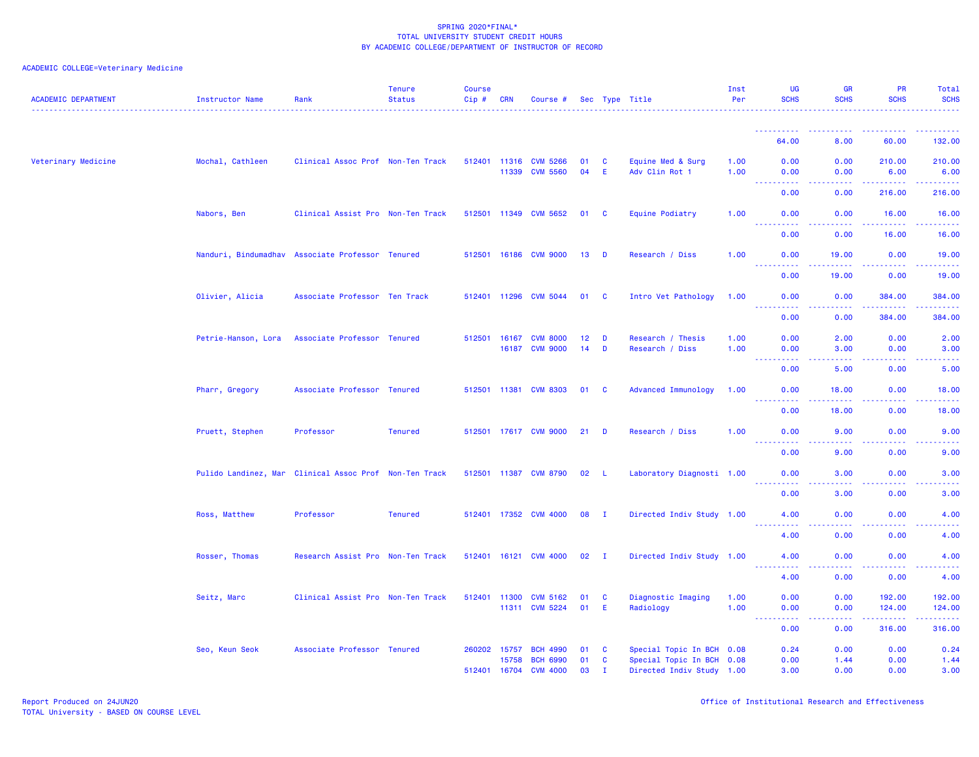| <b>ACADEMIC DEPARTMENT</b> | Instructor Name     | Rank                                                   | <b>Tenure</b><br><b>Status</b> | <b>Course</b><br>Cip# | <b>CRN</b>            | Course #                           |                 |                | Sec Type Title                      | Inst<br>Per  | <b>UG</b><br><b>SCHS</b>  | <b>GR</b><br><b>SCHS</b>                                                                               | <b>PR</b><br><b>SCHS</b> | Total<br><b>SCHS</b><br>.                                                                                                                                      |
|----------------------------|---------------------|--------------------------------------------------------|--------------------------------|-----------------------|-----------------------|------------------------------------|-----------------|----------------|-------------------------------------|--------------|---------------------------|--------------------------------------------------------------------------------------------------------|--------------------------|----------------------------------------------------------------------------------------------------------------------------------------------------------------|
|                            |                     |                                                        |                                |                       |                       |                                    |                 |                |                                     |              |                           |                                                                                                        |                          |                                                                                                                                                                |
|                            |                     |                                                        |                                |                       |                       |                                    |                 |                |                                     |              | 64.00                     | 8.00                                                                                                   | 60.00                    | 132.00                                                                                                                                                         |
| Veterinary Medicine        | Mochal, Cathleen    | Clinical Assoc Prof Non-Ten Track                      |                                |                       | 512401 11316<br>11339 | <b>CVM 5266</b><br><b>CVM 5560</b> | 01<br>04        | C<br>E         | Equine Med & Surg<br>Adv Clin Rot 1 | 1.00<br>1.00 | 0.00<br>0.00              | 0.00<br>0.00                                                                                           | 210.00<br>6.00           | 210.00<br>6.00                                                                                                                                                 |
|                            |                     |                                                        |                                |                       |                       |                                    |                 |                |                                     |              | المستما<br>0.00           | وبالمحام<br>0.00                                                                                       | .<br>216.00              | $\frac{1}{2} \left( \frac{1}{2} \right) \left( \frac{1}{2} \right) \left( \frac{1}{2} \right) \left( \frac{1}{2} \right) \left( \frac{1}{2} \right)$<br>216.00 |
|                            | Nabors, Ben         | Clinical Assist Pro Non-Ten Track                      |                                | 512501                |                       | 11349 CVM 5652                     | 01 C            |                | Equine Podiatry                     | 1.00         | 0.00                      | 0.00                                                                                                   | 16.00                    | 16.00                                                                                                                                                          |
|                            |                     |                                                        |                                |                       |                       |                                    |                 |                |                                     |              | 0.00                      | 0.00                                                                                                   | 16.00                    | 16.00                                                                                                                                                          |
|                            |                     | Nanduri, Bindumadhav Associate Professor Tenured       |                                |                       |                       | 512501 16186 CVM 9000              | 13              | D              | Research / Diss                     | 1.00         | 0.00<br><u>.</u>          | 19.00                                                                                                  | 0.00                     | 19.00<br>.                                                                                                                                                     |
|                            |                     |                                                        |                                |                       |                       |                                    |                 |                |                                     |              | 0.00                      | 19.00                                                                                                  | 0.00                     | 19.00                                                                                                                                                          |
|                            | Olivier, Alicia     | Associate Professor Ten Track                          |                                |                       | 512401 11296          | <b>CVM 5044</b>                    | 01 C            |                | Intro Vet Pathology                 | 1.00         | 0.00                      | 0.00                                                                                                   | 384.00                   | 384.00                                                                                                                                                         |
|                            |                     |                                                        |                                |                       |                       |                                    |                 |                |                                     |              | 0.00                      | 0.00                                                                                                   | 384.00                   | 384.00                                                                                                                                                         |
|                            | Petrie-Hanson, Lora | Associate Professor Tenured                            |                                | 512501                | 16167                 | <b>CVM 8000</b>                    | 12 <sub>2</sub> | D              | Research / Thesis                   | 1.00         | 0.00                      | 2.00                                                                                                   | 0.00                     | 2.00                                                                                                                                                           |
|                            |                     |                                                        |                                |                       | 16187                 | <b>CVM 9000</b>                    | 14              | D              | Research / Diss                     | 1.00         | 0.00                      | 3.00                                                                                                   | 0.00                     | 3.00                                                                                                                                                           |
|                            |                     |                                                        |                                |                       |                       |                                    |                 |                |                                     |              | 0.00                      | 5.00                                                                                                   | 0.00                     | 5.00                                                                                                                                                           |
|                            | Pharr, Gregory      | Associate Professor Tenured                            |                                |                       | 512501 11381          | <b>CVM 8303</b>                    | 01              | $\mathbf{C}$   | <b>Advanced Immunology</b>          | 1.00         | 0.00<br>$   -$<br>بالأباب | 18.00                                                                                                  | 0.00                     | 18.00                                                                                                                                                          |
|                            |                     |                                                        |                                |                       |                       |                                    |                 |                |                                     |              | 0.00                      | 18.00                                                                                                  | 0.00                     | 18.00                                                                                                                                                          |
|                            | Pruett, Stephen     | Professor                                              | <b>Tenured</b>                 |                       |                       | 512501 17617 CVM 9000              | 21              | D              | Research / Diss                     | 1.00         | 0.00<br>$   -$<br>2.2.2.2 | 9.00                                                                                                   | 0.00                     | 9.00                                                                                                                                                           |
|                            |                     |                                                        |                                |                       |                       |                                    |                 |                |                                     |              | 0.00                      | 9.00                                                                                                   | 0.00                     | 9.00                                                                                                                                                           |
|                            |                     | Pulido Landinez, Mar Clinical Assoc Prof Non-Ten Track |                                |                       |                       | 512501 11387 CVM 8790              | 02              | - L            | Laboratory Diagnosti 1.00           |              | 0.00<br><u>.</u>          | 3.00<br>$\frac{1}{2} \left( \frac{1}{2} \right) \left( \frac{1}{2} \right) \left( \frac{1}{2} \right)$ | 0.00<br><u>.</u>         | 3.00<br>$   -$                                                                                                                                                 |
|                            |                     |                                                        |                                |                       |                       |                                    |                 |                |                                     |              | 0.00                      | 3.00                                                                                                   | 0.00                     | 3.00                                                                                                                                                           |
|                            | Ross, Matthew       | Professor                                              | <b>Tenured</b>                 |                       |                       | 512401 17352 CVM 4000              | 08 I            |                | Directed Indiv Study 1.00           |              | 4.00<br><u>.</u>          | 0.00<br>$\frac{1}{2} \left( \frac{1}{2} \right) \left( \frac{1}{2} \right) \left( \frac{1}{2} \right)$ | 0.00<br>.                | 4.00<br>.                                                                                                                                                      |
|                            |                     |                                                        |                                |                       |                       |                                    |                 |                |                                     |              | 4.00                      | 0.00                                                                                                   | 0.00                     | 4.00                                                                                                                                                           |
|                            | Rosser, Thomas      | Research Assist Pro Non-Ten Track                      |                                |                       |                       | 512401 16121 CVM 4000              | 02              | $\blacksquare$ | Directed Indiv Study 1.00           |              | 4.00<br><u>.</u>          | 0.00<br>.                                                                                              | 0.00                     | 4.00                                                                                                                                                           |
|                            |                     |                                                        |                                |                       |                       |                                    |                 |                |                                     |              | 4.00                      | 0.00                                                                                                   | 0.00                     | 4.00                                                                                                                                                           |
|                            | Seitz, Marc         | Clinical Assist Pro Non-Ten Track                      |                                |                       | 512401 11300          | <b>CVM 5162</b>                    | 01              | C              | Diagnostic Imaging                  | 1.00         | 0.00                      | 0.00                                                                                                   | 192.00                   | 192.00                                                                                                                                                         |
|                            |                     |                                                        |                                |                       |                       | 11311 CVM 5224                     | 01              | E.             | Radiology                           | 1.00         | 0.00<br>.                 | 0.00<br>.                                                                                              | 124.00<br>.              | 124.00<br>.                                                                                                                                                    |
|                            |                     |                                                        |                                |                       |                       |                                    |                 |                |                                     |              | 0.00                      | 0.00                                                                                                   | 316,00                   | 316.00                                                                                                                                                         |
|                            | Seo, Keun Seok      | Associate Professor Tenured                            |                                | 260202                | 15757                 | <b>BCH 4990</b>                    | 01              | - C            | Special Topic In BCH 0.08           |              | 0.24                      | 0.00                                                                                                   | 0.00                     | 0.24                                                                                                                                                           |
|                            |                     |                                                        |                                |                       | 15758                 | <b>BCH 6990</b>                    | 01              | C              | Special Topic In BCH 0.08           |              | 0.00                      | 1.44                                                                                                   | 0.00                     | 1.44                                                                                                                                                           |
|                            |                     |                                                        |                                | 512401                | 16704                 | <b>CVM 4000</b>                    | 03              | п              | Directed Indiv Study 1.00           |              | 3.00                      | 0.00                                                                                                   | 0.00                     | 3.00                                                                                                                                                           |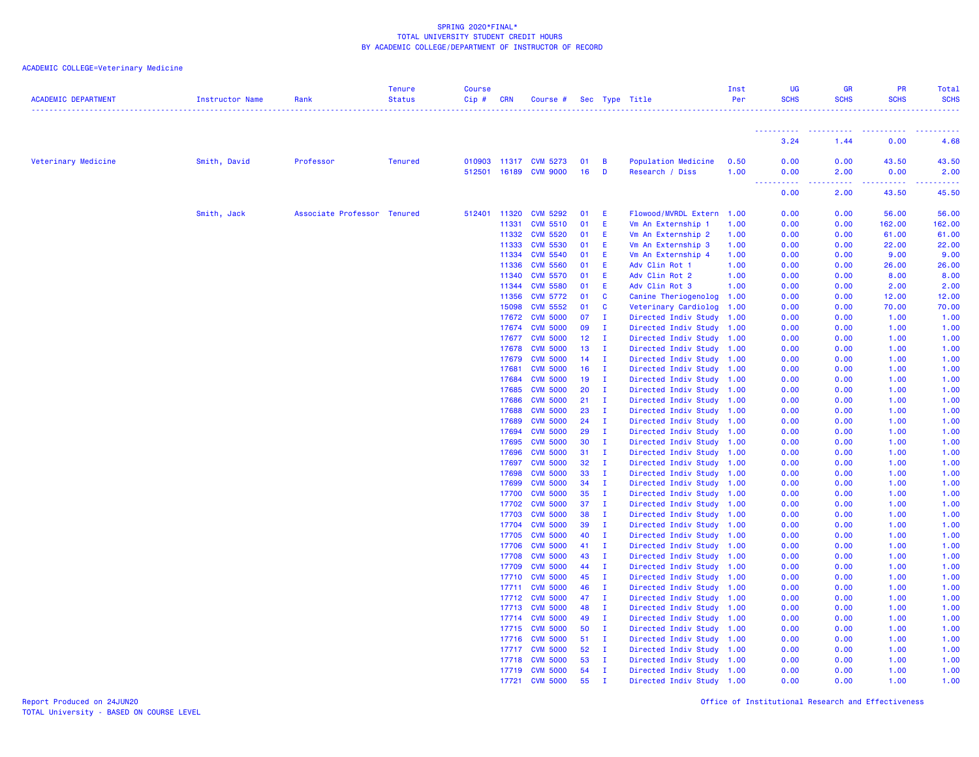## ACADEMIC COLLEGE=Veterinary Medicine

| <b>ACADEMIC DEPARTMENT</b> | <b>Instructor Name</b> | Rank                        | <b>Tenure</b><br><b>Status</b> | <b>Course</b><br>Cip# | <b>CRN</b>     | Course #                                |                 |                              | Sec Type Title                                         | Inst<br>Per  | UG<br><b>SCHS</b>       | <b>GR</b><br><b>SCHS</b> | PR<br><b>SCHS</b> | Total<br><b>SCHS</b> |
|----------------------------|------------------------|-----------------------------|--------------------------------|-----------------------|----------------|-----------------------------------------|-----------------|------------------------------|--------------------------------------------------------|--------------|-------------------------|--------------------------|-------------------|----------------------|
|                            |                        |                             |                                |                       |                |                                         |                 |                              |                                                        |              | <b></b>                 | <b>.</b> .               |                   |                      |
|                            |                        |                             |                                |                       |                |                                         |                 |                              |                                                        |              | 3.24                    | 1.44                     | 0.00              | 4.68                 |
| Veterinary Medicine        | Smith, David           | Professor                   | <b>Tenured</b>                 | 512501                |                | 010903 11317 CVM 5273<br>16189 CVM 9000 | 01<br>16        | B<br>D                       | Population Medicine<br>Research / Diss                 | 0.50<br>1.00 | 0.00<br>0.00            | 0.00<br>2.00             | 43.50<br>0.00     | 43.50<br>2.00        |
|                            |                        |                             |                                |                       |                |                                         |                 |                              |                                                        |              | .<br>$\sim 100$<br>0.00 | .<br>2.00                | .<br>43.50        | 45.50                |
|                            | Smith, Jack            | Associate Professor Tenured |                                |                       | 512401 11320   | <b>CVM 5292</b>                         | 01              | Ε                            | Flowood/MVRDL Extern 1.00                              |              | 0.00                    | 0.00                     | 56.00             | 56.00                |
|                            |                        |                             |                                |                       | 11331          | <b>CVM 5510</b>                         | 01              | Ε                            | Vm An Externship 1                                     | 1.00         | 0.00                    | 0.00                     | 162.00            | 162.00               |
|                            |                        |                             |                                |                       | 11332          | <b>CVM 5520</b>                         | 01              | Ε                            | Vm An Externship 2                                     | 1.00         | 0.00                    | 0.00                     | 61.00             | 61.00                |
|                            |                        |                             |                                |                       | 11333          | <b>CVM 5530</b>                         | 01              | Ε                            | Vm An Externship 3                                     | 1.00         | 0.00                    | 0.00                     | 22.00             | 22.00                |
|                            |                        |                             |                                |                       | 11334          | <b>CVM 5540</b>                         | 01              | Ε                            | Vm An Externship 4                                     | 1.00         | 0.00                    | 0.00                     | 9.00              | 9.00                 |
|                            |                        |                             |                                |                       | 11336          | <b>CVM 5560</b>                         | 01              | E                            | Adv Clin Rot 1                                         | 1.00         | 0.00                    | 0.00                     | 26.00             | 26.00                |
|                            |                        |                             |                                |                       | 11340          | <b>CVM 5570</b>                         | 01              | E                            | Adv Clin Rot 2                                         | 1.00         | 0.00                    | 0.00                     | 8.00              | 8.00                 |
|                            |                        |                             |                                |                       | 11344          | <b>CVM 5580</b>                         | 01              | Ε                            | Adv Clin Rot 3                                         | 1.00         | 0.00                    | 0.00                     | 2.00              | 2.00                 |
|                            |                        |                             |                                |                       | 11356<br>15098 | <b>CVM 5772</b><br><b>CVM 5552</b>      | 01<br>01        | C<br>C                       | Canine Theriogenolog 1.00<br>Veterinary Cardiolog      | 1.00         | 0.00<br>0.00            | 0.00<br>0.00             | 12.00<br>70.00    | 12.00<br>70.00       |
|                            |                        |                             |                                |                       | 17672          | <b>CVM 5000</b>                         | 07              | $\mathbf I$                  | Directed Indiv Study                                   | 1.00         | 0.00                    | 0.00                     | 1.00              | 1.00                 |
|                            |                        |                             |                                |                       | 17674          | <b>CVM 5000</b>                         | 09              | I.                           | Directed Indiv Study                                   | 1.00         | 0.00                    | 0.00                     | 1.00              | 1.00                 |
|                            |                        |                             |                                |                       | 17677          | <b>CVM 5000</b>                         | 12 <sub>2</sub> | $\mathbf{I}$                 | Directed Indiv Study 1.00                              |              | 0.00                    | 0.00                     | 1.00              | 1.00                 |
|                            |                        |                             |                                |                       | 17678          | <b>CVM 5000</b>                         | 13 <sup>°</sup> | $\mathbf{I}$                 | Directed Indiv Study 1.00                              |              | 0.00                    | 0.00                     | 1.00              | 1.00                 |
|                            |                        |                             |                                |                       | 17679          | <b>CVM 5000</b>                         | 14              | $\mathbf{I}$                 | Directed Indiv Study 1.00                              |              | 0.00                    | 0.00                     | 1.00              | 1.00                 |
|                            |                        |                             |                                |                       | 17681          | <b>CVM 5000</b>                         | 16              | $\mathbf{I}$                 | Directed Indiv Study 1.00                              |              | 0.00                    | 0.00                     | 1.00              | 1.00                 |
|                            |                        |                             |                                |                       | 17684          | <b>CVM 5000</b>                         | 19              | $\mathbf{I}$                 | Directed Indiv Study                                   | 1.00         | 0.00                    | 0.00                     | 1.00              | 1.00                 |
|                            |                        |                             |                                |                       | 17685          | <b>CVM 5000</b>                         | 20              | $\mathbf{I}$                 | Directed Indiv Study 1.00                              |              | 0.00                    | 0.00                     | 1.00              | 1.00                 |
|                            |                        |                             |                                |                       | 17686          | <b>CVM 5000</b>                         | 21              | $\mathbf{I}$                 | Directed Indiv Study 1.00                              |              | 0.00                    | 0.00                     | 1.00              | 1.00                 |
|                            |                        |                             |                                |                       | 17688          | <b>CVM 5000</b>                         | 23              | $\mathbf{I}$                 | Directed Indiv Study 1.00                              |              | 0.00                    | 0.00                     | 1.00              | 1.00                 |
|                            |                        |                             |                                |                       | 17689          | <b>CVM 5000</b>                         | 24              | $\mathbf{I}$                 | Directed Indiv Study 1.00                              |              | 0.00                    | 0.00                     | 1.00              | 1.00                 |
|                            |                        |                             |                                |                       | 17694          | <b>CVM 5000</b>                         | 29              | $\mathbf{I}$                 | Directed Indiv Study 1.00                              |              | 0.00                    | 0.00                     | 1.00              | 1.00                 |
|                            |                        |                             |                                |                       | 17695          | <b>CVM 5000</b>                         | 30              | $\mathbf{I}$                 | Directed Indiv Study 1.00                              |              | 0.00                    | 0.00                     | 1.00              | 1.00<br>1.00         |
|                            |                        |                             |                                |                       | 17696<br>17697 | <b>CVM 5000</b><br><b>CVM 5000</b>      | 31<br>32        | I.<br>- I                    | Directed Indiv Study<br>Directed Indiv Study 1.00      | 1.00         | 0.00<br>0.00            | 0.00<br>0.00             | 1.00<br>1.00      | 1.00                 |
|                            |                        |                             |                                |                       | 17698          | <b>CVM 5000</b>                         | 33              | $\mathbf{I}$                 | Directed Indiv Study 1.00                              |              | 0.00                    | 0.00                     | 1.00              | 1.00                 |
|                            |                        |                             |                                |                       | 17699          | <b>CVM 5000</b>                         | 34              | $\mathbf{I}$                 | Directed Indiv Study 1.00                              |              | 0.00                    | 0.00                     | 1.00              | 1.00                 |
|                            |                        |                             |                                |                       | 17700          | <b>CVM 5000</b>                         | 35              | $\mathbf{I}$                 | Directed Indiv Study 1.00                              |              | 0.00                    | 0.00                     | 1.00              | 1.00                 |
|                            |                        |                             |                                |                       | 17702          | <b>CVM 5000</b>                         | 37              | $\mathbf{I}$                 | Directed Indiv Study 1.00                              |              | 0.00                    | 0.00                     | 1.00              | 1.00                 |
|                            |                        |                             |                                |                       | 17703          | <b>CVM 5000</b>                         | 38              | $\mathbf{I}$                 | Directed Indiv Study 1.00                              |              | 0.00                    | 0.00                     | 1.00              | 1.00                 |
|                            |                        |                             |                                |                       | 17704          | <b>CVM 5000</b>                         | 39              | - I                          | Directed Indiv Study                                   | 1.00         | 0.00                    | 0.00                     | 1.00              | 1.00                 |
|                            |                        |                             |                                |                       | 17705          | <b>CVM 5000</b>                         | 40              | $\mathbf{I}$                 | Directed Indiv Study 1.00                              |              | 0.00                    | 0.00                     | 1.00              | 1.00                 |
|                            |                        |                             |                                |                       | 17706          | <b>CVM 5000</b>                         | 41              | $\mathbf{I}$                 | Directed Indiv Study 1.00                              |              | 0.00                    | 0.00                     | 1.00              | 1.00                 |
|                            |                        |                             |                                |                       | 17708          | <b>CVM 5000</b>                         | 43              | $\mathbf{I}$                 | Directed Indiv Study 1.00                              |              | 0.00                    | 0.00                     | 1.00              | 1.00                 |
|                            |                        |                             |                                |                       | 17709          | <b>CVM 5000</b>                         | 44              | $\mathbf{I}$                 | Directed Indiv Study 1.00                              |              | 0.00                    | 0.00                     | 1.00              | 1.00                 |
|                            |                        |                             |                                |                       | 17710          | <b>CVM 5000</b>                         | 45              | $\mathbf{I}$                 | Directed Indiv Study 1.00                              |              | 0.00                    | 0.00                     | 1.00              | 1.00                 |
|                            |                        |                             |                                |                       | 17711          | <b>CVM 5000</b>                         | 46              | $\mathbf{I}$                 | Directed Indiv Study 1.00                              |              | 0.00                    | 0.00                     | 1.00              | 1.00                 |
|                            |                        |                             |                                |                       | 17712          | <b>CVM 5000</b>                         | 47              | $\mathbf{I}$                 | Directed Indiv Study                                   | 1.00         | 0.00                    | 0.00                     | 1.00              | 1.00                 |
|                            |                        |                             |                                |                       | 17713          | <b>CVM 5000</b>                         | 48              | $\mathbf{I}$                 | Directed Indiv Study 1.00                              |              | 0.00                    | 0.00                     | 1.00              | 1.00                 |
|                            |                        |                             |                                |                       |                | 17714 CVM 5000                          | 49              | $\mathbf{I}$                 | Directed Indiv Study 1.00                              |              | 0.00                    | 0.00                     | 1.00              | 1.00                 |
|                            |                        |                             |                                |                       | 17715          | <b>CVM 5000</b>                         | 50              | $\mathbf{I}$                 | Directed Indiv Study 1.00                              |              | 0.00                    | 0.00                     | 1.00              | 1.00                 |
|                            |                        |                             |                                |                       | 17716          | <b>CVM 5000</b>                         | 51              | $\mathbf{I}$                 | Directed Indiv Study 1.00                              |              | 0.00                    | 0.00                     | 1.00              | 1.00                 |
|                            |                        |                             |                                |                       | 17717<br>17718 | <b>CVM 5000</b><br><b>CVM 5000</b>      | 52<br>53        | $\mathbf{I}$<br>$\mathbf{I}$ | Directed Indiv Study 1.00<br>Directed Indiv Study 1.00 |              | 0.00<br>0.00            | 0.00<br>0.00             | 1.00<br>1.00      | 1.00<br>1.00         |
|                            |                        |                             |                                |                       | 17719          | <b>CVM 5000</b>                         | 54              | I.                           | Directed Indiv Study 1.00                              |              | 0.00                    | 0.00                     | 1.00              | 1.00                 |
|                            |                        |                             |                                |                       | 17721          | <b>CVM 5000</b>                         | 55              | $\mathbf{I}$                 | Directed Indiv Study 1.00                              |              | 0.00                    | 0.00                     | 1.00              | 1.00                 |
|                            |                        |                             |                                |                       |                |                                         |                 |                              |                                                        |              |                         |                          |                   |                      |

Report Produced on 24JUN20 Office of Institutional Research and Effectiveness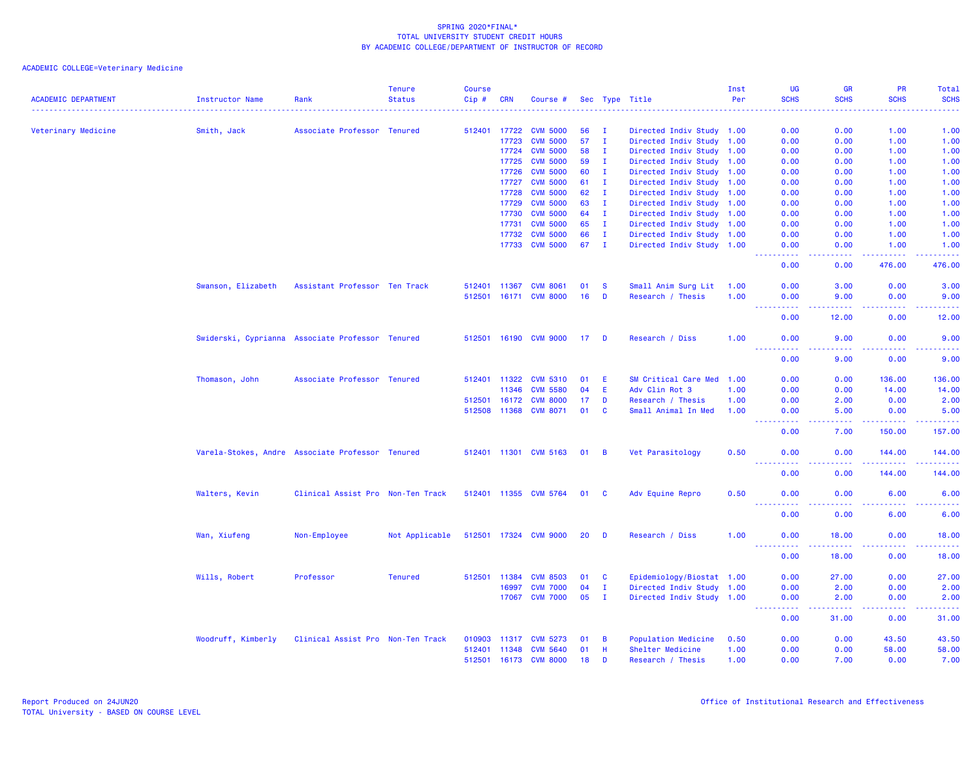| Veterinary Medicine<br>0.00<br>1.00<br>1.00<br>Smith, Jack<br>Associate Professor Tenured<br>512401 17722<br><b>CVM 5000</b><br>56<br>$\mathbf{I}$<br>Directed Indiv Study 1.00<br>0.00<br><b>CVM 5000</b><br>57<br>$\blacksquare$<br>0.00<br>1.00<br>17723<br>Directed Indiv Study 1.00<br>0.00<br>1.00<br><b>CVM 5000</b><br>17724<br>58<br>I.<br>Directed Indiv Study 1.00<br>0.00<br>1.00<br>1.00<br>0.00<br><b>CVM 5000</b><br>59<br>1.00<br>17725<br>$\mathbf{I}$<br>Directed Indiv Study 1.00<br>0.00<br>0.00<br>1.00<br><b>CVM 5000</b><br>60<br>$\mathbf{I}$<br>0.00<br>0.00<br>1.00<br>17726<br>Directed Indiv Study 1.00<br>1.00<br><b>CVM 5000</b><br>17727<br>61<br>T<br>Directed Indiv Study 1.00<br>0.00<br>1.00<br>1.00<br>0.00<br>17728<br><b>CVM 5000</b><br>62<br>$\mathbf{I}$<br>Directed Indiv Study 1.00<br>0.00<br>1.00<br>1.00<br>0.00<br><b>CVM 5000</b><br>17729<br>63<br>$\mathbf{I}$<br>Directed Indiv Study 1.00<br>0.00<br>0.00<br>1.00<br>1.00<br><b>CVM 5000</b><br>64<br>$\mathbf{I}$<br>Directed Indiv Study 1.00<br>1.00<br>1.00<br>17730<br>0.00<br>0.00<br>17731<br><b>CVM 5000</b><br>65<br>I.<br>Directed Indiv Study 1.00<br>0.00<br>0.00<br>1.00<br>1.00<br><b>CVM 5000</b><br>17732<br>66<br>I.<br>Directed Indiv Study 1.00<br>0.00<br>0.00<br>1.00<br>1.00<br><b>CVM 5000</b><br>17733<br>67<br>$\mathbf{I}$<br>Directed Indiv Study 1.00<br>0.00<br>1.00<br>1.00<br>0.00<br>بالأباد<br>$\frac{1}{2} \left( \frac{1}{2} \right) \left( \frac{1}{2} \right) \left( \frac{1}{2} \right) \left( \frac{1}{2} \right)$<br>476.00<br>476.00<br>0.00<br>0.00<br>Small Anim Surg Lit<br>Swanson, Elizabeth<br>Assistant Professor Ten Track<br>512401<br>11367<br><b>CVM 8061</b><br>01<br>-S<br>1.00<br>0.00<br>3.00<br>0.00<br>3.00<br>512501 16171 CVM 8000<br>16<br>D<br>Research / Thesis<br>1.00<br>9.00<br>0.00<br>0.00<br>9.00<br><b>.</b><br>.<br>.<br>.<br>0.00<br>0.00<br>12.00<br>12.00<br>512501 16190 CVM 9000<br>Swiderski, Cyprianna Associate Professor Tenured<br>$17$ D<br>Research / Diss<br>1.00<br>0.00<br>9.00<br>0.00<br>9.00<br>$\sim$ $\sim$ $\sim$ $\sim$<br>.<br>0.00<br>9.00<br>0.00<br>9.00<br>Associate Professor Tenured<br><b>CVM 5310</b><br>SM Critical Care Med<br>Thomason, John<br>512401 11322<br>01<br>E<br>1.00<br>0.00<br>0.00<br>136.00<br>136.00<br>11346<br><b>CVM 5580</b><br>04<br>E<br>Adv Clin Rot 3<br>1.00<br>0.00<br>0.00<br>14.00<br>14.00<br><b>CVM 8000</b><br>0.00<br>512501<br>16172<br>17<br>D<br>Research / Thesis<br>0.00<br>2.00<br>2.00<br>1.00<br><b>C</b><br>512508<br>11368<br><b>CVM 8071</b><br>01<br>Small Animal In Med<br>1.00<br>5.00<br>0.00<br>5.00<br>0.00<br>.<br>.<br><b>.</b><br><b><i><u><u>.</u></u></i></b><br>0.00<br>7.00<br>150.00<br>157.00<br>Varela-Stokes, Andre Associate Professor Tenured<br>512401 11301 CVM 5163<br>Vet Parasitology<br>$01 \quad B$<br>0.50<br>0.00<br>0.00<br>144.00<br>144.00<br>$\begin{array}{cccccccccc} \bullet & \bullet & \bullet & \bullet & \bullet & \bullet & \bullet & \bullet \end{array}$<br>$\sim$ $\sim$ $\sim$<br>.<br>.<br>.<br>0.00<br>0.00<br>144.00<br>144.00<br>Walters, Kevin<br>Clinical Assist Pro Non-Ten Track<br>512401 11355 CVM 5764<br>01 C<br>Adv Equine Repro<br>0.50<br>0.00<br>0.00<br>6.00<br>6.00<br>.<br>.<br><u>.</u><br>$\frac{1}{2} \left( \frac{1}{2} \right) \left( \frac{1}{2} \right) \left( \frac{1}{2} \right) \left( \frac{1}{2} \right)$<br>0.00<br>0.00<br>6.00<br>6.00<br>512501 17324 CVM 9000<br>Wan, Xiufeng<br>Non-Employee<br>Not Applicable<br>20<br>D<br>Research / Diss<br>1.00<br>0.00<br>18.00<br>0.00<br>18.00<br>.<br>0.00<br>18.00<br>0.00<br>18.00<br>Wills, Robert<br>Professor<br><b>Tenured</b><br>512501 11384<br><b>CVM 8503</b><br>01<br><b>C</b><br>Epidemiology/Biostat 1.00<br>0.00<br>27.00<br>0.00<br>27.00<br>Directed Indiv Study 1.00<br>0.00<br>16997<br><b>CVM 7000</b><br>04<br>Ι.<br>0.00<br>2.00<br>2.00<br><b>CVM 7000</b><br>05<br>$\mathbf{I}$<br>Directed Indiv Study 1.00<br>0.00<br>17067<br>0.00<br>2.00<br>2.00<br><b></b><br>.<br>.<br>.<br>0.00<br>31.00<br>0.00<br>31.00<br>Woodruff, Kimberly<br>Clinical Assist Pro Non-Ten Track<br>Population Medicine<br>43.50<br>43.50<br>010903<br>11317<br><b>CVM 5273</b><br>01<br>B<br>0.50<br>0.00<br>0.00<br><b>CVM 5640</b><br>01<br>H<br>Shelter Medicine<br>1.00<br>0.00<br>0.00<br>58.00<br>58.00<br>512401<br>11348<br>512501 16173 CVM 8000<br>18<br>D<br>Research / Thesis<br>1.00<br>0.00<br>7.00<br>0.00<br>7.00 | <b>ACADEMIC DEPARTMENT</b> | Instructor Name | Rank | <b>Tenure</b><br><b>Status</b> | <b>Course</b><br>$Cip$ # | <b>CRN</b> | Course # |  | Sec Type Title | Inst<br>Per | UG<br><b>SCHS</b> | <b>GR</b><br><b>SCHS</b><br>. | PR<br><b>SCHS</b><br>. | Total<br><b>SCHS</b><br>$\frac{1}{2} \left( \frac{1}{2} \right) \left( \frac{1}{2} \right) \left( \frac{1}{2} \right) \left( \frac{1}{2} \right)$ |
|------------------------------------------------------------------------------------------------------------------------------------------------------------------------------------------------------------------------------------------------------------------------------------------------------------------------------------------------------------------------------------------------------------------------------------------------------------------------------------------------------------------------------------------------------------------------------------------------------------------------------------------------------------------------------------------------------------------------------------------------------------------------------------------------------------------------------------------------------------------------------------------------------------------------------------------------------------------------------------------------------------------------------------------------------------------------------------------------------------------------------------------------------------------------------------------------------------------------------------------------------------------------------------------------------------------------------------------------------------------------------------------------------------------------------------------------------------------------------------------------------------------------------------------------------------------------------------------------------------------------------------------------------------------------------------------------------------------------------------------------------------------------------------------------------------------------------------------------------------------------------------------------------------------------------------------------------------------------------------------------------------------------------------------------------------------------------------------------------------------------------------------------------------------------------------------------------------------------------------------------------------------------------------------------------------------------------------------------------------------------------------------------------------------------------------------------------------------------------------------------------------------------------------------------------------------------------------------------------------------------------------------------------------------------------------------------------------------------------------------------------------------------------------------------------------------------------------------------------------------------------------------------------------------------------------------------------------------------------------------------------------------------------------------------------------------------------------------------------------------------------------------------------------------------------------------------------------------------------------------------------------------------------------------------------------------------------------------------------------------------------------------------------------------------------------------------------------------------------------------------------------------------------------------------------------------------------------------------------------------------------------------------------------------------------------------------------------------------------------------------------------------------------------------------------------------------------------------------------------------------------------------------------------------------------------------------------------------------------------------------------------------------------------------------------------------------------------------------------------------------------------------------------------------------------------------------------------------------------------------------------------------------------------------------------------------------------------------------------------------------------------------------------------------------------------------------------------------------------------------------------------------------|----------------------------|-----------------|------|--------------------------------|--------------------------|------------|----------|--|----------------|-------------|-------------------|-------------------------------|------------------------|---------------------------------------------------------------------------------------------------------------------------------------------------|
|                                                                                                                                                                                                                                                                                                                                                                                                                                                                                                                                                                                                                                                                                                                                                                                                                                                                                                                                                                                                                                                                                                                                                                                                                                                                                                                                                                                                                                                                                                                                                                                                                                                                                                                                                                                                                                                                                                                                                                                                                                                                                                                                                                                                                                                                                                                                                                                                                                                                                                                                                                                                                                                                                                                                                                                                                                                                                                                                                                                                                                                                                                                                                                                                                                                                                                                                                                                                                                                                                                                                                                                                                                                                                                                                                                                                                                                                                                                                                                                                                                                                                                                                                                                                                                                                                                                                                                                                                                                                                                                        |                            |                 |      |                                |                          |            |          |  |                |             |                   |                               |                        |                                                                                                                                                   |
|                                                                                                                                                                                                                                                                                                                                                                                                                                                                                                                                                                                                                                                                                                                                                                                                                                                                                                                                                                                                                                                                                                                                                                                                                                                                                                                                                                                                                                                                                                                                                                                                                                                                                                                                                                                                                                                                                                                                                                                                                                                                                                                                                                                                                                                                                                                                                                                                                                                                                                                                                                                                                                                                                                                                                                                                                                                                                                                                                                                                                                                                                                                                                                                                                                                                                                                                                                                                                                                                                                                                                                                                                                                                                                                                                                                                                                                                                                                                                                                                                                                                                                                                                                                                                                                                                                                                                                                                                                                                                                                        |                            |                 |      |                                |                          |            |          |  |                |             |                   |                               |                        |                                                                                                                                                   |
|                                                                                                                                                                                                                                                                                                                                                                                                                                                                                                                                                                                                                                                                                                                                                                                                                                                                                                                                                                                                                                                                                                                                                                                                                                                                                                                                                                                                                                                                                                                                                                                                                                                                                                                                                                                                                                                                                                                                                                                                                                                                                                                                                                                                                                                                                                                                                                                                                                                                                                                                                                                                                                                                                                                                                                                                                                                                                                                                                                                                                                                                                                                                                                                                                                                                                                                                                                                                                                                                                                                                                                                                                                                                                                                                                                                                                                                                                                                                                                                                                                                                                                                                                                                                                                                                                                                                                                                                                                                                                                                        |                            |                 |      |                                |                          |            |          |  |                |             |                   |                               |                        |                                                                                                                                                   |
|                                                                                                                                                                                                                                                                                                                                                                                                                                                                                                                                                                                                                                                                                                                                                                                                                                                                                                                                                                                                                                                                                                                                                                                                                                                                                                                                                                                                                                                                                                                                                                                                                                                                                                                                                                                                                                                                                                                                                                                                                                                                                                                                                                                                                                                                                                                                                                                                                                                                                                                                                                                                                                                                                                                                                                                                                                                                                                                                                                                                                                                                                                                                                                                                                                                                                                                                                                                                                                                                                                                                                                                                                                                                                                                                                                                                                                                                                                                                                                                                                                                                                                                                                                                                                                                                                                                                                                                                                                                                                                                        |                            |                 |      |                                |                          |            |          |  |                |             |                   |                               |                        |                                                                                                                                                   |
|                                                                                                                                                                                                                                                                                                                                                                                                                                                                                                                                                                                                                                                                                                                                                                                                                                                                                                                                                                                                                                                                                                                                                                                                                                                                                                                                                                                                                                                                                                                                                                                                                                                                                                                                                                                                                                                                                                                                                                                                                                                                                                                                                                                                                                                                                                                                                                                                                                                                                                                                                                                                                                                                                                                                                                                                                                                                                                                                                                                                                                                                                                                                                                                                                                                                                                                                                                                                                                                                                                                                                                                                                                                                                                                                                                                                                                                                                                                                                                                                                                                                                                                                                                                                                                                                                                                                                                                                                                                                                                                        |                            |                 |      |                                |                          |            |          |  |                |             |                   |                               |                        |                                                                                                                                                   |
|                                                                                                                                                                                                                                                                                                                                                                                                                                                                                                                                                                                                                                                                                                                                                                                                                                                                                                                                                                                                                                                                                                                                                                                                                                                                                                                                                                                                                                                                                                                                                                                                                                                                                                                                                                                                                                                                                                                                                                                                                                                                                                                                                                                                                                                                                                                                                                                                                                                                                                                                                                                                                                                                                                                                                                                                                                                                                                                                                                                                                                                                                                                                                                                                                                                                                                                                                                                                                                                                                                                                                                                                                                                                                                                                                                                                                                                                                                                                                                                                                                                                                                                                                                                                                                                                                                                                                                                                                                                                                                                        |                            |                 |      |                                |                          |            |          |  |                |             |                   |                               |                        |                                                                                                                                                   |
|                                                                                                                                                                                                                                                                                                                                                                                                                                                                                                                                                                                                                                                                                                                                                                                                                                                                                                                                                                                                                                                                                                                                                                                                                                                                                                                                                                                                                                                                                                                                                                                                                                                                                                                                                                                                                                                                                                                                                                                                                                                                                                                                                                                                                                                                                                                                                                                                                                                                                                                                                                                                                                                                                                                                                                                                                                                                                                                                                                                                                                                                                                                                                                                                                                                                                                                                                                                                                                                                                                                                                                                                                                                                                                                                                                                                                                                                                                                                                                                                                                                                                                                                                                                                                                                                                                                                                                                                                                                                                                                        |                            |                 |      |                                |                          |            |          |  |                |             |                   |                               |                        |                                                                                                                                                   |
|                                                                                                                                                                                                                                                                                                                                                                                                                                                                                                                                                                                                                                                                                                                                                                                                                                                                                                                                                                                                                                                                                                                                                                                                                                                                                                                                                                                                                                                                                                                                                                                                                                                                                                                                                                                                                                                                                                                                                                                                                                                                                                                                                                                                                                                                                                                                                                                                                                                                                                                                                                                                                                                                                                                                                                                                                                                                                                                                                                                                                                                                                                                                                                                                                                                                                                                                                                                                                                                                                                                                                                                                                                                                                                                                                                                                                                                                                                                                                                                                                                                                                                                                                                                                                                                                                                                                                                                                                                                                                                                        |                            |                 |      |                                |                          |            |          |  |                |             |                   |                               |                        |                                                                                                                                                   |
|                                                                                                                                                                                                                                                                                                                                                                                                                                                                                                                                                                                                                                                                                                                                                                                                                                                                                                                                                                                                                                                                                                                                                                                                                                                                                                                                                                                                                                                                                                                                                                                                                                                                                                                                                                                                                                                                                                                                                                                                                                                                                                                                                                                                                                                                                                                                                                                                                                                                                                                                                                                                                                                                                                                                                                                                                                                                                                                                                                                                                                                                                                                                                                                                                                                                                                                                                                                                                                                                                                                                                                                                                                                                                                                                                                                                                                                                                                                                                                                                                                                                                                                                                                                                                                                                                                                                                                                                                                                                                                                        |                            |                 |      |                                |                          |            |          |  |                |             |                   |                               |                        |                                                                                                                                                   |
|                                                                                                                                                                                                                                                                                                                                                                                                                                                                                                                                                                                                                                                                                                                                                                                                                                                                                                                                                                                                                                                                                                                                                                                                                                                                                                                                                                                                                                                                                                                                                                                                                                                                                                                                                                                                                                                                                                                                                                                                                                                                                                                                                                                                                                                                                                                                                                                                                                                                                                                                                                                                                                                                                                                                                                                                                                                                                                                                                                                                                                                                                                                                                                                                                                                                                                                                                                                                                                                                                                                                                                                                                                                                                                                                                                                                                                                                                                                                                                                                                                                                                                                                                                                                                                                                                                                                                                                                                                                                                                                        |                            |                 |      |                                |                          |            |          |  |                |             |                   |                               |                        |                                                                                                                                                   |
|                                                                                                                                                                                                                                                                                                                                                                                                                                                                                                                                                                                                                                                                                                                                                                                                                                                                                                                                                                                                                                                                                                                                                                                                                                                                                                                                                                                                                                                                                                                                                                                                                                                                                                                                                                                                                                                                                                                                                                                                                                                                                                                                                                                                                                                                                                                                                                                                                                                                                                                                                                                                                                                                                                                                                                                                                                                                                                                                                                                                                                                                                                                                                                                                                                                                                                                                                                                                                                                                                                                                                                                                                                                                                                                                                                                                                                                                                                                                                                                                                                                                                                                                                                                                                                                                                                                                                                                                                                                                                                                        |                            |                 |      |                                |                          |            |          |  |                |             |                   |                               |                        |                                                                                                                                                   |
|                                                                                                                                                                                                                                                                                                                                                                                                                                                                                                                                                                                                                                                                                                                                                                                                                                                                                                                                                                                                                                                                                                                                                                                                                                                                                                                                                                                                                                                                                                                                                                                                                                                                                                                                                                                                                                                                                                                                                                                                                                                                                                                                                                                                                                                                                                                                                                                                                                                                                                                                                                                                                                                                                                                                                                                                                                                                                                                                                                                                                                                                                                                                                                                                                                                                                                                                                                                                                                                                                                                                                                                                                                                                                                                                                                                                                                                                                                                                                                                                                                                                                                                                                                                                                                                                                                                                                                                                                                                                                                                        |                            |                 |      |                                |                          |            |          |  |                |             |                   |                               |                        |                                                                                                                                                   |
|                                                                                                                                                                                                                                                                                                                                                                                                                                                                                                                                                                                                                                                                                                                                                                                                                                                                                                                                                                                                                                                                                                                                                                                                                                                                                                                                                                                                                                                                                                                                                                                                                                                                                                                                                                                                                                                                                                                                                                                                                                                                                                                                                                                                                                                                                                                                                                                                                                                                                                                                                                                                                                                                                                                                                                                                                                                                                                                                                                                                                                                                                                                                                                                                                                                                                                                                                                                                                                                                                                                                                                                                                                                                                                                                                                                                                                                                                                                                                                                                                                                                                                                                                                                                                                                                                                                                                                                                                                                                                                                        |                            |                 |      |                                |                          |            |          |  |                |             |                   |                               |                        |                                                                                                                                                   |
|                                                                                                                                                                                                                                                                                                                                                                                                                                                                                                                                                                                                                                                                                                                                                                                                                                                                                                                                                                                                                                                                                                                                                                                                                                                                                                                                                                                                                                                                                                                                                                                                                                                                                                                                                                                                                                                                                                                                                                                                                                                                                                                                                                                                                                                                                                                                                                                                                                                                                                                                                                                                                                                                                                                                                                                                                                                                                                                                                                                                                                                                                                                                                                                                                                                                                                                                                                                                                                                                                                                                                                                                                                                                                                                                                                                                                                                                                                                                                                                                                                                                                                                                                                                                                                                                                                                                                                                                                                                                                                                        |                            |                 |      |                                |                          |            |          |  |                |             |                   |                               |                        |                                                                                                                                                   |
|                                                                                                                                                                                                                                                                                                                                                                                                                                                                                                                                                                                                                                                                                                                                                                                                                                                                                                                                                                                                                                                                                                                                                                                                                                                                                                                                                                                                                                                                                                                                                                                                                                                                                                                                                                                                                                                                                                                                                                                                                                                                                                                                                                                                                                                                                                                                                                                                                                                                                                                                                                                                                                                                                                                                                                                                                                                                                                                                                                                                                                                                                                                                                                                                                                                                                                                                                                                                                                                                                                                                                                                                                                                                                                                                                                                                                                                                                                                                                                                                                                                                                                                                                                                                                                                                                                                                                                                                                                                                                                                        |                            |                 |      |                                |                          |            |          |  |                |             |                   |                               |                        |                                                                                                                                                   |
|                                                                                                                                                                                                                                                                                                                                                                                                                                                                                                                                                                                                                                                                                                                                                                                                                                                                                                                                                                                                                                                                                                                                                                                                                                                                                                                                                                                                                                                                                                                                                                                                                                                                                                                                                                                                                                                                                                                                                                                                                                                                                                                                                                                                                                                                                                                                                                                                                                                                                                                                                                                                                                                                                                                                                                                                                                                                                                                                                                                                                                                                                                                                                                                                                                                                                                                                                                                                                                                                                                                                                                                                                                                                                                                                                                                                                                                                                                                                                                                                                                                                                                                                                                                                                                                                                                                                                                                                                                                                                                                        |                            |                 |      |                                |                          |            |          |  |                |             |                   |                               |                        |                                                                                                                                                   |
|                                                                                                                                                                                                                                                                                                                                                                                                                                                                                                                                                                                                                                                                                                                                                                                                                                                                                                                                                                                                                                                                                                                                                                                                                                                                                                                                                                                                                                                                                                                                                                                                                                                                                                                                                                                                                                                                                                                                                                                                                                                                                                                                                                                                                                                                                                                                                                                                                                                                                                                                                                                                                                                                                                                                                                                                                                                                                                                                                                                                                                                                                                                                                                                                                                                                                                                                                                                                                                                                                                                                                                                                                                                                                                                                                                                                                                                                                                                                                                                                                                                                                                                                                                                                                                                                                                                                                                                                                                                                                                                        |                            |                 |      |                                |                          |            |          |  |                |             |                   |                               |                        |                                                                                                                                                   |
|                                                                                                                                                                                                                                                                                                                                                                                                                                                                                                                                                                                                                                                                                                                                                                                                                                                                                                                                                                                                                                                                                                                                                                                                                                                                                                                                                                                                                                                                                                                                                                                                                                                                                                                                                                                                                                                                                                                                                                                                                                                                                                                                                                                                                                                                                                                                                                                                                                                                                                                                                                                                                                                                                                                                                                                                                                                                                                                                                                                                                                                                                                                                                                                                                                                                                                                                                                                                                                                                                                                                                                                                                                                                                                                                                                                                                                                                                                                                                                                                                                                                                                                                                                                                                                                                                                                                                                                                                                                                                                                        |                            |                 |      |                                |                          |            |          |  |                |             |                   |                               |                        |                                                                                                                                                   |
|                                                                                                                                                                                                                                                                                                                                                                                                                                                                                                                                                                                                                                                                                                                                                                                                                                                                                                                                                                                                                                                                                                                                                                                                                                                                                                                                                                                                                                                                                                                                                                                                                                                                                                                                                                                                                                                                                                                                                                                                                                                                                                                                                                                                                                                                                                                                                                                                                                                                                                                                                                                                                                                                                                                                                                                                                                                                                                                                                                                                                                                                                                                                                                                                                                                                                                                                                                                                                                                                                                                                                                                                                                                                                                                                                                                                                                                                                                                                                                                                                                                                                                                                                                                                                                                                                                                                                                                                                                                                                                                        |                            |                 |      |                                |                          |            |          |  |                |             |                   |                               |                        |                                                                                                                                                   |
|                                                                                                                                                                                                                                                                                                                                                                                                                                                                                                                                                                                                                                                                                                                                                                                                                                                                                                                                                                                                                                                                                                                                                                                                                                                                                                                                                                                                                                                                                                                                                                                                                                                                                                                                                                                                                                                                                                                                                                                                                                                                                                                                                                                                                                                                                                                                                                                                                                                                                                                                                                                                                                                                                                                                                                                                                                                                                                                                                                                                                                                                                                                                                                                                                                                                                                                                                                                                                                                                                                                                                                                                                                                                                                                                                                                                                                                                                                                                                                                                                                                                                                                                                                                                                                                                                                                                                                                                                                                                                                                        |                            |                 |      |                                |                          |            |          |  |                |             |                   |                               |                        |                                                                                                                                                   |
|                                                                                                                                                                                                                                                                                                                                                                                                                                                                                                                                                                                                                                                                                                                                                                                                                                                                                                                                                                                                                                                                                                                                                                                                                                                                                                                                                                                                                                                                                                                                                                                                                                                                                                                                                                                                                                                                                                                                                                                                                                                                                                                                                                                                                                                                                                                                                                                                                                                                                                                                                                                                                                                                                                                                                                                                                                                                                                                                                                                                                                                                                                                                                                                                                                                                                                                                                                                                                                                                                                                                                                                                                                                                                                                                                                                                                                                                                                                                                                                                                                                                                                                                                                                                                                                                                                                                                                                                                                                                                                                        |                            |                 |      |                                |                          |            |          |  |                |             |                   |                               |                        |                                                                                                                                                   |
|                                                                                                                                                                                                                                                                                                                                                                                                                                                                                                                                                                                                                                                                                                                                                                                                                                                                                                                                                                                                                                                                                                                                                                                                                                                                                                                                                                                                                                                                                                                                                                                                                                                                                                                                                                                                                                                                                                                                                                                                                                                                                                                                                                                                                                                                                                                                                                                                                                                                                                                                                                                                                                                                                                                                                                                                                                                                                                                                                                                                                                                                                                                                                                                                                                                                                                                                                                                                                                                                                                                                                                                                                                                                                                                                                                                                                                                                                                                                                                                                                                                                                                                                                                                                                                                                                                                                                                                                                                                                                                                        |                            |                 |      |                                |                          |            |          |  |                |             |                   |                               |                        |                                                                                                                                                   |
|                                                                                                                                                                                                                                                                                                                                                                                                                                                                                                                                                                                                                                                                                                                                                                                                                                                                                                                                                                                                                                                                                                                                                                                                                                                                                                                                                                                                                                                                                                                                                                                                                                                                                                                                                                                                                                                                                                                                                                                                                                                                                                                                                                                                                                                                                                                                                                                                                                                                                                                                                                                                                                                                                                                                                                                                                                                                                                                                                                                                                                                                                                                                                                                                                                                                                                                                                                                                                                                                                                                                                                                                                                                                                                                                                                                                                                                                                                                                                                                                                                                                                                                                                                                                                                                                                                                                                                                                                                                                                                                        |                            |                 |      |                                |                          |            |          |  |                |             |                   |                               |                        |                                                                                                                                                   |
|                                                                                                                                                                                                                                                                                                                                                                                                                                                                                                                                                                                                                                                                                                                                                                                                                                                                                                                                                                                                                                                                                                                                                                                                                                                                                                                                                                                                                                                                                                                                                                                                                                                                                                                                                                                                                                                                                                                                                                                                                                                                                                                                                                                                                                                                                                                                                                                                                                                                                                                                                                                                                                                                                                                                                                                                                                                                                                                                                                                                                                                                                                                                                                                                                                                                                                                                                                                                                                                                                                                                                                                                                                                                                                                                                                                                                                                                                                                                                                                                                                                                                                                                                                                                                                                                                                                                                                                                                                                                                                                        |                            |                 |      |                                |                          |            |          |  |                |             |                   |                               |                        |                                                                                                                                                   |
|                                                                                                                                                                                                                                                                                                                                                                                                                                                                                                                                                                                                                                                                                                                                                                                                                                                                                                                                                                                                                                                                                                                                                                                                                                                                                                                                                                                                                                                                                                                                                                                                                                                                                                                                                                                                                                                                                                                                                                                                                                                                                                                                                                                                                                                                                                                                                                                                                                                                                                                                                                                                                                                                                                                                                                                                                                                                                                                                                                                                                                                                                                                                                                                                                                                                                                                                                                                                                                                                                                                                                                                                                                                                                                                                                                                                                                                                                                                                                                                                                                                                                                                                                                                                                                                                                                                                                                                                                                                                                                                        |                            |                 |      |                                |                          |            |          |  |                |             |                   |                               |                        |                                                                                                                                                   |
|                                                                                                                                                                                                                                                                                                                                                                                                                                                                                                                                                                                                                                                                                                                                                                                                                                                                                                                                                                                                                                                                                                                                                                                                                                                                                                                                                                                                                                                                                                                                                                                                                                                                                                                                                                                                                                                                                                                                                                                                                                                                                                                                                                                                                                                                                                                                                                                                                                                                                                                                                                                                                                                                                                                                                                                                                                                                                                                                                                                                                                                                                                                                                                                                                                                                                                                                                                                                                                                                                                                                                                                                                                                                                                                                                                                                                                                                                                                                                                                                                                                                                                                                                                                                                                                                                                                                                                                                                                                                                                                        |                            |                 |      |                                |                          |            |          |  |                |             |                   |                               |                        |                                                                                                                                                   |
|                                                                                                                                                                                                                                                                                                                                                                                                                                                                                                                                                                                                                                                                                                                                                                                                                                                                                                                                                                                                                                                                                                                                                                                                                                                                                                                                                                                                                                                                                                                                                                                                                                                                                                                                                                                                                                                                                                                                                                                                                                                                                                                                                                                                                                                                                                                                                                                                                                                                                                                                                                                                                                                                                                                                                                                                                                                                                                                                                                                                                                                                                                                                                                                                                                                                                                                                                                                                                                                                                                                                                                                                                                                                                                                                                                                                                                                                                                                                                                                                                                                                                                                                                                                                                                                                                                                                                                                                                                                                                                                        |                            |                 |      |                                |                          |            |          |  |                |             |                   |                               |                        |                                                                                                                                                   |
|                                                                                                                                                                                                                                                                                                                                                                                                                                                                                                                                                                                                                                                                                                                                                                                                                                                                                                                                                                                                                                                                                                                                                                                                                                                                                                                                                                                                                                                                                                                                                                                                                                                                                                                                                                                                                                                                                                                                                                                                                                                                                                                                                                                                                                                                                                                                                                                                                                                                                                                                                                                                                                                                                                                                                                                                                                                                                                                                                                                                                                                                                                                                                                                                                                                                                                                                                                                                                                                                                                                                                                                                                                                                                                                                                                                                                                                                                                                                                                                                                                                                                                                                                                                                                                                                                                                                                                                                                                                                                                                        |                            |                 |      |                                |                          |            |          |  |                |             |                   |                               |                        |                                                                                                                                                   |
|                                                                                                                                                                                                                                                                                                                                                                                                                                                                                                                                                                                                                                                                                                                                                                                                                                                                                                                                                                                                                                                                                                                                                                                                                                                                                                                                                                                                                                                                                                                                                                                                                                                                                                                                                                                                                                                                                                                                                                                                                                                                                                                                                                                                                                                                                                                                                                                                                                                                                                                                                                                                                                                                                                                                                                                                                                                                                                                                                                                                                                                                                                                                                                                                                                                                                                                                                                                                                                                                                                                                                                                                                                                                                                                                                                                                                                                                                                                                                                                                                                                                                                                                                                                                                                                                                                                                                                                                                                                                                                                        |                            |                 |      |                                |                          |            |          |  |                |             |                   |                               |                        |                                                                                                                                                   |
|                                                                                                                                                                                                                                                                                                                                                                                                                                                                                                                                                                                                                                                                                                                                                                                                                                                                                                                                                                                                                                                                                                                                                                                                                                                                                                                                                                                                                                                                                                                                                                                                                                                                                                                                                                                                                                                                                                                                                                                                                                                                                                                                                                                                                                                                                                                                                                                                                                                                                                                                                                                                                                                                                                                                                                                                                                                                                                                                                                                                                                                                                                                                                                                                                                                                                                                                                                                                                                                                                                                                                                                                                                                                                                                                                                                                                                                                                                                                                                                                                                                                                                                                                                                                                                                                                                                                                                                                                                                                                                                        |                            |                 |      |                                |                          |            |          |  |                |             |                   |                               |                        |                                                                                                                                                   |
|                                                                                                                                                                                                                                                                                                                                                                                                                                                                                                                                                                                                                                                                                                                                                                                                                                                                                                                                                                                                                                                                                                                                                                                                                                                                                                                                                                                                                                                                                                                                                                                                                                                                                                                                                                                                                                                                                                                                                                                                                                                                                                                                                                                                                                                                                                                                                                                                                                                                                                                                                                                                                                                                                                                                                                                                                                                                                                                                                                                                                                                                                                                                                                                                                                                                                                                                                                                                                                                                                                                                                                                                                                                                                                                                                                                                                                                                                                                                                                                                                                                                                                                                                                                                                                                                                                                                                                                                                                                                                                                        |                            |                 |      |                                |                          |            |          |  |                |             |                   |                               |                        |                                                                                                                                                   |
|                                                                                                                                                                                                                                                                                                                                                                                                                                                                                                                                                                                                                                                                                                                                                                                                                                                                                                                                                                                                                                                                                                                                                                                                                                                                                                                                                                                                                                                                                                                                                                                                                                                                                                                                                                                                                                                                                                                                                                                                                                                                                                                                                                                                                                                                                                                                                                                                                                                                                                                                                                                                                                                                                                                                                                                                                                                                                                                                                                                                                                                                                                                                                                                                                                                                                                                                                                                                                                                                                                                                                                                                                                                                                                                                                                                                                                                                                                                                                                                                                                                                                                                                                                                                                                                                                                                                                                                                                                                                                                                        |                            |                 |      |                                |                          |            |          |  |                |             |                   |                               |                        |                                                                                                                                                   |
|                                                                                                                                                                                                                                                                                                                                                                                                                                                                                                                                                                                                                                                                                                                                                                                                                                                                                                                                                                                                                                                                                                                                                                                                                                                                                                                                                                                                                                                                                                                                                                                                                                                                                                                                                                                                                                                                                                                                                                                                                                                                                                                                                                                                                                                                                                                                                                                                                                                                                                                                                                                                                                                                                                                                                                                                                                                                                                                                                                                                                                                                                                                                                                                                                                                                                                                                                                                                                                                                                                                                                                                                                                                                                                                                                                                                                                                                                                                                                                                                                                                                                                                                                                                                                                                                                                                                                                                                                                                                                                                        |                            |                 |      |                                |                          |            |          |  |                |             |                   |                               |                        |                                                                                                                                                   |
|                                                                                                                                                                                                                                                                                                                                                                                                                                                                                                                                                                                                                                                                                                                                                                                                                                                                                                                                                                                                                                                                                                                                                                                                                                                                                                                                                                                                                                                                                                                                                                                                                                                                                                                                                                                                                                                                                                                                                                                                                                                                                                                                                                                                                                                                                                                                                                                                                                                                                                                                                                                                                                                                                                                                                                                                                                                                                                                                                                                                                                                                                                                                                                                                                                                                                                                                                                                                                                                                                                                                                                                                                                                                                                                                                                                                                                                                                                                                                                                                                                                                                                                                                                                                                                                                                                                                                                                                                                                                                                                        |                            |                 |      |                                |                          |            |          |  |                |             |                   |                               |                        |                                                                                                                                                   |
|                                                                                                                                                                                                                                                                                                                                                                                                                                                                                                                                                                                                                                                                                                                                                                                                                                                                                                                                                                                                                                                                                                                                                                                                                                                                                                                                                                                                                                                                                                                                                                                                                                                                                                                                                                                                                                                                                                                                                                                                                                                                                                                                                                                                                                                                                                                                                                                                                                                                                                                                                                                                                                                                                                                                                                                                                                                                                                                                                                                                                                                                                                                                                                                                                                                                                                                                                                                                                                                                                                                                                                                                                                                                                                                                                                                                                                                                                                                                                                                                                                                                                                                                                                                                                                                                                                                                                                                                                                                                                                                        |                            |                 |      |                                |                          |            |          |  |                |             |                   |                               |                        |                                                                                                                                                   |
|                                                                                                                                                                                                                                                                                                                                                                                                                                                                                                                                                                                                                                                                                                                                                                                                                                                                                                                                                                                                                                                                                                                                                                                                                                                                                                                                                                                                                                                                                                                                                                                                                                                                                                                                                                                                                                                                                                                                                                                                                                                                                                                                                                                                                                                                                                                                                                                                                                                                                                                                                                                                                                                                                                                                                                                                                                                                                                                                                                                                                                                                                                                                                                                                                                                                                                                                                                                                                                                                                                                                                                                                                                                                                                                                                                                                                                                                                                                                                                                                                                                                                                                                                                                                                                                                                                                                                                                                                                                                                                                        |                            |                 |      |                                |                          |            |          |  |                |             |                   |                               |                        |                                                                                                                                                   |
|                                                                                                                                                                                                                                                                                                                                                                                                                                                                                                                                                                                                                                                                                                                                                                                                                                                                                                                                                                                                                                                                                                                                                                                                                                                                                                                                                                                                                                                                                                                                                                                                                                                                                                                                                                                                                                                                                                                                                                                                                                                                                                                                                                                                                                                                                                                                                                                                                                                                                                                                                                                                                                                                                                                                                                                                                                                                                                                                                                                                                                                                                                                                                                                                                                                                                                                                                                                                                                                                                                                                                                                                                                                                                                                                                                                                                                                                                                                                                                                                                                                                                                                                                                                                                                                                                                                                                                                                                                                                                                                        |                            |                 |      |                                |                          |            |          |  |                |             |                   |                               |                        |                                                                                                                                                   |
|                                                                                                                                                                                                                                                                                                                                                                                                                                                                                                                                                                                                                                                                                                                                                                                                                                                                                                                                                                                                                                                                                                                                                                                                                                                                                                                                                                                                                                                                                                                                                                                                                                                                                                                                                                                                                                                                                                                                                                                                                                                                                                                                                                                                                                                                                                                                                                                                                                                                                                                                                                                                                                                                                                                                                                                                                                                                                                                                                                                                                                                                                                                                                                                                                                                                                                                                                                                                                                                                                                                                                                                                                                                                                                                                                                                                                                                                                                                                                                                                                                                                                                                                                                                                                                                                                                                                                                                                                                                                                                                        |                            |                 |      |                                |                          |            |          |  |                |             |                   |                               |                        |                                                                                                                                                   |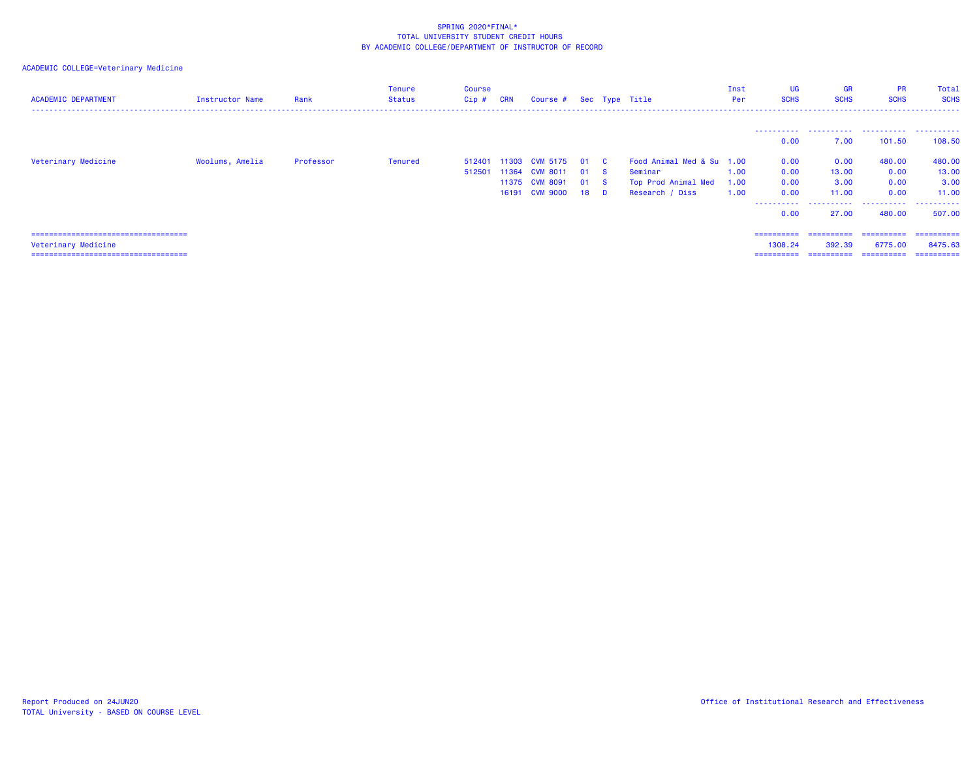| <b>ACADEMIC DEPARTMENT</b>             | Instructor Name | Rank      | <b>Tenure</b><br>Status | Course<br>$Cip$ # | <b>CRN</b> | Course # Sec Type Title |        |                           | Inst<br>Per | <b>UG</b><br><b>SCHS</b> | GR<br><b>SCHS</b> | <b>PR</b><br><b>SCHS</b> | Total<br><b>SCHS</b> |
|----------------------------------------|-----------------|-----------|-------------------------|-------------------|------------|-------------------------|--------|---------------------------|-------------|--------------------------|-------------------|--------------------------|----------------------|
|                                        |                 |           |                         |                   |            |                         |        |                           |             | ----------               |                   |                          |                      |
|                                        |                 |           |                         |                   |            |                         |        |                           |             | 0.00                     | 7.00              | 101.50                   | 108.50               |
| Veterinary Medicine                    | Woolums, Amelia | Professor | Tenured                 |                   |            | 512401 11303 CVM 5175   | 01 C   | Food Animal Med & Su 1.00 |             | 0.00                     | 0.00              | 480.00                   | 480.00               |
|                                        |                 |           |                         | 512501            | 11364      | <b>CVM 8011</b>         | 01 S   | Seminar                   | 1.00        | 0.00                     | 13,00             | 0.00                     | 13.00                |
|                                        |                 |           |                         |                   |            | 11375 CVM 8091          | 01 S   | Top Prod Animal Med       | 1.00        | 0.00                     | 3.00              | 0.00                     | 3.00                 |
|                                        |                 |           |                         |                   |            | 16191 CVM 9000          | $18$ D | Research / Diss           | 1.00        | 0.00                     | 11.00             | 0.00                     | 11.00                |
|                                        |                 |           |                         |                   |            |                         |        |                           |             | 0.00                     | 27,00             | 480.00                   | 507.00               |
| ====================================   |                 |           |                         |                   |            |                         |        |                           |             | ==========               | ==========        | ==========               | ==========           |
| Veterinary Medicine                    |                 |           |                         |                   |            |                         |        |                           |             | 1308.24                  | 392.39            | 6775.00                  | 8475.63              |
| ====================================== |                 |           |                         |                   |            |                         |        |                           |             | ==========               | -----------       | ==========               | -----------          |